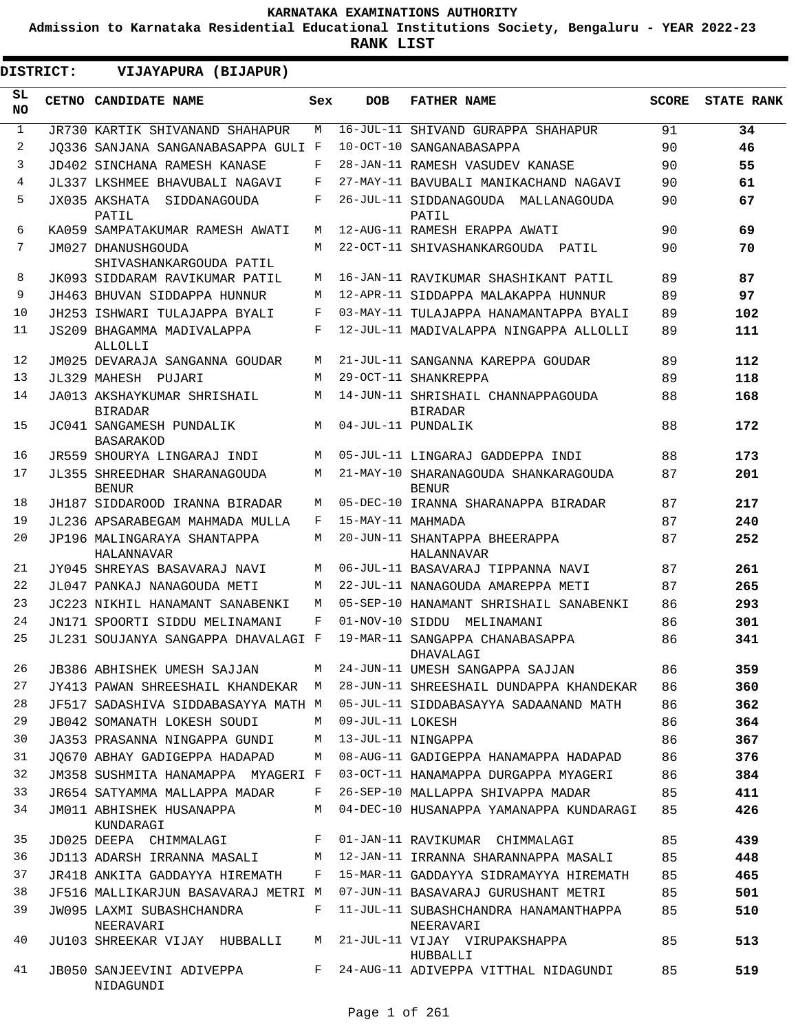**Admission to Karnataka Residential Educational Institutions Society, Bengaluru - YEAR 2022-23**

**RANK LIST**

 $\blacksquare$ 

| <b>DISTRICT:</b> | VIJAYAPURA (BIJAPUR)                          |       |                   |                                                      |              |                   |
|------------------|-----------------------------------------------|-------|-------------------|------------------------------------------------------|--------------|-------------------|
| SL.<br>NO.       | CETNO CANDIDATE NAME                          | Sex   | <b>DOB</b>        | <b>FATHER NAME</b>                                   | <b>SCORE</b> | <b>STATE RANK</b> |
| $\mathbf{1}$     | JR730 KARTIK SHIVANAND SHAHAPUR               | М     |                   | 16-JUL-11 SHIVAND GURAPPA SHAHAPUR                   | 91           | 34                |
| 2                | JO336 SANJANA SANGANABASAPPA GULI F           |       |                   | 10-OCT-10 SANGANABASAPPA                             | 90           | 46                |
| 3                | JD402 SINCHANA RAMESH KANASE                  | F     |                   | 28-JAN-11 RAMESH VASUDEV KANASE                      | 90           | 55                |
| 4                | JL337 LKSHMEE BHAVUBALI NAGAVI                | F     |                   | 27-MAY-11 BAVUBALI MANIKACHAND NAGAVI                | 90           | 61                |
| 5                | JX035 AKSHATA<br>SIDDANAGOUDA<br>PATIL        | F     |                   | 26-JUL-11 SIDDANAGOUDA MALLANAGOUDA<br>PATIL         | 90           | 67                |
| 6                | KA059 SAMPATAKUMAR RAMESH AWATI               | М     |                   | 12-AUG-11 RAMESH ERAPPA AWATI                        | 90           | 69                |
| 7                | JM027 DHANUSHGOUDA<br>SHIVASHANKARGOUDA PATIL | М     |                   | 22-OCT-11 SHIVASHANKARGOUDA PATIL                    | 90           | 70                |
| 8                | JK093 SIDDARAM RAVIKUMAR PATIL                | M     |                   | 16-JAN-11 RAVIKUMAR SHASHIKANT PATIL                 | 89           | 87                |
| 9                | JH463 BHUVAN SIDDAPPA HUNNUR                  | M     |                   | 12-APR-11 SIDDAPPA MALAKAPPA HUNNUR                  | 89           | 97                |
| 10               | JH253 ISHWARI TULAJAPPA BYALI                 | F     |                   | 03-MAY-11 TULAJAPPA HANAMANTAPPA BYALI               | 89           | 102               |
| 11               | JS209 BHAGAMMA MADIVALAPPA<br>ALLOLLI         | F     |                   | 12-JUL-11 MADIVALAPPA NINGAPPA ALLOLLI               | 89           | 111               |
| 12               | JM025 DEVARAJA SANGANNA GOUDAR                | M     |                   | 21-JUL-11 SANGANNA KAREPPA GOUDAR                    | 89           | 112               |
| 13               | JL329 MAHESH PUJARI                           | M     |                   | 29-OCT-11 SHANKREPPA                                 | 89           | 118               |
| 14               | JA013 AKSHAYKUMAR SHRISHAIL<br><b>BIRADAR</b> | M     |                   | 14-JUN-11 SHRISHAIL CHANNAPPAGOUDA<br><b>BIRADAR</b> | 88           | 168               |
| 15               | JC041 SANGAMESH PUNDALIK<br><b>BASARAKOD</b>  | M     |                   | 04-JUL-11 PUNDALIK                                   | 88           | 172               |
| 16               | JR559 SHOURYA LINGARAJ INDI                   | M     |                   | 05-JUL-11 LINGARAJ GADDEPPA INDI                     | 88           | 173               |
| 17               | JL355 SHREEDHAR SHARANAGOUDA<br><b>BENUR</b>  | M     |                   | 21-MAY-10 SHARANAGOUDA SHANKARAGOUDA<br><b>BENUR</b> | 87           | 201               |
| 18               | JH187 SIDDAROOD IRANNA BIRADAR                | M     |                   | 05-DEC-10 IRANNA SHARANAPPA BIRADAR                  | 87           | 217               |
| 19               | JL236 APSARABEGAM MAHMADA MULLA               | F     | 15-MAY-11 MAHMADA |                                                      | 87           | 240               |
| 20               | JP196 MALINGARAYA SHANTAPPA<br>HALANNAVAR     | M     |                   | 20-JUN-11 SHANTAPPA BHEERAPPA<br>HALANNAVAR          | 87           | 252               |
| 21               | JY045 SHREYAS BASAVARAJ NAVI                  | M     |                   | 06-JUL-11 BASAVARAJ TIPPANNA NAVI                    | 87           | 261               |
| 22               | JL047 PANKAJ NANAGOUDA METI                   | М     |                   | 22-JUL-11 NANAGOUDA AMAREPPA METI                    | 87           | 265               |
| 23               | JC223 NIKHIL HANAMANT SANABENKI               | M     |                   | 05-SEP-10 HANAMANT SHRISHAIL SANABENKI               | 86           | 293               |
| 24               | JN171 SPOORTI SIDDU MELINAMANI                | F     |                   | 01-NOV-10 SIDDU MELINAMANI                           | 86           | 301               |
| 25               | JL231 SOUJANYA SANGAPPA DHAVALAGI F           |       |                   | 19-MAR-11 SANGAPPA CHANABASAPPA<br>DHAVALAGI         | 86           | 341               |
| 26               | JB386 ABHISHEK UMESH SAJJAN                   | M     |                   | 24-JUN-11 UMESH SANGAPPA SAJJAN                      | 86           | 359               |
| 27               | JY413 PAWAN SHREESHAIL KHANDEKAR M            |       |                   | 28-JUN-11 SHREESHAIL DUNDAPPA KHANDEKAR              | 86           | 360               |
| 28               | JF517 SADASHIVA SIDDABASAYYA MATH M           |       |                   | 05-JUL-11 SIDDABASAYYA SADAANAND MATH                | 86           | 362               |
| 29               | JB042 SOMANATH LOKESH SOUDI                   | M     | 09-JUL-11 LOKESH  |                                                      | 86           | 364               |
| 30               | JA353 PRASANNA NINGAPPA GUNDI                 | М     |                   | 13-JUL-11 NINGAPPA                                   | 86           | 367               |
| 31               | JO670 ABHAY GADIGEPPA HADAPAD                 | M     |                   | 08-AUG-11 GADIGEPPA HANAMAPPA HADAPAD                | 86           | 376               |
| 32               | JM358 SUSHMITA HANAMAPPA MYAGERI F            |       |                   | 03-OCT-11 HANAMAPPA DURGAPPA MYAGERI                 | 86           | 384               |
| 33               | JR654 SATYAMMA MALLAPPA MADAR                 | F     |                   | 26-SEP-10 MALLAPPA SHIVAPPA MADAR                    | 85           | 411               |
| 34               | JM011 ABHISHEK HUSANAPPA<br>KUNDARAGI         | M     |                   | 04-DEC-10 HUSANAPPA YAMANAPPA KUNDARAGI              | 85           | 426               |
| 35               | JD025 DEEPA CHIMMALAGI                        | F     |                   | 01-JAN-11 RAVIKUMAR CHIMMALAGI                       | 85           | 439               |
| 36               | JD113 ADARSH IRRANNA MASALI                   | M     |                   | 12-JAN-11 IRRANNA SHARANNAPPA MASALI                 | 85           | 448               |
| 37               | JR418 ANKITA GADDAYYA HIREMATH                | F     |                   | 15-MAR-11 GADDAYYA SIDRAMAYYA HIREMATH               | 85           | 465               |
| 38               | JF516 MALLIKARJUN BASAVARAJ METRI M           |       |                   | 07-JUN-11 BASAVARAJ GURUSHANT METRI                  | 85           | 501               |
| 39               | JW095 LAXMI SUBASHCHANDRA<br>NEERAVARI        | F     |                   | 11-JUL-11 SUBASHCHANDRA HANAMANTHAPPA<br>NEERAVARI   | 85           | 510               |
| 40               | JU103 SHREEKAR VIJAY HUBBALLI                 | М     |                   | 21-JUL-11 VIJAY VIRUPAKSHAPPA<br>HUBBALLI            | 85           | 513               |
| 41               | JB050 SANJEEVINI ADIVEPPA<br>NIDAGUNDI        | $F -$ |                   | 24-AUG-11 ADIVEPPA VITTHAL NIDAGUNDI                 | 85           | 519               |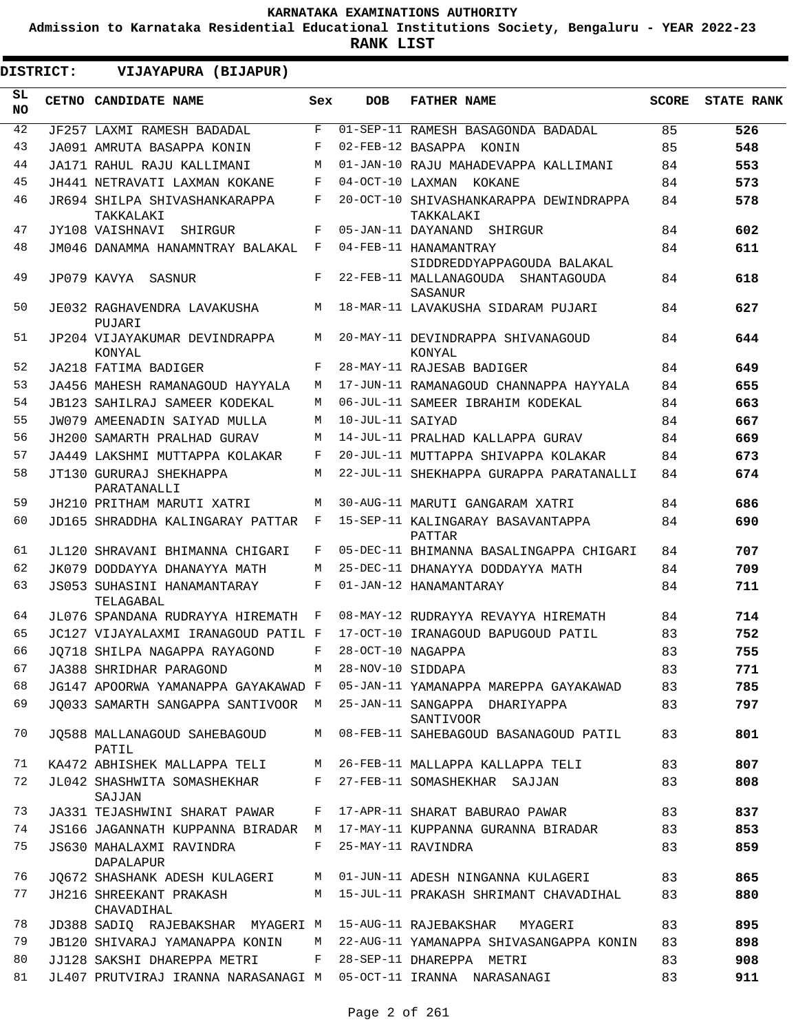**Admission to Karnataka Residential Educational Institutions Society, Bengaluru - YEAR 2022-23**

**RANK LIST**

 $\blacksquare$ 

| <b>DISTRICT:</b> |  | VIJAYAPURA (BIJAPUR)                                            |              |                     |                                                      |    |                  |
|------------------|--|-----------------------------------------------------------------|--------------|---------------------|------------------------------------------------------|----|------------------|
| SL.<br>NO.       |  | CETNO CANDIDATE NAME                                            | Sex          | <b>DOB</b>          | <b>FATHER NAME</b>                                   |    | SCORE STATE RANK |
| 42               |  | JF257 LAXMI RAMESH BADADAL                                      | F            |                     | 01-SEP-11 RAMESH BASAGONDA BADADAL                   | 85 | 526              |
| 43               |  | JA091 AMRUTA BASAPPA KONIN                                      | F            |                     | 02-FEB-12 BASAPPA KONIN                              | 85 | 548              |
| 44               |  | JA171 RAHUL RAJU KALLIMANI                                      | М            |                     | 01-JAN-10 RAJU MAHADEVAPPA KALLIMANI                 | 84 | 553              |
| 45               |  | JH441 NETRAVATI LAXMAN KOKANE                                   | F            |                     | 04-OCT-10 LAXMAN KOKANE                              | 84 | 573              |
| 46               |  | JR694 SHILPA SHIVASHANKARAPPA<br>TAKKALAKI                      | F            |                     | 20-OCT-10 SHIVASHANKARAPPA DEWINDRAPPA<br>TAKKALAKI  | 84 | 578              |
| 47               |  | JY108 VAISHNAVI SHIRGUR                                         | F            |                     | 05-JAN-11 DAYANAND SHIRGUR                           | 84 | 602              |
| 48               |  | JM046 DANAMMA HANAMNTRAY BALAKAL F                              |              |                     | 04-FEB-11 HANAMANTRAY<br>SIDDREDDYAPPAGOUDA BALAKAL  | 84 | 611              |
| 49               |  | JP079 KAVYA SASNUR                                              | F            |                     | 22-FEB-11 MALLANAGOUDA SHANTAGOUDA<br><b>SASANUR</b> | 84 | 618              |
| 50               |  | JE032 RAGHAVENDRA LAVAKUSHA<br>PUJARI                           | M            |                     | 18-MAR-11 LAVAKUSHA SIDARAM PUJARI                   | 84 | 627              |
| 51               |  | JP204 VIJAYAKUMAR DEVINDRAPPA<br>KONYAL                         | M            |                     | 20-MAY-11 DEVINDRAPPA SHIVANAGOUD<br>KONYAL          | 84 | 644              |
| 52               |  | JA218 FATIMA BADIGER                                            | F            |                     | 28-MAY-11 RAJESAB BADIGER                            | 84 | 649              |
| 53               |  | JA456 MAHESH RAMANAGOUD HAYYALA                                 | M            |                     | 17-JUN-11 RAMANAGOUD CHANNAPPA HAYYALA               | 84 | 655              |
| 54               |  | <b>JB123 SAHILRAJ SAMEER KODEKAL</b>                            | M            |                     | 06-JUL-11 SAMEER IBRAHIM KODEKAL                     | 84 | 663              |
| 55               |  | JW079 AMEENADIN SAIYAD MULLA                                    | M            | 10-JUL-11 SAIYAD    |                                                      | 84 | 667              |
| 56               |  | JH200 SAMARTH PRALHAD GURAV                                     | M            |                     | 14-JUL-11 PRALHAD KALLAPPA GURAV                     | 84 | 669              |
| 57               |  | JA449 LAKSHMI MUTTAPPA KOLAKAR                                  | F            |                     | 20-JUL-11 MUTTAPPA SHIVAPPA KOLAKAR                  | 84 | 673              |
| 58               |  | JT130 GURURAJ SHEKHAPPA<br>PARATANALLI                          | M            |                     | 22-JUL-11 SHEKHAPPA GURAPPA PARATANALLI              | 84 | 674              |
| 59               |  | JH210 PRITHAM MARUTI XATRI                                      | M            |                     | 30-AUG-11 MARUTI GANGARAM XATRI                      | 84 | 686              |
| 60               |  | JD165 SHRADDHA KALINGARAY PATTAR F                              |              |                     | 15-SEP-11 KALINGARAY BASAVANTAPPA<br>PATTAR          | 84 | 690              |
| 61               |  | JL120 SHRAVANI BHIMANNA CHIGARI                                 | F            |                     | 05-DEC-11 BHIMANNA BASALINGAPPA CHIGARI              | 84 | 707              |
| 62               |  | JK079 DODDAYYA DHANAYYA MATH                                    | M            |                     | 25-DEC-11 DHANAYYA DODDAYYA MATH                     | 84 | 709              |
| 63               |  | JS053 SUHASINI HANAMANTARAY<br>TELAGABAL                        | $\mathbf{F}$ |                     | 01-JAN-12 HANAMANTARAY                               | 84 | 711              |
| 64               |  | JL076 SPANDANA RUDRAYYA HIREMATH F                              |              |                     | 08-MAY-12 RUDRAYYA REVAYYA HIREMATH                  | 84 | 714              |
| 65               |  | JC127 VIJAYALAXMI IRANAGOUD PATIL F                             |              |                     | 17-OCT-10 IRANAGOUD BAPUGOUD PATIL                   | 83 | 752              |
| 66               |  | JQ718 SHILPA NAGAPPA RAYAGOND                                   |              | F 28-OCT-10 NAGAPPA |                                                      | 83 | 755              |
| 67               |  | JA388 SHRIDHAR PARAGOND                                         | M            | 28-NOV-10 SIDDAPA   |                                                      | 83 | 771              |
| 68               |  | JG147 APOORWA YAMANAPPA GAYAKAWAD F                             |              |                     | 05-JAN-11 YAMANAPPA MAREPPA GAYAKAWAD                | 83 | 785              |
| 69               |  | JO033 SAMARTH SANGAPPA SANTIVOOR M                              |              |                     | 25-JAN-11 SANGAPPA DHARIYAPPA<br>SANTIVOOR           | 83 | 797              |
| 70               |  | JQ588 MALLANAGOUD SAHEBAGOUD<br>PATIL                           | M            |                     | 08-FEB-11 SAHEBAGOUD BASANAGOUD PATIL                | 83 | 801              |
| 71               |  | KA472 ABHISHEK MALLAPPA TELI                                    | M            |                     | 26-FEB-11 MALLAPPA KALLAPPA TELI                     | 83 | 807              |
| 72               |  | JL042 SHASHWITA SOMASHEKHAR<br>SAJJAN                           | F            |                     | 27-FEB-11 SOMASHEKHAR SAJJAN                         | 83 | 808              |
| 73               |  | JA331 TEJASHWINI SHARAT PAWAR                                   | F            |                     | 17-APR-11 SHARAT BABURAO PAWAR                       | 83 | 837              |
| 74               |  | JS166 JAGANNATH KUPPANNA BIRADAR M                              |              |                     | 17-MAY-11 KUPPANNA GURANNA BIRADAR                   | 83 | 853              |
| 75               |  | JS630 MAHALAXMI RAVINDRA<br>DAPALAPUR                           | F            |                     | 25-MAY-11 RAVINDRA                                   | 83 | 859              |
| 76               |  | JQ672 SHASHANK ADESH KULAGERI                                   | M            |                     | 01-JUN-11 ADESH NINGANNA KULAGERI                    | 83 | 865              |
| 77               |  | JH216 SHREEKANT PRAKASH<br>CHAVADIHAL                           | M            |                     | 15-JUL-11 PRAKASH SHRIMANT CHAVADIHAL                | 83 | 880              |
| 78               |  | JD388 SADIQ RAJEBAKSHAR MYAGERI M                               |              |                     | 15-AUG-11 RAJEBAKSHAR<br>MYAGERI                     | 83 | 895              |
| 79               |  | JB120 SHIVARAJ YAMANAPPA KONIN                                  | M            |                     | 22-AUG-11 YAMANAPPA SHIVASANGAPPA KONIN              | 83 | 898              |
| 80               |  | JJ128 SAKSHI DHAREPPA METRI                                     | F            |                     | 28-SEP-11 DHAREPPA METRI                             | 83 | 908              |
| 81               |  | JL407 PRUTVIRAJ IRANNA NARASANAGI M 05-OCT-11 IRANNA NARASANAGI |              |                     |                                                      | 83 | 911              |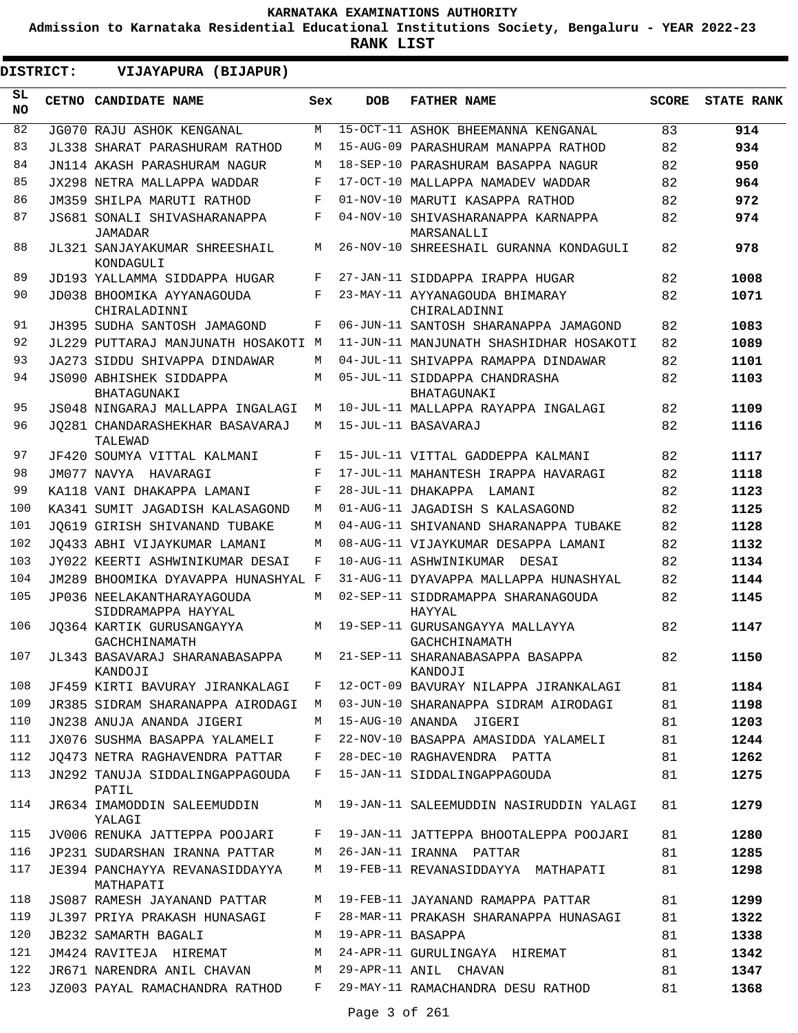**Admission to Karnataka Residential Educational Institutions Society, Bengaluru - YEAR 2022-23**

**RANK LIST**

**DISTRICT:** EE **VIJAYAPURA (BIJAPUR)**

| SL<br><b>NO</b> | <b>CETNO CANDIDATE NAME</b>                      | Sex | <b>DOB</b>        | <b>FATHER NAME</b>                               | <b>SCORE</b> | <b>STATE RANK</b> |
|-----------------|--------------------------------------------------|-----|-------------------|--------------------------------------------------|--------------|-------------------|
| 82              | JG070 RAJU ASHOK KENGANAL                        | M   |                   | 15-OCT-11 ASHOK BHEEMANNA KENGANAL               | 83           | 914               |
| 83              | JL338 SHARAT PARASHURAM RATHOD                   | M   |                   | 15-AUG-09 PARASHURAM MANAPPA RATHOD              | 82           | 934               |
| 84              | JN114 AKASH PARASHURAM NAGUR                     | M   |                   | 18-SEP-10 PARASHURAM BASAPPA NAGUR               | 82           | 950               |
| 85              | JX298 NETRA MALLAPPA WADDAR                      | F   |                   | 17-OCT-10 MALLAPPA NAMADEV WADDAR                | 82           | 964               |
| 86              | JM359 SHILPA MARUTI RATHOD                       | F   |                   | 01-NOV-10 MARUTI KASAPPA RATHOD                  | 82           | 972               |
| 87              | JS681 SONALI SHIVASHARANAPPA<br>JAMADAR          | F   |                   | 04-NOV-10 SHIVASHARANAPPA KARNAPPA<br>MARSANALLI | 82           | 974               |
| 88              | JL321 SANJAYAKUMAR SHREESHAIL<br>KONDAGULI       | М   |                   | 26-NOV-10 SHREESHAIL GURANNA KONDAGULI           | 82           | 978               |
| 89              | JD193 YALLAMMA SIDDAPPA HUGAR                    | F   |                   | 27-JAN-11 SIDDAPPA IRAPPA HUGAR                  | 82           | 1008              |
| 90              | JD038 BHOOMIKA AYYANAGOUDA<br>CHIRALADINNI       | F   |                   | 23-MAY-11 AYYANAGOUDA BHIMARAY<br>CHIRALADINNI   | 82           | 1071              |
| 91              | JH395 SUDHA SANTOSH JAMAGOND                     | F   |                   | 06-JUN-11 SANTOSH SHARANAPPA JAMAGOND            | 82           | 1083              |
| 92              | JL229 PUTTARAJ MANJUNATH HOSAKOTI M              |     |                   | 11-JUN-11 MANJUNATH SHASHIDHAR HOSAKOTI          | 82           | 1089              |
| 93              | JA273 SIDDU SHIVAPPA DINDAWAR                    | М   |                   | 04-JUL-11 SHIVAPPA RAMAPPA DINDAWAR              | 82           | 1101              |
| 94              | JS090 ABHISHEK SIDDAPPA<br>BHATAGUNAKI           | М   |                   | 05-JUL-11 SIDDAPPA CHANDRASHA<br>BHATAGUNAKI     | 82           | 1103              |
| 95              | JS048 NINGARAJ MALLAPPA INGALAGI                 | M   |                   | 10-JUL-11 MALLAPPA RAYAPPA INGALAGI              | 82           | 1109              |
| 96              | JO281 CHANDARASHEKHAR BASAVARAJ<br>TALEWAD       | М   |                   | 15-JUL-11 BASAVARAJ                              | 82           | 1116              |
| 97              | JF420 SOUMYA VITTAL KALMANI                      | F   |                   | 15-JUL-11 VITTAL GADDEPPA KALMANI                | 82           | 1117              |
| 98              | JM077 NAVYA HAVARAGI                             | F   |                   | 17-JUL-11 MAHANTESH IRAPPA HAVARAGI              | 82           | 1118              |
| 99              | KA118 VANI DHAKAPPA LAMANI                       | F   |                   | 28-JUL-11 DHAKAPPA<br>LAMANI                     | 82           | 1123              |
| 100             | KA341 SUMIT JAGADISH KALASAGOND                  | М   |                   | 01-AUG-11 JAGADISH S KALASAGOND                  | 82           | 1125              |
| 101             | JO619 GIRISH SHIVANAND TUBAKE                    | M   |                   | 04-AUG-11 SHIVANAND SHARANAPPA TUBAKE            | 82           | 1128              |
| 102             | JO433 ABHI VIJAYKUMAR LAMANI                     | М   |                   | 08-AUG-11 VIJAYKUMAR DESAPPA LAMANI              | 82           | 1132              |
| 103             | JY022 KEERTI ASHWINIKUMAR DESAI                  | F   |                   | 10-AUG-11 ASHWINIKUMAR DESAI                     | 82           | 1134              |
| 104             | JM289 BHOOMIKA DYAVAPPA HUNASHYAL F              |     |                   | 31-AUG-11 DYAVAPPA MALLAPPA HUNASHYAL            | 82           | 1144              |
| 105             | JP036 NEELAKANTHARAYAGOUDA<br>SIDDRAMAPPA HAYYAL | М   |                   | 02-SEP-11 SIDDRAMAPPA SHARANAGOUDA<br>HAYYAL     | 82           | 1145              |
| 106             | JO364 KARTIK GURUSANGAYYA<br>GACHCHINAMATH       | M   |                   | 19-SEP-11 GURUSANGAYYA MALLAYYA<br>GACHCHINAMATH | 82           | 1147              |
| 107             | JL343 BASAVARAJ SHARANABASAPPA<br>KANDOJI        | М   |                   | 21-SEP-11 SHARANABASAPPA BASAPPA<br>KANDOJI      | 82           | 1150              |
| 108             | JF459 KIRTI BAVURAY JIRANKALAGI                  | F   |                   | 12-OCT-09 BAVURAY NILAPPA JIRANKALAGI            | 81           | 1184              |
| 109             | JR385 SIDRAM SHARANAPPA AIRODAGI                 | М   |                   | 03-JUN-10 SHARANAPPA SIDRAM AIRODAGI             | 81           | 1198              |
| 110             | JN238 ANUJA ANANDA JIGERI                        | М   |                   | 15-AUG-10 ANANDA JIGERI                          | 81           | 1203              |
| 111             | JX076 SUSHMA BASAPPA YALAMELI                    | F   |                   | 22-NOV-10 BASAPPA AMASIDDA YALAMELI              | 81           | 1244              |
| 112             | JO473 NETRA RAGHAVENDRA PATTAR                   | F   |                   | 28-DEC-10 RAGHAVENDRA PATTA                      | 81           | 1262              |
| 113             | JN292 TANUJA SIDDALINGAPPAGOUDA<br>PATIL         | F   |                   | 15-JAN-11 SIDDALINGAPPAGOUDA                     | 81           | 1275              |
| 114             | JR634 IMAMODDIN SALEEMUDDIN<br>YALAGI            | М   |                   | 19-JAN-11 SALEEMUDDIN NASIRUDDIN YALAGI          | 81           | 1279              |
| 115             | JV006 RENUKA JATTEPPA POOJARI                    | F   |                   | 19-JAN-11 JATTEPPA BHOOTALEPPA POOJARI           | 81           | 1280              |
| 116             | JP231 SUDARSHAN IRANNA PATTAR                    | М   |                   | 26-JAN-11 IRANNA PATTAR                          | 81           | 1285              |
| 117             | JE394 PANCHAYYA REVANASIDDAYYA<br>MATHAPATI      | М   |                   | 19-FEB-11 REVANASIDDAYYA MATHAPATI               | 81           | 1298              |
| 118             | JS087 RAMESH JAYANAND PATTAR                     | M   |                   | 19-FEB-11 JAYANAND RAMAPPA PATTAR                | 81           | 1299              |
| 119             | JL397 PRIYA PRAKASH HUNASAGI                     | F   |                   | 28-MAR-11 PRAKASH SHARANAPPA HUNASAGI            | 81           | 1322              |
| 120             | <b>JB232 SAMARTH BAGALI</b>                      | М   | 19-APR-11 BASAPPA |                                                  | 81           | 1338              |
| 121             | JM424 RAVITEJA HIREMAT                           | М   |                   | 24-APR-11 GURULINGAYA HIREMAT                    | 81           | 1342              |
| 122             | JR671 NARENDRA ANIL CHAVAN                       | М   |                   | 29-APR-11 ANIL CHAVAN                            | 81           | 1347              |
| 123             | JZ003 PAYAL RAMACHANDRA RATHOD                   | F   |                   | 29-MAY-11 RAMACHANDRA DESU RATHOD                | 81           | 1368              |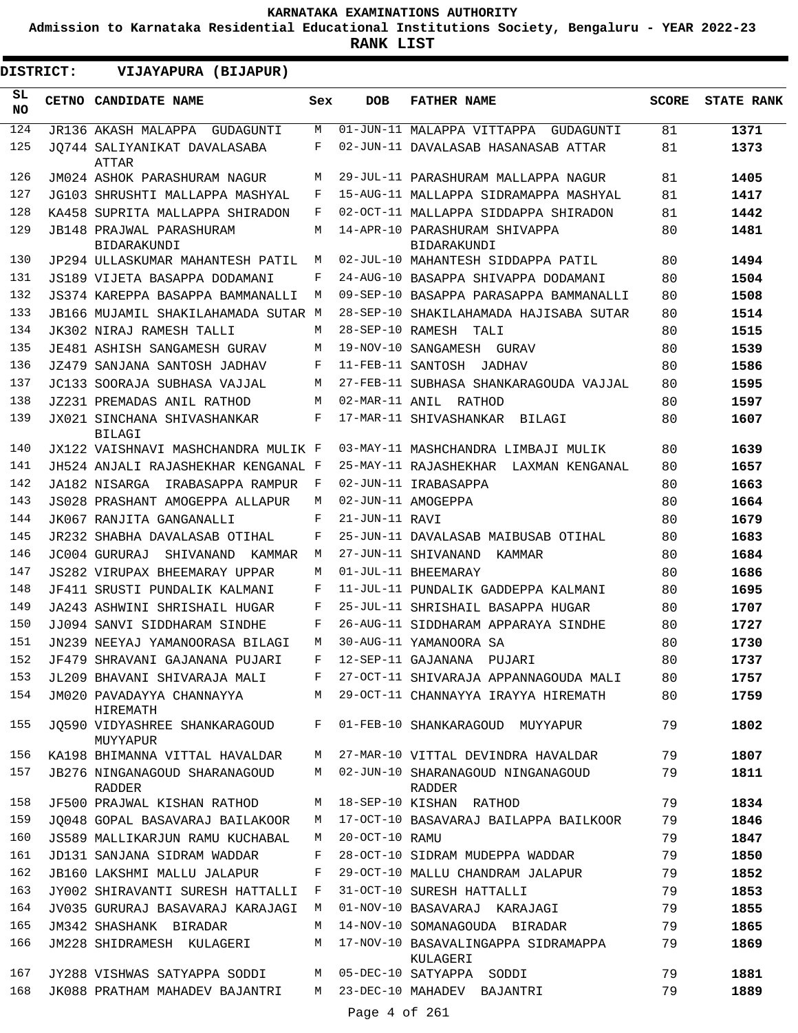**Admission to Karnataka Residential Educational Institutions Society, Bengaluru - YEAR 2022-23**

| <b>DISTRICT:</b> | VIJAYAPURA (BIJAPUR)                           |     |                   |                                                 |              |                   |
|------------------|------------------------------------------------|-----|-------------------|-------------------------------------------------|--------------|-------------------|
| SL<br><b>NO</b>  | <b>CETNO CANDIDATE NAME</b>                    | Sex | <b>DOB</b>        | <b>FATHER NAME</b>                              | <b>SCORE</b> | <b>STATE RANK</b> |
| 124              | JR136 AKASH MALAPPA GUDAGUNTI                  | М   |                   | 01-JUN-11 MALAPPA VITTAPPA GUDAGUNTI            | 81           | 1371              |
| 125              | JO744 SALIYANIKAT DAVALASABA<br>ATTAR          | F   |                   | 02-JUN-11 DAVALASAB HASANASAB ATTAR             | 81           | 1373              |
| 126              | JM024 ASHOK PARASHURAM NAGUR                   | M   |                   | 29-JUL-11 PARASHURAM MALLAPPA NAGUR             | 81           | 1405              |
| 127              | JG103 SHRUSHTI MALLAPPA MASHYAL                | F   |                   | 15-AUG-11 MALLAPPA SIDRAMAPPA MASHYAL           | 81           | 1417              |
| 128              | KA458 SUPRITA MALLAPPA SHIRADON                | F   |                   | 02-OCT-11 MALLAPPA SIDDAPPA SHIRADON            | 81           | 1442              |
| 129              | <b>JB148 PRAJWAL PARASHURAM</b><br>BIDARAKUNDI | М   |                   | 14-APR-10 PARASHURAM SHIVAPPA<br>BIDARAKUNDI    | 80           | 1481              |
| 130              | JP294 ULLASKUMAR MAHANTESH PATIL               | М   |                   | 02-JUL-10 MAHANTESH SIDDAPPA PATIL              | 80           | 1494              |
| 131              | JS189 VIJETA BASAPPA DODAMANI                  | F   |                   | 24-AUG-10 BASAPPA SHIVAPPA DODAMANI             | 80           | 1504              |
| 132              | JS374 KAREPPA BASAPPA BAMMANALLI               | M   |                   | 09-SEP-10 BASAPPA PARASAPPA BAMMANALLI          | 80           | 1508              |
| 133              | JB166 MUJAMIL SHAKILAHAMADA SUTAR M            |     |                   | 28-SEP-10 SHAKILAHAMADA HAJISABA SUTAR          | 80           | 1514              |
| 134              | JK302 NIRAJ RAMESH TALLI                       | M   |                   | 28-SEP-10 RAMESH TALI                           | 80           | 1515              |
| 135              | JE481 ASHISH SANGAMESH GURAV                   | М   |                   | 19-NOV-10 SANGAMESH GURAV                       | 80           | 1539              |
| 136              | JZ479 SANJANA SANTOSH JADHAV                   | F   |                   | 11-FEB-11 SANTOSH<br>JADHAV                     | 80           | 1586              |
| 137              | JC133 SOORAJA SUBHASA VAJJAL                   | M   |                   | 27-FEB-11 SUBHASA SHANKARAGOUDA VAJJAL          | 80           | 1595              |
| 138              | JZ231 PREMADAS ANIL RATHOD                     | M   |                   | 02-MAR-11 ANIL RATHOD                           | 80           | 1597              |
| 139              | JX021 SINCHANA SHIVASHANKAR<br><b>BILAGI</b>   | F   |                   | 17-MAR-11 SHIVASHANKAR<br>BILAGI                | 80           | 1607              |
| 140              | JX122 VAISHNAVI MASHCHANDRA MULIK F            |     |                   | 03-MAY-11 MASHCHANDRA LIMBAJI MULIK             | 80           | 1639              |
| 141              | JH524 ANJALI RAJASHEKHAR KENGANAL F            |     |                   | 25-MAY-11 RAJASHEKHAR LAXMAN KENGANAL           | 80           | 1657              |
| 142              | JA182 NISARGA<br>IRABASAPPA RAMPUR             | – F |                   | 02-JUN-11 IRABASAPPA                            | 80           | 1663              |
| 143              | JS028 PRASHANT AMOGEPPA ALLAPUR                | M   |                   | 02-JUN-11 AMOGEPPA                              | 80           | 1664              |
| 144              | JK067 RANJITA GANGANALLI                       | F   | 21-JUN-11 RAVI    |                                                 | 80           | 1679              |
| 145              | JR232 SHABHA DAVALASAB OTIHAL                  | F   |                   | 25-JUN-11 DAVALASAB MAIBUSAB OTIHAL             | 80           | 1683              |
| 146              | JC004 GURURAJ<br>SHIVANAND<br>KAMMAR           | M   |                   | 27-JUN-11 SHIVANAND<br>KAMMAR                   | 80           | 1684              |
| 147              | JS282 VIRUPAX BHEEMARAY UPPAR                  | М   |                   | 01-JUL-11 BHEEMARAY                             | 80           | 1686              |
| 148              | JF411 SRUSTI PUNDALIK KALMANI                  | F   |                   | 11-JUL-11 PUNDALIK GADDEPPA KALMANI             | 80           | 1695              |
| 149              | JA243 ASHWINI SHRISHAIL HUGAR                  | F   |                   | 25-JUL-11 SHRISHAIL BASAPPA HUGAR               | 80           | 1707              |
| 150              | JJ094 SANVI SIDDHARAM SINDHE                   | F   |                   | 26-AUG-11 SIDDHARAM APPARAYA SINDHE             | 80           | 1727              |
| 151              | JN239 NEEYAJ YAMANOORASA BILAGI                | M   |                   | 30-AUG-11 YAMANOORA SA                          | 80           | 1730              |
| 152              | JF479 SHRAVANI GAJANANA PUJARI                 | F   |                   | 12-SEP-11 GAJANANA PUJARI                       | 80           | 1737              |
| 153              | JL209 BHAVANI SHIVARAJA MALI                   | F   |                   | 27-OCT-11 SHIVARAJA APPANNAGOUDA MALI           | 80           | 1757              |
| 154              | JM020 PAVADAYYA CHANNAYYA<br>HIREMATH          | М   |                   | 29-OCT-11 CHANNAYYA IRAYYA HIREMATH             | 80           | 1759              |
| 155              | JO590 VIDYASHREE SHANKARAGOUD<br>MUYYAPUR      | F   |                   | 01-FEB-10 SHANKARAGOUD MUYYAPUR                 | 79           | 1802              |
| 156              | KA198 BHIMANNA VITTAL HAVALDAR                 | М   |                   | 27-MAR-10 VITTAL DEVINDRA HAVALDAR              | 79           | 1807              |
| 157              | JB276 NINGANAGOUD SHARANAGOUD<br><b>RADDER</b> | M   |                   | 02-JUN-10 SHARANAGOUD NINGANAGOUD<br>RADDER     | 79           | 1811              |
| 158              | JF500 PRAJWAL KISHAN RATHOD                    | М   |                   | 18-SEP-10 KISHAN RATHOD                         | 79           | 1834              |
| 159              | JO048 GOPAL BASAVARAJ BAILAKOOR                | М   |                   | 17-OCT-10 BASAVARAJ BAILAPPA BAILKOOR           | 79           | 1846              |
| 160              | JS589 MALLIKARJUN RAMU KUCHABAL                | M   | 20-OCT-10 RAMU    |                                                 | 79           | 1847              |
| 161              | JD131 SANJANA SIDRAM WADDAR                    | F   |                   | 28-OCT-10 SIDRAM MUDEPPA WADDAR                 | 79           | 1850              |
| 162              | <b>JB160 LAKSHMI MALLU JALAPUR</b>             | F   |                   | 29-OCT-10 MALLU CHANDRAM JALAPUR                | 79           | 1852              |
| 163              | JY002 SHIRAVANTI SURESH HATTALLI               | F   |                   | 31-OCT-10 SURESH HATTALLI                       | 79           | 1853              |
| 164              | JV035 GURURAJ BASAVARAJ KARAJAGI               | М   |                   | 01-NOV-10 BASAVARAJ KARAJAGI                    | 79           | 1855              |
| 165              | JM342 SHASHANK BIRADAR                         | М   |                   | 14-NOV-10 SOMANAGOUDA BIRADAR                   | 79           | 1865              |
| 166              | JM228 SHIDRAMESH KULAGERI                      | М   |                   | 17-NOV-10 BASAVALINGAPPA SIDRAMAPPA<br>KULAGERI | 79           | 1869              |
| 167              | JY288 VISHWAS SATYAPPA SODDI                   | М   |                   | 05-DEC-10 SATYAPPA SODDI                        | 79           | 1881              |
| 168              | JK088 PRATHAM MAHADEV BAJANTRI                 | М   |                   | 23-DEC-10 MAHADEV BAJANTRI                      | 79           | 1889              |
|                  |                                                |     | Page $4$ of $261$ |                                                 |              |                   |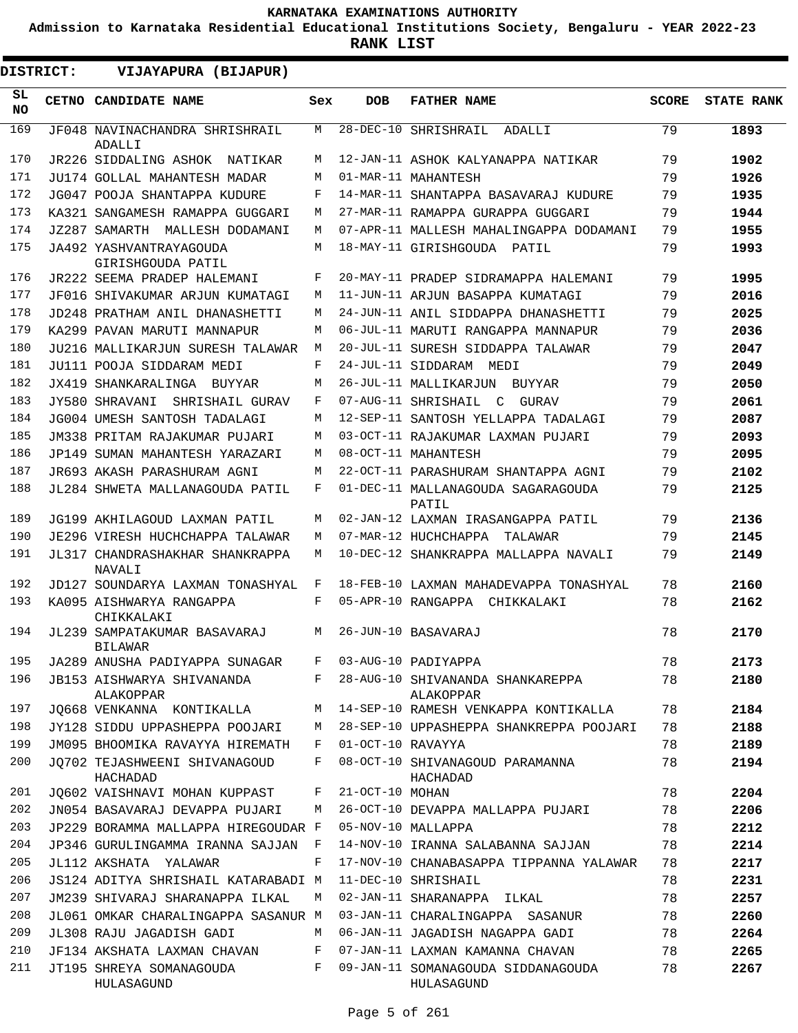**Admission to Karnataka Residential Educational Institutions Society, Bengaluru - YEAR 2022-23**

**RANK LIST**

| <b>DISTRICT:</b> |  | VIJAYAPURA (BIJAPUR)                         |     |                   |                                                  |              |                   |
|------------------|--|----------------------------------------------|-----|-------------------|--------------------------------------------------|--------------|-------------------|
| SL.<br><b>NO</b> |  | CETNO CANDIDATE NAME                         | Sex | <b>DOB</b>        | <b>FATHER NAME</b>                               | <b>SCORE</b> | <b>STATE RANK</b> |
| 169              |  | JF048 NAVINACHANDRA SHRISHRAIL<br>ADALLI     | M   |                   | 28-DEC-10 SHRISHRAIL<br>ADALLI                   | 79           | 1893              |
| 170              |  | JR226 SIDDALING ASHOK NATIKAR                | M   |                   | 12-JAN-11 ASHOK KALYANAPPA NATIKAR               | 79           | 1902              |
| 171              |  | JU174 GOLLAL MAHANTESH MADAR                 | M   |                   | 01-MAR-11 MAHANTESH                              | 79           | 1926              |
| 172              |  | JG047 POOJA SHANTAPPA KUDURE                 | F   |                   | 14-MAR-11 SHANTAPPA BASAVARAJ KUDURE             | 79           | 1935              |
| 173              |  | KA321 SANGAMESH RAMAPPA GUGGARI              | M   |                   | 27-MAR-11 RAMAPPA GURAPPA GUGGARI                | 79           | 1944              |
| 174              |  | JZ287 SAMARTH MALLESH DODAMANI               | M   |                   | 07-APR-11 MALLESH MAHALINGAPPA DODAMANI          | 79           | 1955              |
| 175              |  | JA492 YASHVANTRAYAGOUDA<br>GIRISHGOUDA PATIL | M   |                   | 18-MAY-11 GIRISHGOUDA PATIL                      | 79           | 1993              |
| 176              |  | JR222 SEEMA PRADEP HALEMANI                  | F   |                   | 20-MAY-11 PRADEP SIDRAMAPPA HALEMANI             | 79           | 1995              |
| 177              |  | JF016 SHIVAKUMAR ARJUN KUMATAGI              | M   |                   | 11-JUN-11 ARJUN BASAPPA KUMATAGI                 | 79           | 2016              |
| 178              |  | JD248 PRATHAM ANIL DHANASHETTI               | M   |                   | 24-JUN-11 ANIL SIDDAPPA DHANASHETTI              | 79           | 2025              |
| 179              |  | KA299 PAVAN MARUTI MANNAPUR                  | M   |                   | 06-JUL-11 MARUTI RANGAPPA MANNAPUR               | 79           | 2036              |
| 180              |  | JU216 MALLIKARJUN SURESH TALAWAR             | M   |                   | 20-JUL-11 SURESH SIDDAPPA TALAWAR                | 79           | 2047              |
| 181              |  | JU111 POOJA SIDDARAM MEDI                    | F   |                   | 24-JUL-11 SIDDARAM MEDI                          | 79           | 2049              |
| 182              |  | JX419 SHANKARALINGA BUYYAR                   | M   |                   | 26-JUL-11 MALLIKARJUN BUYYAR                     | 79           | 2050              |
| 183              |  | JY580 SHRAVANI SHRISHAIL GURAV               | F   |                   | 07-AUG-11 SHRISHAIL C GURAV                      | 79           | 2061              |
| 184              |  | JG004 UMESH SANTOSH TADALAGI                 | M   |                   | 12-SEP-11 SANTOSH YELLAPPA TADALAGI              | 79           | 2087              |
| 185              |  | JM338 PRITAM RAJAKUMAR PUJARI                | M   |                   | 03-OCT-11 RAJAKUMAR LAXMAN PUJARI                | 79           | 2093              |
| 186              |  | JP149 SUMAN MAHANTESH YARAZARI               | M   |                   | 08-OCT-11 MAHANTESH                              | 79           | 2095              |
| 187              |  | JR693 AKASH PARASHURAM AGNI                  | M   |                   | 22-OCT-11 PARASHURAM SHANTAPPA AGNI              | 79           | 2102              |
| 188              |  | JL284 SHWETA MALLANAGOUDA PATIL              | F   |                   | 01-DEC-11 MALLANAGOUDA SAGARAGOUDA<br>PATIL      | 79           | 2125              |
| 189              |  | JG199 AKHILAGOUD LAXMAN PATIL                | M   |                   | 02-JAN-12 LAXMAN IRASANGAPPA PATIL               | 79           | 2136              |
| 190              |  | JE296 VIRESH HUCHCHAPPA TALAWAR              | М   |                   | 07-MAR-12 HUCHCHAPPA<br>TALAWAR                  | 79           | 2145              |
| 191              |  | JL317 CHANDRASHAKHAR SHANKRAPPA<br>NAVALI    | M   |                   | 10-DEC-12 SHANKRAPPA MALLAPPA NAVALI             | 79           | 2149              |
| 192              |  | JD127 SOUNDARYA LAXMAN TONASHYAL             | F   |                   | 18-FEB-10 LAXMAN MAHADEVAPPA TONASHYAL           | 78           | 2160              |
| 193              |  | KA095 AISHWARYA RANGAPPA<br>CHIKKALAKI       | F   |                   | 05-APR-10 RANGAPPA CHIKKALAKI                    | 78           | 2162              |
| 194              |  | JL239 SAMPATAKUMAR BASAVARAJ<br>BILAWAR      | M   |                   | 26-JUN-10 BASAVARAJ                              | 78           | 2170              |
| 195              |  | JA289 ANUSHA PADIYAPPA SUNAGAR               | F   |                   | 03-AUG-10 PADIYAPPA                              | 78           | 2173              |
| 196              |  | JB153 AISHWARYA SHIVANANDA<br>ALAKOPPAR      | F   |                   | 28-AUG-10 SHIVANANDA SHANKAREPPA<br>ALAKOPPAR    | 78           | 2180              |
| 197              |  | JQ668 VENKANNA KONTIKALLA                    | М   |                   | 14-SEP-10 RAMESH VENKAPPA KONTIKALLA             | 78           | 2184              |
| 198              |  | JY128 SIDDU UPPASHEPPA POOJARI               | М   |                   | 28-SEP-10 UPPASHEPPA SHANKREPPA POOJARI          | 78           | 2188              |
| 199              |  | JM095 BHOOMIKA RAVAYYA HIREMATH              | F   | 01-OCT-10 RAVAYYA |                                                  | 78           | 2189              |
| 200              |  | JO702 TEJASHWEENI SHIVANAGOUD<br>HACHADAD    | F   |                   | 08-OCT-10 SHIVANAGOUD PARAMANNA<br>HACHADAD      | 78           | 2194              |
| 201              |  | JO602 VAISHNAVI MOHAN KUPPAST                | F   | 21-OCT-10 MOHAN   |                                                  | 78           | 2204              |
| 202              |  | JN054 BASAVARAJ DEVAPPA PUJARI               | M   |                   | 26-OCT-10 DEVAPPA MALLAPPA PUJARI                | 78           | 2206              |
| 203              |  | JP229 BORAMMA MALLAPPA HIREGOUDAR F          |     |                   | 05-NOV-10 MALLAPPA                               | 78           | 2212              |
| 204              |  | JP346 GURULINGAMMA IRANNA SAJJAN             | F   |                   | 14-NOV-10 IRANNA SALABANNA SAJJAN                | 78           | 2214              |
| 205              |  | JL112 AKSHATA YALAWAR                        | F   |                   | 17-NOV-10 CHANABASAPPA TIPPANNA YALAWAR          | 78           | 2217              |
| 206              |  | JS124 ADITYA SHRISHAIL KATARABADI M          |     |                   | 11-DEC-10 SHRISHAIL                              | 78           | 2231              |
| 207              |  | JM239 SHIVARAJ SHARANAPPA ILKAL              | M   |                   | 02-JAN-11 SHARANAPPA ILKAL                       | 78           | 2257              |
| 208              |  | JL061 OMKAR CHARALINGAPPA SASANUR M          |     |                   | 03-JAN-11 CHARALINGAPPA SASANUR                  | 78           | 2260              |
| 209              |  | JL308 RAJU JAGADISH GADI                     | M   |                   | 06-JAN-11 JAGADISH NAGAPPA GADI                  | 78           | 2264              |
| 210              |  | JF134 AKSHATA LAXMAN CHAVAN                  | F   |                   | 07-JAN-11 LAXMAN KAMANNA CHAVAN                  | 78           | 2265              |
| 211              |  | JT195 SHREYA SOMANAGOUDA<br>HULASAGUND       | F   |                   | 09-JAN-11 SOMANAGOUDA SIDDANAGOUDA<br>HULASAGUND | 78           | 2267              |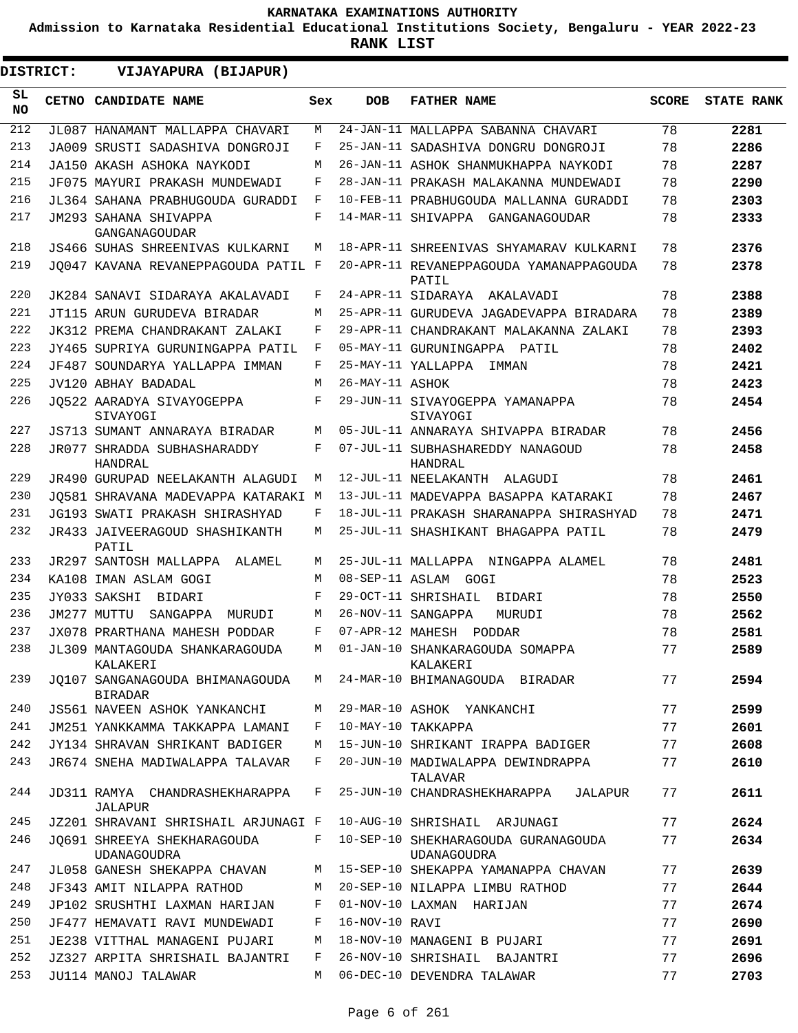**Admission to Karnataka Residential Educational Institutions Society, Bengaluru - YEAR 2022-23**

**RANK LIST**

 $\blacksquare$ 

| <b>DISTRICT:</b> | VIJAYAPURA (BIJAPUR)                              |     |                 |                                                           |              |                   |
|------------------|---------------------------------------------------|-----|-----------------|-----------------------------------------------------------|--------------|-------------------|
| SL.<br>NO.       | CETNO CANDIDATE NAME                              | Sex | <b>DOB</b>      | <b>FATHER NAME</b>                                        | <b>SCORE</b> | <b>STATE RANK</b> |
| 212              | JL087 HANAMANT MALLAPPA CHAVARI                   | М   |                 | 24-JAN-11 MALLAPPA SABANNA CHAVARI                        | 78           | 2281              |
| 213              | JA009 SRUSTI SADASHIVA DONGROJI                   | F   |                 | 25-JAN-11 SADASHIVA DONGRU DONGROJI                       | 78           | 2286              |
| 214              | JA150 AKASH ASHOKA NAYKODI                        | М   |                 | 26-JAN-11 ASHOK SHANMUKHAPPA NAYKODI                      | 78           | 2287              |
| 215              | JF075 MAYURI PRAKASH MUNDEWADI                    | F   |                 | 28-JAN-11 PRAKASH MALAKANNA MUNDEWADI                     | 78           | 2290              |
| 216              | JL364 SAHANA PRABHUGOUDA GURADDI                  | F   |                 | 10-FEB-11 PRABHUGOUDA MALLANNA GURADDI                    | 78           | 2303              |
| 217              | JM293 SAHANA SHIVAPPA<br>GANGANAGOUDAR            | F   |                 | 14-MAR-11 SHIVAPPA GANGANAGOUDAR                          | 78           | 2333              |
| 218              | JS466 SUHAS SHREENIVAS KULKARNI                   | M   |                 | 18-APR-11 SHREENIVAS SHYAMARAV KULKARNI                   | 78           | 2376              |
| 219              | JO047 KAVANA REVANEPPAGOUDA PATIL F               |     |                 | 20-APR-11 REVANEPPAGOUDA YAMANAPPAGOUDA<br>PATIL          | 78           | 2378              |
| 220              | JK284 SANAVI SIDARAYA AKALAVADI                   | F   |                 | 24-APR-11 SIDARAYA AKALAVADI                              | 78           | 2388              |
| 221              | JT115 ARUN GURUDEVA BIRADAR                       | M   |                 | 25-APR-11 GURUDEVA JAGADEVAPPA BIRADARA                   | 78           | 2389              |
| 222              | JK312 PREMA CHANDRAKANT ZALAKI                    | F   |                 | 29-APR-11 CHANDRAKANT MALAKANNA ZALAKI                    | 78           | 2393              |
| 223              | JY465 SUPRIYA GURUNINGAPPA PATIL                  | F   |                 | 05-MAY-11 GURUNINGAPPA PATIL                              | 78           | 2402              |
| 224              | JF487 SOUNDARYA YALLAPPA IMMAN                    | F   |                 | 25-MAY-11 YALLAPPA<br>IMMAN                               | 78           | 2421              |
| 225              | JV120 ABHAY BADADAL                               | M   | 26-MAY-11 ASHOK |                                                           | 78           | 2423              |
| 226              | JO522 AARADYA SIVAYOGEPPA<br>SIVAYOGI             | F   |                 | 29-JUN-11 SIVAYOGEPPA YAMANAPPA<br>SIVAYOGI               | 78           | 2454              |
| 227              | JS713 SUMANT ANNARAYA BIRADAR                     | M   |                 | 05-JUL-11 ANNARAYA SHIVAPPA BIRADAR                       | 78           | 2456              |
| 228              | JR077 SHRADDA SUBHASHARADDY<br>HANDRAL            | F   |                 | 07-JUL-11 SUBHASHAREDDY NANAGOUD<br>HANDRAL               | 78           | 2458              |
| 229              | JR490 GURUPAD NEELAKANTH ALAGUDI                  | M   |                 | 12-JUL-11 NEELAKANTH ALAGUDI                              | 78           | 2461              |
| 230              | JO581 SHRAVANA MADEVAPPA KATARAKI M               |     |                 | 13-JUL-11 MADEVAPPA BASAPPA KATARAKI                      | 78           | 2467              |
| 231              | JG193 SWATI PRAKASH SHIRASHYAD                    | F   |                 | 18-JUL-11 PRAKASH SHARANAPPA SHIRASHYAD                   | 78           | 2471              |
| 232              | JR433 JAIVEERAGOUD SHASHIKANTH<br>PATIL           | M   |                 | 25-JUL-11 SHASHIKANT BHAGAPPA PATIL                       | 78           | 2479              |
| 233              | JR297 SANTOSH MALLAPPA ALAMEL                     | M   |                 | 25-JUL-11 MALLAPPA NINGAPPA ALAMEL                        | 78           | 2481              |
| 234              | KA108 IMAN ASLAM GOGI                             | M   |                 | 08-SEP-11 ASLAM GOGI                                      | 78           | 2523              |
| 235              | JY033 SAKSHI<br>BIDARI                            | F   |                 | 29-OCT-11 SHRISHAIL<br>BIDARI                             | 78           | 2550              |
| 236              | JM277 MUTTU<br>SANGAPPA<br>MURUDI                 | M   |                 | 26-NOV-11 SANGAPPA<br>MURUDI                              | 78           | 2562              |
| 237              | JX078 PRARTHANA MAHESH PODDAR                     | F   |                 | 07-APR-12 MAHESH PODDAR                                   | 78           | 2581              |
| 238              | JL309 MANTAGOUDA SHANKARAGOUDA<br>KALAKERI        | M   |                 | 01-JAN-10 SHANKARAGOUDA SOMAPPA<br>KALAKERI               | 77           | 2589              |
| 239              | JO107 SANGANAGOUDA BHIMANAGOUDA<br><b>BIRADAR</b> | M   |                 | 24-MAR-10 BHIMANAGOUDA BIRADAR                            | 77           | 2594              |
| 240              | JS561 NAVEEN ASHOK YANKANCHI                      | М   |                 | 29-MAR-10 ASHOK YANKANCHI                                 | 77           | 2599              |
| 241              | JM251 YANKKAMMA TAKKAPPA LAMANI                   | F   |                 | 10-MAY-10 TAKKAPPA                                        | 77           | 2601              |
| 242              | JY134 SHRAVAN SHRIKANT BADIGER                    | М   |                 | 15-JUN-10 SHRIKANT IRAPPA BADIGER                         | 77           | 2608              |
| 243              | JR674 SNEHA MADIWALAPPA TALAVAR                   | F   |                 | 20-JUN-10 MADIWALAPPA DEWINDRAPPA<br>TALAVAR              | 77           | 2610              |
| 244              | JD311 RAMYA CHANDRASHEKHARAPPA<br>JALAPUR         | F   |                 | 25-JUN-10 CHANDRASHEKHARAPPA<br>JALAPUR                   | 77           | 2611              |
| 245              | JZ201 SHRAVANI SHRISHAIL ARJUNAGI F               |     |                 | 10-AUG-10 SHRISHAIL ARJUNAGI                              | 77           | 2624              |
| 246              | JO691 SHREEYA SHEKHARAGOUDA<br>UDANAGOUDRA        | F   |                 | 10-SEP-10 SHEKHARAGOUDA GURANAGOUDA<br><b>UDANAGOUDRA</b> | 77           | 2634              |
| 247              | JL058 GANESH SHEKAPPA CHAVAN                      | М   |                 | 15-SEP-10 SHEKAPPA YAMANAPPA CHAVAN                       | 77           | 2639              |
| 248              | JF343 AMIT NILAPPA RATHOD                         | М   |                 | 20-SEP-10 NILAPPA LIMBU RATHOD                            | 77           | 2644              |
| 249              | JP102 SRUSHTHI LAXMAN HARIJAN                     | F   |                 | 01-NOV-10 LAXMAN HARIJAN                                  | 77           | 2674              |
| 250              | JF477 HEMAVATI RAVI MUNDEWADI                     | F   | 16-NOV-10 RAVI  |                                                           | 77           | 2690              |
| 251              | JE238 VITTHAL MANAGENI PUJARI                     | М   |                 | 18-NOV-10 MANAGENI B PUJARI                               | 77           | 2691              |
| 252              | JZ327 ARPITA SHRISHAIL BAJANTRI                   | F   |                 | 26-NOV-10 SHRISHAIL BAJANTRI                              | 77           | 2696              |
| 253              | JU114 MANOJ TALAWAR                               | М   |                 | 06-DEC-10 DEVENDRA TALAWAR                                | 77           | 2703              |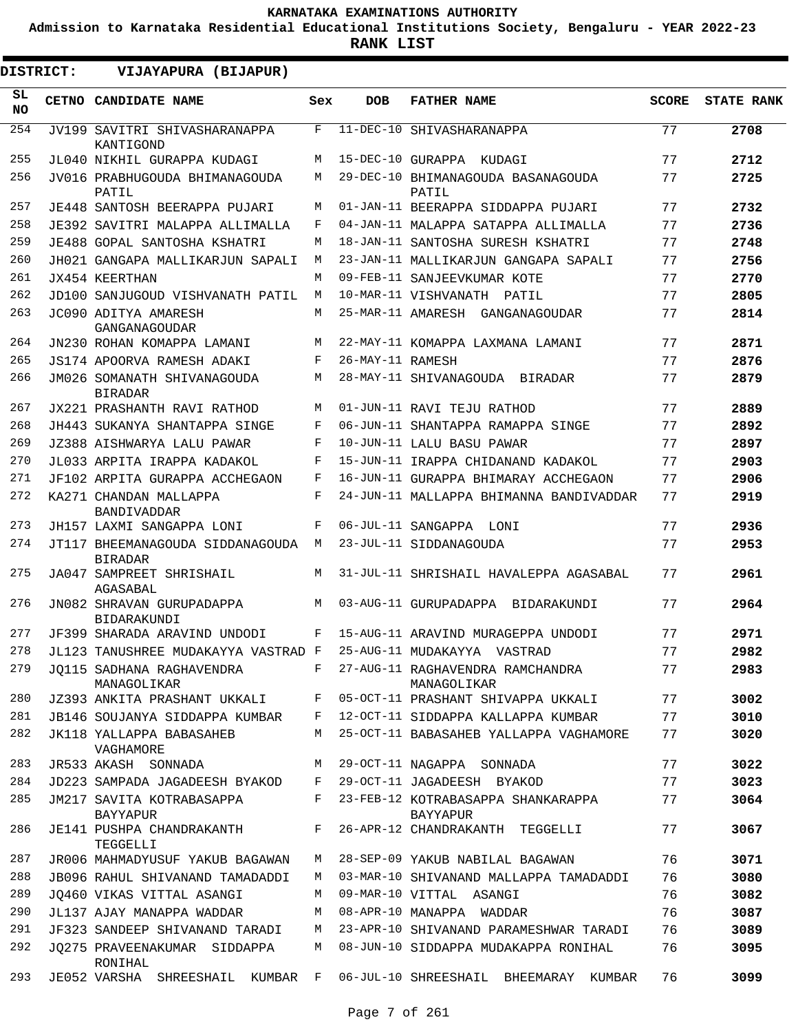**Admission to Karnataka Residential Educational Institutions Society, Bengaluru - YEAR 2022-23**

**RANK LIST**

| <b>DISTRICT:</b> | VIJAYAPURA (BIJAPUR)                                            |              |                  |                                                       |              |                   |
|------------------|-----------------------------------------------------------------|--------------|------------------|-------------------------------------------------------|--------------|-------------------|
| SL.<br><b>NO</b> | CETNO CANDIDATE NAME                                            | Sex          | <b>DOB</b>       | <b>FATHER NAME</b>                                    | <b>SCORE</b> | <b>STATE RANK</b> |
| 254              | JV199 SAVITRI SHIVASHARANAPPA<br>KANTIGOND                      | $\mathbf{F}$ |                  | 11-DEC-10 SHIVASHARANAPPA                             | 77           | 2708              |
| 255              | JL040 NIKHIL GURAPPA KUDAGI                                     | М            |                  | 15-DEC-10 GURAPPA KUDAGI                              | 77           | 2712              |
| 256              | JV016 PRABHUGOUDA BHIMANAGOUDA<br>PATIL                         | М            |                  | 29-DEC-10 BHIMANAGOUDA BASANAGOUDA<br>PATIL           | 77           | 2725              |
| 257              | JE448 SANTOSH BEERAPPA PUJARI                                   | M            |                  | 01-JAN-11 BEERAPPA SIDDAPPA PUJARI                    | 77           | 2732              |
| 258              | JE392 SAVITRI MALAPPA ALLIMALLA                                 | F            |                  | 04-JAN-11 MALAPPA SATAPPA ALLIMALLA                   | 77           | 2736              |
| 259              | JE488 GOPAL SANTOSHA KSHATRI                                    | М            |                  | 18-JAN-11 SANTOSHA SURESH KSHATRI                     | 77           | 2748              |
| 260              | JH021 GANGAPA MALLIKARJUN SAPALI                                | M            |                  | 23-JAN-11 MALLIKARJUN GANGAPA SAPALI                  | 77           | 2756              |
| 261              | JX454 KEERTHAN                                                  | M            |                  | 09-FEB-11 SANJEEVKUMAR KOTE                           | 77           | 2770              |
| 262              | JD100 SANJUGOUD VISHVANATH PATIL                                | M            |                  | 10-MAR-11 VISHVANATH PATIL                            | 77           | 2805              |
| 263              | JC090 ADITYA AMARESH<br>GANGANAGOUDAR                           | M            |                  | 25-MAR-11 AMARESH GANGANAGOUDAR                       | 77           | 2814              |
| 264              | JN230 ROHAN KOMAPPA LAMANI                                      | М            |                  | 22-MAY-11 KOMAPPA LAXMANA LAMANI                      | 77           | 2871              |
| 265              | JS174 APOORVA RAMESH ADAKI                                      | F            | 26-MAY-11 RAMESH |                                                       | 77           | 2876              |
| 266              | JM026 SOMANATH SHIVANAGOUDA<br><b>BIRADAR</b>                   | M            |                  | 28-MAY-11 SHIVANAGOUDA BIRADAR                        | 77           | 2879              |
| 267              | JX221 PRASHANTH RAVI RATHOD                                     | М            |                  | 01-JUN-11 RAVI TEJU RATHOD                            | 77           | 2889              |
| 268              | JH443 SUKANYA SHANTAPPA SINGE                                   | F            |                  | 06-JUN-11 SHANTAPPA RAMAPPA SINGE                     | 77           | 2892              |
| 269              | JZ388 AISHWARYA LALU PAWAR                                      | F            |                  | 10-JUN-11 LALU BASU PAWAR                             | 77           | 2897              |
| 270              | JL033 ARPITA IRAPPA KADAKOL                                     | F            |                  | 15-JUN-11 IRAPPA CHIDANAND KADAKOL                    | 77           | 2903              |
| 271              | JF102 ARPITA GURAPPA ACCHEGAON                                  | F            |                  | 16-JUN-11 GURAPPA BHIMARAY ACCHEGAON                  | 77           | 2906              |
| 272              | KA271 CHANDAN MALLAPPA<br><b>BANDIVADDAR</b>                    | F            |                  | 24-JUN-11 MALLAPPA BHIMANNA BANDIVADDAR               | 77           | 2919              |
| 273              | JH157 LAXMI SANGAPPA LONI                                       | F            |                  | 06-JUL-11 SANGAPPA LONI                               | 77           | 2936              |
| 274              | JT117 BHEEMANAGOUDA SIDDANAGOUDA<br><b>BIRADAR</b>              | M            |                  | 23-JUL-11 SIDDANAGOUDA                                | 77           | 2953              |
| 275              | JA047 SAMPREET SHRISHAIL<br>AGASABAL                            | М            |                  | 31-JUL-11 SHRISHAIL HAVALEPPA AGASABAL                | 77           | 2961              |
| 276              | JN082 SHRAVAN GURUPADAPPA<br><b>BIDARAKUNDI</b>                 | M            |                  | 03-AUG-11 GURUPADAPPA BIDARAKUNDI                     | 77           | 2964              |
| 277              | JF399 SHARADA ARAVIND UNDODI                                    | F            |                  | 15-AUG-11 ARAVIND MURAGEPPA UNDODI                    | 77           | 2971              |
| 278              | JL123 TANUSHREE MUDAKAYYA VASTRAD F 25-AUG-11 MUDAKAYYA VASTRAD |              |                  |                                                       | 77           | 2982              |
| 279              | JO115 SADHANA RAGHAVENDRA<br>MANAGOLIKAR                        | F            |                  | 27-AUG-11 RAGHAVENDRA RAMCHANDRA<br>MANAGOLIKAR       | 77           | 2983              |
| 280              | JZ393 ANKITA PRASHANT UKKALI                                    | F            |                  | 05-OCT-11 PRASHANT SHIVAPPA UKKALI                    | 77           | 3002              |
| 281              | <b>JB146 SOUJANYA SIDDAPPA KUMBAR</b>                           | F            |                  | 12-OCT-11 SIDDAPPA KALLAPPA KUMBAR                    | 77           | 3010              |
| 282              | <b>JK118 YALLAPPA BABASAHEB</b><br>VAGHAMORE                    | М            |                  | 25-OCT-11 BABASAHEB YALLAPPA VAGHAMORE                | 77           | 3020              |
| 283              | JR533 AKASH SONNADA                                             | М            |                  | 29-OCT-11 NAGAPPA SONNADA                             | 77           | 3022              |
| 284              | JD223 SAMPADA JAGADEESH BYAKOD                                  | F            |                  | 29-OCT-11 JAGADEESH BYAKOD                            | 77           | 3023              |
| 285              | JM217 SAVITA KOTRABASAPPA<br><b>BAYYAPUR</b>                    | F            |                  | 23-FEB-12 KOTRABASAPPA SHANKARAPPA<br><b>BAYYAPUR</b> | 77           | 3064              |
| 286              | JE141 PUSHPA CHANDRAKANTH<br>TEGGELLI                           | F            |                  | 26-APR-12 CHANDRAKANTH TEGGELLI                       | 77           | 3067              |
| 287              | JR006 MAHMADYUSUF YAKUB BAGAWAN                                 | М            |                  | 28-SEP-09 YAKUB NABILAL BAGAWAN                       | 76           | 3071              |
| 288              | JB096 RAHUL SHIVANAND TAMADADDI                                 | M            |                  | 03-MAR-10 SHIVANAND MALLAPPA TAMADADDI                | 76           | 3080              |
| 289              | JO460 VIKAS VITTAL ASANGI                                       | М            |                  | 09-MAR-10 VITTAL ASANGI                               | 76           | 3082              |
| 290              | JL137 AJAY MANAPPA WADDAR                                       | М            |                  | 08-APR-10 MANAPPA WADDAR                              | 76           | 3087              |
| 291              | JF323 SANDEEP SHIVANAND TARADI                                  | М            |                  | 23-APR-10 SHIVANAND PARAMESHWAR TARADI                | 76           | 3089              |
| 292              | JO275 PRAVEENAKUMAR SIDDAPPA<br>RONIHAL                         | M            |                  | 08-JUN-10 SIDDAPPA MUDAKAPPA RONIHAL                  | 76           | 3095              |
| 293              | JE052 VARSHA SHREESHAIL KUMBAR F                                |              |                  | 06-JUL-10 SHREESHAIL BHEEMARAY KUMBAR                 | 76           | 3099              |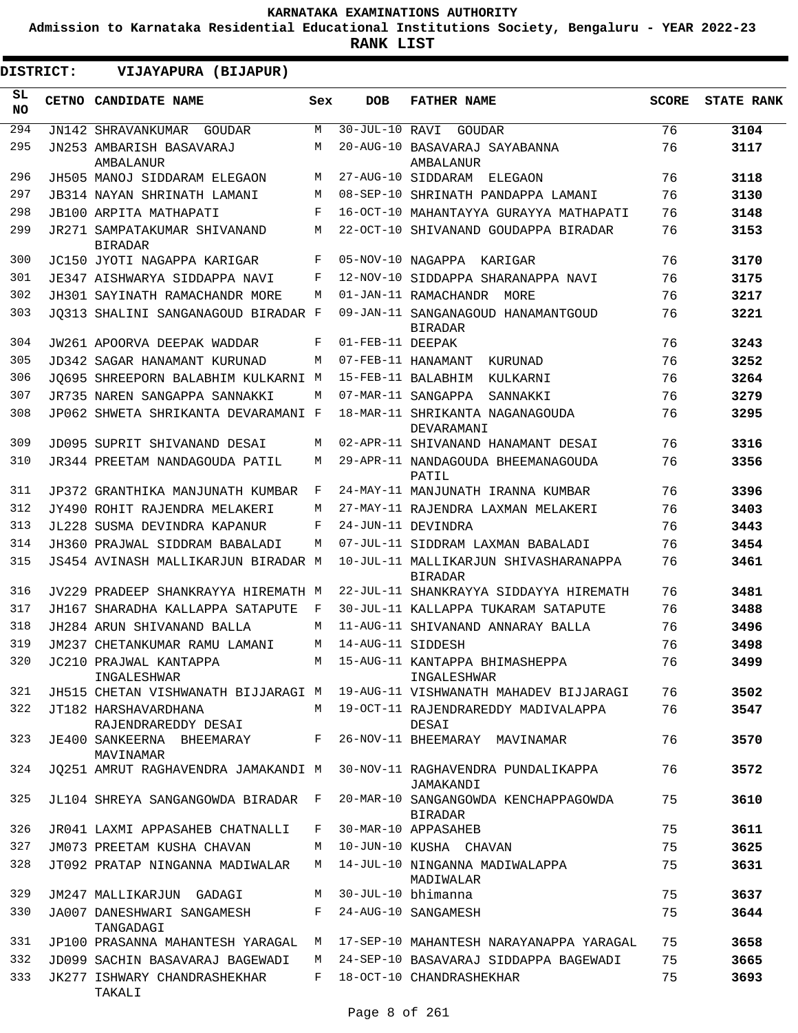**Admission to Karnataka Residential Educational Institutions Society, Bengaluru - YEAR 2022-23**

|            | <b>DISTRICT:</b> | VIJAYAPURA (BIJAPUR)                                                   |     |                   |                                                                            |              |                   |
|------------|------------------|------------------------------------------------------------------------|-----|-------------------|----------------------------------------------------------------------------|--------------|-------------------|
| SL.<br>NO. |                  | CETNO CANDIDATE NAME                                                   | Sex | <b>DOB</b>        | <b>FATHER NAME</b>                                                         | <b>SCORE</b> | <b>STATE RANK</b> |
| 294        |                  | JN142 SHRAVANKUMAR GOUDAR                                              | M   | 30-JUL-10 RAVI    | GOUDAR                                                                     | 76           | 3104              |
| 295        |                  | JN253 AMBARISH BASAVARAJ<br>AMBALANUR                                  | М   |                   | 20-AUG-10 BASAVARAJ SAYABANNA<br>AMBALANUR                                 | 76           | 3117              |
| 296        |                  | JH505 MANOJ SIDDARAM ELEGAON                                           | M   |                   | 27-AUG-10 SIDDARAM ELEGAON                                                 | 76           | 3118              |
| 297        |                  | <b>JB314 NAYAN SHRINATH LAMANI</b>                                     | М   |                   | 08-SEP-10 SHRINATH PANDAPPA LAMANI                                         | 76           | 3130              |
| 298        |                  | <b>JB100 ARPITA MATHAPATI</b>                                          | F   |                   | 16-OCT-10 MAHANTAYYA GURAYYA MATHAPATI                                     | 76           | 3148              |
| 299        |                  | JR271 SAMPATAKUMAR SHIVANAND<br><b>BIRADAR</b>                         | М   |                   | 22-OCT-10 SHIVANAND GOUDAPPA BIRADAR                                       | 76           | 3153              |
| 300        |                  | JC150 JYOTI NAGAPPA KARIGAR                                            | F   |                   | 05-NOV-10 NAGAPPA KARIGAR                                                  | 76           | 3170              |
| 301        |                  | JE347 AISHWARYA SIDDAPPA NAVI                                          | F   |                   | 12-NOV-10 SIDDAPPA SHARANAPPA NAVI                                         | 76           | 3175              |
| 302        |                  | JH301 SAYINATH RAMACHANDR MORE                                         | М   |                   | 01-JAN-11 RAMACHANDR<br>MORE                                               | 76           | 3217              |
| 303        |                  | JO313 SHALINI SANGANAGOUD BIRADAR F                                    |     |                   | 09-JAN-11 SANGANAGOUD HANAMANTGOUD<br><b>BIRADAR</b>                       | 76           | 3221              |
| 304        |                  | JW261 APOORVA DEEPAK WADDAR                                            | F   | 01-FEB-11 DEEPAK  |                                                                            | 76           | 3243              |
| 305        |                  | JD342 SAGAR HANAMANT KURUNAD                                           | М   |                   | 07-FEB-11 HANAMANT KURUNAD                                                 | 76           | 3252              |
| 306        |                  | JQ695 SHREEPORN BALABHIM KULKARNI M                                    |     |                   | 15-FEB-11 BALABHIM<br>KULKARNI                                             | 76           | 3264              |
| 307        |                  | JR735 NAREN SANGAPPA SANNAKKI                                          | M   |                   | 07-MAR-11 SANGAPPA<br>SANNAKKI                                             | 76           | 3279              |
| 308        |                  | JP062 SHWETA SHRIKANTA DEVARAMANI F                                    |     |                   | 18-MAR-11 SHRIKANTA NAGANAGOUDA<br>DEVARAMANI                              | 76           | 3295              |
| 309        |                  | JD095 SUPRIT SHIVANAND DESAI                                           | М   |                   | 02-APR-11 SHIVANAND HANAMANT DESAI                                         | 76           | 3316              |
| 310        |                  | JR344 PREETAM NANDAGOUDA PATIL                                         | M   |                   | 29-APR-11 NANDAGOUDA BHEEMANAGOUDA<br>PATIL                                | 76           | 3356              |
| 311        |                  | JP372 GRANTHIKA MANJUNATH KUMBAR                                       | F   |                   | 24-MAY-11 MANJUNATH IRANNA KUMBAR                                          | 76           | 3396              |
| 312        |                  | JY490 ROHIT RAJENDRA MELAKERI                                          | М   |                   | 27-MAY-11 RAJENDRA LAXMAN MELAKERI                                         | 76           | 3403              |
| 313        |                  | JL228 SUSMA DEVINDRA KAPANUR                                           | F   |                   | 24-JUN-11 DEVINDRA                                                         | 76           | 3443              |
| 314        |                  | JH360 PRAJWAL SIDDRAM BABALADI                                         | М   |                   | 07-JUL-11 SIDDRAM LAXMAN BABALADI                                          | 76           | 3454              |
| 315        |                  | JS454 AVINASH MALLIKARJUN BIRADAR M                                    |     |                   | 10-JUL-11 MALLIKARJUN SHIVASHARANAPPA<br><b>BIRADAR</b>                    | 76           | 3461              |
| 316        |                  | JV229 PRADEEP SHANKRAYYA HIREMATH M                                    |     |                   | 22-JUL-11 SHANKRAYYA SIDDAYYA HIREMATH                                     | 76           | 3481              |
| 317        |                  | JH167 SHARADHA KALLAPPA SATAPUTE                                       | F   |                   | 30-JUL-11 KALLAPPA TUKARAM SATAPUTE                                        | 76           | 3488              |
| 318        |                  | JH284 ARUN SHIVANAND BALLA                                             | М   |                   | 11-AUG-11 SHIVANAND ANNARAY BALLA                                          | 76           | 3496              |
| 319        |                  | JM237 CHETANKUMAR RAMU LAMANI                                          | М   | 14-AUG-11 SIDDESH |                                                                            | 76           | 3498              |
| 320        |                  | JC210 PRAJWAL KANTAPPA<br>INGALESHWAR                                  |     |                   | M 15-AUG-11 KANTAPPA BHIMASHEPPA<br>INGALESHWAR                            | 76           | 3499              |
| 321        |                  |                                                                        |     |                   | JH515 CHETAN VISHWANATH BIJJARAGI M 19-AUG-11 VISHWANATH MAHADEV BIJJARAGI | 76           | 3502              |
| 322        |                  | JT182 HARSHAVARDHANA<br>RAJENDRAREDDY DESAI                            |     |                   | M 19-OCT-11 RAJENDRAREDDY MADIVALAPPA<br>DESAI                             | 76           | 3547              |
| 323<br>324 |                  | JE400 SANKEERNA BHEEMARAY F 26-NOV-11 BHEEMARAY MAVINAMAR<br>MAVINAMAR |     |                   | JQ251 AMRUT RAGHAVENDRA JAMAKANDI M 30-NOV-11 RAGHAVENDRA PUNDALIKAPPA     | 76<br>76     | 3570<br>3572      |
| 325        |                  | JL104 SHREYA SANGANGOWDA BIRADAR F                                     |     |                   | JAMAKANDI<br>20-MAR-10 SANGANGOWDA KENCHAPPAGOWDA                          | 75           | 3610              |
| 326        |                  | JR041 LAXMI APPASAHEB CHATNALLI                                        | F   |                   | BIRADAR<br>30-MAR-10 APPASAHEB                                             | 75           | 3611              |
| 327        |                  | JM073 PREETAM KUSHA CHAVAN                                             |     |                   | M 10-JUN-10 KUSHA CHAVAN                                                   | 75           | 3625              |
| 328        |                  | JT092 PRATAP NINGANNA MADIWALAR                                        |     |                   | M 14-JUL-10 NINGANNA MADIWALAPPA                                           | 75           | 3631              |
|            |                  |                                                                        |     |                   | MADIWALAR                                                                  |              |                   |
| 329        |                  | JM247 MALLIKARJUN GADAGI                                               |     |                   | M 30-JUL-10 bhimanna                                                       | 75           | 3637              |
| 330        |                  | JA007 DANESHWARI SANGAMESH<br>TANGADAGI                                |     |                   | F 24-AUG-10 SANGAMESH                                                      | 75           | 3644              |
| 331        |                  |                                                                        |     |                   | JP100 PRASANNA MAHANTESH YARAGAL M 17-SEP-10 MAHANTESH NARAYANAPPA YARAGAL | 75           | 3658              |
| 332<br>333 |                  | JD099 SACHIN BASAVARAJ BAGEWADI                                        |     |                   | M 24-SEP-10 BASAVARAJ SIDDAPPA BAGEWADI<br>F 18-OCT-10 CHANDRASHEKHAR      | 75<br>75     | 3665              |
|            |                  | JK277 ISHWARY CHANDRASHEKHAR<br>TAKALI                                 |     |                   |                                                                            |              | 3693              |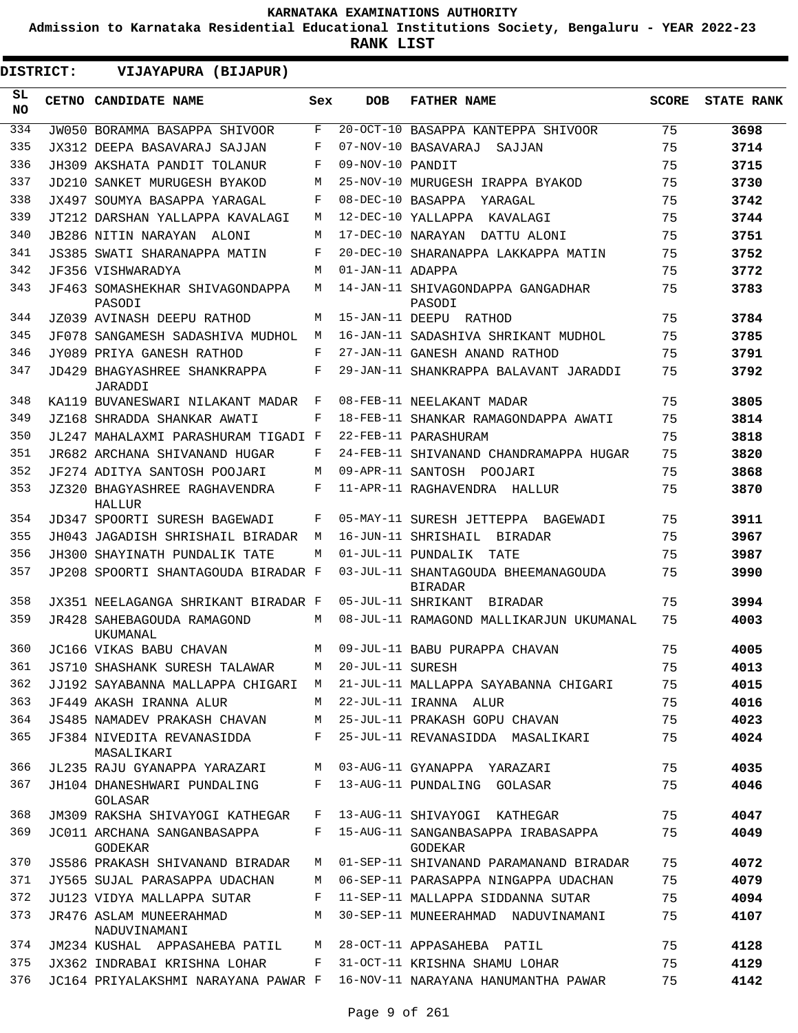**Admission to Karnataka Residential Educational Institutions Society, Bengaluru - YEAR 2022-23**

|                  | <b>DISTRICT:</b> | VIJAYAPURA (BIJAPUR)                                 |     |                   |                                                       |              |                   |
|------------------|------------------|------------------------------------------------------|-----|-------------------|-------------------------------------------------------|--------------|-------------------|
| SL.<br><b>NO</b> |                  | CETNO CANDIDATE NAME                                 | Sex | <b>DOB</b>        | <b>FATHER NAME</b>                                    | <b>SCORE</b> | <b>STATE RANK</b> |
| 334              |                  | JW050 BORAMMA BASAPPA SHIVOOR                        | F   |                   | 20-OCT-10 BASAPPA KANTEPPA SHIVOOR                    | 75           | 3698              |
| 335              |                  | JX312 DEEPA BASAVARAJ SAJJAN                         | F   |                   | 07-NOV-10 BASAVARAJ<br>SAJJAN                         | 75           | 3714              |
| 336              |                  | JH309 AKSHATA PANDIT TOLANUR                         | F   | 09-NOV-10 PANDIT  |                                                       | 75           | 3715              |
| 337              |                  | JD210 SANKET MURUGESH BYAKOD                         | М   |                   | 25-NOV-10 MURUGESH IRAPPA BYAKOD                      | 75           | 3730              |
| 338              |                  | JX497 SOUMYA BASAPPA YARAGAL                         | F   | 08-DEC-10 BASAPPA | YARAGAL                                               | 75           | 3742              |
| 339              |                  | JT212 DARSHAN YALLAPPA KAVALAGI                      | М   |                   | 12-DEC-10 YALLAPPA<br>KAVALAGT                        | 75           | 3744              |
| 340              |                  | JB286 NITIN NARAYAN ALONI                            | М   | 17-DEC-10 NARAYAN | DATTU ALONI                                           | 75           | 3751              |
| 341              |                  | JS385 SWATI SHARANAPPA MATIN                         | F   |                   | 20-DEC-10 SHARANAPPA LAKKAPPA MATIN                   | 75           | 3752              |
| 342              |                  | JF356 VISHWARADYA                                    | М   | 01-JAN-11 ADAPPA  |                                                       | 75           | 3772              |
| 343              |                  | JF463 SOMASHEKHAR SHIVAGONDAPPA<br>PASODI            | M   |                   | 14-JAN-11 SHIVAGONDAPPA GANGADHAR<br>PASODI           | 75           | 3783              |
| 344              |                  | JZ039 AVINASH DEEPU RATHOD                           | М   |                   | 15-JAN-11 DEEPU RATHOD                                | 75           | 3784              |
| 345              |                  | JF078 SANGAMESH SADASHIVA MUDHOL                     | М   |                   | 16-JAN-11 SADASHIVA SHRIKANT MUDHOL                   | 75           | 3785              |
| 346              |                  | JY089 PRIYA GANESH RATHOD                            | F   |                   | 27-JAN-11 GANESH ANAND RATHOD                         | 75           | 3791              |
| 347              |                  | JD429 BHAGYASHREE SHANKRAPPA<br>JARADDI              | F   |                   | 29-JAN-11 SHANKRAPPA BALAVANT JARADDI                 | 75           | 3792              |
| 348              |                  | KA119 BUVANESWARI NILAKANT MADAR                     | F   |                   | 08-FEB-11 NEELAKANT MADAR                             | 75           | 3805              |
| 349              |                  | JZ168 SHRADDA SHANKAR AWATI                          | F   |                   | 18-FEB-11 SHANKAR RAMAGONDAPPA AWATI                  | 75           | 3814              |
| 350              |                  | JL247 MAHALAXMI PARASHURAM TIGADI F                  |     |                   | 22-FEB-11 PARASHURAM                                  | 75           | 3818              |
| 351              |                  | JR682 ARCHANA SHIVANAND HUGAR                        | F   |                   | 24-FEB-11 SHIVANAND CHANDRAMAPPA HUGAR                | 75           | 3820              |
| 352              |                  | JF274 ADITYA SANTOSH POOJARI                         | М   |                   | 09-APR-11 SANTOSH POOJARI                             | 75           | 3868              |
| 353              |                  | JZ320 BHAGYASHREE RAGHAVENDRA<br>HALLUR              | F   |                   | 11-APR-11 RAGHAVENDRA HALLUR                          | 75           | 3870              |
| 354              |                  | JD347 SPOORTI SURESH BAGEWADI                        | F   |                   | 05-MAY-11 SURESH JETTEPPA BAGEWADI                    | 75           | 3911              |
| 355              |                  | JH043 JAGADISH SHRISHAIL BIRADAR                     | М   |                   | 16-JUN-11 SHRISHAIL BIRADAR                           | 75           | 3967              |
| 356              |                  | JH300 SHAYINATH PUNDALIK TATE                        | М   |                   | 01-JUL-11 PUNDALIK<br>TATE                            | 75           | 3987              |
| 357              |                  | JP208 SPOORTI SHANTAGOUDA BIRADAR F                  |     |                   | 03-JUL-11 SHANTAGOUDA BHEEMANAGOUDA<br><b>BIRADAR</b> | 75           | 3990              |
| 358              |                  | JX351 NEELAGANGA SHRIKANT BIRADAR F                  |     |                   | 05-JUL-11 SHRIKANT BIRADAR                            | 75           | 3994              |
| 359              |                  | <b>JR428 SAHEBAGOUDA RAMAGOND</b><br><b>UKUMANAL</b> | M   |                   | 08-JUL-11 RAMAGOND MALLIKARJUN UKUMANAL               | 75           | 4003              |
| 360              |                  | JC166 VIKAS BABU CHAVAN                              | M   |                   | 09-JUL-11 BABU PURAPPA CHAVAN                         | 75           | 4005              |
| 361              |                  | JS710 SHASHANK SURESH TALAWAR                        | M   | 20-JUL-11 SURESH  |                                                       | 75           | 4013              |
| 362              |                  | JJ192 SAYABANNA MALLAPPA CHIGARI                     | M   |                   | 21-JUL-11 MALLAPPA SAYABANNA CHIGARI                  | 75           | 4015              |
| 363              |                  | JF449 AKASH IRANNA ALUR                              | M   |                   | 22-JUL-11 IRANNA ALUR                                 | 75           | 4016              |
| 364              |                  | JS485 NAMADEV PRAKASH CHAVAN                         | М   |                   | 25-JUL-11 PRAKASH GOPU CHAVAN                         | 75           | 4023              |
| 365              |                  | JF384 NIVEDITA REVANASIDDA<br>MASALIKARI             | F   |                   | 25-JUL-11 REVANASIDDA MASALIKARI                      | 75           | 4024              |
| 366              |                  | JL235 RAJU GYANAPPA YARAZARI                         | M   |                   | 03-AUG-11 GYANAPPA YARAZARI                           | 75           | 4035              |
| 367              |                  | JH104 DHANESHWARI PUNDALING<br>GOLASAR               | F   |                   | 13-AUG-11 PUNDALING GOLASAR                           | 75           | 4046              |
| 368              |                  | JM309 RAKSHA SHIVAYOGI KATHEGAR                      | F   |                   | 13-AUG-11 SHIVAYOGI KATHEGAR                          | 75           | 4047              |
| 369              |                  | JC011 ARCHANA SANGANBASAPPA<br>GODEKAR               | F   |                   | 15-AUG-11 SANGANBASAPPA IRABASAPPA<br><b>GODEKAR</b>  | 75           | 4049              |
| 370              |                  | JS586 PRAKASH SHIVANAND BIRADAR                      | М   |                   | 01-SEP-11 SHIVANAND PARAMANAND BIRADAR                | 75           | 4072              |
| 371              |                  | JY565 SUJAL PARASAPPA UDACHAN                        | М   |                   | 06-SEP-11 PARASAPPA NINGAPPA UDACHAN                  | 75           | 4079              |
| 372              |                  | JU123 VIDYA MALLAPPA SUTAR                           | F   |                   | 11-SEP-11 MALLAPPA SIDDANNA SUTAR                     | 75           | 4094              |
| 373              |                  | JR476 ASLAM MUNEERAHMAD<br>NADUVINAMANI              | M   |                   | 30-SEP-11 MUNEERAHMAD NADUVINAMANI                    | 75           | 4107              |
| 374              |                  | JM234 KUSHAL APPASAHEBA PATIL                        | М   |                   | 28-OCT-11 APPASAHEBA PATIL                            | 75           | 4128              |
| 375              |                  | JX362 INDRABAI KRISHNA LOHAR                         | F   |                   | 31-OCT-11 KRISHNA SHAMU LOHAR                         | 75           | 4129              |
| 376              |                  | JC164 PRIYALAKSHMI NARAYANA PAWAR F                  |     |                   | 16-NOV-11 NARAYANA HANUMANTHA PAWAR                   | 75           | 4142              |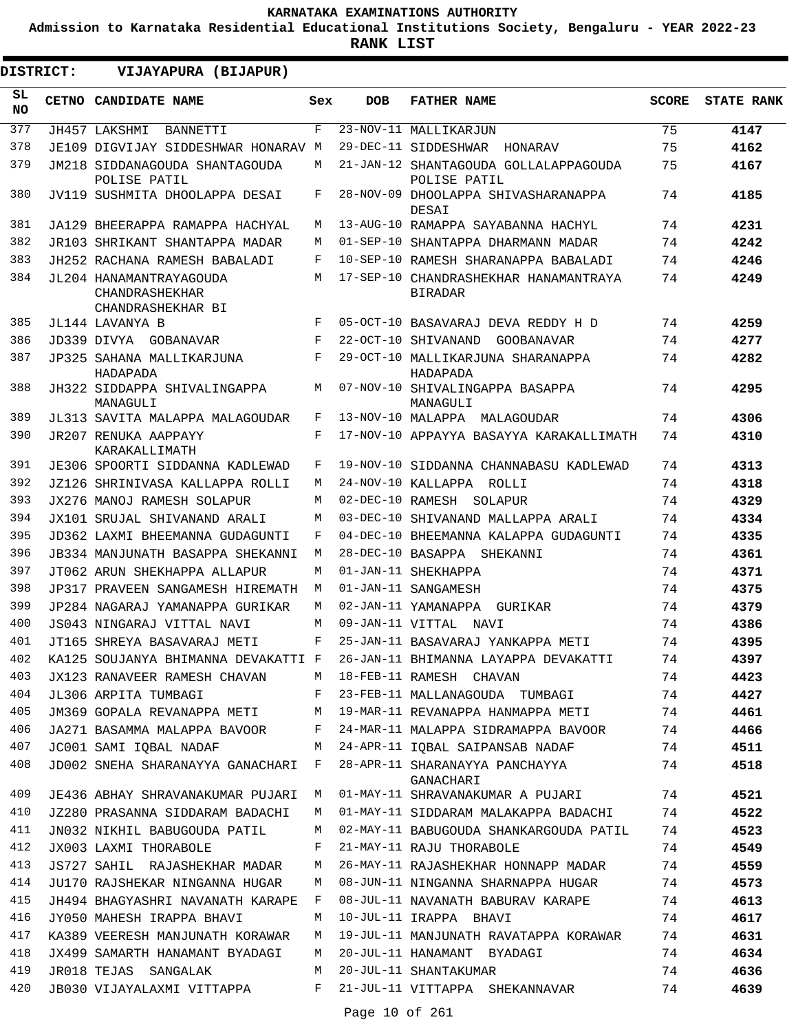**Admission to Karnataka Residential Educational Institutions Society, Bengaluru - YEAR 2022-23**

**RANK LIST**

**DISTRICT:** EE **VIJAYAPURA (BIJAPUR)**

| SL<br><b>NO</b> | CETNO CANDIDATE NAME                                           | Sex          | <b>DOB</b>       | <b>FATHER NAME</b>                                              | <b>SCORE</b> | <b>STATE RANK</b> |
|-----------------|----------------------------------------------------------------|--------------|------------------|-----------------------------------------------------------------|--------------|-------------------|
| 377             | JH457 LAKSHMI<br>BANNETTI                                      | F            |                  | 23-NOV-11 MALLIKARJUN                                           | 75           | 4147              |
| 378             | JE109 DIGVIJAY SIDDESHWAR HONARAV M                            |              |                  | 29-DEC-11 SIDDESHWAR<br>HONARAV                                 | 75           | 4162              |
| 379             | JM218 SIDDANAGOUDA SHANTAGOUDA<br>POLISE PATIL                 | M            |                  | 21-JAN-12 SHANTAGOUDA GOLLALAPPAGOUDA<br>POLISE PATIL           | 75           | 4167              |
| 380             | JV119 SUSHMITA DHOOLAPPA DESAI                                 | F            |                  | 28-NOV-09 DHOOLAPPA SHIVASHARANAPPA<br>DESAI                    | 74           | 4185              |
| 381             | JA129 BHEERAPPA RAMAPPA HACHYAL                                | М            |                  | 13-AUG-10 RAMAPPA SAYABANNA HACHYL                              | 74           | 4231              |
| 382             | JR103 SHRIKANT SHANTAPPA MADAR                                 | М            |                  | 01-SEP-10 SHANTAPPA DHARMANN MADAR                              | 74           | 4242              |
| 383             | JH252 RACHANA RAMESH BABALADI                                  | F            |                  | 10-SEP-10 RAMESH SHARANAPPA BABALADI                            | 74           | 4246              |
| 384             | JL204 HANAMANTRAYAGOUDA<br>CHANDRASHEKHAR<br>CHANDRASHEKHAR BI | М            |                  | 17-SEP-10 CHANDRASHEKHAR HANAMANTRAYA<br><b>BIRADAR</b>         | 74           | 4249              |
| 385             | JL144 LAVANYA B                                                | F            |                  | 05-OCT-10 BASAVARAJ DEVA REDDY H D                              | 74           | 4259              |
| 386             | JD339 DIVYA GOBANAVAR                                          | F            |                  | 22-OCT-10 SHIVANAND<br>GOOBANAVAR                               | 74           | 4277              |
| 387             | JP325 SAHANA MALLIKARJUNA<br>HADAPADA                          | F            |                  | 29-OCT-10 MALLIKARJUNA SHARANAPPA<br>HADAPADA                   | 74           | 4282              |
| 388             | JH322 SIDDAPPA SHIVALINGAPPA<br>MANAGULI                       | М            |                  | 07-NOV-10 SHIVALINGAPPA BASAPPA<br>MANAGULI                     | 74           | 4295              |
| 389             | JL313 SAVITA MALAPPA MALAGOUDAR                                | F            |                  | 13-NOV-10 MALAPPA MALAGOUDAR                                    | 74           | 4306              |
| 390             | JR207 RENUKA AAPPAYY<br>KARAKALLIMATH                          | F            |                  | 17-NOV-10 APPAYYA BASAYYA KARAKALLIMATH                         | 74           | 4310              |
| 391             | JE306 SPOORTI SIDDANNA KADLEWAD                                | F            |                  | 19-NOV-10 SIDDANNA CHANNABASU KADLEWAD                          | 74           | 4313              |
| 392             | JZ126 SHRINIVASA KALLAPPA ROLLI                                | М            |                  | 24-NOV-10 KALLAPPA ROLLI                                        | 74           | 4318              |
| 393             | JX276 MANOJ RAMESH SOLAPUR                                     | M            | 02-DEC-10 RAMESH | SOLAPUR                                                         | 74           | 4329              |
| 394             | JX101 SRUJAL SHIVANAND ARALI                                   | М            |                  | 03-DEC-10 SHIVANAND MALLAPPA ARALI                              | 74           | 4334              |
| 395             | JD362 LAXMI BHEEMANNA GUDAGUNTI                                | F            |                  | 04-DEC-10 BHEEMANNA KALAPPA GUDAGUNTI                           | 74           | 4335              |
| 396             | JB334 MANJUNATH BASAPPA SHEKANNI                               | М            |                  | 28-DEC-10 BASAPPA<br>SHEKANNI                                   | 74           | 4361              |
| 397             | JT062 ARUN SHEKHAPPA ALLAPUR                                   | М            |                  | 01-JAN-11 SHEKHAPPA                                             | 74           | 4371              |
| 398             | JP317 PRAVEEN SANGAMESH HIREMATH                               | M            |                  | 01-JAN-11 SANGAMESH                                             | 74           | 4375              |
| 399             | JP284 NAGARAJ YAMANAPPA GURIKAR                                | М            |                  | 02-JAN-11 YAMANAPPA<br>GURIKAR                                  | 74           | 4379              |
| 400             | JS043 NINGARAJ VITTAL NAVI                                     | M            | 09-JAN-11 VITTAL | NAVI                                                            | 74           | 4386              |
| 401             | JT165 SHREYA BASAVARAJ METI                                    | F            |                  | 25-JAN-11 BASAVARAJ YANKAPPA METI                               | 74           | 4395              |
| 402             | KA125 SOUJANYA BHIMANNA DEVAKATTI F                            |              |                  | 26-JAN-11 BHIMANNA LAYAPPA DEVAKATTI                            | 74           | 4397              |
| 403             | JX123 RANAVEER RAMESH CHAVAN                                   | M            |                  | 18-FEB-11 RAMESH CHAVAN                                         | 74           | 4423              |
| 404             | JL306 ARPITA TUMBAGI                                           | $\mathbf{F}$ |                  | 23-FEB-11 MALLANAGOUDA TUMBAGI                                  | 74           | 4427              |
| 405             |                                                                |              |                  | JM369 GOPALA REVANAPPA METI M 19-MAR-11 REVANAPPA HANMAPPA METI | 74           | 4461              |
| 406             | JA271 BASAMMA MALAPPA BAVOOR                                   | F            |                  | 24-MAR-11 MALAPPA SIDRAMAPPA BAVOOR 74                          |              | 4466              |
| 407             | JC001 SAMI IQBAL NADAF                                         | M            |                  | 24-APR-11 IQBAL SAIPANSAB NADAF                                 | 74           | 4511              |
| 408             | JD002 SNEHA SHARANAYYA GANACHARI F                             |              |                  | 28-APR-11 SHARANAYYA PANCHAYYA<br>GANACHARI                     | 74           | 4518              |
| 409             | JE436 ABHAY SHRAVANAKUMAR PUJARI M                             |              |                  | 01-MAY-11 SHRAVANAKUMAR A PUJARI                                | 74           | 4521              |
| 410             | JZ280 PRASANNA SIDDARAM BADACHI                                | M            |                  | 01-MAY-11 SIDDARAM MALAKAPPA BADACHI                            | 74           | 4522              |
| 411             | JN032 NIKHIL BABUGOUDA PATIL                                   | M            |                  | 02-MAY-11 BABUGOUDA SHANKARGOUDA PATIL                          | 74           | 4523              |
| 412             | JX003 LAXMI THORABOLE                                          | F            |                  | 21-MAY-11 RAJU THORABOLE                                        | 74           | 4549              |
| 413             | JS727 SAHIL RAJASHEKHAR MADAR                                  | M            |                  | 26-MAY-11 RAJASHEKHAR HONNAPP MADAR                             | 74           | 4559              |
| 414             | JU170 RAJSHEKAR NINGANNA HUGAR                                 | M            |                  | 08-JUN-11 NINGANNA SHARNAPPA HUGAR                              | 74           | 4573              |
| 415             | JH494 BHAGYASHRI NAVANATH KARAPE                               | $\mathbf{F}$ |                  | 08-JUL-11 NAVANATH BABURAV KARAPE                               | 74           | 4613              |
| 416             | JY050 MAHESH IRAPPA BHAVI                                      | М            |                  | 10-JUL-11 IRAPPA BHAVI                                          | 74           | 4617              |
| 417             | KA389 VEERESH MANJUNATH KORAWAR                                | M            |                  | 19-JUL-11 MANJUNATH RAVATAPPA KORAWAR                           | 74           | 4631              |
| 418             | JX499 SAMARTH HANAMANT BYADAGI                                 | M            |                  | 20-JUL-11 HANAMANT BYADAGI                                      | 74           | 4634              |
| 419             | JR018 TEJAS SANGALAK                                           | M            |                  | 20-JUL-11 SHANTAKUMAR                                           | 74           | 4636              |
| 420             | JB030 VIJAYALAXMI VITTAPPA                                     | F            |                  | 21-JUL-11 VITTAPPA SHEKANNAVAR                                  | 74           | 4639              |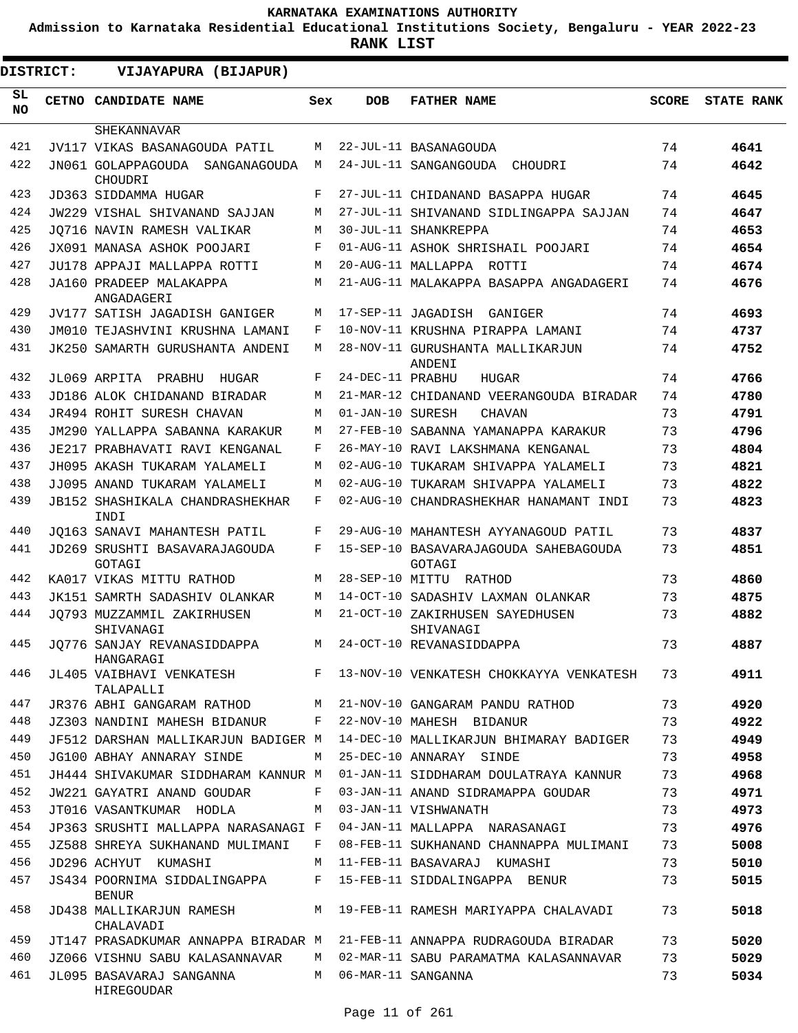**Admission to Karnataka Residential Educational Institutions Society, Bengaluru - YEAR 2022-23**

| <b>DISTRICT:</b> | VIJAYAPURA (BIJAPUR)                                                     |     |                  |                                                 |              |                   |
|------------------|--------------------------------------------------------------------------|-----|------------------|-------------------------------------------------|--------------|-------------------|
| SL<br><b>NO</b>  | <b>CETNO CANDIDATE NAME</b>                                              | Sex | <b>DOB</b>       | <b>FATHER NAME</b>                              | <b>SCORE</b> | <b>STATE RANK</b> |
|                  | SHEKANNAVAR                                                              |     |                  |                                                 |              |                   |
| 421              | JV117 VIKAS BASANAGOUDA PATIL                                            | М   |                  | 22-JUL-11 BASANAGOUDA                           | 74           | 4641              |
| 422              | JN061 GOLAPPAGOUDA SANGANAGOUDA<br>CHOUDRI                               | М   |                  | 24-JUL-11 SANGANGOUDA<br>CHOUDRI                | 74           | 4642              |
| 423              | JD363 SIDDAMMA HUGAR                                                     | F   |                  | 27-JUL-11 CHIDANAND BASAPPA HUGAR               | 74           | 4645              |
| 424              | JW229 VISHAL SHIVANAND SAJJAN                                            | М   |                  | 27-JUL-11 SHIVANAND SIDLINGAPPA SAJJAN          | 74           | 4647              |
| 425              | JO716 NAVIN RAMESH VALIKAR                                               | М   |                  | 30-JUL-11 SHANKREPPA                            | 74           | 4653              |
| 426              | JX091 MANASA ASHOK POOJARI                                               | F   |                  | 01-AUG-11 ASHOK SHRISHAIL POOJARI               | 74           | 4654              |
| 427              | JU178 APPAJI MALLAPPA ROTTI                                              | М   |                  | 20-AUG-11 MALLAPPA<br>ROTTI                     | 74           | 4674              |
| 428              | JA160 PRADEEP MALAKAPPA                                                  | М   |                  | 21-AUG-11 MALAKAPPA BASAPPA ANGADAGERI          | 74           | 4676              |
|                  | ANGADAGERI                                                               |     |                  |                                                 |              |                   |
| 429              | JV177 SATISH JAGADISH GANIGER                                            | M   |                  | 17-SEP-11 JAGADISH<br>GANIGER                   | 74           | 4693              |
| 430              | JM010 TEJASHVINI KRUSHNA LAMANI                                          | F   |                  | 10-NOV-11 KRUSHNA PIRAPPA LAMANI                | 74           | 4737              |
| 431              | JK250 SAMARTH GURUSHANTA ANDENI                                          | M   |                  | 28-NOV-11 GURUSHANTA MALLIKARJUN<br>ANDENI      | 74           | 4752              |
| 432              | JL069 ARPITA PRABHU<br>HUGAR                                             | F   | 24-DEC-11 PRABHU | HUGAR                                           | 74           | 4766              |
| 433              | JD186 ALOK CHIDANAND BIRADAR                                             | М   |                  | 21-MAR-12 CHIDANAND VEERANGOUDA BIRADAR         | 74           | 4780              |
| 434              | <b>JR494 ROHIT SURESH CHAVAN</b>                                         | М   | 01-JAN-10 SURESH | <b>CHAVAN</b>                                   | 73           | 4791              |
| 435              | JM290 YALLAPPA SABANNA KARAKUR                                           | М   |                  | 27-FEB-10 SABANNA YAMANAPPA KARAKUR             | 73           | 4796              |
| 436              | JE217 PRABHAVATI RAVI KENGANAL                                           | F   |                  | 26-MAY-10 RAVI LAKSHMANA KENGANAL               | 73           | 4804              |
| 437              | JH095 AKASH TUKARAM YALAMELI                                             | М   |                  | 02-AUG-10 TUKARAM SHIVAPPA YALAMELI             | 73           | 4821              |
| 438              | JJ095 ANAND TUKARAM YALAMELI                                             | М   |                  | 02-AUG-10 TUKARAM SHIVAPPA YALAMELI             | 73           | 4822              |
| 439              | <b>JB152 SHASHIKALA CHANDRASHEKHAR</b><br>INDI                           | F   |                  | 02-AUG-10 CHANDRASHEKHAR HANAMANT INDI          | 73           | 4823              |
| 440              | JO163 SANAVI MAHANTESH PATIL                                             | F   |                  | 29-AUG-10 MAHANTESH AYYANAGOUD PATIL            | 73           | 4837              |
| 441              | JD269 SRUSHTI BASAVARAJAGOUDA<br>GOTAGI                                  | F   |                  | 15-SEP-10 BASAVARAJAGOUDA SAHEBAGOUDA<br>GOTAGI | 73           | 4851              |
| 442              | KA017 VIKAS MITTU RATHOD                                                 | M   |                  | 28-SEP-10 MITTU RATHOD                          | 73           | 4860              |
| 443              | JK151 SAMRTH SADASHIV OLANKAR                                            | M   |                  | 14-OCT-10 SADASHIV LAXMAN OLANKAR               | 73           | 4875              |
| 444              | JO793 MUZZAMMIL ZAKIRHUSEN<br>SHIVANAGI                                  | M   |                  | 21-OCT-10 ZAKIRHUSEN SAYEDHUSEN<br>SHIVANAGI    | 73           | 4882              |
| 445              | JQ776 SANJAY REVANASIDDAPPA<br>HANGARAGI                                 | M   |                  | 24-OCT-10 REVANASIDDAPPA                        | 73           | 4887              |
| 446              | JL405 VAIBHAVI VENKATESH<br>TALAPALLI                                    | F   |                  | 13-NOV-10 VENKATESH CHOKKAYYA VENKATESH         | 73           | 4911              |
| 447              | JR376 ABHI GANGARAM RATHOD                                               | M   |                  | 21-NOV-10 GANGARAM PANDU RATHOD                 | 73           | 4920              |
| 448              | JZ303 NANDINI MAHESH BIDANUR                                             | F   |                  | 22-NOV-10 MAHESH BIDANUR                        | 73           | 4922              |
| 449              | JF512 DARSHAN MALLIKARJUN BADIGER M                                      |     |                  | 14-DEC-10 MALLIKARJUN BHIMARAY BADIGER          | 73           | 4949              |
| 450              | JG100 ABHAY ANNARAY SINDE                                                | М   |                  | 25-DEC-10 ANNARAY SINDE                         | 73           | 4958              |
| 451              | JH444 SHIVAKUMAR SIDDHARAM KANNUR M                                      |     |                  | 01-JAN-11 SIDDHARAM DOULATRAYA KANNUR           | 73           | 4968              |
| 452              | JW221 GAYATRI ANAND GOUDAR                                               | F   |                  | 03-JAN-11 ANAND SIDRAMAPPA GOUDAR               | 73           | 4971              |
| 453              | JT016 VASANTKUMAR HODLA                                                  | M   |                  | 03-JAN-11 VISHWANATH                            | 73           | 4973              |
| 454              | JP363 SRUSHTI MALLAPPA NARASANAGI F                                      |     |                  | 04-JAN-11 MALLAPPA NARASANAGI                   | 73           | 4976              |
| 455              | JZ588 SHREYA SUKHANAND MULIMANI                                          | F   |                  | 08-FEB-11 SUKHANAND CHANNAPPA MULIMANI          | 73           | 5008              |
| 456              | JD296 ACHYUT KUMASHI                                                     | M   |                  | 11-FEB-11 BASAVARAJ KUMASHI                     | 73           | 5010              |
| 457              | JS434 POORNIMA SIDDALINGAPPA<br><b>BENUR</b>                             | F   |                  | 15-FEB-11 SIDDALINGAPPA BENUR                   | 73           | 5015              |
| 458              | JD438 MALLIKARJUN RAMESH<br>CHALAVADI                                    | M   |                  | 19-FEB-11 RAMESH MARIYAPPA CHALAVADI            | 73           | 5018              |
| 459              | JT147 PRASADKUMAR ANNAPPA BIRADAR M 21-FEB-11 ANNAPPA RUDRAGOUDA BIRADAR |     |                  |                                                 | 73           | 5020              |
| 460              | JZ066 VISHNU SABU KALASANNAVAR                                           | M   |                  | 02-MAR-11 SABU PARAMATMA KALASANNAVAR           | 73           | 5029              |
| 461              | JL095 BASAVARAJ SANGANNA<br>HIREGOUDAR                                   | M   |                  | 06-MAR-11 SANGANNA                              | 73           | 5034              |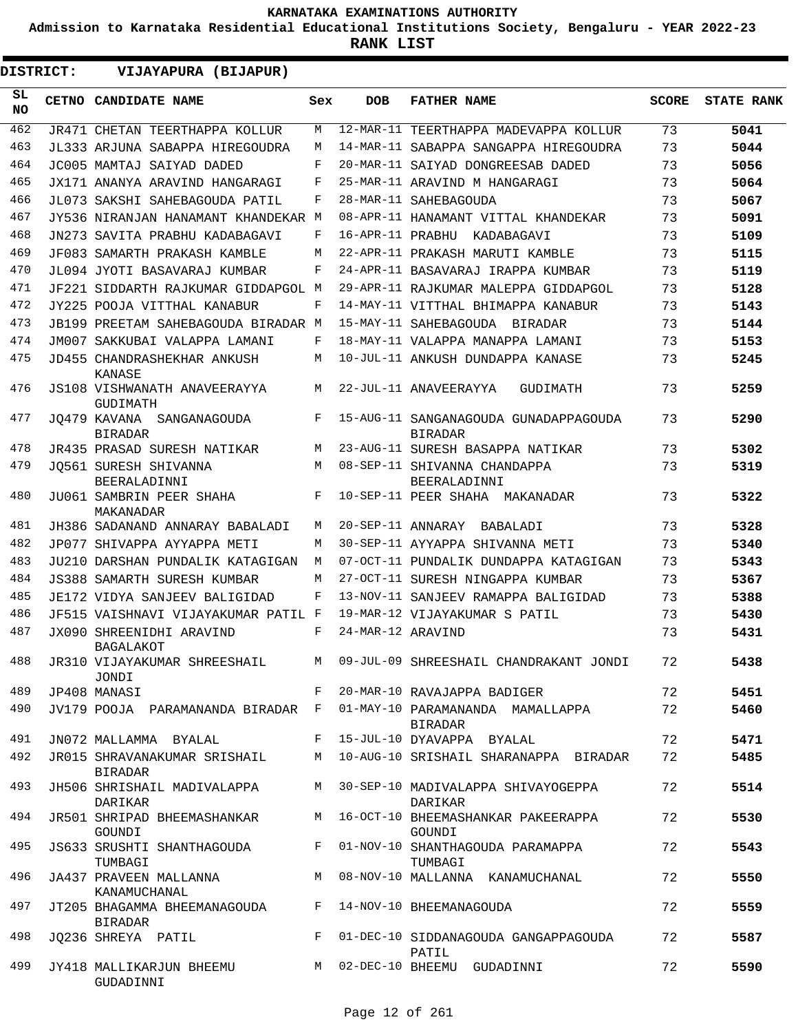**Admission to Karnataka Residential Educational Institutions Society, Bengaluru - YEAR 2022-23**

| <b>DISTRICT:</b> | VIJAYAPURA (BIJAPUR)                                               |     |                   |                                                                             |              |                   |
|------------------|--------------------------------------------------------------------|-----|-------------------|-----------------------------------------------------------------------------|--------------|-------------------|
| SL.<br><b>NO</b> | CETNO CANDIDATE NAME                                               | Sex | <b>DOB</b>        | <b>FATHER NAME</b>                                                          | <b>SCORE</b> | <b>STATE RANK</b> |
| 462              | <b>JR471 CHETAN TEERTHAPPA KOLLUR</b>                              | М   |                   | 12-MAR-11 TEERTHAPPA MADEVAPPA KOLLUR                                       | 73           | 5041              |
| 463              | JL333 ARJUNA SABAPPA HIREGOUDRA                                    | М   |                   | 14-MAR-11 SABAPPA SANGAPPA HIREGOUDRA                                       | 73           | 5044              |
| 464              | JC005 MAMTAJ SAIYAD DADED                                          | F   |                   | 20-MAR-11 SAIYAD DONGREESAB DADED                                           | 73           | 5056              |
| 465              | JX171 ANANYA ARAVIND HANGARAGI                                     | F   |                   | 25-MAR-11 ARAVIND M HANGARAGI                                               | 73           | 5064              |
| 466              | JL073 SAKSHI SAHEBAGOUDA PATIL                                     | F   |                   | 28-MAR-11 SAHEBAGOUDA                                                       | 73           | 5067              |
| 467              | JY536 NIRANJAN HANAMANT KHANDEKAR M                                |     |                   | 08-APR-11 HANAMANT VITTAL KHANDEKAR                                         | 73           | 5091              |
| 468              | JN273 SAVITA PRABHU KADABAGAVI                                     | F   |                   | 16-APR-11 PRABHU KADABAGAVI                                                 | 73           | 5109              |
| 469              | JF083 SAMARTH PRAKASH KAMBLE                                       | M   |                   | 22-APR-11 PRAKASH MARUTI KAMBLE                                             | 73           | 5115              |
| 470              | JL094 JYOTI BASAVARAJ KUMBAR                                       | F   |                   | 24-APR-11 BASAVARAJ IRAPPA KUMBAR                                           | 73           | 5119              |
| 471              | JF221 SIDDARTH RAJKUMAR GIDDAPGOL M                                |     |                   | 29-APR-11 RAJKUMAR MALEPPA GIDDAPGOL                                        | 73           | 5128              |
| 472              | JY225 POOJA VITTHAL KANABUR                                        | F   |                   | 14-MAY-11 VITTHAL BHIMAPPA KANABUR                                          | 73           | 5143              |
| 473              | JB199 PREETAM SAHEBAGOUDA BIRADAR M                                |     |                   | 15-MAY-11 SAHEBAGOUDA BIRADAR                                               | 73           | 5144              |
| 474              | JM007 SAKKUBAI VALAPPA LAMANI                                      | F   |                   | 18-MAY-11 VALAPPA MANAPPA LAMANI                                            | 73           | 5153              |
| 475              | JD455 CHANDRASHEKHAR ANKUSH<br>KANASE                              | М   |                   | 10-JUL-11 ANKUSH DUNDAPPA KANASE                                            | 73           | 5245              |
| 476              | JS108 VISHWANATH ANAVEERAYYA<br>GUDIMATH                           | M   |                   | 22-JUL-11 ANAVEERAYYA<br>GUDIMATH                                           | 73           | 5259              |
| 477              | JO479 KAVANA SANGANAGOUDA<br><b>BIRADAR</b>                        | F   |                   | 15-AUG-11 SANGANAGOUDA GUNADAPPAGOUDA<br><b>BIRADAR</b>                     | 73           | 5290              |
| 478              | JR435 PRASAD SURESH NATIKAR                                        | М   |                   | 23-AUG-11 SURESH BASAPPA NATIKAR                                            | 73           | 5302              |
| 479              | JO561 SURESH SHIVANNA<br>BEERALADINNI                              | M   |                   | 08-SEP-11 SHIVANNA CHANDAPPA<br>BEERALADINNI                                | 73           | 5319              |
| 480              | JU061 SAMBRIN PEER SHAHA<br>MAKANADAR                              | F   |                   | 10-SEP-11 PEER SHAHA MAKANADAR                                              | 73           | 5322              |
| 481              | JH386 SADANAND ANNARAY BABALADI                                    | М   |                   | 20-SEP-11 ANNARAY BABALADI                                                  | 73           | 5328              |
| 482              | JP077 SHIVAPPA AYYAPPA METI                                        | М   |                   | 30-SEP-11 AYYAPPA SHIVANNA METI                                             | 73           | 5340              |
| 483              | JU210 DARSHAN PUNDALIK KATAGIGAN                                   | М   |                   | 07-OCT-11 PUNDALIK DUNDAPPA KATAGIGAN                                       | 73           | 5343              |
| 484              | JS388 SAMARTH SURESH KUMBAR                                        | М   |                   | 27-OCT-11 SURESH NINGAPPA KUMBAR                                            | 73           | 5367              |
| 485              | JE172 VIDYA SANJEEV BALIGIDAD                                      | F   |                   | 13-NOV-11 SANJEEV RAMAPPA BALIGIDAD                                         | 73           | 5388              |
| 486              | JF515 VAISHNAVI VIJAYAKUMAR PATIL F                                |     |                   | 19-MAR-12 VIJAYAKUMAR S PATIL                                               | 73           | 5430              |
| 487              | JX090 SHREENIDHI ARAVIND<br>BAGALAKOT                              | F   | 24-MAR-12 ARAVIND |                                                                             | 73           | 5431              |
| 488              | JR310 VIJAYAKUMAR SHREESHAIL<br>JONDI                              | M   |                   | 09-JUL-09 SHREESHAIL CHANDRAKANT JONDI                                      | 72           | 5438              |
| 489              | JP408 MANASI                                                       | F   |                   | 20-MAR-10 RAVAJAPPA BADIGER                                                 | 72           | 5451              |
| 490              | JV179 POOJA PARAMANANDA BIRADAR F                                  |     |                   | 01-MAY-10 PARAMANANDA MAMALLAPPA<br>BIRADAR                                 | 72           | 5460              |
| 491              | JN072 MALLAMMA BYALAL                                              |     |                   | F 15-JUL-10 DYAVAPPA BYALAL                                                 | 72           | 5471              |
| 492              | <b>BIRADAR</b>                                                     |     |                   | JR015 SHRAVANAKUMAR SRISHAIL M 10-AUG-10 SRISHAIL SHARANAPPA BIRADAR        | 72           | 5485              |
| 493              | DARIKAR                                                            |     |                   | JH506 SHRISHAIL MADIVALAPPA M 30-SEP-10 MADIVALAPPA SHIVAYOGEPPA<br>DARIKAR | 72           | 5514              |
| 494              | JR501 SHRIPAD BHEEMASHANKAR<br>GOUNDI                              |     |                   | M 16-OCT-10 BHEEMASHANKAR PAKEERAPPA<br>GOUNDI                              | 72           | 5530              |
| 495              | JS633 SRUSHTI SHANTHAGOUDA<br>TUMBAGI                              |     |                   | F 01-NOV-10 SHANTHAGOUDA PARAMAPPA<br>TUMBAGI                               | 72           | 5543              |
| 496              | JA437 PRAVEEN MALLANNA<br>KANAMUCHANAL                             |     |                   | M 08-NOV-10 MALLANNA KANAMUCHANAL                                           | 72           | 5550              |
| 497              | JT205 BHAGAMMA BHEEMANAGOUDA F 14-NOV-10 BHEEMANAGOUDA<br>BIRADAR  |     |                   |                                                                             | 72           | 5559              |
| 498              | JQ236 SHREYA PATIL                                                 |     |                   | F 01-DEC-10 SIDDANAGOUDA GANGAPPAGOUDA<br>PATIL                             | 72           | 5587              |
| 499              | JY418 MALLIKARJUN BHEEMU M 02-DEC-10 BHEEMU GUDADINNI<br>GUDADINNI |     |                   |                                                                             | 72           | 5590              |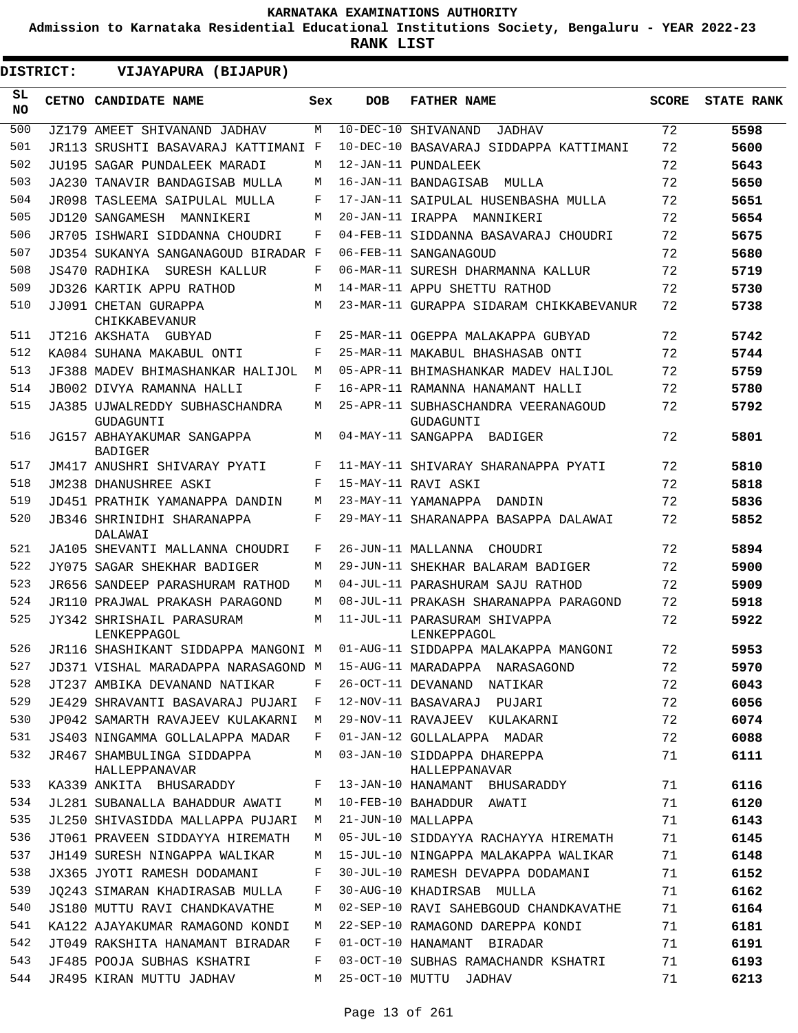**Admission to Karnataka Residential Educational Institutions Society, Bengaluru - YEAR 2022-23**

|  | <b>DISTRICT:</b> |  |  |
|--|------------------|--|--|
|  |                  |  |  |

| <b>DISTRICT:</b> | VIJAYAPURA (BIJAPUR)                                                     |     |            |                                                  |              |                   |
|------------------|--------------------------------------------------------------------------|-----|------------|--------------------------------------------------|--------------|-------------------|
| SL.<br><b>NO</b> | <b>CETNO CANDIDATE NAME</b>                                              | Sex | <b>DOB</b> | <b>FATHER NAME</b>                               | <b>SCORE</b> | <b>STATE RANK</b> |
| 500              | JZ179 AMEET SHIVANAND JADHAV                                             | M   |            | 10-DEC-10 SHIVANAND<br>JADHAV                    | 72           | 5598              |
| 501              | JR113 SRUSHTI BASAVARAJ KATTIMANI F                                      |     |            | 10-DEC-10 BASAVARAJ SIDDAPPA KATTIMANI           | 72           | 5600              |
| 502              | JU195 SAGAR PUNDALEEK MARADI                                             | M   |            | 12-JAN-11 PUNDALEEK                              | 72           | 5643              |
| 503              | JA230 TANAVIR BANDAGISAB MULLA                                           | M   |            | 16-JAN-11 BANDAGISAB<br>MULLA                    | 72           | 5650              |
| 504              | JR098 TASLEEMA SAIPULAL MULLA                                            | F   |            | 17-JAN-11 SAIPULAL HUSENBASHA MULLA              | 72           | 5651              |
| 505              | JD120 SANGAMESH MANNIKERI                                                | M   |            | 20-JAN-11 IRAPPA MANNIKERI                       | 72           | 5654              |
| 506              | JR705 ISHWARI SIDDANNA CHOUDRI                                           | F   |            | 04-FEB-11 SIDDANNA BASAVARAJ CHOUDRI             | 72           | 5675              |
| 507              | JD354 SUKANYA SANGANAGOUD BIRADAR F                                      |     |            | 06-FEB-11 SANGANAGOUD                            | 72           | 5680              |
| 508              | JS470 RADHIKA SURESH KALLUR                                              | F   |            | 06-MAR-11 SURESH DHARMANNA KALLUR                | 72           | 5719              |
| 509              | JD326 KARTIK APPU RATHOD                                                 | M   |            | 14-MAR-11 APPU SHETTU RATHOD                     | 72           | 5730              |
| 510              | JJ091 CHETAN GURAPPA<br>CHIKKABEVANUR                                    | M   |            | 23-MAR-11 GURAPPA SIDARAM CHIKKABEVANUR          | 72           | 5738              |
| 511              | JT216 AKSHATA GUBYAD                                                     | F   |            | 25-MAR-11 OGEPPA MALAKAPPA GUBYAD                | 72           | 5742              |
| 512              | KA084 SUHANA MAKABUL ONTI                                                | F   |            | 25-MAR-11 MAKABUL BHASHASAB ONTI                 | 72           | 5744              |
| 513              | JF388 MADEV BHIMASHANKAR HALIJOL                                         | М   |            | 05-APR-11 BHIMASHANKAR MADEV HALIJOL             | 72           | 5759              |
| 514              | JB002 DIVYA RAMANNA HALLI                                                | F   |            | 16-APR-11 RAMANNA HANAMANT HALLI                 | 72           | 5780              |
| 515              | JA385 UJWALREDDY SUBHASCHANDRA<br>GUDAGUNTI                              | М   |            | 25-APR-11 SUBHASCHANDRA VEERANAGOUD<br>GUDAGUNTI | 72           | 5792              |
| 516              | JG157 ABHAYAKUMAR SANGAPPA<br><b>BADIGER</b>                             | M   |            | 04-MAY-11 SANGAPPA BADIGER                       | 72           | 5801              |
| 517              | JM417 ANUSHRI SHIVARAY PYATI                                             | F   |            | 11-MAY-11 SHIVARAY SHARANAPPA PYATI              | 72           | 5810              |
| 518              | JM238 DHANUSHREE ASKI                                                    | F   |            | 15-MAY-11 RAVI ASKI                              | 72           | 5818              |
| 519              | JD451 PRATHIK YAMANAPPA DANDIN                                           | M   |            | 23-MAY-11 YAMANAPPA<br>DANDIN                    | 72           | 5836              |
| 520              | JB346 SHRINIDHI SHARANAPPA<br>DALAWAI                                    | F   |            | 29-MAY-11 SHARANAPPA BASAPPA DALAWAI             | 72           | 5852              |
| 521              | JA105 SHEVANTI MALLANNA CHOUDRI                                          | F   |            | 26-JUN-11 MALLANNA CHOUDRI                       | 72           | 5894              |
| 522              | JY075 SAGAR SHEKHAR BADIGER                                              | M   |            | 29-JUN-11 SHEKHAR BALARAM BADIGER                | 72           | 5900              |
| 523              | JR656 SANDEEP PARASHURAM RATHOD                                          | М   |            | 04-JUL-11 PARASHURAM SAJU RATHOD                 | 72           | 5909              |
| 524              | JR110 PRAJWAL PRAKASH PARAGOND                                           | М   |            | 08-JUL-11 PRAKASH SHARANAPPA PARAGOND            | 72           | 5918              |
| 525              | JY342 SHRISHAIL PARASURAM<br>LENKEPPAGOL                                 | М   |            | 11-JUL-11 PARASURAM SHIVAPPA<br>LENKEPPAGOL      | 72           | 5922              |
| 526              | JR116 SHASHIKANT SIDDAPPA MANGONI M 01-AUG-11 SIDDAPPA MALAKAPPA MANGONI |     |            |                                                  | 72           | 5953              |
| 527              | JD371 VISHAL MARADAPPA NARASAGOND M 15-AUG-11 MARADAPPA NARASAGOND       |     |            |                                                  | 72           | 5970              |
| 528              | JT237 AMBIKA DEVANAND NATIKAR                                            | F   |            | 26-OCT-11 DEVANAND NATIKAR                       | 72           | 6043              |
| 529              | JE429 SHRAVANTI BASAVARAJ PUJARI F                                       |     |            | 12-NOV-11 BASAVARAJ PUJARI                       | 72           | 6056              |
| 530              | JP042 SAMARTH RAVAJEEV KULAKARNI M                                       |     |            | 29-NOV-11 RAVAJEEV KULAKARNI                     | 72           | 6074              |
| 531              | JS403 NINGAMMA GOLLALAPPA MADAR                                          | F   |            | 01-JAN-12 GOLLALAPPA MADAR                       | 72           | 6088              |
| 532              | JR467 SHAMBULINGA SIDDAPPA<br>HALLEPPANAVAR                              | M   |            | 03-JAN-10 SIDDAPPA DHAREPPA<br>HALLEPPANAVAR     | 71           | 6111              |
| 533              | KA339 ANKITA BHUSARADDY F                                                |     |            | 13-JAN-10 HANAMANT BHUSARADDY 71                 |              | 6116              |
| 534              | JL281 SUBANALLA BAHADDUR AWATI                                           | M   |            | 10-FEB-10 BAHADDUR AWATI                         | 71           | 6120              |
| 535              | JL250 SHIVASIDDA MALLAPPA PUJARI                                         | M   |            | 21-JUN-10 MALLAPPA                               | 71           | 6143              |
| 536              | JT061 PRAVEEN SIDDAYYA HIREMATH                                          | M   |            | 05-JUL-10 SIDDAYYA RACHAYYA HIREMATH             | 71           | 6145              |
| 537              | JH149 SURESH NINGAPPA WALIKAR                                            | М   |            | 15-JUL-10 NINGAPPA MALAKAPPA WALIKAR             | 71           | 6148              |
| 538              | JX365 JYOTI RAMESH DODAMANI                                              | F   |            | 30-JUL-10 RAMESH DEVAPPA DODAMANI                | 71           | 6152              |
| 539              | JO243 SIMARAN KHADIRASAB MULLA                                           | F   |            | 30-AUG-10 KHADIRSAB MULLA                        | 71           | 6162              |
| 540              | JS180 MUTTU RAVI CHANDKAVATHE                                            | М   |            | 02-SEP-10 RAVI SAHEBGOUD CHANDKAVATHE            | 71           | 6164              |
| 541              | KA122 AJAYAKUMAR RAMAGOND KONDI                                          | M   |            | 22-SEP-10 RAMAGOND DAREPPA KONDI                 | 71           | 6181              |
| 542              | JT049 RAKSHITA HANAMANT BIRADAR                                          | F   |            | 01-OCT-10 HANAMANT BIRADAR                       | 71           | 6191              |
| 543              | JF485 POOJA SUBHAS KSHATRI                                               | F   |            | 03-OCT-10 SUBHAS RAMACHANDR KSHATRI              | 71           | 6193              |
| 544              | JR495 KIRAN MUTTU JADHAV                                                 | M   |            | 25-OCT-10 MUTTU JADHAV                           | 71           | 6213              |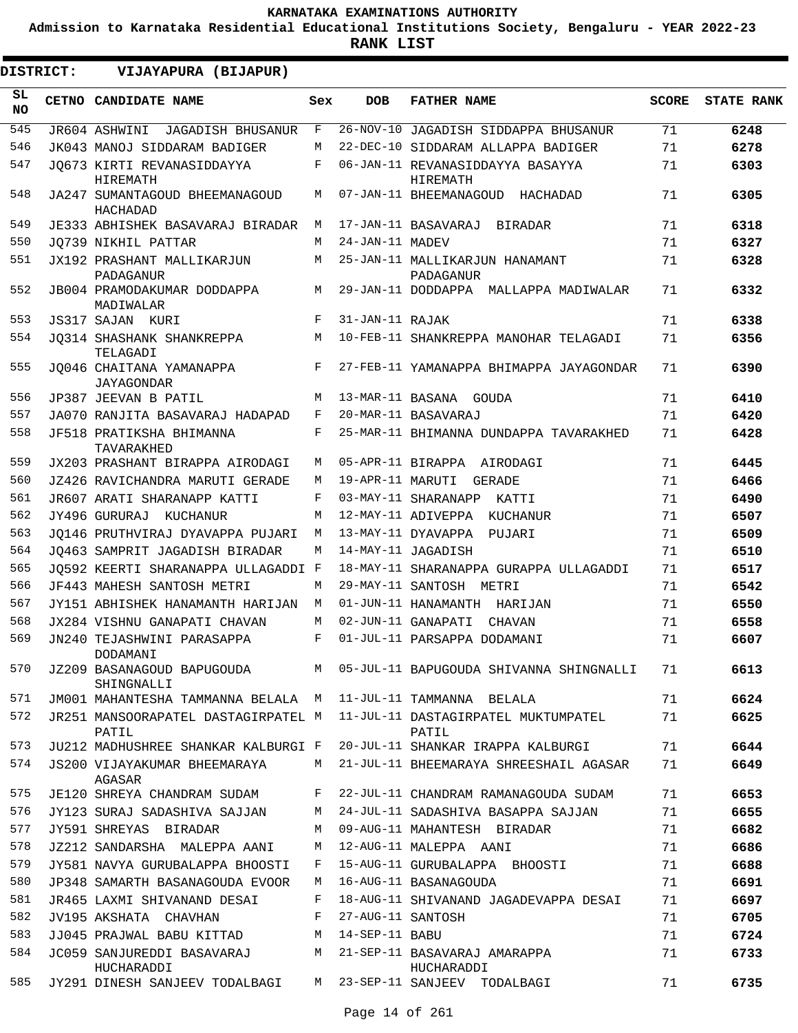**Admission to Karnataka Residential Educational Institutions Society, Bengaluru - YEAR 2022-23**

**RANK LIST**

**DISTRICT:** EE **VIJAYAPURA (BIJAPUR)**

| SL<br><b>NO</b> | CETNO CANDIDATE NAME                         | Sex | <b>DOB</b>        | <b>FATHER NAME</b>                           | <b>SCORE</b> | <b>STATE RANK</b> |
|-----------------|----------------------------------------------|-----|-------------------|----------------------------------------------|--------------|-------------------|
| 545             | JR604 ASHWINI<br><b>JAGADISH BHUSANUR</b>    | F   |                   | 26-NOV-10 JAGADISH SIDDAPPA BHUSANUR         | 71           | 6248              |
| 546             | JK043 MANOJ SIDDARAM BADIGER                 | М   |                   | 22-DEC-10 SIDDARAM ALLAPPA BADIGER           | 71           | 6278              |
| 547             | JO673 KIRTI REVANASIDDAYYA<br>HIREMATH       | F   |                   | 06-JAN-11 REVANASIDDAYYA BASAYYA<br>HIREMATH | 71           | 6303              |
| 548             | JA247 SUMANTAGOUD BHEEMANAGOUD<br>HACHADAD   | М   |                   | 07-JAN-11 BHEEMANAGOUD HACHADAD              | 71           | 6305              |
| 549             | JE333 ABHISHEK BASAVARAJ BIRADAR             | M   |                   | 17-JAN-11 BASAVARAJ BIRADAR                  | 71           | 6318              |
| 550             | JO739 NIKHIL PATTAR                          | M   | 24-JAN-11 MADEV   |                                              | 71           | 6327              |
| 551             | JX192 PRASHANT MALLIKARJUN<br>PADAGANUR      | M   |                   | 25-JAN-11 MALLIKARJUN HANAMANT<br>PADAGANUR  | 71           | 6328              |
| 552             | JB004 PRAMODAKUMAR DODDAPPA<br>MADIWALAR     | M   |                   | 29-JAN-11 DODDAPPA MALLAPPA MADIWALAR        | 71           | 6332              |
| 553             | JS317 SAJAN KURI                             | F   | 31-JAN-11 RAJAK   |                                              | 71           | 6338              |
| 554             | JO314 SHASHANK SHANKREPPA<br>TELAGADI        | M   |                   | 10-FEB-11 SHANKREPPA MANOHAR TELAGADI        | 71           | 6356              |
| 555             | JO046 CHAITANA YAMANAPPA<br>JAYAGONDAR       | F   |                   | 27-FEB-11 YAMANAPPA BHIMAPPA JAYAGONDAR      | 71           | 6390              |
| 556             | JP387 JEEVAN B PATIL                         | M   |                   | 13-MAR-11 BASANA GOUDA                       | 71           | 6410              |
| 557             | JA070 RANJITA BASAVARAJ HADAPAD              | F   |                   | 20-MAR-11 BASAVARAJ                          | 71           | 6420              |
| 558             | JF518 PRATIKSHA BHIMANNA<br>TAVARAKHED       | F   |                   | 25-MAR-11 BHIMANNA DUNDAPPA TAVARAKHED       | 71           | 6428              |
| 559             | JX203 PRASHANT BIRAPPA AIRODAGI              | М   |                   | 05-APR-11 BIRAPPA AIRODAGI                   | 71           | 6445              |
| 560             | JZ426 RAVICHANDRA MARUTI GERADE              | M   | 19-APR-11 MARUTI  | GERADE                                       | 71           | 6466              |
| 561             | JR607 ARATI SHARANAPP KATTI                  | F   |                   | 03-MAY-11 SHARANAPP<br>KATTI                 | 71           | 6490              |
| 562             | JY496 GURURAJ KUCHANUR                       | М   |                   | 12-MAY-11 ADIVEPPA KUCHANUR                  | 71           | 6507              |
| 563             | JO146 PRUTHVIRAJ DYAVAPPA PUJARI             | M   |                   | 13-MAY-11 DYAVAPPA PUJARI                    | 71           | 6509              |
| 564             | JO463 SAMPRIT JAGADISH BIRADAR               | М   |                   | 14-MAY-11 JAGADISH                           | 71           | 6510              |
| 565             | JO592 KEERTI SHARANAPPA ULLAGADDI F          |     |                   | 18-MAY-11 SHARANAPPA GURAPPA ULLAGADDI       | 71           | 6517              |
| 566             | JF443 MAHESH SANTOSH METRI                   | М   |                   | 29-MAY-11 SANTOSH METRI                      | 71           | 6542              |
| 567             | JY151 ABHISHEK HANAMANTH HARIJAN             | M   |                   | 01-JUN-11 HANAMANTH HARIJAN                  | 71           | 6550              |
| 568             | JX284 VISHNU GANAPATI CHAVAN                 | М   |                   | 02-JUN-11 GANAPATI<br>CHAVAN                 | 71           | 6558              |
| 569             | JN240 TEJASHWINI PARASAPPA<br>DODAMANI       | F   |                   | 01-JUL-11 PARSAPPA DODAMANI                  | 71           | 6607              |
| 570             | JZ209 BASANAGOUD BAPUGOUDA<br>SHINGNALLI     | М   |                   | 05-JUL-11 BAPUGOUDA SHIVANNA SHINGNALLI      | 71           | 6613              |
| 571             | JM001 MAHANTESHA TAMMANNA BELALA M           |     |                   | 11-JUL-11 TAMMANNA BELALA                    | 71           | 6624              |
| 572             | JR251 MANSOORAPATEL DASTAGIRPATEL M<br>PATIL |     |                   | 11-JUL-11 DASTAGIRPATEL MUKTUMPATEL<br>PATIL | 71           | 6625              |
| 573             | JU212 MADHUSHREE SHANKAR KALBURGI F          |     |                   | 20-JUL-11 SHANKAR IRAPPA KALBURGI            | 71           | 6644              |
| 574             | JS200 VIJAYAKUMAR BHEEMARAYA<br>AGASAR       | М   |                   | 21-JUL-11 BHEEMARAYA SHREESHAIL AGASAR       | 71           | 6649              |
| 575             | JE120 SHREYA CHANDRAM SUDAM                  | F   |                   | 22-JUL-11 CHANDRAM RAMANAGOUDA SUDAM         | 71           | 6653              |
| 576             | JY123 SURAJ SADASHIVA SAJJAN                 | М   |                   | 24-JUL-11 SADASHIVA BASAPPA SAJJAN           | 71           | 6655              |
| 577             | JY591 SHREYAS BIRADAR                        | М   |                   | 09-AUG-11 MAHANTESH BIRADAR                  | 71           | 6682              |
| 578             | JZ212 SANDARSHA MALEPPA AANI                 | М   |                   | 12-AUG-11 MALEPPA AANI                       | 71           | 6686              |
| 579             | JY581 NAVYA GURUBALAPPA BHOOSTI              | F   |                   | 15-AUG-11 GURUBALAPPA BHOOSTI                | 71           | 6688              |
| 580             | JP348 SAMARTH BASANAGOUDA EVOOR              | М   |                   | 16-AUG-11 BASANAGOUDA                        | 71           | 6691              |
| 581             | JR465 LAXMI SHIVANAND DESAI                  | F   |                   | 18-AUG-11 SHIVANAND JAGADEVAPPA DESAI        | 71           | 6697              |
| 582             | JV195 AKSHATA CHAVHAN                        | F   | 27-AUG-11 SANTOSH |                                              | 71           | 6705              |
| 583             | JJ045 PRAJWAL BABU KITTAD                    | М   | 14-SEP-11 BABU    |                                              | 71           | 6724              |
| 584             | JC059 SANJUREDDI BASAVARAJ<br>HUCHARADDI     | М   |                   | 21-SEP-11 BASAVARAJ AMARAPPA<br>HUCHARADDI   | 71           | 6733              |
| 585             | JY291 DINESH SANJEEV TODALBAGI               | М   |                   | 23-SEP-11 SANJEEV TODALBAGI                  | 71           | 6735              |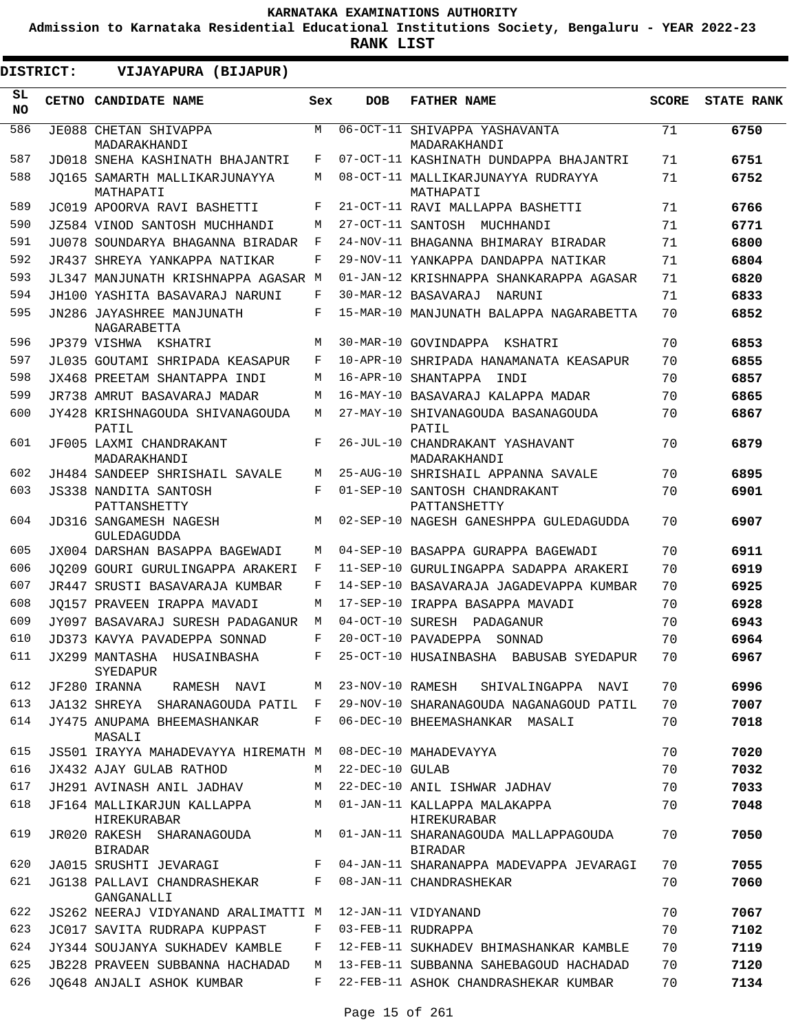**Admission to Karnataka Residential Educational Institutions Society, Bengaluru - YEAR 2022-23**

**RANK LIST**

| <b>DISTRICT:</b> | VIJAYAPURA (BIJAPUR)                                    |        |                   |                                                              |              |                   |
|------------------|---------------------------------------------------------|--------|-------------------|--------------------------------------------------------------|--------------|-------------------|
| SL<br><b>NO</b>  | CETNO CANDIDATE NAME                                    | Sex    | <b>DOB</b>        | <b>FATHER NAME</b>                                           | <b>SCORE</b> | <b>STATE RANK</b> |
| 586              | JE088 CHETAN SHIVAPPA<br>MADARAKHANDI                   | М      | 06-OCT-11         | SHIVAPPA YASHAVANTA<br>MADARAKHANDI                          | 71           | 6750              |
| 587              | JD018 SNEHA KASHINATH BHAJANTRI                         | F      |                   | 07-OCT-11 KASHINATH DUNDAPPA BHAJANTRI                       | 71           | 6751              |
| 588              | JO165 SAMARTH MALLIKARJUNAYYA                           | М      | 08-OCT-11         | MALLIKARJUNAYYA RUDRAYYA                                     | 71           | 6752              |
| 589              | MATHAPATI<br>JC019 APOORVA RAVI BASHETTI                | F      |                   | MATHAPATI<br>21-OCT-11 RAVI MALLAPPA BASHETTI                | 71           | 6766              |
| 590              | JZ584 VINOD SANTOSH MUCHHANDI                           | M      |                   | 27-OCT-11 SANTOSH MUCHHANDI                                  | 71           | 6771              |
| 591              | JU078 SOUNDARYA BHAGANNA BIRADAR                        | F      |                   | 24-NOV-11 BHAGANNA BHIMARAY BIRADAR                          | 71           | 6800              |
| 592              | JR437 SHREYA YANKAPPA NATIKAR                           | F      |                   | 29-NOV-11 YANKAPPA DANDAPPA NATIKAR                          | 71           | 6804              |
| 593              | JL347 MANJUNATH KRISHNAPPA AGASAR M                     |        |                   | 01-JAN-12 KRISHNAPPA SHANKARAPPA AGASAR                      | 71           | 6820              |
| 594              | JH100 YASHITA BASAVARAJ NARUNI                          | F      |                   | 30-MAR-12 BASAVARAJ<br>NARUNI                                | 71           | 6833              |
| 595              | JN286 JAYASHREE MANJUNATH<br>NAGARABETTA                | F      |                   | 15-MAR-10 MANJUNATH BALAPPA NAGARABETTA                      | 70           | 6852              |
| 596              | JP379 VISHWA KSHATRI                                    | М      |                   | 30-MAR-10 GOVINDAPPA KSHATRI                                 | 70           | 6853              |
| 597              | JL035 GOUTAMI SHRIPADA KEASAPUR                         | F      |                   | 10-APR-10 SHRIPADA HANAMANATA KEASAPUR                       | 70           | 6855              |
| 598              | JX468 PREETAM SHANTAPPA INDI                            | M      |                   | 16-APR-10 SHANTAPPA<br>TNDT                                  | 70           | 6857              |
| 599              | JR738 AMRUT BASAVARAJ MADAR                             | М      |                   | 16-MAY-10 BASAVARAJ KALAPPA MADAR                            | 70           | 6865              |
| 600              | JY428 KRISHNAGOUDA SHIVANAGOUDA<br>PATIL                | М      |                   | 27-MAY-10 SHIVANAGOUDA BASANAGOUDA<br>PATIL                  | 70           | 6867              |
| 601              | JF005 LAXMI CHANDRAKANT<br>MADARAKHANDI                 | F      |                   | 26-JUL-10 CHANDRAKANT YASHAVANT<br>MADARAKHANDI              | 70           | 6879              |
| 602              | JH484 SANDEEP SHRISHAIL SAVALE                          | M      |                   | 25-AUG-10 SHRISHAIL APPANNA SAVALE                           | 70           | 6895              |
| 603              | <b>JS338 NANDITA SANTOSH</b><br>PATTANSHETTY            | F      |                   | 01-SEP-10 SANTOSH CHANDRAKANT<br>PATTANSHETTY                | 70           | 6901              |
| 604              | JD316 SANGAMESH NAGESH<br>GULEDAGUDDA                   | М      |                   | 02-SEP-10 NAGESH GANESHPPA GULEDAGUDDA                       | 70           | 6907              |
| 605              | JX004 DARSHAN BASAPPA BAGEWADI                          | М      |                   | 04-SEP-10 BASAPPA GURAPPA BAGEWADI                           | 70           | 6911              |
| 606              | JO209 GOURI GURULINGAPPA ARAKERI                        | F      |                   | 11-SEP-10 GURULINGAPPA SADAPPA ARAKERI                       | 70           | 6919              |
| 607              | JR447 SRUSTI BASAVARAJA KUMBAR                          | F      |                   | 14-SEP-10 BASAVARAJA JAGADEVAPPA KUMBAR                      | 70           | 6925              |
| 608              | JO157 PRAVEEN IRAPPA MAVADI                             | M      |                   | 17-SEP-10 IRAPPA BASAPPA MAVADI                              | 70           | 6928              |
| 609              | JY097 BASAVARAJ SURESH PADAGANUR                        | М      | 04-OCT-10 SURESH  | PADAGANUR                                                    | 70           | 6943              |
| 610              | JD373 KAVYA PAVADEPPA SONNAD                            | F      |                   | 20-OCT-10 PAVADEPPA SONNAD                                   | 70           | 6964              |
| 611              | JX299 MANTASHA HUSAINBASHA<br>SYEDAPUR                  | F      |                   | 25-OCT-10 HUSAINBASHA BABUSAB SYEDAPUR                       | 70           | 6967              |
| 612              | JF280 IRANNA RAMESH NAVI                                | M      |                   | 23-NOV-10 RAMESH<br>SHIVALINGAPPA NAVI                       | 70           | 6996              |
| 613              | JA132 SHREYA SHARANAGOUDA PATIL F                       |        |                   | 29-NOV-10 SHARANAGOUDA NAGANAGOUD PATIL                      | 70           | 7007              |
| 614              | JY475 ANUPAMA BHEEMASHANKAR<br>MASALI                   | F      |                   | 06-DEC-10 BHEEMASHANKAR MASALI                               | 70           | 7018              |
| 615              | JS501 IRAYYA MAHADEVAYYA HIREMATH M                     |        |                   | 08-DEC-10 MAHADEVAYYA                                        | 70           | 7020              |
| 616              | JX432 AJAY GULAB RATHOD                                 | M      | $22-DEC-10$ GULAB |                                                              | 70           | 7032              |
| 617<br>618       | JH291 AVINASH ANIL JADHAV<br>JF164 MALLIKARJUN KALLAPPA | M<br>M |                   | 22-DEC-10 ANIL ISHWAR JADHAV<br>01-JAN-11 KALLAPPA MALAKAPPA | 70<br>70     | 7033<br>7048      |
| 619              | HIREKURABAR<br>JR020 RAKESH SHARANAGOUDA                | M      |                   | HIREKURABAR<br>01-JAN-11 SHARANAGOUDA MALLAPPAGOUDA          | 70           | 7050              |
| 620              | BIRADAR                                                 | F      |                   | BIRADAR                                                      |              |                   |
|                  | JA015 SRUSHTI JEVARAGI                                  |        |                   | 04-JAN-11 SHARANAPPA MADEVAPPA JEVARAGI                      | 70           | 7055              |
| 621              | JG138 PALLAVI CHANDRASHEKAR<br>GANGANALLI               | F      |                   | 08-JAN-11 CHANDRASHEKAR                                      | 70           | 7060              |
| 622              | JS262 NEERAJ VIDYANAND ARALIMATTI M                     |        |                   | 12-JAN-11 VIDYANAND                                          | 70           | 7067              |
| 623              | JC017 SAVITA RUDRAPA KUPPAST                            | F      |                   | 03-FEB-11 RUDRAPPA                                           | 70           | 7102              |
| 624              | JY344 SOUJANYA SUKHADEV KAMBLE                          | F      |                   | 12-FEB-11 SUKHADEV BHIMASHANKAR KAMBLE                       | 70           | 7119              |
| 625              | JB228 PRAVEEN SUBBANNA HACHADAD                         | M      |                   | 13-FEB-11 SUBBANNA SAHEBAGOUD HACHADAD                       | 70           | 7120              |
| 626              | JO648 ANJALI ASHOK KUMBAR                               | F      |                   | 22-FEB-11 ASHOK CHANDRASHEKAR KUMBAR                         | 70           | 7134              |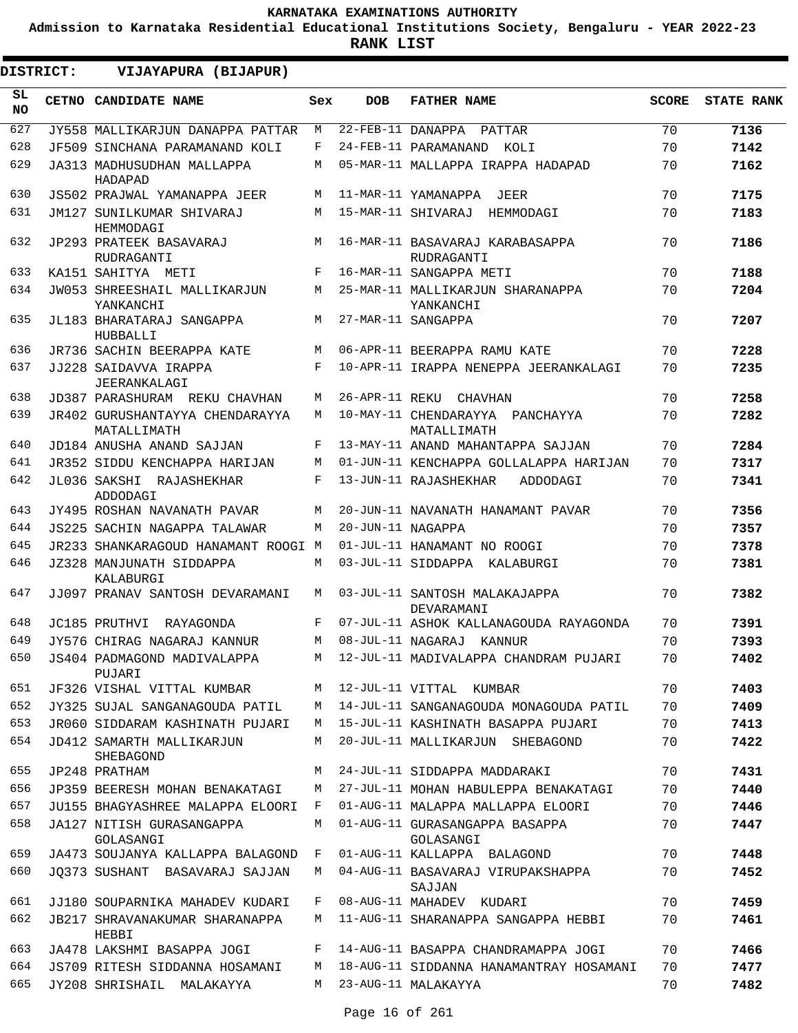**Admission to Karnataka Residential Educational Institutions Society, Bengaluru - YEAR 2022-23**

**RANK LIST**

| <b>DISTRICT:</b> | VIJAYAPURA (BIJAPUR)                             |     |                   |                                                |              |                   |
|------------------|--------------------------------------------------|-----|-------------------|------------------------------------------------|--------------|-------------------|
| SL<br><b>NO</b>  | CETNO CANDIDATE NAME                             | Sex | <b>DOB</b>        | <b>FATHER NAME</b>                             | <b>SCORE</b> | <b>STATE RANK</b> |
| 627              | JY558 MALLIKARJUN DANAPPA PATTAR                 | M   |                   | 22-FEB-11 DANAPPA PATTAR                       | 70           | 7136              |
| 628              | JF509 SINCHANA PARAMANAND KOLI                   | F   |                   | 24-FEB-11 PARAMANAND<br>KOLI                   | 70           | 7142              |
| 629              | JA313 MADHUSUDHAN MALLAPPA<br>HADAPAD            | М   |                   | 05-MAR-11 MALLAPPA IRAPPA HADAPAD              | 70           | 7162              |
| 630              | JS502 PRAJWAL YAMANAPPA JEER                     | M   |                   | 11-MAR-11 YAMANAPPA<br>JEER                    | 70           | 7175              |
| 631              | JM127 SUNILKUMAR SHIVARAJ<br>HEMMODAGI           | M   |                   | 15-MAR-11 SHIVARAJ HEMMODAGI                   | 70           | 7183              |
| 632              | JP293 PRATEEK BASAVARAJ<br>RUDRAGANTI            | M   |                   | 16-MAR-11 BASAVARAJ KARABASAPPA<br>RUDRAGANTI  | 70           | 7186              |
| 633              | KA151 SAHITYA METI                               | F   |                   | 16-MAR-11 SANGAPPA METI                        | 70           | 7188              |
| 634              | <b>JW053 SHREESHAIL MALLIKARJUN</b><br>YANKANCHI | M   |                   | 25-MAR-11 MALLIKARJUN SHARANAPPA<br>YANKANCHI  | 70           | 7204              |
| 635              | JL183 BHARATARAJ SANGAPPA<br>HUBBALLI            | M   |                   | 27-MAR-11 SANGAPPA                             | 70           | 7207              |
| 636              | JR736 SACHIN BEERAPPA KATE                       | M   |                   | 06-APR-11 BEERAPPA RAMU KATE                   | 70           | 7228              |
| 637              | JJ228 SAIDAVVA IRAPPA<br>JEERANKALAGI            | F   |                   | 10-APR-11 IRAPPA NENEPPA JEERANKALAGI          | 70           | 7235              |
| 638              | JD387 PARASHURAM REKU CHAVHAN                    | M   |                   | 26-APR-11 REKU CHAVHAN                         | 70           | 7258              |
| 639              | JR402 GURUSHANTAYYA CHENDARAYYA<br>MATALLIMATH   | M   |                   | 10-MAY-11 CHENDARAYYA PANCHAYYA<br>MATALLIMATH | 70           | 7282              |
| 640              | JD184 ANUSHA ANAND SAJJAN                        | F   |                   | 13-MAY-11 ANAND MAHANTAPPA SAJJAN              | 70           | 7284              |
| 641              | JR352 SIDDU KENCHAPPA HARIJAN                    | M   |                   | 01-JUN-11 KENCHAPPA GOLLALAPPA HARIJAN         | 70           | 7317              |
| 642              | JL036 SAKSHI RAJASHEKHAR<br>ADDODAGI             | F   |                   | 13-JUN-11 RAJASHEKHAR<br>ADDODAGI              | 70           | 7341              |
| 643              | JY495 ROSHAN NAVANATH PAVAR                      | M   |                   | 20-JUN-11 NAVANATH HANAMANT PAVAR              | 70           | 7356              |
| 644              | <b>JS225 SACHIN NAGAPPA TALAWAR</b>              | M   | 20-JUN-11 NAGAPPA |                                                | 70           | 7357              |
| 645              | JR233 SHANKARAGOUD HANAMANT ROOGI M              |     |                   | 01-JUL-11 HANAMANT NO ROOGI                    | 70           | 7378              |
| 646              | JZ328 MANJUNATH SIDDAPPA<br>KALABURGI            | M   |                   | 03-JUL-11 SIDDAPPA KALABURGI                   | 70           | 7381              |
| 647              | JJ097 PRANAV SANTOSH DEVARAMANI                  | М   |                   | 03-JUL-11 SANTOSH MALAKAJAPPA<br>DEVARAMANI    | 70           | 7382              |
| 648              | JC185 PRUTHVI RAYAGONDA                          | F   |                   | 07-JUL-11 ASHOK KALLANAGOUDA RAYAGONDA         | 70           | 7391              |
| 649              | JY576 CHIRAG NAGARAJ KANNUR                      | М   |                   | 08-JUL-11 NAGARAJ KANNUR                       | 70           | 7393              |
| 650              | JS404 PADMAGOND MADIVALAPPA<br>PUJARI            | М   |                   | 12-JUL-11 MADIVALAPPA CHANDRAM PUJARI          | 70           | 7402              |
| 651              | JF326 VISHAL VITTAL KUMBAR                       | М   |                   | 12-JUL-11 VITTAL KUMBAR                        | 70           | 7403              |
| 652              | JY325 SUJAL SANGANAGOUDA PATIL                   | M   |                   | 14-JUL-11 SANGANAGOUDA MONAGOUDA PATIL         | 70           | 7409              |
| 653              | JR060 SIDDARAM KASHINATH PUJARI                  | M   |                   | 15-JUL-11 KASHINATH BASAPPA PUJARI             | 70           | 7413              |
| 654              | JD412 SAMARTH MALLIKARJUN<br>SHEBAGOND           | М   |                   | 20-JUL-11 MALLIKARJUN SHEBAGOND                | 70           | 7422              |
| 655              | JP248 PRATHAM                                    | М   |                   | 24-JUL-11 SIDDAPPA MADDARAKI                   | 70           | 7431              |
| 656              | JP359 BEERESH MOHAN BENAKATAGI                   | М   |                   | 27-JUL-11 MOHAN HABULEPPA BENAKATAGI           | 70           | 7440              |
| 657              | JU155 BHAGYASHREE MALAPPA ELOORI                 | F   |                   | 01-AUG-11 MALAPPA MALLAPPA ELOORI              | 70           | 7446              |
| 658              | JA127 NITISH GURASANGAPPA<br>GOLASANGI           | М   |                   | 01-AUG-11 GURASANGAPPA BASAPPA<br>GOLASANGI    | 70           | 7447              |
| 659              | JA473 SOUJANYA KALLAPPA BALAGOND                 | F   |                   | 01-AUG-11 KALLAPPA BALAGOND                    | 70           | 7448              |
| 660              | JO373 SUSHANT BASAVARAJ SAJJAN                   | M   |                   | 04-AUG-11 BASAVARAJ VIRUPAKSHAPPA<br>SAJJAN    | 70           | 7452              |
| 661              | JJ180 SOUPARNIKA MAHADEV KUDARI                  | F   |                   | 08-AUG-11 MAHADEV KUDARI                       | 70           | 7459              |
| 662              | JB217 SHRAVANAKUMAR SHARANAPPA<br>HEBBI          | М   |                   | 11-AUG-11 SHARANAPPA SANGAPPA HEBBI            | 70           | 7461              |
| 663              | JA478 LAKSHMI BASAPPA JOGI                       | F   |                   | 14-AUG-11 BASAPPA CHANDRAMAPPA JOGI            | 70           | 7466              |
| 664              | JS709 RITESH SIDDANNA HOSAMANI                   | М   |                   | 18-AUG-11 SIDDANNA HANAMANTRAY HOSAMANI        | 70           | 7477              |
| 665              | JY208 SHRISHAIL MALAKAYYA                        | М   |                   | 23-AUG-11 MALAKAYYA                            | 70           | 7482              |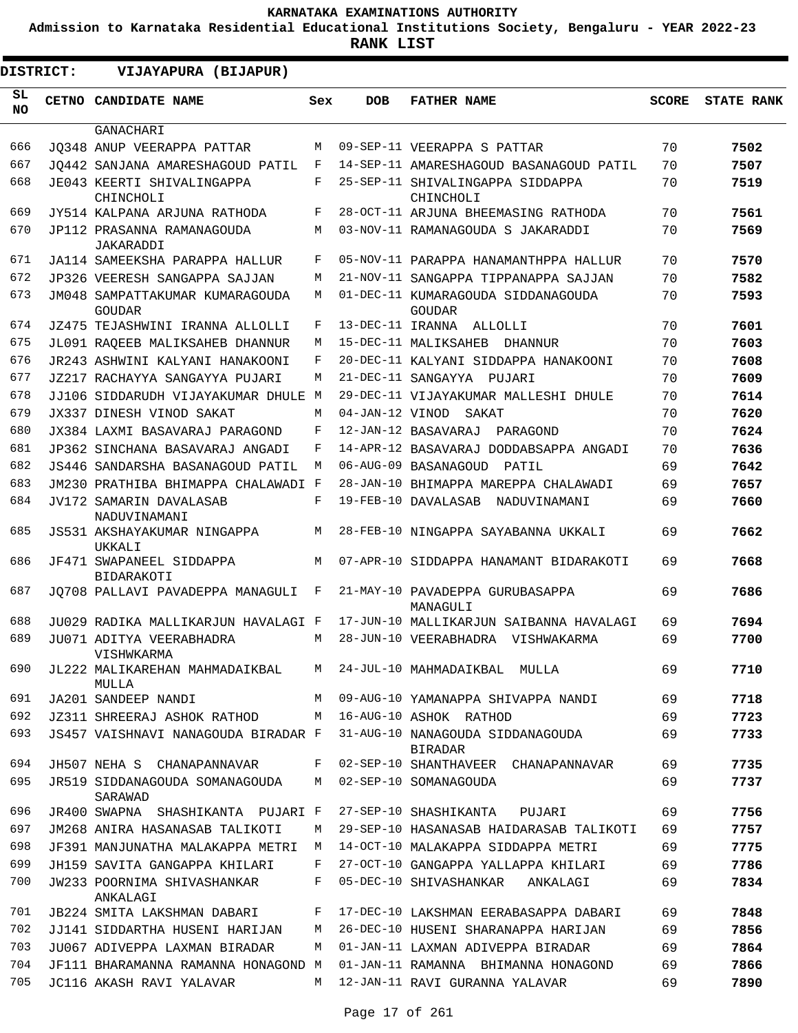**Admission to Karnataka Residential Educational Institutions Society, Bengaluru - YEAR 2022-23**

| DISTRICT:  | VIJAYAPURA (BIJAPUR)                          |            |                 |                                                     |              |                   |
|------------|-----------------------------------------------|------------|-----------------|-----------------------------------------------------|--------------|-------------------|
| SL.<br>NO. | CETNO CANDIDATE NAME                          | Sex        | <b>DOB</b>      | <b>FATHER NAME</b>                                  | <b>SCORE</b> | <b>STATE RANK</b> |
|            | <b>GANACHARI</b>                              |            |                 |                                                     |              |                   |
| 666        | JO348 ANUP VEERAPPA PATTAR                    | M          |                 | 09-SEP-11 VEERAPPA S PATTAR                         | 70           | 7502              |
| 667        | JO442 SANJANA AMARESHAGOUD PATIL              | F          |                 | 14-SEP-11 AMARESHAGOUD BASANAGOUD PATIL             | 70           | 7507              |
| 668        | JE043 KEERTI SHIVALINGAPPA<br>CHINCHOLI       | $_{\rm F}$ |                 | 25-SEP-11 SHIVALINGAPPA SIDDAPPA<br>CHINCHOLI       | 70           | 7519              |
| 669        | JY514 KALPANA ARJUNA RATHODA                  | F          |                 | 28-OCT-11 ARJUNA BHEEMASING RATHODA                 | 70           | 7561              |
| 670        | JP112 PRASANNA RAMANAGOUDA<br>JAKARADDI       | M          |                 | 03-NOV-11 RAMANAGOUDA S JAKARADDI                   | 70           | 7569              |
| 671        | JA114 SAMEEKSHA PARAPPA HALLUR                | F          |                 | 05-NOV-11 PARAPPA HANAMANTHPPA HALLUR               | 70           | 7570              |
| 672        | JP326 VEERESH SANGAPPA SAJJAN                 | M          |                 | 21-NOV-11 SANGAPPA TIPPANAPPA SAJJAN                | 70           | 7582              |
| 673        | JM048 SAMPATTAKUMAR KUMARAGOUDA<br>GOUDAR     | M          |                 | 01-DEC-11 KUMARAGOUDA SIDDANAGOUDA<br><b>GOUDAR</b> | 70           | 7593              |
| 674        | JZ475 TEJASHWINI IRANNA ALLOLLI               | F          |                 | 13-DEC-11 IRANNA ALLOLLI                            | 70           | 7601              |
| 675        | JL091 RAOEEB MALIKSAHEB DHANNUR               | M          |                 | 15-DEC-11 MALIKSAHEB<br>DHANNUR                     | 70           | 7603              |
| 676        | JR243 ASHWINI KALYANI HANAKOONI               | F          |                 | 20-DEC-11 KALYANI SIDDAPPA HANAKOONI                | 70           | 7608              |
| 677        | JZ217 RACHAYYA SANGAYYA PUJARI                | M          |                 | 21-DEC-11 SANGAYYA PUJARI                           | 70           | 7609              |
| 678        | JJ106 SIDDARUDH VIJAYAKUMAR DHULE             | M          |                 | 29-DEC-11 VIJAYAKUMAR MALLESHI DHULE                | 70           | 7614              |
| 679        | JX337 DINESH VINOD SAKAT                      | M          | 04-JAN-12 VINOD | SAKAT                                               | 70           | 7620              |
| 680        | JX384 LAXMI BASAVARAJ PARAGOND                | F          |                 | 12-JAN-12 BASAVARAJ<br>PARAGOND                     | 70           | 7624              |
| 681        | JP362 SINCHANA BASAVARAJ ANGADI               | F          |                 | 14-APR-12 BASAVARAJ DODDABSAPPA ANGADI              | 70           | 7636              |
| 682        | JS446 SANDARSHA BASANAGOUD PATIL              | М          |                 | 06-AUG-09 BASANAGOUD<br>PATIL                       | 69           | 7642              |
| 683        | JM230 PRATHIBA BHIMAPPA CHALAWADI F           |            |                 | 28-JAN-10 BHIMAPPA MAREPPA CHALAWADI                | 69           | 7657              |
| 684        | JV172 SAMARIN DAVALASAB<br>NADUVINAMANI       | F          |                 | 19-FEB-10 DAVALASAB NADUVINAMANI                    | 69           | 7660              |
| 685        | JS531 AKSHAYAKUMAR NINGAPPA<br>UKKALI         | М          |                 | 28-FEB-10 NINGAPPA SAYABANNA UKKALI                 | 69           | 7662              |
| 686        | JF471 SWAPANEEL SIDDAPPA<br><b>BIDARAKOTI</b> | М          |                 | 07-APR-10 SIDDAPPA HANAMANT BIDARAKOTI              | 69           | 7668              |
| 687        | JQ708 PALLAVI PAVADEPPA MANAGULI              | F          |                 | 21-MAY-10 PAVADEPPA GURUBASAPPA<br>MANAGULI         | 69           | 7686              |
| 688        | JU029 RADIKA MALLIKARJUN HAVALAGI F           |            |                 | 17-JUN-10 MALLIKARJUN SAIBANNA HAVALAGI             | 69           | 7694              |
| 689        | JU071 ADITYA VEERABHADRA<br>VISHWKARMA        | M          |                 | 28-JUN-10 VEERABHADRA VISHWAKARMA                   | 69           | 7700              |
| 690        | JL222 MALIKAREHAN MAHMADAIKBAL<br>MULLA       | M          |                 | 24-JUL-10 MAHMADAIKBAL MULLA                        | 69           | 7710              |
| 691        | JA201 SANDEEP NANDI                           | M          |                 | 09-AUG-10 YAMANAPPA SHIVAPPA NANDI                  | 69           | 7718              |
| 692        | JZ311 SHREERAJ ASHOK RATHOD                   | М          |                 | 16-AUG-10 ASHOK RATHOD                              | 69           | 7723              |
| 693        | JS457 VAISHNAVI NANAGOUDA BIRADAR F           |            |                 | 31-AUG-10 NANAGOUDA SIDDANAGOUDA<br><b>BIRADAR</b>  | 69           | 7733              |
| 694        | JH507 NEHA S CHANAPANNAVAR                    | F          |                 | 02-SEP-10 SHANTHAVEER CHANAPANNAVAR                 | 69           | 7735              |
| 695        | JR519 SIDDANAGOUDA SOMANAGOUDA<br>SARAWAD     | М          |                 | 02-SEP-10 SOMANAGOUDA                               | 69           | 7737              |
| 696        | JR400 SWAPNA SHASHIKANTA PUJARI F             |            |                 | 27-SEP-10 SHASHIKANTA<br>PUJARI                     | 69           | 7756              |
| 697        | JM268 ANIRA HASANASAB TALIKOTI                | М          |                 | 29-SEP-10 HASANASAB HAIDARASAB TALIKOTI             | 69           | 7757              |
| 698        | JF391 MANJUNATHA MALAKAPPA METRI              | M          |                 | 14-OCT-10 MALAKAPPA SIDDAPPA METRI                  | 69           | 7775              |
| 699        | JH159 SAVITA GANGAPPA KHILARI                 | F          |                 | 27-OCT-10 GANGAPPA YALLAPPA KHILARI                 | 69           | 7786              |
| 700        | JW233 POORNIMA SHIVASHANKAR<br>ANKALAGI       | F          |                 | 05-DEC-10 SHIVASHANKAR<br>ANKALAGI                  | 69           | 7834              |
| 701        | <b>JB224 SMITA LAKSHMAN DABARI</b>            | F          |                 | 17-DEC-10 LAKSHMAN EERABASAPPA DABARI               | 69           | 7848              |
| 702        | JJ141 SIDDARTHA HUSENI HARIJAN                | М          |                 | 26-DEC-10 HUSENI SHARANAPPA HARIJAN                 | 69           | 7856              |
| 703        | JU067 ADIVEPPA LAXMAN BIRADAR                 | М          |                 | 01-JAN-11 LAXMAN ADIVEPPA BIRADAR                   | 69           | 7864              |
| 704        | JF111 BHARAMANNA RAMANNA HONAGOND M           |            |                 | 01-JAN-11 RAMANNA BHIMANNA HONAGOND                 | 69           | 7866              |
| 705        | JC116 AKASH RAVI YALAVAR                      | M          |                 | 12-JAN-11 RAVI GURANNA YALAVAR                      | 69           | 7890              |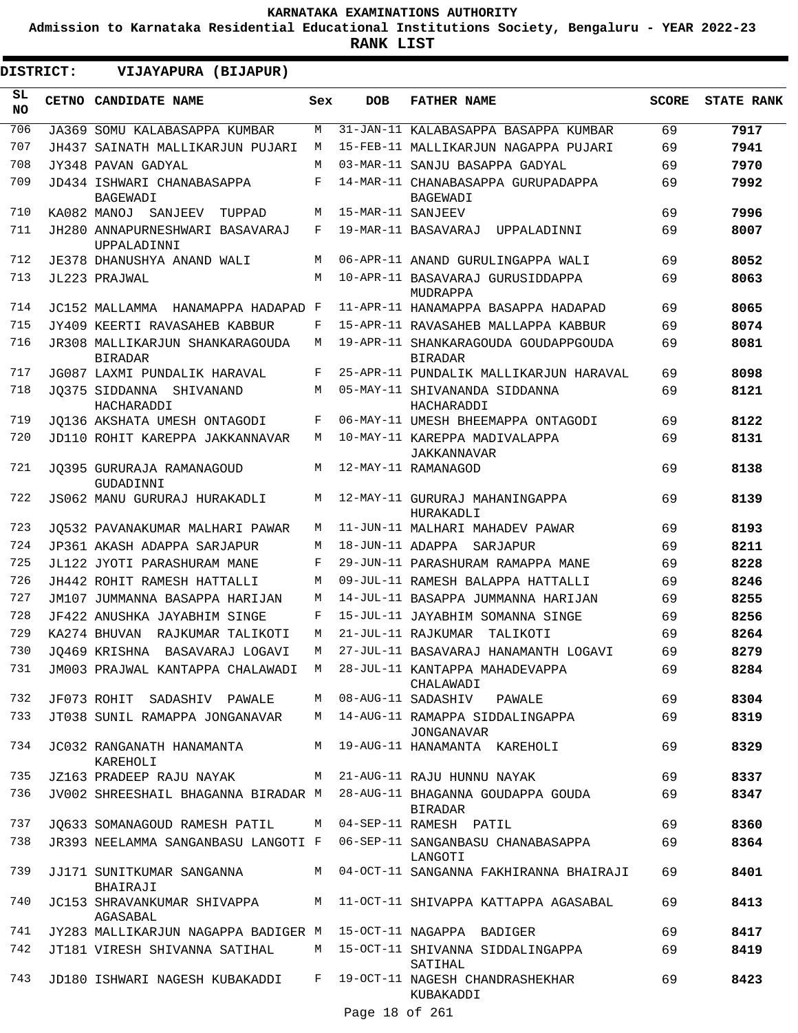**Admission to Karnataka Residential Educational Institutions Society, Bengaluru - YEAR 2022-23**

|                  | DISTRICT: | VIJAYAPURA (BIJAPUR)                                                  |       |                   |                                                                                  |              |                   |
|------------------|-----------|-----------------------------------------------------------------------|-------|-------------------|----------------------------------------------------------------------------------|--------------|-------------------|
| SL.<br><b>NO</b> |           | CETNO CANDIDATE NAME                                                  | Sex   | <b>DOB</b>        | <b>FATHER NAME</b>                                                               | <b>SCORE</b> | <b>STATE RANK</b> |
| 706              |           | JA369 SOMU KALABASAPPA KUMBAR                                         | M     |                   | 31-JAN-11 KALABASAPPA BASAPPA KUMBAR                                             | 69           | 7917              |
| 707              |           | JH437 SAINATH MALLIKARJUN PUJARI                                      | M     |                   | 15-FEB-11 MALLIKARJUN NAGAPPA PUJARI                                             | 69           | 7941              |
| 708              |           | JY348 PAVAN GADYAL                                                    | М     |                   | 03-MAR-11 SANJU BASAPPA GADYAL                                                   | 69           | 7970              |
| 709              |           | JD434 ISHWARI CHANABASAPPA<br>BAGEWADI                                | F     |                   | 14-MAR-11 CHANABASAPPA GURUPADAPPA<br>BAGEWADI                                   | 69           | 7992              |
| 710              |           | KA082 MANOJ SANJEEV<br>TUPPAD                                         | М     | 15-MAR-11 SANJEEV |                                                                                  | 69           | 7996              |
| 711              |           | JH280 ANNAPURNESHWARI BASAVARAJ<br>UPPALADINNI                        | F     |                   | 19-MAR-11 BASAVARAJ UPPALADINNI                                                  | 69           | 8007              |
| 712              |           | JE378 DHANUSHYA ANAND WALI                                            | M     |                   | 06-APR-11 ANAND GURULINGAPPA WALI                                                | 69           | 8052              |
| 713              |           | JL223 PRAJWAL                                                         | M     |                   | 10-APR-11 BASAVARAJ GURUSIDDAPPA<br>MUDRAPPA                                     | 69           | 8063              |
| 714              |           | JC152 MALLAMMA HANAMAPPA HADAPAD F                                    |       |                   | 11-APR-11 HANAMAPPA BASAPPA HADAPAD                                              | 69           | 8065              |
| 715              |           | JY409 KEERTI RAVASAHEB KABBUR                                         | F     |                   | 15-APR-11 RAVASAHEB MALLAPPA KABBUR                                              | 69           | 8074              |
| 716              |           | JR308 MALLIKARJUN SHANKARAGOUDA<br><b>BIRADAR</b>                     | М     |                   | 19-APR-11 SHANKARAGOUDA GOUDAPPGOUDA<br><b>BIRADAR</b>                           | 69           | 8081              |
| 717              |           | JG087 LAXMI PUNDALIK HARAVAL                                          | F     |                   | 25-APR-11 PUNDALIK MALLIKARJUN HARAVAL                                           | 69           | 8098              |
| 718              |           | JO375 SIDDANNA SHIVANAND<br>HACHARADDI                                | M     |                   | 05-MAY-11 SHIVANANDA SIDDANNA<br>HACHARADDI                                      | 69           | 8121              |
| 719              |           | JO136 AKSHATA UMESH ONTAGODI                                          | F     |                   | 06-MAY-11 UMESH BHEEMAPPA ONTAGODI                                               | 69           | 8122              |
| 720              |           | JD110 ROHIT KAREPPA JAKKANNAVAR                                       | М     |                   | 10-MAY-11 KAREPPA MADIVALAPPA<br>JAKKANNAVAR                                     | 69           | 8131              |
| 721              |           | JO395 GURURAJA RAMANAGOUD<br>GUDADINNI                                | M     |                   | 12-MAY-11 RAMANAGOD                                                              | 69           | 8138              |
| 722              |           | JS062 MANU GURURAJ HURAKADLI                                          | M     |                   | 12-MAY-11 GURURAJ MAHANINGAPPA<br>HURAKADLI                                      | 69           | 8139              |
| 723              |           | JO532 PAVANAKUMAR MALHARI PAWAR                                       | М     |                   | 11-JUN-11 MALHARI MAHADEV PAWAR                                                  | 69           | 8193              |
| 724              |           | JP361 AKASH ADAPPA SARJAPUR                                           | М     |                   | 18-JUN-11 ADAPPA SARJAPUR                                                        | 69           | 8211              |
| 725              |           | JL122 JYOTI PARASHURAM MANE                                           | F     |                   | 29-JUN-11 PARASHURAM RAMAPPA MANE                                                | 69           | 8228              |
| 726              |           | JH442 ROHIT RAMESH HATTALLI                                           | M     |                   | 09-JUL-11 RAMESH BALAPPA HATTALLI                                                | 69           | 8246              |
| 727              |           | JM107 JUMMANNA BASAPPA HARIJAN                                        | M     |                   | 14-JUL-11 BASAPPA JUMMANNA HARIJAN                                               | 69           | 8255              |
| 728              |           | JF422 ANUSHKA JAYABHIM SINGE                                          | F     |                   | 15-JUL-11 JAYABHIM SOMANNA SINGE                                                 | 69           | 8256              |
| 729              |           | KA274 BHUVAN RAJKUMAR TALIKOTI                                        | М     |                   | 21-JUL-11 RAJKUMAR TALIKOTI                                                      | 69           | 8264              |
| 730              |           | JQ469 KRISHNA BASAVARAJ LOGAVI                                        | M     |                   | 27-JUL-11 BASAVARAJ HANAMANTH LOGAVI                                             | 69           | 8279              |
| 731              |           | JM003 PRAJWAL KANTAPPA CHALAWADI M                                    |       |                   | 28-JUL-11 KANTAPPA MAHADEVAPPA<br>CHALAWADI                                      | 69           | 8284              |
| 732              |           | JF073 ROHIT SADASHIV PAWALE                                           | M     |                   | 08-AUG-11 SADASHIV<br>PAWALE                                                     | 69           | 8304              |
| 733              |           | JT038 SUNIL RAMAPPA JONGANAVAR                                        |       |                   | M 14-AUG-11 RAMAPPA SIDDALINGAPPA<br>JONGANAVAR                                  | 69           | 8319              |
| 734              |           | JC032 RANGANATH HANAMANTA<br>KAREHOLI                                 |       |                   | M 19-AUG-11 HANAMANTA KAREHOLI                                                   | 69           | 8329              |
| 735              |           | JZ163 PRADEEP RAJU NAYAK                                              |       |                   | M 21-AUG-11 RAJU HUNNU NAYAK                                                     | 69           | 8337              |
| 736              |           | JV002 SHREESHAIL BHAGANNA BIRADAR M 28-AUG-11 BHAGANNA GOUDAPPA GOUDA |       |                   | <b>BIRADAR</b>                                                                   | 69           | 8347              |
| 737              |           | JQ633 SOMANAGOUD RAMESH PATIL M 04-SEP-11 RAMESH PATIL                |       |                   |                                                                                  | 69           | 8360              |
| 738              |           |                                                                       |       |                   | JR393 NEELAMMA SANGANBASU LANGOTI F 06-SEP-11 SANGANBASU CHANABASAPPA<br>LANGOTI | 69           | 8364              |
| 739              |           | JJ171 SUNITKUMAR SANGANNA<br>BHAIRAJI                                 |       |                   | M 04-OCT-11 SANGANNA FAKHIRANNA BHAIRAJI                                         | 69           | 8401              |
| 740              |           | JC153 SHRAVANKUMAR SHIVAPPA<br>AGASABAL                               |       |                   | M 11-OCT-11 SHIVAPPA KATTAPPA AGASABAL                                           | 69           | 8413              |
| 741              |           | JY283 MALLIKARJUN NAGAPPA BADIGER M                                   |       |                   | 15-OCT-11 NAGAPPA BADIGER                                                        | 69           | 8417              |
| 742              |           | JT181 VIRESH SHIVANNA SATIHAL                                         |       |                   | M 15-OCT-11 SHIVANNA SIDDALINGAPPA<br>SATIHAL                                    | 69           | 8419              |
| 743              |           | JD180 ISHWARI NAGESH KUBAKADDI                                        | $F$ – | Page 18 of 261    | 19-OCT-11 NAGESH CHANDRASHEKHAR<br>KUBAKADDI                                     | 69           | 8423              |
|                  |           |                                                                       |       |                   |                                                                                  |              |                   |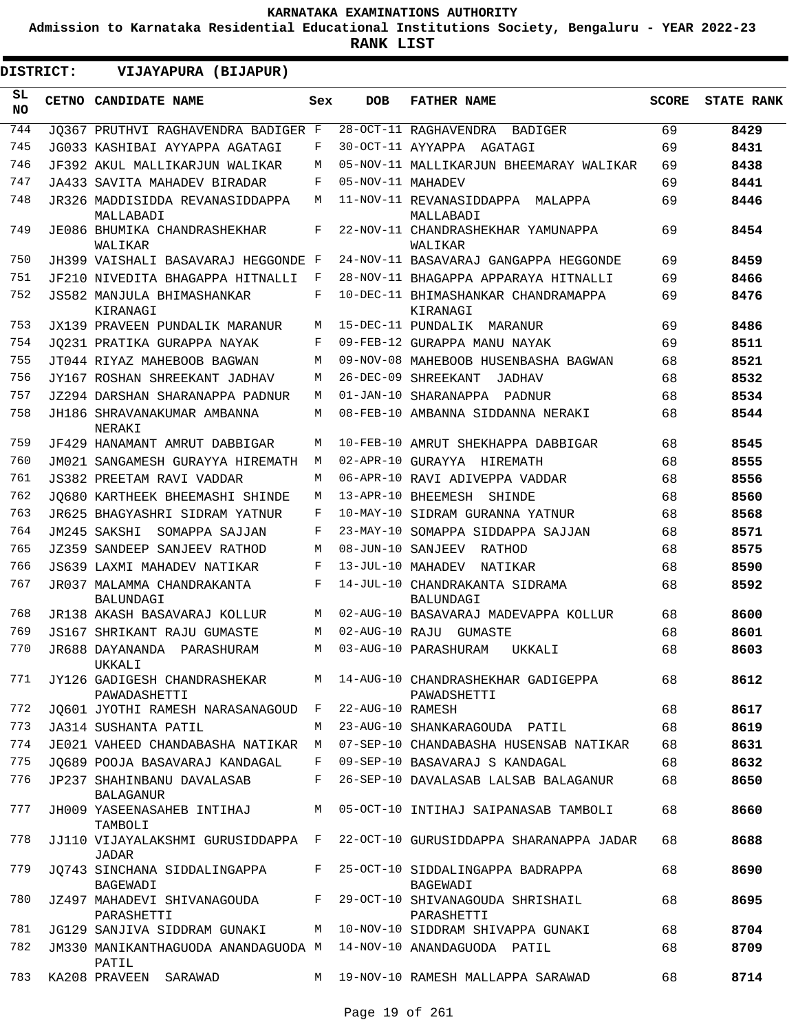**Admission to Karnataka Residential Educational Institutions Society, Bengaluru - YEAR 2022-23**

| <b>DISTRICT:</b> | VIJAYAPURA (BIJAPUR)                                                     |     |                   |                                                                            |              |                   |
|------------------|--------------------------------------------------------------------------|-----|-------------------|----------------------------------------------------------------------------|--------------|-------------------|
| SL.<br><b>NO</b> | <b>CETNO CANDIDATE NAME</b>                                              | Sex | <b>DOB</b>        | <b>FATHER NAME</b>                                                         | <b>SCORE</b> | <b>STATE RANK</b> |
| 744              | JO367 PRUTHVI RAGHAVENDRA BADIGER F                                      |     |                   | 28-OCT-11 RAGHAVENDRA<br>BADIGER                                           | 69           | 8429              |
| 745              | JG033 KASHIBAI AYYAPPA AGATAGI                                           | F   |                   | 30-OCT-11 AYYAPPA AGATAGI                                                  | 69           | 8431              |
| 746              | JF392 AKUL MALLIKARJUN WALIKAR                                           | M   |                   | 05-NOV-11 MALLIKARJUN BHEEMARAY WALIKAR                                    | 69           | 8438              |
| 747              | JA433 SAVITA MAHADEV BIRADAR                                             | F   | 05-NOV-11 MAHADEV |                                                                            | 69           | 8441              |
| 748              | JR326 MADDISIDDA REVANASIDDAPPA<br>MALLABADI                             | М   |                   | 11-NOV-11 REVANASIDDAPPA MALAPPA<br>MALLABADI                              | 69           | 8446              |
| 749              | JE086 BHUMIKA CHANDRASHEKHAR<br>WALIKAR                                  | F   |                   | 22-NOV-11 CHANDRASHEKHAR YAMUNAPPA<br>WALIKAR                              | 69           | 8454              |
| 750              | JH399 VAISHALI BASAVARAJ HEGGONDE F                                      |     |                   | 24-NOV-11 BASAVARAJ GANGAPPA HEGGONDE                                      | 69           | 8459              |
| 751              | JF210 NIVEDITA BHAGAPPA HITNALLI                                         | F   |                   | 28-NOV-11 BHAGAPPA APPARAYA HITNALLI                                       | 69           | 8466              |
| 752              | JS582 MANJULA BHIMASHANKAR<br>KIRANAGI                                   | F   |                   | 10-DEC-11 BHIMASHANKAR CHANDRAMAPPA<br>KIRANAGI                            | 69           | 8476              |
| 753              | JX139 PRAVEEN PUNDALIK MARANUR                                           | М   |                   | 15-DEC-11 PUNDALIK MARANUR                                                 | 69           | 8486              |
| 754              | JQ231 PRATIKA GURAPPA NAYAK                                              | F   |                   | 09-FEB-12 GURAPPA MANU NAYAK                                               | 69           | 8511              |
| 755              | JT044 RIYAZ MAHEBOOB BAGWAN                                              | М   |                   | 09-NOV-08 MAHEBOOB HUSENBASHA BAGWAN                                       | 68           | 8521              |
| 756              | JY167 ROSHAN SHREEKANT JADHAV                                            | М   |                   | 26-DEC-09 SHREEKANT<br>JADHAV                                              | 68           | 8532              |
| 757              | JZ294 DARSHAN SHARANAPPA PADNUR                                          | М   |                   | 01-JAN-10 SHARANAPPA PADNUR                                                | 68           | 8534              |
| 758              | JH186 SHRAVANAKUMAR AMBANNA<br>NERAKI                                    | М   |                   | 08-FEB-10 AMBANNA SIDDANNA NERAKI                                          | 68           | 8544              |
| 759              | JF429 HANAMANT AMRUT DABBIGAR                                            | М   |                   | 10-FEB-10 AMRUT SHEKHAPPA DABBIGAR                                         | 68           | 8545              |
| 760              | JM021 SANGAMESH GURAYYA HIREMATH                                         | M   |                   | 02-APR-10 GURAYYA HIREMATH                                                 | 68           | 8555              |
| 761              | JS382 PREETAM RAVI VADDAR                                                | М   |                   | 06-APR-10 RAVI ADIVEPPA VADDAR                                             | 68           | 8556              |
| 762              | JO680 KARTHEEK BHEEMASHI SHINDE                                          | М   |                   | 13-APR-10 BHEEMESH SHINDE                                                  | 68           | 8560              |
| 763              | JR625 BHAGYASHRI SIDRAM YATNUR                                           | F   |                   | 10-MAY-10 SIDRAM GURANNA YATNUR                                            | 68           | 8568              |
| 764              | JM245 SAKSHI<br>SOMAPPA SAJJAN                                           | F   |                   | 23-MAY-10 SOMAPPA SIDDAPPA SAJJAN                                          | 68           | 8571              |
| 765              | JZ359 SANDEEP SANJEEV RATHOD                                             | М   |                   | 08-JUN-10 SANJEEV RATHOD                                                   | 68           | 8575              |
| 766              | JS639 LAXMI MAHADEV NATIKAR                                              | F   | 13-JUL-10 MAHADEV | NATIKAR                                                                    | 68           | 8590              |
| 767              | JR037 MALAMMA CHANDRAKANTA<br><b>BALUNDAGI</b>                           | F   |                   | 14-JUL-10 CHANDRAKANTA SIDRAMA<br>BALUNDAGI                                | 68           | 8592              |
| 768              | JR138 AKASH BASAVARAJ KOLLUR                                             | М   |                   | 02-AUG-10 BASAVARAJ MADEVAPPA KOLLUR                                       | 68           | 8600              |
| 769              | <b>JS167 SHRIKANT RAJU GUMASTE</b>                                       | М   |                   | 02-AUG-10 RAJU GUMASTE                                                     | 68           | 8601              |
| 770              | JR688 DAYANANDA PARASHURAM<br>UKKALI                                     |     |                   | M 03-AUG-10 PARASHURAM UKKALI                                              | 68           | 8603              |
| 771              | JY126 GADIGESH CHANDRASHEKAR<br>PAWADASHETTI                             |     |                   | M 14-AUG-10 CHANDRASHEKHAR GADIGEPPA<br>PAWADSHETTI                        | 68           | 8612              |
| 772              | JQ601 JYOTHI RAMESH NARASANAGOUD F                                       |     | 22-AUG-10 RAMESH  |                                                                            | 68           | 8617              |
| 773              | JA314 SUSHANTA PATIL                                                     | M   |                   | 23-AUG-10 SHANKARAGOUDA PATIL                                              | 68           | 8619              |
| 774              |                                                                          |     |                   | JE021 VAHEED CHANDABASHA NATIKAR M 07-SEP-10 CHANDABASHA HUSENSAB NATIKAR  | 68           | 8631              |
| 775              | JQ689 POOJA BASAVARAJ KANDAGAL                                           |     |                   | F 09-SEP-10 BASAVARAJ S KANDAGAL                                           | 68           | 8632              |
| 776              | JP237 SHAHINBANU DAVALASAB<br><b>BALAGANUR</b>                           | F   |                   | 26-SEP-10 DAVALASAB LALSAB BALAGANUR                                       | 68           | 8650              |
| 777              | JH009 YASEENASAHEB INTIHAJ<br>TAMBOLI                                    |     |                   | M 05-OCT-10 INTIHAJ SAIPANASAB TAMBOLI                                     | 68           | 8660              |
| 778              | JADAR                                                                    |     |                   | JJ110 VIJAYALAKSHMI GURUSIDDAPPA F 22-OCT-10 GURUSIDDAPPA SHARANAPPA JADAR | 68           | 8688              |
| 779              | JQ743 SINCHANA SIDDALINGAPPA<br>BAGEWADI                                 | F   |                   | 25-OCT-10 SIDDALINGAPPA BADRAPPA<br>BAGEWADI                               | 68           | 8690              |
| 780              | JZ497 MAHADEVI SHIVANAGOUDA F<br>PARASHETTI                              |     |                   | 29-OCT-10 SHIVANAGOUDA SHRISHAIL<br>PARASHETTI                             | 68           | 8695              |
| 781              | JG129 SANJIVA SIDDRAM GUNAKI                                             |     |                   | M 10-NOV-10 SIDDRAM SHIVAPPA GUNAKI                                        | 68           | 8704              |
| 782              | JM330 MANIKANTHAGUODA ANANDAGUODA M 14-NOV-10 ANANDAGUODA PATIL<br>PATIL |     |                   |                                                                            | 68           | 8709              |
| 783              | KA208 PRAVEEN SARAWAD                                                    |     |                   | M 19-NOV-10 RAMESH MALLAPPA SARAWAD                                        | 68           | 8714              |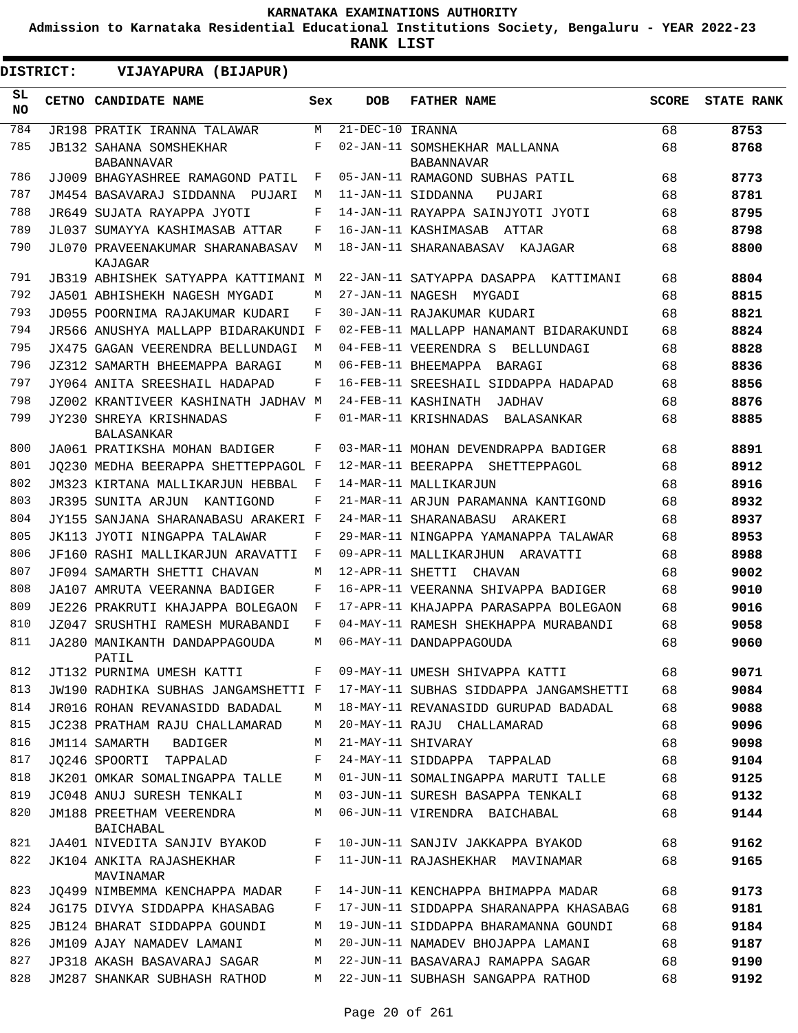**Admission to Karnataka Residential Educational Institutions Society, Bengaluru - YEAR 2022-23**

| <b>DISTRICT:</b> | VIJAYAPURA (BIJAPUR)                                |     |                                |                                                    |              |                   |
|------------------|-----------------------------------------------------|-----|--------------------------------|----------------------------------------------------|--------------|-------------------|
| SL.<br><b>NO</b> | <b>CETNO CANDIDATE NAME</b>                         | Sex | <b>DOB</b>                     | <b>FATHER NAME</b>                                 | <b>SCORE</b> | <b>STATE RANK</b> |
| 784              | JR198 PRATIK IRANNA TALAWAR                         | M   | $\overline{21}$ -DEC-10 IRANNA |                                                    | 68           | 8753              |
| 785              | <b>JB132 SAHANA SOMSHEKHAR</b><br><b>BABANNAVAR</b> | F   |                                | 02-JAN-11 SOMSHEKHAR MALLANNA<br><b>BABANNAVAR</b> | 68           | 8768              |
| 786              | JJ009 BHAGYASHREE RAMAGOND PATIL                    | F   |                                | 05-JAN-11 RAMAGOND SUBHAS PATIL                    | 68           | 8773              |
| 787              | JM454 BASAVARAJ SIDDANNA PUJARI                     | М   |                                | 11-JAN-11 SIDDANNA<br>PUJARI                       | 68           | 8781              |
| 788              | JR649 SUJATA RAYAPPA JYOTI                          | F   |                                | 14-JAN-11 RAYAPPA SAINJYOTI JYOTI                  | 68           | 8795              |
| 789              | JL037 SUMAYYA KASHIMASAB ATTAR                      | F   |                                | 16-JAN-11 KASHIMASAB ATTAR                         | 68           | 8798              |
| 790              | JL070 PRAVEENAKUMAR SHARANABASAV<br>KAJAGAR         | М   |                                | 18-JAN-11 SHARANABASAV KAJAGAR                     | 68           | 8800              |
| 791              | JB319 ABHISHEK SATYAPPA KATTIMANI M                 |     |                                | 22-JAN-11 SATYAPPA DASAPPA KATTIMANI               | 68           | 8804              |
| 792              | JA501 ABHISHEKH NAGESH MYGADI                       | M   |                                | 27-JAN-11 NAGESH MYGADI                            | 68           | 8815              |
| 793              | JD055 POORNIMA RAJAKUMAR KUDARI                     | F   |                                | 30-JAN-11 RAJAKUMAR KUDARI                         | 68           | 8821              |
| 794              | JR566 ANUSHYA MALLAPP BIDARAKUNDI F                 |     |                                | 02-FEB-11 MALLAPP HANAMANT BIDARAKUNDI             | 68           | 8824              |
| 795              | JX475 GAGAN VEERENDRA BELLUNDAGI                    | М   |                                | 04-FEB-11 VEERENDRA S BELLUNDAGI                   | 68           | 8828              |
| 796              | JZ312 SAMARTH BHEEMAPPA BARAGI                      | M   |                                | 06-FEB-11 BHEEMAPPA BARAGI                         | 68           | 8836              |
| 797              | JY064 ANITA SREESHAIL HADAPAD                       | F   |                                | 16-FEB-11 SREESHAIL SIDDAPPA HADAPAD               | 68           | 8856              |
| 798              | JZ002 KRANTIVEER KASHINATH JADHAV M                 |     |                                | 24-FEB-11 KASHINATH<br>JADHAV                      | 68           | 8876              |
| 799              | JY230 SHREYA KRISHNADAS<br><b>BALASANKAR</b>        | F   |                                | 01-MAR-11 KRISHNADAS<br>BALASANKAR                 | 68           | 8885              |
| 800              | JA061 PRATIKSHA MOHAN BADIGER                       | F   |                                | 03-MAR-11 MOHAN DEVENDRAPPA BADIGER                | 68           | 8891              |
| 801              | JO230 MEDHA BEERAPPA SHETTEPPAGOL F                 |     |                                | 12-MAR-11 BEERAPPA SHETTEPPAGOL                    | 68           | 8912              |
| 802              | JM323 KIRTANA MALLIKARJUN HEBBAL                    | F   |                                | 14-MAR-11 MALLIKARJUN                              | 68           | 8916              |
| 803              | JR395 SUNITA ARJUN KANTIGOND                        | F   |                                | 21-MAR-11 ARJUN PARAMANNA KANTIGOND                | 68           | 8932              |
| 804              | JY155 SANJANA SHARANABASU ARAKERI F                 |     |                                | 24-MAR-11 SHARANABASU ARAKERI                      | 68           | 8937              |
| 805              | JK113 JYOTI NINGAPPA TALAWAR                        | F   |                                | 29-MAR-11 NINGAPPA YAMANAPPA TALAWAR               | 68           | 8953              |
| 806              | JF160 RASHI MALLIKARJUN ARAVATTI                    | F   |                                | 09-APR-11 MALLIKARJHUN ARAVATTI                    | 68           | 8988              |
| 807              | JF094 SAMARTH SHETTI CHAVAN                         | М   |                                | 12-APR-11 SHETTI CHAVAN                            | 68           | 9002              |
| 808              | JA107 AMRUTA VEERANNA BADIGER                       | F   |                                | 16-APR-11 VEERANNA SHIVAPPA BADIGER                | 68           | 9010              |
| 809              | JE226 PRAKRUTI KHAJAPPA BOLEGAON                    | F   |                                | 17-APR-11 KHAJAPPA PARASAPPA BOLEGAON              | 68           | 9016              |
| 810              | JZ047 SRUSHTHI RAMESH MURABANDI                     | F   |                                | 04-MAY-11 RAMESH SHEKHAPPA MURABANDI               | 68           | 9058              |
| 811              | JA280 MANIKANTH DANDAPPAGOUDA<br>PATIL              | М   |                                | 06-MAY-11 DANDAPPAGOUDA                            | 68           | 9060              |
| 812              | JT132 PURNIMA UMESH KATTI                           | F   |                                | 09-MAY-11 UMESH SHIVAPPA KATTI                     | 68           | 9071              |
| 813              | JW190 RADHIKA SUBHAS JANGAMSHETTI F                 |     |                                | 17-MAY-11 SUBHAS SIDDAPPA JANGAMSHETTI             | 68           | 9084              |
| 814              | JR016 ROHAN REVANASIDD BADADAL                      | М   |                                | 18-MAY-11 REVANASIDD GURUPAD BADADAL               | 68           | 9088              |
| 815              | JC238 PRATHAM RAJU CHALLAMARAD                      | М   |                                | 20-MAY-11 RAJU CHALLAMARAD                         | 68           | 9096              |
| 816              | JM114 SAMARTH<br>BADIGER                            | М   |                                | 21-MAY-11 SHIVARAY                                 | 68           | 9098              |
| 817              | JO246 SPOORTI TAPPALAD                              | F   |                                | 24-MAY-11 SIDDAPPA TAPPALAD                        | 68           | 9104              |
| 818              | JK201 OMKAR SOMALINGAPPA TALLE                      | М   |                                | 01-JUN-11 SOMALINGAPPA MARUTI TALLE                | 68           | 9125              |
| 819              | JC048 ANUJ SURESH TENKALI                           | М   |                                | 03-JUN-11 SURESH BASAPPA TENKALI                   | 68           | 9132              |
| 820              | JM188 PREETHAM VEERENDRA<br>BAICHABAL               | М   |                                | 06-JUN-11 VIRENDRA BAICHABAL                       | 68           | 9144              |
| 821              | JA401 NIVEDITA SANJIV BYAKOD                        | F   |                                | 10-JUN-11 SANJIV JAKKAPPA BYAKOD                   | 68           | 9162              |
| 822              | JK104 ANKITA RAJASHEKHAR<br>MAVINAMAR               | F   |                                | 11-JUN-11 RAJASHEKHAR MAVINAMAR                    | 68           | 9165              |
| 823              | JO499 NIMBEMMA KENCHAPPA MADAR                      | F   |                                | 14-JUN-11 KENCHAPPA BHIMAPPA MADAR                 | 68           | 9173              |
| 824              | JG175 DIVYA SIDDAPPA KHASABAG                       | F   |                                | 17-JUN-11 SIDDAPPA SHARANAPPA KHASABAG             | 68           | 9181              |
| 825              | JB124 BHARAT SIDDAPPA GOUNDI                        | М   |                                | 19-JUN-11 SIDDAPPA BHARAMANNA GOUNDI               | 68           | 9184              |
| 826              | JM109 AJAY NAMADEV LAMANI                           | М   |                                | 20-JUN-11 NAMADEV BHOJAPPA LAMANI                  | 68           | 9187              |
| 827              | JP318 AKASH BASAVARAJ SAGAR                         | М   |                                | 22-JUN-11 BASAVARAJ RAMAPPA SAGAR                  | 68           | 9190              |
| 828              | JM287 SHANKAR SUBHASH RATHOD                        | М   |                                | 22-JUN-11 SUBHASH SANGAPPA RATHOD                  | 68           | 9192              |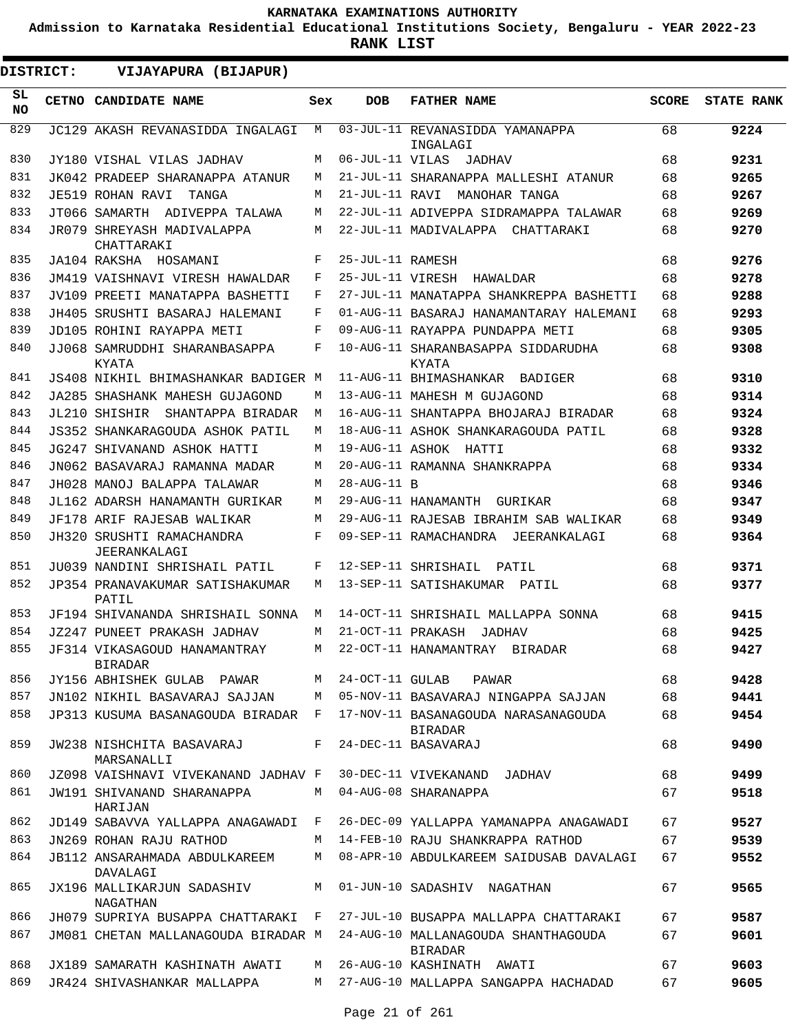**Admission to Karnataka Residential Educational Institutions Society, Bengaluru - YEAR 2022-23**

**RANK LIST**

|            | <b>DISTRICT:</b> | VIJAYAPURA (BIJAPUR)                           |       |                   |                                                |              |                   |
|------------|------------------|------------------------------------------------|-------|-------------------|------------------------------------------------|--------------|-------------------|
| SL.<br>NO. |                  | CETNO CANDIDATE NAME                           | Sex   | <b>DOB</b>        | <b>FATHER NAME</b>                             | <b>SCORE</b> | <b>STATE RANK</b> |
| 829        |                  | JC129 AKASH REVANASIDDA INGALAGI               | М     |                   | 03-JUL-11 REVANASIDDA YAMANAPPA<br>INGALAGI    | 68           | 9224              |
| 830        |                  | JY180 VISHAL VILAS JADHAV                      | М     |                   | 06-JUL-11 VILAS JADHAV                         | 68           | 9231              |
| 831        |                  | JK042 PRADEEP SHARANAPPA ATANUR                | M     |                   | 21-JUL-11 SHARANAPPA MALLESHI ATANUR           | 68           | 9265              |
| 832        |                  | JE519 ROHAN RAVI<br>TANGA                      | М     |                   | 21-JUL-11 RAVI MANOHAR TANGA                   | 68           | 9267              |
| 833        |                  | JT066 SAMARTH ADIVEPPA TALAWA                  | М     |                   | 22-JUL-11 ADIVEPPA SIDRAMAPPA TALAWAR          | 68           | 9269              |
| 834        |                  | JR079 SHREYASH MADIVALAPPA<br>CHATTARAKI       | М     |                   | 22-JUL-11 MADIVALAPPA CHATTARAKI               | 68           | 9270              |
| 835        |                  | JA104 RAKSHA HOSAMANI                          | F     | 25-JUL-11 RAMESH  |                                                | 68           | 9276              |
| 836        |                  | JM419 VAISHNAVI VIRESH HAWALDAR                | F     |                   | 25-JUL-11 VIRESH HAWALDAR                      | 68           | 9278              |
| 837        |                  | JV109 PREETI MANATAPPA BASHETTI                | F     |                   | 27-JUL-11 MANATAPPA SHANKREPPA BASHETTI        | 68           | 9288              |
| 838        |                  | JH405 SRUSHTI BASARAJ HALEMANI                 | F     |                   | 01-AUG-11 BASARAJ HANAMANTARAY HALEMANI        | 68           | 9293              |
| 839        |                  | JD105 ROHINI RAYAPPA METI                      | F     |                   | 09-AUG-11 RAYAPPA PUNDAPPA METI                | 68           | 9305              |
| 840        |                  | JJ068 SAMRUDDHI SHARANBASAPPA<br>KYATA         | F     |                   | 10-AUG-11 SHARANBASAPPA SIDDARUDHA<br>KYATA    | 68           | 9308              |
| 841        |                  | JS408 NIKHIL BHIMASHANKAR BADIGER M            |       |                   | 11-AUG-11 BHIMASHANKAR BADIGER                 | 68           | 9310              |
| 842        |                  | JA285 SHASHANK MAHESH GUJAGOND                 | M     |                   | 13-AUG-11 MAHESH M GUJAGOND                    | 68           | 9314              |
| 843        |                  | JL210 SHISHIR<br>SHANTAPPA BIRADAR             | M     |                   | 16-AUG-11 SHANTAPPA BHOJARAJ BIRADAR           | 68           | 9324              |
| 844        |                  | JS352 SHANKARAGOUDA ASHOK PATIL                | М     |                   | 18-AUG-11 ASHOK SHANKARAGOUDA PATIL            | 68           | 9328              |
| 845        |                  | JG247 SHIVANAND ASHOK HATTI                    | М     |                   | 19-AUG-11 ASHOK HATTI                          | 68           | 9332              |
| 846        |                  | JN062 BASAVARAJ RAMANNA MADAR                  | М     |                   | 20-AUG-11 RAMANNA SHANKRAPPA                   | 68           | 9334              |
| 847        |                  | JH028 MANOJ BALAPPA TALAWAR                    | М     | $28 - AUG - 11 B$ |                                                | 68           | 9346              |
| 848        |                  | JL162 ADARSH HANAMANTH GURIKAR                 | М     |                   | 29-AUG-11 HANAMANTH GURIKAR                    | 68           | 9347              |
| 849        |                  | JF178 ARIF RAJESAB WALIKAR                     | М     |                   | 29-AUG-11 RAJESAB IBRAHIM SAB WALIKAR          | 68           | 9349              |
| 850        |                  | JH320 SRUSHTI RAMACHANDRA<br>JEERANKALAGI      | F     |                   | 09-SEP-11 RAMACHANDRA JEERANKALAGI             | 68           | 9364              |
| 851        |                  | JU039 NANDINI SHRISHAIL PATIL                  | F     |                   | 12-SEP-11 SHRISHAIL<br>PATIL                   | 68           | 9371              |
| 852        |                  | JP354 PRANAVAKUMAR SATISHAKUMAR<br>PATIL       | M     |                   | 13-SEP-11 SATISHAKUMAR PATIL                   | 68           | 9377              |
| 853        |                  | JF194 SHIVANANDA SHRISHAIL SONNA               | М     |                   | 14-OCT-11 SHRISHAIL MALLAPPA SONNA             | 68           | 9415              |
| 854        |                  | <b>JZ247 PUNEET PRAKASH JADHAV</b>             | M     |                   | 21-OCT-11 PRAKASH JADHAV                       | 68           | 9425              |
| 855        |                  | JF314 VIKASAGOUD HANAMANTRAY<br><b>BIRADAR</b> | М     |                   | 22-OCT-11 HANAMANTRAY BIRADAR                  | 68           | 9427              |
| 856        |                  | JY156 ABHISHEK GULAB PAWAR                     | M     | 24-OCT-11 GULAB   | PAWAR                                          | 68           | 9428              |
| 857        |                  | JN102 NIKHIL BASAVARAJ SAJJAN                  | М     |                   | 05-NOV-11 BASAVARAJ NINGAPPA SAJJAN            | 68           | 9441              |
| 858        |                  | JP313 KUSUMA BASANAGOUDA BIRADAR F             |       |                   | 17-NOV-11 BASANAGOUDA NARASANAGOUDA<br>BIRADAR | 68           | 9454              |
| 859        |                  | JW238 NISHCHITA BASAVARAJ<br>MARSANALLI        | $F -$ |                   | 24-DEC-11 BASAVARAJ                            | 68           | 9490              |
| 860        |                  | JZ098 VAISHNAVI VIVEKANAND JADHAV F            |       |                   | 30-DEC-11 VIVEKANAND JADHAV                    | 68           | 9499              |
| 861        |                  | JW191 SHIVANAND SHARANAPPA<br>HARIJAN          | M     |                   | 04-AUG-08 SHARANAPPA                           | 67           | 9518              |
| 862        |                  | JD149 SABAVVA YALLAPPA ANAGAWADI               | F     |                   | 26-DEC-09 YALLAPPA YAMANAPPA ANAGAWADI         | 67           | 9527              |
| 863        |                  | JN269 ROHAN RAJU RATHOD                        | M     |                   | 14-FEB-10 RAJU SHANKRAPPA RATHOD               | 67           | 9539              |
| 864        |                  | JB112 ANSARAHMADA ABDULKAREEM<br>DAVALAGI      | М     |                   | 08-APR-10 ABDULKAREEM SAIDUSAB DAVALAGI        | 67           | 9552              |
| 865        |                  | JX196 MALLIKARJUN SADASHIV<br>NAGATHAN         | M     |                   | 01-JUN-10 SADASHIV NAGATHAN                    | 67           | 9565              |
| 866        |                  | JH079 SUPRIYA BUSAPPA CHATTARAKI F             |       |                   | 27-JUL-10 BUSAPPA MALLAPPA CHATTARAKI          | 67           | 9587              |
| 867        |                  | JM081 CHETAN MALLANAGOUDA BIRADAR M            |       |                   | 24-AUG-10 MALLANAGOUDA SHANTHAGOUDA<br>BIRADAR | 67           | 9601              |
| 868        |                  | JX189 SAMARATH KASHINATH AWATI                 | M     |                   | 26-AUG-10 KASHINATH AWATI                      | 67           | 9603              |
| 869        |                  | JR424 SHIVASHANKAR MALLAPPA                    | M     |                   | 27-AUG-10 MALLAPPA SANGAPPA HACHADAD           | 67           | 9605              |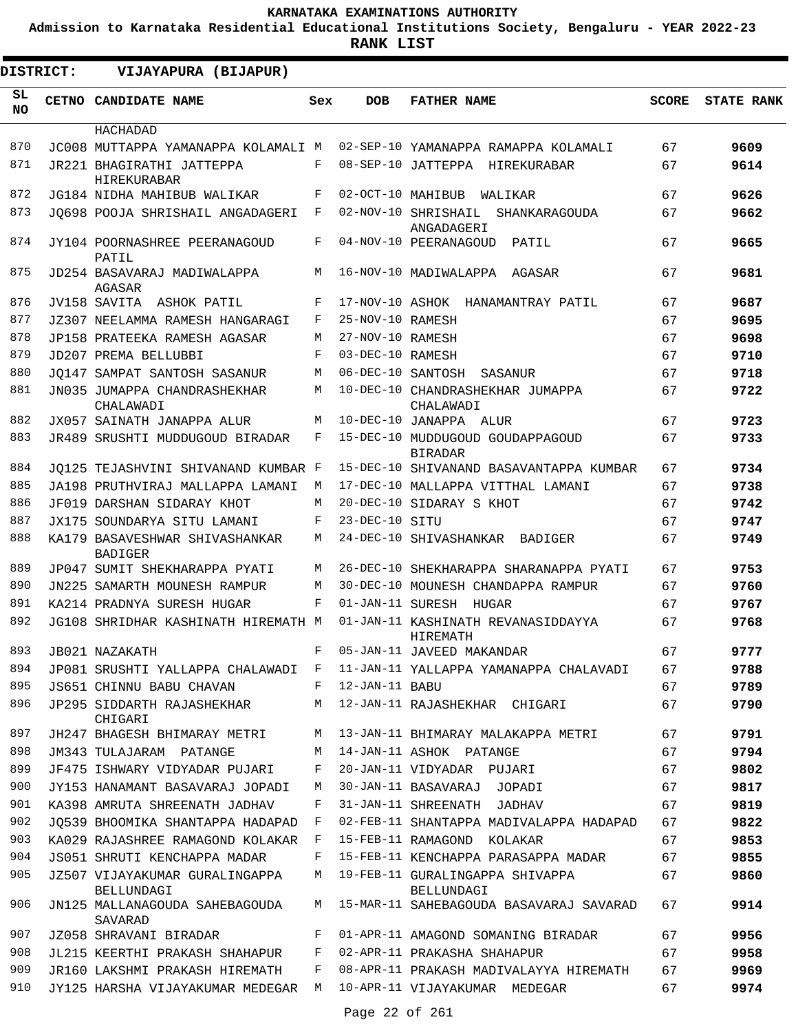**Admission to Karnataka Residential Educational Institutions Society, Bengaluru - YEAR 2022-23**

| <b>DISTRICT:</b> | VIJAYAPURA (BIJAPUR)                             |     |                   |                                                    |              |                   |
|------------------|--------------------------------------------------|-----|-------------------|----------------------------------------------------|--------------|-------------------|
| SL.<br><b>NO</b> | <b>CETNO CANDIDATE NAME</b>                      | Sex | <b>DOB</b>        | <b>FATHER NAME</b>                                 | <b>SCORE</b> | <b>STATE RANK</b> |
|                  | HACHADAD                                         |     |                   |                                                    |              |                   |
| 870              | JC008 MUTTAPPA YAMANAPPA KOLAMALI M              |     |                   | 02-SEP-10 YAMANAPPA RAMAPPA KOLAMALI               | 67           | 9609              |
| 871              | JR221 BHAGIRATHI JATTEPPA<br>HIREKURABAR         | F   |                   | 08-SEP-10 JATTEPPA HIREKURABAR                     | 67           | 9614              |
| 872              | JG184 NIDHA MAHIBUB WALIKAR                      | F   | 02-OCT-10 MAHIBUB | WALIKAR                                            | 67           | 9626              |
| 873              | JO698 POOJA SHRISHAIL ANGADAGERI                 | F   |                   | 02-NOV-10 SHRISHAIL SHANKARAGOUDA<br>ANGADAGERI    | 67           | 9662              |
| 874              | JY104 POORNASHREE PEERANAGOUD<br>PATIL           | F   |                   | 04-NOV-10 PEERANAGOUD<br>PATIL                     | 67           | 9665              |
| 875              | JD254 BASAVARAJ MADIWALAPPA<br>AGASAR            | М   |                   | 16-NOV-10 MADIWALAPPA AGASAR                       | 67           | 9681              |
| 876              | JV158 SAVITA ASHOK PATIL                         | F   |                   | 17-NOV-10 ASHOK HANAMANTRAY PATIL                  | 67           | 9687              |
| 877              | JZ307 NEELAMMA RAMESH HANGARAGI                  | F   | 25-NOV-10 RAMESH  |                                                    | 67           | 9695              |
| 878              | JP158 PRATEEKA RAMESH AGASAR                     | M   | 27-NOV-10 RAMESH  |                                                    | 67           | 9698              |
| 879              | JD207 PREMA BELLUBBI                             | F   | 03-DEC-10 RAMESH  |                                                    | 67           | 9710              |
| 880              | JO147 SAMPAT SANTOSH SASANUR                     | М   | 06-DEC-10 SANTOSH | SASANUR                                            | 67           | 9718              |
| 881              | JN035 JUMAPPA CHANDRASHEKHAR<br>CHALAWADI        | M   |                   | 10-DEC-10 CHANDRASHEKHAR JUMAPPA<br>CHALAWADI      | 67           | 9722              |
| 882              | JX057 SAINATH JANAPPA ALUR                       | M   |                   | 10-DEC-10 JANAPPA ALUR                             | 67           | 9723              |
| 883              | JR489 SRUSHTI MUDDUGOUD BIRADAR                  | F   |                   | 15-DEC-10 MUDDUGOUD GOUDAPPAGOUD<br><b>BIRADAR</b> | 67           | 9733              |
| 884              | JO125 TEJASHVINI SHIVANAND KUMBAR F              |     |                   | 15-DEC-10 SHIVANAND BASAVANTAPPA KUMBAR            | 67           | 9734              |
| 885              | JA198 PRUTHVIRAJ MALLAPPA LAMANI                 | M   |                   | 17-DEC-10 MALLAPPA VITTHAL LAMANI                  | 67           | 9738              |
| 886              | JF019 DARSHAN SIDARAY KHOT                       | M   |                   | 20-DEC-10 SIDARAY S KHOT                           | 67           | 9742              |
| 887              | JX175 SOUNDARYA SITU LAMANI                      | F   | 23-DEC-10 SITU    |                                                    | 67           | 9747              |
| 888              | KA179 BASAVESHWAR SHIVASHANKAR<br><b>BADIGER</b> | М   |                   | 24-DEC-10 SHIVASHANKAR BADIGER                     | 67           | 9749              |
| 889              | JP047 SUMIT SHEKHARAPPA PYATI                    | M   |                   | 26-DEC-10 SHEKHARAPPA SHARANAPPA PYATI             | 67           | 9753              |
| 890              | JN225 SAMARTH MOUNESH RAMPUR                     | M   |                   | 30-DEC-10 MOUNESH CHANDAPPA RAMPUR                 | 67           | 9760              |
| 891              | KA214 PRADNYA SURESH HUGAR                       | F   |                   | 01-JAN-11 SURESH HUGAR                             | 67           | 9767              |
| 892              | JG108 SHRIDHAR KASHINATH HIREMATH M              |     |                   | 01-JAN-11 KASHINATH REVANASIDDAYYA<br>HIREMATH     | 67           | 9768              |
| 893              | JB021 NAZAKATH                                   | F   |                   | 05-JAN-11 JAVEED MAKANDAR                          | 67           | 9777              |
| 894              | JP081 SRUSHTI YALLAPPA CHALAWADI F               |     |                   | 11-JAN-11 YALLAPPA YAMANAPPA CHALAVADI             | 67           | 9788              |
| 895              | JS651 CHINNU BABU CHAVAN                         | F   | 12-JAN-11 BABU    |                                                    | 67           | 9789              |
| 896              | JP295 SIDDARTH RAJASHEKHAR<br>CHIGARI            | М   |                   | 12-JAN-11 RAJASHEKHAR CHIGARI                      | 67           | 9790              |
| 897              | JH247 BHAGESH BHIMARAY METRI                     | M   |                   | 13-JAN-11 BHIMARAY MALAKAPPA METRI                 | 67           | 9791              |
| 898              | JM343 TULAJARAM PATANGE                          | М   |                   | 14-JAN-11 ASHOK PATANGE                            | 67           | 9794              |
| 899              | JF475 ISHWARY VIDYADAR PUJARI                    | F   |                   | 20-JAN-11 VIDYADAR PUJARI                          | 67           | 9802              |
| 900              | JY153 HANAMANT BASAVARAJ JOPADI                  | М   |                   | 30-JAN-11 BASAVARAJ JOPADI                         | 67           | 9817              |
| 901              | KA398 AMRUTA SHREENATH JADHAV                    | F   |                   | 31-JAN-11 SHREENATH JADHAV                         | 67           | 9819              |
| 902              | JO539 BHOOMIKA SHANTAPPA HADAPAD                 | F   |                   | 02-FEB-11 SHANTAPPA MADIVALAPPA HADAPAD            | 67           | 9822              |
| 903              | KA029 RAJASHREE RAMAGOND KOLAKAR                 | F   |                   | 15-FEB-11 RAMAGOND KOLAKAR                         | 67           | 9853              |
| 904              | JS051 SHRUTI KENCHAPPA MADAR                     | F   |                   | 15-FEB-11 KENCHAPPA PARASAPPA MADAR                | 67           | 9855              |
| 905              | JZ507 VIJAYAKUMAR GURALINGAPPA<br>BELLUNDAGI     | M   |                   | 19-FEB-11 GURALINGAPPA SHIVAPPA<br>BELLUNDAGI      | 67           | 9860              |
| 906              | JN125 MALLANAGOUDA SAHEBAGOUDA<br>SAVARAD        | М   |                   | 15-MAR-11 SAHEBAGOUDA BASAVARAJ SAVARAD            | 67           | 9914              |
| 907              | JZ058 SHRAVANI BIRADAR                           | F   |                   | 01-APR-11 AMAGOND SOMANING BIRADAR                 | 67           | 9956              |
| 908              | JL215 KEERTHI PRAKASH SHAHAPUR                   | F   |                   | 02-APR-11 PRAKASHA SHAHAPUR                        | 67           | 9958              |
| 909              | JR160 LAKSHMI PRAKASH HIREMATH                   | F   |                   | 08-APR-11 PRAKASH MADIVALAYYA HIREMATH             | 67           | 9969              |
| 910              | JY125 HARSHA VIJAYAKUMAR MEDEGAR M               |     |                   | 10-APR-11 VIJAYAKUMAR MEDEGAR                      | 67           | 9974              |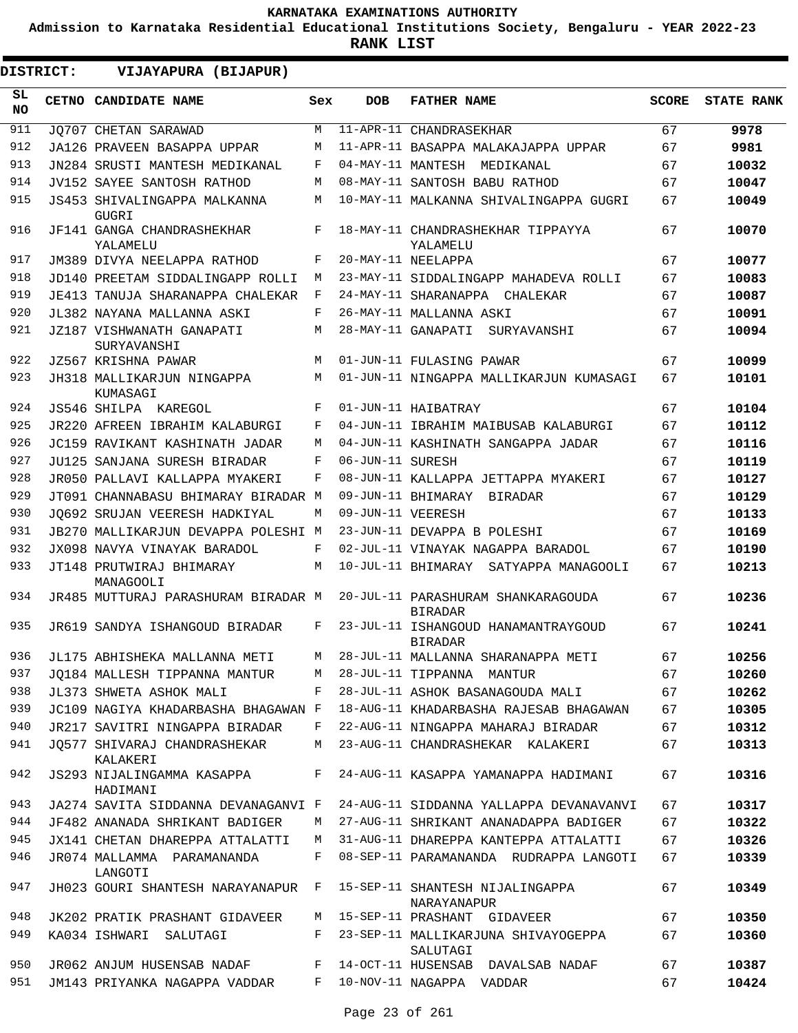**Admission to Karnataka Residential Educational Institutions Society, Bengaluru - YEAR 2022-23**

**RANK LIST**

**DISTRICT:** EE **VIJAYAPURA (BIJAPUR)**

| SL<br><b>NO</b> | <b>CETNO CANDIDATE NAME</b>                  | Sex | <b>DOB</b>        | <b>FATHER NAME</b>                                    | <b>SCORE</b> | <b>STATE RANK</b> |
|-----------------|----------------------------------------------|-----|-------------------|-------------------------------------------------------|--------------|-------------------|
| 911             | JO707 CHETAN SARAWAD                         | M   |                   | 11-APR-11 CHANDRASEKHAR                               | 67           | 9978              |
| 912             | JA126 PRAVEEN BASAPPA UPPAR                  | М   |                   | 11-APR-11 BASAPPA MALAKAJAPPA UPPAR                   | 67           | 9981              |
| 913             | JN284 SRUSTI MANTESH MEDIKANAL               | F   | 04-MAY-11 MANTESH | MEDIKANAL                                             | 67           | 10032             |
| 914             | JV152 SAYEE SANTOSH RATHOD                   | М   |                   | 08-MAY-11 SANTOSH BABU RATHOD                         | 67           | 10047             |
| 915             | JS453 SHIVALINGAPPA MALKANNA<br><b>GUGRI</b> | М   |                   | 10-MAY-11 MALKANNA SHIVALINGAPPA GUGRI                | 67           | 10049             |
| 916             | JF141 GANGA CHANDRASHEKHAR<br>YALAMELU       | F   |                   | 18-MAY-11 CHANDRASHEKHAR TIPPAYYA<br>YALAMELU         | 67           | 10070             |
| 917             | JM389 DIVYA NEELAPPA RATHOD                  | F   |                   | 20-MAY-11 NEELAPPA                                    | 67           | 10077             |
| 918             | JD140 PREETAM SIDDALINGAPP ROLLI             | М   |                   | 23-MAY-11 SIDDALINGAPP MAHADEVA ROLLI                 | 67           | 10083             |
| 919             | JE413 TANUJA SHARANAPPA CHALEKAR             | F   |                   | 24-MAY-11 SHARANAPPA<br>CHALEKAR                      | 67           | 10087             |
| 920             | JL382 NAYANA MALLANNA ASKI                   | F   |                   | 26-MAY-11 MALLANNA ASKI                               | 67           | 10091             |
| 921             | JZ187 VISHWANATH GANAPATI<br>SURYAVANSHI     | М   |                   | 28-MAY-11 GANAPATI<br>SURYAVANSHI                     | 67           | 10094             |
| 922             | JZ567 KRISHNA PAWAR                          | M   |                   | 01-JUN-11 FULASING PAWAR                              | 67           | 10099             |
| 923             | JH318 MALLIKARJUN NINGAPPA<br>KUMASAGI       | М   |                   | 01-JUN-11 NINGAPPA MALLIKARJUN KUMASAGI               | 67           | 10101             |
| 924             | JS546 SHILPA KAREGOL                         | F   |                   | 01-JUN-11 HAIBATRAY                                   | 67           | 10104             |
| 925             | <b>JR220 AFREEN IBRAHIM KALABURGI</b>        | F   |                   | 04-JUN-11 IBRAHIM MAIBUSAB KALABURGI                  | 67           | 10112             |
| 926             | JC159 RAVIKANT KASHINATH JADAR               | М   |                   | 04-JUN-11 KASHINATH SANGAPPA JADAR                    | 67           | 10116             |
| 927             | JU125 SANJANA SURESH BIRADAR                 | F   | 06-JUN-11 SURESH  |                                                       | 67           | 10119             |
| 928             | JR050 PALLAVI KALLAPPA MYAKERI               | F   |                   | 08-JUN-11 KALLAPPA JETTAPPA MYAKERI                   | 67           | 10127             |
| 929             | JT091 CHANNABASU BHIMARAY BIRADAR M          |     |                   | 09-JUN-11 BHIMARAY<br>BIRADAR                         | 67           | 10129             |
| 930             | JO692 SRUJAN VEERESH HADKIYAL                | М   | 09-JUN-11 VEERESH |                                                       | 67           | 10133             |
| 931             | JB270 MALLIKARJUN DEVAPPA POLESHI M          |     |                   | 23-JUN-11 DEVAPPA B POLESHI                           | 67           | 10169             |
| 932             | JX098 NAVYA VINAYAK BARADOL                  | F   |                   | 02-JUL-11 VINAYAK NAGAPPA BARADOL                     | 67           | 10190             |
| 933             | JT148 PRUTWIRAJ BHIMARAY<br>MANAGOOLI        | M   |                   | 10-JUL-11 BHIMARAY SATYAPPA MANAGOOLI                 | 67           | 10213             |
| 934             | JR485 MUTTURAJ PARASHURAM BIRADAR M          |     |                   | 20-JUL-11 PARASHURAM SHANKARAGOUDA<br><b>BIRADAR</b>  | 67           | 10236             |
| 935             | JR619 SANDYA ISHANGOUD BIRADAR               | F   |                   | 23-JUL-11 ISHANGOUD HANAMANTRAYGOUD<br><b>BIRADAR</b> | 67           | 10241             |
| 936             | JL175 ABHISHEKA MALLANNA METI                | М   |                   | 28-JUL-11 MALLANNA SHARANAPPA METI                    | 67           | 10256             |
| 937             | JO184 MALLESH TIPPANNA MANTUR                | М   |                   | 28-JUL-11 TIPPANNA MANTUR                             | 67           | 10260             |
| 938             | JL373 SHWETA ASHOK MALI                      | F   |                   | 28-JUL-11 ASHOK BASANAGOUDA MALI                      | 67           | 10262             |
| 939             | JC109 NAGIYA KHADARBASHA BHAGAWAN F          |     |                   | 18-AUG-11 KHADARBASHA RAJESAB BHAGAWAN                | 67           | 10305             |
| 940             | JR217 SAVITRI NINGAPPA BIRADAR               | F   |                   | 22-AUG-11 NINGAPPA MAHARAJ BIRADAR                    | 67           | 10312             |
| 941             | JQ577 SHIVARAJ CHANDRASHEKAR<br>KALAKERI     | М   |                   | 23-AUG-11 CHANDRASHEKAR KALAKERI                      | 67           | 10313             |
| 942             | JS293 NIJALINGAMMA KASAPPA<br>HADIMANI       | F   |                   | 24-AUG-11 KASAPPA YAMANAPPA HADIMANI                  | 67           | 10316             |
| 943             | JA274 SAVITA SIDDANNA DEVANAGANVI F          |     |                   | 24-AUG-11 SIDDANNA YALLAPPA DEVANAVANVI               | 67           | 10317             |
| 944             | JF482 ANANADA SHRIKANT BADIGER               | М   |                   | 27-AUG-11 SHRIKANT ANANADAPPA BADIGER                 | 67           | 10322             |
| 945             | JX141 CHETAN DHAREPPA ATTALATTI              | М   |                   | 31-AUG-11 DHAREPPA KANTEPPA ATTALATTI                 | 67           | 10326             |
| 946             | JR074 MALLAMMA PARAMANANDA<br>LANGOTI        | F   |                   | 08-SEP-11 PARAMANANDA RUDRAPPA LANGOTI                | 67           | 10339             |
| 947             | JH023 GOURI SHANTESH NARAYANAPUR             | F   |                   | 15-SEP-11 SHANTESH NIJALINGAPPA<br>NARAYANAPUR        | 67           | 10349             |
| 948             | JK202 PRATIK PRASHANT GIDAVEER               | М   |                   | 15-SEP-11 PRASHANT GIDAVEER                           | 67           | 10350             |
| 949             | KA034 ISHWARI SALUTAGI                       | F   |                   | 23-SEP-11 MALLIKARJUNA SHIVAYOGEPPA<br>SALUTAGI       | 67           | 10360             |
| 950             | JR062 ANJUM HUSENSAB NADAF                   | F   |                   | 14-OCT-11 HUSENSAB DAVALSAB NADAF                     | 67           | 10387             |
| 951             | JM143 PRIYANKA NAGAPPA VADDAR                | F   |                   | 10-NOV-11 NAGAPPA VADDAR                              | 67           | 10424             |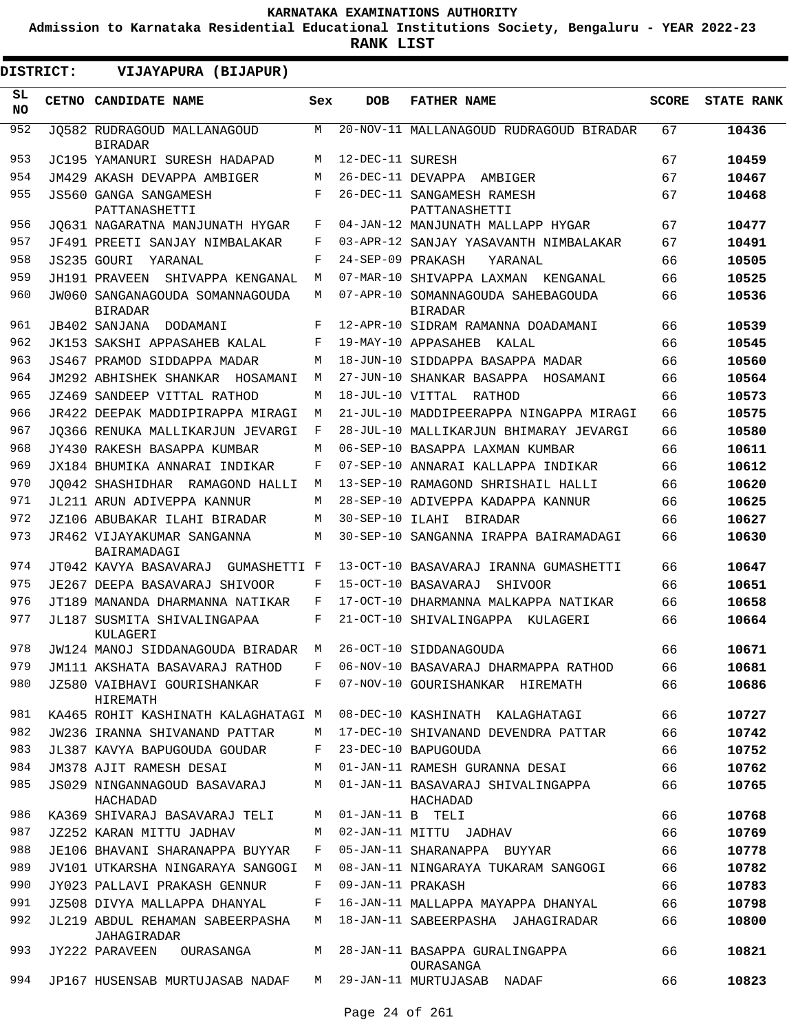**Admission to Karnataka Residential Educational Institutions Society, Bengaluru - YEAR 2022-23**

| SL.<br>CETNO CANDIDATE NAME<br><b>DOB</b><br><b>FATHER NAME</b><br><b>SCORE</b><br>Sex<br><b>NO</b><br>952<br>М<br>20-NOV-11 MALLANAGOUD RUDRAGOUD BIRADAR<br>JO582 RUDRAGOUD MALLANAGOUD<br>10436<br>67<br><b>BIRADAR</b><br>953<br>12-DEC-11 SURESH<br>67<br>10459<br>JC195 YAMANURI SURESH HADAPAD<br>М<br>954<br>26-DEC-11 DEVAPPA<br>JM429 AKASH DEVAPPA AMBIGER<br>67<br>М<br>AMBIGER<br>10467<br>955<br>JS560 GANGA SANGAMESH<br>F<br>26-DEC-11 SANGAMESH RAMESH<br>67<br>10468<br>PATTANASHETTI<br>PATTANASHETTI<br>956<br>67<br>JO631 NAGARATNA MANJUNATH HYGAR<br>F<br>04-JAN-12 MANJUNATH MALLAPP HYGAR<br>10477<br>957<br>JF491 PREETI SANJAY NIMBALAKAR<br>67<br>03-APR-12 SANJAY YASAVANTH NIMBALAKAR<br>10491<br>F<br>958<br>F<br>24-SEP-09 PRAKASH<br>66<br>JS235 GOURI<br>YARANAL<br>10505<br>YARANAL<br>959<br>66<br>JH191 PRAVEEN SHIVAPPA KENGANAL<br>07-MAR-10 SHIVAPPA LAXMAN<br>10525<br>M<br>KENGANAL<br>960<br>JW060 SANGANAGOUDA SOMANNAGOUDA<br>07-APR-10 SOMANNAGOUDA SAHEBAGOUDA<br>66<br>10536<br>М<br><b>BIRADAR</b><br><b>BIRADAR</b><br>961<br>F<br>12-APR-10 SIDRAM RAMANNA DOADAMANI<br>66<br>10539<br>JB402 SANJANA DODAMANI<br>962<br>JK153 SAKSHI APPASAHEB KALAL<br>19-MAY-10 APPASAHEB KALAL<br>66<br>F<br>10545<br>963<br>18-JUN-10 SIDDAPPA BASAPPA MADAR<br>66<br>JS467 PRAMOD SIDDAPPA MADAR<br>М<br>10560<br>964<br>27-JUN-10 SHANKAR BASAPPA HOSAMANI<br>66<br>JM292 ABHISHEK SHANKAR HOSAMANI<br>M<br>10564<br>965<br>18-JUL-10 VITTAL RATHOD<br>JZ469 SANDEEP VITTAL RATHOD<br>66<br>10573<br>М<br>966<br>21-JUL-10 MADDIPEERAPPA NINGAPPA MIRAGI<br>10575<br>JR422 DEEPAK MADDIPIRAPPA MIRAGI<br>М<br>66<br>967<br>F<br>28-JUL-10 MALLIKARJUN BHIMARAY JEVARGI<br>66<br>JO366 RENUKA MALLIKARJUN JEVARGI<br>10580<br>968<br>М<br>06-SEP-10 BASAPPA LAXMAN KUMBAR<br>66<br>10611<br>JY430 RAKESH BASAPPA KUMBAR<br>969<br>F<br>07-SEP-10 ANNARAI KALLAPPA INDIKAR<br>66<br>10612<br>JX184 BHUMIKA ANNARAI INDIKAR<br>970<br>13-SEP-10 RAMAGOND SHRISHAIL HALLI<br>10620<br>JO042 SHASHIDHAR RAMAGOND HALLI<br>М<br>66<br>971<br>28-SEP-10 ADIVEPPA KADAPPA KANNUR<br>66<br>JL211 ARUN ADIVEPPA KANNUR<br>М<br>10625<br>972<br>30-SEP-10 ILAHI BIRADAR<br>66<br>JZ106 ABUBAKAR ILAHI BIRADAR<br>M<br>10627<br>973<br>30-SEP-10 SANGANNA IRAPPA BAIRAMADAGI<br>66<br>JR462 VIJAYAKUMAR SANGANNA<br>М<br>10630<br>BAIRAMADAGI<br>974<br>13-OCT-10 BASAVARAJ IRANNA GUMASHETTI<br>66<br>JT042 KAVYA BASAVARAJ GUMASHETTI F<br>10647<br>975<br>JE267 DEEPA BASAVARAJ SHIVOOR<br>15-OCT-10 BASAVARAJ<br>66<br>F<br>SHIVOOR<br>10651<br>976<br>JT189 MANANDA DHARMANNA NATIKAR<br>F<br>17-OCT-10 DHARMANNA MALKAPPA NATIKAR<br>66<br>10658<br>977<br>F<br>21-OCT-10 SHIVALINGAPPA KULAGERI<br>66<br>JL187 SUSMITA SHIVALINGAPAA<br>10664<br>KULAGERI<br>978<br>JW124 MANOJ SIDDANAGOUDA BIRADAR M 26-OCT-10 SIDDANAGOUDA<br>10671<br>66<br>979<br>JM111 AKSHATA BASAVARAJ RATHOD<br>06-NOV-10 BASAVARAJ DHARMAPPA RATHOD<br>66<br>10681<br>F<br>66<br>980<br>10686<br>JZ580 VAIBHAVI GOURISHANKAR<br>F<br>07-NOV-10 GOURISHANKAR HIREMATH<br>HIREMATH<br>981<br>08-DEC-10 KASHINATH KALAGHATAGI<br>66<br>KA465 ROHIT KASHINATH KALAGHATAGI M<br>10727<br>982<br>JW236 IRANNA SHIVANAND PATTAR<br>17-DEC-10 SHIVANAND DEVENDRA PATTAR<br>66<br>М<br>10742<br>983<br>23-DEC-10 BAPUGOUDA<br>JL387 KAVYA BAPUGOUDA GOUDAR<br>66<br>10752<br>F<br>984<br>01-JAN-11 RAMESH GURANNA DESAI<br>JM378 AJIT RAMESH DESAI<br>66<br>10762<br>М<br>985<br>01-JAN-11 BASAVARAJ SHIVALINGAPPA<br>66<br>JS029 NINGANNAGOUD BASAVARAJ<br>М<br>10765<br>HACHADAD<br>HACHADAD<br>986<br>$01$ -JAN-11 B TELI<br>66<br>KA369 SHIVARAJ BASAVARAJ TELI<br>М<br>10768<br>987<br>66<br>JZ252 KARAN MITTU JADHAV<br>02-JAN-11 MITTU JADHAV<br>10769<br>М<br>988<br>JE106 BHAVANI SHARANAPPA BUYYAR<br>F<br>05-JAN-11 SHARANAPPA BUYYAR<br>66<br>10778<br>989<br>JV101 UTKARSHA NINGARAYA SANGOGI<br>08-JAN-11 NINGARAYA TUKARAM SANGOGI<br>66<br>10782<br>M<br>990<br>JY023 PALLAVI PRAKASH GENNUR<br>F<br>09-JAN-11 PRAKASH<br>66<br>10783<br>991<br>JZ508 DIVYA MALLAPPA DHANYAL<br>16-JAN-11 MALLAPPA MAYAPPA DHANYAL<br>66<br>10798<br>F<br>992<br>JL219 ABDUL REHAMAN SABEERPASHA<br>М<br>18-JAN-11 SABEERPASHA JAHAGIRADAR<br>66<br>10800<br>JAHAGIRADAR<br>993<br>28-JAN-11 BASAPPA GURALINGAPPA<br>66<br>JY222 PARAVEEN<br>OURASANGA<br>10821<br>M<br>OURASANGA<br>994<br>29-JAN-11 MURTUJASAB NADAF<br>66<br>JP167 HUSENSAB MURTUJASAB NADAF<br>M<br>10823 | <b>DISTRICT:</b> | VIJAYAPURA (BIJAPUR) |  |  |                   |
|------------------------------------------------------------------------------------------------------------------------------------------------------------------------------------------------------------------------------------------------------------------------------------------------------------------------------------------------------------------------------------------------------------------------------------------------------------------------------------------------------------------------------------------------------------------------------------------------------------------------------------------------------------------------------------------------------------------------------------------------------------------------------------------------------------------------------------------------------------------------------------------------------------------------------------------------------------------------------------------------------------------------------------------------------------------------------------------------------------------------------------------------------------------------------------------------------------------------------------------------------------------------------------------------------------------------------------------------------------------------------------------------------------------------------------------------------------------------------------------------------------------------------------------------------------------------------------------------------------------------------------------------------------------------------------------------------------------------------------------------------------------------------------------------------------------------------------------------------------------------------------------------------------------------------------------------------------------------------------------------------------------------------------------------------------------------------------------------------------------------------------------------------------------------------------------------------------------------------------------------------------------------------------------------------------------------------------------------------------------------------------------------------------------------------------------------------------------------------------------------------------------------------------------------------------------------------------------------------------------------------------------------------------------------------------------------------------------------------------------------------------------------------------------------------------------------------------------------------------------------------------------------------------------------------------------------------------------------------------------------------------------------------------------------------------------------------------------------------------------------------------------------------------------------------------------------------------------------------------------------------------------------------------------------------------------------------------------------------------------------------------------------------------------------------------------------------------------------------------------------------------------------------------------------------------------------------------------------------------------------------------------------------------------------------------------------------------------------------------------------------------------------------------------------------------------------------------------------------------------------------------------------------------------------------------------------------------------------------------------------------------------------------------------------------------------------------------------------------------------------------------------------------------------------------------------------------------------------------------------------------------------------------------------------------------------------------------------------------------------------------------------------------------------------------------------------------------------------------------|------------------|----------------------|--|--|-------------------|
|                                                                                                                                                                                                                                                                                                                                                                                                                                                                                                                                                                                                                                                                                                                                                                                                                                                                                                                                                                                                                                                                                                                                                                                                                                                                                                                                                                                                                                                                                                                                                                                                                                                                                                                                                                                                                                                                                                                                                                                                                                                                                                                                                                                                                                                                                                                                                                                                                                                                                                                                                                                                                                                                                                                                                                                                                                                                                                                                                                                                                                                                                                                                                                                                                                                                                                                                                                                                                                                                                                                                                                                                                                                                                                                                                                                                                                                                                                                                                                                                                                                                                                                                                                                                                                                                                                                                                                                                                                                                                    |                  |                      |  |  | <b>STATE RANK</b> |
|                                                                                                                                                                                                                                                                                                                                                                                                                                                                                                                                                                                                                                                                                                                                                                                                                                                                                                                                                                                                                                                                                                                                                                                                                                                                                                                                                                                                                                                                                                                                                                                                                                                                                                                                                                                                                                                                                                                                                                                                                                                                                                                                                                                                                                                                                                                                                                                                                                                                                                                                                                                                                                                                                                                                                                                                                                                                                                                                                                                                                                                                                                                                                                                                                                                                                                                                                                                                                                                                                                                                                                                                                                                                                                                                                                                                                                                                                                                                                                                                                                                                                                                                                                                                                                                                                                                                                                                                                                                                                    |                  |                      |  |  |                   |
|                                                                                                                                                                                                                                                                                                                                                                                                                                                                                                                                                                                                                                                                                                                                                                                                                                                                                                                                                                                                                                                                                                                                                                                                                                                                                                                                                                                                                                                                                                                                                                                                                                                                                                                                                                                                                                                                                                                                                                                                                                                                                                                                                                                                                                                                                                                                                                                                                                                                                                                                                                                                                                                                                                                                                                                                                                                                                                                                                                                                                                                                                                                                                                                                                                                                                                                                                                                                                                                                                                                                                                                                                                                                                                                                                                                                                                                                                                                                                                                                                                                                                                                                                                                                                                                                                                                                                                                                                                                                                    |                  |                      |  |  |                   |
|                                                                                                                                                                                                                                                                                                                                                                                                                                                                                                                                                                                                                                                                                                                                                                                                                                                                                                                                                                                                                                                                                                                                                                                                                                                                                                                                                                                                                                                                                                                                                                                                                                                                                                                                                                                                                                                                                                                                                                                                                                                                                                                                                                                                                                                                                                                                                                                                                                                                                                                                                                                                                                                                                                                                                                                                                                                                                                                                                                                                                                                                                                                                                                                                                                                                                                                                                                                                                                                                                                                                                                                                                                                                                                                                                                                                                                                                                                                                                                                                                                                                                                                                                                                                                                                                                                                                                                                                                                                                                    |                  |                      |  |  |                   |
|                                                                                                                                                                                                                                                                                                                                                                                                                                                                                                                                                                                                                                                                                                                                                                                                                                                                                                                                                                                                                                                                                                                                                                                                                                                                                                                                                                                                                                                                                                                                                                                                                                                                                                                                                                                                                                                                                                                                                                                                                                                                                                                                                                                                                                                                                                                                                                                                                                                                                                                                                                                                                                                                                                                                                                                                                                                                                                                                                                                                                                                                                                                                                                                                                                                                                                                                                                                                                                                                                                                                                                                                                                                                                                                                                                                                                                                                                                                                                                                                                                                                                                                                                                                                                                                                                                                                                                                                                                                                                    |                  |                      |  |  |                   |
|                                                                                                                                                                                                                                                                                                                                                                                                                                                                                                                                                                                                                                                                                                                                                                                                                                                                                                                                                                                                                                                                                                                                                                                                                                                                                                                                                                                                                                                                                                                                                                                                                                                                                                                                                                                                                                                                                                                                                                                                                                                                                                                                                                                                                                                                                                                                                                                                                                                                                                                                                                                                                                                                                                                                                                                                                                                                                                                                                                                                                                                                                                                                                                                                                                                                                                                                                                                                                                                                                                                                                                                                                                                                                                                                                                                                                                                                                                                                                                                                                                                                                                                                                                                                                                                                                                                                                                                                                                                                                    |                  |                      |  |  |                   |
|                                                                                                                                                                                                                                                                                                                                                                                                                                                                                                                                                                                                                                                                                                                                                                                                                                                                                                                                                                                                                                                                                                                                                                                                                                                                                                                                                                                                                                                                                                                                                                                                                                                                                                                                                                                                                                                                                                                                                                                                                                                                                                                                                                                                                                                                                                                                                                                                                                                                                                                                                                                                                                                                                                                                                                                                                                                                                                                                                                                                                                                                                                                                                                                                                                                                                                                                                                                                                                                                                                                                                                                                                                                                                                                                                                                                                                                                                                                                                                                                                                                                                                                                                                                                                                                                                                                                                                                                                                                                                    |                  |                      |  |  |                   |
|                                                                                                                                                                                                                                                                                                                                                                                                                                                                                                                                                                                                                                                                                                                                                                                                                                                                                                                                                                                                                                                                                                                                                                                                                                                                                                                                                                                                                                                                                                                                                                                                                                                                                                                                                                                                                                                                                                                                                                                                                                                                                                                                                                                                                                                                                                                                                                                                                                                                                                                                                                                                                                                                                                                                                                                                                                                                                                                                                                                                                                                                                                                                                                                                                                                                                                                                                                                                                                                                                                                                                                                                                                                                                                                                                                                                                                                                                                                                                                                                                                                                                                                                                                                                                                                                                                                                                                                                                                                                                    |                  |                      |  |  |                   |
|                                                                                                                                                                                                                                                                                                                                                                                                                                                                                                                                                                                                                                                                                                                                                                                                                                                                                                                                                                                                                                                                                                                                                                                                                                                                                                                                                                                                                                                                                                                                                                                                                                                                                                                                                                                                                                                                                                                                                                                                                                                                                                                                                                                                                                                                                                                                                                                                                                                                                                                                                                                                                                                                                                                                                                                                                                                                                                                                                                                                                                                                                                                                                                                                                                                                                                                                                                                                                                                                                                                                                                                                                                                                                                                                                                                                                                                                                                                                                                                                                                                                                                                                                                                                                                                                                                                                                                                                                                                                                    |                  |                      |  |  |                   |
|                                                                                                                                                                                                                                                                                                                                                                                                                                                                                                                                                                                                                                                                                                                                                                                                                                                                                                                                                                                                                                                                                                                                                                                                                                                                                                                                                                                                                                                                                                                                                                                                                                                                                                                                                                                                                                                                                                                                                                                                                                                                                                                                                                                                                                                                                                                                                                                                                                                                                                                                                                                                                                                                                                                                                                                                                                                                                                                                                                                                                                                                                                                                                                                                                                                                                                                                                                                                                                                                                                                                                                                                                                                                                                                                                                                                                                                                                                                                                                                                                                                                                                                                                                                                                                                                                                                                                                                                                                                                                    |                  |                      |  |  |                   |
|                                                                                                                                                                                                                                                                                                                                                                                                                                                                                                                                                                                                                                                                                                                                                                                                                                                                                                                                                                                                                                                                                                                                                                                                                                                                                                                                                                                                                                                                                                                                                                                                                                                                                                                                                                                                                                                                                                                                                                                                                                                                                                                                                                                                                                                                                                                                                                                                                                                                                                                                                                                                                                                                                                                                                                                                                                                                                                                                                                                                                                                                                                                                                                                                                                                                                                                                                                                                                                                                                                                                                                                                                                                                                                                                                                                                                                                                                                                                                                                                                                                                                                                                                                                                                                                                                                                                                                                                                                                                                    |                  |                      |  |  |                   |
|                                                                                                                                                                                                                                                                                                                                                                                                                                                                                                                                                                                                                                                                                                                                                                                                                                                                                                                                                                                                                                                                                                                                                                                                                                                                                                                                                                                                                                                                                                                                                                                                                                                                                                                                                                                                                                                                                                                                                                                                                                                                                                                                                                                                                                                                                                                                                                                                                                                                                                                                                                                                                                                                                                                                                                                                                                                                                                                                                                                                                                                                                                                                                                                                                                                                                                                                                                                                                                                                                                                                                                                                                                                                                                                                                                                                                                                                                                                                                                                                                                                                                                                                                                                                                                                                                                                                                                                                                                                                                    |                  |                      |  |  |                   |
|                                                                                                                                                                                                                                                                                                                                                                                                                                                                                                                                                                                                                                                                                                                                                                                                                                                                                                                                                                                                                                                                                                                                                                                                                                                                                                                                                                                                                                                                                                                                                                                                                                                                                                                                                                                                                                                                                                                                                                                                                                                                                                                                                                                                                                                                                                                                                                                                                                                                                                                                                                                                                                                                                                                                                                                                                                                                                                                                                                                                                                                                                                                                                                                                                                                                                                                                                                                                                                                                                                                                                                                                                                                                                                                                                                                                                                                                                                                                                                                                                                                                                                                                                                                                                                                                                                                                                                                                                                                                                    |                  |                      |  |  |                   |
|                                                                                                                                                                                                                                                                                                                                                                                                                                                                                                                                                                                                                                                                                                                                                                                                                                                                                                                                                                                                                                                                                                                                                                                                                                                                                                                                                                                                                                                                                                                                                                                                                                                                                                                                                                                                                                                                                                                                                                                                                                                                                                                                                                                                                                                                                                                                                                                                                                                                                                                                                                                                                                                                                                                                                                                                                                                                                                                                                                                                                                                                                                                                                                                                                                                                                                                                                                                                                                                                                                                                                                                                                                                                                                                                                                                                                                                                                                                                                                                                                                                                                                                                                                                                                                                                                                                                                                                                                                                                                    |                  |                      |  |  |                   |
|                                                                                                                                                                                                                                                                                                                                                                                                                                                                                                                                                                                                                                                                                                                                                                                                                                                                                                                                                                                                                                                                                                                                                                                                                                                                                                                                                                                                                                                                                                                                                                                                                                                                                                                                                                                                                                                                                                                                                                                                                                                                                                                                                                                                                                                                                                                                                                                                                                                                                                                                                                                                                                                                                                                                                                                                                                                                                                                                                                                                                                                                                                                                                                                                                                                                                                                                                                                                                                                                                                                                                                                                                                                                                                                                                                                                                                                                                                                                                                                                                                                                                                                                                                                                                                                                                                                                                                                                                                                                                    |                  |                      |  |  |                   |
|                                                                                                                                                                                                                                                                                                                                                                                                                                                                                                                                                                                                                                                                                                                                                                                                                                                                                                                                                                                                                                                                                                                                                                                                                                                                                                                                                                                                                                                                                                                                                                                                                                                                                                                                                                                                                                                                                                                                                                                                                                                                                                                                                                                                                                                                                                                                                                                                                                                                                                                                                                                                                                                                                                                                                                                                                                                                                                                                                                                                                                                                                                                                                                                                                                                                                                                                                                                                                                                                                                                                                                                                                                                                                                                                                                                                                                                                                                                                                                                                                                                                                                                                                                                                                                                                                                                                                                                                                                                                                    |                  |                      |  |  |                   |
|                                                                                                                                                                                                                                                                                                                                                                                                                                                                                                                                                                                                                                                                                                                                                                                                                                                                                                                                                                                                                                                                                                                                                                                                                                                                                                                                                                                                                                                                                                                                                                                                                                                                                                                                                                                                                                                                                                                                                                                                                                                                                                                                                                                                                                                                                                                                                                                                                                                                                                                                                                                                                                                                                                                                                                                                                                                                                                                                                                                                                                                                                                                                                                                                                                                                                                                                                                                                                                                                                                                                                                                                                                                                                                                                                                                                                                                                                                                                                                                                                                                                                                                                                                                                                                                                                                                                                                                                                                                                                    |                  |                      |  |  |                   |
|                                                                                                                                                                                                                                                                                                                                                                                                                                                                                                                                                                                                                                                                                                                                                                                                                                                                                                                                                                                                                                                                                                                                                                                                                                                                                                                                                                                                                                                                                                                                                                                                                                                                                                                                                                                                                                                                                                                                                                                                                                                                                                                                                                                                                                                                                                                                                                                                                                                                                                                                                                                                                                                                                                                                                                                                                                                                                                                                                                                                                                                                                                                                                                                                                                                                                                                                                                                                                                                                                                                                                                                                                                                                                                                                                                                                                                                                                                                                                                                                                                                                                                                                                                                                                                                                                                                                                                                                                                                                                    |                  |                      |  |  |                   |
|                                                                                                                                                                                                                                                                                                                                                                                                                                                                                                                                                                                                                                                                                                                                                                                                                                                                                                                                                                                                                                                                                                                                                                                                                                                                                                                                                                                                                                                                                                                                                                                                                                                                                                                                                                                                                                                                                                                                                                                                                                                                                                                                                                                                                                                                                                                                                                                                                                                                                                                                                                                                                                                                                                                                                                                                                                                                                                                                                                                                                                                                                                                                                                                                                                                                                                                                                                                                                                                                                                                                                                                                                                                                                                                                                                                                                                                                                                                                                                                                                                                                                                                                                                                                                                                                                                                                                                                                                                                                                    |                  |                      |  |  |                   |
|                                                                                                                                                                                                                                                                                                                                                                                                                                                                                                                                                                                                                                                                                                                                                                                                                                                                                                                                                                                                                                                                                                                                                                                                                                                                                                                                                                                                                                                                                                                                                                                                                                                                                                                                                                                                                                                                                                                                                                                                                                                                                                                                                                                                                                                                                                                                                                                                                                                                                                                                                                                                                                                                                                                                                                                                                                                                                                                                                                                                                                                                                                                                                                                                                                                                                                                                                                                                                                                                                                                                                                                                                                                                                                                                                                                                                                                                                                                                                                                                                                                                                                                                                                                                                                                                                                                                                                                                                                                                                    |                  |                      |  |  |                   |
|                                                                                                                                                                                                                                                                                                                                                                                                                                                                                                                                                                                                                                                                                                                                                                                                                                                                                                                                                                                                                                                                                                                                                                                                                                                                                                                                                                                                                                                                                                                                                                                                                                                                                                                                                                                                                                                                                                                                                                                                                                                                                                                                                                                                                                                                                                                                                                                                                                                                                                                                                                                                                                                                                                                                                                                                                                                                                                                                                                                                                                                                                                                                                                                                                                                                                                                                                                                                                                                                                                                                                                                                                                                                                                                                                                                                                                                                                                                                                                                                                                                                                                                                                                                                                                                                                                                                                                                                                                                                                    |                  |                      |  |  |                   |
|                                                                                                                                                                                                                                                                                                                                                                                                                                                                                                                                                                                                                                                                                                                                                                                                                                                                                                                                                                                                                                                                                                                                                                                                                                                                                                                                                                                                                                                                                                                                                                                                                                                                                                                                                                                                                                                                                                                                                                                                                                                                                                                                                                                                                                                                                                                                                                                                                                                                                                                                                                                                                                                                                                                                                                                                                                                                                                                                                                                                                                                                                                                                                                                                                                                                                                                                                                                                                                                                                                                                                                                                                                                                                                                                                                                                                                                                                                                                                                                                                                                                                                                                                                                                                                                                                                                                                                                                                                                                                    |                  |                      |  |  |                   |
|                                                                                                                                                                                                                                                                                                                                                                                                                                                                                                                                                                                                                                                                                                                                                                                                                                                                                                                                                                                                                                                                                                                                                                                                                                                                                                                                                                                                                                                                                                                                                                                                                                                                                                                                                                                                                                                                                                                                                                                                                                                                                                                                                                                                                                                                                                                                                                                                                                                                                                                                                                                                                                                                                                                                                                                                                                                                                                                                                                                                                                                                                                                                                                                                                                                                                                                                                                                                                                                                                                                                                                                                                                                                                                                                                                                                                                                                                                                                                                                                                                                                                                                                                                                                                                                                                                                                                                                                                                                                                    |                  |                      |  |  |                   |
|                                                                                                                                                                                                                                                                                                                                                                                                                                                                                                                                                                                                                                                                                                                                                                                                                                                                                                                                                                                                                                                                                                                                                                                                                                                                                                                                                                                                                                                                                                                                                                                                                                                                                                                                                                                                                                                                                                                                                                                                                                                                                                                                                                                                                                                                                                                                                                                                                                                                                                                                                                                                                                                                                                                                                                                                                                                                                                                                                                                                                                                                                                                                                                                                                                                                                                                                                                                                                                                                                                                                                                                                                                                                                                                                                                                                                                                                                                                                                                                                                                                                                                                                                                                                                                                                                                                                                                                                                                                                                    |                  |                      |  |  |                   |
|                                                                                                                                                                                                                                                                                                                                                                                                                                                                                                                                                                                                                                                                                                                                                                                                                                                                                                                                                                                                                                                                                                                                                                                                                                                                                                                                                                                                                                                                                                                                                                                                                                                                                                                                                                                                                                                                                                                                                                                                                                                                                                                                                                                                                                                                                                                                                                                                                                                                                                                                                                                                                                                                                                                                                                                                                                                                                                                                                                                                                                                                                                                                                                                                                                                                                                                                                                                                                                                                                                                                                                                                                                                                                                                                                                                                                                                                                                                                                                                                                                                                                                                                                                                                                                                                                                                                                                                                                                                                                    |                  |                      |  |  |                   |
|                                                                                                                                                                                                                                                                                                                                                                                                                                                                                                                                                                                                                                                                                                                                                                                                                                                                                                                                                                                                                                                                                                                                                                                                                                                                                                                                                                                                                                                                                                                                                                                                                                                                                                                                                                                                                                                                                                                                                                                                                                                                                                                                                                                                                                                                                                                                                                                                                                                                                                                                                                                                                                                                                                                                                                                                                                                                                                                                                                                                                                                                                                                                                                                                                                                                                                                                                                                                                                                                                                                                                                                                                                                                                                                                                                                                                                                                                                                                                                                                                                                                                                                                                                                                                                                                                                                                                                                                                                                                                    |                  |                      |  |  |                   |
|                                                                                                                                                                                                                                                                                                                                                                                                                                                                                                                                                                                                                                                                                                                                                                                                                                                                                                                                                                                                                                                                                                                                                                                                                                                                                                                                                                                                                                                                                                                                                                                                                                                                                                                                                                                                                                                                                                                                                                                                                                                                                                                                                                                                                                                                                                                                                                                                                                                                                                                                                                                                                                                                                                                                                                                                                                                                                                                                                                                                                                                                                                                                                                                                                                                                                                                                                                                                                                                                                                                                                                                                                                                                                                                                                                                                                                                                                                                                                                                                                                                                                                                                                                                                                                                                                                                                                                                                                                                                                    |                  |                      |  |  |                   |
|                                                                                                                                                                                                                                                                                                                                                                                                                                                                                                                                                                                                                                                                                                                                                                                                                                                                                                                                                                                                                                                                                                                                                                                                                                                                                                                                                                                                                                                                                                                                                                                                                                                                                                                                                                                                                                                                                                                                                                                                                                                                                                                                                                                                                                                                                                                                                                                                                                                                                                                                                                                                                                                                                                                                                                                                                                                                                                                                                                                                                                                                                                                                                                                                                                                                                                                                                                                                                                                                                                                                                                                                                                                                                                                                                                                                                                                                                                                                                                                                                                                                                                                                                                                                                                                                                                                                                                                                                                                                                    |                  |                      |  |  |                   |
|                                                                                                                                                                                                                                                                                                                                                                                                                                                                                                                                                                                                                                                                                                                                                                                                                                                                                                                                                                                                                                                                                                                                                                                                                                                                                                                                                                                                                                                                                                                                                                                                                                                                                                                                                                                                                                                                                                                                                                                                                                                                                                                                                                                                                                                                                                                                                                                                                                                                                                                                                                                                                                                                                                                                                                                                                                                                                                                                                                                                                                                                                                                                                                                                                                                                                                                                                                                                                                                                                                                                                                                                                                                                                                                                                                                                                                                                                                                                                                                                                                                                                                                                                                                                                                                                                                                                                                                                                                                                                    |                  |                      |  |  |                   |
|                                                                                                                                                                                                                                                                                                                                                                                                                                                                                                                                                                                                                                                                                                                                                                                                                                                                                                                                                                                                                                                                                                                                                                                                                                                                                                                                                                                                                                                                                                                                                                                                                                                                                                                                                                                                                                                                                                                                                                                                                                                                                                                                                                                                                                                                                                                                                                                                                                                                                                                                                                                                                                                                                                                                                                                                                                                                                                                                                                                                                                                                                                                                                                                                                                                                                                                                                                                                                                                                                                                                                                                                                                                                                                                                                                                                                                                                                                                                                                                                                                                                                                                                                                                                                                                                                                                                                                                                                                                                                    |                  |                      |  |  |                   |
|                                                                                                                                                                                                                                                                                                                                                                                                                                                                                                                                                                                                                                                                                                                                                                                                                                                                                                                                                                                                                                                                                                                                                                                                                                                                                                                                                                                                                                                                                                                                                                                                                                                                                                                                                                                                                                                                                                                                                                                                                                                                                                                                                                                                                                                                                                                                                                                                                                                                                                                                                                                                                                                                                                                                                                                                                                                                                                                                                                                                                                                                                                                                                                                                                                                                                                                                                                                                                                                                                                                                                                                                                                                                                                                                                                                                                                                                                                                                                                                                                                                                                                                                                                                                                                                                                                                                                                                                                                                                                    |                  |                      |  |  |                   |
|                                                                                                                                                                                                                                                                                                                                                                                                                                                                                                                                                                                                                                                                                                                                                                                                                                                                                                                                                                                                                                                                                                                                                                                                                                                                                                                                                                                                                                                                                                                                                                                                                                                                                                                                                                                                                                                                                                                                                                                                                                                                                                                                                                                                                                                                                                                                                                                                                                                                                                                                                                                                                                                                                                                                                                                                                                                                                                                                                                                                                                                                                                                                                                                                                                                                                                                                                                                                                                                                                                                                                                                                                                                                                                                                                                                                                                                                                                                                                                                                                                                                                                                                                                                                                                                                                                                                                                                                                                                                                    |                  |                      |  |  |                   |
|                                                                                                                                                                                                                                                                                                                                                                                                                                                                                                                                                                                                                                                                                                                                                                                                                                                                                                                                                                                                                                                                                                                                                                                                                                                                                                                                                                                                                                                                                                                                                                                                                                                                                                                                                                                                                                                                                                                                                                                                                                                                                                                                                                                                                                                                                                                                                                                                                                                                                                                                                                                                                                                                                                                                                                                                                                                                                                                                                                                                                                                                                                                                                                                                                                                                                                                                                                                                                                                                                                                                                                                                                                                                                                                                                                                                                                                                                                                                                                                                                                                                                                                                                                                                                                                                                                                                                                                                                                                                                    |                  |                      |  |  |                   |
|                                                                                                                                                                                                                                                                                                                                                                                                                                                                                                                                                                                                                                                                                                                                                                                                                                                                                                                                                                                                                                                                                                                                                                                                                                                                                                                                                                                                                                                                                                                                                                                                                                                                                                                                                                                                                                                                                                                                                                                                                                                                                                                                                                                                                                                                                                                                                                                                                                                                                                                                                                                                                                                                                                                                                                                                                                                                                                                                                                                                                                                                                                                                                                                                                                                                                                                                                                                                                                                                                                                                                                                                                                                                                                                                                                                                                                                                                                                                                                                                                                                                                                                                                                                                                                                                                                                                                                                                                                                                                    |                  |                      |  |  |                   |
|                                                                                                                                                                                                                                                                                                                                                                                                                                                                                                                                                                                                                                                                                                                                                                                                                                                                                                                                                                                                                                                                                                                                                                                                                                                                                                                                                                                                                                                                                                                                                                                                                                                                                                                                                                                                                                                                                                                                                                                                                                                                                                                                                                                                                                                                                                                                                                                                                                                                                                                                                                                                                                                                                                                                                                                                                                                                                                                                                                                                                                                                                                                                                                                                                                                                                                                                                                                                                                                                                                                                                                                                                                                                                                                                                                                                                                                                                                                                                                                                                                                                                                                                                                                                                                                                                                                                                                                                                                                                                    |                  |                      |  |  |                   |
|                                                                                                                                                                                                                                                                                                                                                                                                                                                                                                                                                                                                                                                                                                                                                                                                                                                                                                                                                                                                                                                                                                                                                                                                                                                                                                                                                                                                                                                                                                                                                                                                                                                                                                                                                                                                                                                                                                                                                                                                                                                                                                                                                                                                                                                                                                                                                                                                                                                                                                                                                                                                                                                                                                                                                                                                                                                                                                                                                                                                                                                                                                                                                                                                                                                                                                                                                                                                                                                                                                                                                                                                                                                                                                                                                                                                                                                                                                                                                                                                                                                                                                                                                                                                                                                                                                                                                                                                                                                                                    |                  |                      |  |  |                   |
|                                                                                                                                                                                                                                                                                                                                                                                                                                                                                                                                                                                                                                                                                                                                                                                                                                                                                                                                                                                                                                                                                                                                                                                                                                                                                                                                                                                                                                                                                                                                                                                                                                                                                                                                                                                                                                                                                                                                                                                                                                                                                                                                                                                                                                                                                                                                                                                                                                                                                                                                                                                                                                                                                                                                                                                                                                                                                                                                                                                                                                                                                                                                                                                                                                                                                                                                                                                                                                                                                                                                                                                                                                                                                                                                                                                                                                                                                                                                                                                                                                                                                                                                                                                                                                                                                                                                                                                                                                                                                    |                  |                      |  |  |                   |
|                                                                                                                                                                                                                                                                                                                                                                                                                                                                                                                                                                                                                                                                                                                                                                                                                                                                                                                                                                                                                                                                                                                                                                                                                                                                                                                                                                                                                                                                                                                                                                                                                                                                                                                                                                                                                                                                                                                                                                                                                                                                                                                                                                                                                                                                                                                                                                                                                                                                                                                                                                                                                                                                                                                                                                                                                                                                                                                                                                                                                                                                                                                                                                                                                                                                                                                                                                                                                                                                                                                                                                                                                                                                                                                                                                                                                                                                                                                                                                                                                                                                                                                                                                                                                                                                                                                                                                                                                                                                                    |                  |                      |  |  |                   |
|                                                                                                                                                                                                                                                                                                                                                                                                                                                                                                                                                                                                                                                                                                                                                                                                                                                                                                                                                                                                                                                                                                                                                                                                                                                                                                                                                                                                                                                                                                                                                                                                                                                                                                                                                                                                                                                                                                                                                                                                                                                                                                                                                                                                                                                                                                                                                                                                                                                                                                                                                                                                                                                                                                                                                                                                                                                                                                                                                                                                                                                                                                                                                                                                                                                                                                                                                                                                                                                                                                                                                                                                                                                                                                                                                                                                                                                                                                                                                                                                                                                                                                                                                                                                                                                                                                                                                                                                                                                                                    |                  |                      |  |  |                   |
|                                                                                                                                                                                                                                                                                                                                                                                                                                                                                                                                                                                                                                                                                                                                                                                                                                                                                                                                                                                                                                                                                                                                                                                                                                                                                                                                                                                                                                                                                                                                                                                                                                                                                                                                                                                                                                                                                                                                                                                                                                                                                                                                                                                                                                                                                                                                                                                                                                                                                                                                                                                                                                                                                                                                                                                                                                                                                                                                                                                                                                                                                                                                                                                                                                                                                                                                                                                                                                                                                                                                                                                                                                                                                                                                                                                                                                                                                                                                                                                                                                                                                                                                                                                                                                                                                                                                                                                                                                                                                    |                  |                      |  |  |                   |
|                                                                                                                                                                                                                                                                                                                                                                                                                                                                                                                                                                                                                                                                                                                                                                                                                                                                                                                                                                                                                                                                                                                                                                                                                                                                                                                                                                                                                                                                                                                                                                                                                                                                                                                                                                                                                                                                                                                                                                                                                                                                                                                                                                                                                                                                                                                                                                                                                                                                                                                                                                                                                                                                                                                                                                                                                                                                                                                                                                                                                                                                                                                                                                                                                                                                                                                                                                                                                                                                                                                                                                                                                                                                                                                                                                                                                                                                                                                                                                                                                                                                                                                                                                                                                                                                                                                                                                                                                                                                                    |                  |                      |  |  |                   |
|                                                                                                                                                                                                                                                                                                                                                                                                                                                                                                                                                                                                                                                                                                                                                                                                                                                                                                                                                                                                                                                                                                                                                                                                                                                                                                                                                                                                                                                                                                                                                                                                                                                                                                                                                                                                                                                                                                                                                                                                                                                                                                                                                                                                                                                                                                                                                                                                                                                                                                                                                                                                                                                                                                                                                                                                                                                                                                                                                                                                                                                                                                                                                                                                                                                                                                                                                                                                                                                                                                                                                                                                                                                                                                                                                                                                                                                                                                                                                                                                                                                                                                                                                                                                                                                                                                                                                                                                                                                                                    |                  |                      |  |  |                   |
|                                                                                                                                                                                                                                                                                                                                                                                                                                                                                                                                                                                                                                                                                                                                                                                                                                                                                                                                                                                                                                                                                                                                                                                                                                                                                                                                                                                                                                                                                                                                                                                                                                                                                                                                                                                                                                                                                                                                                                                                                                                                                                                                                                                                                                                                                                                                                                                                                                                                                                                                                                                                                                                                                                                                                                                                                                                                                                                                                                                                                                                                                                                                                                                                                                                                                                                                                                                                                                                                                                                                                                                                                                                                                                                                                                                                                                                                                                                                                                                                                                                                                                                                                                                                                                                                                                                                                                                                                                                                                    |                  |                      |  |  |                   |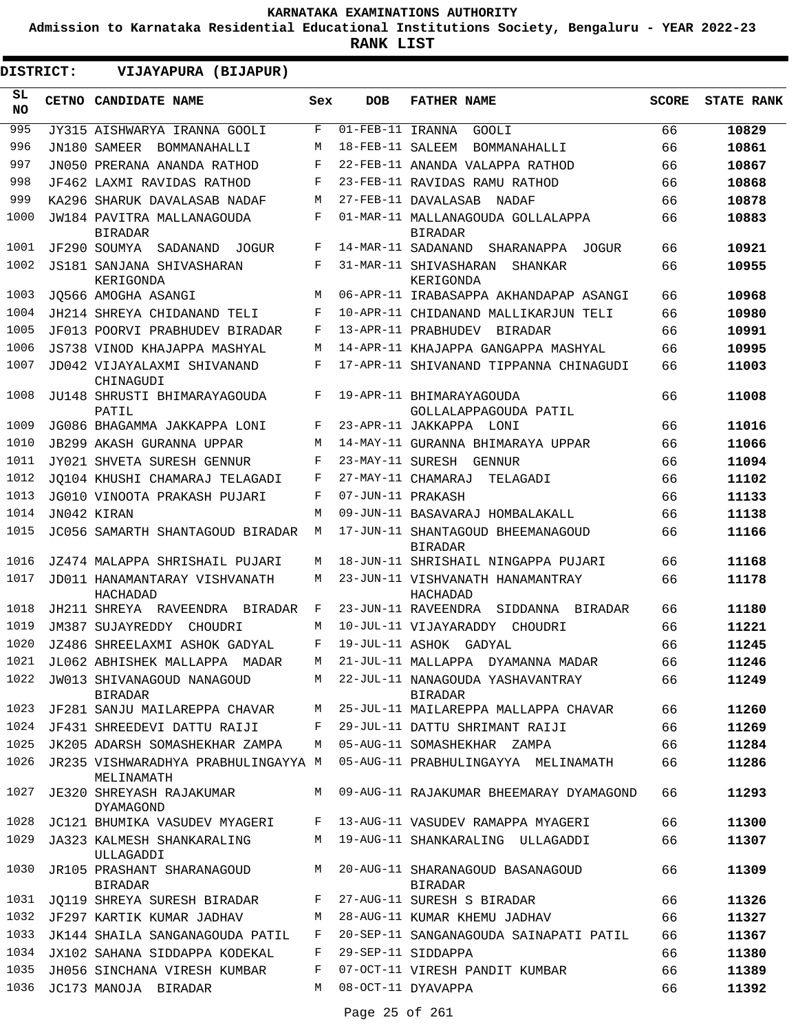**Admission to Karnataka Residential Educational Institutions Society, Bengaluru - YEAR 2022-23**

**RANK LIST**

| DISTRICT:        | VIJAYAPURA (BIJAPUR)                              |     |                                |                                                     |              |                   |
|------------------|---------------------------------------------------|-----|--------------------------------|-----------------------------------------------------|--------------|-------------------|
| SL.<br><b>NO</b> | CETNO CANDIDATE NAME                              | Sex | <b>DOB</b>                     | <b>FATHER NAME</b>                                  | <b>SCORE</b> | <b>STATE RANK</b> |
| 995              | JY315 AISHWARYA IRANNA GOOLI                      | F   | $\overline{01}$ -FEB-11 IRANNA | GOOLI                                               | 66           | 10829             |
| 996              | JN180 SAMEER BOMMANAHALLI                         | М   | 18-FEB-11 SALEEM               | BOMMANAHALLI                                        | 66           | 10861             |
| 997              | JN050 PRERANA ANANDA RATHOD                       | F   |                                | 22-FEB-11 ANANDA VALAPPA RATHOD                     | 66           | 10867             |
| 998              | JF462 LAXMI RAVIDAS RATHOD                        | F   |                                | 23-FEB-11 RAVIDAS RAMU RATHOD                       | 66           | 10868             |
| 999              | KA296 SHARUK DAVALASAB NADAF                      | M   |                                | 27-FEB-11 DAVALASAB<br>NADAF                        | 66           | 10878             |
| 1000             | JW184 PAVITRA MALLANAGOUDA<br><b>BIRADAR</b>      | F   |                                | 01-MAR-11 MALLANAGOUDA GOLLALAPPA<br><b>BIRADAR</b> | 66           | 10883             |
| 1001             | JF290 SOUMYA SADANAND JOGUR                       | F   |                                | 14-MAR-11 SADANAND SHARANAPPA<br>JOGUR              | 66           | 10921             |
| 1002             | JS181 SANJANA SHIVASHARAN<br>KERIGONDA            | F   |                                | 31-MAR-11 SHIVASHARAN<br>SHANKAR<br>KERIGONDA       | 66           | 10955             |
| 1003             | JO566 AMOGHA ASANGI                               | M   |                                | 06-APR-11 IRABASAPPA AKHANDAPAP ASANGI              | 66           | 10968             |
| 1004             | JH214 SHREYA CHIDANAND TELI                       | F   |                                | 10-APR-11 CHIDANAND MALLIKARJUN TELI                | 66           | 10980             |
| 1005             | JF013 POORVI PRABHUDEV BIRADAR                    | F   |                                | 13-APR-11 PRABHUDEV BIRADAR                         | 66           | 10991             |
| 1006             | JS738 VINOD KHAJAPPA MASHYAL                      | М   |                                | 14-APR-11 KHAJAPPA GANGAPPA MASHYAL                 | 66           | 10995             |
| 1007             | JD042 VIJAYALAXMI SHIVANAND<br>CHINAGUDI          | F   |                                | 17-APR-11 SHIVANAND TIPPANNA CHINAGUDI              | 66           | 11003             |
| 1008             | JU148 SHRUSTI BHIMARAYAGOUDA<br>PATIL             | F   |                                | 19-APR-11 BHIMARAYAGOUDA<br>GOLLALAPPAGOUDA PATIL   | 66           | 11008             |
| 1009             | JG086 BHAGAMMA JAKKAPPA LONI                      | F   |                                | 23-APR-11 JAKKAPPA LONI                             | 66           | 11016             |
| 1010             | <b>JB299 AKASH GURANNA UPPAR</b>                  | М   |                                | 14-MAY-11 GURANNA BHIMARAYA UPPAR                   | 66           | 11066             |
| 1011             | JY021 SHVETA SURESH GENNUR                        | F   | 23-MAY-11 SURESH               | GENNUR                                              | 66           | 11094             |
| 1012             | JO104 KHUSHI CHAMARAJ TELAGADI                    | F   |                                | 27-MAY-11 CHAMARAJ<br>TELAGADI                      | 66           | 11102             |
| 1013             | JG010 VINOOTA PRAKASH PUJARI                      | F   | 07-JUN-11 PRAKASH              |                                                     | 66           | 11133             |
| 1014             | JN042 KIRAN                                       | М   |                                | 09-JUN-11 BASAVARAJ HOMBALAKALL                     | 66           | 11138             |
| 1015             | JC056 SAMARTH SHANTAGOUD BIRADAR                  | М   |                                | 17-JUN-11 SHANTAGOUD BHEEMANAGOUD<br><b>BIRADAR</b> | 66           | 11166             |
| 1016             | JZ474 MALAPPA SHRISHAIL PUJARI                    | M   |                                | 18-JUN-11 SHRISHAIL NINGAPPA PUJARI                 | 66           | 11168             |
| 1017             | JD011 HANAMANTARAY VISHVANATH<br>HACHADAD         | М   |                                | 23-JUN-11 VISHVANATH HANAMANTRAY<br>HACHADAD        | 66           | 11178             |
| 1018             | JH211 SHREYA RAVEENDRA BIRADAR                    | F   |                                | 23-JUN-11 RAVEENDRA<br>SIDDANNA BIRADAR             | 66           | 11180             |
| 1019             | JM387 SUJAYREDDY CHOUDRI                          | М   |                                | 10-JUL-11 VIJAYARADDY CHOUDRI                       | 66           | 11221             |
| 1020             | JZ486 SHREELAXMI ASHOK GADYAL                     | F   |                                | 19-JUL-11 ASHOK GADYAL                              | 66           | 11245             |
| 1021             | JL062 ABHISHEK MALLAPPA MADAR                     | М   |                                | 21-JUL-11 MALLAPPA DYAMANNA MADAR                   | 66           | 11246             |
| 1022             | JW013 SHIVANAGOUD NANAGOUD<br>BIRADAR             | M   |                                | 22-JUL-11 NANAGOUDA YASHAVANTRAY<br><b>BIRADAR</b>  | 66           | 11249             |
| 1023             | JF281 SANJU MAILAREPPA CHAVAR                     | M   |                                | 25-JUL-11 MAILAREPPA MALLAPPA CHAVAR                | 66           | 11260             |
| 1024             | JF431 SHREEDEVI DATTU RAIJI                       | F   |                                | 29-JUL-11 DATTU SHRIMANT RAIJI                      | 66           | 11269             |
| 1025             | JK205 ADARSH SOMASHEKHAR ZAMPA                    | M   |                                | 05-AUG-11 SOMASHEKHAR ZAMPA                         | 66           | 11284             |
| 1026             | JR235 VISHWARADHYA PRABHULINGAYYA M<br>MELINAMATH |     |                                | 05-AUG-11 PRABHULINGAYYA MELINAMATH                 | 66           | 11286             |
| 1027             | JE320 SHREYASH RAJAKUMAR<br>DYAMAGOND             |     |                                | M 09-AUG-11 RAJAKUMAR BHEEMARAY DYAMAGOND           | 66           | 11293             |
| 1028             | JC121 BHUMIKA VASUDEV MYAGERI                     | F   |                                | 13-AUG-11 VASUDEV RAMAPPA MYAGERI                   | 66           | 11300             |
| 1029             | JA323 KALMESH SHANKARALING<br>ULLAGADDI           | M   |                                | 19-AUG-11 SHANKARALING ULLAGADDI                    | 66           | 11307             |
| 1030             | JR105 PRASHANT SHARANAGOUD<br>BIRADAR             | M   |                                | 20-AUG-11 SHARANAGOUD BASANAGOUD<br>BIRADAR         | 66           | 11309             |
| 1031             | JQ119 SHREYA SURESH BIRADAR                       | F   |                                | 27-AUG-11 SURESH S BIRADAR                          | 66           | 11326             |
| 1032             | JF297 KARTIK KUMAR JADHAV                         | M   |                                | 28-AUG-11 KUMAR KHEMU JADHAV                        | 66           | 11327             |
| 1033             | JK144 SHAILA SANGANAGOUDA PATIL                   | F   |                                | 20-SEP-11 SANGANAGOUDA SAINAPATI PATIL              | 66           | 11367             |
| 1034             | JX102 SAHANA SIDDAPPA KODEKAL                     | F   |                                | 29-SEP-11 SIDDAPPA                                  | 66           | 11380             |
| 1035             | JH056 SINCHANA VIRESH KUMBAR                      | F   |                                | 07-OCT-11 VIRESH PANDIT KUMBAR                      | 66           | 11389             |
| 1036             | JC173 MANOJA BIRADAR                              | M   |                                | 08-OCT-11 DYAVAPPA                                  | 66           | 11392             |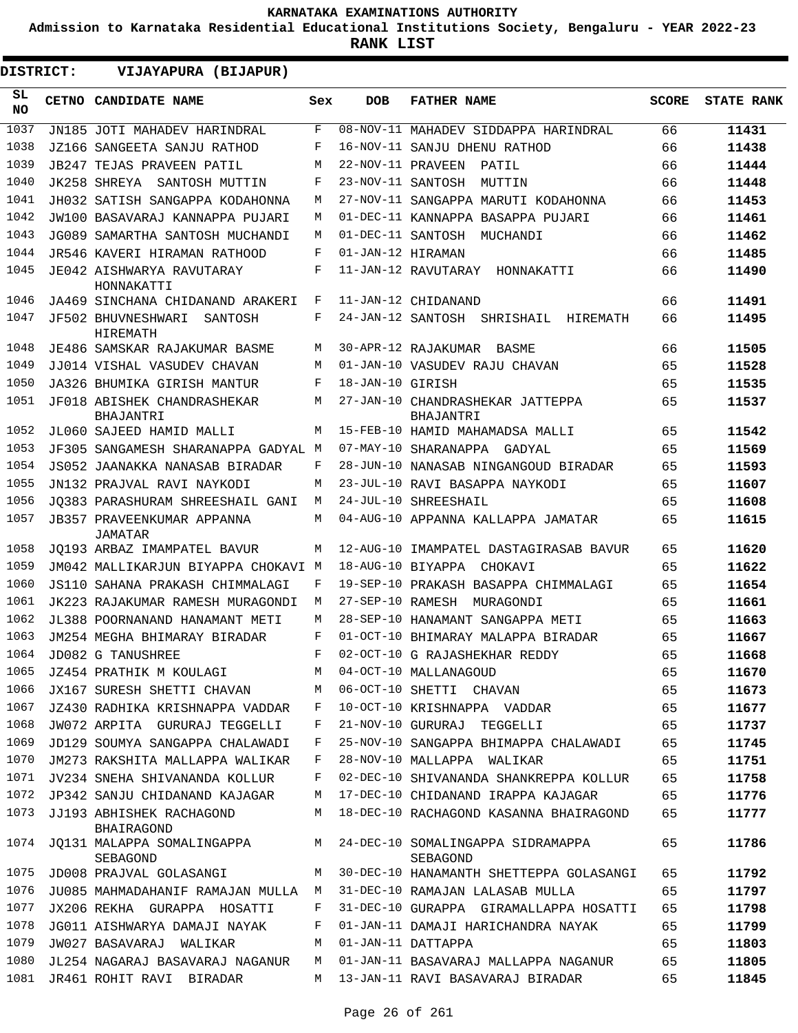**Admission to Karnataka Residential Educational Institutions Society, Bengaluru - YEAR 2022-23**

| <b>DISTRICT:</b> | VIJAYAPURA (BIJAPUR)                          |     |                   |                                                |              |                   |
|------------------|-----------------------------------------------|-----|-------------------|------------------------------------------------|--------------|-------------------|
| SL.<br><b>NO</b> | <b>CETNO CANDIDATE NAME</b>                   | Sex | <b>DOB</b>        | <b>FATHER NAME</b>                             | <b>SCORE</b> | <b>STATE RANK</b> |
| 1037             | JN185 JOTI MAHADEV HARINDRAL                  | F   |                   | 08-NOV-11 MAHADEV SIDDAPPA HARINDRAL           | 66           | 11431             |
| 1038             | JZ166 SANGEETA SANJU RATHOD                   | F   |                   | 16-NOV-11 SANJU DHENU RATHOD                   | 66           | 11438             |
| 1039             | JB247 TEJAS PRAVEEN PATIL                     | M   | 22-NOV-11 PRAVEEN | PATIL                                          | 66           | 11444             |
| 1040             | JK258 SHREYA<br>SANTOSH MUTTIN                | F   | 23-NOV-11 SANTOSH | MUTTIN                                         | 66           | 11448             |
| 1041             | JH032 SATISH SANGAPPA KODAHONNA               | М   |                   | 27-NOV-11 SANGAPPA MARUTI KODAHONNA            | 66           | 11453             |
| 1042             | JW100 BASAVARAJ KANNAPPA PUJARI               | М   |                   | 01-DEC-11 KANNAPPA BASAPPA PUJARI              | 66           | 11461             |
| 1043             | JG089 SAMARTHA SANTOSH MUCHANDI               | M   |                   | 01-DEC-11 SANTOSH MUCHANDI                     | 66           | 11462             |
| 1044             | JR546 KAVERI HIRAMAN RATHOOD                  | F   | 01-JAN-12 HIRAMAN |                                                | 66           | 11485             |
| 1045             | JE042 AISHWARYA RAVUTARAY<br>HONNAKATTI       | F   |                   | 11-JAN-12 RAVUTARAY HONNAKATTI                 | 66           | 11490             |
| 1046             | JA469 SINCHANA CHIDANAND ARAKERI              | F   |                   | 11-JAN-12 CHIDANAND                            | 66           | 11491             |
| 1047             | JF502 BHUVNESHWARI<br>SANTOSH<br>HIREMATH     | F   |                   | 24-JAN-12 SANTOSH SHRISHAIL<br><b>HIREMATH</b> | 66           | 11495             |
| 1048             | JE486 SAMSKAR RAJAKUMAR BASME                 | M   |                   | 30-APR-12 RAJAKUMAR<br>BASME                   | 66           | 11505             |
| 1049             | JJ014 VISHAL VASUDEV CHAVAN                   | M   |                   | 01-JAN-10 VASUDEV RAJU CHAVAN                  | 65           | 11528             |
| 1050             | JA326 BHUMIKA GIRISH MANTUR                   | F   | 18-JAN-10 GIRISH  |                                                | 65           | 11535             |
| 1051             | JF018 ABISHEK CHANDRASHEKAR<br>BHAJANTRI      | M   |                   | 27-JAN-10 CHANDRASHEKAR JATTEPPA<br>BHAJANTRI  | 65           | 11537             |
| 1052             | JL060 SAJEED HAMID MALLI                      | M   |                   | 15-FEB-10 HAMID MAHAMADSA MALLI                | 65           | 11542             |
| 1053             | JF305 SANGAMESH SHARANAPPA GADYAL M           |     |                   | 07-MAY-10 SHARANAPPA GADYAL                    | 65           | 11569             |
| 1054             | JS052 JAANAKKA NANASAB BIRADAR                | F   |                   | 28-JUN-10 NANASAB NINGANGOUD BIRADAR           | 65           | 11593             |
| 1055             | JN132 PRAJVAL RAVI NAYKODI                    | М   |                   | 23-JUL-10 RAVI BASAPPA NAYKODI                 | 65           | 11607             |
| 1056             | JO383 PARASHURAM SHREESHAIL GANI              | М   |                   | 24-JUL-10 SHREESHAIL                           | 65           | 11608             |
| 1057             | JB357 PRAVEENKUMAR APPANNA<br>JAMATAR         | М   |                   | 04-AUG-10 APPANNA KALLAPPA JAMATAR             | 65           | 11615             |
| 1058             | JO193 ARBAZ IMAMPATEL BAVUR                   | M   |                   | 12-AUG-10 IMAMPATEL DASTAGIRASAB BAVUR         | 65           | 11620             |
| 1059             | JM042 MALLIKARJUN BIYAPPA CHOKAVI             | M   | 18-AUG-10 BIYAPPA | CHOKAVI                                        | 65           | 11622             |
| 1060             | JS110 SAHANA PRAKASH CHIMMALAGI               | F   |                   | 19-SEP-10 PRAKASH BASAPPA CHIMMALAGI           | 65           | 11654             |
| 1061             | JK223 RAJAKUMAR RAMESH MURAGONDI              | М   | 27-SEP-10 RAMESH  | MURAGONDI                                      | 65           | 11661             |
| 1062             | JL388 POORNANAND HANAMANT METI                | M   |                   | 28-SEP-10 HANAMANT SANGAPPA METI               | 65           | 11663             |
| 1063             | JM254 MEGHA BHIMARAY BIRADAR                  | F   |                   | 01-OCT-10 BHIMARAY MALAPPA BIRADAR             | 65           | 11667             |
| 1064             | JD082 G TANUSHREE                             | F   |                   | 02-OCT-10 G RAJASHEKHAR REDDY                  | 65           | 11668             |
| 1065             | JZ454 PRATHIK M KOULAGI                       | М   |                   | 04-OCT-10 MALLANAGOUD                          | 65           | 11670             |
| 1066             | JX167 SURESH SHETTI CHAVAN                    | М   |                   | 06-OCT-10 SHETTI CHAVAN                        | 65           | 11673             |
| 1067             | JZ430 RADHIKA KRISHNAPPA VADDAR               | F   |                   | 10-OCT-10 KRISHNAPPA VADDAR                    | 65           | 11677             |
| 1068             | JW072 ARPITA GURURAJ TEGGELLI                 | F   |                   | 21-NOV-10 GURURAJ TEGGELLI                     | 65           | 11737             |
| 1069             | JD129 SOUMYA SANGAPPA CHALAWADI               | F   |                   | 25-NOV-10 SANGAPPA BHIMAPPA CHALAWADI          | 65           | 11745             |
| 1070             | JM273 RAKSHITA MALLAPPA WALIKAR               | F   |                   | 28-NOV-10 MALLAPPA WALIKAR                     | 65           | 11751             |
| 1071             | JV234 SNEHA SHIVANANDA KOLLUR                 | F   |                   | 02-DEC-10 SHIVANANDA SHANKREPPA KOLLUR         | 65           | 11758             |
| 1072             | JP342 SANJU CHIDANAND KAJAGAR                 | М   |                   | 17-DEC-10 CHIDANAND IRAPPA KAJAGAR             | 65           | 11776             |
| 1073             | JJ193 ABHISHEK RACHAGOND<br><b>BHAIRAGOND</b> | М   |                   | 18-DEC-10 RACHAGOND KASANNA BHAIRAGOND         | 65           | 11777             |
| 1074             | JO131 MALAPPA SOMALINGAPPA<br>SEBAGOND        | M   |                   | 24-DEC-10 SOMALINGAPPA SIDRAMAPPA<br>SEBAGOND  | 65           | 11786             |
| 1075             | JD008 PRAJVAL GOLASANGI                       | М   |                   | 30-DEC-10 HANAMANTH SHETTEPPA GOLASANGI        | 65           | 11792             |
| 1076             | JU085 MAHMADAHANIF RAMAJAN MULLA              | M   |                   | 31-DEC-10 RAMAJAN LALASAB MULLA                | 65           | 11797             |
| 1077             | JX206 REKHA GURAPPA HOSATTI                   | F   |                   | 31-DEC-10 GURAPPA GIRAMALLAPPA HOSATTI         | 65           | 11798             |
| 1078             | JG011 AISHWARYA DAMAJI NAYAK                  | F   |                   | 01-JAN-11 DAMAJI HARICHANDRA NAYAK             | 65           | 11799             |
| 1079             | JW027 BASAVARAJ<br>WALIKAR                    | М   |                   | 01-JAN-11 DATTAPPA                             | 65           | 11803             |
| 1080             | JL254 NAGARAJ BASAVARAJ NAGANUR               | М   |                   | 01-JAN-11 BASAVARAJ MALLAPPA NAGANUR           | 65           | 11805             |
| 1081             | JR461 ROHIT RAVI BIRADAR                      | М   |                   | 13-JAN-11 RAVI BASAVARAJ BIRADAR               | 65           | 11845             |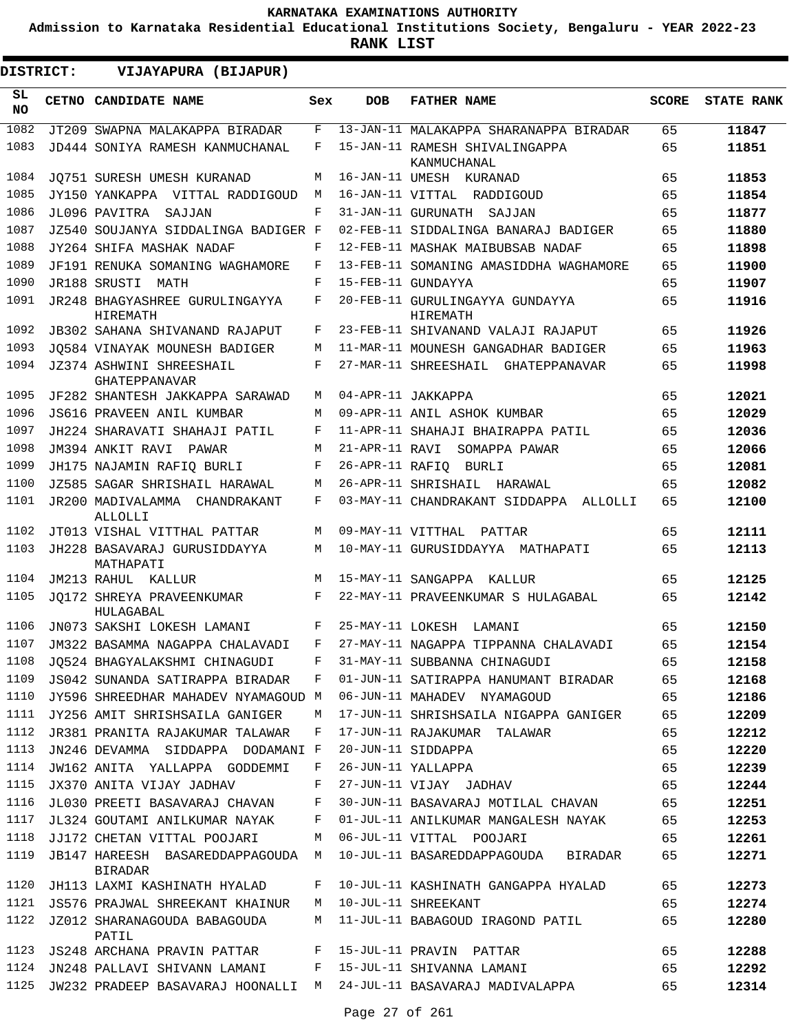**Admission to Karnataka Residential Educational Institutions Society, Bengaluru - YEAR 2022-23**

| DISTRICT:        | VIJAYAPURA (BIJAPUR)                                |     |                 |                                               |              |                   |
|------------------|-----------------------------------------------------|-----|-----------------|-----------------------------------------------|--------------|-------------------|
| SL.<br><b>NO</b> | <b>CETNO CANDIDATE NAME</b>                         | Sex | <b>DOB</b>      | <b>FATHER NAME</b>                            | <b>SCORE</b> | <b>STATE RANK</b> |
| 1082             | JT209 SWAPNA MALAKAPPA BIRADAR                      | F   |                 | 13-JAN-11 MALAKAPPA SHARANAPPA BIRADAR        | 65           | 11847             |
| 1083             | JD444 SONIYA RAMESH KANMUCHANAL                     | F   |                 | 15-JAN-11 RAMESH SHIVALINGAPPA<br>KANMUCHANAL | 65           | 11851             |
| 1084             | JO751 SURESH UMESH KURANAD                          | М   |                 | 16-JAN-11 UMESH KURANAD                       | 65           | 11853             |
| 1085             | JY150 YANKAPPA VITTAL RADDIGOUD                     | M   |                 | 16-JAN-11 VITTAL RADDIGOUD                    | 65           | 11854             |
| 1086             | JL096 PAVITRA<br>SAJJAN                             | F   |                 | 31-JAN-11 GURUNATH SAJJAN                     | 65           | 11877             |
| 1087             | JZ540 SOUJANYA SIDDALINGA BADIGER F                 |     |                 | 02-FEB-11 SIDDALINGA BANARAJ BADIGER          | 65           | 11880             |
| 1088             | JY264 SHIFA MASHAK NADAF                            | F   |                 | 12-FEB-11 MASHAK MAIBUBSAB NADAF              | 65           | 11898             |
| 1089             | JF191 RENUKA SOMANING WAGHAMORE                     | F   |                 | 13-FEB-11 SOMANING AMASIDDHA WAGHAMORE        | 65           | 11900             |
| 1090             | JR188 SRUSTI MATH                                   | F   |                 | 15-FEB-11 GUNDAYYA                            | 65           | 11907             |
| 1091             | JR248 BHAGYASHREE GURULINGAYYA<br>HIREMATH          | F   |                 | 20-FEB-11 GURULINGAYYA GUNDAYYA<br>HIREMATH   | 65           | 11916             |
| 1092             | JB302 SAHANA SHIVANAND RAJAPUT                      | F   |                 | 23-FEB-11 SHIVANAND VALAJI RAJAPUT            | 65           | 11926             |
| 1093             | JO584 VINAYAK MOUNESH BADIGER                       | М   |                 | 11-MAR-11 MOUNESH GANGADHAR BADIGER           | 65           | 11963             |
| 1094             | JZ374 ASHWINI SHREESHAIL<br><b>GHATEPPANAVAR</b>    | F   |                 | 27-MAR-11 SHREESHAIL GHATEPPANAVAR            | 65           | 11998             |
| 1095             | JF282 SHANTESH JAKKAPPA SARAWAD                     | М   |                 | 04-APR-11 JAKKAPPA                            | 65           | 12021             |
| 1096             | <b>JS616 PRAVEEN ANIL KUMBAR</b>                    | М   |                 | 09-APR-11 ANIL ASHOK KUMBAR                   | 65           | 12029             |
| 1097             | JH224 SHARAVATI SHAHAJI PATIL                       | F   |                 | 11-APR-11 SHAHAJI BHAIRAPPA PATIL             | 65           | 12036             |
| 1098             | JM394 ANKIT RAVI<br>PAWAR                           | М   | 21-APR-11 RAVI  | SOMAPPA PAWAR                                 | 65           | 12066             |
| 1099             | JH175 NAJAMIN RAFIQ BURLI                           | F   | 26-APR-11 RAFIO | BURLI                                         | 65           | 12081             |
| 1100             | JZ585 SAGAR SHRISHAIL HARAWAL                       | М   |                 | 26-APR-11 SHRISHAIL HARAWAL                   | 65           | 12082             |
| 1101             | JR200 MADIVALAMMA CHANDRAKANT<br>ALLOLLI            | F   |                 | 03-MAY-11 CHANDRAKANT SIDDAPPA ALLOLLI        | 65           | 12100             |
| 1102             | JT013 VISHAL VITTHAL PATTAR                         | М   |                 | 09-MAY-11 VITTHAL PATTAR                      | 65           | 12111             |
| 1103             | JH228 BASAVARAJ GURUSIDDAYYA<br>MATHAPATI           | М   |                 | 10-MAY-11 GURUSIDDAYYA MATHAPATI              | 65           | 12113             |
| 1104             | JM213 RAHUL KALLUR                                  | М   |                 | 15-MAY-11 SANGAPPA KALLUR                     | 65           | 12125             |
| 1105             | JO172 SHREYA PRAVEENKUMAR<br>HULAGABAL              | F   |                 | 22-MAY-11 PRAVEENKUMAR S HULAGABAL            | 65           | 12142             |
| 1106             | JN073 SAKSHI LOKESH LAMANI                          | F   |                 | 25-MAY-11 LOKESH LAMANI                       | 65           | 12150             |
| 1107             | JM322 BASAMMA NAGAPPA CHALAVADI                     | F   |                 | 27-MAY-11 NAGAPPA TIPPANNA CHALAVADI          | 65           | 12154             |
| 1108             | JO524 BHAGYALAKSHMI CHINAGUDI                       | F   |                 | 31-MAY-11 SUBBANNA CHINAGUDI                  | 65           | 12158             |
| 1109             | JS042 SUNANDA SATIRAPPA BIRADAR                     | F   |                 | 01-JUN-11 SATIRAPPA HANUMANT BIRADAR          | 65           | 12168             |
| 1110             | JY596 SHREEDHAR MAHADEV NYAMAGOUD M                 |     |                 | 06-JUN-11 MAHADEV NYAMAGOUD                   | 65           | 12186             |
| 1111             | JY256 AMIT SHRISHSAILA GANIGER                      | М   |                 | 17-JUN-11 SHRISHSAILA NIGAPPA GANIGER         | 65           | 12209             |
| 1112             | JR381 PRANITA RAJAKUMAR TALAWAR                     | F   |                 | 17-JUN-11 RAJAKUMAR TALAWAR                   | 65           | 12212             |
| 1113             | JN246 DEVAMMA SIDDAPPA DODAMANI F                   |     |                 | 20-JUN-11 SIDDAPPA                            | 65           | 12220             |
| 1114             | JW162 ANITA YALLAPPA GODDEMMI                       | F   |                 | 26-JUN-11 YALLAPPA                            | 65           | 12239             |
| 1115             | JX370 ANITA VIJAY JADHAV                            | F   |                 | 27-JUN-11 VIJAY JADHAV                        | 65           | 12244             |
| 1116             | JL030 PREETI BASAVARAJ CHAVAN                       | F   |                 | 30-JUN-11 BASAVARAJ MOTILAL CHAVAN            | 65           | 12251             |
| 1117             | JL324 GOUTAMI ANILKUMAR NAYAK                       | F   |                 | 01-JUL-11 ANILKUMAR MANGALESH NAYAK           | 65           | 12253             |
| 1118             | JJ172 CHETAN VITTAL POOJARI                         | М   |                 | 06-JUL-11 VITTAL POOJARI                      | 65           | 12261             |
| 1119             | JB147 HAREESH BASAREDDAPPAGOUDA M<br><b>BIRADAR</b> |     |                 | 10-JUL-11 BASAREDDAPPAGOUDA BIRADAR           | 65           | 12271             |
| 1120             | JH113 LAXMI KASHINATH HYALAD                        | F   |                 | 10-JUL-11 KASHINATH GANGAPPA HYALAD           | 65           | 12273             |
| 1121             | JS576 PRAJWAL SHREEKANT KHAINUR                     | M   |                 | 10-JUL-11 SHREEKANT                           | 65           | 12274             |
| 1122             | JZ012 SHARANAGOUDA BABAGOUDA<br>PATIL               | М   |                 | 11-JUL-11 BABAGOUD IRAGOND PATIL              | 65           | 12280             |
| 1123             | JS248 ARCHANA PRAVIN PATTAR                         | F   |                 | 15-JUL-11 PRAVIN PATTAR                       | 65           | 12288             |
| 1124             | JN248 PALLAVI SHIVANN LAMANI                        | F   |                 | 15-JUL-11 SHIVANNA LAMANI                     | 65           | 12292             |
| 1125             | JW232 PRADEEP BASAVARAJ HOONALLI M                  |     |                 | 24-JUL-11 BASAVARAJ MADIVALAPPA               | 65           | 12314             |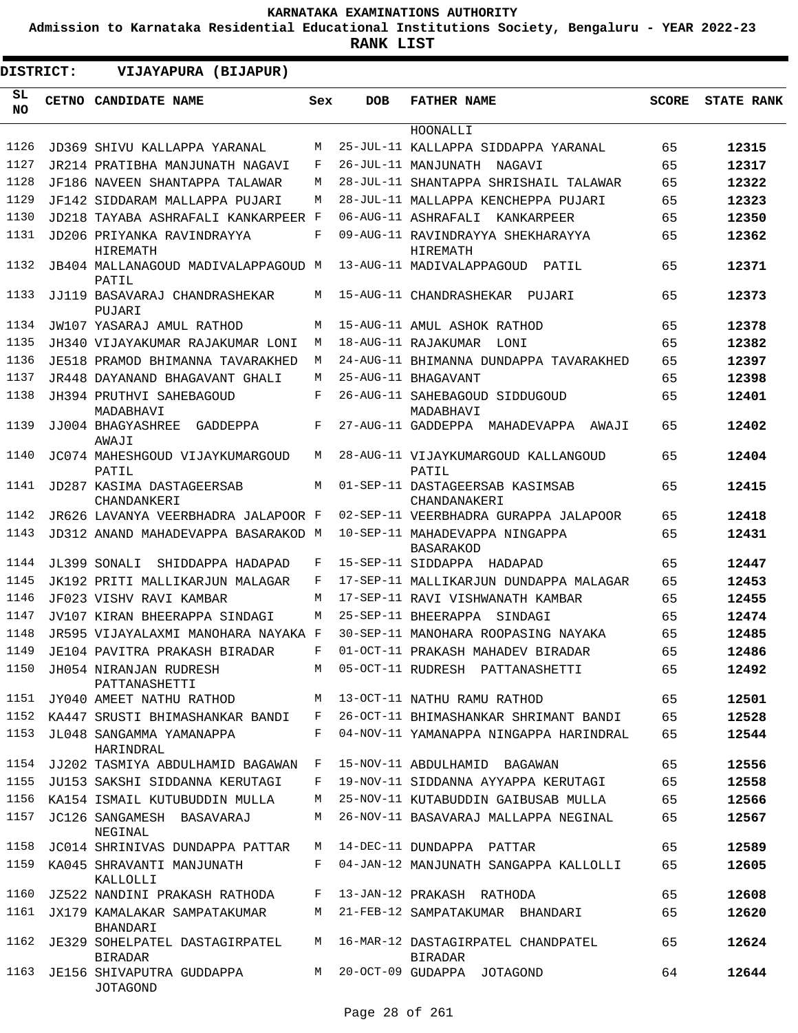**Admission to Karnataka Residential Educational Institutions Society, Bengaluru - YEAR 2022-23**

|                 | DISTRICT: | VIJAYAPURA (BIJAPUR)                             |              |            |                                                    |              |                   |
|-----------------|-----------|--------------------------------------------------|--------------|------------|----------------------------------------------------|--------------|-------------------|
| SL<br><b>NO</b> |           | CETNO CANDIDATE NAME                             | Sex          | <b>DOB</b> | <b>FATHER NAME</b>                                 | <b>SCORE</b> | <b>STATE RANK</b> |
|                 |           |                                                  |              |            | HOONALLI                                           |              |                   |
| 1126            |           | JD369 SHIVU KALLAPPA YARANAL                     | M            |            | 25-JUL-11 KALLAPPA SIDDAPPA YARANAL                | 65           | 12315             |
| 1127            |           | JR214 PRATIBHA MANJUNATH NAGAVI                  | F            |            | 26-JUL-11 MANJUNATH NAGAVI                         | 65           | 12317             |
| 1128            |           | JF186 NAVEEN SHANTAPPA TALAWAR                   | М            |            | 28-JUL-11 SHANTAPPA SHRISHAIL TALAWAR              | 65           | 12322             |
| 1129            |           | JF142 SIDDARAM MALLAPPA PUJARI                   | М            |            | 28-JUL-11 MALLAPPA KENCHEPPA PUJARI                | 65           | 12323             |
| 1130            |           | JD218 TAYABA ASHRAFALI KANKARPEER F              |              |            | 06-AUG-11 ASHRAFALI KANKARPEER                     | 65           | 12350             |
| 1131            |           | JD206 PRIYANKA RAVINDRAYYA<br>HIREMATH           | F            |            | 09-AUG-11 RAVINDRAYYA SHEKHARAYYA<br>HIREMATH      | 65           | 12362             |
| 1132            |           | JB404 MALLANAGOUD MADIVALAPPAGOUD M<br>PATIL     |              |            | 13-AUG-11 MADIVALAPPAGOUD<br>PATIL                 | 65           | 12371             |
| 1133            |           | JJ119 BASAVARAJ CHANDRASHEKAR<br>PUJARI          | M            |            | 15-AUG-11 CHANDRASHEKAR<br>PUJARI                  | 65           | 12373             |
| 1134            |           | JW107 YASARAJ AMUL RATHOD                        | М            |            | 15-AUG-11 AMUL ASHOK RATHOD                        | 65           | 12378             |
| 1135            |           | JH340 VIJAYAKUMAR RAJAKUMAR LONI                 | М            |            | 18-AUG-11 RAJAKUMAR<br>LONI                        | 65           | 12382             |
| 1136            |           | JE518 PRAMOD BHIMANNA TAVARAKHED                 | M            |            | 24-AUG-11 BHIMANNA DUNDAPPA TAVARAKHED             | 65           | 12397             |
| 1137            |           | JR448 DAYANAND BHAGAVANT GHALI                   | М            |            | 25-AUG-11 BHAGAVANT                                | 65           | 12398             |
| 1138            |           | JH394 PRUTHVI SAHEBAGOUD<br>MADABHAVI            | F            |            | 26-AUG-11 SAHEBAGOUD SIDDUGOUD<br>MADABHAVI        | 65           | 12401             |
| 1139            |           | JJ004 BHAGYASHREE<br>GADDEPPA<br>AWAJI           | F            |            | 27-AUG-11 GADDEPPA MAHADEVAPPA<br>AWAJI            | 65           | 12402             |
| 1140            |           | JC074 MAHESHGOUD VIJAYKUMARGOUD<br>PATIL         | М            |            | 28-AUG-11 VIJAYKUMARGOUD KALLANGOUD<br>PATIL       | 65           | 12404             |
| 1141            |           | <b>JD287 KASIMA DASTAGEERSAB</b><br>CHANDANKERI  | M            |            | 01-SEP-11 DASTAGEERSAB KASIMSAB<br>CHANDANAKERI    | 65           | 12415             |
| 1142            |           | JR626 LAVANYA VEERBHADRA JALAPOOR F              |              |            | 02-SEP-11 VEERBHADRA GURAPPA JALAPOOR              | 65           | 12418             |
| 1143            |           | JD312 ANAND MAHADEVAPPA BASARAKOD M              |              |            | 10-SEP-11 MAHADEVAPPA NINGAPPA<br><b>BASARAKOD</b> | 65           | 12431             |
| 1144            |           | JL399 SONALI<br>SHIDDAPPA HADAPAD                | F            |            | 15-SEP-11 SIDDAPPA HADAPAD                         | 65           | 12447             |
| 1145            |           | JK192 PRITI MALLIKARJUN MALAGAR                  | F            |            | 17-SEP-11 MALLIKARJUN DUNDAPPA MALAGAR             | 65           | 12453             |
| 1146            |           | JF023 VISHV RAVI KAMBAR                          | М            |            | 17-SEP-11 RAVI VISHWANATH KAMBAR                   | 65           | 12455             |
| 1147            |           | JV107 KIRAN BHEERAPPA SINDAGI                    | М            |            | 25-SEP-11 BHEERAPPA<br>SINDAGI                     | 65           | 12474             |
| 1148            |           | JR595 VIJAYALAXMI MANOHARA NAYAKA F              |              |            | 30-SEP-11 MANOHARA ROOPASING NAYAKA                | 65           | 12485             |
| 1149            |           | JE104 PAVITRA PRAKASH BIRADAR                    | $\mathbf{F}$ |            | 01-OCT-11 PRAKASH MAHADEV BIRADAR                  | 65           | 12486             |
| 1150            |           | JH054 NIRANJAN RUDRESH<br>PATTANASHETTI          | M            |            | 05-OCT-11 RUDRESH PATTANASHETTI                    | 65           | 12492             |
| 1151            |           | JY040 AMEET NATHU RATHOD                         | M            |            | 13-OCT-11 NATHU RAMU RATHOD                        | 65           | 12501             |
| 1152            |           | KA447 SRUSTI BHIMASHANKAR BANDI                  | F            |            | 26-OCT-11 BHIMASHANKAR SHRIMANT BANDI              | 65           | 12528             |
| 1153            |           | JL048 SANGAMMA YAMANAPPA<br>HARINDRAL            | F            |            | 04-NOV-11 YAMANAPPA NINGAPPA HARINDRAL             | 65           | 12544             |
| 1154            |           | JJ202 TASMIYA ABDULHAMID BAGAWAN                 | F            |            | 15-NOV-11 ABDULHAMID BAGAWAN                       | 65           | 12556             |
| 1155            |           | JU153 SAKSHI SIDDANNA KERUTAGI                   | F            |            | 19-NOV-11 SIDDANNA AYYAPPA KERUTAGI                | 65           | 12558             |
| 1156            |           | KA154 ISMAIL KUTUBUDDIN MULLA                    | М            |            | 25-NOV-11 KUTABUDDIN GAIBUSAB MULLA                | 65           | 12566             |
| 1157            |           | JC126 SANGAMESH BASAVARAJ<br>NEGINAL             | М            |            | 26-NOV-11 BASAVARAJ MALLAPPA NEGINAL               | 65           | 12567             |
| 1158            |           | JC014 SHRINIVAS DUNDAPPA PATTAR                  | M            |            | 14-DEC-11 DUNDAPPA PATTAR                          | 65           | 12589             |
| 1159            |           | KA045 SHRAVANTI MANJUNATH<br>KALLOLLI            | F            |            | 04-JAN-12 MANJUNATH SANGAPPA KALLOLLI              | 65           | 12605             |
| 1160            |           | JZ522 NANDINI PRAKASH RATHODA                    | F            |            | 13-JAN-12 PRAKASH RATHODA                          | 65           | 12608             |
| 1161            |           | JX179 KAMALAKAR SAMPATAKUMAR<br>BHANDARI         | М            |            | 21-FEB-12 SAMPATAKUMAR BHANDARI                    | 65           | 12620             |
| 1162            |           | JE329 SOHELPATEL DASTAGIRPATEL<br><b>BIRADAR</b> | M            |            | 16-MAR-12 DASTAGIRPATEL CHANDPATEL<br>BIRADAR      | 65           | 12624             |
| 1163            |           | JE156 SHIVAPUTRA GUDDAPPA<br><b>JOTAGOND</b>     |              |            | M 20-OCT-09 GUDAPPA JOTAGOND                       | 64           | 12644             |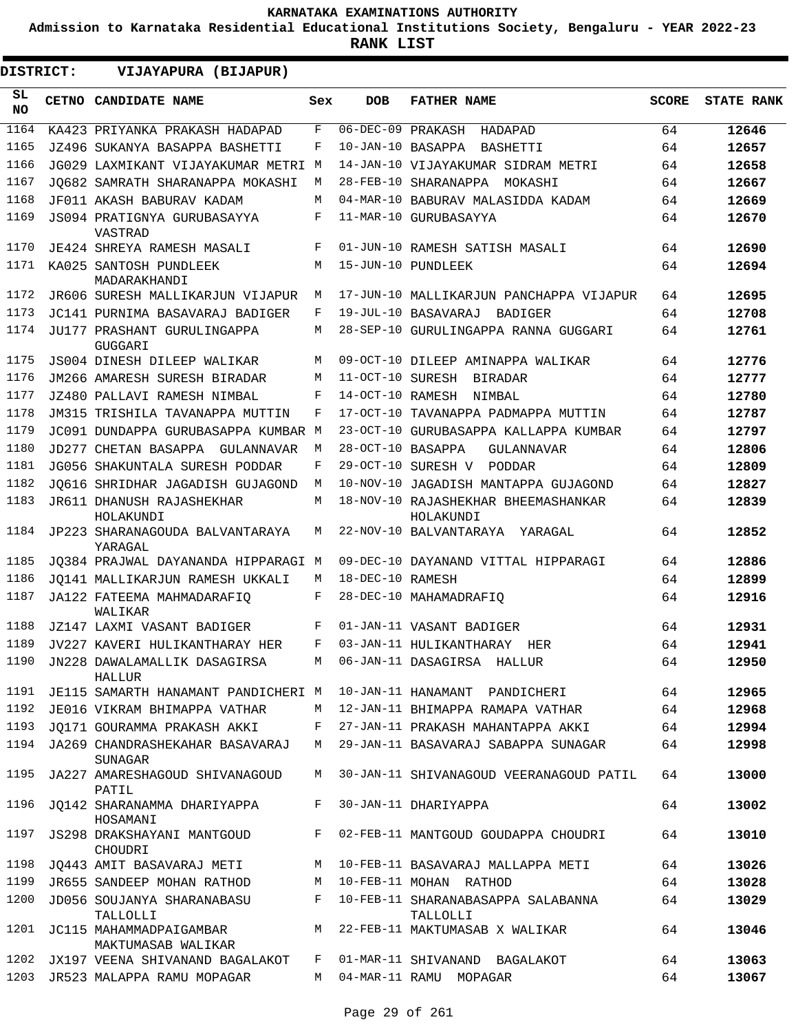**Admission to Karnataka Residential Educational Institutions Society, Bengaluru - YEAR 2022-23**

**RANK LIST**

| <b>DISTRICT:</b> | VIJAYAPURA (BIJAPUR)                            |     |                   |                                                  |              |                   |
|------------------|-------------------------------------------------|-----|-------------------|--------------------------------------------------|--------------|-------------------|
| SL.<br><b>NO</b> | CETNO CANDIDATE NAME                            | Sex | <b>DOB</b>        | <b>FATHER NAME</b>                               | <b>SCORE</b> | <b>STATE RANK</b> |
| 1164             | KA423 PRIYANKA PRAKASH HADAPAD                  | F   | 06-DEC-09 PRAKASH | HADAPAD                                          | 64           | 12646             |
| 1165             | JZ496 SUKANYA BASAPPA BASHETTI                  | F   | 10-JAN-10 BASAPPA | BASHETTI                                         | 64           | 12657             |
| 1166             | JG029 LAXMIKANT VIJAYAKUMAR METRI M             |     |                   | 14-JAN-10 VIJAYAKUMAR SIDRAM METRI               | 64           | 12658             |
| 1167             | JO682 SAMRATH SHARANAPPA MOKASHI                | М   |                   | 28-FEB-10 SHARANAPPA MOKASHI                     | 64           | 12667             |
| 1168             | JF011 AKASH BABURAV KADAM                       | М   |                   | 04-MAR-10 BABURAV MALASIDDA KADAM                | 64           | 12669             |
| 1169             | <b>JS094 PRATIGNYA GURUBASAYYA</b><br>VASTRAD   | F   |                   | 11-MAR-10 GURUBASAYYA                            | 64           | 12670             |
| 1170             | JE424 SHREYA RAMESH MASALI                      | F   |                   | 01-JUN-10 RAMESH SATISH MASALI                   | 64           | 12690             |
| 1171             | KA025 SANTOSH PUNDLEEK<br>MADARAKHANDI          | M   |                   | 15-JUN-10 PUNDLEEK                               | 64           | 12694             |
| 1172             | JR606 SURESH MALLIKARJUN VIJAPUR                | M   |                   | 17-JUN-10 MALLIKARJUN PANCHAPPA VIJAPUR          | 64           | 12695             |
| 1173             | JC141 PURNIMA BASAVARAJ BADIGER                 | F   |                   | 19-JUL-10 BASAVARAJ<br>BADIGER                   | 64           | 12708             |
| 1174             | JU177 PRASHANT GURULINGAPPA<br><b>GUGGARI</b>   | M   |                   | 28-SEP-10 GURULINGAPPA RANNA GUGGARI             | 64           | 12761             |
| 1175             | JS004 DINESH DILEEP WALIKAR                     | M   |                   | 09-OCT-10 DILEEP AMINAPPA WALIKAR                | 64           | 12776             |
| 1176             | JM266 AMARESH SURESH BIRADAR                    | M   | 11-OCT-10 SURESH  | BIRADAR                                          | 64           | 12777             |
| 1177             | JZ480 PALLAVI RAMESH NIMBAL                     | F   | 14-OCT-10 RAMESH  | NIMBAL                                           | 64           | 12780             |
| 1178             | JM315 TRISHILA TAVANAPPA MUTTIN                 | F   |                   | 17-OCT-10 TAVANAPPA PADMAPPA MUTTIN              | 64           | 12787             |
| 1179             | JC091 DUNDAPPA GURUBASAPPA KUMBAR M             |     |                   | 23-OCT-10 GURUBASAPPA KALLAPPA KUMBAR            | 64           | 12797             |
| 1180             | JD277 CHETAN BASAPPA GULANNAVAR                 | M   | 28-OCT-10 BASAPPA | GULANNAVAR                                       | 64           | 12806             |
| 1181             | JG056 SHAKUNTALA SURESH PODDAR                  | F   |                   | 29-OCT-10 SURESH V PODDAR                        | 64           | 12809             |
| 1182             | JO616 SHRIDHAR JAGADISH GUJAGOND                | M   |                   | 10-NOV-10 JAGADISH MANTAPPA GUJAGOND             | 64           | 12827             |
| 1183             | JR611 DHANUSH RAJASHEKHAR<br>HOLAKUNDI          | M   |                   | 18-NOV-10 RAJASHEKHAR BHEEMASHANKAR<br>HOLAKUNDI | 64           | 12839             |
| 1184             | JP223 SHARANAGOUDA BALVANTARAYA<br>YARAGAL      | М   |                   | 22-NOV-10 BALVANTARAYA YARAGAL                   | 64           | 12852             |
| 1185             | JO384 PRAJWAL DAYANANDA HIPPARAGI M             |     |                   | 09-DEC-10 DAYANAND VITTAL HIPPARAGI              | 64           | 12886             |
| 1186             | JO141 MALLIKARJUN RAMESH UKKALI                 | M   | 18-DEC-10 RAMESH  |                                                  | 64           | 12899             |
| 1187             | JA122 FATEEMA MAHMADARAFIO<br>WALIKAR           | F   |                   | 28-DEC-10 MAHAMADRAFIQ                           | 64           | 12916             |
| 1188             | JZ147 LAXMI VASANT BADIGER                      | F   |                   | 01-JAN-11 VASANT BADIGER                         | 64           | 12931             |
| 1189             | JV227 KAVERI HULIKANTHARAY HER                  | F   |                   | 03-JAN-11 HULIKANTHARAY<br>HER                   | 64           | 12941             |
| 1190             | JN228 DAWALAMALLIK DASAGIRSA<br>HALLUR          | M   |                   | 06-JAN-11 DASAGIRSA HALLUR                       | 64           | 12950             |
| 1191             | JE115 SAMARTH HANAMANT PANDICHERI M             |     |                   | 10-JAN-11 HANAMANT PANDICHERI                    | 64           | 12965             |
| 1192             | JE016 VIKRAM BHIMAPPA VATHAR                    | M   |                   | 12-JAN-11 BHIMAPPA RAMAPA VATHAR                 | 64           | 12968             |
| 1193             | JO171 GOURAMMA PRAKASH AKKI                     | F   |                   | 27-JAN-11 PRAKASH MAHANTAPPA AKKI                | 64           | 12994             |
|                  | 1194 JA269 CHANDRASHEKAHAR BASAVARAJ<br>SUNAGAR | M   |                   | 29-JAN-11 BASAVARAJ SABAPPA SUNAGAR              | 64           | 12998             |
| 1195             | JA227 AMARESHAGOUD SHIVANAGOUD<br>PATIL         | M   |                   | 30-JAN-11 SHIVANAGOUD VEERANAGOUD PATIL          | 64           | 13000             |
| 1196             | JQ142 SHARANAMMA DHARIYAPPA<br>HOSAMANI         | F   |                   | 30-JAN-11 DHARIYAPPA                             | 64           | 13002             |
| 1197             | JS298 DRAKSHAYANI MANTGOUD<br>CHOUDRI           | F   |                   | 02-FEB-11 MANTGOUD GOUDAPPA CHOUDRI              | 64           | 13010             |
| 1198             | JQ443 AMIT BASAVARAJ METI                       | M   |                   | 10-FEB-11 BASAVARAJ MALLAPPA METI                | 64           | 13026             |
| 1199             | JR655 SANDEEP MOHAN RATHOD                      | M   |                   | 10-FEB-11 MOHAN RATHOD                           | 64           | 13028             |
| 1200             | JD056 SOUJANYA SHARANABASU<br>TALLOLLI          | F   |                   | 10-FEB-11 SHARANABASAPPA SALABANNA<br>TALLOLLI   | 64           | 13029             |
| 1201             | JC115 MAHAMMADPAIGAMBAR<br>MAKTUMASAB WALIKAR   | M   |                   | 22-FEB-11 MAKTUMASAB X WALIKAR                   | 64           | 13046             |
| 1202             | JX197 VEENA SHIVANAND BAGALAKOT                 | F   |                   | 01-MAR-11 SHIVANAND BAGALAKOT                    | 64           | 13063             |
| 1203             | JR523 MALAPPA RAMU MOPAGAR                      | M   |                   | 04-MAR-11 RAMU MOPAGAR                           | 64           | 13067             |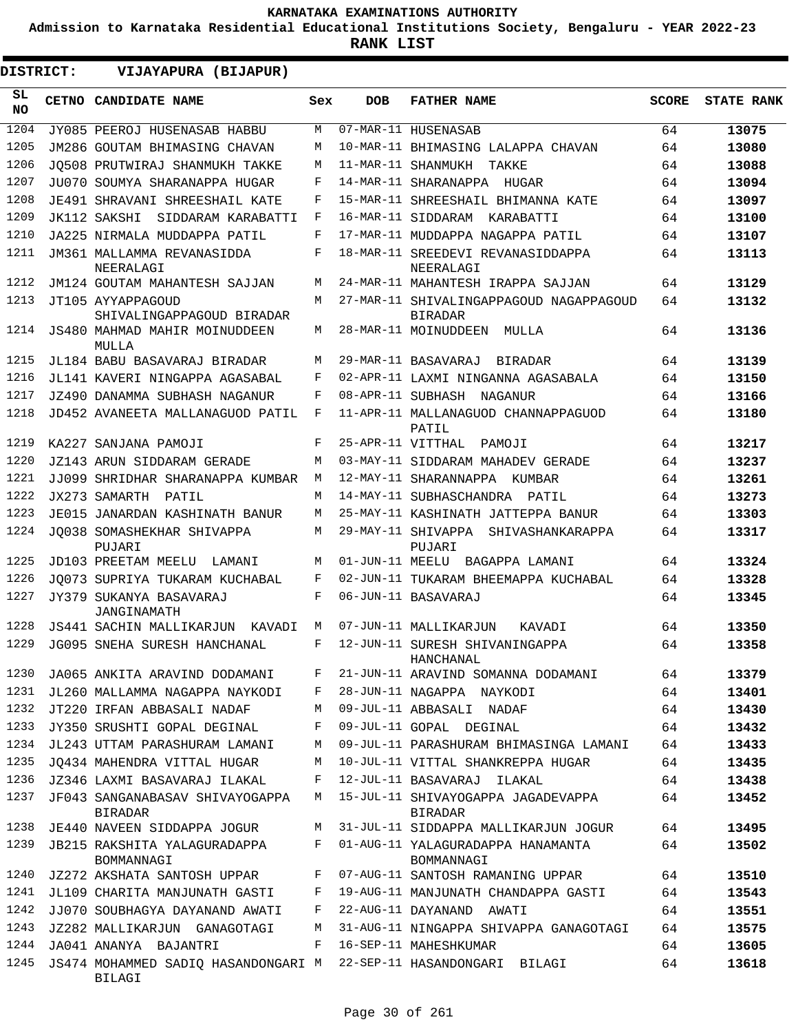**Admission to Karnataka Residential Educational Institutions Society, Bengaluru - YEAR 2022-23**

| DISTRICT:       | VIJAYAPURA (BIJAPUR)                                                        |     |                   |                                                           |              |                   |
|-----------------|-----------------------------------------------------------------------------|-----|-------------------|-----------------------------------------------------------|--------------|-------------------|
| SL<br><b>NO</b> | CETNO CANDIDATE NAME                                                        | Sex | <b>DOB</b>        | <b>FATHER NAME</b>                                        | <b>SCORE</b> | <b>STATE RANK</b> |
| 1204            | JY085 PEEROJ HUSENASAB HABBU                                                | M   |                   | 07-MAR-11 HUSENASAB                                       | 64           | 13075             |
| 1205            | JM286 GOUTAM BHIMASING CHAVAN                                               | M   |                   | 10-MAR-11 BHIMASING LALAPPA CHAVAN                        | 64           | 13080             |
| 1206            | JO508 PRUTWIRAJ SHANMUKH TAKKE                                              | M   |                   | 11-MAR-11 SHANMUKH<br>TAKKE                               | 64           | 13088             |
| 1207            | JU070 SOUMYA SHARANAPPA HUGAR                                               | F   |                   | 14-MAR-11 SHARANAPPA<br>HUGAR                             | 64           | 13094             |
| 1208            | JE491 SHRAVANI SHREESHAIL KATE                                              | F   |                   | 15-MAR-11 SHREESHAIL BHIMANNA KATE                        | 64           | 13097             |
| 1209            | SIDDARAM KARABATTI<br>JK112 SAKSHI                                          | F   |                   | 16-MAR-11 SIDDARAM<br>KARABATTI                           | 64           | 13100             |
| 1210            | JA225 NIRMALA MUDDAPPA PATIL                                                | F   |                   | 17-MAR-11 MUDDAPPA NAGAPPA PATIL                          | 64           | 13107             |
| 1211            | JM361 MALLAMMA REVANASIDDA<br>NEERALAGI                                     | F   |                   | 18-MAR-11 SREEDEVI REVANASIDDAPPA<br>NEERALAGI            | 64           | 13113             |
| 1212            | JM124 GOUTAM MAHANTESH SAJJAN                                               | М   |                   | 24-MAR-11 MAHANTESH IRAPPA SAJJAN                         | 64           | 13129             |
| 1213            | JT105 AYYAPPAGOUD<br>SHIVALINGAPPAGOUD BIRADAR                              | М   |                   | 27-MAR-11 SHIVALINGAPPAGOUD NAGAPPAGOUD<br><b>BIRADAR</b> | 64           | 13132             |
| 1214            | JS480 MAHMAD MAHIR MOINUDDEEN<br>MULLA                                      | М   |                   | 28-MAR-11 MOINUDDEEN<br>MULLA                             | 64           | 13136             |
| 1215            | JL184 BABU BASAVARAJ BIRADAR                                                | М   |                   | 29-MAR-11 BASAVARAJ<br>BIRADAR                            | 64           | 13139             |
| 1216            | JL141 KAVERI NINGAPPA AGASABAL                                              | F   |                   | 02-APR-11 LAXMI NINGANNA AGASABALA                        | 64           | 13150             |
| 1217            | JZ490 DANAMMA SUBHASH NAGANUR                                               | F   |                   | 08-APR-11 SUBHASH NAGANUR                                 | 64           | 13166             |
| 1218            | JD452 AVANEETA MALLANAGUOD PATIL                                            | F   |                   | 11-APR-11 MALLANAGUOD CHANNAPPAGUOD<br>PATIL              | 64           | 13180             |
| 1219            | KA227 SANJANA PAMOJI                                                        | F   | 25-APR-11 VITTHAL | PAMOJI                                                    | 64           | 13217             |
| 1220            | JZ143 ARUN SIDDARAM GERADE                                                  | М   |                   | 03-MAY-11 SIDDARAM MAHADEV GERADE                         | 64           | 13237             |
| 1221            | JJ099 SHRIDHAR SHARANAPPA KUMBAR                                            | М   |                   | 12-MAY-11 SHARANNAPPA KUMBAR                              | 64           | 13261             |
| 1222            | JX273 SAMARTH<br>PATIL                                                      | М   |                   | 14-MAY-11 SUBHASCHANDRA PATIL                             | 64           | 13273             |
| 1223            | JE015 JANARDAN KASHINATH BANUR                                              | М   |                   | 25-MAY-11 KASHINATH JATTEPPA BANUR                        | 64           | 13303             |
| 1224            | JO038 SOMASHEKHAR SHIVAPPA<br>PUJARI                                        | М   |                   | 29-MAY-11 SHIVAPPA SHIVASHANKARAPPA<br>PUJARI             | 64           | 13317             |
| 1225            | JD103 PREETAM MEELU<br>LAMANI                                               | M   |                   | 01-JUN-11 MEELU BAGAPPA LAMANI                            | 64           | 13324             |
| 1226            | JO073 SUPRIYA TUKARAM KUCHABAL                                              | F   |                   | 02-JUN-11 TUKARAM BHEEMAPPA KUCHABAL                      | 64           | 13328             |
| 1227            | JY379 SUKANYA BASAVARAJ<br>JANGINAMATH                                      | F   |                   | 06-JUN-11 BASAVARAJ                                       | 64           | 13345             |
| 1228            | JS441 SACHIN MALLIKARJUN<br>KAVADI                                          | M   |                   | 07-JUN-11 MALLIKARJUN<br>KAVADI                           | 64           | 13350             |
| 1229            | JG095 SNEHA SURESH HANCHANAL                                                | F   |                   | 12-JUN-11 SURESH SHIVANINGAPPA<br>HANCHANAL               | 64           | 13358             |
| 1230            | JA065 ANKITA ARAVIND DODAMANI                                               | F   |                   | 21-JUN-11 ARAVIND SOMANNA DODAMANI                        | 64           | 13379             |
| 1231            | JL260 MALLAMMA NAGAPPA NAYKODI                                              | F   |                   | 28-JUN-11 NAGAPPA NAYKODI                                 | 64           | 13401             |
| 1232            | JT220 IRFAN ABBASALI NADAF                                                  | М   |                   | 09-JUL-11 ABBASALI NADAF                                  | 64           | 13430             |
| 1233            | JY350 SRUSHTI GOPAL DEGINAL                                                 | F   |                   | 09-JUL-11 GOPAL DEGINAL                                   | 64           | 13432             |
| 1234            | JL243 UTTAM PARASHURAM LAMANI                                               | М   |                   | 09-JUL-11 PARASHURAM BHIMASINGA LAMANI                    | 64           | 13433             |
| 1235            | JQ434 MAHENDRA VITTAL HUGAR                                                 | М   |                   | 10-JUL-11 VITTAL SHANKREPPA HUGAR                         | 64           | 13435             |
| 1236            | JZ346 LAXMI BASAVARAJ ILAKAL                                                | F   |                   | 12-JUL-11 BASAVARAJ ILAKAL                                | 64           | 13438             |
| 1237            | JF043 SANGANABASAV SHIVAYOGAPPA<br><b>BIRADAR</b>                           | М   |                   | 15-JUL-11 SHIVAYOGAPPA JAGADEVAPPA<br><b>BIRADAR</b>      | 64           | 13452             |
| 1238            | JE440 NAVEEN SIDDAPPA JOGUR                                                 | М   |                   | 31-JUL-11 SIDDAPPA MALLIKARJUN JOGUR                      | 64           | 13495             |
| 1239            | JB215 RAKSHITA YALAGURADAPPA<br>BOMMANNAGI                                  | F   |                   | 01-AUG-11 YALAGURADAPPA HANAMANTA<br>BOMMANNAGI           | 64           | 13502             |
| 1240            | JZ272 AKSHATA SANTOSH UPPAR                                                 | F   |                   | 07-AUG-11 SANTOSH RAMANING UPPAR                          | 64           | 13510             |
| 1241            | JL109 CHARITA MANJUNATH GASTI                                               | F   |                   | 19-AUG-11 MANJUNATH CHANDAPPA GASTI                       | 64           | 13543             |
| 1242            | JJ070 SOUBHAGYA DAYANAND AWATI                                              | F   |                   | 22-AUG-11 DAYANAND AWATI                                  | 64           | 13551             |
| 1243            | JZ282 MALLIKARJUN GANAGOTAGI                                                | М   |                   | 31-AUG-11 NINGAPPA SHIVAPPA GANAGOTAGI                    | 64           | 13575             |
| 1244            | JA041 ANANYA BAJANTRI                                                       | F   |                   | 16-SEP-11 MAHESHKUMAR                                     | 64           | 13605             |
| 1245            | JS474 MOHAMMED SADIQ HASANDONGARI M 22-SEP-11 HASANDONGARI BILAGI<br>BILAGI |     |                   |                                                           | 64           | 13618             |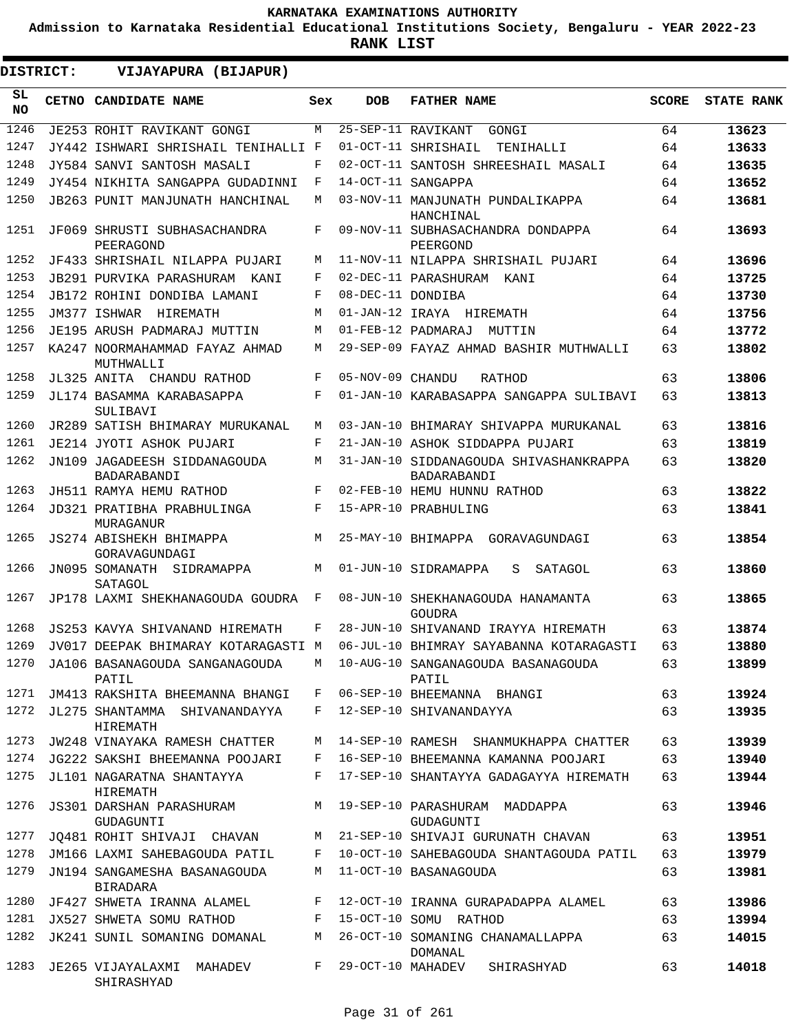$\blacksquare$ 

**Admission to Karnataka Residential Educational Institutions Society, Bengaluru - YEAR 2022-23**

| <b>DISTRICT:</b> | VIJAYAPURA (BIJAPUR)                                                     |     |                   |                                                                                   |              |                   |
|------------------|--------------------------------------------------------------------------|-----|-------------------|-----------------------------------------------------------------------------------|--------------|-------------------|
| SL.<br>NO.       | CETNO CANDIDATE NAME                                                     | Sex | <b>DOB</b>        | <b>FATHER NAME</b>                                                                | <b>SCORE</b> | <b>STATE RANK</b> |
| 1246             | JE253 ROHIT RAVIKANT GONGI                                               | M   |                   | 25-SEP-11 RAVIKANT<br>GONGI                                                       | 64           | 13623             |
| 1247             | JY442 ISHWARI SHRISHAIL TENIHALLI F                                      |     |                   | 01-OCT-11 SHRISHAIL<br>TENIHALLI                                                  | 64           | 13633             |
| 1248             | JY584 SANVI SANTOSH MASALI                                               | F   |                   | 02-OCT-11 SANTOSH SHREESHAIL MASALI                                               | 64           | 13635             |
| 1249             | JY454 NIKHITA SANGAPPA GUDADINNI                                         | F   |                   | 14-OCT-11 SANGAPPA                                                                | 64           | 13652             |
| 1250             | JB263 PUNIT MANJUNATH HANCHINAL                                          | M   |                   | 03-NOV-11 MANJUNATH PUNDALIKAPPA<br>HANCHINAL                                     | 64           | 13681             |
| 1251             | JF069 SHRUSTI SUBHASACHANDRA<br>PEERAGOND                                | F   |                   | 09-NOV-11 SUBHASACHANDRA DONDAPPA<br>PEERGOND                                     | 64           | 13693             |
| 1252             | JF433 SHRISHAIL NILAPPA PUJARI                                           | M   |                   | 11-NOV-11 NILAPPA SHRISHAIL PUJARI                                                | 64           | 13696             |
| 1253             | JB291 PURVIKA PARASHURAM KANI                                            | F   |                   | 02-DEC-11 PARASHURAM KANI                                                         | 64           | 13725             |
| 1254             | <b>JB172 ROHINI DONDIBA LAMANI</b>                                       | F   | 08-DEC-11 DONDIBA |                                                                                   | 64           | 13730             |
| 1255             | JM377 ISHWAR HIREMATH                                                    | M   |                   | 01-JAN-12 IRAYA HIREMATH                                                          | 64           | 13756             |
| 1256             | JE195 ARUSH PADMARAJ MUTTIN                                              | M   |                   | 01-FEB-12 PADMARAJ<br>MUTTIN                                                      | 64           | 13772             |
| 1257             | KA247 NOORMAHAMMAD FAYAZ AHMAD<br>MUTHWALLI                              | М   |                   | 29-SEP-09 FAYAZ AHMAD BASHIR MUTHWALLI                                            | 63           | 13802             |
| 1258             | JL325 ANITA CHANDU RATHOD                                                | F   | 05-NOV-09 CHANDU  | RATHOD                                                                            | 63           | 13806             |
| 1259             | JL174 BASAMMA KARABASAPPA<br>SULIBAVI                                    | F   |                   | 01-JAN-10 KARABASAPPA SANGAPPA SULIBAVI                                           | 63           | 13813             |
| 1260             | JR289 SATISH BHIMARAY MURUKANAL                                          | M   |                   | 03-JAN-10 BHIMARAY SHIVAPPA MURUKANAL                                             | 63           | 13816             |
| 1261             | JE214 JYOTI ASHOK PUJARI                                                 | F   |                   | 21-JAN-10 ASHOK SIDDAPPA PUJARI                                                   | 63           | 13819             |
| 1262             | JN109 JAGADEESH SIDDANAGOUDA<br>BADARABANDI                              | M   |                   | 31-JAN-10 SIDDANAGOUDA SHIVASHANKRAPPA<br>BADARABANDI                             | 63           | 13820             |
| 1263             | JH511 RAMYA HEMU RATHOD                                                  | F   |                   | 02-FEB-10 HEMU HUNNU RATHOD                                                       | 63           | 13822             |
| 1264             | JD321 PRATIBHA PRABHULINGA<br>MURAGANUR                                  | F   |                   | 15-APR-10 PRABHULING                                                              | 63           | 13841             |
| 1265             | JS274 ABISHEKH BHIMAPPA<br>GORAVAGUNDAGI                                 | M   |                   | 25-MAY-10 BHIMAPPA GORAVAGUNDAGI                                                  | 63           | 13854             |
| 1266             | JN095 SOMANATH SIDRAMAPPA<br>SATAGOL                                     | M   |                   | 01-JUN-10 SIDRAMAPPA<br>S<br>SATAGOL                                              | 63           | 13860             |
| 1267             | JP178 LAXMI SHEKHANAGOUDA GOUDRA                                         | F   |                   | 08-JUN-10 SHEKHANAGOUDA HANAMANTA<br>GOUDRA                                       | 63           | 13865             |
| 1268             | JS253 KAVYA SHIVANAND HIREMATH                                           | F   |                   | 28-JUN-10 SHIVANAND IRAYYA HIREMATH                                               | 63           | 13874             |
| 1269             | JV017 DEEPAK BHIMARAY KOTARAGASTI M                                      |     |                   | 06-JUL-10 BHIMRAY SAYABANNA KOTARAGASTI                                           | 63           | 13880             |
|                  | PATIL                                                                    |     |                   | 1270 JA106 BASANAGOUDA SANGANAGOUDA M 10-AUG-10 SANGANAGOUDA BASANAGOUDA<br>PATIL | 63           | 13899             |
|                  | 1271 JM413 RAKSHITA BHEEMANNA BHANGI                                     |     |                   | F 06-SEP-10 BHEEMANNA BHANGI                                                      | 63           | 13924             |
|                  | 1272 JL275 SHANTAMMA SHIVANANDAYYA F 12-SEP-10 SHIVANANDAYYA<br>HIREMATH |     |                   |                                                                                   | 63           | 13935             |
|                  | 1273 JW248 VINAYAKA RAMESH CHATTER M                                     |     |                   | 14-SEP-10 RAMESH SHANMUKHAPPA CHATTER                                             | 63           | 13939             |
|                  | 1274 JG222 SAKSHI BHEEMANNA POOJARI F                                    |     |                   | 16-SEP-10 BHEEMANNA KAMANNA POOJARI                                               | 63           | 13940             |
|                  | 1275 JL101 NAGARATNA SHANTAYYA<br>HIREMATH                               |     |                   | F 17-SEP-10 SHANTAYYA GADAGAYYA HIREMATH                                          | 63           | 13944             |
|                  | 1276 JS301 DARSHAN PARASHURAM<br>GUDAGUNTI                               |     |                   | M 19-SEP-10 PARASHURAM MADDAPPA<br>GUDAGUNTI                                      | 63           | 13946             |
|                  |                                                                          |     |                   | 1277 JQ481 ROHIT SHIVAJI CHAVAN M 21-SEP-10 SHIVAJI GURUNATH CHAVAN               | 63           | 13951             |
| 1278             |                                                                          |     |                   | JM166 LAXMI SAHEBAGOUDA PATIL F 10-OCT-10 SAHEBAGOUDA SHANTAGOUDA PATIL           | 63           | 13979             |
| 1279             | JN194 SANGAMESHA BASANAGOUDA M 11-OCT-10 BASANAGOUDA<br>BIRADARA         |     |                   |                                                                                   | 63           | 13981             |
|                  | 1280 JF427 SHWETA IRANNA ALAMEL                                          |     |                   | F 12-OCT-10 IRANNA GURAPADAPPA ALAMEL                                             | 63           | 13986             |
| 1281             | JX527 SHWETA SOMU RATHOD F                                               |     |                   | 15-OCT-10 SOMU RATHOD                                                             | 63           | 13994             |
| 1282             | JK241 SUNIL SOMANING DOMANAL                                             | M   |                   | 26-OCT-10 SOMANING CHANAMALLAPPA<br>DOMANAL                                       | 63           | 14015             |
|                  | 1283 JE265 VIJAYALAXMI MAHADEV<br>SHIRASHYAD                             |     |                   | F 29-OCT-10 MAHADEV SHIRASHYAD                                                    | 63           | 14018             |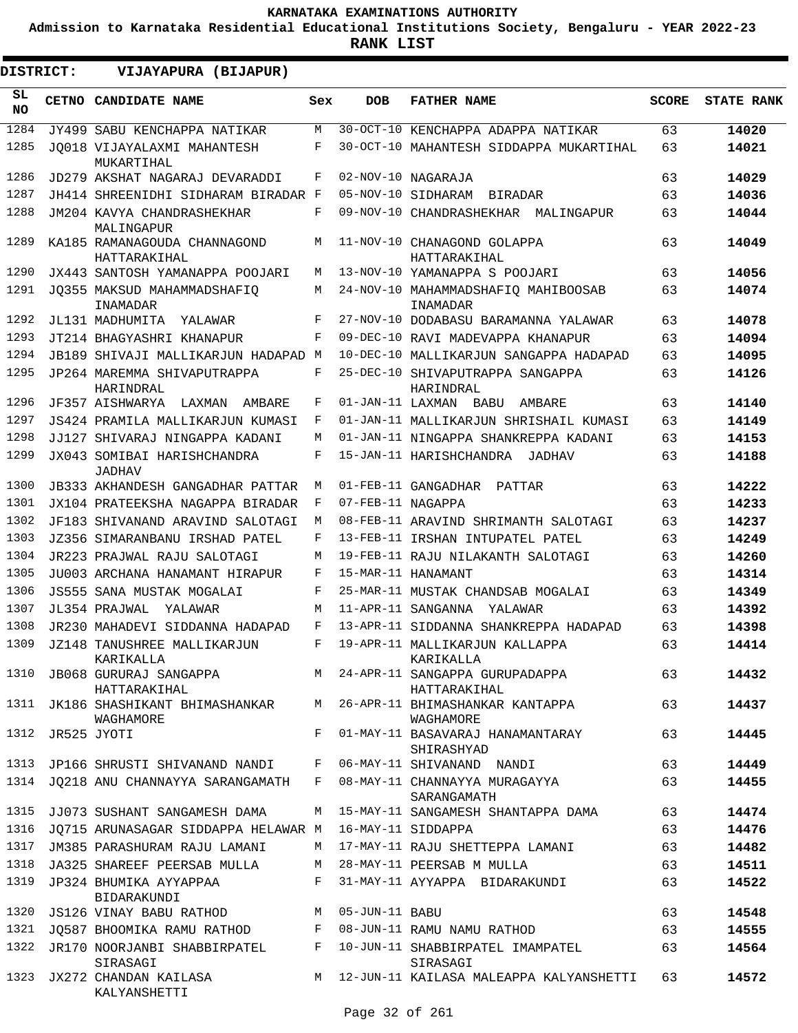**Admission to Karnataka Residential Educational Institutions Society, Bengaluru - YEAR 2022-23**

**RANK LIST**

 $\blacksquare$ 

| <b>DISTRICT:</b> |                  | VIJAYAPURA (BIJAPUR)                                         |            |                   |                                                                                        |              |                   |
|------------------|------------------|--------------------------------------------------------------|------------|-------------------|----------------------------------------------------------------------------------------|--------------|-------------------|
| SL<br><b>NO</b>  |                  | CETNO CANDIDATE NAME                                         | Sex        | <b>DOB</b>        | <b>FATHER NAME</b>                                                                     | <b>SCORE</b> | <b>STATE RANK</b> |
| 1284             |                  | JY499 SABU KENCHAPPA NATIKAR                                 | М          |                   | 30-OCT-10 KENCHAPPA ADAPPA NATIKAR                                                     | 63           | 14020             |
| 1285             |                  | JO018 VIJAYALAXMI MAHANTESH<br>MUKARTIHAL                    | F          |                   | 30-OCT-10 MAHANTESH SIDDAPPA MUKARTIHAL                                                | 63           | 14021             |
| 1286             |                  | JD279 AKSHAT NAGARAJ DEVARADDI                               | F          |                   | 02-NOV-10 NAGARAJA                                                                     | 63           | 14029             |
| 1287             |                  | JH414 SHREENIDHI SIDHARAM BIRADAR F                          |            |                   | 05-NOV-10 SIDHARAM BIRADAR                                                             | 63           | 14036             |
| 1288             |                  | JM204 KAVYA CHANDRASHEKHAR<br>MALINGAPUR                     | F          |                   | 09-NOV-10 CHANDRASHEKHAR MALINGAPUR                                                    | 63           | 14044             |
| 1289             |                  | KA185 RAMANAGOUDA CHANNAGOND<br>HATTARAKIHAL                 | М          |                   | 11-NOV-10 CHANAGOND GOLAPPA<br>HATTARAKIHAL                                            | 63           | 14049             |
| 1290             |                  | JX443 SANTOSH YAMANAPPA POOJARI                              | М          |                   | 13-NOV-10 YAMANAPPA S POOJARI                                                          | 63           | 14056             |
| 1291             |                  | JO355 MAKSUD MAHAMMADSHAFIO<br>INAMADAR                      | М          |                   | 24-NOV-10 MAHAMMADSHAFIQ MAHIBOOSAB<br>INAMADAR                                        | 63           | 14074             |
| 1292             |                  | JL131 MADHUMITA<br>YALAWAR                                   | $_{\rm F}$ |                   | 27-NOV-10 DODABASU BARAMANNA YALAWAR                                                   | 63           | 14078             |
| 1293             |                  | JT214 BHAGYASHRI KHANAPUR                                    | F          |                   | 09-DEC-10 RAVI MADEVAPPA KHANAPUR                                                      | 63           | 14094             |
| 1294             |                  | JB189 SHIVAJI MALLIKARJUN HADAPAD M                          |            |                   | 10-DEC-10 MALLIKARJUN SANGAPPA HADAPAD                                                 | 63           | 14095             |
| 1295             |                  | JP264 MAREMMA SHIVAPUTRAPPA<br>HARINDRAL                     | $_{\rm F}$ |                   | 25-DEC-10 SHIVAPUTRAPPA SANGAPPA<br>HARINDRAL                                          | 63           | 14126             |
| 1296             |                  | JF357 AISHWARYA LAXMAN<br>AMBARE                             | F          |                   | 01-JAN-11 LAXMAN BABU AMBARE                                                           | 63           | 14140             |
| 1297             |                  | JS424 PRAMILA MALLIKARJUN KUMASI                             | F          |                   | 01-JAN-11 MALLIKARJUN SHRISHAIL KUMASI                                                 | 63           | 14149             |
| 1298             |                  | JJ127 SHIVARAJ NINGAPPA KADANI                               | М          |                   | 01-JAN-11 NINGAPPA SHANKREPPA KADANI                                                   | 63           | 14153             |
| 1299             |                  | JX043 SOMIBAI HARISHCHANDRA<br><b>JADHAV</b>                 | F          |                   | 15-JAN-11 HARISHCHANDRA JADHAV                                                         | 63           | 14188             |
| 1300             |                  | JB333 AKHANDESH GANGADHAR PATTAR                             | M          |                   | 01-FEB-11 GANGADHAR PATTAR                                                             | 63           | 14222             |
| 1301             |                  | JX104 PRATEEKSHA NAGAPPA BIRADAR                             | F          | 07-FEB-11 NAGAPPA |                                                                                        | 63           | 14233             |
| 1302             |                  | JF183 SHIVANAND ARAVIND SALOTAGI                             | M          |                   | 08-FEB-11 ARAVIND SHRIMANTH SALOTAGI                                                   | 63           | 14237             |
| 1303             |                  | JZ356 SIMARANBANU IRSHAD PATEL                               | F          |                   | 13-FEB-11 IRSHAN INTUPATEL PATEL                                                       | 63           | 14249             |
| 1304             |                  | JR223 PRAJWAL RAJU SALOTAGI                                  | М          |                   | 19-FEB-11 RAJU NILAKANTH SALOTAGI                                                      | 63           | 14260             |
| 1305             |                  | JU003 ARCHANA HANAMANT HIRAPUR                               | F          |                   | 15-MAR-11 HANAMANT                                                                     | 63           | 14314             |
| 1306             |                  | JS555 SANA MUSTAK MOGALAI                                    | F          |                   | 25-MAR-11 MUSTAK CHANDSAB MOGALAI                                                      | 63           | 14349             |
| 1307             |                  | JL354 PRAJWAL<br>YALAWAR                                     | M          |                   | 11-APR-11 SANGANNA YALAWAR                                                             | 63           | 14392             |
| 1308             |                  | JR230 MAHADEVI SIDDANNA HADAPAD                              | F          |                   | 13-APR-11 SIDDANNA SHANKREPPA HADAPAD                                                  | 63           | 14398             |
| 1309             |                  | JZ148 TANUSHREE MALLIKARJUN<br>KARIKALLA                     | F          |                   | 19-APR-11 MALLIKARJUN KALLAPPA<br>KARIKALLA                                            | 63           | 14414             |
|                  |                  | HATTARAKIHAL                                                 |            |                   | 1310 JB068 GURURAJ SANGAPPA M 24-APR-11 SANGAPPA GURUPADAPPA<br>HATTARAKIHAL           | 63           | 14432             |
|                  |                  | WAGHAMORE                                                    |            |                   | 1311 JK186 SHASHIKANT BHIMASHANKAR M 26-APR-11 BHIMASHANKAR KANTAPPA 63<br>WAGHAMORE   |              | 14437             |
|                  | 1312 JR525 JYOTI |                                                              |            |                   | F 01-MAY-11 BASAVARAJ HANAMANTARAY 63<br>SHIRASHYAD                                    |              | 14445             |
|                  |                  |                                                              |            |                   | 1313 JP166 SHRUSTI SHIVANAND NANDI F 06-MAY-11 SHIVANAND NANDI                         | 63           | 14449             |
|                  |                  |                                                              |            |                   | 1314 JQ218 ANU CHANNAYYA SARANGAMATH F 08-MAY-11 CHANNAYYA MURAGAYYA 63<br>SARANGAMATH |              | 14455             |
|                  |                  | 1315 JJ073 SUSHANT SANGAMESH DAMA                            |            |                   | M 15-MAY-11 SANGAMESH SHANTAPPA DAMA 63                                                |              | 14474             |
|                  |                  | 1316 JQ715 ARUNASAGAR SIDDAPPA HELAWAR M 16-MAY-11 SIDDAPPA  |            |                   |                                                                                        | 63           | 14476             |
|                  |                  |                                                              |            |                   | 1317 JM385 PARASHURAM RAJU LAMANI M 17-MAY-11 RAJU SHETTEPPA LAMANI                    | 63           | 14482             |
|                  |                  | 1318 JA325 SHAREEF PEERSAB MULLA M 28-MAY-11 PEERSAB M MULLA |            |                   |                                                                                        | 63           | 14511             |
|                  |                  | BIDARAKUNDI                                                  |            |                   | 1319 JP324 BHUMIKA AYYAPPAA $F$ 31-MAY-11 AYYAPPA BIDARAKUNDI                          | 63           | 14522             |
|                  |                  | 1320 JS126 VINAY BABU RATHOD M 05-JUN-11 BABU                |            |                   |                                                                                        | 63           | 14548             |
|                  |                  |                                                              |            |                   | 1321 JQ587 BHOOMIKA RAMU RATHOD F 08-JUN-11 RAMU NAMU RATHOD                           | 63           | 14555             |
|                  |                  | SIRASAGI                                                     |            |                   | 1322 JR170 NOORJANBI SHABBIRPATEL F 10-JUN-11 SHABBIRPATEL IMAMPATEL 63<br>SIRASAGI    |              | 14564             |
|                  |                  | 1323 JX272 CHANDAN KAILASA<br>KALYANSHETTI                   |            |                   | M 12-JUN-11 KAILASA MALEAPPA KALYANSHETTI 63                                           |              | 14572             |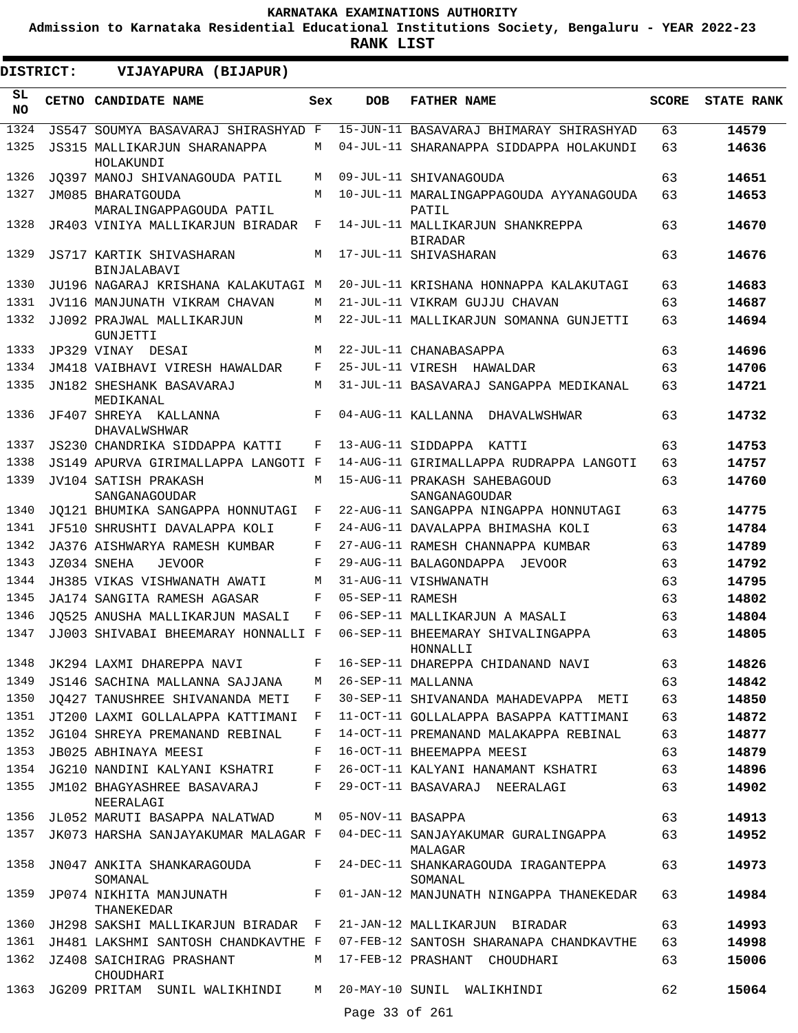**Admission to Karnataka Residential Educational Institutions Society, Bengaluru - YEAR 2022-23**

**RANK LIST**

.

 $\blacksquare$ 

| DISTRICT: | VIJAYAPURA (BIJAPUR)                                             |              |                  |                                                                    |              |                   |
|-----------|------------------------------------------------------------------|--------------|------------------|--------------------------------------------------------------------|--------------|-------------------|
| SL<br>NO. | CETNO CANDIDATE NAME                                             | Sex          | <b>DOB</b>       | <b>FATHER NAME</b>                                                 | <b>SCORE</b> | <b>STATE RANK</b> |
| 1324      | JS547 SOUMYA BASAVARAJ SHIRASHYAD F                              |              |                  | 15-JUN-11 BASAVARAJ BHIMARAY SHIRASHYAD                            | 63           | 14579             |
| 1325      | JS315 MALLIKARJUN SHARANAPPA<br>HOLAKUNDI                        | М            |                  | 04-JUL-11 SHARANAPPA SIDDAPPA HOLAKUNDI                            | 63           | 14636             |
| 1326      | JO397 MANOJ SHIVANAGOUDA PATIL                                   | M            |                  | 09-JUL-11 SHIVANAGOUDA                                             | 63           | 14651             |
| 1327      | JM085 BHARATGOUDA<br>MARALINGAPPAGOUDA PATIL                     | M            |                  | 10-JUL-11 MARALINGAPPAGOUDA AYYANAGOUDA<br>PATIL                   | 63           | 14653             |
| 1328      | JR403 VINIYA MALLIKARJUN BIRADAR                                 | $\mathbf{F}$ |                  | 14-JUL-11 MALLIKARJUN SHANKREPPA<br><b>BIRADAR</b>                 | 63           | 14670             |
| 1329      | JS717 KARTIK SHIVASHARAN<br><b>BINJALABAVI</b>                   | M            |                  | 17-JUL-11 SHIVASHARAN                                              | 63           | 14676             |
| 1330      | JU196 NAGARAJ KRISHANA KALAKUTAGI M                              |              |                  | 20-JUL-11 KRISHANA HONNAPPA KALAKUTAGI                             | 63           | 14683             |
| 1331      | JV116 MANJUNATH VIKRAM CHAVAN                                    | M            |                  | 21-JUL-11 VIKRAM GUJJU CHAVAN                                      | 63           | 14687             |
| 1332      | JJ092 PRAJWAL MALLIKARJUN<br>GUNJETTI                            | М            |                  | 22-JUL-11 MALLIKARJUN SOMANNA GUNJETTI                             | 63           | 14694             |
| 1333      | JP329 VINAY DESAI                                                | M            |                  | 22-JUL-11 CHANABASAPPA                                             | 63           | 14696             |
| 1334      | JM418 VAIBHAVI VIRESH HAWALDAR                                   | F            |                  | 25-JUL-11 VIRESH HAWALDAR                                          | 63           | 14706             |
| 1335      | JN182 SHESHANK BASAVARAJ<br>MEDIKANAL                            | M            |                  | 31-JUL-11 BASAVARAJ SANGAPPA MEDIKANAL                             | 63           | 14721             |
| 1336      | JF407 SHREYA KALLANNA<br>DHAVALWSHWAR                            | $_{\rm F}$   |                  | 04-AUG-11 KALLANNA<br>DHAVALWSHWAR                                 | 63           | 14732             |
| 1337      | JS230 CHANDRIKA SIDDAPPA KATTI                                   | F            |                  | 13-AUG-11 SIDDAPPA KATTI                                           | 63           | 14753             |
| 1338      | JS149 APURVA GIRIMALLAPPA LANGOTI F                              |              |                  | 14-AUG-11 GIRIMALLAPPA RUDRAPPA LANGOTI                            | 63           | 14757             |
| 1339      | <b>JV104 SATISH PRAKASH</b><br>SANGANAGOUDAR                     | M            |                  | 15-AUG-11 PRAKASH SAHEBAGOUD<br>SANGANAGOUDAR                      | 63           | 14760             |
| 1340      | JO121 BHUMIKA SANGAPPA HONNUTAGI                                 | F            |                  | 22-AUG-11 SANGAPPA NINGAPPA HONNUTAGI                              | 63           | 14775             |
| 1341      | JF510 SHRUSHTI DAVALAPPA KOLI                                    | F            |                  | 24-AUG-11 DAVALAPPA BHIMASHA KOLI                                  | 63           | 14784             |
| 1342      | JA376 AISHWARYA RAMESH KUMBAR                                    | F            |                  | 27-AUG-11 RAMESH CHANNAPPA KUMBAR                                  | 63           | 14789             |
| 1343      | JZ034 SNEHA<br><b>JEVOOR</b>                                     | F            |                  | 29-AUG-11 BALAGONDAPPA JEVOOR                                      | 63           | 14792             |
| 1344      | JH385 VIKAS VISHWANATH AWATI                                     | M            |                  | 31-AUG-11 VISHWANATH                                               | 63           | 14795             |
| 1345      | JA174 SANGITA RAMESH AGASAR                                      | F            | 05-SEP-11 RAMESH |                                                                    | 63           | 14802             |
| 1346      | JO525 ANUSHA MALLIKARJUN MASALI                                  | F            |                  | 06-SEP-11 MALLIKARJUN A MASALI                                     | 63           | 14804             |
| 1347      | JJ003 SHIVABAI BHEEMARAY HONNALLI F                              |              |                  | 06-SEP-11 BHEEMARAY SHIVALINGAPPA<br>HONNALLI                      | 63           | 14805             |
|           |                                                                  |              |                  | 1348 JK294 LAXMI DHAREPPA NAVI F 16-SEP-11 DHAREPPA CHIDANAND NAVI | 63           | 14826             |
| 1349      | JS146 SACHINA MALLANNA SAJJANA M 26-SEP-11 MALLANNA              |              |                  |                                                                    | 63           | 14842             |
| 1350      | JO427 TANUSHREE SHIVANANDA METI                                  | F            |                  | 30-SEP-11 SHIVANANDA MAHADEVAPPA METI                              | 63           | 14850             |
| 1351      | JT200 LAXMI GOLLALAPPA KATTIMANI F                               |              |                  | 11-OCT-11 GOLLALAPPA BASAPPA KATTIMANI                             | 63           | 14872             |
| 1352      | JG104 SHREYA PREMANAND REBINAL                                   | F            |                  | 14-OCT-11 PREMANAND MALAKAPPA REBINAL                              | 63           | 14877             |
| 1353      | JB025 ABHINAYA MEESI                                             | F            |                  | 16-OCT-11 BHEEMAPPA MEESI                                          | 63           | 14879             |
| 1354      | JG210 NANDINI KALYANI KSHATRI F                                  |              |                  | 26-OCT-11 KALYANI HANAMANT KSHATRI                                 | 63           | 14896             |
| 1355      | JM102 BHAGYASHREE BASAVARAJ F<br>NEERALAGI                       |              |                  | 29-OCT-11 BASAVARAJ NEERALAGI                                      | 63           | 14902             |
| 1356      | JL052 MARUTI BASAPPA NALATWAD M 05-NOV-11 BASAPPA                |              |                  |                                                                    | 63           | 14913             |
| 1357      | JK073 HARSHA SANJAYAKUMAR MALAGAR F                              |              |                  | 04-DEC-11 SANJAYAKUMAR GURALINGAPPA<br>MALAGAR                     | 63           | 14952             |
| 1358      | JN047 ANKITA SHANKARAGOUDA<br>SOMANAL                            |              |                  | F 24-DEC-11 SHANKARAGOUDA IRAGANTEPPA<br>SOMANAL                   | 63           | 14973             |
| 1359      | THANEKEDAR                                                       |              |                  | JP074 NIKHITA MANJUNATH F 01-JAN-12 MANJUNATH NINGAPPA THANEKEDAR  | 63           | 14984             |
| 1360      | JH298 SAKSHI MALLIKARJUN BIRADAR F 21-JAN-12 MALLIKARJUN BIRADAR |              |                  |                                                                    | 63           | 14993             |
| 1361      | JH481 LAKSHMI SANTOSH CHANDKAVTHE F                              |              |                  | 07-FEB-12 SANTOSH SHARANAPA CHANDKAVTHE                            | 63           | 14998             |
| 1362      | JZ408 SAICHIRAG PRASHANT<br>CHOUDHARI                            |              |                  | M 17-FEB-12 PRASHANT CHOUDHARI                                     | 63           | 15006             |
| 1363      | JG209 PRITAM SUNIL WALIKHINDI                                    | M            |                  | 20-MAY-10 SUNIL WALIKHINDI                                         | 62           | 15064             |
|           |                                                                  |              | Page 33 of 261   |                                                                    |              |                   |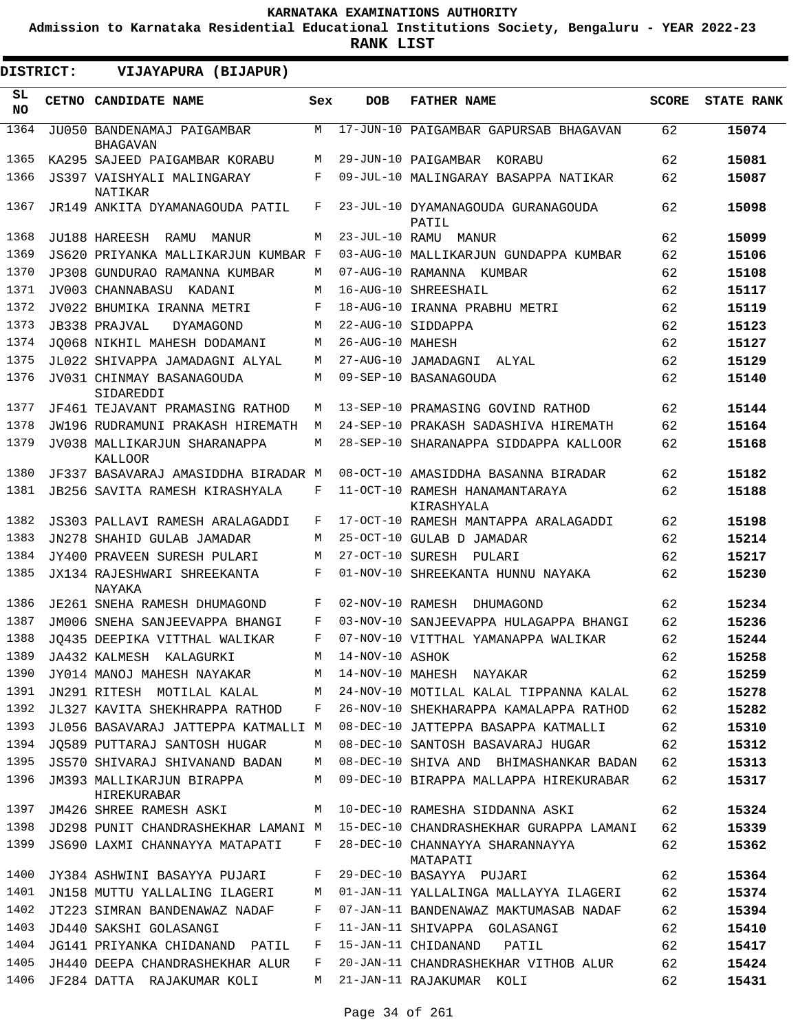**Admission to Karnataka Residential Educational Institutions Society, Bengaluru - YEAR 2022-23**

**RANK LIST**

| <b>DISTRICT:</b> | VIJAYAPURA (BIJAPUR)                                           |       |                        |                                                                             |              |                   |
|------------------|----------------------------------------------------------------|-------|------------------------|-----------------------------------------------------------------------------|--------------|-------------------|
| SL.<br><b>NO</b> | CETNO CANDIDATE NAME                                           | Sex   | <b>DOB</b>             | <b>FATHER NAME</b>                                                          | <b>SCORE</b> | <b>STATE RANK</b> |
| 1364             | JU050 BANDENAMAJ PAIGAMBAR<br><b>BHAGAVAN</b>                  | M     |                        | 17-JUN-10 PAIGAMBAR GAPURSAB BHAGAVAN                                       | 62           | 15074             |
| 1365             | KA295 SAJEED PAIGAMBAR KORABU                                  | M     |                        | 29-JUN-10 PAIGAMBAR KORABU                                                  | 62           | 15081             |
| 1366             | JS397 VAISHYALI MALINGARAY<br><b>NATIKAR</b>                   | F     |                        | 09-JUL-10 MALINGARAY BASAPPA NATIKAR                                        | 62           | 15087             |
| 1367             | JR149 ANKITA DYAMANAGOUDA PATIL                                | F     |                        | 23-JUL-10 DYAMANAGOUDA GURANAGOUDA<br>PATIL                                 | 62           | 15098             |
| 1368             | JU188 HAREESH<br>RAMU<br>MANUR                                 | М     | 23-JUL-10 RAMU         | MANUR                                                                       | 62           | 15099             |
| 1369             | JS620 PRIYANKA MALLIKARJUN KUMBAR F                            |       |                        | 03-AUG-10 MALLIKARJUN GUNDAPPA KUMBAR                                       | 62           | 15106             |
| 1370             | JP308 GUNDURAO RAMANNA KUMBAR                                  | М     |                        | 07-AUG-10 RAMANNA KUMBAR                                                    | 62           | 15108             |
| 1371             | JV003 CHANNABASU<br>KADANI                                     | М     | $16 - \text{AUG} - 10$ | SHREESHAIL                                                                  | 62           | 15117             |
| 1372             | JV022 BHUMIKA IRANNA METRI                                     | F     |                        | 18-AUG-10 IRANNA PRABHU METRI                                               | 62           | 15119             |
| 1373             | JB338 PRAJVAL<br>DYAMAGOND                                     | М     |                        | 22-AUG-10 SIDDAPPA                                                          | 62           | 15123             |
| 1374             | JO068 NIKHIL MAHESH DODAMANI                                   | М     | 26-AUG-10 MAHESH       |                                                                             | 62           | 15127             |
| 1375             | JL022 SHIVAPPA JAMADAGNI ALYAL                                 | М     | $27 - \text{AUG} - 10$ | JAMADAGNI<br>ALYAL                                                          | 62           | 15129             |
| 1376             | JV031 CHINMAY BASANAGOUDA<br>SIDAREDDI                         | М     |                        | 09-SEP-10 BASANAGOUDA                                                       | 62           | 15140             |
| 1377             | JF461 TEJAVANT PRAMASING RATHOD                                | М     |                        | 13-SEP-10 PRAMASING GOVIND RATHOD                                           | 62           | 15144             |
| 1378             | JW196 RUDRAMUNI PRAKASH HIREMATH                               | M     |                        | 24-SEP-10 PRAKASH SADASHIVA HIREMATH                                        | 62           | 15164             |
| 1379             | JV038 MALLIKARJUN SHARANAPPA<br><b>KALLOOR</b>                 | М     |                        | 28-SEP-10 SHARANAPPA SIDDAPPA KALLOOR                                       | 62           | 15168             |
| 1380             | JF337 BASAVARAJ AMASIDDHA BIRADAR M                            |       |                        | 08-OCT-10 AMASIDDHA BASANNA BIRADAR                                         | 62           | 15182             |
| 1381             | JB256 SAVITA RAMESH KIRASHYALA                                 | F     |                        | 11-OCT-10 RAMESH HANAMANTARAYA<br>KIRASHYALA                                | 62           | 15188             |
| 1382             | JS303 PALLAVI RAMESH ARALAGADDI                                | F     |                        | 17-OCT-10 RAMESH MANTAPPA ARALAGADDI                                        | 62           | 15198             |
| 1383             | JN278 SHAHID GULAB JAMADAR                                     | М     |                        | 25-OCT-10 GULAB D JAMADAR                                                   | 62           | 15214             |
| 1384             | JY400 PRAVEEN SURESH PULARI                                    | М     | 27-OCT-10 SURESH       | PULARI                                                                      | 62           | 15217             |
| 1385             | JX134 RAJESHWARI SHREEKANTA<br>NAYAKA                          | F     |                        | 01-NOV-10 SHREEKANTA HUNNU NAYAKA                                           | 62           | 15230             |
| 1386             | JE261 SNEHA RAMESH DHUMAGOND                                   | F     | 02-NOV-10 RAMESH       | DHUMAGOND                                                                   | 62           | 15234             |
| 1387             | JM006 SNEHA SANJEEVAPPA BHANGI                                 | F     |                        | 03-NOV-10 SANJEEVAPPA HULAGAPPA BHANGI                                      | 62           | 15236             |
| 1388             | JQ435 DEEPIKA VITTHAL WALIKAR                                  | F     |                        | 07-NOV-10 VITTHAL YAMANAPPA WALIKAR                                         | 62           | 15244             |
| 1389             | JA432 KALMESH KALAGURKI                                        |       | M 14-NOV-10 ASHOK      |                                                                             | 62           | 15258             |
| 1390             | JY014 MANOJ MAHESH NAYAKAR M 14-NOV-10 MAHESH NAYAKAR          |       |                        |                                                                             | 62           | 15259             |
| 1391             |                                                                |       |                        | JN291 RITESH MOTILAL KALAL M 24-NOV-10 MOTILAL KALAL TIPPANNA KALAL         | 62           | 15278             |
| 1392             | JL327 KAVITA SHEKHRAPPA RATHOD F                               |       |                        | 26-NOV-10 SHEKHARAPPA KAMALAPPA RATHOD                                      | 62           | 15282             |
| 1393             | JL056 BASAVARAJ JATTEPPA KATMALLI M                            |       |                        | 08-DEC-10 JATTEPPA BASAPPA KATMALLI                                         | 62           | 15310             |
| 1394             | JO589 PUTTARAJ SANTOSH HUGAR                                   | M     |                        | 08-DEC-10 SANTOSH BASAVARAJ HUGAR                                           | 62           | 15312             |
| 1395             |                                                                |       |                        | JS570 SHIVARAJ SHIVANAND BADAN M 08-DEC-10 SHIVA AND BHIMASHANKAR BADAN     | 62           | 15313             |
| 1396             | JM393 MALLIKARJUN BIRAPPA<br>HIREKURABAR                       | M     |                        | 09-DEC-10 BIRAPPA MALLAPPA HIREKURABAR                                      | 62           | 15317             |
|                  | 1397 JM426 SHREE RAMESH ASKI M 10-DEC-10 RAMESHA SIDDANNA ASKI |       |                        |                                                                             | 62           | 15324             |
| 1398             |                                                                |       |                        | JD298 PUNIT CHANDRASHEKHAR LAMANI M 15-DEC-10 CHANDRASHEKHAR GURAPPA LAMANI | 62           | 15339             |
| 1399             | JS690 LAXMI CHANNAYYA MATAPATI                                 | $F$ – |                        | 28-DEC-10 CHANNAYYA SHARANNAYYA<br>MATAPATI                                 | 62           | 15362             |
| 1400             | JY384 ASHWINI BASAYYA PUJARI                                   | F     |                        | 29-DEC-10 BASAYYA PUJARI                                                    | 62           | 15364             |
| 1401             | JN158 MUTTU YALLALING ILAGERI                                  | M     |                        | 01-JAN-11 YALLALINGA MALLAYYA ILAGERI                                       | 62           | 15374             |
| 1402             | JT223 SIMRAN BANDENAWAZ NADAF                                  | F     |                        | 07-JAN-11 BANDENAWAZ MAKTUMASAB NADAF                                       | 62           | 15394             |
| 1403             | JD440 SAKSHI GOLASANGI                                         | F     |                        | 11-JAN-11 SHIVAPPA GOLASANGI                                                | 62           | 15410             |
| 1404             | JG141 PRIYANKA CHIDANAND PATIL                                 | F     |                        | 15-JAN-11 CHIDANAND<br><b>PATIL</b>                                         | 62           | 15417             |
| 1405             | JH440 DEEPA CHANDRASHEKHAR ALUR                                | F     |                        | 20-JAN-11 CHANDRASHEKHAR VITHOB ALUR                                        | 62           | 15424             |
| 1406             | JF284 DATTA RAJAKUMAR KOLI                                     | M     |                        | 21-JAN-11 RAJAKUMAR KOLI                                                    | 62           | 15431             |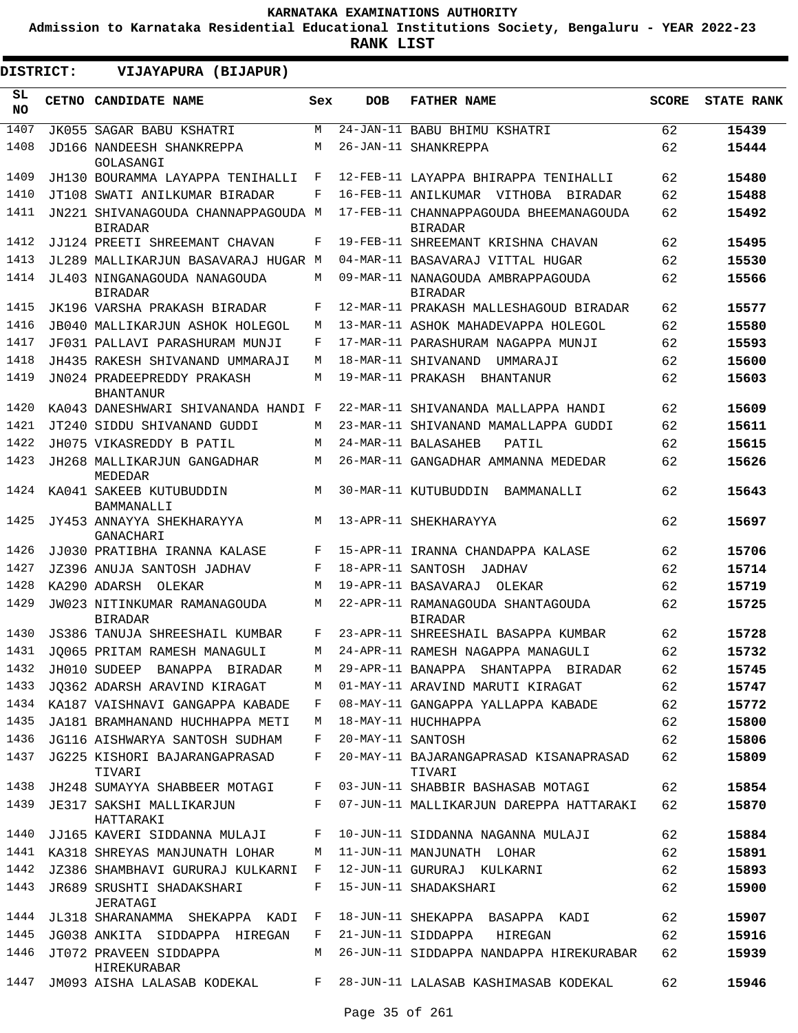**Admission to Karnataka Residential Educational Institutions Society, Bengaluru - YEAR 2022-23**

| DISTRICT:        | VIJAYAPURA (BIJAPUR)                                  |              |                   |                                                          |              |                   |
|------------------|-------------------------------------------------------|--------------|-------------------|----------------------------------------------------------|--------------|-------------------|
| SL.<br><b>NO</b> | CETNO CANDIDATE NAME                                  | Sex          | <b>DOB</b>        | <b>FATHER NAME</b>                                       | <b>SCORE</b> | <b>STATE RANK</b> |
| 1407             | JK055 SAGAR BABU KSHATRI                              | M            |                   | 24-JAN-11 BABU BHIMU KSHATRI                             | 62           | 15439             |
| 1408             | JD166 NANDEESH SHANKREPPA<br>GOLASANGI                | M            |                   | 26-JAN-11 SHANKREPPA                                     | 62           | 15444             |
| 1409             | JH130 BOURAMMA LAYAPPA TENIHALLI                      | F            |                   | 12-FEB-11 LAYAPPA BHIRAPPA TENIHALLI                     | 62           | 15480             |
| 1410             | JT108 SWATI ANILKUMAR BIRADAR                         | F            |                   | 16-FEB-11 ANILKUMAR VITHOBA<br>BIRADAR                   | 62           | 15488             |
| 1411             | JN221 SHIVANAGOUDA CHANNAPPAGOUDA M<br><b>BIRADAR</b> |              |                   | 17-FEB-11 CHANNAPPAGOUDA BHEEMANAGOUDA<br><b>BIRADAR</b> | 62           | 15492             |
| 1412             | JJ124 PREETI SHREEMANT CHAVAN                         | F            |                   | 19-FEB-11 SHREEMANT KRISHNA CHAVAN                       | 62           | 15495             |
| 1413             | JL289 MALLIKARJUN BASAVARAJ HUGAR M                   |              |                   | 04-MAR-11 BASAVARAJ VITTAL HUGAR                         | 62           | 15530             |
| 1414             | JL403 NINGANAGOUDA NANAGOUDA<br><b>BIRADAR</b>        | М            |                   | 09-MAR-11 NANAGOUDA AMBRAPPAGOUDA<br><b>BIRADAR</b>      | 62           | 15566             |
| 1415             | JK196 VARSHA PRAKASH BIRADAR                          | F            |                   | 12-MAR-11 PRAKASH MALLESHAGOUD BIRADAR                   | 62           | 15577             |
| 1416             | JB040 MALLIKARJUN ASHOK HOLEGOL                       | М            |                   | 13-MAR-11 ASHOK MAHADEVAPPA HOLEGOL                      | 62           | 15580             |
| 1417             | JF031 PALLAVI PARASHURAM MUNJI                        | F            |                   | 17-MAR-11 PARASHURAM NAGAPPA MUNJI                       | 62           | 15593             |
| 1418             | JH435 RAKESH SHIVANAND UMMARAJI                       | M            |                   | 18-MAR-11 SHIVANAND<br>UMMARAJI                          | 62           | 15600             |
| 1419             | JN024 PRADEEPREDDY PRAKASH<br><b>BHANTANUR</b>        | М            |                   | 19-MAR-11 PRAKASH BHANTANUR                              | 62           | 15603             |
| 1420             | KA043 DANESHWARI SHIVANANDA HANDI F                   |              |                   | 22-MAR-11 SHIVANANDA MALLAPPA HANDI                      | 62           | 15609             |
| 1421             | JT240 SIDDU SHIVANAND GUDDI                           | М            |                   | 23-MAR-11 SHIVANAND MAMALLAPPA GUDDI                     | 62           | 15611             |
| 1422             | JH075 VIKASREDDY B PATIL                              | М            |                   | 24-MAR-11 BALASAHEB<br>PATIL                             | 62           | 15615             |
| 1423             | JH268 MALLIKARJUN GANGADHAR<br>MEDEDAR                | М            |                   | 26-MAR-11 GANGADHAR AMMANNA MEDEDAR                      | 62           | 15626             |
| 1424             | KA041 SAKEEB KUTUBUDDIN<br>BAMMANALLI                 | М            |                   | 30-MAR-11 KUTUBUDDIN<br>BAMMANALLI                       | 62           | 15643             |
| 1425             | JY453 ANNAYYA SHEKHARAYYA<br>GANACHARI                | М            |                   | 13-APR-11 SHEKHARAYYA                                    | 62           | 15697             |
| 1426             | JJ030 PRATIBHA IRANNA KALASE                          | F            |                   | 15-APR-11 IRANNA CHANDAPPA KALASE                        | 62           | 15706             |
| 1427             | JZ396 ANUJA SANTOSH JADHAV                            | F            | 18-APR-11 SANTOSH | JADHAV                                                   | 62           | 15714             |
| 1428             | KA290 ADARSH OLEKAR                                   | M            |                   | 19-APR-11 BASAVARAJ<br>OLEKAR                            | 62           | 15719             |
| 1429             | JW023 NITINKUMAR RAMANAGOUDA<br><b>BIRADAR</b>        | М            |                   | 22-APR-11 RAMANAGOUDA SHANTAGOUDA<br><b>BIRADAR</b>      | 62           | 15725             |
| 1430             | JS386 TANUJA SHREESHAIL KUMBAR                        | F            |                   | 23-APR-11 SHREESHAIL BASAPPA KUMBAR                      | 62           | 15728             |
|                  | 1431 JQ065 PRITAM RAMESH MANAGULI                     | M            |                   | 24-APR-11 RAMESH NAGAPPA MANAGULI                        | 62           | 15732             |
| 1432             | JH010 SUDEEP BANAPPA BIRADAR                          | М            |                   | 29-APR-11 BANAPPA SHANTAPPA BIRADAR                      | 62           | 15745             |
| 1433             | JQ362 ADARSH ARAVIND KIRAGAT                          | М            |                   | 01-MAY-11 ARAVIND MARUTI KIRAGAT                         | 62           | 15747             |
| 1434             | KA187 VAISHNAVI GANGAPPA KABADE                       | F            |                   | 08-MAY-11 GANGAPPA YALLAPPA KABADE                       | 62           | 15772             |
| 1435             | JA181 BRAMHANAND HUCHHAPPA METI                       | М            |                   | 18-MAY-11 HUCHHAPPA                                      | 62           | 15800             |
| 1436             | JG116 AISHWARYA SANTOSH SUDHAM                        | F            | 20-MAY-11 SANTOSH |                                                          | 62           | 15806             |
| 1437             | JG225 KISHORI BAJARANGAPRASAD<br>TIVARI               | F            |                   | 20-MAY-11 BAJARANGAPRASAD KISANAPRASAD<br>TIVARI         | 62           | 15809             |
| 1438             | JH248 SUMAYYA SHABBEER MOTAGI                         | F            |                   | 03-JUN-11 SHABBIR BASHASAB MOTAGI                        | 62           | 15854             |
| 1439             | JE317 SAKSHI MALLIKARJUN<br>HATTARAKI                 | F            |                   | 07-JUN-11 MALLIKARJUN DAREPPA HATTARAKI                  | 62           | 15870             |
| 1440             | JJ165 KAVERI SIDDANNA MULAJI                          | F            |                   | 10-JUN-11 SIDDANNA NAGANNA MULAJI                        | 62           | 15884             |
| 1441             | KA318 SHREYAS MANJUNATH LOHAR                         | М            |                   | 11-JUN-11 MANJUNATH LOHAR                                | 62           | 15891             |
| 1442             | JZ386 SHAMBHAVI GURURAJ KULKARNI                      | F            |                   | 12-JUN-11 GURURAJ KULKARNI                               | 62           | 15893             |
| 1443             | JR689 SRUSHTI SHADAKSHARI<br>JERATAGI                 | F            |                   | 15-JUN-11 SHADAKSHARI                                    | 62           | 15900             |
| 1444             | JL318 SHARANAMMA SHEKAPPA KADI                        | $\mathbf{F}$ |                   | 18-JUN-11 SHEKAPPA BASAPPA KADI                          | 62           | 15907             |
| 1445             | JG038 ANKITA SIDDAPPA HIREGAN                         | F            |                   | 21-JUN-11 SIDDAPPA HIREGAN                               | 62           | 15916             |
| 1446             | JT072 PRAVEEN SIDDAPPA<br>HIREKURABAR                 | M            |                   | 26-JUN-11 SIDDAPPA NANDAPPA HIREKURABAR                  | 62           | 15939             |
| 1447             | JM093 AISHA LALASAB KODEKAL                           | F            |                   | 28-JUN-11 LALASAB KASHIMASAB KODEKAL                     | 62           | 15946             |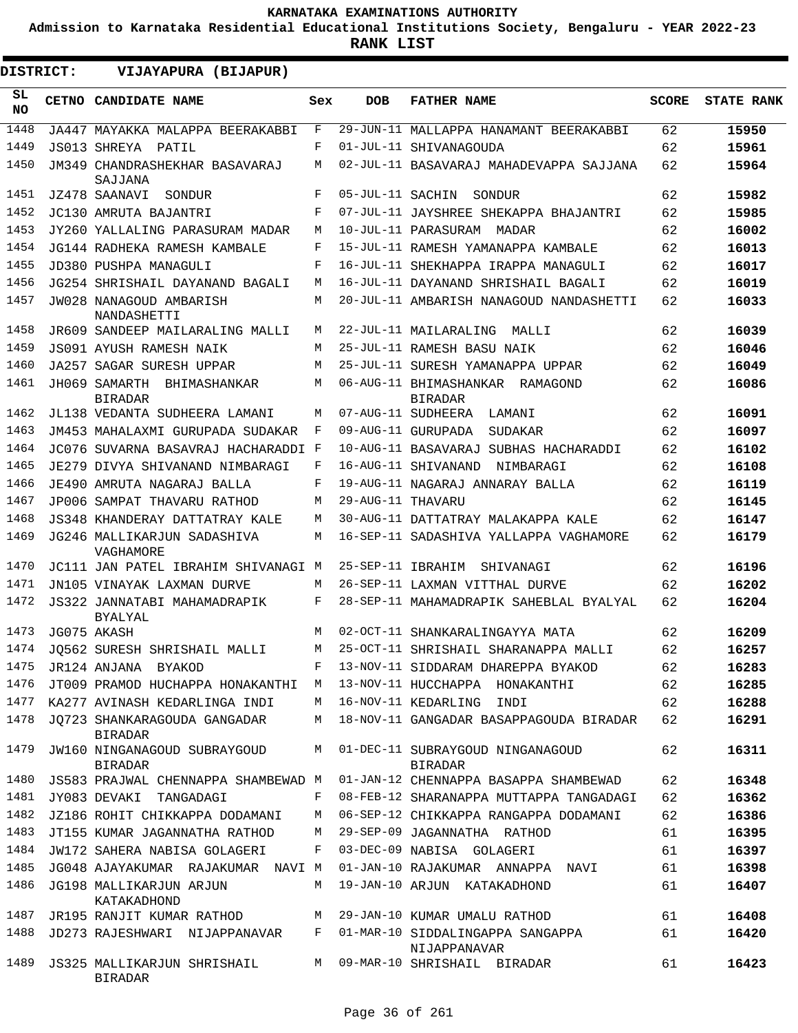**Admission to Karnataka Residential Educational Institutions Society, Bengaluru - YEAR 2022-23**

**RANK LIST**

 $\blacksquare$ 

| DISTRICT: |  | VIJAYAPURA (BIJAPUR)                           |     |                   |                                                   |              |                   |
|-----------|--|------------------------------------------------|-----|-------------------|---------------------------------------------------|--------------|-------------------|
| SL<br>NO. |  | CETNO CANDIDATE NAME                           | Sex | <b>DOB</b>        | <b>FATHER NAME</b>                                | <b>SCORE</b> | <b>STATE RANK</b> |
| 1448      |  | JA447 MAYAKKA MALAPPA BEERAKABBI               | F   |                   | 29-JUN-11 MALLAPPA HANAMANT BEERAKABBI            | 62           | 15950             |
| 1449      |  | JS013 SHREYA PATIL                             | F   |                   | 01-JUL-11 SHIVANAGOUDA                            | 62           | 15961             |
| 1450      |  | JM349 CHANDRASHEKHAR BASAVARAJ<br>SAJJANA      | M   |                   | 02-JUL-11 BASAVARAJ MAHADEVAPPA SAJJANA           | 62           | 15964             |
| 1451      |  | JZ478 SAANAVI<br>SONDUR                        | F   | 05-JUL-11 SACHIN  | SONDUR                                            | 62           | 15982             |
| 1452      |  | JC130 AMRUTA BAJANTRI                          | F   |                   | 07-JUL-11 JAYSHREE SHEKAPPA BHAJANTRI             | 62           | 15985             |
| 1453      |  | JY260 YALLALING PARASURAM MADAR                | M   |                   | 10-JUL-11 PARASURAM MADAR                         | 62           | 16002             |
| 1454      |  | JG144 RADHEKA RAMESH KAMBALE                   | F   |                   | 15-JUL-11 RAMESH YAMANAPPA KAMBALE                | 62           | 16013             |
| 1455      |  | JD380 PUSHPA MANAGULI                          | F   |                   | 16-JUL-11 SHEKHAPPA IRAPPA MANAGULI               | 62           | 16017             |
| 1456      |  | JG254 SHRISHAIL DAYANAND BAGALI                | M   |                   | 16-JUL-11 DAYANAND SHRISHAIL BAGALI               | 62           | 16019             |
| 1457      |  | JW028 NANAGOUD AMBARISH<br>NANDASHETTI         | M   |                   | 20-JUL-11 AMBARISH NANAGOUD NANDASHETTI           | 62           | 16033             |
| 1458      |  | JR609 SANDEEP MAILARALING MALLI                | M   |                   | 22-JUL-11 MAILARALING<br>MALLI                    | 62           | 16039             |
| 1459      |  | JS091 AYUSH RAMESH NAIK                        | M   |                   | 25-JUL-11 RAMESH BASU NAIK                        | 62           | 16046             |
| 1460      |  | JA257 SAGAR SURESH UPPAR                       | M   |                   | 25-JUL-11 SURESH YAMANAPPA UPPAR                  | 62           | 16049             |
| 1461      |  | JH069 SAMARTH BHIMASHANKAR<br><b>BIRADAR</b>   | M   |                   | 06-AUG-11 BHIMASHANKAR RAMAGOND<br><b>BIRADAR</b> | 62           | 16086             |
| 1462      |  | JL138 VEDANTA SUDHEERA LAMANI                  | М   |                   | 07-AUG-11 SUDHEERA<br>LAMANI                      | 62           | 16091             |
| 1463      |  | JM453 MAHALAXMI GURUPADA SUDAKAR               | F   |                   | 09-AUG-11 GURUPADA<br>SUDAKAR                     | 62           | 16097             |
| 1464      |  | JC076 SUVARNA BASAVRAJ HACHARADDI F            |     |                   | 10-AUG-11 BASAVARAJ SUBHAS HACHARADDI             | 62           | 16102             |
| 1465      |  | JE279 DIVYA SHIVANAND NIMBARAGI                | F   |                   | 16-AUG-11 SHIVANAND<br>NIMBARAGI                  | 62           | 16108             |
| 1466      |  | JE490 AMRUTA NAGARAJ BALLA                     | F   |                   | 19-AUG-11 NAGARAJ ANNARAY BALLA                   | 62           | 16119             |
| 1467      |  | JP006 SAMPAT THAVARU RATHOD                    | M   | 29-AUG-11 THAVARU |                                                   | 62           | 16145             |
| 1468      |  | JS348 KHANDERAY DATTATRAY KALE                 | M   |                   | 30-AUG-11 DATTATRAY MALAKAPPA KALE                | 62           | 16147             |
| 1469      |  | JG246 MALLIKARJUN SADASHIVA<br>VAGHAMORE       | M   |                   | 16-SEP-11 SADASHIVA YALLAPPA VAGHAMORE            | 62           | 16179             |
| 1470      |  | JC111 JAN PATEL IBRAHIM SHIVANAGI M            |     | 25-SEP-11 IBRAHIM | SHIVANAGI                                         | 62           | 16196             |
| 1471      |  | JN105 VINAYAK LAXMAN DURVE                     | M   |                   | 26-SEP-11 LAXMAN VITTHAL DURVE                    | 62           | 16202             |
| 1472      |  | JS322 JANNATABI MAHAMADRAPIK<br><b>BYALYAL</b> | F   |                   | 28-SEP-11 MAHAMADRAPIK SAHEBLAL BYALYAL           | 62           | 16204             |
| 1473      |  | JG075 AKASH                                    | M   |                   | 02-OCT-11 SHANKARALINGAYYA MATA                   | 62           | 16209             |
|           |  | 1474 JQ562 SURESH SHRISHAIL MALLI              | M   |                   | 25-OCT-11 SHRISHAIL SHARANAPPA MALLI              | 62           | 16257             |
| 1475      |  | JR124 ANJANA BYAKOD                            | F   |                   | 13-NOV-11 SIDDARAM DHAREPPA BYAKOD                | 62           | 16283             |
| 1476      |  | JT009 PRAMOD HUCHAPPA HONAKANTHI M             |     |                   | 13-NOV-11 HUCCHAPPA HONAKANTHI                    | 62           | 16285             |
| 1477      |  | KA277 AVINASH KEDARLINGA INDI                  | M   |                   | 16-NOV-11 KEDARLING<br>INDI                       | 62           | 16288             |
| 1478      |  | JO723 SHANKARAGOUDA GANGADAR<br><b>BIRADAR</b> | М   |                   | 18-NOV-11 GANGADAR BASAPPAGOUDA BIRADAR           | 62           | 16291             |
| 1479      |  | JW160 NINGANAGOUD SUBRAYGOUD<br><b>BIRADAR</b> | M   |                   | 01-DEC-11 SUBRAYGOUD NINGANAGOUD<br>BIRADAR       | 62           | 16311             |
| 1480      |  | JS583 PRAJWAL CHENNAPPA SHAMBEWAD M            |     |                   | 01-JAN-12 CHENNAPPA BASAPPA SHAMBEWAD             | 62           | 16348             |
| 1481      |  | JY083 DEVAKI TANGADAGI                         | F   |                   | 08-FEB-12 SHARANAPPA MUTTAPPA TANGADAGI           | 62           | 16362             |
| 1482      |  | JZ186 ROHIT CHIKKAPPA DODAMANI                 | М   |                   | 06-SEP-12 CHIKKAPPA RANGAPPA DODAMANI             | 62           | 16386             |
| 1483      |  | JT155 KUMAR JAGANNATHA RATHOD                  | M   |                   | 29-SEP-09 JAGANNATHA RATHOD                       | 61           | 16395             |
| 1484      |  | <b>JW172 SAHERA NABISA GOLAGERI</b>            | F   |                   | 03-DEC-09 NABISA GOLAGERI                         | 61           | 16397             |
| 1485      |  | JG048 AJAYAKUMAR RAJAKUMAR NAVI M              |     |                   | 01-JAN-10 RAJAKUMAR ANNAPPA NAVI                  | 61           | 16398             |
| 1486      |  | JG198 MALLIKARJUN ARJUN<br>KATAKADHOND         | M   |                   | 19-JAN-10 ARJUN KATAKADHOND                       | 61           | 16407             |
| 1487      |  | JR195 RANJIT KUMAR RATHOD                      | М   |                   | 29-JAN-10 KUMAR UMALU RATHOD                      | 61           | 16408             |
| 1488      |  | JD273 RAJESHWARI NIJAPPANAVAR                  | F   |                   | 01-MAR-10 SIDDALINGAPPA SANGAPPA<br>NIJAPPANAVAR  | 61           | 16420             |
| 1489      |  | JS325 MALLIKARJUN SHRISHAIL<br><b>BIRADAR</b>  | M   |                   | 09-MAR-10 SHRISHAIL BIRADAR                       | 61           | 16423             |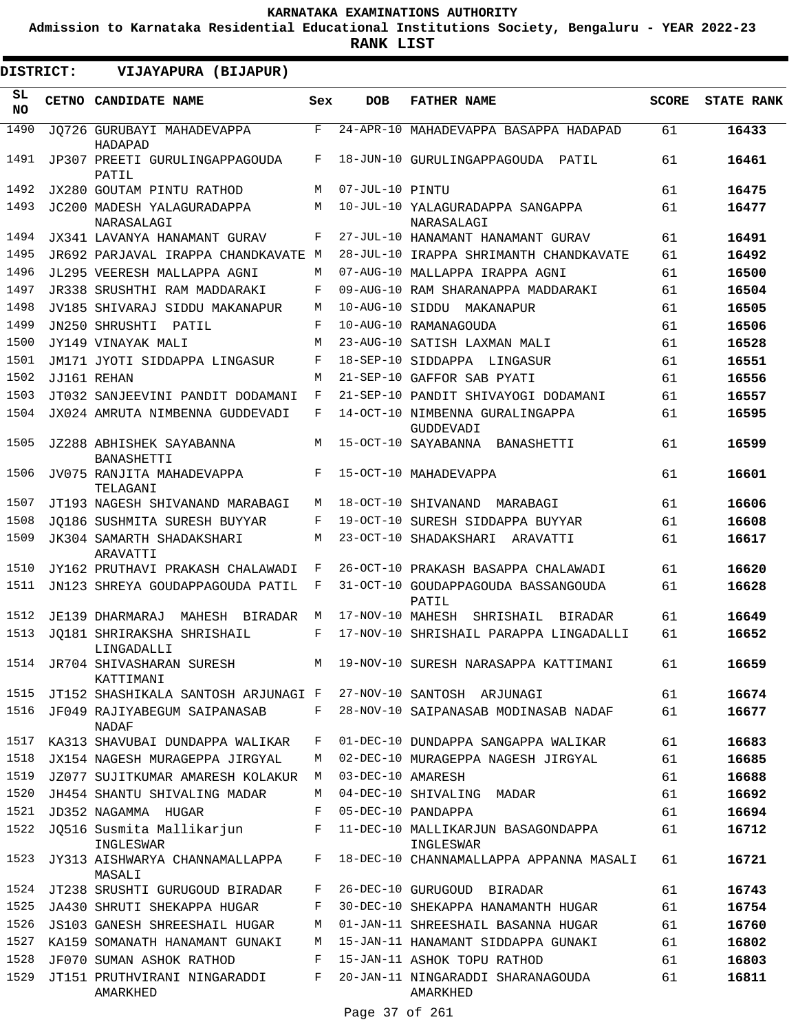**Admission to Karnataka Residential Educational Institutions Society, Bengaluru - YEAR 2022-23**

**RANK LIST**

.

| DISTRICT: |  | VIJAYAPURA (BIJAPUR)                     |     |                   |                                                 |              |                   |
|-----------|--|------------------------------------------|-----|-------------------|-------------------------------------------------|--------------|-------------------|
| SL<br>NO. |  | CETNO CANDIDATE NAME                     | Sex | <b>DOB</b>        | <b>FATHER NAME</b>                              | <b>SCORE</b> | <b>STATE RANK</b> |
| 1490      |  | JO726 GURUBAYI MAHADEVAPPA<br>HADAPAD    | F   |                   | 24-APR-10 MAHADEVAPPA BASAPPA HADAPAD           | 61           | 16433             |
| 1491      |  | JP307 PREETI GURULINGAPPAGOUDA<br>PATIL  | F   |                   | 18-JUN-10 GURULINGAPPAGOUDA PATIL               | 61           | 16461             |
| 1492      |  | JX280 GOUTAM PINTU RATHOD                | M   | 07-JUL-10 PINTU   |                                                 | 61           | 16475             |
| 1493      |  | JC200 MADESH YALAGURADAPPA<br>NARASALAGI | M   |                   | 10-JUL-10 YALAGURADAPPA SANGAPPA<br>NARASALAGI  | 61           | 16477             |
| 1494      |  | JX341 LAVANYA HANAMANT GURAV             | F   |                   | 27-JUL-10 HANAMANT HANAMANT GURAV               | 61           | 16491             |
| 1495      |  | JR692 PARJAVAL IRAPPA CHANDKAVATE M      |     |                   | 28-JUL-10 IRAPPA SHRIMANTH CHANDKAVATE          | 61           | 16492             |
| 1496      |  | JL295 VEERESH MALLAPPA AGNI              | M   |                   | 07-AUG-10 MALLAPPA IRAPPA AGNI                  | 61           | 16500             |
| 1497      |  | JR338 SRUSHTHI RAM MADDARAKI             | F   |                   | 09-AUG-10 RAM SHARANAPPA MADDARAKI              | 61           | 16504             |
| 1498      |  | JV185 SHIVARAJ SIDDU MAKANAPUR           | M   |                   | 10-AUG-10 SIDDU MAKANAPUR                       | 61           | 16505             |
| 1499      |  | JN250 SHRUSHTI<br>PATIL                  | F   |                   | 10-AUG-10 RAMANAGOUDA                           | 61           | 16506             |
| 1500      |  | JY149 VINAYAK MALI                       | M   |                   | 23-AUG-10 SATISH LAXMAN MALI                    | 61           | 16528             |
| 1501      |  | JM171 JYOTI SIDDAPPA LINGASUR            | F   |                   | 18-SEP-10 SIDDAPPA LINGASUR                     | 61           | 16551             |
| 1502      |  | JJ161 REHAN                              | M   |                   | 21-SEP-10 GAFFOR SAB PYATI                      | 61           | 16556             |
| 1503      |  | JT032 SANJEEVINI PANDIT DODAMANI         | F   |                   | 21-SEP-10 PANDIT SHIVAYOGI DODAMANI             | 61           | 16557             |
| 1504      |  | JX024 AMRUTA NIMBENNA GUDDEVADI          | F   |                   | 14-OCT-10 NIMBENNA GURALINGAPPA<br>GUDDEVADI    | 61           | 16595             |
| 1505      |  | JZ288 ABHISHEK SAYABANNA<br>BANASHETTI   | M   |                   | 15-OCT-10 SAYABANNA BANASHETTI                  | 61           | 16599             |
| 1506      |  | JV075 RANJITA MAHADEVAPPA<br>TELAGANI    | F   |                   | 15-OCT-10 MAHADEVAPPA                           | 61           | 16601             |
| 1507      |  | JT193 NAGESH SHIVANAND MARABAGI          | М   |                   | 18-OCT-10 SHIVANAND MARABAGI                    | 61           | 16606             |
| 1508      |  | JO186 SUSHMITA SURESH BUYYAR             | F   |                   | 19-OCT-10 SURESH SIDDAPPA BUYYAR                | 61           | 16608             |
| 1509      |  | JK304 SAMARTH SHADAKSHARI<br>ARAVATTI    | M   |                   | 23-OCT-10 SHADAKSHARI ARAVATTI                  | 61           | 16617             |
| 1510      |  | JY162 PRUTHAVI PRAKASH CHALAWADI         | F   |                   | 26-OCT-10 PRAKASH BASAPPA CHALAWADI             | 61           | 16620             |
| 1511      |  | JN123 SHREYA GOUDAPPAGOUDA PATIL         | F   |                   | 31-OCT-10 GOUDAPPAGOUDA BASSANGOUDA<br>PATIL    | 61           | 16628             |
| 1512      |  | JE139 DHARMARAJ MAHESH BIRADAR           | M   | 17-NOV-10 MAHESH  | SHRISHAIL BIRADAR                               | 61           | 16649             |
| 1513      |  | JO181 SHRIRAKSHA SHRISHAIL<br>LINGADALLI | F   |                   | 17-NOV-10 SHRISHAIL PARAPPA LINGADALLI          | 61           | 16652             |
| 1514      |  | JR704 SHIVASHARAN SURESH<br>KATTIMANI    |     |                   | M 19-NOV-10 SURESH NARASAPPA KATTIMANI          | 61           | 16659             |
| 1515      |  | JT152 SHASHIKALA SANTOSH ARJUNAGI F      |     |                   | 27-NOV-10 SANTOSH ARJUNAGI                      | 61           | 16674             |
| 1516      |  | JF049 RAJIYABEGUM SAIPANASAB<br>NADAF    | F   |                   | 28-NOV-10 SAIPANASAB MODINASAB NADAF            | 61           | 16677             |
| 1517      |  | KA313 SHAVUBAI DUNDAPPA WALIKAR          | F   |                   | 01-DEC-10 DUNDAPPA SANGAPPA WALIKAR             | 61           | 16683             |
| 1518      |  | JX154 NAGESH MURAGEPPA JIRGYAL           | М   |                   | 02-DEC-10 MURAGEPPA NAGESH JIRGYAL              | 61           | 16685             |
| 1519      |  | JZ077 SUJITKUMAR AMARESH KOLAKUR         | М   | 03-DEC-10 AMARESH |                                                 | 61           | 16688             |
| 1520      |  | JH454 SHANTU SHIVALING MADAR             | М   |                   | 04-DEC-10 SHIVALING MADAR                       | 61           | 16692             |
| 1521      |  | JD352 NAGAMMA HUGAR                      | F   |                   | 05-DEC-10 PANDAPPA                              | 61           | 16694             |
| 1522      |  | JQ516 Susmita Mallikarjun<br>INGLESWAR   | F   |                   | 11-DEC-10 MALLIKARJUN BASAGONDAPPA<br>INGLESWAR | 61           | 16712             |
| 1523      |  | JY313 AISHWARYA CHANNAMALLAPPA<br>MASALI | F   |                   | 18-DEC-10 CHANNAMALLAPPA APPANNA MASALI         | 61           | 16721             |
| 1524      |  | JT238 SRUSHTI GURUGOUD BIRADAR           | F   |                   | 26-DEC-10 GURUGOUD BIRADAR                      | 61           | 16743             |
| 1525      |  | JA430 SHRUTI SHEKAPPA HUGAR              | F   |                   | 30-DEC-10 SHEKAPPA HANAMANTH HUGAR              | 61           | 16754             |
| 1526      |  | JS103 GANESH SHREESHAIL HUGAR            | М   |                   | 01-JAN-11 SHREESHAIL BASANNA HUGAR              | 61           | 16760             |
| 1527      |  | KA159 SOMANATH HANAMANT GUNAKI           | М   |                   | 15-JAN-11 HANAMANT SIDDAPPA GUNAKI              | 61           | 16802             |
| 1528      |  | JF070 SUMAN ASHOK RATHOD                 | F   |                   | 15-JAN-11 ASHOK TOPU RATHOD                     | 61           | 16803             |
| 1529      |  | JT151 PRUTHVIRANI NINGARADDI             | F   |                   | 20-JAN-11 NINGARADDI SHARANAGOUDA               | 61           | 16811             |
|           |  | AMARKHED                                 |     |                   | AMARKHED                                        |              |                   |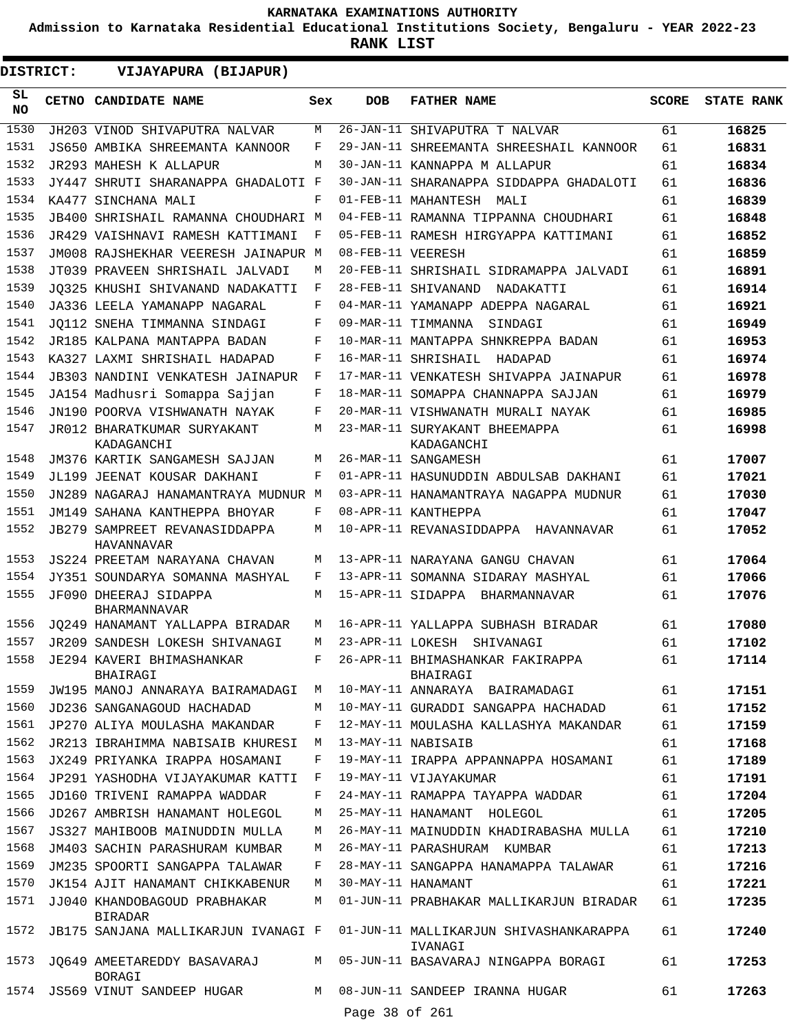**SCORE STATE RANK**

**17064 17066 17076**

**17080 17102 17114**

**17240**

**17253**

**17263**

61 61 61

61 61 61

61

61

61

**Admission to Karnataka Residential Educational Institutions Society, Bengaluru - YEAR 2022-23**

|           |                                                    |     | <b>RANK LIST</b>  |                                                   |
|-----------|----------------------------------------------------|-----|-------------------|---------------------------------------------------|
| DISTRICT: | VIJAYAPURA (BIJAPUR)                               |     |                   |                                                   |
| SL<br>NO. | CETNO CANDIDATE NAME                               | Sex | <b>DOB</b>        | <b>FATHER NAME</b>                                |
| 1530      | JH203 VINOD SHIVAPUTRA NALVAR                      | M   |                   | 26-JAN-11 SHIVAPUTRA T NALVAR                     |
| 1531      | JS650 AMBIKA SHREEMANTA KANNOOR                    | F   |                   | 29-JAN-11 SHREEMANTA SHREESHAIL KANNOOR           |
| 1532      | JR293 MAHESH K ALLAPUR                             | M   |                   | 30-JAN-11 KANNAPPA M ALLAPUR                      |
| 1533      | JY447 SHRUTI SHARANAPPA GHADALOTI F                |     |                   | 30-JAN-11 SHARANAPPA SIDDAPPA GHADALOTI           |
| 1534      | KA477 SINCHANA MALI                                | F   |                   | 01-FEB-11 MAHANTESH MALI                          |
| 1535      | JB400 SHRISHAIL RAMANNA CHOUDHARI M                |     |                   | 04-FEB-11 RAMANNA TIPPANNA CHOUDHARI              |
| 1536      | JR429 VAISHNAVI RAMESH KATTIMANI                   | F   |                   | 05-FEB-11 RAMESH HIRGYAPPA KATTIMANI              |
| 1537      | JM008 RAJSHEKHAR VEERESH JAINAPUR M                |     | 08-FEB-11 VEERESH |                                                   |
| 1538      | JT039 PRAVEEN SHRISHAIL JALVADI                    | М   |                   | 20-FEB-11 SHRISHAIL SIDRAMAPPA JALVADI            |
| 1539      | JO325 KHUSHI SHIVANAND NADAKATTI                   | F   |                   | 28-FEB-11 SHIVANAND NADAKATTI                     |
| 1540      | JA336 LEELA YAMANAPP NAGARAL                       | F   |                   | 04-MAR-11 YAMANAPP ADEPPA NAGARAL                 |
| 1541      | JO112 SNEHA TIMMANNA SINDAGI                       | F   |                   | 09-MAR-11 TIMMANNA SINDAGI                        |
| 1542      | JR185 KALPANA MANTAPPA BADAN                       | F   |                   | 10-MAR-11 MANTAPPA SHNKREPPA BADAN                |
| 1543      | KA327 LAXMI SHRISHAIL HADAPAD                      | F   |                   | 16-MAR-11 SHRISHAIL HADAPAD                       |
| 1544      | JB303 NANDINI VENKATESH JAINAPUR                   | F   |                   | 17-MAR-11 VENKATESH SHIVAPPA JAINAPUR             |
| 1545      | JA154 Madhusri Somappa Sajjan                      | F   |                   | 18-MAR-11 SOMAPPA CHANNAPPA SAJJAN                |
| 1546      | JN190 POORVA VISHWANATH NAYAK                      | F   |                   | 20-MAR-11 VISHWANATH MURALI NAYAK                 |
| 1547      | JR012 BHARATKUMAR SURYAKANT<br>KADAGANCHI          | M   |                   | 23-MAR-11 SURYAKANT BHEEMAPPA<br>KADAGANCHI       |
| 1548      | JM376 KARTIK SANGAMESH SAJJAN                      | M   |                   | 26-MAR-11 SANGAMESH                               |
| 1549      | JL199 JEENAT KOUSAR DAKHANI                        | F   |                   | 01-APR-11 HASUNUDDIN ABDULSAB DAKHANI             |
| 1550      | JN289 NAGARAJ HANAMANTRAYA MUDNUR M                |     |                   | 03-APR-11 HANAMANTRAYA NAGAPPA MUDNUR             |
| 1551      | JM149 SAHANA KANTHEPPA BHOYAR                      | F   |                   | 08-APR-11 KANTHEPPA                               |
| 1552      | JB279 SAMPREET REVANASIDDAPPA<br><b>HAVANNAVAR</b> | M   |                   | 10-APR-11 REVANASIDDAPPA HAVANNAVAR               |
| 1553      | JS224 PREETAM NARAYANA CHAVAN                      | M   |                   | 13-APR-11 NARAYANA GANGU CHAVAN                   |
| 1554      | JY351 SOUNDARYA SOMANNA MASHYAL                    | F   |                   | 13-APR-11 SOMANNA SIDARAY MASHYAL                 |
| 1555      | JF090 DHEERAJ SIDAPPA<br><b>BHARMANNAVAR</b>       | M   |                   | 15-APR-11 SIDAPPA BHARMANNAVAR                    |
| 1556      | JQ249 HANAMANT YALLAPPA BIRADAR                    | M   |                   | 16-APR-11 YALLAPPA SUBHASH BIRADAR                |
| 1557      | JR209 SANDESH LOKESH SHIVANAGI                     | М   |                   | 23-APR-11 LOKESH SHIVANAGI                        |
| 1558      | JE294 KAVERI BHIMASHANKAR<br>BHAIRAGI              | F   |                   | 26-APR-11 BHIMASHANKAR FAKIRAPPA<br>BHAIRAGI      |
| 1559      | JW195 MANOJ ANNARAYA BAIRAMADAGI                   | М   |                   | 10-MAY-11 ANNARAYA BAIRAMADAGI                    |
| 1560      | JD236 SANGANAGOUD HACHADAD                         | М   |                   | 10-MAY-11 GURADDI SANGAPPA HACHADAD               |
| 1561      | JP270 ALIYA MOULASHA MAKANDAR                      | F   |                   | 12-MAY-11 MOULASHA KALLASHYA MAKANDAR             |
| 1562      | JR213 IBRAHIMMA NABISAIB KHURESI                   | M   |                   | 13-MAY-11 NABISAIB                                |
| 1563      | JX249 PRIYANKA IRAPPA HOSAMANI                     | F   |                   | 19-MAY-11 IRAPPA APPANNAPPA HOSAMANI              |
| 1564      | JP291 YASHODHA VIJAYAKUMAR KATTI                   | F   |                   | 19-MAY-11 VIJAYAKUMAR                             |
| 1565      | JD160 TRIVENI RAMAPPA WADDAR                       | F   |                   | 24-MAY-11 RAMAPPA TAYAPPA WADDAR                  |
| 1566      | JD267 AMBRISH HANAMANT HOLEGOL                     | M   |                   | 25-MAY-11 HANAMANT HOLEGOL                        |
| 1567      | JS327 MAHIBOOB MAINUDDIN MULLA                     | M   |                   | 26-MAY-11 MAINUDDIN KHADIRABASHA MULLA            |
| 1568      | JM403 SACHIN PARASHURAM KUMBAR                     | М   |                   | 26-MAY-11 PARASHURAM KUMBAR                       |
| 1569      | JM235 SPOORTI SANGAPPA TALAWAR                     | F   |                   | 28-MAY-11 SANGAPPA HANAMAPPA TALAWAR              |
| 1570      | JK154 AJIT HANAMANT CHIKKABENUR                    | M   |                   | 30-MAY-11 HANAMANT                                |
| 1571      | JJ040 KHANDOBAGOUD PRABHAKAR<br>BIRADAR            | M   |                   | 01-JUN-11 PRABHAKAR MALLIKARJUN BIRADAR           |
| 1572      | JB175 SANJANA MALLIKARJUN IVANAGI F                |     |                   | 01-JUN-11 MALLIKARJUN SHIVASHANKARAPPA<br>IVANAGI |

- 1573 JQ649 AMEETAREDDY BASAVARAJ BORAGI
- JS569 VINUT SANDEEP HUGAR 1574
- Page 38 of 261

M 05-JUN-11 BASAVARAJ NINGAPPA BORAGI

M 08-JUN-11 SANDEEP IRANNA HUGAR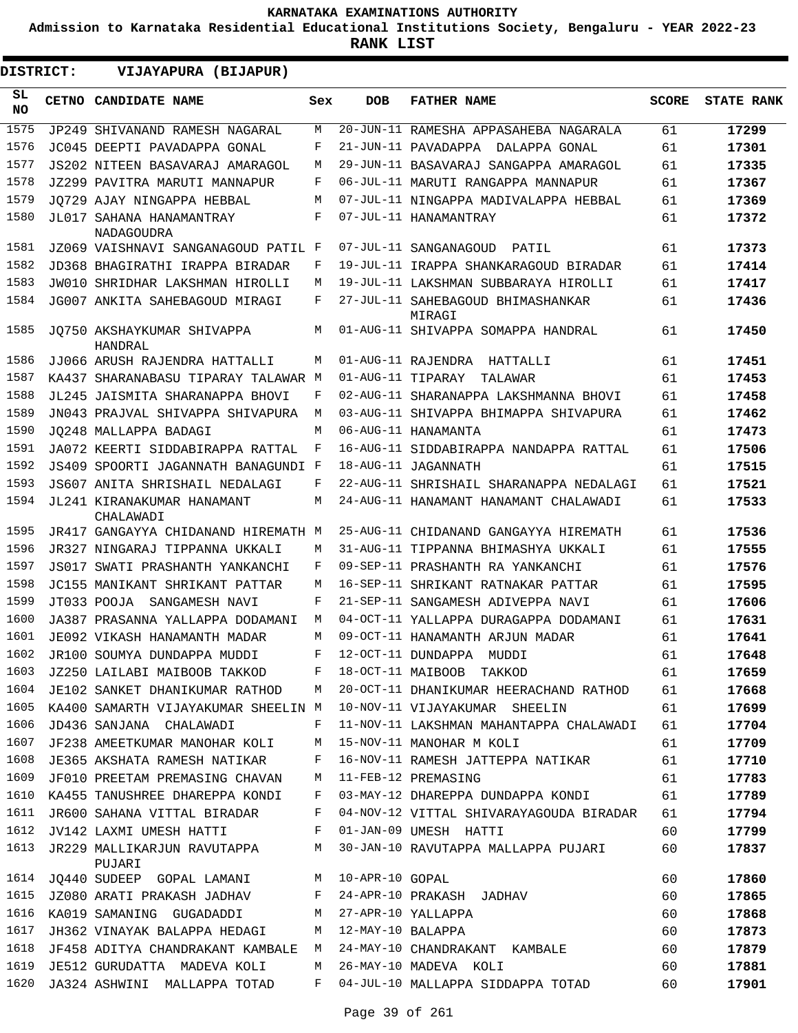**Admission to Karnataka Residential Educational Institutions Society, Bengaluru - YEAR 2022-23**

| <b>DISTRICT:</b> | VIJAYAPURA (BIJAPUR)                          |     |                   |                                             |              |                   |
|------------------|-----------------------------------------------|-----|-------------------|---------------------------------------------|--------------|-------------------|
| SL.<br>NO.       | CETNO CANDIDATE NAME                          | Sex | <b>DOB</b>        | <b>FATHER NAME</b>                          | <b>SCORE</b> | <b>STATE RANK</b> |
| 1575             | JP249 SHIVANAND RAMESH NAGARAL                | М   |                   | 20-JUN-11 RAMESHA APPASAHEBA NAGARALA       | 61           | 17299             |
| 1576             | JC045 DEEPTI PAVADAPPA GONAL                  | F   |                   | 21-JUN-11 PAVADAPPA DALAPPA GONAL           | 61           | 17301             |
| 1577             | JS202 NITEEN BASAVARAJ AMARAGOL               | M   |                   | 29-JUN-11 BASAVARAJ SANGAPPA AMARAGOL       | 61           | 17335             |
| 1578             | JZ299 PAVITRA MARUTI MANNAPUR                 | F   |                   | 06-JUL-11 MARUTI RANGAPPA MANNAPUR          | 61           | 17367             |
| 1579             | JO729 AJAY NINGAPPA HEBBAL                    | М   |                   | 07-JUL-11 NINGAPPA MADIVALAPPA HEBBAL       | 61           | 17369             |
| 1580             | JL017 SAHANA HANAMANTRAY<br><b>NADAGOUDRA</b> | F   |                   | 07-JUL-11 HANAMANTRAY                       | 61           | 17372             |
| 1581             | JZ069 VAISHNAVI SANGANAGOUD PATIL F           |     |                   | 07-JUL-11 SANGANAGOUD<br>PATIL              | 61           | 17373             |
| 1582             | JD368 BHAGIRATHI IRAPPA BIRADAR               | F   |                   | 19-JUL-11 IRAPPA SHANKARAGOUD BIRADAR       | 61           | 17414             |
| 1583             | JW010 SHRIDHAR LAKSHMAN HIROLLI               | M   |                   | 19-JUL-11 LAKSHMAN SUBBARAYA HIROLLI        | 61           | 17417             |
| 1584             | JG007 ANKITA SAHEBAGOUD MIRAGI                | F   |                   | 27-JUL-11 SAHEBAGOUD BHIMASHANKAR<br>MIRAGI | 61           | 17436             |
| 1585             | JO750 AKSHAYKUMAR SHIVAPPA<br>HANDRAL         | М   |                   | 01-AUG-11 SHIVAPPA SOMAPPA HANDRAL          | 61           | 17450             |
| 1586             | JJ066 ARUSH RAJENDRA HATTALLI                 | M   |                   | 01-AUG-11 RAJENDRA HATTALLI                 | 61           | 17451             |
| 1587             | KA437 SHARANABASU TIPARAY TALAWAR M           |     | 01-AUG-11 TIPARAY | TALAWAR                                     | 61           | 17453             |
| 1588             | JL245 JAISMITA SHARANAPPA BHOVI               | F   |                   | 02-AUG-11 SHARANAPPA LAKSHMANNA BHOVI       | 61           | 17458             |
| 1589             | JN043 PRAJVAL SHIVAPPA SHIVAPURA              | М   |                   | 03-AUG-11 SHIVAPPA BHIMAPPA SHIVAPURA       | 61           | 17462             |
| 1590             | JO248 MALLAPPA BADAGI                         | М   |                   | 06-AUG-11 HANAMANTA                         | 61           | 17473             |
| 1591             | JA072 KEERTI SIDDABIRAPPA RATTAL              | F   |                   | 16-AUG-11 SIDDABIRAPPA NANDAPPA RATTAL      | 61           | 17506             |
| 1592             | JS409 SPOORTI JAGANNATH BANAGUNDI F           |     |                   | 18-AUG-11 JAGANNATH                         | 61           | 17515             |
| 1593             | JS607 ANITA SHRISHAIL NEDALAGI                | F   |                   | 22-AUG-11 SHRISHAIL SHARANAPPA NEDALAGI     | 61           | 17521             |
| 1594             | JL241 KIRANAKUMAR HANAMANT<br>CHALAWADI       | М   |                   | 24-AUG-11 HANAMANT HANAMANT CHALAWADI       | 61           | 17533             |
| 1595             | JR417 GANGAYYA CHIDANAND HIREMATH M           |     |                   | 25-AUG-11 CHIDANAND GANGAYYA HIREMATH       | 61           | 17536             |
| 1596             | JR327 NINGARAJ TIPPANNA UKKALI                | М   |                   | 31-AUG-11 TIPPANNA BHIMASHYA UKKALI         | 61           | 17555             |
| 1597             | JS017 SWATI PRASHANTH YANKANCHI               | F   |                   | 09-SEP-11 PRASHANTH RA YANKANCHI            | 61           | 17576             |
| 1598             | JC155 MANIKANT SHRIKANT PATTAR                | М   |                   | 16-SEP-11 SHRIKANT RATNAKAR PATTAR          | 61           | 17595             |
| 1599             | JT033 POOJA SANGAMESH NAVI                    | F   |                   | 21-SEP-11 SANGAMESH ADIVEPPA NAVI           | 61           | 17606             |
| 1600             | JA387 PRASANNA YALLAPPA DODAMANI              | M   |                   | 04-OCT-11 YALLAPPA DURAGAPPA DODAMANI       | 61           | 17631             |
| 1601             | JE092 VIKASH HANAMANTH MADAR                  | М   |                   | 09-OCT-11 HANAMANTH ARJUN MADAR             | 61           | 17641             |
| 1602             | JR100 SOUMYA DUNDAPPA MUDDI                   | F   |                   | 12-OCT-11 DUNDAPPA MUDDI                    | 61           | 17648             |
| 1603             | JZ250 LAILABI MAIBOOB TAKKOD                  | F   |                   | 18-OCT-11 MAIBOOB TAKKOD                    | 61           | 17659             |
| 1604             | JE102 SANKET DHANIKUMAR RATHOD                | М   |                   | 20-OCT-11 DHANIKUMAR HEERACHAND RATHOD      | 61           | 17668             |
| 1605             | KA400 SAMARTH VIJAYAKUMAR SHEELIN M           |     |                   | 10-NOV-11 VIJAYAKUMAR SHEELIN               | 61           | 17699             |
| 1606             | JD436 SANJANA CHALAWADI                       | F   |                   | 11-NOV-11 LAKSHMAN MAHANTAPPA CHALAWADI     | 61           | 17704             |
| 1607             | JF238 AMEETKUMAR MANOHAR KOLI                 | М   |                   | 15-NOV-11 MANOHAR M KOLI                    | 61           | 17709             |
| 1608             | JE365 AKSHATA RAMESH NATIKAR                  | F   |                   | 16-NOV-11 RAMESH JATTEPPA NATIKAR           | 61           | 17710             |
| 1609             | JF010 PREETAM PREMASING CHAVAN                | М   |                   | 11-FEB-12 PREMASING                         | 61           | 17783             |
| 1610             | KA455 TANUSHREE DHAREPPA KONDI                | F   |                   | 03-MAY-12 DHAREPPA DUNDAPPA KONDI           | 61           | 17789             |
| 1611             | JR600 SAHANA VITTAL BIRADAR                   | F   |                   | 04-NOV-12 VITTAL SHIVARAYAGOUDA BIRADAR     | 61           | 17794             |
| 1612             | JV142 LAXMI UMESH HATTI                       | F   |                   | 01-JAN-09 UMESH HATTI                       | 60           | 17799             |
| 1613             | JR229 MALLIKARJUN RAVUTAPPA<br>PUJARI         | М   |                   | 30-JAN-10 RAVUTAPPA MALLAPPA PUJARI         | 60           | 17837             |
| 1614             | JQ440 SUDEEP GOPAL LAMANI                     | М   | 10-APR-10 GOPAL   |                                             | 60           | 17860             |
| 1615             | JZ080 ARATI PRAKASH JADHAV                    | F   |                   | 24-APR-10 PRAKASH JADHAV                    | 60           | 17865             |
| 1616             | KA019 SAMANING GUGADADDI                      | М   |                   | 27-APR-10 YALLAPPA                          | 60           | 17868             |
| 1617             | JH362 VINAYAK BALAPPA HEDAGI                  | M   | 12-MAY-10 BALAPPA |                                             | 60           | 17873             |
| 1618             | JF458 ADITYA CHANDRAKANT KAMBALE M            |     |                   | 24-MAY-10 CHANDRAKANT KAMBALE               | 60           | 17879             |
| 1619             | JE512 GURUDATTA MADEVA KOLI                   | М   |                   | 26-MAY-10 MADEVA KOLI                       | 60           | 17881             |
| 1620             | JA324 ASHWINI MALLAPPA TOTAD                  | F   |                   | 04-JUL-10 MALLAPPA SIDDAPPA TOTAD           | 60           | 17901             |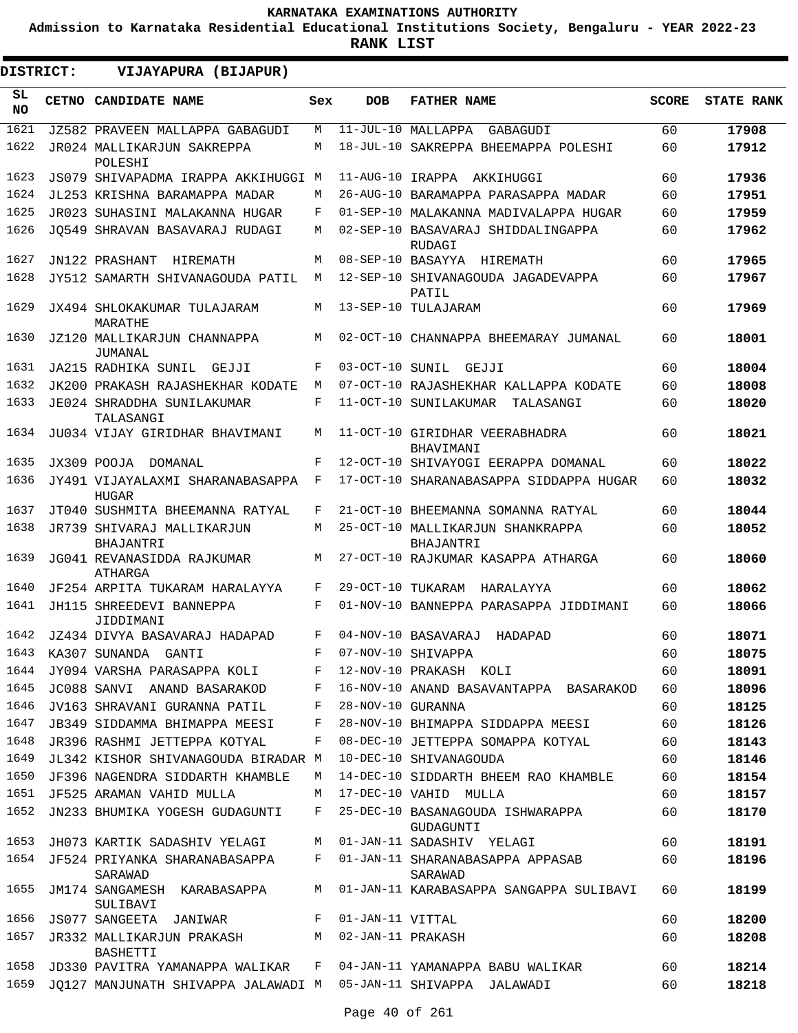**Admission to Karnataka Residential Educational Institutions Society, Bengaluru - YEAR 2022-23**

**RANK LIST**

| DISTRICT:       | VIJAYAPURA (BIJAPUR)                                            |             |                   |                                                 |              |                   |
|-----------------|-----------------------------------------------------------------|-------------|-------------------|-------------------------------------------------|--------------|-------------------|
| SL<br><b>NO</b> | CETNO CANDIDATE NAME                                            | Sex         | <b>DOB</b>        | <b>FATHER NAME</b>                              | <b>SCORE</b> | <b>STATE RANK</b> |
| 1621            | JZ582 PRAVEEN MALLAPPA GABAGUDI                                 | М           |                   | 11-JUL-10 MALLAPPA<br>GABAGUDI                  | 60           | 17908             |
| 1622            | JR024 MALLIKARJUN SAKREPPA<br>POLESHI                           | M           |                   | 18-JUL-10 SAKREPPA BHEEMAPPA POLESHI            | 60           | 17912             |
| 1623            | JS079 SHIVAPADMA IRAPPA AKKIHUGGI M                             |             | 11-AUG-10 IRAPPA  | AKKIHUGGI                                       | 60           | 17936             |
| 1624            | JL253 KRISHNA BARAMAPPA MADAR                                   | M           |                   | 26-AUG-10 BARAMAPPA PARASAPPA MADAR             | 60           | 17951             |
| 1625            | JR023 SUHASINI MALAKANNA HUGAR                                  | F           |                   | 01-SEP-10 MALAKANNA MADIVALAPPA HUGAR           | 60           | 17959             |
| 1626            | JO549 SHRAVAN BASAVARAJ RUDAGI                                  | M           |                   | 02-SEP-10 BASAVARAJ SHIDDALINGAPPA<br>RUDAGI    | 60           | 17962             |
| 1627            | JN122 PRASHANT<br>HIREMATH                                      | M           |                   | 08-SEP-10 BASAYYA<br>HIREMATH                   | 60           | 17965             |
| 1628            | JY512 SAMARTH SHIVANAGOUDA PATIL                                | M           |                   | 12-SEP-10 SHIVANAGOUDA JAGADEVAPPA<br>PATIL     | 60           | 17967             |
| 1629            | JX494 SHLOKAKUMAR TULAJARAM<br>MARATHE                          | М           |                   | 13-SEP-10 TULAJARAM                             | 60           | 17969             |
| 1630            | JZ120 MALLIKARJUN CHANNAPPA<br>JUMANAL                          | M           |                   | 02-OCT-10 CHANNAPPA BHEEMARAY JUMANAL           | 60           | 18001             |
| 1631            | JA215 RADHIKA SUNIL<br>GEJJI                                    | F           | 03-OCT-10 SUNIL   | GEJJI                                           | 60           | 18004             |
| 1632            | JK200 PRAKASH RAJASHEKHAR KODATE                                | M           |                   | 07-OCT-10 RAJASHEKHAR KALLAPPA KODATE           | 60           | 18008             |
| 1633            | JE024 SHRADDHA SUNILAKUMAR<br>TALASANGI                         | $\mathbf F$ |                   | 11-OCT-10 SUNILAKUMAR<br>TALASANGI              | 60           | 18020             |
| 1634            | JU034 VIJAY GIRIDHAR BHAVIMANI                                  | M           |                   | 11-OCT-10 GIRIDHAR VEERABHADRA<br>BHAVIMANI     | 60           | 18021             |
| 1635            | JX309 POOJA<br>DOMANAL                                          | F           |                   | 12-OCT-10 SHIVAYOGI EERAPPA DOMANAL             | 60           | 18022             |
| 1636            | JY491 VIJAYALAXMI SHARANABASAPPA<br><b>HUGAR</b>                | F           |                   | 17-OCT-10 SHARANABASAPPA SIDDAPPA HUGAR         | 60           | 18032             |
| 1637            | JT040 SUSHMITA BHEEMANNA RATYAL                                 | F           |                   | 21-OCT-10 BHEEMANNA SOMANNA RATYAL              | 60           | 18044             |
| 1638            | JR739 SHIVARAJ MALLIKARJUN                                      | M           |                   | 25-OCT-10 MALLIKARJUN SHANKRAPPA                | 60           | 18052             |
| 1639            | BHAJANTRI<br>JG041 REVANASIDDA RAJKUMAR<br>ATHARGA              | M           |                   | BHAJANTRI<br>27-OCT-10 RAJKUMAR KASAPPA ATHARGA | 60           | 18060             |
| 1640            | JF254 ARPITA TUKARAM HARALAYYA                                  | F           | 29-OCT-10 TUKARAM | HARALAYYA                                       | 60           | 18062             |
| 1641            | JH115 SHREEDEVI BANNEPPA<br>JIDDIMANI                           | F           |                   | 01-NOV-10 BANNEPPA PARASAPPA JIDDIMANI          | 60           | 18066             |
| 1642            | JZ434 DIVYA BASAVARAJ HADAPAD                                   | F           |                   | 04-NOV-10 BASAVARAJ<br>HADAPAD                  | 60           | 18071             |
| 1643            | KA307 SUNANDA GANTI                                             | F           |                   | 07-NOV-10 SHIVAPPA                              | 60           | 18075             |
| 1644            | JY094 VARSHA PARASAPPA KOLI                                     | F           |                   | 12-NOV-10 PRAKASH KOLI                          | 60           | 18091             |
| 1645            | JC088 SANVI ANAND BASARAKOD                                     | F           |                   | 16-NOV-10 ANAND BASAVANTAPPA BASARAKOD          | 60           | 18096             |
| 1646            | JV163 SHRAVANI GURANNA PATIL                                    | F           | 28-NOV-10 GURANNA |                                                 | 60           | 18125             |
| 1647            | JB349 SIDDAMMA BHIMAPPA MEESI                                   | F           |                   | 28-NOV-10 BHIMAPPA SIDDAPPA MEESI               | 60           | 18126             |
| 1648            | JR396 RASHMI JETTEPPA KOTYAL                                    | F           |                   | 08-DEC-10 JETTEPPA SOMAPPA KOTYAL               | 60           | 18143             |
| 1649            | JL342 KISHOR SHIVANAGOUDA BIRADAR M                             |             |                   | 10-DEC-10 SHIVANAGOUDA                          | 60           | 18146             |
| 1650            | JF396 NAGENDRA SIDDARTH KHAMBLE                                 | M           |                   | 14-DEC-10 SIDDARTH BHEEM RAO KHAMBLE            | 60           | 18154             |
| 1651            | JF525 ARAMAN VAHID MULLA                                        | M           |                   | 17-DEC-10 VAHID MULLA                           | 60           | 18157             |
| 1652            | JN233 BHUMIKA YOGESH GUDAGUNTI                                  | F           |                   | 25-DEC-10 BASANAGOUDA ISHWARAPPA<br>GUDAGUNTI   | 60           | 18170             |
| 1653            | JH073 KARTIK SADASHIV YELAGI                                    | М           |                   | 01-JAN-11 SADASHIV YELAGI                       | 60           | 18191             |
| 1654            | JF524 PRIYANKA SHARANABASAPPA<br>SARAWAD                        | F           |                   | 01-JAN-11 SHARANABASAPPA APPASAB<br>SARAWAD     | 60           | 18196             |
| 1655            | JM174 SANGAMESH KARABASAPPA<br>SULIBAVI                         | М           |                   | 01-JAN-11 KARABASAPPA SANGAPPA SULIBAVI         | 60           | 18199             |
| 1656            | JS077 SANGEETA JANIWAR                                          | F           | 01-JAN-11 VITTAL  |                                                 | 60           | 18200             |
| 1657            | JR332 MALLIKARJUN PRAKASH<br>BASHETTI                           | М           | 02-JAN-11 PRAKASH |                                                 | 60           | 18208             |
| 1658            | JD330 PAVITRA YAMANAPPA WALIKAR                                 | F           |                   | 04-JAN-11 YAMANAPPA BABU WALIKAR                | 60           | 18214             |
| 1659            | JQ127 MANJUNATH SHIVAPPA JALAWADI M 05-JAN-11 SHIVAPPA JALAWADI |             |                   |                                                 | 60           | 18218             |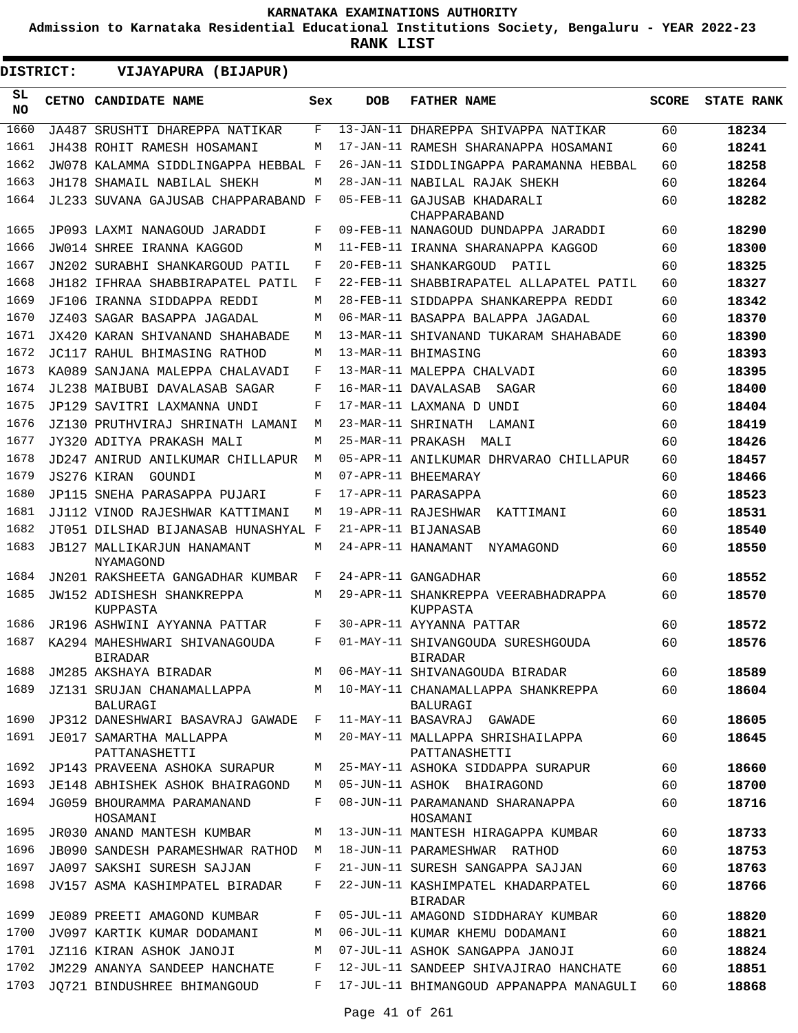**Admission to Karnataka Residential Educational Institutions Society, Bengaluru - YEAR 2022-23**

**RANK LIST**

**DISTRICT:** EE **VIJAYAPURA (BIJAPUR)**

| SL<br><b>NO</b> | CETNO CANDIDATE NAME                            | Sex | <b>DOB</b>        | <b>FATHER NAME</b>                                  | <b>SCORE</b> | <b>STATE RANK</b> |
|-----------------|-------------------------------------------------|-----|-------------------|-----------------------------------------------------|--------------|-------------------|
| 1660            | JA487 SRUSHTI DHAREPPA NATIKAR                  | F   | $13 - JAN-11$     | DHAREPPA SHIVAPPA NATIKAR                           | 60           | 18234             |
| 1661            | JH438 ROHIT RAMESH HOSAMANI                     | М   |                   | 17-JAN-11 RAMESH SHARANAPPA HOSAMANI                | 60           | 18241             |
| 1662            | JW078 KALAMMA SIDDLINGAPPA HEBBAL F             |     | 26-JAN-11         | SIDDLINGAPPA PARAMANNA HEBBAL                       | 60           | 18258             |
| 1663            | JH178 SHAMAIL NABILAL SHEKH                     | М   |                   | 28-JAN-11 NABILAL RAJAK SHEKH                       | 60           | 18264             |
| 1664            | JL233 SUVANA GAJUSAB CHAPPARABAND               | F   | 05-FEB-11         | GAJUSAB KHADARALI<br>CHAPPARABAND                   | 60           | 18282             |
| 1665            | JP093 LAXMI NANAGOUD JARADDI                    | F   |                   | 09-FEB-11 NANAGOUD DUNDAPPA JARADDI                 | 60           | 18290             |
| 1666            | JW014 SHREE IRANNA KAGGOD                       | M   |                   | 11-FEB-11 IRANNA SHARANAPPA KAGGOD                  | 60           | 18300             |
| 1667            | JN202 SURABHI SHANKARGOUD PATIL                 | F   | 20-FEB-11         | SHANKARGOUD<br>PATIL                                | 60           | 18325             |
| 1668            | JH182 IFHRAA SHABBIRAPATEL PATIL                | F   | $22$ -FEB-11      | SHABBIRAPATEL ALLAPATEL PATIL                       | 60           | 18327             |
| 1669            | JF106 IRANNA SIDDAPPA REDDI                     | М   | 28-FEB-11         | SIDDAPPA SHANKAREPPA REDDI                          | 60           | 18342             |
| 1670            | JZ403 SAGAR BASAPPA JAGADAL                     | М   |                   | 06-MAR-11 BASAPPA BALAPPA JAGADAL                   | 60           | 18370             |
| 1671            | JX420 KARAN SHIVANAND SHAHABADE                 | М   | 13-MAR-11         | SHIVANAND TUKARAM SHAHABADE                         | 60           | 18390             |
| 1672            | JC117 RAHUL BHIMASING RATHOD                    | М   |                   | 13-MAR-11 BHIMASING                                 | 60           | 18393             |
| 1673            | KA089 SANJANA MALEPPA CHALAVADI                 | F   |                   | 13-MAR-11 MALEPPA CHALVADI                          | 60           | 18395             |
| 1674            | JL238 MAIBUBI DAVALASAB SAGAR                   | F   |                   | 16-MAR-11 DAVALASAB<br>SAGAR                        | 60           | 18400             |
| 1675            | JP129 SAVITRI LAXMANNA UNDI                     | F   |                   | 17-MAR-11 LAXMANA D UNDI                            | 60           | 18404             |
| 1676            | JZ130 PRUTHVIRAJ SHRINATH LAMANI                | М   | 23-MAR-11         | SHRINATH<br>LAMANI                                  | 60           | 18419             |
| 1677            | JY320 ADITYA PRAKASH MALI                       | M   | 25-MAR-11 PRAKASH | MALI                                                | 60           | 18426             |
| 1678            | JD247 ANIRUD ANILKUMAR CHILLAPUR                | M   |                   | 05-APR-11 ANILKUMAR DHRVARAO CHILLAPUR              | 60           | 18457             |
| 1679            | JS276 KIRAN<br>GOUNDI                           | М   |                   | 07-APR-11 BHEEMARAY                                 | 60           | 18466             |
| 1680            | JP115 SNEHA PARASAPPA PUJARI                    | F   |                   | 17-APR-11 PARASAPPA                                 | 60           | 18523             |
| 1681            | JJ112 VINOD RAJESHWAR KATTIMANI                 | М   |                   | 19-APR-11 RAJESHWAR<br>KATTIMANI                    | 60           | 18531             |
| 1682            | JT051 DILSHAD BIJANASAB HUNASHYAL               | F   |                   | 21-APR-11 BIJANASAB                                 | 60           | 18540             |
| 1683            | JB127 MALLIKARJUN HANAMANT<br>NYAMAGOND         | М   |                   | 24-APR-11 HANAMANT<br>NYAMAGOND                     | 60           | 18550             |
| 1684            | JN201 RAKSHEETA GANGADHAR KUMBAR                | F   |                   | 24-APR-11 GANGADHAR                                 | 60           | 18552             |
| 1685            | JW152 ADISHESH SHANKREPPA<br>KUPPASTA           | М   | 29-APR-11         | SHANKREPPA VEERABHADRAPPA<br>KUPPASTA               | 60           | 18570             |
| 1686            | JR196 ASHWINI AYYANNA PATTAR                    | F   |                   | 30-APR-11 AYYANNA PATTAR                            | 60           | 18572             |
| 1687            | KA294 MAHESHWARI SHIVANAGOUDA<br><b>BIRADAR</b> | F   |                   | 01-MAY-11 SHIVANGOUDA SURESHGOUDA<br><b>BIRADAR</b> | 60           | 18576             |
| 1688            | JM285 AKSHAYA BIRADAR                           | М   |                   | 06-MAY-11 SHIVANAGOUDA BIRADAR                      | 60           | 18589             |
| 1689            | JZ131 SRUJAN CHANAMALLAPPA<br>BALURAGI          |     |                   | M 10-MAY-11 CHANAMALLAPPA SHANKREPPA<br>BALURAGI    | 60           | 18604             |
| 1690            | JP312 DANESHWARI BASAVRAJ GAWADE F              |     |                   | 11-MAY-11 BASAVRAJ GAWADE                           | 60           | 18605             |
| 1691            | JE017 SAMARTHA MALLAPPA<br>PATTANASHETTI        | M   |                   | 20-MAY-11 MALLAPPA SHRISHAILAPPA<br>PATTANASHETTI   | 60           | 18645             |
| 1692            | JP143 PRAVEENA ASHOKA SURAPUR                   | M   |                   | 25-MAY-11 ASHOKA SIDDAPPA SURAPUR                   | 60           | 18660             |
| 1693            | JE148 ABHISHEK ASHOK BHAIRAGOND                 | М   |                   | 05-JUN-11 ASHOK BHAIRAGOND                          | 60           | 18700             |
| 1694            | JG059 BHOURAMMA PARAMANAND<br>HOSAMANI          | F   |                   | 08-JUN-11 PARAMANAND SHARANAPPA<br>HOSAMANI         | 60           | 18716             |
| 1695            | JR030 ANAND MANTESH KUMBAR                      | М   |                   | 13-JUN-11 MANTESH HIRAGAPPA KUMBAR                  | 60           | 18733             |
| 1696            | JB090 SANDESH PARAMESHWAR RATHOD                | M   |                   | 18-JUN-11 PARAMESHWAR RATHOD                        | 60           | 18753             |
| 1697            | JA097 SAKSHI SURESH SAJJAN                      | F   |                   | 21-JUN-11 SURESH SANGAPPA SAJJAN                    | 60           | 18763             |
| 1698            | JV157 ASMA KASHIMPATEL BIRADAR                  | F   |                   | 22-JUN-11 KASHIMPATEL KHADARPATEL<br><b>BIRADAR</b> | 60           | 18766             |
| 1699            | JE089 PREETI AMAGOND KUMBAR                     | F   |                   | 05-JUL-11 AMAGOND SIDDHARAY KUMBAR                  | 60           | 18820             |
| 1700            | JV097 KARTIK KUMAR DODAMANI                     | M   |                   | 06-JUL-11 KUMAR KHEMU DODAMANI                      | 60           | 18821             |
| 1701            | JZ116 KIRAN ASHOK JANOJI                        | М   |                   | 07-JUL-11 ASHOK SANGAPPA JANOJI                     | 60           | 18824             |
| 1702            | JM229 ANANYA SANDEEP HANCHATE                   | F   |                   | 12-JUL-11 SANDEEP SHIVAJIRAO HANCHATE               | 60           | 18851             |
| 1703            | JQ721 BINDUSHREE BHIMANGOUD                     | F   |                   | 17-JUL-11 BHIMANGOUD APPANAPPA MANAGULI             | 60           | 18868             |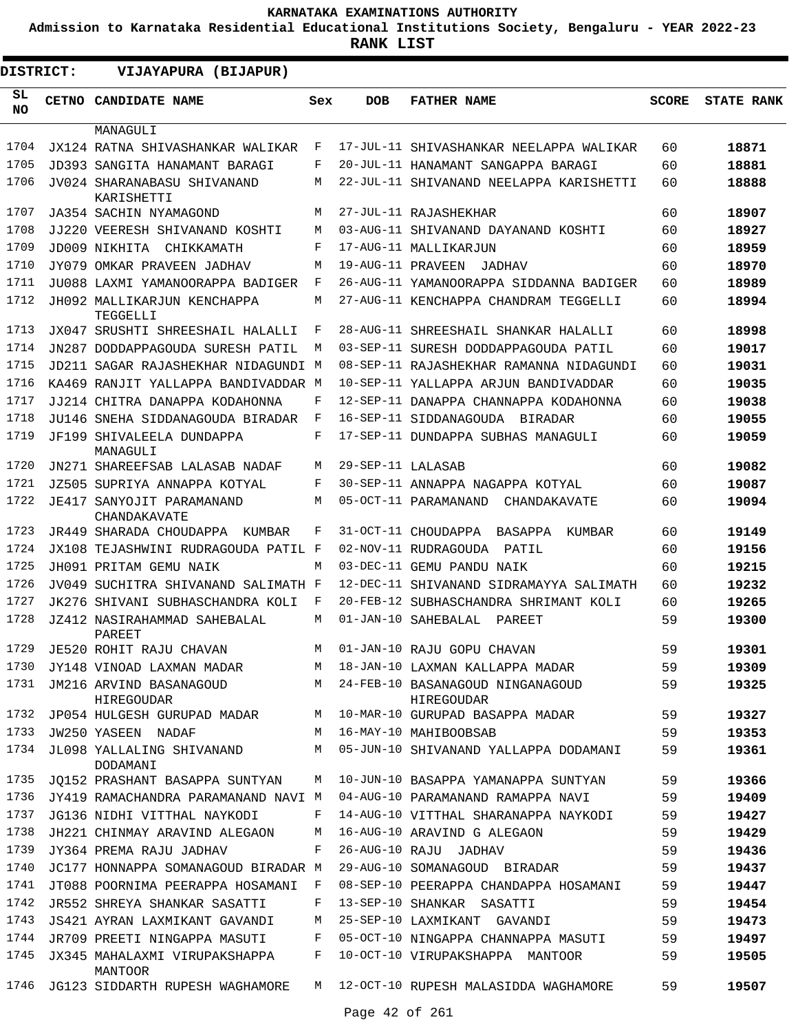**Admission to Karnataka Residential Educational Institutions Society, Bengaluru - YEAR 2022-23**

**RANK LIST**

Ξ

| <b>DISTRICT:</b> | VIJAYAPURA (BIJAPUR)                      |              |                   |                                                |              |                   |
|------------------|-------------------------------------------|--------------|-------------------|------------------------------------------------|--------------|-------------------|
| SL<br><b>NO</b>  | <b>CETNO CANDIDATE NAME</b>               | Sex          | <b>DOB</b>        | <b>FATHER NAME</b>                             | <b>SCORE</b> | <b>STATE RANK</b> |
|                  | MANAGULI                                  |              |                   |                                                |              |                   |
| 1704             | JX124 RATNA SHIVASHANKAR WALIKAR          | F            |                   | 17-JUL-11 SHIVASHANKAR NEELAPPA WALIKAR        | 60           | 18871             |
| 1705             | JD393 SANGITA HANAMANT BARAGI             | F            |                   | 20-JUL-11 HANAMANT SANGAPPA BARAGI             | 60           | 18881             |
| 1706             | JV024 SHARANABASU SHIVANAND<br>KARISHETTI | М            |                   | 22-JUL-11 SHIVANAND NEELAPPA KARISHETTI        | 60           | 18888             |
| 1707             | JA354 SACHIN NYAMAGOND                    | М            |                   | 27-JUL-11 RAJASHEKHAR                          | 60           | 18907             |
| 1708             | JJ220 VEERESH SHIVANAND KOSHTI            | М            |                   | 03-AUG-11 SHIVANAND DAYANAND KOSHTI            | 60           | 18927             |
| 1709             | JD009 NIKHITA CHIKKAMATH                  | F            |                   | 17-AUG-11 MALLIKARJUN                          | 60           | 18959             |
| 1710             | JY079 OMKAR PRAVEEN JADHAV                | М            | 19-AUG-11 PRAVEEN | JADHAV                                         | 60           | 18970             |
| 1711             | JU088 LAXMI YAMANOORAPPA BADIGER          | F            |                   | 26-AUG-11 YAMANOORAPPA SIDDANNA BADIGER        | 60           | 18989             |
| 1712             | JH092 MALLIKARJUN KENCHAPPA<br>TEGGELLI   | М            |                   | 27-AUG-11 KENCHAPPA CHANDRAM TEGGELLI          | 60           | 18994             |
| 1713             | JX047 SRUSHTI SHREESHAIL HALALLI          | F            |                   | 28-AUG-11 SHREESHAIL SHANKAR HALALLI           | 60           | 18998             |
| 1714             | JN287 DODDAPPAGOUDA SURESH PATIL          | M            |                   | 03-SEP-11 SURESH DODDAPPAGOUDA PATIL           | 60           | 19017             |
| 1715             | JD211 SAGAR RAJASHEKHAR NIDAGUNDI M       |              |                   | 08-SEP-11 RAJASHEKHAR RAMANNA NIDAGUNDI        | 60           | 19031             |
| 1716             | KA469 RANJIT YALLAPPA BANDIVADDAR M       |              |                   | 10-SEP-11 YALLAPPA ARJUN BANDIVADDAR           | 60           | 19035             |
| 1717             | JJ214 CHITRA DANAPPA KODAHONNA            | F            |                   | 12-SEP-11 DANAPPA CHANNAPPA KODAHONNA          | 60           | 19038             |
| 1718             | JU146 SNEHA SIDDANAGOUDA BIRADAR          | F            |                   | 16-SEP-11 SIDDANAGOUDA BIRADAR                 | 60           | 19055             |
| 1719             | JF199 SHIVALEELA DUNDAPPA<br>MANAGULI     | F            |                   | 17-SEP-11 DUNDAPPA SUBHAS MANAGULI             | 60           | 19059             |
| 1720             | JN271 SHAREEFSAB LALASAB NADAF            | М            | 29-SEP-11 LALASAB |                                                | 60           | 19082             |
| 1721             | JZ505 SUPRIYA ANNAPPA KOTYAL              | F            |                   | 30-SEP-11 ANNAPPA NAGAPPA KOTYAL               | 60           | 19087             |
| 1722             | JE417 SANYOJIT PARAMANAND<br>CHANDAKAVATE | М            |                   | 05-OCT-11 PARAMANAND<br>CHANDAKAVATE           | 60           | 19094             |
| 1723             | JR449 SHARADA CHOUDAPPA<br>KUMBAR         | F            |                   | 31-OCT-11 CHOUDAPPA<br>BASAPPA<br>KUMBAR       | 60           | 19149             |
| 1724             | JX108 TEJASHWINI RUDRAGOUDA PATIL F       |              |                   | 02-NOV-11 RUDRAGOUDA<br>PATIL                  | 60           | 19156             |
| 1725             | JH091 PRITAM GEMU NAIK                    | M            |                   | 03-DEC-11 GEMU PANDU NAIK                      | 60           | 19215             |
| 1726             | JV049 SUCHITRA SHIVANAND SALIMATH F       |              |                   | 12-DEC-11 SHIVANAND SIDRAMAYYA SALIMATH        | 60           | 19232             |
| 1727             | JK276 SHIVANI SUBHASCHANDRA KOLI          | F            |                   | 20-FEB-12 SUBHASCHANDRA SHRIMANT KOLI          | 60           | 19265             |
| 1728             | JZ412 NASIRAHAMMAD SAHEBALAL<br>PAREET    | М            |                   | 01-JAN-10 SAHEBALAL<br>PAREET                  | 59           | 19300             |
| 1729             | JE520 ROHIT RAJU CHAVAN                   | М            |                   | 01-JAN-10 RAJU GOPU CHAVAN                     | 59           | 19301             |
| 1730             | JY148 VINOAD LAXMAN MADAR                 | M            |                   | 18-JAN-10 LAXMAN KALLAPPA MADAR                | 59           | 19309             |
| 1731             | JM216 ARVIND BASANAGOUD<br>HIREGOUDAR     | M            |                   | 24-FEB-10 BASANAGOUD NINGANAGOUD<br>HIREGOUDAR | 59           | 19325             |
| 1732             | JP054 HULGESH GURUPAD MADAR               | M            |                   | 10-MAR-10 GURUPAD BASAPPA MADAR                | 59           | 19327             |
| 1733             | JW250 YASEEN NADAF                        | M            |                   | 16-MAY-10 MAHIBOOBSAB                          | 59           | 19353             |
| 1734             | JL098 YALLALING SHIVANAND<br>DODAMANI     | M            |                   | 05-JUN-10 SHIVANAND YALLAPPA DODAMANI          | 59           | 19361             |
| 1735             | JO152 PRASHANT BASAPPA SUNTYAN            | М            |                   | 10-JUN-10 BASAPPA YAMANAPPA SUNTYAN            | 59           | 19366             |
| 1736             | JY419 RAMACHANDRA PARAMANAND NAVI M       |              |                   | 04-AUG-10 PARAMANAND RAMAPPA NAVI              | 59           | 19409             |
| 1737             | JG136 NIDHI VITTHAL NAYKODI               | F            |                   | 14-AUG-10 VITTHAL SHARANAPPA NAYKODI           | 59           | 19427             |
| 1738             | JH221 CHINMAY ARAVIND ALEGAON             | M            |                   | 16-AUG-10 ARAVIND G ALEGAON                    | 59           | 19429             |
| 1739             | JY364 PREMA RAJU JADHAV                   | F            |                   | 26-AUG-10 RAJU JADHAV                          | 59           | 19436             |
| 1740             | JC177 HONNAPPA SOMANAGOUD BIRADAR M       |              |                   | 29-AUG-10 SOMANAGOUD BIRADAR                   | 59           | 19437             |
| 1741             | JT088 POORNIMA PEERAPPA HOSAMANI          | $\mathbb{F}$ |                   | 08-SEP-10 PEERAPPA CHANDAPPA HOSAMANI          | 59           | 19447             |
| 1742             | JR552 SHREYA SHANKAR SASATTI              | F            |                   | 13-SEP-10 SHANKAR SASATTI                      | 59           | 19454             |
| 1743             | JS421 AYRAN LAXMIKANT GAVANDI             | М            |                   | 25-SEP-10 LAXMIKANT GAVANDI                    | 59           | 19473             |
| 1744             | JR709 PREETI NINGAPPA MASUTI              | F            |                   | 05-OCT-10 NINGAPPA CHANNAPPA MASUTI            | 59           | 19497             |
| 1745             | JX345 MAHALAXMI VIRUPAKSHAPPA<br>MANTOOR  | F            |                   | 10-OCT-10 VIRUPAKSHAPPA MANTOOR                | 59           | 19505             |
| 1746             | JG123 SIDDARTH RUPESH WAGHAMORE           | M            |                   | 12-OCT-10 RUPESH MALASIDDA WAGHAMORE           | 59           | 19507             |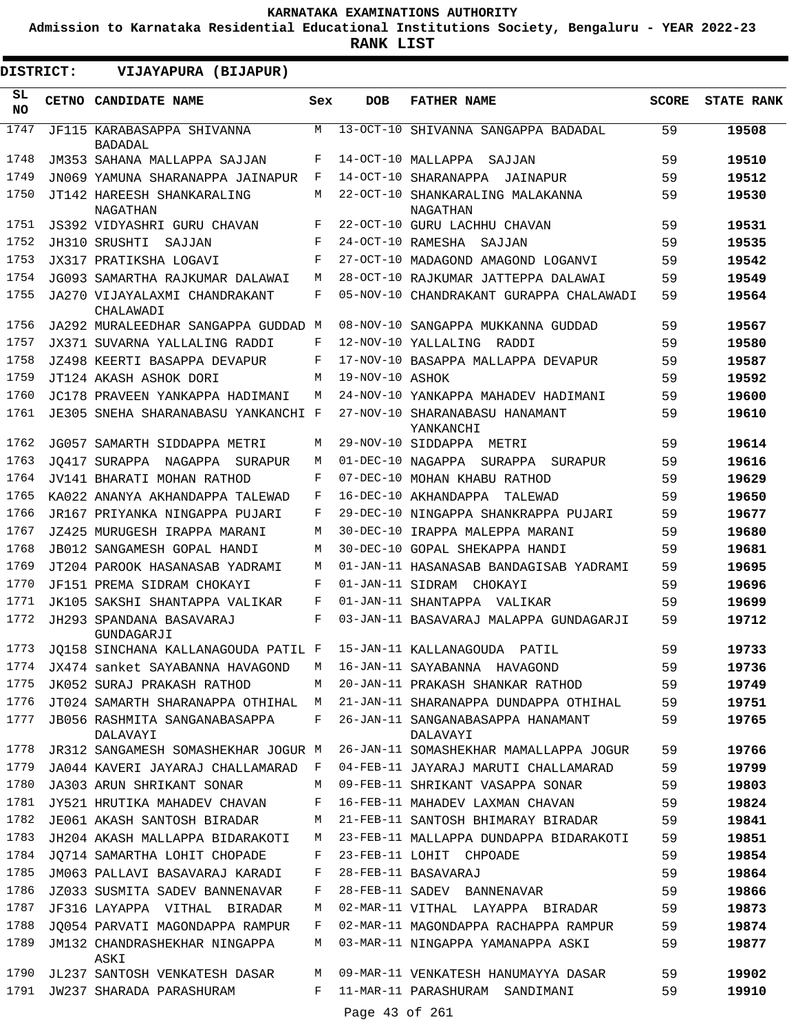**Admission to Karnataka Residential Educational Institutions Society, Bengaluru - YEAR 2022-23**

**RANK LIST**

ı

| DISTRICT:       | VIJAYAPURA (BIJAPUR)                                             |            |                   |                                               |              |                   |
|-----------------|------------------------------------------------------------------|------------|-------------------|-----------------------------------------------|--------------|-------------------|
| SL<br><b>NO</b> | CETNO CANDIDATE NAME                                             | Sex        | <b>DOB</b>        | <b>FATHER NAME</b>                            | <b>SCORE</b> | <b>STATE RANK</b> |
| 1747            | JF115 KARABASAPPA SHIVANNA<br><b>BADADAL</b>                     | M          |                   | 13-OCT-10 SHIVANNA SANGAPPA BADADAL           | 59           | 19508             |
| 1748            | JM353 SAHANA MALLAPPA SAJJAN                                     | F          |                   | 14-OCT-10 MALLAPPA SAJJAN                     | 59           | 19510             |
| 1749            | JN069 YAMUNA SHARANAPPA JAINAPUR                                 | F          |                   | 14-OCT-10 SHARANAPPA JAINAPUR                 | 59           | 19512             |
| 1750            | JT142 HAREESH SHANKARALING<br>NAGATHAN                           | M          |                   | 22-OCT-10 SHANKARALING MALAKANNA<br>NAGATHAN  | 59           | 19530             |
| 1751            | JS392 VIDYASHRI GURU CHAVAN                                      | F          |                   | 22-OCT-10 GURU LACHHU CHAVAN                  | 59           | 19531             |
| 1752            | JH310 SRUSHTI<br>SAJJAN                                          | F          | 24-OCT-10 RAMESHA | SAJJAN                                        | 59           | 19535             |
| 1753            | JX317 PRATIKSHA LOGAVI                                           | $_{\rm F}$ |                   | 27-OCT-10 MADAGOND AMAGOND LOGANVI            | 59           | 19542             |
| 1754            | JG093 SAMARTHA RAJKUMAR DALAWAI                                  | M          |                   | 28-OCT-10 RAJKUMAR JATTEPPA DALAWAI           | 59           | 19549             |
| 1755            | JA270 VIJAYALAXMI CHANDRAKANT<br>CHALAWADI                       | F          |                   | 05-NOV-10 CHANDRAKANT GURAPPA CHALAWADI       | 59           | 19564             |
| 1756            | JA292 MURALEEDHAR SANGAPPA GUDDAD M                              |            |                   | 08-NOV-10 SANGAPPA MUKKANNA GUDDAD            | 59           | 19567             |
| 1757            | JX371 SUVARNA YALLALING RADDI                                    | F          |                   | 12-NOV-10 YALLALING RADDI                     | 59           | 19580             |
| 1758            | JZ498 KEERTI BASAPPA DEVAPUR                                     | F          |                   | 17-NOV-10 BASAPPA MALLAPPA DEVAPUR            | 59           | 19587             |
| 1759            | JT124 AKASH ASHOK DORI                                           | M          | 19-NOV-10 ASHOK   |                                               | 59           | 19592             |
| 1760            | JC178 PRAVEEN YANKAPPA HADIMANI                                  | M          |                   | 24-NOV-10 YANKAPPA MAHADEV HADIMANI           | 59           | 19600             |
| 1761            | JE305 SNEHA SHARANABASU YANKANCHI F                              |            |                   | 27-NOV-10 SHARANABASU HANAMANT<br>YANKANCHI   | 59           | 19610             |
| 1762            | JG057 SAMARTH SIDDAPPA METRI                                     | М          |                   | 29-NOV-10 SIDDAPPA METRI                      | 59           | 19614             |
| 1763            | JO417 SURAPPA NAGAPPA SURAPUR                                    | M          |                   | 01-DEC-10 NAGAPPA SURAPPA SURAPUR             | 59           | 19616             |
| 1764            | JV141 BHARATI MOHAN RATHOD                                       | F          |                   | 07-DEC-10 MOHAN KHABU RATHOD                  | 59           | 19629             |
| 1765            | KA022 ANANYA AKHANDAPPA TALEWAD                                  | F          |                   | 16-DEC-10 AKHANDAPPA<br>TALEWAD               | 59           | 19650             |
| 1766            | JR167 PRIYANKA NINGAPPA PUJARI                                   | F          |                   | 29-DEC-10 NINGAPPA SHANKRAPPA PUJARI          | 59           | 19677             |
| 1767            | JZ425 MURUGESH IRAPPA MARANI                                     | M          |                   | 30-DEC-10 IRAPPA MALEPPA MARANI               | 59           | 19680             |
| 1768            | JB012 SANGAMESH GOPAL HANDI                                      | M          |                   | 30-DEC-10 GOPAL SHEKAPPA HANDI                | 59           | 19681             |
| 1769            | JT204 PAROOK HASANASAB YADRAMI                                   | M          |                   | 01-JAN-11 HASANASAB BANDAGISAB YADRAMI        | 59           | 19695             |
| 1770            | JF151 PREMA SIDRAM CHOKAYI                                       | F          |                   | 01-JAN-11 SIDRAM CHOKAYI                      | 59           | 19696             |
| 1771            | JK105 SAKSHI SHANTAPPA VALIKAR                                   | F          |                   | 01-JAN-11 SHANTAPPA VALIKAR                   | 59           | 19699             |
| 1772            | JH293 SPANDANA BASAVARAJ<br>GUNDAGARJI                           | F          |                   | 03-JAN-11 BASAVARAJ MALAPPA GUNDAGARJI        | 59           | 19712             |
| 1773            | JQ158 SINCHANA KALLANAGOUDA PATIL F 15-JAN-11 KALLANAGOUDA PATIL |            |                   |                                               | 59           | 19733             |
| 1774            | JX474 sanket SAYABANNA HAVAGOND                                  |            |                   | M 16-JAN-11 SAYABANNA HAVAGOND                | 59           | 19736             |
| 1775            | JK052 SURAJ PRAKASH RATHOD                                       | M          |                   | 20-JAN-11 PRAKASH SHANKAR RATHOD              | 59           | 19749             |
| 1776            | JT024 SAMARTH SHARANAPPA OTHIHAL M                               |            |                   | 21-JAN-11 SHARANAPPA DUNDAPPA OTHIHAL         | 59           | 19751             |
| 1777            | JB056 RASHMITA SANGANABASAPPA<br>DALAVAYI                        | F          |                   | 26-JAN-11 SANGANABASAPPA HANAMANT<br>DALAVAYI | 59           | 19765             |
| 1778            | JR312 SANGAMESH SOMASHEKHAR JOGUR M                              |            |                   | 26-JAN-11 SOMASHEKHAR MAMALLAPPA JOGUR        | 59           | 19766             |
| 1779            | JA044 KAVERI JAYARAJ CHALLAMARAD F                               |            |                   | 04-FEB-11 JAYARAJ MARUTI CHALLAMARAD          | 59           | 19799             |
| 1780            | JA303 ARUN SHRIKANT SONAR                                        | М          |                   | 09-FEB-11 SHRIKANT VASAPPA SONAR              | 59           | 19803             |
| 1781            | JY521 HRUTIKA MAHADEV CHAVAN                                     | F          |                   | 16-FEB-11 MAHADEV LAXMAN CHAVAN               | 59           | 19824             |
| 1782            | JE061 AKASH SANTOSH BIRADAR                                      | M          |                   | 21-FEB-11 SANTOSH BHIMARAY BIRADAR            | 59           | 19841             |
| 1783            | JH204 AKASH MALLAPPA BIDARAKOTI                                  | M          |                   | 23-FEB-11 MALLAPPA DUNDAPPA BIDARAKOTI        | 59           | 19851             |
| 1784            | JQ714 SAMARTHA LOHIT CHOPADE                                     | F          |                   | 23-FEB-11 LOHIT CHPOADE                       | 59           | 19854             |
| 1785            | JM063 PALLAVI BASAVARAJ KARADI                                   | F          |                   | 28-FEB-11 BASAVARAJ                           | 59           | 19864             |
| 1786            | JZ033 SUSMITA SADEV BANNENAVAR                                   | F          |                   | 28-FEB-11 SADEV BANNENAVAR                    | 59           | 19866             |
| 1787            | JF316 LAYAPPA VITHAL BIRADAR                                     | М          |                   | 02-MAR-11 VITHAL LAYAPPA BIRADAR              | 59           | 19873             |
| 1788            | JQ054 PARVATI MAGONDAPPA RAMPUR                                  | F          |                   | 02-MAR-11 MAGONDAPPA RACHAPPA RAMPUR          | 59           | 19874             |
| 1789            | JM132 CHANDRASHEKHAR NINGAPPA<br>ASKI                            | М          |                   | 03-MAR-11 NINGAPPA YAMANAPPA ASKI             | 59           | 19877             |
| 1790            | JL237 SANTOSH VENKATESH DASAR                                    | М          |                   | 09-MAR-11 VENKATESH HANUMAYYA DASAR           | 59           | 19902             |
| 1791            | JW237 SHARADA PARASHURAM                                         | F          | Page 43 of 261    | 11-MAR-11 PARASHURAM SANDIMANI                | 59           | 19910             |
|                 |                                                                  |            |                   |                                               |              |                   |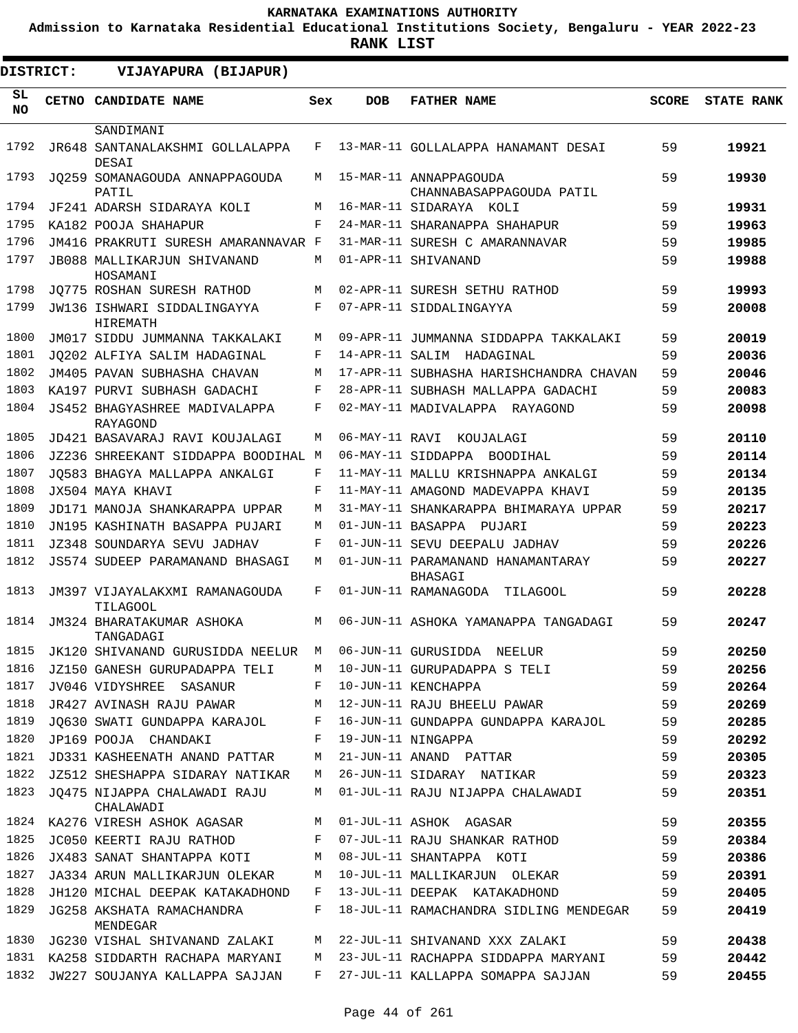**Admission to Karnataka Residential Educational Institutions Society, Bengaluru - YEAR 2022-23**

**RANK LIST**

| <b>DISTRICT:</b> | VIJAYAPURA (BIJAPUR)                             |     |                   |                                              |              |                   |
|------------------|--------------------------------------------------|-----|-------------------|----------------------------------------------|--------------|-------------------|
| SL<br>NO.        | CETNO CANDIDATE NAME                             | Sex | <b>DOB</b>        | <b>FATHER NAME</b>                           | <b>SCORE</b> | <b>STATE RANK</b> |
|                  | SANDIMANI                                        |     |                   |                                              |              |                   |
| 1792             | JR648 SANTANALAKSHMI GOLLALAPPA<br>DESAI         | F   |                   | 13-MAR-11 GOLLALAPPA HANAMANT DESAI          | 59           | 19921             |
| 1793             | JO259 SOMANAGOUDA ANNAPPAGOUDA                   | M   |                   | 15-MAR-11 ANNAPPAGOUDA                       | 59           | 19930             |
|                  | PATIL                                            |     |                   | CHANNABASAPPAGOUDA PATIL                     |              |                   |
| 1794             | JF241 ADARSH SIDARAYA KOLI                       | M   |                   | 16-MAR-11 SIDARAYA KOLI                      | 59           | 19931             |
| 1795             | KA182 POOJA SHAHAPUR                             | F   |                   | 24-MAR-11 SHARANAPPA SHAHAPUR                | 59           | 19963             |
| 1796             | JM416 PRAKRUTI SURESH AMARANNAVAR F              |     |                   | 31-MAR-11 SURESH C AMARANNAVAR               | 59           | 19985             |
| 1797             | JB088 MALLIKARJUN SHIVANAND<br>HOSAMANI          | М   |                   | 01-APR-11 SHIVANAND                          | 59           | 19988             |
| 1798             | JO775 ROSHAN SURESH RATHOD                       | M   |                   | 02-APR-11 SURESH SETHU RATHOD                | 59           | 19993             |
| 1799             | JW136 ISHWARI SIDDALINGAYYA<br>HIREMATH          | F   |                   | 07-APR-11 SIDDALINGAYYA                      | 59           | 20008             |
| 1800             | JM017 SIDDU JUMMANNA TAKKALAKI                   | M   |                   | 09-APR-11 JUMMANNA SIDDAPPA TAKKALAKI        | 59           | 20019             |
| 1801             | JO202 ALFIYA SALIM HADAGINAL                     | F   |                   | 14-APR-11 SALIM HADAGINAL                    | 59           | 20036             |
| 1802             | JM405 PAVAN SUBHASHA CHAVAN                      | M   |                   | 17-APR-11 SUBHASHA HARISHCHANDRA CHAVAN      | 59           | 20046             |
| 1803             | KA197 PURVI SUBHASH GADACHI                      | F   |                   | 28-APR-11 SUBHASH MALLAPPA GADACHI           | 59           | 20083             |
| 1804             | <b>JS452 BHAGYASHREE MADIVALAPPA</b><br>RAYAGOND | F   |                   | 02-MAY-11 MADIVALAPPA RAYAGOND               | 59           | 20098             |
| 1805             | JD421 BASAVARAJ RAVI KOUJALAGI                   | M   |                   | 06-MAY-11 RAVI KOUJALAGI                     | 59           | 20110             |
| 1806             | JZ236 SHREEKANT SIDDAPPA BOODIHAL M              |     |                   | 06-MAY-11 SIDDAPPA BOODIHAL                  | 59           | 20114             |
| 1807             | JO583 BHAGYA MALLAPPA ANKALGI                    | F   |                   | 11-MAY-11 MALLU KRISHNAPPA ANKALGI           | 59           | 20134             |
| 1808             | JX504 MAYA KHAVI                                 | F   |                   | 11-MAY-11 AMAGOND MADEVAPPA KHAVI            | 59           | 20135             |
| 1809             | JD171 MANOJA SHANKARAPPA UPPAR                   | M   |                   | 31-MAY-11 SHANKARAPPA BHIMARAYA UPPAR        | 59           | 20217             |
| 1810             | JN195 KASHINATH BASAPPA PUJARI                   | M   | 01-JUN-11 BASAPPA | PUJARI                                       | 59           | 20223             |
| 1811             | JZ348 SOUNDARYA SEVU JADHAV                      | F   |                   | 01-JUN-11 SEVU DEEPALU JADHAV                | 59           | 20226             |
| 1812             | JS574 SUDEEP PARAMANAND BHASAGI                  | M   |                   | 01-JUN-11 PARAMANAND HANAMANTARAY<br>BHASAGI | 59           | 20227             |
| 1813             | JM397 VIJAYALAKXMI RAMANAGOUDA<br>TILAGOOL       | F   |                   | 01-JUN-11 RAMANAGODA TILAGOOL                | 59           | 20228             |
| 1814             | JM324 BHARATAKUMAR ASHOKA<br>TANGADAGI           | M   |                   | 06-JUN-11 ASHOKA YAMANAPPA TANGADAGI         | 59           | 20247             |
| 1815             | JK120 SHIVANAND GURUSIDDA NEELUR                 |     |                   | M 06-JUN-11 GURUSIDDA NEELUR                 | 59           | 20250             |
| 1816             | JZ150 GANESH GURUPADAPPA TELI                    | M   |                   | 10-JUN-11 GURUPADAPPA S TELI                 | 59           | 20256             |
| 1817             | JV046 VIDYSHREE SASANUR                          | F   |                   | 10-JUN-11 KENCHAPPA                          | 59           | 20264             |
| 1818             | JR427 AVINASH RAJU PAWAR                         | M   |                   | 12-JUN-11 RAJU BHEELU PAWAR                  | 59           | 20269             |
| 1819             | JO630 SWATI GUNDAPPA KARAJOL                     | F   |                   | 16-JUN-11 GUNDAPPA GUNDAPPA KARAJOL          | 59           | 20285             |
| 1820             | JP169 POOJA CHANDAKI                             | F   |                   | 19-JUN-11 NINGAPPA                           | 59           | 20292             |
| 1821             | JD331 KASHEENATH ANAND PATTAR                    | М   |                   | 21-JUN-11 ANAND PATTAR                       | 59           | 20305             |
| 1822             | JZ512 SHESHAPPA SIDARAY NATIKAR                  | M   |                   | 26-JUN-11 SIDARAY NATIKAR                    | 59           | 20323             |
| 1823             | JQ475 NIJAPPA CHALAWADI RAJU<br>CHALAWADI        | М   |                   | 01-JUL-11 RAJU NIJAPPA CHALAWADI             | 59           | 20351             |
|                  | 1824 KA276 VIRESH ASHOK AGASAR                   | M   |                   | 01-JUL-11 ASHOK AGASAR                       | 59           | 20355             |
| 1825             | JC050 KEERTI RAJU RATHOD                         | F   |                   | 07-JUL-11 RAJU SHANKAR RATHOD                | 59           | 20384             |
| 1826             | JX483 SANAT SHANTAPPA KOTI                       | М   |                   | 08-JUL-11 SHANTAPPA KOTI                     | 59           | 20386             |
| 1827             | JA334 ARUN MALLIKARJUN OLEKAR                    | М   |                   | 10-JUL-11 MALLIKARJUN OLEKAR                 | 59           | 20391             |
| 1828             | JH120 MICHAL DEEPAK KATAKADHOND                  | F   |                   | 13-JUL-11 DEEPAK KATAKADHOND                 | 59           | 20405             |
| 1829             | JG258 AKSHATA RAMACHANDRA<br>MENDEGAR            | F   |                   | 18-JUL-11 RAMACHANDRA SIDLING MENDEGAR       | 59           | 20419             |
| 1830             | JG230 VISHAL SHIVANAND ZALAKI                    | М   |                   | 22-JUL-11 SHIVANAND XXX ZALAKI               | 59           | 20438             |
| 1831             | KA258 SIDDARTH RACHAPA MARYANI                   | М   |                   | 23-JUL-11 RACHAPPA SIDDAPPA MARYANI          | 59           | 20442             |
| 1832             | JW227 SOUJANYA KALLAPPA SAJJAN                   | F   |                   | 27-JUL-11 KALLAPPA SOMAPPA SAJJAN            | 59           | 20455             |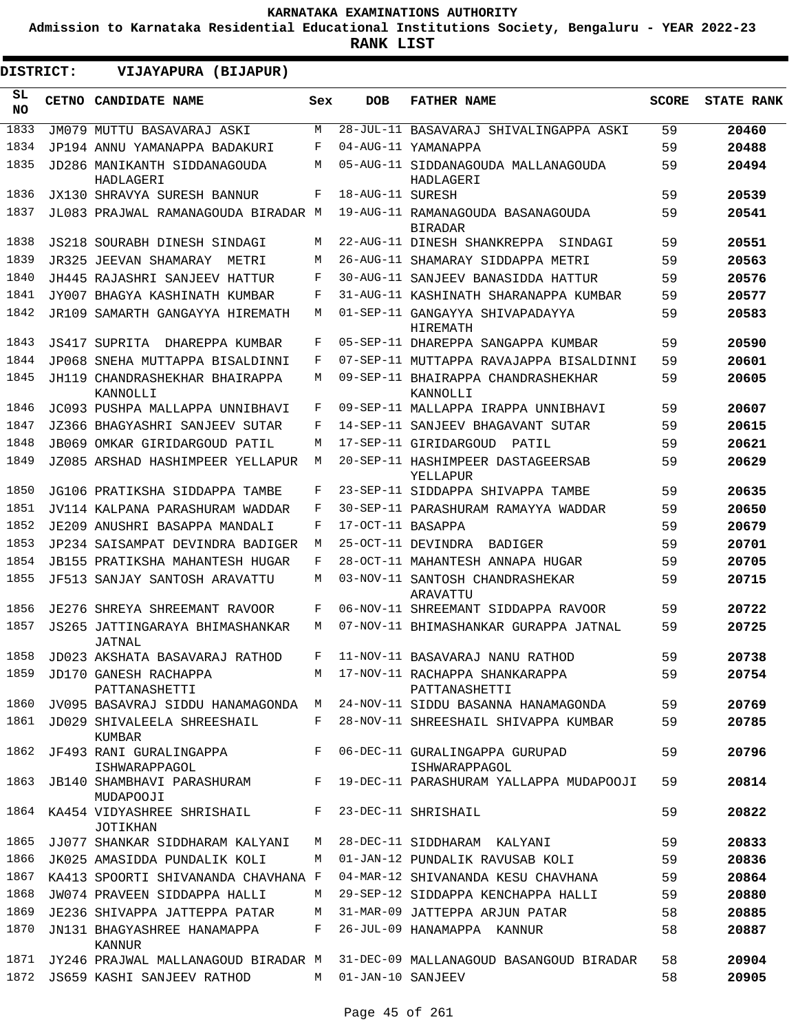**Admission to Karnataka Residential Educational Institutions Society, Bengaluru - YEAR 2022-23**

**RANK LIST**

| DISTRICT:        | VIJAYAPURA (BIJAPUR)                       |              |                     |                                                     |              |                   |
|------------------|--------------------------------------------|--------------|---------------------|-----------------------------------------------------|--------------|-------------------|
| SL.<br><b>NO</b> | <b>CETNO CANDIDATE NAME</b>                | Sex          | <b>DOB</b>          | <b>FATHER NAME</b>                                  | <b>SCORE</b> | <b>STATE RANK</b> |
| 1833             | JM079 MUTTU BASAVARAJ ASKI                 | M            |                     | 28-JUL-11 BASAVARAJ SHIVALINGAPPA ASKI              | 59           | 20460             |
| 1834             | JP194 ANNU YAMANAPPA BADAKURI              | F            |                     | 04-AUG-11 YAMANAPPA                                 | 59           | 20488             |
| 1835             | JD286 MANIKANTH SIDDANAGOUDA<br>HADLAGERI  | M            |                     | 05-AUG-11 SIDDANAGOUDA MALLANAGOUDA<br>HADLAGERI    | 59           | 20494             |
| 1836             | JX130 SHRAVYA SURESH BANNUR                | F            | 18-AUG-11 SURESH    |                                                     | 59           | 20539             |
| 1837             | JL083 PRAJWAL RAMANAGOUDA BIRADAR M        |              |                     | 19-AUG-11 RAMANAGOUDA BASANAGOUDA<br><b>BIRADAR</b> | 59           | 20541             |
| 1838             | JS218 SOURABH DINESH SINDAGI               | M            |                     | 22-AUG-11 DINESH SHANKREPPA<br>SINDAGI              | 59           | 20551             |
| 1839             | JR325 JEEVAN SHAMARAY<br>METRI             | M            |                     | 26-AUG-11 SHAMARAY SIDDAPPA METRI                   | 59           | 20563             |
| 1840             | JH445 RAJASHRI SANJEEV HATTUR              | F            |                     | 30-AUG-11 SANJEEV BANASIDDA HATTUR                  | 59           | 20576             |
| 1841             | JY007 BHAGYA KASHINATH KUMBAR              | F            |                     | 31-AUG-11 KASHINATH SHARANAPPA KUMBAR               | 59           | 20577             |
| 1842             | JR109 SAMARTH GANGAYYA HIREMATH            | M            |                     | 01-SEP-11 GANGAYYA SHIVAPADAYYA<br>HIREMATH         | 59           | 20583             |
| 1843             | JS417 SUPRITA DHAREPPA KUMBAR              | F            |                     | 05-SEP-11 DHAREPPA SANGAPPA KUMBAR                  | 59           | 20590             |
| 1844             | JP068 SNEHA MUTTAPPA BISALDINNI            | F            |                     | 07-SEP-11 MUTTAPPA RAVAJAPPA BISALDINNI             | 59           | 20601             |
| 1845             | JH119 CHANDRASHEKHAR BHAIRAPPA<br>KANNOLLI | M            |                     | 09-SEP-11 BHAIRAPPA CHANDRASHEKHAR<br>KANNOLLI      | 59           | 20605             |
| 1846             | JC093 PUSHPA MALLAPPA UNNIBHAVI            | F            |                     | 09-SEP-11 MALLAPPA IRAPPA UNNIBHAVI                 | 59           | 20607             |
| 1847             | JZ366 BHAGYASHRI SANJEEV SUTAR             | F            |                     | 14-SEP-11 SANJEEV BHAGAVANT SUTAR                   | 59           | 20615             |
| 1848             | JB069 OMKAR GIRIDARGOUD PATIL              | M            |                     | 17-SEP-11 GIRIDARGOUD<br>PATTI,                     | 59           | 20621             |
| 1849             | JZ085 ARSHAD HASHIMPEER YELLAPUR           | M            |                     | 20-SEP-11 HASHIMPEER DASTAGEERSAB<br>YELLAPUR       | 59           | 20629             |
| 1850             | JG106 PRATIKSHA SIDDAPPA TAMBE             | F            |                     | 23-SEP-11 SIDDAPPA SHIVAPPA TAMBE                   | 59           | 20635             |
| 1851             | JV114 KALPANA PARASHURAM WADDAR            | F            |                     | 30-SEP-11 PARASHURAM RAMAYYA WADDAR                 | 59           | 20650             |
| 1852             | JE209 ANUSHRI BASAPPA MANDALI              | F            | 17-OCT-11 BASAPPA   |                                                     | 59           | 20679             |
| 1853             | JP234 SAISAMPAT DEVINDRA BADIGER           | M            |                     | 25-OCT-11 DEVINDRA<br>BADIGER                       | 59           | 20701             |
| 1854             | JB155 PRATIKSHA MAHANTESH HUGAR            | F            |                     | 28-OCT-11 MAHANTESH ANNAPA HUGAR                    | 59           | 20705             |
| 1855             | JF513 SANJAY SANTOSH ARAVATTU              | M            |                     | 03-NOV-11 SANTOSH CHANDRASHEKAR<br>ARAVATTU         | 59           | 20715             |
| 1856             | JE276 SHREYA SHREEMANT RAVOOR              | F            |                     | 06-NOV-11 SHREEMANT SIDDAPPA RAVOOR                 | 59           | 20722             |
| 1857             | JS265 JATTINGARAYA BHIMASHANKAR<br>JATNAL  | M            |                     | 07-NOV-11 BHIMASHANKAR GURAPPA JATNAL               | 59           | 20725             |
| 1858             | JD023 AKSHATA BASAVARAJ RATHOD             | F            |                     | 11-NOV-11 BASAVARAJ NANU RATHOD                     | 59           | 20738             |
| 1859             | JD170 GANESH RACHAPPA<br>PATTANASHETTI     |              |                     | M 17-NOV-11 RACHAPPA SHANKARAPPA<br>PATTANASHETTI   | 59           | 20754             |
| 1860             | JV095 BASAVRAJ SIDDU HANAMAGONDA M         |              |                     | 24-NOV-11 SIDDU BASANNA HANAMAGONDA                 | 59           | 20769             |
| 1861             | JD029 SHIVALEELA SHREESHAIL<br>KUMBAR      | F            |                     | 28-NOV-11 SHREESHAIL SHIVAPPA KUMBAR                | 59           | 20785             |
| 1862             | JF493 RANI GURALINGAPPA<br>ISHWARAPPAGOL   | $\mathbf{F}$ |                     | 06-DEC-11 GURALINGAPPA GURUPAD<br>ISHWARAPPAGOL     | 59           | 20796             |
| 1863             | JB140 SHAMBHAVI PARASHURAM<br>MUDAPOOJI    | F            |                     | 19-DEC-11 PARASHURAM YALLAPPA MUDAPOOJI             | 59           | 20814             |
| 1864             | KA454 VIDYASHREE SHRISHAIL<br>JOTIKHAN     | $F$ and      |                     | 23-DEC-11 SHRISHAIL                                 | 59           | 20822             |
| 1865             | JJ077 SHANKAR SIDDHARAM KALYANI            | M            |                     | 28-DEC-11 SIDDHARAM KALYANI                         | 59           | 20833             |
| 1866             | JK025 AMASIDDA PUNDALIK KOLI               | M            |                     | 01-JAN-12 PUNDALIK RAVUSAB KOLI                     | 59           | 20836             |
| 1867             | KA413 SPOORTI SHIVANANDA CHAVHANA F        |              |                     | 04-MAR-12 SHIVANANDA KESU CHAVHANA                  | 59           | 20864             |
| 1868             | JW074 PRAVEEN SIDDAPPA HALLI               | M            |                     | 29-SEP-12 SIDDAPPA KENCHAPPA HALLI                  | 59           | 20880             |
| 1869             | JE236 SHIVAPPA JATTEPPA PATAR              | M            |                     | 31-MAR-09 JATTEPPA ARJUN PATAR                      | 58           | 20885             |
| 1870             | JN131 BHAGYASHREE HANAMAPPA<br>KANNUR      | F            |                     | 26-JUL-09 HANAMAPPA KANNUR                          | 58           | 20887             |
| 1871             | JY246 PRAJWAL MALLANAGOUD BIRADAR M        |              |                     | 31-DEC-09 MALLANAGOUD BASANGOUD BIRADAR             | 58           | 20904             |
| 1872             | JS659 KASHI SANJEEV RATHOD                 |              | M 01-JAN-10 SANJEEV |                                                     | 58           | 20905             |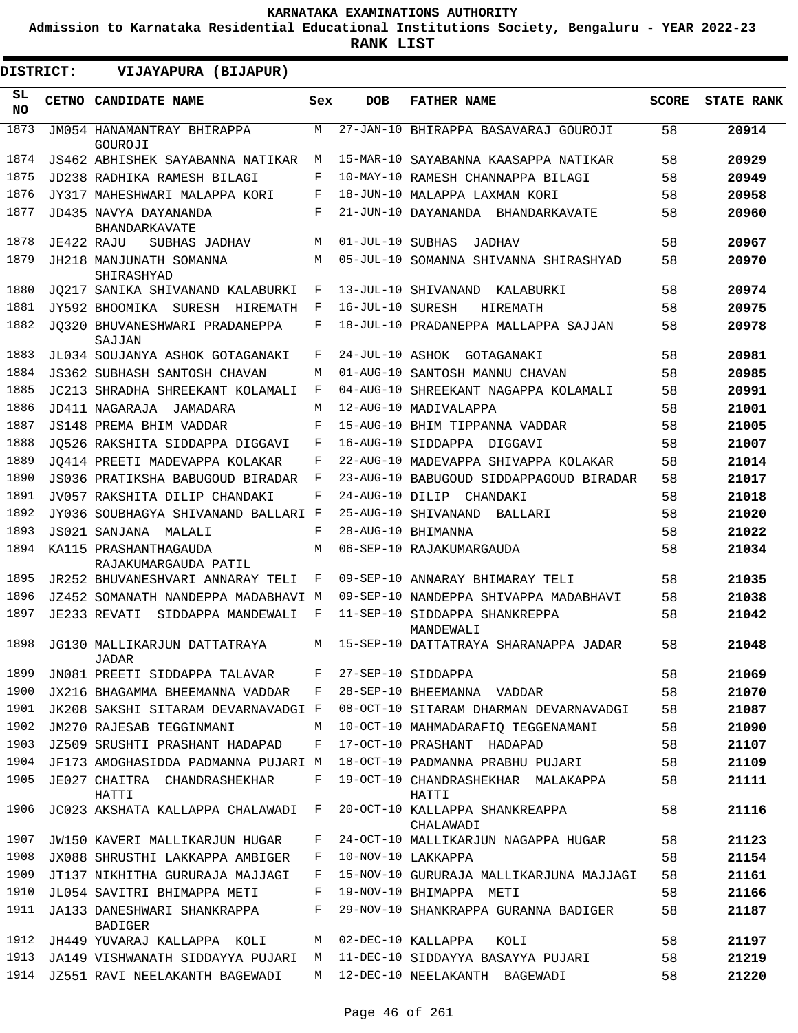**Admission to Karnataka Residential Educational Institutions Society, Bengaluru - YEAR 2022-23**

| DISTRICT:    |            | VIJAYAPURA (BIJAPUR)                                                |        |                  |                                                                        |              |                   |
|--------------|------------|---------------------------------------------------------------------|--------|------------------|------------------------------------------------------------------------|--------------|-------------------|
| SL.<br>NO.   |            | CETNO CANDIDATE NAME                                                | Sex    | <b>DOB</b>       | <b>FATHER NAME</b>                                                     | <b>SCORE</b> | <b>STATE RANK</b> |
| 1873         |            | JM054 HANAMANTRAY BHIRAPPA<br>GOUROJI                               | M      |                  | 27-JAN-10 BHIRAPPA BASAVARAJ GOUROJI                                   | 58           | 20914             |
| 1874         |            | JS462 ABHISHEK SAYABANNA NATIKAR                                    | M      |                  | 15-MAR-10 SAYABANNA KAASAPPA NATIKAR                                   | 58           | 20929             |
| 1875         |            | JD238 RADHIKA RAMESH BILAGI                                         | F      |                  | 10-MAY-10 RAMESH CHANNAPPA BILAGI                                      | 58           | 20949             |
| 1876         |            | JY317 MAHESHWARI MALAPPA KORI                                       | F      |                  | 18-JUN-10 MALAPPA LAXMAN KORI                                          | 58           | 20958             |
| 1877         |            | JD435 NAVYA DAYANANDA<br>BHANDARKAVATE                              | F      |                  | 21-JUN-10 DAYANANDA BHANDARKAVATE                                      | 58           | 20960             |
| 1878         | JE422 RAJU | SUBHAS JADHAV                                                       | M      | 01-JUL-10 SUBHAS | JADHAV                                                                 | 58           | 20967             |
| 1879         |            | JH218 MANJUNATH SOMANNA<br>SHIRASHYAD                               | M      |                  | 05-JUL-10 SOMANNA SHIVANNA SHIRASHYAD                                  | 58           | 20970             |
| 1880         |            | JQ217 SANIKA SHIVANAND KALABURKI                                    | F      |                  | 13-JUL-10 SHIVANAND KALABURKI                                          | 58           | 20974             |
| 1881         |            | JY592 BHOOMIKA SURESH HIREMATH                                      | F      | 16-JUL-10 SURESH | HIREMATH                                                               | 58           | 20975             |
| 1882         |            | JO320 BHUVANESHWARI PRADANEPPA<br>SAJJAN                            | F      |                  | 18-JUL-10 PRADANEPPA MALLAPPA SAJJAN                                   | 58           | 20978             |
| 1883         |            | JL034 SOUJANYA ASHOK GOTAGANAKI                                     | F      |                  | 24-JUL-10 ASHOK GOTAGANAKI                                             | 58           | 20981             |
| 1884         |            | <b>JS362 SUBHASH SANTOSH CHAVAN</b>                                 | M      |                  | 01-AUG-10 SANTOSH MANNU CHAVAN                                         | 58           | 20985             |
| 1885         |            | JC213 SHRADHA SHREEKANT KOLAMALI                                    | F      |                  | 04-AUG-10 SHREEKANT NAGAPPA KOLAMALI                                   | 58           | 20991             |
| 1886         |            | JD411 NAGARAJA<br>JAMADARA                                          | M      |                  | 12-AUG-10 MADIVALAPPA                                                  | 58           | 21001             |
| 1887         |            | JS148 PREMA BHIM VADDAR                                             | F      |                  | 15-AUG-10 BHIM TIPPANNA VADDAR                                         | 58           | 21005             |
| 1888         |            | JO526 RAKSHITA SIDDAPPA DIGGAVI                                     | F      |                  | 16-AUG-10 SIDDAPPA DIGGAVI                                             | 58           | 21007             |
| 1889         |            | JO414 PREETI MADEVAPPA KOLAKAR                                      | F      |                  | 22-AUG-10 MADEVAPPA SHIVAPPA KOLAKAR                                   | 58           | 21014             |
| 1890         |            | JS036 PRATIKSHA BABUGOUD BIRADAR                                    | F      |                  | 23-AUG-10 BABUGOUD SIDDAPPAGOUD BIRADAR                                | 58           | 21017             |
| 1891         |            | JV057 RAKSHITA DILIP CHANDAKI                                       | F      | 24-AUG-10 DILIP  | CHANDAKI                                                               | 58           | 21018             |
| 1892         |            | JY036 SOUBHAGYA SHIVANAND BALLARI F                                 |        |                  | 25-AUG-10 SHIVANAND<br>BALLARI                                         | 58           | 21020             |
| 1893         |            | JS021 SANJANA<br>MALALI                                             | F      |                  | 28-AUG-10 BHIMANNA                                                     | 58           | 21022             |
| 1894         |            | KA115 PRASHANTHAGAUDA<br>RAJAKUMARGAUDA PATIL                       | M      |                  | 06-SEP-10 RAJAKUMARGAUDA                                               | 58           | 21034             |
| 1895         |            | JR252 BHUVANESHVARI ANNARAY TELI                                    | F      |                  | 09-SEP-10 ANNARAY BHIMARAY TELI                                        | 58           | 21035             |
| 1896         |            | JZ452 SOMANATH NANDEPPA MADABHAVI M                                 |        |                  | 09-SEP-10 NANDEPPA SHIVAPPA MADABHAVI                                  | 58           | 21038             |
| 1897         |            | JE233 REVATI SIDDAPPA MANDEWALI                                     | F      |                  | 11-SEP-10 SIDDAPPA SHANKREPPA<br>MANDEWALI                             | 58           | 21042             |
| 1898         |            | JG130 MALLIKARJUN DATTATRAYA<br>JADAR                               | M      |                  | 15-SEP-10 DATTATRAYA SHARANAPPA JADAR                                  | 58           | 21048             |
| 1899         |            | JN081 PREETI SIDDAPPA TALAVAR                                       | F      |                  | 27-SEP-10 SIDDAPPA                                                     | 58           | 21069             |
| 1900         |            | JX216 BHAGAMMA BHEEMANNA VADDAR                                     | F      |                  | 28-SEP-10 BHEEMANNA VADDAR                                             | 58           | 21070             |
| 1901         |            | JK208 SAKSHI SITARAM DEVARNAVADGI F                                 |        |                  | 08-OCT-10 SITARAM DHARMAN DEVARNAVADGI                                 | 58           | 21087             |
| 1902         |            | JM270 RAJESAB TEGGINMANI                                            | M      |                  | 10-OCT-10 MAHMADARAFIO TEGGENAMANI                                     | 58           | 21090             |
| 1903         |            | JZ509 SRUSHTI PRASHANT HADAPAD                                      | F      |                  | 17-OCT-10 PRASHANT HADAPAD                                             | 58           | 21107             |
| 1904<br>1905 |            | JF173 AMOGHASIDDA PADMANNA PUJARI M<br>JE027 CHAITRA CHANDRASHEKHAR | F      |                  | 18-OCT-10 PADMANNA PRABHU PUJARI<br>19-OCT-10 CHANDRASHEKHAR MALAKAPPA | 58<br>58     | 21109<br>21111    |
| 1906         |            | HATTI<br>JC023 AKSHATA KALLAPPA CHALAWADI F                         |        |                  | HATTI<br>20-OCT-10 KALLAPPA SHANKREAPPA                                | 58           | 21116             |
|              |            |                                                                     |        |                  | CHALAWADI                                                              |              |                   |
| 1907         |            | <b>JW150 KAVERI MALLIKARJUN HUGAR</b>                               | F      |                  | 24-OCT-10 MALLIKARJUN NAGAPPA HUGAR                                    | 58           | 21123             |
| 1908<br>1909 |            | JX088 SHRUSTHI LAKKAPPA AMBIGER                                     | F<br>F |                  | 10-NOV-10 LAKKAPPA                                                     | 58           | 21154             |
| 1910         |            | JT137 NIKHITHA GURURAJA MAJJAGI                                     | F      |                  | 15-NOV-10 GURURAJA MALLIKARJUNA MAJJAGI<br>19-NOV-10 BHIMAPPA METI     | 58<br>58     | 21161             |
| 1911         |            | JL054 SAVITRI BHIMAPPA METI                                         | F      |                  |                                                                        |              | 21166             |
|              |            | JA133 DANESHWARI SHANKRAPPA<br><b>BADIGER</b>                       |        |                  | 29-NOV-10 SHANKRAPPA GURANNA BADIGER                                   | 58           | 21187             |
| 1912         |            | JH449 YUVARAJ KALLAPPA KOLI                                         | M      |                  | 02-DEC-10 KALLAPPA<br>KOLI                                             | 58           | 21197             |
| 1913         |            | JA149 VISHWANATH SIDDAYYA PUJARI                                    | М      |                  | 11-DEC-10 SIDDAYYA BASAYYA PUJARI                                      | 58           | 21219             |
| 1914         |            | JZ551 RAVI NEELAKANTH BAGEWADI                                      | M      |                  | 12-DEC-10 NEELAKANTH BAGEWADI                                          | 58           | 21220             |
|              |            |                                                                     |        |                  |                                                                        |              |                   |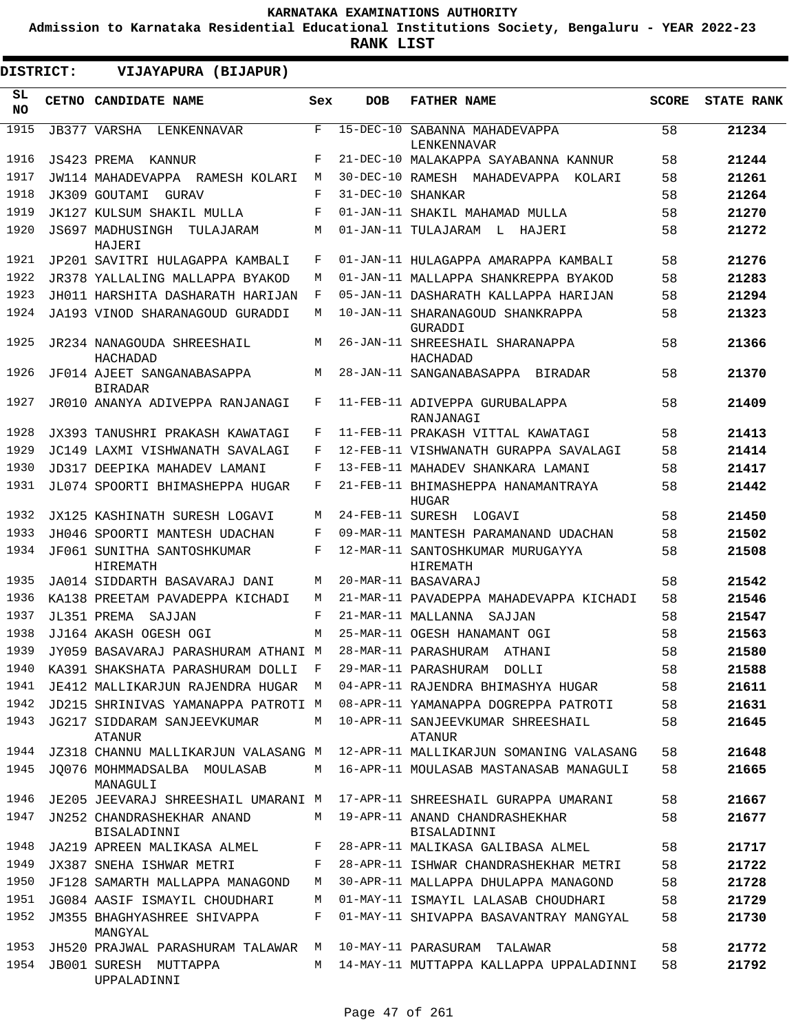**Admission to Karnataka Residential Educational Institutions Society, Bengaluru - YEAR 2022-23**

| <b>DISTRICT:</b> | VIJAYAPURA (BIJAPUR)                                     |     |                 |                                               |              |                   |
|------------------|----------------------------------------------------------|-----|-----------------|-----------------------------------------------|--------------|-------------------|
| SL<br>NO.        | CETNO CANDIDATE NAME                                     | Sex | <b>DOB</b>      | <b>FATHER NAME</b>                            | <b>SCORE</b> | <b>STATE RANK</b> |
| 1915             | JB377 VARSHA<br>LENKENNAVAR                              | F   | $15-DEC-10$     | SABANNA MAHADEVAPPA<br>LENKENNAVAR            | 58           | 21234             |
| 1916             | JS423 PREMA<br>KANNIJR                                   | F   |                 | 21-DEC-10 MALAKAPPA SAYABANNA KANNUR          | 58           | 21244             |
| 1917             | JW114 MAHADEVAPPA RAMESH KOLARI                          | М   |                 | 30-DEC-10 RAMESH MAHADEVAPPA<br>KOLARI        | 58           | 21261             |
| 1918             | JK309 GOUTAMI<br><b>GURAV</b>                            | F   | $31 - DEC - 10$ | SHANKAR                                       | 58           | 21264             |
| 1919             | JK127 KULSUM SHAKIL MULLA                                | F   |                 | 01-JAN-11 SHAKIL MAHAMAD MULLA                | 58           | 21270             |
| 1920             | JS697 MADHUSINGH<br>TULAJARAM<br>HAJERI                  | М   |                 | 01-JAN-11 TULAJARAM L<br>HAJERI               | 58           | 21272             |
| 1921             | JP201 SAVITRI HULAGAPPA KAMBALI                          | F   |                 | 01-JAN-11 HULAGAPPA AMARAPPA KAMBALI          | 58           | 21276             |
| 1922             | JR378 YALLALING MALLAPPA BYAKOD                          | M   |                 | 01-JAN-11 MALLAPPA SHANKREPPA BYAKOD          | 58           | 21283             |
| 1923             | JH011 HARSHITA DASHARATH HARIJAN                         | F   |                 | 05-JAN-11 DASHARATH KALLAPPA HARIJAN          | 58           | 21294             |
| 1924             | JA193 VINOD SHARANAGOUD GURADDI                          | M   |                 | 10-JAN-11 SHARANAGOUD SHANKRAPPA<br>GURADDI   | 58           | 21323             |
| 1925             | JR234 NANAGOUDA SHREESHAIL<br>HACHADAD                   | М   |                 | 26-JAN-11 SHREESHAIL SHARANAPPA<br>HACHADAD   | 58           | 21366             |
| 1926             | JF014 AJEET SANGANABASAPPA<br><b>BIRADAR</b>             | М   |                 | 28-JAN-11 SANGANABASAPPA BIRADAR              | 58           | 21370             |
| 1927             | JR010 ANANYA ADIVEPPA RANJANAGI                          | F   |                 | 11-FEB-11 ADIVEPPA GURUBALAPPA<br>RANJANAGI   | 58           | 21409             |
| 1928             | JX393 TANUSHRI PRAKASH KAWATAGI                          | F   |                 | 11-FEB-11 PRAKASH VITTAL KAWATAGI             | 58           | 21413             |
| 1929             | JC149 LAXMI VISHWANATH SAVALAGI                          | F   |                 | 12-FEB-11 VISHWANATH GURAPPA SAVALAGI         | 58           | 21414             |
| 1930             | JD317 DEEPIKA MAHADEV LAMANI                             | F   |                 | 13-FEB-11 MAHADEV SHANKARA LAMANI             | 58           | 21417             |
| 1931             | JL074 SPOORTI BHIMASHEPPA HUGAR                          | F   |                 | 21-FEB-11 BHIMASHEPPA HANAMANTRAYA<br>HUGAR   | 58           | 21442             |
| 1932             | JX125 KASHINATH SURESH LOGAVI                            | М   |                 | 24-FEB-11 SURESH LOGAVI                       | 58           | 21450             |
| 1933             | JH046 SPOORTI MANTESH UDACHAN                            | F   |                 | 09-MAR-11 MANTESH PARAMANAND UDACHAN          | 58           | 21502             |
| 1934             | JF061 SUNITHA SANTOSHKUMAR<br>HIREMATH                   | F   |                 | 12-MAR-11 SANTOSHKUMAR MURUGAYYA<br>HIREMATH  | 58           | 21508             |
| 1935             | JA014 SIDDARTH BASAVARAJ DANI                            | М   |                 | 20-MAR-11 BASAVARAJ                           | 58           | 21542             |
| 1936             | KA138 PREETAM PAVADEPPA KICHADI                          | M   |                 | 21-MAR-11 PAVADEPPA MAHADEVAPPA KICHADI       | 58           | 21546             |
| 1937             | JL351 PREMA<br>SAJJAN                                    | F   |                 | 21-MAR-11 MALLANNA<br>SAJJAN                  | 58           | 21547             |
| 1938             | JJ164 AKASH OGESH OGI                                    | M   |                 | 25-MAR-11 OGESH HANAMANT OGI                  | 58           | 21563             |
| 1939             | JY059 BASAVARAJ PARASHURAM ATHANI M 28-MAR-11 PARASHURAM |     |                 | ATHANI                                        | 58           | 21580             |
| 1940             | KA391 SHAKSHATA PARASHURAM DOLLI                         | F   |                 | 29-MAR-11 PARASHURAM<br>DOLLI                 | 58           | 21588             |
| 1941             | JE412 MALLIKARJUN RAJENDRA HUGAR                         | M   |                 | 04-APR-11 RAJENDRA BHIMASHYA HUGAR            | 58           | 21611             |
| 1942             | JD215 SHRINIVAS YAMANAPPA PATROTI M                      |     |                 | 08-APR-11 YAMANAPPA DOGREPPA PATROTI          | 58           | 21631             |
| 1943             | JG217 SIDDARAM SANJEEVKUMAR<br>ATANUR                    | М   |                 | 10-APR-11 SANJEEVKUMAR SHREESHAIL<br>ATANUR   | 58           | 21645             |
| 1944             | JZ318 CHANNU MALLIKARJUN VALASANG M                      |     |                 | 12-APR-11 MALLIKARJUN SOMANING VALASANG       | 58           | 21648             |
| 1945             | JO076 MOHMMADSALBA MOULASAB<br>MANAGULI                  | М   |                 | 16-APR-11 MOULASAB MASTANASAB MANAGULI        | 58           | 21665             |
| 1946             | JE205 JEEVARAJ SHREESHAIL UMARANI M                      |     |                 | 17-APR-11 SHREESHAIL GURAPPA UMARANI          | 58           | 21667             |
| 1947             | JN252 CHANDRASHEKHAR ANAND<br>BISALADINNI                | М   |                 | 19-APR-11 ANAND CHANDRASHEKHAR<br>BISALADINNI | 58           | 21677             |
| 1948             | JA219 APREEN MALIKASA ALMEL                              | F   |                 | 28-APR-11 MALIKASA GALIBASA ALMEL             | 58           | 21717             |
| 1949             | JX387 SNEHA ISHWAR METRI                                 | F   |                 | 28-APR-11 ISHWAR CHANDRASHEKHAR METRI         | 58           | 21722             |
| 1950             | JF128 SAMARTH MALLAPPA MANAGOND                          | М   |                 | 30-APR-11 MALLAPPA DHULAPPA MANAGOND          | 58           | 21728             |
| 1951             | JG084 AASIF ISMAYIL CHOUDHARI                            | М   |                 | 01-MAY-11 ISMAYIL LALASAB CHOUDHARI           | 58           | 21729             |
| 1952             | JM355 BHAGHYASHREE SHIVAPPA<br>MANGYAL                   | F   |                 | 01-MAY-11 SHIVAPPA BASAVANTRAY MANGYAL        | 58           | 21730             |
| 1953             | JH520 PRAJWAL PARASHURAM TALAWAR                         | M   |                 | 10-MAY-11 PARASURAM TALAWAR                   | 58           | 21772             |
| 1954             | JB001 SURESH MUTTAPPA<br>UPPALADINNI                     | M   |                 | 14-MAY-11 MUTTAPPA KALLAPPA UPPALADINNI       | 58           | 21792             |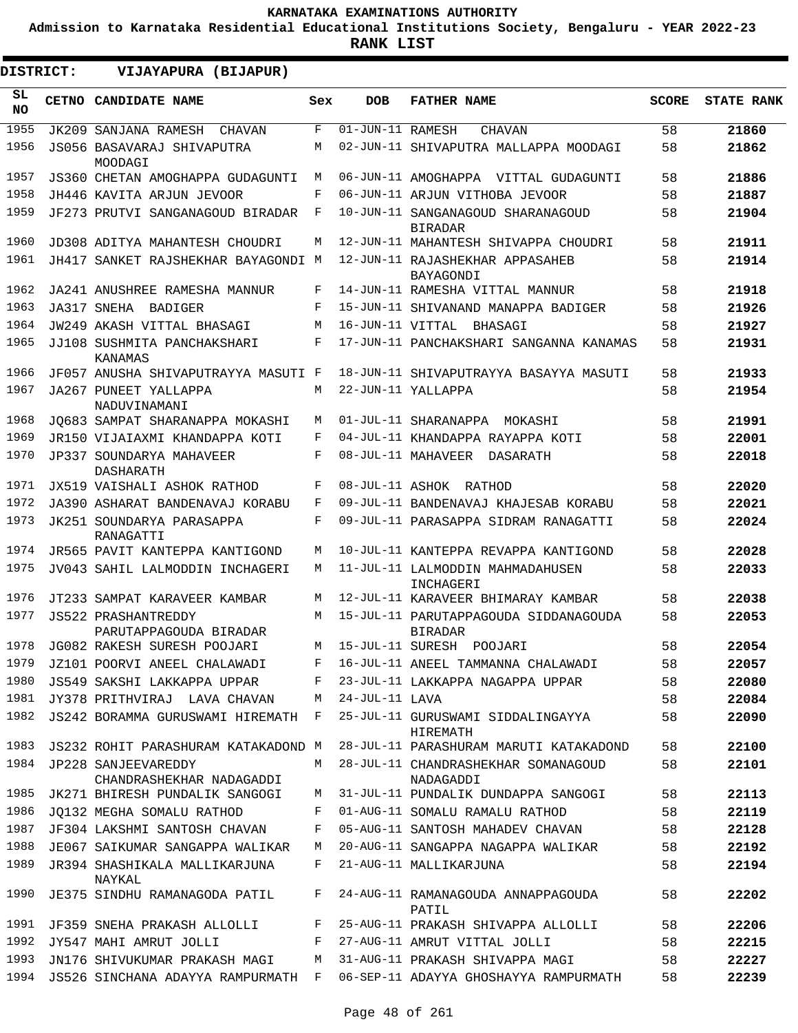**Admission to Karnataka Residential Educational Institutions Society, Bengaluru - YEAR 2022-23**

**RANK LIST**

| <b>DISTRICT:</b> |  | VIJAYAPURA (BIJAPUR)                                 |            |                               |                                                                            |       |                   |
|------------------|--|------------------------------------------------------|------------|-------------------------------|----------------------------------------------------------------------------|-------|-------------------|
| SL<br>NO.        |  | CETNO CANDIDATE NAME                                 | Sex        | <b>DOB</b>                    | <b>FATHER NAME</b>                                                         | SCORE | <b>STATE RANK</b> |
| 1955             |  | JK209 SANJANA RAMESH<br><b>CHAVAN</b>                | $_{\rm F}$ | $\overline{01-JUN}-11$ RAMESH | <b>CHAVAN</b>                                                              | 58    | 21860             |
| 1956             |  | JS056 BASAVARAJ SHIVAPUTRA<br>MOODAGI                | М          |                               | 02-JUN-11 SHIVAPUTRA MALLAPPA MOODAGI                                      | 58    | 21862             |
| 1957             |  | JS360 CHETAN AMOGHAPPA GUDAGUNTI                     | М          |                               | 06-JUN-11 AMOGHAPPA VITTAL GUDAGUNTI                                       | 58    | 21886             |
| 1958             |  | JH446 KAVITA ARJUN JEVOOR                            | F          |                               | 06-JUN-11 ARJUN VITHOBA JEVOOR                                             | 58    | 21887             |
| 1959             |  | JF273 PRUTVI SANGANAGOUD BIRADAR                     | F          |                               | 10-JUN-11 SANGANAGOUD SHARANAGOUD<br><b>BIRADAR</b>                        | 58    | 21904             |
| 1960             |  | JD308 ADITYA MAHANTESH CHOUDRI                       | М          |                               | 12-JUN-11 MAHANTESH SHIVAPPA CHOUDRI                                       | 58    | 21911             |
| 1961             |  | JH417 SANKET RAJSHEKHAR BAYAGONDI M                  |            |                               | 12-JUN-11 RAJASHEKHAR APPASAHEB<br>BAYAGONDI                               | 58    | 21914             |
| 1962             |  | JA241 ANUSHREE RAMESHA MANNUR                        | F          |                               | 14-JUN-11 RAMESHA VITTAL MANNUR                                            | 58    | 21918             |
| 1963             |  | JA317 SNEHA<br>BADIGER                               | F          |                               | 15-JUN-11 SHIVANAND MANAPPA BADIGER                                        | 58    | 21926             |
| 1964             |  | JW249 AKASH VITTAL BHASAGI                           | М          | 16-JUN-11 VITTAL              | BHASAGI                                                                    | 58    | 21927             |
| 1965             |  | JJ108 SUSHMITA PANCHAKSHARI<br>KANAMAS               | F          |                               | 17-JUN-11 PANCHAKSHARI SANGANNA KANAMAS                                    | 58    | 21931             |
| 1966             |  | JF057 ANUSHA SHIVAPUTRAYYA MASUTI F                  |            |                               | 18-JUN-11 SHIVAPUTRAYYA BASAYYA MASUTI                                     | 58    | 21933             |
| 1967             |  | JA267 PUNEET YALLAPPA<br>NADUVINAMANI                | М          |                               | 22-JUN-11 YALLAPPA                                                         | 58    | 21954             |
| 1968             |  | JO683 SAMPAT SHARANAPPA MOKASHI                      | М          |                               | 01-JUL-11 SHARANAPPA<br>MOKASHI                                            | 58    | 21991             |
| 1969             |  | JR150 VIJAIAXMI KHANDAPPA KOTI                       | F          |                               | 04-JUL-11 KHANDAPPA RAYAPPA KOTI                                           | 58    | 22001             |
| 1970             |  | JP337 SOUNDARYA MAHAVEER<br>DASHARATH                | F          |                               | 08-JUL-11 MAHAVEER DASARATH                                                | 58    | 22018             |
| 1971             |  | JX519 VAISHALI ASHOK RATHOD                          | F          |                               | 08-JUL-11 ASHOK RATHOD                                                     | 58    | 22020             |
| 1972             |  | JA390 ASHARAT BANDENAVAJ KORABU                      | F          |                               | 09-JUL-11 BANDENAVAJ KHAJESAB KORABU                                       | 58    | 22021             |
| 1973             |  | JK251 SOUNDARYA PARASAPPA<br>RANAGATTI               | F          |                               | 09-JUL-11 PARASAPPA SIDRAM RANAGATTI                                       | 58    | 22024             |
| 1974             |  | JR565 PAVIT KANTEPPA KANTIGOND                       | М          |                               | 10-JUL-11 KANTEPPA REVAPPA KANTIGOND                                       | 58    | 22028             |
| 1975             |  | JV043 SAHIL LALMODDIN INCHAGERI                      | М          |                               | 11-JUL-11 LALMODDIN MAHMADAHUSEN<br>INCHAGERI                              | 58    | 22033             |
| 1976             |  | JT233 SAMPAT KARAVEER KAMBAR                         | М          |                               | 12-JUL-11 KARAVEER BHIMARAY KAMBAR                                         | 58    | 22038             |
| 1977             |  | <b>JS522 PRASHANTREDDY</b><br>PARUTAPPAGOUDA BIRADAR | М          |                               | 15-JUL-11 PARUTAPPAGOUDA SIDDANAGOUDA<br><b>BIRADAR</b>                    | 58    | 22053             |
| 1978             |  | JG082 RAKESH SURESH POOJARI                          | M          |                               | 15-JUL-11 SURESH POOJARI                                                   | 58    | 22054             |
|                  |  |                                                      |            |                               | 1979 JZ101 POORVI ANEEL CHALAWADI F 16-JUL-11 ANEEL TAMMANNA CHALAWADI     | 58    | 22057             |
|                  |  |                                                      |            |                               | 1980 JS549 SAKSHI LAKKAPPA UPPAR F 23-JUL-11 LAKKAPPA NAGAPPA UPPAR        | 58    | 22080             |
|                  |  | 1981 JY378 PRITHVIRAJ LAVA CHAVAN M 24-JUL-11 LAVA   |            |                               |                                                                            | 58    | 22084             |
|                  |  | 1982 JS242 BORAMMA GURUSWAMI HIREMATH F              |            |                               | 25-JUL-11 GURUSWAMI SIDDALINGAYYA<br>HIREMATH                              | 58    | 22090             |
| 1983             |  |                                                      |            |                               | JS232 ROHIT PARASHURAM KATAKADOND M 28-JUL-11 PARASHURAM MARUTI KATAKADOND | 58    | 22100             |
| 1984             |  | JP228 SANJEEVAREDDY<br>CHANDRASHEKHAR NADAGADDI      |            |                               | M 28-JUL-11 CHANDRASHEKHAR SOMANAGOUD<br>NADAGADDI                         | 58    | 22101             |
| 1985             |  | JK271 BHIRESH PUNDALIK SANGOGI                       |            |                               | M 31-JUL-11 PUNDALIK DUNDAPPA SANGOGI                                      | 58    | 22113             |
| 1986             |  | JQ132 MEGHA SOMALU RATHOD                            | F          |                               | 01-AUG-11 SOMALU RAMALU RATHOD                                             | 58    | 22119             |
| 1987             |  | JF304 LAKSHMI SANTOSH CHAVAN                         | F          |                               | 05-AUG-11 SANTOSH MAHADEV CHAVAN                                           | 58    | 22128             |
| 1988             |  | JE067 SAIKUMAR SANGAPPA WALIKAR                      | M          |                               | 20-AUG-11 SANGAPPA NAGAPPA WALIKAR                                         | 58    | 22192             |
| 1989             |  | JR394 SHASHIKALA MALLIKARJUNA<br>NAYKAL              | F          |                               | 21-AUG-11 MALLIKARJUNA                                                     | 58    | 22194             |
| 1990             |  | JE375 SINDHU RAMANAGODA PATIL                        | F          |                               | 24-AUG-11 RAMANAGOUDA ANNAPPAGOUDA<br>PATIL                                | 58    | 22202             |
| 1991             |  |                                                      |            |                               | JF359 SNEHA PRAKASH ALLOLLI F 25-AUG-11 PRAKASH SHIVAPPA ALLOLLI           | 58    | 22206             |
| 1992             |  | JY547 MAHI AMRUT JOLLI                               |            |                               | F 27-AUG-11 AMRUT VITTAL JOLLI                                             | 58    | 22215             |
| 1993             |  |                                                      |            |                               | JN176 SHIVUKUMAR PRAKASH MAGI MARTA 21-AUG-11 PRAKASH SHIVAPPA MAGI        | 58    | 22227             |
| 1994             |  |                                                      |            |                               | JS526 SINCHANA ADAYYA RAMPURMATH F 06-SEP-11 ADAYYA GHOSHAYYA RAMPURMATH   | 58    | 22239             |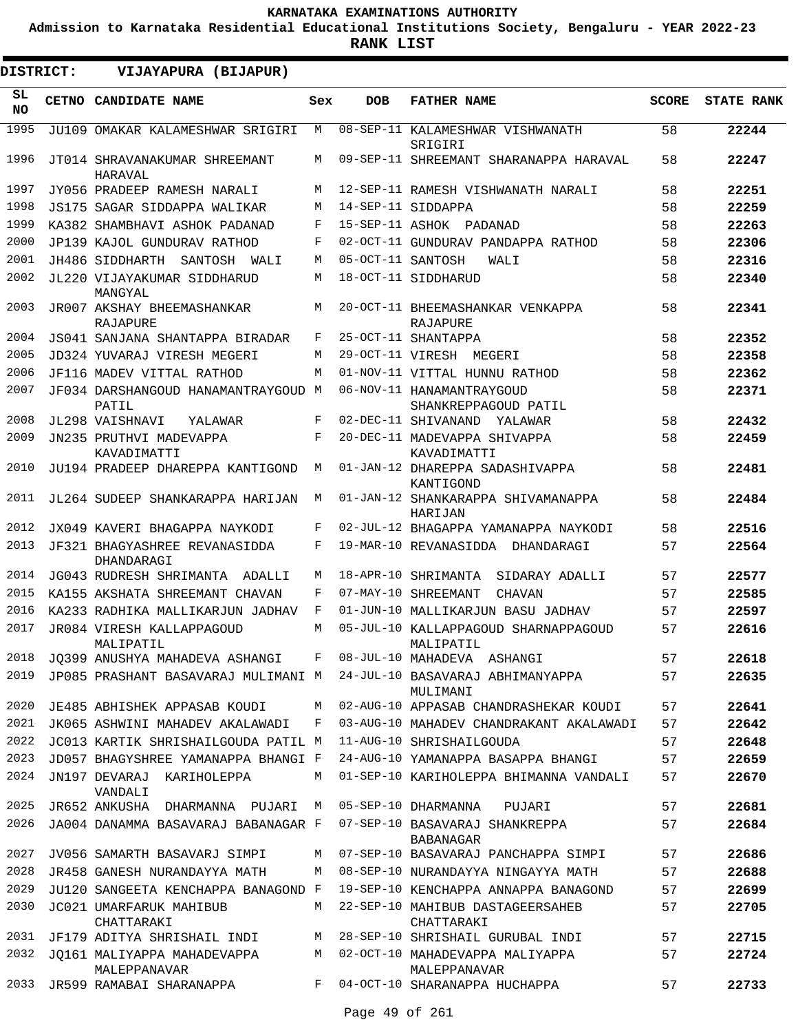**Admission to Karnataka Residential Educational Institutions Society, Bengaluru - YEAR 2022-23**

**RANK LIST**

| DISTRICT:       | VIJAYAPURA (BIJAPUR)                          |     |                   |                                                     |              |                   |
|-----------------|-----------------------------------------------|-----|-------------------|-----------------------------------------------------|--------------|-------------------|
| SL<br><b>NO</b> | <b>CETNO CANDIDATE NAME</b>                   | Sex | <b>DOB</b>        | <b>FATHER NAME</b>                                  | <b>SCORE</b> | <b>STATE RANK</b> |
| 1995            | JU109 OMAKAR KALAMESHWAR SRIGIRI              | M   |                   | 08-SEP-11 KALAMESHWAR VISHWANATH<br>SRIGIRI         | 58           | 22244             |
| 1996            | JT014 SHRAVANAKUMAR SHREEMANT<br>HARAVAL      | М   |                   | 09-SEP-11 SHREEMANT SHARANAPPA HARAVAL              | 58           | 22247             |
| 1997            | JY056 PRADEEP RAMESH NARALI                   | M   |                   | 12-SEP-11 RAMESH VISHWANATH NARALI                  | 58           | 22251             |
| 1998            | JS175 SAGAR SIDDAPPA WALIKAR                  | M   |                   | 14-SEP-11 SIDDAPPA                                  | 58           | 22259             |
| 1999            | KA382 SHAMBHAVI ASHOK PADANAD                 | F   |                   | 15-SEP-11 ASHOK PADANAD                             | 58           | 22263             |
| 2000            | JP139 KAJOL GUNDURAV RATHOD                   | F   |                   | 02-OCT-11 GUNDURAV PANDAPPA RATHOD                  | 58           | 22306             |
| 2001            | JH486 SIDDHARTH<br>SANTOSH WALI               | M   | 05-OCT-11 SANTOSH | WALI                                                | 58           | 22316             |
| 2002            | JL220 VIJAYAKUMAR SIDDHARUD<br>MANGYAL        | M   |                   | 18-OCT-11 SIDDHARUD                                 | 58           | 22340             |
| 2003            | JR007 AKSHAY BHEEMASHANKAR<br><b>RAJAPURE</b> | M   |                   | 20-OCT-11 BHEEMASHANKAR VENKAPPA<br><b>RAJAPURE</b> | 58           | 22341             |
| 2004            | JS041 SANJANA SHANTAPPA BIRADAR               | F   |                   | 25-OCT-11 SHANTAPPA                                 | 58           | 22352             |
| 2005            | JD324 YUVARAJ VIRESH MEGERI                   | M   |                   | 29-OCT-11 VIRESH MEGERI                             | 58           | 22358             |
| 2006            | JF116 MADEV VITTAL RATHOD                     | M   |                   | 01-NOV-11 VITTAL HUNNU RATHOD                       | 58           | 22362             |
| 2007            | JF034 DARSHANGOUD HANAMANTRAYGOUD M<br>PATIL  |     |                   | 06-NOV-11 HANAMANTRAYGOUD<br>SHANKREPPAGOUD PATIL   | 58           | 22371             |
| 2008            | JL298 VAISHNAVI<br>YALAWAR                    | F   |                   | 02-DEC-11 SHIVANAND YALAWAR                         | 58           | 22432             |
| 2009            | JN235 PRUTHVI MADEVAPPA<br>KAVADIMATTI        | F   |                   | 20-DEC-11 MADEVAPPA SHIVAPPA<br>KAVADIMATTI         | 58           | 22459             |
| 2010            | JU194 PRADEEP DHAREPPA KANTIGOND              | M   |                   | 01-JAN-12 DHAREPPA SADASHIVAPPA<br>KANTIGOND        | 58           | 22481             |
| 2011            | JL264 SUDEEP SHANKARAPPA HARIJAN              | M   |                   | 01-JAN-12 SHANKARAPPA SHIVAMANAPPA<br>HARIJAN       | 58           | 22484             |
| 2012            | JX049 KAVERI BHAGAPPA NAYKODI                 | F   |                   | 02-JUL-12 BHAGAPPA YAMANAPPA NAYKODI                | 58           | 22516             |
| 2013            | JF321 BHAGYASHREE REVANASIDDA<br>DHANDARAGI   | F   |                   | 19-MAR-10 REVANASIDDA<br>DHANDARAGI                 | 57           | 22564             |
| 2014            | JG043 RUDRESH SHRIMANTA ADALLI                | M   |                   | 18-APR-10 SHRIMANTA<br>SIDARAY ADALLI               | 57           | 22577             |
| 2015            | KA155 AKSHATA SHREEMANT CHAVAN                | F   |                   | 07-MAY-10 SHREEMANT<br><b>CHAVAN</b>                | 57           | 22585             |
| 2016            | KA233 RADHIKA MALLIKARJUN JADHAV              | F   |                   | 01-JUN-10 MALLIKARJUN BASU JADHAV                   | 57           | 22597             |
| 2017            | JR084 VIRESH KALLAPPAGOUD<br>MALIPATIL        | М   |                   | 05-JUL-10 KALLAPPAGOUD SHARNAPPAGOUD<br>MALIPATIL   | 57           | 22616             |
| 2018            | JO399 ANUSHYA MAHADEVA ASHANGI                | F   |                   | 08-JUL-10 MAHADEVA ASHANGI                          | 57           | 22618             |
| 2019            | JP085 PRASHANT BASAVARAJ MULIMANI M           |     |                   | 24-JUL-10 BASAVARAJ ABHIMANYAPPA<br>MULIMANI        | 57           | 22635             |
| 2020            | JE485 ABHISHEK APPASAB KOUDI                  | M   |                   | 02-AUG-10 APPASAB CHANDRASHEKAR KOUDI               | 57           | 22641             |
| 2021            | JK065 ASHWINI MAHADEV AKALAWADI               | F   |                   | 03-AUG-10 MAHADEV CHANDRAKANT AKALAWADI             | 57           | 22642             |
| 2022            | JC013 KARTIK SHRISHAILGOUDA PATIL M           |     |                   | 11-AUG-10 SHRISHAILGOUDA                            | 57           | 22648             |
| 2023            | JD057 BHAGYSHREE YAMANAPPA BHANGI F           |     |                   | 24-AUG-10 YAMANAPPA BASAPPA BHANGI                  | 57           | 22659             |
| 2024            | JN197 DEVARAJ KARIHOLEPPA<br>VANDALI          | М   |                   | 01-SEP-10 KARIHOLEPPA BHIMANNA VANDALI              | 57           | 22670             |
| 2025            | JR652 ANKUSHA DHARMANNA PUJARI                | M   |                   | 05-SEP-10 DHARMANNA<br>PUJARI                       | 57           | 22681             |
| 2026            | JA004 DANAMMA BASAVARAJ BABANAGAR F           |     |                   | 07-SEP-10 BASAVARAJ SHANKREPPA<br>BABANAGAR         | 57           | 22684             |
| 2027            | JV056 SAMARTH BASAVARJ SIMPI                  | М   |                   | 07-SEP-10 BASAVARAJ PANCHAPPA SIMPI                 | 57           | 22686             |
| 2028            | JR458 GANESH NURANDAYYA MATH                  | М   |                   | 08-SEP-10 NURANDAYYA NINGAYYA MATH                  | 57           | 22688             |
| 2029            | JU120 SANGEETA KENCHAPPA BANAGOND F           |     |                   | 19-SEP-10 KENCHAPPA ANNAPPA BANAGOND                | 57           | 22699             |
| 2030            | JC021 UMARFARUK MAHIBUB<br>CHATTARAKI         | M   |                   | 22-SEP-10 MAHIBUB DASTAGEERSAHEB<br>CHATTARAKI      | 57           | 22705             |
| 2031            | JF179 ADITYA SHRISHAIL INDI                   | М   |                   | 28-SEP-10 SHRISHAIL GURUBAL INDI                    | 57           | 22715             |
| 2032            | JO161 MALIYAPPA MAHADEVAPPA<br>MALEPPANAVAR   | М   |                   | 02-OCT-10 MAHADEVAPPA MALIYAPPA<br>MALEPPANAVAR     | 57           | 22724             |
| 2033            | JR599 RAMABAI SHARANAPPA                      | F   |                   | 04-OCT-10 SHARANAPPA HUCHAPPA                       | 57           | 22733             |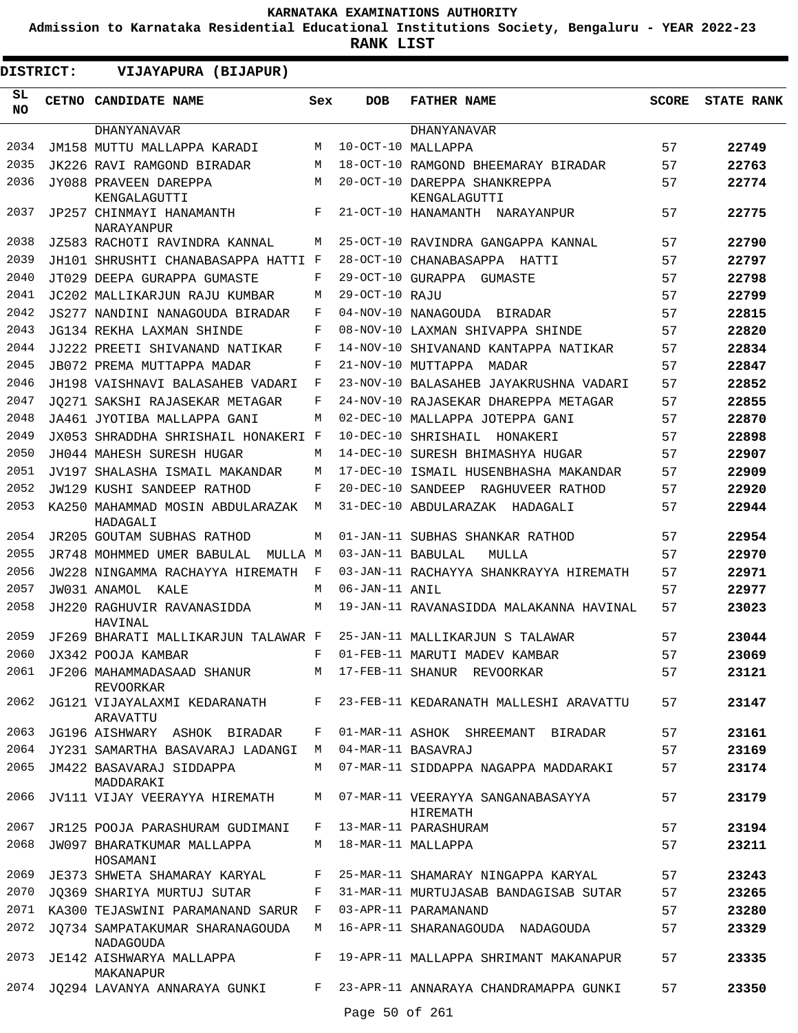**Admission to Karnataka Residential Educational Institutions Society, Bengaluru - YEAR 2022-23**

**RANK LIST**

**DISTRICT:** EE **VIJAYAPURA (BIJAPUR)**

| SL<br><b>NO</b> | CETNO CANDIDATE NAME                           | Sex   | <b>DOB</b>        | <b>FATHER NAME</b>                            | <b>SCORE</b> | <b>STATE RANK</b> |
|-----------------|------------------------------------------------|-------|-------------------|-----------------------------------------------|--------------|-------------------|
|                 | <b>DHANYANAVAR</b>                             |       |                   | <b>DHANYANAVAR</b>                            |              |                   |
| 2034            | JM158 MUTTU MALLAPPA KARADI                    | М     |                   | 10-OCT-10 MALLAPPA                            | 57           | 22749             |
| 2035            | JK226 RAVI RAMGOND BIRADAR                     | M     |                   | 18-OCT-10 RAMGOND BHEEMARAY BIRADAR           | 57           | 22763             |
| 2036            | JY088 PRAVEEN DAREPPA<br>KENGALAGUTTI          | M     |                   | 20-OCT-10 DAREPPA SHANKREPPA<br>KENGALAGUTTI  | 57           | 22774             |
| 2037            | JP257 CHINMAYI HANAMANTH<br>NARAYANPUR         | F     |                   | 21-OCT-10 HANAMANTH<br>NARAYANPUR             | 57           | 22775             |
| 2038            | JZ583 RACHOTI RAVINDRA KANNAL                  | М     |                   | 25-OCT-10 RAVINDRA GANGAPPA KANNAL            | 57           | 22790             |
| 2039            | JH101 SHRUSHTI CHANABASAPPA HATTI F            |       |                   | 28-OCT-10 CHANABASAPPA HATTI                  | 57           | 22797             |
| 2040            | JT029 DEEPA GURAPPA GUMASTE                    | F     | 29-OCT-10 GURAPPA | GUMASTE                                       | 57           | 22798             |
| 2041            | JC202 MALLIKARJUN RAJU KUMBAR                  | М     | 29-OCT-10 RAJU    |                                               | 57           | 22799             |
| 2042            | JS277 NANDINI NANAGOUDA BIRADAR                | F     |                   | 04-NOV-10 NANAGOUDA BIRADAR                   | 57           | 22815             |
| 2043            | JG134 REKHA LAXMAN SHINDE                      | F     |                   | 08-NOV-10 LAXMAN SHIVAPPA SHINDE              | 57           | 22820             |
| 2044            | JJ222 PREETI SHIVANAND NATIKAR                 | F     |                   | 14-NOV-10 SHIVANAND KANTAPPA NATIKAR          | 57           | 22834             |
| 2045            | JB072 PREMA MUTTAPPA MADAR                     | F     |                   | 21-NOV-10 MUTTAPPA<br>MADAR                   | 57           | 22847             |
| 2046            | JH198 VAISHNAVI BALASAHEB VADARI               | F     |                   | 23-NOV-10 BALASAHEB JAYAKRUSHNA VADARI        | 57           | 22852             |
| 2047            | JO271 SAKSHI RAJASEKAR METAGAR                 | F     |                   | 24-NOV-10 RAJASEKAR DHAREPPA METAGAR          | 57           | 22855             |
| 2048            |                                                | М     |                   | 02-DEC-10 MALLAPPA JOTEPPA GANI               | 57           | 22870             |
| 2049            | JA461 JYOTIBA MALLAPPA GANI                    |       |                   |                                               | 57           |                   |
| 2050            | JX053 SHRADDHA SHRISHAIL HONAKERI F            |       |                   | 10-DEC-10 SHRISHAIL<br>HONAKERI               |              | 22898             |
|                 | JH044 MAHESH SURESH HUGAR                      | M     |                   | 14-DEC-10 SURESH BHIMASHYA HUGAR              | 57           | 22907             |
| 2051            | JV197 SHALASHA ISMAIL MAKANDAR                 | M     |                   | 17-DEC-10 ISMAIL HUSENBHASHA MAKANDAR         | 57           | 22909             |
| 2052            | <b>JW129 KUSHI SANDEEP RATHOD</b>              | F     | 20-DEC-10 SANDEEP | RAGHUVEER RATHOD                              | 57           | 22920             |
| 2053            | KA250 MAHAMMAD MOSIN ABDULARAZAK<br>HADAGALI   | M     |                   | 31-DEC-10 ABDULARAZAK<br>HADAGALI             | 57           | 22944             |
| 2054            | JR205 GOUTAM SUBHAS RATHOD                     | M     |                   | 01-JAN-11 SUBHAS SHANKAR RATHOD               | 57           | 22954             |
| 2055            | JR748 MOHMMED UMER BABULAL<br>MULLA M          |       | 03-JAN-11 BABULAL | MULLA                                         | 57           | 22970             |
| 2056            | JW228 NINGAMMA RACHAYYA HIREMATH               | F     |                   | 03-JAN-11 RACHAYYA SHANKRAYYA HIREMATH        | 57           | 22971             |
| 2057            | JW031 ANAMOL<br>KALE                           | М     | 06-JAN-11 ANIL    |                                               | 57           | 22977             |
| 2058            | JH220 RAGHUVIR RAVANASIDDA<br>HAVINAL          | M     |                   | 19-JAN-11 RAVANASIDDA MALAKANNA HAVINAL       | 57           | 23023             |
| 2059            | JF269 BHARATI MALLIKARJUN TALAWAR F            |       |                   | 25-JAN-11 MALLIKARJUN S TALAWAR               | 57           | 23044             |
| 2060            | JX342 POOJA KAMBAR                             | F     |                   | 01-FEB-11 MARUTI MADEV KAMBAR                 | 57           | 23069             |
| 2061            | JF206 MAHAMMADASAAD SHANUR<br><b>REVOORKAR</b> | M     |                   | 17-FEB-11 SHANUR REVOORKAR                    | 57           | 23121             |
| 2062            | JG121 VIJAYALAXMI KEDARANATH<br>ARAVATTU       | $F -$ |                   | 23-FEB-11 KEDARANATH MALLESHI ARAVATTU        | 57           | 23147             |
| 2063            | JG196 AISHWARY ASHOK BIRADAR                   | F     |                   | 01-MAR-11 ASHOK SHREEMANT BIRADAR             | 57           | 23161             |
| 2064            | JY231 SAMARTHA BASAVARAJ LADANGI               | M     |                   | 04-MAR-11 BASAVRAJ                            | 57           | 23169             |
| 2065            | JM422 BASAVARAJ SIDDAPPA<br>MADDARAKI          | M     |                   | 07-MAR-11 SIDDAPPA NAGAPPA MADDARAKI          | 57           | 23174             |
| 2066            | JV111 VIJAY VEERAYYA HIREMATH                  | M     |                   | 07-MAR-11 VEERAYYA SANGANABASAYYA<br>HIREMATH | 57           | 23179             |
| 2067            | JR125 POOJA PARASHURAM GUDIMANI                | F     |                   | 13-MAR-11 PARASHURAM                          | 57           | 23194             |
| 2068            | JW097 BHARATKUMAR MALLAPPA<br>HOSAMANI         | M     |                   | 18-MAR-11 MALLAPPA                            | 57           | 23211             |
| 2069            | JE373 SHWETA SHAMARAY KARYAL                   | F     |                   | 25-MAR-11 SHAMARAY NINGAPPA KARYAL            | 57           | 23243             |
| 2070            | JO369 SHARIYA MURTUJ SUTAR                     | F     |                   | 31-MAR-11 MURTUJASAB BANDAGISAB SUTAR         | 57           | 23265             |
| 2071            | KA300 TEJASWINI PARAMANAND SARUR               | F     |                   | 03-APR-11 PARAMANAND                          | 57           | 23280             |
| 2072            | JQ734 SAMPATAKUMAR SHARANAGOUDA<br>NADAGOUDA   | M     |                   | 16-APR-11 SHARANAGOUDA NADAGOUDA              | 57           | 23329             |
| 2073            | JE142 AISHWARYA MALLAPPA<br>MAKANAPUR          | F     |                   | 19-APR-11 MALLAPPA SHRIMANT MAKANAPUR         | 57           | 23335             |
|                 | 2074 JQ294 LAVANYA ANNARAYA GUNKI              | F     |                   | 23-APR-11 ANNARAYA CHANDRAMAPPA GUNKI         | 57           | 23350             |
|                 |                                                |       | Page 50 of 261    |                                               |              |                   |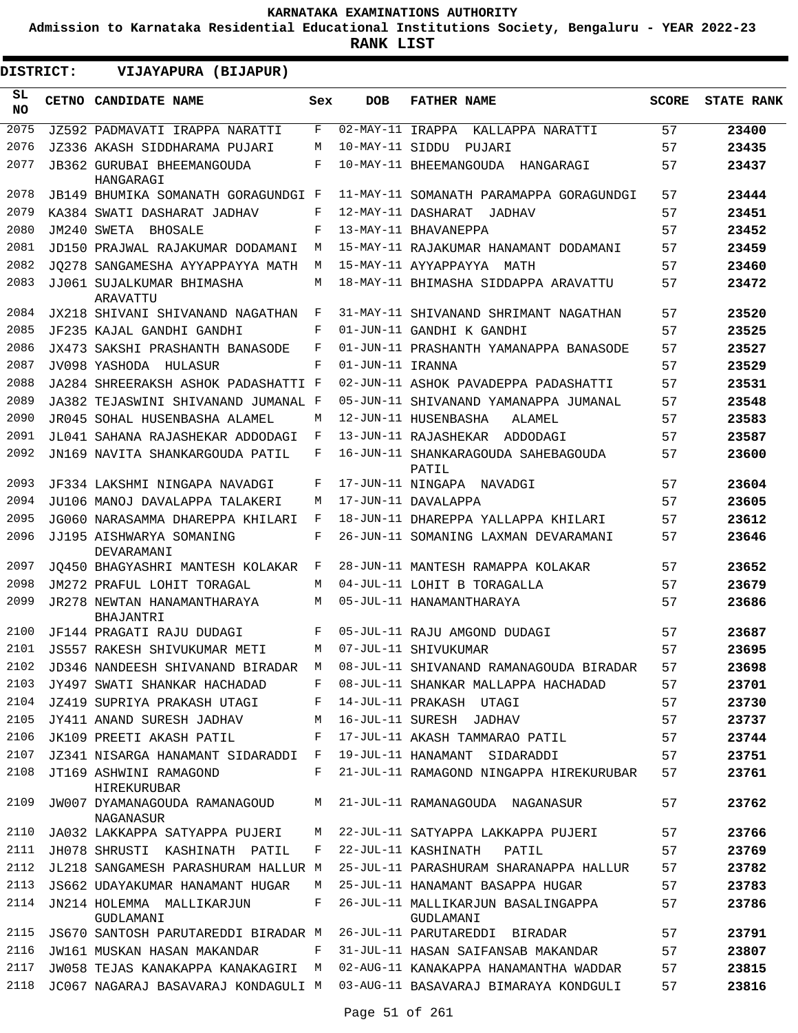**Admission to Karnataka Residential Educational Institutions Society, Bengaluru - YEAR 2022-23**

**RANK LIST**

ı

| DISTRICT:        | VIJAYAPURA (BIJAPUR)                           |     |                  |                                                 |              |                   |
|------------------|------------------------------------------------|-----|------------------|-------------------------------------------------|--------------|-------------------|
| SL.<br><b>NO</b> | CETNO CANDIDATE NAME                           | Sex | <b>DOB</b>       | <b>FATHER NAME</b>                              | <b>SCORE</b> | <b>STATE RANK</b> |
| 2075             | JZ592 PADMAVATI IRAPPA NARATTI                 | F   | 02-MAY-11 IRAPPA | KALLAPPA NARATTI                                | 57           | 23400             |
| 2076             | JZ336 AKASH SIDDHARAMA PUJARI                  | M   | 10-MAY-11 SIDDU  | PUJARI                                          | 57           | 23435             |
| 2077             | <b>JB362 GURUBAI BHEEMANGOUDA</b><br>HANGARAGI | F   |                  | 10-MAY-11 BHEEMANGOUDA HANGARAGI                | 57           | 23437             |
| 2078             | JB149 BHUMIKA SOMANATH GORAGUNDGI F            |     |                  | 11-MAY-11 SOMANATH PARAMAPPA GORAGUNDGI         | 57           | 23444             |
| 2079             | KA384 SWATI DASHARAT JADHAV                    | F   |                  | 12-MAY-11 DASHARAT<br>JADHAV                    | 57           | 23451             |
| 2080             | JM240 SWETA<br>BHOSALE                         | F   |                  | 13-MAY-11 BHAVANEPPA                            | 57           | 23452             |
| 2081             | JD150 PRAJWAL RAJAKUMAR DODAMANI               | М   |                  | 15-MAY-11 RAJAKUMAR HANAMANT DODAMANI           | 57           | 23459             |
| 2082             | JO278 SANGAMESHA AYYAPPAYYA MATH               | М   |                  | 15-MAY-11 AYYAPPAYYA MATH                       | 57           | 23460             |
| 2083             | JJ061 SUJALKUMAR BHIMASHA<br>ARAVATTU          | М   |                  | 18-MAY-11 BHIMASHA SIDDAPPA ARAVATTU            | 57           | 23472             |
| 2084             | JX218 SHIVANI SHIVANAND NAGATHAN               | F   |                  | 31-MAY-11 SHIVANAND SHRIMANT NAGATHAN           | 57           | 23520             |
| 2085             | JF235 KAJAL GANDHI GANDHI                      | F   |                  | 01-JUN-11 GANDHI K GANDHI                       | 57           | 23525             |
| 2086             | JX473 SAKSHI PRASHANTH BANASODE                | F   |                  | 01-JUN-11 PRASHANTH YAMANAPPA BANASODE          | 57           | 23527             |
| 2087             | JV098 YASHODA HULASUR                          | F   | 01-JUN-11 IRANNA |                                                 | 57           | 23529             |
| 2088             | JA284 SHREERAKSH ASHOK PADASHATTI F            |     |                  | 02-JUN-11 ASHOK PAVADEPPA PADASHATTI            | 57           | 23531             |
| 2089             | JA382 TEJASWINI SHIVANAND JUMANAL F            |     |                  | 05-JUN-11 SHIVANAND YAMANAPPA JUMANAL           | 57           | 23548             |
| 2090             | JR045 SOHAL HUSENBASHA ALAMEL                  | M   |                  | 12-JUN-11 HUSENBASHA<br>ALAMEL                  | 57           | 23583             |
| 2091             | JL041 SAHANA RAJASHEKAR ADDODAGI               | F   |                  | 13-JUN-11 RAJASHEKAR<br>ADDODAGI                | 57           | 23587             |
| 2092             | JN169 NAVITA SHANKARGOUDA PATIL                | F   |                  | 16-JUN-11 SHANKARAGOUDA SAHEBAGOUDA<br>PATIL    | 57           | 23600             |
| 2093             | JF334 LAKSHMI NINGAPA NAVADGI                  | F   |                  | 17-JUN-11 NINGAPA NAVADGI                       | 57           | 23604             |
| 2094             | JU106 MANOJ DAVALAPPA TALAKERI                 | М   |                  | 17-JUN-11 DAVALAPPA                             | 57           | 23605             |
| 2095             | JG060 NARASAMMA DHAREPPA KHILARI               | F   |                  | 18-JUN-11 DHAREPPA YALLAPPA KHILARI             | 57           | 23612             |
| 2096             | JJ195 AISHWARYA SOMANING<br>DEVARAMANI         | F   |                  | 26-JUN-11 SOMANING LAXMAN DEVARAMANI            | 57           | 23646             |
| 2097             | JO450 BHAGYASHRI MANTESH KOLAKAR               | F   |                  | 28-JUN-11 MANTESH RAMAPPA KOLAKAR               | 57           | 23652             |
| 2098             | JM272 PRAFUL LOHIT TORAGAL                     | М   |                  | 04-JUL-11 LOHIT B TORAGALLA                     | 57           | 23679             |
| 2099             | JR278 NEWTAN HANAMANTHARAYA<br>BHAJANTRI       | М   |                  | 05-JUL-11 HANAMANTHARAYA                        | 57           | 23686             |
| 2100             | JF144 PRAGATI RAJU DUDAGI                      | F   |                  | 05-JUL-11 RAJU AMGOND DUDAGI                    | 57           | 23687             |
|                  | 2101 JS557 RAKESH SHIVUKUMAR METI              |     |                  | M 07-JUL-11 SHIVUKUMAR                          | 57           | 23695             |
| 2102             | JD346 NANDEESH SHIVANAND BIRADAR  M            |     |                  | 08-JUL-11 SHIVANAND RAMANAGOUDA BIRADAR         | 57           | 23698             |
| 2103             | JY497 SWATI SHANKAR HACHADAD                   | F   |                  | 08-JUL-11 SHANKAR MALLAPPA HACHADAD             | 57           | 23701             |
| 2104             | JZ419 SUPRIYA PRAKASH UTAGI                    | F   |                  | 14-JUL-11 PRAKASH UTAGI                         | 57           | 23730             |
| 2105             | JY411 ANAND SURESH JADHAV                      | М   |                  | 16-JUL-11 SURESH JADHAV                         | 57           | 23737             |
| 2106             | JK109 PREETI AKASH PATIL                       | F   |                  | 17-JUL-11 AKASH TAMMARAO PATIL                  | 57           | 23744             |
| 2107             | JZ341 NISARGA HANAMANT SIDARADDI               | F   |                  | 19-JUL-11 HANAMANT SIDARADDI                    | 57           | 23751             |
| 2108             | JT169 ASHWINI RAMAGOND<br>HIREKURUBAR          | F   |                  | 21-JUL-11 RAMAGOND NINGAPPA HIREKURUBAR         | 57           | 23761             |
| 2109             | JW007 DYAMANAGOUDA RAMANAGOUD<br>NAGANASUR     | М   |                  | 21-JUL-11 RAMANAGOUDA NAGANASUR                 | 57           | 23762             |
| 2110             | JA032 LAKKAPPA SATYAPPA PUJERI                 | М   |                  | 22-JUL-11 SATYAPPA LAKKAPPA PUJERI              | 57           | 23766             |
| 2111             | JH078 SHRUSTI KASHINATH PATIL                  | F   |                  | 22-JUL-11 KASHINATH<br>PATIL                    | 57           | 23769             |
| 2112             | JL218 SANGAMESH PARASHURAM HALLUR M            |     |                  | 25-JUL-11 PARASHURAM SHARANAPPA HALLUR          | 57           | 23782             |
| 2113             | JS662 UDAYAKUMAR HANAMANT HUGAR                | M   |                  | 25-JUL-11 HANAMANT BASAPPA HUGAR                | 57           | 23783             |
| 2114             | JN214 HOLEMMA MALLIKARJUN<br>GUDLAMANI         | F   |                  | 26-JUL-11 MALLIKARJUN BASALINGAPPA<br>GUDLAMANI | 57           | 23786             |
| 2115             | JS670 SANTOSH PARUTAREDDI BIRADAR M            |     |                  | 26-JUL-11 PARUTAREDDI BIRADAR                   | 57           | 23791             |
| 2116             | JW161 MUSKAN HASAN MAKANDAR                    | F   |                  | 31-JUL-11 HASAN SAIFANSAB MAKANDAR              | 57           | 23807             |
| 2117             | JW058 TEJAS KANAKAPPA KANAKAGIRI               | M   |                  | 02-AUG-11 KANAKAPPA HANAMANTHA WADDAR           | 57           | 23815             |
| 2118             | JC067 NAGARAJ BASAVARAJ KONDAGULI M            |     |                  | 03-AUG-11 BASAVARAJ BIMARAYA KONDGULI           | 57           | 23816             |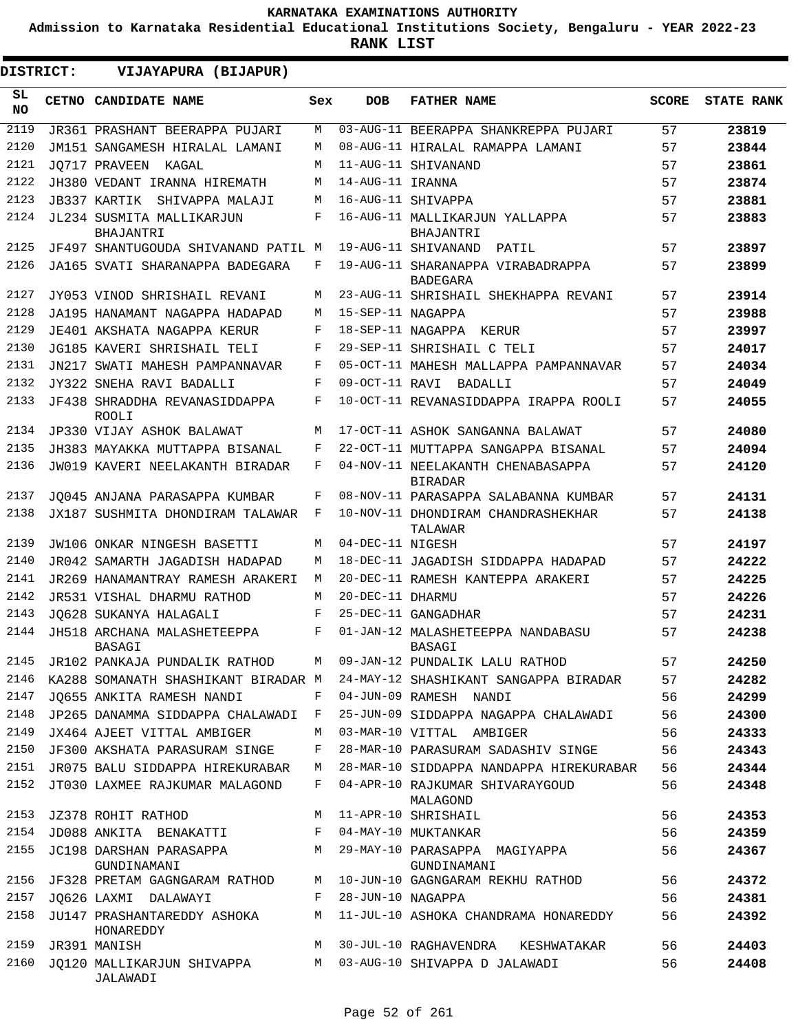**Admission to Karnataka Residential Educational Institutions Society, Bengaluru - YEAR 2022-23**

**RANK LIST**

| DISTRICT: | VIJAYAPURA (BIJAPUR)                                  |     |                     |                                                                                   |              |                   |
|-----------|-------------------------------------------------------|-----|---------------------|-----------------------------------------------------------------------------------|--------------|-------------------|
| SL<br>NO. | CETNO CANDIDATE NAME                                  | Sex | <b>DOB</b>          | <b>FATHER NAME</b>                                                                | <b>SCORE</b> | <b>STATE RANK</b> |
| 2119      | JR361 PRASHANT BEERAPPA PUJARI                        | М   |                     | 03-AUG-11 BEERAPPA SHANKREPPA PUJARI                                              | 57           | 23819             |
| 2120      | JM151 SANGAMESH HIRALAL LAMANI                        | M   |                     | 08-AUG-11 HIRALAL RAMAPPA LAMANI                                                  | 57           | 23844             |
| 2121      | JO717 PRAVEEN KAGAL                                   | M   |                     | 11-AUG-11 SHIVANAND                                                               | 57           | 23861             |
| 2122      | JH380 VEDANT IRANNA HIREMATH                          | M   | 14-AUG-11 IRANNA    |                                                                                   | 57           | 23874             |
| 2123      | JB337 KARTIK SHIVAPPA MALAJI                          | M   |                     | 16-AUG-11 SHIVAPPA                                                                | 57           | 23881             |
| 2124      | JL234 SUSMITA MALLIKARJUN<br>BHAJANTRI                | F   |                     | 16-AUG-11 MALLIKARJUN YALLAPPA<br>BHAJANTRI                                       | 57           | 23883             |
| 2125      | JF497 SHANTUGOUDA SHIVANAND PATIL M                   |     |                     | 19-AUG-11 SHIVANAND<br>PATIL                                                      | 57           | 23897             |
| 2126      | JA165 SVATI SHARANAPPA BADEGARA                       | F   |                     | 19-AUG-11 SHARANAPPA VIRABADRAPPA<br><b>BADEGARA</b>                              | 57           | 23899             |
| 2127      | JY053 VINOD SHRISHAIL REVANI                          | M   |                     | 23-AUG-11 SHRISHAIL SHEKHAPPA REVANI                                              | 57           | 23914             |
| 2128      | JA195 HANAMANT NAGAPPA HADAPAD                        | M   | 15-SEP-11 NAGAPPA   |                                                                                   | 57           | 23988             |
| 2129      | JE401 AKSHATA NAGAPPA KERUR                           | F   |                     | 18-SEP-11 NAGAPPA KERUR                                                           | 57           | 23997             |
| 2130      | JG185 KAVERI SHRISHAIL TELI                           | F   |                     | 29-SEP-11 SHRISHAIL C TELI                                                        | 57           | 24017             |
| 2131      | JN217 SWATI MAHESH PAMPANNAVAR                        | F   |                     | 05-OCT-11 MAHESH MALLAPPA PAMPANNAVAR                                             | 57           | 24034             |
| 2132      | JY322 SNEHA RAVI BADALLI                              | F   |                     | 09-OCT-11 RAVI BADALLI                                                            | 57           | 24049             |
| 2133      | JF438 SHRADDHA REVANASIDDAPPA<br><b>ROOLI</b>         | F   |                     | 10-OCT-11 REVANASIDDAPPA IRAPPA ROOLI                                             | 57           | 24055             |
| 2134      | JP330 VIJAY ASHOK BALAWAT                             | M   |                     | 17-OCT-11 ASHOK SANGANNA BALAWAT                                                  | 57           | 24080             |
| 2135      | JH383 MAYAKKA MUTTAPPA BISANAL                        | F   |                     | 22-OCT-11 MUTTAPPA SANGAPPA BISANAL                                               | 57           | 24094             |
| 2136      | JW019 KAVERI NEELAKANTH BIRADAR                       | F   |                     | 04-NOV-11 NEELAKANTH CHENABASAPPA<br><b>BIRADAR</b>                               | 57           | 24120             |
| 2137      | JO045 ANJANA PARASAPPA KUMBAR                         | F   |                     | 08-NOV-11 PARASAPPA SALABANNA KUMBAR                                              | 57           | 24131             |
| 2138      | JX187 SUSHMITA DHONDIRAM TALAWAR                      | F   |                     | 10-NOV-11 DHONDIRAM CHANDRASHEKHAR<br>TALAWAR                                     | 57           | 24138             |
| 2139      | JW106 ONKAR NINGESH BASETTI                           | М   | 04-DEC-11 NIGESH    |                                                                                   | 57           | 24197             |
| 2140      | JR042 SAMARTH JAGADISH HADAPAD                        | M   |                     | 18-DEC-11 JAGADISH SIDDAPPA HADAPAD                                               | 57           | 24222             |
| 2141      | JR269 HANAMANTRAY RAMESH ARAKERI                      | M   |                     | 20-DEC-11 RAMESH KANTEPPA ARAKERI                                                 | 57           | 24225             |
| 2142      | JR531 VISHAL DHARMU RATHOD                            | M   | 20-DEC-11 DHARMU    |                                                                                   | 57           | 24226             |
| 2143      | JO628 SUKANYA HALAGALI                                | F   |                     | 25-DEC-11 GANGADHAR                                                               | 57           | 24231             |
| 2144      | JH518 ARCHANA MALASHETEEPPA<br>BASAGI                 | F   |                     | 01-JAN-12 MALASHETEEPPA NANDABASU<br>BASAGI                                       | 57           | 24238             |
| 2145      |                                                       |     |                     | JR102 PANKAJA PUNDALIK RATHOD MO9-JAN-12 PUNDALIK LALU RATHOD                     | 57           | 24250             |
|           |                                                       |     |                     | 2146 KA288 SOMANATH SHASHIKANT BIRADAR M 24-MAY-12 SHASHIKANT SANGAPPA BIRADAR 57 |              | 24282             |
| 2147      | JQ655 ANKITA RAMESH NANDI F                           |     |                     | 04-JUN-09 RAMESH NANDI                                                            | 56           | 24299             |
| 2148      | JP265 DANAMMA SIDDAPPA CHALAWADI F                    |     |                     | 25-JUN-09 SIDDAPPA NAGAPPA CHALAWADI 56                                           |              | 24300             |
| 2149      | JX464 AJEET VITTAL AMBIGER                            | M   |                     | 03-MAR-10 VITTAL AMBIGER                                                          | 56           | 24333             |
| 2150      | JF300 AKSHATA PARASURAM SINGE                         | F   |                     | 28-MAR-10 PARASURAM SADASHIV SINGE                                                | 56           | 24343             |
|           |                                                       |     |                     | 2151 JR075 BALU SIDDAPPA HIREKURABAR M 28-MAR-10 SIDDAPPA NANDAPPA HIREKURABAR    | 56           | 24344             |
| 2152      | JT030 LAXMEE RAJKUMAR MALAGOND                        | F   |                     | 04-APR-10 RAJKUMAR SHIVARAYGOUD<br>MALAGOND                                       | 56           | 24348             |
|           | 2153 JZ378 ROHIT RATHOD                               |     |                     | M 11-APR-10 SHRISHAIL                                                             | 56           | 24353             |
|           | 2154 JD088 ANKITA BENAKATTI KWA F 04-MAY-10 MUKTANKAR |     |                     |                                                                                   | 56           | 24359             |
|           | GUNDINAMANI                                           |     |                     | 2155 JC198 DARSHAN PARASAPPA MAN MAN 29-MAY-10 PARASAPPA MAGIYAPPA<br>GUNDINAMANI | 56           | 24367             |
|           |                                                       |     |                     | 2156 JF328 PRETAM GAGNGARAM RATHOD M 10-JUN-10 GAGNGARAM REKHU RATHOD             | 56           | 24372             |
| 2157      | JQ626 LAXMI DALAWAYI                                  |     | F 28-JUN-10 NAGAPPA |                                                                                   | 56           | 24381             |
|           | HONAREDDY                                             |     |                     | 2158 JU147 PRASHANTAREDDY ASHOKA M 11-JUL-10 ASHOKA CHANDRAMA HONAREDDY           | 56           | 24392             |
|           | 2159 JR391 MANISH                                     |     |                     | M 30-JUL-10 RAGHAVENDRA KESHWATAKAR                                               | 56           | 24403             |
|           | JALAWADI                                              |     |                     | 2160 JQ120 MALLIKARJUN SHIVAPPA       M   03-AUG-10 SHIVAPPA D JALAWADI           | 56           | 24408             |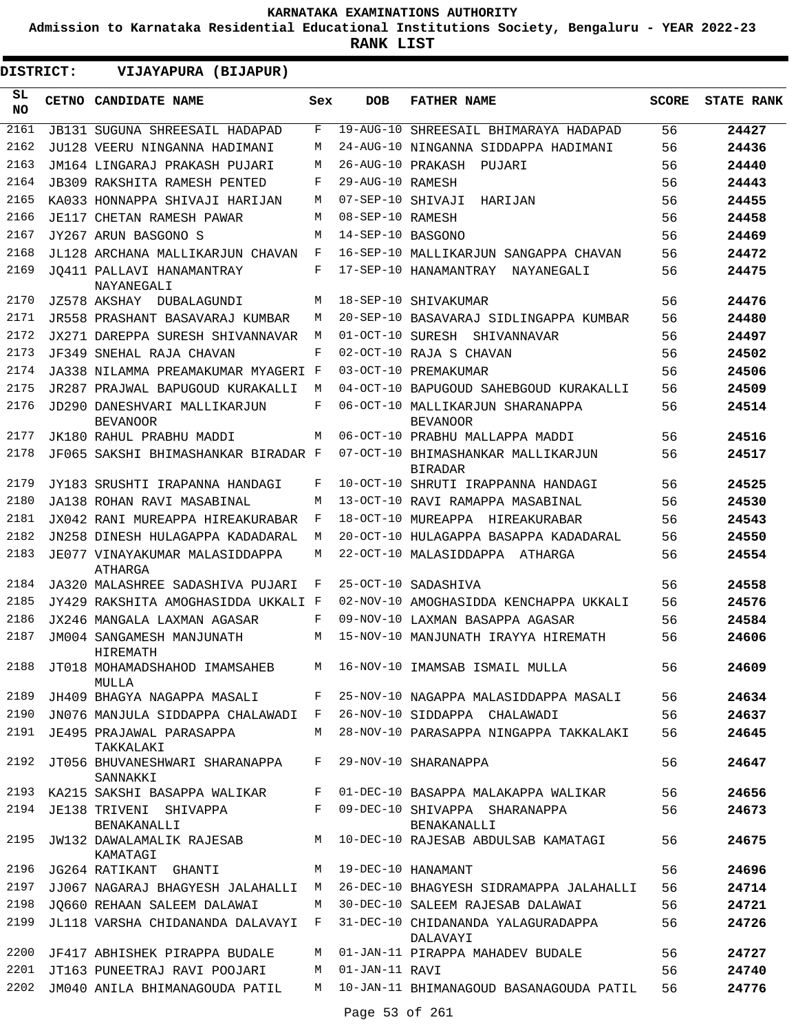**Admission to Karnataka Residential Educational Institutions Society, Bengaluru - YEAR 2022-23**

| DISTRICT:        | VIJAYAPURA (BIJAPUR)                                              |     |                   |                                                                     |              |                   |
|------------------|-------------------------------------------------------------------|-----|-------------------|---------------------------------------------------------------------|--------------|-------------------|
| SL.<br><b>NO</b> | CETNO CANDIDATE NAME                                              | Sex | <b>DOB</b>        | <b>FATHER NAME</b>                                                  | <b>SCORE</b> | <b>STATE RANK</b> |
| 2161             | <b>JB131 SUGUNA SHREESAIL HADAPAD</b>                             | F   |                   | 19-AUG-10 SHREESAIL BHIMARAYA HADAPAD                               | 56           | 24427             |
| 2162             | JU128 VEERU NINGANNA HADIMANI                                     | М   |                   | 24-AUG-10 NINGANNA SIDDAPPA HADIMANI                                | 56           | 24436             |
| 2163             | JM164 LINGARAJ PRAKASH PUJARI                                     | М   | 26-AUG-10 PRAKASH | PUJARI                                                              | 56           | 24440             |
| 2164             | JB309 RAKSHITA RAMESH PENTED                                      | F   | 29-AUG-10 RAMESH  |                                                                     | 56           | 24443             |
| 2165             | KA033 HONNAPPA SHIVAJI HARIJAN                                    | М   | 07-SEP-10 SHIVAJI | HARIJAN                                                             | 56           | 24455             |
| 2166             | JE117 CHETAN RAMESH PAWAR                                         | М   | 08-SEP-10 RAMESH  |                                                                     | 56           | 24458             |
| 2167             | JY267 ARUN BASGONO S                                              | М   | 14-SEP-10 BASGONO |                                                                     | 56           | 24469             |
| 2168             | JL128 ARCHANA MALLIKARJUN CHAVAN                                  | F   |                   | 16-SEP-10 MALLIKARJUN SANGAPPA CHAVAN                               | 56           | 24472             |
| 2169             | JO411 PALLAVI HANAMANTRAY<br>NAYANEGALI                           | F   |                   | 17-SEP-10 HANAMANTRAY NAYANEGALI                                    | 56           | 24475             |
| 2170             | JZ578 AKSHAY DUBALAGUNDI                                          | М   |                   | 18-SEP-10 SHIVAKUMAR                                                | 56           | 24476             |
| 2171             | JR558 PRASHANT BASAVARAJ KUMBAR                                   | М   |                   | 20-SEP-10 BASAVARAJ SIDLINGAPPA KUMBAR                              | 56           | 24480             |
| 2172<br>2173     | JX271 DAREPPA SURESH SHIVANNAVAR                                  | M   |                   | 01-OCT-10 SURESH SHIVANNAVAR                                        | 56           | 24497             |
|                  | JF349 SNEHAL RAJA CHAVAN                                          | F   |                   | 02-OCT-10 RAJA S CHAVAN                                             | 56           | 24502             |
| 2174             | JA338 NILAMMA PREAMAKUMAR MYAGERI F                               |     |                   | 03-OCT-10 PREMAKUMAR                                                | 56           | 24506             |
| 2175             | JR287 PRAJWAL BAPUGOUD KURAKALLI                                  | M   |                   | 04-OCT-10 BAPUGOUD SAHEBGOUD KURAKALLI                              | 56           | 24509             |
| 2176             | JD290 DANESHVARI MALLIKARJUN<br><b>BEVANOOR</b>                   | F   |                   | 06-OCT-10 MALLIKARJUN SHARANAPPA<br><b>BEVANOOR</b>                 | 56           | 24514             |
| 2177             | JK180 RAHUL PRABHU MADDI                                          | M   |                   | 06-OCT-10 PRABHU MALLAPPA MADDI                                     | 56           | 24516             |
| 2178             | JF065 SAKSHI BHIMASHANKAR BIRADAR F                               |     |                   | 07-OCT-10 BHIMASHANKAR MALLIKARJUN<br><b>BIRADAR</b>                | 56           | 24517             |
| 2179             | JY183 SRUSHTI IRAPANNA HANDAGI                                    | F   |                   | 10-OCT-10 SHRUTI IRAPPANNA HANDAGI                                  | 56           | 24525             |
| 2180             | JA138 ROHAN RAVI MASABINAL                                        | M   |                   | 13-OCT-10 RAVI RAMAPPA MASABINAL                                    | 56           | 24530             |
| 2181             | JX042 RANI MUREAPPA HIREAKURABAR                                  | F   |                   | 18-OCT-10 MUREAPPA HIREAKURABAR                                     | 56           | 24543             |
| 2182             | JN258 DINESH HULAGAPPA KADADARAL                                  | М   |                   | 20-OCT-10 HULAGAPPA BASAPPA KADADARAL                               | 56           | 24550             |
| 2183             | JE077 VINAYAKUMAR MALASIDDAPPA<br>ATHARGA                         | М   |                   | 22-OCT-10 MALASIDDAPPA ATHARGA                                      | 56           | 24554             |
| 2184             | JA320 MALASHREE SADASHIVA PUJARI                                  | F   |                   | 25-OCT-10 SADASHIVA                                                 | 56           | 24558             |
| 2185             | JY429 RAKSHITA AMOGHASIDDA UKKALI F                               |     |                   | 02-NOV-10 AMOGHASIDDA KENCHAPPA UKKALI                              | 56           | 24576             |
| 2186             | JX246 MANGALA LAXMAN AGASAR                                       | F   |                   | 09-NOV-10 LAXMAN BASAPPA AGASAR                                     | 56           | 24584             |
| 2187             | JM004 SANGAMESH MANJUNATH<br><b>HIREMATH</b>                      | М   |                   | 15-NOV-10 MANJUNATH IRAYYA HIREMATH                                 | 56           | 24606             |
|                  | MULLA                                                             |     |                   | 2188 JT018 MOHAMADSHAHOD IMAMSAHEB M 16-NOV-10 IMAMSAB ISMAIL MULLA | 56           | 24609             |
| 2189             | JH409 BHAGYA NAGAPPA MASALI                                       | F   |                   | 25-NOV-10 NAGAPPA MALASIDDAPPA MASALI                               | 56           | 24634             |
| 2190             | JN076 MANJULA SIDDAPPA CHALAWADI F                                |     |                   | 26-NOV-10 SIDDAPPA CHALAWADI                                        | 56           | 24637             |
| 2191             | JE495 PRAJAWAL PARASAPPA<br>TAKKALAKI                             | M   |                   | 28-NOV-10 PARASAPPA NINGAPPA TAKKALAKI                              | 56           | 24645             |
| 2192             | JT056 BHUVANESHWARI SHARANAPPA F 29-NOV-10 SHARANAPPA<br>SANNAKKI |     |                   |                                                                     | 56           | 24647             |
|                  | 2193 KA215 SAKSHI BASAPPA WALIKAR                                 | F   |                   | 01-DEC-10 BASAPPA MALAKAPPA WALIKAR                                 | 56           | 24656             |
| 2194             | JE138 TRIVENI SHIVAPPA<br>BENAKANALLI                             |     |                   | F 09-DEC-10 SHIVAPPA SHARANAPPA<br>BENAKANALLI                      | 56           | 24673             |
| 2195             | JW132 DAWALAMALIK RAJESAB<br>KAMATAGI                             |     |                   | M 10-DEC-10 RAJESAB ABDULSAB KAMATAGI                               | 56           | 24675             |
| 2196             | JG264 RATIKANT GHANTI                                             |     |                   | M 19-DEC-10 HANAMANT                                                | 56           | 24696             |
| 2197             | JJ067 NAGARAJ BHAGYESH JALAHALLI                                  | M   |                   | 26-DEC-10 BHAGYESH SIDRAMAPPA JALAHALLI                             | 56           | 24714             |
| 2198             | JO660 REHAAN SALEEM DALAWAI                                       | М   |                   | 30-DEC-10 SALEEM RAJESAB DALAWAI                                    | 56           | 24721             |
| 2199             | JL118 VARSHA CHIDANANDA DALAVAYI F                                |     |                   | 31-DEC-10 CHIDANANDA YALAGURADAPPA<br>DALAVAYI                      | 56           | 24726             |
| 2200             | JF417 ABHISHEK PIRAPPA BUDALE                                     | М   |                   | 01-JAN-11 PIRAPPA MAHADEV BUDALE                                    | 56           | 24727             |
| 2201             | JT163 PUNEETRAJ RAVI POOJARI                                      | М   | 01-JAN-11 RAVI    |                                                                     | 56           | 24740             |
| 2202             | JM040 ANILA BHIMANAGOUDA PATIL M                                  |     |                   | 10-JAN-11 BHIMANAGOUD BASANAGOUDA PATIL                             | 56           | 24776             |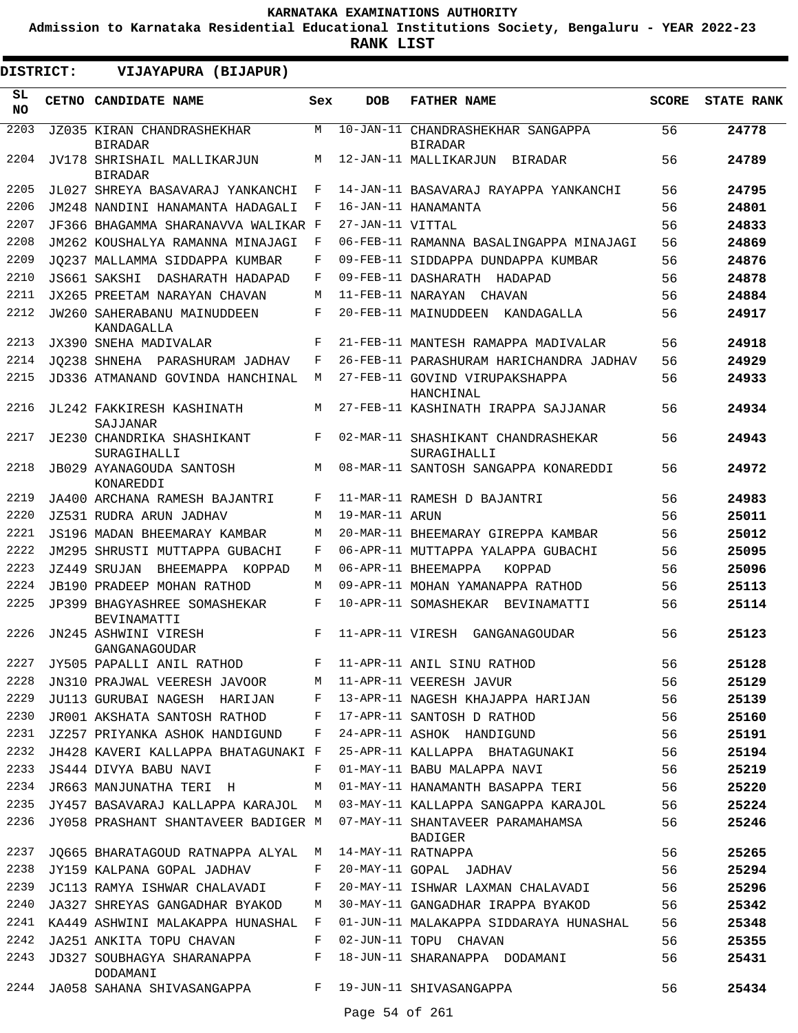**Admission to Karnataka Residential Educational Institutions Society, Bengaluru - YEAR 2022-23**

| DISTRICT: | VIJAYAPURA (BIJAPUR)                                  |            |                   |                                                                                                                            |              |                   |
|-----------|-------------------------------------------------------|------------|-------------------|----------------------------------------------------------------------------------------------------------------------------|--------------|-------------------|
| SL<br>NO. | CETNO CANDIDATE NAME                                  | Sex        | <b>DOB</b>        | <b>FATHER NAME</b>                                                                                                         | <b>SCORE</b> | <b>STATE RANK</b> |
| 2203      | JZ035 KIRAN CHANDRASHEKHAR<br><b>BIRADAR</b>          | M          |                   | 10-JAN-11 CHANDRASHEKHAR SANGAPPA<br><b>BIRADAR</b>                                                                        | 56           | 24778             |
| 2204      | JV178 SHRISHAIL MALLIKARJUN<br><b>BIRADAR</b>         | M          |                   | 12-JAN-11 MALLIKARJUN<br>BIRADAR                                                                                           | 56           | 24789             |
| 2205      | JL027 SHREYA BASAVARAJ YANKANCHI                      | F          |                   | 14-JAN-11 BASAVARAJ RAYAPPA YANKANCHI                                                                                      | 56           | 24795             |
| 2206      | JM248 NANDINI HANAMANTA HADAGALI                      | F          |                   | 16-JAN-11 HANAMANTA                                                                                                        | 56           | 24801             |
| 2207      | JF366 BHAGAMMA SHARANAVVA WALIKAR F                   |            | 27-JAN-11 VITTAL  |                                                                                                                            | 56           | 24833             |
| 2208      | JM262 KOUSHALYA RAMANNA MINAJAGI                      | F          |                   | 06-FEB-11 RAMANNA BASALINGAPPA MINAJAGI                                                                                    | 56           | 24869             |
| 2209      | JO237 MALLAMMA SIDDAPPA KUMBAR                        | F          |                   | 09-FEB-11 SIDDAPPA DUNDAPPA KUMBAR                                                                                         | 56           | 24876             |
| 2210      | JS661 SAKSHI<br>DASHARATH HADAPAD                     | F          |                   | 09-FEB-11 DASHARATH HADAPAD                                                                                                | 56           | 24878             |
| 2211      | JX265 PREETAM NARAYAN CHAVAN                          | M          | 11-FEB-11 NARAYAN | CHAVAN                                                                                                                     | 56           | 24884             |
| 2212      | JW260 SAHERABANU MAINUDDEEN<br>KANDAGALLA             | F          |                   | 20-FEB-11 MAINUDDEEN<br>KANDAGALLA                                                                                         | 56           | 24917             |
| 2213      | JX390 SNEHA MADIVALAR                                 | F          |                   | 21-FEB-11 MANTESH RAMAPPA MADIVALAR                                                                                        | 56           | 24918             |
| 2214      | JO238 SHNEHA PARASHURAM JADHAV                        | F          |                   | 26-FEB-11 PARASHURAM HARICHANDRA JADHAV                                                                                    | 56           | 24929             |
| 2215      | JD336 ATMANAND GOVINDA HANCHINAL                      | M          |                   | 27-FEB-11 GOVIND VIRUPAKSHAPPA<br>HANCHINAL                                                                                | 56           | 24933             |
| 2216      | JL242 FAKKIRESH KASHINATH<br>SAJJANAR                 | M          |                   | 27-FEB-11 KASHINATH IRAPPA SAJJANAR                                                                                        | 56           | 24934             |
| 2217      | JE230 CHANDRIKA SHASHIKANT<br>SURAGIHALLI             | F          |                   | 02-MAR-11 SHASHIKANT CHANDRASHEKAR<br>SURAGIHALLI                                                                          | 56           | 24943             |
| 2218      | JB029 AYANAGOUDA SANTOSH<br>KONAREDDI                 | M          |                   | 08-MAR-11 SANTOSH SANGAPPA KONAREDDI                                                                                       | 56           | 24972             |
| 2219      | JA400 ARCHANA RAMESH BAJANTRI                         | $_{\rm F}$ |                   | 11-MAR-11 RAMESH D BAJANTRI                                                                                                | 56           | 24983             |
| 2220      | JZ531 RUDRA ARUN JADHAV                               | M          | 19-MAR-11 ARUN    |                                                                                                                            | 56           | 25011             |
| 2221      | JS196 MADAN BHEEMARAY KAMBAR                          | M          |                   | 20-MAR-11 BHEEMARAY GIREPPA KAMBAR                                                                                         | 56           | 25012             |
| 2222      | JM295 SHRUSTI MUTTAPPA GUBACHI                        | F          |                   | 06-APR-11 MUTTAPPA YALAPPA GUBACHI                                                                                         | 56           | 25095             |
| 2223      | JZ449 SRUJAN<br>BHEEMAPPA KOPPAD                      | M          |                   | 06-APR-11 BHEEMAPPA<br>KOPPAD                                                                                              | 56           | 25096             |
| 2224      | JB190 PRADEEP MOHAN RATHOD                            | M          |                   | 09-APR-11 MOHAN YAMANAPPA RATHOD                                                                                           | 56           | 25113             |
| 2225      | JP399 BHAGYASHREE SOMASHEKAR<br><b>BEVINAMATTI</b>    | F          |                   | 10-APR-11 SOMASHEKAR BEVINAMATTI                                                                                           | 56           | 25114             |
| 2226      | JN245 ASHWINI VIRESH<br>GANGANAGOUDAR                 | F          |                   | 11-APR-11 VIRESH GANGANAGOUDAR                                                                                             | 56           | 25123             |
|           |                                                       |            |                   |                                                                                                                            | 56           | 25128             |
|           |                                                       |            |                   | 2227 JY505 PAPALLI ANIL RATHOD F 11-APR-11 ANIL SINU RATHOD<br>2228 JN310 PRAJWAL VEERESH JAVOOR M 11-APR-11 VEERESH JAVUR | 56           | 25129             |
| 2229      |                                                       |            |                   | JU113 GURUBAI NAGESH HARIJAN F 13-APR-11 NAGESH KHAJAPPA HARIJAN 56                                                        |              | 25139             |
| 2230      |                                                       |            |                   | JR001 AKSHATA SANTOSH RATHOD F 17-APR-11 SANTOSH D RATHOD 56                                                               |              | 25160             |
| 2231      | JZ257 PRIYANKA ASHOK HANDIGUND F                      |            |                   | 24-APR-11 ASHOK HANDIGUND 56                                                                                               |              | 25191             |
|           |                                                       |            |                   | 2232 JH428 KAVERI KALLAPPA BHATAGUNAKI F 25-APR-11 KALLAPPA BHATAGUNAKI 56                                                 |              | 25194             |
| 2233      | JS444 DIVYA BABU NAVI                                 |            |                   | F 01-MAY-11 BABU MALAPPA NAVI 56                                                                                           |              | 25219             |
| 2234      |                                                       |            |                   | JR663 MANJUNATHA TERI H M 01-MAY-11 HANAMANTH BASAPPA TERI 56                                                              |              | 25220             |
|           |                                                       |            |                   | 2235 JY457 BASAVARAJ KALLAPPA KARAJOL M 03-MAY-11 KALLAPPA SANGAPPA KARAJOL 56                                             |              | 25224             |
|           |                                                       |            |                   | 2236 JY058 PRASHANT SHANTAVEER BADIGER M 07-MAY-11 SHANTAVEER PARAMAHAMSA<br>BADIGER                                       | 56           | 25246             |
| 2237      | JQ665 BHARATAGOUD RATNAPPA ALYAL M 14-MAY-11 RATNAPPA |            |                   |                                                                                                                            | 56           | 25265             |
|           |                                                       |            |                   | 2237 JQ665 BHARATAGOUD RAINAPPA ADIAD - 17 FAI 11 NAINAFFA<br>2238 JY159 KALPANA GOPAL JADHAV - F 20-MAY-11 GOPAL JADHAV   | 56           | 25294             |
| 2239      |                                                       |            |                   | JC113 RAMYA ISHWAR CHALAVADI F 20-MAY-11 ISHWAR LAXMAN CHALAVADI 56                                                        |              | 25296             |
| 2240      |                                                       |            |                   | JA327 SHREYAS GANGADHAR BYAKOD M 30-MAY-11 GANGADHAR IRAPPA BYAKOD                                                         | 56           | 25342             |
|           | 2241 KA449 ASHWINI MALAKAPPA HUNASHAL F               |            |                   | 01-JUN-11 MALAKAPPA SIDDARAYA HUNASHAL                                                                                     | 56           | 25348             |
|           | 2242 JA251 ANKITA TOPU CHAVAN F 02-JUN-11 TOPU CHAVAN |            |                   |                                                                                                                            | 56           | 25355             |
| 2243      | DODAMANI                                              |            |                   | JD327 SOUBHAGYA SHARANAPPA F 18-JUN-11 SHARANAPPA DODAMANI                                                                 | 56           | 25431             |
|           |                                                       |            |                   | 2244 JA058 SAHANA SHIVASANGAPPA F 19-JUN-11 SHIVASANGAPPA                                                                  | 56 —         | 25434             |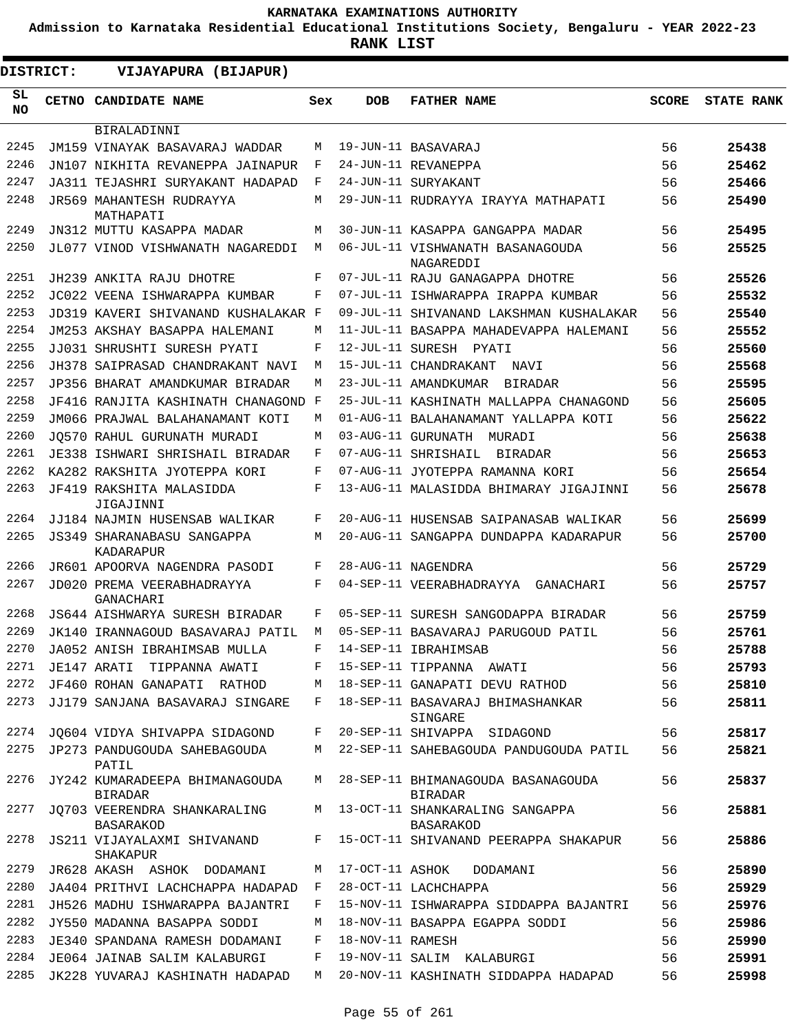**Admission to Karnataka Residential Educational Institutions Society, Bengaluru - YEAR 2022-23**

| <b>DISTRICT:</b> | VIJAYAPURA (BIJAPUR)                             |     |                  |                                                      |              |                   |
|------------------|--------------------------------------------------|-----|------------------|------------------------------------------------------|--------------|-------------------|
| SL<br>NO.        | <b>CETNO CANDIDATE NAME</b>                      | Sex | <b>DOB</b>       | <b>FATHER NAME</b>                                   | <b>SCORE</b> | <b>STATE RANK</b> |
|                  | BIRALADINNI                                      |     |                  |                                                      |              |                   |
| 2245             | JM159 VINAYAK BASAVARAJ WADDAR                   | М   |                  | 19-JUN-11 BASAVARAJ                                  | 56           | 25438             |
| 2246             | JN107 NIKHITA REVANEPPA JAINAPUR                 | F   |                  | 24-JUN-11 REVANEPPA                                  | 56           | 25462             |
| 2247             | JA311 TEJASHRI SURYAKANT HADAPAD                 | F   |                  | 24-JUN-11 SURYAKANT                                  | 56           | 25466             |
| 2248             | JR569 MAHANTESH RUDRAYYA<br>MATHAPATI            | М   |                  | 29-JUN-11 RUDRAYYA IRAYYA MATHAPATI                  | 56           | 25490             |
| 2249             | JN312 MUTTU KASAPPA MADAR                        | М   |                  | 30-JUN-11 KASAPPA GANGAPPA MADAR                     | 56           | 25495             |
| 2250             | JL077 VINOD VISHWANATH NAGAREDDI                 | М   |                  | 06-JUL-11 VISHWANATH BASANAGOUDA<br>NAGAREDDI        | 56           | 25525             |
| 2251             | JH239 ANKITA RAJU DHOTRE                         | F   |                  | 07-JUL-11 RAJU GANAGAPPA DHOTRE                      | 56           | 25526             |
| 2252             | JC022 VEENA ISHWARAPPA KUMBAR                    | F   |                  | 07-JUL-11 ISHWARAPPA IRAPPA KUMBAR                   | 56           | 25532             |
| 2253             | JD319 KAVERI SHIVANAND KUSHALAKAR F              |     |                  | 09-JUL-11 SHIVANAND LAKSHMAN KUSHALAKAR              | 56           | 25540             |
| 2254             | JM253 AKSHAY BASAPPA HALEMANI                    | М   |                  | 11-JUL-11 BASAPPA MAHADEVAPPA HALEMANI               | 56           | 25552             |
| 2255             | JJ031 SHRUSHTI SURESH PYATI                      | F   |                  | 12-JUL-11 SURESH PYATI                               | 56           | 25560             |
| 2256             | JH378 SAIPRASAD CHANDRAKANT NAVI                 | М   |                  | 15-JUL-11 CHANDRAKANT<br>NAVI                        | 56           | 25568             |
| 2257             | JP356 BHARAT AMANDKUMAR BIRADAR                  | M   |                  | 23-JUL-11 AMANDKUMAR<br>BIRADAR                      | 56           | 25595             |
| 2258             | JF416 RANJITA KASHINATH CHANAGOND                | F   |                  | 25-JUL-11 KASHINATH MALLAPPA CHANAGOND               | 56           | 25605             |
| 2259             | JM066 PRAJWAL BALAHANAMANT KOTI                  | M   |                  | 01-AUG-11 BALAHANAMANT YALLAPPA KOTI                 | 56           | 25622             |
| 2260             | JO570 RAHUL GURUNATH MURADI                      | М   |                  | 03-AUG-11 GURUNATH MURADI                            | 56           | 25638             |
| 2261             | JE338 ISHWARI SHRISHAIL BIRADAR                  | F   |                  | 07-AUG-11 SHRISHAIL<br>BIRADAR                       | 56           | 25653             |
| 2262             | KA282 RAKSHITA JYOTEPPA KORI                     | F   |                  | 07-AUG-11 JYOTEPPA RAMANNA KORI                      | 56           | 25654             |
| 2263             | JF419 RAKSHITA MALASIDDA<br>JIGAJINNI            | F   |                  | 13-AUG-11 MALASIDDA BHIMARAY JIGAJINNI               | 56           | 25678             |
| 2264             | JJ184 NAJMIN HUSENSAB WALIKAR                    | F   |                  | 20-AUG-11 HUSENSAB SAIPANASAB WALIKAR                | 56           | 25699             |
| 2265             | <b>JS349 SHARANABASU SANGAPPA</b><br>KADARAPUR   | М   |                  | 20-AUG-11 SANGAPPA DUNDAPPA KADARAPUR                | 56           | 25700             |
| 2266             | JR601 APOORVA NAGENDRA PASODI                    | F   |                  | 28-AUG-11 NAGENDRA                                   | 56           | 25729             |
| 2267             | JD020 PREMA VEERABHADRAYYA<br>GANACHARI          | F   |                  | 04-SEP-11 VEERABHADRAYYA GANACHARI                   | 56           | 25757             |
| 2268             | JS644 AISHWARYA SURESH BIRADAR                   | F   |                  | 05-SEP-11 SURESH SANGODAPPA BIRADAR                  | 56           | 25759             |
| 2269             | JK140 IRANNAGOUD BASAVARAJ PATIL                 | М   |                  | 05-SEP-11 BASAVARAJ PARUGOUD PATIL                   | 56           | 25761             |
| 2270             | JA052 ANISH IBRAHIMSAB MULLA                     | F   |                  | 14-SEP-11 IBRAHIMSAB                                 | 56           | 25788             |
|                  | 2271 JE147 ARATI TIPPANNA AWATI                  | F   |                  | 15-SEP-11 TIPPANNA AWATI                             | 56           | 25793             |
| 2272             | JF460 ROHAN GANAPATI RATHOD                      | М   |                  | 18-SEP-11 GANAPATI DEVU RATHOD                       | 56           | 25810             |
| 2273             | JJ179 SANJANA BASAVARAJ SINGARE                  | F   |                  | 18-SEP-11 BASAVARAJ BHIMASHANKAR<br>SINGARE          | 56           | 25811             |
| 2274             | JQ604 VIDYA SHIVAPPA SIDAGOND                    | F   |                  | 20-SEP-11 SHIVAPPA SIDAGOND                          | 56           | 25817             |
|                  | 2275 JP273 PANDUGOUDA SAHEBAGOUDA<br>PATIL       | М   |                  | 22-SEP-11 SAHEBAGOUDA PANDUGOUDA PATIL               | 56           | 25821             |
| 2276             | JY242 KUMARADEEPA BHIMANAGOUDA<br><b>BIRADAR</b> | M   |                  | 28-SEP-11 BHIMANAGOUDA BASANAGOUDA<br><b>BIRADAR</b> | 56           | 25837             |
| 2277             | JQ703 VEERENDRA SHANKARALING<br>BASARAKOD        |     |                  | M 13-OCT-11 SHANKARALING SANGAPPA<br>BASARAKOD       | 56           | 25881             |
| 2278             | JS211 VIJAYALAXMI SHIVANAND<br>SHAKAPUR          | F   |                  | 15-OCT-11 SHIVANAND PEERAPPA SHAKAPUR                | 56           | 25886             |
|                  | 2279 JR628 AKASH ASHOK DODAMANI                  | M   |                  | 17-OCT-11 ASHOK DODAMANI                             | 56           | 25890             |
| 2280             | JA404 PRITHVI LACHCHAPPA HADAPAD                 | F   |                  | 28-OCT-11 LACHCHAPPA                                 | 56           | 25929             |
| 2281             | JH526 MADHU ISHWARAPPA BAJANTRI                  | F   |                  | 15-NOV-11 ISHWARAPPA SIDDAPPA BAJANTRI               | 56           | 25976             |
| 2282             | JY550 MADANNA BASAPPA SODDI                      | М   |                  | 18-NOV-11 BASAPPA EGAPPA SODDI                       | 56           | 25986             |
| 2283             | JE340 SPANDANA RAMESH DODAMANI                   | F   | 18-NOV-11 RAMESH |                                                      | 56           | 25990             |
| 2284             | JE064 JAINAB SALIM KALABURGI                     | F   |                  | 19-NOV-11 SALIM KALABURGI                            | 56           | 25991             |
| 2285             | JK228 YUVARAJ KASHINATH HADAPAD                  | M   |                  | 20-NOV-11 KASHINATH SIDDAPPA HADAPAD                 | 56           | 25998             |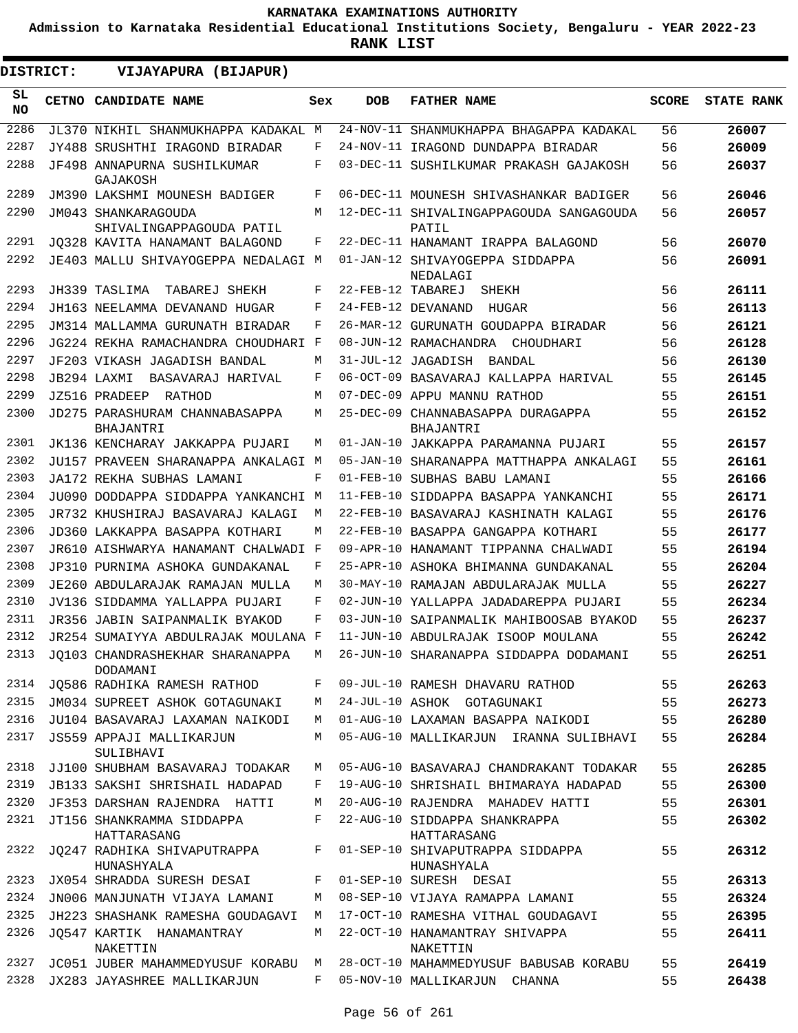**Admission to Karnataka Residential Educational Institutions Society, Bengaluru - YEAR 2022-23**

| <b>DISTRICT:</b> | VIJAYAPURA (BIJAPUR)                            |            |                   |                                                       |              |                   |
|------------------|-------------------------------------------------|------------|-------------------|-------------------------------------------------------|--------------|-------------------|
| SL<br><b>NO</b>  | <b>CETNO CANDIDATE NAME</b>                     | Sex        | <b>DOB</b>        | <b>FATHER NAME</b>                                    | <b>SCORE</b> | <b>STATE RANK</b> |
| 2286             | JL370 NIKHIL SHANMUKHAPPA KADAKAL               | M          |                   | 24-NOV-11 SHANMUKHAPPA BHAGAPPA KADAKAL               | 56           | 26007             |
| 2287             | JY488 SRUSHTHI IRAGOND BIRADAR                  | F          |                   | 24-NOV-11 IRAGOND DUNDAPPA BIRADAR                    | 56           | 26009             |
| 2288             | JF498 ANNAPURNA SUSHILKUMAR<br>GAJAKOSH         | F          |                   | 03-DEC-11 SUSHILKUMAR PRAKASH GAJAKOSH                | 56           | 26037             |
| 2289             | JM390 LAKSHMI MOUNESH BADIGER                   | F          |                   | 06-DEC-11 MOUNESH SHIVASHANKAR BADIGER                | 56           | 26046             |
| 2290             | JM043 SHANKARAGOUDA<br>SHIVALINGAPPAGOUDA PATIL | M          |                   | 12-DEC-11 SHIVALINGAPPAGOUDA SANGAGOUDA<br>PATIL      | 56           | 26057             |
| 2291             | JO328 KAVITA HANAMANT BALAGOND                  | F          |                   | 22-DEC-11 HANAMANT IRAPPA BALAGOND                    | 56           | 26070             |
| 2292             | JE403 MALLU SHIVAYOGEPPA NEDALAGI M             |            |                   | 01-JAN-12 SHIVAYOGEPPA SIDDAPPA<br>NEDALAGI           | 56           | 26091             |
| 2293             | JH339 TASLIMA<br>TABAREJ SHEKH                  | F          | 22-FEB-12 TABAREJ | SHEKH                                                 | 56           | 26111             |
| 2294             | JH163 NEELAMMA DEVANAND HUGAR                   | F          |                   | 24-FEB-12 DEVANAND<br>HUGAR                           | 56           | 26113             |
| 2295             | JM314 MALLAMMA GURUNATH BIRADAR                 | F          |                   | 26-MAR-12 GURUNATH GOUDAPPA BIRADAR                   | 56           | 26121             |
| 2296             | JG224 REKHA RAMACHANDRA CHOUDHARI               | $_{\rm F}$ |                   | 08-JUN-12 RAMACHANDRA<br>CHOUDHARI                    | 56           | 26128             |
| 2297             | JF203 VIKASH JAGADISH BANDAL                    | М          |                   | 31-JUL-12 JAGADISH<br>BANDAL                          | 56           | 26130             |
| 2298             | JB294 LAXMI<br>BASAVARAJ HARIVAL                | F          | $06 - OCT - 09$   | BASAVARAJ KALLAPPA HARIVAL                            | 55           | 26145             |
| 2299             | JZ516 PRADEEP<br>RATHOD                         | М          |                   | 07-DEC-09 APPU MANNU RATHOD                           | 55           | 26151             |
| 2300             | JD275 PARASHURAM CHANNABASAPPA<br>BHAJANTRI     | М          |                   | 25-DEC-09 CHANNABASAPPA DURAGAPPA<br><b>BHAJANTRI</b> | 55           | 26152             |
| 2301             | JK136 KENCHARAY JAKKAPPA PUJARI                 | М          |                   | 01-JAN-10 JAKKAPPA PARAMANNA PUJARI                   | 55           | 26157             |
| 2302             | JU157 PRAVEEN SHARANAPPA ANKALAGI M             |            |                   | 05-JAN-10 SHARANAPPA MATTHAPPA ANKALAGI               | 55           | 26161             |
| 2303             | JA172 REKHA SUBHAS LAMANI                       | F          | $01 - FEB - 10$   | SUBHAS BABU LAMANI                                    | 55           | 26166             |
| 2304             | JU090 DODDAPPA SIDDAPPA YANKANCHI               | M          | $11 - FEB - 10$   | SIDDAPPA BASAPPA YANKANCHI                            | 55           | 26171             |
| 2305             | JR732 KHUSHIRAJ BASAVARAJ KALAGI                | M          |                   | 22-FEB-10 BASAVARAJ KASHINATH KALAGI                  | 55           | 26176             |
| 2306             | JD360 LAKKAPPA BASAPPA KOTHARI                  | М          | $22$ -FEB-10      | BASAPPA GANGAPPA KOTHARI                              | 55           | 26177             |
| 2307             | JR610 AISHWARYA HANAMANT CHALWADI F             |            | 09-APR-10         | HANAMANT TIPPANNA CHALWADI                            | 55           | 26194             |
| 2308             | JP310 PURNIMA ASHOKA GUNDAKANAL                 | F          |                   | 25-APR-10 ASHOKA BHIMANNA GUNDAKANAL                  | 55           | 26204             |
| 2309             | JE260 ABDULARAJAK RAMAJAN MULLA                 | М          |                   | 30-MAY-10 RAMAJAN ABDULARAJAK MULLA                   | 55           | 26227             |
| 2310             | JV136 SIDDAMMA YALLAPPA PUJARI                  | F          |                   | 02-JUN-10 YALLAPPA JADADAREPPA PUJARI                 | 55           | 26234             |
| 2311             | JR356 JABIN SAIPANMALIK BYAKOD                  | F          | $03 - JJJN - 10$  | SAIPANMALIK MAHIBOOSAB BYAKOD                         | 55           | 26237             |
| 2312             | JR254 SUMAIYYA ABDULRAJAK MOULANA F             |            |                   | 11-JUN-10 ABDULRAJAK ISOOP MOULANA                    | 55           | 26242             |
| 2313             | JO103 CHANDRASHEKHAR SHARANAPPA<br>DODAMANI     | M          |                   | 26-JUN-10 SHARANAPPA SIDDAPPA DODAMANI                | 55           | 26251             |
| 2314             | JQ586 RADHIKA RAMESH RATHOD                     | F          |                   | 09-JUL-10 RAMESH DHAVARU RATHOD                       | 55           | 26263             |
| 2315             | JM034 SUPREET ASHOK GOTAGUNAKI                  | М          |                   | 24-JUL-10 ASHOK GOTAGUNAKI                            | 55           | 26273             |
| 2316             | JU104 BASAVARAJ LAXAMAN NAIKODI                 | M          |                   | 01-AUG-10 LAXAMAN BASAPPA NAIKODI                     | 55           | 26280             |
| 2317             | JS559 APPAJI MALLIKARJUN<br>SULIBHAVI           | М          |                   | 05-AUG-10 MALLIKARJUN IRANNA SULIBHAVI                | 55           | 26284             |
| 2318             | JJ100 SHUBHAM BASAVARAJ TODAKAR                 | M          |                   | 05-AUG-10 BASAVARAJ CHANDRAKANT TODAKAR               | 55           | 26285             |
| 2319             | JB133 SAKSHI SHRISHAIL HADAPAD                  | F          |                   | 19-AUG-10 SHRISHAIL BHIMARAYA HADAPAD                 | 55           | 26300             |
| 2320             | JF353 DARSHAN RAJENDRA HATTI                    | М          |                   | 20-AUG-10 RAJENDRA MAHADEV HATTI                      | 55           | 26301             |
| 2321             | JT156 SHANKRAMMA SIDDAPPA<br>HATTARASANG        | F          |                   | 22-AUG-10 SIDDAPPA SHANKRAPPA<br>HATTARASANG          | 55           | 26302             |
| 2322             | JO247 RADHIKA SHIVAPUTRAPPA<br>HUNASHYALA       | F          |                   | 01-SEP-10 SHIVAPUTRAPPA SIDDAPPA<br>HUNASHYALA        | 55           | 26312             |
| 2323             | JX054 SHRADDA SURESH DESAI                      | F          |                   | 01-SEP-10 SURESH DESAI                                | 55           | 26313             |
| 2324             | JN006 MANJUNATH VIJAYA LAMANI                   | М          |                   | 08-SEP-10 VIJAYA RAMAPPA LAMANI                       | 55           | 26324             |
| 2325             | JH223 SHASHANK RAMESHA GOUDAGAVI                | M          |                   | 17-OCT-10 RAMESHA VITHAL GOUDAGAVI                    | 55           | 26395             |
| 2326             | JO547 KARTIK HANAMANTRAY<br>NAKETTIN            | М          |                   | 22-OCT-10 HANAMANTRAY SHIVAPPA<br>NAKETTIN            | 55           | 26411             |
| 2327             | JC051 JUBER MAHAMMEDYUSUF KORABU                | M          |                   | 28-OCT-10 MAHAMMEDYUSUF BABUSAB KORABU                | 55           | 26419             |
| 2328             | JX283 JAYASHREE MALLIKARJUN                     | F          |                   | 05-NOV-10 MALLIKARJUN CHANNA                          | 55           | 26438             |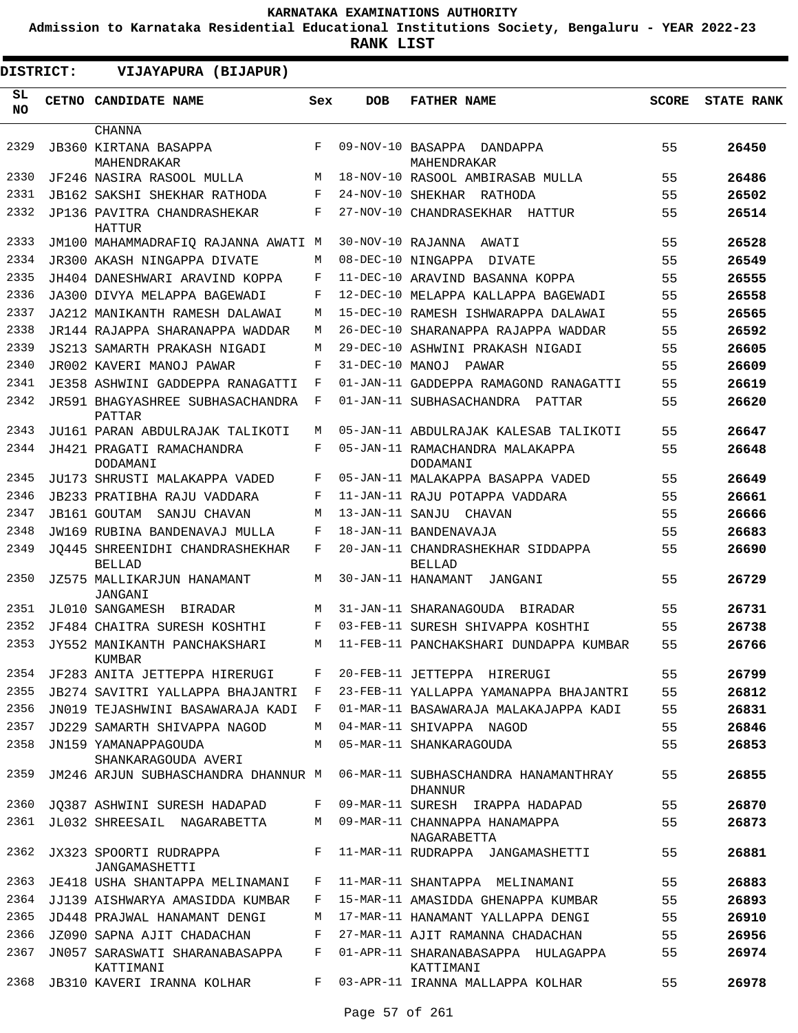**Admission to Karnataka Residential Educational Institutions Society, Bengaluru - YEAR 2022-23**

| <b>DISTRICT:</b> | VIJAYAPURA (BIJAPUR)                              |              |                   |                                                    |              |                   |
|------------------|---------------------------------------------------|--------------|-------------------|----------------------------------------------------|--------------|-------------------|
| SL<br><b>NO</b>  | <b>CETNO CANDIDATE NAME</b>                       | Sex          | <b>DOB</b>        | <b>FATHER NAME</b>                                 | <b>SCORE</b> | <b>STATE RANK</b> |
|                  | <b>CHANNA</b>                                     |              |                   |                                                    |              |                   |
| 2329             | <b>JB360 KIRTANA BASAPPA</b><br>MAHENDRAKAR       | F            | 09-NOV-10 BASAPPA | DANDAPPA<br>MAHENDRAKAR                            | 55           | 26450             |
| 2330             | JF246 NASIRA RASOOL MULLA                         | М            |                   | 18-NOV-10 RASOOL AMBIRASAB MULLA                   | 55           | 26486             |
| 2331             | JB162 SAKSHI SHEKHAR RATHODA                      | F            |                   | 24-NOV-10 SHEKHAR RATHODA                          | 55           | 26502             |
| 2332             | JP136 PAVITRA CHANDRASHEKAR<br><b>HATTUR</b>      | F            |                   | 27-NOV-10 CHANDRASEKHAR HATTUR                     | 55           | 26514             |
| 2333             | JM100 MAHAMMADRAFIQ RAJANNA AWATI M               |              | 30-NOV-10 RAJANNA | AWATI                                              | 55           | 26528             |
| 2334             | JR300 AKASH NINGAPPA DIVATE                       | М            |                   | 08-DEC-10 NINGAPPA DIVATE                          | 55           | 26549             |
| 2335             | JH404 DANESHWARI ARAVIND KOPPA                    | F            |                   | 11-DEC-10 ARAVIND BASANNA KOPPA                    | 55           | 26555             |
| 2336             | JA300 DIVYA MELAPPA BAGEWADI                      | F            |                   | 12-DEC-10 MELAPPA KALLAPPA BAGEWADI                | 55           | 26558             |
| 2337             | JA212 MANIKANTH RAMESH DALAWAI                    | М            |                   | 15-DEC-10 RAMESH ISHWARAPPA DALAWAI                | 55           | 26565             |
| 2338             | JR144 RAJAPPA SHARANAPPA WADDAR                   | M            |                   | 26-DEC-10 SHARANAPPA RAJAPPA WADDAR                | 55           | 26592             |
| 2339             | JS213 SAMARTH PRAKASH NIGADI                      | М            |                   | 29-DEC-10 ASHWINI PRAKASH NIGADI                   | 55           | 26605             |
| 2340             | JR002 KAVERI MANOJ PAWAR                          | F            | 31-DEC-10 MANOJ   | PAWAR                                              | 55           | 26609             |
| 2341             | JE358 ASHWINI GADDEPPA RANAGATTI                  | F            |                   | 01-JAN-11 GADDEPPA RAMAGOND RANAGATTI              | 55           | 26619             |
| 2342             | <b>JR591 BHAGYASHREE SUBHASACHANDRA</b><br>PATTAR | F            |                   | 01-JAN-11 SUBHASACHANDRA PATTAR                    | 55           | 26620             |
| 2343             | JU161 PARAN ABDULRAJAK TALIKOTI                   | М            |                   | 05-JAN-11 ABDULRAJAK KALESAB TALIKOTI              | 55           | 26647             |
| 2344             | JH421 PRAGATI RAMACHANDRA<br>DODAMANI             | F            |                   | 05-JAN-11 RAMACHANDRA MALAKAPPA<br>DODAMANI        | 55           | 26648             |
| 2345             | JU173 SHRUSTI MALAKAPPA VADED                     | F            |                   | 05-JAN-11 MALAKAPPA BASAPPA VADED                  | 55           | 26649             |
| 2346             | <b>JB233 PRATIBHA RAJU VADDARA</b>                | F            |                   | 11-JAN-11 RAJU POTAPPA VADDARA                     | 55           | 26661             |
| 2347             | JB161 GOUTAM<br>SANJU CHAVAN                      | М            |                   | 13-JAN-11 SANJU CHAVAN                             | 55           | 26666             |
| 2348             | JW169 RUBINA BANDENAVAJ MULLA                     | F            |                   | 18-JAN-11 BANDENAVAJA                              | 55           | 26683             |
| 2349             | JO445 SHREENIDHI CHANDRASHEKHAR<br><b>BELLAD</b>  | F            |                   | 20-JAN-11 CHANDRASHEKHAR SIDDAPPA<br><b>BELLAD</b> | 55           | 26690             |
| 2350             | JZ575 MALLIKARJUN HANAMANT<br>JANGANI             | М            |                   | 30-JAN-11 HANAMANT<br>JANGANI                      | 55           | 26729             |
| 2351             | JL010 SANGAMESH BIRADAR                           | М            |                   | 31-JAN-11 SHARANAGOUDA BIRADAR                     | 55           | 26731             |
| 2352             | JF484 CHAITRA SURESH KOSHTHI                      | F            |                   | 03-FEB-11 SURESH SHIVAPPA KOSHTHI                  | 55           | 26738             |
| 2353             | JY552 MANIKANTH PANCHAKSHARI<br>KUMBAR            | М            |                   | 11-FEB-11 PANCHAKSHARI DUNDAPPA KUMBAR             | 55           | 26766             |
| 2354             | JF283 ANITA JETTEPPA HIRERUGI                     | F            |                   | 20-FEB-11 JETTEPPA HIRERUGI                        | 55           | 26799             |
| 2355             | JB274 SAVITRI YALLAPPA BHAJANTRI                  | $\mathbf{F}$ |                   | 23-FEB-11 YALLAPPA YAMANAPPA BHAJANTRI             | 55           | 26812             |
| 2356             | JN019 TEJASHWINI BASAWARAJA KADI                  | F            |                   | 01-MAR-11 BASAWARAJA MALAKAJAPPA KADI              | 55           | 26831             |
| 2357             | JD229 SAMARTH SHIVAPPA NAGOD                      | M            |                   | 04-MAR-11 SHIVAPPA NAGOD                           | 55           | 26846             |
| 2358             | JN159 YAMANAPPAGOUDA<br>SHANKARAGOUDA AVERI       | M            |                   | 05-MAR-11 SHANKARAGOUDA                            | 55           | 26853             |
| 2359             | JM246 ARJUN SUBHASCHANDRA DHANNUR M               |              |                   | 06-MAR-11 SUBHASCHANDRA HANAMANTHRAY<br>DHANNUR    | 55           | 26855             |
| 2360             | JO387 ASHWINI SURESH HADAPAD                      | F            |                   | 09-MAR-11 SURESH IRAPPA HADAPAD                    | 55           | 26870             |
| 2361             | JL032 SHREESAIL NAGARABETTA                       | M            |                   | 09-MAR-11 CHANNAPPA HANAMAPPA<br>NAGARABETTA       | 55           | 26873             |
| 2362             | JX323 SPOORTI RUDRAPPA<br>JANGAMASHETTI           | F            |                   | 11-MAR-11 RUDRAPPA JANGAMASHETTI                   | 55           | 26881             |
| 2363             | JE418 USHA SHANTAPPA MELINAMANI                   | F            |                   | 11-MAR-11 SHANTAPPA MELINAMANI                     | 55           | 26883             |
| 2364             | JJ139 AISHWARYA AMASIDDA KUMBAR                   | F            |                   | 15-MAR-11 AMASIDDA GHENAPPA KUMBAR                 | 55           | 26893             |
| 2365             | JD448 PRAJWAL HANAMANT DENGI                      | M            |                   | 17-MAR-11 HANAMANT YALLAPPA DENGI                  | 55           | 26910             |
| 2366             | JZ090 SAPNA AJIT CHADACHAN                        | F            |                   | 27-MAR-11 AJIT RAMANNA CHADACHAN                   | 55           | 26956             |
| 2367             | JN057 SARASWATI SHARANABASAPPA<br>KATTIMANI       | F            |                   | 01-APR-11 SHARANABASAPPA HULAGAPPA<br>KATTIMANI    | 55           | 26974             |
| 2368             | JB310 KAVERI IRANNA KOLHAR                        | F            |                   | 03-APR-11 IRANNA MALLAPPA KOLHAR                   | 55           | 26978             |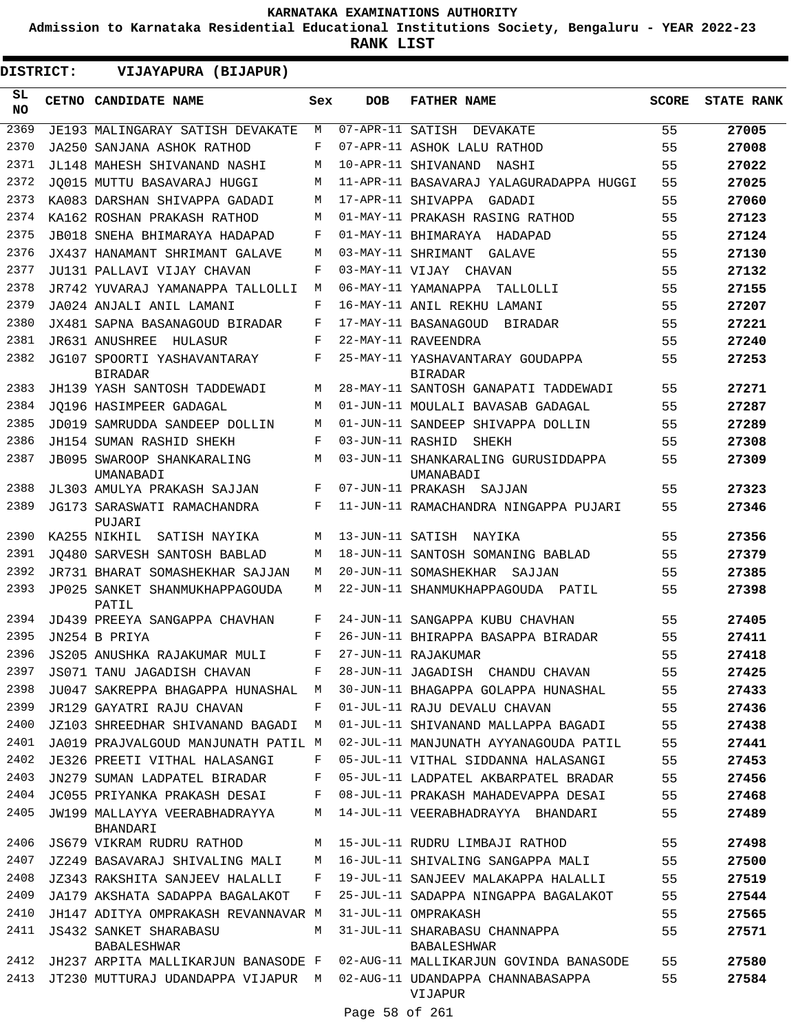**Admission to Karnataka Residential Educational Institutions Society, Bengaluru - YEAR 2022-23**

**RANK LIST**

 $\blacksquare$ 

| SL.<br><b>NO</b><br>2369<br>2370 | CETNO CANDIDATE NAME<br>JE193 MALINGARAY SATISH DEVAKATE | Sex | <b>DOB</b>       | <b>FATHER NAME</b>                                  | <b>SCORE</b> | <b>STATE RANK</b> |
|----------------------------------|----------------------------------------------------------|-----|------------------|-----------------------------------------------------|--------------|-------------------|
|                                  |                                                          |     |                  |                                                     |              |                   |
|                                  |                                                          | М   |                  | 07-APR-11 SATISH DEVAKATE                           | 55           | 27005             |
|                                  | JA250 SANJANA ASHOK RATHOD                               | F   |                  | 07-APR-11 ASHOK LALU RATHOD                         | 55           | 27008             |
| 2371                             | JL148 MAHESH SHIVANAND NASHI                             | M   |                  | 10-APR-11 SHIVANAND<br>NASHI                        | 55           | 27022             |
| 2372                             | JO015 MUTTU BASAVARAJ HUGGI                              | M   |                  | 11-APR-11 BASAVARAJ YALAGURADAPPA HUGGI             | 55           | 27025             |
| 2373                             | KA083 DARSHAN SHIVAPPA GADADI                            | M   |                  | 17-APR-11 SHIVAPPA<br>GADADI                        | 55           | 27060             |
| 2374                             | KA162 ROSHAN PRAKASH RATHOD                              | M   |                  | 01-MAY-11 PRAKASH RASING RATHOD                     | 55           | 27123             |
| 2375                             | JB018 SNEHA BHIMARAYA HADAPAD                            | F   |                  | 01-MAY-11 BHIMARAYA HADAPAD                         | 55           | 27124             |
| 2376                             | JX437 HANAMANT SHRIMANT GALAVE                           | M   |                  | 03-MAY-11 SHRIMANT<br>GALAVE                        | 55           | 27130             |
| 2377                             | JU131 PALLAVI VIJAY CHAVAN                               | F   |                  | 03-MAY-11 VIJAY CHAVAN                              | 55           | 27132             |
| 2378                             | JR742 YUVARAJ YAMANAPPA TALLOLLI                         | M   |                  | 06-MAY-11 YAMANAPPA<br>TALLOLLI                     | 55           | 27155             |
| 2379                             | JA024 ANJALI ANIL LAMANI                                 | F   |                  | 16-MAY-11 ANIL REKHU LAMANI                         | 55           | 27207             |
| 2380                             | JX481 SAPNA BASANAGOUD BIRADAR                           | F   |                  | 17-MAY-11 BASANAGOUD<br>BIRADAR                     | 55           | 27221             |
| 2381                             | JR631 ANUSHREE<br>HULASUR                                | F   |                  | 22-MAY-11 RAVEENDRA                                 | 55           | 27240             |
| 2382                             | JG107 SPOORTI YASHAVANTARAY<br><b>BIRADAR</b>            | F   |                  | 25-MAY-11 YASHAVANTARAY GOUDAPPA<br><b>BIRADAR</b>  | 55           | 27253             |
| 2383                             | JH139 YASH SANTOSH TADDEWADI                             | М   |                  | 28-MAY-11 SANTOSH GANAPATI TADDEWADI                | 55           | 27271             |
| 2384                             | JO196 HASIMPEER GADAGAL                                  | M   |                  | 01-JUN-11 MOULALI BAVASAB GADAGAL                   | 55           | 27287             |
| 2385                             | JD019 SAMRUDDA SANDEEP DOLLIN                            | M   |                  | 01-JUN-11 SANDEEP SHIVAPPA DOLLIN                   | 55           | 27289             |
| 2386                             | JH154 SUMAN RASHID SHEKH                                 | F   | 03-JUN-11 RASHID | SHEKH                                               | 55           | 27308             |
| 2387                             | JB095 SWAROOP SHANKARALING<br>UMANABADI                  | M   |                  | 03-JUN-11 SHANKARALING GURUSIDDAPPA<br>UMANABADI    | 55           | 27309             |
| 2388                             | JL303 AMULYA PRAKASH SAJJAN                              | F   |                  | 07-JUN-11 PRAKASH SAJJAN                            | 55           | 27323             |
| 2389                             | JG173 SARASWATI RAMACHANDRA<br>PUJARI                    | F   |                  | 11-JUN-11 RAMACHANDRA NINGAPPA PUJARI               | 55           | 27346             |
| 2390                             | KA255 NIKHIL<br>SATISH NAYIKA                            | M   | 13-JUN-11 SATISH | NAYIKA                                              | 55           | 27356             |
| 2391                             | JO480 SARVESH SANTOSH BABLAD                             | M   |                  | 18-JUN-11 SANTOSH SOMANING BABLAD                   | 55           | 27379             |
| 2392                             | JR731 BHARAT SOMASHEKHAR SAJJAN                          | М   |                  | 20-JUN-11 SOMASHEKHAR<br>SAJJAN                     | 55           | 27385             |
| 2393                             | JP025 SANKET SHANMUKHAPPAGOUDA<br>PATIL                  | M   |                  | 22-JUN-11 SHANMUKHAPPAGOUDA PATIL                   | 55           | 27398             |
| 2394                             | JD439 PREEYA SANGAPPA CHAVHAN                            | F   |                  | 24-JUN-11 SANGAPPA KUBU CHAVHAN                     | 55           | 27405             |
| 2395                             | JN254 B PRIYA                                            | F   |                  | 26-JUN-11 BHIRAPPA BASAPPA BIRADAR                  | 55           | 27411             |
| 2396                             | JS205 ANUSHKA RAJAKUMAR MULI                             | F   |                  | 27-JUN-11 RAJAKUMAR                                 | 55           | 27418             |
| 2397                             | JS071 TANU JAGADISH CHAVAN                               | F   |                  | 28-JUN-11 JAGADISH CHANDU CHAVAN                    | 55           | 27425             |
| 2398                             | JU047 SAKREPPA BHAGAPPA HUNASHAL                         | M   |                  | 30-JUN-11 BHAGAPPA GOLAPPA HUNASHAL                 | 55           | 27433             |
| 2399                             | JR129 GAYATRI RAJU CHAVAN                                | F   |                  | 01-JUL-11 RAJU DEVALU CHAVAN                        | 55           | 27436             |
| 2400                             | JZ103 SHREEDHAR SHIVANAND BAGADI                         | М   |                  | 01-JUL-11 SHIVANAND MALLAPPA BAGADI                 | 55           | 27438             |
| 2401                             | JA019 PRAJVALGOUD MANJUNATH PATIL M                      |     |                  | 02-JUL-11 MANJUNATH AYYANAGOUDA PATIL               | 55           | 27441             |
| 2402                             | JE326 PREETI VITHAL HALASANGI                            | F   |                  | 05-JUL-11 VITHAL SIDDANNA HALASANGI                 | 55           | 27453             |
| 2403                             | JN279 SUMAN LADPATEL BIRADAR                             | F   |                  | 05-JUL-11 LADPATEL AKBARPATEL BRADAR                | 55           | 27456             |
| 2404                             | JC055 PRIYANKA PRAKASH DESAI                             | F   |                  | 08-JUL-11 PRAKASH MAHADEVAPPA DESAI                 | 55           | 27468             |
| 2405                             | JW199 MALLAYYA VEERABHADRAYYA<br>BHANDARI                | М   |                  | 14-JUL-11 VEERABHADRAYYA BHANDARI                   | 55           | 27489             |
| 2406                             | JS679 VIKRAM RUDRU RATHOD                                | M   |                  | 15-JUL-11 RUDRU LIMBAJI RATHOD                      | 55           | 27498             |
| 2407                             | JZ249 BASAVARAJ SHIVALING MALI                           | М   |                  | 16-JUL-11 SHIVALING SANGAPPA MALI                   | 55           | 27500             |
| 2408                             | JZ343 RAKSHITA SANJEEV HALALLI                           | F   |                  | 19-JUL-11 SANJEEV MALAKAPPA HALALLI                 | 55           | 27519             |
| 2409                             | JA179 AKSHATA SADAPPA BAGALAKOT                          | F   |                  | 25-JUL-11 SADAPPA NINGAPPA BAGALAKOT                | 55           | 27544             |
| 2410                             | JH147 ADITYA OMPRAKASH REVANNAVAR M                      |     |                  | 31-JUL-11 OMPRAKASH                                 | 55           | 27565             |
| 2411                             | <b>JS432 SANKET SHARABASU</b><br><b>BABALESHWAR</b>      | M   |                  | 31-JUL-11 SHARABASU CHANNAPPA<br><b>BABALESHWAR</b> | 55           | 27571             |
| 2412                             | JH237 ARPITA MALLIKARJUN BANASODE F                      |     |                  | 02-AUG-11 MALLIKARJUN GOVINDA BANASODE              | 55           | 27580             |
| 2413                             | JT230 MUTTURAJ UDANDAPPA VIJAPUR M                       |     |                  | 02-AUG-11 UDANDAPPA CHANNABASAPPA<br>VIJAPUR        | 55           | 27584             |

Page 58 of 261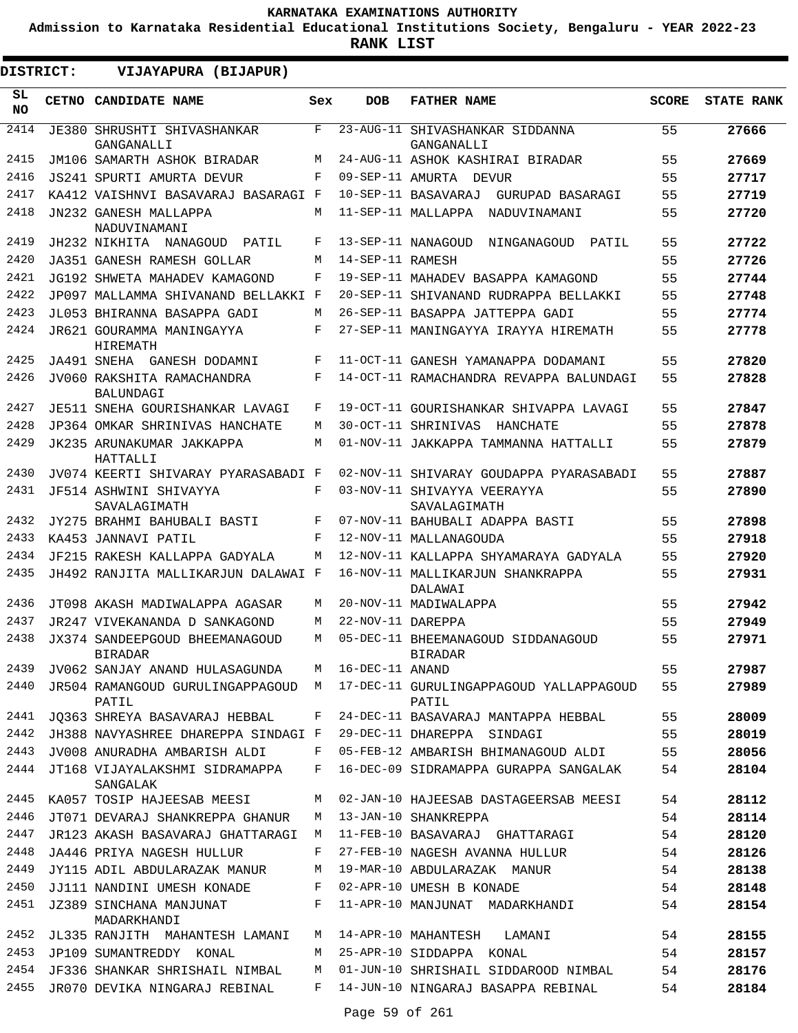**Admission to Karnataka Residential Educational Institutions Society, Bengaluru - YEAR 2022-23**

**RANK LIST**

ı

| DISTRICT:  | VIJAYAPURA (BIJAPUR)                             |     |                        |                                                  |              |                   |
|------------|--------------------------------------------------|-----|------------------------|--------------------------------------------------|--------------|-------------------|
| SL.<br>NO. | <b>CETNO CANDIDATE NAME</b>                      | Sex | <b>DOB</b>             | <b>FATHER NAME</b>                               | <b>SCORE</b> | <b>STATE RANK</b> |
| 2414       | JE380 SHRUSHTI SHIVASHANKAR<br>GANGANALLI        | F   | $23 - \text{AUG} - 11$ | SHIVASHANKAR SIDDANNA<br>GANGANALLI              | 55           | 27666             |
| 2415       | JM106 SAMARTH ASHOK BIRADAR                      | М   |                        | 24-AUG-11 ASHOK KASHIRAI BIRADAR                 | 55           | 27669             |
| 2416       | JS241 SPURTI AMURTA DEVUR                        | F   |                        | 09-SEP-11 AMURTA DEVUR                           | 55           | 27717             |
| 2417       | KA412 VAISHNVI BASAVARAJ BASARAGI F              |     |                        | 10-SEP-11 BASAVARAJ<br>GURUPAD BASARAGI          | 55           | 27719             |
| 2418       | JN232 GANESH MALLAPPA<br>NADUVINAMANI            | M   |                        | 11-SEP-11 MALLAPPA<br>NADUVINAMANI               | 55           | 27720             |
| 2419       | JH232 NIKHITA NANAGOUD<br>PATIL                  | F   |                        | 13-SEP-11 NANAGOUD<br>NINGANAGOUD<br>PATIL       | 55           | 27722             |
| 2420       | JA351 GANESH RAMESH GOLLAR                       | M   | 14-SEP-11 RAMESH       |                                                  | 55           | 27726             |
| 2421       | JG192 SHWETA MAHADEV KAMAGOND                    | F   |                        | 19-SEP-11 MAHADEV BASAPPA KAMAGOND               | 55           | 27744             |
| 2422       | JP097 MALLAMMA SHIVANAND BELLAKKI F              |     |                        | 20-SEP-11 SHIVANAND RUDRAPPA BELLAKKI            | 55           | 27748             |
| 2423       | JL053 BHIRANNA BASAPPA GADI                      | М   |                        | 26-SEP-11 BASAPPA JATTEPPA GADI                  | 55           | 27774             |
| 2424       | JR621 GOURAMMA MANINGAYYA<br>HIREMATH            | F   |                        | 27-SEP-11 MANINGAYYA IRAYYA HIREMATH             | 55           | 27778             |
| 2425       | JA491 SNEHA GANESH DODAMNI                       | F   |                        | 11-OCT-11 GANESH YAMANAPPA DODAMANI              | 55           | 27820             |
| 2426       | JV060 RAKSHITA RAMACHANDRA<br>BALUNDAGI          | F   |                        | 14-OCT-11 RAMACHANDRA REVAPPA BALUNDAGI          | 55           | 27828             |
| 2427       | JE511 SNEHA GOURISHANKAR LAVAGI                  | F   |                        | 19-OCT-11 GOURISHANKAR SHIVAPPA LAVAGI           | 55           | 27847             |
| 2428       | JP364 OMKAR SHRINIVAS HANCHATE                   | М   |                        | 30-OCT-11 SHRINIVAS<br>HANCHATE                  | 55           | 27878             |
| 2429       | JK235 ARUNAKUMAR JAKKAPPA<br>HATTALLI            | М   |                        | 01-NOV-11 JAKKAPPA TAMMANNA HATTALLI             | 55           | 27879             |
| 2430       | JV074 KEERTI SHIVARAY PYARASABADI F              |     |                        | 02-NOV-11 SHIVARAY GOUDAPPA PYARASABADI          | 55           | 27887             |
| 2431       | JF514 ASHWINI SHIVAYYA<br>SAVALAGIMATH           | F   |                        | 03-NOV-11 SHIVAYYA VEERAYYA<br>SAVALAGIMATH      | 55           | 27890             |
| 2432       | JY275 BRAHMI BAHUBALI BASTI                      | F   |                        | 07-NOV-11 BAHUBALI ADAPPA BASTI                  | 55           | 27898             |
| 2433       | KA453 JANNAVI PATIL                              | F   |                        | 12-NOV-11 MALLANAGOUDA                           | 55           | 27918             |
| 2434       | JF215 RAKESH KALLAPPA GADYALA                    | М   |                        | 12-NOV-11 KALLAPPA SHYAMARAYA GADYALA            | 55           | 27920             |
| 2435       | JH492 RANJITA MALLIKARJUN DALAWAI F              |     |                        | 16-NOV-11 MALLIKARJUN SHANKRAPPA<br>DALAWAI      | 55           | 27931             |
| 2436       | JT098 AKASH MADIWALAPPA AGASAR                   | М   |                        | 20-NOV-11 MADIWALAPPA                            | 55           | 27942             |
| 2437       | JR247 VIVEKANANDA D SANKAGOND                    | М   | 22-NOV-11 DAREPPA      |                                                  | 55           | 27949             |
| 2438       | JX374 SANDEEPGOUD BHEEMANAGOUD<br><b>BIRADAR</b> | M   |                        | 05-DEC-11 BHEEMANAGOUD SIDDANAGOUD<br>BIRADAR    | 55           | 27971             |
| 2439       | JV062 SANJAY ANAND HULASAGUNDA                   | М   | 16-DEC-11 ANAND        |                                                  | 55           | 27987             |
| 2440       | JR504 RAMANGOUD GURULINGAPPAGOUD M<br>PATIL      |     |                        | 17-DEC-11 GURULINGAPPAGOUD YALLAPPAGOUD<br>PATIL | 55           | 27989             |
| 2441       | JO363 SHREYA BASAVARAJ HEBBAL                    | F   |                        | 24-DEC-11 BASAVARAJ MANTAPPA HEBBAL              | 55           | 28009             |
| 2442       | JH388 NAVYASHREE DHAREPPA SINDAGI F              |     |                        | 29-DEC-11 DHAREPPA SINDAGI                       | 55           | 28019             |
| 2443       | JV008 ANURADHA AMBARISH ALDI                     | F   |                        | 05-FEB-12 AMBARISH BHIMANAGOUD ALDI              | 55           | 28056             |
| 2444       | JT168 VIJAYALAKSHMI SIDRAMAPPA<br>SANGALAK       | F   |                        | 16-DEC-09 SIDRAMAPPA GURAPPA SANGALAK            | 54           | 28104             |
| 2445       | KA057 TOSIP HAJEESAB MEESI                       | M   |                        | 02-JAN-10 HAJEESAB DASTAGEERSAB MEESI            | 54           | 28112             |
| 2446       | JT071 DEVARAJ SHANKREPPA GHANUR                  | М   |                        | 13-JAN-10 SHANKREPPA                             | 54           | 28114             |
| 2447       | JR123 AKASH BASAVARAJ GHATTARAGI                 | М   |                        | 11-FEB-10 BASAVARAJ GHATTARAGI                   | 54           | 28120             |
| 2448       | JA446 PRIYA NAGESH HULLUR                        | F   |                        | 27-FEB-10 NAGESH AVANNA HULLUR                   | 54           | 28126             |
| 2449       | JY115 ADIL ABDULARAZAK MANUR                     | М   |                        | 19-MAR-10 ABDULARAZAK MANUR                      | 54           | 28138             |
| 2450       | JJ111 NANDINI UMESH KONADE                       | F   |                        | 02-APR-10 UMESH B KONADE                         | 54           | 28148             |
| 2451       | JZ389 SINCHANA MANJUNAT<br>MADARKHANDI           | F   |                        | 11-APR-10 MANJUNAT MADARKHANDI                   | 54           | 28154             |
| 2452       | JL335 RANJITH MAHANTESH LAMANI                   | M   |                        | 14-APR-10 MAHANTESH<br>LAMANI                    | 54           | 28155             |
| 2453       | JP109 SUMANTREDDY KONAL                          | M   |                        | 25-APR-10 SIDDAPPA KONAL                         | 54           | 28157             |
| 2454       | JF336 SHANKAR SHRISHAIL NIMBAL                   | М   |                        | 01-JUN-10 SHRISHAIL SIDDAROOD NIMBAL             | 54           | 28176             |
| 2455       | JR070 DEVIKA NINGARAJ REBINAL                    | F   |                        | 14-JUN-10 NINGARAJ BASAPPA REBINAL               | 54           | 28184             |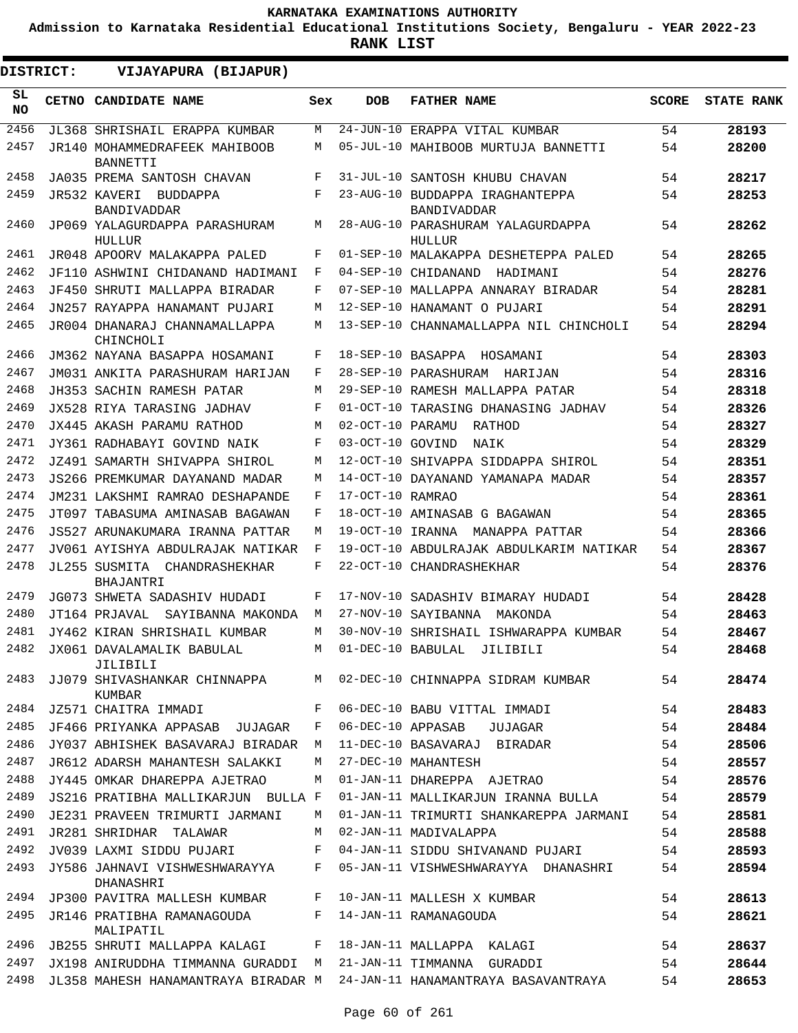**Admission to Karnataka Residential Educational Institutions Society, Bengaluru - YEAR 2022-23**

| <b>DISTRICT:</b> | VIJAYAPURA (BIJAPUR)                             |     |                   |                                                                  |              |                   |
|------------------|--------------------------------------------------|-----|-------------------|------------------------------------------------------------------|--------------|-------------------|
| SL.<br><b>NO</b> | CETNO CANDIDATE NAME                             | Sex | <b>DOB</b>        | <b>FATHER NAME</b>                                               | <b>SCORE</b> | <b>STATE RANK</b> |
| 2456             | JL368 SHRISHAIL ERAPPA KUMBAR                    | M   |                   | 24-JUN-10 ERAPPA VITAL KUMBAR                                    | 54           | 28193             |
| 2457             | JR140 MOHAMMEDRAFEEK MAHIBOOB<br><b>BANNETTI</b> | М   |                   | 05-JUL-10 MAHIBOOB MURTUJA BANNETTI                              | 54           | 28200             |
| 2458             | JA035 PREMA SANTOSH CHAVAN                       | F   |                   | 31-JUL-10 SANTOSH KHUBU CHAVAN                                   | 54           | 28217             |
| 2459             | JR532 KAVERI BUDDAPPA<br>BANDIVADDAR             | F   |                   | 23-AUG-10 BUDDAPPA IRAGHANTEPPA<br><b>BANDIVADDAR</b>            | 54           | 28253             |
| 2460             | JP069 YALAGURDAPPA PARASHURAM<br><b>HULLUR</b>   | М   |                   | 28-AUG-10 PARASHURAM YALAGURDAPPA<br><b>HULLUR</b>               | 54           | 28262             |
| 2461             | JR048 APOORV MALAKAPPA PALED                     | F   |                   | 01-SEP-10 MALAKAPPA DESHETEPPA PALED                             | 54           | 28265             |
| 2462             | JF110 ASHWINI CHIDANAND HADIMANI                 | F   |                   | 04-SEP-10 CHIDANAND<br>HADIMANI                                  | 54           | 28276             |
| 2463             | JF450 SHRUTI MALLAPPA BIRADAR                    | F   |                   | 07-SEP-10 MALLAPPA ANNARAY BIRADAR                               | 54           | 28281             |
| 2464             | JN257 RAYAPPA HANAMANT PUJARI                    | М   |                   | 12-SEP-10 HANAMANT O PUJARI                                      | 54           | 28291             |
| 2465             | JR004 DHANARAJ CHANNAMALLAPPA<br>CHINCHOLI       | М   |                   | 13-SEP-10 CHANNAMALLAPPA NIL CHINCHOLI                           | 54           | 28294             |
| 2466             | JM362 NAYANA BASAPPA HOSAMANI                    | F   | 18-SEP-10 BASAPPA | HOSAMANI                                                         | 54           | 28303             |
| 2467             | JM031 ANKITA PARASHURAM HARIJAN                  | F   |                   | 28-SEP-10 PARASHURAM HARIJAN                                     | 54           | 28316             |
| 2468             | JH353 SACHIN RAMESH PATAR                        | М   |                   | 29-SEP-10 RAMESH MALLAPPA PATAR                                  | 54           | 28318             |
| 2469             | JX528 RIYA TARASING JADHAV                       | F   |                   | 01-OCT-10 TARASING DHANASING JADHAV                              | 54           | 28326             |
| 2470             | JX445 AKASH PARAMU RATHOD                        | М   | 02-OCT-10 PARAMU  | RATHOD                                                           | 54           | 28327             |
| 2471             | JY361 RADHABAYI GOVIND NAIK                      | F   | 03-OCT-10 GOVIND  | NAIK                                                             | 54           | 28329             |
| 2472             | JZ491 SAMARTH SHIVAPPA SHIROL                    | М   |                   | 12-OCT-10 SHIVAPPA SIDDAPPA SHIROL                               | 54           | 28351             |
| 2473             | JS266 PREMKUMAR DAYANAND MADAR                   | М   |                   | 14-OCT-10 DAYANAND YAMANAPA MADAR                                | 54           | 28357             |
| 2474             | JM231 LAKSHMI RAMRAO DESHAPANDE                  | F   | 17-OCT-10 RAMRAO  |                                                                  | 54           | 28361             |
| 2475             | JT097 TABASUMA AMINASAB BAGAWAN                  | F   |                   | 18-OCT-10 AMINASAB G BAGAWAN                                     | 54           | 28365             |
| 2476             | JS527 ARUNAKUMARA IRANNA PATTAR                  | М   |                   | 19-OCT-10 IRANNA MANAPPA PATTAR                                  | 54           | 28366             |
| 2477             | JV061 AYISHYA ABDULRAJAK NATIKAR                 | F   |                   | 19-OCT-10 ABDULRAJAK ABDULKARIM NATIKAR                          | 54           | 28367             |
| 2478             | JL255 SUSMITA CHANDRASHEKHAR<br>BHAJANTRI        | F   |                   | 22-OCT-10 CHANDRASHEKHAR                                         | 54           | 28376             |
| 2479             | JG073 SHWETA SADASHIV HUDADI                     | F   |                   | 17-NOV-10 SADASHIV BIMARAY HUDADI                                | 54           | 28428             |
| 2480             | JT164 PRJAVAL<br>SAYIBANNA MAKONDA               | M   |                   | 27-NOV-10 SAYIBANNA<br>MAKONDA                                   | 54           | 28463             |
| 2481             | JY462 KIRAN SHRISHAIL KUMBAR                     | М   |                   | 30-NOV-10 SHRISHAIL ISHWARAPPA KUMBAR                            | 54           | 28467             |
| 2482             | JX061 DAVALAMALIK BABULAL<br>JILIBILI            | М   |                   | 01-DEC-10 BABULAL JILIBILI                                       | 54           | 28468             |
| 2483             | KUMBAR                                           |     |                   | JJ079 SHIVASHANKAR CHINNAPPA M 02-DEC-10 CHINNAPPA SIDRAM KUMBAR | 54           | 28474             |
| 2484             | JZ571 CHAITRA IMMADI                             | F   |                   | 06-DEC-10 BABU VITTAL IMMADI                                     | 54           | 28483             |
| 2485             | JF466 PRIYANKA APPASAB JUJAGAR                   | F   | 06-DEC-10 APPASAB | JUJAGAR                                                          | 54           | 28484             |
| 2486             | JY037 ABHISHEK BASAVARAJ BIRADAR M               |     |                   | 11-DEC-10 BASAVARAJ BIRADAR                                      | 54           | 28506             |
| 2487             | JR612 ADARSH MAHANTESH SALAKKI                   | М   |                   | 27-DEC-10 MAHANTESH                                              | 54           | 28557             |
| 2488             | JY445 OMKAR DHAREPPA AJETRAO                     | М   |                   | 01-JAN-11 DHAREPPA AJETRAO                                       | 54           | 28576             |
| 2489             | JS216 PRATIBHA MALLIKARJUN BULLA F               |     |                   | 01-JAN-11 MALLIKARJUN IRANNA BULLA                               | 54           | 28579             |
| 2490             | JE231 PRAVEEN TRIMURTI JARMANI                   | М   |                   | 01-JAN-11 TRIMURTI SHANKAREPPA JARMANI                           | 54           | 28581             |
| 2491             | JR281 SHRIDHAR TALAWAR                           | M   |                   | 02-JAN-11 MADIVALAPPA                                            | 54           | 28588             |
| 2492             | JV039 LAXMI SIDDU PUJARI                         | F   |                   | 04-JAN-11 SIDDU SHIVANAND PUJARI                                 | 54           | 28593             |
| 2493             | JY586 JAHNAVI VISHWESHWARAYYA<br>DHANASHRI       | F   |                   | 05-JAN-11 VISHWESHWARAYYA DHANASHRI                              | 54           | 28594             |
| 2494             | JP300 PAVITRA MALLESH KUMBAR                     | F   |                   | 10-JAN-11 MALLESH X KUMBAR                                       | 54           | 28613             |
| 2495             | JR146 PRATIBHA RAMANAGOUDA F<br>MALIPATIL        |     |                   | 14-JAN-11 RAMANAGOUDA                                            | 54           | 28621             |
| 2496             | JB255 SHRUTI MALLAPPA KALAGI                     | F   |                   | 18-JAN-11 MALLAPPA KALAGI                                        | 54           | 28637             |
| 2497             | JX198 ANIRUDDHA TIMMANNA GURADDI M               |     |                   | 21-JAN-11 TIMMANNA GURADDI                                       | 54           | 28644             |
| 2498             | JL358 MAHESH HANAMANTRAYA BIRADAR M              |     |                   | 24-JAN-11 HANAMANTRAYA BASAVANTRAYA                              | 54           | 28653             |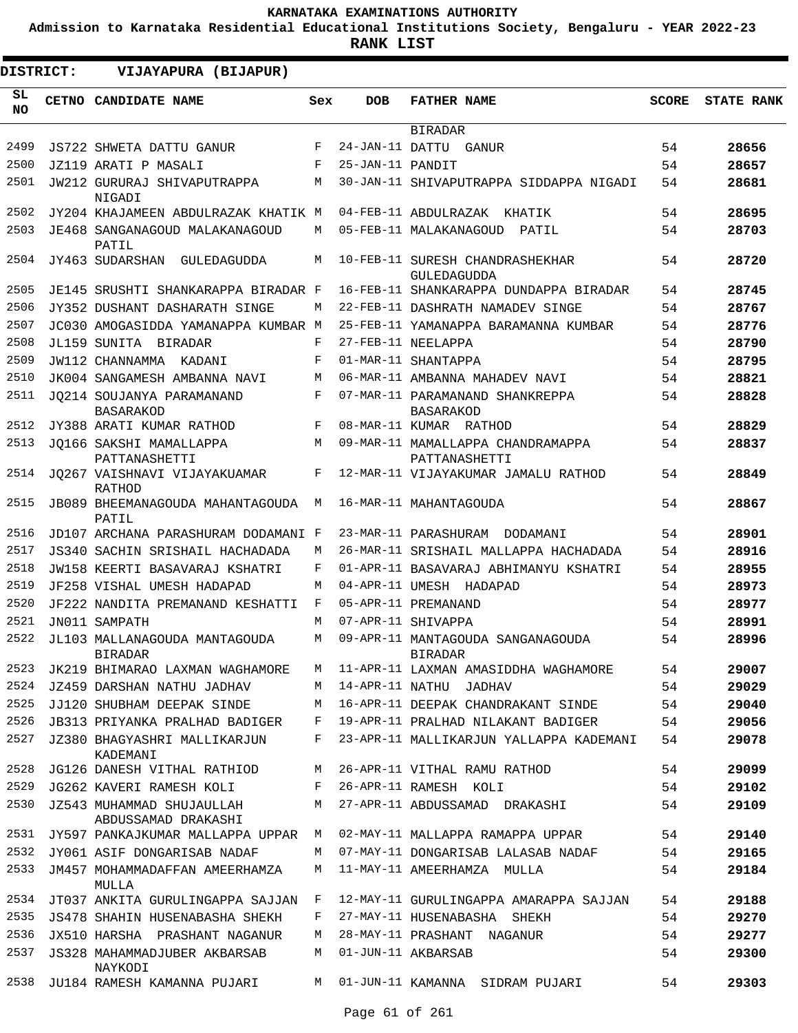**Admission to Karnataka Residential Educational Institutions Society, Bengaluru - YEAR 2022-23**

| <b>DISTRICT:</b> | VIJAYAPURA (BIJAPUR)                             |     |                  |                                                     |              |                   |
|------------------|--------------------------------------------------|-----|------------------|-----------------------------------------------------|--------------|-------------------|
| SL.<br><b>NO</b> | CETNO CANDIDATE NAME                             | Sex | <b>DOB</b>       | <b>FATHER NAME</b>                                  | <b>SCORE</b> | <b>STATE RANK</b> |
|                  |                                                  |     |                  | <b>BIRADAR</b>                                      |              |                   |
| 2499             | JS722 SHWETA DATTU GANUR                         | F   |                  | 24-JAN-11 DATTU GANUR                               | 54           | 28656             |
| 2500             | JZ119 ARATI P MASALI                             | F   | 25-JAN-11 PANDIT |                                                     | 54           | 28657             |
| 2501             | JW212 GURURAJ SHIVAPUTRAPPA<br>NIGADI            | M   |                  | 30-JAN-11 SHIVAPUTRAPPA SIDDAPPA NIGADI             | 54           | 28681             |
| 2502             | JY204 KHAJAMEEN ABDULRAZAK KHATIK M              |     |                  | 04-FEB-11 ABDULRAZAK KHATIK                         | 54           | 28695             |
| 2503             | JE468 SANGANAGOUD MALAKANAGOUD<br>PATIL          | М   |                  | 05-FEB-11 MALAKANAGOUD<br>PATIL                     | 54           | 28703             |
| 2504             | JY463 SUDARSHAN GULEDAGUDDA                      | M   |                  | 10-FEB-11 SURESH CHANDRASHEKHAR<br>GULEDAGUDDA      | 54           | 28720             |
| 2505             | JE145 SRUSHTI SHANKARAPPA BIRADAR F              |     |                  | 16-FEB-11 SHANKARAPPA DUNDAPPA BIRADAR              | 54           | 28745             |
| 2506             | JY352 DUSHANT DASHARATH SINGE                    | М   |                  | 22-FEB-11 DASHRATH NAMADEV SINGE                    | 54           | 28767             |
| 2507             | JC030 AMOGASIDDA YAMANAPPA KUMBAR M              |     |                  | 25-FEB-11 YAMANAPPA BARAMANNA KUMBAR                | 54           | 28776             |
| 2508             | JL159 SUNITA BIRADAR                             | F   |                  | 27-FEB-11 NEELAPPA                                  | 54           | 28790             |
| 2509             | JW112 CHANNAMMA KADANI                           | F   |                  | 01-MAR-11 SHANTAPPA                                 | 54           | 28795             |
| 2510             | JK004 SANGAMESH AMBANNA NAVI                     | М   |                  | 06-MAR-11 AMBANNA MAHADEV NAVI                      | 54           | 28821             |
| 2511             | JO214 SOUJANYA PARAMANAND<br><b>BASARAKOD</b>    | F   |                  | 07-MAR-11 PARAMANAND SHANKREPPA<br><b>BASARAKOD</b> | 54           | 28828             |
| 2512             | JY388 ARATI KUMAR RATHOD                         | F   |                  | 08-MAR-11 KUMAR RATHOD                              | 54           | 28829             |
| 2513             | JO166 SAKSHI MAMALLAPPA<br>PATTANASHETTI         | M   |                  | 09-MAR-11 MAMALLAPPA CHANDRAMAPPA<br>PATTANASHETTI  | 54           | 28837             |
| 2514             | JO267 VAISHNAVI VIJAYAKUAMAR<br>RATHOD           | F   |                  | 12-MAR-11 VIJAYAKUMAR JAMALU RATHOD                 | 54           | 28849             |
| 2515             | JB089 BHEEMANAGOUDA MAHANTAGOUDA<br>PATIL        | М   |                  | 16-MAR-11 MAHANTAGOUDA                              | 54           | 28867             |
| 2516             | JD107 ARCHANA PARASHURAM DODAMANI F              |     |                  | 23-MAR-11 PARASHURAM DODAMANI                       | 54           | 28901             |
| 2517             | JS340 SACHIN SRISHAIL HACHADADA                  | М   |                  | 26-MAR-11 SRISHAIL MALLAPPA HACHADADA               | 54           | 28916             |
| 2518             | JW158 KEERTI BASAVARAJ KSHATRI                   | F   |                  | 01-APR-11 BASAVARAJ ABHIMANYU KSHATRI               | 54           | 28955             |
| 2519             | JF258 VISHAL UMESH HADAPAD                       | М   |                  | 04-APR-11 UMESH HADAPAD                             | 54           | 28973             |
| 2520             | JF222 NANDITA PREMANAND KESHATTI                 | F   |                  | 05-APR-11 PREMANAND                                 | 54           | 28977             |
| 2521             | JN011 SAMPATH                                    | М   |                  | 07-APR-11 SHIVAPPA                                  | 54           | 28991             |
| 2522             | JL103 MALLANAGOUDA MANTAGOUDA<br><b>BIRADAR</b>  | М   |                  | 09-APR-11 MANTAGOUDA SANGANAGOUDA<br><b>BIRADAR</b> | 54           | 28996             |
| 2523             | JK219 BHIMARAO LAXMAN WAGHAMORE                  | М   |                  | 11-APR-11 LAXMAN AMASIDDHA WAGHAMORE                | 54           | 29007             |
| 2524             | JZ459 DARSHAN NATHU JADHAV                       | M   |                  | 14-APR-11 NATHU JADHAV                              | 54           | 29029             |
| 2525             | JJ120 SHUBHAM DEEPAK SINDE                       | М   |                  | 16-APR-11 DEEPAK CHANDRAKANT SINDE                  | 54           | 29040             |
| 2526             | <b>JB313 PRIYANKA PRALHAD BADIGER</b>            | F   |                  | 19-APR-11 PRALHAD NILAKANT BADIGER                  | 54           | 29056             |
| 2527             | JZ380 BHAGYASHRI MALLIKARJUN<br>KADEMANI         | F   |                  | 23-APR-11 MALLIKARJUN YALLAPPA KADEMANI             | 54           | 29078             |
| 2528             | JG126 DANESH VITHAL RATHIOD                      | М   |                  | 26-APR-11 VITHAL RAMU RATHOD                        | 54           | 29099             |
| 2529             | JG262 KAVERI RAMESH KOLI                         | F   |                  | 26-APR-11 RAMESH KOLI                               | 54           | 29102             |
| 2530             | JZ543 MUHAMMAD SHUJAULLAH<br>ABDUSSAMAD DRAKASHI | М   |                  | 27-APR-11 ABDUSSAMAD DRAKASHI                       | 54           | 29109             |
| 2531             | JY597 PANKAJKUMAR MALLAPPA UPPAR                 | М   |                  | 02-MAY-11 MALLAPPA RAMAPPA UPPAR                    | 54           | 29140             |
| 2532             | JY061 ASIF DONGARISAB NADAF                      | М   |                  | 07-MAY-11 DONGARISAB LALASAB NADAF                  | 54           | 29165             |
| 2533             | JM457 MOHAMMADAFFAN AMEERHAMZA<br>MULLA          | M   |                  | 11-MAY-11 AMEERHAMZA MULLA                          | 54           | 29184             |
| 2534             | JT037 ANKITA GURULINGAPPA SAJJAN                 | F   |                  | 12-MAY-11 GURULINGAPPA AMARAPPA SAJJAN              | 54           | 29188             |
| 2535             | JS478 SHAHIN HUSENABASHA SHEKH                   | F   |                  | 27-MAY-11 HUSENABASHA SHEKH                         | 54           | 29270             |
| 2536             | JX510 HARSHA PRASHANT NAGANUR                    | М   |                  | 28-MAY-11 PRASHANT NAGANUR                          | 54           | 29277             |
| 2537             | JS328 MAHAMMADJUBER AKBARSAB<br>NAYKODI          | M   |                  | 01-JUN-11 AKBARSAB                                  | 54           | 29300             |
| 2538             | JU184 RAMESH KAMANNA PUJARI                      | M   |                  | 01-JUN-11 KAMANNA SIDRAM PUJARI                     | 54           | 29303             |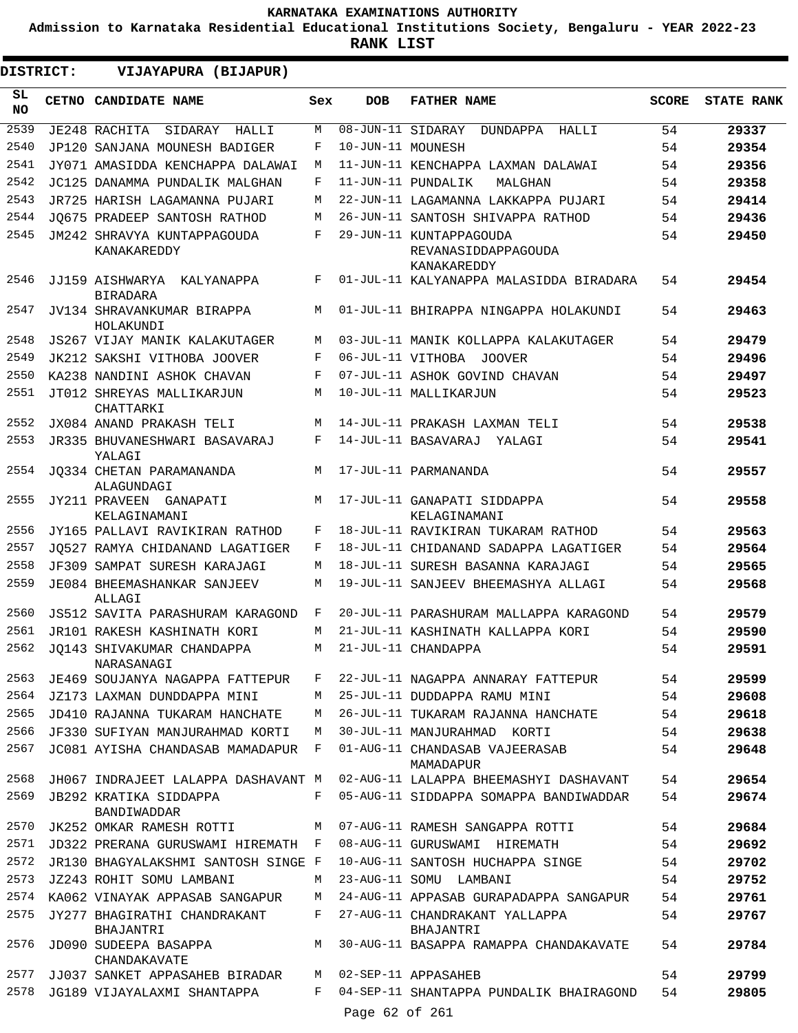**Admission to Karnataka Residential Educational Institutions Society, Bengaluru - YEAR 2022-23**

| DISTRICT:       | VIJAYAPURA (BIJAPUR)                          |     |                   |                                                               |              |                   |
|-----------------|-----------------------------------------------|-----|-------------------|---------------------------------------------------------------|--------------|-------------------|
| SL<br><b>NO</b> | CETNO CANDIDATE NAME                          | Sex | <b>DOB</b>        | <b>FATHER NAME</b>                                            | <b>SCORE</b> | <b>STATE RANK</b> |
| 2539            | JE248 RACHITA<br>SIDARAY<br>HALLI             | M   | 08-JUN-11 SIDARAY | DUNDAPPA HALLI                                                | 54           | 29337             |
| 2540            | JP120 SANJANA MOUNESH BADIGER                 | F   | 10-JUN-11 MOUNESH |                                                               | 54           | 29354             |
| 2541            | JY071 AMASIDDA KENCHAPPA DALAWAI              | M   |                   | 11-JUN-11 KENCHAPPA LAXMAN DALAWAI                            | 54           | 29356             |
| 2542            | JC125 DANAMMA PUNDALIK MALGHAN                | F   |                   | 11-JUN-11 PUNDALIK<br>MALGHAN                                 | 54           | 29358             |
| 2543            | JR725 HARISH LAGAMANNA PUJARI                 | М   |                   | 22-JUN-11 LAGAMANNA LAKKAPPA PUJARI                           | 54           | 29414             |
| 2544            | JO675 PRADEEP SANTOSH RATHOD                  | М   |                   | 26-JUN-11 SANTOSH SHIVAPPA RATHOD                             | 54           | 29436             |
| 2545            | JM242 SHRAVYA KUNTAPPAGOUDA<br>KANAKAREDDY    | F   |                   | 29-JUN-11 KUNTAPPAGOUDA<br>REVANASIDDAPPAGOUDA<br>KANAKAREDDY | 54           | 29450             |
| 2546            | JJ159 AISHWARYA KALYANAPPA<br><b>BIRADARA</b> | F   |                   | 01-JUL-11 KALYANAPPA MALASIDDA BIRADARA                       | 54           | 29454             |
| 2547            | JV134 SHRAVANKUMAR BIRAPPA<br>HOLAKUNDI       | М   |                   | 01-JUL-11 BHIRAPPA NINGAPPA HOLAKUNDI                         | 54           | 29463             |
| 2548            | JS267 VIJAY MANIK KALAKUTAGER                 | M   |                   | 03-JUL-11 MANIK KOLLAPPA KALAKUTAGER                          | 54           | 29479             |
| 2549            | JK212 SAKSHI VITHOBA JOOVER                   | F   | 06-JUL-11 VITHOBA | <b>JOOVER</b>                                                 | 54           | 29496             |
| 2550            | KA238 NANDINI ASHOK CHAVAN                    | F   |                   | 07-JUL-11 ASHOK GOVIND CHAVAN                                 | 54           | 29497             |
| 2551            | JT012 SHREYAS MALLIKARJUN<br>CHATTARKI        | М   |                   | 10-JUL-11 MALLIKARJUN                                         | 54           | 29523             |
| 2552            | JX084 ANAND PRAKASH TELI                      | M   |                   | 14-JUL-11 PRAKASH LAXMAN TELI                                 | 54           | 29538             |
| 2553            | JR335 BHUVANESHWARI BASAVARAJ<br>YALAGI       | F   |                   | 14-JUL-11 BASAVARAJ YALAGI                                    | 54           | 29541             |
| 2554            | JO334 CHETAN PARAMANANDA<br>ALAGUNDAGI        | М   |                   | 17-JUL-11 PARMANANDA                                          | 54           | 29557             |
| 2555            | JY211 PRAVEEN GANAPATI<br>KELAGINAMANI        | M   |                   | 17-JUL-11 GANAPATI SIDDAPPA<br>KELAGINAMANI                   | 54           | 29558             |
| 2556            | JY165 PALLAVI RAVIKIRAN RATHOD                | F   |                   | 18-JUL-11 RAVIKIRAN TUKARAM RATHOD                            | 54           | 29563             |
| 2557            | JO527 RAMYA CHIDANAND LAGATIGER               | F   |                   | 18-JUL-11 CHIDANAND SADAPPA LAGATIGER                         | 54           | 29564             |
| 2558            | JF309 SAMPAT SURESH KARAJAGI                  | M   |                   | 18-JUL-11 SURESH BASANNA KARAJAGI                             | 54           | 29565             |
| 2559            | JE084 BHEEMASHANKAR SANJEEV<br>ALLAGI         | М   |                   | 19-JUL-11 SANJEEV BHEEMASHYA ALLAGI                           | 54           | 29568             |
| 2560            | <b>JS512 SAVITA PARASHURAM KARAGOND</b>       | F   |                   | 20-JUL-11 PARASHURAM MALLAPPA KARAGOND                        | 54           | 29579             |
| 2561            | JR101 RAKESH KASHINATH KORI                   | М   |                   | 21-JUL-11 KASHINATH KALLAPPA KORI                             | 54           | 29590             |
| 2562            | JQ143 SHIVAKUMAR CHANDAPPA<br>NARASANAGI      | M   |                   | 21-JUL-11 CHANDAPPA                                           | 54           | 29591             |
|                 | 2563 JE469 SOUJANYA NAGAPPA FATTEPUR          | F   |                   | 22-JUL-11 NAGAPPA ANNARAY FATTEPUR                            | 54           | 29599             |
| 2564            | JZ173 LAXMAN DUNDDAPPA MINI                   | M   |                   | 25-JUL-11 DUDDAPPA RAMU MINI                                  | 54           | 29608             |
| 2565            | JD410 RAJANNA TUKARAM HANCHATE                | M   |                   | 26-JUL-11 TUKARAM RAJANNA HANCHATE                            | 54           | 29618             |
| 2566            | JF330 SUFIYAN MANJURAHMAD KORTI               | M   |                   | 30-JUL-11 MANJURAHMAD KORTI                                   | 54           | 29638             |
| 2567            | JC081 AYISHA CHANDASAB MAMADAPUR F            |     |                   | 01-AUG-11 CHANDASAB VAJEERASAB<br>MAMADAPUR                   | 54           | 29648             |
| 2568            | JH067 INDRAJEET LALAPPA DASHAVANT M           |     |                   | 02-AUG-11 LALAPPA BHEEMASHYI DASHAVANT                        | 54           | 29654             |
| 2569            | JB292 KRATIKA SIDDAPPA<br>BANDIWADDAR         |     |                   | F 05-AUG-11 SIDDAPPA SOMAPPA BANDIWADDAR                      | 54           | 29674             |
| 2570            | JK252 OMKAR RAMESH ROTTI                      | М   |                   | 07-AUG-11 RAMESH SANGAPPA ROTTI                               | 54           | 29684             |
| 2571            | JD322 PRERANA GURUSWAMI HIREMATH F            |     |                   | 08-AUG-11 GURUSWAMI HIREMATH                                  | 54           | 29692             |
| 2572            | JR130 BHAGYALAKSHMI SANTOSH SINGE F           |     |                   | 10-AUG-11 SANTOSH HUCHAPPA SINGE                              | 54           | 29702             |
| 2573            | JZ243 ROHIT SOMU LAMBANI                      | M   |                   | 23-AUG-11 SOMU LAMBANI                                        | 54           | 29752             |
| 2574            | KA062 VINAYAK APPASAB SANGAPUR                | M   |                   | 24-AUG-11 APPASAB GURAPADAPPA SANGAPUR                        | 54           | 29761             |
| 2575            | JY277 BHAGIRATHI CHANDRAKANT<br>BHAJANTRI     | F   |                   | 27-AUG-11 CHANDRAKANT YALLAPPA<br>BHAJANTRI                   | 54           | 29767             |
| 2576<br>2577    | JD090 SUDEEPA BASAPPA<br>CHANDAKAVATE         | M   |                   | 30-AUG-11 BASAPPA RAMAPPA CHANDAKAVATE                        | 54           | 29784             |
| 2578            | JJ037 SANKET APPASAHEB BIRADAR                | F   |                   | M 02-SEP-11 APPASAHEB                                         | 54           | 29799             |
|                 | JG189 VIJAYALAXMI SHANTAPPA                   |     | Page 62 of 261    | 04-SEP-11 SHANTAPPA PUNDALIK BHAIRAGOND                       | 54           | 29805             |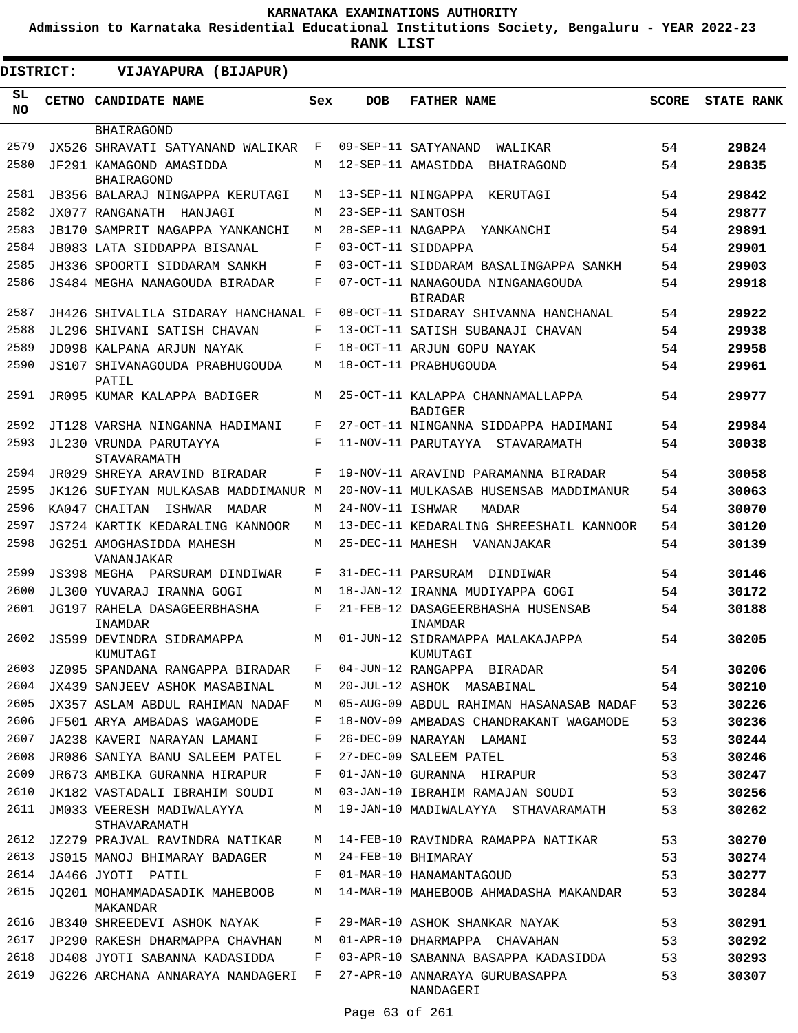**Admission to Karnataka Residential Educational Institutions Society, Bengaluru - YEAR 2022-23**

| DISTRICT:       | VIJAYAPURA (BIJAPUR)                         |     |                   |                                                    |              |                   |
|-----------------|----------------------------------------------|-----|-------------------|----------------------------------------------------|--------------|-------------------|
| SL<br><b>NO</b> | <b>CETNO CANDIDATE NAME</b>                  | Sex | <b>DOB</b>        | <b>FATHER NAME</b>                                 | <b>SCORE</b> | <b>STATE RANK</b> |
|                 | BHAIRAGOND                                   |     |                   |                                                    |              |                   |
| 2579            | JX526 SHRAVATI SATYANAND WALIKAR             | F   |                   | 09-SEP-11 SATYANAND<br>WALIKAR                     | 54           | 29824             |
| 2580            | JF291 KAMAGOND AMASIDDA<br><b>BHAIRAGOND</b> | M   |                   | 12-SEP-11 AMASIDDA<br>BHAIRAGOND                   | 54           | 29835             |
| 2581            | JB356 BALARAJ NINGAPPA KERUTAGI              | M   |                   | 13-SEP-11 NINGAPPA<br>KERUTAGI                     | 54           | 29842             |
| 2582            | JX077 RANGANATH HANJAGI                      | M   | 23-SEP-11 SANTOSH |                                                    | 54           | 29877             |
| 2583            | JB170 SAMPRIT NAGAPPA YANKANCHI              | M   | 28-SEP-11 NAGAPPA | YANKANCHI                                          | 54           | 29891             |
| 2584            | JB083 LATA SIDDAPPA BISANAL                  | F   |                   | 03-OCT-11 SIDDAPPA                                 | 54           | 29901             |
| 2585            | JH336 SPOORTI SIDDARAM SANKH                 | F   |                   | 03-OCT-11 SIDDARAM BASALINGAPPA SANKH              | 54           | 29903             |
| 2586            | JS484 MEGHA NANAGOUDA BIRADAR                | F   |                   | 07-OCT-11 NANAGOUDA NINGANAGOUDA<br><b>BIRADAR</b> | 54           | 29918             |
| 2587            | JH426 SHIVALILA SIDARAY HANCHANAL F          |     |                   | 08-OCT-11 SIDARAY SHIVANNA HANCHANAL               | 54           | 29922             |
| 2588            | JL296 SHIVANI SATISH CHAVAN                  | F   |                   | 13-OCT-11 SATISH SUBANAJI CHAVAN                   | 54           | 29938             |
| 2589            | JD098 KALPANA ARJUN NAYAK                    | F   |                   | 18-OCT-11 ARJUN GOPU NAYAK                         | 54           | 29958             |
| 2590            | JS107 SHIVANAGOUDA PRABHUGOUDA<br>PATIL      | M   |                   | 18-OCT-11 PRABHUGOUDA                              | 54           | 29961             |
| 2591            | JR095 KUMAR KALAPPA BADIGER                  | M   |                   | 25-OCT-11 KALAPPA CHANNAMALLAPPA<br><b>BADIGER</b> | 54           | 29977             |
| 2592            | JT128 VARSHA NINGANNA HADIMANI               | F   |                   | 27-OCT-11 NINGANNA SIDDAPPA HADIMANI               | 54           | 29984             |
| 2593            | JL230 VRUNDA PARUTAYYA<br>STAVARAMATH        | F   |                   | 11-NOV-11 PARUTAYYA STAVARAMATH                    | 54           | 30038             |
| 2594            | JR029 SHREYA ARAVIND BIRADAR                 | F   |                   | 19-NOV-11 ARAVIND PARAMANNA BIRADAR                | 54           | 30058             |
| 2595            | JK126 SUFIYAN MULKASAB MADDIMANUR M          |     |                   | 20-NOV-11 MULKASAB HUSENSAB MADDIMANUR             | 54           | 30063             |
| 2596            | KA047 CHAITAN<br>ISHWAR<br>MADAR             | M   | 24-NOV-11 ISHWAR  | MADAR                                              | 54           | 30070             |
| 2597            | JS724 KARTIK KEDARALING KANNOOR              | M   |                   | 13-DEC-11 KEDARALING SHREESHAIL KANNOOR            | 54           | 30120             |
| 2598            | JG251 AMOGHASIDDA MAHESH<br>VANANJAKAR       | M   | 25-DEC-11 MAHESH  | VANANJAKAR                                         | 54           | 30139             |
| 2599            | JS398 MEGHA<br>PARSURAM DINDIWAR             | F   |                   | 31-DEC-11 PARSURAM<br>DINDIWAR                     | 54           | 30146             |
| 2600            | JL300 YUVARAJ IRANNA GOGI                    | М   |                   | 18-JAN-12 IRANNA MUDIYAPPA GOGI                    | 54           | 30172             |
| 2601            | JG197 RAHELA DASAGEERBHASHA<br>INAMDAR       | F   |                   | 21-FEB-12 DASAGEERBHASHA HUSENSAB<br>INAMDAR       | 54           | 30188             |
| 2602            | JS599 DEVINDRA SIDRAMAPPA<br>KUMUTAGI        | М   |                   | 01-JUN-12 SIDRAMAPPA MALAKAJAPPA<br>KUMUTAGI       | 54           | 30205             |
| 2603            | JZ095 SPANDANA RANGAPPA BIRADAR              | F   |                   | 04-JUN-12 RANGAPPA BIRADAR                         | 54           | 30206             |
| 2604            | JX439 SANJEEV ASHOK MASABINAL                | M   |                   | 20-JUL-12 ASHOK MASABINAL                          | 54           | 30210             |
| 2605            | JX357 ASLAM ABDUL RAHIMAN NADAF              | M   |                   | 05-AUG-09 ABDUL RAHIMAN HASANASAB NADAF            | 53           | 30226             |
| 2606            | JF501 ARYA AMBADAS WAGAMODE                  | F   |                   | 18-NOV-09 AMBADAS CHANDRAKANT WAGAMODE             | 53           | 30236             |
| 2607            | JA238 KAVERI NARAYAN LAMANI                  | F   |                   | 26-DEC-09 NARAYAN LAMANI                           | 53           | 30244             |
| 2608            | JR086 SANIYA BANU SALEEM PATEL               | F   |                   | 27-DEC-09 SALEEM PATEL                             | 53           | 30246             |
| 2609            | JR673 AMBIKA GURANNA HIRAPUR                 | F   |                   | 01-JAN-10 GURANNA HIRAPUR                          | 53           | 30247             |
| 2610            | JK182 VASTADALI IBRAHIM SOUDI                | M   |                   | 03-JAN-10 IBRAHIM RAMAJAN SOUDI                    | 53           | 30256             |
| 2611            | JM033 VEERESH MADIWALAYYA<br>STHAVARAMATH    | M   |                   | 19-JAN-10 MADIWALAYYA STHAVARAMATH                 | 53           | 30262             |
| 2612            | JZ279 PRAJVAL RAVINDRA NATIKAR               | М   |                   | 14-FEB-10 RAVINDRA RAMAPPA NATIKAR                 | 53           | 30270             |
| 2613            | JS015 MANOJ BHIMARAY BADAGER                 | M   |                   | 24-FEB-10 BHIMARAY                                 | 53           | 30274             |
| 2614            | JA466 JYOTI PATIL                            | F   |                   | 01-MAR-10 HANAMANTAGOUD                            | 53           | 30277             |
| 2615            | JO201 MOHAMMADASADIK MAHEBOOB<br>MAKANDAR    | М   |                   | 14-MAR-10 MAHEBOOB AHMADASHA MAKANDAR              | 53           | 30284             |
| 2616            | <b>JB340 SHREEDEVI ASHOK NAYAK</b>           | F   |                   | 29-MAR-10 ASHOK SHANKAR NAYAK                      | 53           | 30291             |
| 2617            | JP290 RAKESH DHARMAPPA CHAVHAN               | М   |                   | 01-APR-10 DHARMAPPA CHAVAHAN                       | 53           | 30292             |
| 2618            | JD408 JYOTI SABANNA KADASIDDA                | F   |                   | 03-APR-10 SABANNA BASAPPA KADASIDDA                | 53           | 30293             |
| 2619            | JG226 ARCHANA ANNARAYA NANDAGERI F           |     |                   | 27-APR-10 ANNARAYA GURUBASAPPA<br>NANDAGERI        | 53           | 30307             |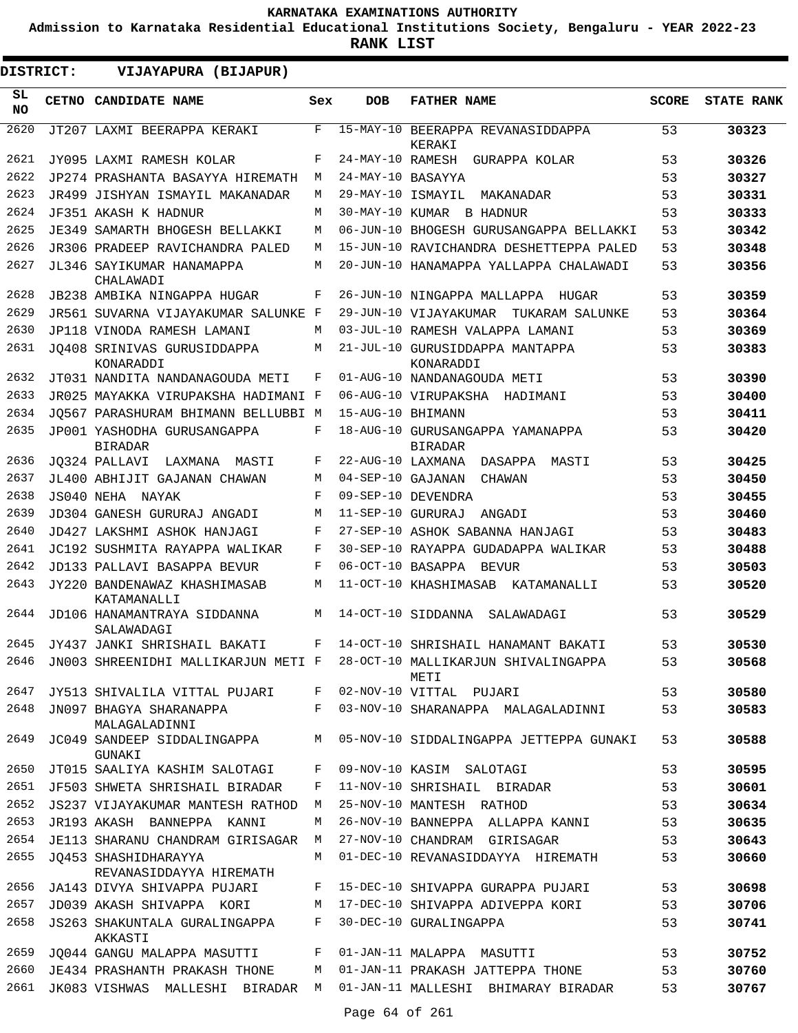**Admission to Karnataka Residential Educational Institutions Society, Bengaluru - YEAR 2022-23**

| DISTRICT:    | VIJAYAPURA (BIJAPUR)                                                    |            |                   |                                                                                 |              |                   |
|--------------|-------------------------------------------------------------------------|------------|-------------------|---------------------------------------------------------------------------------|--------------|-------------------|
| SL.<br>NO.   | CETNO CANDIDATE NAME                                                    | Sex        | <b>DOB</b>        | <b>FATHER NAME</b>                                                              | <b>SCORE</b> | <b>STATE RANK</b> |
| 2620         | JT207 LAXMI BEERAPPA KERAKI                                             | F          |                   | 15-MAY-10 BEERAPPA REVANASIDDAPPA<br>KERAKI                                     | 53           | 30323             |
| 2621         | JY095 LAXMI RAMESH KOLAR                                                | F          |                   | 24-MAY-10 RAMESH GURAPPA KOLAR                                                  | 53           | 30326             |
| 2622         | JP274 PRASHANTA BASAYYA HIREMATH                                        | М          | 24-MAY-10 BASAYYA |                                                                                 | 53           | 30327             |
| 2623         | JR499 JISHYAN ISMAYIL MAKANADAR                                         | M          | 29-MAY-10 ISMAYIL | MAKANADAR                                                                       | 53           | 30331             |
| 2624         | JF351 AKASH K HADNUR                                                    | М          |                   | 30-MAY-10 KUMAR B HADNUR                                                        | 53           | 30333             |
| 2625         | JE349 SAMARTH BHOGESH BELLAKKI                                          | М          |                   | 06-JUN-10 BHOGESH GURUSANGAPPA BELLAKKI                                         | 53           | 30342             |
| 2626         | JR306 PRADEEP RAVICHANDRA PALED                                         | М          |                   | 15-JUN-10 RAVICHANDRA DESHETTEPPA PALED                                         | 53           | 30348             |
| 2627         | JL346 SAYIKUMAR HANAMAPPA<br>CHALAWADI                                  | M          |                   | 20-JUN-10 HANAMAPPA YALLAPPA CHALAWADI                                          | 53           | 30356             |
| 2628         | JB238 AMBIKA NINGAPPA HUGAR                                             | F          |                   | 26-JUN-10 NINGAPPA MALLAPPA HUGAR                                               | 53           | 30359             |
| 2629         | JR561 SUVARNA VIJAYAKUMAR SALUNKE F                                     |            |                   | 29-JUN-10 VIJAYAKUMAR<br>TUKARAM SALUNKE                                        | 53           | 30364             |
| 2630         | JP118 VINODA RAMESH LAMANI                                              | M          |                   | 03-JUL-10 RAMESH VALAPPA LAMANI                                                 | 53           | 30369             |
| 2631         | JO408 SRINIVAS GURUSIDDAPPA<br>KONARADDI                                | М          |                   | 21-JUL-10 GURUSIDDAPPA MANTAPPA<br>KONARADDI                                    | 53           | 30383             |
| 2632         | JT031 NANDITA NANDANAGOUDA METI                                         | F          |                   | 01-AUG-10 NANDANAGOUDA METI                                                     | 53           | 30390             |
| 2633         | JR025 MAYAKKA VIRUPAKSHA HADIMANI F                                     |            |                   | 06-AUG-10 VIRUPAKSHA HADIMANI                                                   | 53           | 30400             |
| 2634         | JO567 PARASHURAM BHIMANN BELLUBBI M                                     |            | 15-AUG-10 BHIMANN |                                                                                 | 53           | 30411             |
| 2635         | JP001 YASHODHA GURUSANGAPPA<br><b>BIRADAR</b>                           | F          |                   | 18-AUG-10 GURUSANGAPPA YAMANAPPA<br><b>BIRADAR</b>                              | 53           | 30420             |
| 2636         | JO324 PALLAVI<br>LAXMANA<br>MASTI                                       | F          | 22-AUG-10 LAXMANA | DASAPPA<br>MASTI                                                                | 53           | 30425             |
| 2637         | JL400 ABHIJIT GAJANAN CHAWAN                                            | М          | 04-SEP-10 GAJANAN | CHAWAN                                                                          | 53           | 30450             |
| 2638         | JS040 NEHA NAYAK                                                        | $_{\rm F}$ |                   | 09-SEP-10 DEVENDRA                                                              | 53           | 30455             |
| 2639         | JD304 GANESH GURURAJ ANGADI                                             | М          | 11-SEP-10 GURURAJ | ANGADI                                                                          | 53           | 30460             |
| 2640         | JD427 LAKSHMI ASHOK HANJAGI                                             | F          |                   | 27-SEP-10 ASHOK SABANNA HANJAGI                                                 | 53           | 30483             |
| 2641         | JC192 SUSHMITA RAYAPPA WALIKAR                                          | F          |                   | 30-SEP-10 RAYAPPA GUDADAPPA WALIKAR                                             | 53           | 30488             |
| 2642         | <b>JD133 PALLAVI BASAPPA BEVUR</b>                                      | F          | 06-OCT-10 BASAPPA | BEVUR                                                                           | 53           | 30503             |
| 2643         | JY220 BANDENAWAZ KHASHIMASAB<br>KATAMANALLI                             | М          |                   | 11-OCT-10 KHASHIMASAB<br>KATAMANALLI                                            | 53           | 30520             |
| 2644         | JD106 HANAMANTRAYA SIDDANNA<br>SALAWADAGI                               | М<br>F     |                   | 14-OCT-10 SIDDANNA<br>SALAWADAGI                                                | 53           | 30529             |
| 2645         | JY437 JANKI SHRISHAIL BAKATI                                            |            |                   | 14-OCT-10 SHRISHAIL HANAMANT BAKATI                                             | 53           | 30530             |
| 2646<br>2647 |                                                                         |            |                   | JN003 SHREENIDHI MALLIKARJUN METI F 28-OCT-10 MALLIKARJUN SHIVALINGAPPA<br>METI | 53           | 30568             |
| 2648         | JY513 SHIVALILA VITTAL PUJARI F 02-NOV-10 VITTAL PUJARI                 | F          |                   | 03-NOV-10 SHARANAPPA MALAGALADINNI                                              | 53           | 30580             |
| 2649         | JN097 BHAGYA SHARANAPPA<br>MALAGALADINNI<br>JC049 SANDEEP SIDDALINGAPPA | М          |                   | 05-NOV-10 SIDDALINGAPPA JETTEPPA GUNAKI                                         | 53<br>53     | 30583<br>30588    |
| 2650         | GUNAKI<br>JT015 SAALIYA KASHIM SALOTAGI                                 | F          |                   | 09-NOV-10 KASIM SALOTAGI                                                        | 53           | 30595             |
| 2651         | JF503 SHWETA SHRISHAIL BIRADAR                                          | F          |                   | 11-NOV-10 SHRISHAIL BIRADAR                                                     | 53           | 30601             |
| 2652         | JS237 VIJAYAKUMAR MANTESH RATHOD                                        | М          |                   | 25-NOV-10 MANTESH RATHOD                                                        | 53           | 30634             |
| 2653         | JR193 AKASH BANNEPPA KANNI                                              | М          |                   | 26-NOV-10 BANNEPPA ALLAPPA KANNI                                                | 53           | 30635             |
| 2654         | JE113 SHARANU CHANDRAM GIRISAGAR                                        | M          |                   | 27-NOV-10 CHANDRAM GIRISAGAR                                                    | 53           | 30643             |
| 2655         | JQ453 SHASHIDHARAYYA                                                    | M          |                   | 01-DEC-10 REVANASIDDAYYA HIREMATH                                               | 53           | 30660             |
| 2656         | REVANASIDDAYYA HIREMATH<br>JA143 DIVYA SHIVAPPA PUJARI                  | F          |                   | 15-DEC-10 SHIVAPPA GURAPPA PUJARI                                               | 53           | 30698             |
| 2657         | JD039 AKASH SHIVAPPA KORI                                               | М          |                   | 17-DEC-10 SHIVAPPA ADIVEPPA KORI                                                | 53           | 30706             |
| 2658         | JS263 SHAKUNTALA GURALINGAPPA                                           | F          |                   | 30-DEC-10 GURALINGAPPA                                                          | 53           | 30741             |
| 2659         | AKKASTI<br>JQ044 GANGU MALAPPA MASUTTI                                  | F          |                   | 01-JAN-11 MALAPPA MASUTTI                                                       | 53           | 30752             |
| 2660         | JE434 PRASHANTH PRAKASH THONE                                           | М          |                   | 01-JAN-11 PRAKASH JATTEPPA THONE                                                | 53           | 30760             |
|              |                                                                         |            |                   | 2661 JK083 VISHWAS MALLESHI BIRADAR M 01-JAN-11 MALLESHI BHIMARAY BIRADAR       | 53           | 30767             |
|              |                                                                         |            |                   |                                                                                 |              |                   |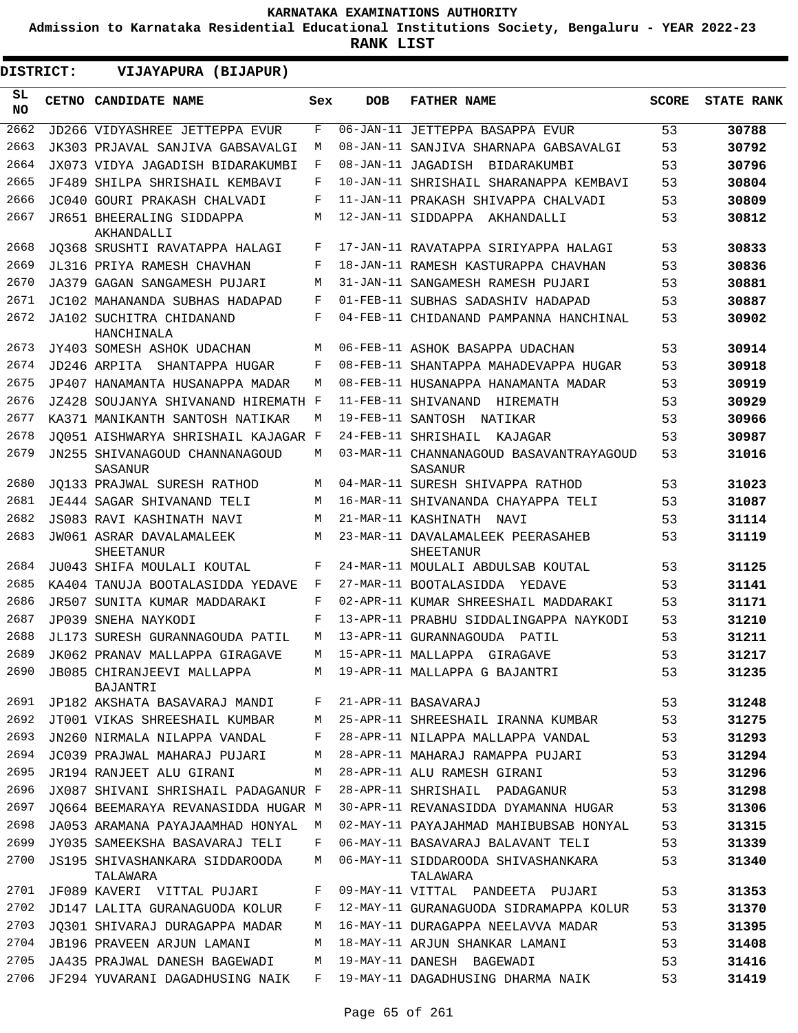**Admission to Karnataka Residential Educational Institutions Society, Bengaluru - YEAR 2022-23**

| DISTRICT:       | VIJAYAPURA (BIJAPUR)                       |     |                   |                                                    |              |                   |
|-----------------|--------------------------------------------|-----|-------------------|----------------------------------------------------|--------------|-------------------|
| SL<br><b>NO</b> | CETNO CANDIDATE NAME                       | Sex | <b>DOB</b>        | <b>FATHER NAME</b>                                 | <b>SCORE</b> | <b>STATE RANK</b> |
| 2662            | JD266 VIDYASHREE JETTEPPA EVUR             | F   |                   | 06-JAN-11 JETTEPPA BASAPPA EVUR                    | 53           | 30788             |
| 2663            | JK303 PRJAVAL SANJIVA GABSAVALGI           | М   |                   | 08-JAN-11 SANJIVA SHARNAPA GABSAVALGI              | 53           | 30792             |
| 2664            | JX073 VIDYA JAGADISH BIDARAKUMBI           | F   |                   | 08-JAN-11 JAGADISH BIDARAKUMBI                     | 53           | 30796             |
| 2665            | JF489 SHILPA SHRISHAIL KEMBAVI             | F   |                   | 10-JAN-11 SHRISHAIL SHARANAPPA KEMBAVI             | 53           | 30804             |
| 2666            | JC040 GOURI PRAKASH CHALVADI               | F   |                   | 11-JAN-11 PRAKASH SHIVAPPA CHALVADI                | 53           | 30809             |
| 2667            | JR651 BHEERALING SIDDAPPA<br>AKHANDALLI    | М   |                   | 12-JAN-11 SIDDAPPA AKHANDALLI                      | 53           | 30812             |
| 2668            | JO368 SRUSHTI RAVATAPPA HALAGI             | F   |                   | 17-JAN-11 RAVATAPPA SIRIYAPPA HALAGI               | 53           | 30833             |
| 2669            | JL316 PRIYA RAMESH CHAVHAN                 | F   |                   | 18-JAN-11 RAMESH KASTURAPPA CHAVHAN                | 53           | 30836             |
| 2670            | JA379 GAGAN SANGAMESH PUJARI               | М   |                   | 31-JAN-11 SANGAMESH RAMESH PUJARI                  | 53           | 30881             |
| 2671            | JC102 MAHANANDA SUBHAS HADAPAD             | F   |                   | 01-FEB-11 SUBHAS SADASHIV HADAPAD                  | 53           | 30887             |
| 2672            | JA102 SUCHITRA CHIDANAND<br>HANCHINALA     | F   |                   | 04-FEB-11 CHIDANAND PAMPANNA HANCHINAL             | 53           | 30902             |
| 2673            | JY403 SOMESH ASHOK UDACHAN                 | M   |                   | 06-FEB-11 ASHOK BASAPPA UDACHAN                    | 53           | 30914             |
| 2674            | JD246 ARPITA<br>SHANTAPPA HUGAR            | F   |                   | 08-FEB-11 SHANTAPPA MAHADEVAPPA HUGAR              | 53           | 30918             |
| 2675            | JP407 HANAMANTA HUSANAPPA MADAR            | М   |                   | 08-FEB-11 HUSANAPPA HANAMANTA MADAR                | 53           | 30919             |
| 2676            | JZ428 SOUJANYA SHIVANAND HIREMATH F        |     |                   | 11-FEB-11 SHIVANAND<br>HIREMATH                    | 53           | 30929             |
| 2677            | KA371 MANIKANTH SANTOSH NATIKAR            | М   | 19-FEB-11 SANTOSH | NATIKAR                                            | 53           | 30966             |
| 2678            | JO051 AISHWARYA SHRISHAIL KAJAGAR F        |     |                   | 24-FEB-11 SHRISHAIL<br>KAJAGAR                     | 53           | 30987             |
| 2679            | JN255 SHIVANAGOUD CHANNANAGOUD<br>SASANUR  | М   |                   | 03-MAR-11 CHANNANAGOUD BASAVANTRAYAGOUD<br>SASANUR | 53           | 31016             |
| 2680            | JO133 PRAJWAL SURESH RATHOD                | М   |                   | 04-MAR-11 SURESH SHIVAPPA RATHOD                   | 53           | 31023             |
| 2681            | JE444 SAGAR SHIVANAND TELI                 | М   |                   | 16-MAR-11 SHIVANANDA CHAYAPPA TELI                 | 53           | 31087             |
| 2682            | JS083 RAVI KASHINATH NAVI                  | M   |                   | 21-MAR-11 KASHINATH<br>NAVI                        | 53           | 31114             |
| 2683            | JW061 ASRAR DAVALAMALEEK<br>SHEETANUR      | М   |                   | 23-MAR-11 DAVALAMALEEK PEERASAHEB<br>SHEETANUR     | 53           | 31119             |
| 2684            | JU043 SHIFA MOULALI KOUTAL                 | F   |                   | 24-MAR-11 MOULALI ABDULSAB KOUTAL                  | 53           | 31125             |
| 2685            | KA404 TANUJA BOOTALASIDDA YEDAVE           | F   |                   | 27-MAR-11 BOOTALASIDDA<br>YEDAVE                   | 53           | 31141             |
| 2686            | JR507 SUNITA KUMAR MADDARAKI               | F   |                   | 02-APR-11 KUMAR SHREESHAIL MADDARAKI               | 53           | 31171             |
| 2687            | JP039 SNEHA NAYKODI                        | F   |                   | 13-APR-11 PRABHU SIDDALINGAPPA NAYKODI             | 53           | 31210             |
| 2688            | JL173 SURESH GURANNAGOUDA PATIL            | М   |                   | 13-APR-11 GURANNAGOUDA PATIL                       | 53           | 31211             |
| 2689            | JK062 PRANAV MALLAPPA GIRAGAVE             | М   |                   | 15-APR-11 MALLAPPA GIRAGAVE                        | 53           | 31217             |
| 2690            | JB085 CHIRANJEEVI MALLAPPA<br>BAJANTRI     | М   |                   | 19-APR-11 MALLAPPA G BAJANTRI                      | 53           | 31235             |
| 2691            | JP182 AKSHATA BASAVARAJ MANDI              | F   |                   | 21-APR-11 BASAVARAJ                                | 53           | 31248             |
| 2692            | JT001 VIKAS SHREESHAIL KUMBAR              | М   |                   | 25-APR-11 SHREESHAIL IRANNA KUMBAR                 | 53           | 31275             |
| 2693            | JN260 NIRMALA NILAPPA VANDAL               | F   |                   | 28-APR-11 NILAPPA MALLAPPA VANDAL                  | 53           | 31293             |
| 2694            | JC039 PRAJWAL MAHARAJ PUJARI               | М   |                   | 28-APR-11 MAHARAJ RAMAPPA PUJARI                   | 53           | 31294             |
| 2695            | JR194 RANJEET ALU GIRANI                   | М   |                   | 28-APR-11 ALU RAMESH GIRANI                        | 53           | 31296             |
| 2696            | JX087 SHIVANI SHRISHAIL PADAGANUR F        |     |                   | 28-APR-11 SHRISHAIL PADAGANUR                      | 53           | 31298             |
| 2697            | JO664 BEEMARAYA REVANASIDDA HUGAR M        |     |                   | 30-APR-11 REVANASIDDA DYAMANNA HUGAR               | 53           | 31306             |
| 2698            | JA053 ARAMANA PAYAJAAMHAD HONYAL           | М   |                   | 02-MAY-11 PAYAJAHMAD MAHIBUBSAB HONYAL             | 53           | 31315             |
| 2699            | JY035 SAMEEKSHA BASAVARAJ TELI             | F   |                   | 06-MAY-11 BASAVARAJ BALAVANT TELI                  | 53           | 31339             |
| 2700            | JS195 SHIVASHANKARA SIDDAROODA<br>TALAWARA | М   |                   | 06-MAY-11 SIDDAROODA SHIVASHANKARA<br>TALAWARA     | 53           | 31340             |
| 2701            | JF089 KAVERI VITTAL PUJARI                 | F   |                   | 09-MAY-11 VITTAL PANDEETA PUJARI                   | 53           | 31353             |
| 2702            | JD147 LALITA GURANAGUODA KOLUR             | F   |                   | 12-MAY-11 GURANAGUODA SIDRAMAPPA KOLUR             | 53           | 31370             |
| 2703            | JO301 SHIVARAJ DURAGAPPA MADAR             | М   |                   | 16-MAY-11 DURAGAPPA NEELAVVA MADAR                 | 53           | 31395             |
| 2704            | JB196 PRAVEEN ARJUN LAMANI                 | М   |                   | 18-MAY-11 ARJUN SHANKAR LAMANI                     | 53           | 31408             |
| 2705            | JA435 PRAJWAL DANESH BAGEWADI              | М   |                   | 19-MAY-11 DANESH BAGEWADI                          | 53           | 31416             |
| 2706            | JF294 YUVARANI DAGADHUSING NAIK            | F   |                   | 19-MAY-11 DAGADHUSING DHARMA NAIK                  | 53           | 31419             |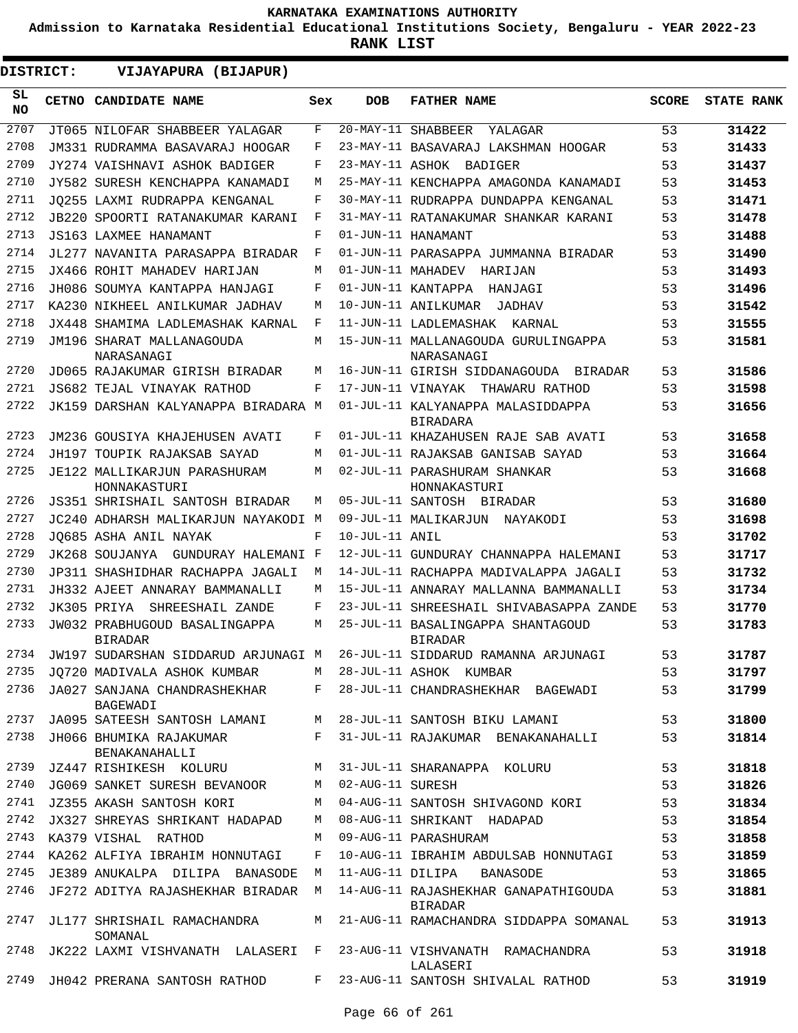**Admission to Karnataka Residential Educational Institutions Society, Bengaluru - YEAR 2022-23**

| DISTRICT:        | VIJAYAPURA (BIJAPUR)                            |       |                    |                                                      |              |                   |
|------------------|-------------------------------------------------|-------|--------------------|------------------------------------------------------|--------------|-------------------|
| SL.<br><b>NO</b> | CETNO CANDIDATE NAME                            | Sex   | <b>DOB</b>         | <b>FATHER NAME</b>                                   | <b>SCORE</b> | <b>STATE RANK</b> |
| 2707             | JT065 NILOFAR SHABBEER YALAGAR                  | F     |                    | 20-MAY-11 SHABBEER<br>YALAGAR                        | 53           | 31422             |
| 2708             | JM331 RUDRAMMA BASAVARAJ HOOGAR                 | F     |                    | 23-MAY-11 BASAVARAJ LAKSHMAN HOOGAR                  | 53           | 31433             |
| 2709             | JY274 VAISHNAVI ASHOK BADIGER                   | F     |                    | 23-MAY-11 ASHOK BADIGER                              | 53           | 31437             |
| 2710             | JY582 SURESH KENCHAPPA KANAMADI                 | M     |                    | 25-MAY-11 KENCHAPPA AMAGONDA KANAMADI                | 53           | 31453             |
| 2711             | JO255 LAXMI RUDRAPPA KENGANAL                   | F     |                    | 30-MAY-11 RUDRAPPA DUNDAPPA KENGANAL                 | 53           | 31471             |
| 2712             | <b>JB220 SPOORTI RATANAKUMAR KARANI</b>         | F     |                    | 31-MAY-11 RATANAKUMAR SHANKAR KARANI                 | 53           | 31478             |
| 2713             | <b>JS163 LAXMEE HANAMANT</b>                    | F     |                    | 01-JUN-11 HANAMANT                                   | 53           | 31488             |
| 2714             | JL277 NAVANITA PARASAPPA BIRADAR                | F     |                    | 01-JUN-11 PARASAPPA JUMMANNA BIRADAR                 | 53           | 31490             |
| 2715             | JX466 ROHIT MAHADEV HARIJAN                     | M     | 01-JUN-11 MAHADEV  | HARIJAN                                              | 53           | 31493             |
| 2716             | JH086 SOUMYA KANTAPPA HANJAGI                   | F     |                    | 01-JUN-11 KANTAPPA<br>HANJAGI                        | 53           | 31496             |
| 2717             | KA230 NIKHEEL ANILKUMAR JADHAV                  | М     |                    | 10-JUN-11 ANILKUMAR<br>JADHAV                        | 53           | 31542             |
| 2718             | JX448 SHAMIMA LADLEMASHAK KARNAL                | F     |                    | 11-JUN-11 LADLEMASHAK KARNAL                         | 53           | 31555             |
| 2719             | JM196 SHARAT MALLANAGOUDA<br>NARASANAGI         | M     |                    | 15-JUN-11 MALLANAGOUDA GURULINGAPPA<br>NARASANAGI    | 53           | 31581             |
| 2720             | JD065 RAJAKUMAR GIRISH BIRADAR                  | М     |                    | 16-JUN-11 GIRISH SIDDANAGOUDA BIRADAR                | 53           | 31586             |
| 2721             | JS682 TEJAL VINAYAK RATHOD                      | F     |                    | 17-JUN-11 VINAYAK THAWARU RATHOD                     | 53           | 31598             |
| 2722             | JK159 DARSHAN KALYANAPPA BIRADARA M             |       |                    | 01-JUL-11 KALYANAPPA MALASIDDAPPA<br><b>BIRADARA</b> | 53           | 31656             |
| 2723             | JM236 GOUSIYA KHAJEHUSEN AVATI                  | F     |                    | 01-JUL-11 KHAZAHUSEN RAJE SAB AVATI                  | 53           | 31658             |
| 2724             | JH197 TOUPIK RAJAKSAB SAYAD                     | M     |                    | 01-JUL-11 RAJAKSAB GANISAB SAYAD                     | 53           | 31664             |
| 2725             | JE122 MALLIKARJUN PARASHURAM<br>HONNAKASTURI    | M     |                    | 02-JUL-11 PARASHURAM SHANKAR<br>HONNAKASTURI         | 53           | 31668             |
| 2726             | JS351 SHRISHAIL SANTOSH BIRADAR                 | M     |                    | 05-JUL-11 SANTOSH BIRADAR                            | 53           | 31680             |
| 2727             | JC240 ADHARSH MALIKARJUN NAYAKODI M             |       |                    | 09-JUL-11 MALIKARJUN NAYAKODI                        | 53           | 31698             |
| 2728             | JO685 ASHA ANIL NAYAK                           | F     | 10-JUL-11 ANIL     |                                                      | 53           | 31702             |
| 2729             | GUNDURAY HALEMANI F<br>JK268 SOUJANYA           |       |                    | 12-JUL-11 GUNDURAY CHANNAPPA HALEMANI                | 53           | 31717             |
| 2730             | JP311 SHASHIDHAR RACHAPPA JAGALI                | M     |                    | 14-JUL-11 RACHAPPA MADIVALAPPA JAGALI                | 53           | 31732             |
| 2731             | JH332 AJEET ANNARAY BAMMANALLI                  | M     |                    | 15-JUL-11 ANNARAY MALLANNA BAMMANALLI                | 53           | 31734             |
| 2732             | JK305 PRIYA<br>SHREESHAIL ZANDE                 | F     |                    | 23-JUL-11 SHREESHAIL SHIVABASAPPA ZANDE              | 53           | 31770             |
| 2733             | JW032 PRABHUGOUD BASALINGAPPA<br><b>BIRADAR</b> | M     |                    | 25-JUL-11 BASALINGAPPA SHANTAGOUD<br><b>BIRADAR</b>  | 53           | 31783             |
| 2734             | JW197 SUDARSHAN SIDDARUD ARJUNAGI M             |       |                    | 26-JUL-11 SIDDARUD RAMANNA ARJUNAGI                  | 53           | 31787             |
| 2735             | JO720 MADIVALA ASHOK KUMBAR                     |       |                    | M 28-JUL-11 ASHOK KUMBAR                             | 53           | 31797             |
| 2736             | JA027 SANJANA CHANDRASHEKHAR<br>BAGEWADI        | $F$ – |                    | 28-JUL-11 CHANDRASHEKHAR BAGEWADI                    | 53           | 31799             |
| 2737             | JA095 SATEESH SANTOSH LAMANI M                  |       |                    | 28-JUL-11 SANTOSH BIKU LAMANI                        | 53           | 31800             |
| 2738             | JH066 BHUMIKA RAJAKUMAR<br>BENAKANAHALLI        |       |                    | F 31-JUL-11 RAJAKUMAR BENAKANAHALLI                  | 53           | 31814             |
| 2739             | JZ447 RISHIKESH KOLURU                          | M     |                    | 31-JUL-11 SHARANAPPA KOLURU                          | 53           | 31818             |
| 2740             | JG069 SANKET SURESH BEVANOOR                    |       | M 02-AUG-11 SURESH |                                                      | 53           | 31826             |
| 2741             | JZ355 AKASH SANTOSH KORI                        | М     |                    | 04-AUG-11 SANTOSH SHIVAGOND KORI                     | 53           | 31834             |
| 2742             | JX327 SHREYAS SHRIKANT HADAPAD                  |       |                    | M 08-AUG-11 SHRIKANT HADAPAD                         | 53           | 31854             |
|                  | 2743 KA379 VISHAL RATHOD                        | M     |                    | 09-AUG-11 PARASHURAM                                 | 53           | 31858             |
|                  | 2744 KA262 ALFIYA IBRAHIM HONNUTAGI             | F     |                    | 10-AUG-11 IBRAHIM ABDULSAB HONNUTAGI                 | 53           | 31859             |
| 2745             | JE389 ANUKALPA DILIPA BANASODE                  | М     |                    | 11-AUG-11 DILIPA BANASODE                            | 53           | 31865             |
| 2746             | JF272 ADITYA RAJASHEKHAR BIRADAR                | M     |                    | 14-AUG-11 RAJASHEKHAR GANAPATHIGOUDA<br>BIRADAR      | 53           | 31881             |
| 2747             | JL177 SHRISHAIL RAMACHANDRA<br>SOMANAL          | M     |                    | 21-AUG-11 RAMACHANDRA SIDDAPPA SOMANAL               | 53           | 31913             |
| 2748             | JK222 LAXMI VISHVANATH LALASERI F               |       |                    | 23-AUG-11 VISHVANATH RAMACHANDRA<br>LALASERI         | 53           | 31918             |
| 2749             | JH042 PRERANA SANTOSH RATHOD                    |       |                    | F 23-AUG-11 SANTOSH SHIVALAL RATHOD                  | 53           | 31919             |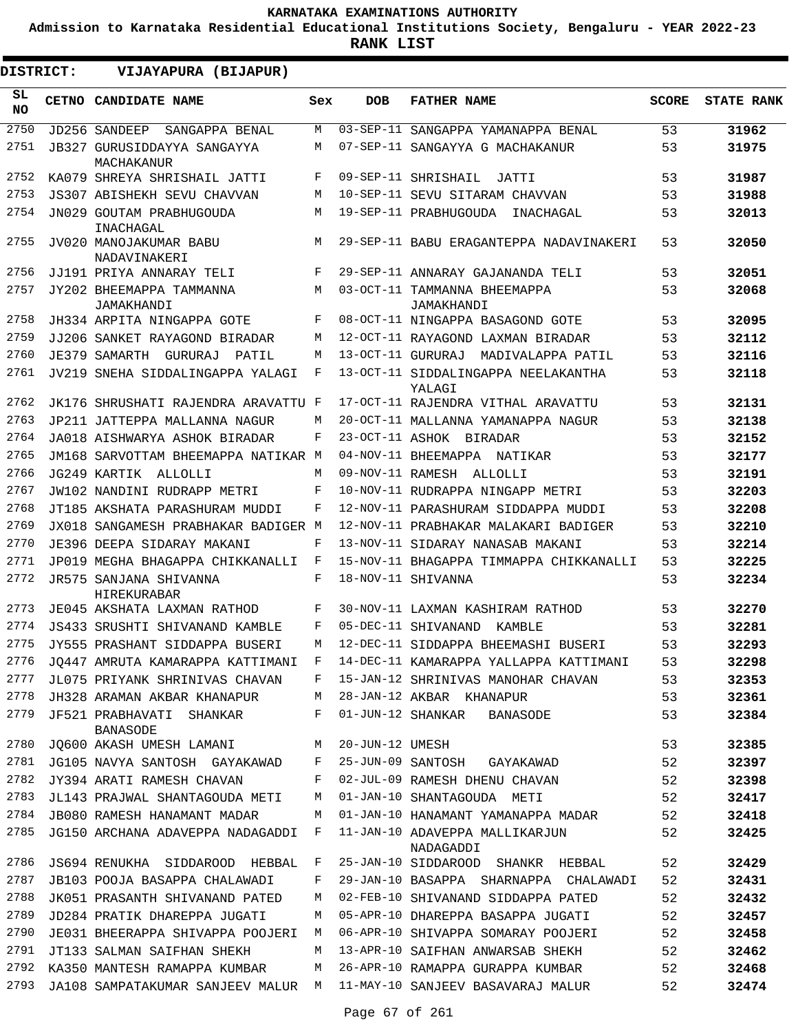**Admission to Karnataka Residential Educational Institutions Society, Bengaluru - YEAR 2022-23**

**RANK LIST**

| <b>DISTRICT:</b> |              | <b>VIJAYAPURA (BIJAPUR)</b>                 |     |                 |                                               |              |                   |
|------------------|--------------|---------------------------------------------|-----|-----------------|-----------------------------------------------|--------------|-------------------|
| SL<br><b>NO</b>  | <b>CETNO</b> | <b>CANDIDATE NAME</b>                       | Sex | <b>DOB</b>      | <b>FATHER NAME</b>                            | <b>SCORE</b> | <b>STATE RANK</b> |
| 2750             |              | JD256 SANDEEP<br>SANGAPPA BENAL             | М   |                 | 03-SEP-11 SANGAPPA YAMANAPPA BENAL            | 53           | 31962             |
| 2751             |              | JB327 GURUSIDDAYYA SANGAYYA<br>MACHAKANUR   | М   |                 | 07-SEP-11 SANGAYYA G MACHAKANUR               | 53           | 31975             |
| 2752             |              | KA079 SHREYA SHRISHAIL JATTI                | F   |                 | 09-SEP-11 SHRISHAIL<br>JATTI                  | 53           | 31987             |
| 2753             |              | <b>JS307 ABISHEKH SEVU CHAVVAN</b>          | M   |                 | 10-SEP-11 SEVU SITARAM CHAVVAN                | 53           | 31988             |
| 2754             |              | JN029 GOUTAM PRABHUGOUDA<br>INACHAGAL       | M   |                 | 19-SEP-11 PRABHUGOUDA<br>INACHAGAL            | 53           | 32013             |
| 2755             |              | JV020 MANOJAKUMAR BABU<br>NADAVINAKERI      | M   |                 | 29-SEP-11 BABU ERAGANTEPPA NADAVINAKERI       | 53           | 32050             |
| 2756             |              | JJ191 PRIYA ANNARAY TELI                    | F   |                 | 29-SEP-11 ANNARAY GAJANANDA TELI              | 53           | 32051             |
| 2757             |              | JY202 BHEEMAPPA TAMMANNA                    | М   |                 | 03-OCT-11 TAMMANNA BHEEMAPPA                  | 53           | 32068             |
|                  |              | JAMAKHANDI                                  |     |                 | JAMAKHANDI                                    |              |                   |
| 2758             |              | JH334 ARPITA NINGAPPA GOTE                  | F   |                 | 08-OCT-11 NINGAPPA BASAGOND GOTE              | 53           | 32095             |
| 2759             |              | JJ206 SANKET RAYAGOND BIRADAR               | M   |                 | 12-OCT-11 RAYAGOND LAXMAN BIRADAR             | 53           | 32112             |
| 2760             |              | JE379 SAMARTH GURURAJ<br>PATTI,             | М   |                 | 13-OCT-11 GURURAJ MADIVALAPPA PATIL           | 53           | 32116             |
| 2761             |              | JV219 SNEHA SIDDALINGAPPA YALAGI            | F   |                 | 13-OCT-11 SIDDALINGAPPA NEELAKANTHA<br>YALAGI | 53           | 32118             |
| 2762             |              | JK176 SHRUSHATI RAJENDRA ARAVATTU F         |     |                 | 17-OCT-11 RAJENDRA VITHAL ARAVATTU            | 53           | 32131             |
| 2763             |              | JP211 JATTEPPA MALLANNA NAGUR               | M   |                 | 20-OCT-11 MALLANNA YAMANAPPA NAGUR            | 53           | 32138             |
| 2764             |              | JA018 AISHWARYA ASHOK BIRADAR               | F   |                 | 23-OCT-11 ASHOK BIRADAR                       | 53           | 32152             |
| 2765             |              | JM168 SARVOTTAM BHEEMAPPA NATIKAR M         |     |                 | 04-NOV-11 BHEEMAPPA NATIKAR                   | 53           | 32177             |
| 2766             |              | JG249 KARTIK ALLOLLI                        | М   |                 | 09-NOV-11 RAMESH ALLOLLI                      | 53           | 32191             |
| 2767             |              | JW102 NANDINI RUDRAPP METRI                 | F   |                 | 10-NOV-11 RUDRAPPA NINGAPP METRI              | 53           | 32203             |
| 2768             |              | JT185 AKSHATA PARASHURAM MUDDI              | F   |                 | 12-NOV-11 PARASHURAM SIDDAPPA MUDDI           | 53           | 32208             |
| 2769             |              | JX018 SANGAMESH PRABHAKAR BADIGER M         |     |                 | 12-NOV-11 PRABHAKAR MALAKARI BADIGER          | 53           | 32210             |
| 2770             |              | JE396 DEEPA SIDARAY MAKANI                  | F   |                 | 13-NOV-11 SIDARAY NANASAB MAKANI              | 53           | 32214             |
| 2771             |              | JP019 MEGHA BHAGAPPA CHIKKANALLI            | F   |                 | 15-NOV-11 BHAGAPPA TIMMAPPA CHIKKANALLI       | 53           | 32225             |
| 2772             |              | JR575 SANJANA SHIVANNA<br>HIREKURABAR       | F   |                 | 18-NOV-11 SHIVANNA                            | 53           | 32234             |
| 2773             |              | JE045 AKSHATA LAXMAN RATHOD                 | F   |                 | 30-NOV-11 LAXMAN KASHIRAM RATHOD              | 53           | 32270             |
| 2774             |              | JS433 SRUSHTI SHIVANAND KAMBLE              | F   |                 | 05-DEC-11 SHIVANAND KAMBLE                    | 53           | 32281             |
| 2775             |              | JY555 PRASHANT SIDDAPPA BUSERI              | M   |                 | 12-DEC-11 SIDDAPPA BHEEMASHI BUSERI           | 53           | 32293             |
| 2776             |              | JQ447 AMRUTA KAMARAPPA KATTIMANI F          |     |                 | 14-DEC-11 KAMARAPPA YALLAPPA KATTIMANI        | 53           | 32298             |
| 2777             |              | JL075 PRIYANK SHRINIVAS CHAVAN              | F   |                 | 15-JAN-12 SHRINIVAS MANOHAR CHAVAN            | 53           | 32353             |
| 2778             |              | JH328 ARAMAN AKBAR KHANAPUR                 | М   |                 | 28-JAN-12 AKBAR KHANAPUR                      | 53           | 32361             |
| 2779             |              | JF521 PRABHAVATI SHANKAR<br><b>BANASODE</b> | F   |                 | 01-JUN-12 SHANKAR BANASODE                    | 53           | 32384             |
| 2780             |              | JQ600 AKASH UMESH LAMANI                    | M   | 20-JUN-12 UMESH |                                               | 53           | 32385             |
| 2781             |              | JG105 NAVYA SANTOSH GAYAKAWAD               | F   |                 | 25-JUN-09 SANTOSH GAYAKAWAD                   | 52           | 32397             |
| 2782             |              | JY394 ARATI RAMESH CHAVAN                   | F   |                 | 02-JUL-09 RAMESH DHENU CHAVAN                 | 52           | 32398             |
| 2783             |              | JL143 PRAJWAL SHANTAGOUDA METI              | М   |                 | 01-JAN-10 SHANTAGOUDA METI                    | 52           | 32417             |
| 2784             |              | JB080 RAMESH HANAMANT MADAR                 | М   |                 | 01-JAN-10 HANAMANT YAMANAPPA MADAR            | 52           | 32418             |
| 2785             |              | JG150 ARCHANA ADAVEPPA NADAGADDI            | F   |                 | 11-JAN-10 ADAVEPPA MALLIKARJUN<br>NADAGADDI   | 52           | 32425             |
| 2786             |              | JS694 RENUKHA SIDDAROOD HEBBAL              | F   |                 | 25-JAN-10 SIDDAROOD SHANKR HEBBAL             | 52           | 32429             |
| 2787             |              | JB103 POOJA BASAPPA CHALAWADI               | F   |                 | 29-JAN-10 BASAPPA SHARNAPPA CHALAWADI         | 52           | 32431             |
| 2788             |              | JK051 PRASANTH SHIVANAND PATED              | М   |                 | 02-FEB-10 SHIVANAND SIDDAPPA PATED            | 52           | 32432             |
| 2789             |              | JD284 PRATIK DHAREPPA JUGATI                | М   |                 | 05-APR-10 DHAREPPA BASAPPA JUGATI             | 52           | 32457             |
| 2790             |              | JE031 BHEERAPPA SHIVAPPA POOJERI            | M   |                 | 06-APR-10 SHIVAPPA SOMARAY POOJERI            | 52           | 32458             |
| 2791             |              | JT133 SALMAN SAIFHAN SHEKH                  | М   |                 | 13-APR-10 SAIFHAN ANWARSAB SHEKH              | 52           | 32462             |
| 2792             |              | KA350 MANTESH RAMAPPA KUMBAR                | М   |                 | 26-APR-10 RAMAPPA GURAPPA KUMBAR              | 52           | 32468             |
| 2793             |              | JA108 SAMPATAKUMAR SANJEEV MALUR M          |     |                 | 11-MAY-10 SANJEEV BASAVARAJ MALUR             | 52           | 32474             |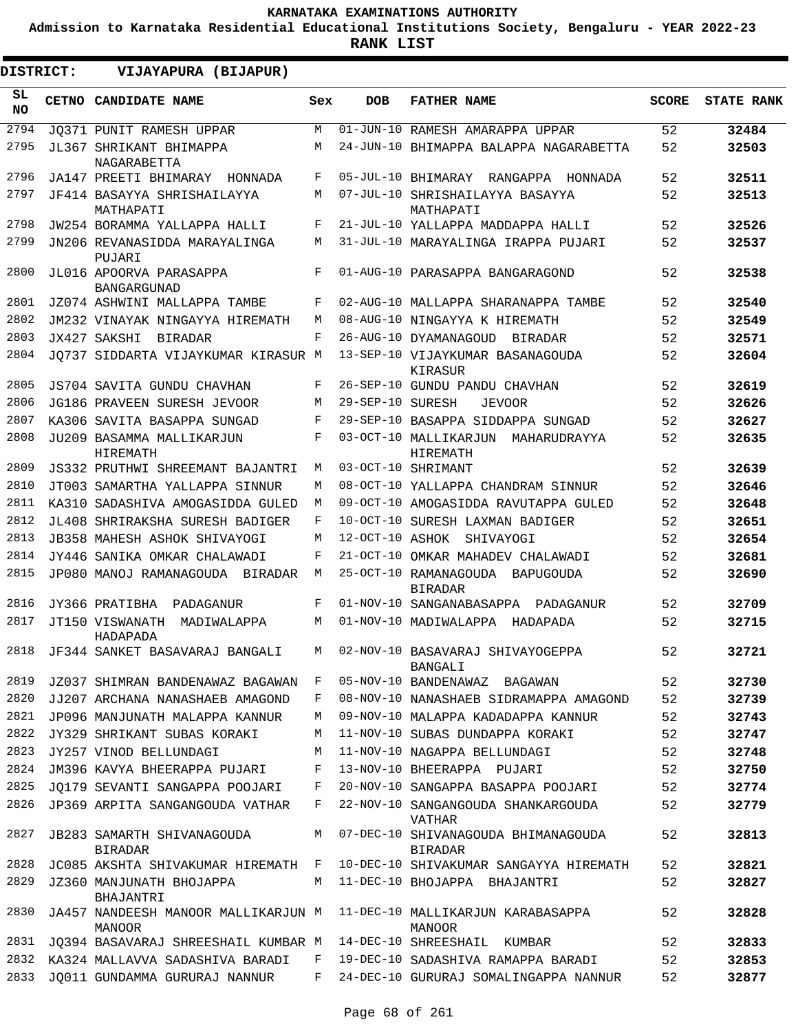**Admission to Karnataka Residential Educational Institutions Society, Bengaluru - YEAR 2022-23**

| <b>DISTRICT:</b> | VIJAYAPURA (BIJAPUR)                                            |     |                  |                                                                                   |              |                   |
|------------------|-----------------------------------------------------------------|-----|------------------|-----------------------------------------------------------------------------------|--------------|-------------------|
| SL.<br><b>NO</b> | <b>CETNO CANDIDATE NAME</b>                                     | Sex | <b>DOB</b>       | <b>FATHER NAME</b>                                                                | <b>SCORE</b> | <b>STATE RANK</b> |
| 2794             | JO371 PUNIT RAMESH UPPAR                                        | M   |                  | 01-JUN-10 RAMESH AMARAPPA UPPAR                                                   | 52           | 32484             |
| 2795             | JL367 SHRIKANT BHIMAPPA<br>NAGARABETTA                          | М   |                  | 24-JUN-10 BHIMAPPA BALAPPA NAGARABETTA                                            | 52           | 32503             |
| 2796             | JA147 PREETI BHIMARAY<br>HONNADA                                | F   |                  | 05-JUL-10 BHIMARAY RANGAPPA<br>HONNADA                                            | 52           | 32511             |
| 2797             | JF414 BASAYYA SHRISHAILAYYA<br>MATHAPATI                        | M   |                  | 07-JUL-10 SHRISHAILAYYA BASAYYA<br>MATHAPATI                                      | 52           | 32513             |
| 2798             | JW254 BORAMMA YALLAPPA HALLI                                    | F   |                  | 21-JUL-10 YALLAPPA MADDAPPA HALLI                                                 | 52           | 32526             |
| 2799             | JN206 REVANASIDDA MARAYALINGA<br>PUJARI                         | M   |                  | 31-JUL-10 MARAYALINGA IRAPPA PUJARI                                               | 52           | 32537             |
| 2800             | JL016 APOORVA PARASAPPA<br><b>BANGARGUNAD</b>                   | F   |                  | 01-AUG-10 PARASAPPA BANGARAGOND                                                   | 52           | 32538             |
| 2801             | JZ074 ASHWINI MALLAPPA TAMBE                                    | F   |                  | 02-AUG-10 MALLAPPA SHARANAPPA TAMBE                                               | 52           | 32540             |
| 2802             | JM232 VINAYAK NINGAYYA HIREMATH                                 | M   |                  | 08-AUG-10 NINGAYYA K HIREMATH                                                     | 52           | 32549             |
| 2803             | JX427 SAKSHI<br>BIRADAR                                         | F   |                  | 26-AUG-10 DYAMANAGOUD<br>BIRADAR                                                  | 52           | 32571             |
| 2804             | JO737 SIDDARTA VIJAYKUMAR KIRASUR M                             |     |                  | 13-SEP-10 VIJAYKUMAR BASANAGOUDA<br>KIRASUR                                       | 52           | 32604             |
| 2805             | JS704 SAVITA GUNDU CHAVHAN                                      | F   |                  | 26-SEP-10 GUNDU PANDU CHAVHAN                                                     | 52           | 32619             |
| 2806             | JG186 PRAVEEN SURESH JEVOOR                                     | M   | 29-SEP-10 SURESH | <b>JEVOOR</b>                                                                     | 52           | 32626             |
| 2807             | KA306 SAVITA BASAPPA SUNGAD                                     | F   |                  | 29-SEP-10 BASAPPA SIDDAPPA SUNGAD                                                 | 52           | 32627             |
| 2808             | JU209 BASAMMA MALLIKARJUN<br>HIREMATH                           | F   |                  | 03-OCT-10 MALLIKARJUN MAHARUDRAYYA<br>HIREMATH                                    | 52           | 32635             |
| 2809             | JS332 PRUTHWI SHREEMANT BAJANTRI                                | M   |                  | 03-OCT-10 SHRIMANT                                                                | 52           | 32639             |
| 2810             | JT003 SAMARTHA YALLAPPA SINNUR                                  | M   |                  | 08-OCT-10 YALLAPPA CHANDRAM SINNUR                                                | 52           | 32646             |
| 2811             | KA310 SADASHIVA AMOGASIDDA GULED                                | M   |                  | 09-OCT-10 AMOGASIDDA RAVUTAPPA GULED                                              | 52           | 32648             |
| 2812             | JL408 SHRIRAKSHA SURESH BADIGER                                 | F   |                  | 10-OCT-10 SURESH LAXMAN BADIGER                                                   | 52           | 32651             |
| 2813             | JB358 MAHESH ASHOK SHIVAYOGI                                    | М   |                  | 12-OCT-10 ASHOK SHIVAYOGI                                                         | 52           | 32654             |
| 2814             | JY446 SANIKA OMKAR CHALAWADI                                    | F   |                  | 21-OCT-10 OMKAR MAHADEV CHALAWADI                                                 | 52           | 32681             |
| 2815             | JP080 MANOJ RAMANAGOUDA BIRADAR                                 | M   |                  | 25-OCT-10 RAMANAGOUDA<br>BAPUGOUDA<br><b>BIRADAR</b>                              | 52           | 32690             |
| 2816             | JY366 PRATIBHA<br>PADAGANUR                                     | F   |                  | 01-NOV-10 SANGANABASAPPA PADAGANUR                                                | 52           | 32709             |
| 2817             | JT150 VISWANATH<br>MADIWALAPPA<br>HADAPADA                      | M   |                  | 01-NOV-10 MADIWALAPPA HADAPADA                                                    | 52           | 32715             |
|                  | 2818 JF344 SANKET BASAVARAJ BANGALI                             |     |                  | M 02-NOV-10 BASAVARAJ SHIVAYOGEPPA<br>BANGALI                                     | 52           | 32721             |
| 2819             | JZ037 SHIMRAN BANDENAWAZ BAGAWAN F                              |     |                  | 05-NOV-10 BANDENAWAZ BAGAWAN                                                      | 52           | 32730             |
| 2820             | JJ207 ARCHANA NANASHAEB AMAGOND                                 | F   |                  | 08-NOV-10 NANASHAEB SIDRAMAPPA AMAGOND                                            | 52           | 32739             |
| 2821             | JP096 MANJUNATH MALAPPA KANNUR                                  | М   |                  | 09-NOV-10 MALAPPA KADADAPPA KANNUR                                                | 52           | 32743             |
| 2822             | JY329 SHRIKANT SUBAS KORAKI                                     | М   |                  | 11-NOV-10 SUBAS DUNDAPPA KORAKI                                                   | 52           | 32747             |
| 2823             | JY257 VINOD BELLUNDAGI                                          | М   |                  | 11-NOV-10 NAGAPPA BELLUNDAGI                                                      | 52           | 32748             |
| 2824             | JM396 KAVYA BHEERAPPA PUJARI                                    | F   |                  | 13-NOV-10 BHEERAPPA PUJARI                                                        | 52           | 32750             |
| 2825             | JO179 SEVANTI SANGAPPA POOJARI                                  | F   |                  | 20-NOV-10 SANGAPPA BASAPPA POOJARI                                                | 52           | 32774             |
| 2826             | JP369 ARPITA SANGANGOUDA VATHAR                                 | F   |                  | 22-NOV-10 SANGANGOUDA SHANKARGOUDA<br>VATHAR                                      | 52           | 32779             |
| 2827             | JB283 SAMARTH SHIVANAGOUDA<br><b>BIRADAR</b>                    | M   |                  | 07-DEC-10 SHIVANAGOUDA BHIMANAGOUDA<br><b>BIRADAR</b>                             | 52           | 32813             |
| 2828             | JC085 AKSHTA SHIVAKUMAR HIREMATH F                              |     |                  | 10-DEC-10 SHIVAKUMAR SANGAYYA HIREMATH                                            | 52           | 32821             |
| 2829             | JZ360 MANJUNATH BHOJAPPA<br>BHAJANTRI                           | M   |                  | 11-DEC-10 BHOJAPPA BHAJANTRI                                                      | 52           | 32827             |
| 2830             | MANOOR                                                          |     |                  | JA457 NANDEESH MANOOR MALLIKARJUN M   11-DEC-10 MALLIKARJUN KARABASAPPA<br>MANOOR | 52           | 32828             |
| 2831             | JQ394 BASAVARAJ SHREESHAIL KUMBAR M 14-DEC-10 SHREESHAIL KUMBAR |     |                  |                                                                                   | 52           | 32833             |
| 2832             | KA324 MALLAVVA SADASHIVA BARADI                                 | F   |                  | 19-DEC-10 SADASHIVA RAMAPPA BARADI                                                | 52           | 32853             |
| 2833             | JQ011 GUNDAMMA GURURAJ NANNUR                                   | F   |                  | 24-DEC-10 GURURAJ SOMALINGAPPA NANNUR                                             | 52           | 32877             |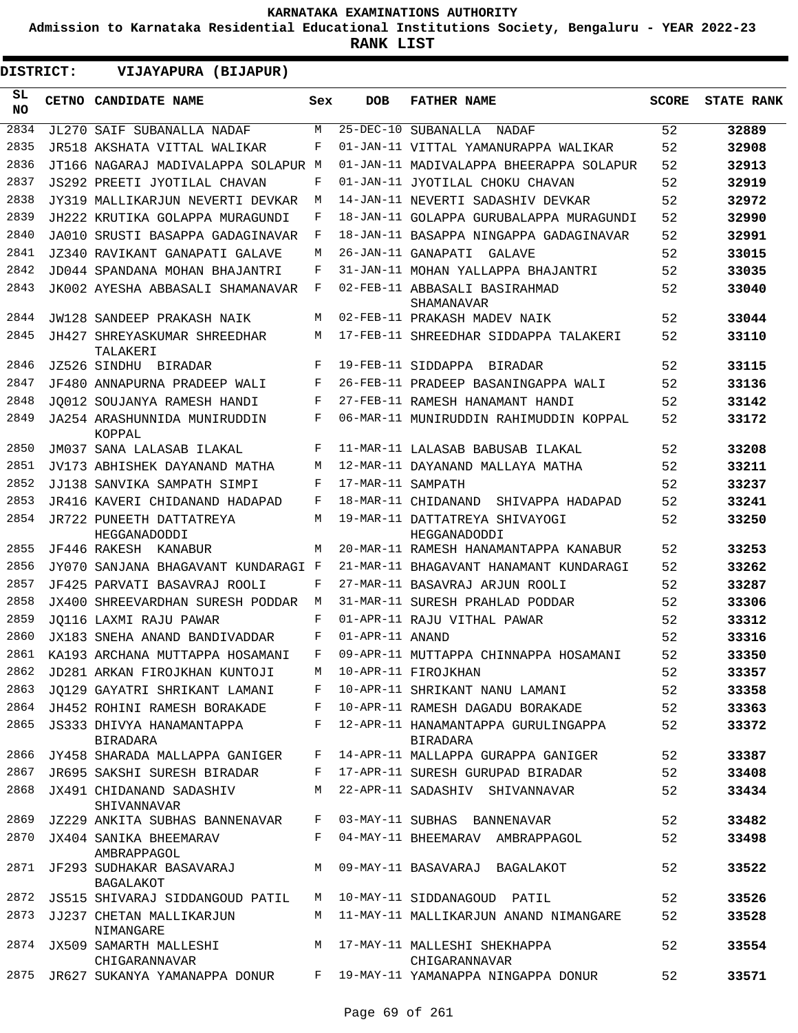**Admission to Karnataka Residential Educational Institutions Society, Bengaluru - YEAR 2022-23**

| DISTRICT:  | VIJAYAPURA (BIJAPUR)                                                        |       |                   |                                                                     |              |                   |
|------------|-----------------------------------------------------------------------------|-------|-------------------|---------------------------------------------------------------------|--------------|-------------------|
| SL.<br>NO. | CETNO CANDIDATE NAME                                                        | Sex   | <b>DOB</b>        | <b>FATHER NAME</b>                                                  | <b>SCORE</b> | <b>STATE RANK</b> |
| 2834       | JL270 SAIF SUBANALLA NADAF                                                  | M     |                   | 25-DEC-10 SUBANALLA NADAF                                           | 52           | 32889             |
| 2835       | JR518 AKSHATA VITTAL WALIKAR                                                | F     |                   | 01-JAN-11 VITTAL YAMANURAPPA WALIKAR                                | 52           | 32908             |
| 2836       | JT166 NAGARAJ MADIVALAPPA SOLAPUR M                                         |       |                   | 01-JAN-11 MADIVALAPPA BHEERAPPA SOLAPUR                             | 52           | 32913             |
| 2837       | JS292 PREETI JYOTILAL CHAVAN                                                | F     |                   | 01-JAN-11 JYOTILAL CHOKU CHAVAN                                     | 52           | 32919             |
| 2838       | JY319 MALLIKARJUN NEVERTI DEVKAR                                            | М     |                   | 14-JAN-11 NEVERTI SADASHIV DEVKAR                                   | 52           | 32972             |
| 2839       | JH222 KRUTIKA GOLAPPA MURAGUNDI                                             | F     |                   | 18-JAN-11 GOLAPPA GURUBALAPPA MURAGUNDI                             | 52           | 32990             |
| 2840       | JA010 SRUSTI BASAPPA GADAGINAVAR                                            | F     |                   | 18-JAN-11 BASAPPA NINGAPPA GADAGINAVAR                              | 52           | 32991             |
| 2841       | JZ340 RAVIKANT GANAPATI GALAVE                                              | M     |                   | 26-JAN-11 GANAPATI<br>GALAVE                                        | 52           | 33015             |
| 2842       | JD044 SPANDANA MOHAN BHAJANTRI                                              | F     |                   | 31-JAN-11 MOHAN YALLAPPA BHAJANTRI                                  | 52           | 33035             |
| 2843       | JK002 AYESHA ABBASALI SHAMANAVAR                                            | F     |                   | 02-FEB-11 ABBASALI BASIRAHMAD<br>SHAMANAVAR                         | 52           | 33040             |
| 2844       | <b>JW128 SANDEEP PRAKASH NAIK</b>                                           | M     |                   | 02-FEB-11 PRAKASH MADEV NAIK                                        | 52           | 33044             |
| 2845       | JH427 SHREYASKUMAR SHREEDHAR<br>TALAKERI                                    | M     |                   | 17-FEB-11 SHREEDHAR SIDDAPPA TALAKERI                               | 52           | 33110             |
| 2846       | JZ526 SINDHU BIRADAR                                                        | F     |                   | 19-FEB-11 SIDDAPPA BIRADAR                                          | 52           | 33115             |
| 2847       | JF480 ANNAPURNA PRADEEP WALI                                                | F     |                   | 26-FEB-11 PRADEEP BASANINGAPPA WALI                                 | 52           | 33136             |
| 2848       | JO012 SOUJANYA RAMESH HANDI                                                 | F     |                   | 27-FEB-11 RAMESH HANAMANT HANDI                                     | 52           | 33142             |
| 2849       | JA254 ARASHUNNIDA MUNIRUDDIN<br>KOPPAL                                      | F     |                   | 06-MAR-11 MUNIRUDDIN RAHIMUDDIN KOPPAL                              | 52           | 33172             |
| 2850       | JM037 SANA LALASAB ILAKAL                                                   | F     |                   | 11-MAR-11 LALASAB BABUSAB ILAKAL                                    | 52           | 33208             |
| 2851       | JV173 ABHISHEK DAYANAND MATHA                                               | M     |                   | 12-MAR-11 DAYANAND MALLAYA MATHA                                    | 52           | 33211             |
| 2852       | JJ138 SANVIKA SAMPATH SIMPI                                                 | F     | 17-MAR-11 SAMPATH |                                                                     | 52           | 33237             |
| 2853       | JR416 KAVERI CHIDANAND HADAPAD                                              | F     |                   | 18-MAR-11 CHIDANAND<br>SHIVAPPA HADAPAD                             | 52           | 33241             |
| 2854       | JR722 PUNEETH DATTATREYA<br>HEGGANADODDI                                    | M     |                   | 19-MAR-11 DATTATREYA SHIVAYOGI<br>HEGGANADODDI                      | 52           | 33250             |
| 2855       | JF446 RAKESH KANABUR                                                        | M     |                   | 20-MAR-11 RAMESH HANAMANTAPPA KANABUR                               | 52           | 33253             |
| 2856       | JY070 SANJANA BHAGAVANT KUNDARAGI F                                         |       |                   | 21-MAR-11 BHAGAVANT HANAMANT KUNDARAGI                              | 52           | 33262             |
| 2857       | JF425 PARVATI BASAVRAJ ROOLI                                                | F     |                   | 27-MAR-11 BASAVRAJ ARJUN ROOLI                                      | 52           | 33287             |
| 2858       | JX400 SHREEVARDHAN SURESH PODDAR                                            | М     |                   | 31-MAR-11 SURESH PRAHLAD PODDAR                                     | 52           | 33306             |
| 2859       | JO116 LAXMI RAJU PAWAR                                                      | F     |                   | 01-APR-11 RAJU VITHAL PAWAR                                         | 52           | 33312             |
| 2860       | JX183 SNEHA ANAND BANDIVADDAR                                               | F     | 01-APR-11 ANAND   |                                                                     | 52           | 33316             |
| 2861       | KA193 ARCHANA MUTTAPPA HOSAMANI                                             | F     |                   | 09-APR-11 MUTTAPPA CHINNAPPA HOSAMANI                               | 52           | 33350             |
| 2862       | JD281 ARKAN FIROJKHAN KUNTOJI                                               |       |                   | M 10-APR-11 FIROJKHAN                                               | 52           | 33357             |
| 2863       | JO129 GAYATRI SHRIKANT LAMANI F                                             |       |                   | 10-APR-11 SHRIKANT NANU LAMANI                                      | 52           | 33358             |
| 2864       |                                                                             |       |                   | JH452 ROHINI RAMESH BORAKADE F 10-APR-11 RAMESH DAGADU BORAKADE     | 52           | 33363             |
| 2865       | JS333 DHIVYA HANAMANTAPPA<br><b>BIRADARA</b>                                | $F$ – |                   | 12-APR-11 HANAMANTAPPA GURULINGAPPA<br><b>BIRADARA</b>              | 52           | 33372             |
| 2866       |                                                                             |       |                   | JY458 SHARADA MALLAPPA GANIGER F 14-APR-11 MALLAPPA GURAPPA GANIGER | 52           | 33387             |
| 2867       | JR695 SAKSHI SURESH BIRADAR                                                 |       |                   | F 17-APR-11 SURESH GURUPAD BIRADAR                                  | 52           | 33408             |
| 2868       | JX491 CHIDANAND SADASHIV<br>SHIVANNAVAR                                     |       |                   | M 22-APR-11 SADASHIV SHIVANNAVAR                                    | 52           | 33434             |
| 2869       | JZ229 ANKITA SUBHAS BANNENAVAR                                              |       |                   | F 03-MAY-11 SUBHAS BANNENAVAR                                       | 52           | 33482             |
|            | 2870 JX404 SANIKA BHEEMARAV<br>AMBRAPPAGOL                                  |       |                   | F 04-MAY-11 BHEEMARAV AMBRAPPAGOL                                   | 52           | 33498             |
| 2871       | JF293 SUDHAKAR BASAVARAJ M 09-MAY-11 BASAVARAJ BAGALAKOT<br>BAGALAKOT       |       |                   |                                                                     | 52           | 33522             |
| 2872       | JS515 SHIVARAJ SIDDANGOUD PATIL                                             |       |                   | M 10-MAY-11 SIDDANAGOUD PATIL                                       | 52           | 33526             |
| 2873       | JJ237 CHETAN MALLIKARJUN<br>NIMANGARE                                       |       |                   | M 11-MAY-11 MALLIKARJUN ANAND NIMANGARE                             | 52           | 33528             |
|            | 2874 JX509 SAMARTH MALLESHI M 17-MAY-11 MALLESHI SHEKHAPPA<br>CHIGARANNAVAR |       |                   | CHIGARANNAVAR                                                       | 52           | 33554             |
| 2875       |                                                                             |       |                   | JR627 SUKANYA YAMANAPPA DONUR F 19-MAY-11 YAMANAPPA NINGAPPA DONUR  | 52           | 33571             |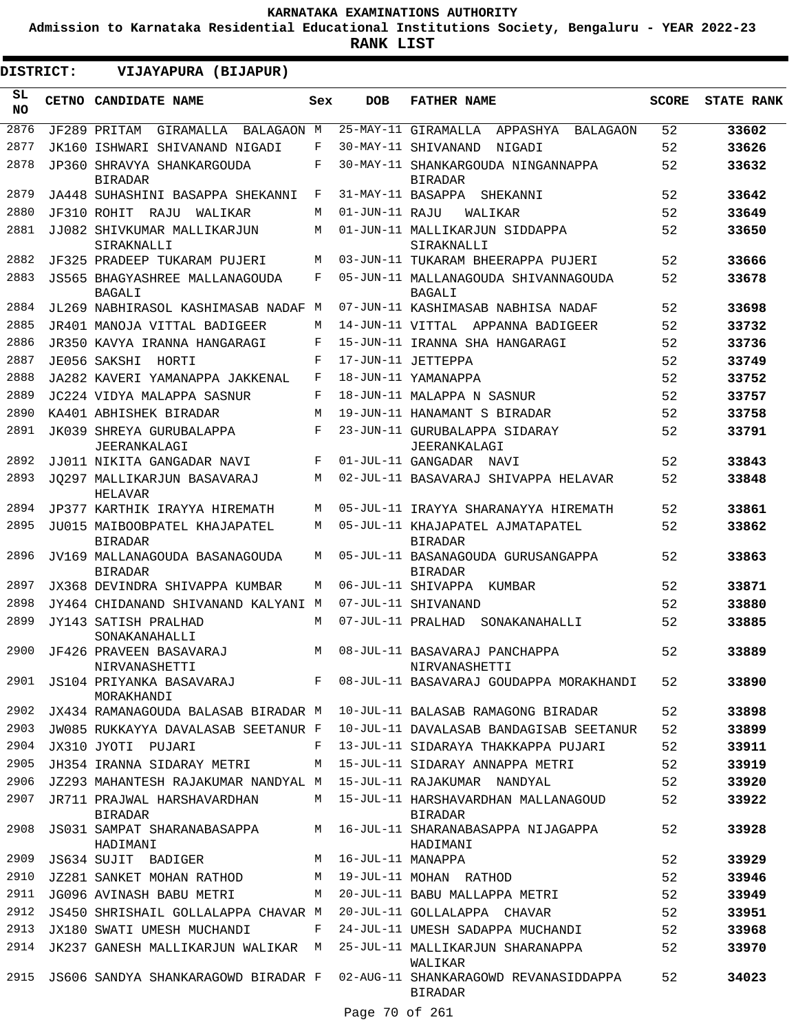**Admission to Karnataka Residential Educational Institutions Society, Bengaluru - YEAR 2022-23**

**RANK LIST**

| <b>DISTRICT:</b> | VIJAYAPURA (BIJAPUR)                             |     |                   |                                                       |              |                   |
|------------------|--------------------------------------------------|-----|-------------------|-------------------------------------------------------|--------------|-------------------|
| SL.<br><b>NO</b> | CETNO CANDIDATE NAME                             | Sex | <b>DOB</b>        | <b>FATHER NAME</b>                                    | <b>SCORE</b> | <b>STATE RANK</b> |
| 2876             | JF289 PRITAM<br>GIRAMALLA BALAGAON M             |     |                   | 25-MAY-11 GIRAMALLA APPASHYA BALAGAON                 | 52           | 33602             |
| 2877             | JK160 ISHWARI SHIVANAND NIGADI                   | F   |                   | 30-MAY-11 SHIVANAND<br>NIGADI                         | 52           | 33626             |
| 2878             | JP360 SHRAVYA SHANKARGOUDA<br><b>BIRADAR</b>     | F   |                   | 30-MAY-11 SHANKARGOUDA NINGANNAPPA<br><b>BIRADAR</b>  | 52           | 33632             |
| 2879             | JA448 SUHASHINI BASAPPA SHEKANNI                 | F   |                   | 31-MAY-11 BASAPPA SHEKANNI                            | 52           | 33642             |
| 2880             | JF310 ROHIT RAJU WALIKAR                         | М   | 01-JUN-11 RAJU    | WALIKAR                                               | 52           | 33649             |
| 2881             | JJ082 SHIVKUMAR MALLIKARJUN<br>SIRAKNALLI        | М   |                   | 01-JUN-11 MALLIKARJUN SIDDAPPA<br>SIRAKNALLI          | 52           | 33650             |
| 2882             | JF325 PRADEEP TUKARAM PUJERI                     | М   |                   | 03-JUN-11 TUKARAM BHEERAPPA PUJERI                    | 52           | 33666             |
| 2883             | JS565 BHAGYASHREE MALLANAGOUDA<br><b>BAGALI</b>  | F   |                   | 05-JUN-11 MALLANAGOUDA SHIVANNAGOUDA<br>BAGALI        | 52           | 33678             |
| 2884             | JL269 NABHIRASOL KASHIMASAB NADAF M              |     |                   | 07-JUN-11 KASHIMASAB NABHISA NADAF                    | 52           | 33698             |
| 2885             | JR401 MANOJA VITTAL BADIGEER                     | М   |                   | 14-JUN-11 VITTAL APPANNA BADIGEER                     | 52           | 33732             |
| 2886             | JR350 KAVYA IRANNA HANGARAGI                     | F   |                   | 15-JUN-11 IRANNA SHA HANGARAGI                        | 52           | 33736             |
| 2887             | JE056 SAKSHI<br>HORTI                            | F   |                   | 17-JUN-11 JETTEPPA                                    | 52           | 33749             |
| 2888             | JA282 KAVERI YAMANAPPA JAKKENAL                  | F   |                   | 18-JUN-11 YAMANAPPA                                   | 52           | 33752             |
| 2889             | JC224 VIDYA MALAPPA SASNUR                       | F   |                   | 18-JUN-11 MALAPPA N SASNUR                            | 52           | 33757             |
| 2890             | KA401 ABHISHEK BIRADAR                           | M   |                   | 19-JUN-11 HANAMANT S BIRADAR                          | 52           | 33758             |
| 2891             | JK039 SHREYA GURUBALAPPA<br>JEERANKALAGI         | F   |                   | 23-JUN-11 GURUBALAPPA SIDARAY<br>JEERANKALAGI         | 52           | 33791             |
| 2892             | JJ011 NIKITA GANGADAR NAVI                       | F   |                   | 01-JUL-11 GANGADAR NAVI                               | 52           | 33843             |
| 2893             | JO297 MALLIKARJUN BASAVARAJ<br>HELAVAR           | M   |                   | 02-JUL-11 BASAVARAJ SHIVAPPA HELAVAR                  | 52           | 33848             |
| 2894             | JP377 KARTHIK IRAYYA HIREMATH                    | M   |                   | 05-JUL-11 IRAYYA SHARANAYYA HIREMATH                  | 52           | 33861             |
| 2895             | JU015 MAIBOOBPATEL KHAJAPATEL<br><b>BIRADAR</b>  | M   |                   | 05-JUL-11 KHAJAPATEL AJMATAPATEL<br><b>BIRADAR</b>    | 52           | 33862             |
| 2896             | JV169 MALLANAGOUDA BASANAGOUDA<br><b>BIRADAR</b> | М   |                   | 05-JUL-11 BASANAGOUDA GURUSANGAPPA<br><b>BIRADAR</b>  | 52           | 33863             |
| 2897             | JX368 DEVINDRA SHIVAPPA KUMBAR                   | М   |                   | 06-JUL-11 SHIVAPPA KUMBAR                             | 52           | 33871             |
| 2898             | JY464 CHIDANAND SHIVANAND KALYANI M              |     |                   | 07-JUL-11 SHIVANAND                                   | 52           | 33880             |
| 2899             | JY143 SATISH PRALHAD<br>SONAKANAHALLI            | М   | 07-JUL-11 PRALHAD | SONAKANAHALLI                                         | 52           | 33885             |
|                  | 2900 JF426 PRAVEEN BASAVARAJ<br>NIRVANASHETTI    |     |                   | M 08-JUL-11 BASAVARAJ PANCHAPPA<br>NIRVANASHETTI      | 52           | 33889             |
|                  | 2901 JS104 PRIYANKA BASAVARAJ F<br>MORAKHANDI    |     |                   | 08-JUL-11 BASAVARAJ GOUDAPPA MORAKHANDI               | 52           | 33890             |
| 2902             | JX434 RAMANAGOUDA BALASAB BIRADAR M              |     |                   | 10-JUL-11 BALASAB RAMAGONG BIRADAR                    | 52           | 33898             |
| 2903             | JW085 RUKKAYYA DAVALASAB SEETANUR F              |     |                   | 10-JUL-11 DAVALASAB BANDAGISAB SEETANUR               | 52           | 33899             |
| 2904             | JX310 JYOTI PUJARI                               | F   |                   | 13-JUL-11 SIDARAYA THAKKAPPA PUJARI                   | 52           | 33911             |
| 2905             | JH354 IRANNA SIDARAY METRI                       | М   |                   | 15-JUL-11 SIDARAY ANNAPPA METRI                       | 52           | 33919             |
| 2906             | JZ293 MAHANTESH RAJAKUMAR NANDYAL M              |     |                   | 15-JUL-11 RAJAKUMAR NANDYAL                           | 52           | 33920             |
| 2907             | JR711 PRAJWAL HARSHAVARDHAN<br><b>BIRADAR</b>    | M   |                   | 15-JUL-11 HARSHAVARDHAN MALLANAGOUD<br><b>BIRADAR</b> | 52           | 33922             |
| 2908             | JS031 SAMPAT SHARANABASAPPA<br>HADIMANI          | M   |                   | 16-JUL-11 SHARANABASAPPA NIJAGAPPA<br>HADIMANI        | 52           | 33928             |
| 2909             | JS634 SUJIT BADIGER                              | М   | 16-JUL-11 MANAPPA |                                                       | 52           | 33929             |
| 2910             | JZ281 SANKET MOHAN RATHOD                        | M   |                   | 19-JUL-11 MOHAN RATHOD                                | 52           | 33946             |
| 2911             | JG096 AVINASH BABU METRI                         | M   |                   | 20-JUL-11 BABU MALLAPPA METRI                         | 52           | 33949             |
| 2912             | JS450 SHRISHAIL GOLLALAPPA CHAVAR M              |     |                   | 20-JUL-11 GOLLALAPPA CHAVAR                           | 52           | 33951             |
| 2913             | JX180 SWATI UMESH MUCHANDI                       | F   |                   | 24-JUL-11 UMESH SADAPPA MUCHANDI                      | 52           | 33968             |
| 2914             | JK237 GANESH MALLIKARJUN WALIKAR M               |     |                   | 25-JUL-11 MALLIKARJUN SHARANAPPA<br>WALIKAR           | 52           | 33970             |
| 2915             | JS606 SANDYA SHANKARAGOWD BIRADAR F              |     |                   | 02-AUG-11 SHANKARAGOWD REVANASIDDAPPA<br>BIRADAR      | 52           | 34023             |

Page 70 of 261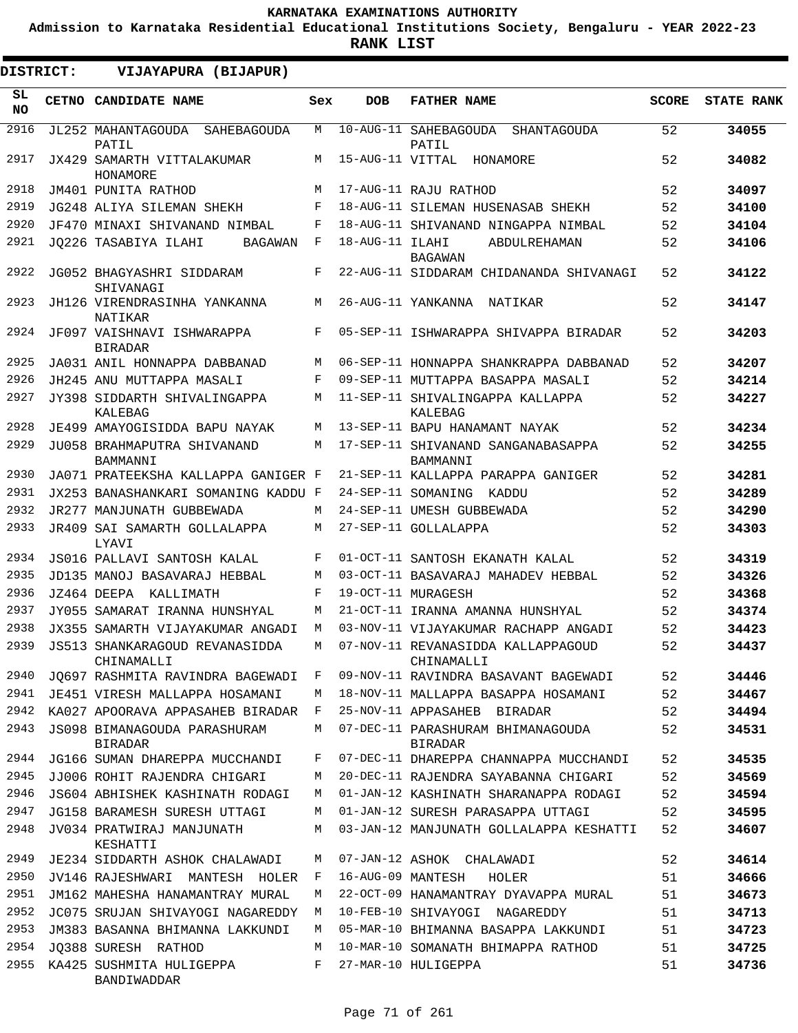**Admission to Karnataka Residential Educational Institutions Society, Bengaluru - YEAR 2022-23**

**RANK LIST**

 $\blacksquare$ 

| DISTRICT: | VIJAYAPURA (BIJAPUR)                         |              |                   |                                                      |              |                   |
|-----------|----------------------------------------------|--------------|-------------------|------------------------------------------------------|--------------|-------------------|
| SL<br>NO. | CETNO CANDIDATE NAME                         | Sex          | <b>DOB</b>        | <b>FATHER NAME</b>                                   | <b>SCORE</b> | <b>STATE RANK</b> |
| 2916      | JL252 MAHANTAGOUDA SAHEBAGOUDA<br>PATIL      | M            |                   | 10-AUG-11 SAHEBAGOUDA<br><b>SHANTAGOUDA</b><br>PATIL | 52           | 34055             |
| 2917      | JX429 SAMARTH VITTALAKUMAR<br>HONAMORE       | M            | 15-AUG-11 VITTAL  | HONAMORE                                             | 52           | 34082             |
| 2918      | JM401 PUNITA RATHOD                          | M            |                   | 17-AUG-11 RAJU RATHOD                                | 52           | 34097             |
| 2919      | JG248 ALIYA SILEMAN SHEKH                    | F            |                   | 18-AUG-11 SILEMAN HUSENASAB SHEKH                    | 52           | 34100             |
| 2920      | JF470 MINAXI SHIVANAND NIMBAL                | F            |                   | 18-AUG-11 SHIVANAND NINGAPPA NIMBAL                  | 52           | 34104             |
| 2921      | JO226 TASABIYA ILAHI<br>BAGAWAN              | F            | 18-AUG-11 ILAHI   | ABDULREHAMAN<br><b>BAGAWAN</b>                       | 52           | 34106             |
| 2922      | JG052 BHAGYASHRI SIDDARAM<br>SHIVANAGI       | F            |                   | 22-AUG-11 SIDDARAM CHIDANANDA SHIVANAGI              | 52           | 34122             |
| 2923      | JH126 VIRENDRASINHA YANKANNA<br>NATIKAR      | M            |                   | 26-AUG-11 YANKANNA<br>NATIKAR                        | 52           | 34147             |
| 2924      | JF097 VAISHNAVI ISHWARAPPA<br><b>BIRADAR</b> | F            |                   | 05-SEP-11 ISHWARAPPA SHIVAPPA BIRADAR                | 52           | 34203             |
| 2925      | JA031 ANIL HONNAPPA DABBANAD                 | М            |                   | 06-SEP-11 HONNAPPA SHANKRAPPA DABBANAD               | 52           | 34207             |
| 2926      | JH245 ANU MUTTAPPA MASALI                    | F            |                   | 09-SEP-11 MUTTAPPA BASAPPA MASALI                    | 52           | 34214             |
| 2927      | JY398 SIDDARTH SHIVALINGAPPA<br>KALEBAG      | M            |                   | 11-SEP-11 SHIVALINGAPPA KALLAPPA<br>KALEBAG          | 52           | 34227             |
| 2928      | JE499 AMAYOGISIDDA BAPU NAYAK                | М            |                   | 13-SEP-11 BAPU HANAMANT NAYAK                        | 52           | 34234             |
| 2929      | JU058 BRAHMAPUTRA SHIVANAND<br>BAMMANNI      | М            |                   | 17-SEP-11 SHIVANAND SANGANABASAPPA<br>BAMMANNI       | 52           | 34255             |
| 2930      | JA071 PRATEEKSHA KALLAPPA GANIGER F          |              |                   | 21-SEP-11 KALLAPPA PARAPPA GANIGER                   | 52           | 34281             |
| 2931      | JX253 BANASHANKARI SOMANING KADDU F          |              |                   | 24-SEP-11 SOMANING KADDU                             | 52           | 34289             |
| 2932      | JR277 MANJUNATH GUBBEWADA                    | М            |                   | 24-SEP-11 UMESH GUBBEWADA                            | 52           | 34290             |
| 2933      | JR409 SAI SAMARTH GOLLALAPPA<br>LYAVI        | М            |                   | 27-SEP-11 GOLLALAPPA                                 | 52           | 34303             |
| 2934      | JS016 PALLAVI SANTOSH KALAL                  | F            |                   | 01-OCT-11 SANTOSH EKANATH KALAL                      | 52           | 34319             |
| 2935      | JD135 MANOJ BASAVARAJ HEBBAL                 | M            |                   | 03-OCT-11 BASAVARAJ MAHADEV HEBBAL                   | 52           | 34326             |
| 2936      | JZ464 DEEPA<br>KALLIMATH                     | F            |                   | 19-OCT-11 MURAGESH                                   | 52           | 34368             |
| 2937      | JY055 SAMARAT IRANNA HUNSHYAL                | М            |                   | 21-OCT-11 IRANNA AMANNA HUNSHYAL                     | 52           | 34374             |
| 2938      | JX355 SAMARTH VIJAYAKUMAR ANGADI             | М            |                   | 03-NOV-11 VIJAYAKUMAR RACHAPP ANGADI                 | 52           | 34423             |
| 2939      | JS513 SHANKARAGOUD REVANASIDDA<br>CHINAMALLI | М            |                   | 07-NOV-11 REVANASIDDA KALLAPPAGOUD<br>CHINAMALLI     | 52           | 34437             |
| 2940      | JQ697 RASHMITA RAVINDRA BAGEWADI             | F            |                   | 09-NOV-11 RAVINDRA BASAVANT BAGEWADI                 | 52           | 34446             |
| 2941      | JE451 VIRESH MALLAPPA HOSAMANI               | М            |                   | 18-NOV-11 MALLAPPA BASAPPA HOSAMANI                  | 52           | 34467             |
| 2942      | KA027 APOORAVA APPASAHEB BIRADAR             | $\mathbf{F}$ |                   | 25-NOV-11 APPASAHEB BIRADAR                          | 52           | 34494             |
| 2943      | JS098 BIMANAGOUDA PARASHURAM<br>BIRADAR      | М            |                   | 07-DEC-11 PARASHURAM BHIMANAGOUDA<br>BIRADAR         | 52           | 34531             |
| 2944      | JG166 SUMAN DHAREPPA MUCCHANDI               | F            |                   | 07-DEC-11 DHAREPPA CHANNAPPA MUCCHANDI               | 52           | 34535             |
| 2945      | JJ006 ROHIT RAJENDRA CHIGARI                 | М            |                   | 20-DEC-11 RAJENDRA SAYABANNA CHIGARI                 | 52           | 34569             |
| 2946      | JS604 ABHISHEK KASHINATH RODAGI              | M            |                   | 01-JAN-12 KASHINATH SHARANAPPA RODAGI                | 52           | 34594             |
| 2947      | JG158 BARAMESH SURESH UTTAGI                 | M            |                   | 01-JAN-12 SURESH PARASAPPA UTTAGI                    | 52           | 34595             |
| 2948      | JV034 PRATWIRAJ MANJUNATH<br>KESHATTI        | М            |                   | 03-JAN-12 MANJUNATH GOLLALAPPA KESHATTI              | 52           | 34607             |
| 2949      | JE234 SIDDARTH ASHOK CHALAWADI               | M            |                   | 07-JAN-12 ASHOK CHALAWADI                            | 52           | 34614             |
| 2950      | JV146 RAJESHWARI MANTESH HOLER               | F            | 16-AUG-09 MANTESH | HOLER                                                | 51           | 34666             |
| 2951      | JM162 MAHESHA HANAMANTRAY MURAL              | М            |                   | 22-OCT-09 HANAMANTRAY DYAVAPPA MURAL                 | 51           | 34673             |
| 2952      | JC075 SRUJAN SHIVAYOGI NAGAREDDY             | M            |                   | 10-FEB-10 SHIVAYOGI NAGAREDDY                        | 51           | 34713             |
| 2953      | JM383 BASANNA BHIMANNA LAKKUNDI              | M            |                   | 05-MAR-10 BHIMANNA BASAPPA LAKKUNDI                  | 51           | 34723             |
| 2954      | JO388 SURESH RATHOD                          | M            |                   | 10-MAR-10 SOMANATH BHIMAPPA RATHOD                   | 51           | 34725             |
| 2955      | KA425 SUSHMITA HULIGEPPA<br>BANDIWADDAR      | F            |                   | 27-MAR-10 HULIGEPPA                                  | 51           | 34736             |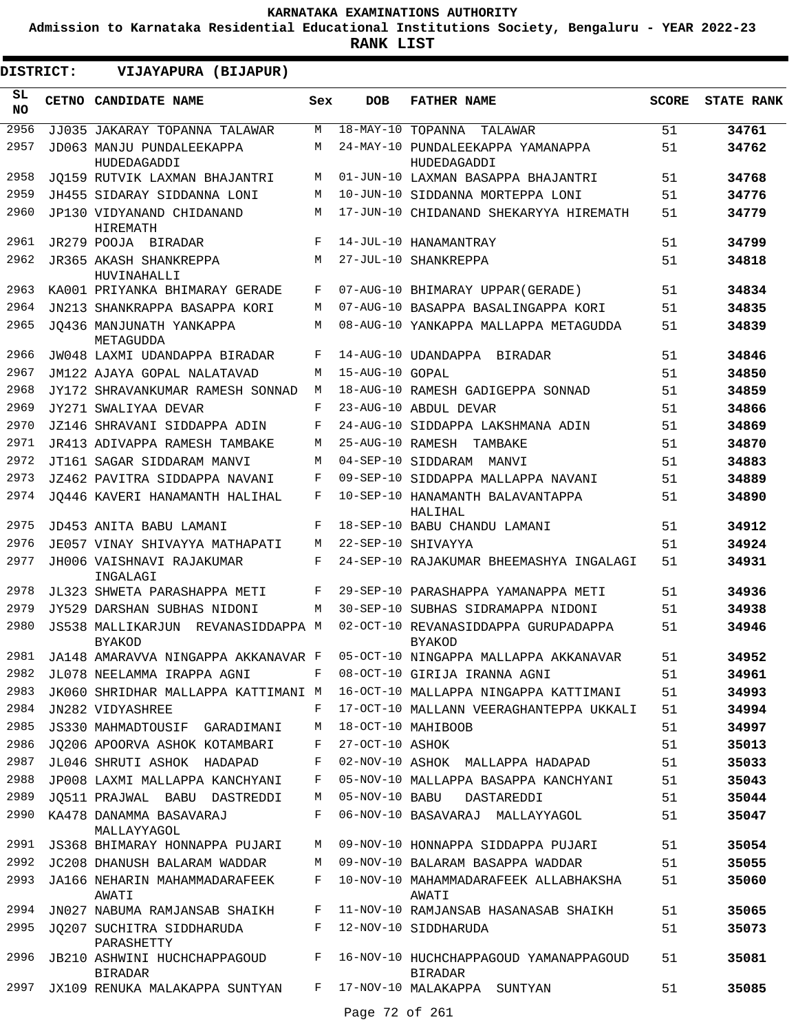**Admission to Karnataka Residential Educational Institutions Society, Bengaluru - YEAR 2022-23**

| DISTRICT:       | VIJAYAPURA (BIJAPUR)                                   |     |                   |                                                          |              |                   |
|-----------------|--------------------------------------------------------|-----|-------------------|----------------------------------------------------------|--------------|-------------------|
| SL<br><b>NO</b> | CETNO CANDIDATE NAME                                   | Sex | <b>DOB</b>        | <b>FATHER NAME</b>                                       | <b>SCORE</b> | <b>STATE RANK</b> |
| 2956            | JJ035 JAKARAY TOPANNA TALAWAR                          | M   | 18-MAY-10 TOPANNA | TALAWAR                                                  | 51           | 34761             |
| 2957            | JD063 MANJU PUNDALEEKAPPA<br>HUDEDAGADDI               | M   |                   | 24-MAY-10 PUNDALEEKAPPA YAMANAPPA<br>HUDEDAGADDI         | 51           | 34762             |
| 2958            | JO159 RUTVIK LAXMAN BHAJANTRI                          | М   |                   | 01-JUN-10 LAXMAN BASAPPA BHAJANTRI                       | 51           | 34768             |
| 2959            | JH455 SIDARAY SIDDANNA LONI                            | M   |                   | 10-JUN-10 SIDDANNA MORTEPPA LONI                         | 51           | 34776             |
| 2960            | JP130 VIDYANAND CHIDANAND<br>HIREMATH                  | M   |                   | 17-JUN-10 CHIDANAND SHEKARYYA HIREMATH                   | 51           | 34779             |
| 2961            | JR279 POOJA BIRADAR                                    | F   |                   | 14-JUL-10 HANAMANTRAY                                    | 51           | 34799             |
| 2962            | JR365 AKASH SHANKREPPA<br>HUVINAHALLI                  | M   |                   | 27-JUL-10 SHANKREPPA                                     | 51           | 34818             |
| 2963            | KA001 PRIYANKA BHIMARAY GERADE                         | F   |                   | 07-AUG-10 BHIMARAY UPPAR (GERADE)                        | 51           | 34834             |
| 2964            | JN213 SHANKRAPPA BASAPPA KORI                          | М   |                   | 07-AUG-10 BASAPPA BASALINGAPPA KORI                      | 51           | 34835             |
| 2965            | JO436 MANJUNATH YANKAPPA<br>METAGUDDA                  | М   |                   | 08-AUG-10 YANKAPPA MALLAPPA METAGUDDA                    | 51           | 34839             |
| 2966            | JW048 LAXMI UDANDAPPA BIRADAR                          | F   |                   | 14-AUG-10 UDANDAPPA BIRADAR                              | 51           | 34846             |
| 2967            | JM122 AJAYA GOPAL NALATAVAD                            | М   | 15-AUG-10 GOPAL   |                                                          | 51           | 34850             |
| 2968            | JY172 SHRAVANKUMAR RAMESH SONNAD                       | M   |                   | 18-AUG-10 RAMESH GADIGEPPA SONNAD                        | 51           | 34859             |
| 2969            | JY271 SWALIYAA DEVAR                                   | F   |                   | 23-AUG-10 ABDUL DEVAR                                    | 51           | 34866             |
| 2970            | JZ146 SHRAVANI SIDDAPPA ADIN                           | F   |                   | 24-AUG-10 SIDDAPPA LAKSHMANA ADIN                        | 51           | 34869             |
| 2971            | JR413 ADIVAPPA RAMESH TAMBAKE                          | М   | 25-AUG-10 RAMESH  | TAMBAKE                                                  | 51           | 34870             |
| 2972            | JT161 SAGAR SIDDARAM MANVI                             | М   |                   | 04-SEP-10 SIDDARAM MANVI                                 | 51           | 34883             |
| 2973            | JZ462 PAVITRA SIDDAPPA NAVANI                          | F   |                   | 09-SEP-10 SIDDAPPA MALLAPPA NAVANI                       | 51           | 34889             |
| 2974            | JO446 KAVERI HANAMANTH HALIHAL                         | F   |                   | 10-SEP-10 HANAMANTH BALAVANTAPPA<br>HALIHAL              | 51           | 34890             |
| 2975            | JD453 ANITA BABU LAMANI                                | F   |                   | 18-SEP-10 BABU CHANDU LAMANI                             | 51           | 34912             |
| 2976            | JE057 VINAY SHIVAYYA MATHAPATI                         | М   |                   | 22-SEP-10 SHIVAYYA                                       | 51           | 34924             |
| 2977            | JH006 VAISHNAVI RAJAKUMAR<br>INGALAGI                  | F   |                   | 24-SEP-10 RAJAKUMAR BHEEMASHYA INGALAGI                  | 51           | 34931             |
| 2978            | JL323 SHWETA PARASHAPPA METI                           | F   |                   | 29-SEP-10 PARASHAPPA YAMANAPPA METI                      | 51           | 34936             |
| 2979            | JY529 DARSHAN SUBHAS NIDONI                            | М   |                   | 30-SEP-10 SUBHAS SIDRAMAPPA NIDONI                       | 51           | 34938             |
| 2980            | JS538 MALLIKARJUN<br>REVANASIDDAPPA M<br><b>BYAKOD</b> |     |                   | 02-OCT-10 REVANASIDDAPPA GURUPADAPPA<br><b>BYAKOD</b>    | 51           | 34946             |
| 2981            | JA148 AMARAVVA NINGAPPA AKKANAVAR F                    |     |                   | 05-OCT-10 NINGAPPA MALLAPPA AKKANAVAR                    | 51           | 34952             |
| 2982            | JL078 NEELAMMA IRAPPA AGNI                             | F   |                   | 08-OCT-10 GIRIJA IRANNA AGNI                             | 51           | 34961             |
| 2983            | JK060 SHRIDHAR MALLAPPA KATTIMANI M                    |     |                   | 16-OCT-10 MALLAPPA NINGAPPA KATTIMANI                    | 51           | 34993             |
| 2984            | JN282 VIDYASHREE                                       | F   |                   | 17-OCT-10 MALLANN VEERAGHANTEPPA UKKALI                  | 51           | 34994             |
| 2985            | JS330 MAHMADTOUSIF GARADIMANI                          | М   |                   | 18-OCT-10 MAHIBOOB                                       | 51           | 34997             |
| 2986            | JO206 APOORVA ASHOK KOTAMBARI                          | F   | 27-OCT-10 ASHOK   |                                                          | 51           | 35013             |
| 2987            | JL046 SHRUTI ASHOK HADAPAD                             | F   |                   | 02-NOV-10 ASHOK MALLAPPA HADAPAD                         | 51           | 35033             |
| 2988            | JP008 LAXMI MALLAPPA KANCHYANI                         | F   |                   | 05-NOV-10 MALLAPPA BASAPPA KANCHYANI                     | 51           | 35043             |
| 2989            | JO511 PRAJWAL BABU DASTREDDI                           | М   | 05-NOV-10 BABU    | DASTAREDDI                                               | 51           | 35044             |
| 2990            | KA478 DANAMMA BASAVARAJ<br>MALLAYYAGOL                 | F   |                   | 06-NOV-10 BASAVARAJ MALLAYYAGOL                          | 51           | 35047             |
| 2991            | JS368 BHIMARAY HONNAPPA PUJARI                         | М   |                   | 09-NOV-10 HONNAPPA SIDDAPPA PUJARI                       | 51           | 35054             |
| 2992            | JC208 DHANUSH BALARAM WADDAR                           | М   |                   | 09-NOV-10 BALARAM BASAPPA WADDAR                         | 51           | 35055             |
| 2993            | JA166 NEHARIN MAHAMMADARAFEEK<br>AWATI                 | F   |                   | 10-NOV-10 MAHAMMADARAFEEK ALLABHAKSHA<br>AWATI           | 51           | 35060             |
| 2994            | JN027 NABUMA RAMJANSAB SHAIKH                          | F   |                   | 11-NOV-10 RAMJANSAB HASANASAB SHAIKH                     | 51           | 35065             |
| 2995            | JO207 SUCHITRA SIDDHARUDA<br>PARASHETTY                | F   |                   | 12-NOV-10 SIDDHARUDA                                     | 51           | 35073             |
| 2996            | JB210 ASHWINI HUCHCHAPPAGOUD<br><b>BIRADAR</b>         | F   |                   | 16-NOV-10 HUCHCHAPPAGOUD YAMANAPPAGOUD<br><b>BIRADAR</b> | 51           | 35081             |
| 2997            | JX109 RENUKA MALAKAPPA SUNTYAN                         | F   |                   | 17-NOV-10 MALAKAPPA SUNTYAN                              | 51           | 35085             |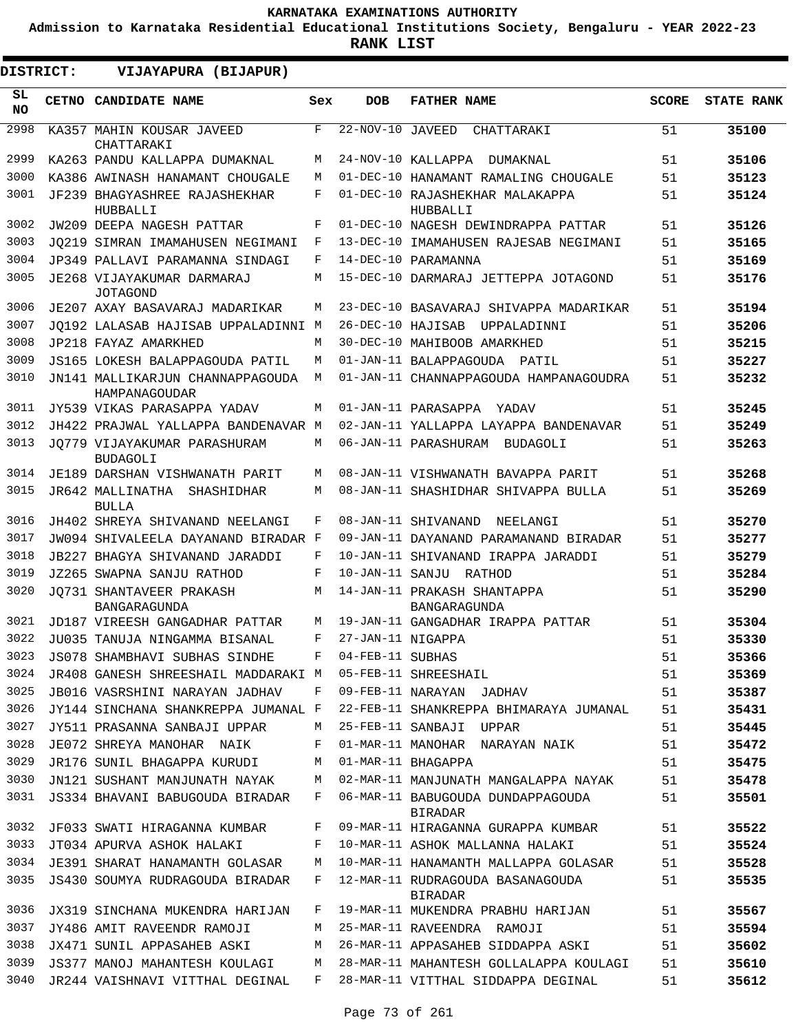**Admission to Karnataka Residential Educational Institutions Society, Bengaluru - YEAR 2022-23**

**RANK LIST**

 $\blacksquare$ 

| DISTRICT:  | VIJAYAPURA (BIJAPUR)                              |     |                               |                                                    |              |                   |
|------------|---------------------------------------------------|-----|-------------------------------|----------------------------------------------------|--------------|-------------------|
| SL.<br>NO. | CETNO CANDIDATE NAME                              | Sex | <b>DOB</b>                    | <b>FATHER NAME</b>                                 | <b>SCORE</b> | <b>STATE RANK</b> |
| 2998       | KA357 MAHIN KOUSAR JAVEED<br>CHATTARAKI           | F   | $\overline{22-NOV}-10$ JAVEED | CHATTARAKI                                         | 51           | 35100             |
| 2999       | KA263 PANDU KALLAPPA DUMAKNAL                     | M   |                               | 24-NOV-10 KALLAPPA<br>DUMAKNAL                     | 51           | 35106             |
| 3000       | KA386 AWINASH HANAMANT CHOUGALE                   | М   |                               | 01-DEC-10 HANAMANT RAMALING CHOUGALE               | 51           | 35123             |
| 3001       | JF239 BHAGYASHREE RAJASHEKHAR<br>HUBBALLI         | F   |                               | 01-DEC-10 RAJASHEKHAR MALAKAPPA<br>HUBBALLI        | 51           | 35124             |
| 3002       | JW209 DEEPA NAGESH PATTAR                         | F   |                               | 01-DEC-10 NAGESH DEWINDRAPPA PATTAR                | 51           | 35126             |
| 3003       | JO219 SIMRAN IMAMAHUSEN NEGIMANI                  | F   |                               | 13-DEC-10 IMAMAHUSEN RAJESAB NEGIMANI              | 51           | 35165             |
| 3004       | JP349 PALLAVI PARAMANNA SINDAGI                   | F   |                               | 14-DEC-10 PARAMANNA                                | 51           | 35169             |
| 3005       | JE268 VIJAYAKUMAR DARMARAJ<br><b>JOTAGOND</b>     | M   |                               | 15-DEC-10 DARMARAJ JETTEPPA JOTAGOND               | 51           | 35176             |
| 3006       | JE207 AXAY BASAVARAJ MADARIKAR                    | М   |                               | 23-DEC-10 BASAVARAJ SHIVAPPA MADARIKAR             | 51           | 35194             |
| 3007       | JO192 LALASAB HAJISAB UPPALADINNI M               |     | 26-DEC-10 HAJISAB             | UPPALADINNI                                        | 51           | 35206             |
| 3008       | JP218 FAYAZ AMARKHED                              | М   |                               | 30-DEC-10 MAHIBOOB AMARKHED                        | 51           | 35215             |
| 3009       | JS165 LOKESH BALAPPAGOUDA PATIL                   | М   |                               | 01-JAN-11 BALAPPAGOUDA PATIL                       | 51           | 35227             |
| 3010       | JN141 MALLIKARJUN CHANNAPPAGOUDA<br>HAMPANAGOUDAR | М   |                               | 01-JAN-11 CHANNAPPAGOUDA HAMPANAGOUDRA             | 51           | 35232             |
| 3011       | JY539 VIKAS PARASAPPA YADAV                       | М   |                               | 01-JAN-11 PARASAPPA<br>YADAV                       | 51           | 35245             |
| 3012       | JH422 PRAJWAL YALLAPPA BANDENAVAR M               |     |                               | 02-JAN-11 YALLAPPA LAYAPPA BANDENAVAR              | 51           | 35249             |
| 3013       | JO779 VIJAYAKUMAR PARASHURAM<br><b>BUDAGOLI</b>   | M   |                               | 06-JAN-11 PARASHURAM<br>BUDAGOLI                   | 51           | 35263             |
| 3014       | JE189 DARSHAN VISHWANATH PARIT                    | M   |                               | 08-JAN-11 VISHWANATH BAVAPPA PARIT                 | 51           | 35268             |
| 3015       | JR642 MALLINATHA<br>SHASHIDHAR<br><b>BULLA</b>    | М   |                               | 08-JAN-11 SHASHIDHAR SHIVAPPA BULLA                | 51           | 35269             |
| 3016       | JH402 SHREYA SHIVANAND NEELANGI                   | F   |                               | 08-JAN-11 SHIVANAND<br>NEELANGI                    | 51           | 35270             |
| 3017       | JW094 SHIVALEELA DAYANAND BIRADAR F               |     |                               | 09-JAN-11 DAYANAND PARAMANAND BIRADAR              | 51           | 35277             |
| 3018       | JB227 BHAGYA SHIVANAND JARADDI                    | F   |                               | 10-JAN-11 SHIVANAND IRAPPA JARADDI                 | 51           | 35279             |
| 3019       | JZ265 SWAPNA SANJU RATHOD                         | F   |                               | 10-JAN-11 SANJU RATHOD                             | 51           | 35284             |
| 3020       | JO731 SHANTAVEER PRAKASH<br><b>BANGARAGUNDA</b>   | М   |                               | 14-JAN-11 PRAKASH SHANTAPPA<br><b>BANGARAGUNDA</b> | 51           | 35290             |
| 3021       | JD187 VIREESH GANGADHAR PATTAR                    | М   |                               | 19-JAN-11 GANGADHAR IRAPPA PATTAR                  | 51           | 35304             |
| 3022       | JU035 TANUJA NINGAMMA BISANAL                     | F   | 27-JAN-11 NIGAPPA             |                                                    | 51           | 35330             |
| 3023       | JS078 SHAMBHAVI SUBHAS SINDHE                     | F   | 04-FEB-11 SUBHAS              |                                                    | 51           | 35366             |
| 3024       | JR408 GANESH SHREESHAIL MADDARAKI M               |     |                               | 05-FEB-11 SHREESHAIL                               | 51           | 35369             |
| 3025       | JB016 VASRSHINI NARAYAN JADHAV                    | F   |                               | 09-FEB-11 NARAYAN JADHAV                           | 51           | 35387             |
| 3026       | JY144 SINCHANA SHANKREPPA JUMANAL F               |     |                               | 22-FEB-11 SHANKREPPA BHIMARAYA JUMANAL             | 51           | 35431             |
| 3027       | JY511 PRASANNA SANBAJI UPPAR                      | M   |                               | 25-FEB-11 SANBAJI UPPAR                            | 51           | 35445             |
| 3028       | JE072 SHREYA MANOHAR NAIK                         | F   |                               | 01-MAR-11 MANOHAR NARAYAN NAIK                     | 51           | 35472             |
| 3029       | JR176 SUNIL BHAGAPPA KURUDI                       | М   |                               | 01-MAR-11 BHAGAPPA                                 | 51           | 35475             |
| 3030       | JN121 SUSHANT MANJUNATH NAYAK                     | М   |                               | 02-MAR-11 MANJUNATH MANGALAPPA NAYAK               | 51           | 35478             |
| 3031       | JS334 BHAVANI BABUGOUDA BIRADAR                   | F   |                               | 06-MAR-11 BABUGOUDA DUNDAPPAGOUDA<br>BIRADAR       | 51           | 35501             |
| 3032       | JF033 SWATI HIRAGANNA KUMBAR                      | F   |                               | 09-MAR-11 HIRAGANNA GURAPPA KUMBAR                 | 51           | 35522             |
| 3033       | JT034 APURVA ASHOK HALAKI                         | F   |                               | 10-MAR-11 ASHOK MALLANNA HALAKI                    | 51           | 35524             |
| 3034       | JE391 SHARAT HANAMANTH GOLASAR                    | M   |                               | 10-MAR-11 HANAMANTH MALLAPPA GOLASAR               | 51           | 35528             |
| 3035       | JS430 SOUMYA RUDRAGOUDA BIRADAR                   | F   |                               | 12-MAR-11 RUDRAGOUDA BASANAGOUDA<br>BIRADAR        | 51           | 35535             |
| 3036       | JX319 SINCHANA MUKENDRA HARIJAN                   | F   |                               | 19-MAR-11 MUKENDRA PRABHU HARIJAN                  | 51           | 35567             |
| 3037       | JY486 AMIT RAVEENDR RAMOJI                        | M   |                               | 25-MAR-11 RAVEENDRA RAMOJI                         | 51           | 35594             |
| 3038       | JX471 SUNIL APPASAHEB ASKI                        | М   |                               | 26-MAR-11 APPASAHEB SIDDAPPA ASKI                  | 51           | 35602             |
| 3039       | JS377 MANOJ MAHANTESH KOULAGI                     | M   |                               | 28-MAR-11 MAHANTESH GOLLALAPPA KOULAGI             | 51           | 35610             |
| 3040       | JR244 VAISHNAVI VITTHAL DEGINAL                   | F   |                               | 28-MAR-11 VITTHAL SIDDAPPA DEGINAL                 | 51           | 35612             |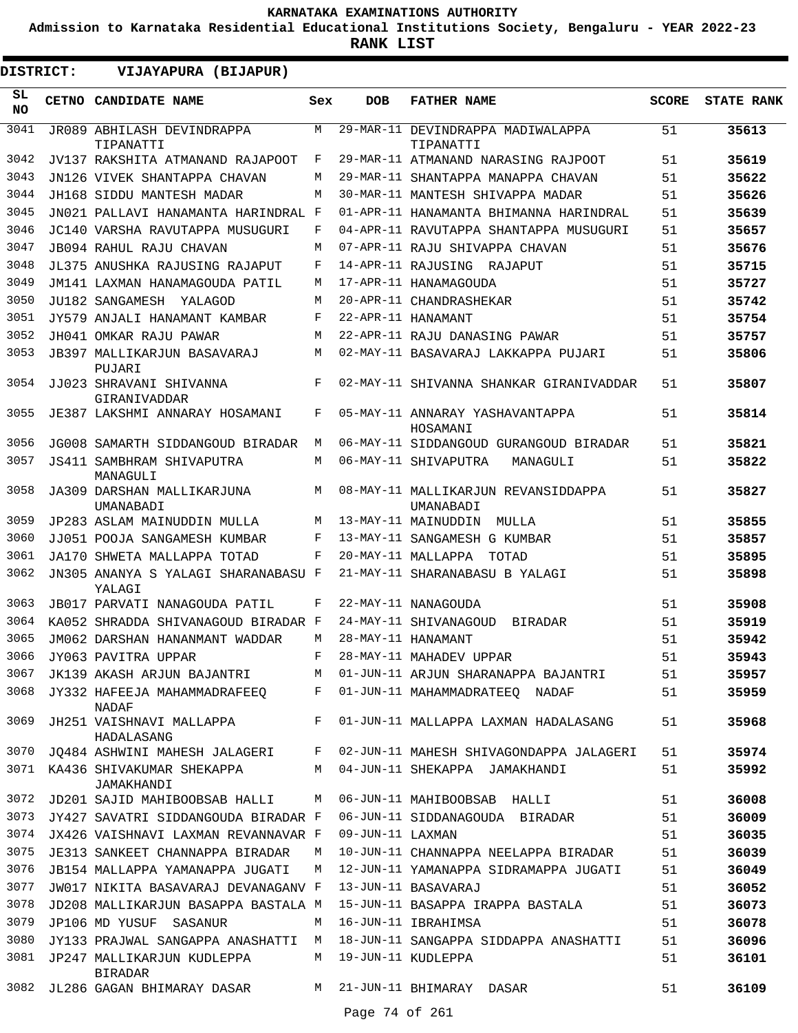**Admission to Karnataka Residential Educational Institutions Society, Bengaluru - YEAR 2022-23**

| <b>DISTRICT:</b> | VIJAYAPURA (BIJAPUR)                          |     |                    |                                                  |              |                   |
|------------------|-----------------------------------------------|-----|--------------------|--------------------------------------------------|--------------|-------------------|
| SL.<br><b>NO</b> | CETNO CANDIDATE NAME                          | Sex | <b>DOB</b>         | <b>FATHER NAME</b>                               | <b>SCORE</b> | <b>STATE RANK</b> |
| 3041             | JR089 ABHILASH DEVINDRAPPA<br>TIPANATTI       | M   |                    | 29-MAR-11 DEVINDRAPPA MADIWALAPPA<br>TIPANATTI   | 51           | 35613             |
| 3042             | JV137 RAKSHITA ATMANAND RAJAPOOT              | F   |                    | 29-MAR-11 ATMANAND NARASING RAJPOOT              | 51           | 35619             |
| 3043             | JN126 VIVEK SHANTAPPA CHAVAN                  | М   |                    | 29-MAR-11 SHANTAPPA MANAPPA CHAVAN               | 51           | 35622             |
| 3044             | JH168 SIDDU MANTESH MADAR                     | М   |                    | 30-MAR-11 MANTESH SHIVAPPA MADAR                 | 51           | 35626             |
| 3045             | JN021 PALLAVI HANAMANTA HARINDRAL F           |     |                    | 01-APR-11 HANAMANTA BHIMANNA HARINDRAL           | 51           | 35639             |
| 3046             | JC140 VARSHA RAVUTAPPA MUSUGURI               | F   |                    | 04-APR-11 RAVUTAPPA SHANTAPPA MUSUGURI           | 51           | 35657             |
| 3047             | JB094 RAHUL RAJU CHAVAN                       | М   |                    | 07-APR-11 RAJU SHIVAPPA CHAVAN                   | 51           | 35676             |
| 3048             | JL375 ANUSHKA RAJUSING RAJAPUT                | F   |                    | 14-APR-11 RAJUSING<br>RAJAPUT                    | 51           | 35715             |
| 3049             | JM141 LAXMAN HANAMAGOUDA PATIL                | М   |                    | 17-APR-11 HANAMAGOUDA                            | 51           | 35727             |
| 3050             | JU182 SANGAMESH YALAGOD                       | М   |                    | 20-APR-11 CHANDRASHEKAR                          | 51           | 35742             |
| 3051             | JY579 ANJALI HANAMANT KAMBAR                  | F   |                    | 22-APR-11 HANAMANT                               | 51           | 35754             |
| 3052             | JH041 OMKAR RAJU PAWAR                        | М   |                    | 22-APR-11 RAJU DANASING PAWAR                    | 51           | 35757             |
| 3053             | JB397 MALLIKARJUN BASAVARAJ<br>PUJARI         | М   |                    | 02-MAY-11 BASAVARAJ LAKKAPPA PUJARI              | 51           | 35806             |
| 3054             | JJ023 SHRAVANI SHIVANNA<br>GIRANIVADDAR       | F   |                    | 02-MAY-11 SHIVANNA SHANKAR GIRANIVADDAR          | 51           | 35807             |
| 3055             | JE387 LAKSHMI ANNARAY HOSAMANI                | F   |                    | 05-MAY-11 ANNARAY YASHAVANTAPPA<br>HOSAMANI      | 51           | 35814             |
| 3056             | JG008 SAMARTH SIDDANGOUD BIRADAR              | М   |                    | 06-MAY-11 SIDDANGOUD GURANGOUD BIRADAR           | 51           | 35821             |
| 3057             | JS411 SAMBHRAM SHIVAPUTRA<br>MANAGULI         | M   |                    | 06-MAY-11 SHIVAPUTRA<br>MANAGULI                 | 51           | 35822             |
| 3058             | JA309 DARSHAN MALLIKARJUNA<br>UMANABADI       | М   |                    | 08-MAY-11 MALLIKARJUN REVANSIDDAPPA<br>UMANABADI | 51           | 35827             |
| 3059             | JP283 ASLAM MAINUDDIN MULLA                   | М   |                    | 13-MAY-11 MAINUDDIN<br>MULLA                     | 51           | 35855             |
| 3060             | JJ051 POOJA SANGAMESH KUMBAR                  | F   |                    | 13-MAY-11 SANGAMESH G KUMBAR                     | 51           | 35857             |
| 3061             | JA170 SHWETA MALLAPPA TOTAD                   | F   |                    | 20-MAY-11 MALLAPPA<br>TOTAD                      | 51           | 35895             |
| 3062             | JN305 ANANYA S YALAGI SHARANABASU F<br>YALAGI |     |                    | 21-MAY-11 SHARANABASU B YALAGI                   | 51           | 35898             |
| 3063             | JB017 PARVATI NANAGOUDA PATIL                 | F   |                    | 22-MAY-11 NANAGOUDA                              | 51           | 35908             |
| 3064             | KA052 SHRADDA SHIVANAGOUD BIRADAR F           |     |                    | 24-MAY-11 SHIVANAGOUD<br><b>BIRADAR</b>          | 51           | 35919             |
| 3065             | JM062 DARSHAN HANANMANT WADDAR                | М   |                    | 28-MAY-11 HANAMANT                               | 51           | 35942             |
| 3066             | JY063 PAVITRA UPPAR                           | F   |                    | 28-MAY-11 MAHADEV UPPAR                          | 51           | 35943             |
| 3067             | JK139 AKASH ARJUN BAJANTRI                    | М   |                    | 01-JUN-11 ARJUN SHARANAPPA BAJANTRI              | 51           | 35957             |
| 3068             | JY332 HAFEEJA MAHAMMADRAFEEO<br><b>NADAF</b>  | F   |                    | 01-JUN-11 MAHAMMADRATEEQ NADAF                   | 51           | 35959             |
| 3069             | JH251 VAISHNAVI MALLAPPA<br>HADALASANG        | F   |                    | 01-JUN-11 MALLAPPA LAXMAN HADALASANG             | 51           | 35968             |
| 3070             | JQ484 ASHWINI MAHESH JALAGERI                 | F   |                    | 02-JUN-11 MAHESH SHIVAGONDAPPA JALAGERI          | 51           | 35974             |
|                  | 3071 KA436 SHIVAKUMAR SHEKAPPA<br>JAMAKHANDI  | М   |                    | 04-JUN-11 SHEKAPPA JAMAKHANDI                    | 51           | 35992             |
| 3072             | JD201 SAJID MAHIBOOBSAB HALLI                 | М   |                    | 06-JUN-11 MAHIBOOBSAB HALLI                      | 51           | 36008             |
| 3073             | JY427 SAVATRI SIDDANGOUDA BIRADAR F           |     |                    | 06-JUN-11 SIDDANAGOUDA BIRADAR                   | 51           | 36009             |
| 3074             | JX426 VAISHNAVI LAXMAN REVANNAVAR F           |     | 09-JUN-11 LAXMAN   |                                                  | 51           | 36035             |
| 3075             | JE313 SANKEET CHANNAPPA BIRADAR               | M   |                    | 10-JUN-11 CHANNAPPA NEELAPPA BIRADAR             | 51           | 36039             |
| 3076             | JB154 MALLAPPA YAMANAPPA JUGATI               | М   |                    | 12-JUN-11 YAMANAPPA SIDRAMAPPA JUGATI            | 51           | 36049             |
| 3077             | JW017 NIKITA BASAVARAJ DEVANAGANV F           |     |                    | 13-JUN-11 BASAVARAJ                              | 51           | 36052             |
| 3078             | JD208 MALLIKARJUN BASAPPA BASTALA M           |     |                    | 15-JUN-11 BASAPPA IRAPPA BASTALA                 | 51           | 36073             |
| 3079             | JP106 MD YUSUF SASANUR                        | М   |                    | 16-JUN-11 IBRAHIMSA                              | 51           | 36078             |
| 3080             | JY133 PRAJWAL SANGAPPA ANASHATTI M            |     |                    | 18-JUN-11 SANGAPPA SIDDAPPA ANASHATTI            | 51           | 36096             |
| 3081             | JP247 MALLIKARJUN KUDLEPPA<br><b>BIRADAR</b>  | М   | 19-JUN-11 KUDLEPPA |                                                  | 51           | 36101             |
|                  | 3082 JL286 GAGAN BHIMARAY DASAR               | M   |                    | 21-JUN-11 BHIMARAY DASAR                         | 51           | 36109             |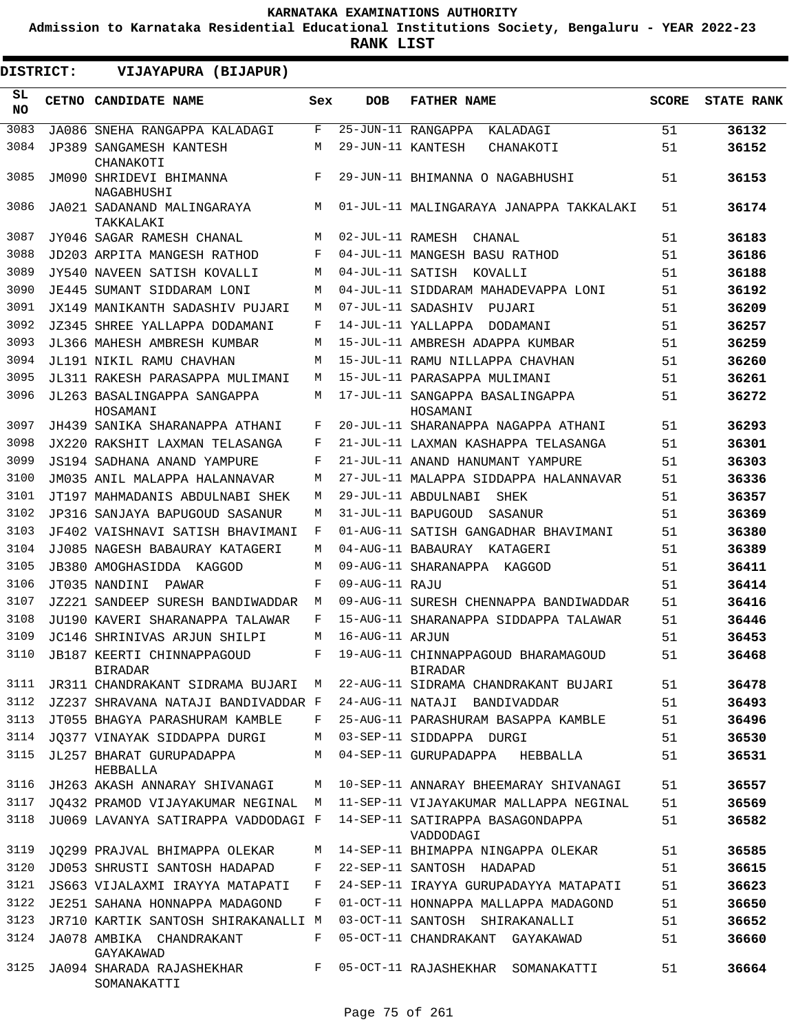**Admission to Karnataka Residential Educational Institutions Society, Bengaluru - YEAR 2022-23**

| DISTRICT:       |  | VIJAYAPURA (BIJAPUR)                                |     |                   |                                                       |              |                   |
|-----------------|--|-----------------------------------------------------|-----|-------------------|-------------------------------------------------------|--------------|-------------------|
| SL<br><b>NO</b> |  | CETNO CANDIDATE NAME                                | Sex | <b>DOB</b>        | <b>FATHER NAME</b>                                    | <b>SCORE</b> | <b>STATE RANK</b> |
| 3083            |  | JA086 SNEHA RANGAPPA KALADAGI                       | F   |                   | 25-JUN-11 RANGAPPA<br>KALADAGI                        | 51           | 36132             |
| 3084            |  | JP389 SANGAMESH KANTESH<br>CHANAKOTI                | М   | 29-JUN-11 KANTESH | CHANAKOTI                                             | 51           | 36152             |
| 3085            |  | JM090 SHRIDEVI BHIMANNA<br>NAGABHUSHI               | F   |                   | 29-JUN-11 BHIMANNA O NAGABHUSHI                       | 51           | 36153             |
| 3086            |  | JA021 SADANAND MALINGARAYA<br>TAKKALAKI             | M   |                   | 01-JUL-11 MALINGARAYA JANAPPA TAKKALAKI               | 51           | 36174             |
| 3087            |  | JY046 SAGAR RAMESH CHANAL                           | М   | 02-JUL-11 RAMESH  | CHANAL                                                | 51           | 36183             |
| 3088            |  | JD203 ARPITA MANGESH RATHOD                         | F   |                   | 04-JUL-11 MANGESH BASU RATHOD                         | 51           | 36186             |
| 3089            |  | JY540 NAVEEN SATISH KOVALLI                         | M   |                   | 04-JUL-11 SATISH KOVALLI                              | 51           | 36188             |
| 3090            |  | JE445 SUMANT SIDDARAM LONI                          | М   |                   | 04-JUL-11 SIDDARAM MAHADEVAPPA LONI                   | 51           | 36192             |
| 3091            |  | JX149 MANIKANTH SADASHIV PUJARI                     | М   |                   | 07-JUL-11 SADASHIV<br>PUJARI                          | 51           | 36209             |
| 3092            |  | JZ345 SHREE YALLAPPA DODAMANI                       | F   |                   | 14-JUL-11 YALLAPPA<br>DODAMANI                        | 51           | 36257             |
| 3093            |  | JL366 MAHESH AMBRESH KUMBAR                         | М   |                   | 15-JUL-11 AMBRESH ADAPPA KUMBAR                       | 51           | 36259             |
| 3094            |  | JL191 NIKIL RAMU CHAVHAN                            | М   |                   | 15-JUL-11 RAMU NILLAPPA CHAVHAN                       | 51           | 36260             |
| 3095            |  | JL311 RAKESH PARASAPPA MULIMANI                     | M   |                   | 15-JUL-11 PARASAPPA MULIMANI                          | 51           | 36261             |
| 3096            |  | JL263 BASALINGAPPA SANGAPPA<br>HOSAMANI             | М   |                   | 17-JUL-11 SANGAPPA BASALINGAPPA<br>HOSAMANI           | 51           | 36272             |
| 3097            |  | JH439 SANIKA SHARANAPPA ATHANI                      | F   |                   | 20-JUL-11 SHARANAPPA NAGAPPA ATHANI                   | 51           | 36293             |
| 3098            |  | JX220 RAKSHIT LAXMAN TELASANGA                      | F   |                   | 21-JUL-11 LAXMAN KASHAPPA TELASANGA                   | 51           | 36301             |
| 3099            |  | JS194 SADHANA ANAND YAMPURE                         | F   |                   | 21-JUL-11 ANAND HANUMANT YAMPURE                      | 51           | 36303             |
| 3100            |  | JM035 ANIL MALAPPA HALANNAVAR                       | М   |                   | 27-JUL-11 MALAPPA SIDDAPPA HALANNAVAR                 | 51           | 36336             |
| 3101            |  | JT197 MAHMADANIS ABDULNABI SHEK                     | М   |                   | 29-JUL-11 ABDULNABI<br>SHEK                           | 51           | 36357             |
| 3102            |  | JP316 SANJAYA BAPUGOUD SASANUR                      | М   |                   | 31-JUL-11 BAPUGOUD<br>SASANUR                         | 51           | 36369             |
| 3103            |  | JF402 VAISHNAVI SATISH BHAVIMANI                    | F   |                   | 01-AUG-11 SATISH GANGADHAR BHAVIMANI                  | 51           | 36380             |
| 3104            |  | JJ085 NAGESH BABAURAY KATAGERI                      | M   |                   | 04-AUG-11 BABAURAY KATAGERI                           | 51           | 36389             |
| 3105            |  | JB380 AMOGHASIDDA KAGGOD                            | М   |                   | 09-AUG-11 SHARANAPPA KAGGOD                           | 51           | 36411             |
| 3106            |  | JT035 NANDINI<br>PAWAR                              | F   | 09-AUG-11 RAJU    |                                                       | 51           | 36414             |
| 3107            |  | JZ221 SANDEEP SURESH BANDIWADDAR                    | М   |                   | 09-AUG-11 SURESH CHENNAPPA BANDIWADDAR                | 51           | 36416             |
| 3108            |  | JU190 KAVERI SHARANAPPA TALAWAR                     | F   |                   | 15-AUG-11 SHARANAPPA SIDDAPPA TALAWAR                 | 51           | 36446             |
| 3109            |  | JC146 SHRINIVAS ARJUN SHILPI                        | М   | 16-AUG-11 ARJUN   |                                                       | 51           | 36453             |
| 3110            |  | <b>JB187 KEERTI CHINNAPPAGOUD</b><br><b>BIRADAR</b> | F   |                   | 19-AUG-11 CHINNAPPAGOUD BHARAMAGOUD<br><b>BIRADAR</b> | 51           | 36468             |
| 3111            |  | JR311 CHANDRAKANT SIDRAMA BUJARI                    | М   |                   | 22-AUG-11 SIDRAMA CHANDRAKANT BUJARI                  | 51           | 36478             |
| 3112            |  | JZ237 SHRAVANA NATAJI BANDIVADDAR F                 |     |                   | 24-AUG-11 NATAJI BANDIVADDAR                          | 51           | 36493             |
| 3113            |  | JT055 BHAGYA PARASHURAM KAMBLE                      | F   |                   | 25-AUG-11 PARASHURAM BASAPPA KAMBLE                   | 51           | 36496             |
| 3114            |  | JO377 VINAYAK SIDDAPPA DURGI                        | М   |                   | 03-SEP-11 SIDDAPPA DURGI                              | 51           | 36530             |
| 3115            |  | JL257 BHARAT GURUPADAPPA<br>HEBBALLA                | М   |                   | 04-SEP-11 GURUPADAPPA<br>HEBBALLA                     | 51           | 36531             |
| 3116            |  | JH263 AKASH ANNARAY SHIVANAGI                       | М   |                   | 10-SEP-11 ANNARAY BHEEMARAY SHIVANAGI                 | 51           | 36557             |
| 3117            |  | JO432 PRAMOD VIJAYAKUMAR NEGINAL                    | M   |                   | 11-SEP-11 VIJAYAKUMAR MALLAPPA NEGINAL                | 51           | 36569             |
| 3118            |  | JU069 LAVANYA SATIRAPPA VADDODAGI F                 |     |                   | 14-SEP-11 SATIRAPPA BASAGONDAPPA<br>VADDODAGI         | 51           | 36582             |
| 3119            |  | JO299 PRAJVAL BHIMAPPA OLEKAR                       | М   |                   | 14-SEP-11 BHIMAPPA NINGAPPA OLEKAR                    | 51           | 36585             |
| 3120            |  | JD053 SHRUSTI SANTOSH HADAPAD                       | F   |                   | 22-SEP-11 SANTOSH HADAPAD                             | 51           | 36615             |
| 3121            |  | JS663 VIJALAXMI IRAYYA MATAPATI                     | F   |                   | 24-SEP-11 IRAYYA GURUPADAYYA MATAPATI                 | 51           | 36623             |
| 3122            |  | JE251 SAHANA HONNAPPA MADAGOND                      | F   |                   | 01-OCT-11 HONNAPPA MALLAPPA MADAGOND                  | 51           | 36650             |
| 3123            |  | JR710 KARTIK SANTOSH SHIRAKANALLI M                 |     |                   | 03-OCT-11 SANTOSH SHIRAKANALLI                        | 51           | 36652             |
| 3124            |  | JA078 AMBIKA CHANDRAKANT<br>GAYAKAWAD               | F   |                   | 05-OCT-11 CHANDRAKANT GAYAKAWAD                       | 51           | 36660             |
| 3125            |  | JA094 SHARADA RAJASHEKHAR<br>SOMANAKATTI            | F   |                   | 05-OCT-11 RAJASHEKHAR SOMANAKATTI                     | 51           | 36664             |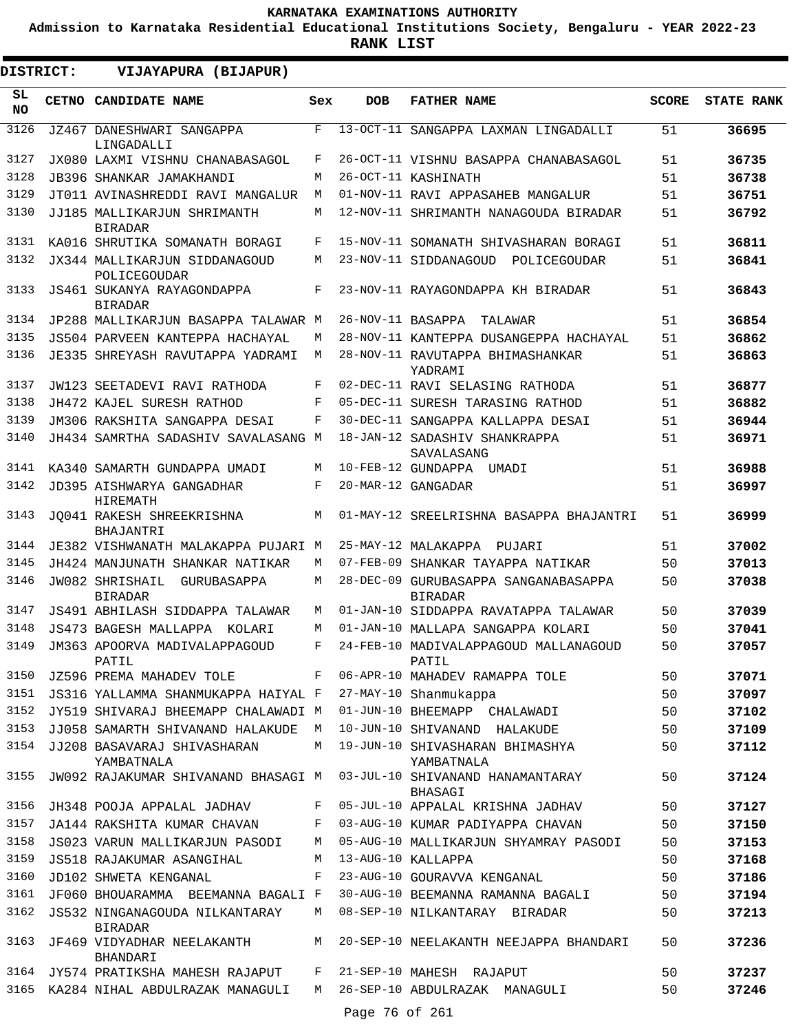**Admission to Karnataka Residential Educational Institutions Society, Bengaluru - YEAR 2022-23**

**RANK LIST**

.

 $\blacksquare$ 

| DISTRICT:       |  | VIJAYAPURA (BIJAPUR)                                           |              |                |                                                                                                                         |              |                   |
|-----------------|--|----------------------------------------------------------------|--------------|----------------|-------------------------------------------------------------------------------------------------------------------------|--------------|-------------------|
| SL<br><b>NO</b> |  | CETNO CANDIDATE NAME                                           | Sex          | <b>DOB</b>     | <b>FATHER NAME</b>                                                                                                      | <b>SCORE</b> | <b>STATE RANK</b> |
| 3126            |  | JZ467 DANESHWARI SANGAPPA<br>LINGADALLI                        | $\mathbf{F}$ |                | 13-OCT-11 SANGAPPA LAXMAN LINGADALLI                                                                                    | 51           | 36695             |
| 3127            |  | JX080 LAXMI VISHNU CHANABASAGOL                                | F            |                | 26-OCT-11 VISHNU BASAPPA CHANABASAGOL                                                                                   | 51           | 36735             |
| 3128            |  | JB396 SHANKAR JAMAKHANDI                                       | M            |                | 26-OCT-11 KASHINATH                                                                                                     | 51           | 36738             |
| 3129            |  | JT011 AVINASHREDDI RAVI MANGALUR                               | M            |                | 01-NOV-11 RAVI APPASAHEB MANGALUR                                                                                       | 51           | 36751             |
| 3130            |  | JJ185 MALLIKARJUN SHRIMANTH<br><b>BIRADAR</b>                  | M            |                | 12-NOV-11 SHRIMANTH NANAGOUDA BIRADAR                                                                                   | 51           | 36792             |
| 3131            |  | KA016 SHRUTIKA SOMANATH BORAGI                                 | F            |                | 15-NOV-11 SOMANATH SHIVASHARAN BORAGI                                                                                   | 51           | 36811             |
| 3132            |  | JX344 MALLIKARJUN SIDDANAGOUD<br>POLICEGOUDAR                  | М            |                | 23-NOV-11 SIDDANAGOUD<br>POLICEGOUDAR                                                                                   | 51           | 36841             |
| 3133            |  | JS461 SUKANYA RAYAGONDAPPA<br><b>BIRADAR</b>                   | F            |                | 23-NOV-11 RAYAGONDAPPA KH BIRADAR                                                                                       | 51           | 36843             |
| 3134            |  | JP288 MALLIKARJUN BASAPPA TALAWAR M                            |              |                | 26-NOV-11 BASAPPA<br>TALAWAR                                                                                            | 51           | 36854             |
| 3135            |  | JS504 PARVEEN KANTEPPA HACHAYAL                                | М            |                | 28-NOV-11 KANTEPPA DUSANGEPPA HACHAYAL                                                                                  | 51           | 36862             |
| 3136            |  | JE335 SHREYASH RAVUTAPPA YADRAMI                               | М            |                | 28-NOV-11 RAVUTAPPA BHIMASHANKAR<br>YADRAMI                                                                             | 51           | 36863             |
| 3137            |  | JW123 SEETADEVI RAVI RATHODA                                   | F            |                | 02-DEC-11 RAVI SELASING RATHODA                                                                                         | 51           | 36877             |
| 3138            |  | JH472 KAJEL SURESH RATHOD                                      | F            |                | 05-DEC-11 SURESH TARASING RATHOD                                                                                        | 51           | 36882             |
| 3139            |  | JM306 RAKSHITA SANGAPPA DESAI                                  | F            |                | 30-DEC-11 SANGAPPA KALLAPPA DESAI                                                                                       | 51           | 36944             |
| 3140            |  | JH434 SAMRTHA SADASHIV SAVALASANG M                            |              |                | 18-JAN-12 SADASHIV SHANKRAPPA<br>SAVALASANG                                                                             | 51           | 36971             |
| 3141            |  | KA340 SAMARTH GUNDAPPA UMADI                                   | М            |                | 10-FEB-12 GUNDAPPA UMADI                                                                                                | 51           | 36988             |
| 3142            |  | JD395 AISHWARYA GANGADHAR<br>HIREMATH                          | F            |                | 20-MAR-12 GANGADAR                                                                                                      | 51           | 36997             |
| 3143            |  | JO041 RAKESH SHREEKRISHNA<br>BHAJANTRI                         | M            |                | 01-MAY-12 SREELRISHNA BASAPPA BHAJANTRI                                                                                 | 51           | 36999             |
| 3144            |  | JE382 VISHWANATH MALAKAPPA PUJARI M                            |              |                | 25-MAY-12 MALAKAPPA PUJARI                                                                                              | 51           | 37002             |
| 3145            |  | JH424 MANJUNATH SHANKAR NATIKAR                                | М            |                | 07-FEB-09 SHANKAR TAYAPPA NATIKAR                                                                                       | 50           | 37013             |
| 3146            |  | JW082 SHRISHAIL GURUBASAPPA<br><b>BIRADAR</b>                  | М            |                | 28-DEC-09 GURUBASAPPA SANGANABASAPPA<br>BIRADAR                                                                         | 50           | 37038             |
| 3147            |  | JS491 ABHILASH SIDDAPPA TALAWAR                                | M            |                | 01-JAN-10 SIDDAPPA RAVATAPPA TALAWAR                                                                                    | 50           | 37039             |
| 3148            |  | JS473 BAGESH MALLAPPA KOLARI                                   | М            |                | 01-JAN-10 MALLAPA SANGAPPA KOLARI                                                                                       | 50           | 37041             |
| 3149            |  | JM363 APOORVA MADIVALAPPAGOUD<br>PATIL                         | F            |                | 24-FEB-10 MADIVALAPPAGOUD MALLANAGOUD<br>PATIL                                                                          | 50           | 37057             |
| 3150            |  |                                                                |              |                | JZ596 PREMA MAHADEV TOLE F 06-APR-10 MAHADEV RAMAPPA TOLE                                                               | 50           | 37071             |
| 3151            |  | JS316 YALLAMMA SHANMUKAPPA HAIYAL F 27-MAY-10 Shanmukappa      |              |                |                                                                                                                         | 50           | 37097             |
| 3152            |  | JY519 SHIVARAJ BHEEMAPP CHALAWADI M                            |              |                | 01-JUN-10 BHEEMAPP CHALAWADI                                                                                            | 50           | 37102             |
| 3153<br>3154    |  | JJ058 SAMARTH SHIVANAND HALAKUDE M                             |              |                | 10-JUN-10 SHIVANAND HALAKUDE                                                                                            | 50           | 37109             |
| 3155            |  | JJ208 BASAVARAJ SHIVASHARAN<br>YAMBATNALA                      |              |                | M 19-JUN-10 SHIVASHARAN BHIMASHYA<br>YAMBATNALA<br>JW092 RAJAKUMAR SHIVANAND BHASAGI M 03-JUL-10 SHIVANAND HANAMANTARAY | 50<br>50     | 37112<br>37124    |
|                 |  |                                                                |              |                | BHASAGI                                                                                                                 |              |                   |
|                 |  |                                                                |              |                | 3156 JH348 POOJA APPALAL JADHAV F 05-JUL-10 APPALAL KRISHNA JADHAV                                                      | 50           | 37127             |
| 3157            |  |                                                                |              |                | JA144 RAKSHITA KUMAR CHAVAN F 03-AUG-10 KUMAR PADIYAPPA CHAVAN                                                          | 50           | 37150             |
| 3158            |  |                                                                |              |                | JS023 VARUN MALLIKARJUN PASODI     M   05-AUG-10 MALLIKARJUN SHYAMRAY PASODI                                            | 50           | 37153             |
| 3159            |  | JS518 RAJAKUMAR ASANGIHAL M                                    |              |                | 13-AUG-10 KALLAPPA                                                                                                      | 50           | 37168             |
| 3160            |  | JD102 SHWETA KENGANAL                                          |              |                | F 23-AUG-10 GOURAVVA KENGANAL                                                                                           | 50           | 37186             |
| 3161            |  |                                                                |              |                | JF060 BHOUARAMMA BEEMANNA BAGALI F 30-AUG-10 BEEMANNA RAMANNA BAGALI                                                    | 50           | 37194             |
| 3162            |  | JS532 NINGANAGOUDA NILKANTARAY<br>BIRADAR                      |              |                | M 08-SEP-10 NILKANTARAY BIRADAR                                                                                         | 50           | 37213             |
|                 |  | BHANDARI                                                       |              |                | 3163 JF469 VIDYADHAR NEELAKANTH MAN 20-SEP-10 NEELAKANTH NEEJAPPA BHANDARI                                              | 50           | 37236             |
|                 |  | 3164 JY574 PRATIKSHA MAHESH RAJAPUT F 21-SEP-10 MAHESH RAJAPUT |              |                |                                                                                                                         | 50           | 37237             |
|                 |  |                                                                |              | Page 76 of 261 | 3165 KA284 NIHAL ABDULRAZAK MANAGULI   M   26-SEP-10 ABDULRAZAK  MANAGULI                                               | 50           | 37246             |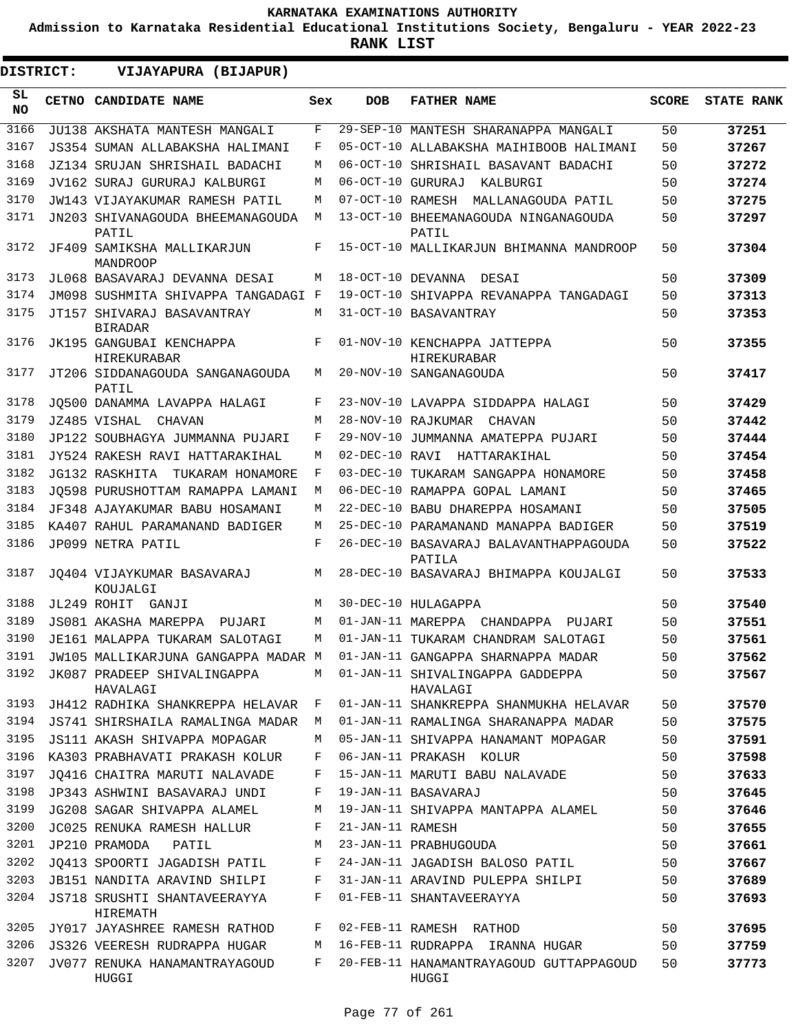**Admission to Karnataka Residential Educational Institutions Society, Bengaluru - YEAR 2022-23**

| DISTRICT:       | VIJAYAPURA (BIJAPUR)                           |     |                   |                                                    |              |                   |
|-----------------|------------------------------------------------|-----|-------------------|----------------------------------------------------|--------------|-------------------|
| SL<br><b>NO</b> | CETNO CANDIDATE NAME                           | Sex | <b>DOB</b>        | <b>FATHER NAME</b>                                 | <b>SCORE</b> | <b>STATE RANK</b> |
| 3166            | JU138 AKSHATA MANTESH MANGALI                  | F   |                   | 29-SEP-10 MANTESH SHARANAPPA MANGALI               | 50           | 37251             |
| 3167            | JS354 SUMAN ALLABAKSHA HALIMANI                | F   |                   | 05-OCT-10 ALLABAKSHA MAIHIBOOB HALIMANI            | 50           | 37267             |
| 3168            | JZ134 SRUJAN SHRISHAIL BADACHI                 | М   |                   | 06-OCT-10 SHRISHAIL BASAVANT BADACHI               | 50           | 37272             |
| 3169            | JV162 SURAJ GURURAJ KALBURGI                   | M   | 06-OCT-10 GURURAJ | KALBURGI                                           | 50           | 37274             |
| 3170            | JW143 VIJAYAKUMAR RAMESH PATIL                 | М   |                   | 07-OCT-10 RAMESH MALLANAGOUDA PATIL                | 50           | 37275             |
| 3171            | JN203 SHIVANAGOUDA BHEEMANAGOUDA<br>PATIL      | М   |                   | 13-OCT-10 BHEEMANAGOUDA NINGANAGOUDA<br>PATIL      | 50           | 37297             |
| 3172            | JF409 SAMIKSHA MALLIKARJUN<br><b>MANDROOP</b>  | F   |                   | 15-OCT-10 MALLIKARJUN BHIMANNA MANDROOP            | 50           | 37304             |
| 3173            | JL068 BASAVARAJ DEVANNA DESAI                  | М   | 18-OCT-10 DEVANNA | DESAI                                              | 50           | 37309             |
| 3174            | JM098 SUSHMITA SHIVAPPA TANGADAGI F            |     |                   | 19-OCT-10 SHIVAPPA REVANAPPA TANGADAGI             | 50           | 37313             |
| 3175            | JT157 SHIVARAJ BASAVANTRAY<br><b>BIRADAR</b>   | M   |                   | 31-OCT-10 BASAVANTRAY                              | 50           | 37353             |
| 3176            | JK195 GANGUBAI KENCHAPPA<br><b>HIREKURABAR</b> | F   |                   | 01-NOV-10 KENCHAPPA JATTEPPA<br><b>HIREKURABAR</b> | 50           | 37355             |
| 3177            | JT206 SIDDANAGOUDA SANGANAGOUDA<br>PATIL       | М   |                   | 20-NOV-10 SANGANAGOUDA                             | 50           | 37417             |
| 3178            | JO500 DANAMMA LAVAPPA HALAGI                   | F   |                   | 23-NOV-10 LAVAPPA SIDDAPPA HALAGI                  | 50           | 37429             |
| 3179            | JZ485 VISHAL<br>CHAVAN                         | M   |                   | 28-NOV-10 RAJKUMAR<br>CHAVAN                       | 50           | 37442             |
| 3180            | JP122 SOUBHAGYA JUMMANNA PUJARI                | F   |                   | 29-NOV-10 JUMMANNA AMATEPPA PUJARI                 | 50           | 37444             |
| 3181            | JY524 RAKESH RAVI HATTARAKIHAL                 | M   | 02-DEC-10 RAVI    | HATTARAKIHAL                                       | 50           | 37454             |
| 3182            | JG132 RASKHITA TUKARAM HONAMORE                | F   |                   | 03-DEC-10 TUKARAM SANGAPPA HONAMORE                | 50           | 37458             |
| 3183            | JO598 PURUSHOTTAM RAMAPPA LAMANI               | М   |                   | 06-DEC-10 RAMAPPA GOPAL LAMANI                     | 50           | 37465             |
| 3184            | JF348 AJAYAKUMAR BABU HOSAMANI                 | М   |                   | 22-DEC-10 BABU DHAREPPA HOSAMANI                   | 50           | 37505             |
| 3185            | KA407 RAHUL PARAMANAND BADIGER                 | M   |                   | 25-DEC-10 PARAMANAND MANAPPA BADIGER               | 50           | 37519             |
| 3186            | JP099 NETRA PATIL                              | F   |                   | 26-DEC-10 BASAVARAJ BALAVANTHAPPAGOUDA<br>PATILA   | 50           | 37522             |
| 3187            | JO404 VIJAYKUMAR BASAVARAJ<br>KOUJALGI         | M   |                   | 28-DEC-10 BASAVARAJ BHIMAPPA KOUJALGI              | 50           | 37533             |
| 3188            | JL249 ROHIT GANJI                              | М   |                   | 30-DEC-10 HULAGAPPA                                | 50           | 37540             |
| 3189            | JS081 AKASHA MAREPPA<br>PUJARI                 | М   |                   | 01-JAN-11 MAREPPA CHANDAPPA PUJARI                 | 50           | 37551             |
| 3190            | JE161 MALAPPA TUKARAM SALOTAGI                 | М   |                   | 01-JAN-11 TUKARAM CHANDRAM SALOTAGI                | 50           | 37561             |
| 3191            | JW105 MALLIKARJUNA GANGAPPA MADAR M            |     |                   | 01-JAN-11 GANGAPPA SHARNAPPA MADAR                 | 50           | 37562             |
| 3192            | JK087 PRADEEP SHIVALINGAPPA<br>HAVALAGI        | M   |                   | 01-JAN-11 SHIVALINGAPPA GADDEPPA<br>HAVALAGI       | 50           | 37567             |
| 3193            | JH412 RADHIKA SHANKREPPA HELAVAR               | F   |                   | 01-JAN-11 SHANKREPPA SHANMUKHA HELAVAR             | 50           | 37570             |
| 3194            | JS741 SHIRSHAILA RAMALINGA MADAR               | М   |                   | 01-JAN-11 RAMALINGA SHARANAPPA MADAR               | 50           | 37575             |
| 3195            | JS111 AKASH SHIVAPPA MOPAGAR                   | М   |                   | 05-JAN-11 SHIVAPPA HANAMANT MOPAGAR                | 50           | 37591             |
| 3196            | KA303 PRABHAVATI PRAKASH KOLUR                 | F   |                   | 06-JAN-11 PRAKASH KOLUR                            | 50           | 37598             |
| 3197            | JO416 CHAITRA MARUTI NALAVADE                  | F   |                   | 15-JAN-11 MARUTI BABU NALAVADE                     | 50           | 37633             |
| 3198            | JP343 ASHWINI BASAVARAJ UNDI                   | F   |                   | 19-JAN-11 BASAVARAJ                                | 50           | 37645             |
| 3199            | JG208 SAGAR SHIVAPPA ALAMEL                    | М   |                   | 19-JAN-11 SHIVAPPA MANTAPPA ALAMEL                 | 50           | 37646             |
| 3200            | JC025 RENUKA RAMESH HALLUR                     | F   | 21-JAN-11 RAMESH  |                                                    | 50           | 37655             |
| 3201            | JP210 PRAMODA<br>PATIL                         | М   |                   | 23-JAN-11 PRABHUGOUDA                              | 50           | 37661             |
| 3202            | JQ413 SPOORTI JAGADISH PATIL                   | F   |                   | 24-JAN-11 JAGADISH BALOSO PATIL                    | 50           | 37667             |
| 3203            | JB151 NANDITA ARAVIND SHILPI                   | F   |                   | 31-JAN-11 ARAVIND PULEPPA SHILPI                   | 50           | 37689             |
| 3204            | JS718 SRUSHTI SHANTAVEERAYYA<br>HIREMATH       | F   |                   | 01-FEB-11 SHANTAVEERAYYA                           | 50           | 37693             |
| 3205            | JY017 JAYASHREE RAMESH RATHOD                  | F   |                   | 02-FEB-11 RAMESH RATHOD                            | 50           | 37695             |
| 3206            | JS326 VEERESH RUDRAPPA HUGAR                   | М   |                   | 16-FEB-11 RUDRAPPA IRANNA HUGAR                    | 50           | 37759             |
| 3207            | JV077 RENUKA HANAMANTRAYAGOUD<br>HUGGI         | F   |                   | 20-FEB-11 HANAMANTRAYAGOUD GUTTAPPAGOUD<br>HUGGI   | 50           | 37773             |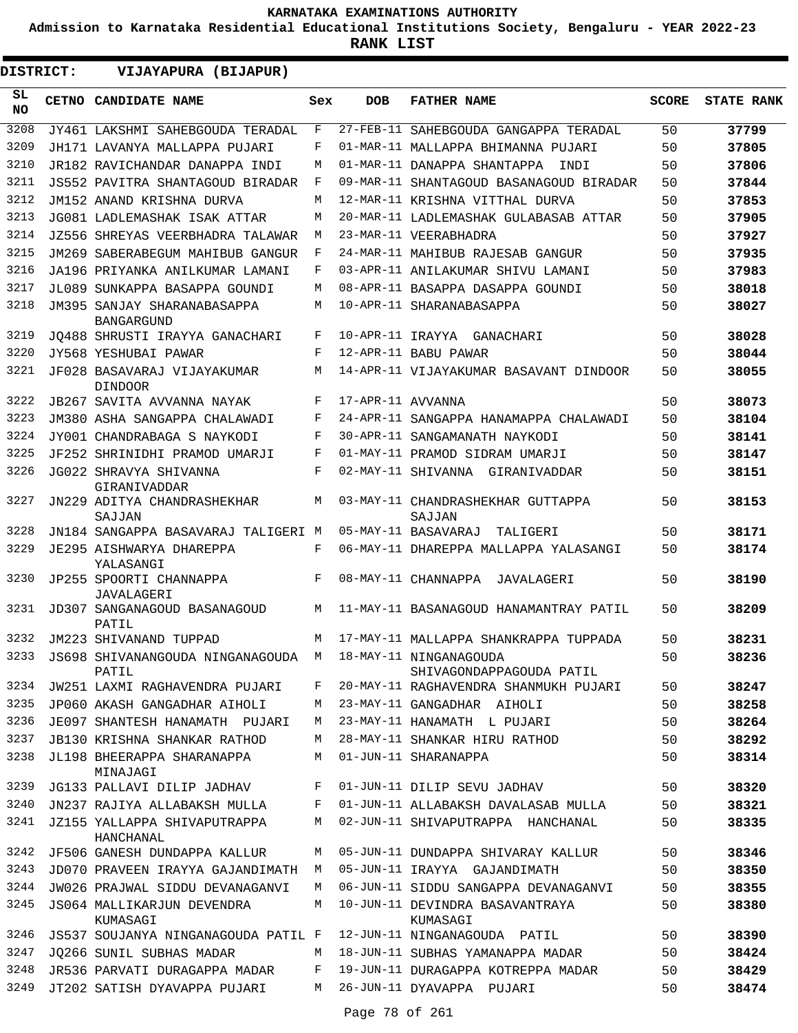**Admission to Karnataka Residential Educational Institutions Society, Bengaluru - YEAR 2022-23**

| DISTRICT:       | VIJAYAPURA (BIJAPUR)                             |     |                   |                                                    |              |                   |
|-----------------|--------------------------------------------------|-----|-------------------|----------------------------------------------------|--------------|-------------------|
| SL<br><b>NO</b> | <b>CETNO CANDIDATE NAME</b>                      | Sex | <b>DOB</b>        | <b>FATHER NAME</b>                                 | <b>SCORE</b> | <b>STATE RANK</b> |
| 3208            | JY461 LAKSHMI SAHEBGOUDA TERADAL                 | F   |                   | 27-FEB-11 SAHEBGOUDA GANGAPPA TERADAL              | 50           | 37799             |
| 3209            | JH171 LAVANYA MALLAPPA PUJARI                    | F   |                   | 01-MAR-11 MALLAPPA BHIMANNA PUJARI                 | 50           | 37805             |
| 3210            | JR182 RAVICHANDAR DANAPPA INDI                   | М   |                   | 01-MAR-11 DANAPPA SHANTAPPA<br>INDI                | 50           | 37806             |
| 3211            | JS552 PAVITRA SHANTAGOUD BIRADAR                 | F   |                   | 09-MAR-11 SHANTAGOUD BASANAGOUD BIRADAR            | 50           | 37844             |
| 3212            | JM152 ANAND KRISHNA DURVA                        | M   |                   | 12-MAR-11 KRISHNA VITTHAL DURVA                    | 50           | 37853             |
| 3213            | JG081 LADLEMASHAK ISAK ATTAR                     | М   |                   | 20-MAR-11 LADLEMASHAK GULABASAB ATTAR              | 50           | 37905             |
| 3214            | JZ556 SHREYAS VEERBHADRA TALAWAR                 | M   |                   | 23-MAR-11 VEERABHADRA                              | 50           | 37927             |
| 3215            | JM269 SABERABEGUM MAHIBUB GANGUR                 | F   |                   | 24-MAR-11 MAHIBUB RAJESAB GANGUR                   | 50           | 37935             |
| 3216            | JA196 PRIYANKA ANILKUMAR LAMANI                  | F   |                   | 03-APR-11 ANILAKUMAR SHIVU LAMANI                  | 50           | 37983             |
| 3217            | JL089 SUNKAPPA BASAPPA GOUNDI                    | М   |                   | 08-APR-11 BASAPPA DASAPPA GOUNDI                   | 50           | 38018             |
| 3218            | JM395 SANJAY SHARANABASAPPA<br><b>BANGARGUND</b> | М   |                   | 10-APR-11 SHARANABASAPPA                           | 50           | 38027             |
| 3219            | JO488 SHRUSTI IRAYYA GANACHARI                   | F   | 10-APR-11 IRAYYA  | GANACHARI                                          | 50           | 38028             |
| 3220            | JY568 YESHUBAI PAWAR                             | F   |                   | 12-APR-11 BABU PAWAR                               | 50           | 38044             |
| 3221            | JF028 BASAVARAJ VIJAYAKUMAR<br><b>DINDOOR</b>    | М   |                   | 14-APR-11 VIJAYAKUMAR BASAVANT DINDOOR             | 50           | 38055             |
| 3222            | JB267 SAVITA AVVANNA NAYAK                       | F   | 17-APR-11 AVVANNA |                                                    | 50           | 38073             |
| 3223            | JM380 ASHA SANGAPPA CHALAWADI                    | F   |                   | 24-APR-11 SANGAPPA HANAMAPPA CHALAWADI             | 50           | 38104             |
| 3224            | JY001 CHANDRABAGA S NAYKODI                      | F   |                   | 30-APR-11 SANGAMANATH NAYKODI                      | 50           | 38141             |
| 3225            | JF252 SHRINIDHI PRAMOD UMARJI                    | F   |                   | 01-MAY-11 PRAMOD SIDRAM UMARJI                     | 50           | 38147             |
| 3226            | JG022 SHRAVYA SHIVANNA<br>GIRANIVADDAR           | F   |                   | 02-MAY-11 SHIVANNA GIRANIVADDAR                    | 50           | 38151             |
| 3227            | JN229 ADITYA CHANDRASHEKHAR<br>SAJJAN            | M   |                   | 03-MAY-11 CHANDRASHEKHAR GUTTAPPA<br>SAJJAN        | 50           | 38153             |
| 3228            | JN184 SANGAPPA BASAVARAJ TALIGERI M              |     |                   | 05-MAY-11 BASAVARAJ<br>TALIGERI                    | 50           | 38171             |
| 3229            | JE295 AISHWARYA DHAREPPA<br>YALASANGI            | F   |                   | 06-MAY-11 DHAREPPA MALLAPPA YALASANGI              | 50           | 38174             |
| 3230            | JP255 SPOORTI CHANNAPPA<br><b>JAVALAGERI</b>     | F   |                   | 08-MAY-11 CHANNAPPA<br>JAVALAGERI                  | 50           | 38190             |
| 3231            | JD307 SANGANAGOUD BASANAGOUD<br>PATIL            | М   |                   | 11-MAY-11 BASANAGOUD HANAMANTRAY PATIL             | 50           | 38209             |
| 3232            | JM223 SHIVANAND TUPPAD                           | M   |                   | 17-MAY-11 MALLAPPA SHANKRAPPA TUPPADA              | 50           | 38231             |
| 3233            | JS698 SHIVANANGOUDA NINGANAGOUDA M<br>PATIL      |     |                   | 18-MAY-11 NINGANAGOUDA<br>SHIVAGONDAPPAGOUDA PATIL | 50           | 38236             |
| 3234            | JW251 LAXMI RAGHAVENDRA PUJARI                   | F   |                   | 20-MAY-11 RAGHAVENDRA SHANMUKH PUJARI              | 50           | 38247             |
| 3235            | JP060 AKASH GANGADHAR AIHOLI                     | М   |                   | 23-MAY-11 GANGADHAR AIHOLI                         | 50           | 38258             |
| 3236            | JE097 SHANTESH HANAMATH PUJARI                   | M   |                   | 23-MAY-11 HANAMATH L PUJARI                        | 50           | 38264             |
| 3237            | <b>JB130 KRISHNA SHANKAR RATHOD</b>              | М   |                   | 28-MAY-11 SHANKAR HIRU RATHOD                      | 50           | 38292             |
| 3238            | JL198 BHEERAPPA SHARANAPPA<br>MINAJAGI           | М   |                   | 01-JUN-11 SHARANAPPA                               | 50           | 38314             |
| 3239            | JG133 PALLAVI DILIP JADHAV                       | F   |                   | 01-JUN-11 DILIP SEVU JADHAV                        | 50           | 38320             |
| 3240            | JN237 RAJIYA ALLABAKSH MULLA                     | F   |                   | 01-JUN-11 ALLABAKSH DAVALASAB MULLA                | 50           | 38321             |
| 3241            | JZ155 YALLAPPA SHIVAPUTRAPPA<br>HANCHANAL        | М   |                   | 02-JUN-11 SHIVAPUTRAPPA HANCHANAL                  | 50           | 38335             |
| 3242            | JF506 GANESH DUNDAPPA KALLUR                     | М   |                   | 05-JUN-11 DUNDAPPA SHIVARAY KALLUR                 | 50           | 38346             |
| 3243            | JD070 PRAVEEN IRAYYA GAJANDIMATH                 | M   |                   | 05-JUN-11 IRAYYA GAJANDIMATH                       | 50           | 38350             |
| 3244            | JW026 PRAJWAL SIDDU DEVANAGANVI                  | М   |                   | 06-JUN-11 SIDDU SANGAPPA DEVANAGANVI               | 50           | 38355             |
| 3245            | JS064 MALLIKARJUN DEVENDRA<br>KUMASAGI           | М   |                   | 10-JUN-11 DEVINDRA BASAVANTRAYA<br>KUMASAGI        | 50           | 38380             |
| 3246            | JS537 SOUJANYA NINGANAGOUDA PATIL F              |     |                   | 12-JUN-11 NINGANAGOUDA PATIL                       | 50           | 38390             |
| 3247            | JO266 SUNIL SUBHAS MADAR                         | M   |                   | 18-JUN-11 SUBHAS YAMANAPPA MADAR                   | 50           | 38424             |
| 3248            | JR536 PARVATI DURAGAPPA MADAR                    | F   |                   | 19-JUN-11 DURAGAPPA KOTREPPA MADAR                 | 50           | 38429             |
| 3249            | JT202 SATISH DYAVAPPA PUJARI                     | M   |                   | 26-JUN-11 DYAVAPPA PUJARI                          | 50           | 38474             |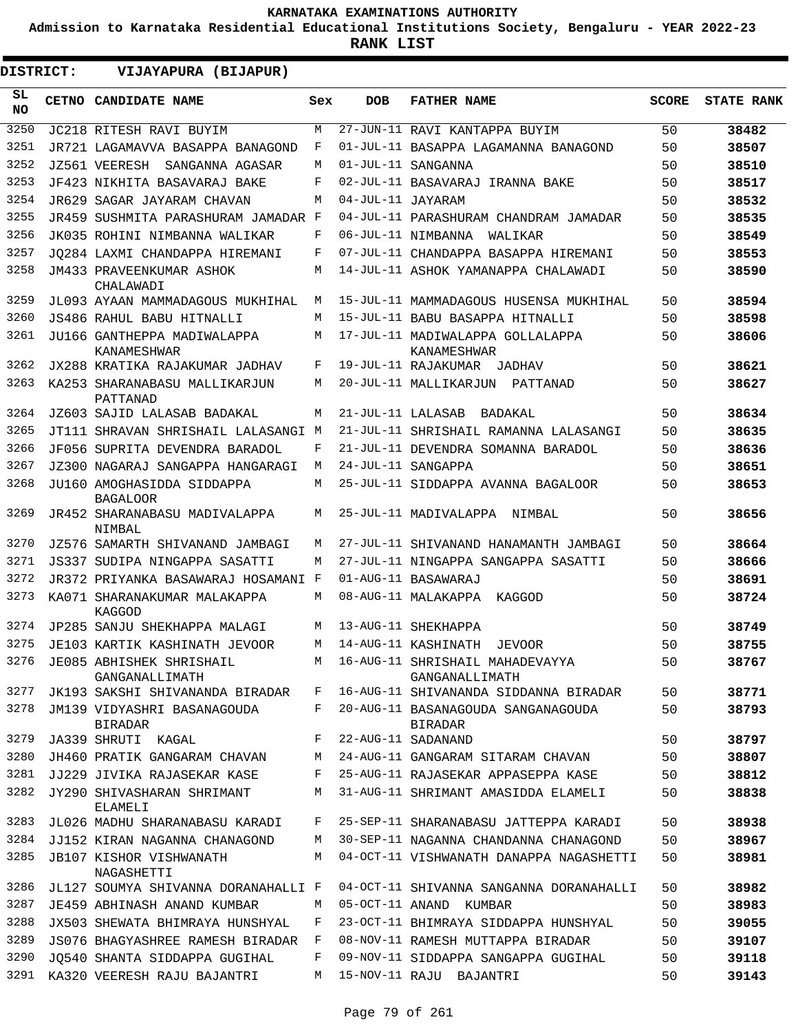**Admission to Karnataka Residential Educational Institutions Society, Bengaluru - YEAR 2022-23**

**RANK LIST**

 $\blacksquare$ 

| DISTRICT:       | VIJAYAPURA (BIJAPUR)                              |     |                   |                                                        |              |                   |
|-----------------|---------------------------------------------------|-----|-------------------|--------------------------------------------------------|--------------|-------------------|
| SL<br><b>NO</b> | CETNO CANDIDATE NAME                              | Sex | <b>DOB</b>        | <b>FATHER NAME</b>                                     | <b>SCORE</b> | <b>STATE RANK</b> |
| 3250            | JC218 RITESH RAVI BUYIM                           | M   |                   | 27-JUN-11 RAVI KANTAPPA BUYIM                          | 50           | 38482             |
| 3251            | JR721 LAGAMAVVA BASAPPA BANAGOND                  | F   |                   | 01-JUL-11 BASAPPA LAGAMANNA BANAGOND                   | 50           | 38507             |
| 3252            | JZ561 VEERESH SANGANNA AGASAR                     | М   |                   | 01-JUL-11 SANGANNA                                     | 50           | 38510             |
| 3253            | JF423 NIKHITA BASAVARAJ BAKE                      | F   |                   | 02-JUL-11 BASAVARAJ IRANNA BAKE                        | 50           | 38517             |
| 3254            | JR629 SAGAR JAYARAM CHAVAN                        | M   | 04-JUL-11 JAYARAM |                                                        | 50           | 38532             |
| 3255            | JR459 SUSHMITA PARASHURAM JAMADAR F               |     |                   | 04-JUL-11 PARASHURAM CHANDRAM JAMADAR                  | 50           | 38535             |
| 3256            | JK035 ROHINI NIMBANNA WALIKAR                     | F   |                   | 06-JUL-11 NIMBANNA<br>WALIKAR                          | 50           | 38549             |
| 3257            | JO284 LAXMI CHANDAPPA HIREMANI                    | F   |                   | 07-JUL-11 CHANDAPPA BASAPPA HIREMANI                   | 50           | 38553             |
| 3258            | JM433 PRAVEENKUMAR ASHOK<br>CHALAWADI             | М   |                   | 14-JUL-11 ASHOK YAMANAPPA CHALAWADI                    | 50           | 38590             |
| 3259            | JL093 AYAAN MAMMADAGOUS MUKHIHAL                  | M   |                   | 15-JUL-11 MAMMADAGOUS HUSENSA MUKHIHAL                 | 50           | 38594             |
| 3260            | JS486 RAHUL BABU HITNALLI                         | M   |                   | 15-JUL-11 BABU BASAPPA HITNALLI                        | 50           | 38598             |
| 3261            | JU166 GANTHEPPA MADIWALAPPA<br><b>KANAMESHWAR</b> | M   |                   | 17-JUL-11 MADIWALAPPA GOLLALAPPA<br><b>KANAMESHWAR</b> | 50           | 38606             |
| 3262            | JX288 KRATIKA RAJAKUMAR JADHAV                    | F   |                   | 19-JUL-11 RAJAKUMAR JADHAV                             | 50           | 38621             |
| 3263            | KA253 SHARANABASU MALLIKARJUN<br>PATTANAD         | M   |                   | 20-JUL-11 MALLIKARJUN PATTANAD                         | 50           | 38627             |
| 3264            | JZ603 SAJID LALASAB BADAKAL                       | М   | 21-JUL-11 LALASAB | BADAKAL                                                | 50           | 38634             |
| 3265            | JT111 SHRAVAN SHRISHAIL LALASANGI M               |     |                   | 21-JUL-11 SHRISHAIL RAMANNA LALASANGI                  | 50           | 38635             |
| 3266            | JF056 SUPRITA DEVENDRA BARADOL                    | F   |                   | 21-JUL-11 DEVENDRA SOMANNA BARADOL                     | 50           | 38636             |
| 3267            | JZ300 NAGARAJ SANGAPPA HANGARAGI                  | M   |                   | 24-JUL-11 SANGAPPA                                     | 50           | 38651             |
| 3268            | JU160 AMOGHASIDDA SIDDAPPA<br><b>BAGALOOR</b>     | M   |                   | 25-JUL-11 SIDDAPPA AVANNA BAGALOOR                     | 50           | 38653             |
| 3269            | JR452 SHARANABASU MADIVALAPPA<br>NIMBAL           | М   |                   | 25-JUL-11 MADIVALAPPA NIMBAL                           | 50           | 38656             |
| 3270            | JZ576 SAMARTH SHIVANAND JAMBAGI                   | M   |                   | 27-JUL-11 SHIVANAND HANAMANTH JAMBAGI                  | 50           | 38664             |
| 3271            | JS337 SUDIPA NINGAPPA SASATTI                     | M   |                   | 27-JUL-11 NINGAPPA SANGAPPA SASATTI                    | 50           | 38666             |
| 3272            | JR372 PRIYANKA BASAWARAJ HOSAMANI F               |     |                   | 01-AUG-11 BASAWARAJ                                    | 50           | 38691             |
| 3273            | KA071 SHARANAKUMAR MALAKAPPA<br>KAGGOD            | M   |                   | 08-AUG-11 MALAKAPPA KAGGOD                             | 50           | 38724             |
| 3274            | JP285 SANJU SHEKHAPPA MALAGI                      | M   |                   | 13-AUG-11 SHEKHAPPA                                    | 50           | 38749             |
| 3275            | JE103 KARTIK KASHINATH JEVOOR                     | M   |                   | 14-AUG-11 KASHINATH<br><b>JEVOOR</b>                   | 50           | 38755             |
| 3276            | JE085 ABHISHEK SHRISHAIL<br>GANGANALLIMATH        | M   |                   | 16-AUG-11 SHRISHAIL MAHADEVAYYA<br>GANGANALLIMATH      | 50           | 38767             |
| 3277            | JK193 SAKSHI SHIVANANDA BIRADAR                   | F   |                   | 16-AUG-11 SHIVANANDA SIDDANNA BIRADAR                  | 50           | 38771             |
| 3278            | JM139 VIDYASHRI BASANAGOUDA<br><b>BIRADAR</b>     | F   |                   | 20-AUG-11 BASANAGOUDA SANGANAGOUDA<br><b>BIRADAR</b>   | 50           | 38793             |
| 3279            | JA339 SHRUTI KAGAL                                | F   |                   | 22-AUG-11 SADANAND                                     | 50           | 38797             |
| 3280            | JH460 PRATIK GANGARAM CHAVAN                      | М   |                   | 24-AUG-11 GANGARAM SITARAM CHAVAN                      | 50           | 38807             |
| 3281            | JJ229 JIVIKA RAJASEKAR KASE                       | F   |                   | 25-AUG-11 RAJASEKAR APPASEPPA KASE                     | 50           | 38812             |
| 3282            | JY290 SHIVASHARAN SHRIMANT<br>ELAMELI             | M   |                   | 31-AUG-11 SHRIMANT AMASIDDA ELAMELI                    | 50           | 38838             |
| 3283            | JL026 MADHU SHARANABASU KARADI                    | F   |                   | 25-SEP-11 SHARANABASU JATTEPPA KARADI                  | 50           | 38938             |
| 3284            | JJ152 KIRAN NAGANNA CHANAGOND                     | M   |                   | 30-SEP-11 NAGANNA CHANDANNA CHANAGOND                  | 50           | 38967             |
| 3285            | JB107 KISHOR VISHWANATH<br>NAGASHETTI             | M   |                   | 04-OCT-11 VISHWANATH DANAPPA NAGASHETTI                | 50           | 38981             |
| 3286            | JL127 SOUMYA SHIVANNA DORANAHALLI F               |     |                   | 04-OCT-11 SHIVANNA SANGANNA DORANAHALLI                | 50           | 38982             |
| 3287            | JE459 ABHINASH ANAND KUMBAR                       | М   |                   | 05-OCT-11 ANAND KUMBAR                                 | 50           | 38983             |
| 3288            | JX503 SHEWATA BHIMRAYA HUNSHYAL                   | F   |                   | 23-OCT-11 BHIMRAYA SIDDAPPA HUNSHYAL                   | 50           | 39055             |
| 3289            | JS076 BHAGYASHREE RAMESH BIRADAR                  | F   |                   | 08-NOV-11 RAMESH MUTTAPPA BIRADAR                      | 50           | 39107             |
| 3290            | JQ540 SHANTA SIDDAPPA GUGIHAL                     | F   |                   | 09-NOV-11 SIDDAPPA SANGAPPA GUGIHAL                    | 50           | 39118             |
| 3291            | KA320 VEERESH RAJU BAJANTRI                       | M   |                   | 15-NOV-11 RAJU BAJANTRI                                | 50           | 39143             |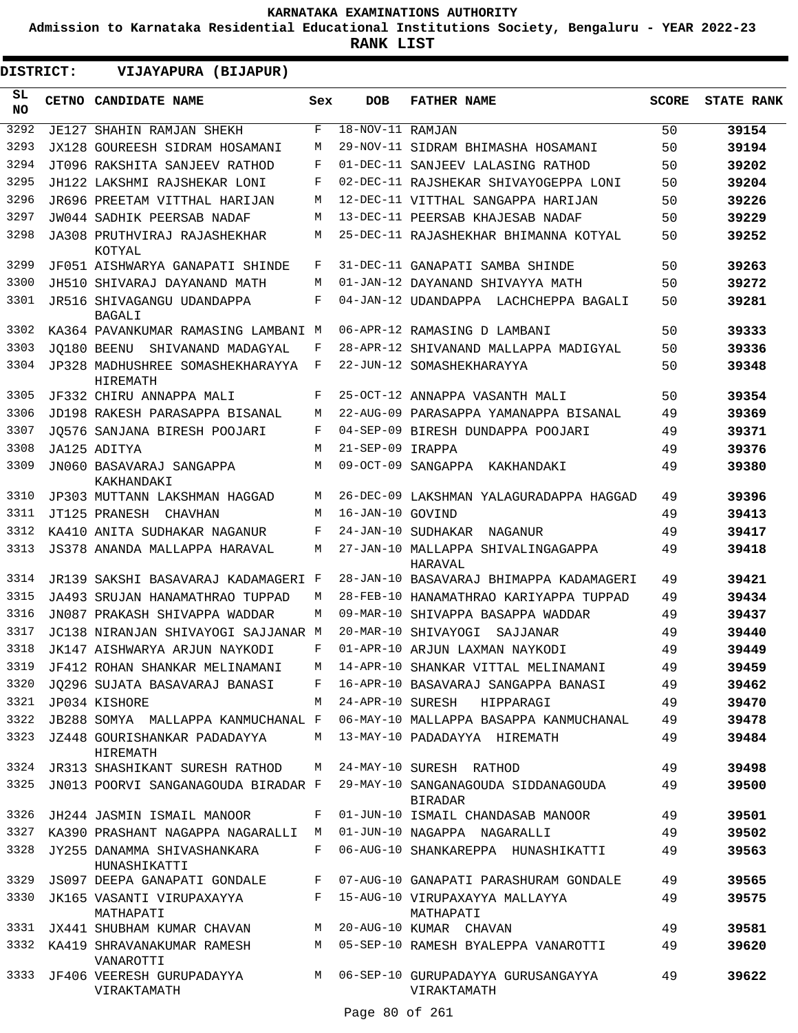**Admission to Karnataka Residential Educational Institutions Society, Bengaluru - YEAR 2022-23**

| DISTRICT:       | VIJAYAPURA (BIJAPUR)                                           |       |                  |                                                                                    |              |                   |
|-----------------|----------------------------------------------------------------|-------|------------------|------------------------------------------------------------------------------------|--------------|-------------------|
| SL<br><b>NO</b> | CETNO CANDIDATE NAME                                           | Sex   | <b>DOB</b>       | <b>FATHER NAME</b>                                                                 | <b>SCORE</b> | <b>STATE RANK</b> |
| 3292            | JE127 SHAHIN RAMJAN SHEKH                                      | F     | 18-NOV-11 RAMJAN |                                                                                    | 50           | 39154             |
| 3293            | JX128 GOUREESH SIDRAM HOSAMANI                                 | M     |                  | 29-NOV-11 SIDRAM BHIMASHA HOSAMANI                                                 | 50           | 39194             |
| 3294            | JT096 RAKSHITA SANJEEV RATHOD                                  | F     |                  | 01-DEC-11 SANJEEV LALASING RATHOD                                                  | 50           | 39202             |
| 3295            | JH122 LAKSHMI RAJSHEKAR LONI                                   | F     |                  | 02-DEC-11 RAJSHEKAR SHIVAYOGEPPA LONI                                              | 50           | 39204             |
| 3296            | JR696 PREETAM VITTHAL HARIJAN                                  | M     |                  | 12-DEC-11 VITTHAL SANGAPPA HARIJAN                                                 | 50           | 39226             |
| 3297            | JW044 SADHIK PEERSAB NADAF                                     | M     |                  | 13-DEC-11 PEERSAB KHAJESAB NADAF                                                   | 50           | 39229             |
| 3298            | JA308 PRUTHVIRAJ RAJASHEKHAR<br>KOTYAL                         | M     |                  | 25-DEC-11 RAJASHEKHAR BHIMANNA KOTYAL                                              | 50           | 39252             |
| 3299            | JF051 AISHWARYA GANAPATI SHINDE                                | F     |                  | 31-DEC-11 GANAPATI SAMBA SHINDE                                                    | 50           | 39263             |
| 3300            | JH510 SHIVARAJ DAYANAND MATH                                   | M     |                  | 01-JAN-12 DAYANAND SHIVAYYA MATH                                                   | 50           | 39272             |
| 3301            | JR516 SHIVAGANGU UDANDAPPA<br>BAGALI                           | F     |                  | 04-JAN-12 UDANDAPPA LACHCHEPPA BAGALI                                              | 50           | 39281             |
| 3302            | KA364 PAVANKUMAR RAMASING LAMBANI M                            |       |                  | 06-APR-12 RAMASING D LAMBANI                                                       | 50           | 39333             |
| 3303            | JO180 BEENU SHIVANAND MADAGYAL                                 | F     |                  | 28-APR-12 SHIVANAND MALLAPPA MADIGYAL                                              | 50           | 39336             |
| 3304            | JP328 MADHUSHREE SOMASHEKHARAYYA<br>HIREMATH                   | F     |                  | 22-JUN-12 SOMASHEKHARAYYA                                                          | 50           | 39348             |
| 3305            | JF332 CHIRU ANNAPPA MALI                                       | F     |                  | 25-OCT-12 ANNAPPA VASANTH MALI                                                     | 50           | 39354             |
| 3306            | JD198 RAKESH PARASAPPA BISANAL                                 | M     |                  | 22-AUG-09 PARASAPPA YAMANAPPA BISANAL                                              | 49           | 39369             |
| 3307            | JO576 SANJANA BIRESH POOJARI                                   | F     |                  | 04-SEP-09 BIRESH DUNDAPPA POOJARI                                                  | 49           | 39371             |
| 3308            | JA125 ADITYA                                                   | M     | 21-SEP-09 IRAPPA |                                                                                    | 49           | 39376             |
| 3309            | JN060 BASAVARAJ SANGAPPA<br>KAKHANDAKI                         | M     |                  | 09-OCT-09 SANGAPPA KAKHANDAKI                                                      | 49           | 39380             |
| 3310            | JP303 MUTTANN LAKSHMAN HAGGAD                                  | M     |                  | 26-DEC-09 LAKSHMAN YALAGURADAPPA HAGGAD                                            | 49           | 39396             |
| 3311            | JT125 PRANESH<br>CHAVHAN                                       | M     | 16-JAN-10 GOVIND |                                                                                    | 49           | 39413             |
| 3312            | KA410 ANITA SUDHAKAR NAGANUR                                   | F     |                  | 24-JAN-10 SUDHAKAR NAGANUR                                                         | 49           | 39417             |
| 3313            | JS378 ANANDA MALLAPPA HARAVAL                                  | M     |                  | 27-JAN-10 MALLAPPA SHIVALINGAGAPPA<br>HARAVAL                                      | 49           | 39418             |
| 3314            | JR139 SAKSHI BASAVARAJ KADAMAGERI F                            |       |                  | 28-JAN-10 BASAVARAJ BHIMAPPA KADAMAGERI                                            | 49           | 39421             |
| 3315            | JA493 SRUJAN HANAMATHRAO TUPPAD                                | M     |                  | 28-FEB-10 HANAMATHRAO KARIYAPPA TUPPAD                                             | 49           | 39434             |
| 3316            | JN087 PRAKASH SHIVAPPA WADDAR                                  | M     |                  | 09-MAR-10 SHIVAPPA BASAPPA WADDAR                                                  | 49           | 39437             |
| 3317            | JC138 NIRANJAN SHIVAYOGI SAJJANAR M                            |       |                  | 20-MAR-10 SHIVAYOGI SAJJANAR                                                       | 49           | 39440             |
| 3318            | JK147 AISHWARYA ARJUN NAYKODI                                  | $F -$ |                  | 01-APR-10 ARJUN LAXMAN NAYKODI                                                     | 49           | 39449             |
| 3319            |                                                                |       |                  | JF412 ROHAN SHANKAR MELINAMANI     M   14-APR-10 SHANKAR VITTAL MELINAMANI         | 49           | 39459             |
| 3320            |                                                                |       |                  | JO296 SUJATA BASAVARAJ BANASI     F   16-APR-10 BASAVARAJ SANGAPPA BANASI          | 49           | 39462             |
| 3321            | JP034 KISHORE                                                  |       |                  | M 24-APR-10 SURESH HIPPARAGI                                                       | 49           | 39470             |
| 3322            |                                                                |       |                  | JB288 SOMYA MALLAPPA KANMUCHANAL F 06-MAY-10 MALLAPPA BASAPPA KANMUCHANAL          | 49           | 39478             |
| 3323            | JZ448 GOURISHANKAR PADADAYYA<br>HIREMATH                       |       |                  | M 13-MAY-10 PADADAYYA HIREMATH                                                     | 49           | 39484             |
|                 | 3324 JR313 SHASHIKANT SURESH RATHOD                            |       |                  | M 24-MAY-10 SURESH RATHOD                                                          | 49           | 39498             |
| 3325            |                                                                |       |                  | JN013 POORVI SANGANAGOUDA BIRADAR F 29-MAY-10 SANGANAGOUDA SIDDANAGOUDA<br>BIRADAR | 49           | 39500             |
| 3326            | JH244 JASMIN ISMAIL MANOOR                                     |       |                  | F 01-JUN-10 ISMAIL CHANDASAB MANOOR                                                | 49           | 39501             |
| 3327            | KA390 PRASHANT NAGAPPA NAGARALLI M 01-JUN-10 NAGAPPA NAGARALLI |       |                  |                                                                                    | 49           | 39502             |
| 3328            | JY255 DANAMMA SHIVASHANKARA<br>HUNASHIKATTI                    |       |                  | F 06-AUG-10 SHANKAREPPA HUNASHIKATTI                                               | 49           | 39563             |
| 3329            | JS097 DEEPA GANAPATI GONDALE                                   |       |                  | F 07-AUG-10 GANAPATI PARASHURAM GONDALE                                            | 49           | 39565             |
| 3330            | JK165 VASANTI VIRUPAXAYYA<br>MATHAPATI                         |       |                  | F 15-AUG-10 VIRUPAXAYYA MALLAYYA<br>MATHAPATI                                      | 49           | 39575             |
|                 | 3331 JX441 SHUBHAM KUMAR CHAVAN                                |       |                  | M 20-AUG-10 KUMAR CHAVAN                                                           | 49           | 39581             |
|                 | 3332 KA419 SHRAVANAKUMAR RAMESH<br>VANAROTTI                   |       |                  | M 05-SEP-10 RAMESH BYALEPPA VANAROTTI                                              | 49           | 39620             |
|                 | VIRAKTAMATH                                                    |       |                  | 3333 JF406 VEERESH GURUPADAYYA M 06-SEP-10 GURUPADAYYA GURUSANGAYYA<br>VIRAKTAMATH | 49           | 39622             |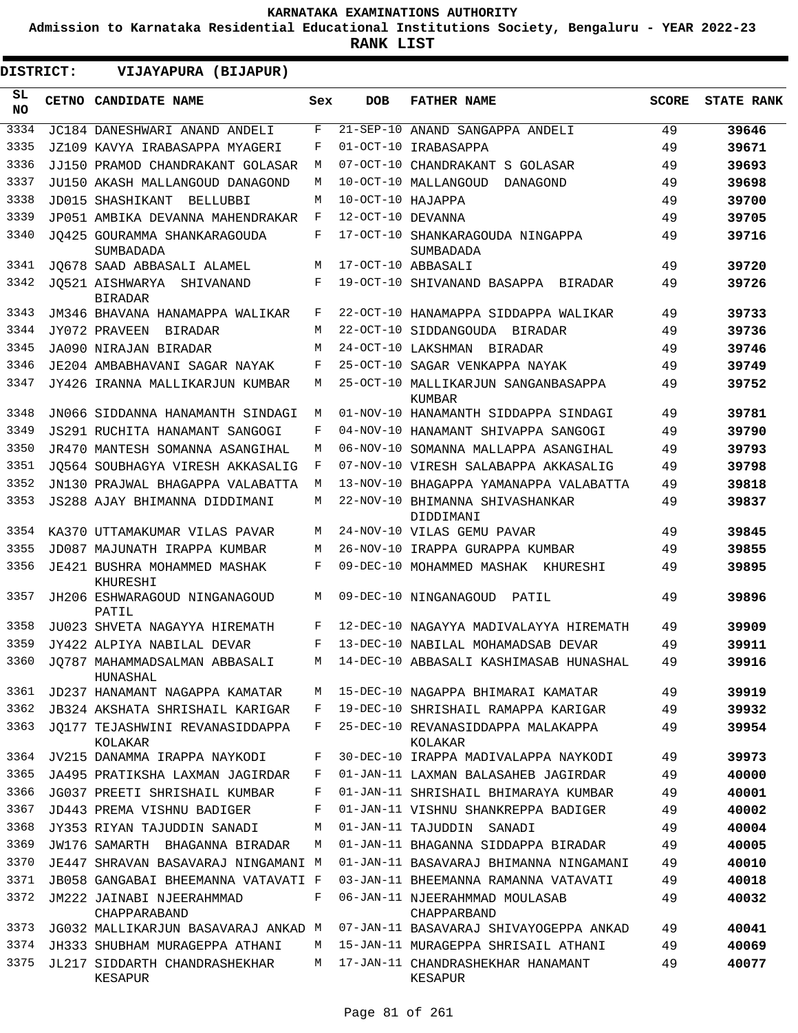**Admission to Karnataka Residential Educational Institutions Society, Bengaluru - YEAR 2022-23**

**RANK LIST**

ı

| DISTRICT:        | VIJAYAPURA (BIJAPUR)                        |     |                   |                                               |              |                   |
|------------------|---------------------------------------------|-----|-------------------|-----------------------------------------------|--------------|-------------------|
| SL.<br><b>NO</b> | <b>CETNO CANDIDATE NAME</b>                 | Sex | <b>DOB</b>        | <b>FATHER NAME</b>                            | <b>SCORE</b> | <b>STATE RANK</b> |
| 3334             | JC184 DANESHWARI ANAND ANDELI               | F   |                   | 21-SEP-10 ANAND SANGAPPA ANDELI               | 49           | 39646             |
| 3335             | JZ109 KAVYA IRABASAPPA MYAGERI              | F   |                   | 01-OCT-10 IRABASAPPA                          | 49           | 39671             |
| 3336             | JJ150 PRAMOD CHANDRAKANT GOLASAR            | М   |                   | 07-OCT-10 CHANDRAKANT S GOLASAR               | 49           | 39693             |
| 3337             | JU150 AKASH MALLANGOUD DANAGOND             | М   |                   | 10-OCT-10 MALLANGOUD<br>DANAGOND              | 49           | 39698             |
| 3338             | <b>JD015 SHASHIKANT</b><br><b>BELLUBBI</b>  | М   | 10-OCT-10 HAJAPPA |                                               | 49           | 39700             |
| 3339             | JP051 AMBIKA DEVANNA MAHENDRAKAR            | F   | 12-OCT-10 DEVANNA |                                               | 49           | 39705             |
| 3340             | JO425 GOURAMMA SHANKARAGOUDA<br>SUMBADADA   | F   |                   | 17-OCT-10 SHANKARAGOUDA NINGAPPA<br>SUMBADADA | 49           | 39716             |
| 3341             | JO678 SAAD ABBASALI ALAMEL                  | М   |                   | 17-OCT-10 ABBASALI                            | 49           | 39720             |
| 3342             | JO521 AISHWARYA SHIVANAND<br><b>BIRADAR</b> | F   |                   | 19-OCT-10 SHIVANAND BASAPPA BIRADAR           | 49           | 39726             |
| 3343             | JM346 BHAVANA HANAMAPPA WALIKAR             | F   |                   | 22-OCT-10 HANAMAPPA SIDDAPPA WALIKAR          | 49           | 39733             |
| 3344             | JY072 PRAVEEN<br>BIRADAR                    | M   |                   | 22-OCT-10 SIDDANGOUDA BIRADAR                 | 49           | 39736             |
| 3345             | JA090 NIRAJAN BIRADAR                       | M   |                   | 24-OCT-10 LAKSHMAN<br>BIRADAR                 | 49           | 39746             |
| 3346             | JE204 AMBABHAVANI SAGAR NAYAK               | F   |                   | 25-OCT-10 SAGAR VENKAPPA NAYAK                | 49           | 39749             |
| 3347             | JY426 IRANNA MALLIKARJUN KUMBAR             | М   |                   | 25-OCT-10 MALLIKARJUN SANGANBASAPPA<br>KUMBAR | 49           | 39752             |
| 3348             | JN066 SIDDANNA HANAMANTH SINDAGI            | М   |                   | 01-NOV-10 HANAMANTH SIDDAPPA SINDAGI          | 49           | 39781             |
| 3349             | JS291 RUCHITA HANAMANT SANGOGI              | F   |                   | 04-NOV-10 HANAMANT SHIVAPPA SANGOGI           | 49           | 39790             |
| 3350             | JR470 MANTESH SOMANNA ASANGIHAL             | М   |                   | 06-NOV-10 SOMANNA MALLAPPA ASANGIHAL          | 49           | 39793             |
| 3351             | JO564 SOUBHAGYA VIRESH AKKASALIG            | F   |                   | 07-NOV-10 VIRESH SALABAPPA AKKASALIG          | 49           | 39798             |
| 3352             | JN130 PRAJWAL BHAGAPPA VALABATTA            | M   |                   | 13-NOV-10 BHAGAPPA YAMANAPPA VALABATTA        | 49           | 39818             |
| 3353             | JS288 AJAY BHIMANNA DIDDIMANI               | M   |                   | 22-NOV-10 BHIMANNA SHIVASHANKAR<br>DIDDIMANI  | 49           | 39837             |
| 3354             | KA370 UTTAMAKUMAR VILAS PAVAR               | М   |                   | 24-NOV-10 VILAS GEMU PAVAR                    | 49           | 39845             |
| 3355             | JD087 MAJUNATH IRAPPA KUMBAR                | М   |                   | 26-NOV-10 IRAPPA GURAPPA KUMBAR               | 49           | 39855             |
| 3356             | JE421 BUSHRA MOHAMMED MASHAK<br>KHURESHI    | F   |                   | 09-DEC-10 MOHAMMED MASHAK KHURESHI            | 49           | 39895             |
| 3357             | JH206 ESHWARAGOUD NINGANAGOUD<br>PATIL      | М   |                   | 09-DEC-10 NINGANAGOUD<br>PATIL                | 49           | 39896             |
| 3358             | JU023 SHVETA NAGAYYA HIREMATH               | F   |                   | 12-DEC-10 NAGAYYA MADIVALAYYA HIREMATH        | 49           | 39909             |
| 3359             | JY422 ALPIYA NABILAL DEVAR                  | F   |                   | 13-DEC-10 NABILAL MOHAMADSAB DEVAR            | 49           | 39911             |
| 3360             | JO787 MAHAMMADSALMAN ABBASALI<br>HUNASHAL   | М   |                   | 14-DEC-10 ABBASALI KASHIMASAB HUNASHAL        | 49           | 39916             |
| 3361             | JD237 HANAMANT NAGAPPA KAMATAR              | М   |                   | 15-DEC-10 NAGAPPA BHIMARAI KAMATAR            | 49           | 39919             |
| 3362             | JB324 AKSHATA SHRISHAIL KARIGAR             | F   |                   | 19-DEC-10 SHRISHAIL RAMAPPA KARIGAR           | 49           | 39932             |
| 3363             | JO177 TEJASHWINI REVANASIDDAPPA<br>KOLAKAR  | F   |                   | 25-DEC-10 REVANASIDDAPPA MALAKAPPA<br>KOLAKAR | 49           | 39954             |
| 3364             | JV215 DANAMMA IRAPPA NAYKODI                | F   |                   | 30-DEC-10 IRAPPA MADIVALAPPA NAYKODI          | 49           | 39973             |
| 3365             | JA495 PRATIKSHA LAXMAN JAGIRDAR             | F   |                   | 01-JAN-11 LAXMAN BALASAHEB JAGIRDAR           | 49           | 40000             |
| 3366             | JG037 PREETI SHRISHAIL KUMBAR               | F   |                   | 01-JAN-11 SHRISHAIL BHIMARAYA KUMBAR          | 49           | 40001             |
| 3367             | JD443 PREMA VISHNU BADIGER                  | F   |                   | 01-JAN-11 VISHNU SHANKREPPA BADIGER           | 49           | 40002             |
| 3368             | JY353 RIYAN TAJUDDIN SANADI                 | М   |                   | 01-JAN-11 TAJUDDIN<br>SANADI                  | 49           | 40004             |
| 3369             | JW176 SAMARTH BHAGANNA BIRADAR              | М   |                   | 01-JAN-11 BHAGANNA SIDDAPPA BIRADAR           | 49           | 40005             |
| 3370             | JE447 SHRAVAN BASAVARAJ NINGAMANI M         |     |                   | 01-JAN-11 BASAVARAJ BHIMANNA NINGAMANI        | 49           | 40010             |
| 3371             | JB058 GANGABAI BHEEMANNA VATAVATI F         |     |                   | 03-JAN-11 BHEEMANNA RAMANNA VATAVATI          | 49           | 40018             |
| 3372             | JM222 JAINABI NJEERAHMMAD<br>CHAPPARABAND   | F   |                   | 06-JAN-11 NJEERAHMMAD MOULASAB<br>CHAPPARBAND | 49           | 40032             |
| 3373             | JG032 MALLIKARJUN BASAVARAJ ANKAD M         |     |                   | 07-JAN-11 BASAVARAJ SHIVAYOGEPPA ANKAD        | 49           | 40041             |
| 3374             | JH333 SHUBHAM MURAGEPPA ATHANI              | M   |                   | 15-JAN-11 MURAGEPPA SHRISAIL ATHANI           | 49           | 40069             |
| 3375             | JL217 SIDDARTH CHANDRASHEKHAR<br>KESAPUR    | M   |                   | 17-JAN-11 CHANDRASHEKHAR HANAMANT<br>KESAPUR  | 49           | 40077             |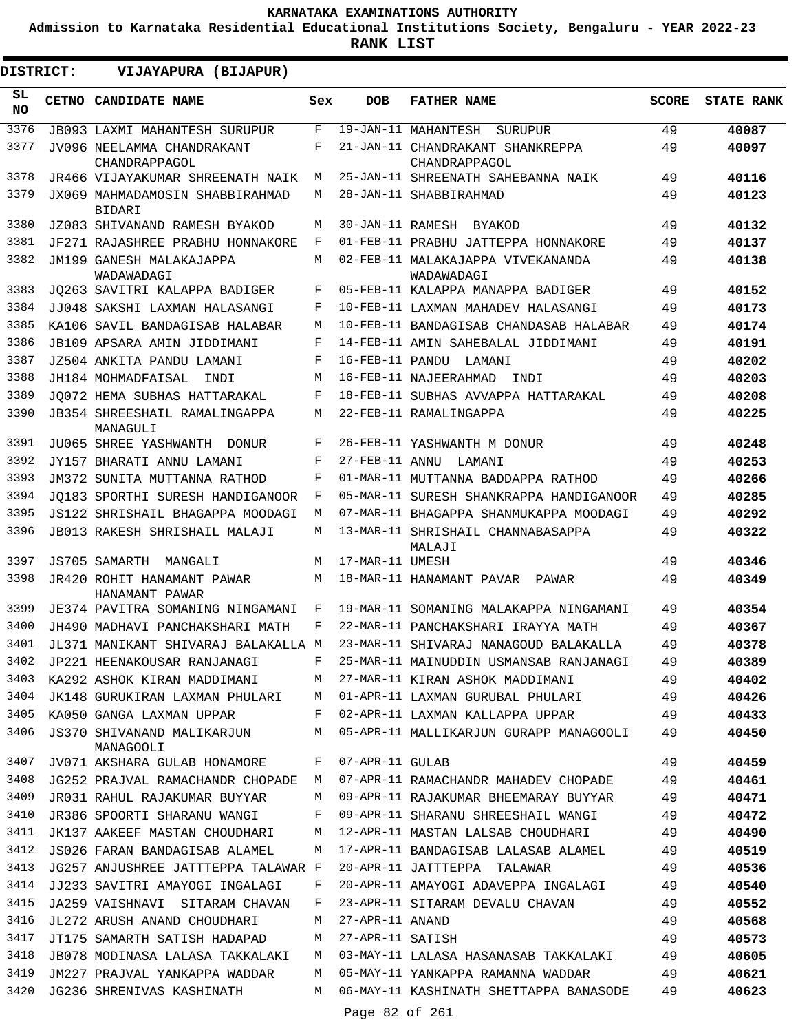**Admission to Karnataka Residential Educational Institutions Society, Bengaluru - YEAR 2022-23**

| DISTRICT:        | VIJAYAPURA (BIJAPUR)                             |     |                  |                                                   |              |                   |
|------------------|--------------------------------------------------|-----|------------------|---------------------------------------------------|--------------|-------------------|
| SL.<br><b>NO</b> | CETNO CANDIDATE NAME                             | Sex | <b>DOB</b>       | <b>FATHER NAME</b>                                | <b>SCORE</b> | <b>STATE RANK</b> |
| 3376             | <b>JB093 LAXMI MAHANTESH SURUPUR</b>             | F   |                  | 19-JAN-11 MAHANTESH<br>SURUPUR                    | 49           | 40087             |
| 3377             | JV096 NEELAMMA CHANDRAKANT<br>CHANDRAPPAGOL      | F   |                  | 21-JAN-11 CHANDRAKANT SHANKREPPA<br>CHANDRAPPAGOL | 49           | 40097             |
| 3378             | JR466 VIJAYAKUMAR SHREENATH NAIK                 | М   |                  | 25-JAN-11 SHREENATH SAHEBANNA NAIK                | 49           | 40116             |
| 3379             | JX069 MAHMADAMOSIN SHABBIRAHMAD<br><b>BIDARI</b> | M   |                  | 28-JAN-11 SHABBIRAHMAD                            | 49           | 40123             |
| 3380             | JZ083 SHIVANAND RAMESH BYAKOD                    | M   | 30-JAN-11 RAMESH | BYAKOD                                            | 49           | 40132             |
| 3381             | JF271 RAJASHREE PRABHU HONNAKORE                 | F   |                  | 01-FEB-11 PRABHU JATTEPPA HONNAKORE               | 49           | 40137             |
| 3382             | JM199 GANESH MALAKAJAPPA<br>WADAWADAGI           | M   |                  | 02-FEB-11 MALAKAJAPPA VIVEKANANDA<br>WADAWADAGI   | 49           | 40138             |
| 3383             | JO263 SAVITRI KALAPPA BADIGER                    | F   |                  | 05-FEB-11 KALAPPA MANAPPA BADIGER                 | 49           | 40152             |
| 3384             | JJ048 SAKSHI LAXMAN HALASANGI                    | F   |                  | 10-FEB-11 LAXMAN MAHADEV HALASANGI                | 49           | 40173             |
| 3385             | KA106 SAVIL BANDAGISAB HALABAR                   | М   |                  | 10-FEB-11 BANDAGISAB CHANDASAB HALABAR            | 49           | 40174             |
| 3386             | JB109 APSARA AMIN JIDDIMANI                      | F   |                  | 14-FEB-11 AMIN SAHEBALAL JIDDIMANI                | 49           | 40191             |
| 3387             | JZ504 ANKITA PANDU LAMANI                        | F   |                  | 16-FEB-11 PANDU LAMANI                            | 49           | 40202             |
| 3388             | JH184 MOHMADFAISAL<br>INDI                       | M   |                  | 16-FEB-11 NAJEERAHMAD<br>INDI                     | 49           | 40203             |
| 3389             | JO072 HEMA SUBHAS HATTARAKAL                     | F   |                  | 18-FEB-11 SUBHAS AVVAPPA HATTARAKAL               | 49           | 40208             |
| 3390             | JB354 SHREESHAIL RAMALINGAPPA<br>MANAGULI        | М   |                  | 22-FEB-11 RAMALINGAPPA                            | 49           | 40225             |
| 3391             | JU065 SHREE YASHWANTH DONUR                      | F   |                  | 26-FEB-11 YASHWANTH M DONUR                       | 49           | 40248             |
| 3392             | JY157 BHARATI ANNU LAMANI                        | F   |                  | 27-FEB-11 ANNU LAMANI                             | 49           | 40253             |
| 3393             | JM372 SUNITA MUTTANNA RATHOD                     | F   |                  | 01-MAR-11 MUTTANNA BADDAPPA RATHOD                | 49           | 40266             |
| 3394             | JO183 SPORTHI SURESH HANDIGANOOR                 | F   |                  | 05-MAR-11 SURESH SHANKRAPPA HANDIGANOOR           | 49           | 40285             |
| 3395             | JS122 SHRISHAIL BHAGAPPA MOODAGI                 | M   |                  | 07-MAR-11 BHAGAPPA SHANMUKAPPA MOODAGI            | 49           | 40292             |
| 3396             | JB013 RAKESH SHRISHAIL MALAJI                    | M   |                  | 13-MAR-11 SHRISHAIL CHANNABASAPPA<br>MALAJI       | 49           | 40322             |
| 3397             | JS705 SAMARTH<br>MANGALI                         | M   | 17-MAR-11 UMESH  |                                                   | 49           | 40346             |
| 3398             | JR420 ROHIT HANAMANT PAWAR<br>HANAMANT PAWAR     | М   |                  | 18-MAR-11 HANAMANT PAVAR PAWAR                    | 49           | 40349             |
| 3399             | JE374 PAVITRA SOMANING NINGAMANI                 | F   |                  | 19-MAR-11 SOMANING MALAKAPPA NINGAMANI            | 49           | 40354             |
| 3400             | JH490 MADHAVI PANCHAKSHARI MATH                  | F   |                  | 22-MAR-11 PANCHAKSHARI IRAYYA MATH                | 49           | 40367             |
| 3401             | JL371 MANIKANT SHIVARAJ BALAKALLA M              |     |                  | 23-MAR-11 SHIVARAJ NANAGOUD BALAKALLA             | 49           | 40378             |
| 3402             | JP221 HEENAKOUSAR RANJANAGI                      | F   |                  | 25-MAR-11 MAINUDDIN USMANSAB RANJANAGI            | 49           | 40389             |
| 3403             | KA292 ASHOK KIRAN MADDIMANI                      | M   |                  | 27-MAR-11 KIRAN ASHOK MADDIMANI                   | 49           | 40402             |
| 3404             | JK148 GURUKIRAN LAXMAN PHULARI                   | M   |                  | 01-APR-11 LAXMAN GURUBAL PHULARI                  | 49           | 40426             |
| 3405             | KA050 GANGA LAXMAN UPPAR                         | F   |                  | 02-APR-11 LAXMAN KALLAPPA UPPAR                   | 49           | 40433             |
| 3406             | JS370 SHIVANAND MALIKARJUN<br>MANAGOOLI          | М   |                  | 05-APR-11 MALLIKARJUN GURAPP MANAGOOLI            | 49           | 40450             |
| 3407             | JV071 AKSHARA GULAB HONAMORE                     | F   | 07-APR-11 GULAB  |                                                   | 49           | 40459             |
| 3408             | JG252 PRAJVAL RAMACHANDR CHOPADE                 | M   |                  | 07-APR-11 RAMACHANDR MAHADEV CHOPADE              | 49           | 40461             |
| 3409             | JR031 RAHUL RAJAKUMAR BUYYAR                     | М   |                  | 09-APR-11 RAJAKUMAR BHEEMARAY BUYYAR              | 49           | 40471             |
| 3410             | JR386 SPOORTI SHARANU WANGI                      | F   |                  | 09-APR-11 SHARANU SHREESHAIL WANGI                | 49           | 40472             |
| 3411             | JK137 AAKEEF MASTAN CHOUDHARI                    | М   |                  | 12-APR-11 MASTAN LALSAB CHOUDHARI                 | 49           | 40490             |
| 3412             | JS026 FARAN BANDAGISAB ALAMEL                    | М   |                  | 17-APR-11 BANDAGISAB LALASAB ALAMEL               | 49           | 40519             |
| 3413             | JG257 ANJUSHREE JATTTEPPA TALAWAR F              |     |                  | 20-APR-11 JATTTEPPA TALAWAR                       | 49           | 40536             |
| 3414             | JJ233 SAVITRI AMAYOGI INGALAGI                   | F   |                  | 20-APR-11 AMAYOGI ADAVEPPA INGALAGI               | 49           | 40540             |
| 3415             | JA259 VAISHNAVI SITARAM CHAVAN                   | F   |                  | 23-APR-11 SITARAM DEVALU CHAVAN                   | 49           | 40552             |
| 3416             | JL272 ARUSH ANAND CHOUDHARI                      | М   | 27-APR-11 ANAND  |                                                   | 49           | 40568             |
| 3417             | JT175 SAMARTH SATISH HADAPAD                     | М   | 27-APR-11 SATISH |                                                   | 49           | 40573             |
| 3418             | JB078 MODINASA LALASA TAKKALAKI                  | M   |                  | 03-MAY-11 LALASA HASANASAB TAKKALAKI              | 49           | 40605             |
| 3419             | JM227 PRAJVAL YANKAPPA WADDAR                    | М   |                  | 05-MAY-11 YANKAPPA RAMANNA WADDAR                 | 49           | 40621             |
| 3420             | JG236 SHRENIVAS KASHINATH                        | М   | Page 82 of 261   | 06-MAY-11 KASHINATH SHETTAPPA BANASODE            | 49           | 40623             |
|                  |                                                  |     |                  |                                                   |              |                   |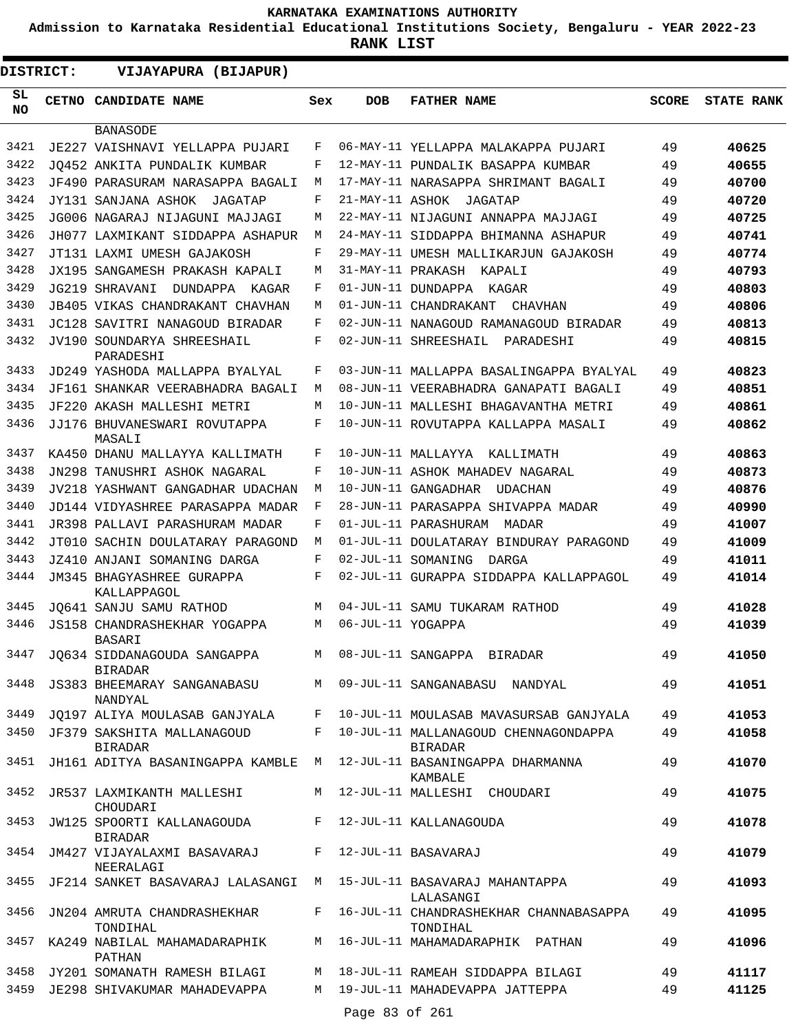**Admission to Karnataka Residential Educational Institutions Society, Bengaluru - YEAR 2022-23**

| <b>DISTRICT:</b> | VIJAYAPURA (BIJAPUR)                              |     |                   |                                                                        |              |                   |
|------------------|---------------------------------------------------|-----|-------------------|------------------------------------------------------------------------|--------------|-------------------|
| SL<br><b>NO</b>  | <b>CETNO CANDIDATE NAME</b>                       | Sex | <b>DOB</b>        | <b>FATHER NAME</b>                                                     | <b>SCORE</b> | <b>STATE RANK</b> |
|                  | <b>BANASODE</b>                                   |     |                   |                                                                        |              |                   |
| 3421             | JE227 VAISHNAVI YELLAPPA PUJARI                   | F   |                   | 06-MAY-11 YELLAPPA MALAKAPPA PUJARI                                    | 49           | 40625             |
| 3422             | JO452 ANKITA PUNDALIK KUMBAR                      | F   |                   | 12-MAY-11 PUNDALIK BASAPPA KUMBAR                                      | 49           | 40655             |
| 3423             | JF490 PARASURAM NARASAPPA BAGALI                  | М   |                   | 17-MAY-11 NARASAPPA SHRIMANT BAGALI                                    | 49           | 40700             |
| 3424             | JY131 SANJANA ASHOK<br>JAGATAP                    | F   |                   | 21-MAY-11 ASHOK JAGATAP                                                | 49           | 40720             |
| 3425             | JG006 NAGARAJ NIJAGUNI MAJJAGI                    | М   |                   | 22-MAY-11 NIJAGUNI ANNAPPA MAJJAGI                                     | 49           | 40725             |
| 3426             | JH077 LAXMIKANT SIDDAPPA ASHAPUR                  | M   |                   | 24-MAY-11 SIDDAPPA BHIMANNA ASHAPUR                                    | 49           | 40741             |
| 3427             | JT131 LAXMI UMESH GAJAKOSH                        | F   |                   | 29-MAY-11 UMESH MALLIKARJUN GAJAKOSH                                   | 49           | 40774             |
| 3428             | JX195 SANGAMESH PRAKASH KAPALI                    | М   | 31-MAY-11 PRAKASH | KAPALI                                                                 | 49           | 40793             |
| 3429             | JG219 SHRAVANI<br>DUNDAPPA KAGAR                  | F   |                   | 01-JUN-11 DUNDAPPA KAGAR                                               | 49           | 40803             |
| 3430             | JB405 VIKAS CHANDRAKANT CHAVHAN                   | М   |                   | 01-JUN-11 CHANDRAKANT<br>CHAVHAN                                       | 49           | 40806             |
| 3431             | JC128 SAVITRI NANAGOUD BIRADAR                    | F   |                   | 02-JUN-11 NANAGOUD RAMANAGOUD BIRADAR                                  | 49           | 40813             |
| 3432             | JV190 SOUNDARYA SHREESHAIL<br>PARADESHI           | F   |                   | 02-JUN-11 SHREESHAIL<br>PARADESHI                                      | 49           | 40815             |
| 3433             | JD249 YASHODA MALLAPPA BYALYAL                    | F   |                   | 03-JUN-11 MALLAPPA BASALINGAPPA BYALYAL                                | 49           | 40823             |
| 3434             | JF161 SHANKAR VEERABHADRA BAGALI                  | М   |                   | 08-JUN-11 VEERABHADRA GANAPATI BAGALI                                  | 49           | 40851             |
| 3435             | JF220 AKASH MALLESHI METRI                        | М   |                   | 10-JUN-11 MALLESHI BHAGAVANTHA METRI                                   | 49           | 40861             |
| 3436             | JJ176 BHUVANESWARI ROVUTAPPA<br>MASALI            | F   |                   | 10-JUN-11 ROVUTAPPA KALLAPPA MASALI                                    | 49           | 40862             |
| 3437             | KA450 DHANU MALLAYYA KALLIMATH                    | F   |                   | 10-JUN-11 MALLAYYA<br>KALLIMATH                                        | 49           | 40863             |
| 3438             | JN298 TANUSHRI ASHOK NAGARAL                      | F   |                   | 10-JUN-11 ASHOK MAHADEV NAGARAL                                        | 49           | 40873             |
| 3439             | JV218 YASHWANT GANGADHAR UDACHAN                  | М   |                   | 10-JUN-11 GANGADHAR<br>UDACHAN                                         | 49           | 40876             |
| 3440             | JD144 VIDYASHREE PARASAPPA MADAR                  | F   |                   | 28-JUN-11 PARASAPPA SHIVAPPA MADAR                                     | 49           | 40990             |
| 3441             | JR398 PALLAVI PARASHURAM MADAR                    | F   |                   | 01-JUL-11 PARASHURAM<br>MADAR                                          | 49           | 41007             |
| 3442             | JT010 SACHIN DOULATARAY PARAGOND                  | М   |                   | 01-JUL-11 DOULATARAY BINDURAY PARAGOND                                 | 49           | 41009             |
| 3443             | JZ410 ANJANI SOMANING DARGA                       | F   |                   | 02-JUL-11 SOMANING<br>DARGA                                            | 49           | 41011             |
| 3444             | JM345 BHAGYASHREE GURAPPA<br>KALLAPPAGOL          | F   |                   | 02-JUL-11 GURAPPA SIDDAPPA KALLAPPAGOL                                 | 49           | 41014             |
| 3445             | JQ641 SANJU SAMU RATHOD                           | М   |                   | 04-JUL-11 SAMU TUKARAM RATHOD                                          | 49           | 41028             |
| 3446             | JS158 CHANDRASHEKHAR YOGAPPA<br>BASARI            | М   | 06-JUL-11 YOGAPPA |                                                                        | 49           | 41039             |
| 3447             | JQ634 SIDDANAGOUDA SANGAPPA<br><b>BIRADAR</b>     | M   |                   | 08-JUL-11 SANGAPPA BIRADAR                                             | 49           | 41050             |
| 3448             | JS383 BHEEMARAY SANGANABASU<br>NANDYAL            |     |                   | M 09-JUL-11 SANGANABASU NANDYAL                                        | 49           | 41051             |
| 3449             |                                                   |     |                   | JQ197 ALIYA MOULASAB GANJYALA F 10-JUL-11 MOULASAB MAVASURSAB GANJYALA | 49           | 41053             |
| 3450             | JF379 SAKSHITA MALLANAGOUD<br><b>BIRADAR</b>      |     |                   | F 10-JUL-11 MALLANAGOUD CHENNAGONDAPPA<br><b>BIRADAR</b>               | 49           | 41058             |
| 3451             | JH161 ADITYA BASANINGAPPA KAMBLE                  |     |                   | M 12-JUL-11 BASANINGAPPA DHARMANNA<br>KAMBALE                          | 49           | 41070             |
|                  | 3452 JR537 LAXMIKANTH MALLESHI<br>CHOUDARI        |     |                   | M 12-JUL-11 MALLESHI CHOUDARI                                          | 49           | 41075             |
|                  | 3453 JW125 SPOORTI KALLANAGOUDA<br><b>BIRADAR</b> |     |                   | F 12-JUL-11 KALLANAGOUDA                                               | 49           | 41078             |
|                  | 3454 JM427 VIJAYALAXMI BASAVARAJ<br>NEERALAGI     |     |                   | F 12-JUL-11 BASAVARAJ                                                  | 49           | 41079             |
|                  | 3455 JF214 SANKET BASAVARAJ LALASANGI             |     |                   | M 15-JUL-11 BASAVARAJ MAHANTAPPA<br>LALASANGI                          | 49           | 41093             |
|                  | 3456 JN204 AMRUTA CHANDRASHEKHAR<br>TONDIHAL      |     |                   | F 16-JUL-11 CHANDRASHEKHAR CHANNABASAPPA<br>TONDIHAL                   | 49           | 41095             |
|                  | 3457 KA249 NABILAL MAHAMADARAPHIK<br>PATHAN       |     |                   | M 16-JUL-11 MAHAMADARAPHIK PATHAN                                      | 49           | 41096             |
|                  | 3458 JY201 SOMANATH RAMESH BILAGI                 |     |                   | M 18-JUL-11 RAMEAH SIDDAPPA BILAGI                                     | 49           | 41117             |
|                  | 3459 JE298 SHIVAKUMAR MAHADEVAPPA                 |     |                   | M 19-JUL-11 MAHADEVAPPA JATTEPPA                                       | 49           | 41125             |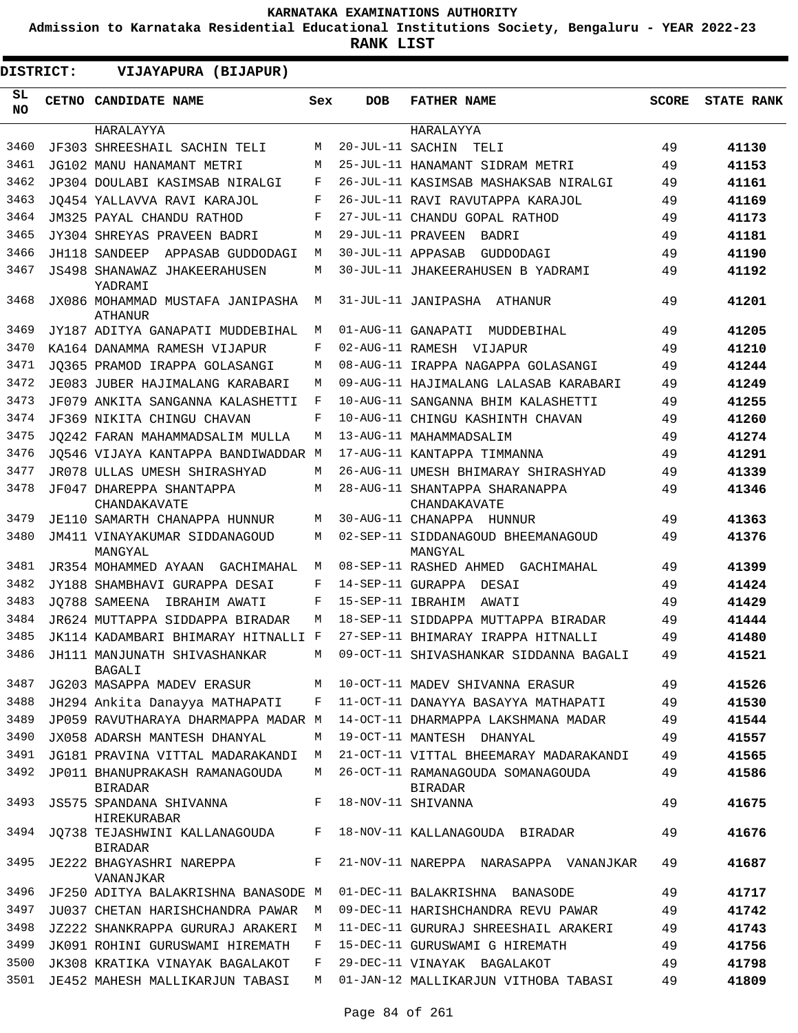**Admission to Karnataka Residential Educational Institutions Society, Bengaluru - YEAR 2022-23**

| <b>DISTRICT:</b> | VIJAYAPURA (BIJAPUR)                               |     |                   |                                                     |              |                   |
|------------------|----------------------------------------------------|-----|-------------------|-----------------------------------------------------|--------------|-------------------|
| SL<br><b>NO</b>  | CETNO CANDIDATE NAME                               | Sex | <b>DOB</b>        | <b>FATHER NAME</b>                                  | <b>SCORE</b> | <b>STATE RANK</b> |
|                  | HARALAYYA                                          |     |                   | HARALAYYA                                           |              |                   |
| 3460             | JF303 SHREESHAIL SACHIN TELI                       | М   | 20-JUL-11 SACHIN  | TELI                                                | 49           | 41130             |
| 3461             | JG102 MANU HANAMANT METRI                          | М   |                   | 25-JUL-11 HANAMANT SIDRAM METRI                     | 49           | 41153             |
| 3462             | JP304 DOULABI KASIMSAB NIRALGI                     | F   |                   | 26-JUL-11 KASIMSAB MASHAKSAB NIRALGI                | 49           | 41161             |
| 3463             | JO454 YALLAVVA RAVI KARAJOL                        | F   |                   | 26-JUL-11 RAVI RAVUTAPPA KARAJOL                    | 49           | 41169             |
| 3464             | JM325 PAYAL CHANDU RATHOD                          | F   |                   | 27-JUL-11 CHANDU GOPAL RATHOD                       | 49           | 41173             |
| 3465             | JY304 SHREYAS PRAVEEN BADRI                        | М   | 29-JUL-11 PRAVEEN | BADRI                                               | 49           | 41181             |
| 3466             | JH118 SANDEEP<br>APPASAB GUDDODAGI                 | М   | 30-JUL-11 APPASAB | GUDDODAGI                                           | 49           | 41190             |
| 3467             | JS498 SHANAWAZ JHAKEERAHUSEN<br>YADRAMI            | М   |                   | 30-JUL-11 JHAKEERAHUSEN B YADRAMI                   | 49           | 41192             |
| 3468             | JX086 MOHAMMAD MUSTAFA JANIPASHA<br><b>ATHANUR</b> | М   |                   | 31-JUL-11 JANIPASHA ATHANUR                         | 49           | 41201             |
| 3469             | JY187 ADITYA GANAPATI MUDDEBIHAL                   | M   |                   | 01-AUG-11 GANAPATI<br>MUDDEBIHAL                    | 49           | 41205             |
| 3470             | KA164 DANAMMA RAMESH VIJAPUR                       | F   |                   | 02-AUG-11 RAMESH VIJAPUR                            | 49           | 41210             |
| 3471             | JO365 PRAMOD IRAPPA GOLASANGI                      | М   |                   | 08-AUG-11 IRAPPA NAGAPPA GOLASANGI                  | 49           | 41244             |
| 3472             | JE083 JUBER HAJIMALANG KARABARI                    | М   |                   | 09-AUG-11 HAJIMALANG LALASAB KARABARI               | 49           | 41249             |
| 3473             | JF079 ANKITA SANGANNA KALASHETTI                   | F   |                   | 10-AUG-11 SANGANNA BHIM KALASHETTI                  | 49           | 41255             |
| 3474             | JF369 NIKITA CHINGU CHAVAN                         | F   |                   | 10-AUG-11 CHINGU KASHINTH CHAVAN                    | 49           | 41260             |
| 3475             | JO242 FARAN MAHAMMADSALIM MULLA                    | М   |                   | 13-AUG-11 MAHAMMADSALIM                             | 49           | 41274             |
| 3476             | JO546 VIJAYA KANTAPPA BANDIWADDAR M                |     |                   | 17-AUG-11 KANTAPPA TIMMANNA                         | 49           | 41291             |
| 3477             | JR078 ULLAS UMESH SHIRASHYAD                       | М   |                   | 26-AUG-11 UMESH BHIMARAY SHIRASHYAD                 | 49           | 41339             |
| 3478             | JF047 DHAREPPA SHANTAPPA<br>CHANDAKAVATE           | М   |                   | 28-AUG-11 SHANTAPPA SHARANAPPA<br>CHANDAKAVATE      | 49           | 41346             |
| 3479             | JE110 SAMARTH CHANAPPA HUNNUR                      | М   |                   | 30-AUG-11 CHANAPPA<br>HUNNUR                        | 49           | 41363             |
| 3480             | JM411 VINAYAKUMAR SIDDANAGOUD<br>MANGYAL           | М   |                   | 02-SEP-11 SIDDANAGOUD BHEEMANAGOUD<br>MANGYAL       | 49           | 41376             |
| 3481             | JR354 MOHAMMED AYAAN<br>GACHIMAHAL                 | М   |                   | 08-SEP-11 RASHED AHMED<br>GACHIMAHAL                | 49           | 41399             |
| 3482             | JY188 SHAMBHAVI GURAPPA DESAI                      | F   | 14-SEP-11 GURAPPA | DESAI                                               | 49           | 41424             |
| 3483             | JO788 SAMEENA<br>IBRAHIM AWATI                     | F   | 15-SEP-11 IBRAHIM | AWATI                                               | 49           | 41429             |
| 3484             | JR624 MUTTAPPA SIDDAPPA BIRADAR                    | М   |                   | 18-SEP-11 SIDDAPPA MUTTAPPA BIRADAR                 | 49           | 41444             |
| 3485             | JK114 KADAMBARI BHIMARAY HITNALLI F                |     |                   | 27-SEP-11 BHIMARAY IRAPPA HITNALLI                  | 49           | 41480             |
| 3486             | JH111 MANJUNATH SHIVASHANKAR<br>BAGALI             | М   |                   | 09-OCT-11 SHIVASHANKAR SIDDANNA BAGALI              | 49           | 41521             |
| 3487             | JG203 MASAPPA MADEV ERASUR                         | M   |                   | 10-OCT-11 MADEV SHIVANNA ERASUR                     | 49           | 41526             |
| 3488             | JH294 Ankita Danayya MATHAPATI                     | F   |                   | 11-OCT-11 DANAYYA BASAYYA MATHAPATI                 | 49           | 41530             |
| 3489             | JP059 RAVUTHARAYA DHARMAPPA MADAR M                |     |                   | 14-OCT-11 DHARMAPPA LAKSHMANA MADAR                 | 49           | 41544             |
| 3490             | JX058 ADARSH MANTESH DHANYAL                       | M   |                   | 19-OCT-11 MANTESH DHANYAL                           | 49           | 41557             |
| 3491             | JG181 PRAVINA VITTAL MADARAKANDI                   | М   |                   | 21-OCT-11 VITTAL BHEEMARAY MADARAKANDI              | 49           | 41565             |
| 3492             | JP011 BHANUPRAKASH RAMANAGOUDA<br><b>BIRADAR</b>   | M   |                   | 26-OCT-11 RAMANAGOUDA SOMANAGOUDA<br><b>BIRADAR</b> | 49           | 41586             |
| 3493             | JS575 SPANDANA SHIVANNA<br><b>HIREKURABAR</b>      | F   |                   | 18-NOV-11 SHIVANNA                                  | 49           | 41675             |
| 3494             | JQ738 TEJASHWINI KALLANAGOUDA<br><b>BIRADAR</b>    | F   |                   | 18-NOV-11 KALLANAGOUDA BIRADAR                      | 49           | 41676             |
| 3495             | JE222 BHAGYASHRI NAREPPA<br>VANANJKAR              | F   |                   | 21-NOV-11 NAREPPA NARASAPPA VANANJKAR               | 49           | 41687             |
| 3496             | JF250 ADITYA BALAKRISHNA BANASODE M                |     |                   | 01-DEC-11 BALAKRISHNA BANASODE                      | 49           | 41717             |
| 3497             | JU037 CHETAN HARISHCHANDRA PAWAR M                 |     |                   | 09-DEC-11 HARISHCHANDRA REVU PAWAR                  | 49           | 41742             |
| 3498             | JZ222 SHANKRAPPA GURURAJ ARAKERI                   | M   |                   | 11-DEC-11 GURURAJ SHREESHAIL ARAKERI                | 49           | 41743             |
| 3499             | JK091 ROHINI GURUSWAMI HIREMATH                    | F   |                   | 15-DEC-11 GURUSWAMI G HIREMATH                      | 49           | 41756             |
| 3500             | JK308 KRATIKA VINAYAK BAGALAKOT                    | F   |                   | 29-DEC-11 VINAYAK BAGALAKOT                         | 49           | 41798             |
| 3501             | JE452 MAHESH MALLIKARJUN TABASI                    | M   |                   | 01-JAN-12 MALLIKARJUN VITHOBA TABASI                | 49           | 41809             |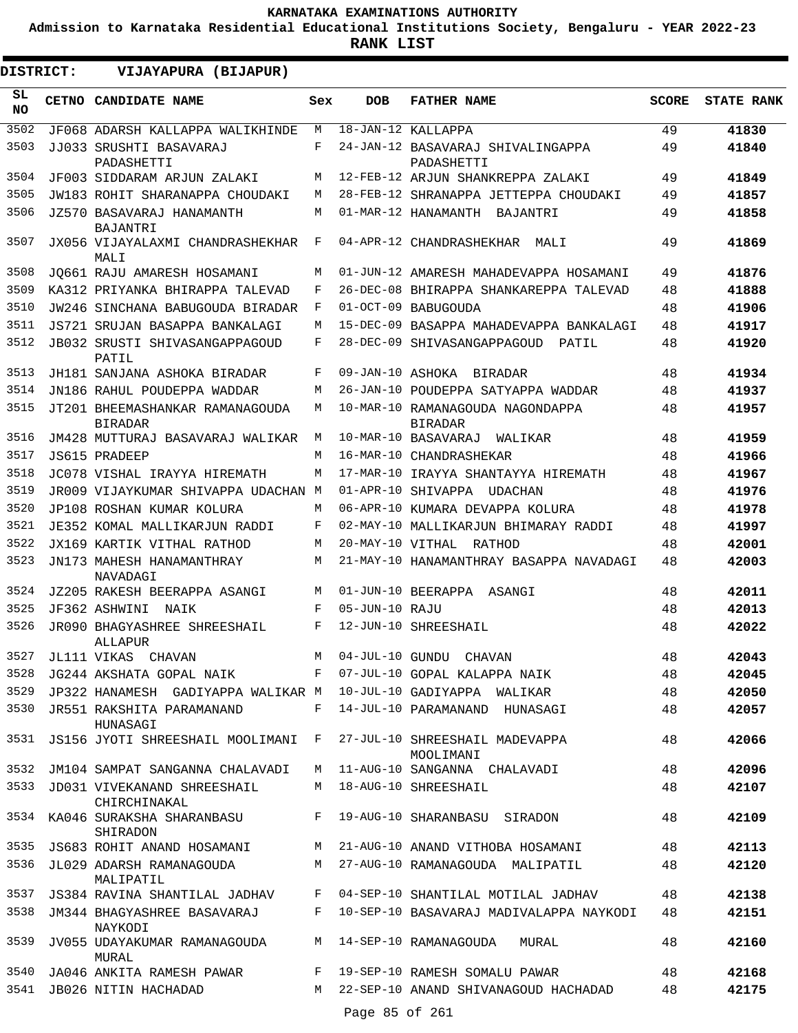**Admission to Karnataka Residential Educational Institutions Society, Bengaluru - YEAR 2022-23**

| <b>DISTRICT:</b> | VIJAYAPURA (BIJAPUR)                                                         |              |                  |                                                                         |              |                   |
|------------------|------------------------------------------------------------------------------|--------------|------------------|-------------------------------------------------------------------------|--------------|-------------------|
| SL.<br><b>NO</b> | <b>CETNO CANDIDATE NAME</b>                                                  | Sex          | <b>DOB</b>       | <b>FATHER NAME</b>                                                      | <b>SCORE</b> | <b>STATE RANK</b> |
| 3502             | JF068 ADARSH KALLAPPA WALIKHINDE                                             | М            |                  | 18-JAN-12 KALLAPPA                                                      | 49           | 41830             |
| 3503             | JJ033 SRUSHTI BASAVARAJ<br>PADASHETTI                                        | F            |                  | 24-JAN-12 BASAVARAJ SHIVALINGAPPA<br>PADASHETTI                         | 49           | 41840             |
| 3504             | JF003 SIDDARAM ARJUN ZALAKI                                                  | М            |                  | 12-FEB-12 ARJUN SHANKREPPA ZALAKI                                       | 49           | 41849             |
| 3505             | JW183 ROHIT SHARANAPPA CHOUDAKI                                              | М            |                  | 28-FEB-12 SHRANAPPA JETTEPPA CHOUDAKI                                   | 49           | 41857             |
| 3506             | JZ570 BASAVARAJ HANAMANTH<br><b>BAJANTRI</b>                                 | М            |                  | 01-MAR-12 HANAMANTH<br>BAJANTRI                                         | 49           | 41858             |
| 3507             | JX056 VIJAYALAXMI CHANDRASHEKHAR<br>MALI                                     | F            |                  | 04-APR-12 CHANDRASHEKHAR MALI                                           | 49           | 41869             |
| 3508             | JO661 RAJU AMARESH HOSAMANI                                                  | М            |                  | 01-JUN-12 AMARESH MAHADEVAPPA HOSAMANI                                  | 49           | 41876             |
| 3509             | KA312 PRIYANKA BHIRAPPA TALEVAD                                              | F            |                  | 26-DEC-08 BHIRAPPA SHANKAREPPA TALEVAD                                  | 48           | 41888             |
| 3510             | JW246 SINCHANA BABUGOUDA BIRADAR                                             | F            |                  | 01-OCT-09 BABUGOUDA                                                     | 48           | 41906             |
| 3511             | JS721 SRUJAN BASAPPA BANKALAGI                                               | М            |                  | 15-DEC-09 BASAPPA MAHADEVAPPA BANKALAGI                                 | 48           | 41917             |
| 3512             | JB032 SRUSTI SHIVASANGAPPAGOUD<br>PATIL                                      | F            |                  | 28-DEC-09 SHIVASANGAPPAGOUD<br>PATIL                                    | 48           | 41920             |
| 3513             | JH181 SANJANA ASHOKA BIRADAR                                                 | F            |                  | 09-JAN-10 ASHOKA BIRADAR                                                | 48           | 41934             |
| 3514             | JN186 RAHUL POUDEPPA WADDAR                                                  | М            |                  | 26-JAN-10 POUDEPPA SATYAPPA WADDAR                                      | 48           | 41937             |
| 3515             | JT201 BHEEMASHANKAR RAMANAGOUDA<br><b>BIRADAR</b>                            | М            |                  | 10-MAR-10 RAMANAGOUDA NAGONDAPPA<br><b>BIRADAR</b>                      | 48           | 41957             |
| 3516             | JM428 MUTTURAJ BASAVARAJ WALIKAR                                             | М            |                  | 10-MAR-10 BASAVARAJ<br>WALIKAR                                          | 48           | 41959             |
| 3517             | JS615 PRADEEP                                                                | M            |                  | 16-MAR-10 CHANDRASHEKAR                                                 | 48           | 41966             |
| 3518             | JC078 VISHAL IRAYYA HIREMATH                                                 | М            |                  | 17-MAR-10 IRAYYA SHANTAYYA HIREMATH                                     | 48           | 41967             |
| 3519             | JR009 VIJAYKUMAR SHIVAPPA UDACHAN M                                          |              |                  | 01-APR-10 SHIVAPPA UDACHAN                                              | 48           | 41976             |
| 3520             | JP108 ROSHAN KUMAR KOLURA                                                    | М            |                  | 06-APR-10 KUMARA DEVAPPA KOLURA                                         | 48           | 41978             |
| 3521             | JE352 KOMAL MALLIKARJUN RADDI                                                | F            |                  | 02-MAY-10 MALLIKARJUN BHIMARAY RADDI                                    | 48           | 41997             |
| 3522             | JX169 KARTIK VITHAL RATHOD                                                   | М            | 20-MAY-10 VITHAL | RATHOD                                                                  | 48           | 42001             |
| 3523             | JN173 MAHESH HANAMANTHRAY<br>NAVADAGI                                        | М            |                  | 21-MAY-10 HANAMANTHRAY BASAPPA NAVADAGI                                 | 48           | 42003             |
| 3524             | JZ205 RAKESH BEERAPPA ASANGI                                                 | М            |                  | 01-JUN-10 BEERAPPA ASANGI                                               | 48           | 42011             |
| 3525             | JF362 ASHWINI<br>NAIK                                                        | F            | 05-JUN-10 RAJU   |                                                                         | 48           | 42013             |
| 3526             | JR090 BHAGYASHREE SHREESHAIL<br>ALLAPUR                                      | F            |                  | 12-JUN-10 SHREESHAIL                                                    | 48           | 42022             |
| 3527             | JL111 VIKAS CHAVAN                                                           | M            |                  | 04-JUL-10 GUNDU CHAVAN                                                  | 48           | 42043             |
| 3528             | JG244 AKSHATA GOPAL NAIK                                                     | $\mathbf{F}$ |                  | 07-JUL-10 GOPAL KALAPPA NAIK                                            | 48           | 42045             |
| 3529             | JP322 HANAMESH GADIYAPPA WALIKAR M 10-JUL-10 GADIYAPPA WALIKAR               |              |                  |                                                                         | 48           | 42050             |
| 3530             | JR551 RAKSHITA PARAMANAND<br>HUNASAGI                                        | F            |                  | 14-JUL-10 PARAMANAND HUNASAGI                                           | 48           | 42057             |
|                  | 3531 JS156 JYOTI SHREESHAIL MOOLIMANI F 27-JUL-10 SHREESHAIL MADEVAPPA       |              |                  | MOOLIMANI                                                               | 48           | 42066             |
|                  | 3532 JM104 SAMPAT SANGANNA CHALAVADI                                         |              |                  | M 11-AUG-10 SANGANNA CHALAVADI                                          | 48           | 42096             |
| 3533             | JD031 VIVEKANAND SHREESHAIL<br>CHIRCHINAKAL                                  |              |                  | M 18-AUG-10 SHREESHAIL                                                  | 48           | 42107             |
|                  | 3534 KA046 SURAKSHA SHARANBASU ARAB 19-AUG-10 SHARANBASU SIRADON<br>SHIRADON |              |                  |                                                                         | 48           | 42109             |
|                  |                                                                              |              |                  | 3535 JS683 ROHIT ANAND HOSAMANI MANAMANI MANG-10 ANAND VITHOBA HOSAMANI | 48           | 42113             |
| 3536             | JL029 ADARSH RAMANAGOUDA<br>MALIPATIL                                        |              |                  | M 27-AUG-10 RAMANAGOUDA MALIPATIL                                       | 48           | 42120             |
|                  |                                                                              |              |                  | 3537 JS384 RAVINA SHANTILAL JADHAV F 04-SEP-10 SHANTILAL MOTILAL JADHAV | 48           | 42138             |
| 3538             | JM344 BHAGYASHREE BASAVARAJ<br>NAYKODI                                       |              |                  | F 10-SEP-10 BASAVARAJ MADIVALAPPA NAYKODI                               | 48           | 42151             |
| 3539             | JV055 UDAYAKUMAR RAMANAGOUDA<br>MURAL                                        |              |                  | M 14-SEP-10 RAMANAGOUDA<br>MURAL                                        | 48           | 42160             |
| 3540             | JA046 ANKITA RAMESH PAWAR                                                    |              |                  | F 19-SEP-10 RAMESH SOMALU PAWAR                                         | 48           | 42168             |
|                  | 3541 JB026 NITIN HACHADAD                                                    |              | Page 85 of 261   | M 22-SEP-10 ANAND SHIVANAGOUD HACHADAD                                  | 48           | 42175             |
|                  |                                                                              |              |                  |                                                                         |              |                   |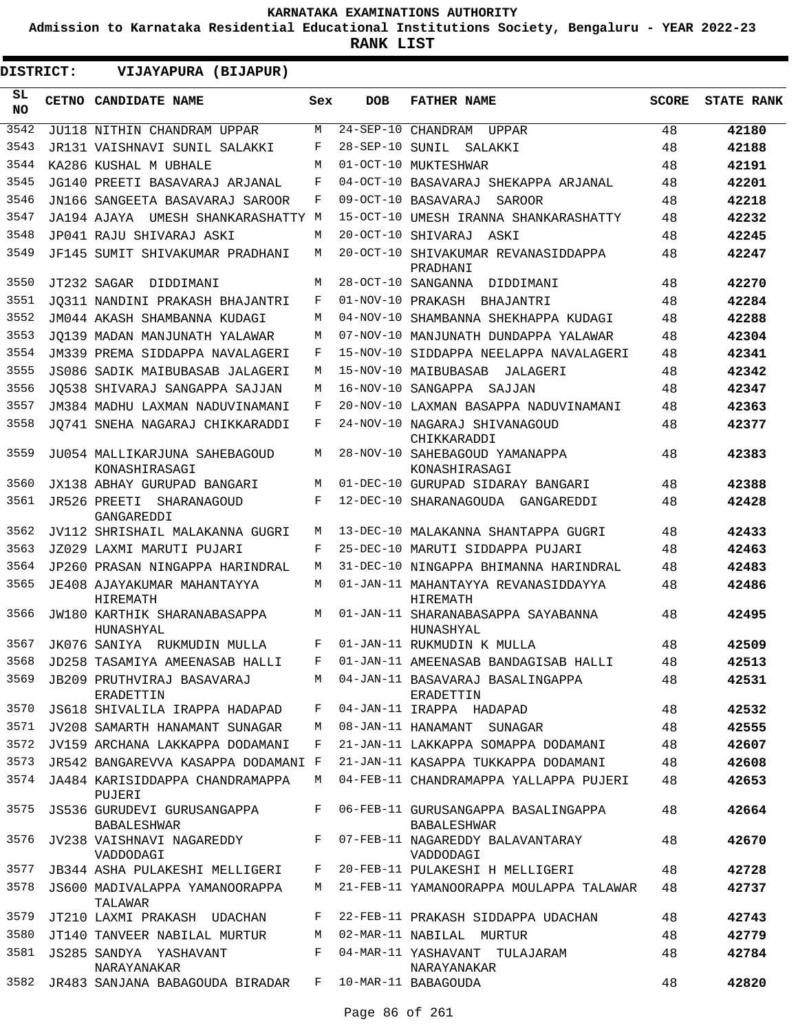**Admission to Karnataka Residential Educational Institutions Society, Bengaluru - YEAR 2022-23**

| DISTRICT:        | VIJAYAPURA (BIJAPUR)                              |     |                 |                                                           |              |                   |
|------------------|---------------------------------------------------|-----|-----------------|-----------------------------------------------------------|--------------|-------------------|
| SL.<br><b>NO</b> | CETNO CANDIDATE NAME                              | Sex | <b>DOB</b>      | <b>FATHER NAME</b>                                        | <b>SCORE</b> | <b>STATE RANK</b> |
| 3542             | JU118 NITHIN CHANDRAM UPPAR                       | М   |                 | 24-SEP-10 CHANDRAM UPPAR                                  | 48           | 42180             |
| 3543             | JR131 VAISHNAVI SUNIL SALAKKI                     | F   | 28-SEP-10 SUNIL | SALAKKI                                                   | 48           | 42188             |
| 3544             | KA286 KUSHAL M UBHALE                             | M   |                 | 01-OCT-10 MUKTESHWAR                                      | 48           | 42191             |
| 3545             | JG140 PREETI BASAVARAJ ARJANAL                    | F   |                 | 04-OCT-10 BASAVARAJ SHEKAPPA ARJANAL                      | 48           | 42201             |
| 3546             | JN166 SANGEETA BASAVARAJ SAROOR                   | F   |                 | 09-OCT-10 BASAVARAJ<br><b>SAROOR</b>                      | 48           | 42218             |
| 3547             | JA194 AJAYA UMESH SHANKARASHATTY M                |     |                 | 15-OCT-10 UMESH IRANNA SHANKARASHATTY                     | 48           | 42232             |
| 3548             | JP041 RAJU SHIVARAJ ASKI                          | М   |                 | 20-OCT-10 SHIVARAJ ASKI                                   | 48           | 42245             |
| 3549             | JF145 SUMIT SHIVAKUMAR PRADHANI                   | M   |                 | 20-OCT-10 SHIVAKUMAR REVANASIDDAPPA<br>PRADHANI           | 48           | 42247             |
| 3550             | JT232 SAGAR DIDDIMANI                             | M   |                 | 28-OCT-10 SANGANNA DIDDIMANI                              | 48           | 42270             |
| 3551             | JO311 NANDINI PRAKASH BHAJANTRI                   | F   |                 | 01-NOV-10 PRAKASH<br>BHAJANTRI                            | 48           | 42284             |
| 3552             | JM044 AKASH SHAMBANNA KUDAGI                      | М   |                 | 04-NOV-10 SHAMBANNA SHEKHAPPA KUDAGI                      | 48           | 42288             |
| 3553             | JO139 MADAN MANJUNATH YALAWAR                     | М   |                 | 07-NOV-10 MANJUNATH DUNDAPPA YALAWAR                      | 48           | 42304             |
| 3554             | JM339 PREMA SIDDAPPA NAVALAGERI                   | F   |                 | 15-NOV-10 SIDDAPPA NEELAPPA NAVALAGERI                    | 48           | 42341             |
| 3555             | JS086 SADIK MAIBUBASAB JALAGERI                   | М   |                 | 15-NOV-10 MAIBUBASAB<br>JALAGERI                          | 48           | 42342             |
| 3556             | JO538 SHIVARAJ SANGAPPA SAJJAN                    | М   |                 | 16-NOV-10 SANGAPPA SAJJAN                                 | 48           | 42347             |
| 3557             | JM384 MADHU LAXMAN NADUVINAMANI                   | F   |                 | 20-NOV-10 LAXMAN BASAPPA NADUVINAMANI                     | 48           | 42363             |
| 3558             | JQ741 SNEHA NAGARAJ CHIKKARADDI                   | F   |                 | 24-NOV-10 NAGARAJ SHIVANAGOUD<br>CHIKKARADDI              | 48           | 42377             |
| 3559             | JU054 MALLIKARJUNA SAHEBAGOUD<br>KONASHIRASAGI    | М   |                 | 28-NOV-10 SAHEBAGOUD YAMANAPPA<br>KONASHIRASAGI           | 48           | 42383             |
| 3560             | JX138 ABHAY GURUPAD BANGARI                       | М   |                 | 01-DEC-10 GURUPAD SIDARAY BANGARI                         | 48           | 42388             |
| 3561             | JR526 PREETI SHARANAGOUD<br>GANGAREDDI            | F   |                 | 12-DEC-10 SHARANAGOUDA GANGAREDDI                         | 48           | 42428             |
| 3562             | JV112 SHRISHAIL MALAKANNA GUGRI                   | М   |                 | 13-DEC-10 MALAKANNA SHANTAPPA GUGRI                       | 48           | 42433             |
| 3563             | JZ029 LAXMI MARUTI PUJARI                         | F   |                 | 25-DEC-10 MARUTI SIDDAPPA PUJARI                          | 48           | 42463             |
| 3564             | JP260 PRASAN NINGAPPA HARINDRAL                   | М   |                 | 31-DEC-10 NINGAPPA BHIMANNA HARINDRAL                     | 48           | 42483             |
| 3565             | JE408 AJAYAKUMAR MAHANTAYYA<br>HIREMATH           | М   |                 | 01-JAN-11 MAHANTAYYA REVANASIDDAYYA<br>HIREMATH           | 48           | 42486             |
| 3566             | JW180 KARTHIK SHARANABASAPPA<br>HUNASHYAL         | M   |                 | 01-JAN-11 SHARANABASAPPA SAYABANNA<br>HUNASHYAL           | 48           | 42495             |
| 3567             | JK076 SANIYA RUKMUDIN MULLA                       | F   |                 | 01-JAN-11 RUKMUDIN K MULLA                                | 48           | 42509             |
| 3568             | JD258 TASAMIYA AMEENASAB HALLI                    | F   |                 | 01-JAN-11 AMEENASAB BANDAGISAB HALLI                      | 48           | 42513             |
| 3569             | JB209 PRUTHVIRAJ BASAVARAJ<br>ERADETTIN           | М   |                 | 04-JAN-11 BASAVARAJ BASALINGAPPA<br>ERADETTIN             | 48           | 42531             |
| 3570             | JS618 SHIVALILA IRAPPA HADAPAD                    | F   |                 | 04-JAN-11 IRAPPA HADAPAD                                  | 48           | 42532             |
| 3571             | JV208 SAMARTH HANAMANT SUNAGAR                    | М   |                 | 08-JAN-11 HANAMANT SUNAGAR                                | 48           | 42555             |
| 3572             | JV159 ARCHANA LAKKAPPA DODAMANI                   | F   |                 | 21-JAN-11 LAKKAPPA SOMAPPA DODAMANI                       | 48           | 42607             |
| 3573             | JR542 BANGAREVVA KASAPPA DODAMANI F               |     |                 | 21-JAN-11 KASAPPA TUKKAPPA DODAMANI                       | 48           | 42608             |
| 3574             | JA484 KARISIDDAPPA CHANDRAMAPPA<br>PUJERI         | М   |                 | 04-FEB-11 CHANDRAMAPPA YALLAPPA PUJERI                    | 48           | 42653             |
| 3575             | JS536 GURUDEVI GURUSANGAPPA<br><b>BABALESHWAR</b> | F   |                 | 06-FEB-11 GURUSANGAPPA BASALINGAPPA<br><b>BABALESHWAR</b> | 48           | 42664             |
| 3576             | JV238 VAISHNAVI NAGAREDDY<br>VADDODAGI            | F   |                 | 07-FEB-11 NAGAREDDY BALAVANTARAY<br>VADDODAGI             | 48           | 42670             |
| 3577             | JB344 ASHA PULAKESHI MELLIGERI                    | F   |                 | 20-FEB-11 PULAKESHI H MELLIGERI                           | 48           | 42728             |
| 3578             | JS600 MADIVALAPPA YAMANOORAPPA<br>TALAWAR         | М   |                 | 21-FEB-11 YAMANOORAPPA MOULAPPA TALAWAR                   | 48           | 42737             |
| 3579             | JT210 LAXMI PRAKASH UDACHAN                       | F   |                 | 22-FEB-11 PRAKASH SIDDAPPA UDACHAN                        | 48           | 42743             |
| 3580             | JT140 TANVEER NABILAL MURTUR                      | М   |                 | 02-MAR-11 NABILAL MURTUR                                  | 48           | 42779             |
| 3581             | JS285 SANDYA YASHAVANT<br>NARAYANAKAR             | F   |                 | 04-MAR-11 YASHAVANT TULAJARAM<br>NARAYANAKAR              | 48           | 42784             |
| 3582             | JR483 SANJANA BABAGOUDA BIRADAR                   | F   |                 | 10-MAR-11 BABAGOUDA                                       | 48           | 42820             |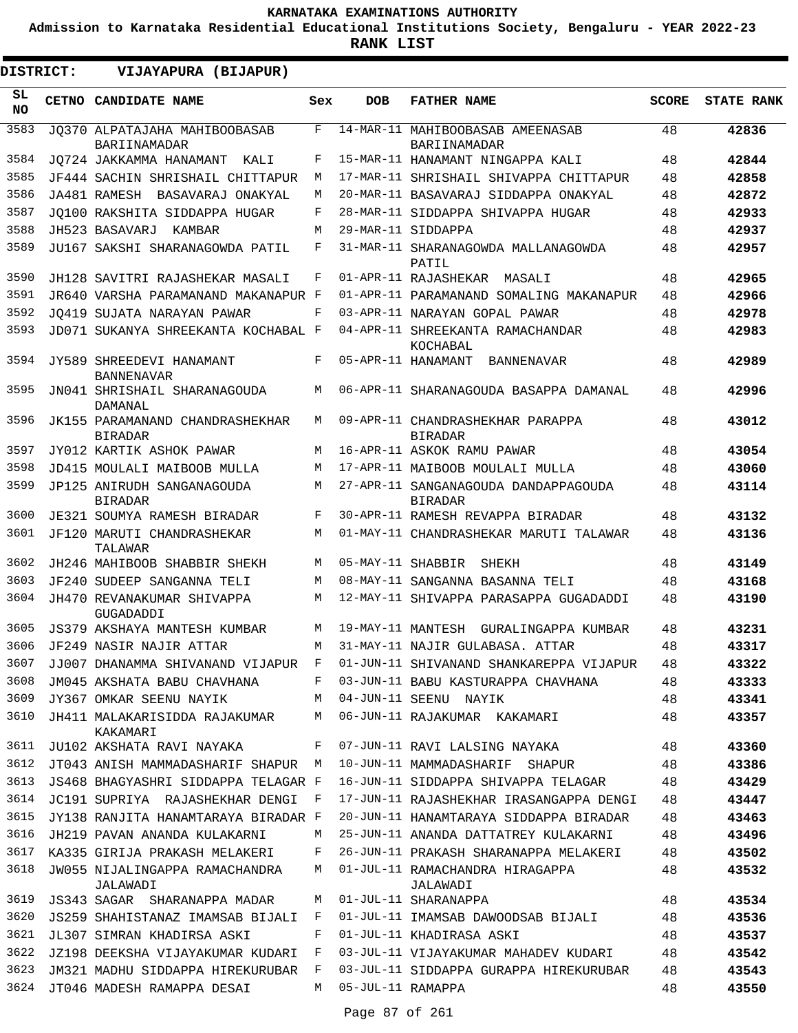**Admission to Karnataka Residential Educational Institutions Society, Bengaluru - YEAR 2022-23**

| DISTRICT:       | VIJAYAPURA (BIJAPUR)                              |              |                   |                                                        |              |                   |
|-----------------|---------------------------------------------------|--------------|-------------------|--------------------------------------------------------|--------------|-------------------|
| SL<br><b>NO</b> | CETNO CANDIDATE NAME                              | Sex          | <b>DOB</b>        | <b>FATHER NAME</b>                                     | <b>SCORE</b> | <b>STATE RANK</b> |
| 3583            | JO370 ALPATAJAHA MAHIBOOBASAB<br>BARIINAMADAR     | F            |                   | 14-MAR-11 MAHIBOOBASAB AMEENASAB<br>BARIINAMADAR       | 48           | 42836             |
| 3584            | JQ724 JAKKAMMA HANAMANT<br>KALI                   | F            |                   | 15-MAR-11 HANAMANT NINGAPPA KALI                       | 48           | 42844             |
| 3585            | JF444 SACHIN SHRISHAIL CHITTAPUR                  | М            |                   | 17-MAR-11 SHRISHAIL SHIVAPPA CHITTAPUR                 | 48           | 42858             |
| 3586            | JA481 RAMESH BASAVARAJ ONAKYAL                    | М            |                   | 20-MAR-11 BASAVARAJ SIDDAPPA ONAKYAL                   | 48           | 42872             |
| 3587            | JO100 RAKSHITA SIDDAPPA HUGAR                     | F            |                   | 28-MAR-11 SIDDAPPA SHIVAPPA HUGAR                      | 48           | 42933             |
| 3588            | JH523 BASAVARJ<br>KAMBAR                          | М            |                   | 29-MAR-11 SIDDAPPA                                     | 48           | 42937             |
| 3589            | JU167 SAKSHI SHARANAGOWDA PATIL                   | F            |                   | 31-MAR-11 SHARANAGOWDA MALLANAGOWDA<br>PATIL           | 48           | 42957             |
| 3590            | JH128 SAVITRI RAJASHEKAR MASALI                   | F            |                   | 01-APR-11 RAJASHEKAR<br>MASALI                         | 48           | 42965             |
| 3591            | JR640 VARSHA PARAMANAND MAKANAPUR F               |              |                   | 01-APR-11 PARAMANAND SOMALING MAKANAPUR                | 48           | 42966             |
| 3592            | JO419 SUJATA NARAYAN PAWAR                        | F            |                   | 03-APR-11 NARAYAN GOPAL PAWAR                          | 48           | 42978             |
| 3593            | JD071 SUKANYA SHREEKANTA KOCHABAL F               |              |                   | 04-APR-11 SHREEKANTA RAMACHANDAR<br>KOCHABAL           | 48           | 42983             |
| 3594            | JY589 SHREEDEVI HANAMANT<br><b>BANNENAVAR</b>     | F            |                   | 05-APR-11 HANAMANT<br>BANNENAVAR                       | 48           | 42989             |
| 3595            | JN041 SHRISHAIL SHARANAGOUDA<br><b>DAMANAL</b>    | М            |                   | 06-APR-11 SHARANAGOUDA BASAPPA DAMANAL                 | 48           | 42996             |
| 3596            | JK155 PARAMANAND CHANDRASHEKHAR<br><b>BIRADAR</b> | M            |                   | 09-APR-11 CHANDRASHEKHAR PARAPPA<br><b>BIRADAR</b>     | 48           | 43012             |
| 3597            | JY012 KARTIK ASHOK PAWAR                          | M            |                   | 16-APR-11 ASKOK RAMU PAWAR                             | 48           | 43054             |
| 3598            | JD415 MOULALI MAIBOOB MULLA                       | М            |                   | 17-APR-11 MAIBOOB MOULALI MULLA                        | 48           | 43060             |
| 3599            | JP125 ANIRUDH SANGANAGOUDA<br><b>BIRADAR</b>      | М            |                   | 27-APR-11 SANGANAGOUDA DANDAPPAGOUDA<br><b>BIRADAR</b> | 48           | 43114             |
| 3600            | JE321 SOUMYA RAMESH BIRADAR                       | F            |                   | 30-APR-11 RAMESH REVAPPA BIRADAR                       | 48           | 43132             |
| 3601            | JF120 MARUTI CHANDRASHEKAR<br>TALAWAR             | М            |                   | 01-MAY-11 CHANDRASHEKAR MARUTI TALAWAR                 | 48           | 43136             |
| 3602            | JH246 MAHIBOOB SHABBIR SHEKH                      | М            | 05-MAY-11 SHABBIR | SHEKH                                                  | 48           | 43149             |
| 3603            | JF240 SUDEEP SANGANNA TELI                        | М            |                   | 08-MAY-11 SANGANNA BASANNA TELI                        | 48           | 43168             |
| 3604            | JH470 REVANAKUMAR SHIVAPPA<br>GUGADADDI           | М            |                   | 12-MAY-11 SHIVAPPA PARASAPPA GUGADADDI                 | 48           | 43190             |
| 3605            | <b>JS379 AKSHAYA MANTESH KUMBAR</b>               | M            | 19-MAY-11 MANTESH | GURALINGAPPA KUMBAR                                    | 48           | 43231             |
| 3606            | JF249 NASIR NAJIR ATTAR                           | М            |                   | 31-MAY-11 NAJIR GULABASA. ATTAR                        | 48           | 43317             |
| 3607            | JJ007 DHANAMMA SHIVANAND VIJAPUR F                |              |                   | 01-JUN-11 SHIVANAND SHANKAREPPA VIJAPUR                | 48           | 43322             |
| 3608            | JM045 AKSHATA BABU CHAVHANA                       | F            |                   | 03-JUN-11 BABU KASTURAPPA CHAVHANA                     | 48           | 43333             |
| 3609            | JY367 OMKAR SEENU NAYIK                           | М            |                   | 04-JUN-11 SEENU NAYIK                                  | 48           | 43341             |
| 3610            | JH411 MALAKARISIDDA RAJAKUMAR<br>KAKAMARI         | М            |                   | 06-JUN-11 RAJAKUMAR KAKAMARI                           | 48           | 43357             |
| 3611            | JU102 AKSHATA RAVI NAYAKA                         | F            |                   | 07-JUN-11 RAVI LALSING NAYAKA                          | 48           | 43360             |
| 3612            | JT043 ANISH MAMMADASHARIF SHAPUR M                |              |                   | 10-JUN-11 MAMMADASHARIF SHAPUR                         | 48           | 43386             |
| 3613            | JS468 BHAGYASHRI SIDDAPPA TELAGAR F               |              |                   | 16-JUN-11 SIDDAPPA SHIVAPPA TELAGAR                    | 48           | 43429             |
| 3614            | JC191 SUPRIYA RAJASHEKHAR DENGI                   | $\mathbf{F}$ |                   | 17-JUN-11 RAJASHEKHAR IRASANGAPPA DENGI                | 48           | 43447             |
| 3615            | JY138 RANJITA HANAMTARAYA BIRADAR F               |              |                   | 20-JUN-11 HANAMTARAYA SIDDAPPA BIRADAR                 | 48           | 43463             |
| 3616            | JH219 PAVAN ANANDA KULAKARNI                      | М            |                   | 25-JUN-11 ANANDA DATTATREY KULAKARNI                   | 48           | 43496             |
| 3617            | KA335 GIRIJA PRAKASH MELAKERI                     | F            |                   | 26-JUN-11 PRAKASH SHARANAPPA MELAKERI                  | 48           | 43502             |
| 3618            | JW055 NIJALINGAPPA RAMACHANDRA<br>JALAWADI        | М            |                   | 01-JUL-11 RAMACHANDRA HIRAGAPPA<br>JALAWADI            | 48           | 43532             |
| 3619            | JS343 SAGAR SHARANAPPA MADAR                      | М            |                   | 01-JUL-11 SHARANAPPA                                   | 48           | 43534             |
| 3620            | JS259 SHAHISTANAZ IMAMSAB BIJALI                  | F            |                   | 01-JUL-11 IMAMSAB DAWOODSAB BIJALI                     | 48           | 43536             |
| 3621            | JL307 SIMRAN KHADIRSA ASKI                        | F            |                   | 01-JUL-11 KHADIRASA ASKI                               | 48           | 43537             |
| 3622            | JZ198 DEEKSHA VIJAYAKUMAR KUDARI                  | F            |                   | 03-JUL-11 VIJAYAKUMAR MAHADEV KUDARI                   | 48           | 43542             |
| 3623            | JM321 MADHU SIDDAPPA HIREKURUBAR                  | F            |                   | 03-JUL-11 SIDDAPPA GURAPPA HIREKURUBAR                 | 48           | 43543             |
| 3624            | JT046 MADESH RAMAPPA DESAI                        | M            | 05-JUL-11 RAMAPPA |                                                        | 48           | 43550             |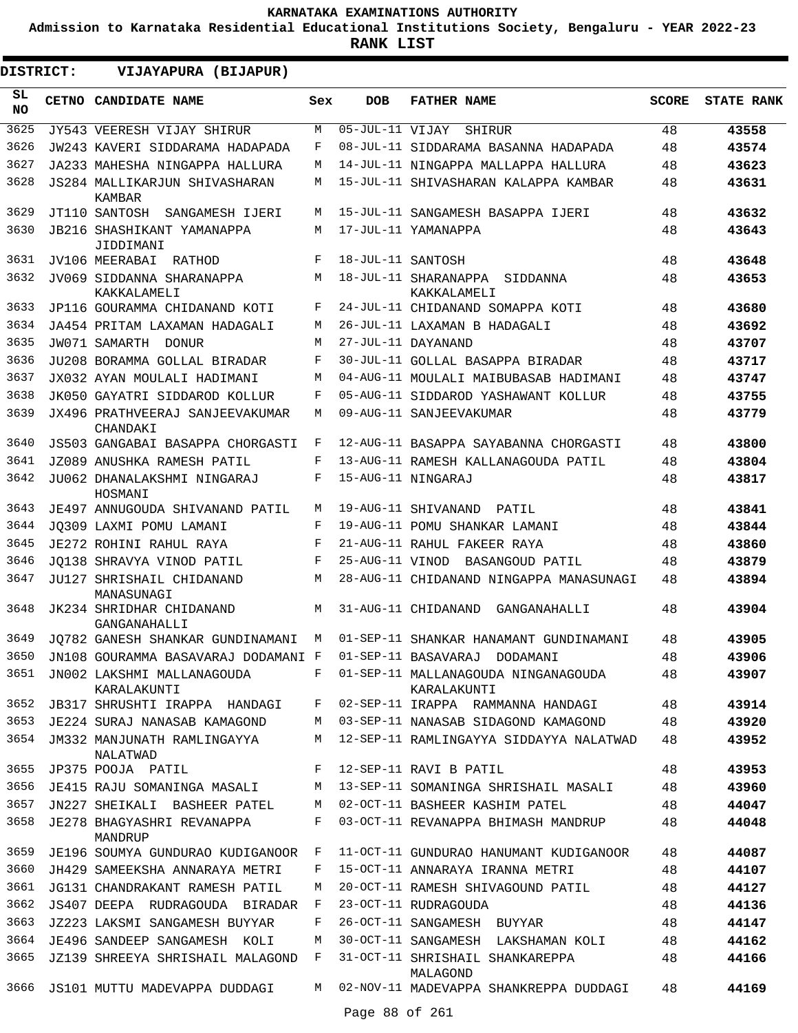**Admission to Karnataka Residential Educational Institutions Society, Bengaluru - YEAR 2022-23**

| <b>DISTRICT:</b> | VIJAYAPURA (BIJAPUR)                           |     |                   |                                                      |              |                   |
|------------------|------------------------------------------------|-----|-------------------|------------------------------------------------------|--------------|-------------------|
| SL.<br><b>NO</b> | CETNO CANDIDATE NAME                           | Sex | <b>DOB</b>        | <b>FATHER NAME</b>                                   | <b>SCORE</b> | <b>STATE RANK</b> |
| 3625             | JY543 VEERESH VIJAY SHIRUR                     | М   | 05-JUL-11 VIJAY   | <b>SHIRUR</b>                                        | 48           | 43558             |
| 3626             | JW243 KAVERI SIDDARAMA HADAPADA                | F   |                   | 08-JUL-11 SIDDARAMA BASANNA HADAPADA                 | 48           | 43574             |
| 3627             | JA233 MAHESHA NINGAPPA HALLURA                 | М   |                   | 14-JUL-11 NINGAPPA MALLAPPA HALLURA                  | 48           | 43623             |
| 3628             | JS284 MALLIKARJUN SHIVASHARAN<br>KAMBAR        | М   |                   | 15-JUL-11 SHIVASHARAN KALAPPA KAMBAR                 | 48           | 43631             |
| 3629             | JT110 SANTOSH<br>SANGAMESH IJERI               | М   |                   | 15-JUL-11 SANGAMESH BASAPPA IJERI                    | 48           | 43632             |
| 3630             | <b>JB216 SHASHIKANT YAMANAPPA</b><br>JIDDIMANI | М   |                   | 17-JUL-11 YAMANAPPA                                  | 48           | 43643             |
| 3631             | JV106 MEERABAI RATHOD                          | F   | 18-JUL-11 SANTOSH |                                                      | 48           | 43648             |
| 3632             | JV069 SIDDANNA SHARANAPPA<br>KAKKALAMELI       | M   |                   | 18-JUL-11 SHARANAPPA<br>SIDDANNA<br>KAKKALAMELI      | 48           | 43653             |
| 3633             | JP116 GOURAMMA CHIDANAND KOTI                  | F   |                   | 24-JUL-11 CHIDANAND SOMAPPA KOTI                     | 48           | 43680             |
| 3634             | JA454 PRITAM LAXAMAN HADAGALI                  | М   |                   | 26-JUL-11 LAXAMAN B HADAGALI                         | 48           | 43692             |
| 3635             | JW071 SAMARTH DONUR                            | М   |                   | 27-JUL-11 DAYANAND                                   | 48           | 43707             |
| 3636             | JU208 BORAMMA GOLLAL BIRADAR                   | F   |                   | 30-JUL-11 GOLLAL BASAPPA BIRADAR                     | 48           | 43717             |
| 3637             | JX032 AYAN MOULALI HADIMANI                    | М   |                   | 04-AUG-11 MOULALI MAIBUBASAB HADIMANI                | 48           | 43747             |
| 3638             | JK050 GAYATRI SIDDAROD KOLLUR                  | F   |                   | 05-AUG-11 SIDDAROD YASHAWANT KOLLUR                  | 48           | 43755             |
| 3639             | JX496 PRATHVEERAJ SANJEEVAKUMAR<br>CHANDAKI    | M   |                   | 09-AUG-11 SANJEEVAKUMAR                              | 48           | 43779             |
| 3640             | JS503 GANGABAI BASAPPA CHORGASTI               | F   |                   | 12-AUG-11 BASAPPA SAYABANNA CHORGASTI                | 48           | 43800             |
| 3641             | JZ089 ANUSHKA RAMESH PATIL                     | F   |                   | 13-AUG-11 RAMESH KALLANAGOUDA PATIL                  | 48           | 43804             |
| 3642             | JU062 DHANALAKSHMI NINGARAJ<br>HOSMANI         | F   |                   | 15-AUG-11 NINGARAJ                                   | 48           | 43817             |
| 3643             | JE497 ANNUGOUDA SHIVANAND PATIL                | M   |                   | 19-AUG-11 SHIVANAND<br>PATIL                         | 48           | 43841             |
| 3644             | JO309 LAXMI POMU LAMANI                        | F   |                   | 19-AUG-11 POMU SHANKAR LAMANI                        | 48           | 43844             |
| 3645             | JE272 ROHINI RAHUL RAYA                        | F   |                   | 21-AUG-11 RAHUL FAKEER RAYA                          | 48           | 43860             |
| 3646             | JO138 SHRAVYA VINOD PATIL                      | F   |                   | 25-AUG-11 VINOD BASANGOUD PATIL                      | 48           | 43879             |
| 3647             | <b>JU127 SHRISHAIL CHIDANAND</b><br>MANASUNAGI | M   |                   | 28-AUG-11 CHIDANAND NINGAPPA MANASUNAGI              | 48           | 43894             |
| 3648             | JK234 SHRIDHAR CHIDANAND<br>GANGANAHALLI       | М   |                   | 31-AUG-11 CHIDANAND GANGANAHALLI                     | 48           | 43904             |
| 3649             | JO782 GANESH SHANKAR GUNDINAMANI               | М   |                   | 01-SEP-11 SHANKAR HANAMANT GUNDINAMANI               | 48           | 43905             |
| 3650             | JN108 GOURAMMA BASAVARAJ DODAMANI F            |     |                   | 01-SEP-11 BASAVARAJ DODAMANI                         | 48           | 43906             |
| 3651             | JN002 LAKSHMI MALLANAGOUDA<br>KARALAKUNTI      |     |                   | F 01-SEP-11 MALLANAGOUDA NINGANAGOUDA<br>KARALAKUNTI | 48           | 43907             |
| 3652             | JB317 SHRUSHTI IRAPPA HANDAGI                  | F   |                   | 02-SEP-11 IRAPPA RAMMANNA HANDAGI                    | 48           | 43914             |
| 3653             | JE224 SURAJ NANASAB KAMAGOND                   | М   |                   | 03-SEP-11 NANASAB SIDAGOND KAMAGOND                  | 48           | 43920             |
| 3654             | JM332 MANJUNATH RAMLINGAYYA<br>NALATWAD        | М   |                   | 12-SEP-11 RAMLINGAYYA SIDDAYYA NALATWAD              | 48           | 43952             |
| 3655             | JP375 POOJA PATIL                              | F   |                   | 12-SEP-11 RAVI B PATIL                               | 48           | 43953             |
| 3656             | JE415 RAJU SOMANINGA MASALI                    | M   |                   | 13-SEP-11 SOMANINGA SHRISHAIL MASALI                 | 48           | 43960             |
| 3657             | JN227 SHEIKALI BASHEER PATEL                   | M   |                   | 02-OCT-11 BASHEER KASHIM PATEL                       | 48           | 44047             |
| 3658             | JE278 BHAGYASHRI REVANAPPA<br>MANDRUP          | F   |                   | 03-OCT-11 REVANAPPA BHIMASH MANDRUP                  | 48           | 44048             |
| 3659             | JE196 SOUMYA GUNDURAO KUDIGANOOR F             |     |                   | 11-OCT-11 GUNDURAO HANUMANT KUDIGANOOR               | 48           | 44087             |
| 3660             | JH429 SAMEEKSHA ANNARAYA METRI                 | F   |                   | 15-OCT-11 ANNARAYA IRANNA METRI                      | 48           | 44107             |
| 3661             | JG131 CHANDRAKANT RAMESH PATIL                 | М   |                   | 20-OCT-11 RAMESH SHIVAGOUND PATIL                    | 48           | 44127             |
| 3662             | JS407 DEEPA RUDRAGOUDA BIRADAR                 | F   |                   | 23-OCT-11 RUDRAGOUDA                                 | 48           | 44136             |
| 3663             | JZ223 LAKSMI SANGAMESH BUYYAR                  | F   |                   | 26-OCT-11 SANGAMESH BUYYAR                           | 48           | 44147             |
| 3664             | JE496 SANDEEP SANGAMESH KOLI                   | М   |                   | 30-OCT-11 SANGAMESH LAKSHAMAN KOLI                   | 48           | 44162             |
| 3665             | JZ139 SHREEYA SHRISHAIL MALAGOND               | F   |                   | 31-OCT-11 SHRISHAIL SHANKAREPPA<br>MALAGOND          | 48           | 44166             |
| 3666             | JS101 MUTTU MADEVAPPA DUDDAGI                  | M   | Page 88 of 261    | 02-NOV-11 MADEVAPPA SHANKREPPA DUDDAGI               | 48           | 44169             |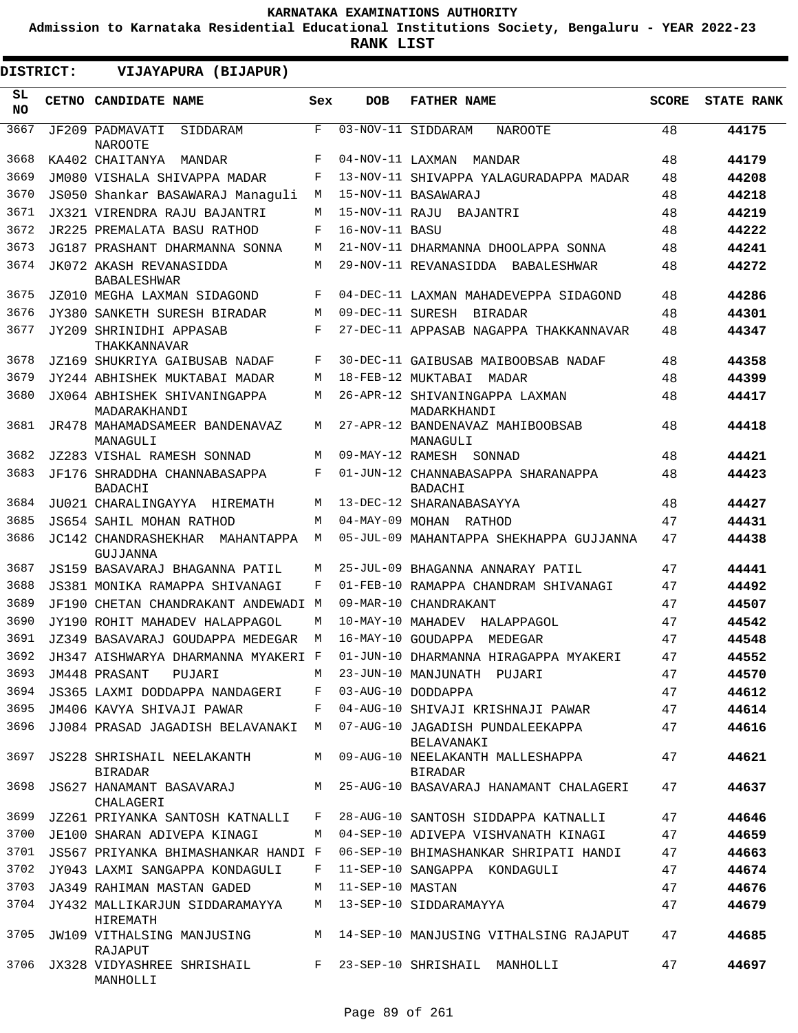**Admission to Karnataka Residential Educational Institutions Society, Bengaluru - YEAR 2022-23**

| DISTRICT:       |  | VIJAYAPURA (BIJAPUR)                                                       |              |                   |                                                                                    |              |                   |
|-----------------|--|----------------------------------------------------------------------------|--------------|-------------------|------------------------------------------------------------------------------------|--------------|-------------------|
| SL<br><b>NO</b> |  | <b>CETNO CANDIDATE NAME</b>                                                | Sex          | <b>DOB</b>        | <b>FATHER NAME</b>                                                                 | <b>SCORE</b> | <b>STATE RANK</b> |
| 3667            |  | JF209 PADMAVATI<br>SIDDARAM<br><b>NAROOTE</b>                              | $\mathbf{F}$ |                   | 03-NOV-11 SIDDARAM<br><b>NAROOTE</b>                                               | 48           | 44175             |
| 3668            |  | KA402 CHAITANYA<br>MANDAR                                                  | F            | 04-NOV-11 LAXMAN  | MANDAR                                                                             | 48           | 44179             |
| 3669            |  | JM080 VISHALA SHIVAPPA MADAR                                               | F            |                   | 13-NOV-11 SHIVAPPA YALAGURADAPPA MADAR                                             | 48           | 44208             |
| 3670            |  | JS050 Shankar BASAWARAJ Managuli                                           | М            |                   | 15-NOV-11 BASAWARAJ                                                                | 48           | 44218             |
| 3671            |  | JX321 VIRENDRA RAJU BAJANTRI                                               | M            |                   | 15-NOV-11 RAJU BAJANTRI                                                            | 48           | 44219             |
| 3672            |  | JR225 PREMALATA BASU RATHOD                                                | F            | 16-NOV-11 BASU    |                                                                                    | 48           | 44222             |
| 3673            |  | JG187 PRASHANT DHARMANNA SONNA                                             | М            |                   | 21-NOV-11 DHARMANNA DHOOLAPPA SONNA                                                | 48           | 44241             |
| 3674            |  | JK072 AKASH REVANASIDDA<br><b>BABALESHWAR</b>                              | М            |                   | 29-NOV-11 REVANASIDDA BABALESHWAR                                                  | 48           | 44272             |
| 3675            |  | JZ010 MEGHA LAXMAN SIDAGOND                                                | F            |                   | 04-DEC-11 LAXMAN MAHADEVEPPA SIDAGOND                                              | 48           | 44286             |
| 3676            |  | JY380 SANKETH SURESH BIRADAR                                               | M            | 09-DEC-11 SURESH  | BIRADAR                                                                            | 48           | 44301             |
| 3677            |  | JY209 SHRINIDHI APPASAB<br>THAKKANNAVAR                                    | F            |                   | 27-DEC-11 APPASAB NAGAPPA THAKKANNAVAR                                             | 48           | 44347             |
| 3678            |  | JZ169 SHUKRIYA GAIBUSAB NADAF                                              | F            |                   | 30-DEC-11 GAIBUSAB MAIBOOBSAB NADAF                                                | 48           | 44358             |
| 3679            |  | JY244 ABHISHEK MUKTABAI MADAR                                              | М            |                   | 18-FEB-12 MUKTABAI<br>MADAR                                                        | 48           | 44399             |
| 3680            |  | JX064 ABHISHEK SHIVANINGAPPA<br>MADARAKHANDI                               | М            |                   | 26-APR-12 SHIVANINGAPPA LAXMAN<br>MADARKHANDI                                      | 48           | 44417             |
| 3681            |  | JR478 MAHAMADSAMEER BANDENAVAZ<br>MANAGULI                                 | М            |                   | 27-APR-12 BANDENAVAZ MAHIBOOBSAB<br>MANAGULI                                       | 48           | 44418             |
| 3682            |  | JZ283 VISHAL RAMESH SONNAD                                                 | M            |                   | 09-MAY-12 RAMESH SONNAD                                                            | 48           | 44421             |
| 3683            |  | JF176 SHRADDHA CHANNABASAPPA<br><b>BADACHI</b>                             | F            |                   | 01-JUN-12 CHANNABASAPPA SHARANAPPA<br><b>BADACHI</b>                               | 48           | 44423             |
| 3684            |  | JU021 CHARALINGAYYA HIREMATH                                               | М            |                   | 13-DEC-12 SHARANABASAYYA                                                           | 48           | 44427             |
| 3685            |  | JS654 SAHIL MOHAN RATHOD                                                   | М            |                   | 04-MAY-09 MOHAN RATHOD                                                             | 47           | 44431             |
| 3686            |  | <b>JC142 CHANDRASHEKHAR</b><br>MAHANTAPPA<br>GUJJANNA                      | M            |                   | 05-JUL-09 MAHANTAPPA SHEKHAPPA GUJJANNA                                            | 47           | 44438             |
| 3687            |  | JS159 BASAVARAJ BHAGANNA PATIL                                             | М            |                   | 25-JUL-09 BHAGANNA ANNARAY PATIL                                                   | 47           | 44441             |
| 3688            |  | JS381 MONIKA RAMAPPA SHIVANAGI                                             | F            |                   | 01-FEB-10 RAMAPPA CHANDRAM SHIVANAGI                                               | 47           | 44492             |
| 3689            |  | JF190 CHETAN CHANDRAKANT ANDEWADI M                                        |              |                   | 09-MAR-10 CHANDRAKANT                                                              | 47           | 44507             |
| 3690            |  | JY190 ROHIT MAHADEV HALAPPAGOL                                             | M            | 10-MAY-10 MAHADEV | HALAPPAGOL                                                                         | 47           | 44542             |
| 3691            |  | JZ349 BASAVARAJ GOUDAPPA MEDEGAR                                           | M            |                   | 16-MAY-10 GOUDAPPA<br>MEDEGAR                                                      | 47           | 44548             |
| 3692            |  | JH347 AISHWARYA DHARMANNA MYAKERI F                                        |              |                   | 01-JUN-10 DHARMANNA HIRAGAPPA MYAKERI                                              | 47           | 44552             |
| 3693            |  | JM448 PRASANT PUJARI                                                       |              |                   | M 23-JUN-10 MANJUNATH PUJARI                                                       | 47           | 44570             |
| 3694            |  | JS365 LAXMI DODDAPPA NANDAGERI                                             | F            |                   | 03-AUG-10 DODDAPPA                                                                 | 47           | 44612             |
| 3695            |  | JM406 KAVYA SHIVAJI PAWAR                                                  | F            |                   | 04-AUG-10 SHIVAJI KRISHNAJI PAWAR                                                  | 47           | 44614             |
| 3696<br>3697    |  | JJ084 PRASAD JAGADISH BELAVANAKI M<br>JS228 SHRISHAIL NEELAKANTH           | M            |                   | 07-AUG-10 JAGADISH PUNDALEEKAPPA<br>BELAVANAKI<br>09-AUG-10 NEELAKANTH MALLESHAPPA | 47<br>47     | 44616<br>44621    |
| 3698            |  | <b>BIRADAR</b><br>JS627 HANAMANT BASAVARAJ                                 |              |                   | <b>BIRADAR</b><br>M 25-AUG-10 BASAVARAJ HANAMANT CHALAGERI                         | 47           | 44637             |
| 3699            |  | CHALAGERI<br>JZ261 PRIYANKA SANTOSH KATNALLI                               | F            |                   | 28-AUG-10 SANTOSH SIDDAPPA KATNALLI                                                | 47           |                   |
| 3700            |  | JE100 SHARAN ADIVEPA KINAGI                                                | М            |                   | 04-SEP-10 ADIVEPA VISHVANATH KINAGI                                                | 47           | 44646             |
| 3701            |  |                                                                            |              |                   |                                                                                    |              | 44659             |
| 3702            |  | JS567 PRIYANKA BHIMASHANKAR HANDI F                                        | F            |                   | 06-SEP-10 BHIMASHANKAR SHRIPATI HANDI                                              | 47<br>47     | 44663             |
| 3703            |  | JY043 LAXMI SANGAPPA KONDAGULI                                             | M            | 11-SEP-10 MASTAN  | 11-SEP-10 SANGAPPA KONDAGULI                                                       | 47           | 44674             |
| 3704            |  | JA349 RAHIMAN MASTAN GADED                                                 | M            |                   |                                                                                    | 47           | 44676             |
| 3705            |  | JY432 MALLIKARJUN SIDDARAMAYYA<br>HIREMATH<br>JW109 VITHALSING MANJUSING   |              |                   | 13-SEP-10 SIDDARAMAYYA<br>M 14-SEP-10 MANJUSING VITHALSING RAJAPUT                 | 47           | 44679             |
|                 |  | RAJAPUT                                                                    |              |                   |                                                                                    |              | 44685             |
|                 |  | 3706 JX328 VIDYASHREE SHRISHAIL F 23-SEP-10 SHRISHAIL MANHOLLI<br>MANHOLLI |              |                   |                                                                                    | 47           | 44697             |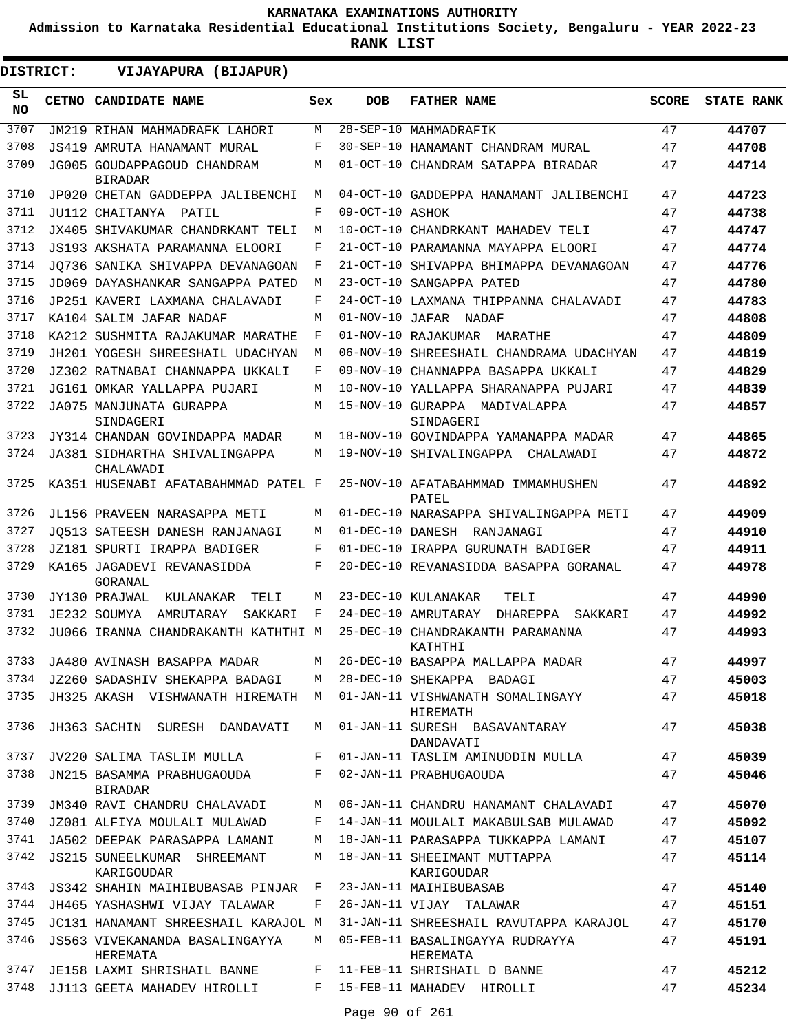**Admission to Karnataka Residential Educational Institutions Society, Bengaluru - YEAR 2022-23**

**RANK LIST**

ı

| <b>DISTRICT:</b> |  | VIJAYAPURA (BIJAPUR)                             |     |                  |                                              |              |                   |
|------------------|--|--------------------------------------------------|-----|------------------|----------------------------------------------|--------------|-------------------|
| SL<br><b>NO</b>  |  | CETNO CANDIDATE NAME                             | Sex | <b>DOB</b>       | <b>FATHER NAME</b>                           | <b>SCORE</b> | <b>STATE RANK</b> |
| 3707             |  | JM219 RIHAN MAHMADRAFK LAHORI                    | М   |                  | 28-SEP-10 MAHMADRAFIK                        | 47           | 44707             |
| 3708             |  | JS419 AMRUTA HANAMANT MURAL                      | F   |                  | 30-SEP-10 HANAMANT CHANDRAM MURAL            | 47           | 44708             |
| 3709             |  | JG005 GOUDAPPAGOUD CHANDRAM<br><b>BIRADAR</b>    | М   |                  | 01-OCT-10 CHANDRAM SATAPPA BIRADAR           | 47           | 44714             |
| 3710             |  | JP020 CHETAN GADDEPPA JALIBENCHI                 | М   |                  | 04-OCT-10 GADDEPPA HANAMANT JALIBENCHI       | 47           | 44723             |
| 3711             |  | JU112 CHAITANYA PATIL                            | F   | 09-OCT-10 ASHOK  |                                              | 47           | 44738             |
| 3712             |  | JX405 SHIVAKUMAR CHANDRKANT TELI                 | М   |                  | 10-OCT-10 CHANDRKANT MAHADEV TELI            | 47           | 44747             |
| 3713             |  | JS193 AKSHATA PARAMANNA ELOORI                   | F   |                  | 21-OCT-10 PARAMANNA MAYAPPA ELOORI           | 47           | 44774             |
| 3714             |  | JO736 SANIKA SHIVAPPA DEVANAGOAN                 | F   |                  | 21-OCT-10 SHIVAPPA BHIMAPPA DEVANAGOAN       | 47           | 44776             |
| 3715             |  | JD069 DAYASHANKAR SANGAPPA PATED                 | M   |                  | 23-OCT-10 SANGAPPA PATED                     | 47           | 44780             |
| 3716             |  | JP251 KAVERI LAXMANA CHALAVADI                   | F   |                  | 24-OCT-10 LAXMANA THIPPANNA CHALAVADI        | 47           | 44783             |
| 3717             |  | KA104 SALIM JAFAR NADAF                          | М   | 01-NOV-10 JAFAR  | NADAF                                        | 47           | 44808             |
| 3718             |  | KA212 SUSHMITA RAJAKUMAR MARATHE                 | F   |                  | 01-NOV-10 RAJAKUMAR<br>MARATHE               | 47           | 44809             |
| 3719             |  | JH201 YOGESH SHREESHAIL UDACHYAN                 | М   |                  | 06-NOV-10 SHREESHAIL CHANDRAMA UDACHYAN      | 47           | 44819             |
| 3720             |  | JZ302 RATNABAI CHANNAPPA UKKALI                  | F   |                  | 09-NOV-10 CHANNAPPA BASAPPA UKKALI           | 47           | 44829             |
| 3721             |  | JG161 OMKAR YALLAPPA PUJARI                      | М   |                  | 10-NOV-10 YALLAPPA SHARANAPPA PUJARI         | 47           | 44839             |
| 3722             |  | JA075 MANJUNATA GURAPPA<br>SINDAGERI             | М   |                  | 15-NOV-10 GURAPPA MADIVALAPPA<br>SINDAGERI   | 47           | 44857             |
| 3723             |  | JY314 CHANDAN GOVINDAPPA MADAR                   | M   |                  | 18-NOV-10 GOVINDAPPA YAMANAPPA MADAR         | 47           | 44865             |
| 3724             |  | JA381 SIDHARTHA SHIVALINGAPPA<br>CHALAWADI       | М   |                  | 19-NOV-10 SHIVALINGAPPA<br>CHALAWADI         | 47           | 44872             |
| 3725             |  | KA351 HUSENABI AFATABAHMMAD PATEL F              |     |                  | 25-NOV-10 AFATABAHMMAD IMMAMHUSHEN<br>PATEL  | 47           | 44892             |
| 3726             |  | JL156 PRAVEEN NARASAPPA METI                     | М   |                  | 01-DEC-10 NARASAPPA SHIVALINGAPPA METI       | 47           | 44909             |
| 3727             |  | JO513 SATEESH DANESH RANJANAGI                   | M   | 01-DEC-10 DANESH | RANJANAGI                                    | 47           | 44910             |
| 3728             |  | JZ181 SPURTI IRAPPA BADIGER                      | F   |                  | 01-DEC-10 IRAPPA GURUNATH BADIGER            | 47           | 44911             |
| 3729             |  | KA165 JAGADEVI REVANASIDDA<br>GORANAL            | F   |                  | 20-DEC-10 REVANASIDDA BASAPPA GORANAL        | 47           | 44978             |
| 3730             |  | JY130 PRAJWAL<br>KULANAKAR<br>TELI               | М   |                  | 23-DEC-10 KULANAKAR<br>TELI                  | 47           | 44990             |
| 3731             |  | JE232 SOUMYA<br>AMRUTARAY<br>SAKKARI             | F   |                  | 24-DEC-10 AMRUTARAY<br>DHAREPPA<br>SAKKARI   | 47           | 44992             |
| 3732             |  | JU066 IRANNA CHANDRAKANTH KATHTHI M              |     |                  | 25-DEC-10 CHANDRAKANTH PARAMANNA<br>KATHTHI  | 47           | 44993             |
| 3733             |  | JA480 AVINASH BASAPPA MADAR                      | М   |                  | 26-DEC-10 BASAPPA MALLAPPA MADAR             | 47           | 44997             |
| 3734             |  | JZ260 SADASHIV SHEKAPPA BADAGI                   | M   |                  | 28-DEC-10 SHEKAPPA BADAGI                    | 47           | 45003             |
| 3735             |  | JH325 AKASH VISHWANATH HIREMATH M                |     |                  | 01-JAN-11 VISHWANATH SOMALINGAYY<br>HIREMATH | 47           | 45018             |
| 3736             |  | JH363 SACHIN SURESH DANDAVATI                    | М   |                  | 01-JAN-11 SURESH BASAVANTARAY<br>DANDAVATI   | 47           | 45038             |
| 3737             |  | JV220 SALIMA TASLIM MULLA                        | F   |                  | 01-JAN-11 TASLIM AMINUDDIN MULLA             | 47           | 45039             |
| 3738             |  | JN215 BASAMMA PRABHUGAOUDA<br><b>BIRADAR</b>     | F   |                  | 02-JAN-11 PRABHUGAOUDA                       | 47           | 45046             |
| 3739             |  | JM340 RAVI CHANDRU CHALAVADI                     | М   |                  | 06-JAN-11 CHANDRU HANAMANT CHALAVADI         | 47           | 45070             |
| 3740             |  | JZ081 ALFIYA MOULALI MULAWAD                     | F   |                  | 14-JAN-11 MOULALI MAKABULSAB MULAWAD         | 47           | 45092             |
| 3741             |  | JA502 DEEPAK PARASAPPA LAMANI                    | М   |                  | 18-JAN-11 PARASAPPA TUKKAPPA LAMANI          | 47           | 45107             |
| 3742             |  | <b>JS215 SUNEELKUMAR SHREEMANT</b><br>KARIGOUDAR | M   |                  | 18-JAN-11 SHEEIMANT MUTTAPPA<br>KARIGOUDAR   | 47           | 45114             |
| 3743             |  | JS342 SHAHIN MAIHIBUBASAB PINJAR                 | F   |                  | 23-JAN-11 MAIHIBUBASAB                       | 47           | 45140             |
| 3744             |  | JH465 YASHASHWI VIJAY TALAWAR                    | F   |                  | 26-JAN-11 VIJAY TALAWAR                      | 47           | 45151             |
| 3745             |  | JC131 HANAMANT SHREESHAIL KARAJOL M              |     |                  | 31-JAN-11 SHREESHAIL RAVUTAPPA KARAJOL       | 47           | 45170             |
| 3746             |  | JS563 VIVEKANANDA BASALINGAYYA<br>HEREMATA       | M   |                  | 05-FEB-11 BASALINGAYYA RUDRAYYA<br>HEREMATA  | 47           | 45191             |
| 3747             |  | JE158 LAXMI SHRISHAIL BANNE                      | F   |                  | 11-FEB-11 SHRISHAIL D BANNE                  | 47           | 45212             |
| 3748             |  | JJ113 GEETA MAHADEV HIROLLI                      | F   |                  | 15-FEB-11 MAHADEV HIROLLI                    | 47           | 45234             |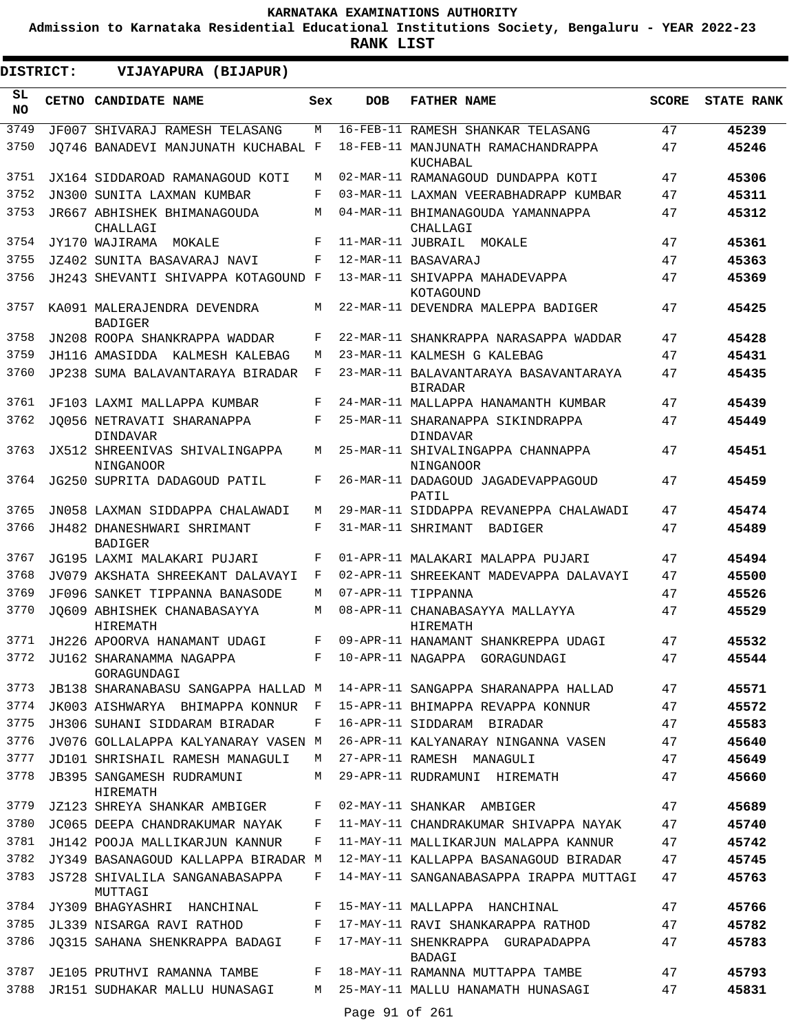**Admission to Karnataka Residential Educational Institutions Society, Bengaluru - YEAR 2022-23**

| DISTRICT:        | VIJAYAPURA (BIJAPUR)                                                |            |            |                                                           |              |                   |
|------------------|---------------------------------------------------------------------|------------|------------|-----------------------------------------------------------|--------------|-------------------|
| SL.<br><b>NO</b> | CETNO CANDIDATE NAME                                                | Sex        | <b>DOB</b> | <b>FATHER NAME</b>                                        | <b>SCORE</b> | <b>STATE RANK</b> |
| 3749             | JF007 SHIVARAJ RAMESH TELASANG                                      | M          |            | 16-FEB-11 RAMESH SHANKAR TELASANG                         | 47           | 45239             |
| 3750             | JO746 BANADEVI MANJUNATH KUCHABAL F                                 |            |            | 18-FEB-11 MANJUNATH RAMACHANDRAPPA<br>KUCHABAL            | 47           | 45246             |
| 3751             | JX164 SIDDAROAD RAMANAGOUD KOTI                                     | М          |            | 02-MAR-11 RAMANAGOUD DUNDAPPA KOTI                        | 47           | 45306             |
| 3752             | JN300 SUNITA LAXMAN KUMBAR                                          | F          |            | 03-MAR-11 LAXMAN VEERABHADRAPP KUMBAR                     | 47           | 45311             |
| 3753             | JR667 ABHISHEK BHIMANAGOUDA<br>CHALLAGI                             | М          |            | 04-MAR-11 BHIMANAGOUDA YAMANNAPPA<br>CHALLAGI             | 47           | 45312             |
| 3754             | JY170 WAJIRAMA<br>MOKALE                                            | F          |            | 11-MAR-11 JUBRAIL MOKALE                                  | 47           | 45361             |
| 3755             | JZ402 SUNITA BASAVARAJ NAVI                                         | F          |            | 12-MAR-11 BASAVARAJ                                       | 47           | 45363             |
| 3756             | JH243 SHEVANTI SHIVAPPA KOTAGOUND F                                 |            |            | 13-MAR-11 SHIVAPPA MAHADEVAPPA<br>KOTAGOUND               | 47           | 45369             |
| 3757             | KA091 MALERAJENDRA DEVENDRA<br><b>BADIGER</b>                       | М          |            | 22-MAR-11 DEVENDRA MALEPPA BADIGER                        | 47           | 45425             |
| 3758             | JN208 ROOPA SHANKRAPPA WADDAR                                       | F          |            | 22-MAR-11 SHANKRAPPA NARASAPPA WADDAR                     | 47           | 45428             |
| 3759             | JH116 AMASIDDA KALMESH KALEBAG                                      | М          |            | 23-MAR-11 KALMESH G KALEBAG                               | 47           | 45431             |
| 3760             | JP238 SUMA BALAVANTARAYA BIRADAR                                    | F          |            | 23-MAR-11 BALAVANTARAYA BASAVANTARAYA<br><b>BIRADAR</b>   | 47           | 45435             |
| 3761             | JF103 LAXMI MALLAPPA KUMBAR                                         | F          |            | 24-MAR-11 MALLAPPA HANAMANTH KUMBAR                       | 47           | 45439             |
| 3762             | JO056 NETRAVATI SHARANAPPA<br><b>DINDAVAR</b>                       | $_{\rm F}$ |            | 25-MAR-11 SHARANAPPA SIKINDRAPPA<br><b>DINDAVAR</b>       | 47           | 45449             |
| 3763             | <b>JX512 SHREENIVAS SHIVALINGAPPA</b><br>NINGANOOR                  | М          |            | 25-MAR-11 SHIVALINGAPPA CHANNAPPA<br>NINGANOOR            | 47           | 45451             |
| 3764             | JG250 SUPRITA DADAGOUD PATIL                                        | F          |            | 26-MAR-11 DADAGOUD JAGADEVAPPAGOUD<br>PATIL               | 47           | 45459             |
| 3765             | JN058 LAXMAN SIDDAPPA CHALAWADI                                     | М          |            | 29-MAR-11 SIDDAPPA REVANEPPA CHALAWADI                    | 47           | 45474             |
| 3766             | JH482 DHANESHWARI SHRIMANT<br><b>BADIGER</b>                        | $_{\rm F}$ |            | 31-MAR-11 SHRIMANT<br>BADIGER                             | 47           | 45489             |
| 3767             | JG195 LAXMI MALAKARI PUJARI                                         | F          |            | 01-APR-11 MALAKARI MALAPPA PUJARI                         | 47           | 45494             |
| 3768             | JV079 AKSHATA SHREEKANT DALAVAYI                                    | F          |            | 02-APR-11 SHREEKANT MADEVAPPA DALAVAYI                    | 47           | 45500             |
| 3769             | JF096 SANKET TIPPANNA BANASODE                                      | М          |            | 07-APR-11 TIPPANNA                                        | 47           | 45526             |
| 3770             | JO609 ABHISHEK CHANABASAYYA<br>HIREMATH                             | М          |            | 08-APR-11 CHANABASAYYA MALLAYYA<br>HIREMATH               | 47           | 45529             |
| 3771             | JH226 APOORVA HANAMANT UDAGI                                        | F          |            | 09-APR-11 HANAMANT SHANKREPPA UDAGI                       | 47           | 45532             |
| 3772             | JU162 SHARANAMMA NAGAPPA<br>GORAGUNDAGI                             | F          |            | 10-APR-11 NAGAPPA GORAGUNDAGI                             | 47           | 45544             |
| 3773             | JB138 SHARANABASU SANGAPPA HALLAD M                                 |            |            | 14-APR-11 SANGAPPA SHARANAPPA HALLAD                      | 47           | 45571             |
| 3774             | JK003 AISHWARYA BHIMAPPA KONNUR F                                   |            |            | 15-APR-11 BHIMAPPA REVAPPA KONNUR                         | 47           | 45572             |
| 3775             | JH306 SUHANI SIDDARAM BIRADAR                                       | F          |            | 16-APR-11 SIDDARAM BIRADAR                                | 47           | 45583             |
| 3776             | JV076 GOLLALAPPA KALYANARAY VASEN M                                 |            |            | 26-APR-11 KALYANARAY NINGANNA VASEN                       | 47           | 45640             |
| 3777<br>3778     | JD101 SHRISHAIL RAMESH MANAGULI<br><b>JB395 SANGAMESH RUDRAMUNI</b> | M<br>M     |            | 27-APR-11 RAMESH MANAGULI<br>29-APR-11 RUDRAMUNI HIREMATH | 47<br>47     | 45649<br>45660    |
| 3779             | HIREMATH<br>JZ123 SHREYA SHANKAR AMBIGER                            | F          |            | 02-MAY-11 SHANKAR AMBIGER                                 | 47           | 45689             |
| 3780             | JC065 DEEPA CHANDRAKUMAR NAYAK                                      | F          |            | 11-MAY-11 CHANDRAKUMAR SHIVAPPA NAYAK                     | 47           | 45740             |
| 3781             | JH142 POOJA MALLIKARJUN KANNUR                                      | F          |            | 11-MAY-11 MALLIKARJUN MALAPPA KANNUR                      | 47           | 45742             |
| 3782             | JY349 BASANAGOUD KALLAPPA BIRADAR M                                 |            |            | 12-MAY-11 KALLAPPA BASANAGOUD BIRADAR                     | 47           | 45745             |
| 3783             | JS728 SHIVALILA SANGANABASAPPA<br>MUTTAGI                           | F          |            | 14-MAY-11 SANGANABASAPPA IRAPPA MUTTAGI                   | 47           | 45763             |
| 3784             | JY309 BHAGYASHRI HANCHINAL                                          | F          |            | 15-MAY-11 MALLAPPA HANCHINAL                              | 47           | 45766             |
| 3785             | JL339 NISARGA RAVI RATHOD                                           | F          |            | 17-MAY-11 RAVI SHANKARAPPA RATHOD                         | 47           | 45782             |
| 3786             | JQ315 SAHANA SHENKRAPPA BADAGI                                      | F          |            | 17-MAY-11 SHENKRAPPA GURAPADAPPA<br>BADAGI                | 47           | 45783             |
| 3787             | JE105 PRUTHVI RAMANNA TAMBE                                         | F          |            | 18-MAY-11 RAMANNA MUTTAPPA TAMBE                          | 47           | 45793             |
| 3788             | JR151 SUDHAKAR MALLU HUNASAGI                                       | М          |            | 25-MAY-11 MALLU HANAMATH HUNASAGI                         | 47           | 45831             |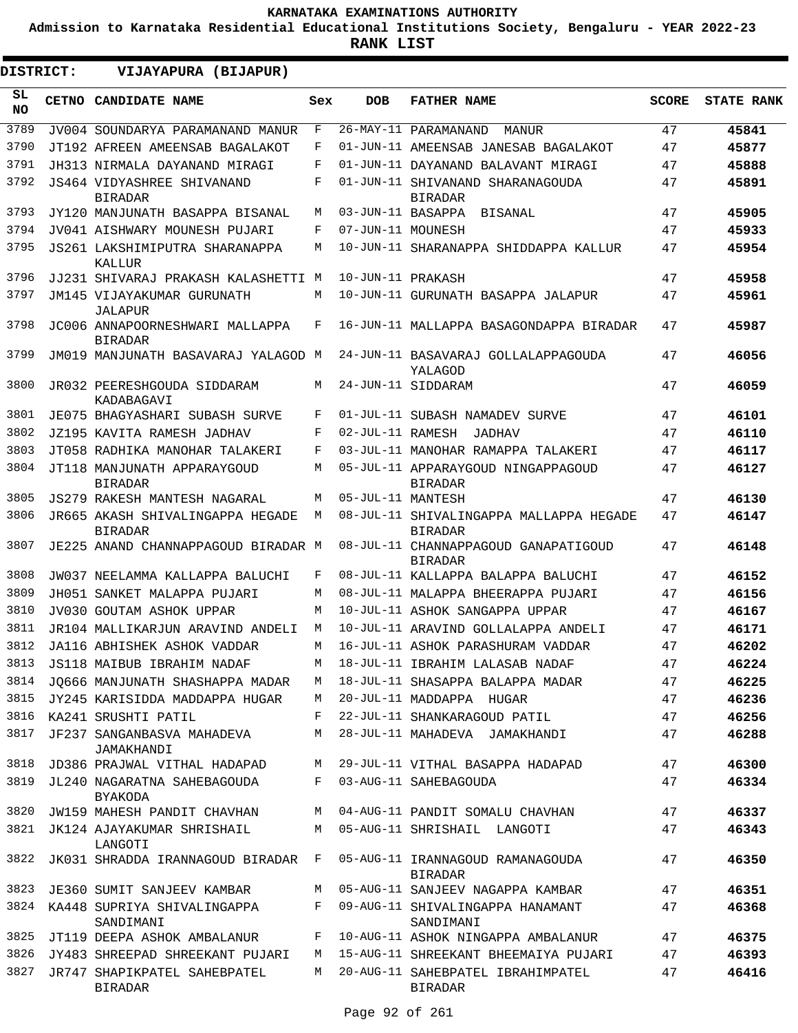**Admission to Karnataka Residential Educational Institutions Society, Bengaluru - YEAR 2022-23**

**RANK LIST**

ı

| DISTRICT:        | VIJAYAPURA (BIJAPUR)                               |     |                   |                                                           |              |                   |
|------------------|----------------------------------------------------|-----|-------------------|-----------------------------------------------------------|--------------|-------------------|
| SL.<br><b>NO</b> | CETNO CANDIDATE NAME                               | Sex | <b>DOB</b>        | <b>FATHER NAME</b>                                        | <b>SCORE</b> | <b>STATE RANK</b> |
| 3789             | JV004 SOUNDARYA PARAMANAND MANUR                   | F   |                   | 26-MAY-11 PARAMANAND<br>MANUR                             | 47           | 45841             |
| 3790             | JT192 AFREEN AMEENSAB BAGALAKOT                    | F   |                   | 01-JUN-11 AMEENSAB JANESAB BAGALAKOT                      | 47           | 45877             |
| 3791             | JH313 NIRMALA DAYANAND MIRAGI                      | F   |                   | 01-JUN-11 DAYANAND BALAVANT MIRAGI                        | 47           | 45888             |
| 3792             | JS464 VIDYASHREE SHIVANAND<br><b>BIRADAR</b>       | F   |                   | 01-JUN-11 SHIVANAND SHARANAGOUDA<br><b>BIRADAR</b>        | 47           | 45891             |
| 3793             | JY120 MANJUNATH BASAPPA BISANAL                    | М   |                   | 03-JUN-11 BASAPPA BISANAL                                 | 47           | 45905             |
| 3794             | JV041 AISHWARY MOUNESH PUJARI                      | F   | 07-JUN-11 MOUNESH |                                                           | 47           | 45933             |
| 3795             | JS261 LAKSHIMIPUTRA SHARANAPPA<br>KALLUR           | М   |                   | 10-JUN-11 SHARANAPPA SHIDDAPPA KALLUR                     | 47           | 45954             |
| 3796             | JJ231 SHIVARAJ PRAKASH KALASHETTI M                |     | 10-JUN-11 PRAKASH |                                                           | 47           | 45958             |
| 3797             | JM145 VIJAYAKUMAR GURUNATH<br>JALAPUR              | М   |                   | 10-JUN-11 GURUNATH BASAPPA JALAPUR                        | 47           | 45961             |
| 3798             | JC006 ANNAPOORNESHWARI MALLAPPA<br><b>BIRADAR</b>  | F   |                   | 16-JUN-11 MALLAPPA BASAGONDAPPA BIRADAR                   | 47           | 45987             |
| 3799             | JM019 MANJUNATH BASAVARAJ YALAGOD M                |     |                   | 24-JUN-11 BASAVARAJ GOLLALAPPAGOUDA<br>YALAGOD            | 47           | 46056             |
| 3800             | JR032 PEERESHGOUDA SIDDARAM<br>KADABAGAVI          | M   |                   | 24-JUN-11 SIDDARAM                                        | 47           | 46059             |
| 3801             | JE075 BHAGYASHARI SUBASH SURVE                     | F   |                   | 01-JUL-11 SUBASH NAMADEV SURVE                            | 47           | 46101             |
| 3802             | JZ195 KAVITA RAMESH JADHAV                         | F   | 02-JUL-11 RAMESH  | JADHAV                                                    | 47           | 46110             |
| 3803             | JT058 RADHIKA MANOHAR TALAKERI                     | F   |                   | 03-JUL-11 MANOHAR RAMAPPA TALAKERI                        | 47           | 46117             |
| 3804             | JT118 MANJUNATH APPARAYGOUD<br><b>BIRADAR</b>      | М   |                   | 05-JUL-11 APPARAYGOUD NINGAPPAGOUD<br><b>BIRADAR</b>      | 47           | 46127             |
| 3805             | JS279 RAKESH MANTESH NAGARAL                       | М   | 05-JUL-11 MANTESH |                                                           | 47           | 46130             |
| 3806             | JR665 AKASH SHIVALINGAPPA HEGADE<br><b>BIRADAR</b> | M   |                   | 08-JUL-11 SHIVALINGAPPA MALLAPPA HEGADE<br><b>BIRADAR</b> | 47           | 46147             |
| 3807             | JE225 ANAND CHANNAPPAGOUD BIRADAR M                |     |                   | 08-JUL-11 CHANNAPPAGOUD GANAPATIGOUD<br><b>BIRADAR</b>    | 47           | 46148             |
| 3808             | JW037 NEELAMMA KALLAPPA BALUCHI                    | F   |                   | 08-JUL-11 KALLAPPA BALAPPA BALUCHI                        | 47           | 46152             |
| 3809             | JH051 SANKET MALAPPA PUJARI                        | M   |                   | 08-JUL-11 MALAPPA BHEERAPPA PUJARI                        | 47           | 46156             |
| 3810             | JV030 GOUTAM ASHOK UPPAR                           | М   |                   | 10-JUL-11 ASHOK SANGAPPA UPPAR                            | 47           | 46167             |
| 3811             | JR104 MALLIKARJUN ARAVIND ANDELI                   | M   |                   | 10-JUL-11 ARAVIND GOLLALAPPA ANDELI                       | 47           | 46171             |
| 3812             | JA116 ABHISHEK ASHOK VADDAR                        | М   |                   | 16-JUL-11 ASHOK PARASHURAM VADDAR                         | 47           | 46202             |
| 3813             | <b>JS118 MAIBUB IBRAHIM NADAF</b>                  | М   |                   | 18-JUL-11 IBRAHIM LALASAB NADAF                           | 47           | 46224             |
| 3814             | JO666 MANJUNATH SHASHAPPA MADAR                    | М   |                   | 18-JUL-11 SHASAPPA BALAPPA MADAR                          | 47           | 46225             |
| 3815             | JY245 KARISIDDA MADDAPPA HUGAR                     | M   |                   | 20-JUL-11 MADDAPPA HUGAR                                  | 47           | 46236             |
| 3816             | KA241 SRUSHTI PATIL                                | F   |                   | 22-JUL-11 SHANKARAGOUD PATIL                              | 47           | 46256             |
| 3817             | JF237 SANGANBASVA MAHADEVA<br>JAMAKHANDI           | М   |                   | 28-JUL-11 MAHADEVA JAMAKHANDI                             | 47           | 46288             |
| 3818             | JD386 PRAJWAL VITHAL HADAPAD                       | М   |                   | 29-JUL-11 VITHAL BASAPPA HADAPAD                          | 47           | 46300             |
| 3819             | JL240 NAGARATNA SAHEBAGOUDA<br>BYAKODA             | F   |                   | 03-AUG-11 SAHEBAGOUDA                                     | 47           | 46334             |
| 3820             | JW159 MAHESH PANDIT CHAVHAN                        | М   |                   | 04-AUG-11 PANDIT SOMALU CHAVHAN                           | 47           | 46337             |
| 3821             | JK124 AJAYAKUMAR SHRISHAIL<br>LANGOTI              | М   |                   | 05-AUG-11 SHRISHAIL LANGOTI                               | 47           | 46343             |
| 3822             | JK031 SHRADDA IRANNAGOUD BIRADAR                   | F   |                   | 05-AUG-11 IRANNAGOUD RAMANAGOUDA<br>BIRADAR               | 47           | 46350             |
| 3823             | JE360 SUMIT SANJEEV KAMBAR                         | М   |                   | 05-AUG-11 SANJEEV NAGAPPA KAMBAR                          | 47           | 46351             |
| 3824             | KA448 SUPRIYA SHIVALINGAPPA<br>SANDIMANI           | F   |                   | 09-AUG-11 SHIVALINGAPPA HANAMANT<br>SANDIMANI             | 47           | 46368             |
| 3825             | JT119 DEEPA ASHOK AMBALANUR                        | F   |                   | 10-AUG-11 ASHOK NINGAPPA AMBALANUR                        | 47           | 46375             |
| 3826             | JY483 SHREEPAD SHREEKANT PUJARI                    | М   |                   | 15-AUG-11 SHREEKANT BHEEMAIYA PUJARI                      | 47           | 46393             |
| 3827             | JR747 SHAPIKPATEL SAHEBPATEL<br>BIRADAR            | M   |                   | 20-AUG-11 SAHEBPATEL IBRAHIMPATEL<br><b>BIRADAR</b>       | 47           | 46416             |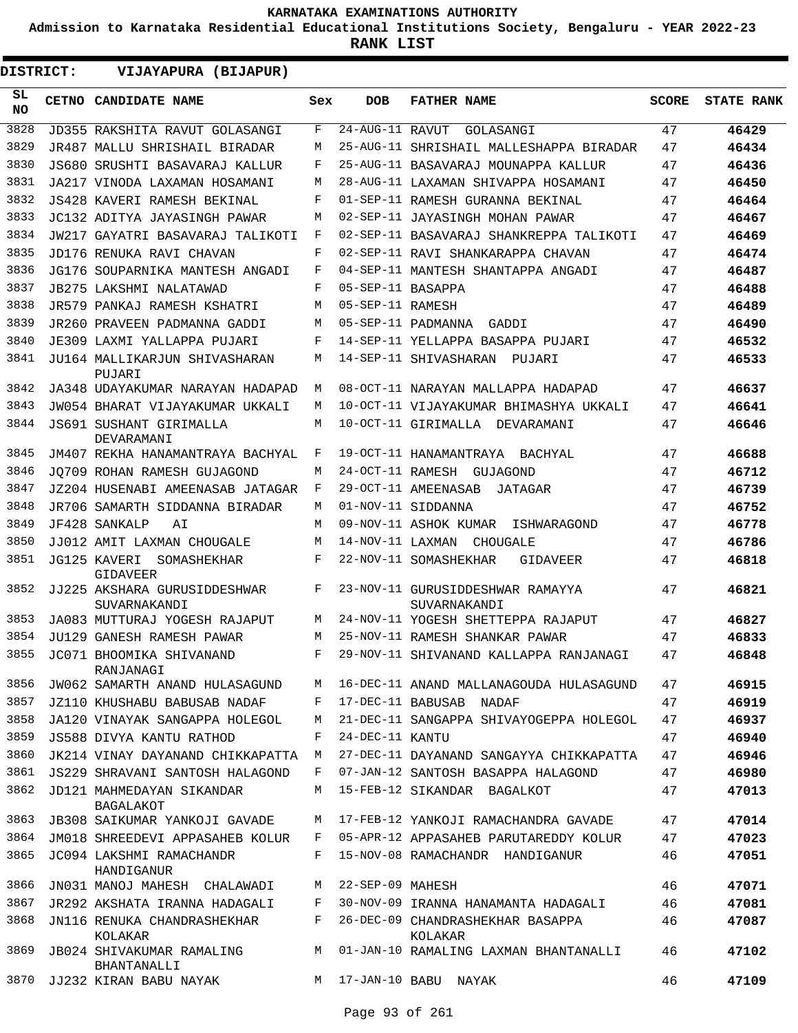**Admission to Karnataka Residential Educational Institutions Society, Bengaluru - YEAR 2022-23**

**RANK LIST**

**DISTRICT:** EE **VIJAYAPURA (BIJAPUR)**

| SL<br><b>NO</b> | CETNO CANDIDATE NAME                         | Sex        | <b>DOB</b>        | <b>FATHER NAME</b>                               | <b>SCORE</b> | <b>STATE RANK</b> |
|-----------------|----------------------------------------------|------------|-------------------|--------------------------------------------------|--------------|-------------------|
| 3828            | JD355 RAKSHITA RAVUT GOLASANGI               | F          | 24-AUG-11 RAVUT   | GOLASANGI                                        | 47           | 46429             |
| 3829            | JR487 MALLU SHRISHAIL BIRADAR                | М          |                   | 25-AUG-11 SHRISHAIL MALLESHAPPA BIRADAR          | 47           | 46434             |
| 3830            | JS680 SRUSHTI BASAVARAJ KALLUR               | F          |                   | 25-AUG-11 BASAVARAJ MOUNAPPA KALLUR              | 47           | 46436             |
| 3831            | JA217 VINODA LAXAMAN HOSAMANI                | М          |                   | 28-AUG-11 LAXAMAN SHIVAPPA HOSAMANI              | 47           | 46450             |
| 3832            | JS428 KAVERI RAMESH BEKINAL                  | F          |                   | 01-SEP-11 RAMESH GURANNA BEKINAL                 | 47           | 46464             |
| 3833            | JC132 ADITYA JAYASINGH PAWAR                 | М          |                   | 02-SEP-11 JAYASINGH MOHAN PAWAR                  | 47           | 46467             |
| 3834            | JW217 GAYATRI BASAVARAJ TALIKOTI             | F          |                   | 02-SEP-11 BASAVARAJ SHANKREPPA TALIKOTI          | 47           | 46469             |
| 3835            | JD176 RENUKA RAVI CHAVAN                     | $_{\rm F}$ |                   | 02-SEP-11 RAVI SHANKARAPPA CHAVAN                | 47           | 46474             |
| 3836            | JG176 SOUPARNIKA MANTESH ANGADI              | F          |                   | 04-SEP-11 MANTESH SHANTAPPA ANGADI               | 47           | 46487             |
| 3837            | JB275 LAKSHMI NALATAWAD                      | $_{\rm F}$ | 05-SEP-11 BASAPPA |                                                  | 47           | 46488             |
| 3838            | JR579 PANKAJ RAMESH KSHATRI                  | М          | 05-SEP-11 RAMESH  |                                                  | 47           | 46489             |
| 3839            | JR260 PRAVEEN PADMANNA GADDI                 | М          |                   | 05-SEP-11 PADMANNA GADDI                         | 47           | 46490             |
| 3840            | JE309 LAXMI YALLAPPA PUJARI                  | F          |                   | 14-SEP-11 YELLAPPA BASAPPA PUJARI                | 47           | 46532             |
| 3841            | JU164 MALLIKARJUN SHIVASHARAN<br>PUJARI      | М          |                   | 14-SEP-11 SHIVASHARAN<br>PUJARI                  | 47           | 46533             |
| 3842            | JA348 UDAYAKUMAR NARAYAN HADAPAD             | M          |                   | 08-OCT-11 NARAYAN MALLAPPA HADAPAD               | 47           | 46637             |
| 3843            | JW054 BHARAT VIJAYAKUMAR UKKALI              | М          |                   | 10-OCT-11 VIJAYAKUMAR BHIMASHYA UKKALI           | 47           | 46641             |
| 3844            | JS691 SUSHANT GIRIMALLA<br>DEVARAMANI        | М          |                   | 10-OCT-11 GIRIMALLA DEVARAMANI                   | 47           | 46646             |
| 3845            | JM407 REKHA HANAMANTRAYA BACHYAL             | F          |                   | 19-OCT-11 HANAMANTRAYA<br>BACHYAL                | 47           | 46688             |
| 3846            | JO709 ROHAN RAMESH GUJAGOND                  | М          |                   | 24-OCT-11 RAMESH GUJAGOND                        | 47           | 46712             |
| 3847            | JZ204 HUSENABI AMEENASAB JATAGAR             | F          |                   | 29-OCT-11 AMEENASAB<br>JATAGAR                   | 47           | 46739             |
| 3848            | JR706 SAMARTH SIDDANNA BIRADAR               | М          |                   | 01-NOV-11 SIDDANNA                               | 47           | 46752             |
| 3849            | JF428 SANKALP<br>ΑI                          | М          |                   | 09-NOV-11 ASHOK KUMAR<br>ISHWARAGOND             | 47           | 46778             |
| 3850            | JJ012 AMIT LAXMAN CHOUGALE                   | M          |                   | 14-NOV-11 LAXMAN CHOUGALE                        | 47           | 46786             |
| 3851            | JG125 KAVERI<br>SOMASHEKHAR<br>GIDAVEER      | $_{\rm F}$ |                   | 22-NOV-11 SOMASHEKHAR<br>GIDAVEER                | 47           | 46818             |
| 3852            | JJ225 AKSHARA GURUSIDDESHWAR<br>SUVARNAKANDI | F          |                   | 23-NOV-11 GURUSIDDESHWAR RAMAYYA<br>SUVARNAKANDI | 47           | 46821             |
| 3853            | JA083 MUTTURAJ YOGESH RAJAPUT                | М          |                   | 24-NOV-11 YOGESH SHETTEPPA RAJAPUT               | 47           | 46827             |
| 3854            | JU129 GANESH RAMESH PAWAR                    | М          |                   | 25-NOV-11 RAMESH SHANKAR PAWAR                   | 47           | 46833             |
| 3855            | JC071 BHOOMIKA SHIVANAND<br>RANJANAGI        | $_{\rm F}$ |                   | 29-NOV-11 SHIVANAND KALLAPPA RANJANAGI           | 47           | 46848             |
| 3856            | JW062 SAMARTH ANAND HULASAGUND               | М          |                   | 16-DEC-11 ANAND MALLANAGOUDA HULASAGUND          | 47           | 46915             |
| 3857            | JZ110 KHUSHABU BABUSAB NADAF                 | F          |                   | 17-DEC-11 BABUSAB NADAF                          | 47           | 46919             |
| 3858            | JA120 VINAYAK SANGAPPA HOLEGOL               | М          |                   | 21-DEC-11 SANGAPPA SHIVAYOGEPPA HOLEGOL          | 47           | 46937             |
| 3859            | JS588 DIVYA KANTU RATHOD                     | F          | 24-DEC-11 KANTU   |                                                  | 47           | 46940             |
| 3860            | JK214 VINAY DAYANAND CHIKKAPATTA             | M          |                   | 27-DEC-11 DAYANAND SANGAYYA CHIKKAPATTA          | 47           | 46946             |
| 3861            | JS229 SHRAVANI SANTOSH HALAGOND              | F          |                   | 07-JAN-12 SANTOSH BASAPPA HALAGOND               | 47           | 46980             |
| 3862            | JD121 MAHMEDAYAN SIKANDAR<br>BAGALAKOT       | M          |                   | 15-FEB-12 SIKANDAR BAGALKOT                      | 47           | 47013             |
| 3863            | JB308 SAIKUMAR YANKOJI GAVADE                | М          |                   | 17-FEB-12 YANKOJI RAMACHANDRA GAVADE             | 47           | 47014             |
| 3864            | JM018 SHREEDEVI APPASAHEB KOLUR              | F          |                   | 05-APR-12 APPASAHEB PARUTAREDDY KOLUR            | 47           | 47023             |
| 3865            | JC094 LAKSHMI RAMACHANDR<br>HANDIGANUR       | F          |                   | 15-NOV-08 RAMACHANDR HANDIGANUR                  | 46           | 47051             |
| 3866            | JN031 MANOJ MAHESH CHALAWADI                 | M          | 22-SEP-09 MAHESH  |                                                  | 46           | 47071             |
| 3867            | JR292 AKSHATA IRANNA HADAGALI                | F          |                   | 30-NOV-09 IRANNA HANAMANTA HADAGALI              | 46           | 47081             |
| 3868            | JN116 RENUKA CHANDRASHEKHAR<br>KOLAKAR       | F          |                   | 26-DEC-09 CHANDRASHEKHAR BASAPPA<br>KOLAKAR      | 46           | 47087             |
| 3869            | JB024 SHIVAKUMAR RAMALING<br>BHANTANALLI     | M          |                   | 01-JAN-10 RAMALING LAXMAN BHANTANALLI            | 46           | 47102             |
| 3870            | JJ232 KIRAN BABU NAYAK                       |            |                   | M 17-JAN-10 BABU NAYAK                           | 46           | 47109             |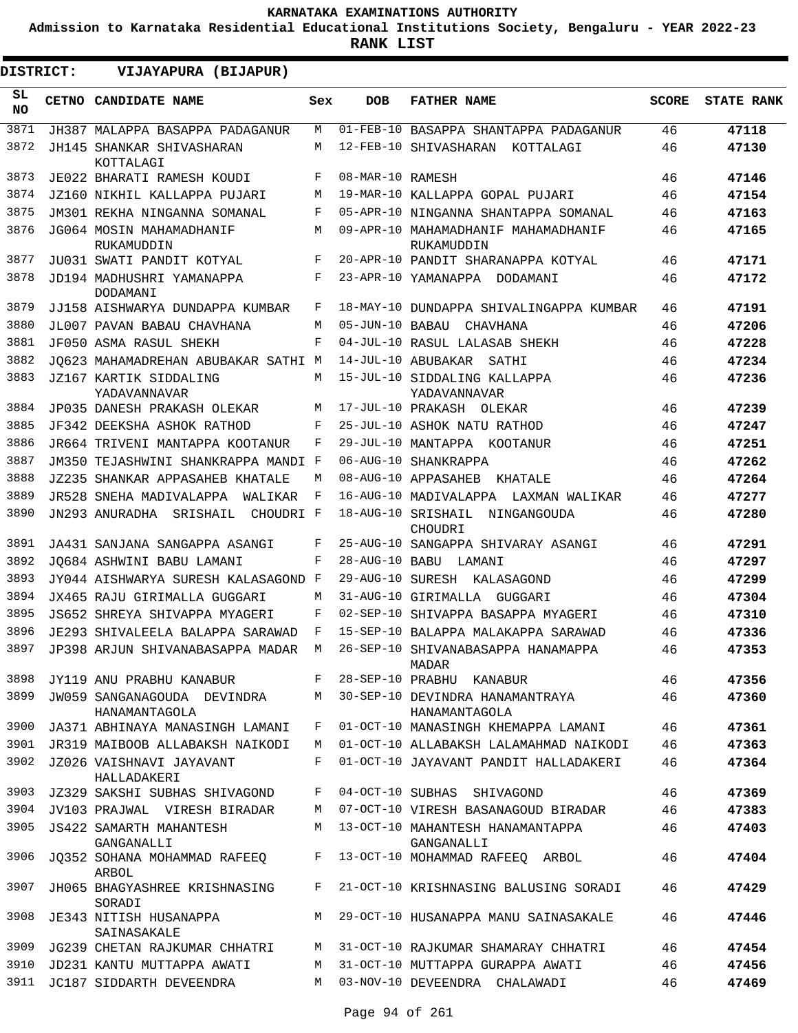**Admission to Karnataka Residential Educational Institutions Society, Bengaluru - YEAR 2022-23**

**RANK LIST**

ı

| <b>DISTRICT:</b> |  | VIJAYAPURA (BIJAPUR)                           |     |                  |                                                   |              |                   |
|------------------|--|------------------------------------------------|-----|------------------|---------------------------------------------------|--------------|-------------------|
| SL.<br><b>NO</b> |  | CETNO CANDIDATE NAME                           | Sex | <b>DOB</b>       | <b>FATHER NAME</b>                                | <b>SCORE</b> | <b>STATE RANK</b> |
| 3871             |  | JH387 MALAPPA BASAPPA PADAGANUR                | M   |                  | 01-FEB-10 BASAPPA SHANTAPPA PADAGANUR             | 46           | 47118             |
| 3872             |  | JH145 SHANKAR SHIVASHARAN<br>KOTTALAGI         | M   |                  | 12-FEB-10 SHIVASHARAN KOTTALAGI                   | 46           | 47130             |
| 3873             |  | JE022 BHARATI RAMESH KOUDI                     | F   | 08-MAR-10 RAMESH |                                                   | 46           | 47146             |
| 3874             |  | JZ160 NIKHIL KALLAPPA PUJARI                   | M   |                  | 19-MAR-10 KALLAPPA GOPAL PUJARI                   | 46           | 47154             |
| 3875             |  | JM301 REKHA NINGANNA SOMANAL                   | F   |                  | 05-APR-10 NINGANNA SHANTAPPA SOMANAL              | 46           | 47163             |
| 3876             |  | JG064 MOSIN MAHAMADHANIF<br>RUKAMUDDIN         | M   |                  | 09-APR-10 MAHAMADHANIF MAHAMADHANIF<br>RUKAMUDDIN | 46           | 47165             |
| 3877             |  | JU031 SWATI PANDIT KOTYAL                      | F   |                  | 20-APR-10 PANDIT SHARANAPPA KOTYAL                | 46           | 47171             |
| 3878             |  | JD194 MADHUSHRI YAMANAPPA<br>DODAMANI          | F   |                  | 23-APR-10 YAMANAPPA DODAMANI                      | 46           | 47172             |
| 3879             |  | JJ158 AISHWARYA DUNDAPPA KUMBAR                | F   |                  | 18-MAY-10 DUNDAPPA SHIVALINGAPPA KUMBAR           | 46           | 47191             |
| 3880             |  | JL007 PAVAN BABAU CHAVHANA                     | M   | 05-JUN-10 BABAU  | CHAVHANA                                          | 46           | 47206             |
| 3881             |  | JF050 ASMA RASUL SHEKH                         | F   |                  | 04-JUL-10 RASUL LALASAB SHEKH                     | 46           | 47228             |
| 3882             |  | JO623 MAHAMADREHAN ABUBAKAR SATHI M            |     |                  | 14-JUL-10 ABUBAKAR SATHI                          | 46           | 47234             |
| 3883             |  | JZ167 KARTIK SIDDALING<br>YADAVANNAVAR         | M   |                  | 15-JUL-10 SIDDALING KALLAPPA<br>YADAVANNAVAR      | 46           | 47236             |
| 3884             |  | JP035 DANESH PRAKASH OLEKAR                    | M   |                  | 17-JUL-10 PRAKASH OLEKAR                          | 46           | 47239             |
| 3885             |  | JF342 DEEKSHA ASHOK RATHOD                     | F   |                  | 25-JUL-10 ASHOK NATU RATHOD                       | 46           | 47247             |
| 3886             |  | JR664 TRIVENI MANTAPPA KOOTANUR                | F   |                  | 29-JUL-10 MANTAPPA KOOTANUR                       | 46           | 47251             |
| 3887             |  | JM350 TEJASHWINI SHANKRAPPA MANDI F            |     |                  | 06-AUG-10 SHANKRAPPA                              | 46           | 47262             |
| 3888             |  | JZ235 SHANKAR APPASAHEB KHATALE                | M   |                  | 08-AUG-10 APPASAHEB KHATALE                       | 46           | 47264             |
| 3889             |  | JR528 SNEHA MADIVALAPPA<br>WALIKAR             | F   |                  | 16-AUG-10 MADIVALAPPA LAXMAN WALIKAR              | 46           | 47277             |
| 3890             |  | JN293 ANURADHA SRISHAIL<br>CHOUDRI F           |     |                  | 18-AUG-10 SRISHAIL NINGANGOUDA<br>CHOUDRI         | 46           | 47280             |
| 3891             |  | JA431 SANJANA SANGAPPA ASANGI                  | F   |                  | 25-AUG-10 SANGAPPA SHIVARAY ASANGI                | 46           | 47291             |
| 3892             |  | JO684 ASHWINI BABU LAMANI                      | F   |                  | 28-AUG-10 BABU LAMANI                             | 46           | 47297             |
| 3893             |  | JY044 AISHWARYA SURESH KALASAGOND F            |     |                  | 29-AUG-10 SURESH KALASAGOND                       | 46           | 47299             |
| 3894             |  | JX465 RAJU GIRIMALLA GUGGARI                   | M   |                  | 31-AUG-10 GIRIMALLA GUGGARI                       | 46           | 47304             |
| 3895             |  | JS652 SHREYA SHIVAPPA MYAGERI                  | F   |                  | 02-SEP-10 SHIVAPPA BASAPPA MYAGERI                | 46           | 47310             |
| 3896             |  | JE293 SHIVALEELA BALAPPA SARAWAD               | F   |                  | 15-SEP-10 BALAPPA MALAKAPPA SARAWAD               | 46           | 47336             |
| 3897             |  | JP398 ARJUN SHIVANABASAPPA MADAR M             |     |                  | 26-SEP-10 SHIVANABASAPPA HANAMAPPA<br>MADAR       | 46           | 47353             |
| 3898             |  | JY119 ANU PRABHU KANABUR F                     |     |                  | 28-SEP-10 PRABHU KANABUR                          | 46           | 47356             |
| 3899             |  | JW059 SANGANAGOUDA DEVINDRA M<br>HANAMANTAGOLA |     |                  | 30-SEP-10 DEVINDRA HANAMANTRAYA<br>HANAMANTAGOLA  | 46           | 47360             |
| 3900             |  | JA371 ABHINAYA MANASINGH LAMANI                | F   |                  | 01-OCT-10 MANASINGH KHEMAPPA LAMANI               | 46           | 47361             |
| 3901             |  | JR319 MAIBOOB ALLABAKSH NAIKODI                | M   |                  | 01-OCT-10 ALLABAKSH LALAMAHMAD NAIKODI            | 46           | 47363             |
| 3902             |  | JZ026 VAISHNAVI JAYAVANT<br>HALLADAKERI        | F   |                  | 01-OCT-10 JAYAVANT PANDIT HALLADAKERI             | 46           | 47364             |
| 3903             |  | JZ329 SAKSHI SUBHAS SHIVAGOND                  | F   |                  | 04-OCT-10 SUBHAS SHIVAGOND                        | 46           | 47369             |
| 3904             |  | JV103 PRAJWAL VIRESH BIRADAR                   | M   |                  | 07-OCT-10 VIRESH BASANAGOUD BIRADAR               | 46           | 47383             |
| 3905             |  | JS422 SAMARTH MAHANTESH<br>GANGANALLI          | M   |                  | 13-OCT-10 MAHANTESH HANAMANTAPPA<br>GANGANALLI    | 46           | 47403             |
| 3906             |  | JQ352 SOHANA MOHAMMAD RAFEEQ<br>ARBOL          | F   |                  | 13-OCT-10 MOHAMMAD RAFEEQ ARBOL                   | 46           | 47404             |
| 3907             |  | JH065 BHAGYASHREE KRISHNASING<br>SORADI        | F   |                  | 21-OCT-10 KRISHNASING BALUSING SORADI             | 46           | 47429             |
| 3908             |  | JE343 NITISH HUSANAPPA<br>SAINASAKALE          | M   |                  | 29-OCT-10 HUSANAPPA MANU SAINASAKALE              | 46           | 47446             |
| 3909             |  | JG239 CHETAN RAJKUMAR CHHATRI                  | M   |                  | 31-OCT-10 RAJKUMAR SHAMARAY CHHATRI               | 46           | 47454             |
| 3910             |  | JD231 KANTU MUTTAPPA AWATI                     | M   |                  | 31-OCT-10 MUTTAPPA GURAPPA AWATI                  | 46           | 47456             |
|                  |  | 3911 JC187 SIDDARTH DEVEENDRA                  | M   |                  | 03-NOV-10 DEVEENDRA CHALAWADI                     | 46           | 47469             |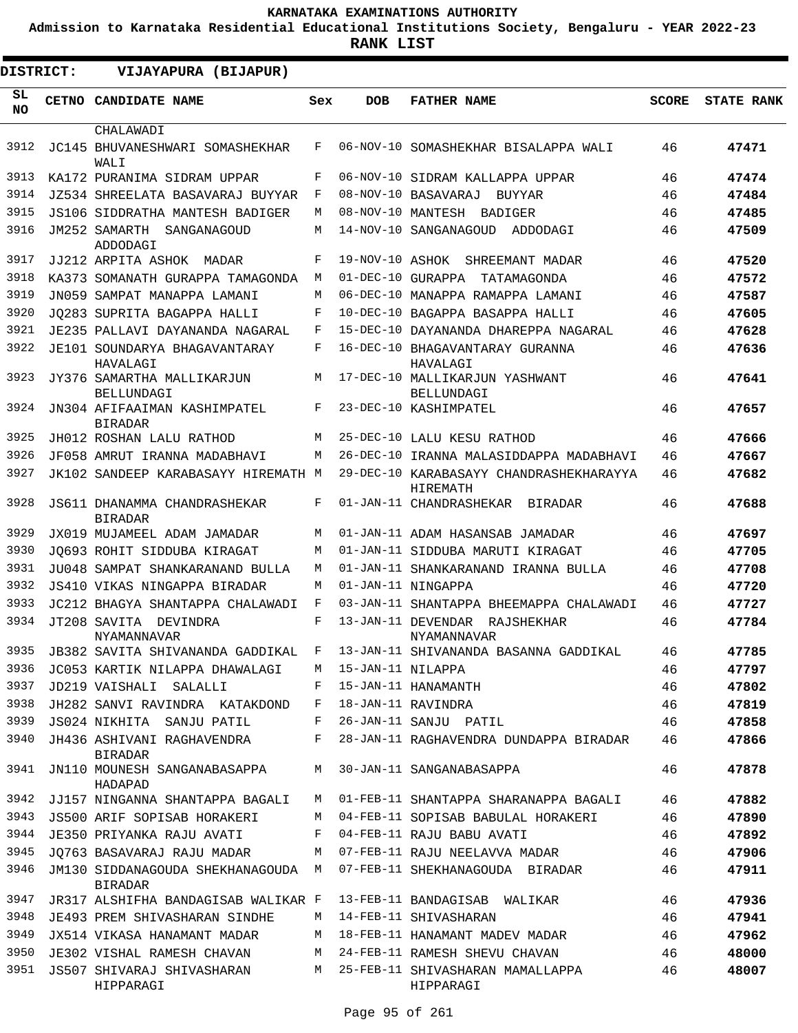**Admission to Karnataka Residential Educational Institutions Society, Bengaluru - YEAR 2022-23**

| <b>DISTRICT:</b> | VIJAYAPURA (BIJAPUR)                                 |     |                     |                                                                               |              |                   |
|------------------|------------------------------------------------------|-----|---------------------|-------------------------------------------------------------------------------|--------------|-------------------|
| SL<br><b>NO</b>  | <b>CETNO CANDIDATE NAME</b>                          | Sex | <b>DOB</b>          | <b>FATHER NAME</b>                                                            | <b>SCORE</b> | <b>STATE RANK</b> |
| 3912             | CHALAWADI<br>JC145 BHUVANESHWARI SOMASHEKHAR         | F   |                     | 06-NOV-10 SOMASHEKHAR BISALAPPA WALI                                          | 46           | 47471             |
| 3913             | WALI<br>KA172 PURANIMA SIDRAM UPPAR                  | F   |                     | 06-NOV-10 SIDRAM KALLAPPA UPPAR                                               | 46           | 47474             |
| 3914             | JZ534 SHREELATA BASAVARAJ BUYYAR                     | F   |                     | 08-NOV-10 BASAVARAJ BUYYAR                                                    | 46           | 47484             |
| 3915             | JS106 SIDDRATHA MANTESH BADIGER                      | М   |                     | 08-NOV-10 MANTESH BADIGER                                                     | 46           | 47485             |
| 3916             | JM252 SAMARTH SANGANAGOUD<br>ADDODAGI                | М   |                     | 14-NOV-10 SANGANAGOUD<br>ADDODAGI                                             | 46           | 47509             |
| 3917             | JJ212 ARPITA ASHOK MADAR                             | F   | 19-NOV-10 ASHOK     | SHREEMANT MADAR                                                               | 46           | 47520             |
| 3918             | KA373 SOMANATH GURAPPA TAMAGONDA                     | М   | 01-DEC-10 GURAPPA   | TATAMAGONDA                                                                   | 46           | 47572             |
| 3919             | JN059 SAMPAT MANAPPA LAMANI                          | М   |                     | 06-DEC-10 MANAPPA RAMAPPA LAMANI                                              | 46           | 47587             |
| 3920             | JO283 SUPRITA BAGAPPA HALLI                          | F   |                     | 10-DEC-10 BAGAPPA BASAPPA HALLI                                               | 46           | 47605             |
| 3921             | JE235 PALLAVI DAYANANDA NAGARAL                      | F   |                     | 15-DEC-10 DAYANANDA DHAREPPA NAGARAL                                          | 46           | 47628             |
| 3922             | JE101 SOUNDARYA BHAGAVANTARAY<br>HAVALAGI            | F   |                     | 16-DEC-10 BHAGAVANTARAY GURANNA<br>HAVALAGI                                   | 46           | 47636             |
| 3923             | JY376 SAMARTHA MALLIKARJUN<br><b>BELLUNDAGI</b>      | M   |                     | 17-DEC-10 MALLIKARJUN YASHWANT<br>BELLUNDAGI                                  | 46           | 47641             |
| 3924             | JN304 AFIFAAIMAN KASHIMPATEL<br><b>BIRADAR</b>       | F   |                     | 23-DEC-10 KASHIMPATEL                                                         | 46           | 47657             |
| 3925             | JH012 ROSHAN LALU RATHOD                             | М   |                     | 25-DEC-10 LALU KESU RATHOD                                                    | 46           | 47666             |
| 3926             | JF058 AMRUT IRANNA MADABHAVI                         | М   |                     | 26-DEC-10 IRANNA MALASIDDAPPA MADABHAVI                                       | 46           | 47667             |
| 3927             | JK102 SANDEEP KARABASAYY HIREMATH M                  |     |                     | 29-DEC-10 KARABASAYY CHANDRASHEKHARAYYA<br>HIREMATH                           | 46           | 47682             |
| 3928             | JS611 DHANAMMA CHANDRASHEKAR<br><b>BIRADAR</b>       | F   |                     | 01-JAN-11 CHANDRASHEKAR BIRADAR                                               | 46           | 47688             |
| 3929             | JX019 MUJAMEEL ADAM JAMADAR                          | М   |                     | 01-JAN-11 ADAM HASANSAB JAMADAR                                               | 46           | 47697             |
| 3930             | JO693 ROHIT SIDDUBA KIRAGAT                          | М   |                     | 01-JAN-11 SIDDUBA MARUTI KIRAGAT                                              | 46           | 47705             |
| 3931             | JU048 SAMPAT SHANKARANAND BULLA                      | М   |                     | 01-JAN-11 SHANKARANAND IRANNA BULLA                                           | 46           | 47708             |
| 3932             | JS410 VIKAS NINGAPPA BIRADAR                         | М   |                     | 01-JAN-11 NINGAPPA                                                            | 46           | 47720             |
| 3933             | JC212 BHAGYA SHANTAPPA CHALAWADI                     | F   |                     | 03-JAN-11 SHANTAPPA BHEEMAPPA CHALAWADI                                       | 46           | 47727             |
| 3934             | JT208 SAVITA DEVINDRA<br>NYAMANNAVAR                 | F   |                     | 13-JAN-11 DEVENDAR RAJSHEKHAR<br>NYAMANNAVAR                                  | 46           | 47784             |
|                  |                                                      |     |                     | 3935 JB382 SAVITA SHIVANANDA GADDIKAL F 13-JAN-11 SHIVANANDA BASANNA GADDIKAL | 46           | 47785             |
| 3936             | JC053 KARTIK NILAPPA DHAWALAGI                       |     | M 15-JAN-11 NILAPPA |                                                                               | 46           | 47797             |
| 3937             | JD219 VAISHALI SALALLI                               | F   |                     | 15-JAN-11 HANAMANTH                                                           | 46           | 47802             |
| 3938             | JH282 SANVI RAVINDRA KATAKDOND                       | F   |                     | 18-JAN-11 RAVINDRA                                                            | 46           | 47819             |
| 3939             | JS024 NIKHITA SANJU PATIL                            | F   |                     | 26-JAN-11 SANJU PATIL                                                         | 46           | 47858             |
| 3940             | JH436 ASHIVANI RAGHAVENDRA<br><b>BIRADAR</b>         | F   |                     | 28-JAN-11 RAGHAVENDRA DUNDAPPA BIRADAR                                        | 46           | 47866             |
| 3941             | JN110 MOUNESH SANGANABASAPPA<br>HADAPAD              | M   |                     | 30-JAN-11 SANGANABASAPPA                                                      | 46           | 47878             |
| 3942             | JJ157 NINGANNA SHANTAPPA BAGALI                      | M   |                     | 01-FEB-11 SHANTAPPA SHARANAPPA BAGALI                                         | 46           | 47882             |
| 3943             | JS500 ARIF SOPISAB HORAKERI                          | М   |                     | 04-FEB-11 SOPISAB BABULAL HORAKERI                                            | 46           | 47890             |
| 3944             | JE350 PRIYANKA RAJU AVATI                            | F   |                     | 04-FEB-11 RAJU BABU AVATI                                                     | 46           | 47892             |
| 3945             | JO763 BASAVARAJ RAJU MADAR                           | М   |                     | 07-FEB-11 RAJU NEELAVVA MADAR                                                 | 46           | 47906             |
| 3946             | JM130 SIDDANAGOUDA SHEKHANAGOUDA M<br><b>BIRADAR</b> |     |                     | 07-FEB-11 SHEKHANAGOUDA BIRADAR                                               | 46           | 47911             |
| 3947             | JR317 ALSHIFHA BANDAGISAB WALIKAR F                  |     |                     | 13-FEB-11 BANDAGISAB WALIKAR                                                  | 46           | 47936             |
| 3948             | JE493 PREM SHIVASHARAN SINDHE                        | M   |                     | 14-FEB-11 SHIVASHARAN                                                         | 46           | 47941             |
| 3949             | JX514 VIKASA HANAMANT MADAR                          | М   |                     | 18-FEB-11 HANAMANT MADEV MADAR                                                | 46           | 47962             |
| 3950             | JE302 VISHAL RAMESH CHAVAN                           | М   |                     | 24-FEB-11 RAMESH SHEVU CHAVAN                                                 | 46           | 48000             |
| 3951             | JS507 SHIVARAJ SHIVASHARAN<br>HIPPARAGI              | M   |                     | 25-FEB-11 SHIVASHARAN MAMALLAPPA<br>HIPPARAGI                                 | 46           | 48007             |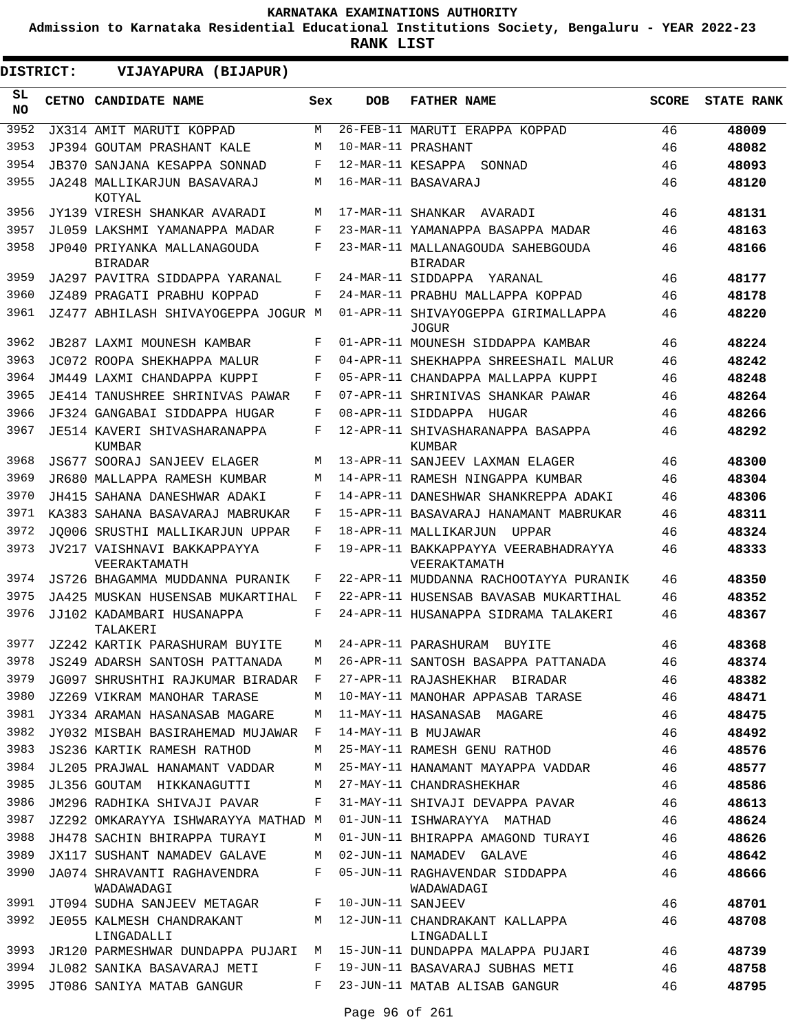**Admission to Karnataka Residential Educational Institutions Society, Bengaluru - YEAR 2022-23**

**RANK LIST**

ı

| <b>DISTRICT:</b> |  | VIJAYAPURA (BIJAPUR)                          |     |                    |                                                      |              |                   |
|------------------|--|-----------------------------------------------|-----|--------------------|------------------------------------------------------|--------------|-------------------|
| SL.<br><b>NO</b> |  | CETNO CANDIDATE NAME                          | Sex | <b>DOB</b>         | <b>FATHER NAME</b>                                   | <b>SCORE</b> | <b>STATE RANK</b> |
| 3952             |  | JX314 AMIT MARUTI KOPPAD                      | M   |                    | 26-FEB-11 MARUTI ERAPPA KOPPAD                       | 46           | 48009             |
| 3953             |  | JP394 GOUTAM PRASHANT KALE                    | M   | 10-MAR-11 PRASHANT |                                                      | 46           | 48082             |
| 3954             |  | JB370 SANJANA KESAPPA SONNAD                  | F   |                    | 12-MAR-11 KESAPPA SONNAD                             | 46           | 48093             |
| 3955             |  | JA248 MALLIKARJUN BASAVARAJ<br>KOTYAL         | M   |                    | 16-MAR-11 BASAVARAJ                                  | 46           | 48120             |
| 3956             |  | JY139 VIRESH SHANKAR AVARADI                  | M   |                    | 17-MAR-11 SHANKAR AVARADI                            | 46           | 48131             |
| 3957             |  | JL059 LAKSHMI YAMANAPPA MADAR                 | F   |                    | 23-MAR-11 YAMANAPPA BASAPPA MADAR                    | 46           | 48163             |
| 3958             |  | JP040 PRIYANKA MALLANAGOUDA<br><b>BIRADAR</b> | F   |                    | 23-MAR-11 MALLANAGOUDA SAHEBGOUDA<br><b>BIRADAR</b>  | 46           | 48166             |
| 3959             |  | JA297 PAVITRA SIDDAPPA YARANAL                | F   |                    | 24-MAR-11 SIDDAPPA YARANAL                           | 46           | 48177             |
| 3960             |  | JZ489 PRAGATI PRABHU KOPPAD                   | F   |                    | 24-MAR-11 PRABHU MALLAPPA KOPPAD                     | 46           | 48178             |
| 3961             |  | JZ477 ABHILASH SHIVAYOGEPPA JOGUR M           |     |                    | 01-APR-11 SHIVAYOGEPPA GIRIMALLAPPA<br><b>JOGUR</b>  | 46           | 48220             |
| 3962             |  | JB287 LAXMI MOUNESH KAMBAR                    | F   |                    | 01-APR-11 MOUNESH SIDDAPPA KAMBAR                    | 46           | 48224             |
| 3963             |  | JC072 ROOPA SHEKHAPPA MALUR                   | F   |                    | 04-APR-11 SHEKHAPPA SHREESHAIL MALUR                 | 46           | 48242             |
| 3964             |  | JM449 LAXMI CHANDAPPA KUPPI                   | F   |                    | 05-APR-11 CHANDAPPA MALLAPPA KUPPI                   | 46           | 48248             |
| 3965             |  | JE414 TANUSHREE SHRINIVAS PAWAR               | F   |                    | 07-APR-11 SHRINIVAS SHANKAR PAWAR                    | 46           | 48264             |
| 3966             |  | JF324 GANGABAI SIDDAPPA HUGAR                 | F   |                    | 08-APR-11 SIDDAPPA HUGAR                             | 46           | 48266             |
| 3967             |  | JE514 KAVERI SHIVASHARANAPPA<br>KUMBAR        | F   |                    | 12-APR-11 SHIVASHARANAPPA BASAPPA<br>KUMBAR          | 46           | 48292             |
| 3968             |  | <b>JS677 SOORAJ SANJEEV ELAGER</b>            | М   |                    | 13-APR-11 SANJEEV LAXMAN ELAGER                      | 46           | 48300             |
| 3969             |  | JR680 MALLAPPA RAMESH KUMBAR                  | M   |                    | 14-APR-11 RAMESH NINGAPPA KUMBAR                     | 46           | 48304             |
| 3970             |  | JH415 SAHANA DANESHWAR ADAKI                  | F   |                    | 14-APR-11 DANESHWAR SHANKREPPA ADAKI                 | 46           | 48306             |
| 3971             |  | KA383 SAHANA BASAVARAJ MABRUKAR               | F   |                    | 15-APR-11 BASAVARAJ HANAMANT MABRUKAR                | 46           | 48311             |
| 3972             |  | JO006 SRUSTHI MALLIKARJUN UPPAR               | F   |                    | 18-APR-11 MALLIKARJUN<br>UPPAR                       | 46           | 48324             |
| 3973             |  | JV217 VAISHNAVI BAKKAPPAYYA<br>VEERAKTAMATH   | F   |                    | 19-APR-11 BAKKAPPAYYA VEERABHADRAYYA<br>VEERAKTAMATH | 46           | 48333             |
| 3974             |  | JS726 BHAGAMMA MUDDANNA PURANIK               | F   |                    | 22-APR-11 MUDDANNA RACHOOTAYYA PURANIK               | 46           | 48350             |
| 3975             |  | JA425 MUSKAN HUSENSAB MUKARTIHAL              | F   |                    | 22-APR-11 HUSENSAB BAVASAB MUKARTIHAL                | 46           | 48352             |
| 3976             |  | JJ102 KADAMBARI HUSANAPPA<br>TALAKERI         | F   |                    | 24-APR-11 HUSANAPPA SIDRAMA TALAKERI                 | 46           | 48367             |
| 3977             |  | JZ242 KARTIK PARASHURAM BUYITE                | M   |                    | 24-APR-11 PARASHURAM<br><b>BUYITE</b>                | 46           | 48368             |
| 3978             |  | JS249 ADARSH SANTOSH PATTANADA                | M   |                    | 26-APR-11 SANTOSH BASAPPA PATTANADA                  | 46           | 48374             |
| 3979             |  | JG097 SHRUSHTHI RAJKUMAR BIRADAR              | F   |                    | 27-APR-11 RAJASHEKHAR BIRADAR                        | 46           | 48382             |
| 3980             |  | JZ269 VIKRAM MANOHAR TARASE                   | M   |                    | 10-MAY-11 MANOHAR APPASAB TARASE                     | 46           | 48471             |
| 3981             |  | JY334 ARAMAN HASANASAB MAGARE                 | M   |                    | 11-MAY-11 HASANASAB MAGARE                           | 46           | 48475             |
| 3982             |  | JY032 MISBAH BASIRAHEMAD MUJAWAR              | F   |                    | 14-MAY-11 B MUJAWAR                                  | 46           | 48492             |
| 3983             |  | JS236 KARTIK RAMESH RATHOD                    | М   |                    | 25-MAY-11 RAMESH GENU RATHOD                         | 46           | 48576             |
| 3984             |  | JL205 PRAJWAL HANAMANT VADDAR                 | М   |                    | 25-MAY-11 HANAMANT MAYAPPA VADDAR                    | 46           | 48577             |
| 3985             |  | JL356 GOUTAM HIKKANAGUTTI                     | M   |                    | 27-MAY-11 CHANDRASHEKHAR                             | 46           | 48586             |
| 3986             |  | JM296 RADHIKA SHIVAJI PAVAR                   | F   |                    | 31-MAY-11 SHIVAJI DEVAPPA PAVAR                      | 46           | 48613             |
| 3987             |  | JZ292 OMKARAYYA ISHWARAYYA MATHAD M           |     |                    | 01-JUN-11 ISHWARAYYA MATHAD                          | 46           | 48624             |
| 3988             |  | JH478 SACHIN BHIRAPPA TURAYI                  | М   |                    | 01-JUN-11 BHIRAPPA AMAGOND TURAYI                    | 46           | 48626             |
| 3989             |  | JX117 SUSHANT NAMADEV GALAVE                  | М   |                    | 02-JUN-11 NAMADEV GALAVE                             | 46           | 48642             |
| 3990             |  | JA074 SHRAVANTI RAGHAVENDRA<br>WADAWADAGI     | F   |                    | 05-JUN-11 RAGHAVENDAR SIDDAPPA<br>WADAWADAGI         | 46           | 48666             |
| 3991             |  | JT094 SUDHA SANJEEV METAGAR                   | F   | 10-JUN-11 SANJEEV  |                                                      | 46           | 48701             |
| 3992             |  | JE055 KALMESH CHANDRAKANT<br>LINGADALLI       | М   |                    | 12-JUN-11 CHANDRAKANT KALLAPPA<br>LINGADALLI         | 46           | 48708             |
| 3993             |  | JR120 PARMESHWAR DUNDAPPA PUJARI              | M   |                    | 15-JUN-11 DUNDAPPA MALAPPA PUJARI                    | 46           | 48739             |
| 3994             |  | JL082 SANIKA BASAVARAJ METI                   | F   |                    | 19-JUN-11 BASAVARAJ SUBHAS METI                      | 46           | 48758             |
| 3995             |  | JT086 SANIYA MATAB GANGUR                     | F   |                    | 23-JUN-11 MATAB ALISAB GANGUR                        | 46           | 48795             |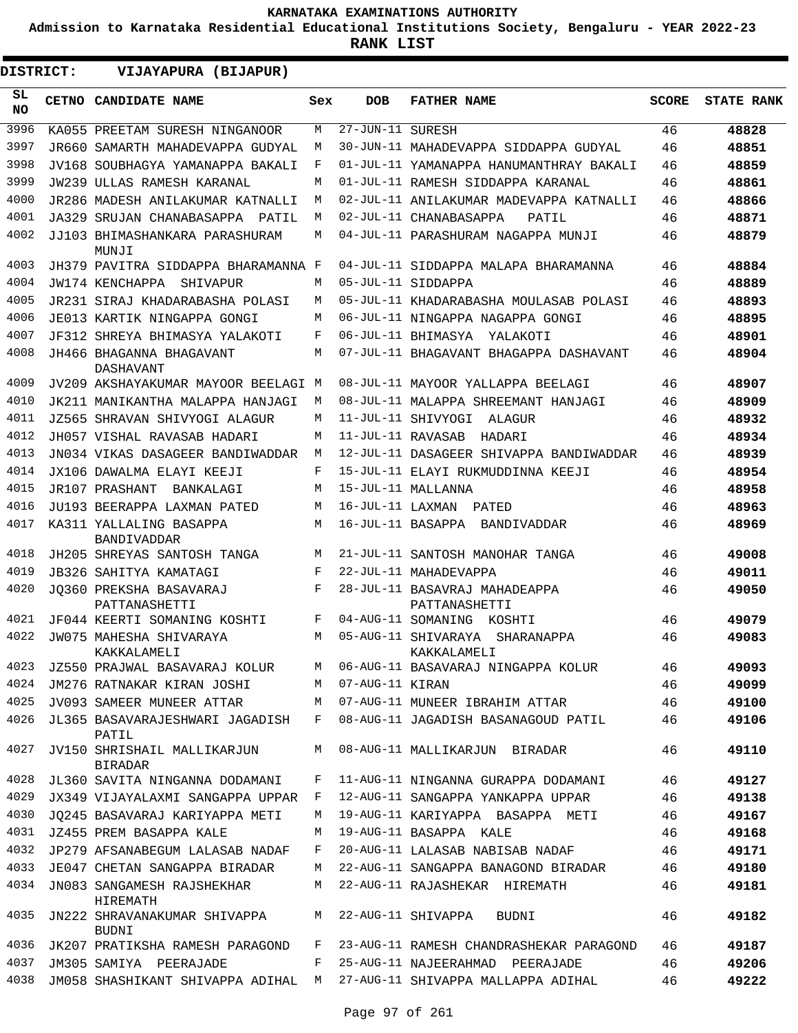**Admission to Karnataka Residential Educational Institutions Society, Bengaluru - YEAR 2022-23**

**RANK LIST**

**DISTRICT:** EE **VIJAYAPURA (BIJAPUR)**

| SL<br><b>NO</b> | CETNO CANDIDATE NAME                          | Sex        | <b>DOB</b>        | <b>FATHER NAME</b>                                                     | <b>SCORE</b> | <b>STATE RANK</b> |
|-----------------|-----------------------------------------------|------------|-------------------|------------------------------------------------------------------------|--------------|-------------------|
| 3996            | KA055 PREETAM SURESH NINGANOOR                | M          | 27-JUN-11 SURESH  |                                                                        | 46           | 48828             |
| 3997            | JR660 SAMARTH MAHADEVAPPA GUDYAL              | М          |                   | 30-JUN-11 MAHADEVAPPA SIDDAPPA GUDYAL                                  | 46           | 48851             |
| 3998            | JV168 SOUBHAGYA YAMANAPPA BAKALI              | F          |                   | 01-JUL-11 YAMANAPPA HANUMANTHRAY BAKALI                                | 46           | 48859             |
| 3999            | JW239 ULLAS RAMESH KARANAL                    | М          |                   | 01-JUL-11 RAMESH SIDDAPPA KARANAL                                      | 46           | 48861             |
| 4000            | JR286 MADESH ANILAKUMAR KATNALLI              | М          |                   | 02-JUL-11 ANILAKUMAR MADEVAPPA KATNALLI                                | 46           | 48866             |
| 4001            | JA329 SRUJAN CHANABASAPPA PATIL               | М          |                   | 02-JUL-11 CHANABASAPPA<br>PATIL                                        | 46           | 48871             |
| 4002            | JJ103 BHIMASHANKARA PARASHURAM<br>MUNJI       | M          |                   | 04-JUL-11 PARASHURAM NAGAPPA MUNJI                                     | 46           | 48879             |
| 4003            | JH379 PAVITRA SIDDAPPA BHARAMANNA F           |            |                   | 04-JUL-11 SIDDAPPA MALAPA BHARAMANNA                                   | 46           | 48884             |
| 4004            | JW174 KENCHAPPA SHIVAPUR                      | М          |                   | 05-JUL-11 SIDDAPPA                                                     | 46           | 48889             |
| 4005            | JR231 SIRAJ KHADARABASHA POLASI               | M          |                   | 05-JUL-11 KHADARABASHA MOULASAB POLASI                                 | 46           | 48893             |
| 4006            | JE013 KARTIK NINGAPPA GONGI                   | M          |                   | 06-JUL-11 NINGAPPA NAGAPPA GONGI                                       | 46           | 48895             |
| 4007            | JF312 SHREYA BHIMASYA YALAKOTI                | F          |                   | 06-JUL-11 BHIMASYA<br>YALAKOTI                                         | 46           | 48901             |
| 4008            | JH466 BHAGANNA BHAGAVANT<br>DASHAVANT         | М          |                   | 07-JUL-11 BHAGAVANT BHAGAPPA DASHAVANT                                 | 46           | 48904             |
| 4009            | JV209 AKSHAYAKUMAR MAYOOR BEELAGI M           |            |                   | 08-JUL-11 MAYOOR YALLAPPA BEELAGI                                      | 46           | 48907             |
| 4010            | JK211 MANIKANTHA MALAPPA HANJAGI              | M          |                   | 08-JUL-11 MALAPPA SHREEMANT HANJAGI                                    | 46           | 48909             |
| 4011            | JZ565 SHRAVAN SHIVYOGI ALAGUR                 | М          |                   | 11-JUL-11 SHIVYOGI<br>ALAGUR                                           | 46           | 48932             |
| 4012            | JH057 VISHAL RAVASAR HADARI                   | М          | 11-JUL-11 RAVASAB | HADARI                                                                 | 46           | 48934             |
| 4013            | JN034 VIKAS DASAGEER BANDIWADDAR              | М          |                   | 12-JUL-11 DASAGEER SHIVAPPA BANDIWADDAR                                | 46           | 48939             |
| 4014            | JX106 DAWALMA ELAYI KEEJI                     | F          |                   | 15-JUL-11 ELAYI RUKMUDDINNA KEEJI                                      | 46           | 48954             |
| 4015            | JR107 PRASHANT<br>BANKALAGI                   | М          |                   | 15-JUL-11 MALLANNA                                                     | 46           | 48958             |
| 4016            | JU193 BEERAPPA LAXMAN PATED                   | М          | 16-JUL-11 LAXMAN  | PATED                                                                  | 46           | 48963             |
| 4017            | KA311 YALLALING BASAPPA<br><b>BANDIVADDAR</b> | M          |                   | 16-JUL-11 BASAPPA BANDIVADDAR                                          | 46           | 48969             |
| 4018            | JH205 SHREYAS SANTOSH TANGA                   | М          |                   | 21-JUL-11 SANTOSH MANOHAR TANGA                                        | 46           | 49008             |
| 4019            | JB326 SAHITYA KAMATAGI                        | $_{\rm F}$ |                   | 22-JUL-11 MAHADEVAPPA                                                  | 46           | 49011             |
| 4020            | JO360 PREKSHA BASAVARAJ<br>PATTANASHETTI      | F          |                   | 28-JUL-11 BASAVRAJ MAHADEAPPA<br>PATTANASHETTI                         | 46           | 49050             |
| 4021            | JF044 KEERTI SOMANING KOSHTI                  | F          |                   | 04-AUG-11 SOMANING KOSHTI                                              | 46           | 49079             |
| 4022            | JW075 MAHESHA SHIVARAYA<br>KAKKALAMELI        | M          |                   | 05-AUG-11 SHIVARAYA SHARANAPPA<br>KAKKALAMELI                          | 46           | 49083             |
|                 | 4023 JZ550 PRAJWAL BASAVARAJ KOLUR            | M          |                   | 06-AUG-11 BASAVARAJ NINGAPPA KOLUR                                     | 46           | 49093             |
| 4024            | JM276 RATNAKAR KIRAN JOSHI                    |            | M 07-AUG-11 KIRAN |                                                                        | 46           | 49099             |
| 4025            |                                               |            |                   | JV093 SAMEER MUNEER ATTAR           M   07-AUG-11 MUNEER IBRAHIM ATTAR | 46           | 49100             |
| 4026            | JL365 BASAVARAJESHWARI JAGADISH<br>PATIL      | F          |                   | 08-AUG-11 JAGADISH BASANAGOUD PATIL                                    | 46           | 49106             |
| 4027            | JV150 SHRISHAIL MALLIKARJUN<br><b>BIRADAR</b> | M          |                   | 08-AUG-11 MALLIKARJUN BIRADAR                                          | 46           | 49110             |
| 4028            | JL360 SAVITA NINGANNA DODAMANI                | F          |                   | 11-AUG-11 NINGANNA GURAPPA DODAMANI                                    | 46           | 49127             |
| 4029            | JX349 VIJAYALAXMI SANGAPPA UPPAR              | F          |                   | 12-AUG-11 SANGAPPA YANKAPPA UPPAR                                      | 46           | 49138             |
| 4030            | JO245 BASAVARAJ KARIYAPPA METI                | M          |                   | 19-AUG-11 KARIYAPPA BASAPPA METI                                       | 46           | 49167             |
| 4031            | JZ455 PREM BASAPPA KALE                       | M          |                   | 19-AUG-11 BASAPPA KALE                                                 | 46           | 49168             |
| 4032            | JP279 AFSANABEGUM LALASAB NADAF               | F          |                   | 20-AUG-11 LALASAB NABISAB NADAF                                        | 46           | 49171             |
| 4033            | JE047 CHETAN SANGAPPA BIRADAR                 | M          |                   | 22-AUG-11 SANGAPPA BANAGOND BIRADAR                                    | 46           | 49180             |
| 4034            | JN083 SANGAMESH RAJSHEKHAR<br>HIREMATH        | M          |                   | 22-AUG-11 RAJASHEKAR HIREMATH                                          | 46           | 49181             |
| 4035            | JN222 SHRAVANAKUMAR SHIVAPPA<br><b>BUDNI</b>  | M          |                   | 22-AUG-11 SHIVAPPA<br>BUDNI                                            | 46           | 49182             |
| 4036            | JK207 PRATIKSHA RAMESH PARAGOND               | F          |                   | 23-AUG-11 RAMESH CHANDRASHEKAR PARAGOND                                | 46           | 49187             |
| 4037            | JM305 SAMIYA PEERAJADE                        | F          |                   | 25-AUG-11 NAJEERAHMAD PEERAJADE                                        | 46           | 49206             |
| 4038            | JM058 SHASHIKANT SHIVAPPA ADIHAL M            |            |                   | 27-AUG-11 SHIVAPPA MALLAPPA ADIHAL                                     | 46           | 49222             |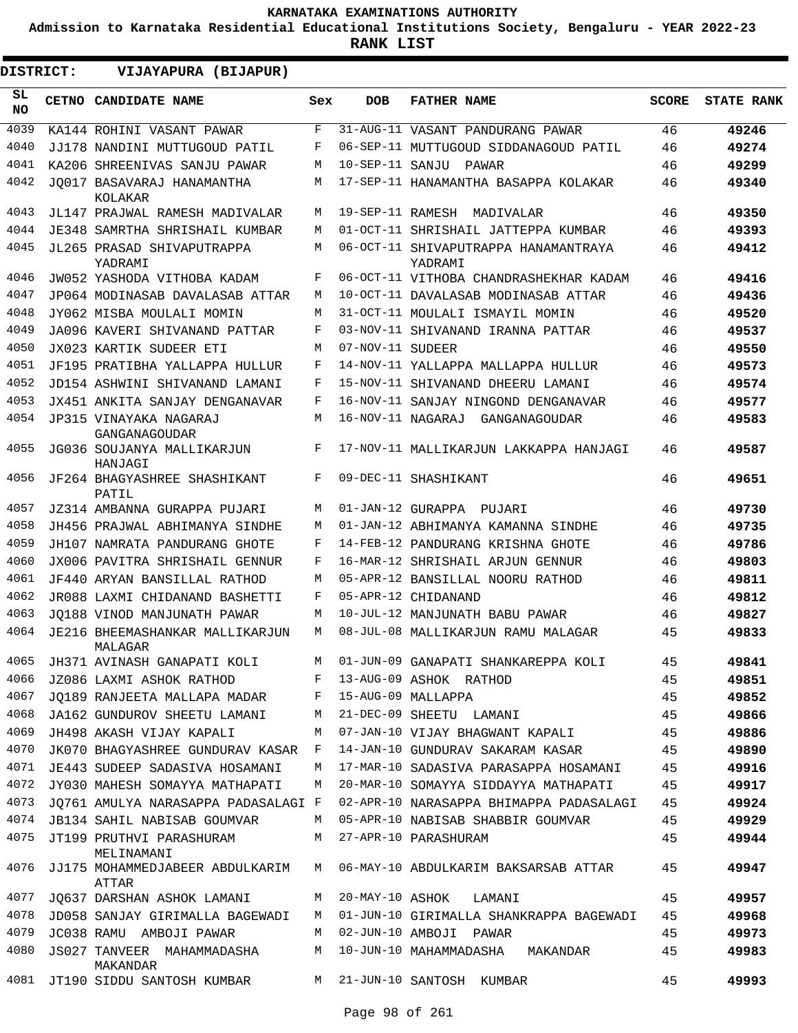**Admission to Karnataka Residential Educational Institutions Society, Bengaluru - YEAR 2022-23**

| DISTRICT:        | VIJAYAPURA (BIJAPUR)                                          |     |                   |                                                                                |              |                   |
|------------------|---------------------------------------------------------------|-----|-------------------|--------------------------------------------------------------------------------|--------------|-------------------|
| SL.<br><b>NO</b> | CETNO CANDIDATE NAME                                          | Sex | <b>DOB</b>        | <b>FATHER NAME</b>                                                             | <b>SCORE</b> | <b>STATE RANK</b> |
| 4039             | KA144 ROHINI VASANT PAWAR                                     | F   |                   | 31-AUG-11 VASANT PANDURANG PAWAR                                               | 46           | 49246             |
| 4040             | JJ178 NANDINI MUTTUGOUD PATIL                                 | F   |                   | 06-SEP-11 MUTTUGOUD SIDDANAGOUD PATIL                                          | 46           | 49274             |
| 4041             | KA206 SHREENIVAS SANJU PAWAR                                  | M   | 10-SEP-11 SANJU   | PAWAR                                                                          | 46           | 49299             |
| 4042             | JO017 BASAVARAJ HANAMANTHA<br>KOLAKAR                         | М   |                   | 17-SEP-11 HANAMANTHA BASAPPA KOLAKAR                                           | 46           | 49340             |
| 4043             | JL147 PRAJWAL RAMESH MADIVALAR                                | М   |                   | 19-SEP-11 RAMESH MADIVALAR                                                     | 46           | 49350             |
| 4044             | <b>JE348 SAMRTHA SHRISHAIL KUMBAR</b>                         | М   |                   | 01-OCT-11 SHRISHAIL JATTEPPA KUMBAR                                            | 46           | 49393             |
| 4045             | JL265 PRASAD SHIVAPUTRAPPA<br>YADRAMI                         | М   |                   | 06-OCT-11 SHIVAPUTRAPPA HANAMANTRAYA<br>YADRAMI                                | 46           | 49412             |
| 4046             | JW052 YASHODA VITHOBA KADAM                                   | F   |                   | 06-OCT-11 VITHOBA CHANDRASHEKHAR KADAM                                         | 46           | 49416             |
| 4047             | JP064 MODINASAB DAVALASAB ATTAR                               | М   |                   | 10-OCT-11 DAVALASAB MODINASAB ATTAR                                            | 46           | 49436             |
| 4048             | JY062 MISBA MOULALI MOMIN                                     | М   |                   | 31-OCT-11 MOULALI ISMAYIL MOMIN                                                | 46           | 49520             |
| 4049             | JA096 KAVERI SHIVANAND PATTAR                                 | F   |                   | 03-NOV-11 SHIVANAND IRANNA PATTAR                                              | 46           | 49537             |
| 4050             | JX023 KARTIK SUDEER ETI                                       | М   | 07-NOV-11 SUDEER  |                                                                                | 46           | 49550             |
| 4051             | JF195 PRATIBHA YALLAPPA HULLUR                                | F   |                   | 14-NOV-11 YALLAPPA MALLAPPA HULLUR                                             | 46           | 49573             |
| 4052             | JD154 ASHWINI SHIVANAND LAMANI                                | F   |                   | 15-NOV-11 SHIVANAND DHEERU LAMANI                                              | 46           | 49574             |
| 4053             | JX451 ANKITA SANJAY DENGANAVAR                                | F   |                   | 16-NOV-11 SANJAY NINGOND DENGANAVAR                                            | 46           | 49577             |
| 4054             | JP315 VINAYAKA NAGARAJ<br>GANGANAGOUDAR                       | М   | 16-NOV-11 NAGARAJ | GANGANAGOUDAR                                                                  | 46           | 49583             |
| 4055             | JG036 SOUJANYA MALLIKARJUN<br>HANJAGI                         | F   |                   | 17-NOV-11 MALLIKARJUN LAKKAPPA HANJAGI                                         | 46           | 49587             |
| 4056             | JF264 BHAGYASHREE SHASHIKANT<br>PATIL                         | F   |                   | 09-DEC-11 SHASHIKANT                                                           | 46           | 49651             |
| 4057             | JZ314 AMBANNA GURAPPA PUJARI                                  | М   |                   | 01-JAN-12 GURAPPA PUJARI                                                       | 46           | 49730             |
| 4058             | JH456 PRAJWAL ABHIMANYA SINDHE                                | М   |                   | 01-JAN-12 ABHIMANYA KAMANNA SINDHE                                             | 46           | 49735             |
| 4059             | JH107 NAMRATA PANDURANG GHOTE                                 | F   |                   | 14-FEB-12 PANDURANG KRISHNA GHOTE                                              | 46           | 49786             |
| 4060             | JX006 PAVITRA SHRISHAIL GENNUR                                | F   |                   | 16-MAR-12 SHRISHAIL ARJUN GENNUR                                               | 46           | 49803             |
| 4061             | JF440 ARYAN BANSILLAL RATHOD                                  | M   |                   | 05-APR-12 BANSILLAL NOORU RATHOD                                               | 46           | 49811             |
| 4062             | JR088 LAXMI CHIDANAND BASHETTI                                | F   |                   | 05-APR-12 CHIDANAND                                                            | 46           | 49812             |
| 4063             | JO188 VINOD MANJUNATH PAWAR                                   | М   |                   | 10-JUL-12 MANJUNATH BABU PAWAR                                                 | 46           | 49827             |
| 4064             | JE216 BHEEMASHANKAR MALLIKARJUN<br>MALAGAR                    | M   |                   | 08-JUL-08 MALLIKARJUN RAMU MALAGAR                                             | 45           | 49833             |
| 4065             | JH371 AVINASH GANAPATI KOLI                                   | М   |                   | 01-JUN-09 GANAPATI SHANKAREPPA KOLI                                            | 45           | 49841             |
| 4066             | <b>Example 20</b><br>JZ086 LAXMI ASHOK RATHOD                 |     |                   | 13-AUG-09 ASHOK RATHOD                                                         | 45           | 49851             |
| 4067             | JQ189 RANJEETA MALLAPA MADAR F 15-AUG-09 MALLAPPA             |     |                   |                                                                                | 45           | 49852             |
| 4068             | JA162 GUNDUROV SHEETU LAMANI                                  | М   |                   | 21-DEC-09 SHEETU LAMANI                                                        | 45           | 49866             |
| 4069             | JH498 AKASH VIJAY KAPALI                                      | M   |                   | 07-JAN-10 VIJAY BHAGWANT KAPALI                                                | 45           | 49886             |
| 4070             | JK070 BHAGYASHREE GUNDURAV KASAR F                            |     |                   | 14-JAN-10 GUNDURAV SAKARAM KASAR                                               | 45           | 49890             |
| 4071             | JE443 SUDEEP SADASIVA HOSAMANI                                | М   |                   | 17-MAR-10 SADASIVA PARASAPPA HOSAMANI                                          | 45           | 49916             |
|                  | 4072 JY030 MAHESH SOMAYYA MATHAPATI                           | М   |                   | 20-MAR-10 SOMAYYA SIDDAYYA MATHAPATI                                           | 45           | 49917             |
| 4073             | JO761 AMULYA NARASAPPA PADASALAGI F                           |     |                   | 02-APR-10 NARASAPPA BHIMAPPA PADASALAGI                                        | 45           | 49924             |
| 4074             | JB134 SAHIL NABISAB GOUMVAR                                   |     |                   | M 05-APR-10 NABISAB SHABBIR GOUMVAR                                            | 45           | 49929             |
| 4075             | JT199 PRUTHVI PARASHURAM M 27-APR-10 PARASHURAM<br>MELINAMANI |     |                   |                                                                                | 45           | 49944             |
| 4076             | JJ175 MOHAMMEDJABEER ABDULKARIM<br>ATTAR                      | M   |                   | 06-MAY-10 ABDULKARIM BAKSARSAB ATTAR                                           | 45           | 49947             |
| 4077             | JQ637 DARSHAN ASHOK LAMANI                                    | M   |                   | 20-MAY-10 ASHOK LAMANI                                                         | 45           | 49957             |
|                  |                                                               |     |                   | 4078 JD058 SANJAY GIRIMALLA BAGEWADI M 01-JUN-10 GIRIMALLA SHANKRAPPA BAGEWADI | 45           | 49968             |
| 4079             | JC038 RAMU AMBOJI PAWAR                                       |     |                   | M 02-JUN-10 AMBOJI PAWAR                                                       | 45           | 49973             |
| 4080             | JS027 TANVEER MAHAMMADASHA<br>MAKANDAR                        | M   |                   | 10-JUN-10 MAHAMMADASHA MAKANDAR                                                | 45           | 49983             |
|                  | 4081 JT190 SIDDU SANTOSH KUMBAR M 21-JUN-10 SANTOSH KUMBAR    |     |                   |                                                                                | 45           | 49993             |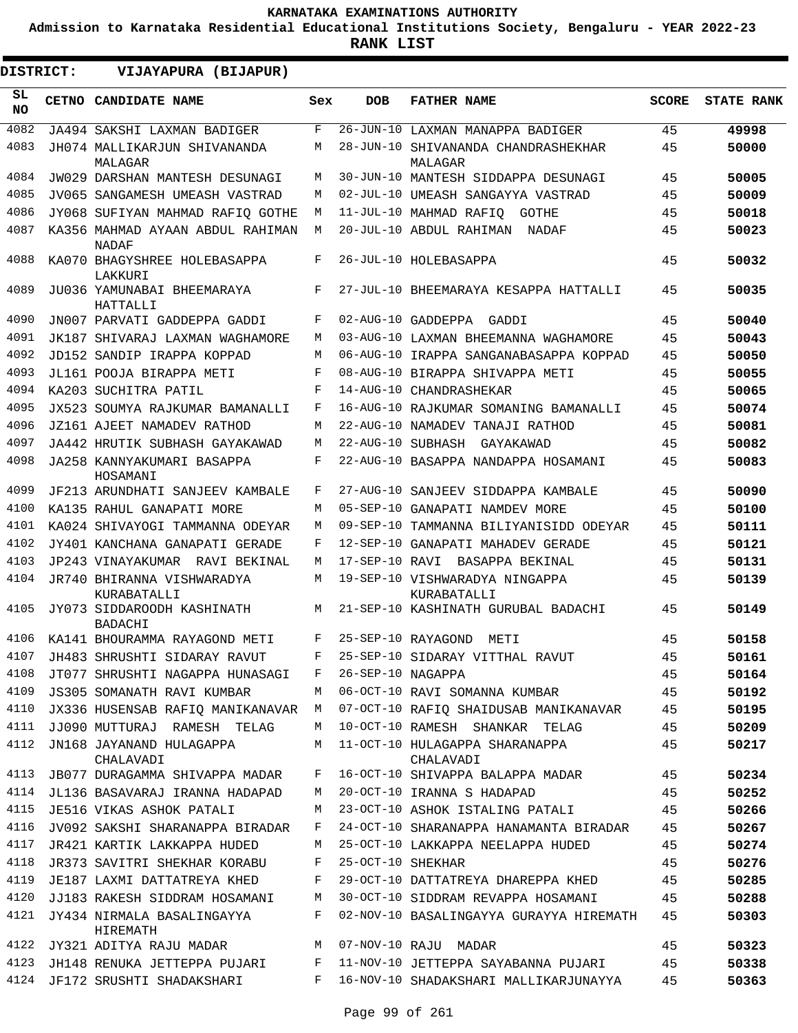**Admission to Karnataka Residential Educational Institutions Society, Bengaluru - YEAR 2022-23**

**RANK LIST**

**DISTRICT:** EE **VIJAYAPURA (BIJAPUR)**

| SL<br><b>NO</b> | CETNO CANDIDATE NAME                             | Sex        | <b>DOB</b>        | <b>FATHER NAME</b>                            | <b>SCORE</b> | <b>STATE RANK</b> |
|-----------------|--------------------------------------------------|------------|-------------------|-----------------------------------------------|--------------|-------------------|
| 4082            | JA494 SAKSHI LAXMAN BADIGER                      | $_{\rm F}$ |                   | 26-JUN-10 LAXMAN MANAPPA BADIGER              | 45           | 49998             |
| 4083            | JH074 MALLIKARJUN SHIVANANDA<br>MALAGAR          | М          | 28-JUN-10         | SHIVANANDA CHANDRASHEKHAR<br>MALAGAR          | 45           | 50000             |
| 4084            | JW029 DARSHAN MANTESH DESUNAGI                   | М          |                   | 30-JUN-10 MANTESH SIDDAPPA DESUNAGI           | 45           | 50005             |
| 4085            | JV065 SANGAMESH UMEASH VASTRAD                   | М          |                   | 02-JUL-10 UMEASH SANGAYYA VASTRAD             | 45           | 50009             |
| 4086            | JY068 SUFIYAN MAHMAD RAFIO GOTHE                 | М          |                   | 11-JUL-10 MAHMAD RAFIQ<br>GOTHE               | 45           | 50018             |
| 4087            | KA356 MAHMAD AYAAN ABDUL RAHIMAN<br><b>NADAF</b> | М          |                   | 20-JUL-10 ABDUL RAHIMAN<br>NADAF              | 45           | 50023             |
| 4088            | KA070 BHAGYSHREE HOLEBASAPPA<br>LAKKURI          | F          |                   | 26-JUL-10 HOLEBASAPPA                         | 45           | 50032             |
| 4089            | JU036 YAMUNABAI BHEEMARAYA<br>HATTALLI           | F          |                   | 27-JUL-10 BHEEMARAYA KESAPPA HATTALLI         | 45           | 50035             |
| 4090            | JN007 PARVATI GADDEPPA GADDI                     | F          |                   | 02-AUG-10 GADDEPPA<br>GADDI                   | 45           | 50040             |
| 4091            | JK187 SHIVARAJ LAXMAN WAGHAMORE                  | М          |                   | 03-AUG-10 LAXMAN BHEEMANNA WAGHAMORE          | 45           | 50043             |
| 4092            | JD152 SANDIP IRAPPA KOPPAD                       | М          |                   | 06-AUG-10 IRAPPA SANGANABASAPPA KOPPAD        | 45           | 50050             |
| 4093            | JL161 POOJA BIRAPPA METI                         | F          |                   | 08-AUG-10 BIRAPPA SHIVAPPA METI               | 45           | 50055             |
| 4094            | KA203 SUCHITRA PATIL                             | F          | 14-AUG-10         | CHANDRASHEKAR                                 | 45           | 50065             |
| 4095            | JX523 SOUMYA RAJKUMAR BAMANALLI                  | F          |                   | 16-AUG-10 RAJKUMAR SOMANING BAMANALLI         | 45           | 50074             |
| 4096            | JZ161 AJEET NAMADEV RATHOD                       | М          |                   | 22-AUG-10 NAMADEV TANAJI RATHOD               | 45           | 50081             |
| 4097            | JA442 HRUTIK SUBHASH GAYAKAWAD                   | М          | 22-AUG-10 SUBHASH | GAYAKAWAD                                     | 45           | 50082             |
| 4098            | JA258 KANNYAKUMARI BASAPPA<br>HOSAMANI           | F          |                   | 22-AUG-10 BASAPPA NANDAPPA HOSAMANI           | 45           | 50083             |
| 4099            | JF213 ARUNDHATI SANJEEV KAMBALE                  | F          |                   | 27-AUG-10 SANJEEV SIDDAPPA KAMBALE            | 45           | 50090             |
| 4100            | KA135 RAHUL GANAPATI MORE                        | М          |                   | 05-SEP-10 GANAPATI NAMDEV MORE                | 45           | 50100             |
| 4101            | KA024 SHIVAYOGI TAMMANNA ODEYAR                  | М          | 09-SEP-10         | TAMMANNA BILIYANISIDD ODEYAR                  | 45           | 50111             |
| 4102            | JY401 KANCHANA GANAPATI GERADE                   | F          |                   | 12-SEP-10 GANAPATI MAHADEV GERADE             | 45           | 50121             |
| 4103            | JP243 VINAYAKUMAR<br>RAVI BEKINAL                | М          | 17-SEP-10 RAVI    | BASAPPA BEKINAL                               | 45           | 50131             |
| 4104            | JR740 BHIRANNA VISHWARADYA<br>KURABATALLI        | М          |                   | 19-SEP-10 VISHWARADYA NINGAPPA<br>KURABATALLI | 45           | 50139             |
| 4105            | JY073 SIDDAROODH KASHINATH<br><b>BADACHI</b>     | М          |                   | 21-SEP-10 KASHINATH GURUBAL BADACHI           | 45           | 50149             |
| 4106            | KA141 BHOURAMMA RAYAGOND METI                    | F          |                   | 25-SEP-10 RAYAGOND<br>METI                    | 45           | 50158             |
| 4107            | JH483 SHRUSHTI SIDARAY RAVUT                     | F          |                   | 25-SEP-10 SIDARAY VITTHAL RAVUT               | 45           | 50161             |
| 4108            | JT077 SHRUSHTI NAGAPPA HUNASAGI                  | F          | 26-SEP-10 NAGAPPA |                                               | 45           | 50164             |
| 4109            | JS305 SOMANATH RAVI KUMBAR                       | M          |                   | 06-OCT-10 RAVI SOMANNA KUMBAR                 | 45           | 50192             |
| 4110            | JX336 HUSENSAB RAFIQ MANIKANAVAR                 | M          |                   | 07-OCT-10 RAFIQ SHAIDUSAB MANIKANAVAR         | 45           | 50195             |
| 4111            | JJ090 MUTTURAJ RAMESH TELAG                      | М          |                   | 10-OCT-10 RAMESH SHANKAR TELAG                | 45           | 50209             |
| 4112            | JN168 JAYANAND HULAGAPPA<br>CHALAVADI            | M          |                   | 11-OCT-10 HULAGAPPA SHARANAPPA<br>CHALAVADI   | 45           | 50217             |
| 4113            | JB077 DURAGAMMA SHIVAPPA MADAR                   | F          |                   | 16-OCT-10 SHIVAPPA BALAPPA MADAR              | 45           | 50234             |
| 4114            | JL136 BASAVARAJ IRANNA HADAPAD                   | M          |                   | 20-OCT-10 IRANNA S HADAPAD                    | 45           | 50252             |
| 4115            | JE516 VIKAS ASHOK PATALI                         | М          |                   | 23-OCT-10 ASHOK ISTALING PATALI               | 45           | 50266             |
| 4116            | JV092 SAKSHI SHARANAPPA BIRADAR                  | F          |                   | 24-OCT-10 SHARANAPPA HANAMANTA BIRADAR        | 45           | 50267             |
| 4117            | JR421 KARTIK LAKKAPPA HUDED                      | М          |                   | 25-OCT-10 LAKKAPPA NEELAPPA HUDED             | 45           | 50274             |
| 4118            | JR373 SAVITRI SHEKHAR KORABU                     | F          | 25-OCT-10 SHEKHAR |                                               | 45           | 50276             |
| 4119<br>4120    | JE187 LAXMI DATTATREYA KHED                      | F          |                   | 29-OCT-10 DATTATREYA DHAREPPA KHED            | 45           | 50285             |
| 4121            | JJ183 RAKESH SIDDRAM HOSAMANI                    | М<br>F     |                   | 30-OCT-10 SIDDRAM REVAPPA HOSAMANI            | 45           | 50288             |
|                 | JY434 NIRMALA BASALINGAYYA<br>HIREMATH           |            |                   | 02-NOV-10 BASALINGAYYA GURAYYA HIREMATH       | 45           | 50303             |
| 4122            | JY321 ADITYA RAJU MADAR                          | М          |                   | 07-NOV-10 RAJU MADAR                          | 45           | 50323             |
| 4123            | JH148 RENUKA JETTEPPA PUJARI                     | F          |                   | 11-NOV-10 JETTEPPA SAYABANNA PUJARI           | 45           | 50338             |
| 4124            | JF172 SRUSHTI SHADAKSHARI                        | F          |                   | 16-NOV-10 SHADAKSHARI MALLIKARJUNAYYA         | 45           | 50363             |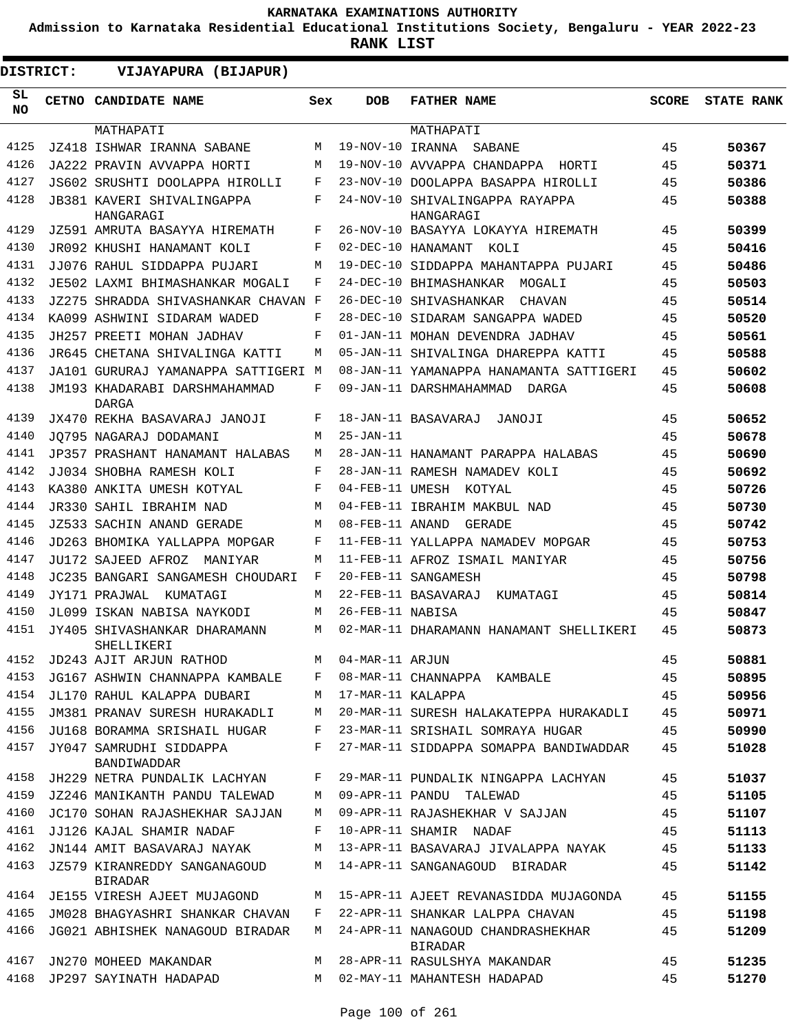**Admission to Karnataka Residential Educational Institutions Society, Bengaluru - YEAR 2022-23**

| <b>DISTRICT:</b> | VIJAYAPURA (BIJAPUR)                           |     |                   |                                                     |              |                   |
|------------------|------------------------------------------------|-----|-------------------|-----------------------------------------------------|--------------|-------------------|
| SL<br>NO.        | <b>CETNO CANDIDATE NAME</b>                    | Sex | <b>DOB</b>        | <b>FATHER NAME</b>                                  | <b>SCORE</b> | <b>STATE RANK</b> |
|                  | MATHAPATI                                      |     |                   | MATHAPATI                                           |              |                   |
| 4125             | JZ418 ISHWAR IRANNA SABANE                     | M   | 19-NOV-10 IRANNA  | SABANE                                              | 45           | 50367             |
| 4126             | JA222 PRAVIN AVVAPPA HORTI                     | М   |                   | 19-NOV-10 AVVAPPA CHANDAPPA HORTI                   | 45           | 50371             |
| 4127             | JS602 SRUSHTI DOOLAPPA HIROLLI                 | F   |                   | 23-NOV-10 DOOLAPPA BASAPPA HIROLLI                  | 45           | 50386             |
| 4128             | <b>JB381 KAVERI SHIVALINGAPPA</b><br>HANGARAGI | F   |                   | 24-NOV-10 SHIVALINGAPPA RAYAPPA<br>HANGARAGI        | 45           | 50388             |
| 4129             | JZ591 AMRUTA BASAYYA HIREMATH                  | F   |                   | 26-NOV-10 BASAYYA LOKAYYA HIREMATH                  | 45           | 50399             |
| 4130             | JR092 KHUSHI HANAMANT KOLI                     | F   |                   | 02-DEC-10 HANAMANT<br>KOLI                          | 45           | 50416             |
| 4131             | JJ076 RAHUL SIDDAPPA PUJARI                    | М   |                   | 19-DEC-10 SIDDAPPA MAHANTAPPA PUJARI                | 45           | 50486             |
| 4132             | JE502 LAXMI BHIMASHANKAR MOGALI                | F   |                   | 24-DEC-10 BHIMASHANKAR MOGALI                       | 45           | 50503             |
| 4133             | JZ275 SHRADDA SHIVASHANKAR CHAVAN F            |     |                   | 26-DEC-10 SHIVASHANKAR<br>CHAVAN                    | 45           | 50514             |
| 4134             | KA099 ASHWINI SIDARAM WADED                    | F   |                   | 28-DEC-10 SIDARAM SANGAPPA WADED                    | 45           | 50520             |
| 4135             | JH257 PREETI MOHAN JADHAV                      | F   |                   | 01-JAN-11 MOHAN DEVENDRA JADHAV                     | 45           | 50561             |
| 4136             | JR645 CHETANA SHIVALINGA KATTI                 | M   |                   | 05-JAN-11 SHIVALINGA DHAREPPA KATTI                 | 45           | 50588             |
| 4137             | JA101 GURURAJ YAMANAPPA SATTIGERI M            |     |                   | 08-JAN-11 YAMANAPPA HANAMANTA SATTIGERI             | 45           | 50602             |
| 4138             | JM193 KHADARABI DARSHMAHAMMAD<br>DARGA         | F   |                   | 09-JAN-11 DARSHMAHAMMAD<br>DARGA                    | 45           | 50608             |
| 4139             | JX470 REKHA BASAVARAJ JANOJI                   | F   |                   | 18-JAN-11 BASAVARAJ<br>JANOJI                       | 45           | 50652             |
| 4140             | JO795 NAGARAJ DODAMANI                         | М   | $25 - JAN - 11$   |                                                     | 45           | 50678             |
| 4141             | JP357 PRASHANT HANAMANT HALABAS                | М   |                   | 28-JAN-11 HANAMANT PARAPPA HALABAS                  | 45           | 50690             |
| 4142             | JJ034 SHOBHA RAMESH KOLI                       | F   |                   | 28-JAN-11 RAMESH NAMADEV KOLI                       | 45           | 50692             |
| 4143             | KA380 ANKITA UMESH KOTYAL                      | F   | 04-FEB-11 UMESH   | KOTYAL                                              | 45           | 50726             |
| 4144             | JR330 SAHIL IBRAHIM NAD                        | M   |                   | 04-FEB-11 IBRAHIM MAKBUL NAD                        | 45           | 50730             |
| 4145             | JZ533 SACHIN ANAND GERADE                      | M   | 08-FEB-11 ANAND   | GERADE                                              | 45           | 50742             |
| 4146             | JD263 BHOMIKA YALLAPPA MOPGAR                  | F   |                   | 11-FEB-11 YALLAPPA NAMADEV MOPGAR                   | 45           | 50753             |
| 4147             | JU172 SAJEED AFROZ<br>MANIYAR                  | M   |                   | 11-FEB-11 AFROZ ISMAIL MANIYAR                      | 45           | 50756             |
| 4148             | JC235 BANGARI SANGAMESH CHOUDARI               | F   |                   | 20-FEB-11 SANGAMESH                                 | 45           | 50798             |
| 4149             | JY171 PRAJWAL<br>KUMATAGI                      | M   |                   | 22-FEB-11 BASAVARAJ<br>KUMATAGI                     | 45           | 50814             |
| 4150             | JL099 ISKAN NABISA NAYKODI                     | M   | 26-FEB-11 NABISA  |                                                     | 45           | 50847             |
| 4151             | JY405 SHIVASHANKAR DHARAMANN<br>SHELLIKERI     | М   |                   | 02-MAR-11 DHARAMANN HANAMANT SHELLIKERI             | 45           | 50873             |
| 4152             | JD243 AJIT ARJUN RATHOD                        | M   | 04-MAR-11 ARJUN   |                                                     | 45           | 50881             |
| 4153             | JG167 ASHWIN CHANNAPPA KAMBALE                 | F   |                   | 08-MAR-11 CHANNAPPA KAMBALE                         | 45           | 50895             |
| 4154             | JL170 RAHUL KALAPPA DUBARI                     | M   | 17-MAR-11 KALAPPA |                                                     | 45           | 50956             |
| 4155             | JM381 PRANAV SURESH HURAKADLI                  | М   |                   | 20-MAR-11 SURESH HALAKATEPPA HURAKADLI              | 45           | 50971             |
| 4156             | JU168 BORAMMA SRISHAIL HUGAR                   | F   |                   | 23-MAR-11 SRISHAIL SOMRAYA HUGAR                    | 45           | 50990             |
| 4157             | JY047 SAMRUDHI SIDDAPPA<br>BANDIWADDAR         | F   |                   | 27-MAR-11 SIDDAPPA SOMAPPA BANDIWADDAR              | 45           | 51028             |
| 4158             | JH229 NETRA PUNDALIK LACHYAN                   | F   |                   | 29-MAR-11 PUNDALIK NINGAPPA LACHYAN                 | 45           | 51037             |
| 4159             | JZ246 MANIKANTH PANDU TALEWAD                  | M   |                   | 09-APR-11 PANDU TALEWAD                             | 45           | 51105             |
| 4160             | JC170 SOHAN RAJASHEKHAR SAJJAN                 | М   |                   | 09-APR-11 RAJASHEKHAR V SAJJAN                      | 45           | 51107             |
| 4161             | JJ126 KAJAL SHAMIR NADAF                       | F   |                   | 10-APR-11 SHAMIR NADAF                              | 45           | 51113             |
| 4162             | JN144 AMIT BASAVARAJ NAYAK                     | М   |                   | 13-APR-11 BASAVARAJ JIVALAPPA NAYAK                 | 45           | 51133             |
| 4163             | JZ579 KIRANREDDY SANGANAGOUD<br><b>BIRADAR</b> | М   |                   | 14-APR-11 SANGANAGOUD BIRADAR                       | 45           | 51142             |
| 4164             | JE155 VIRESH AJEET MUJAGOND                    | М   |                   | 15-APR-11 AJEET REVANASIDDA MUJAGONDA               | 45           | 51155             |
| 4165             | JM028 BHAGYASHRI SHANKAR CHAVAN                | F   |                   | 22-APR-11 SHANKAR LALPPA CHAVAN                     | 45           | 51198             |
| 4166             | JG021 ABHISHEK NANAGOUD BIRADAR                | M   |                   | 24-APR-11 NANAGOUD CHANDRASHEKHAR<br><b>BIRADAR</b> | 45           | 51209             |
| 4167             | JN270 MOHEED MAKANDAR                          | М   |                   | 28-APR-11 RASULSHYA MAKANDAR                        | 45           | 51235             |
| 4168             | JP297 SAYINATH HADAPAD                         | M   |                   | 02-MAY-11 MAHANTESH HADAPAD                         | 45           | 51270             |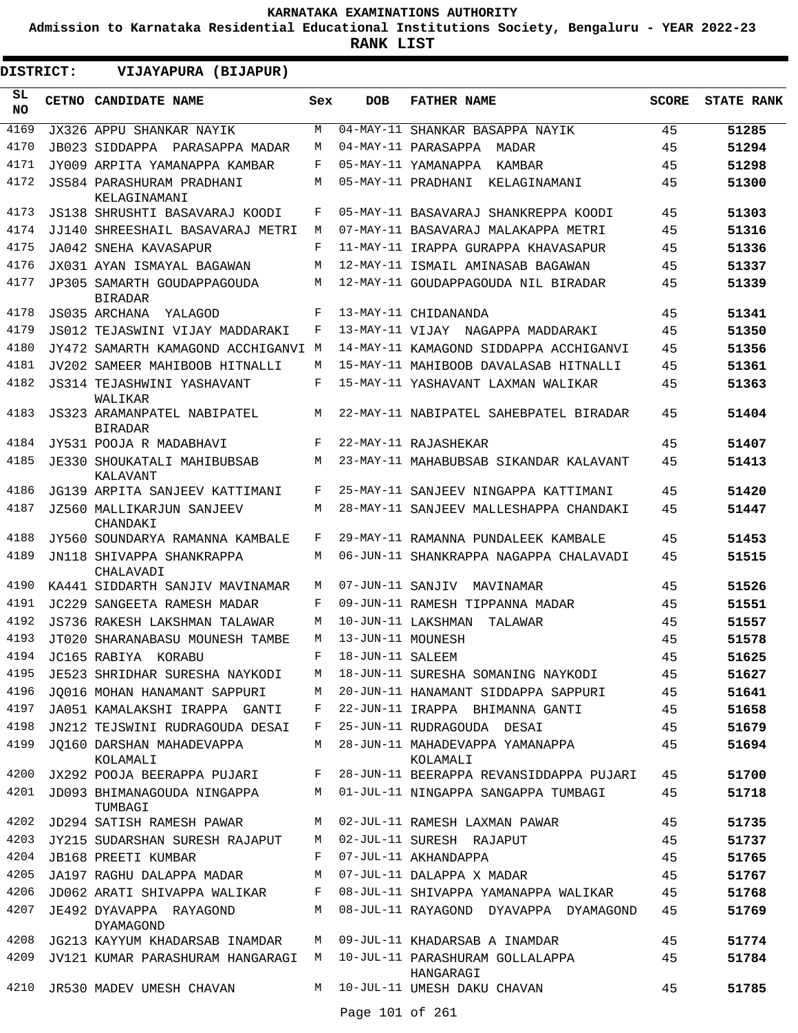**Admission to Karnataka Residential Educational Institutions Society, Bengaluru - YEAR 2022-23**

| <b>DISTRICT:</b> |  | VIJAYAPURA (BIJAPUR)                           |     |                   |                                              |              |                   |
|------------------|--|------------------------------------------------|-----|-------------------|----------------------------------------------|--------------|-------------------|
| SL.<br><b>NO</b> |  | CETNO CANDIDATE NAME                           | Sex | <b>DOB</b>        | <b>FATHER NAME</b>                           | <b>SCORE</b> | <b>STATE RANK</b> |
| 4169             |  | JX326 APPU SHANKAR NAYIK                       | M   | 04-MAY-11         | SHANKAR BASAPPA NAYIK                        | 45           | 51285             |
| 4170             |  | JB023 SIDDAPPA PARASAPPA MADAR                 | М   |                   | 04-MAY-11 PARASAPPA<br>MADAR                 | 45           | 51294             |
| 4171             |  | JY009 ARPITA YAMANAPPA KAMBAR                  | F   |                   | 05-MAY-11 YAMANAPPA<br>KAMBAR                | 45           | 51298             |
| 4172             |  | JS584 PARASHURAM PRADHANI<br>KELAGINAMANI      | М   |                   | 05-MAY-11 PRADHANI<br>KELAGINAMANI           | 45           | 51300             |
| 4173             |  | JS138 SHRUSHTI BASAVARAJ KOODI                 | F   |                   | 05-MAY-11 BASAVARAJ SHANKREPPA KOODI         | 45           | 51303             |
| 4174             |  | JJ140 SHREESHAIL BASAVARAJ METRI               | М   |                   | 07-MAY-11 BASAVARAJ MALAKAPPA METRI          | 45           | 51316             |
| 4175             |  | JA042 SNEHA KAVASAPUR                          | F   |                   | 11-MAY-11 IRAPPA GURAPPA KHAVASAPUR          | 45           | 51336             |
| 4176             |  | JX031 AYAN ISMAYAL BAGAWAN                     | М   |                   | 12-MAY-11 ISMAIL AMINASAB BAGAWAN            | 45           | 51337             |
| 4177             |  | JP305 SAMARTH GOUDAPPAGOUDA<br><b>BIRADAR</b>  | М   |                   | 12-MAY-11 GOUDAPPAGOUDA NIL BIRADAR          | 45           | 51339             |
| 4178             |  | JS035 ARCHANA<br>YALAGOD                       | F   |                   | 13-MAY-11 CHIDANANDA                         | 45           | 51341             |
| 4179             |  | JS012 TEJASWINI VIJAY MADDARAKI                | F   |                   | 13-MAY-11 VIJAY NAGAPPA MADDARAKI            | 45           | 51350             |
| 4180             |  | JY472 SAMARTH KAMAGOND ACCHIGANVI              | M   |                   | 14-MAY-11 KAMAGOND SIDDAPPA ACCHIGANVI       | 45           | 51356             |
| 4181             |  | JV202 SAMEER MAHIBOOB HITNALLI                 | М   |                   | 15-MAY-11 MAHIBOOB DAVALASAB HITNALLI        | 45           | 51361             |
| 4182             |  | JS314 TEJASHWINI YASHAVANT<br>WALIKAR          | F   |                   | 15-MAY-11 YASHAVANT LAXMAN WALIKAR           | 45           | 51363             |
| 4183             |  | JS323 ARAMANPATEL NABIPATEL<br><b>BIRADAR</b>  | M   |                   | 22-MAY-11 NABIPATEL SAHEBPATEL BIRADAR       | 45           | 51404             |
| 4184             |  | JY531 POOJA R MADABHAVI                        | F   |                   | 22-MAY-11 RAJASHEKAR                         | 45           | 51407             |
| 4185             |  | <b>JE330 SHOUKATALI MAHIBUBSAB</b><br>KALAVANT | M   |                   | 23-MAY-11 MAHABUBSAB SIKANDAR KALAVANT       | 45           | 51413             |
| 4186             |  | JG139 ARPITA SANJEEV KATTIMANI                 | F   |                   | 25-MAY-11 SANJEEV NINGAPPA KATTIMANI         | 45           | 51420             |
| 4187             |  | <b>JZ560 MALLIKARJUN SANJEEV</b><br>CHANDAKI   | М   |                   | 28-MAY-11 SANJEEV MALLESHAPPA CHANDAKI       | 45           | 51447             |
| 4188             |  | JY560 SOUNDARYA RAMANNA KAMBALE                | F   |                   | 29-MAY-11 RAMANNA PUNDALEEK KAMBALE          | 45           | 51453             |
| 4189             |  | JN118 SHIVAPPA SHANKRAPPA<br>CHALAVADI         | М   |                   | 06-JUN-11 SHANKRAPPA NAGAPPA CHALAVADI       | 45           | 51515             |
| 4190             |  | KA441 SIDDARTH SANJIV MAVINAMAR                | М   | 07-JUN-11 SANJIV  | MAVINAMAR                                    | 45           | 51526             |
| 4191             |  | JC229 SANGEETA RAMESH MADAR                    | F   |                   | 09-JUN-11 RAMESH TIPPANNA MADAR              | 45           | 51551             |
| 4192             |  | JS736 RAKESH LAKSHMAN TALAWAR                  | М   |                   | 10-JUN-11 LAKSHMAN<br>TALAWAR                | 45           | 51557             |
| 4193             |  | JT020 SHARANABASU MOUNESH TAMBE                | M   | 13-JUN-11 MOUNESH |                                              | 45           | 51578             |
| 4194             |  | JC165 RABIYA KORABU                            | F   | 18-JUN-11 SALEEM  |                                              | 45           | 51625             |
| 4195             |  | JE523 SHRIDHAR SURESHA NAYKODI                 | M   |                   | 18-JUN-11 SURESHA SOMANING NAYKODI           | 45           | 51627             |
| 4196             |  | JO016 MOHAN HANAMANT SAPPURI                   | M   |                   | 20-JUN-11 HANAMANT SIDDAPPA SAPPURI          | 45           | 51641             |
| 4197             |  | JA051 KAMALAKSHI IRAPPA GANTI                  | F   |                   | 22-JUN-11 IRAPPA BHIMANNA GANTI              | 45           | 51658             |
| 4198             |  | JN212 TEJSWINI RUDRAGOUDA DESAI                | F   |                   | 25-JUN-11 RUDRAGOUDA DESAI                   | 45           | 51679             |
| 4199             |  | JO160 DARSHAN MAHADEVAPPA<br>KOLAMALI          | M   |                   | 28-JUN-11 MAHADEVAPPA YAMANAPPA<br>KOLAMALI  | 45           | 51694             |
| 4200             |  | JX292 POOJA BEERAPPA PUJARI                    | F   |                   | 28-JUN-11 BEERAPPA REVANSIDDAPPA PUJARI      | 45           | 51700             |
| 4201             |  | JD093 BHIMANAGOUDA NINGAPPA<br>TUMBAGI         | M   |                   | 01-JUL-11 NINGAPPA SANGAPPA TUMBAGI          | 45           | 51718             |
| 4202             |  | JD294 SATISH RAMESH PAWAR                      | M   |                   | 02-JUL-11 RAMESH LAXMAN PAWAR                | 45           | 51735             |
| 4203             |  | JY215 SUDARSHAN SURESH RAJAPUT                 | M   |                   | 02-JUL-11 SURESH RAJAPUT                     | 45           | 51737             |
| 4204             |  | <b>JB168 PREETI KUMBAR</b>                     | F   |                   | 07-JUL-11 AKHANDAPPA                         | 45           | 51765             |
| 4205             |  | JA197 RAGHU DALAPPA MADAR                      | М   |                   | 07-JUL-11 DALAPPA X MADAR                    | 45           | 51767             |
| 4206             |  | JD062 ARATI SHIVAPPA WALIKAR                   | F   |                   | 08-JUL-11 SHIVAPPA YAMANAPPA WALIKAR         | 45           | 51768             |
| 4207             |  | JE492 DYAVAPPA RAYAGOND<br><b>DYAMAGOND</b>    | M   |                   | 08-JUL-11 RAYAGOND DYAVAPPA DYAMAGOND        | 45           | 51769             |
| 4208             |  | JG213 KAYYUM KHADARSAB INAMDAR                 | M   |                   | 09-JUL-11 KHADARSAB A INAMDAR                | 45           | 51774             |
| 4209             |  | JV121 KUMAR PARASHURAM HANGARAGI               | M   |                   | 10-JUL-11 PARASHURAM GOLLALAPPA<br>HANGARAGI | 45           | 51784             |
| 4210             |  | JR530 MADEV UMESH CHAVAN                       | M   |                   | 10-JUL-11 UMESH DAKU CHAVAN                  | 45           | 51785             |
|                  |  |                                                |     | Page 101 of 261   |                                              |              |                   |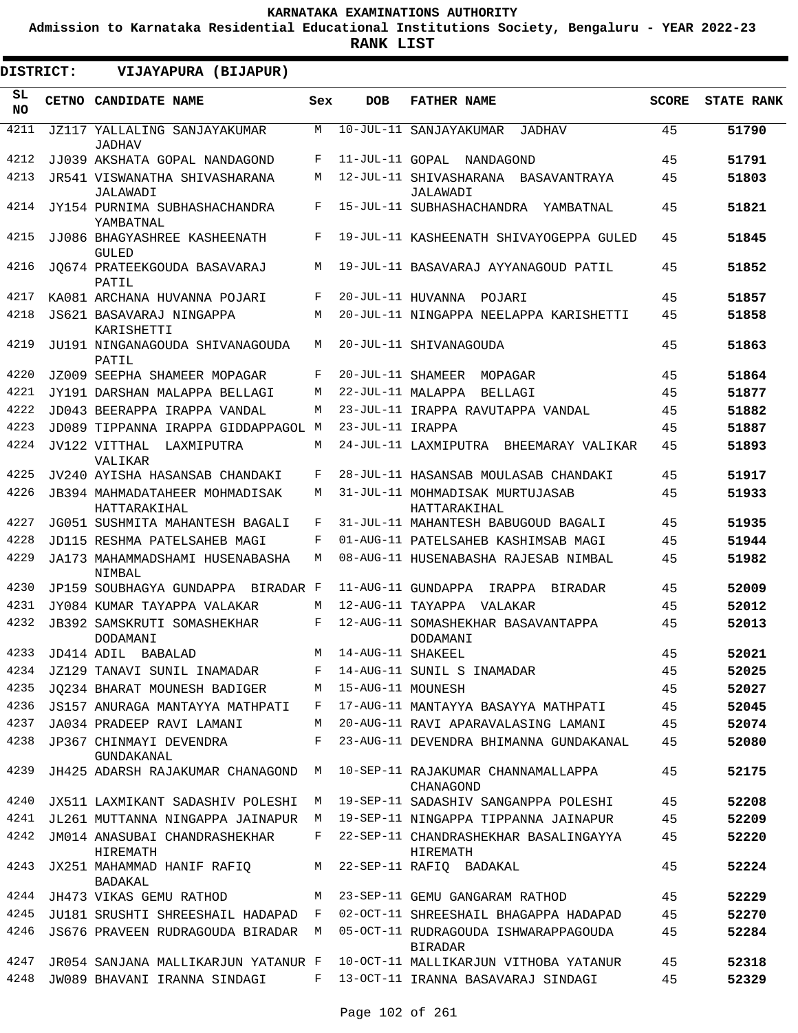**Admission to Karnataka Residential Educational Institutions Society, Bengaluru - YEAR 2022-23**

**RANK LIST**

 $\blacksquare$ 

 $\blacksquare$ 

| <b>DISTRICT:</b> | VIJAYAPURA (BIJAPUR)                           |     |                   |                                                        |              |                   |
|------------------|------------------------------------------------|-----|-------------------|--------------------------------------------------------|--------------|-------------------|
| SL<br>NO.        | CETNO CANDIDATE NAME                           | Sex | <b>DOB</b>        | <b>FATHER NAME</b>                                     | <b>SCORE</b> | <b>STATE RANK</b> |
| 4211             | JZ117 YALLALING SANJAYAKUMAR<br><b>JADHAV</b>  | М   |                   | 10-JUL-11 SANJAYAKUMAR<br>JADHAV                       | 45           | 51790             |
| 4212             | JJ039 AKSHATA GOPAL NANDAGOND                  | F   | 11-JUL-11 GOPAL   | NANDAGOND                                              | 45           | 51791             |
| 4213             | JR541 VISWANATHA SHIVASHARANA<br>JALAWADI      | М   |                   | 12-JUL-11 SHIVASHARANA<br>BASAVANTRAYA<br>JALAWADI     | 45           | 51803             |
| 4214             | JY154 PURNIMA SUBHASHACHANDRA<br>YAMBATNAL     | F   |                   | 15-JUL-11 SUBHASHACHANDRA<br>YAMBATNAL                 | 45           | 51821             |
| 4215             | JJ086 BHAGYASHREE KASHEENATH<br><b>GULED</b>   | F   |                   | 19-JUL-11 KASHEENATH SHIVAYOGEPPA GULED                | 45           | 51845             |
| 4216             | JQ674 PRATEEKGOUDA BASAVARAJ<br>PATIL          | М   |                   | 19-JUL-11 BASAVARAJ AYYANAGOUD PATIL                   | 45           | 51852             |
| 4217             | KA081 ARCHANA HUVANNA POJARI                   | F   | 20-JUL-11 HUVANNA | POJARI                                                 | 45           | 51857             |
| 4218             | JS621 BASAVARAJ NINGAPPA<br>KARISHETTI         | M   |                   | 20-JUL-11 NINGAPPA NEELAPPA KARISHETTI                 | 45           | 51858             |
| 4219             | JU191 NINGANAGOUDA SHIVANAGOUDA<br>PATIL       | M   |                   | 20-JUL-11 SHIVANAGOUDA                                 | 45           | 51863             |
| 4220             | JZ009 SEEPHA SHAMEER MOPAGAR                   | F   | 20-JUL-11 SHAMEER | MOPAGAR                                                | 45           | 51864             |
| 4221             | JY191 DARSHAN MALAPPA BELLAGI                  | M   | 22-JUL-11 MALAPPA | BELLAGI                                                | 45           | 51877             |
| 4222             | JD043 BEERAPPA IRAPPA VANDAL                   | М   |                   | 23-JUL-11 IRAPPA RAVUTAPPA VANDAL                      | 45           | 51882             |
| 4223             | JD089 TIPPANNA IRAPPA GIDDAPPAGOL M            |     | 23-JUL-11 IRAPPA  |                                                        | 45           | 51887             |
| 4224             | JV122 VITTHAL<br>LAXMIPUTRA                    | М   |                   | 24-JUL-11 LAXMIPUTRA<br>BHEEMARAY VALIKAR              | 45           | 51893             |
|                  | VALIKAR                                        |     |                   |                                                        |              |                   |
| 4225             | JV240 AYISHA HASANSAB CHANDAKI                 | F   |                   | 28-JUL-11 HASANSAB MOULASAB CHANDAKI                   | 45           | 51917             |
| 4226             | JB394 MAHMADATAHEER MOHMADISAK<br>HATTARAKIHAL | М   |                   | 31-JUL-11 MOHMADISAK MURTUJASAB<br>HATTARAKIHAL        | 45           | 51933             |
| 4227             | JG051 SUSHMITA MAHANTESH BAGALI                | F   |                   | 31-JUL-11 MAHANTESH BABUGOUD BAGALI                    | 45           | 51935             |
| 4228             | JD115 RESHMA PATELSAHEB MAGI                   | F   |                   | 01-AUG-11 PATELSAHEB KASHIMSAB MAGI                    | 45           | 51944             |
| 4229             | JA173 MAHAMMADSHAMI HUSENABASHA<br>NIMBAL      | М   |                   | 08-AUG-11 HUSENABASHA RAJESAB NIMBAL                   | 45           | 51982             |
| 4230             | JP159 SOUBHAGYA GUNDAPPA<br>BIRADAR F          |     |                   | 11-AUG-11 GUNDAPPA<br>IRAPPA<br>BIRADAR                | 45           | 52009             |
| 4231             | JY084 KUMAR TAYAPPA VALAKAR                    | М   | 12-AUG-11 TAYAPPA | VALAKAR                                                | 45           | 52012             |
| 4232             | <b>JB392 SAMSKRUTI SOMASHEKHAR</b><br>DODAMANI | F   |                   | 12-AUG-11 SOMASHEKHAR BASAVANTAPPA<br>DODAMANI         | 45           | 52013             |
| 4233             | JD414 ADIL BABALAD                             | М   | 14-AUG-11 SHAKEEL |                                                        | 45           | 52021             |
| 4234             | JZ129 TANAVI SUNIL INAMADAR                    | F   |                   | 14-AUG-11 SUNIL S INAMADAR                             | 45           | 52025             |
| 4235             | JO234 BHARAT MOUNESH BADIGER                   | M   | 15-AUG-11 MOUNESH |                                                        | 45           | 52027             |
| 4236             | JS157 ANURAGA MANTAYYA MATHPATI                | F   |                   | 17-AUG-11 MANTAYYA BASAYYA MATHPATI                    | 45           | 52045             |
| 4237             | JA034 PRADEEP RAVI LAMANI                      | M   |                   | 20-AUG-11 RAVI APARAVALASING LAMANI                    | 45           | 52074             |
| 4238             | JP367 CHINMAYI DEVENDRA<br>GUNDAKANAL          | F   |                   | 23-AUG-11 DEVENDRA BHIMANNA GUNDAKANAL                 | 45           | 52080             |
| 4239             | JH425 ADARSH RAJAKUMAR CHANAGOND               | M   |                   | 10-SEP-11 RAJAKUMAR CHANNAMALLAPPA<br>CHANAGOND        | 45           | 52175             |
| 4240             | JX511 LAXMIKANT SADASHIV POLESHI               | M   |                   | 19-SEP-11 SADASHIV SANGANPPA POLESHI                   | 45           | 52208             |
| 4241             | JL261 MUTTANNA NINGAPPA JAINAPUR M             |     |                   | 19-SEP-11 NINGAPPA TIPPANNA JAINAPUR                   | 45           | 52209             |
| 4242             | JM014 ANASUBAI CHANDRASHEKHAR<br>HIREMATH      | F   |                   | 22-SEP-11 CHANDRASHEKHAR BASALINGAYYA<br>HIREMATH      | 45           | 52220             |
| 4243             | JX251 MAHAMMAD HANIF RAFIQ<br>BADAKAL          | M   |                   | 22-SEP-11 RAFIQ BADAKAL                                | 45           | 52224             |
| 4244             | JH473 VIKAS GEMU RATHOD                        |     |                   | M 23-SEP-11 GEMU GANGARAM RATHOD                       | 45           | 52229             |
| 4245             | JU181 SRUSHTI SHREESHAIL HADAPAD F             |     |                   | 02-OCT-11 SHREESHAIL BHAGAPPA HADAPAD                  | 45           | 52270             |
| 4246             | JS676 PRAVEEN RUDRAGOUDA BIRADAR M             |     |                   | 05-OCT-11 RUDRAGOUDA ISHWARAPPAGOUDA<br><b>BIRADAR</b> | 45           | 52284             |
| 4247             | JR054 SANJANA MALLIKARJUN YATANUR F            |     |                   | 10-OCT-11 MALLIKARJUN VITHOBA YATANUR                  | 45           | 52318             |
| 4248             | JW089 BHAVANI IRANNA SINDAGI                   |     |                   | F 13-OCT-11 IRANNA BASAVARAJ SINDAGI                   | 45           | 52329             |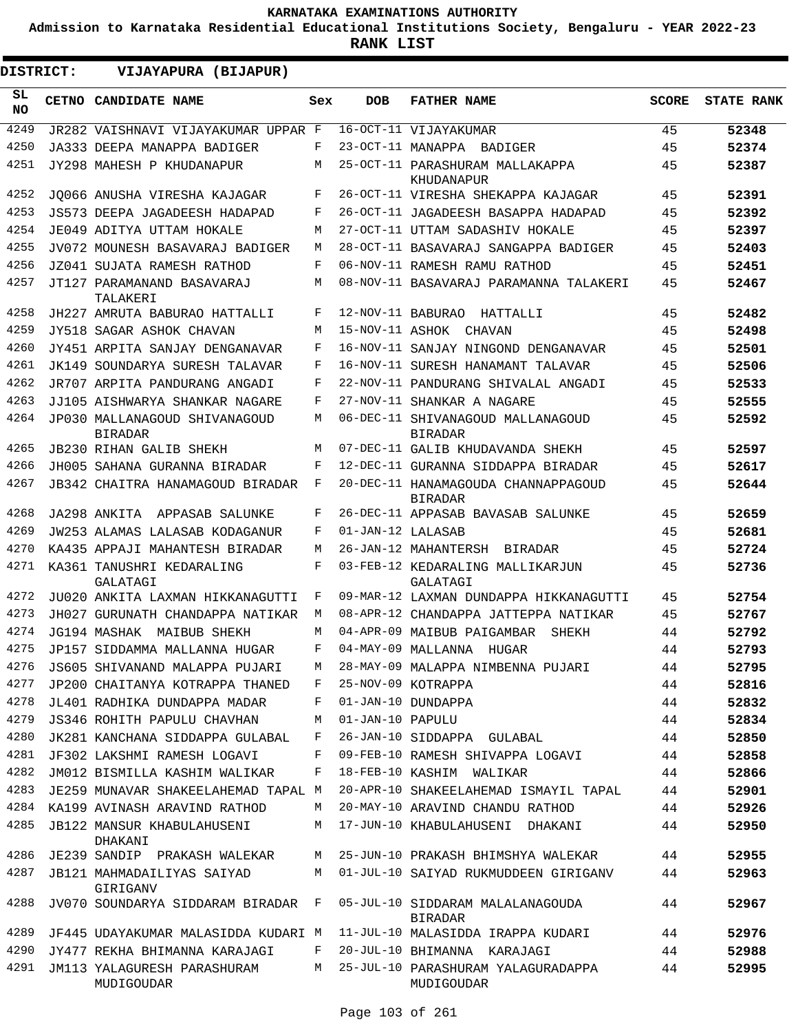**Admission to Karnataka Residential Educational Institutions Society, Bengaluru - YEAR 2022-23**

**RANK LIST**

 $\blacksquare$ 

| <b>DISTRICT:</b> | VIJAYAPURA (BIJAPUR)                            |     |                   |                                                       |              |                   |
|------------------|-------------------------------------------------|-----|-------------------|-------------------------------------------------------|--------------|-------------------|
| SL.<br><b>NO</b> | CETNO CANDIDATE NAME                            | Sex | <b>DOB</b>        | <b>FATHER NAME</b>                                    | <b>SCORE</b> | <b>STATE RANK</b> |
| 4249             | JR282 VAISHNAVI VIJAYAKUMAR UPPAR F             |     |                   | 16-OCT-11 VIJAYAKUMAR                                 | 45           | 52348             |
| 4250             | JA333 DEEPA MANAPPA BADIGER                     | F   |                   | 23-OCT-11 MANAPPA BADIGER                             | 45           | 52374             |
| 4251             | JY298 MAHESH P KHUDANAPUR                       | M   |                   | 25-OCT-11 PARASHURAM MALLAKAPPA<br>KHUDANAPUR         | 45           | 52387             |
| 4252             | JO066 ANUSHA VIRESHA KAJAGAR                    | F   |                   | 26-OCT-11 VIRESHA SHEKAPPA KAJAGAR                    | 45           | 52391             |
| 4253             | JS573 DEEPA JAGADEESH HADAPAD                   | F   |                   | 26-OCT-11 JAGADEESH BASAPPA HADAPAD                   | 45           | 52392             |
| 4254             | JE049 ADITYA UTTAM HOKALE                       | М   |                   | 27-OCT-11 UTTAM SADASHIV HOKALE                       | 45           | 52397             |
| 4255             | JV072 MOUNESH BASAVARAJ BADIGER                 | М   |                   | 28-OCT-11 BASAVARAJ SANGAPPA BADIGER                  | 45           | 52403             |
| 4256             | JZ041 SUJATA RAMESH RATHOD                      | F   |                   | 06-NOV-11 RAMESH RAMU RATHOD                          | 45           | 52451             |
| 4257             | JT127 PARAMANAND BASAVARAJ<br>TALAKERI          | М   |                   | 08-NOV-11 BASAVARAJ PARAMANNA TALAKERI                | 45           | 52467             |
| 4258             | JH227 AMRUTA BABURAO HATTALLI                   | F   |                   | 12-NOV-11 BABURAO HATTALLI                            | 45           | 52482             |
| 4259             | JY518 SAGAR ASHOK CHAVAN                        | M   | 15-NOV-11 ASHOK   | CHAVAN                                                | 45           | 52498             |
| 4260             | JY451 ARPITA SANJAY DENGANAVAR                  | F   |                   | 16-NOV-11 SANJAY NINGOND DENGANAVAR                   | 45           | 52501             |
| 4261             | JK149 SOUNDARYA SURESH TALAVAR                  | F   |                   | 16-NOV-11 SURESH HANAMANT TALAVAR                     | 45           | 52506             |
| 4262             | JR707 ARPITA PANDURANG ANGADI                   | F   |                   | 22-NOV-11 PANDURANG SHIVALAL ANGADI                   | 45           | 52533             |
| 4263             | JJ105 AISHWARYA SHANKAR NAGARE                  | F   |                   | 27-NOV-11 SHANKAR A NAGARE                            | 45           | 52555             |
| 4264             | JP030 MALLANAGOUD SHIVANAGOUD<br><b>BIRADAR</b> | М   |                   | 06-DEC-11 SHIVANAGOUD MALLANAGOUD<br><b>BIRADAR</b>   | 45           | 52592             |
| 4265             | <b>JB230 RIHAN GALIB SHEKH</b>                  | М   |                   | 07-DEC-11 GALIB KHUDAVANDA SHEKH                      | 45           | 52597             |
| 4266             | JH005 SAHANA GURANNA BIRADAR                    | F   |                   | 12-DEC-11 GURANNA SIDDAPPA BIRADAR                    | 45           | 52617             |
| 4267             | JB342 CHAITRA HANAMAGOUD BIRADAR                | F   |                   | 20-DEC-11 HANAMAGOUDA CHANNAPPAGOUD<br><b>BIRADAR</b> | 45           | 52644             |
| 4268             | JA298 ANKITA<br>APPASAB SALUNKE                 | F   |                   | 26-DEC-11 APPASAB BAVASAB SALUNKE                     | 45           | 52659             |
| 4269             | JW253 ALAMAS LALASAB KODAGANUR                  | F   | 01-JAN-12 LALASAB |                                                       | 45           | 52681             |
| 4270             | KA435 APPAJI MAHANTESH BIRADAR                  | М   |                   | 26-JAN-12 MAHANTERSH<br>BIRADAR                       | 45           | 52724             |
| 4271             | KA361 TANUSHRI KEDARALING<br>GALATAGI           | F   |                   | 03-FEB-12 KEDARALING MALLIKARJUN<br>GALATAGI          | 45           | 52736             |
| 4272             | JU020 ANKITA LAXMAN HIKKANAGUTTI                | F   |                   | 09-MAR-12 LAXMAN DUNDAPPA HIKKANAGUTTI                | 45           | 52754             |
| 4273             | JH027 GURUNATH CHANDAPPA NATIKAR                | M   |                   | 08-APR-12 CHANDAPPA JATTEPPA NATIKAR                  | 45           | 52767             |
| 4274             | JG194 MASHAK<br>MAIBUB SHEKH                    | M   |                   | 04-APR-09 MAIBUB PAIGAMBAR<br>SHEKH                   | 44           | 52792             |
| 4275             | JP157 SIDDAMMA MALLANNA HUGAR                   | F   |                   | 04-MAY-09 MALLANNA HUGAR                              | 44           | 52793             |
| 4276             | JS605 SHIVANAND MALAPPA PUJARI                  | М   |                   | 28-MAY-09 MALAPPA NIMBENNA PUJARI                     | 44           | 52795             |
| 4277             | JP200 CHAITANYA KOTRAPPA THANED                 | F   |                   | 25-NOV-09 KOTRAPPA                                    | 44           | 52816             |
| 4278             | JL401 RADHIKA DUNDAPPA MADAR                    | F   |                   | 01-JAN-10 DUNDAPPA                                    | 44           | 52832             |
| 4279             | JS346 ROHITH PAPULU CHAVHAN                     | М   | 01-JAN-10 PAPULU  |                                                       | 44           | 52834             |
| 4280             | JK281 KANCHANA SIDDAPPA GULABAL                 | F   |                   | 26-JAN-10 SIDDAPPA GULABAL                            | 44           | 52850             |
| 4281             | JF302 LAKSHMI RAMESH LOGAVI                     | F   |                   | 09-FEB-10 RAMESH SHIVAPPA LOGAVI                      | 44           | 52858             |
| 4282             | JM012 BISMILLA KASHIM WALIKAR                   | F   |                   | 18-FEB-10 KASHIM WALIKAR                              | 44           | 52866             |
| 4283             | JE259 MUNAVAR SHAKEELAHEMAD TAPAL M             |     |                   | 20-APR-10 SHAKEELAHEMAD ISMAYIL TAPAL                 | 44           | 52901             |
| 4284             | KA199 AVINASH ARAVIND RATHOD                    | M   |                   | 20-MAY-10 ARAVIND CHANDU RATHOD                       | 44           | 52926             |
| 4285             | JB122 MANSUR KHABULAHUSENI<br>DHAKANI           | М   |                   | 17-JUN-10 KHABULAHUSENI DHAKANI                       | 44           | 52950             |
| 4286             | JE239 SANDIP PRAKASH WALEKAR                    | М   |                   | 25-JUN-10 PRAKASH BHIMSHYA WALEKAR                    | 44           | 52955             |
| 4287             | JB121 MAHMADAILIYAS SAIYAD<br>GIRIGANV          | М   |                   | 01-JUL-10 SAIYAD RUKMUDDEEN GIRIGANV                  | 44           | 52963             |
| 4288             | JV070 SOUNDARYA SIDDARAM BIRADAR                | F   |                   | 05-JUL-10 SIDDARAM MALALANAGOUDA<br><b>BIRADAR</b>    | 44           | 52967             |
| 4289             | JF445 UDAYAKUMAR MALASIDDA KUDARI M             |     |                   | 11-JUL-10 MALASIDDA IRAPPA KUDARI                     | 44           | 52976             |
| 4290             | JY477 REKHA BHIMANNA KARAJAGI                   | F   |                   | 20-JUL-10 BHIMANNA KARAJAGI                           | 44           | 52988             |
| 4291             | JM113 YALAGURESH PARASHURAM<br>MUDIGOUDAR       | M   |                   | 25-JUL-10 PARASHURAM YALAGURADAPPA<br>MUDIGOUDAR      | 44           | 52995             |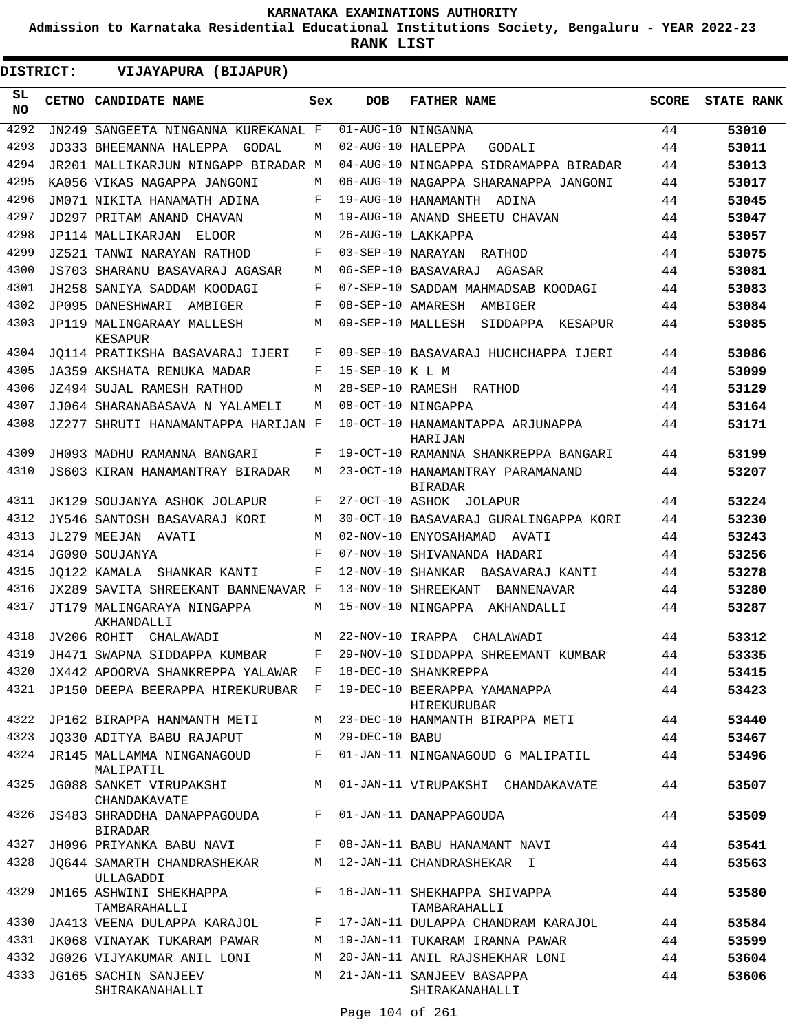**Admission to Karnataka Residential Educational Institutions Society, Bengaluru - YEAR 2022-23**

**RANK LIST**

**DISTRICT:** EE **VIJAYAPURA (BIJAPUR)**

| SL<br><b>NO</b> | CETNO CANDIDATE NAME                                                        | Sex | <b>DOB</b>        | <b>FATHER NAME</b>                                 | <b>SCORE</b> | <b>STATE RANK</b> |
|-----------------|-----------------------------------------------------------------------------|-----|-------------------|----------------------------------------------------|--------------|-------------------|
| 4292            | JN249 SANGEETA NINGANNA KUREKANAL F                                         |     |                   | 01-AUG-10 NINGANNA                                 | 44           | 53010             |
| 4293            | JD333 BHEEMANNA HALEPPA<br>GODAL                                            | М   | 02-AUG-10 HALEPPA | GODALI                                             | 44           | 53011             |
| 4294            | JR201 MALLIKARJUN NINGAPP BIRADAR M                                         |     |                   | 04-AUG-10 NINGAPPA SIDRAMAPPA BIRADAR              | 44           | 53013             |
| 4295            | KA056 VIKAS NAGAPPA JANGONI                                                 | М   |                   | 06-AUG-10 NAGAPPA SHARANAPPA JANGONI               | 44           | 53017             |
| 4296            | JM071 NIKITA HANAMATH ADINA                                                 | F   |                   | 19-AUG-10 HANAMANTH ADINA                          | 44           | 53045             |
| 4297            | JD297 PRITAM ANAND CHAVAN                                                   | М   |                   | 19-AUG-10 ANAND SHEETU CHAVAN                      | 44           | 53047             |
| 4298            | JP114 MALLIKARJAN<br>ELOOR                                                  | М   |                   | 26-AUG-10 LAKKAPPA                                 | 44           | 53057             |
| 4299            | JZ521 TANWI NARAYAN RATHOD                                                  | F   | 03-SEP-10 NARAYAN | RATHOD                                             | 44           | 53075             |
| 4300            | JS703 SHARANU BASAVARAJ AGASAR                                              | М   |                   | 06-SEP-10 BASAVARAJ<br>AGASAR                      | 44           | 53081             |
| 4301            | JH258 SANIYA SADDAM KOODAGI                                                 | F   |                   | 07-SEP-10 SADDAM MAHMADSAB KOODAGI                 | 44           | 53083             |
| 4302            | JP095 DANESHWARI<br>AMBIGER                                                 | F   | 08-SEP-10 AMARESH | AMBIGER                                            | 44           | 53084             |
| 4303            | JP119 MALINGARAAY MALLESH<br>KESAPUR                                        | М   | 09-SEP-10 MALLESH | SIDDAPPA<br>KESAPUR                                | 44           | 53085             |
| 4304            | JO114 PRATIKSHA BASAVARAJ IJERI                                             | F   |                   | 09-SEP-10 BASAVARAJ HUCHCHAPPA IJERI               | 44           | 53086             |
| 4305            | JA359 AKSHATA RENUKA MADAR                                                  | F   | 15-SEP-10 K L M   |                                                    | 44           | 53099             |
| 4306            | JZ494 SUJAL RAMESH RATHOD                                                   | М   |                   | 28-SEP-10 RAMESH RATHOD                            | 44           | 53129             |
| 4307            | JJ064 SHARANABASAVA N YALAMELI                                              | M   |                   | 08-OCT-10 NINGAPPA                                 | 44           | 53164             |
| 4308            | JZ277 SHRUTI HANAMANTAPPA HARIJAN F                                         |     |                   | 10-OCT-10 HANAMANTAPPA ARJUNAPPA<br>HARIJAN        | 44           | 53171             |
| 4309            | JH093 MADHU RAMANNA BANGARI                                                 | F   |                   | 19-OCT-10 RAMANNA SHANKREPPA BANGARI               | 44           | 53199             |
| 4310            | JS603 KIRAN HANAMANTRAY BIRADAR                                             | М   |                   | 23-OCT-10 HANAMANTRAY PARAMANAND<br><b>BIRADAR</b> | 44           | 53207             |
| 4311            | JK129 SOUJANYA ASHOK JOLAPUR                                                | F   |                   | 27-OCT-10 ASHOK JOLAPUR                            | 44           | 53224             |
| 4312            | JY546 SANTOSH BASAVARAJ KORI                                                | М   |                   | 30-OCT-10 BASAVARAJ GURALINGAPPA KORI              | 44           | 53230             |
| 4313            | JL279 MEEJAN<br>AVATI                                                       | М   | 02-NOV-10         | ENYOSAHAMAD<br>AVATI                               | 44           | 53243             |
| 4314            | JG090 SOUJANYA                                                              | F   |                   | 07-NOV-10 SHIVANANDA HADARI                        | 44           | 53256             |
| 4315            | JO122 KAMALA<br>SHANKAR KANTI                                               | F   |                   | 12-NOV-10 SHANKAR BASAVARAJ KANTI                  | 44           | 53278             |
| 4316            | JX289 SAVITA SHREEKANT BANNENAVAR F                                         |     |                   | 13-NOV-10 SHREEKANT<br>BANNENAVAR                  | 44           | 53280             |
| 4317            | JT179 MALINGARAYA NINGAPPA<br>AKHANDALLI                                    | М   |                   | 15-NOV-10 NINGAPPA<br>AKHANDALLI                   | 44           | 53287             |
| 4318            | JV206 ROHIT<br>CHALAWADI                                                    | M   | 22-NOV-10 IRAPPA  | CHALAWADI                                          | 44           | 53312             |
| 4319            | JH471 SWAPNA SIDDAPPA KUMBAR                                                | F   |                   | 29-NOV-10 SIDDAPPA SHREEMANT KUMBAR                | 44           | 53335             |
| 4320            | JX442 APOORVA SHANKREPPA YALAWAR F                                          |     |                   | 18-DEC-10 SHANKREPPA                               | 44           | 53415             |
| 4321            | JP150 DEEPA BEERAPPA HIREKURUBAR F                                          |     |                   | 19-DEC-10 BEERAPPA YAMANAPPA<br>HIREKURUBAR        | 44           | 53423             |
| 4322            | JP162 BIRAPPA HANMANTH METI                                                 | M   |                   | 23-DEC-10 HANMANTH BIRAPPA METI                    | 44           | 53440             |
|                 | 4323 JQ330 ADITYA BABU RAJAPUT                                              |     | M 29-DEC-10 BABU  |                                                    | 44           | 53467             |
|                 | 4324 JR145 MALLAMMA NINGANAGOUD<br>MALIPATIL                                |     |                   | F 01-JAN-11 NINGANAGOUD G MALIPATIL                | 44           | 53496             |
| 4325            | JG088 SANKET VIRUPAKSHI M 01-JAN-11 VIRUPAKSHI CHANDAKAVATE<br>CHANDAKAVATE |     |                   |                                                    | 44           | 53507             |
| 4326            | JS483 SHRADDHA DANAPPAGOUDA<br>BIRADAR                                      | F   |                   | 01-JAN-11 DANAPPAGOUDA                             | 44           | 53509             |
| 4327            | JH096 PRIYANKA BABU NAVI F 08-JAN-11 BABU HANAMANT NAVI                     |     |                   |                                                    | 44           | 53541             |
| 4328            | JQ644 SAMARTH CHANDRASHEKAR M<br>ULLAGADDI                                  |     |                   | 12-JAN-11 CHANDRASHEKAR I                          | 44           | 53563             |
| 4329            | JM165 ASHWINI SHEKHAPPA<br>TAMBARAHALLI                                     |     |                   | F 16-JAN-11 SHEKHAPPA SHIVAPPA<br>TAMBARAHALLI     | 44           | 53580             |
| 4330            | JA413 VEENA DULAPPA KARAJOL                                                 | F   |                   | 17-JAN-11 DULAPPA CHANDRAM KARAJOL                 | 44           | 53584             |
| 4331            | JK068 VINAYAK TUKARAM PAWAR                                                 | M   |                   | 19-JAN-11 TUKARAM IRANNA PAWAR                     | 44           | 53599             |
| 4332            | JG026 VIJYAKUMAR ANIL LONI                                                  | M   |                   | 20-JAN-11 ANIL RAJSHEKHAR LONI                     | 44           | 53604             |
| 4333            | JG165 SACHIN SANJEEV<br>SHIRAKANAHALLI                                      |     |                   | M 21-JAN-11 SANJEEV BASAPPA<br>SHIRAKANAHALLI      | 44           | 53606             |

Page 104 of 261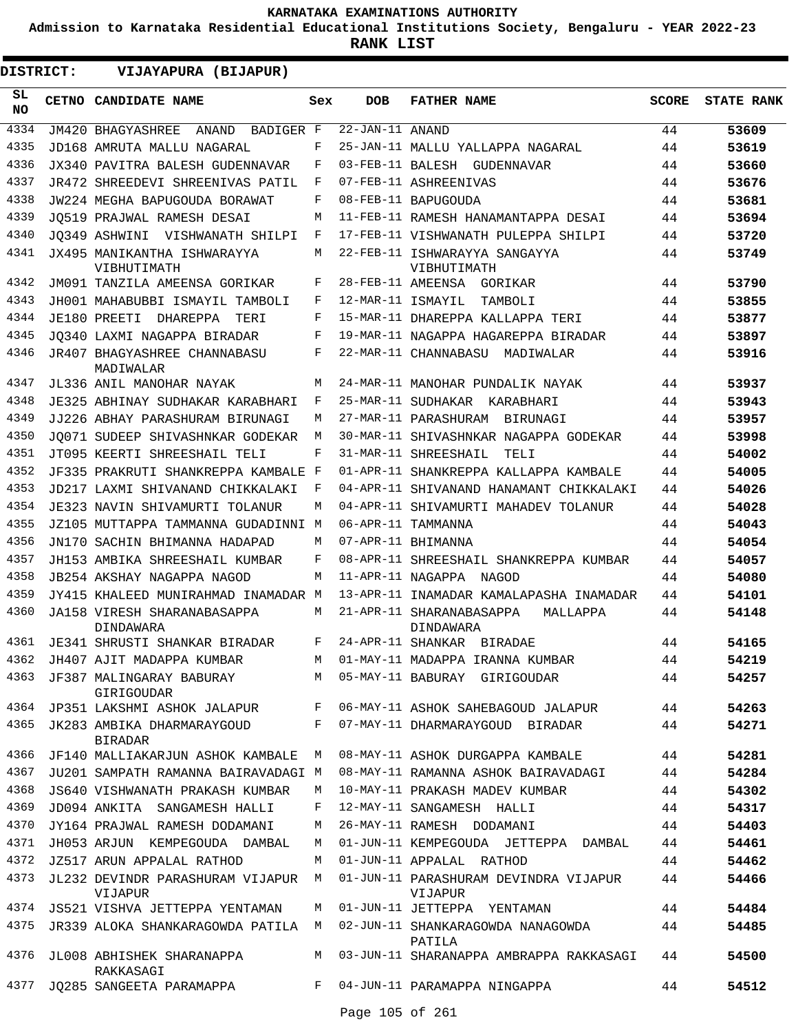**Admission to Karnataka Residential Educational Institutions Society, Bengaluru - YEAR 2022-23**

**RANK LIST**

 $\blacksquare$ 

**DISTRICT:** EE **VIJAYAPURA (BIJAPUR)**

| SL<br><b>NO</b> | CETNO CANDIDATE NAME                             | Sex     | <b>DOB</b>            | <b>FATHER NAME</b>                                                             | <b>SCORE</b> | <b>STATE RANK</b> |
|-----------------|--------------------------------------------------|---------|-----------------------|--------------------------------------------------------------------------------|--------------|-------------------|
| 4334            | JM420 BHAGYASHREE<br>ANAND<br>BADIGER F          |         | $22 - JAN - 11$ ANAND |                                                                                | 44           | 53609             |
| 4335            | JD168 AMRUTA MALLU NAGARAL                       | F       |                       | 25-JAN-11 MALLU YALLAPPA NAGARAL                                               | 44           | 53619             |
| 4336            | JX340 PAVITRA BALESH GUDENNAVAR                  | F       |                       | 03-FEB-11 BALESH GUDENNAVAR                                                    | 44           | 53660             |
| 4337            | JR472 SHREEDEVI SHREENIVAS PATIL                 | F       |                       | 07-FEB-11 ASHREENIVAS                                                          | 44           | 53676             |
| 4338            | JW224 MEGHA BAPUGOUDA BORAWAT                    | F       |                       | 08-FEB-11 BAPUGOUDA                                                            | 44           | 53681             |
| 4339            | JO519 PRAJWAL RAMESH DESAI                       | М       |                       | 11-FEB-11 RAMESH HANAMANTAPPA DESAI                                            | 44           | 53694             |
| 4340            | JO349 ASHWINI VISHWANATH SHILPI                  | F       |                       | 17-FEB-11 VISHWANATH PULEPPA SHILPI                                            | 44           | 53720             |
| 4341            | JX495 MANIKANTHA ISHWARAYYA<br>VIBHUTIMATH       | М       |                       | 22-FEB-11 ISHWARAYYA SANGAYYA<br>VIBHUTIMATH                                   | 44           | 53749             |
| 4342            | JM091 TANZILA AMEENSA GORIKAR                    | F       |                       | 28-FEB-11 AMEENSA GORIKAR                                                      | 44           | 53790             |
| 4343            | JH001 MAHABUBBI ISMAYIL TAMBOLI                  | F       | 12-MAR-11 ISMAYIL     | TAMBOLI                                                                        | 44           | 53855             |
| 4344            | JE180 PREETI DHAREPPA<br>TERI                    | F       |                       | 15-MAR-11 DHAREPPA KALLAPPA TERI                                               | 44           | 53877             |
| 4345            | JO340 LAXMI NAGAPPA BIRADAR                      | F       |                       | 19-MAR-11 NAGAPPA HAGAREPPA BIRADAR                                            | 44           | 53897             |
| 4346            | <b>JR407 BHAGYASHREE CHANNABASU</b><br>MADIWALAR | F       |                       | 22-MAR-11 CHANNABASU MADIWALAR                                                 | 44           | 53916             |
| 4347            | JL336 ANIL MANOHAR NAYAK                         | M       |                       | 24-MAR-11 MANOHAR PUNDALIK NAYAK                                               | 44           | 53937             |
| 4348            | JE325 ABHINAY SUDHAKAR KARABHARI                 | F       |                       | 25-MAR-11 SUDHAKAR KARABHARI                                                   | 44           | 53943             |
| 4349            | JJ226 ABHAY PARASHURAM BIRUNAGI                  | M       |                       | 27-MAR-11 PARASHURAM<br>BIRUNAGI                                               | 44           | 53957             |
| 4350            | JO071 SUDEEP SHIVASHNKAR GODEKAR                 | M       |                       | 30-MAR-11 SHIVASHNKAR NAGAPPA GODEKAR                                          | 44           | 53998             |
| 4351            | JT095 KEERTI SHREESHAIL TELI                     | F       |                       | 31-MAR-11 SHREESHAIL<br>TELI                                                   | 44           | 54002             |
| 4352            | JF335 PRAKRUTI SHANKREPPA KAMBALE                | F       |                       | 01-APR-11 SHANKREPPA KALLAPPA KAMBALE                                          | 44           | 54005             |
| 4353            | JD217 LAXMI SHIVANAND CHIKKALAKI                 | F       |                       | 04-APR-11 SHIVANAND HANAMANT CHIKKALAKI                                        | 44           | 54026             |
| 4354            | JE323 NAVIN SHIVAMURTI TOLANUR                   | M       |                       | 04-APR-11 SHIVAMURTI MAHADEV TOLANUR                                           | 44           | 54028             |
| 4355            | JZ105 MUTTAPPA TAMMANNA GUDADINNI M              |         |                       | 06-APR-11 TAMMANNA                                                             | 44           | 54043             |
| 4356            | JN170 SACHIN BHIMANNA HADAPAD                    | M       |                       | 07-APR-11 BHIMANNA                                                             | 44           | 54054             |
| 4357            | JH153 AMBIKA SHREESHAIL KUMBAR                   | F       |                       | 08-APR-11 SHREESHAIL SHANKREPPA KUMBAR                                         | 44           | 54057             |
| 4358<br>4359    | JB254 AKSHAY NAGAPPA NAGOD                       | М       | 11-APR-11 NAGAPPA     | NAGOD                                                                          | 44           | 54080             |
| 4360            | JY415 KHALEED MUNIRAHMAD INAMADAR M              | М       |                       | 13-APR-11 INAMADAR KAMALAPASHA INAMADAR                                        | 44           | 54101             |
|                 | JA158 VIRESH SHARANABASAPPA<br>DINDAWARA         |         |                       | 21-APR-11 SHARANABASAPPA<br>MALLAPPA<br>DINDAWARA                              | 44           | 54148             |
| 4361            | JE341 SHRUSTI SHANKAR BIRADAR                    | F       |                       | 24-APR-11 SHANKAR BIRADAE                                                      | 44           | 54165             |
| 4362            | JH407 AJIT MADAPPA KUMBAR                        | M       |                       | 01-MAY-11 MADAPPA IRANNA KUMBAR                                                | 44           | 54219             |
| 4363            | JF387 MALINGARAY BABURAY<br>GIRIGOUDAR           |         |                       | M 05-MAY-11 BABURAY GIRIGOUDAR                                                 | 44           | 54257             |
| 4364            | JP351 LAKSHMI ASHOK JALAPUR F                    |         |                       | 06-MAY-11 ASHOK SAHEBAGOUD JALAPUR                                             | 44           | 54263             |
| 4365            | JK283 AMBIKA DHARMARAYGOUD<br><b>BIRADAR</b>     | $F -$   |                       | 07-MAY-11 DHARMARAYGOUD BIRADAR                                                | 44           | 54271             |
| 4366            | JF140 MALLIAKARJUN ASHOK KAMBALE                 | M       |                       | 08-MAY-11 ASHOK DURGAPPA KAMBALE                                               | 44           | 54281             |
| 4367            | JU201 SAMPATH RAMANNA BAIRAVADAGI M              |         |                       | 08-MAY-11 RAMANNA ASHOK BAIRAVADAGI                                            | 44           | 54284             |
| 4368            | JS640 VISHWANATH PRAKASH KUMBAR                  | M       |                       | 10-MAY-11 PRAKASH MADEV KUMBAR                                                 | 44           | 54302             |
| 4369            | JD094 ANKITA SANGAMESH HALLI                     | F       |                       | 12-MAY-11 SANGAMESH HALLI                                                      | 44           | 54317             |
| 4370            | JY164 PRAJWAL RAMESH DODAMANI                    | M       |                       | 26-MAY-11 RAMESH DODAMANI                                                      | 44           | 54403             |
| 4371            | JH053 ARJUN KEMPEGOUDA DAMBAL                    | M       |                       | 01-JUN-11 KEMPEGOUDA JETTEPPA DAMBAL                                           | 44           | 54461             |
| 4372            | JZ517 ARUN APPALAL RATHOD                        | M       |                       | 01-JUN-11 APPALAL RATHOD                                                       | 44           | 54462             |
| 4373            | JL232 DEVINDR PARASHURAM VIJAPUR M<br>VIJAPUR    |         |                       | 01-JUN-11 PARASHURAM DEVINDRA VIJAPUR<br>VIJAPUR                               | 44           | 54466             |
| 4374            | JS521 VISHVA JETTEPPA YENTAMAN                   | M       |                       | 01-JUN-11 JETTEPPA YENTAMAN                                                    | 44           | 54484             |
| 4375            |                                                  |         |                       | JR339 ALOKA SHANKARAGOWDA PATILA M 02-JUN-11 SHANKARAGOWDA NANAGOWDA<br>PATILA | 44           | 54485             |
| 4376            | JL008 ABHISHEK SHARANAPPA<br>RAKKASAGI           |         |                       | M 03-JUN-11 SHARANAPPA AMBRAPPA RAKKASAGI                                      | 44           | 54500             |
| 4377            | JQ285 SANGEETA PARAMAPPA                         | $F$ and |                       | 04-JUN-11 PARAMAPPA NINGAPPA                                                   | 44           | 54512             |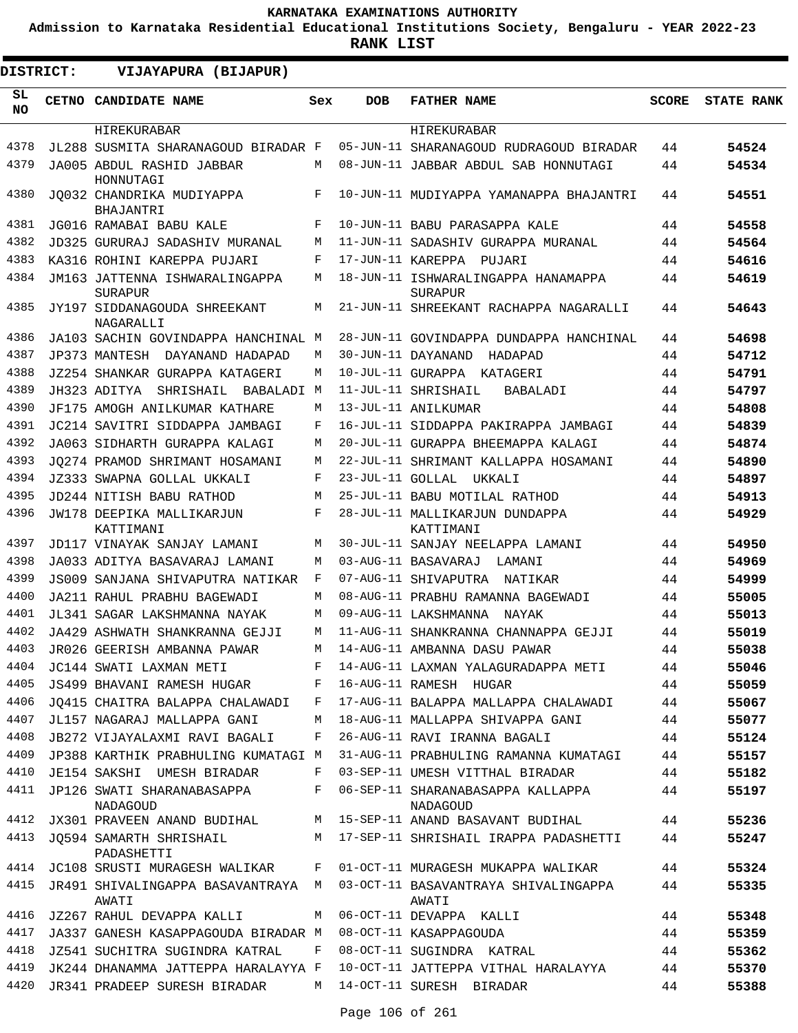**Admission to Karnataka Residential Educational Institutions Society, Bengaluru - YEAR 2022-23**

**RANK LIST**

**DISTRICT:** EE **VIJAYAPURA (BIJAPUR)**

| SL<br><b>NO</b> | CETNO CANDIDATE NAME                                                | Sex          | <b>DOB</b>        | <b>FATHER NAME</b>                                                   | <b>SCORE</b> | <b>STATE RANK</b> |
|-----------------|---------------------------------------------------------------------|--------------|-------------------|----------------------------------------------------------------------|--------------|-------------------|
|                 | HIREKURABAR                                                         |              |                   | HIREKURABAR                                                          |              |                   |
| 4378            | JL288 SUSMITA SHARANAGOUD BIRADAR F                                 |              |                   | 05-JUN-11 SHARANAGOUD RUDRAGOUD BIRADAR                              | 44           | 54524             |
| 4379            | JA005 ABDUL RASHID JABBAR<br>HONNUTAGI                              | M            |                   | 08-JUN-11 JABBAR ABDUL SAB HONNUTAGI                                 | 44           | 54534             |
| 4380            | JO032 CHANDRIKA MUDIYAPPA<br>BHAJANTRI                              | F            |                   | 10-JUN-11 MUDIYAPPA YAMANAPPA BHAJANTRI                              | 44           | 54551             |
| 4381            | JG016 RAMABAI BABU KALE                                             | $\mathbf{F}$ |                   | 10-JUN-11 BABU PARASAPPA KALE                                        | 44           | 54558             |
| 4382            | JD325 GURURAJ SADASHIV MURANAL                                      | M            |                   | 11-JUN-11 SADASHIV GURAPPA MURANAL                                   | 44           | 54564             |
| 4383            | KA316 ROHINI KAREPPA PUJARI                                         | F            | 17-JUN-11 KAREPPA | PUJARI                                                               | 44           | 54616             |
| 4384            | JM163 JATTENNA ISHWARALINGAPPA<br><b>SURAPUR</b>                    | М            |                   | 18-JUN-11 ISHWARALINGAPPA HANAMAPPA<br>SURAPUR                       | 44           | 54619             |
| 4385            | JY197 SIDDANAGOUDA SHREEKANT<br>NAGARALLI                           | М            |                   | 21-JUN-11 SHREEKANT RACHAPPA NAGARALLI                               | 44           | 54643             |
| 4386            | JA103 SACHIN GOVINDAPPA HANCHINAL M                                 |              |                   | 28-JUN-11 GOVINDAPPA DUNDAPPA HANCHINAL                              | 44           | 54698             |
| 4387            | JP373 MANTESH DAYANAND HADAPAD                                      | М            |                   | 30-JUN-11 DAYANAND<br>HADAPAD                                        | 44           | 54712             |
| 4388            | JZ254 SHANKAR GURAPPA KATAGERI                                      | M            |                   | 10-JUL-11 GURAPPA KATAGERI                                           | 44           | 54791             |
| 4389            | JH323 ADITYA<br>SHRISHAIL BABALADI M                                |              |                   | 11-JUL-11 SHRISHAIL<br>BABALADI                                      | 44           | 54797             |
| 4390            | JF175 AMOGH ANILKUMAR KATHARE                                       | М            |                   | 13-JUL-11 ANILKUMAR                                                  | 44           | 54808             |
| 4391            | JC214 SAVITRI SIDDAPPA JAMBAGI                                      | F            |                   | 16-JUL-11 SIDDAPPA PAKIRAPPA JAMBAGI                                 | 44           | 54839             |
| 4392            | JA063 SIDHARTH GURAPPA KALAGI                                       | М            |                   | 20-JUL-11 GURAPPA BHEEMAPPA KALAGI                                   | 44           | 54874             |
| 4393            | JO274 PRAMOD SHRIMANT HOSAMANI                                      | M            |                   | 22-JUL-11 SHRIMANT KALLAPPA HOSAMANI                                 | 44           | 54890             |
| 4394            | JZ333 SWAPNA GOLLAL UKKALI                                          | F            |                   | 23-JUL-11 GOLLAL UKKALI                                              | 44           | 54897             |
| 4395            | JD244 NITISH BABU RATHOD                                            | М            |                   | 25-JUL-11 BABU MOTILAL RATHOD                                        | 44           | 54913             |
| 4396            | JW178 DEEPIKA MALLIKARJUN<br>KATTIMANI                              | F            |                   | 28-JUL-11 MALLIKARJUN DUNDAPPA<br>KATTIMANI                          | 44           | 54929             |
| 4397            | JD117 VINAYAK SANJAY LAMANI                                         | М            |                   | 30-JUL-11 SANJAY NEELAPPA LAMANI                                     | 44           | 54950             |
| 4398            | JA033 ADITYA BASAVARAJ LAMANI                                       | М            |                   | 03-AUG-11 BASAVARAJ<br>LAMANI                                        | 44           | 54969             |
| 4399            | JS009 SANJANA SHIVAPUTRA NATIKAR                                    | F            |                   | 07-AUG-11 SHIVAPUTRA NATIKAR                                         | 44           | 54999             |
| 4400            | JA211 RAHUL PRABHU BAGEWADI                                         | М            |                   | 08-AUG-11 PRABHU RAMANNA BAGEWADI                                    | 44           | 55005             |
| 4401            | JL341 SAGAR LAKSHMANNA NAYAK                                        | М            |                   | 09-AUG-11 LAKSHMANNA<br>NAYAK                                        | 44           | 55013             |
| 4402            | JA429 ASHWATH SHANKRANNA GEJJI                                      | М            |                   | 11-AUG-11 SHANKRANNA CHANNAPPA GEJJI                                 | 44           | 55019             |
| 4403            | JR026 GEERISH AMBANNA PAWAR                                         | М            |                   | 14-AUG-11 AMBANNA DASU PAWAR                                         | 44           | 55038             |
| 4404            | JC144 SWATI LAXMAN METI                                             |              |                   | F 14-AUG-11 LAXMAN YALAGURADAPPA METI                                | 44           | 55046             |
| 4405            | JS499 BHAVANI RAMESH HUGAR                                          | F            |                   | 16-AUG-11 RAMESH HUGAR                                               | 44           | 55059             |
| 4406            | JO415 CHAITRA BALAPPA CHALAWADI                                     | F            |                   | 17-AUG-11 BALAPPA MALLAPPA CHALAWADI                                 | 44           | 55067             |
| 4407            | JL157 NAGARAJ MALLAPPA GANI                                         | M            |                   | 18-AUG-11 MALLAPPA SHIVAPPA GANI                                     | 44           | 55077             |
| 4408            | JB272 VIJAYALAXMI RAVI BAGALI                                       | F            |                   | 26-AUG-11 RAVI IRANNA BAGALI                                         | 44           | 55124             |
| 4409            | JP388 KARTHIK PRABHULING KUMATAGI M                                 |              |                   | 31-AUG-11 PRABHULING RAMANNA KUMATAGI                                | 44           | 55157             |
| 4410<br>4411    | JE154 SAKSHI UMESH BIRADAR<br>JP126 SWATI SHARANABASAPPA            | F<br>F       |                   | 03-SEP-11 UMESH VITTHAL BIRADAR<br>06-SEP-11 SHARANABASAPPA KALLAPPA | 44<br>44     | 55182<br>55197    |
| 4412            | <b>NADAGOUD</b>                                                     |              |                   | <b>NADAGOUD</b>                                                      |              |                   |
| 4413            | JX301 PRAVEEN ANAND BUDIHAL                                         | M            |                   | 15-SEP-11 ANAND BASAVANT BUDIHAL                                     | 44           | 55236             |
|                 | JQ594 SAMARTH SHRISHAIL<br>PADASHETTI                               | М            |                   | 17-SEP-11 SHRISHAIL IRAPPA PADASHETTI                                | 44           | 55247             |
| 4414            | JC108 SRUSTI MURAGESH WALIKAR                                       | F            |                   | 01-OCT-11 MURAGESH MUKAPPA WALIKAR                                   | 44           | 55324             |
| 4415            | JR491 SHIVALINGAPPA BASAVANTRAYA M<br>AWATI                         |              |                   | 03-OCT-11 BASAVANTRAYA SHIVALINGAPPA<br>AWATI                        | 44           | 55335             |
| 4416            | JZ267 RAHUL DEVAPPA KALLI                                           | M            |                   | 06-OCT-11 DEVAPPA KALLI                                              | 44           | 55348             |
| 4417            | JA337 GANESH KASAPPAGOUDA BIRADAR M                                 |              |                   | 08-OCT-11 KASAPPAGOUDA                                               | 44           | 55359             |
| 4418            | JZ541 SUCHITRA SUGINDRA KATRAL                                      | F            |                   | 08-OCT-11 SUGINDRA KATRAL                                            | 44           | 55362             |
| 4419<br>4420    | JK244 DHANAMMA JATTEPPA HARALAYYA F<br>JR341 PRADEEP SURESH BIRADAR | М            |                   | 10-OCT-11 JATTEPPA VITHAL HARALAYYA<br>14-OCT-11 SURESH BIRADAR      | 44<br>44     | 55370<br>55388    |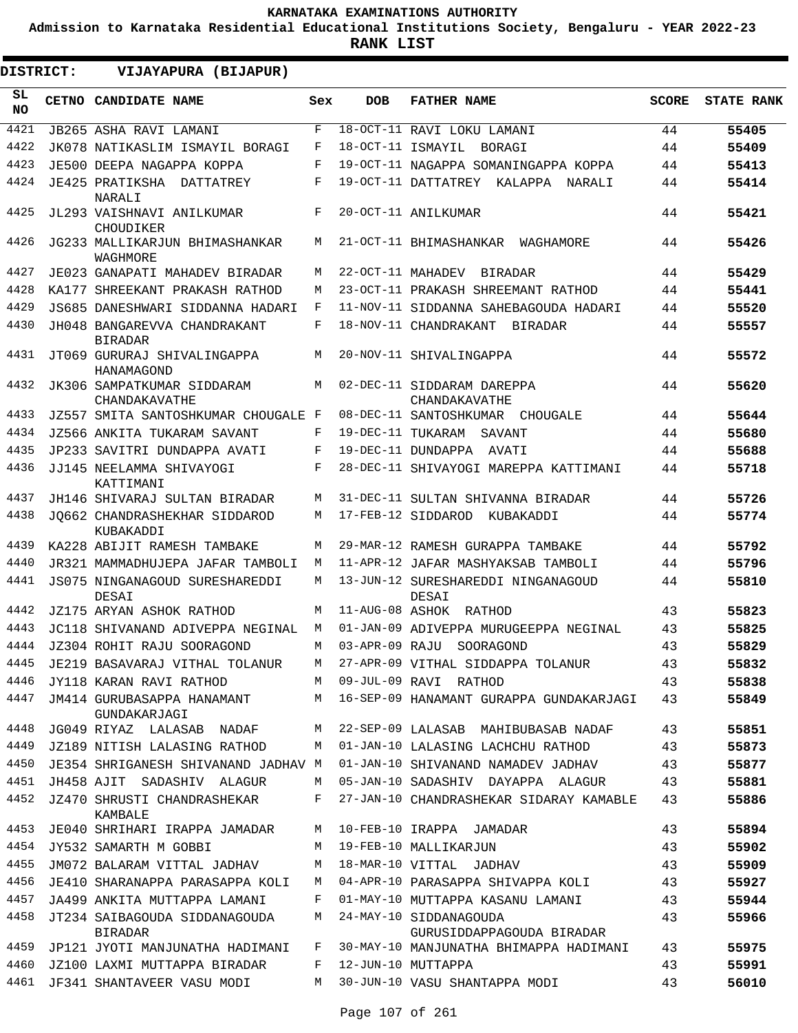**Admission to Karnataka Residential Educational Institutions Society, Bengaluru - YEAR 2022-23**

| <b>DISTRICT:</b> | VIJAYAPURA (BIJAPUR)                            |     |                   |                                                     |              |                   |
|------------------|-------------------------------------------------|-----|-------------------|-----------------------------------------------------|--------------|-------------------|
| SL.<br><b>NO</b> | <b>CETNO CANDIDATE NAME</b>                     | Sex | <b>DOB</b>        | <b>FATHER NAME</b>                                  | <b>SCORE</b> | <b>STATE RANK</b> |
| 4421             | JB265 ASHA RAVI LAMANI                          | F   |                   | 18-OCT-11 RAVI LOKU LAMANI                          | 44           | 55405             |
| 4422             | JK078 NATIKASLIM ISMAYIL BORAGI                 | F   | 18-OCT-11 ISMAYIL | BORAGI                                              | 44           | 55409             |
| 4423             | JE500 DEEPA NAGAPPA KOPPA                       | F   |                   | 19-OCT-11 NAGAPPA SOMANINGAPPA KOPPA                | 44           | 55413             |
| 4424             | JE425 PRATIKSHA DATTATREY<br>NARALI             | F   |                   | 19-OCT-11 DATTATREY KALAPPA NARALI                  | 44           | 55414             |
| 4425             | JL293 VAISHNAVI ANILKUMAR<br>CHOUDIKER          | F   |                   | 20-OCT-11 ANILKUMAR                                 | 44           | 55421             |
| 4426             | JG233 MALLIKARJUN BHIMASHANKAR<br>WAGHMORE      | M   |                   | 21-OCT-11 BHIMASHANKAR<br>WAGHAMORE                 | 44           | 55426             |
| 4427             | JE023 GANAPATI MAHADEV BIRADAR                  | М   | 22-OCT-11 MAHADEV | <b>BIRADAR</b>                                      | 44           | 55429             |
| 4428             | KA177 SHREEKANT PRAKASH RATHOD                  | М   |                   | 23-OCT-11 PRAKASH SHREEMANT RATHOD                  | 44           | 55441             |
| 4429             | JS685 DANESHWARI SIDDANNA HADARI                | F   |                   | 11-NOV-11 SIDDANNA SAHEBAGOUDA HADARI               | 44           | 55520             |
| 4430             | JH048 BANGAREVVA CHANDRAKANT<br><b>BIRADAR</b>  | F   |                   | 18-NOV-11 CHANDRAKANT<br>BIRADAR                    | 44           | 55557             |
| 4431             | JT069 GURURAJ SHIVALINGAPPA<br>HANAMAGOND       | М   |                   | 20-NOV-11 SHIVALINGAPPA                             | 44           | 55572             |
| 4432             | JK306 SAMPATKUMAR SIDDARAM<br>CHANDAKAVATHE     | M   |                   | 02-DEC-11 SIDDARAM DAREPPA<br>CHANDAKAVATHE         | 44           | 55620             |
| 4433             | JZ557 SMITA SANTOSHKUMAR CHOUGALE F             |     |                   | 08-DEC-11 SANTOSHKUMAR CHOUGALE                     | 44           | 55644             |
| 4434             | JZ566 ANKITA TUKARAM SAVANT                     | F   | 19-DEC-11 TUKARAM | SAVANT                                              | 44           | 55680             |
| 4435             | JP233 SAVITRI DUNDAPPA AVATI                    | F   |                   | 19-DEC-11 DUNDAPPA AVATI                            | 44           | 55688             |
| 4436             | JJ145 NEELAMMA SHIVAYOGI<br>KATTIMANI           | F   |                   | 28-DEC-11 SHIVAYOGI MAREPPA KATTIMANI               | 44           | 55718             |
| 4437             | JH146 SHIVARAJ SULTAN BIRADAR                   | М   |                   | 31-DEC-11 SULTAN SHIVANNA BIRADAR                   | 44           | 55726             |
| 4438             | JO662 CHANDRASHEKHAR SIDDAROD<br>KUBAKADDI      | М   |                   | 17-FEB-12 SIDDAROD KUBAKADDI                        | 44           | 55774             |
| 4439             | KA228 ABIJIT RAMESH TAMBAKE                     | М   |                   | 29-MAR-12 RAMESH GURAPPA TAMBAKE                    | 44           | 55792             |
| 4440             | JR321 MAMMADHUJEPA JAFAR TAMBOLI                | M   |                   | 11-APR-12 JAFAR MASHYAKSAB TAMBOLI                  | 44           | 55796             |
| 4441             | JS075 NINGANAGOUD SURESHAREDDI<br>DESAI         | M   |                   | 13-JUN-12 SURESHAREDDI NINGANAGOUD<br>DESAI         | 44           | 55810             |
| 4442             | JZ175 ARYAN ASHOK RATHOD                        | M   |                   | 11-AUG-08 ASHOK RATHOD                              | 43           | 55823             |
| 4443             | JC118 SHIVANAND ADIVEPPA NEGINAL                | M   |                   | 01-JAN-09 ADIVEPPA MURUGEEPPA NEGINAL               | 43           | 55825             |
| 4444             | JZ304 ROHIT RAJU SOORAGOND                      | М   |                   | 03-APR-09 RAJU SOORAGOND                            | 43           | 55829             |
| 4445             | JE219 BASAVARAJ VITHAL TOLANUR                  | М   |                   | 27-APR-09 VITHAL SIDDAPPA TOLANUR                   | 43           | 55832             |
| 4446             | JY118 KARAN RAVI RATHOD                         | M   |                   | 09-JUL-09 RAVI RATHOD                               | 43           | 55838             |
| 4447             | JM414 GURUBASAPPA HANAMANT<br>GUNDAKARJAGI      | M   |                   | 16-SEP-09 HANAMANT GURAPPA GUNDAKARJAGI             | 43           | 55849             |
| 4448             | JG049 RIYAZ LALASAB NADAF                       | M   |                   | 22-SEP-09 LALASAB MAHIBUBASAB NADAF                 | 43           | 55851             |
| 4449             | JZ189 NITISH LALASING RATHOD                    | M   |                   | 01-JAN-10 LALASING LACHCHU RATHOD                   | 43           | 55873             |
| 4450             | JE354 SHRIGANESH SHIVANAND JADHAV M             |     |                   | 01-JAN-10 SHIVANAND NAMADEV JADHAV                  | 43           | 55877             |
| 4451             | JH458 AJIT SADASHIV ALAGUR                      | М   |                   | 05-JAN-10 SADASHIV DAYAPPA ALAGUR                   | 43           | 55881             |
| 4452             | JZ470 SHRUSTI CHANDRASHEKAR<br><b>KAMBALE</b>   | F   |                   | 27-JAN-10 CHANDRASHEKAR SIDARAY KAMABLE             | 43           | 55886             |
| 4453             | JE040 SHRIHARI IRAPPA JAMADAR                   | М   |                   | 10-FEB-10 IRAPPA JAMADAR                            | 43           | 55894             |
| 4454             | JY532 SAMARTH M GOBBI                           | M   |                   | 19-FEB-10 MALLIKARJUN                               | 43           | 55902             |
| 4455             | JM072 BALARAM VITTAL JADHAV                     | М   |                   | 18-MAR-10 VITTAL JADHAV                             | 43           | 55909             |
| 4456             | JE410 SHARANAPPA PARASAPPA KOLI                 | М   |                   | 04-APR-10 PARASAPPA SHIVAPPA KOLI                   | 43           | 55927             |
| 4457             | JA499 ANKITA MUTTAPPA LAMANI                    | F   |                   | 01-MAY-10 MUTTAPPA KASANU LAMANI                    | 43           | 55944             |
| 4458             | JT234 SAIBAGOUDA SIDDANAGOUDA<br><b>BIRADAR</b> | М   |                   | 24-MAY-10 SIDDANAGOUDA<br>GURUSIDDAPPAGOUDA BIRADAR | 43           | 55966             |
| 4459             | JP121 JYOTI MANJUNATHA HADIMANI                 | F   |                   | 30-MAY-10 MANJUNATHA BHIMAPPA HADIMANI              | 43           | 55975             |
| 4460             | JZ100 LAXMI MUTTAPPA BIRADAR                    | F   |                   | 12-JUN-10 MUTTAPPA                                  | 43           | 55991             |
| 4461             | JF341 SHANTAVEER VASU MODI                      | М   |                   | 30-JUN-10 VASU SHANTAPPA MODI                       | 43           | 56010             |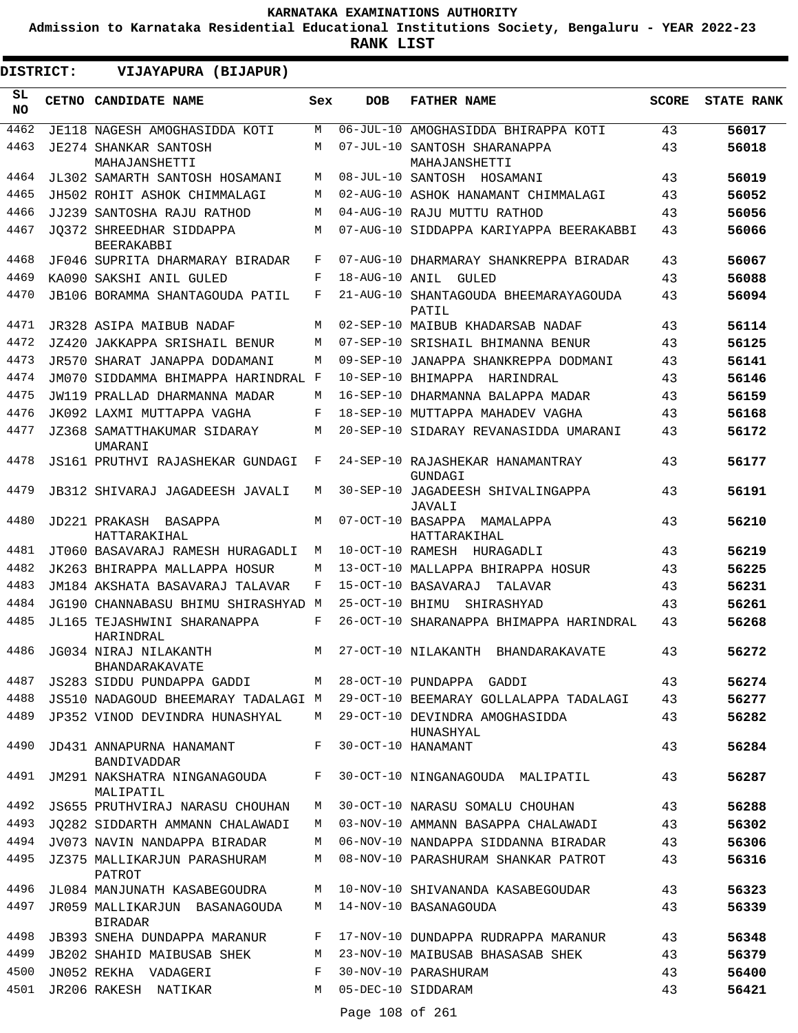**Admission to Karnataka Residential Educational Institutions Society, Bengaluru - YEAR 2022-23**

| DISTRICT:       | VIJAYAPURA (BIJAPUR)                                               |     |                 |                                                                       |              |                   |
|-----------------|--------------------------------------------------------------------|-----|-----------------|-----------------------------------------------------------------------|--------------|-------------------|
| SL<br><b>NO</b> | CETNO CANDIDATE NAME                                               | Sex | <b>DOB</b>      | <b>FATHER NAME</b>                                                    | <b>SCORE</b> | <b>STATE RANK</b> |
| 4462            | JE118 NAGESH AMOGHASIDDA KOTI                                      | М   |                 | 06-JUL-10 AMOGHASIDDA BHIRAPPA KOTI                                   | 43           | 56017             |
| 4463            | JE274 SHANKAR SANTOSH                                              | M   |                 | 07-JUL-10 SANTOSH SHARANAPPA                                          | 43           | 56018             |
| 4464            | MAHAJANSHETTI<br>JL302 SAMARTH SANTOSH HOSAMANI                    | М   |                 | MAHAJANSHETTI<br>08-JUL-10 SANTOSH HOSAMANI                           | 43           | 56019             |
| 4465            | JH502 ROHIT ASHOK CHIMMALAGI                                       | M   |                 | 02-AUG-10 ASHOK HANAMANT CHIMMALAGI                                   | 43           | 56052             |
| 4466            | JJ239 SANTOSHA RAJU RATHOD                                         | M   |                 | 04-AUG-10 RAJU MUTTU RATHOD                                           | 43           | 56056             |
| 4467            | JO372 SHREEDHAR SIDDAPPA<br><b>BEERAKABBI</b>                      | M   |                 | 07-AUG-10 SIDDAPPA KARIYAPPA BEERAKABBI                               | 43           | 56066             |
| 4468            | JF046 SUPRITA DHARMARAY BIRADAR                                    | F   |                 | 07-AUG-10 DHARMARAY SHANKREPPA BIRADAR                                | 43           | 56067             |
| 4469            | KA090 SAKSHI ANIL GULED                                            | F   |                 | 18-AUG-10 ANIL GULED                                                  | 43           | 56088             |
| 4470            | JB106 BORAMMA SHANTAGOUDA PATIL                                    | F   |                 | 21-AUG-10 SHANTAGOUDA BHEEMARAYAGOUDA<br>PATIL                        | 43           | 56094             |
| 4471            | JR328 ASIPA MAIBUB NADAF                                           | M   |                 | 02-SEP-10 MAIBUB KHADARSAB NADAF                                      | 43           | 56114             |
| 4472            | JZ420 JAKKAPPA SRISHAIL BENUR                                      | M   |                 | 07-SEP-10 SRISHAIL BHIMANNA BENUR                                     | 43           | 56125             |
| 4473            | JR570 SHARAT JANAPPA DODAMANI                                      | M   |                 | 09-SEP-10 JANAPPA SHANKREPPA DODMANI                                  | 43           | 56141             |
| 4474            | JM070 SIDDAMMA BHIMAPPA HARINDRAL                                  | F   |                 | 10-SEP-10 BHIMAPPA HARINDRAL                                          | 43           | 56146             |
| 4475            | JW119 PRALLAD DHARMANNA MADAR                                      | M   |                 | 16-SEP-10 DHARMANNA BALAPPA MADAR                                     | 43           | 56159             |
| 4476            | JK092 LAXMI MUTTAPPA VAGHA                                         | F   |                 | 18-SEP-10 MUTTAPPA MAHADEV VAGHA                                      | 43           | 56168             |
| 4477            | JZ368 SAMATTHAKUMAR SIDARAY<br>UMARANI                             | M   |                 | 20-SEP-10 SIDARAY REVANASIDDA UMARANI                                 | 43           | 56172             |
| 4478            | JS161 PRUTHVI RAJASHEKAR GUNDAGI                                   | F   |                 | 24-SEP-10 RAJASHEKAR HANAMANTRAY<br>GUNDAGI                           | 43           | 56177             |
| 4479<br>4480    | JB312 SHIVARAJ JAGADEESH JAVALI                                    | M   |                 | 30-SEP-10 JAGADEESH SHIVALINGAPPA<br>JAVALI                           | 43           | 56191             |
|                 | JD221 PRAKASH<br>BASAPPA<br>HATTARAKIHAL                           | M   |                 | 07-OCT-10 BASAPPA MAMALAPPA<br>HATTARAKIHAL                           | 43           | 56210             |
| 4481            | JT060 BASAVARAJ RAMESH HURAGADLI                                   | M   |                 | 10-OCT-10 RAMESH HURAGADLI                                            | 43           | 56219             |
| 4482<br>4483    | JK263 BHIRAPPA MALLAPPA HOSUR                                      | M   |                 | 13-OCT-10 MALLAPPA BHIRAPPA HOSUR                                     | 43           | 56225             |
| 4484            | JM184 AKSHATA BASAVARAJ TALAVAR                                    | F   |                 | 15-OCT-10 BASAVARAJ TALAVAR                                           | 43           | 56231             |
| 4485            | JG190 CHANNABASU BHIMU SHIRASHYAD M<br>JL165 TEJASHWINI SHARANAPPA | F   |                 | 25-OCT-10 BHIMU SHIRASHYAD<br>26-OCT-10 SHARANAPPA BHIMAPPA HARINDRAL | 43           | 56261             |
|                 | HARINDRAL<br>4486 JG034 NIRAJ NILAKANTH                            |     |                 | M 27-OCT-10 NILAKANTH BHANDARAKAVATE                                  | 43<br>43     | 56268<br>56272    |
| 4487            | BHANDARAKAVATE<br>JS283 SIDDU PUNDAPPA GADDI                       |     |                 | M 28-OCT-10 PUNDAPPA GADDI                                            | 43           | 56274             |
| 4488            | JS510 NADAGOUD BHEEMARAY TADALAGI M                                |     |                 | 29-OCT-10 BEEMARAY GOLLALAPPA TADALAGI                                | 43           | 56277             |
| 4489            | JP352 VINOD DEVINDRA HUNASHYAL                                     | M   |                 | 29-OCT-10 DEVINDRA AMOGHASIDDA                                        | 43           | 56282             |
| 4490            | JD431 ANNAPURNA HANAMANT<br>BANDIVADDAR                            | F   |                 | HUNASHYAL<br>30-OCT-10 HANAMANT                                       | 43           | 56284             |
| 4491            | JM291 NAKSHATRA NINGANAGOUDA<br>MALIPATIL                          | F   |                 | 30-OCT-10 NINGANAGOUDA MALIPATIL                                      | 43           | 56287             |
| 4492            | JS655 PRUTHVIRAJ NARASU CHOUHAN                                    | M   |                 | 30-OCT-10 NARASU SOMALU CHOUHAN                                       | 43           | 56288             |
| 4493            | JQ282 SIDDARTH AMMANN CHALAWADI                                    | M   |                 | 03-NOV-10 AMMANN BASAPPA CHALAWADI                                    | 43           | 56302             |
| 4494            | JV073 NAVIN NANDAPPA BIRADAR                                       | М   |                 | 06-NOV-10 NANDAPPA SIDDANNA BIRADAR                                   | 43           | 56306             |
| 4495            | JZ375 MALLIKARJUN PARASHURAM<br>PATROT                             | М   |                 | 08-NOV-10 PARASHURAM SHANKAR PATROT                                   | 43           | 56316             |
| 4496            | JL084 MANJUNATH KASABEGOUDRA                                       | M   |                 | 10-NOV-10 SHIVANANDA KASABEGOUDAR                                     | 43           | 56323             |
| 4497            | JR059 MALLIKARJUN BASANAGOUDA<br><b>BIRADAR</b>                    | М   |                 | 14-NOV-10 BASANAGOUDA                                                 | 43           | 56339             |
| 4498            | JB393 SNEHA DUNDAPPA MARANUR                                       | F   |                 | 17-NOV-10 DUNDAPPA RUDRAPPA MARANUR                                   | 43           | 56348             |
| 4499            | JB202 SHAHID MAIBUSAB SHEK                                         | М   |                 | 23-NOV-10 MAIBUSAB BHASASAB SHEK                                      | 43           | 56379             |
| 4500            | JN052 REKHA VADAGERI                                               | F   |                 | 30-NOV-10 PARASHURAM                                                  | 43           | 56400             |
| 4501            | JR206 RAKESH NATIKAR                                               | М   | Page 108 of 261 | 05-DEC-10 SIDDARAM                                                    | 43           | 56421             |
|                 |                                                                    |     |                 |                                                                       |              |                   |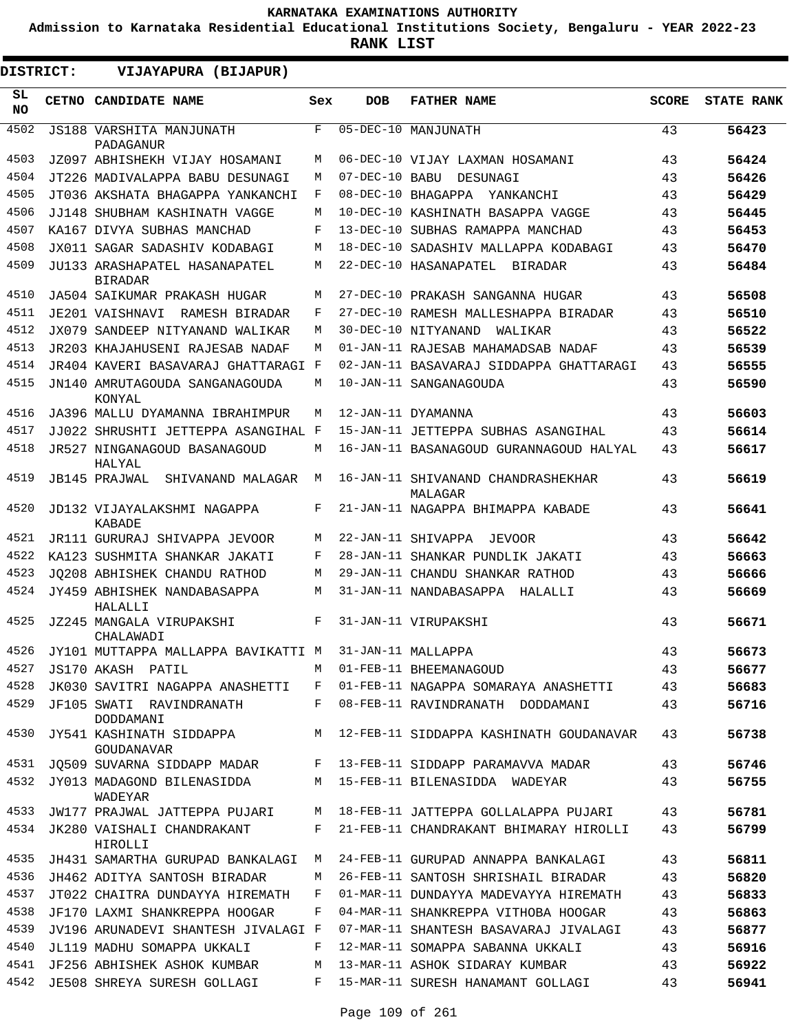**Admission to Karnataka Residential Educational Institutions Society, Bengaluru - YEAR 2022-23**

**RANK LIST**

 $\blacksquare$ 

| <b>DISTRICT:</b> | <b>VIJAYAPURA (BIJAPUR)</b>                                           |     |                |                                                                    |              |                   |
|------------------|-----------------------------------------------------------------------|-----|----------------|--------------------------------------------------------------------|--------------|-------------------|
| SL<br><b>NO</b>  | CETNO CANDIDATE NAME                                                  | Sex | <b>DOB</b>     | <b>FATHER NAME</b>                                                 | <b>SCORE</b> | <b>STATE RANK</b> |
| 4502             | JS188 VARSHITA MANJUNATH<br>PADAGANUR                                 | F   |                | 05-DEC-10 MANJUNATH                                                | 43           | 56423             |
| 4503             | JZ097 ABHISHEKH VIJAY HOSAMANI                                        | М   |                | 06-DEC-10 VIJAY LAXMAN HOSAMANI                                    | 43           | 56424             |
| 4504             | JT226 MADIVALAPPA BABU DESUNAGI                                       | М   | 07-DEC-10 BABU | DESUNAGI                                                           | 43           | 56426             |
| 4505             | JT036 AKSHATA BHAGAPPA YANKANCHI                                      | F   |                | 08-DEC-10 BHAGAPPA<br>YANKANCHI                                    | 43           | 56429             |
| 4506             | JJ148 SHUBHAM KASHINATH VAGGE                                         | M   |                | 10-DEC-10 KASHINATH BASAPPA VAGGE                                  | 43           | 56445             |
| 4507             | KA167 DIVYA SUBHAS MANCHAD                                            | F   |                | 13-DEC-10 SUBHAS RAMAPPA MANCHAD                                   | 43           | 56453             |
| 4508             | JX011 SAGAR SADASHIV KODABAGI                                         | M   |                | 18-DEC-10 SADASHIV MALLAPPA KODABAGI                               | 43           | 56470             |
| 4509             | JU133 ARASHAPATEL HASANAPATEL<br><b>BIRADAR</b>                       | М   |                | 22-DEC-10 HASANAPATEL BIRADAR                                      | 43           | 56484             |
| 4510             | JA504 SAIKUMAR PRAKASH HUGAR                                          | М   |                | 27-DEC-10 PRAKASH SANGANNA HUGAR                                   | 43           | 56508             |
| 4511             | JE201 VAISHNAVI RAMESH BIRADAR                                        | F   |                | 27-DEC-10 RAMESH MALLESHAPPA BIRADAR                               | 43           | 56510             |
| 4512             | JX079 SANDEEP NITYANAND WALIKAR                                       | М   |                | 30-DEC-10 NITYANAND<br>WALIKAR                                     | 43           | 56522             |
| 4513             | JR203 KHAJAHUSENI RAJESAB NADAF                                       | М   |                | 01-JAN-11 RAJESAB MAHAMADSAB NADAF                                 | 43           | 56539             |
| 4514             | JR404 KAVERI BASAVARAJ GHATTARAGI F                                   |     |                | 02-JAN-11 BASAVARAJ SIDDAPPA GHATTARAGI                            | 43           | 56555             |
| 4515             | JN140 AMRUTAGOUDA SANGANAGOUDA<br>KONYAL                              | М   |                | 10-JAN-11 SANGANAGOUDA                                             | 43           | 56590             |
| 4516             | JA396 MALLU DYAMANNA IBRAHIMPUR                                       | М   |                | 12-JAN-11 DYAMANNA                                                 | 43           | 56603             |
| 4517             | JJ022 SHRUSHTI JETTEPPA ASANGIHAL F                                   |     |                | 15-JAN-11 JETTEPPA SUBHAS ASANGIHAL                                | 43           | 56614             |
| 4518             | JR527 NINGANAGOUD BASANAGOUD<br>HALYAL                                | М   |                | 16-JAN-11 BASANAGOUD GURANNAGOUD HALYAL                            | 43           | 56617             |
| 4519             | JB145 PRAJWAL<br>SHIVANAND MALAGAR                                    | М   |                | 16-JAN-11 SHIVANAND CHANDRASHEKHAR<br>MALAGAR                      | 43           | 56619             |
| 4520             | JD132 VIJAYALAKSHMI NAGAPPA<br>KABADE                                 | F   |                | 21-JAN-11 NAGAPPA BHIMAPPA KABADE                                  | 43           | 56641             |
| 4521             | JR111 GURURAJ SHIVAPPA JEVOOR                                         | M   |                | 22-JAN-11 SHIVAPPA JEVOOR                                          | 43           | 56642             |
| 4522             | KA123 SUSHMITA SHANKAR JAKATI                                         | F   |                | 28-JAN-11 SHANKAR PUNDLIK JAKATI                                   | 43           | 56663             |
| 4523             | JO208 ABHISHEK CHANDU RATHOD                                          | М   |                | 29-JAN-11 CHANDU SHANKAR RATHOD                                    | 43           | 56666             |
| 4524             | JY459 ABHISHEK NANDABASAPPA<br>HALALLI                                | М   |                | 31-JAN-11 NANDABASAPPA HALALLI                                     | 43           | 56669             |
| 4525             | JZ245 MANGALA VIRUPAKSHI<br>CHALAWADI                                 | F   |                | 31-JAN-11 VIRUPAKSHI                                               | 43           | 56671             |
| 4526             | JY101 MUTTAPPA MALLAPPA BAVIKATTI M                                   |     |                | 31-JAN-11 MALLAPPA                                                 | 43           | 56673             |
| 4527             | JS170 AKASH PATIL                                                     |     |                | M 01-FEB-11 BHEEMANAGOUD                                           | 43           | 56677             |
| 4528             | JK030 SAVITRI NAGAPPA ANASHETTI                                       |     |                | F 01-FEB-11 NAGAPPA SOMARAYA ANASHETTI                             | 43           | 56683             |
| 4529             | JF105 SWATI RAVINDRANATH<br>DODDAMANI                                 | F   |                | 08-FEB-11 RAVINDRANATH DODDAMANI                                   | 43           | 56716             |
| 4530             | <b>GOUDANAVAR</b>                                                     |     |                | JY541 KASHINATH SIDDAPPA M 12-FEB-11 SIDDAPPA KASHINATH GOUDANAVAR | 43           | 56738             |
| 4531             | JQ509 SUVARNA SIDDAPP MADAR F 13-FEB-11 SIDDAPP PARAMAVVA MADAR       |     |                |                                                                    | 43           | 56746             |
| 4532             | JY013 MADAGOND BILENASIDDA M 15-FEB-11 BILENASIDDA WADEYAR<br>WADEYAR |     |                |                                                                    | 43           | 56755             |
| 4533             | JW177 PRAJWAL JATTEPPA PUJARI                                         | M   |                | 18-FEB-11 JATTEPPA GOLLALAPPA PUJARI                               | 43           | 56781             |
| 4534             | JK280 VAISHALI CHANDRAKANT<br>HIROLLI                                 | F   |                | 21-FEB-11 CHANDRAKANT BHIMARAY HIROLLI                             | 43           | 56799             |
| 4535             | JH431 SAMARTHA GURUPAD BANKALAGI                                      | M   |                | 24-FEB-11 GURUPAD ANNAPPA BANKALAGI                                | 43           | 56811             |
| 4536             | JH462 ADITYA SANTOSH BIRADAR                                          | M   |                | 26-FEB-11 SANTOSH SHRISHAIL BIRADAR                                | 43           | 56820             |
| 4537             | JT022 CHAITRA DUNDAYYA HIREMATH                                       | F   |                | 01-MAR-11 DUNDAYYA MADEVAYYA HIREMATH                              | 43           | 56833             |
| 4538             | JF170 LAXMI SHANKREPPA HOOGAR                                         | F   |                | 04-MAR-11 SHANKREPPA VITHOBA HOOGAR                                | 43           | 56863             |
| 4539             | JV196 ARUNADEVI SHANTESH JIVALAGI F                                   |     |                | 07-MAR-11 SHANTESH BASAVARAJ JIVALAGI                              | 43           | 56877             |
| 4540             | JL119 MADHU SOMAPPA UKKALI                                            | F   |                | 12-MAR-11 SOMAPPA SABANNA UKKALI                                   | 43           | 56916             |
| 4541             | JF256 ABHISHEK ASHOK KUMBAR                                           | M   |                | 13-MAR-11 ASHOK SIDARAY KUMBAR                                     | 43           | 56922             |
| 4542             | JE508 SHREYA SURESH GOLLAGI                                           | F   |                | 15-MAR-11 SURESH HANAMANT GOLLAGI                                  | 43           | 56941             |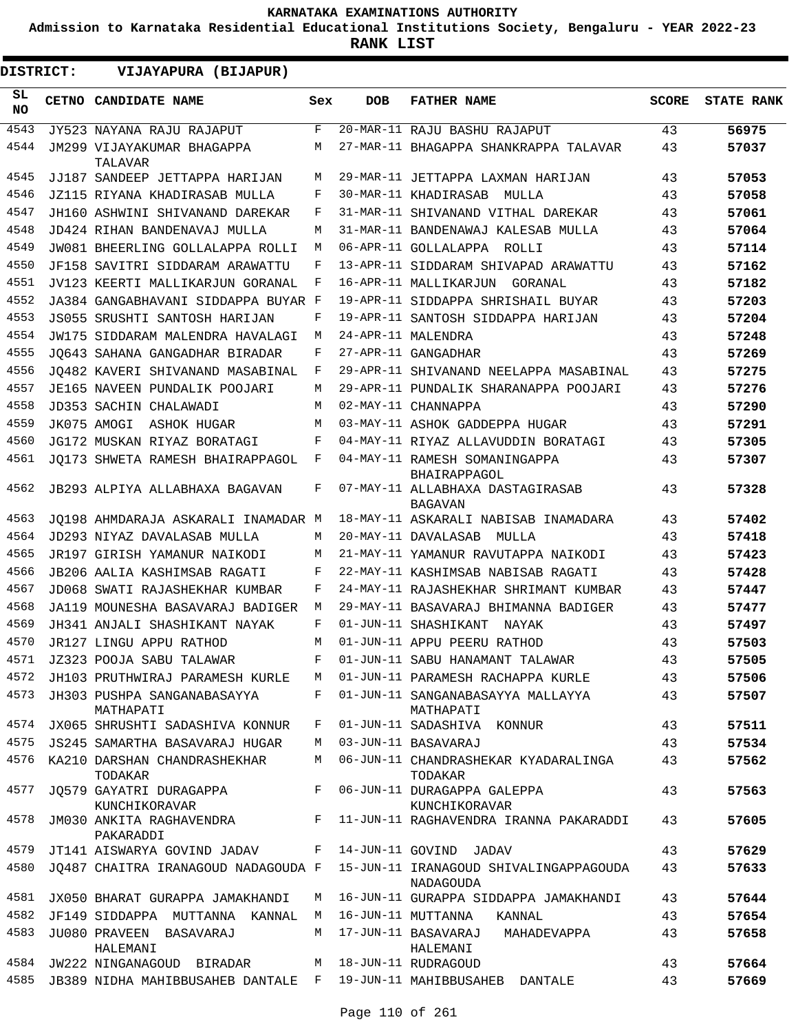**Admission to Karnataka Residential Educational Institutions Society, Bengaluru - YEAR 2022-23**

**RANK LIST**

| <b>DISTRICT:</b> | VIJAYAPURA (BIJAPUR)                     |     |            |                                                     |              |                   |
|------------------|------------------------------------------|-----|------------|-----------------------------------------------------|--------------|-------------------|
| SL<br><b>NO</b>  | CETNO CANDIDATE NAME                     | Sex | <b>DOB</b> | <b>FATHER NAME</b>                                  | <b>SCORE</b> | <b>STATE RANK</b> |
| 4543             | JY523 NAYANA RAJU RAJAPUT                | F   |            | 20-MAR-11 RAJU BASHU RAJAPUT                        | 43           | 56975             |
| 4544             | JM299 VIJAYAKUMAR BHAGAPPA<br>TALAVAR    | M   |            | 27-MAR-11 BHAGAPPA SHANKRAPPA TALAVAR               | 43           | 57037             |
| 4545             | JJ187 SANDEEP JETTAPPA HARIJAN           | М   |            | 29-MAR-11 JETTAPPA LAXMAN HARIJAN                   | 43           | 57053             |
| 4546             | JZ115 RIYANA KHADIRASAB MULLA            | F   |            | 30-MAR-11 KHADIRASAB<br>MULLA                       | 43           | 57058             |
| 4547             | JH160 ASHWINI SHIVANAND DAREKAR          | F   |            | 31-MAR-11 SHIVANAND VITHAL DAREKAR                  | 43           | 57061             |
| 4548             | JD424 RIHAN BANDENAVAJ MULLA             | М   |            | 31-MAR-11 BANDENAWAJ KALESAB MULLA                  | 43           | 57064             |
| 4549             | JW081 BHEERLING GOLLALAPPA ROLLI         | M   |            | 06-APR-11 GOLLALAPPA ROLLI                          | 43           | 57114             |
| 4550             | JF158 SAVITRI SIDDARAM ARAWATTU          | F   |            | 13-APR-11 SIDDARAM SHIVAPAD ARAWATTU                | 43           | 57162             |
| 4551             | JV123 KEERTI MALLIKARJUN GORANAL         | F   |            | 16-APR-11 MALLIKARJUN GORANAL                       | 43           | 57182             |
| 4552             | JA384 GANGABHAVANI SIDDAPPA BUYAR F      |     |            | 19-APR-11 SIDDAPPA SHRISHAIL BUYAR                  | 43           | 57203             |
| 4553             | JS055 SRUSHTI SANTOSH HARIJAN            | F   |            | 19-APR-11 SANTOSH SIDDAPPA HARIJAN                  | 43           | 57204             |
| 4554             | JW175 SIDDARAM MALENDRA HAVALAGI         | М   |            | 24-APR-11 MALENDRA                                  | 43           | 57248             |
| 4555             | JO643 SAHANA GANGADHAR BIRADAR           | F   |            | 27-APR-11 GANGADHAR                                 | 43           | 57269             |
| 4556             | JO482 KAVERI SHIVANAND MASABINAL         | F   |            | 29-APR-11 SHIVANAND NEELAPPA MASABINAL              | 43           | 57275             |
| 4557             | JE165 NAVEEN PUNDALIK POOJARI            | М   |            | 29-APR-11 PUNDALIK SHARANAPPA POOJARI               | 43           | 57276             |
| 4558             | JD353 SACHIN CHALAWADI                   | М   |            | 02-MAY-11 CHANNAPPA                                 | 43           | 57290             |
| 4559             | JK075 AMOGI ASHOK HUGAR                  | М   |            | 03-MAY-11 ASHOK GADDEPPA HUGAR                      | 43           | 57291             |
| 4560             | JG172 MUSKAN RIYAZ BORATAGI              | F   |            | 04-MAY-11 RIYAZ ALLAVUDDIN BORATAGI                 | 43           | 57305             |
| 4561             | JO173 SHWETA RAMESH BHAIRAPPAGOL         | F   |            | 04-MAY-11 RAMESH SOMANINGAPPA<br>BHAIRAPPAGOL       | 43           | 57307             |
| 4562             | JB293 ALPIYA ALLABHAXA BAGAVAN           | F   |            | 07-MAY-11 ALLABHAXA DASTAGIRASAB<br><b>BAGAVAN</b>  | 43           | 57328             |
| 4563             | JO198 AHMDARAJA ASKARALI INAMADAR M      |     |            | 18-MAY-11 ASKARALI NABISAB INAMADARA                | 43           | 57402             |
| 4564             | JD293 NIYAZ DAVALASAB MULLA              | M   |            | 20-MAY-11 DAVALASAB MULLA                           | 43           | 57418             |
| 4565             | JR197 GIRISH YAMANUR NAIKODI             | М   |            | 21-MAY-11 YAMANUR RAVUTAPPA NAIKODI                 | 43           | 57423             |
| 4566             | JB206 AALIA KASHIMSAB RAGATI             | F   |            | 22-MAY-11 KASHIMSAB NABISAB RAGATI                  | 43           | 57428             |
| 4567             | JD068 SWATI RAJASHEKHAR KUMBAR           | F   |            | 24-MAY-11 RAJASHEKHAR SHRIMANT KUMBAR               | 43           | 57447             |
| 4568             | JA119 MOUNESHA BASAVARAJ BADIGER         | М   |            | 29-MAY-11 BASAVARAJ BHIMANNA BADIGER                | 43           | 57477             |
| 4569             | JH341 ANJALI SHASHIKANT NAYAK            | F   |            | 01-JUN-11 SHASHIKANT<br>NAYAK                       | 43           | 57497             |
| 4570             | JR127 LINGU APPU RATHOD                  | М   |            | 01-JUN-11 APPU PEERU RATHOD                         | 43           | 57503             |
| 4571             | JZ323 POOJA SABU TALAWAR                 | F   |            | 01-JUN-11 SABU HANAMANT TALAWAR                     | 43           | 57505             |
| 4572             | JH103 PRUTHWIRAJ PARAMESH KURLE          | M   |            | 01-JUN-11 PARAMESH RACHAPPA KURLE                   | 43           | 57506             |
| 4573             | JH303 PUSHPA SANGANABASAYYA<br>MATHAPATI | F   |            | 01-JUN-11 SANGANABASAYYA MALLAYYA<br>MATHAPATI      | 43           | 57507             |
| 4574             | JX065 SHRUSHTI SADASHIVA KONNUR          | F   |            | 01-JUN-11 SADASHIVA KONNUR                          | 43           | 57511             |
| 4575             | JS245 SAMARTHA BASAVARAJ HUGAR           | M   |            | 03-JUN-11 BASAVARAJ                                 | 43           | 57534             |
| 4576             | KA210 DARSHAN CHANDRASHEKHAR<br>TODAKAR  | М   |            | 06-JUN-11 CHANDRASHEKAR KYADARALINGA<br>TODAKAR     | 43           | 57562             |
| 4577             | JQ579 GAYATRI DURAGAPPA<br>KUNCHIKORAVAR | F   |            | 06-JUN-11 DURAGAPPA GALEPPA<br>KUNCHIKORAVAR        | 43           | 57563             |
| 4578             | JM030 ANKITA RAGHAVENDRA<br>PAKARADDI    | F   |            | 11-JUN-11 RAGHAVENDRA IRANNA PAKARADDI              | 43           | 57605             |
| 4579             | JT141 AISWARYA GOVIND JADAV              | F   |            | 14-JUN-11 GOVIND JADAV                              | 43           | 57629             |
| 4580             | JO487 CHAITRA IRANAGOUD NADAGOUDA F      |     |            | 15-JUN-11 IRANAGOUD SHIVALINGAPPAGOUDA<br>NADAGOUDA | 43           | 57633             |
| 4581             | JX050 BHARAT GURAPPA JAMAKHANDI          | M   |            | 16-JUN-11 GURAPPA SIDDAPPA JAMAKHANDI               | 43           | 57644             |
| 4582             | JF149 SIDDAPPA MUTTANNA KANNAL           | M   |            | 16-JUN-11 MUTTANNA KANNAL                           | 43           | 57654             |
| 4583             | JU080 PRAVEEN BASAVARAJ<br>HALEMANI      | M   |            | 17-JUN-11 BASAVARAJ<br>MAHADEVAPPA<br>HALEMANI      | 43           | 57658             |
|                  | 4584 JW222 NINGANAGOUD BIRADAR           | M   |            | 18-JUN-11 RUDRAGOUD                                 | 43           | 57664             |
| 4585             | JB389 NIDHA MAHIBBUSAHEB DANTALE F       |     |            | 19-JUN-11 MAHIBBUSAHEB DANTALE                      | 43           | 57669             |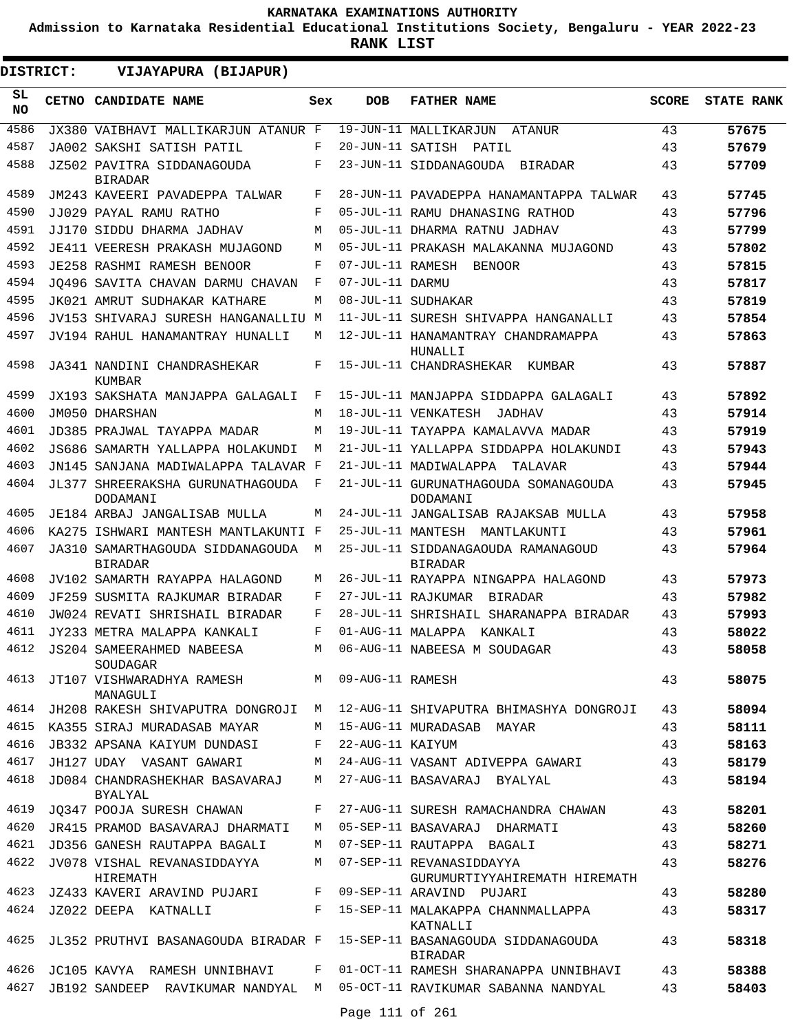**Admission to Karnataka Residential Educational Institutions Society, Bengaluru - YEAR 2022-23**

**RANK LIST**

| <b>DISTRICT:</b> |  | VIJAYAPURA (BIJAPUR)                                          |              |                  |                                                                            |              |                   |
|------------------|--|---------------------------------------------------------------|--------------|------------------|----------------------------------------------------------------------------|--------------|-------------------|
| SL<br><b>NO</b>  |  | CETNO CANDIDATE NAME                                          | Sex          | <b>DOB</b>       | <b>FATHER NAME</b>                                                         | <b>SCORE</b> | <b>STATE RANK</b> |
| 4586             |  | JX380 VAIBHAVI MALLIKARJUN ATANUR F                           |              |                  | 19-JUN-11 MALLIKARJUN<br>ATANUR                                            | 43           | 57675             |
| 4587             |  | JA002 SAKSHI SATISH PATIL                                     | F            | 20-JUN-11 SATISH | PATIL                                                                      | 43           | 57679             |
| 4588             |  | JZ502 PAVITRA SIDDANAGOUDA<br><b>BIRADAR</b>                  | F            |                  | 23-JUN-11 SIDDANAGOUDA BIRADAR                                             | 43           | 57709             |
| 4589             |  | JM243 KAVEERI PAVADEPPA TALWAR                                | F            |                  | 28-JUN-11 PAVADEPPA HANAMANTAPPA TALWAR                                    | 43           | 57745             |
| 4590             |  | JJ029 PAYAL RAMU RATHO                                        | F            |                  | 05-JUL-11 RAMU DHANASING RATHOD                                            | 43           | 57796             |
| 4591             |  | JJ170 SIDDU DHARMA JADHAV                                     | М            |                  | 05-JUL-11 DHARMA RATNU JADHAV                                              | 43           | 57799             |
| 4592             |  | JE411 VEERESH PRAKASH MUJAGOND                                | М            |                  | 05-JUL-11 PRAKASH MALAKANNA MUJAGOND                                       | 43           | 57802             |
| 4593             |  | <b>JE258 RASHMI RAMESH BENOOR</b>                             | F            | 07-JUL-11 RAMESH | BENOOR                                                                     | 43           | 57815             |
| 4594             |  | JO496 SAVITA CHAVAN DARMU CHAVAN                              | F            | 07-JUL-11 DARMU  |                                                                            | 43           | 57817             |
| 4595             |  | JK021 AMRUT SUDHAKAR KATHARE                                  | М            |                  | 08-JUL-11 SUDHAKAR                                                         | 43           | 57819             |
| 4596             |  | JV153 SHIVARAJ SURESH HANGANALLIU M                           |              |                  | 11-JUL-11 SURESH SHIVAPPA HANGANALLI                                       | 43           | 57854             |
| 4597             |  | JV194 RAHUL HANAMANTRAY HUNALLI                               | М            |                  | 12-JUL-11 HANAMANTRAY CHANDRAMAPPA<br>HUNALLI                              | 43           | 57863             |
| 4598             |  | JA341 NANDINI CHANDRASHEKAR<br>KUMBAR                         | F            |                  | 15-JUL-11 CHANDRASHEKAR KUMBAR                                             | 43           | 57887             |
| 4599             |  | JX193 SAKSHATA MANJAPPA GALAGALI                              | F            |                  | 15-JUL-11 MANJAPPA SIDDAPPA GALAGALI                                       | 43           | 57892             |
| 4600             |  | JM050 DHARSHAN                                                | М            |                  | 18-JUL-11 VENKATESH JADHAV                                                 | 43           | 57914             |
| 4601             |  | JD385 PRAJWAL TAYAPPA MADAR                                   | М            |                  | 19-JUL-11 TAYAPPA KAMALAVVA MADAR                                          | 43           | 57919             |
| 4602             |  | JS686 SAMARTH YALLAPPA HOLAKUNDI                              | М            |                  | 21-JUL-11 YALLAPPA SIDDAPPA HOLAKUNDI                                      | 43           | 57943             |
| 4603             |  | JN145 SANJANA MADIWALAPPA TALAVAR F                           |              |                  | 21-JUL-11 MADIWALAPPA<br>TALAVAR                                           | 43           | 57944             |
| 4604             |  | JL377 SHREERAKSHA GURUNATHAGOUDA<br>DODAMANI                  | F            |                  | 21-JUL-11 GURUNATHAGOUDA SOMANAGOUDA<br>DODAMANI                           | 43           | 57945             |
| 4605             |  | JE184 ARBAJ JANGALISAB MULLA                                  | М            |                  | 24-JUL-11 JANGALISAB RAJAKSAB MULLA                                        | 43           | 57958             |
| 4606             |  | KA275 ISHWARI MANTESH MANTLAKUNTI F                           |              |                  | 25-JUL-11 MANTESH MANTLAKUNTI                                              | 43           | 57961             |
| 4607             |  | JA310 SAMARTHAGOUDA SIDDANAGOUDA<br><b>BIRADAR</b>            | М            |                  | 25-JUL-11 SIDDANAGAOUDA RAMANAGOUD<br><b>BIRADAR</b>                       | 43           | 57964             |
| 4608             |  | JV102 SAMARTH RAYAPPA HALAGOND                                | М            |                  | 26-JUL-11 RAYAPPA NINGAPPA HALAGOND                                        | 43           | 57973             |
| 4609             |  | JF259 SUSMITA RAJKUMAR BIRADAR                                | F            |                  | 27-JUL-11 RAJKUMAR BIRADAR                                                 | 43           | 57982             |
| 4610             |  | JW024 REVATI SHRISHAIL BIRADAR                                | F            |                  | 28-JUL-11 SHRISHAIL SHARANAPPA BIRADAR                                     | 43           | 57993             |
| 4611             |  | JY233 METRA MALAPPA KANKALI                                   | F            |                  | 01-AUG-11 MALAPPA KANKALI                                                  | 43           | 58022             |
| 4612             |  | JS204 SAMEERAHMED NABEESA<br>SOUDAGAR                         | М            |                  | 06-AUG-11 NABEESA M SOUDAGAR                                               | 43           | 58058             |
|                  |  | 4613 JT107 VISHWARADHYA RAMESH M 09-AUG-11 RAMESH<br>MANAGULI |              |                  |                                                                            | 43           | 58075             |
| 4614             |  | JH208 RAKESH SHIVAPUTRA DONGROJI M                            |              |                  | 12-AUG-11 SHIVAPUTRA BHIMASHYA DONGROJI                                    | 43           | 58094             |
|                  |  | 4615 KA355 SIRAJ MURADASAB MAYAR                              | M            |                  | 15-AUG-11 MURADASAB MAYAR                                                  | 43           | 58111             |
| 4616             |  | JB332 APSANA KAIYUM DUNDASI                                   | F            | 22-AUG-11 KAIYUM |                                                                            | 43           | 58163             |
| 4617             |  | JH127 UDAY VASANT GAWARI                                      |              |                  | M 24-AUG-11 VASANT ADIVEPPA GAWARI                                         | 43           | 58179             |
| 4618             |  | JD084 CHANDRASHEKHAR BASAVARAJ<br><b>BYALYAL</b>              | M            |                  | 27-AUG-11 BASAVARAJ BYALYAL                                                | 43           | 58194             |
| 4619             |  | JQ347 POOJA SURESH CHAWAN                                     |              |                  | F 27-AUG-11 SURESH RAMACHANDRA CHAWAN                                      | 43           | 58201             |
| 4620             |  | JR415 PRAMOD BASAVARAJ DHARMATI                               | M            |                  | 05-SEP-11 BASAVARAJ DHARMATI                                               | 43           | 58260             |
| 4621             |  | JD356 GANESH RAUTAPPA BAGALI                                  | M            |                  | 07-SEP-11 RAUTAPPA BAGALI                                                  | 43           | 58271             |
|                  |  | 4622 JV078 VISHAL REVANASIDDAYYA<br>HIREMATH                  | M            |                  | 07-SEP-11 REVANASIDDAYYA<br>GURUMURTIYYAHIREMATH HIREMATH                  | 43           | 58276             |
|                  |  | 4623 JZ433 KAVERI ARAVIND PUJARI F                            |              |                  | 09-SEP-11 ARAVIND PUJARI                                                   | 43           | 58280             |
|                  |  | 4624 JZ022 DEEPA KATNALLI                                     |              |                  | F 15-SEP-11 MALAKAPPA CHANNMALLAPPA<br>KATNALLI                            | 43           | 58317             |
|                  |  | 4625 JL352 PRUTHVI BASANAGOUDA BIRADAR F                      |              |                  | 15-SEP-11 BASANAGOUDA SIDDANAGOUDA<br>BIRADAR                              | 43           | 58318             |
| 4626             |  | JC105 KAVYA §RAMESH UNNIBHAVI                                 | $\mathbf{F}$ |                  | 01-OCT-11 RAMESH SHARANAPPA UNNIBHAVI                                      | 43           | 58388             |
|                  |  |                                                               |              |                  | 4627 JB192 SANDEEP RAVIKUMAR NANDYAL M 05-OCT-11 RAVIKUMAR SABANNA NANDYAL | 43           | 58403             |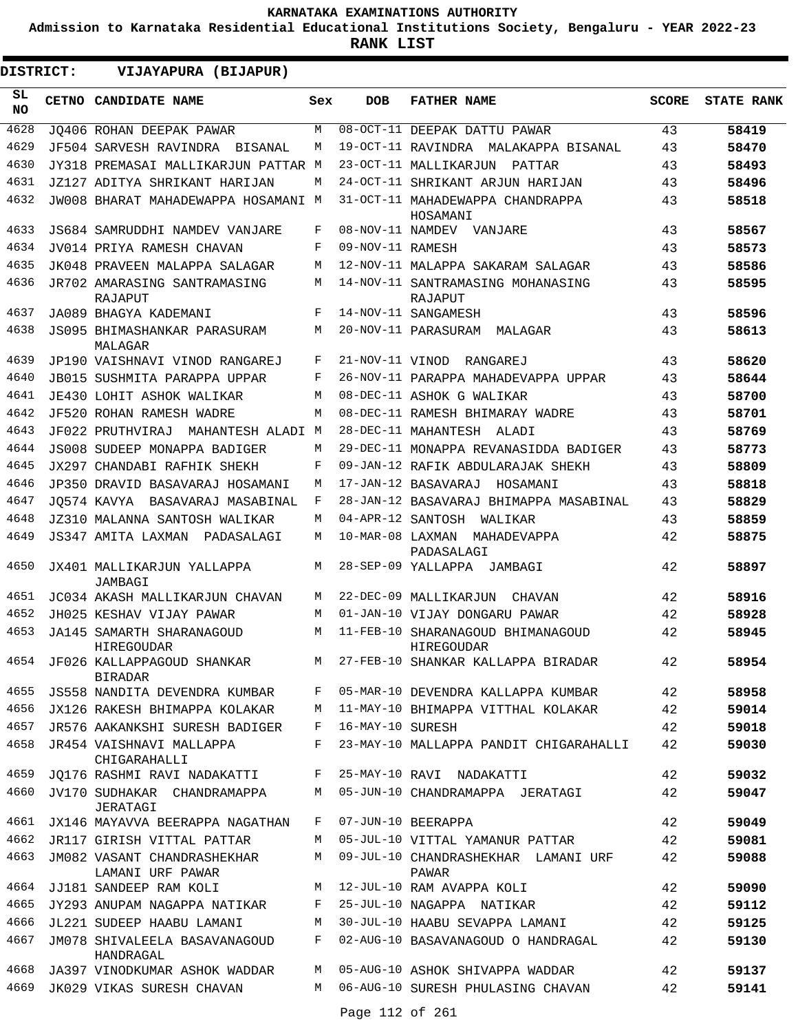**Admission to Karnataka Residential Educational Institutions Society, Bengaluru - YEAR 2022-23**

**RANK LIST**

 $\blacksquare$ 

**DISTRICT:** EE **VIJAYAPURA (BIJAPUR)**

| SL<br>NO. | CETNO CANDIDATE NAME                                             | Sex | <b>DOB</b>        | <b>FATHER NAME</b>                                                      | SCORE | <b>STATE RANK</b> |
|-----------|------------------------------------------------------------------|-----|-------------------|-------------------------------------------------------------------------|-------|-------------------|
| 4628      | JO406 ROHAN DEEPAK PAWAR                                         | M   |                   | 08-OCT-11 DEEPAK DATTU PAWAR                                            | 43    | 58419             |
| 4629      | JF504 SARVESH RAVINDRA<br>BISANAL                                | M   |                   | 19-OCT-11 RAVINDRA MALAKAPPA BISANAL                                    | 43    | 58470             |
| 4630      | JY318 PREMASAI MALLIKARJUN PATTAR M                              |     |                   | 23-OCT-11 MALLIKARJUN<br>PATTAR                                         | 43    | 58493             |
| 4631      | JZ127 ADITYA SHRIKANT HARIJAN                                    | М   |                   | 24-OCT-11 SHRIKANT ARJUN HARIJAN                                        | 43    | 58496             |
| 4632      | JW008 BHARAT MAHADEWAPPA HOSAMANI M                              |     |                   | 31-OCT-11 MAHADEWAPPA CHANDRAPPA<br>HOSAMANI                            | 43    | 58518             |
| 4633      | JS684 SAMRUDDHI NAMDEV VANJARE                                   | F   |                   | 08-NOV-11 NAMDEV VANJARE                                                | 43    | 58567             |
| 4634      | JV014 PRIYA RAMESH CHAVAN                                        | F   | 09-NOV-11 RAMESH  |                                                                         | 43    | 58573             |
| 4635      | JK048 PRAVEEN MALAPPA SALAGAR                                    | M   |                   | 12-NOV-11 MALAPPA SAKARAM SALAGAR                                       | 43    | 58586             |
| 4636      | JR702 AMARASING SANTRAMASING<br>RAJAPUT                          | М   |                   | 14-NOV-11 SANTRAMASING MOHANASING<br>RAJAPUT                            | 43    | 58595             |
| 4637      | JA089 BHAGYA KADEMANI                                            | F   |                   | 14-NOV-11 SANGAMESH                                                     | 43    | 58596             |
| 4638      | JS095 BHIMASHANKAR PARASURAM<br>MALAGAR                          | М   |                   | 20-NOV-11 PARASURAM<br>MALAGAR                                          | 43    | 58613             |
| 4639      | JP190 VAISHNAVI VINOD RANGAREJ                                   | F   | 21-NOV-11 VINOD   | RANGAREJ                                                                | 43    | 58620             |
| 4640      | JB015 SUSHMITA PARAPPA UPPAR                                     | F   |                   | 26-NOV-11 PARAPPA MAHADEVAPPA UPPAR                                     | 43    | 58644             |
| 4641      | JE430 LOHIT ASHOK WALIKAR                                        | M   |                   | 08-DEC-11 ASHOK G WALIKAR                                               | 43    | 58700             |
| 4642      | JF520 ROHAN RAMESH WADRE                                         | M   |                   | 08-DEC-11 RAMESH BHIMARAY WADRE                                         | 43    | 58701             |
| 4643      | JF022 PRUTHVIRAJ<br>MAHANTESH ALADI M                            |     |                   | 28-DEC-11 MAHANTESH ALADI                                               | 43    | 58769             |
| 4644      | JS008 SUDEEP MONAPPA BADIGER                                     | M   |                   | 29-DEC-11 MONAPPA REVANASIDDA BADIGER                                   | 43    | 58773             |
| 4645      | JX297 CHANDABI RAFHIK SHEKH                                      | F   |                   | 09-JAN-12 RAFIK ABDULARAJAK SHEKH                                       | 43    | 58809             |
| 4646      | JP350 DRAVID BASAVARAJ HOSAMANI                                  | М   |                   | 17-JAN-12 BASAVARAJ<br>HOSAMANI                                         | 43    | 58818             |
| 4647      | JO574 KAVYA BASAVARAJ MASABINAL                                  | F   |                   | 28-JAN-12 BASAVARAJ BHIMAPPA MASABINAL                                  | 43    | 58829             |
| 4648      | JZ310 MALANNA SANTOSH WALIKAR                                    | M   | 04-APR-12 SANTOSH | WALIKAR                                                                 | 43    | 58859             |
| 4649      | JS347 AMITA LAXMAN<br>PADASALAGI                                 | М   | 10-MAR-08 LAXMAN  | MAHADEVAPPA<br>PADASALAGI                                               | 42    | 58875             |
| 4650      | JX401 MALLIKARJUN YALLAPPA<br>JAMBAGI                            | М   |                   | 28-SEP-09 YALLAPPA<br>JAMBAGI                                           | 42    | 58897             |
| 4651      | JC034 AKASH MALLIKARJUN CHAVAN                                   | М   |                   | 22-DEC-09 MALLIKARJUN<br>CHAVAN                                         | 42    | 58916             |
| 4652      | JH025 KESHAV VIJAY PAWAR                                         | М   |                   | 01-JAN-10 VIJAY DONGARU PAWAR                                           | 42    | 58928             |
| 4653      | JA145 SAMARTH SHARANAGOUD<br>HIREGOUDAR                          | М   |                   | 11-FEB-10 SHARANAGOUD BHIMANAGOUD<br>HIREGOUDAR                         | 42    | 58945             |
| 4654      | JF026 KALLAPPAGOUD SHANKAR<br><b>BIRADAR</b>                     | М   |                   | 27-FEB-10 SHANKAR KALLAPPA BIRADAR                                      | 42    | 58954             |
| 4655      |                                                                  |     |                   | JS558 NANDITA DEVENDRA KUMBAR F 05-MAR-10 DEVENDRA KALLAPPA KUMBAR      | 42    | 58958             |
| 4656      | JX126 RAKESH BHIMAPPA KOLAKAR M                                  |     |                   | 11-MAY-10 BHIMAPPA VITTHAL KOLAKAR                                      | 42    | 59014             |
| 4657      | JR576 AAKANKSHI SURESH BADIGER F 16-MAY-10 SURESH                |     |                   |                                                                         | 42    | 59018             |
|           | 4658 JR454 VAISHNAVI MALLAPPA<br>CHIGARAHALLI                    |     |                   | F 23-MAY-10 MALLAPPA PANDIT CHIGARAHALLI                                | 42    | 59030             |
|           | 4659 JQ176 RASHMI RAVI NADAKATTI KWARTA 25-MAY-10 RAVI NADAKATTI |     |                   |                                                                         | 42    | 59032             |
| 4660      | JERATAGI                                                         |     |                   | JV170 SUDHAKAR CHANDRAMAPPA M 05-JUN-10 CHANDRAMAPPA JERATAGI           | 42    | 59047             |
|           | 4661 JX146 MAYAVVA BEERAPPA NAGATHAN                             |     |                   | F 07-JUN-10 BEERAPPA                                                    | 42    | 59049             |
|           | 4662 JR117 GIRISH VITTAL PATTAR                                  |     |                   | M 05-JUL-10 VITTAL YAMANUR PATTAR                                       | 42    | 59081             |
| 4663      | JM082 VASANT CHANDRASHEKHAR<br>LAMANI URF PAWAR                  |     |                   | M 09-JUL-10 CHANDRASHEKHAR LAMANI URF<br>PAWAR                          | 42    | 59088             |
| 4664      | JJ181 SANDEEP RAM KOLI M 12-JUL-10 RAM AVAPPA KOLI               |     |                   |                                                                         | 42    | 59090             |
| 4665      |                                                                  |     |                   | JY293 ANUPAM NAGAPPA NATIKAR F 25-JUL-10 NAGAPPA NATIKAR                | 42    | 59112             |
| 4666      | JL221 SUDEEP HAABU LAMANI                                        |     |                   | M 30-JUL-10 HAABU SEVAPPA LAMANI                                        | 42    | 59125             |
| 4667      | HANDRAGAL                                                        |     |                   | JM078 SHIVALEELA BASAVANAGOUD F 02-AUG-10 BASAVANAGOUD O HANDRAGAL      | 42    | 59130             |
|           |                                                                  |     |                   | 4668 JA397 VINODKUMAR ASHOK WADDAR M 05-AUG-10 ASHOK SHIVAPPA WADDAR 42 |       | 59137             |
|           |                                                                  |     | Page 112 of 261   | 4669 JK029 VIKAS SURESH CHAVAN M 06-AUG-10 SURESH PHULASING CHAVAN      | 42    | 59141             |
|           |                                                                  |     |                   |                                                                         |       |                   |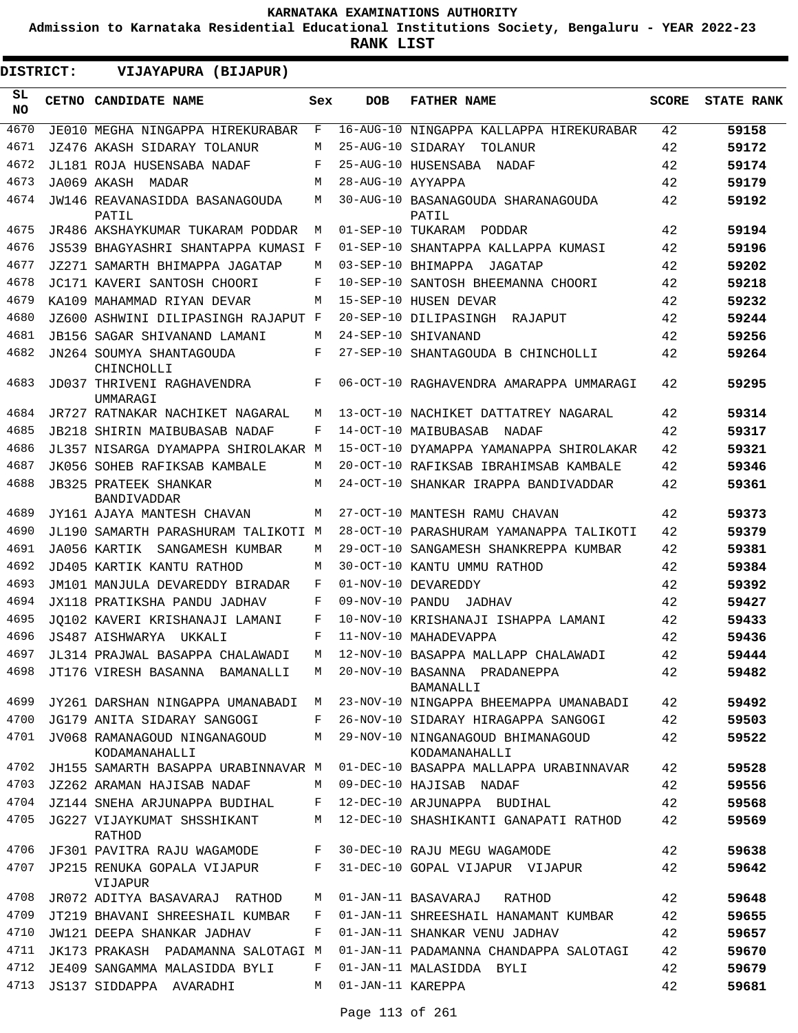**Admission to Karnataka Residential Educational Institutions Society, Bengaluru - YEAR 2022-23**

| <b>DISTRICT:</b> |  | VIJAYAPURA (BIJAPUR)                           |     |                   |                                                    |              |                   |
|------------------|--|------------------------------------------------|-----|-------------------|----------------------------------------------------|--------------|-------------------|
| SL<br>NO.        |  | CETNO CANDIDATE NAME                           | Sex | <b>DOB</b>        | <b>FATHER NAME</b>                                 | <b>SCORE</b> | <b>STATE RANK</b> |
| 4670             |  | JE010 MEGHA NINGAPPA HIREKURABAR               | F   |                   | 16-AUG-10 NINGAPPA KALLAPPA HIREKURABAR            | 42           | 59158             |
| 4671             |  | JZ476 AKASH SIDARAY TOLANUR                    | M   | 25-AUG-10 SIDARAY | TOLANUR                                            | 42           | 59172             |
| 4672             |  | JL181 ROJA HUSENSABA NADAF                     | F   |                   | 25-AUG-10 HUSENSABA NADAF                          | 42           | 59174             |
| 4673             |  | JA069 AKASH MADAR                              | M   | 28-AUG-10 AYYAPPA |                                                    | 42           | 59179             |
| 4674             |  | <b>JW146 REAVANASIDDA BASANAGOUDA</b><br>PATIL | M   |                   | 30-AUG-10 BASANAGOUDA SHARANAGOUDA<br>PATIL        | 42           | 59192             |
| 4675             |  | JR486 AKSHAYKUMAR TUKARAM PODDAR               | М   |                   | 01-SEP-10 TUKARAM PODDAR                           | 42           | 59194             |
| 4676             |  | JS539 BHAGYASHRI SHANTAPPA KUMASI F            |     |                   | 01-SEP-10 SHANTAPPA KALLAPPA KUMASI                | 42           | 59196             |
| 4677             |  | JZ271 SAMARTH BHIMAPPA JAGATAP                 | M   |                   | 03-SEP-10 BHIMAPPA<br>JAGATAP                      | 42           | 59202             |
| 4678             |  | JC171 KAVERI SANTOSH CHOORI                    | F   |                   | 10-SEP-10 SANTOSH BHEEMANNA CHOORI                 | 42           | 59218             |
| 4679             |  | KA109 MAHAMMAD RIYAN DEVAR                     | M   |                   | 15-SEP-10 HUSEN DEVAR                              | 42           | 59232             |
| 4680             |  | JZ600 ASHWINI DILIPASINGH RAJAPUT F            |     |                   | 20-SEP-10 DILIPASINGH<br>RAJAPUT                   | 42           | 59244             |
| 4681             |  | <b>JB156 SAGAR SHIVANAND LAMANI</b>            | M   |                   | 24-SEP-10 SHIVANAND                                | 42           | 59256             |
| 4682             |  | JN264 SOUMYA SHANTAGOUDA<br>CHINCHOLLI         | F   |                   | 27-SEP-10 SHANTAGOUDA B CHINCHOLLI                 | 42           | 59264             |
| 4683             |  | JD037 THRIVENI RAGHAVENDRA<br>UMMARAGI         | F   |                   | 06-OCT-10 RAGHAVENDRA AMARAPPA UMMARAGI            | 42           | 59295             |
| 4684             |  | JR727 RATNAKAR NACHIKET NAGARAL                | М   |                   | 13-OCT-10 NACHIKET DATTATREY NAGARAL               | 42           | 59314             |
| 4685             |  | JB218 SHIRIN MAIBUBASAB NADAF                  | F   |                   | 14-OCT-10 MAIBUBASAB NADAF                         | 42           | 59317             |
| 4686             |  | JL357 NISARGA DYAMAPPA SHIROLAKAR M            |     |                   | 15-OCT-10 DYAMAPPA YAMANAPPA SHIROLAKAR            | 42           | 59321             |
| 4687             |  | JK056 SOHEB RAFIKSAB KAMBALE                   | М   |                   | 20-OCT-10 RAFIKSAB IBRAHIMSAB KAMBALE              | 42           | 59346             |
| 4688             |  | <b>JB325 PRATEEK SHANKAR</b><br>BANDIVADDAR    | М   |                   | 24-OCT-10 SHANKAR IRAPPA BANDIVADDAR               | 42           | 59361             |
| 4689             |  | JY161 AJAYA MANTESH CHAVAN                     | М   |                   | 27-OCT-10 MANTESH RAMU CHAVAN                      | 42           | 59373             |
| 4690             |  | JL190 SAMARTH PARASHURAM TALIKOTI M            |     |                   | 28-OCT-10 PARASHURAM YAMANAPPA TALIKOTI            | 42           | 59379             |
| 4691             |  | JA056 KARTIK<br>SANGAMESH KUMBAR               | М   |                   | 29-OCT-10 SANGAMESH SHANKREPPA KUMBAR              | 42           | 59381             |
| 4692             |  | JD405 KARTIK KANTU RATHOD                      | М   |                   | 30-OCT-10 KANTU UMMU RATHOD                        | 42           | 59384             |
| 4693             |  | JM101 MANJULA DEVAREDDY BIRADAR                | F   |                   | 01-NOV-10 DEVAREDDY                                | 42           | 59392             |
| 4694             |  | JX118 PRATIKSHA PANDU JADHAV                   | F   |                   | 09-NOV-10 PANDU JADHAV                             | 42           | 59427             |
| 4695             |  | JO102 KAVERI KRISHANAJI LAMANI                 | F   |                   | 10-NOV-10 KRISHANAJI ISHAPPA LAMANI                | 42           | 59433             |
| 4696             |  | JS487 AISHWARYA UKKALI                         | F   |                   | 11-NOV-10 MAHADEVAPPA                              | 42           | 59436             |
| 4697             |  | JL314 PRAJWAL BASAPPA CHALAWADI                |     |                   | 12-NOV-10 BASAPPA MALLAPP CHALAWADI                | 42           | 59444             |
| 4698             |  | JT176 VIRESH BASANNA BAMANALLI                 | М   |                   | 20-NOV-10 BASANNA PRADANEPPA<br>BAMANALLI          | 42           | 59482             |
| 4699             |  | JY261 DARSHAN NINGAPPA UMANABADI               | М   |                   | 23-NOV-10 NINGAPPA BHEEMAPPA UMANABADI             | 42           | 59492             |
| 4700             |  | JG179 ANITA SIDARAY SANGOGI                    | F   |                   | 26-NOV-10 SIDARAY HIRAGAPPA SANGOGI                | 42           | 59503             |
| 4701             |  | JV068 RAMANAGOUD NINGANAGOUD<br>KODAMANAHALLI  | М   |                   | 29-NOV-10 NINGANAGOUD BHIMANAGOUD<br>KODAMANAHALLI | 42           | 59522             |
| 4702             |  | JH155 SAMARTH BASAPPA URABINNAVAR M            |     |                   | 01-DEC-10 BASAPPA MALLAPPA URABINNAVAR             | 42           | 59528             |
| 4703             |  | JZ262 ARAMAN HAJISAB NADAF                     | М   |                   | 09-DEC-10 HAJISAB NADAF                            | 42           | 59556             |
| 4704             |  | JZ144 SNEHA ARJUNAPPA BUDIHAL                  | F   |                   | 12-DEC-10 ARJUNAPPA BUDIHAL                        | 42           | 59568             |
| 4705             |  | JG227 VIJAYKUMAT SHSSHIKANT<br>RATHOD          | М   |                   | 12-DEC-10 SHASHIKANTI GANAPATI RATHOD              | 42           | 59569             |
| 4706             |  | JF301 PAVITRA RAJU WAGAMODE                    | F   |                   | 30-DEC-10 RAJU MEGU WAGAMODE                       | 42           | 59638             |
| 4707             |  | JP215 RENUKA GOPALA VIJAPUR<br>VIJAPUR         | F   |                   | 31-DEC-10 GOPAL VIJAPUR VIJAPUR                    | 42           | 59642             |
| 4708             |  | JR072 ADITYA BASAVARAJ RATHOD                  | М   |                   | 01-JAN-11 BASAVARAJ<br>RATHOD                      | 42           | 59648             |
| 4709             |  | JT219 BHAVANI SHREESHAIL KUMBAR                | F   |                   | 01-JAN-11 SHREESHAIL HANAMANT KUMBAR               | 42           | 59655             |
| 4710             |  | JW121 DEEPA SHANKAR JADHAV                     | F   |                   | 01-JAN-11 SHANKAR VENU JADHAV                      | 42           | 59657             |
| 4711             |  | JK173 PRAKASH PADAMANNA SALOTAGI M             |     |                   | 01-JAN-11 PADAMANNA CHANDAPPA SALOTAGI             | 42           | 59670             |
| 4712             |  | JE409 SANGAMMA MALASIDDA BYLI                  | F   |                   | 01-JAN-11 MALASIDDA BYLI                           | 42           | 59679             |
| 4713             |  | JS137 SIDDAPPA AVARADHI                        | М   | 01-JAN-11 KAREPPA |                                                    | 42           | 59681             |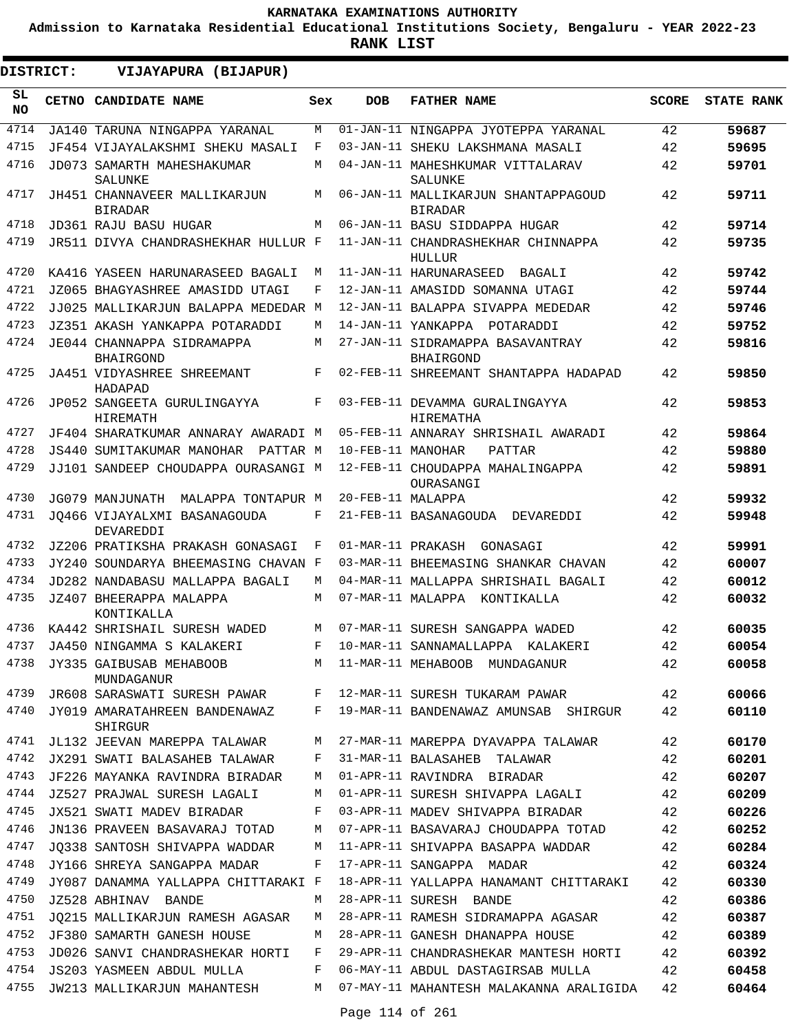**Admission to Karnataka Residential Educational Institutions Society, Bengaluru - YEAR 2022-23**

| <b>DISTRICT:</b> | VIJAYAPURA (BIJAPUR)                           |     |                   |                                                       |              |                   |
|------------------|------------------------------------------------|-----|-------------------|-------------------------------------------------------|--------------|-------------------|
| SL.<br><b>NO</b> | CETNO CANDIDATE NAME                           | Sex | <b>DOB</b>        | <b>FATHER NAME</b>                                    | <b>SCORE</b> | <b>STATE RANK</b> |
| 4714             | JA140 TARUNA NINGAPPA YARANAL                  | M   |                   | 01-JAN-11 NINGAPPA JYOTEPPA YARANAL                   | 42           | 59687             |
| 4715             | JF454 VIJAYALAKSHMI SHEKU MASALI               | F   |                   | 03-JAN-11 SHEKU LAKSHMANA MASALI                      | 42           | 59695             |
| 4716             | JD073 SAMARTH MAHESHAKUMAR<br><b>SALUNKE</b>   | M   |                   | 04-JAN-11 MAHESHKUMAR VITTALARAV<br>SALUNKE           | 42           | 59701             |
| 4717             | JH451 CHANNAVEER MALLIKARJUN<br><b>BIRADAR</b> | M   |                   | 06-JAN-11 MALLIKARJUN SHANTAPPAGOUD<br><b>BIRADAR</b> | 42           | 59711             |
| 4718             | JD361 RAJU BASU HUGAR                          | M   |                   | 06-JAN-11 BASU SIDDAPPA HUGAR                         | 42           | 59714             |
| 4719             | JR511 DIVYA CHANDRASHEKHAR HULLUR F            |     |                   | 11-JAN-11 CHANDRASHEKHAR CHINNAPPA<br>HULLUR          | 42           | 59735             |
| 4720             | KA416 YASEEN HARUNARASEED BAGALI               | М   |                   | 11-JAN-11 HARUNARASEED<br>BAGALI                      | 42           | 59742             |
| 4721             | JZ065 BHAGYASHREE AMASIDD UTAGI                | F   |                   | 12-JAN-11 AMASIDD SOMANNA UTAGI                       | 42           | 59744             |
| 4722             | JJ025 MALLIKARJUN BALAPPA MEDEDAR M            |     |                   | 12-JAN-11 BALAPPA SIVAPPA MEDEDAR                     | 42           | 59746             |
| 4723             | JZ351 AKASH YANKAPPA POTARADDI                 | М   |                   | 14-JAN-11 YANKAPPA POTARADDI                          | 42           | 59752             |
| 4724             | JE044 CHANNAPPA SIDRAMAPPA<br><b>BHAIRGOND</b> | М   |                   | 27-JAN-11 SIDRAMAPPA BASAVANTRAY<br><b>BHAIRGOND</b>  | 42           | 59816             |
| 4725             | <b>JA451 VIDYASHREE SHREEMANT</b><br>HADAPAD   | F   |                   | 02-FEB-11 SHREEMANT SHANTAPPA HADAPAD                 | 42           | 59850             |
| 4726             | JP052 SANGEETA GURULINGAYYA<br><b>HIREMATH</b> | F   |                   | 03-FEB-11 DEVAMMA GURALINGAYYA<br>HIREMATHA           | 42           | 59853             |
| 4727             | JF404 SHARATKUMAR ANNARAY AWARADI M            |     |                   | 05-FEB-11 ANNARAY SHRISHAIL AWARADI                   | 42           | 59864             |
| 4728             | JS440 SUMITAKUMAR MANOHAR<br>PATTAR M          |     | 10-FEB-11 MANOHAR | PATTAR                                                | 42           | 59880             |
| 4729             | JJ101 SANDEEP CHOUDAPPA OURASANGI M            |     |                   | 12-FEB-11 CHOUDAPPA MAHALINGAPPA<br>OURASANGI         | 42           | 59891             |
| 4730             | JG079 MANJUNATH MALAPPA TONTAPUR M             |     | 20-FEB-11 MALAPPA |                                                       | 42           | 59932             |
| 4731             | JO466 VIJAYALXMI BASANAGOUDA<br>DEVAREDDI      | F   |                   | 21-FEB-11 BASANAGOUDA DEVAREDDI                       | 42           | 59948             |
| 4732             | JZ206 PRATIKSHA PRAKASH GONASAGI               | F   | 01-MAR-11 PRAKASH | GONASAGI                                              | 42           | 59991             |
| 4733             | JY240 SOUNDARYA BHEEMASING CHAVAN F            |     |                   | 03-MAR-11 BHEEMASING SHANKAR CHAVAN                   | 42           | 60007             |
| 4734             | JD282 NANDABASU MALLAPPA BAGALI                | M   |                   | 04-MAR-11 MALLAPPA SHRISHAIL BAGALI                   | 42           | 60012             |
| 4735             | JZ407 BHEERAPPA MALAPPA<br>KONTIKALLA          | M   |                   | 07-MAR-11 MALAPPA KONTIKALLA                          | 42           | 60032             |
| 4736             | KA442 SHRISHAIL SURESH WADED                   | M   |                   | 07-MAR-11 SURESH SANGAPPA WADED                       | 42           | 60035             |
| 4737             | JA450 NINGAMMA S KALAKERI                      | F   |                   | 10-MAR-11 SANNAMALLAPPA KALAKERI                      | 42           | 60054             |
| 4738             | JY335 GAIBUSAB MEHABOOB<br>MUNDAGANUR          |     |                   | M 11-MAR-11 MEHABOOB MUNDAGANUR                       | 42           | 60058             |
| 4739             | JR608 SARASWATI SURESH PAWAR                   | F   |                   | 12-MAR-11 SURESH TUKARAM PAWAR                        | 42           | 60066             |
| 4740             | JY019 AMARATAHREEN BANDENAWAZ<br>SHIRGUR       | F   |                   | 19-MAR-11 BANDENAWAZ AMUNSAB SHIRGUR                  | 42           | 60110             |
| 4741             | JL132 JEEVAN MAREPPA TALAWAR                   | M   |                   | 27-MAR-11 MAREPPA DYAVAPPA TALAWAR                    | 42           | 60170             |
| 4742             | JX291 SWATI BALASAHEB TALAWAR                  | F   |                   | 31-MAR-11 BALASAHEB TALAWAR                           | 42           | 60201             |
| 4743             | JF226 MAYANKA RAVINDRA BIRADAR                 | M   |                   | 01-APR-11 RAVINDRA BIRADAR                            | 42           | 60207             |
| 4744             | JZ527 PRAJWAL SURESH LAGALI                    | M   |                   | 01-APR-11 SURESH SHIVAPPA LAGALI                      | 42           | 60209             |
| 4745             | JX521 SWATI MADEV BIRADAR                      | F   |                   | 03-APR-11 MADEV SHIVAPPA BIRADAR                      | 42           | 60226             |
| 4746             | JN136 PRAVEEN BASAVARAJ TOTAD                  | M   |                   | 07-APR-11 BASAVARAJ CHOUDAPPA TOTAD                   | 42           | 60252             |
| 4747             | JQ338 SANTOSH SHIVAPPA WADDAR                  | М   |                   | 11-APR-11 SHIVAPPA BASAPPA WADDAR                     | 42           | 60284             |
| 4748             | JY166 SHREYA SANGAPPA MADAR                    | F   |                   | 17-APR-11 SANGAPPA MADAR                              | 42           | 60324             |
| 4749             | JY087 DANAMMA YALLAPPA CHITTARAKI F            |     |                   | 18-APR-11 YALLAPPA HANAMANT CHITTARAKI                | 42           | 60330             |
| 4750             | JZ528 ABHINAV BANDE                            | M   |                   | 28-APR-11 SURESH BANDE                                | 42           | 60386             |
| 4751             | JQ215 MALLIKARJUN RAMESH AGASAR                | M   |                   | 28-APR-11 RAMESH SIDRAMAPPA AGASAR                    | 42           | 60387             |
| 4752             | JF380 SAMARTH GANESH HOUSE                     | M   |                   | 28-APR-11 GANESH DHANAPPA HOUSE                       | 42           | 60389             |
| 4753             | JD026 SANVI CHANDRASHEKAR HORTI                | F   |                   | 29-APR-11 CHANDRASHEKAR MANTESH HORTI                 | 42           | 60392             |
| 4754             | JS203 YASMEEN ABDUL MULLA                      | F   |                   | 06-MAY-11 ABDUL DASTAGIRSAB MULLA                     | 42           | 60458             |
|                  | 4755 JW213 MALLIKARJUN MAHANTESH               | M   |                   | 07-MAY-11 MAHANTESH MALAKANNA ARALIGIDA               | 42           | 60464             |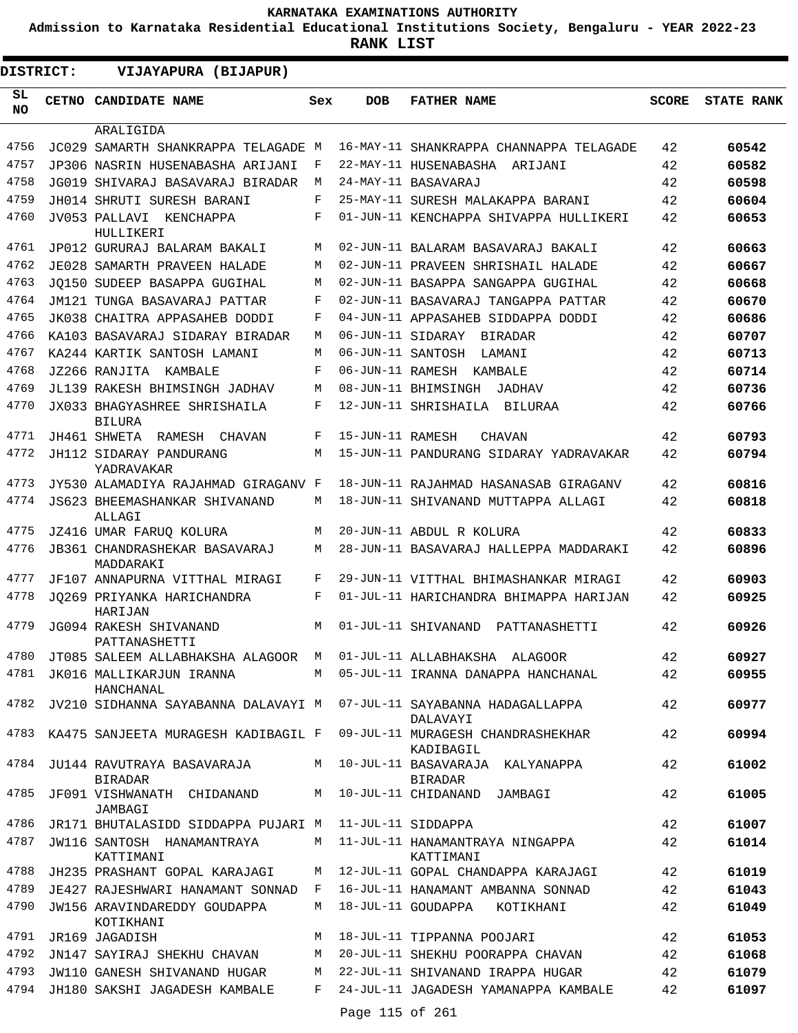**Admission to Karnataka Residential Educational Institutions Society, Bengaluru - YEAR 2022-23**

.

**RANK LIST**

| <b>DISTRICT:</b> | VIJAYAPURA (BIJAPUR)                              |     |                  |                                                |              |                   |
|------------------|---------------------------------------------------|-----|------------------|------------------------------------------------|--------------|-------------------|
| SL<br>NO.        | CETNO CANDIDATE NAME                              | Sex | <b>DOB</b>       | <b>FATHER NAME</b>                             | <b>SCORE</b> | <b>STATE RANK</b> |
|                  | ARALIGIDA                                         |     |                  |                                                |              |                   |
| 4756             | JC029 SAMARTH SHANKRAPPA TELAGADE M               |     |                  | 16-MAY-11 SHANKRAPPA CHANNAPPA TELAGADE        | 42           | 60542             |
| 4757             | JP306 NASRIN HUSENABASHA ARIJANI                  | F   |                  | 22-MAY-11 HUSENABASHA ARIJANI                  | 42           | 60582             |
| 4758             | JG019 SHIVARAJ BASAVARAJ BIRADAR                  | М   |                  | 24-MAY-11 BASAVARAJ                            | 42           | 60598             |
| 4759             | JH014 SHRUTI SURESH BARANI                        | F   |                  | 25-MAY-11 SURESH MALAKAPPA BARANI              | 42           | 60604             |
| 4760             | JV053 PALLAVI KENCHAPPA<br>HULLIKERI              | F   |                  | 01-JUN-11 KENCHAPPA SHIVAPPA HULLIKERI         | 42           | 60653             |
| 4761             | JP012 GURURAJ BALARAM BAKALI                      | М   |                  | 02-JUN-11 BALARAM BASAVARAJ BAKALI             | 42           | 60663             |
| 4762             | JE028 SAMARTH PRAVEEN HALADE                      | М   |                  | 02-JUN-11 PRAVEEN SHRISHAIL HALADE             | 42           | 60667             |
| 4763             | JO150 SUDEEP BASAPPA GUGIHAL                      | М   |                  | 02-JUN-11 BASAPPA SANGAPPA GUGIHAL             | 42           | 60668             |
| 4764             | JM121 TUNGA BASAVARAJ PATTAR                      | F   |                  | 02-JUN-11 BASAVARAJ TANGAPPA PATTAR            | 42           | 60670             |
| 4765             | JK038 CHAITRA APPASAHEB DODDI                     | F   |                  | 04-JUN-11 APPASAHEB SIDDAPPA DODDI             | 42           | 60686             |
| 4766             | KA103 BASAVARAJ SIDARAY BIRADAR                   | М   |                  | 06-JUN-11 SIDARAY BIRADAR                      | 42           | 60707             |
| 4767             | KA244 KARTIK SANTOSH LAMANI                       | M   |                  | 06-JUN-11 SANTOSH LAMANI                       | 42           | 60713             |
| 4768             | JZ266 RANJITA KAMBALE                             | F   |                  | 06-JUN-11 RAMESH KAMBALE                       | 42           | 60714             |
| 4769             | JL139 RAKESH BHIMSINGH JADHAV                     | M   |                  | 08-JUN-11 BHIMSINGH<br>JADHAV                  | 42           | 60736             |
| 4770             | JX033 BHAGYASHREE SHRISHAILA<br><b>BILURA</b>     | F   |                  | 12-JUN-11 SHRISHAILA BILURAA                   | 42           | 60766             |
| 4771             | JH461 SHWETA RAMESH CHAVAN                        | F   | 15-JUN-11 RAMESH | <b>CHAVAN</b>                                  | 42           | 60793             |
| 4772             | JH112 SIDARAY PANDURANG<br>YADRAVAKAR             | M   |                  | 15-JUN-11 PANDURANG SIDARAY YADRAVAKAR         | 42           | 60794             |
| 4773             | JY530 ALAMADIYA RAJAHMAD GIRAGANV F               |     |                  | 18-JUN-11 RAJAHMAD HASANASAB GIRAGANV          | 42           | 60816             |
| 4774             | JS623 BHEEMASHANKAR SHIVANAND<br>ALLAGI           | М   |                  | 18-JUN-11 SHIVANAND MUTTAPPA ALLAGI            | 42           | 60818             |
| 4775             | JZ416 UMAR FARUQ KOLURA                           | М   |                  | 20-JUN-11 ABDUL R KOLURA                       | 42           | 60833             |
| 4776             | JB361 CHANDRASHEKAR BASAVARAJ<br>MADDARAKI        | М   |                  | 28-JUN-11 BASAVARAJ HALLEPPA MADDARAKI         | 42           | 60896             |
| 4777             | JF107 ANNAPURNA VITTHAL MIRAGI                    | F   |                  | 29-JUN-11 VITTHAL BHIMASHANKAR MIRAGI          | 42           | 60903             |
| 4778             | JO269 PRIYANKA HARICHANDRA<br>HARIJAN             | F   |                  | 01-JUL-11 HARICHANDRA BHIMAPPA HARIJAN         | 42           | 60925             |
| 4779             | JG094 RAKESH SHIVANAND<br>PATTANASHETTI           | М   |                  | 01-JUL-11 SHIVANAND PATTANASHETTI              | 42           | 60926             |
| 4780             | JT085 SALEEM ALLABHAKSHA ALAGOOR M                |     |                  | 01-JUL-11 ALLABHAKSHA ALAGOOR                  | 42           | 60927             |
|                  | 4781 JK016 MALLIKARJUN IRANNA<br>HANCHANAL        | M   |                  | 05-JUL-11 IRANNA DANAPPA HANCHANAL             | 42           | 60955             |
|                  | 4782 JV210 SIDHANNA SAYABANNA DALAVAYI M          |     |                  | 07-JUL-11 SAYABANNA HADAGALLAPPA<br>DALAVAYI   | 42           | 60977             |
|                  | 4783 KA475 SANJEETA MURAGESH KADIBAGIL F          |     |                  | 09-JUL-11 MURAGESH CHANDRASHEKHAR<br>KADIBAGIL | 42           | 60994             |
|                  | 4784 JU144 RAVUTRAYA BASAVARAJA<br><b>BIRADAR</b> | M   |                  | 10-JUL-11 BASAVARAJA KALYANAPPA<br>BIRADAR     | 42           | 61002             |
| 4785             | JF091 VISHWANATH CHIDANAND<br>JAMBAGI             | M   |                  | 10-JUL-11 CHIDANAND JAMBAGI                    | 42           | 61005             |
| 4786             | JR171 BHUTALASIDD SIDDAPPA PUJARI M               |     |                  | 11-JUL-11 SIDDAPPA                             | 42           | 61007             |
| 4787             | JW116 SANTOSH HANAMANTRAYA<br>KATTIMANI           | M   |                  | 11-JUL-11 HANAMANTRAYA NINGAPPA<br>KATTIMANI   | 42           | 61014             |
| 4788             | JH235 PRASHANT GOPAL KARAJAGI                     | M   |                  | 12-JUL-11 GOPAL CHANDAPPA KARAJAGI             | 42           | 61019             |
| 4789             | JE427 RAJESHWARI HANAMANT SONNAD F                |     |                  | 16-JUL-11 HANAMANT AMBANNA SONNAD              | 42           | 61043             |
| 4790             | JW156 ARAVINDAREDDY GOUDAPPA<br>KOTIKHANI         | М   |                  | 18-JUL-11 GOUDAPPA KOTIKHANI                   | 42           | 61049             |
| 4791             | JR169 JAGADISH                                    | М   |                  | 18-JUL-11 TIPPANNA POOJARI                     | 42           | 61053             |
| 4792             | JN147 SAYIRAJ SHEKHU CHAVAN                       | М   |                  | 20-JUL-11 SHEKHU POORAPPA CHAVAN               | 42           | 61068             |
| 4793             | JW110 GANESH SHIVANAND HUGAR                      | M   |                  | 22-JUL-11 SHIVANAND IRAPPA HUGAR               | 42           | 61079             |
| 4794             | JH180 SAKSHI JAGADESH KAMBALE                     | F   | Page 115 of 261  | 24-JUL-11 JAGADESH YAMANAPPA KAMBALE           | 42           | 61097             |
|                  |                                                   |     |                  |                                                |              |                   |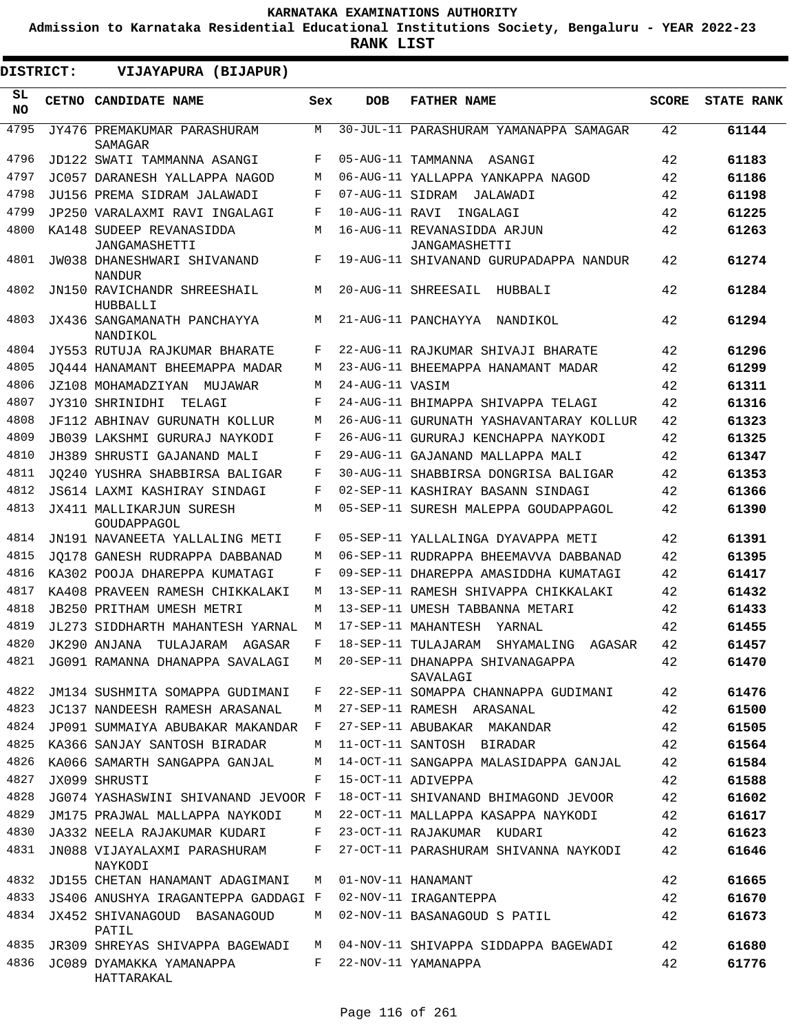**Admission to Karnataka Residential Educational Institutions Society, Bengaluru - YEAR 2022-23**

**RANK LIST**

| <b>DISTRICT:</b> | VIJAYAPURA (BIJAPUR)                         |         |                    |                                               |       |                   |
|------------------|----------------------------------------------|---------|--------------------|-----------------------------------------------|-------|-------------------|
| SL<br>NO.        | CETNO CANDIDATE NAME                         | Sex     | <b>DOB</b>         | <b>FATHER NAME</b>                            | SCORE | <b>STATE RANK</b> |
| 4795             | JY476 PREMAKUMAR PARASHURAM<br>SAMAGAR       | M       |                    | 30-JUL-11 PARASHURAM YAMANAPPA SAMAGAR        | 42    | 61144             |
| 4796             | JD122 SWATI TAMMANNA ASANGI                  | F       |                    | 05-AUG-11 TAMMANNA ASANGI                     | 42    | 61183             |
| 4797             | JC057 DARANESH YALLAPPA NAGOD                | M       |                    | 06-AUG-11 YALLAPPA YANKAPPA NAGOD             | 42    | 61186             |
| 4798             | JU156 PREMA SIDRAM JALAWADI                  | F       |                    | 07-AUG-11 SIDRAM JALAWADI                     | 42    | 61198             |
| 4799             | JP250 VARALAXMI RAVI INGALAGI                | F       | 10-AUG-11 RAVI     | INGALAGI                                      | 42    | 61225             |
| 4800             | KA148 SUDEEP REVANASIDDA<br>JANGAMASHETTI    | М       |                    | 16-AUG-11 REVANASIDDA ARJUN<br>JANGAMASHETTI  | 42    | 61263             |
| 4801             | JW038 DHANESHWARI SHIVANAND<br><b>NANDUR</b> | F       |                    | 19-AUG-11 SHIVANAND GURUPADAPPA NANDUR        | 42    | 61274             |
| 4802             | JN150 RAVICHANDR SHREESHAIL<br>HUBBALLI      | М       |                    | 20-AUG-11 SHREESAIL HUBBALI                   | 42    | 61284             |
| 4803             | JX436 SANGAMANATH PANCHAYYA<br>NANDIKOL      | M       |                    | 21-AUG-11 PANCHAYYA NANDIKOL                  | 42    | 61294             |
| 4804             | JY553 RUTUJA RAJKUMAR BHARATE                | F       |                    | 22-AUG-11 RAJKUMAR SHIVAJI BHARATE            | 42    | 61296             |
| 4805             | JO444 HANAMANT BHEEMAPPA MADAR               | М       |                    | 23-AUG-11 BHEEMAPPA HANAMANT MADAR            | 42    | 61299             |
| 4806             | JZ108 MOHAMADZIYAN MUJAWAR                   | М       | 24-AUG-11 VASIM    |                                               | 42    | 61311             |
| 4807             | JY310 SHRINIDHI<br>TELAGI                    | F       |                    | 24-AUG-11 BHIMAPPA SHIVAPPA TELAGI            | 42    | 61316             |
| 4808             | JF112 ABHINAV GURUNATH KOLLUR                | M       |                    | 26-AUG-11 GURUNATH YASHAVANTARAY KOLLUR       | 42    | 61323             |
| 4809             | JB039 LAKSHMI GURURAJ NAYKODI                | F       |                    | 26-AUG-11 GURURAJ KENCHAPPA NAYKODI           | 42    | 61325             |
| 4810             | JH389 SHRUSTI GAJANAND MALI                  | F       |                    | 29-AUG-11 GAJANAND MALLAPPA MALI              | 42    | 61347             |
| 4811             | JO240 YUSHRA SHABBIRSA BALIGAR               | F       |                    | 30-AUG-11 SHABBIRSA DONGRISA BALIGAR          | 42    | 61353             |
| 4812             | JS614 LAXMI KASHIRAY SINDAGI                 | F       |                    | 02-SEP-11 KASHIRAY BASANN SINDAGI             | 42    | 61366             |
| 4813             | JX411 MALLIKARJUN SURESH<br>GOUDAPPAGOL      | М       |                    | 05-SEP-11 SURESH MALEPPA GOUDAPPAGOL          | 42    | 61390             |
| 4814             | JN191 NAVANEETA YALLALING METI               | F       |                    | 05-SEP-11 YALLALINGA DYAVAPPA METI            | 42    | 61391             |
| 4815             | JO178 GANESH RUDRAPPA DABBANAD               | M       |                    | 06-SEP-11 RUDRAPPA BHEEMAVVA DABBANAD         | 42    | 61395             |
| 4816             | KA302 POOJA DHAREPPA KUMATAGI                | F       |                    | 09-SEP-11 DHAREPPA AMASIDDHA KUMATAGI         | 42    | 61417             |
| 4817             | KA408 PRAVEEN RAMESH CHIKKALAKI              | М       |                    | 13-SEP-11 RAMESH SHIVAPPA CHIKKALAKI          | 42    | 61432             |
| 4818             | JB250 PRITHAM UMESH METRI                    | М       |                    | 13-SEP-11 UMESH TABBANNA METARI               | 42    | 61433             |
| 4819             | JL273 SIDDHARTH MAHANTESH YARNAL             | М       |                    | 17-SEP-11 MAHANTESH YARNAL                    | 42    | 61455             |
| 4820             | JK290 ANJANA TULAJARAM AGASAR                |         |                    | F 18-SEP-11 TULAJARAM SHYAMALING AGASAR       | 42    | 61457             |
|                  | 4821 JG091 RAMANNA DHANAPPA SAVALAGI         |         |                    | M 20-SEP-11 DHANAPPA SHIVANAGAPPA<br>SAVALAGI | 42    | 61470             |
| 4822             | JM134 SUSHMITA SOMAPPA GUDIMANI              | F       |                    | 22-SEP-11 SOMAPPA CHANNAPPA GUDIMANI          | 42    | 61476             |
| 4823             | JC137 NANDEESH RAMESH ARASANAL               | М       |                    | 27-SEP-11 RAMESH ARASANAL                     | 42    | 61500             |
| 4824             | JP091 SUMMAIYA ABUBAKAR MAKANDAR             | F       |                    | 27-SEP-11 ABUBAKAR MAKANDAR                   | 42    | 61505             |
| 4825             | KA366 SANJAY SANTOSH BIRADAR                 | М       |                    | 11-OCT-11 SANTOSH BIRADAR                     | 42    | 61564             |
| 4826             | KA066 SAMARTH SANGAPPA GANJAL                | М       |                    | 14-OCT-11 SANGAPPA MALASIDAPPA GANJAL         | 42    | 61584             |
| 4827             | JX099 SHRUSTI                                | F       |                    | 15-OCT-11 ADIVEPPA                            | 42    | 61588             |
| 4828             | JG074 YASHASWINI SHIVANAND JEVOOR F          |         |                    | 18-OCT-11 SHIVANAND BHIMAGOND JEVOOR          | 42    | 61602             |
| 4829             | JM175 PRAJWAL MALLAPPA NAYKODI               | М       |                    | 22-OCT-11 MALLAPPA KASAPPA NAYKODI            | 42    | 61617             |
| 4830             | JA332 NEELA RAJAKUMAR KUDARI                 | F       |                    | 23-OCT-11 RAJAKUMAR KUDARI                    | 42    | 61623             |
| 4831             | JN088 VIJAYALAXMI PARASHURAM<br>NAYKODI      | F       |                    | 27-OCT-11 PARASHURAM SHIVANNA NAYKODI         | 42    | 61646             |
| 4832             | JD155 CHETAN HANAMANT ADAGIMANI              | M       | 01-NOV-11 HANAMANT |                                               | 42    | 61665             |
| 4833             | JS406 ANUSHYA IRAGANTEPPA GADDAGI F          |         |                    | 02-NOV-11 IRAGANTEPPA                         | 42    | 61670             |
| 4834             | JX452 SHIVANAGOUD BASANAGOUD<br>PATIL        | М       |                    | 02-NOV-11 BASANAGOUD S PATIL                  | 42    | 61673             |
| 4835             | JR309 SHREYAS SHIVAPPA BAGEWADI              | M       |                    | 04-NOV-11 SHIVAPPA SIDDAPPA BAGEWADI          | 42    | 61680             |
| 4836             | JC089 DYAMAKKA YAMANAPPA<br>HATTARAKAL       | $F$ and |                    | 22-NOV-11 YAMANAPPA                           | 42    | 61776             |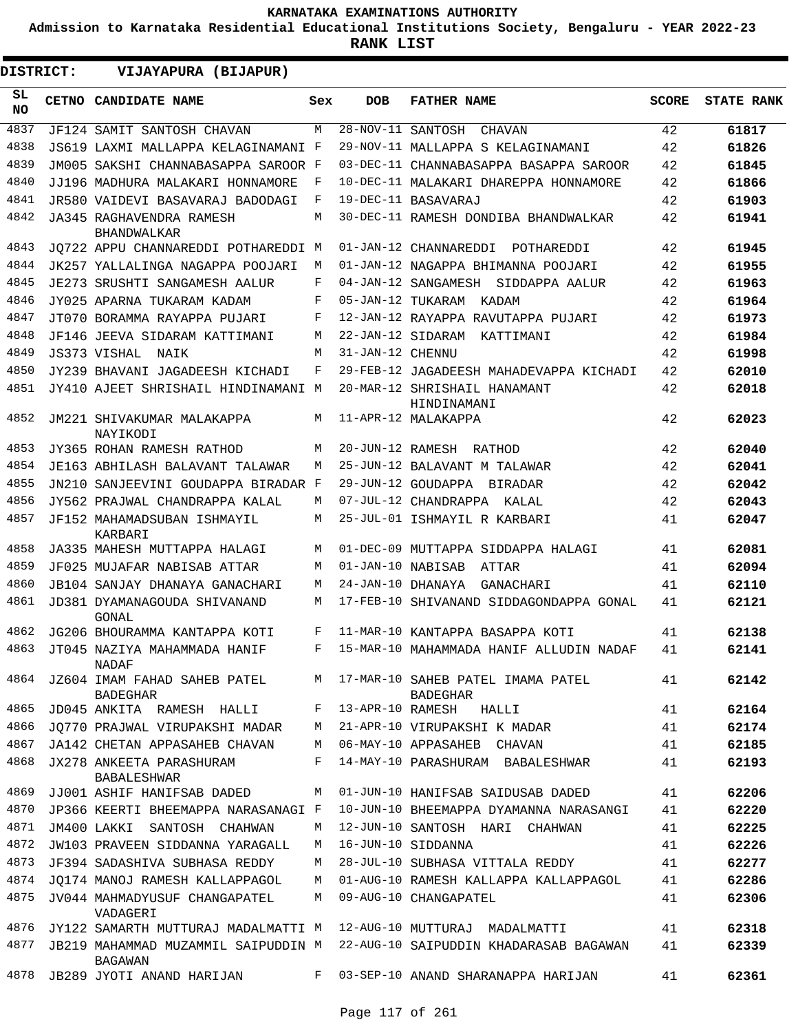**Admission to Karnataka Residential Educational Institutions Society, Bengaluru - YEAR 2022-23**

**RANK LIST**

**DISTRICT:** EE **VIJAYAPURA (BIJAPUR)**

| SL<br><b>NO</b> | CETNO CANDIDATE NAME                                       | Sex | <b>DOB</b>        | <b>FATHER NAME</b>                                     | <b>SCORE</b> | <b>STATE RANK</b> |
|-----------------|------------------------------------------------------------|-----|-------------------|--------------------------------------------------------|--------------|-------------------|
| 4837            | JF124 SAMIT SANTOSH CHAVAN                                 | M   | 28-NOV-11         | SANTOSH<br>CHAVAN                                      | 42           | 61817             |
| 4838            | JS619 LAXMI MALLAPPA KELAGINAMANI F                        |     |                   | 29-NOV-11 MALLAPPA S KELAGINAMANI                      | 42           | 61826             |
| 4839            | JM005 SAKSHI CHANNABASAPPA SAROOR F                        |     |                   | 03-DEC-11 CHANNABASAPPA BASAPPA SAROOR                 | 42           | 61845             |
| 4840            | JJ196 MADHURA MALAKARI HONNAMORE                           | F   |                   | 10-DEC-11 MALAKARI DHAREPPA HONNAMORE                  | 42           | 61866             |
| 4841            | JR580 VAIDEVI BASAVARAJ BADODAGI                           | F   |                   | 19-DEC-11 BASAVARAJ                                    | 42           | 61903             |
| 4842            | JA345 RAGHAVENDRA RAMESH<br><b>BHANDWALKAR</b>             | M   |                   | 30-DEC-11 RAMESH DONDIBA BHANDWALKAR                   | 42           | 61941             |
| 4843            | JO722 APPU CHANNAREDDI POTHAREDDI M                        |     |                   | 01-JAN-12 CHANNAREDDI POTHAREDDI                       | 42           | 61945             |
| 4844            | JK257 YALLALINGA NAGAPPA POOJARI                           | M   |                   | 01-JAN-12 NAGAPPA BHIMANNA POOJARI                     | 42           | 61955             |
| 4845            | JE273 SRUSHTI SANGAMESH AALUR                              | F   |                   | 04-JAN-12 SANGAMESH SIDDAPPA AALUR                     | 42           | 61963             |
| 4846            | JY025 APARNA TUKARAM KADAM                                 | F   |                   | 05-JAN-12 TUKARAM KADAM                                | 42           | 61964             |
| 4847            | JT070 BORAMMA RAYAPPA PUJARI                               | F   |                   | 12-JAN-12 RAYAPPA RAVUTAPPA PUJARI                     | 42           | 61973             |
| 4848            | JF146 JEEVA SIDARAM KATTIMANI                              | M   |                   | 22-JAN-12 SIDARAM KATTIMANI                            | 42           | 61984             |
| 4849            | JS373 VISHAL<br>NAIK                                       | M   | 31-JAN-12 CHENNU  |                                                        | 42           | 61998             |
| 4850            | JY239 BHAVANI JAGADEESH KICHADI                            | F   |                   | 29-FEB-12 JAGADEESH MAHADEVAPPA KICHADI                | 42           | 62010             |
| 4851            | JY410 AJEET SHRISHAIL HINDINAMANI M                        |     |                   | 20-MAR-12 SHRISHAIL HANAMANT<br>HINDINAMANI            | 42           | 62018             |
| 4852            | JM221 SHIVAKUMAR MALAKAPPA<br>NAYIKODI                     | M   |                   | 11-APR-12 MALAKAPPA                                    | 42           | 62023             |
| 4853            | JY365 ROHAN RAMESH RATHOD                                  | M   | 20-JUN-12 RAMESH  | RATHOD                                                 | 42           | 62040             |
| 4854            | JE163 ABHILASH BALAVANT TALAWAR                            | M   |                   | 25-JUN-12 BALAVANT M TALAWAR                           | 42           | 62041             |
| 4855            | JN210 SANJEEVINI GOUDAPPA BIRADAR F                        |     |                   | 29-JUN-12 GOUDAPPA BIRADAR                             | 42           | 62042             |
| 4856            | JY562 PRAJWAL CHANDRAPPA KALAL                             | M   |                   | 07-JUL-12 CHANDRAPPA KALAL                             | 42           | 62043             |
| 4857            | JF152 MAHAMADSUBAN ISHMAYIL<br>KARBARI                     | M   |                   | 25-JUL-01 ISHMAYIL R KARBARI                           | 41           | 62047             |
| 4858            | JA335 MAHESH MUTTAPPA HALAGI                               | M   |                   | 01-DEC-09 MUTTAPPA SIDDAPPA HALAGI                     | 41           | 62081             |
| 4859            | JF025 MUJAFAR NABISAB ATTAR                                | M   | 01-JAN-10 NABISAB | ATTAR                                                  | 41           | 62094             |
| 4860            | JB104 SANJAY DHANAYA GANACHARI                             | M   | 24-JAN-10 DHANAYA | GANACHARI                                              | 41           | 62110             |
| 4861            | JD381 DYAMANAGOUDA SHIVANAND<br>GONAL                      | M   |                   | 17-FEB-10 SHIVANAND SIDDAGONDAPPA GONAL                | 41           | 62121             |
| 4862            | JG206 BHOURAMMA KANTAPPA KOTI                              | F   |                   | 11-MAR-10 KANTAPPA BASAPPA KOTI                        | 41           | 62138             |
| 4863            | JT045 NAZIYA MAHAMMADA HANIF<br>NADAF                      | F   |                   | 15-MAR-10 MAHAMMADA HANIF ALLUDIN NADAF                | 41           | 62141             |
|                 | 4864 JZ604 IMAM FAHAD SAHEB PATEL<br><b>BADEGHAR</b>       |     |                   | M 17-MAR-10 SAHEB PATEL IMAMA PATEL<br><b>BADEGHAR</b> | 41           | 62142             |
| 4865            | JD045 ANKITA RAMESH HALLI F                                |     |                   | 13-APR-10 RAMESH HALLI                                 | 41           | 62164             |
| 4866            | JO770 PRAJWAL VIRUPAKSHI MADAR M                           |     |                   | 21-APR-10 VIRUPAKSHI K MADAR                           | 41           | 62174             |
| 4867            | JA142 CHETAN APPASAHEB CHAVAN M 06-MAY-10 APPASAHEB CHAVAN |     |                   |                                                        | 41           | 62185             |
| 4868            | JX278 ANKEETA PARASHURAM<br>BABALESHWAR                    |     |                   | F 14-MAY-10 PARASHURAM BABALESHWAR                     | 41           | 62193             |
| 4869            | JJ001 ASHIF HANIFSAB DADED                                 |     |                   | M 01-JUN-10 HANIFSAB SAIDUSAB DADED                    | 41           | 62206             |
| 4870            | JP366 KEERTI BHEEMAPPA NARASANAGI F                        |     |                   | 10-JUN-10 BHEEMAPPA DYAMANNA NARASANGI                 | 41           | 62220             |
| 4871            | JM400 LAKKI SANTOSH CHAHWAN                                | M   |                   | 12-JUN-10 SANTOSH HARI CHAHWAN                         | 41           | 62225             |
| 4872            | JW103 PRAVEEN SIDDANNA YARAGALL                            | M   |                   | 16-JUN-10 SIDDANNA                                     | 41           | 62226             |
| 4873            | JF394 SADASHIVA SUBHASA REDDY                              | M   |                   | 28-JUL-10 SUBHASA VITTALA REDDY                        | 41           | 62277             |
| 4874            | JO174 MANOJ RAMESH KALLAPPAGOL                             |     |                   | M 01-AUG-10 RAMESH KALLAPPA KALLAPPAGOL                | 41           | 62286             |
| 4875            | JV044 MAHMADYUSUF CHANGAPATEL<br>VADAGERI                  | M   |                   | 09-AUG-10 CHANGAPATEL                                  | 41           | 62306             |
| 4876            | JY122 SAMARTH MUTTURAJ MADALMATTI M                        |     |                   | 12-AUG-10 MUTTURAJ MADALMATTI                          | 41           | 62318             |
| 4877            | JB219 MAHAMMAD MUZAMMIL SAIPUDDIN M<br>BAGAWAN             |     |                   | 22-AUG-10 SAIPUDDIN KHADARASAB BAGAWAN                 | 41           | 62339             |
|                 | 4878 JB289 JYOTI ANAND HARIJAN                             |     |                   | F 03-SEP-10 ANAND SHARANAPPA HARIJAN                   | 41           | 62361             |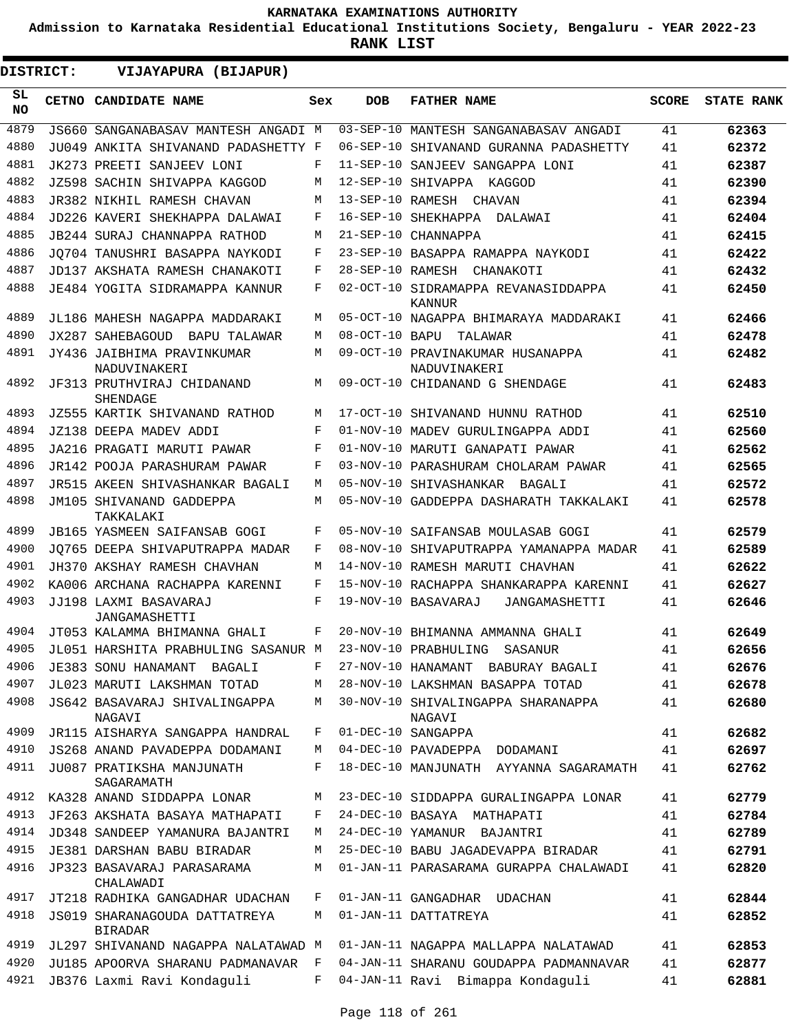**Admission to Karnataka Residential Educational Institutions Society, Bengaluru - YEAR 2022-23**

**RANK LIST**

**DISTRICT:** EE **VIJAYAPURA (BIJAPUR)**

| SL<br><b>NO</b> | CETNO CANDIDATE NAME                            | Sex | <b>DOB</b>      | <b>FATHER NAME</b>                               | <b>SCORE</b> | <b>STATE RANK</b> |
|-----------------|-------------------------------------------------|-----|-----------------|--------------------------------------------------|--------------|-------------------|
| 4879            | JS660 SANGANABASAV MANTESH ANGADI M             |     |                 | 03-SEP-10 MANTESH SANGANABASAV ANGADI            | 41           | 62363             |
| 4880            | JU049 ANKITA SHIVANAND PADASHETTY F             |     | $06 - SEP - 10$ | SHIVANAND GURANNA PADASHETTY                     | 41           | 62372             |
| 4881            | JK273 PREETI SANJEEV LONI                       | F   |                 | 11-SEP-10 SANJEEV SANGAPPA LONI                  | 41           | 62387             |
| 4882            | JZ598 SACHIN SHIVAPPA KAGGOD                    | М   |                 | 12-SEP-10 SHIVAPPA KAGGOD                        | 41           | 62390             |
| 4883            | JR382 NIKHIL RAMESH CHAVAN                      | M   |                 | 13-SEP-10 RAMESH CHAVAN                          | 41           | 62394             |
| 4884            | JD226 KAVERI SHEKHAPPA DALAWAI                  | F   |                 | 16-SEP-10 SHEKHAPPA DALAWAI                      | 41           | 62404             |
| 4885            | JB244 SURAJ CHANNAPPA RATHOD                    | М   |                 | 21-SEP-10 CHANNAPPA                              | 41           | 62415             |
| 4886            | JO704 TANUSHRI BASAPPA NAYKODI                  | F   |                 | 23-SEP-10 BASAPPA RAMAPPA NAYKODI                | 41           | 62422             |
| 4887            | JD137 AKSHATA RAMESH CHANAKOTI                  | F   |                 | 28-SEP-10 RAMESH CHANAKOTI                       | 41           | 62432             |
| 4888            | JE484 YOGITA SIDRAMAPPA KANNUR                  | F   |                 | 02-OCT-10 SIDRAMAPPA REVANASIDDAPPA<br>KANNUR    | 41           | 62450             |
| 4889            | JL186 MAHESH NAGAPPA MADDARAKI                  | М   |                 | 05-OCT-10 NAGAPPA BHIMARAYA MADDARAKI            | 41           | 62466             |
| 4890            | JX287 SAHEBAGOUD BAPU TALAWAR                   | М   |                 | 08-OCT-10 BAPU TALAWAR                           | 41           | 62478             |
| 4891            | JY436 JAIBHIMA PRAVINKUMAR<br>NADUVINAKERI      | M   |                 | 09-OCT-10 PRAVINAKUMAR HUSANAPPA<br>NADUVINAKERI | 41           | 62482             |
| 4892            | JF313 PRUTHVIRAJ CHIDANAND<br>SHENDAGE          | M   |                 | 09-OCT-10 CHIDANAND G SHENDAGE                   | 41           | 62483             |
| 4893            | JZ555 KARTIK SHIVANAND RATHOD                   | М   |                 | 17-OCT-10 SHIVANAND HUNNU RATHOD                 | 41           | 62510             |
| 4894            | JZ138 DEEPA MADEV ADDI                          | F   |                 | 01-NOV-10 MADEV GURULINGAPPA ADDI                | 41           | 62560             |
| 4895            | JA216 PRAGATI MARUTI PAWAR                      | F   |                 | 01-NOV-10 MARUTI GANAPATI PAWAR                  | 41           | 62562             |
| 4896            | JR142 POOJA PARASHURAM PAWAR                    | F   |                 | 03-NOV-10 PARASHURAM CHOLARAM PAWAR              | 41           | 62565             |
| 4897            | JR515 AKEEN SHIVASHANKAR BAGALI                 | М   |                 | 05-NOV-10 SHIVASHANKAR BAGALI                    | 41           | 62572             |
| 4898            | JM105 SHIVANAND GADDEPPA<br>TAKKALAKI           | М   |                 | 05-NOV-10 GADDEPPA DASHARATH TAKKALAKI           | 41           | 62578             |
| 4899            | <b>JB165 YASMEEN SAIFANSAB GOGI</b>             | F   |                 | 05-NOV-10 SAIFANSAB MOULASAB GOGI                | 41           | 62579             |
| 4900            | JO765 DEEPA SHIVAPUTRAPPA MADAR                 | F   |                 | 08-NOV-10 SHIVAPUTRAPPA YAMANAPPA MADAR          | 41           | 62589             |
| 4901            | JH370 AKSHAY RAMESH CHAVHAN                     | М   |                 | 14-NOV-10 RAMESH MARUTI CHAVHAN                  | 41           | 62622             |
| 4902            | KA006 ARCHANA RACHAPPA KARENNI                  | F   |                 | 15-NOV-10 RACHAPPA SHANKARAPPA KARENNI           | 41           | 62627             |
| 4903            | JJ198 LAXMI BASAVARAJ<br>JANGAMASHETTI          | F   |                 | 19-NOV-10 BASAVARAJ<br>JANGAMASHETTI             | 41           | 62646             |
| 4904            | JT053 KALAMMA BHIMANNA GHALI                    | F   |                 | 20-NOV-10 BHIMANNA AMMANNA GHALI                 | 41           | 62649             |
| 4905            | JL051 HARSHITA PRABHULING SASANUR M             |     |                 | 23-NOV-10 PRABHULING<br>SASANUR                  | 41           | 62656             |
| 4906            | JE383 SONU HANAMANT BAGALI                      |     |                 | 27-NOV-10 HANAMANT BABURAY BAGALI                | 41           | 62676             |
| 4907            | JL023 MARUTI LAKSHMAN TOTAD                     | М   |                 | 28-NOV-10 LAKSHMAN BASAPPA TOTAD                 | 41           | 62678             |
| 4908            | JS642 BASAVARAJ SHIVALINGAPPA<br>NAGAVI         | М   |                 | 30-NOV-10 SHIVALINGAPPA SHARANAPPA<br>NAGAVI     | 41           | 62680             |
| 4909            | JR115 AISHARYA SANGAPPA HANDRAL                 | F   |                 | 01-DEC-10 SANGAPPA                               | 41           | 62682             |
| 4910            | JS268 ANAND PAVADEPPA DODAMANI                  | М   |                 | 04-DEC-10 PAVADEPPA DODAMANI                     | 41           | 62697             |
| 4911            | JU087 PRATIKSHA MANJUNATH<br>SAGARAMATH         | F   |                 | 18-DEC-10 MANJUNATH AYYANNA SAGARAMATH           | 41           | 62762             |
| 4912            | KA328 ANAND SIDDAPPA LONAR                      | М   |                 | 23-DEC-10 SIDDAPPA GURALINGAPPA LONAR            | 41           | 62779             |
| 4913            | JF263 AKSHATA BASAYA MATHAPATI                  | F   |                 | 24-DEC-10 BASAYA MATHAPATI                       | 41           | 62784             |
| 4914            | JD348 SANDEEP YAMANURA BAJANTRI                 | М   |                 | 24-DEC-10 YAMANUR BAJANTRI                       | 41           | 62789             |
| 4915            | JE381 DARSHAN BABU BIRADAR                      | М   |                 | 25-DEC-10 BABU JAGADEVAPPA BIRADAR               | 41           | 62791             |
| 4916            | JP323 BASAVARAJ PARASARAMA<br>CHALAWADI         | М   |                 | 01-JAN-11 PARASARAMA GURAPPA CHALAWADI           | 41           | 62820             |
| 4917            | JT218 RADHIKA GANGADHAR UDACHAN                 | F   |                 | 01-JAN-11 GANGADHAR UDACHAN                      | 41           | 62844             |
| 4918            | JS019 SHARANAGOUDA DATTATREYA<br><b>BIRADAR</b> | М   |                 | 01-JAN-11 DATTATREYA                             | 41           | 62852             |
| 4919            | JL297 SHIVANAND NAGAPPA NALATAWAD M             |     |                 | 01-JAN-11 NAGAPPA MALLAPPA NALATAWAD             | 41           | 62853             |
| 4920            | JU185 APOORVA SHARANU PADMANAVAR                | F   |                 | 04-JAN-11 SHARANU GOUDAPPA PADMANNAVAR           | 41           | 62877             |
| 4921            | JB376 Laxmi Ravi Kondaguli                      | F   |                 | 04-JAN-11 Ravi Bimappa Kondaguli                 | 41           | 62881             |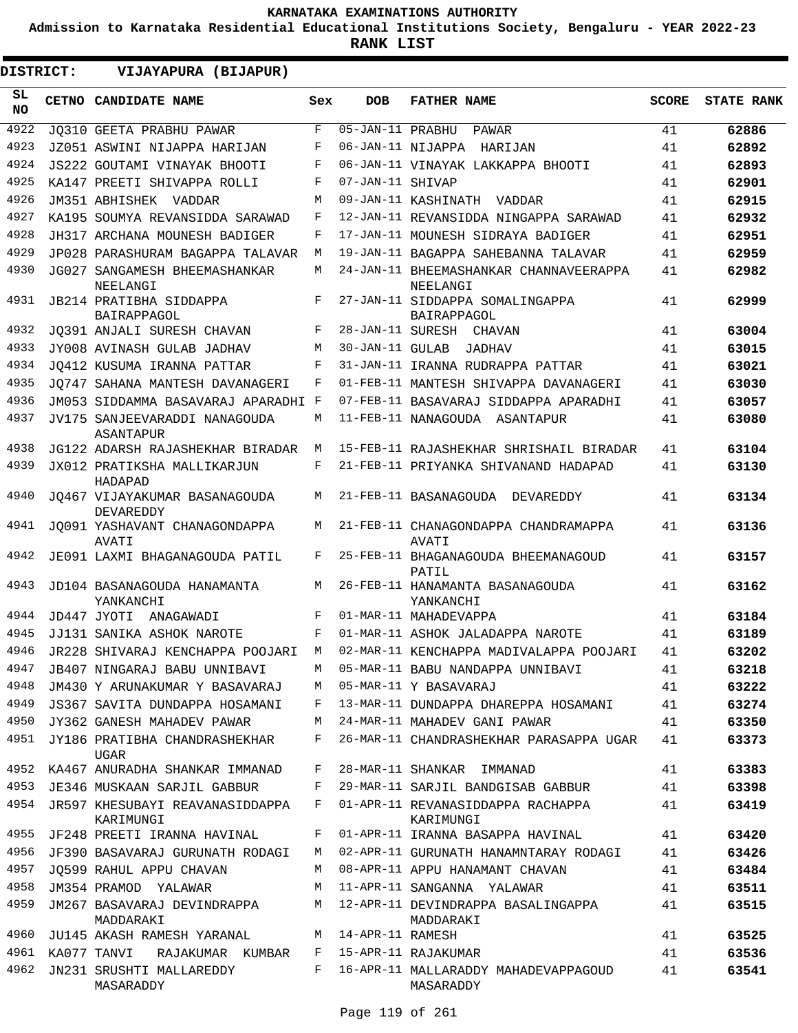**Admission to Karnataka Residential Educational Institutions Society, Bengaluru - YEAR 2022-23**

| DISTRICT:       | VIJAYAPURA (BIJAPUR)                         |     |                        |                                                                                 |              |                   |
|-----------------|----------------------------------------------|-----|------------------------|---------------------------------------------------------------------------------|--------------|-------------------|
| SL<br><b>NO</b> | CETNO CANDIDATE NAME                         | Sex | <b>DOB</b>             | <b>FATHER NAME</b>                                                              | <b>SCORE</b> | <b>STATE RANK</b> |
| 4922            | JO310 GEETA PRABHU PAWAR                     | F   | $05 - JAN - 11$ PRABHU | PAWAR                                                                           | 41           | 62886             |
| 4923            | JZ051 ASWINI NIJAPPA HARIJAN                 | F   |                        | 06-JAN-11 NIJAPPA HARIJAN                                                       | 41           | 62892             |
| 4924            | JS222 GOUTAMI VINAYAK BHOOTI                 | F   |                        | 06-JAN-11 VINAYAK LAKKAPPA BHOOTI                                               | 41           | 62893             |
| 4925            | KA147 PREETI SHIVAPPA ROLLI                  | F   | 07-JAN-11 SHIVAP       |                                                                                 | 41           | 62901             |
| 4926            | JM351 ABHISHEK VADDAR                        | M   |                        | 09-JAN-11 KASHINATH VADDAR                                                      | 41           | 62915             |
| 4927            | KA195 SOUMYA REVANSIDDA SARAWAD              | F   |                        | 12-JAN-11 REVANSIDDA NINGAPPA SARAWAD                                           | 41           | 62932             |
| 4928            | JH317 ARCHANA MOUNESH BADIGER                | F   |                        | 17-JAN-11 MOUNESH SIDRAYA BADIGER                                               | 41           | 62951             |
| 4929            | JP028 PARASHURAM BAGAPPA TALAVAR             | M   |                        | 19-JAN-11 BAGAPPA SAHEBANNA TALAVAR                                             | 41           | 62959             |
| 4930            | JG027 SANGAMESH BHEEMASHANKAR<br>NEELANGI    | M   |                        | 24-JAN-11 BHEEMASHANKAR CHANNAVEERAPPA<br>NEELANGI                              | 41           | 62982             |
| 4931            | JB214 PRATIBHA SIDDAPPA<br>BAIRAPPAGOL       | F   |                        | 27-JAN-11 SIDDAPPA SOMALINGAPPA<br>BAIRAPPAGOL                                  | 41           | 62999             |
| 4932            | JQ391 ANJALI SURESH CHAVAN                   | F   |                        | 28-JAN-11 SURESH CHAVAN                                                         | 41           | 63004             |
| 4933            | JY008 AVINASH GULAB JADHAV                   | M   | 30-JAN-11 GULAB        | JADHAV                                                                          | 41           | 63015             |
| 4934            | JO412 KUSUMA IRANNA PATTAR                   | F   |                        | 31-JAN-11 IRANNA RUDRAPPA PATTAR                                                | 41           | 63021             |
| 4935            | JO747 SAHANA MANTESH DAVANAGERI              | F   |                        | 01-FEB-11 MANTESH SHIVAPPA DAVANAGERI                                           | 41           | 63030             |
| 4936            | JM053 SIDDAMMA BASAVARAJ APARADHI F          |     |                        | 07-FEB-11 BASAVARAJ SIDDAPPA APARADHI                                           | 41           | 63057             |
| 4937            | JV175 SANJEEVARADDI NANAGOUDA<br>ASANTAPUR   | M   |                        | 11-FEB-11 NANAGOUDA ASANTAPUR                                                   | 41           | 63080             |
| 4938            | JG122 ADARSH RAJASHEKHAR BIRADAR             | M   |                        | 15-FEB-11 RAJASHEKHAR SHRISHAIL BIRADAR                                         | 41           | 63104             |
| 4939            | JX012 PRATIKSHA MALLIKARJUN<br>HADAPAD       | F   |                        | 21-FEB-11 PRIYANKA SHIVANAND HADAPAD                                            | 41           | 63130             |
| 4940            | JO467 VIJAYAKUMAR BASANAGOUDA<br>DEVAREDDY   | М   |                        | 21-FEB-11 BASANAGOUDA DEVAREDDY                                                 | 41           | 63134             |
| 4941            | JO091 YASHAVANT CHANAGONDAPPA<br>AVATI       | M   |                        | 21-FEB-11 CHANAGONDAPPA CHANDRAMAPPA<br>AVATI                                   | 41           | 63136             |
| 4942            | JE091 LAXMI BHAGANAGOUDA PATIL               | F   |                        | 25-FEB-11 BHAGANAGOUDA BHEEMANAGOUD<br>PATIL                                    | 41           | 63157             |
| 4943            | JD104 BASANAGOUDA HANAMANTA<br>YANKANCHI     | M   |                        | 26-FEB-11 HANAMANTA BASANAGOUDA<br>YANKANCHI                                    | 41           | 63162             |
| 4944            | JD447 JYOTI ANAGAWADI                        | F   |                        | 01-MAR-11 MAHADEVAPPA                                                           | 41           | 63184             |
| 4945            | JJ131 SANIKA ASHOK NAROTE                    | F   |                        | 01-MAR-11 ASHOK JALADAPPA NAROTE                                                | 41           | 63189             |
|                 |                                              |     |                        | 4946 JR228 SHIVARAJ KENCHAPPA POOJARI M 02-MAR-11 KENCHAPPA MADIVALAPPA POOJARI | 41           | 63202             |
| 4947            | JB407 NINGARAJ BABU UNNIBAVI                 | М   |                        | 05-MAR-11 BABU NANDAPPA UNNIBAVI                                                | 41           | 63218             |
| 4948            | JM430 Y ARUNAKUMAR Y BASAVARAJ               | М   |                        | 05-MAR-11 Y BASAVARAJ                                                           | 41           | 63222             |
| 4949            | JS367 SAVITA DUNDAPPA HOSAMANI               | F   |                        | 13-MAR-11 DUNDAPPA DHAREPPA HOSAMANI                                            | 41           | 63274             |
| 4950            | JY362 GANESH MAHADEV PAWAR                   | M   |                        | 24-MAR-11 MAHADEV GANI PAWAR                                                    | 41           | 63350             |
| 4951            | JY186 PRATIBHA CHANDRASHEKHAR<br>UGAR        | F   |                        | 26-MAR-11 CHANDRASHEKHAR PARASAPPA UGAR                                         | 41           | 63373             |
| 4952            | KA467 ANURADHA SHANKAR IMMANAD               | F   |                        | 28-MAR-11 SHANKAR IMMANAD                                                       | 41           | 63383             |
| 4953            | JE346 MUSKAAN SARJIL GABBUR                  | F   |                        | 29-MAR-11 SARJIL BANDGISAB GABBUR                                               | 41           | 63398             |
| 4954            | JR597 KHESUBAYI REAVANASIDDAPPA<br>KARIMUNGI | F   |                        | 01-APR-11 REVANASIDDAPPA RACHAPPA<br>KARIMUNGI                                  | 41           | 63419             |
| 4955            | JF248 PREETI IRANNA HAVINAL                  | F   |                        | 01-APR-11 IRANNA BASAPPA HAVINAL                                                | 41           | 63420             |
| 4956            | JF390 BASAVARAJ GURUNATH RODAGI              | М   |                        | 02-APR-11 GURUNATH HANAMNTARAY RODAGI                                           | 41           | 63426             |
| 4957            | JO599 RAHUL APPU CHAVAN                      | М   |                        | 08-APR-11 APPU HANAMANT CHAVAN                                                  | 41           | 63484             |
| 4958            | JM354 PRAMOD YALAWAR                         | M   |                        | 11-APR-11 SANGANNA YALAWAR                                                      | 41           | 63511             |
| 4959            | JM267 BASAVARAJ DEVINDRAPPA<br>MADDARAKI     | М   |                        | 12-APR-11 DEVINDRAPPA BASALINGAPPA<br>MADDARAKI                                 | 41           | 63515             |
| 4960            | JU145 AKASH RAMESH YARANAL                   | М   | 14-APR-11 RAMESH       |                                                                                 | 41           | 63525             |
| 4961            | KA077 TANVI<br>RAJAKUMAR KUMBAR              | F   |                        | 15-APR-11 RAJAKUMAR                                                             | 41           | 63536             |
| 4962            | JN231 SRUSHTI MALLAREDDY<br>MASARADDY        | F   |                        | 16-APR-11 MALLARADDY MAHADEVAPPAGOUD<br>MASARADDY                               | 41           | 63541             |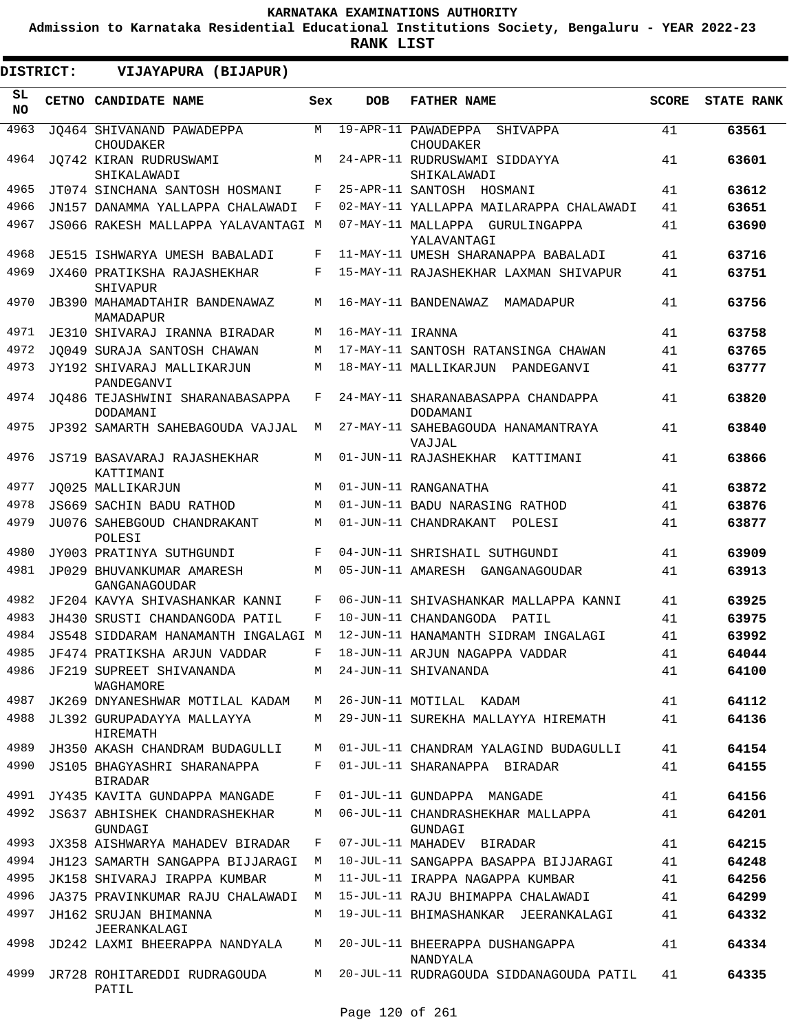**Admission to Karnataka Residential Educational Institutions Society, Bengaluru - YEAR 2022-23**

**RANK LIST**

ı

|                  | DISTRICT: | VIJAYAPURA (BIJAPUR)                          |              |                  |                                                |              |                   |
|------------------|-----------|-----------------------------------------------|--------------|------------------|------------------------------------------------|--------------|-------------------|
| SL.<br><b>NO</b> |           | CETNO CANDIDATE NAME                          | Sex          | <b>DOB</b>       | <b>FATHER NAME</b>                             | <b>SCORE</b> | <b>STATE RANK</b> |
| 4963             |           | JO464 SHIVANAND PAWADEPPA<br><b>CHOUDAKER</b> | M            |                  | 19-APR-11 PAWADEPPA<br>SHIVAPPA<br>CHOUDAKER   | 41           | 63561             |
| 4964             |           | JO742 KIRAN RUDRUSWAMI<br>SHIKALAWADI         | M            |                  | 24-APR-11 RUDRUSWAMI SIDDAYYA<br>SHIKALAWADI   | 41           | 63601             |
| 4965             |           | JT074 SINCHANA SANTOSH HOSMANI                | F            |                  | 25-APR-11 SANTOSH HOSMANI                      | 41           | 63612             |
| 4966             |           | JN157 DANAMMA YALLAPPA CHALAWADI              | F            |                  | 02-MAY-11 YALLAPPA MAILARAPPA CHALAWADI        | 41           | 63651             |
| 4967             |           | JS066 RAKESH MALLAPPA YALAVANTAGI M           |              |                  | 07-MAY-11 MALLAPPA GURULINGAPPA<br>YALAVANTAGI | 41           | 63690             |
| 4968             |           | JE515 ISHWARYA UMESH BABALADI                 | F            |                  | 11-MAY-11 UMESH SHARANAPPA BABALADI            | 41           | 63716             |
| 4969             |           | JX460 PRATIKSHA RAJASHEKHAR<br>SHIVAPUR       | F            |                  | 15-MAY-11 RAJASHEKHAR LAXMAN SHIVAPUR          | 41           | 63751             |
| 4970             |           | JB390 MAHAMADTAHIR BANDENAWAZ<br>MAMADAPUR    | M            |                  | 16-MAY-11 BANDENAWAZ<br>MAMADAPUR              | 41           | 63756             |
| 4971             |           | JE310 SHIVARAJ IRANNA BIRADAR                 | М            | 16-MAY-11 IRANNA |                                                | 41           | 63758             |
| 4972             |           | JO049 SURAJA SANTOSH CHAWAN                   | М            |                  | 17-MAY-11 SANTOSH RATANSINGA CHAWAN            | 41           | 63765             |
| 4973             |           | JY192 SHIVARAJ MALLIKARJUN<br>PANDEGANVI      | М            |                  | 18-MAY-11 MALLIKARJUN PANDEGANVI               | 41           | 63777             |
| 4974             |           | JO486 TEJASHWINI SHARANABASAPPA<br>DODAMANI   | F            |                  | 24-MAY-11 SHARANABASAPPA CHANDAPPA<br>DODAMANI | 41           | 63820             |
| 4975             |           | JP392 SAMARTH SAHEBAGOUDA VAJJAL              | М            |                  | 27-MAY-11 SAHEBAGOUDA HANAMANTRAYA<br>VAJJAL   | 41           | 63840             |
| 4976             |           | JS719 BASAVARAJ RAJASHEKHAR<br>KATTIMANI      | М            |                  | 01-JUN-11 RAJASHEKHAR KATTIMANI                | 41           | 63866             |
| 4977             |           | JO025 MALLIKARJUN                             | M            |                  | 01-JUN-11 RANGANATHA                           | 41           | 63872             |
| 4978             |           | JS669 SACHIN BADU RATHOD                      | M            |                  | 01-JUN-11 BADU NARASING RATHOD                 | 41           | 63876             |
| 4979             |           | JU076 SAHEBGOUD CHANDRAKANT<br>POLESI         | M            |                  | 01-JUN-11 CHANDRAKANT POLESI                   | 41           | 63877             |
| 4980             |           | JY003 PRATINYA SUTHGUNDI                      | F            |                  | 04-JUN-11 SHRISHAIL SUTHGUNDI                  | 41           | 63909             |
| 4981             |           | JP029 BHUVANKUMAR AMARESH<br>GANGANAGOUDAR    | M            |                  | 05-JUN-11 AMARESH GANGANAGOUDAR                | 41           | 63913             |
| 4982             |           | JF204 KAVYA SHIVASHANKAR KANNI                | F            |                  | 06-JUN-11 SHIVASHANKAR MALLAPPA KANNI          | 41           | 63925             |
| 4983             |           | JH430 SRUSTI CHANDANGODA PATIL                | F            |                  | 10-JUN-11 CHANDANGODA PATIL                    | 41           | 63975             |
| 4984             |           | JS548 SIDDARAM HANAMANTH INGALAGI M           |              |                  | 12-JUN-11 HANAMANTH SIDRAM INGALAGI            | 41           | 63992             |
| 4985             |           | JF474 PRATIKSHA ARJUN VADDAR                  | $\mathbf{F}$ |                  | 18-JUN-11 ARJUN NAGAPPA VADDAR                 | 41           | 64044             |
| 4986             |           | JF219 SUPREET SHIVANANDA<br>WAGHAMORE         | M            |                  | 24-JUN-11 SHIVANANDA                           | 41           | 64100             |
| 4987             |           | JK269 DNYANESHWAR MOTILAL KADAM               | M            |                  | 26-JUN-11 MOTILAL KADAM                        | 41           | 64112             |
| 4988             |           | JL392 GURUPADAYYA MALLAYYA<br>HIREMATH        | М            |                  | 29-JUN-11 SUREKHA MALLAYYA HIREMATH            | 41           | 64136             |
| 4989             |           | JH350 AKASH CHANDRAM BUDAGULLI                | М            |                  | 01-JUL-11 CHANDRAM YALAGIND BUDAGULLI          | 41           | 64154             |
| 4990             |           | JS105 BHAGYASHRI SHARANAPPA<br>BIRADAR        | F            |                  | 01-JUL-11 SHARANAPPA BIRADAR                   | 41           | 64155             |
| 4991             |           | JY435 KAVITA GUNDAPPA MANGADE                 | F            |                  | 01-JUL-11 GUNDAPPA MANGADE                     | 41           | 64156             |
| 4992             |           | JS637 ABHISHEK CHANDRASHEKHAR<br>GUNDAGI      | М            |                  | 06-JUL-11 CHANDRASHEKHAR MALLAPPA<br>GUNDAGI   | 41           | 64201             |
| 4993             |           | JX358 AISHWARYA MAHADEV BIRADAR               | F            |                  | 07-JUL-11 MAHADEV BIRADAR                      | 41           | 64215             |
| 4994             |           | JH123 SAMARTH SANGAPPA BIJJARAGI              | М            |                  | 10-JUL-11 SANGAPPA BASAPPA BIJJARAGI           | 41           | 64248             |
| 4995             |           | JK158 SHIVARAJ IRAPPA KUMBAR                  | М            |                  | 11-JUL-11 IRAPPA NAGAPPA KUMBAR                | 41           | 64256             |
| 4996             |           | JA375 PRAVINKUMAR RAJU CHALAWADI              | М            |                  | 15-JUL-11 RAJU BHIMAPPA CHALAWADI              | 41           | 64299             |
| 4997             |           | JH162 SRUJAN BHIMANNA<br>JEERANKALAGI         | M            |                  | 19-JUL-11 BHIMASHANKAR JEERANKALAGI            | 41           | 64332             |
| 4998             |           | JD242 LAXMI BHEERAPPA NANDYALA                | M            |                  | 20-JUL-11 BHEERAPPA DUSHANGAPPA<br>NANDYALA    | 41           | 64334             |
| 4999             |           | JR728 ROHITAREDDI RUDRAGOUDA<br>PATIL         | M            |                  | 20-JUL-11 RUDRAGOUDA SIDDANAGOUDA PATIL        | 41           | 64335             |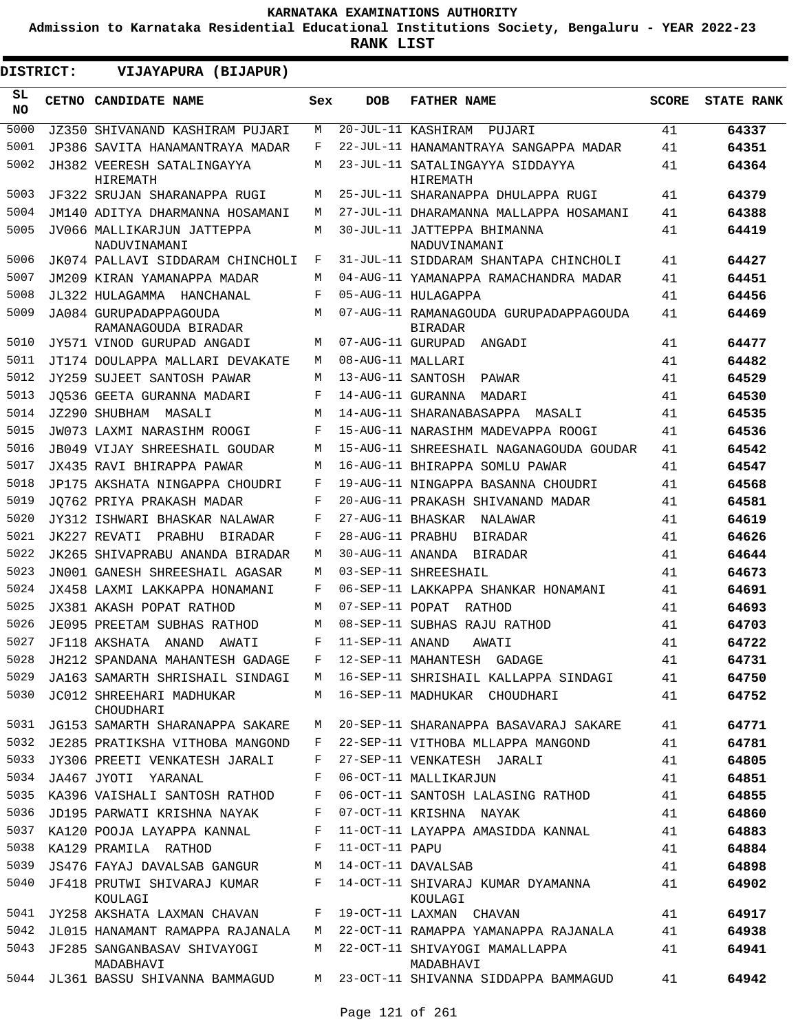**Admission to Karnataka Residential Educational Institutions Society, Bengaluru - YEAR 2022-23**

| <b>DISTRICT:</b> | VIJAYAPURA (BIJAPUR)                          |        |                       |                                                          |              |                   |
|------------------|-----------------------------------------------|--------|-----------------------|----------------------------------------------------------|--------------|-------------------|
| SL<br><b>NO</b>  | CETNO CANDIDATE NAME                          | Sex    | <b>DOB</b>            | <b>FATHER NAME</b>                                       | <b>SCORE</b> | <b>STATE RANK</b> |
| 5000             | JZ350 SHIVANAND KASHIRAM PUJARI               | М      |                       | 20-JUL-11 KASHIRAM PUJARI                                | 41           | 64337             |
| 5001             | JP386 SAVITA HANAMANTRAYA MADAR               | F      |                       | 22-JUL-11 HANAMANTRAYA SANGAPPA MADAR                    | 41           | 64351             |
| 5002             | JH382 VEERESH SATALINGAYYA<br>HIREMATH        | M      |                       | 23-JUL-11 SATALINGAYYA SIDDAYYA<br>HIREMATH              | 41           | 64364             |
| 5003             | JF322 SRUJAN SHARANAPPA RUGI                  | М      |                       | 25-JUL-11 SHARANAPPA DHULAPPA RUGI                       | 41           | 64379             |
| 5004             | JM140 ADITYA DHARMANNA HOSAMANI               | M      |                       | 27-JUL-11 DHARAMANNA MALLAPPA HOSAMANI                   | 41           | 64388             |
| 5005             | JV066 MALLIKARJUN JATTEPPA<br>NADUVINAMANI    | М      |                       | 30-JUL-11 JATTEPPA BHIMANNA<br>NADUVINAMANI              | 41           | 64419             |
| 5006             | JK074 PALLAVI SIDDARAM CHINCHOLI              | F      |                       | 31-JUL-11 SIDDARAM SHANTAPA CHINCHOLI                    | 41           | 64427             |
| 5007             | JM209 KIRAN YAMANAPPA MADAR                   | М      |                       | 04-AUG-11 YAMANAPPA RAMACHANDRA MADAR                    | 41           | 64451             |
| 5008             | JL322 HULAGAMMA HANCHANAL                     | F      |                       | 05-AUG-11 HULAGAPPA                                      | 41           | 64456             |
| 5009             | JA084 GURUPADAPPAGOUDA<br>RAMANAGOUDA BIRADAR | М      |                       | 07-AUG-11 RAMANAGOUDA GURUPADAPPAGOUDA<br><b>BIRADAR</b> | 41           | 64469             |
| 5010             | JY571 VINOD GURUPAD ANGADI                    | М      |                       | 07-AUG-11 GURUPAD<br>ANGADI                              | 41           | 64477             |
| 5011             | JT174 DOULAPPA MALLARI DEVAKATE               | M      | 08-AUG-11 MALLARI     |                                                          | 41           | 64482             |
| 5012             | JY259 SUJEET SANTOSH PAWAR                    | М      | 13-AUG-11 SANTOSH     | PAWAR                                                    | 41           | 64529             |
| 5013             | JO536 GEETA GURANNA MADARI                    | F      | 14-AUG-11 GURANNA     | MADARI                                                   | 41           | 64530             |
| 5014             | JZ290 SHUBHAM MASALI                          | М      |                       | 14-AUG-11 SHARANABASAPPA<br>MASALI                       | 41           | 64535             |
| 5015             | JW073 LAXMI NARASIHM ROOGI                    | F      |                       | 15-AUG-11 NARASIHM MADEVAPPA ROOGI                       | 41           | 64536             |
| 5016             | JB049 VIJAY SHREESHAIL GOUDAR                 | М      |                       | 15-AUG-11 SHREESHAIL NAGANAGOUDA GOUDAR                  | 41           | 64542             |
| 5017             | JX435 RAVI BHIRAPPA PAWAR                     | М      |                       | 16-AUG-11 BHIRAPPA SOMLU PAWAR                           | 41           | 64547             |
| 5018             | JP175 AKSHATA NINGAPPA CHOUDRI                | F      |                       | 19-AUG-11 NINGAPPA BASANNA CHOUDRI                       | 41           | 64568             |
| 5019             | JO762 PRIYA PRAKASH MADAR                     | F      |                       | 20-AUG-11 PRAKASH SHIVANAND MADAR                        | 41           | 64581             |
| 5020             | JY312 ISHWARI BHASKAR NALAWAR                 | F      |                       | 27-AUG-11 BHASKAR NALAWAR                                | 41           | 64619             |
| 5021             | JK227 REVATI<br>PRABHU<br>BIRADAR             | F      | 28-AUG-11 PRABHU      | BIRADAR                                                  | 41           | 64626             |
| 5022             | JK265 SHIVAPRABU ANANDA BIRADAR               | М      |                       | 30-AUG-11 ANANDA BIRADAR                                 | 41           | 64644             |
| 5023             | JN001 GANESH SHREESHAIL AGASAR                | М      |                       | 03-SEP-11 SHREESHAIL                                     | 41           | 64673             |
| 5024             | JX458 LAXMI LAKKAPPA HONAMANI                 | F      |                       | 06-SEP-11 LAKKAPPA SHANKAR HONAMANI                      | 41           | 64691             |
| 5025             | JX381 AKASH POPAT RATHOD                      | М      | $07 - SEP - 11$ POPAT | RATHOD                                                   | 41           | 64693             |
| 5026             | JE095 PREETAM SUBHAS RATHOD                   | М      |                       | 08-SEP-11 SUBHAS RAJU RATHOD                             | 41           | 64703             |
| 5027             | JF118 AKSHATA<br>ANAND<br>AWATI               | F      | 11-SEP-11 ANAND       | AWATI                                                    | 41           | 64722             |
| 5028             | JH212 SPANDANA MAHANTESH GADAGE               | F      |                       | 12-SEP-11 MAHANTESH GADAGE                               | 41           | 64731             |
| 5029             | JA163 SAMARTH SHRISHAIL SINDAGI               | M      |                       | 16-SEP-11 SHRISHAIL KALLAPPA SINDAGI                     | 41           | 64750             |
| 5030             | JC012 SHREEHARI MADHUKAR<br>CHOUDHARI         | M      |                       | 16-SEP-11 MADHUKAR CHOUDHARI                             | 41           | 64752             |
| 5031             | JG153 SAMARTH SHARANAPPA SAKARE               | М      |                       | 20-SEP-11 SHARANAPPA BASAVARAJ SAKARE                    | 41           | 64771             |
| 5032             | JE285 PRATIKSHA VITHOBA MANGOND               | F      |                       | 22-SEP-11 VITHOBA MLLAPPA MANGOND                        | 41           | 64781             |
| 5033             | JY306 PREETI VENKATESH JARALI                 | F      |                       | 27-SEP-11 VENKATESH JARALI                               | 41           | 64805             |
| 5034<br>5035     | JA467 JYOTI YARANAL                           | F      |                       | 06-OCT-11 MALLIKARJUN                                    | 41           | 64851             |
| 5036             | KA396 VAISHALI SANTOSH RATHOD                 | F      |                       | 06-OCT-11 SANTOSH LALASING RATHOD                        | 41           | 64855             |
| 5037             | JD195 PARWATI KRISHNA NAYAK                   | F<br>F |                       | 07-OCT-11 KRISHNA NAYAK                                  | 41           | 64860             |
| 5038             | KA120 POOJA LAYAPPA KANNAL                    | F      |                       | 11-OCT-11 LAYAPPA AMASIDDA KANNAL                        | 41           | 64883             |
| 5039             | KA129 PRAMILA RATHOD                          |        | 11-OCT-11 PAPU        |                                                          | 41           | 64884             |
| 5040             | JS476 FAYAJ DAVALSAB GANGUR                   | М<br>F |                       | 14-OCT-11 DAVALSAB                                       | 41           | 64898             |
|                  | JF418 PRUTWI SHIVARAJ KUMAR<br>KOULAGI        |        |                       | 14-OCT-11 SHIVARAJ KUMAR DYAMANNA<br>KOULAGI             | 41           | 64902             |
| 5041             | JY258 AKSHATA LAXMAN CHAVAN                   | F      |                       | 19-OCT-11 LAXMAN CHAVAN                                  | 41           | 64917             |
| 5042             | JL015 HANAMANT RAMAPPA RAJANALA               | М      |                       | 22-OCT-11 RAMAPPA YAMANAPPA RAJANALA                     | 41           | 64938             |
| 5043             | JF285 SANGANBASAV SHIVAYOGI<br>MADABHAVI      | M      |                       | 22-OCT-11 SHIVAYOGI MAMALLAPPA<br>MADABHAVI              | 41           | 64941             |
| 5044             | JL361 BASSU SHIVANNA BAMMAGUD                 |        |                       | M 23-OCT-11 SHIVANNA SIDDAPPA BAMMAGUD                   | 41           | 64942             |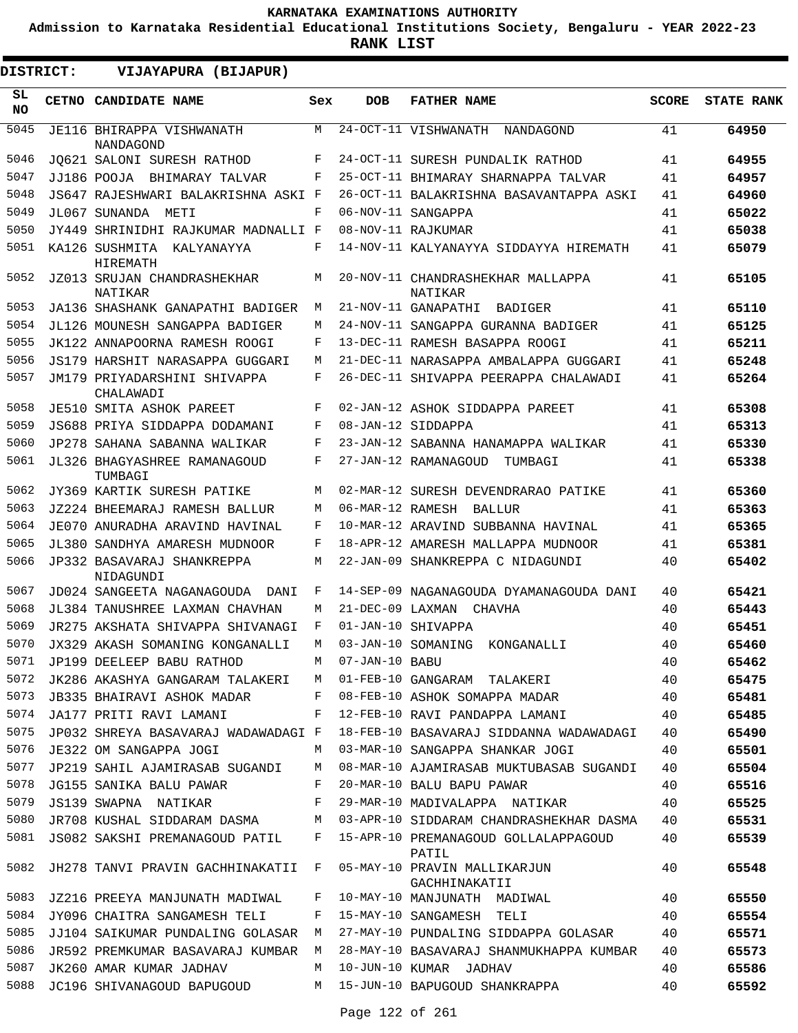**Admission to Karnataka Residential Educational Institutions Society, Bengaluru - YEAR 2022-23**

**RANK LIST**

| DISTRICT: | VIJAYAPURA (BIJAPUR)                          |     |                  |                                               |              |                   |
|-----------|-----------------------------------------------|-----|------------------|-----------------------------------------------|--------------|-------------------|
| SL<br>NO. | CETNO CANDIDATE NAME                          | Sex | <b>DOB</b>       | <b>FATHER NAME</b>                            | <b>SCORE</b> | <b>STATE RANK</b> |
| 5045      | JE116 BHIRAPPA VISHWANATH<br><b>NANDAGOND</b> | M   |                  | 24-OCT-11 VISHWANATH<br>NANDAGOND             | 41           | 64950             |
| 5046      | JO621 SALONI SURESH RATHOD                    | F   |                  | 24-OCT-11 SURESH PUNDALIK RATHOD              | 41           | 64955             |
| 5047      | JJ186 POOJA BHIMARAY TALVAR                   | F   |                  | 25-OCT-11 BHIMARAY SHARNAPPA TALVAR           | 41           | 64957             |
| 5048      | JS647 RAJESHWARI BALAKRISHNA ASKI F           |     |                  | 26-OCT-11 BALAKRISHNA BASAVANTAPPA ASKI       | 41           | 64960             |
| 5049      | JL067 SUNANDA<br>METI                         | F   |                  | 06-NOV-11 SANGAPPA                            | 41           | 65022             |
| 5050      | JY449 SHRINIDHI RAJKUMAR MADNALLI F           |     |                  | 08-NOV-11 RAJKUMAR                            | 41           | 65038             |
| 5051      | KA126 SUSHMITA KALYANAYYA<br>HIREMATH         | F   |                  | 14-NOV-11 KALYANAYYA SIDDAYYA HIREMATH        | 41           | 65079             |
| 5052      | JZ013 SRUJAN CHANDRASHEKHAR<br>NATIKAR        | M   |                  | 20-NOV-11 CHANDRASHEKHAR MALLAPPA<br>NATIKAR  | 41           | 65105             |
| 5053      | JA136 SHASHANK GANAPATHI BADIGER              | М   |                  | 21-NOV-11 GANAPATHI<br>BADIGER                | 41           | 65110             |
| 5054      | JL126 MOUNESH SANGAPPA BADIGER                | М   |                  | 24-NOV-11 SANGAPPA GURANNA BADIGER            | 41           | 65125             |
| 5055      | JK122 ANNAPOORNA RAMESH ROOGI                 | F   |                  | 13-DEC-11 RAMESH BASAPPA ROOGI                | 41           | 65211             |
| 5056      | JS179 HARSHIT NARASAPPA GUGGARI               | M   |                  | 21-DEC-11 NARASAPPA AMBALAPPA GUGGARI         | 41           | 65248             |
| 5057      | JM179 PRIYADARSHINI SHIVAPPA<br>CHALAWADI     | F   |                  | 26-DEC-11 SHIVAPPA PEERAPPA CHALAWADI         | 41           | 65264             |
| 5058      | <b>JE510 SMITA ASHOK PAREET</b>               | F   |                  | 02-JAN-12 ASHOK SIDDAPPA PAREET               | 41           | 65308             |
| 5059      | JS688 PRIYA SIDDAPPA DODAMANI                 | F   |                  | 08-JAN-12 SIDDAPPA                            | 41           | 65313             |
| 5060      | JP278 SAHANA SABANNA WALIKAR                  | F   |                  | 23-JAN-12 SABANNA HANAMAPPA WALIKAR           | 41           | 65330             |
| 5061      | JL326 BHAGYASHREE RAMANAGOUD<br>TUMBAGI       | F   |                  | 27-JAN-12 RAMANAGOUD<br>TUMBAGI               | 41           | 65338             |
| 5062      | JY369 KARTIK SURESH PATIKE                    | M   |                  | 02-MAR-12 SURESH DEVENDRARAO PATIKE           | 41           | 65360             |
| 5063      | JZ224 BHEEMARAJ RAMESH BALLUR                 | М   | 06-MAR-12 RAMESH | BALLUR                                        | 41           | 65363             |
| 5064      | JE070 ANURADHA ARAVIND HAVINAL                | F   |                  | 10-MAR-12 ARAVIND SUBBANNA HAVINAL            | 41           | 65365             |
| 5065      | JL380 SANDHYA AMARESH MUDNOOR                 | F   |                  | 18-APR-12 AMARESH MALLAPPA MUDNOOR            | 41           | 65381             |
| 5066      | JP332 BASAVARAJ SHANKREPPA<br>NIDAGUNDI       | M   |                  | 22-JAN-09 SHANKREPPA C NIDAGUNDI              | 40           | 65402             |
| 5067      | JD024 SANGEETA NAGANAGOUDA<br>DANI            | F   |                  | 14-SEP-09 NAGANAGOUDA DYAMANAGOUDA DANI       | 40           | 65421             |
| 5068      | JL384 TANUSHREE LAXMAN CHAVHAN                | M   |                  | 21-DEC-09 LAXMAN CHAVHA                       | 40           | 65443             |
| 5069      | JR275 AKSHATA SHIVAPPA SHIVANAGI              | F   |                  | 01-JAN-10 SHIVAPPA                            | 40           | 65451             |
| 5070      | JX329 AKASH SOMANING KONGANALLI               | М   |                  | 03-JAN-10 SOMANING KONGANALLI                 | 40           | 65460             |
| 5071      | JP199 DEELEEP BABU RATHOD                     | М   | 07-JAN-10 BABU   |                                               | 40           | 65462             |
| 5072      | JK286 AKASHYA GANGARAM TALAKERI M             |     |                  | 01-FEB-10 GANGARAM TALAKERI                   | 40           | 65475             |
| 5073      | JB335 BHAIRAVI ASHOK MADAR                    | F   |                  | 08-FEB-10 ASHOK SOMAPPA MADAR                 | 40           | 65481             |
| 5074      | JA177 PRITI RAVI LAMANI                       | F   |                  | 12-FEB-10 RAVI PANDAPPA LAMANI                | 40           | 65485             |
| 5075      | JP032 SHREYA BASAVARAJ WADAWADAGI F           |     |                  | 18-FEB-10 BASAVARAJ SIDDANNA WADAWADAGI       | 40           | 65490             |
| 5076      | JE322 OM SANGAPPA JOGI                        | M   |                  | 03-MAR-10 SANGAPPA SHANKAR JOGI               | 40           | 65501             |
| 5077      | JP219 SAHIL AJAMIRASAB SUGANDI                | М   |                  | 08-MAR-10 AJAMIRASAB MUKTUBASAB SUGANDI       | 40           | 65504             |
| 5078      | JG155 SANIKA BALU PAWAR                       | F   |                  | 20-MAR-10 BALU BAPU PAWAR                     | 40           | 65516             |
| 5079      | JS139 SWAPNA NATIKAR                          | F   |                  | 29-MAR-10 MADIVALAPPA NATIKAR                 | 40           | 65525             |
| 5080      | JR708 KUSHAL SIDDARAM DASMA                   | M   |                  | 03-APR-10 SIDDARAM CHANDRASHEKHAR DASMA       | 40           | 65531             |
| 5081      | JS082 SAKSHI PREMANAGOUD PATIL                | F   |                  | 15-APR-10 PREMANAGOUD GOLLALAPPAGOUD<br>PATIL | 40           | 65539             |
| 5082      | JH278 TANVI PRAVIN GACHHINAKATII F            |     |                  | 05-MAY-10 PRAVIN MALLIKARJUN<br>GACHHINAKATII | 40           | 65548             |
| 5083      | JZ216 PREEYA MANJUNATH MADIWAL                | F   |                  | 10-MAY-10 MANJUNATH MADIWAL                   | 40           | 65550             |
| 5084      | JY096 CHAITRA SANGAMESH TELI                  | F   |                  | 15-MAY-10 SANGAMESH TELI                      | 40           | 65554             |
| 5085      | JJ104 SAIKUMAR PUNDALING GOLASAR              | M   |                  | 27-MAY-10 PUNDALING SIDDAPPA GOLASAR          | 40           | 65571             |
| 5086      | JR592 PREMKUMAR BASAVARAJ KUMBAR              | M   |                  | 28-MAY-10 BASAVARAJ SHANMUKHAPPA KUMBAR       | 40           | 65573             |
| 5087      | JK260 AMAR KUMAR JADHAV                       | M   |                  | 10-JUN-10 KUMAR JADHAV                        | 40           | 65586             |
| 5088      | JC196 SHIVANAGOUD BAPUGOUD                    | M   |                  | 15-JUN-10 BAPUGOUD SHANKRAPPA                 | 40           | 65592             |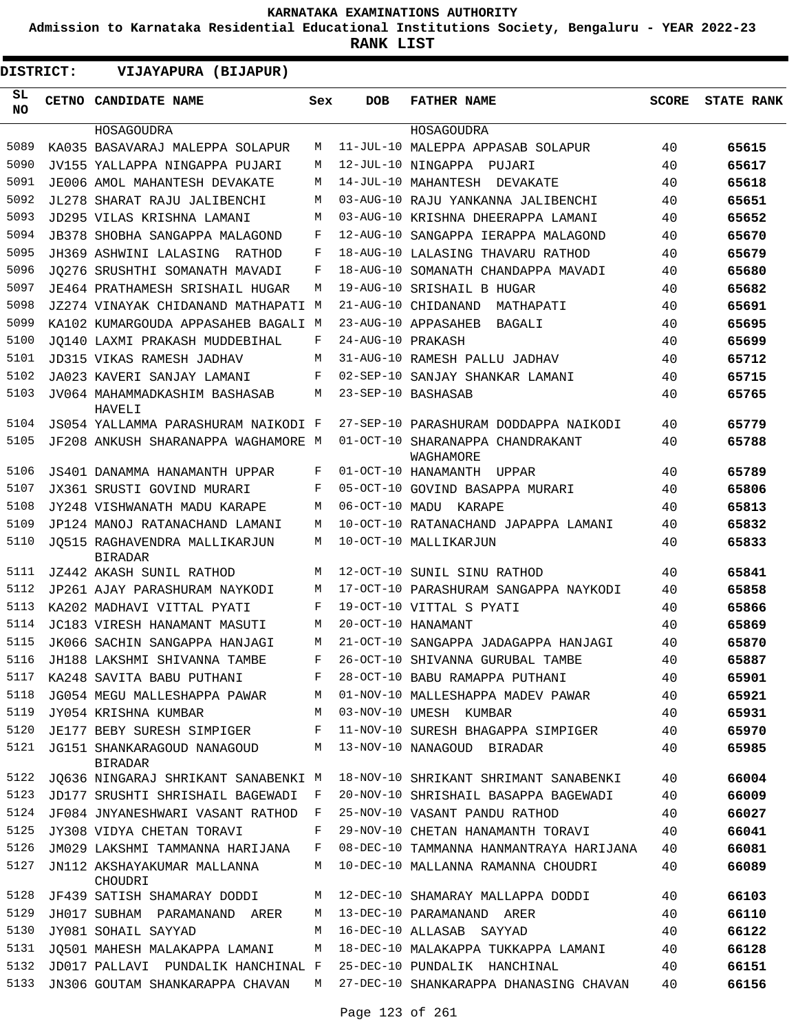**Admission to Karnataka Residential Educational Institutions Society, Bengaluru - YEAR 2022-23**

| <b>DISTRICT:</b> | VIJAYAPURA (BIJAPUR)                            |     |                    |                                               |              |                   |
|------------------|-------------------------------------------------|-----|--------------------|-----------------------------------------------|--------------|-------------------|
| SL<br><b>NO</b>  | CETNO CANDIDATE NAME                            | Sex | <b>DOB</b>         | <b>FATHER NAME</b>                            | <b>SCORE</b> | <b>STATE RANK</b> |
|                  | HOSAGOUDRA                                      |     |                    | HOSAGOUDRA                                    |              |                   |
| 5089             | KA035 BASAVARAJ MALEPPA SOLAPUR                 | М   |                    | 11-JUL-10 MALEPPA APPASAB SOLAPUR             | 40           | 65615             |
| 5090             | JV155 YALLAPPA NINGAPPA PUJARI                  | М   |                    | 12-JUL-10 NINGAPPA PUJARI                     | 40           | 65617             |
| 5091             | JE006 AMOL MAHANTESH DEVAKATE                   | М   |                    | 14-JUL-10 MAHANTESH DEVAKATE                  | 40           | 65618             |
| 5092             | JL278 SHARAT RAJU JALIBENCHI                    | М   |                    | 03-AUG-10 RAJU YANKANNA JALIBENCHI            | 40           | 65651             |
| 5093             | JD295 VILAS KRISHNA LAMANI                      | М   |                    | 03-AUG-10 KRISHNA DHEERAPPA LAMANI            | 40           | 65652             |
| 5094             | JB378 SHOBHA SANGAPPA MALAGOND                  | F   |                    | 12-AUG-10 SANGAPPA IERAPPA MALAGOND           | 40           | 65670             |
| 5095             | JH369 ASHWINI LALASING<br>RATHOD                | F   |                    | 18-AUG-10 LALASING THAVARU RATHOD             | 40           | 65679             |
| 5096             | JO276 SRUSHTHI SOMANATH MAVADI                  | F   |                    | 18-AUG-10 SOMANATH CHANDAPPA MAVADI           | 40           | 65680             |
| 5097             | JE464 PRATHAMESH SRISHAIL HUGAR                 | М   |                    | 19-AUG-10 SRISHAIL B HUGAR                    | 40           | 65682             |
| 5098             | JZ274 VINAYAK CHIDANAND MATHAPATI M             |     |                    | 21-AUG-10 CHIDANAND<br>MATHAPATI              | 40           | 65691             |
| 5099             | KA102 KUMARGOUDA APPASAHEB BAGALI M             |     |                    | 23-AUG-10 APPASAHEB<br>BAGALI                 | 40           | 65695             |
| 5100             | JO140 LAXMI PRAKASH MUDDEBIHAL                  | F   | 24-AUG-10 PRAKASH  |                                               | 40           | 65699             |
| 5101             | JD315 VIKAS RAMESH JADHAV                       | М   |                    | 31-AUG-10 RAMESH PALLU JADHAV                 | 40           | 65712             |
| 5102             | JA023 KAVERI SANJAY LAMANI                      | F   |                    | 02-SEP-10 SANJAY SHANKAR LAMANI               | 40           | 65715             |
| 5103             | JV064 MAHAMMADKASHIM BASHASAB<br>HAVELI         | М   |                    | 23-SEP-10 BASHASAB                            | 40           | 65765             |
| 5104             | JS054 YALLAMMA PARASHURAM NAIKODI F             |     |                    | 27-SEP-10 PARASHURAM DODDAPPA NAIKODI         | 40           | 65779             |
| 5105             | JF208 ANKUSH SHARANAPPA WAGHAMORE M             |     |                    | 01-OCT-10 SHARANAPPA CHANDRAKANT<br>WAGHAMORE | 40           | 65788             |
| 5106             | JS401 DANAMMA HANAMANTH UPPAR                   | F   |                    | 01-OCT-10 HANAMANTH<br>UPPAR                  | 40           | 65789             |
| 5107             | JX361 SRUSTI GOVIND MURARI                      | F   |                    | 05-OCT-10 GOVIND BASAPPA MURARI               | 40           | 65806             |
| 5108             | JY248 VISHWANATH MADU KARAPE                    | M   |                    | 06-OCT-10 MADU KARAPE                         | 40           | 65813             |
| 5109             | JP124 MANOJ RATANACHAND LAMANI                  | M   |                    | 10-OCT-10 RATANACHAND JAPAPPA LAMANI          | 40           | 65832             |
| 5110             | JO515 RAGHAVENDRA MALLIKARJUN<br><b>BIRADAR</b> | М   |                    | 10-OCT-10 MALLIKARJUN                         | 40           | 65833             |
| 5111             | JZ442 AKASH SUNIL RATHOD                        | М   |                    | 12-OCT-10 SUNIL SINU RATHOD                   | 40           | 65841             |
| 5112             | JP261 AJAY PARASHURAM NAYKODI                   | М   |                    | 17-OCT-10 PARASHURAM SANGAPPA NAYKODI         | 40           | 65858             |
| 5113             | KA202 MADHAVI VITTAL PYATI                      | F   |                    | 19-OCT-10 VITTAL S PYATI                      | 40           | 65866             |
| 5114             | JC183 VIRESH HANAMANT MASUTI                    | М   | 20-OCT-10 HANAMANT |                                               | 40           | 65869             |
| 5115             | JK066 SACHIN SANGAPPA HANJAGI                   | М   |                    | 21-OCT-10 SANGAPPA JADAGAPPA HANJAGI          | 40           | 65870             |
| 5116             | JH188 LAKSHMI SHIVANNA TAMBE                    | F   |                    | 26-OCT-10 SHIVANNA GURUBAL TAMBE              | 40           | 65887             |
| 5117             | KA248 SAVITA BABU PUTHANI                       | F   |                    | 28-OCT-10 BABU RAMAPPA PUTHANI                | 40           | 65901             |
| 5118             | JG054 MEGU MALLESHAPPA PAWAR                    | М   |                    | 01-NOV-10 MALLESHAPPA MADEV PAWAR             | 40           | 65921             |
| 5119             | JY054 KRISHNA KUMBAR                            | М   |                    | 03-NOV-10 UMESH KUMBAR                        | 40           | 65931             |
| 5120             | JE177 BEBY SURESH SIMPIGER                      | F   |                    | 11-NOV-10 SURESH BHAGAPPA SIMPIGER            | 40           | 65970             |
| 5121             | JG151 SHANKARAGOUD NANAGOUD<br><b>BIRADAR</b>   | М   |                    | 13-NOV-10 NANAGOUD BIRADAR                    | 40           | 65985             |
| 5122             | JQ636 NINGARAJ SHRIKANT SANABENKI M             |     |                    | 18-NOV-10 SHRIKANT SHRIMANT SANABENKI         | 40           | 66004             |
| 5123             | JD177 SRUSHTI SHRISHAIL BAGEWADI                | F   |                    | 20-NOV-10 SHRISHAIL BASAPPA BAGEWADI          | 40           | 66009             |
| 5124             | JF084 JNYANESHWARI VASANT RATHOD                | F   |                    | 25-NOV-10 VASANT PANDU RATHOD                 | 40           | 66027             |
| 5125             | JY308 VIDYA CHETAN TORAVI                       | F   |                    | 29-NOV-10 CHETAN HANAMANTH TORAVI             | 40           | 66041             |
| 5126             | JM029 LAKSHMI TAMMANNA HARIJANA                 | F   |                    | 08-DEC-10 TAMMANNA HANMANTRAYA HARIJANA       | 40           | 66081             |
| 5127             | JN112 AKSHAYAKUMAR MALLANNA<br>CHOUDRI          | М   |                    | 10-DEC-10 MALLANNA RAMANNA CHOUDRI            | 40           | 66089             |
| 5128             | JF439 SATISH SHAMARAY DODDI                     | М   |                    | 12-DEC-10 SHAMARAY MALLAPPA DODDI             | 40           | 66103             |
| 5129             | JH017 SUBHAM PARAMANAND ARER                    | М   |                    | 13-DEC-10 PARAMANAND ARER                     | 40           | 66110             |
| 5130             | JY081 SOHAIL SAYYAD                             | М   |                    | 16-DEC-10 ALLASAB SAYYAD                      | 40           | 66122             |
| 5131             | JQ501 MAHESH MALAKAPPA LAMANI                   | M   |                    | 18-DEC-10 MALAKAPPA TUKKAPPA LAMANI           | 40           | 66128             |
| 5132             | JD017 PALLAVI PUNDALIK HANCHINAL F              |     |                    | 25-DEC-10 PUNDALIK HANCHINAL                  | 40           | 66151             |
| 5133             | JN306 GOUTAM SHANKARAPPA CHAVAN                 | M   |                    | 27-DEC-10 SHANKARAPPA DHANASING CHAVAN        | 40           | 66156             |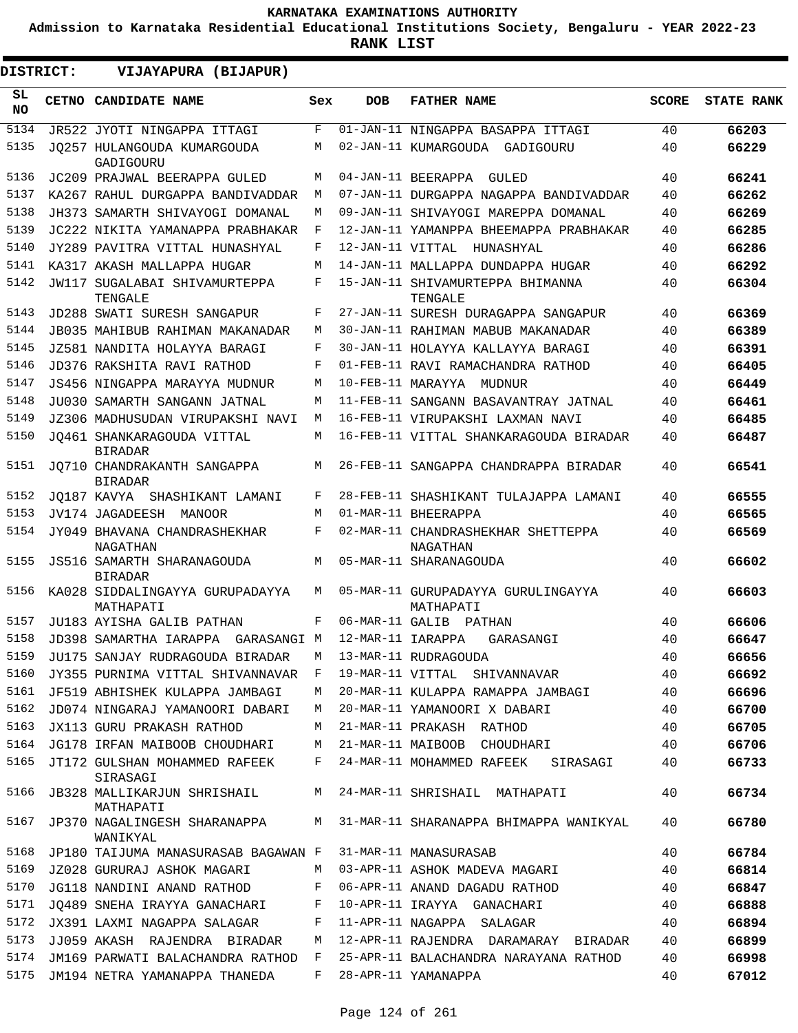**Admission to Karnataka Residential Educational Institutions Society, Bengaluru - YEAR 2022-23**

**RANK LIST**

 $\blacksquare$ 

| <b>DISTRICT:</b> | VIJAYAPURA (BIJAPUR)                          |              |                   |                                                 |              |                   |
|------------------|-----------------------------------------------|--------------|-------------------|-------------------------------------------------|--------------|-------------------|
| SL<br><b>NO</b>  | CETNO CANDIDATE NAME                          | Sex          | DOB               | <b>FATHER NAME</b>                              | <b>SCORE</b> | <b>STATE RANK</b> |
| 5134             | JR522 JYOTI NINGAPPA ITTAGI                   | F            |                   | 01-JAN-11 NINGAPPA BASAPPA ITTAGI               | 40           | 66203             |
| 5135             | JO257 HULANGOUDA KUMARGOUDA<br>GADIGOURU      | М            |                   | 02-JAN-11 KUMARGOUDA GADIGOURU                  | 40           | 66229             |
| 5136             | JC209 PRAJWAL BEERAPPA GULED                  | M            |                   | 04-JAN-11 BEERAPPA GULED                        | 40           | 66241             |
| 5137             | KA267 RAHUL DURGAPPA BANDIVADDAR              | М            |                   | 07-JAN-11 DURGAPPA NAGAPPA BANDIVADDAR          | 40           | 66262             |
| 5138             | JH373 SAMARTH SHIVAYOGI DOMANAL               | M            |                   | 09-JAN-11 SHIVAYOGI MAREPPA DOMANAL             | 40           | 66269             |
| 5139             | JC222 NIKITA YAMANAPPA PRABHAKAR              | F            |                   | 12-JAN-11 YAMANPPA BHEEMAPPA PRABHAKAR          | 40           | 66285             |
| 5140             | JY289 PAVITRA VITTAL HUNASHYAL                | F            | 12-JAN-11 VITTAL  | HUNASHYAL                                       | 40           | 66286             |
| 5141             | KA317 AKASH MALLAPPA HUGAR                    | M            |                   | 14-JAN-11 MALLAPPA DUNDAPPA HUGAR               | 40           | 66292             |
| 5142             | JW117 SUGALABAI SHIVAMURTEPPA<br>TENGALE      | F            |                   | 15-JAN-11 SHIVAMURTEPPA BHIMANNA<br>TENGALE     | 40           | 66304             |
| 5143             | JD288 SWATI SURESH SANGAPUR                   | F            |                   | 27-JAN-11 SURESH DURAGAPPA SANGAPUR             | 40           | 66369             |
| 5144             | JB035 MAHIBUB RAHIMAN MAKANADAR               | М            |                   | 30-JAN-11 RAHIMAN MABUB MAKANADAR               | 40           | 66389             |
| 5145             | JZ581 NANDITA HOLAYYA BARAGI                  | F            |                   | 30-JAN-11 HOLAYYA KALLAYYA BARAGI               | 40           | 66391             |
| 5146             | JD376 RAKSHITA RAVI RATHOD                    | F            |                   | 01-FEB-11 RAVI RAMACHANDRA RATHOD               | 40           | 66405             |
| 5147             | JS456 NINGAPPA MARAYYA MUDNUR                 | М            |                   | 10-FEB-11 MARAYYA MUDNUR                        | 40           | 66449             |
| 5148             | JU030 SAMARTH SANGANN JATNAL                  | М            |                   | 11-FEB-11 SANGANN BASAVANTRAY JATNAL            | 40           | 66461             |
| 5149             | JZ306 MADHUSUDAN VIRUPAKSHI NAVI              | M            |                   | 16-FEB-11 VIRUPAKSHI LAXMAN NAVI                | 40           | 66485             |
| 5150             | JO461 SHANKARAGOUDA VITTAL<br><b>BIRADAR</b>  | М            |                   | 16-FEB-11 VITTAL SHANKARAGOUDA BIRADAR          | 40           | 66487             |
| 5151             | JO710 CHANDRAKANTH SANGAPPA<br><b>BIRADAR</b> | M            |                   | 26-FEB-11 SANGAPPA CHANDRAPPA BIRADAR           | 40           | 66541             |
| 5152             | JO187 KAVYA SHASHIKANT LAMANI                 | F            |                   | 28-FEB-11 SHASHIKANT TULAJAPPA LAMANI           | 40           | 66555             |
| 5153             | JV174 JAGADEESH MANOOR                        | M            |                   | 01-MAR-11 BHEERAPPA                             | 40           | 66565             |
| 5154             | JY049 BHAVANA CHANDRASHEKHAR<br>NAGATHAN      | F            |                   | 02-MAR-11 CHANDRASHEKHAR SHETTEPPA<br>NAGATHAN  | 40           | 66569             |
| 5155             | JS516 SAMARTH SHARANAGOUDA<br><b>BIRADAR</b>  | M            |                   | 05-MAR-11 SHARANAGOUDA                          | 40           | 66602             |
| 5156             | KA028 SIDDALINGAYYA GURUPADAYYA<br>MATHAPATI  | М            |                   | 05-MAR-11 GURUPADAYYA GURULINGAYYA<br>MATHAPATI | 40           | 66603             |
| 5157             | JU183 AYISHA GALIB PATHAN                     | F            |                   | 06-MAR-11 GALIB PATHAN                          | 40           | 66606             |
| 5158             | JD398 SAMARTHA IARAPPA<br>GARASANGI M         |              | 12-MAR-11 IARAPPA | GARASANGI                                       | 40           | 66647             |
| 5159             | JU175 SANJAY RUDRAGOUDA BIRADAR               | М            |                   | 13-MAR-11 RUDRAGOUDA                            | 40           | 66656             |
| 5160             | JY355 PURNIMA VITTAL SHIVANNAVAR              | F            |                   | 19-MAR-11 VITTAL SHIVANNAVAR                    | 40           | 66692             |
| 5161             | JF519 ABHISHEK KULAPPA JAMBAGI                | M            |                   | 20-MAR-11 KULAPPA RAMAPPA JAMBAGI               | 40           | 66696             |
| 5162             | JD074 NINGARAJ YAMANOORI DABARI               | M            |                   | 20-MAR-11 YAMANOORI X DABARI                    | 40           | 66700             |
| 5163             | <b>JX113 GURU PRAKASH RATHOD</b>              | М            |                   | 21-MAR-11 PRAKASH RATHOD                        | 40           | 66705             |
| 5164             | JG178 IRFAN MAIBOOB CHOUDHARI                 | М            |                   | 21-MAR-11 MAIBOOB CHOUDHARI                     | 40           | 66706             |
| 5165             | JT172 GULSHAN MOHAMMED RAFEEK<br>SIRASAGI     | F            |                   | 24-MAR-11 MOHAMMED RAFEEK SIRASAGI              | 40           | 66733             |
| 5166             | JB328 MALLIKARJUN SHRISHAIL<br>MATHAPATI      | M            |                   | 24-MAR-11 SHRISHAIL MATHAPATI                   | 40           | 66734             |
| 5167             | JP370 NAGALINGESH SHARANAPPA<br>WANIKYAL      | M            |                   | 31-MAR-11 SHARANAPPA BHIMAPPA WANIKYAL          | 40           | 66780             |
| 5168             | JP180 TAIJUMA MANASURASAB BAGAWAN F           |              |                   | 31-MAR-11 MANASURASAB                           | 40           | 66784             |
| 5169             | JZ028 GURURAJ ASHOK MAGARI                    | M            |                   | 03-APR-11 ASHOK MADEVA MAGARI                   | 40           | 66814             |
| 5170             | JG118 NANDINI ANAND RATHOD                    | F            |                   | 06-APR-11 ANAND DAGADU RATHOD                   | 40           | 66847             |
| 5171             | JQ489 SNEHA IRAYYA GANACHARI                  | F            |                   | 10-APR-11 IRAYYA GANACHARI                      | 40           | 66888             |
| 5172             | JX391 LAXMI NAGAPPA SALAGAR                   | F            |                   | 11-APR-11 NAGAPPA SALAGAR                       | 40           | 66894             |
| 5173             | JJ059 AKASH RAJENDRA BIRADAR                  | M            |                   | 12-APR-11 RAJENDRA DARAMARAY BIRADAR            | 40           | 66899             |
| 5174             | JM169 PARWATI BALACHANDRA RATHOD              | $\mathbf{F}$ |                   | 25-APR-11 BALACHANDRA NARAYANA RATHOD           | 40           | 66998             |
| 5175             | JM194 NETRA YAMANAPPA THANEDA                 | F            |                   | 28-APR-11 YAMANAPPA                             | 40           | 67012             |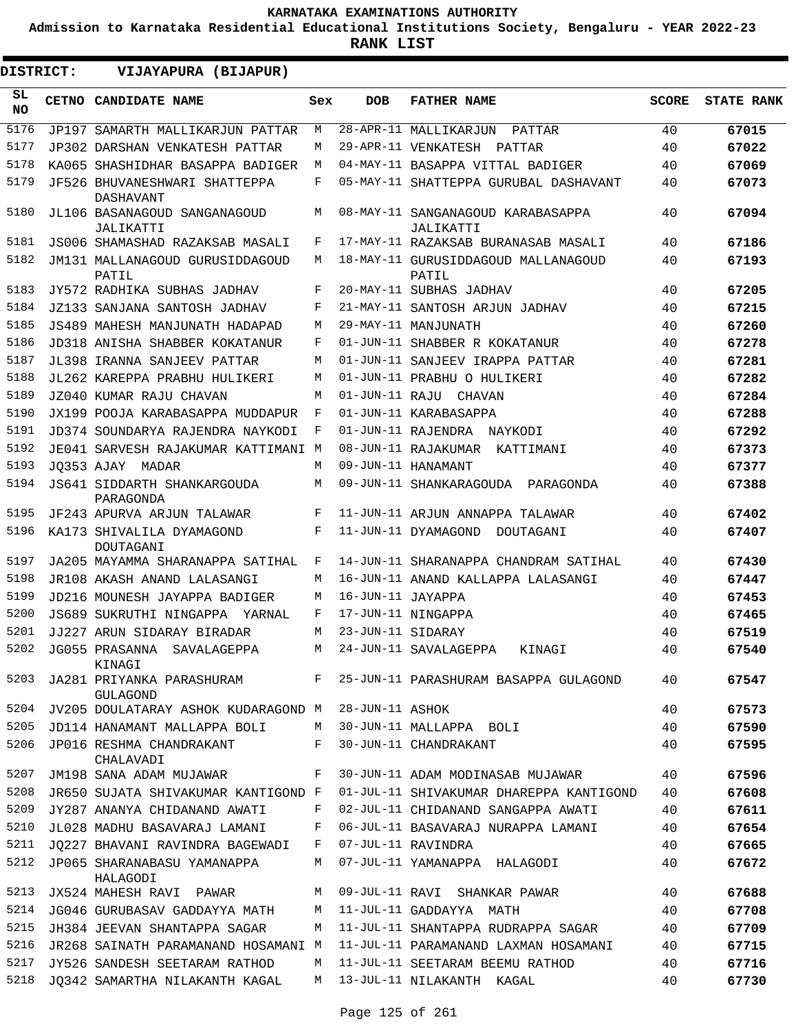**Admission to Karnataka Residential Educational Institutions Society, Bengaluru - YEAR 2022-23**

**RANK LIST**

ı

| <b>DISTRICT:</b> | VIJAYAPURA (BIJAPUR)                            |     |                   |                                                |              |                   |
|------------------|-------------------------------------------------|-----|-------------------|------------------------------------------------|--------------|-------------------|
| SL<br><b>NO</b>  | CETNO CANDIDATE NAME                            | Sex | <b>DOB</b>        | <b>FATHER NAME</b>                             | <b>SCORE</b> | <b>STATE RANK</b> |
| 5176             | JP197 SAMARTH MALLIKARJUN PATTAR                | М   |                   | 28-APR-11 MALLIKARJUN<br>PATTAR                | 40           | 67015             |
| 5177             | JP302 DARSHAN VENKATESH PATTAR                  | М   |                   | 29-APR-11 VENKATESH PATTAR                     | 40           | 67022             |
| 5178             | KA065 SHASHIDHAR BASAPPA BADIGER                | М   |                   | 04-MAY-11 BASAPPA VITTAL BADIGER               | 40           | 67069             |
| 5179             | JF526 BHUVANESHWARI SHATTEPPA<br>DASHAVANT      | F   |                   | 05-MAY-11 SHATTEPPA GURUBAL DASHAVANT          | 40           | 67073             |
| 5180             | JL106 BASANAGOUD SANGANAGOUD<br>JALIKATTI       | М   |                   | 08-MAY-11 SANGANAGOUD KARABASAPPA<br>JALIKATTI | 40           | 67094             |
| 5181             | JS006 SHAMASHAD RAZAKSAB MASALI                 | F   |                   | 17-MAY-11 RAZAKSAB BURANASAB MASALI            | 40           | 67186             |
| 5182             | JM131 MALLANAGOUD GURUSIDDAGOUD<br>PATIL        | М   |                   | 18-MAY-11 GURUSIDDAGOUD MALLANAGOUD<br>PATIL   | 40           | 67193             |
| 5183             | JY572 RADHIKA SUBHAS JADHAV                     | F   |                   | 20-MAY-11 SUBHAS JADHAV                        | 40           | 67205             |
| 5184             | JZ133 SANJANA SANTOSH JADHAV                    | F   |                   | 21-MAY-11 SANTOSH ARJUN JADHAV                 | 40           | 67215             |
| 5185             | JS489 MAHESH MANJUNATH HADAPAD                  | М   |                   | 29-MAY-11 MANJUNATH                            | 40           | 67260             |
| 5186             | JD318 ANISHA SHABBER KOKATANUR                  | F   |                   | 01-JUN-11 SHABBER R KOKATANUR                  | 40           | 67278             |
| 5187             | JL398 IRANNA SANJEEV PATTAR                     | М   |                   | 01-JUN-11 SANJEEV IRAPPA PATTAR                | 40           | 67281             |
| 5188             | JL262 KAREPPA PRABHU HULIKERI                   | M   |                   | 01-JUN-11 PRABHU O HULIKERI                    | 40           | 67282             |
| 5189             | JZ040 KUMAR RAJU CHAVAN                         | M   |                   | 01-JUN-11 RAJU CHAVAN                          | 40           | 67284             |
| 5190             | JX199 POOJA KARABASAPPA MUDDAPUR                | F   |                   | 01-JUN-11 KARABASAPPA                          | 40           | 67288             |
| 5191             | JD374 SOUNDARYA RAJENDRA NAYKODI                | F   |                   | 01-JUN-11 RAJENDRA NAYKODI                     | 40           | 67292             |
| 5192             | JE041 SARVESH RAJAKUMAR KATTIMANI M             |     |                   | 08-JUN-11 RAJAKUMAR KATTIMANI                  | 40           | 67373             |
| 5193             | JO353 AJAY MADAR                                | M   |                   | 09-JUN-11 HANAMANT                             | 40           | 67377             |
| 5194             | <b>JS641 SIDDARTH SHANKARGOUDA</b><br>PARAGONDA | М   |                   | 09-JUN-11 SHANKARAGOUDA PARAGONDA              | 40           | 67388             |
| 5195             | JF243 APURVA ARJUN TALAWAR                      | F   |                   | 11-JUN-11 ARJUN ANNAPPA TALAWAR                | 40           | 67402             |
| 5196             | KA173 SHIVALILA DYAMAGOND<br>DOUTAGANI          | F   |                   | 11-JUN-11 DYAMAGOND<br>DOUTAGANI               | 40           | 67407             |
| 5197             | JA205 MAYAMMA SHARANAPPA SATIHAL                | F   |                   | 14-JUN-11 SHARANAPPA CHANDRAM SATIHAL          | 40           | 67430             |
| 5198             | JR108 AKASH ANAND LALASANGI                     | М   |                   | 16-JUN-11 ANAND KALLAPPA LALASANGI             | 40           | 67447             |
| 5199             | JD216 MOUNESH JAYAPPA BADIGER                   | М   | 16-JUN-11 JAYAPPA |                                                | 40           | 67453             |
| 5200             | JS689 SUKRUTHI NINGAPPA YARNAL                  | F   |                   | 17-JUN-11 NINGAPPA                             | 40           | 67465             |
| 5201             | JJ227 ARUN SIDARAY BIRADAR                      | М   | 23-JUN-11 SIDARAY |                                                | 40           | 67519             |
| 5202             | JG055 PRASANNA SAVALAGEPPA<br>KINAGI            | М   |                   | 24-JUN-11 SAVALAGEPPA<br>KINAGI                | 40           | 67540             |
| 5203             | JA281 PRIYANKA PARASHURAM<br><b>GULAGOND</b>    | F   |                   | 25-JUN-11 PARASHURAM BASAPPA GULAGOND          | 40           | 67547             |
| 5204             | JV205 DOULATARAY ASHOK KUDARAGOND M             |     | 28-JUN-11 ASHOK   |                                                | 40           | 67573             |
| 5205             | JD114 HANAMANT MALLAPPA BOLI                    | M   |                   | 30-JUN-11 MALLAPPA BOLI                        | 40           | 67590             |
| 5206             | JP016 RESHMA CHANDRAKANT<br>CHALAVADI           | F   |                   | 30-JUN-11 CHANDRAKANT                          | 40           | 67595             |
| 5207             | JM198 SANA ADAM MUJAWAR                         | F   |                   | 30-JUN-11 ADAM MODINASAB MUJAWAR               | 40           | 67596             |
| 5208             | JR650 SUJATA SHIVAKUMAR KANTIGOND F             |     |                   | 01-JUL-11 SHIVAKUMAR DHAREPPA KANTIGOND        | 40           | 67608             |
| 5209             | JY287 ANANYA CHIDANAND AWATI                    | F   |                   | 02-JUL-11 CHIDANAND SANGAPPA AWATI             | 40           | 67611             |
| 5210             | JL028 MADHU BASAVARAJ LAMANI                    | F   |                   | 06-JUL-11 BASAVARAJ NURAPPA LAMANI             | 40           | 67654             |
| 5211             | JQ227 BHAVANI RAVINDRA BAGEWADI                 | F   |                   | 07-JUL-11 RAVINDRA                             | 40           | 67665             |
| 5212             | JP065 SHARANABASU YAMANAPPA<br>HALAGODI         | M   |                   | 07-JUL-11 YAMANAPPA HALAGODI                   | 40           | 67672             |
| 5213             | JX524 MAHESH RAVI PAWAR                         | M   |                   | 09-JUL-11 RAVI SHANKAR PAWAR                   | 40           | 67688             |
| 5214             | JG046 GURUBASAV GADDAYYA MATH                   | M   |                   | 11-JUL-11 GADDAYYA MATH                        | 40           | 67708             |
| 5215             | JH384 JEEVAN SHANTAPPA SAGAR                    | М   |                   | 11-JUL-11 SHANTAPPA RUDRAPPA SAGAR             | 40           | 67709             |
| 5216             | JR268 SAINATH PARAMANAND HOSAMANI M             |     |                   | 11-JUL-11 PARAMANAND LAXMAN HOSAMANI           | 40           | 67715             |
| 5217             | JY526 SANDESH SEETARAM RATHOD                   | M   |                   | 11-JUL-11 SEETARAM BEEMU RATHOD                | 40           | 67716             |
| 5218             | JQ342 SAMARTHA NILAKANTH KAGAL                  | M   |                   | 13-JUL-11 NILAKANTH KAGAL                      | 40           | 67730             |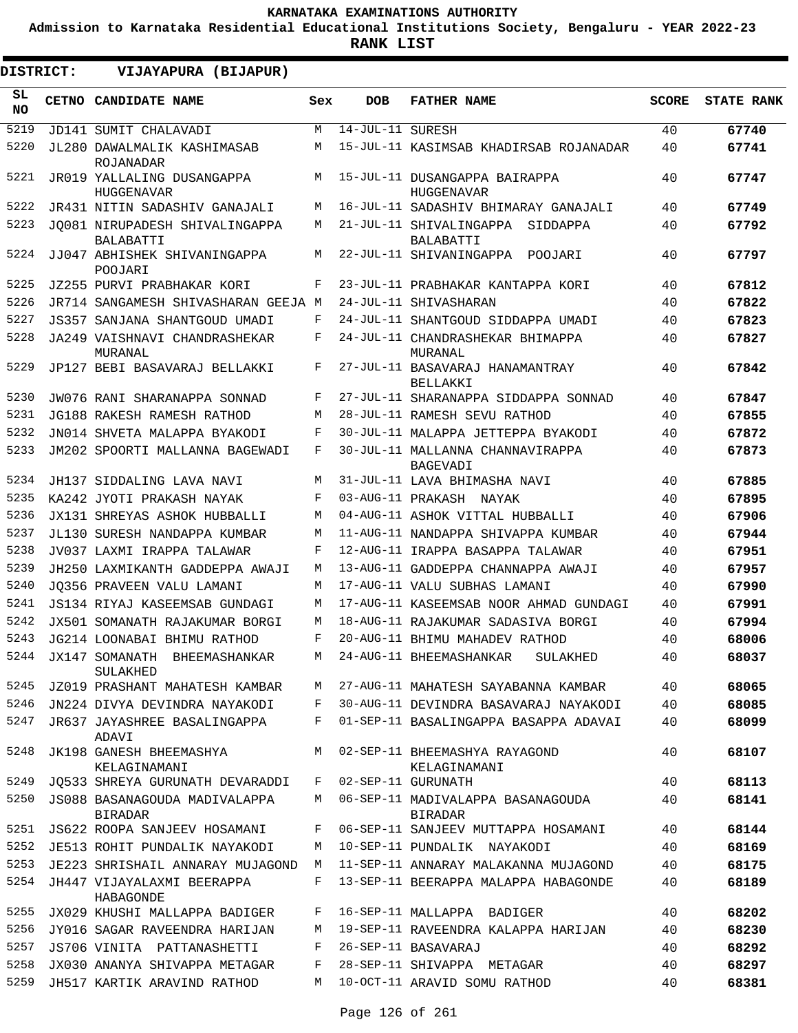**Admission to Karnataka Residential Educational Institutions Society, Bengaluru - YEAR 2022-23**

| DISTRICT:       | VIJAYAPURA (BIJAPUR)                               |     |                    |                                                     |              |                   |
|-----------------|----------------------------------------------------|-----|--------------------|-----------------------------------------------------|--------------|-------------------|
| SL<br><b>NO</b> | CETNO CANDIDATE NAME                               | Sex | <b>DOB</b>         | <b>FATHER NAME</b>                                  | <b>SCORE</b> | <b>STATE RANK</b> |
| 5219            | JD141 SUMIT CHALAVADI                              | М   | $14-JUL-11$ SURESH |                                                     | 40           | 67740             |
| 5220            | JL280 DAWALMALIK KASHIMASAB<br>ROJANADAR           | М   |                    | 15-JUL-11 KASIMSAB KHADIRSAB ROJANADAR              | 40           | 67741             |
| 5221            | JR019 YALLALING DUSANGAPPA<br><b>HUGGENAVAR</b>    | М   |                    | 15-JUL-11 DUSANGAPPA BAIRAPPA<br>HUGGENAVAR         | 40           | 67747             |
| 5222            | JR431 NITIN SADASHIV GANAJALI                      | M   |                    | 16-JUL-11 SADASHIV BHIMARAY GANAJALI                | 40           | 67749             |
| 5223            | JO081 NIRUPADESH SHIVALINGAPPA<br><b>BALABATTI</b> | М   |                    | 21-JUL-11 SHIVALINGAPPA<br>SIDDAPPA<br>BALABATTI    | 40           | 67792             |
| 5224            | JJ047 ABHISHEK SHIVANINGAPPA<br>POOJARI            | М   |                    | 22-JUL-11 SHIVANINGAPPA<br>POOJARI                  | 40           | 67797             |
| 5225            | JZ255 PURVI PRABHAKAR KORI                         | F   |                    | 23-JUL-11 PRABHAKAR KANTAPPA KORI                   | 40           | 67812             |
| 5226            | JR714 SANGAMESH SHIVASHARAN GEEJA M                |     |                    | 24-JUL-11 SHIVASHARAN                               | 40           | 67822             |
| 5227            | JS357 SANJANA SHANTGOUD UMADI                      | F   |                    | 24-JUL-11 SHANTGOUD SIDDAPPA UMADI                  | 40           | 67823             |
| 5228            | JA249 VAISHNAVI CHANDRASHEKAR<br>MURANAL           | F   |                    | 24-JUL-11 CHANDRASHEKAR BHIMAPPA<br>MURANAL         | 40           | 67827             |
| 5229            | JP127 BEBI BASAVARAJ BELLAKKI                      | F   |                    | 27-JUL-11 BASAVARAJ HANAMANTRAY<br>BELLAKKI         | 40           | 67842             |
| 5230            | JW076 RANI SHARANAPPA SONNAD                       | F   |                    | 27-JUL-11 SHARANAPPA SIDDAPPA SONNAD                | 40           | 67847             |
| 5231            | JG188 RAKESH RAMESH RATHOD                         | М   |                    | 28-JUL-11 RAMESH SEVU RATHOD                        | 40           | 67855             |
| 5232            | JN014 SHVETA MALAPPA BYAKODI                       | F   |                    | 30-JUL-11 MALAPPA JETTEPPA BYAKODI                  | 40           | 67872             |
| 5233            | JM202 SPOORTI MALLANNA BAGEWADI                    | F   |                    | 30-JUL-11 MALLANNA CHANNAVIRAPPA<br>BAGEVADI        | 40           | 67873             |
| 5234            | JH137 SIDDALING LAVA NAVI                          | М   |                    | 31-JUL-11 LAVA BHIMASHA NAVI                        | 40           | 67885             |
| 5235            | KA242 JYOTI PRAKASH NAYAK                          | F   | 03-AUG-11 PRAKASH  | NAYAK                                               | 40           | 67895             |
| 5236            | JX131 SHREYAS ASHOK HUBBALLI                       | М   |                    | 04-AUG-11 ASHOK VITTAL HUBBALLI                     | 40           | 67906             |
| 5237            | JL130 SURESH NANDAPPA KUMBAR                       | M   |                    | 11-AUG-11 NANDAPPA SHIVAPPA KUMBAR                  | 40           | 67944             |
| 5238            | JV037 LAXMI IRAPPA TALAWAR                         | F   |                    | 12-AUG-11 IRAPPA BASAPPA TALAWAR                    | 40           | 67951             |
| 5239            | JH250 LAXMIKANTH GADDEPPA AWAJI                    | М   |                    | 13-AUG-11 GADDEPPA CHANNAPPA AWAJI                  | 40           | 67957             |
| 5240            | JO356 PRAVEEN VALU LAMANI                          | М   |                    | 17-AUG-11 VALU SUBHAS LAMANI                        | 40           | 67990             |
| 5241            | JS134 RIYAJ KASEEMSAB GUNDAGI                      | М   |                    | 17-AUG-11 KASEEMSAB NOOR AHMAD GUNDAGI              | 40           | 67991             |
| 5242            | JX501 SOMANATH RAJAKUMAR BORGI                     | М   |                    | 18-AUG-11 RAJAKUMAR SADASIVA BORGI                  | 40           | 67994             |
| 5243            | JG214 LOONABAI BHIMU RATHOD                        | F   |                    | 20-AUG-11 BHIMU MAHADEV RATHOD                      | 40           | 68006             |
| 5244            | JX147 SOMANATH BHEEMASHANKAR<br>SULAKHED           | М   |                    | 24-AUG-11 BHEEMASHANKAR<br>SULAKHED                 | 40           | 68037             |
| 5245            | JZ019 PRASHANT MAHATESH KAMBAR                     | M   |                    | 27-AUG-11 MAHATESH SAYABANNA KAMBAR                 | 40           | 68065             |
| 5246            | JN224 DIVYA DEVINDRA NAYAKODI                      | F   |                    | 30-AUG-11 DEVINDRA BASAVARAJ NAYAKODI               | 40           | 68085             |
| 5247            | JR637 JAYASHREE BASALINGAPPA<br>ADAVI              | F   |                    | 01-SEP-11 BASALINGAPPA BASAPPA ADAVAI               | 40           | 68099             |
| 5248            | JK198 GANESH BHEEMASHYA<br>KELAGINAMANI            | M   |                    | 02-SEP-11 BHEEMASHYA RAYAGOND<br>KELAGINAMANI       | 40           | 68107             |
| 5249            | JO533 SHREYA GURUNATH DEVARADDI                    | F   |                    | 02-SEP-11 GURUNATH                                  | 40           | 68113             |
| 5250            | JS088 BASANAGOUDA MADIVALAPPA<br><b>BIRADAR</b>    | М   |                    | 06-SEP-11 MADIVALAPPA BASANAGOUDA<br><b>BIRADAR</b> | 40           | 68141             |
| 5251            | JS622 ROOPA SANJEEV HOSAMANI                       | F   |                    | 06-SEP-11 SANJEEV MUTTAPPA HOSAMANI                 | 40           | 68144             |
| 5252            | JE513 ROHIT PUNDALIK NAYAKODI                      | М   |                    | 10-SEP-11 PUNDALIK NAYAKODI                         | 40           | 68169             |
| 5253            | JE223 SHRISHAIL ANNARAY MUJAGOND                   | М   |                    | 11-SEP-11 ANNARAY MALAKANNA MUJAGOND                | 40           | 68175             |
| 5254            | JH447 VIJAYALAXMI BEERAPPA<br>HABAGONDE            | F   |                    | 13-SEP-11 BEERAPPA MALAPPA HABAGONDE                | 40           | 68189             |
| 5255            | JX029 KHUSHI MALLAPPA BADIGER                      | F   |                    | 16-SEP-11 MALLAPPA BADIGER                          | 40           | 68202             |
| 5256            | JY016 SAGAR RAVEENDRA HARIJAN                      | М   |                    | 19-SEP-11 RAVEENDRA KALAPPA HARIJAN                 | 40           | 68230             |
| 5257            | JS706 VINITA PATTANASHETTI                         | F   |                    | 26-SEP-11 BASAVARAJ                                 | 40           | 68292             |
| 5258            | JX030 ANANYA SHIVAPPA METAGAR                      | F   |                    | 28-SEP-11 SHIVAPPA METAGAR                          | 40           | 68297             |
| 5259            | JH517 KARTIK ARAVIND RATHOD                        | М   |                    | 10-OCT-11 ARAVID SOMU RATHOD                        | 40           | 68381             |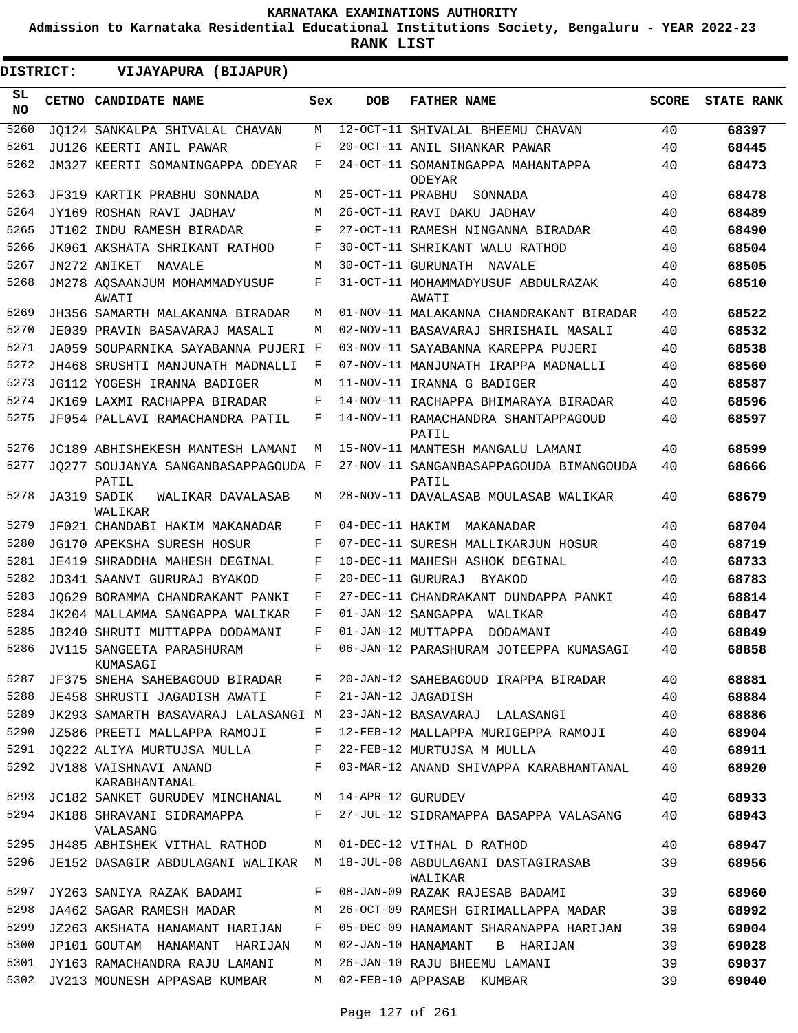**Admission to Karnataka Residential Educational Institutions Society, Bengaluru - YEAR 2022-23**

**RANK LIST**

| DISTRICT:       |  | VIJAYAPURA (BIJAPUR)                         |                |                   |                                                    |              |                   |
|-----------------|--|----------------------------------------------|----------------|-------------------|----------------------------------------------------|--------------|-------------------|
| SL<br><b>NO</b> |  | <b>CETNO CANDIDATE NAME</b>                  | Sex            | <b>DOB</b>        | <b>FATHER NAME</b>                                 | <b>SCORE</b> | <b>STATE RANK</b> |
| 5260            |  | JO124 SANKALPA SHIVALAL CHAVAN               | М              |                   | 12-OCT-11 SHIVALAL BHEEMU CHAVAN                   | 40           | 68397             |
| 5261            |  | JU126 KEERTI ANIL PAWAR                      | F              |                   | 20-OCT-11 ANIL SHANKAR PAWAR                       | 40           | 68445             |
| 5262            |  | JM327 KEERTI SOMANINGAPPA ODEYAR             | F              |                   | 24-OCT-11 SOMANINGAPPA MAHANTAPPA<br><b>ODEYAR</b> | 40           | 68473             |
| 5263            |  | JF319 KARTIK PRABHU SONNADA                  | М              | 25-OCT-11 PRABHU  | SONNADA                                            | 40           | 68478             |
| 5264            |  | JY169 ROSHAN RAVI JADHAV                     | М              |                   | 26-OCT-11 RAVI DAKU JADHAV                         | 40           | 68489             |
| 5265            |  | JT102 INDU RAMESH BIRADAR                    | F              |                   | 27-OCT-11 RAMESH NINGANNA BIRADAR                  | 40           | 68490             |
| 5266            |  | JK061 AKSHATA SHRIKANT RATHOD                | F              |                   | 30-OCT-11 SHRIKANT WALU RATHOD                     | 40           | 68504             |
| 5267            |  | JN272 ANIKET<br>NAVALE                       | М              |                   | 30-OCT-11 GURUNATH<br>NAVALE                       | 40           | 68505             |
| 5268            |  | JM278 AQSAANJUM MOHAMMADYUSUF<br>AWATI       | F              |                   | 31-OCT-11 MOHAMMADYUSUF ABDULRAZAK<br>AWATI        | 40           | 68510             |
| 5269            |  | JH356 SAMARTH MALAKANNA BIRADAR              | М              |                   | 01-NOV-11 MALAKANNA CHANDRAKANT BIRADAR            | 40           | 68522             |
| 5270            |  | JE039 PRAVIN BASAVARAJ MASALI                | М              |                   | 02-NOV-11 BASAVARAJ SHRISHAIL MASALI               | 40           | 68532             |
| 5271            |  | JA059 SOUPARNIKA SAYABANNA PUJERI F          |                |                   | 03-NOV-11 SAYABANNA KAREPPA PUJERI                 | 40           | 68538             |
| 5272            |  | JH468 SRUSHTI MANJUNATH MADNALLI             | F              |                   | 07-NOV-11 MANJUNATH IRAPPA MADNALLI                | 40           | 68560             |
| 5273            |  | JG112 YOGESH IRANNA BADIGER                  | M              |                   | 11-NOV-11 IRANNA G BADIGER                         | 40           | 68587             |
| 5274            |  | JK169 LAXMI RACHAPPA BIRADAR                 | F              |                   | 14-NOV-11 RACHAPPA BHIMARAYA BIRADAR               | 40           | 68596             |
| 5275            |  | JF054 PALLAVI RAMACHANDRA PATIL              | F              |                   | 14-NOV-11 RAMACHANDRA SHANTAPPAGOUD<br>PATIL       | 40           | 68597             |
| 5276            |  | JC189 ABHISHEKESH MANTESH LAMANI             | М              |                   | 15-NOV-11 MANTESH MANGALU LAMANI                   | 40           | 68599             |
| 5277            |  | JO277 SOUJANYA SANGANBASAPPAGOUDA F<br>PATIL |                |                   | 27-NOV-11 SANGANBASAPPAGOUDA BIMANGOUDA<br>PATIL   | 40           | 68666             |
| 5278            |  | JA319 SADIK<br>WALIKAR DAVALASAB<br>WALIKAR  | М              |                   | 28-NOV-11 DAVALASAB MOULASAB WALIKAR               | 40           | 68679             |
| 5279            |  | JF021 CHANDABI HAKIM MAKANADAR               | F              |                   | 04-DEC-11 HAKIM MAKANADAR                          | 40           | 68704             |
| 5280            |  | JG170 APEKSHA SURESH HOSUR                   | F              |                   | 07-DEC-11 SURESH MALLIKARJUN HOSUR                 | 40           | 68719             |
| 5281            |  | JE419 SHRADDHA MAHESH DEGINAL                | F              |                   | 10-DEC-11 MAHESH ASHOK DEGINAL                     | 40           | 68733             |
| 5282            |  | JD341 SAANVI GURURAJ BYAKOD                  | F              | 20-DEC-11 GURURAJ | BYAKOD                                             | 40           | 68783             |
| 5283            |  | JO629 BORAMMA CHANDRAKANT PANKI              | F              |                   | 27-DEC-11 CHANDRAKANT DUNDAPPA PANKI               | 40           | 68814             |
| 5284            |  | JK204 MALLAMMA SANGAPPA WALIKAR              | F              |                   | 01-JAN-12 SANGAPPA<br>WALIKAR                      | 40           | 68847             |
| 5285            |  | JB240 SHRUTI MUTTAPPA DODAMANI               | F              |                   | 01-JAN-12 MUTTAPPA<br>DODAMANI                     | 40           | 68849             |
| 5286            |  | JV115 SANGEETA PARASHURAM<br>KUMASAGI        | $\mathbf{F}^-$ |                   | 06-JAN-12 PARASHURAM JOTEEPPA KUMASAGI             | 40           | 68858             |
| 5287            |  | JF375 SNEHA SAHEBAGOUD BIRADAR               | F              |                   | 20-JAN-12 SAHEBAGOUD IRAPPA BIRADAR                | 40           | 68881             |
| 5288            |  | JE458 SHRUSTI JAGADISH AWATI                 | F              |                   | 21-JAN-12 JAGADISH                                 | 40           | 68884             |
| 5289            |  | JK293 SAMARTH BASAVARAJ LALASANGI M          |                |                   | 23-JAN-12 BASAVARAJ LALASANGI                      | 40           | 68886             |
| 5290            |  | JZ586 PREETI MALLAPPA RAMOJI                 | F              |                   | 12-FEB-12 MALLAPPA MURIGEPPA RAMOJI                | 40           | 68904             |
| 5291            |  | JQ222 ALIYA MURTUJSA MULLA                   | F              |                   | 22-FEB-12 MURTUJSA M MULLA                         | 40           | 68911             |
| 5292            |  | JV188 VAISHNAVI ANAND<br>KARABHANTANAL       | F              |                   | 03-MAR-12 ANAND SHIVAPPA KARABHANTANAL             | 40           | 68920             |
| 5293            |  | JC182 SANKET GURUDEV MINCHANAL               | M              | 14-APR-12 GURUDEV |                                                    | 40           | 68933             |
| 5294            |  | JK188 SHRAVANI SIDRAMAPPA<br>VALASANG        | F              |                   | 27-JUL-12 SIDRAMAPPA BASAPPA VALASANG              | 40           | 68943             |
| 5295            |  | JH485 ABHISHEK VITHAL RATHOD                 | М              |                   | 01-DEC-12 VITHAL D RATHOD                          | 40           | 68947             |
| 5296            |  | JE152 DASAGIR ABDULAGANI WALIKAR M           |                |                   | 18-JUL-08 ABDULAGANI DASTAGIRASAB<br>WALIKAR       | 39           | 68956             |
| 5297            |  | JY263 SANIYA RAZAK BADAMI                    | F              |                   | 08-JAN-09 RAZAK RAJESAB BADAMI                     | 39           | 68960             |
| 5298            |  | JA462 SAGAR RAMESH MADAR                     | М              |                   | 26-OCT-09 RAMESH GIRIMALLAPPA MADAR                | 39           | 68992             |
| 5299            |  | JZ263 AKSHATA HANAMANT HARIJAN               | F              |                   | 05-DEC-09 HANAMANT SHARANAPPA HARIJAN              | 39           | 69004             |
| 5300            |  | JP101 GOUTAM HANAMANT HARIJAN                | M              |                   | 02-JAN-10 HANAMANT<br>B HARIJAN                    | 39           | 69028             |
| 5301            |  | JY163 RAMACHANDRA RAJU LAMANI                | М              |                   | 26-JAN-10 RAJU BHEEMU LAMANI                       | 39           | 69037             |
| 5302            |  | JV213 MOUNESH APPASAB KUMBAR                 | M              |                   | 02-FEB-10 APPASAB KUMBAR                           | 39           | 69040             |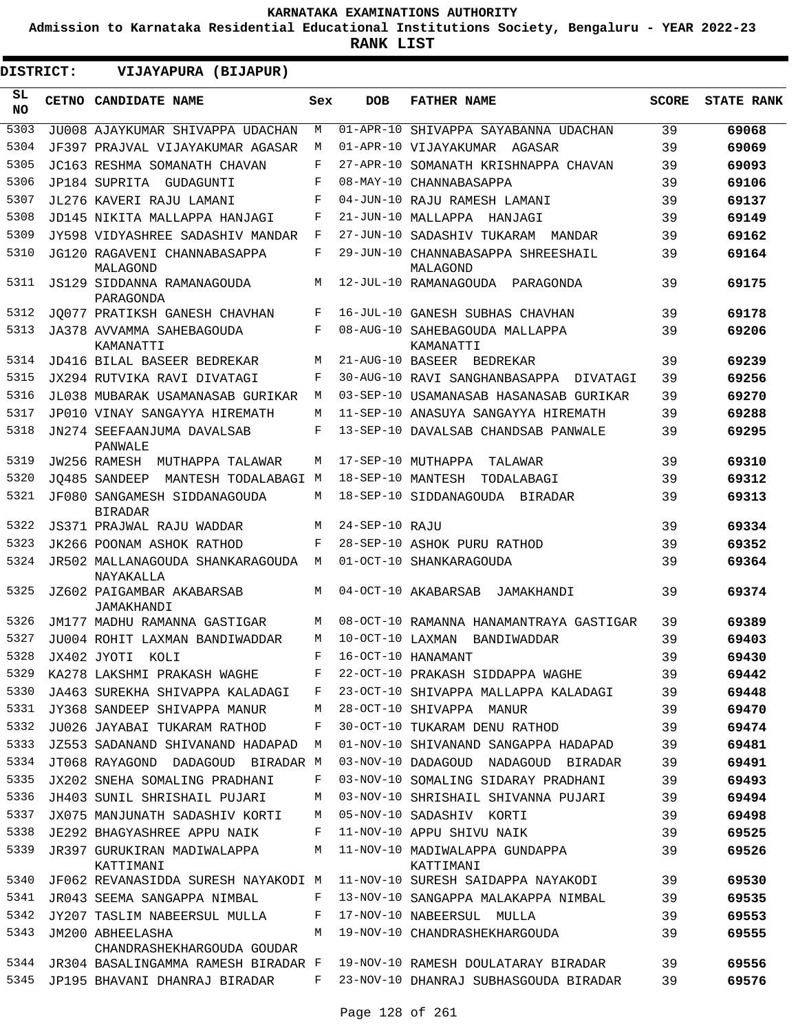**Admission to Karnataka Residential Educational Institutions Society, Bengaluru - YEAR 2022-23**

| DISTRICT:       | VIJAYAPURA (BIJAPUR)                           |     |                    |                                                |              |                   |
|-----------------|------------------------------------------------|-----|--------------------|------------------------------------------------|--------------|-------------------|
| SL<br><b>NO</b> | CETNO CANDIDATE NAME                           | Sex | <b>DOB</b>         | <b>FATHER NAME</b>                             | <b>SCORE</b> | <b>STATE RANK</b> |
| 5303            | JU008 AJAYKUMAR SHIVAPPA UDACHAN               | M   | 01-APR-10          | SHIVAPPA SAYABANNA UDACHAN                     | 39           | 69068             |
| 5304            | JF397 PRAJVAL VIJAYAKUMAR AGASAR               | M   |                    | 01-APR-10 VIJAYAKUMAR AGASAR                   | 39           | 69069             |
| 5305            | JC163 RESHMA SOMANATH CHAVAN                   | F   |                    | 27-APR-10 SOMANATH KRISHNAPPA CHAVAN           | 39           | 69093             |
| 5306            | JP184 SUPRITA<br>GUDAGUNTI                     | F   |                    | 08-MAY-10 CHANNABASAPPA                        | 39           | 69106             |
| 5307            | JL276 KAVERI RAJU LAMANI                       | F   |                    | 04-JUN-10 RAJU RAMESH LAMANI                   | 39           | 69137             |
| 5308            | JD145 NIKITA MALLAPPA HANJAGI                  | F   |                    | 21-JUN-10 MALLAPPA<br>HANJAGI                  | 39           | 69149             |
| 5309            | JY598 VIDYASHREE SADASHIV MANDAR               | F   | 27-JUN-10          | SADASHIV TUKARAM MANDAR                        | 39           | 69162             |
| 5310            | JG120 RAGAVENI CHANNABASAPPA<br>MALAGOND       | F   |                    | 29-JUN-10 CHANNABASAPPA SHREESHAIL<br>MALAGOND | 39           | 69164             |
| 5311            | JS129 SIDDANNA RAMANAGOUDA<br>PARAGONDA        | M   |                    | 12-JUL-10 RAMANAGOUDA PARAGONDA                | 39           | 69175             |
| 5312            | JO077 PRATIKSH GANESH CHAVHAN                  | F   |                    | 16-JUL-10 GANESH SUBHAS CHAVHAN                | 39           | 69178             |
| 5313            | JA378 AVVAMMA SAHEBAGOUDA<br>KAMANATTI         | F   |                    | 08-AUG-10 SAHEBAGOUDA MALLAPPA<br>KAMANATTI    | 39           | 69206             |
| 5314            | JD416 BILAL BASEER BEDREKAR                    | M   |                    | 21-AUG-10 BASEER BEDREKAR                      | 39           | 69239             |
| 5315            | JX294 RUTVIKA RAVI DIVATAGI                    | F   |                    | 30-AUG-10 RAVI SANGHANBASAPPA<br>DIVATAGI      | 39           | 69256             |
| 5316            | JL038 MUBARAK USAMANASAB GURIKAR               | M   |                    | 03-SEP-10 USAMANASAB HASANASAB GURIKAR         | 39           | 69270             |
| 5317            | JP010 VINAY SANGAYYA HIREMATH                  | M   |                    | 11-SEP-10 ANASUYA SANGAYYA HIREMATH            | 39           | 69288             |
| 5318            | JN274 SEEFAANJUMA DAVALSAB<br>PANWALE          | F   |                    | 13-SEP-10 DAVALSAB CHANDSAB PANWALE            | 39           | 69295             |
| 5319            | JW256 RAMESH<br>MUTHAPPA TALAWAR               | М   |                    | 17-SEP-10 MUTHAPPA<br>TALAWAR                  | 39           | 69310             |
| 5320            | JO485 SANDEEP MANTESH TODALABAGI M             |     | 18-SEP-10 MANTESH  | TODALABAGI                                     | 39           | 69312             |
| 5321            | JF080 SANGAMESH SIDDANAGOUDA<br><b>BIRADAR</b> | М   |                    | 18-SEP-10 SIDDANAGOUDA BIRADAR                 | 39           | 69313             |
| 5322            | JS371 PRAJWAL RAJU WADDAR                      | M   | 24-SEP-10 RAJU     |                                                | 39           | 69334             |
| 5323            | JK266 POONAM ASHOK RATHOD                      | F   |                    | 28-SEP-10 ASHOK PURU RATHOD                    | 39           | 69352             |
| 5324            | JR502 MALLANAGOUDA SHANKARAGOUDA<br>NAYAKALLA  | М   |                    | 01-OCT-10 SHANKARAGOUDA                        | 39           | 69364             |
| 5325            | JZ602 PAIGAMBAR AKABARSAB<br>JAMAKHANDI        | М   |                    | 04-OCT-10 AKABARSAB<br>JAMAKHANDI              | 39           | 69374             |
| 5326            | JM177 MADHU RAMANNA GASTIGAR                   | М   |                    | 08-OCT-10 RAMANNA HANAMANTRAYA GASTIGAR        | 39           | 69389             |
| 5327            | JU004 ROHIT LAXMAN BANDIWADDAR                 | М   | 10-OCT-10 LAXMAN   | BANDIWADDAR                                    | 39           | 69403             |
| 5328            | JX402 JYOTI KOLI                               | F   | 16-OCT-10 HANAMANT |                                                | 39           | 69430             |
| 5329            | KA278 LAKSHMI PRAKASH WAGHE                    | F   |                    | 22-OCT-10 PRAKASH SIDDAPPA WAGHE               | 39           | 69442             |
| 5330            | JA463 SUREKHA SHIVAPPA KALADAGI                | F   |                    | 23-OCT-10 SHIVAPPA MALLAPPA KALADAGI           | 39           | 69448             |
| 5331            | JY368 SANDEEP SHIVAPPA MANUR                   | M   |                    | 28-OCT-10 SHIVAPPA MANUR                       | 39           | 69470             |
| 5332            | JU026 JAYABAI TUKARAM RATHOD                   | F   |                    | 30-OCT-10 TUKARAM DENU RATHOD                  | 39           | 69474             |
| 5333            | JZ553 SADANAND SHIVANAND HADAPAD               | M   |                    | 01-NOV-10 SHIVANAND SANGAPPA HADAPAD           | 39           | 69481             |
| 5334            | JT068 RAYAGOND DADAGOUD BIRADAR M              |     |                    | 03-NOV-10 DADAGOUD NADAGOUD BIRADAR            | 39           | 69491             |
| 5335            | <b>JX202 SNEHA SOMALING PRADHANI</b>           | F   |                    | 03-NOV-10 SOMALING SIDARAY PRADHANI            | 39           | 69493             |
| 5336            | JH403 SUNIL SHRISHAIL PUJARI                   | M   |                    | 03-NOV-10 SHRISHAIL SHIVANNA PUJARI            | 39           | 69494             |
| 5337            | JX075 MANJUNATH SADASHIV KORTI                 | М   |                    | 05-NOV-10 SADASHIV KORTI                       | 39           | 69498             |
| 5338            | JE292 BHAGYASHREE APPU NAIK                    | F   |                    | 11-NOV-10 APPU SHIVU NAIK                      | 39           | 69525             |
| 5339            | JR397 GURUKIRAN MADIWALAPPA<br>KATTIMANI       | M   |                    | 11-NOV-10 MADIWALAPPA GUNDAPPA<br>KATTIMANI    | 39           | 69526             |
| 5340            | JF062 REVANASIDDA SURESH NAYAKODI M            |     |                    | 11-NOV-10 SURESH SAIDAPPA NAYAKODI             | 39           | 69530             |
| 5341            | JR043 SEEMA SANGAPPA NIMBAL                    | F   |                    | 13-NOV-10 SANGAPPA MALAKAPPA NIMBAL            | 39           | 69535             |
| 5342            | JY207 TASLIM NABEERSUL MULLA                   | F   |                    | 17-NOV-10 NABEERSUL MULLA                      | 39           | 69553             |
| 5343            | JM200 ABHEELASHA<br>CHANDRASHEKHARGOUDA GOUDAR | М   |                    | 19-NOV-10 CHANDRASHEKHARGOUDA                  | 39           | 69555             |
| 5344            | JR304 BASALINGAMMA RAMESH BIRADAR F            |     |                    | 19-NOV-10 RAMESH DOULATARAY BIRADAR            | 39           | 69556             |
| 5345            | JP195 BHAVANI DHANRAJ BIRADAR                  | F   |                    | 23-NOV-10 DHANRAJ SUBHASGOUDA BIRADAR          | 39           | 69576             |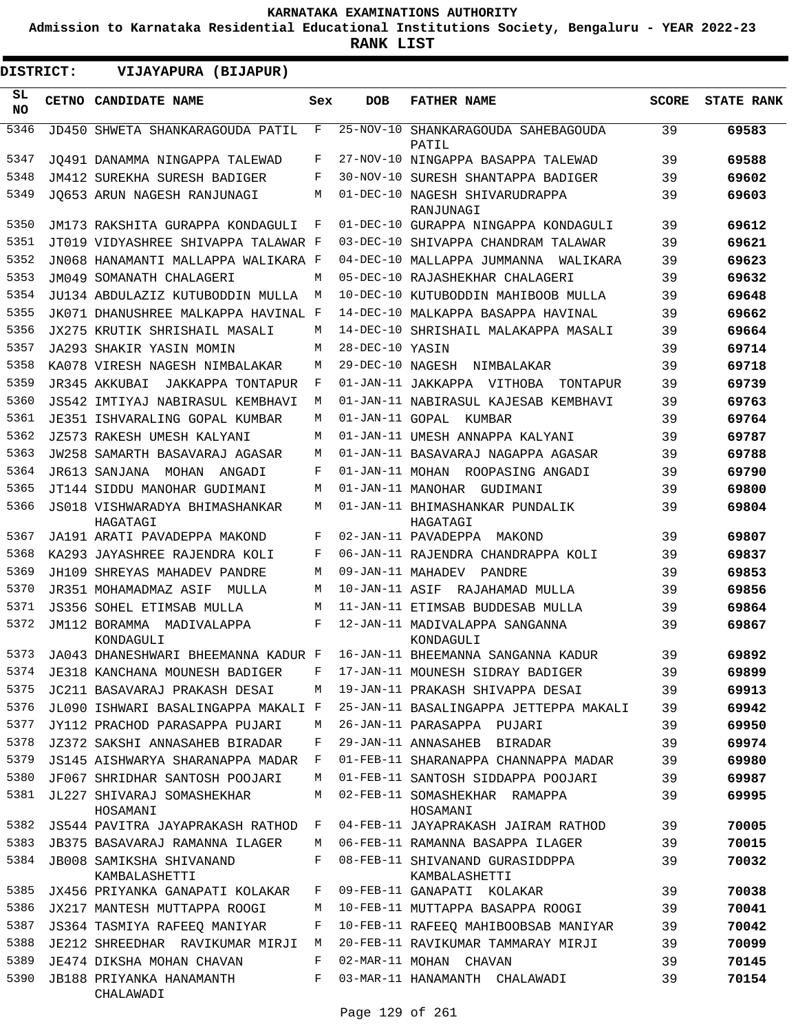**Admission to Karnataka Residential Educational Institutions Society, Bengaluru - YEAR 2022-23**

**RANK LIST**

 $\blacksquare$ 

| <b>DISTRICT:</b> | VIJAYAPURA (BIJAPUR)                       |              |                   |                                                  |              |                   |
|------------------|--------------------------------------------|--------------|-------------------|--------------------------------------------------|--------------|-------------------|
| SL<br>NO.        | CETNO CANDIDATE NAME                       | Sex          | <b>DOB</b>        | <b>FATHER NAME</b>                               | <b>SCORE</b> | <b>STATE RANK</b> |
| 5346             | JD450 SHWETA SHANKARAGOUDA PATIL           | F            |                   | 25-NOV-10 SHANKARAGOUDA SAHEBAGOUDA<br>PATIL     | 39           | 69583             |
| 5347             | JO491 DANAMMA NINGAPPA TALEWAD             | F            |                   | 27-NOV-10 NINGAPPA BASAPPA TALEWAD               | 39           | 69588             |
| 5348             | JM412 SUREKHA SURESH BADIGER               | F            |                   | 30-NOV-10 SURESH SHANTAPPA BADIGER               | 39           | 69602             |
| 5349             | JO653 ARUN NAGESH RANJUNAGI                | M            |                   | 01-DEC-10 NAGESH SHIVARUDRAPPA<br>RANJUNAGI      | 39           | 69603             |
| 5350             | JM173 RAKSHITA GURAPPA KONDAGULI           | F            |                   | 01-DEC-10 GURAPPA NINGAPPA KONDAGULI             | 39           | 69612             |
| 5351             | JT019 VIDYASHREE SHIVAPPA TALAWAR F        |              |                   | 03-DEC-10 SHIVAPPA CHANDRAM TALAWAR              | 39           | 69621             |
| 5352             | JN068 HANAMANTI MALLAPPA WALIKARA F        |              |                   | 04-DEC-10 MALLAPPA JUMMANNA<br>WALIKARA          | 39           | 69623             |
| 5353             | JM049 SOMANATH CHALAGERI                   | М            |                   | 05-DEC-10 RAJASHEKHAR CHALAGERI                  | 39           | 69632             |
| 5354             | JU134 ABDULAZIZ KUTUBODDIN MULLA           | M            |                   | 10-DEC-10 KUTUBODDIN MAHIBOOB MULLA              | 39           | 69648             |
| 5355             | JK071 DHANUSHREE MALKAPPA HAVINAL F        |              |                   | 14-DEC-10 MALKAPPA BASAPPA HAVINAL               | 39           | 69662             |
| 5356             | JX275 KRUTIK SHRISHAIL MASALI              | М            |                   | 14-DEC-10 SHRISHAIL MALAKAPPA MASALI             | 39           | 69664             |
| 5357             | JA293 SHAKIR YASIN MOMIN                   | М            | 28-DEC-10 YASIN   |                                                  | 39           | 69714             |
| 5358             | KA078 VIRESH NAGESH NIMBALAKAR             | М            | 29-DEC-10 NAGESH  | NIMBALAKAR                                       | 39           | 69718             |
| 5359             | JR345 AKKUBAI<br>JAKKAPPA TONTAPUR         | F            |                   | 01-JAN-11 JAKKAPPA VITHOBA<br>TONTAPUR           | 39           | 69739             |
| 5360             | JS542 IMTIYAJ NABIRASUL KEMBHAVI           | М            |                   | 01-JAN-11 NABIRASUL KAJESAB KEMBHAVI             | 39           | 69763             |
| 5361             | JE351 ISHVARALING GOPAL KUMBAR             | М            | 01-JAN-11 GOPAL   | KUMBAR                                           | 39           | 69764             |
| 5362             | JZ573 RAKESH UMESH KALYANI                 | М            |                   | 01-JAN-11 UMESH ANNAPPA KALYANI                  | 39           | 69787             |
| 5363             | JW258 SAMARTH BASAVARAJ AGASAR             | М            |                   | 01-JAN-11 BASAVARAJ NAGAPPA AGASAR               | 39           | 69788             |
| 5364             | JR613 SANJANA<br>MOHAN<br>ANGADI           | F            |                   | 01-JAN-11 MOHAN ROOPASING ANGADI                 | 39           | 69790             |
| 5365             | JT144 SIDDU MANOHAR GUDIMANI               | М            |                   | 01-JAN-11 MANOHAR GUDIMANI                       | 39           | 69800             |
| 5366             | JS018 VISHWARADYA BHIMASHANKAR<br>HAGATAGI | М            |                   | 01-JAN-11 BHIMASHANKAR PUNDALIK<br>HAGATAGI      | 39           | 69804             |
| 5367             | JA191 ARATI PAVADEPPA MAKOND               | F            |                   | 02-JAN-11 PAVADEPPA MAKOND                       | 39           | 69807             |
| 5368             | KA293 JAYASHREE RAJENDRA KOLI              | F            |                   | 06-JAN-11 RAJENDRA CHANDRAPPA KOLI               | 39           | 69837             |
| 5369             | JH109 SHREYAS MAHADEV PANDRE               | М            | 09-JAN-11 MAHADEV | PANDRE                                           | 39           | 69853             |
| 5370             | JR351 MOHAMADMAZ ASIF<br>MULLA             | M            | 10-JAN-11 ASIF    | RAJAHAMAD MULLA                                  | 39           | 69856             |
| 5371             | JS356 SOHEL ETIMSAB MULLA                  | М            |                   | 11-JAN-11 ETIMSAB BUDDESAB MULLA                 | 39           | 69864             |
| 5372             | JM112 BORAMMA MADIVALAPPA<br>KONDAGULI     | F            |                   | 12-JAN-11 MADIVALAPPA SANGANNA<br>KONDAGULI      | 39           | 69867             |
| 5373             | JA043 DHANESHWARI BHEEMANNA KADUR F        |              |                   | 16-JAN-11 BHEEMANNA SANGANNA KADUR               | 39           | 69892             |
| 5374             | JE318 KANCHANA MOUNESH BADIGER             | F            |                   | 17-JAN-11 MOUNESH SIDRAY BADIGER                 | 39           | 69899             |
| 5375             | JC211 BASAVARAJ PRAKASH DESAI              | М            |                   | 19-JAN-11 PRAKASH SHIVAPPA DESAI                 | 39           | 69913             |
| 5376             | JL090 ISHWARI BASALINGAPPA MAKALI F        |              |                   | 25-JAN-11 BASALINGAPPA JETTEPPA MAKALI           | 39           | 69942             |
| 5377             | JY112 PRACHOD PARASAPPA PUJARI             | М            |                   | 26-JAN-11 PARASAPPA PUJARI                       | 39           | 69950             |
| 5378             | JZ372 SAKSHI ANNASAHEB BIRADAR             | F            |                   | 29-JAN-11 ANNASAHEB BIRADAR                      | 39           | 69974             |
| 5379             | JS145 AISHWARYA SHARANAPPA MADAR           | F            |                   | 01-FEB-11 SHARANAPPA CHANNAPPA MADAR             | 39           | 69980             |
| 5380             | JF067 SHRIDHAR SANTOSH POOJARI             | М            |                   | 01-FEB-11 SANTOSH SIDDAPPA POOJARI               | 39           | 69987             |
| 5381             | JL227 SHIVARAJ SOMASHEKHAR<br>HOSAMANI     | М            |                   | 02-FEB-11 SOMASHEKHAR RAMAPPA<br>HOSAMANI        | 39           | 69995             |
| 5382             | JS544 PAVITRA JAYAPRAKASH RATHOD           | $\mathbf{F}$ |                   | 04-FEB-11 JAYAPRAKASH JAIRAM RATHOD              | 39           | 70005             |
| 5383             | JB375 BASAVARAJ RAMANNA ILAGER             | М            |                   | 06-FEB-11 RAMANNA BASAPPA ILAGER                 | 39           | 70015             |
| 5384             | JB008 SAMIKSHA SHIVANAND<br>KAMBALASHETTI  | F            |                   | 08-FEB-11 SHIVANAND GURASIDDPPA<br>KAMBALASHETTI | 39           | 70032             |
| 5385             | JX456 PRIYANKA GANAPATI KOLAKAR            | F            |                   | 09-FEB-11 GANAPATI KOLAKAR                       | 39           | 70038             |
| 5386             | JX217 MANTESH MUTTAPPA ROOGI               | М            |                   | 10-FEB-11 MUTTAPPA BASAPPA ROOGI                 | 39           | 70041             |
| 5387             | JS364 TASMIYA RAFEEO MANIYAR               | F            |                   | 10-FEB-11 RAFEEQ MAHIBOOBSAB MANIYAR             | 39           | 70042             |
| 5388             | JE212 SHREEDHAR RAVIKUMAR MIRJI            | М            |                   | 20-FEB-11 RAVIKUMAR TAMMARAY MIRJI               | 39           | 70099             |
| 5389             | JE474 DIKSHA MOHAN CHAVAN                  | F            |                   | 02-MAR-11 MOHAN CHAVAN                           | 39           | 70145             |
| 5390             | JB188 PRIYANKA HANAMANTH<br>CHALAWADI      | F            |                   | 03-MAR-11 HANAMANTH CHALAWADI                    | 39           | 70154             |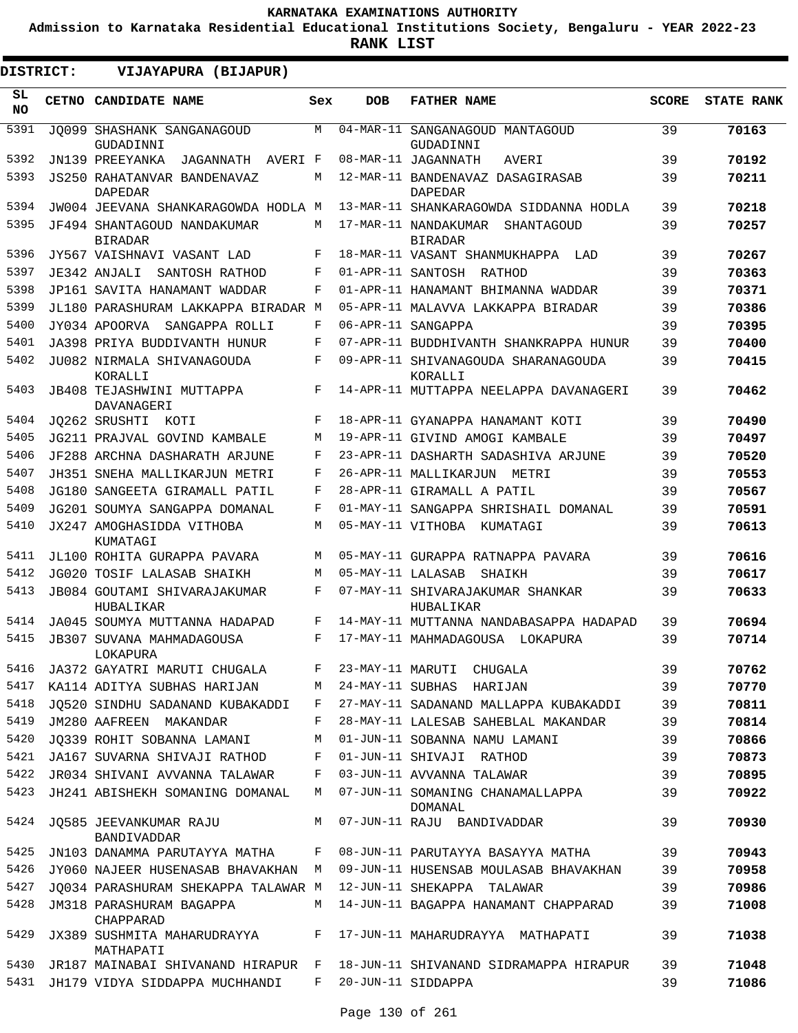**Admission to Karnataka Residential Educational Institutions Society, Bengaluru - YEAR 2022-23**

**RANK LIST**

ı

| DISTRICT:        | VIJAYAPURA (BIJAPUR)                                 |     |                   |                                                      |              |                   |
|------------------|------------------------------------------------------|-----|-------------------|------------------------------------------------------|--------------|-------------------|
| SL.<br><b>NO</b> | CETNO CANDIDATE NAME                                 | Sex | <b>DOB</b>        | <b>FATHER NAME</b>                                   | <b>SCORE</b> | <b>STATE RANK</b> |
| 5391             | JO099 SHASHANK SANGANAGOUD<br>GUDADINNI              | M   | 04-MAR-11         | SANGANAGOUD MANTAGOUD<br>GUDADINNI                   | 39           | 70163             |
| 5392             | JN139 PREEYANKA<br>JAGANNATH AVERI F                 |     |                   | 08-MAR-11 JAGANNATH<br><b>AVERI</b>                  | 39           | 70192             |
| 5393             | <b>JS250 RAHATANVAR BANDENAVAZ</b><br><b>DAPEDAR</b> | М   |                   | 12-MAR-11 BANDENAVAZ DASAGIRASAB<br><b>DAPEDAR</b>   | 39           | 70211             |
| 5394             | JW004 JEEVANA SHANKARAGOWDA HODLA M                  |     |                   | 13-MAR-11 SHANKARAGOWDA SIDDANNA HODLA               | 39           | 70218             |
| 5395             | JF494 SHANTAGOUD NANDAKUMAR<br><b>BIRADAR</b>        | M   |                   | 17-MAR-11 NANDAKUMAR<br>SHANTAGOUD<br><b>BIRADAR</b> | 39           | 70257             |
| 5396             | JY567 VAISHNAVI VASANT LAD                           | F   |                   | 18-MAR-11 VASANT SHANMUKHAPPA<br>LAD                 | 39           | 70267             |
| 5397             | JE342 ANJALI<br>SANTOSH RATHOD                       | F   |                   | 01-APR-11 SANTOSH RATHOD                             | 39           | 70363             |
| 5398             | JP161 SAVITA HANAMANT WADDAR                         | F   |                   | 01-APR-11 HANAMANT BHIMANNA WADDAR                   | 39           | 70371             |
| 5399             | JL180 PARASHURAM LAKKAPPA BIRADAR M                  |     |                   | 05-APR-11 MALAVVA LAKKAPPA BIRADAR                   | 39           | 70386             |
| 5400             | JY034 APOORVA<br>SANGAPPA ROLLI                      | F   |                   | 06-APR-11 SANGAPPA                                   | 39           | 70395             |
| 5401             | JA398 PRIYA BUDDIVANTH HUNUR                         | F   |                   | 07-APR-11 BUDDHIVANTH SHANKRAPPA HUNUR               | 39           | 70400             |
| 5402             | JU082 NIRMALA SHIVANAGOUDA<br>KORALLI                | F   |                   | 09-APR-11 SHIVANAGOUDA SHARANAGOUDA<br>KORALLI       | 39           | 70415             |
| 5403             | JB408 TEJASHWINI MUTTAPPA<br>DAVANAGERI              | F   |                   | 14-APR-11 MUTTAPPA NEELAPPA DAVANAGERI               | 39           | 70462             |
| 5404             | JO262 SRUSHTI KOTI                                   | F   |                   | 18-APR-11 GYANAPPA HANAMANT KOTI                     | 39           | 70490             |
| 5405             | JG211 PRAJVAL GOVIND KAMBALE                         | M   |                   | 19-APR-11 GIVIND AMOGI KAMBALE                       | 39           | 70497             |
| 5406             | JF288 ARCHNA DASHARATH ARJUNE                        | F   |                   | 23-APR-11 DASHARTH SADASHIVA ARJUNE                  | 39           | 70520             |
| 5407             | JH351 SNEHA MALLIKARJUN METRI                        | F   |                   | 26-APR-11 MALLIKARJUN<br>METRI                       | 39           | 70553             |
| 5408             | JG180 SANGEETA GIRAMALL PATIL                        | F   |                   | 28-APR-11 GIRAMALL A PATIL                           | 39           | 70567             |
| 5409             | JG201 SOUMYA SANGAPPA DOMANAL                        | F   |                   | 01-MAY-11 SANGAPPA SHRISHAIL DOMANAL                 | 39           | 70591             |
| 5410             | JX247 AMOGHASIDDA VITHOBA<br>KUMATAGI                | M   |                   | 05-MAY-11 VITHOBA<br>KUMATAGI                        | 39           | 70613             |
| 5411             | JL100 ROHITA GURAPPA PAVARA                          | M   |                   | 05-MAY-11 GURAPPA RATNAPPA PAVARA                    | 39           | 70616             |
| 5412             | JG020 TOSIF LALASAB SHAIKH                           | M   | 05-MAY-11 LALASAB | SHAIKH                                               | 39           | 70617             |
| 5413             | JB084 GOUTAMI SHIVARAJAKUMAR<br>HUBALIKAR            | F   |                   | 07-MAY-11 SHIVARAJAKUMAR SHANKAR<br>HUBALIKAR        | 39           | 70633             |
| 5414             | JA045 SOUMYA MUTTANNA HADAPAD                        | F   |                   | 14-MAY-11 MUTTANNA NANDABASAPPA HADAPAD              | 39           | 70694             |
| 5415             | JB307 SUVANA MAHMADAGOUSA<br>LOKAPURA                | F   |                   | 17-MAY-11 MAHMADAGOUSA LOKAPURA                      | 39           | 70714             |
| 5416             | JA372 GAYATRI MARUTI CHUGALA                         | F   |                   | 23-MAY-11 MARUTI CHUGALA                             | 39           | 70762             |
| 5417             | KA114 ADITYA SUBHAS HARIJAN                          | М   |                   | 24-MAY-11 SUBHAS HARIJAN                             | 39           | 70770             |
| 5418             | JO520 SINDHU SADANAND KUBAKADDI                      | F   |                   | 27-MAY-11 SADANAND MALLAPPA KUBAKADDI                | 39           | 70811             |
| 5419             | JM280 AAFREEN MAKANDAR                               | F   |                   | 28-MAY-11 LALESAB SAHEBLAL MAKANDAR                  | 39           | 70814             |
| 5420             | JO339 ROHIT SOBANNA LAMANI                           | М   |                   | 01-JUN-11 SOBANNA NAMU LAMANI                        | 39           | 70866             |
| 5421             | JA167 SUVARNA SHIVAJI RATHOD                         | F   |                   | 01-JUN-11 SHIVAJI RATHOD                             | 39           | 70873             |
| 5422             | JR034 SHIVANI AVVANNA TALAWAR                        | F   |                   | 03-JUN-11 AVVANNA TALAWAR                            | 39           | 70895             |
| 5423             | JH241 ABISHEKH SOMANING DOMANAL                      | M   |                   | 07-JUN-11 SOMANING CHANAMALLAPPA<br>DOMANAL          | 39           | 70922             |
| 5424             | JQ585 JEEVANKUMAR RAJU<br>BANDIVADDAR                | M   |                   | 07-JUN-11 RAJU BANDIVADDAR                           | 39           | 70930             |
| 5425             | JN103 DANAMMA PARUTAYYA MATHA                        | F   |                   | 08-JUN-11 PARUTAYYA BASAYYA MATHA                    | 39           | 70943             |
| 5426             | JY060 NAJEER HUSENASAB BHAVAKHAN                     | M   |                   | 09-JUN-11 HUSENSAB MOULASAB BHAVAKHAN                | 39           | 70958             |
| 5427             | JQ034 PARASHURAM SHEKAPPA TALAWAR M                  |     |                   | 12-JUN-11 SHEKAPPA TALAWAR                           | 39           | 70986             |
| 5428             | JM318 PARASHURAM BAGAPPA<br>CHAPPARAD                | М   |                   | 14-JUN-11 BAGAPPA HANAMANT CHAPPARAD                 | 39           | 71008             |
| 5429             | JX389 SUSHMITA MAHARUDRAYYA<br>MATHAPATI             | F   |                   | 17-JUN-11 MAHARUDRAYYA MATHAPATI                     | 39           | 71038             |
| 5430             | JR187 MAINABAI SHIVANAND HIRAPUR F                   |     |                   | 18-JUN-11 SHIVANAND SIDRAMAPPA HIRAPUR               | 39           | 71048             |
| 5431             | JH179 VIDYA SIDDAPPA MUCHHANDI                       | F   |                   | 20-JUN-11 SIDDAPPA                                   | 39           | 71086             |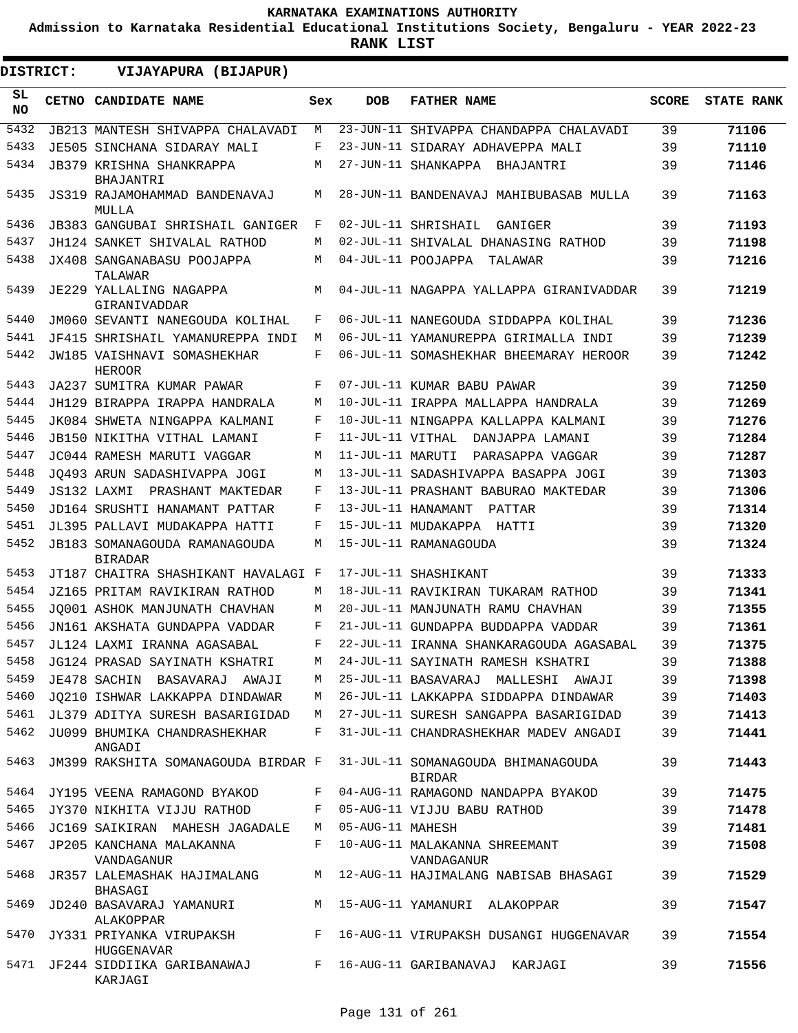**Admission to Karnataka Residential Educational Institutions Society, Bengaluru - YEAR 2022-23**

**RANK LIST**

 $\blacksquare$ 

| <b>DISTRICT:</b> | VIJAYAPURA (BIJAPUR)                                |     |                  |                                                     |              |                   |
|------------------|-----------------------------------------------------|-----|------------------|-----------------------------------------------------|--------------|-------------------|
| SL<br>NO.        | CETNO CANDIDATE NAME                                | Sex | <b>DOB</b>       | <b>FATHER NAME</b>                                  | <b>SCORE</b> | <b>STATE RANK</b> |
| 5432             | <b>JB213 MANTESH SHIVAPPA CHALAVADI</b>             | М   |                  | 23-JUN-11 SHIVAPPA CHANDAPPA CHALAVADI              | 39           | 71106             |
| 5433             | JE505 SINCHANA SIDARAY MALI                         | F   |                  | 23-JUN-11 SIDARAY ADHAVEPPA MALI                    | 39           | 71110             |
| 5434             | JB379 KRISHNA SHANKRAPPA<br>BHAJANTRI               | М   |                  | 27-JUN-11 SHANKAPPA BHAJANTRI                       | 39           | 71146             |
| 5435             | JS319 RAJAMOHAMMAD BANDENAVAJ<br>MULLA              | M   |                  | 28-JUN-11 BANDENAVAJ MAHIBUBASAB MULLA              | 39           | 71163             |
| 5436             | <b>JB383 GANGUBAI SHRISHAIL GANIGER</b>             | F   |                  | 02-JUL-11 SHRISHAIL<br>GANIGER                      | 39           | 71193             |
| 5437             | JH124 SANKET SHIVALAL RATHOD                        | М   |                  | 02-JUL-11 SHIVALAL DHANASING RATHOD                 | 39           | 71198             |
| 5438             | JX408 SANGANABASU POOJAPPA<br>TALAWAR               | М   |                  | 04-JUL-11 POOJAPPA<br>TALAWAR                       | 39           | 71216             |
| 5439             | JE229 YALLALING NAGAPPA<br>GIRANIVADDAR             | M   |                  | 04-JUL-11 NAGAPPA YALLAPPA GIRANIVADDAR             | 39           | 71219             |
| 5440             | JM060 SEVANTI NANEGOUDA KOLIHAL                     | F   |                  | 06-JUL-11 NANEGOUDA SIDDAPPA KOLIHAL                | 39           | 71236             |
| 5441             | JF415 SHRISHAIL YAMANUREPPA INDI                    | М   |                  | 06-JUL-11 YAMANUREPPA GIRIMALLA INDI                | 39           | 71239             |
| 5442             | <b>JW185 VAISHNAVI SOMASHEKHAR</b><br><b>HEROOR</b> | F   |                  | 06-JUL-11 SOMASHEKHAR BHEEMARAY HEROOR              | 39           | 71242             |
| 5443             | JA237 SUMITRA KUMAR PAWAR                           | F   |                  | 07-JUL-11 KUMAR BABU PAWAR                          | 39           | 71250             |
| 5444             | JH129 BIRAPPA IRAPPA HANDRALA                       | М   |                  | 10-JUL-11 IRAPPA MALLAPPA HANDRALA                  | 39           | 71269             |
| 5445             | JK084 SHWETA NINGAPPA KALMANI                       | F   |                  | 10-JUL-11 NINGAPPA KALLAPPA KALMANI                 | 39           | 71276             |
| 5446             | JB150 NIKITHA VITHAL LAMANI                         | F   |                  | 11-JUL-11 VITHAL DANJAPPA LAMANI                    | 39           | 71284             |
| 5447             | JC044 RAMESH MARUTI VAGGAR                          | M   | 11-JUL-11 MARUTI | PARASAPPA VAGGAR                                    | 39           | 71287             |
| 5448             | JO493 ARUN SADASHIVAPPA JOGI                        | M   |                  | 13-JUL-11 SADASHIVAPPA BASAPPA JOGI                 | 39           | 71303             |
| 5449             | JS132 LAXMI PRASHANT MAKTEDAR                       | F   |                  | 13-JUL-11 PRASHANT BABURAO MAKTEDAR                 | 39           | 71306             |
| 5450             | JD164 SRUSHTI HANAMANT PATTAR                       | F   |                  | 13-JUL-11 HANAMANT<br>PATTAR                        | 39           | 71314             |
| 5451             | JL395 PALLAVI MUDAKAPPA HATTI                       | F   |                  | 15-JUL-11 MUDAKAPPA HATTI                           | 39           | 71320             |
| 5452             | JB183 SOMANAGOUDA RAMANAGOUDA<br><b>BIRADAR</b>     | М   |                  | 15-JUL-11 RAMANAGOUDA                               | 39           | 71324             |
| 5453             | JT187 CHAITRA SHASHIKANT HAVALAGI F                 |     |                  | 17-JUL-11 SHASHIKANT                                | 39           | 71333             |
| 5454             | JZ165 PRITAM RAVIKIRAN RATHOD                       | М   |                  | 18-JUL-11 RAVIKIRAN TUKARAM RATHOD                  | 39           | 71341             |
| 5455             | JO001 ASHOK MANJUNATH CHAVHAN                       | M   |                  | 20-JUL-11 MANJUNATH RAMU CHAVHAN                    | 39           | 71355             |
| 5456             | JN161 AKSHATA GUNDAPPA VADDAR                       | F   |                  | 21-JUL-11 GUNDAPPA BUDDAPPA VADDAR                  | 39           | 71361             |
| 5457             | JL124 LAXMI IRANNA AGASABAL                         | F   |                  | 22-JUL-11 IRANNA SHANKARAGOUDA AGASABAL             | 39           | 71375             |
| 5458             | JG124 PRASAD SAYINATH KSHATRI                       | М   |                  | 24-JUL-11 SAYINATH RAMESH KSHATRI                   | 39           | 71388             |
| 5459             | JE478 SACHIN BASAVARAJ AWAJI                        | M   |                  | 25-JUL-11 BASAVARAJ MALLESHI AWAJI                  | 39           | 71398             |
| 5460             | JO210 ISHWAR LAKKAPPA DINDAWAR                      | M   |                  | 26-JUL-11 LAKKAPPA SIDDAPPA DINDAWAR                | 39           | 71403             |
| 5461             | JL379 ADITYA SURESH BASARIGIDAD                     | М   |                  | 27-JUL-11 SURESH SANGAPPA BASARIGIDAD               | 39           | 71413             |
| 5462             | JU099 BHUMIKA CHANDRASHEKHAR<br>ANGADI              | F   |                  | 31-JUL-11 CHANDRASHEKHAR MADEV ANGADI               | 39           | 71441             |
| 5463             | JM399 RAKSHITA SOMANAGOUDA BIRDAR F                 |     |                  | 31-JUL-11 SOMANAGOUDA BHIMANAGOUDA<br><b>BIRDAR</b> | 39           | 71443             |
| 5464             | JY195 VEENA RAMAGOND BYAKOD                         | F   |                  | 04-AUG-11 RAMAGOND NANDAPPA BYAKOD                  | 39           | 71475             |
| 5465             | JY370 NIKHITA VIJJU RATHOD                          | F   |                  | 05-AUG-11 VIJJU BABU RATHOD                         | 39           | 71478             |
| 5466             | JC169 SAIKIRAN MAHESH JAGADALE                      | M   | 05-AUG-11 MAHESH |                                                     | 39           | 71481             |
| 5467             | JP205 KANCHANA MALAKANNA<br>VANDAGANUR              | F   |                  | 10-AUG-11 MALAKANNA SHREEMANT<br>VANDAGANUR         | 39           | 71508             |
| 5468             | JR357 LALEMASHAK HAJIMALANG<br>BHASAGI              | M   |                  | 12-AUG-11 HAJIMALANG NABISAB BHASAGI                | 39           | 71529             |
| 5469             | JD240 BASAVARAJ YAMANURI<br>ALAKOPPAR               | M   |                  | 15-AUG-11 YAMANURI ALAKOPPAR                        | 39           | 71547             |
| 5470             | JY331 PRIYANKA VIRUPAKSH<br>HUGGENAVAR              | F   |                  | 16-AUG-11 VIRUPAKSH DUSANGI HUGGENAVAR              | 39           | 71554             |
| 5471             | JF244 SIDDIIKA GARIBANAWAJ<br>KARJAGI               | F   |                  | 16-AUG-11 GARIBANAVAJ KARJAGI                       | 39           | 71556             |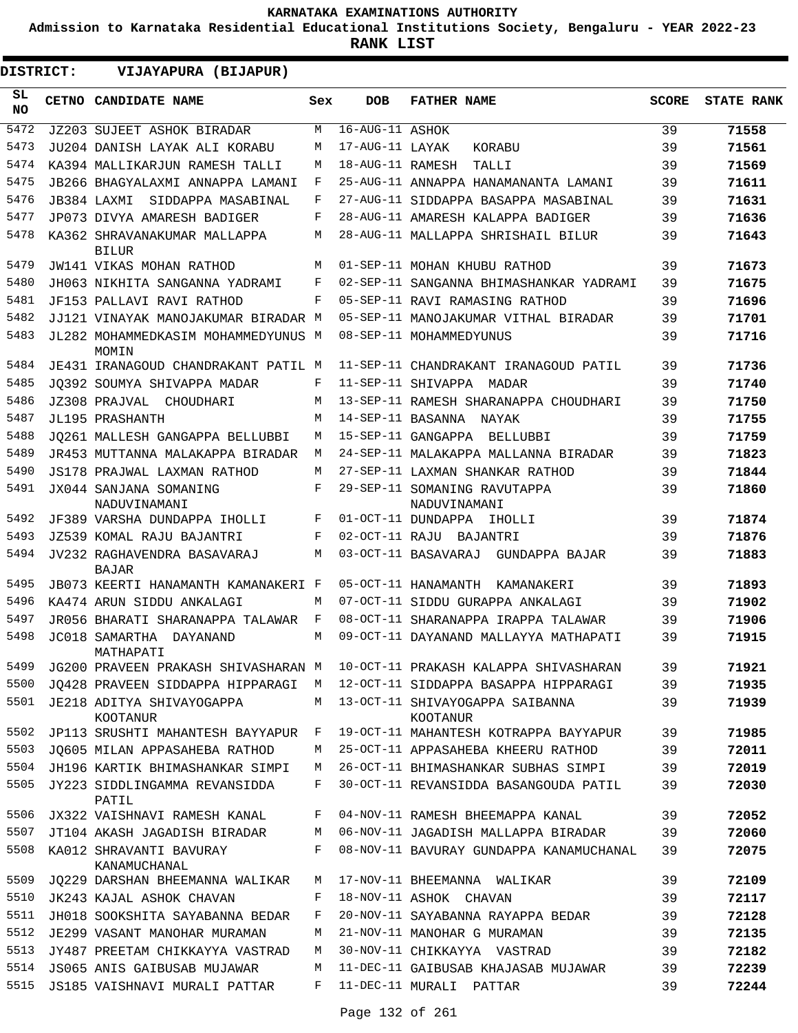**Admission to Karnataka Residential Educational Institutions Society, Bengaluru - YEAR 2022-23**

| DISTRICT:       | VIJAYAPURA (BIJAPUR)                         |     |                   |                                                    |              |                   |
|-----------------|----------------------------------------------|-----|-------------------|----------------------------------------------------|--------------|-------------------|
| SL<br><b>NO</b> | CETNO CANDIDATE NAME                         | Sex | <b>DOB</b>        | <b>FATHER NAME</b>                                 | <b>SCORE</b> | <b>STATE RANK</b> |
| 5472            | <b>JZ203 SUJEET ASHOK BIRADAR</b>            | M   | 16-AUG-11 ASHOK   |                                                    | 39           | 71558             |
| 5473            | JU204 DANISH LAYAK ALI KORABU                | М   | 17-AUG-11 LAYAK   | KORABU                                             | 39           | 71561             |
| 5474            | KA394 MALLIKARJUN RAMESH TALLI               | М   | 18-AUG-11 RAMESH  | TALLI                                              | 39           | 71569             |
| 5475            | JB266 BHAGYALAXMI ANNAPPA LAMANI             | F   |                   | 25-AUG-11 ANNAPPA HANAMANANTA LAMANI               | 39           | 71611             |
| 5476            | JB384 LAXMT<br>SIDDAPPA MASABINAL            | F   |                   | 27-AUG-11 SIDDAPPA BASAPPA MASABINAL               | 39           | 71631             |
| 5477            | JP073 DIVYA AMARESH BADIGER                  | F   |                   | 28-AUG-11 AMARESH KALAPPA BADIGER                  | 39           | 71636             |
| 5478            | KA362 SHRAVANAKUMAR MALLAPPA<br><b>BILUR</b> | М   |                   | 28-AUG-11 MALLAPPA SHRISHAIL BILUR                 | 39           | 71643             |
| 5479            | <b>JW141 VIKAS MOHAN RATHOD</b>              | М   |                   | 01-SEP-11 MOHAN KHUBU RATHOD                       | 39           | 71673             |
| 5480            | JH063 NIKHITA SANGANNA YADRAMI               | F   |                   | 02-SEP-11 SANGANNA BHIMASHANKAR YADRAMI            | 39           | 71675             |
| 5481            | JF153 PALLAVI RAVI RATHOD                    | F   |                   | 05-SEP-11 RAVI RAMASING RATHOD                     | 39           | 71696             |
| 5482            | JJ121 VINAYAK MANOJAKUMAR BIRADAR M          |     |                   | 05-SEP-11 MANOJAKUMAR VITHAL BIRADAR               | 39           | 71701             |
| 5483            | JL282 MOHAMMEDKASIM MOHAMMEDYUNUS M<br>MOMIN |     |                   | 08-SEP-11 MOHAMMEDYUNUS                            | 39           | 71716             |
| 5484            | JE431 IRANAGOUD CHANDRAKANT PATIL M          |     |                   | 11-SEP-11 CHANDRAKANT IRANAGOUD PATIL              | 39           | 71736             |
| 5485            | JO392 SOUMYA SHIVAPPA MADAR                  | F   |                   | 11-SEP-11 SHIVAPPA MADAR                           | 39           | 71740             |
| 5486            | JZ308 PRAJVAL CHOUDHARI                      | М   |                   | 13-SEP-11 RAMESH SHARANAPPA CHOUDHARI              | 39           | 71750             |
| 5487            | JL195 PRASHANTH                              | M   | 14-SEP-11 BASANNA | NAYAK                                              | 39           | 71755             |
| 5488            | JO261 MALLESH GANGAPPA BELLUBBI              | М   |                   | 15-SEP-11 GANGAPPA BELLUBBI                        | 39           | 71759             |
| 5489            | JR453 MUTTANNA MALAKAPPA BIRADAR             | M   |                   | 24-SEP-11 MALAKAPPA MALLANNA BIRADAR               | 39           | 71823             |
| 5490            | JS178 PRAJWAL LAXMAN RATHOD                  | M   |                   | 27-SEP-11 LAXMAN SHANKAR RATHOD                    | 39           | 71844             |
| 5491            | JX044 SANJANA SOMANING<br>NADUVINAMANI       | F   |                   | 29-SEP-11 SOMANING RAVUTAPPA<br>NADUVINAMANI       | 39           | 71860             |
| 5492            | JF389 VARSHA DUNDAPPA IHOLLI                 | F   |                   | 01-OCT-11 DUNDAPPA<br>IHOLLI                       | 39           | 71874             |
| 5493            | JZ539 KOMAL RAJU BAJANTRI                    | F   |                   | 02-OCT-11 RAJU BAJANTRI                            | 39           | 71876             |
| 5494            | JV232 RAGHAVENDRA BASAVARAJ<br>BAJAR         | М   |                   | 03-OCT-11 BASAVARAJ GUNDAPPA BAJAR                 | 39           | 71883             |
| 5495            | JB073 KEERTI HANAMANTH KAMANAKERI F          |     |                   | 05-OCT-11 HANAMANTH<br>KAMANAKERI                  | 39           | 71893             |
| 5496            | KA474 ARUN SIDDU ANKALAGI                    | М   |                   | 07-OCT-11 SIDDU GURAPPA ANKALAGI                   | 39           | 71902             |
| 5497            | JR056 BHARATI SHARANAPPA TALAWAR             | F   |                   | 08-OCT-11 SHARANAPPA IRAPPA TALAWAR                | 39           | 71906             |
| 5498            | JC018 SAMARTHA DAYANAND<br>MATHAPATI         | М   |                   | 09-OCT-11 DAYANAND MALLAYYA MATHAPATI              | 39           | 71915             |
| 5499            | JG200 PRAVEEN PRAKASH SHIVASHARAN M          |     |                   | 10-OCT-11 PRAKASH KALAPPA SHIVASHARAN              | 39           | 71921             |
| 5500            | JQ428 PRAVEEN SIDDAPPA HIPPARAGI             | М   |                   | 12-OCT-11 SIDDAPPA BASAPPA HIPPARAGI               | 39           | 71935             |
| 5501            | JE218 ADITYA SHIVAYOGAPPA<br>KOOTANUR        | М   |                   | 13-OCT-11 SHIVAYOGAPPA SAIBANNA<br><b>KOOTANUR</b> | 39           | 71939             |
| 5502            | JP113 SRUSHTI MAHANTESH BAYYAPUR             | F   |                   | 19-OCT-11 MAHANTESH KOTRAPPA BAYYAPUR              | 39           | 71985             |
| 5503            | JO605 MILAN APPASAHEBA RATHOD                | М   |                   | 25-OCT-11 APPASAHEBA KHEERU RATHOD                 | 39           | 72011             |
| 5504            | JH196 KARTIK BHIMASHANKAR SIMPI              | М   |                   | 26-OCT-11 BHIMASHANKAR SUBHAS SIMPI                | 39           | 72019             |
| 5505            | JY223 SIDDLINGAMMA REVANSIDDA<br>PATIL       | F   |                   | 30-OCT-11 REVANSIDDA BASANGOUDA PATIL              | 39           | 72030             |
| 5506            | JX322 VAISHNAVI RAMESH KANAL                 | F   |                   | 04-NOV-11 RAMESH BHEEMAPPA KANAL                   | 39           | 72052             |
| 5507            | JT104 AKASH JAGADISH BIRADAR                 | М   |                   | 06-NOV-11 JAGADISH MALLAPPA BIRADAR                | 39           | 72060             |
| 5508            | KA012 SHRAVANTI BAVURAY<br>KANAMUCHANAL      | F   |                   | 08-NOV-11 BAVURAY GUNDAPPA KANAMUCHANAL            | 39           | 72075             |
| 5509            | JQ229 DARSHAN BHEEMANNA WALIKAR              | М   |                   | 17-NOV-11 BHEEMANNA WALIKAR                        | 39           | 72109             |
| 5510            | JK243 KAJAL ASHOK CHAVAN                     | F   |                   | 18-NOV-11 ASHOK CHAVAN                             | 39           | 72117             |
| 5511            | JH018 SOOKSHITA SAYABANNA BEDAR              | F   |                   | 20-NOV-11 SAYABANNA RAYAPPA BEDAR                  | 39           | 72128             |
| 5512            | JE299 VASANT MANOHAR MURAMAN                 | М   |                   | 21-NOV-11 MANOHAR G MURAMAN                        | 39           | 72135             |
| 5513            | JY487 PREETAM CHIKKAYYA VASTRAD              | М   |                   | 30-NOV-11 CHIKKAYYA VASTRAD                        | 39           | 72182             |
| 5514            | JS065 ANIS GAIBUSAB MUJAWAR                  | М   |                   | 11-DEC-11 GAIBUSAB KHAJASAB MUJAWAR                | 39           | 72239             |
| 5515            | JS185 VAISHNAVI MURALI PATTAR                | F   |                   | 11-DEC-11 MURALI PATTAR                            | 39           | 72244             |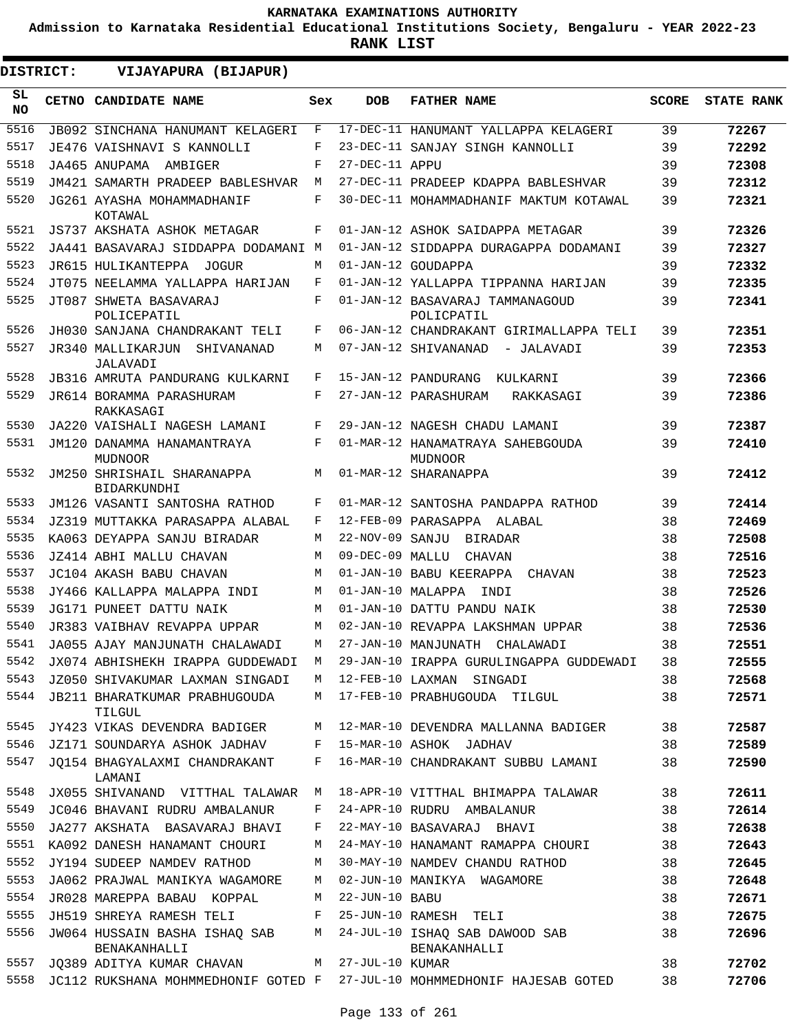**Admission to Karnataka Residential Educational Institutions Society, Bengaluru - YEAR 2022-23**

**RANK LIST**

| DISTRICT:        | VIJAYAPURA (BIJAPUR)                                                     |     |                   |                                                    |              |                   |
|------------------|--------------------------------------------------------------------------|-----|-------------------|----------------------------------------------------|--------------|-------------------|
| SL.<br><b>NO</b> | CETNO CANDIDATE NAME                                                     | Sex | <b>DOB</b>        | <b>FATHER NAME</b>                                 | <b>SCORE</b> | <b>STATE RANK</b> |
| 5516             | <b>JB092 SINCHANA HANUMANT KELAGERI</b>                                  | F   |                   | 17-DEC-11 HANUMANT YALLAPPA KELAGERI               | 39           | 72267             |
| 5517             | JE476 VAISHNAVI S KANNOLLI                                               | F   |                   | 23-DEC-11 SANJAY SINGH KANNOLLI                    | 39           | 72292             |
| 5518             | JA465 ANUPAMA AMBIGER                                                    | F   | 27-DEC-11 APPU    |                                                    | 39           | 72308             |
| 5519             | JM421 SAMARTH PRADEEP BABLESHVAR                                         | М   |                   | 27-DEC-11 PRADEEP KDAPPA BABLESHVAR                | 39           | 72312             |
| 5520             | JG261 AYASHA MOHAMMADHANIF<br>KOTAWAL                                    | F   |                   | 30-DEC-11 MOHAMMADHANIF MAKTUM KOTAWAL             | 39           | 72321             |
| 5521             | JS737 AKSHATA ASHOK METAGAR                                              | F   |                   | 01-JAN-12 ASHOK SAIDAPPA METAGAR                   | 39           | 72326             |
| 5522             | JA441 BASAVARAJ SIDDAPPA DODAMANI M                                      |     |                   | 01-JAN-12 SIDDAPPA DURAGAPPA DODAMANI              | 39           | 72327             |
| 5523             | JR615 HULIKANTEPPA JOGUR                                                 | М   |                   | 01-JAN-12 GOUDAPPA                                 | 39           | 72332             |
| 5524             | JT075 NEELAMMA YALLAPPA HARIJAN                                          | F   |                   | 01-JAN-12 YALLAPPA TIPPANNA HARIJAN                | 39           | 72335             |
| 5525             | JT087 SHWETA BASAVARAJ<br>POLICEPATIL                                    | F   |                   | 01-JAN-12 BASAVARAJ TAMMANAGOUD<br>POLICPATIL      | 39           | 72341             |
| 5526             | JH030 SANJANA CHANDRAKANT TELI                                           | F   |                   | 06-JAN-12 CHANDRAKANT GIRIMALLAPPA TELI            | 39           | 72351             |
| 5527             | JR340 MALLIKARJUN<br>SHIVANANAD<br>JALAVADI                              | М   |                   | 07-JAN-12 SHIVANANAD<br>- JALAVADI                 | 39           | 72353             |
| 5528             | JB316 AMRUTA PANDURANG KULKARNI                                          | F   |                   | 15-JAN-12 PANDURANG KULKARNI                       | 39           | 72366             |
| 5529             | JR614 BORAMMA PARASHURAM<br>RAKKASAGI                                    | F   |                   | 27-JAN-12 PARASHURAM<br>RAKKASAGI                  | 39           | 72386             |
| 5530             | JA220 VAISHALI NAGESH LAMANI                                             | F   |                   | 29-JAN-12 NAGESH CHADU LAMANI                      | 39           | 72387             |
| 5531             | JM120 DANAMMA HANAMANTRAYA<br>MUDNOOR                                    | F   |                   | 01-MAR-12 HANAMATRAYA SAHEBGOUDA<br><b>MUDNOOR</b> | 39           | 72410             |
| 5532             | JM250 SHRISHAIL SHARANAPPA<br>BIDARKUNDHI                                | М   |                   | 01-MAR-12 SHARANAPPA                               | 39           | 72412             |
| 5533             | JM126 VASANTI SANTOSHA RATHOD                                            | F   |                   | 01-MAR-12 SANTOSHA PANDAPPA RATHOD                 | 39           | 72414             |
| 5534             | JZ319 MUTTAKKA PARASAPPA ALABAL                                          | F   |                   | 12-FEB-09 PARASAPPA ALABAL                         | 38           | 72469             |
| 5535             | KA063 DEYAPPA SANJU BIRADAR                                              | М   | 22-NOV-09 SANJU   | BIRADAR                                            | 38           | 72508             |
| 5536             | JZ414 ABHI MALLU CHAVAN                                                  | М   | 09-DEC-09 MALLU   | CHAVAN                                             | 38           | 72516             |
| 5537             | JC104 AKASH BABU CHAVAN                                                  | M   |                   | 01-JAN-10 BABU KEERAPPA<br>CHAVAN                  | 38           | 72523             |
| 5538             | JY466 KALLAPPA MALAPPA INDI                                              | М   | 01-JAN-10 MALAPPA | TNDT                                               | 38           | 72526             |
| 5539             | JG171 PUNEET DATTU NAIK                                                  | М   |                   | 01-JAN-10 DATTU PANDU NAIK                         | 38           | 72530             |
| 5540             | JR383 VAIBHAV REVAPPA UPPAR                                              | М   |                   | 02-JAN-10 REVAPPA LAKSHMAN UPPAR                   | 38           | 72536             |
| 5541             | JA055 AJAY MANJUNATH CHALAWADI                                           | M   |                   | 27-JAN-10 MANJUNATH CHALAWADI                      | 38           | 72551             |
| 5542             | JX074 ABHISHEKH IRAPPA GUDDEWADI                                         | М   |                   | 29-JAN-10 IRAPPA GURULINGAPPA GUDDEWADI            | 38           | 72555             |
| 5543             | JZ050 SHIVAKUMAR LAXMAN SINGADI                                          | M   |                   | 12-FEB-10 LAXMAN SINGADI                           | 38           | 72568             |
| 5544             | JB211 BHARATKUMAR PRABHUGOUDA<br>TILGUL                                  | M   |                   | 17-FEB-10 PRABHUGOUDA TILGUL                       | 38           | 72571             |
| 5545             | JY423 VIKAS DEVENDRA BADIGER                                             | М   |                   | 12-MAR-10 DEVENDRA MALLANNA BADIGER                | 38           | 72587             |
| 5546             | JZ171 SOUNDARYA ASHOK JADHAV                                             | F   |                   | 15-MAR-10 ASHOK JADHAV                             | 38           | 72589             |
| 5547             | JQ154 BHAGYALAXMI CHANDRAKANT<br>LAMANI                                  | F   |                   | 16-MAR-10 CHANDRAKANT SUBBU LAMANI                 | 38           | 72590             |
| 5548             | JX055 SHIVANAND VITTHAL TALAWAR M                                        |     |                   | 18-APR-10 VITTHAL BHIMAPPA TALAWAR                 | 38           | 72611             |
| 5549             | JC046 BHAVANI RUDRU AMBALANUR                                            | F   |                   | 24-APR-10 RUDRU AMBALANUR                          | 38           | 72614             |
| 5550             | JA277 AKSHATA BASAVARAJ BHAVI                                            | F   |                   | 22-MAY-10 BASAVARAJ BHAVI                          | 38           | 72638             |
| 5551             | KA092 DANESH HANAMANT CHOURI                                             | M   |                   | 24-MAY-10 HANAMANT RAMAPPA CHOURI                  | 38           | 72643             |
| 5552             | JY194 SUDEEP NAMDEV RATHOD                                               | М   |                   | 30-MAY-10 NAMDEV CHANDU RATHOD                     | 38           | 72645             |
| 5553             | JA062 PRAJWAL MANIKYA WAGAMORE                                           | М   |                   | 02-JUN-10 MANIKYA WAGAMORE                         | 38           | 72648             |
| 5554             | JR028 MAREPPA BABAU KOPPAL                                               | М   | 22-JUN-10 BABU    |                                                    | 38           | 72671             |
| 5555             | JH519 SHREYA RAMESH TELI                                                 | F   |                   | 25-JUN-10 RAMESH TELI                              | 38           | 72675             |
| 5556             | JW064 HUSSAIN BASHA ISHAQ SAB<br>BENAKANHALLI                            | M   |                   | 24-JUL-10 ISHAQ SAB DAWOOD SAB<br>BENAKANHALLI     | 38           | 72696             |
| 5557             | JQ389 ADITYA KUMAR CHAVAN                                                |     | M 27-JUL-10 KUMAR |                                                    | 38           | 72702             |
| 5558             | JC112 RUKSHANA MOHMMEDHONIF GOTED F 27-JUL-10 MOHMMEDHONIF HAJESAB GOTED |     |                   |                                                    | 38           | 72706             |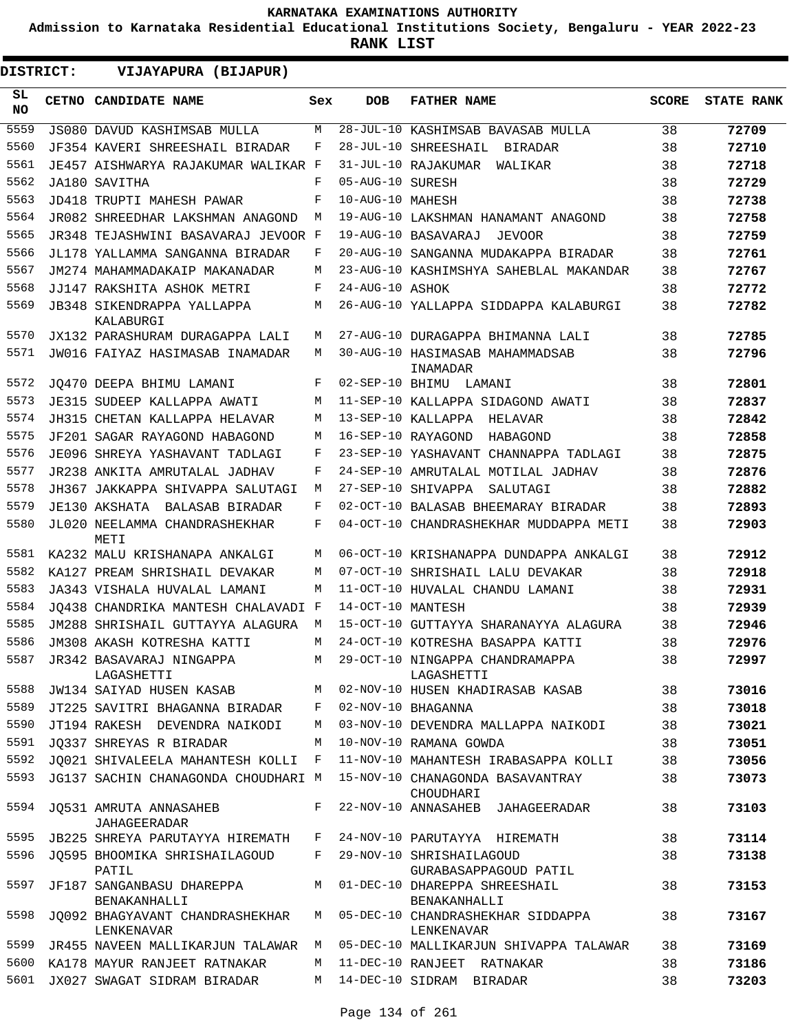**Admission to Karnataka Residential Educational Institutions Society, Bengaluru - YEAR 2022-23**

**RANK LIST**

**DISTRICT:** EE **VIJAYAPURA (BIJAPUR)**

| SL<br><b>NO</b> | CETNO CANDIDATE NAME                          | Sex | <b>DOB</b>        | <b>FATHER NAME</b>                                | <b>SCORE</b> | <b>STATE RANK</b> |
|-----------------|-----------------------------------------------|-----|-------------------|---------------------------------------------------|--------------|-------------------|
| 5559            | JS080 DAVUD KASHIMSAB MULLA                   | М   |                   | 28-JUL-10 KASHIMSAB BAVASAB MULLA                 | 38           | 72709             |
| 5560            | JF354 KAVERI SHREESHAIL BIRADAR               | F   |                   | 28-JUL-10 SHREESHAIL<br>BIRADAR                   | 38           | 72710             |
| 5561            | JE457 AISHWARYA RAJAKUMAR WALIKAR F           |     |                   | 31-JUL-10 RAJAKUMAR<br>WALIKAR                    | 38           | 72718             |
| 5562            | JA180 SAVITHA                                 | F   | 05-AUG-10 SURESH  |                                                   | 38           | 72729             |
| 5563            | JD418 TRUPTI MAHESH PAWAR                     | F   | 10-AUG-10 MAHESH  |                                                   | 38           | 72738             |
| 5564            | JR082 SHREEDHAR LAKSHMAN ANAGOND              | М   |                   | 19-AUG-10 LAKSHMAN HANAMANT ANAGOND               | 38           | 72758             |
| 5565            | JR348 TEJASHWINI BASAVARAJ JEVOOR F           |     |                   | 19-AUG-10 BASAVARAJ<br>JEVOOR                     | 38           | 72759             |
| 5566            | JL178 YALLAMMA SANGANNA BIRADAR               | F   |                   | 20-AUG-10 SANGANNA MUDAKAPPA BIRADAR              | 38           | 72761             |
| 5567            | JM274 MAHAMMADAKAIP MAKANADAR                 | М   |                   | 23-AUG-10 KASHIMSHYA SAHEBLAL MAKANDAR            | 38           | 72767             |
| 5568            | JJ147 RAKSHITA ASHOK METRI                    | F   | 24-AUG-10 ASHOK   |                                                   | 38           | 72772             |
| 5569            | JB348 SIKENDRAPPA YALLAPPA<br>KALABURGI       | M   |                   | 26-AUG-10 YALLAPPA SIDDAPPA KALABURGI             | 38           | 72782             |
| 5570            | JX132 PARASHURAM DURAGAPPA LALI               | М   |                   | 27-AUG-10 DURAGAPPA BHIMANNA LALI                 | 38           | 72785             |
| 5571            | JW016 FAIYAZ HASIMASAB INAMADAR               | M   |                   | 30-AUG-10 HASIMASAB MAHAMMADSAB<br>INAMADAR       | 38           | 72796             |
| 5572            | JO470 DEEPA BHIMU LAMANI                      | F   | 02-SEP-10 BHIMU   | LAMANI                                            | 38           | 72801             |
| 5573            | JE315 SUDEEP KALLAPPA AWATI                   | М   |                   | 11-SEP-10 KALLAPPA SIDAGOND AWATI                 | 38           | 72837             |
| 5574            | JH315 CHETAN KALLAPPA HELAVAR                 | М   |                   | 13-SEP-10 KALLAPPA<br>HELAVAR                     | 38           | 72842             |
| 5575            | JF201 SAGAR RAYAGOND HABAGOND                 | М   |                   | 16-SEP-10 RAYAGOND<br>HABAGOND                    | 38           | 72858             |
| 5576            | JE096 SHREYA YASHAVANT TADLAGI                | F   |                   | 23-SEP-10 YASHAVANT CHANNAPPA TADLAGI             | 38           | 72875             |
| 5577            | JR238 ANKITA AMRUTALAL JADHAV                 | F   |                   | 24-SEP-10 AMRUTALAL MOTILAL JADHAV                | 38           | 72876             |
| 5578            | JH367 JAKKAPPA SHIVAPPA SALUTAGI              | М   |                   | 27-SEP-10 SHIVAPPA<br>SALUTAGI                    | 38           | 72882             |
| 5579            | JE130 AKSHATA<br>BALASAB BIRADAR              | F   |                   | 02-OCT-10 BALASAB BHEEMARAY BIRADAR               | 38           | 72893             |
| 5580            | JL020 NEELAMMA CHANDRASHEKHAR<br>METI         | F   |                   | 04-OCT-10 CHANDRASHEKHAR MUDDAPPA METI            | 38           | 72903             |
| 5581            | KA232 MALU KRISHANAPA ANKALGI                 | М   |                   | 06-OCT-10 KRISHANAPPA DUNDAPPA ANKALGI            | 38           | 72912             |
| 5582            | KA127 PREAM SHRISHAIL DEVAKAR                 | М   |                   | 07-OCT-10 SHRISHAIL LALU DEVAKAR                  | 38           | 72918             |
| 5583            | JA343 VISHALA HUVALAL LAMANI                  | М   |                   | 11-OCT-10 HUVALAL CHANDU LAMANI                   | 38           | 72931             |
| 5584            | JO438 CHANDRIKA MANTESH CHALAVADI F           |     | 14-OCT-10 MANTESH |                                                   | 38           | 72939             |
| 5585            | JM288 SHRISHAIL GUTTAYYA ALAGURA              | М   |                   | 15-OCT-10 GUTTAYYA SHARANAYYA ALAGURA             | 38           | 72946             |
| 5586            | JM308 AKASH KOTRESHA KATTI                    | М   |                   | 24-OCT-10 KOTRESHA BASAPPA KATTI                  | 38           | 72976             |
| 5587            | JR342 BASAVARAJ NINGAPPA<br>LAGASHETTI        | М   |                   | 29-OCT-10 NINGAPPA CHANDRAMAPPA<br>LAGASHETTI     | 38           | 72997             |
| 5588            | JW134 SAIYAD HUSEN KASAB                      |     |                   | M 02-NOV-10 HUSEN KHADIRASAB KASAB                | 38           | 73016             |
| 5589            | JT225 SAVITRI BHAGANNA BIRADAR                | F   |                   | 02-NOV-10 BHAGANNA                                | 38           | 73018             |
| 5590            | JT194 RAKESH DEVENDRA NAIKODI                 | М   |                   | 03-NOV-10 DEVENDRA MALLAPPA NAIKODI               | 38           | 73021             |
| 5591            | JQ337 SHREYAS R BIRADAR                       | M   |                   | 10-NOV-10 RAMANA GOWDA                            | 38           | 73051             |
| 5592            | JQ021 SHIVALEELA MAHANTESH KOLLI F            |     |                   | 11-NOV-10 MAHANTESH IRABASAPPA KOLLI              | 38           | 73056             |
| 5593            | JG137 SACHIN CHANAGONDA CHOUDHARI M           |     |                   | 15-NOV-10 CHANAGONDA BASAVANTRAY<br>CHOUDHARI     | 38           | 73073             |
| 5594            | JQ531 AMRUTA ANNASAHEB<br>JAHAGEERADAR        | F   |                   | 22-NOV-10 ANNASAHEB JAHAGEERADAR                  | 38           | 73103             |
|                 | 5595 JB225 SHREYA PARUTAYYA HIREMATH          | F   |                   | 24-NOV-10 PARUTAYYA HIREMATH                      | 38           | 73114             |
| 5596            | JQ595 BHOOMIKA SHRISHAILAGOUD<br>PATIL        | F   |                   | 29-NOV-10 SHRISHAILAGOUD<br>GURABASAPPAGOUD PATIL | 38           | 73138             |
| 5597            | JF187 SANGANBASU DHAREPPA<br>BENAKANHALLI     | M   |                   | 01-DEC-10 DHAREPPA SHREESHAIL<br>BENAKANHALLI     | 38           | 73153             |
| 5598            | JQ092 BHAGYAVANT CHANDRASHEKHAR<br>LENKENAVAR | M   |                   | 05-DEC-10 CHANDRASHEKHAR SIDDAPPA<br>LENKENAVAR   | 38           | 73167             |
| 5599            | JR455 NAVEEN MALLIKARJUN TALAWAR              | М   |                   | 05-DEC-10 MALLIKARJUN SHIVAPPA TALAWAR            | 38           | 73169             |
|                 | 5600 KA178 MAYUR RANJEET RATNAKAR             | M   |                   | 11-DEC-10 RANJEET RATNAKAR                        | 38           | 73186             |
| 5601            | JX027 SWAGAT SIDRAM BIRADAR                   | M   |                   | 14-DEC-10 SIDRAM BIRADAR                          | 38           | 73203             |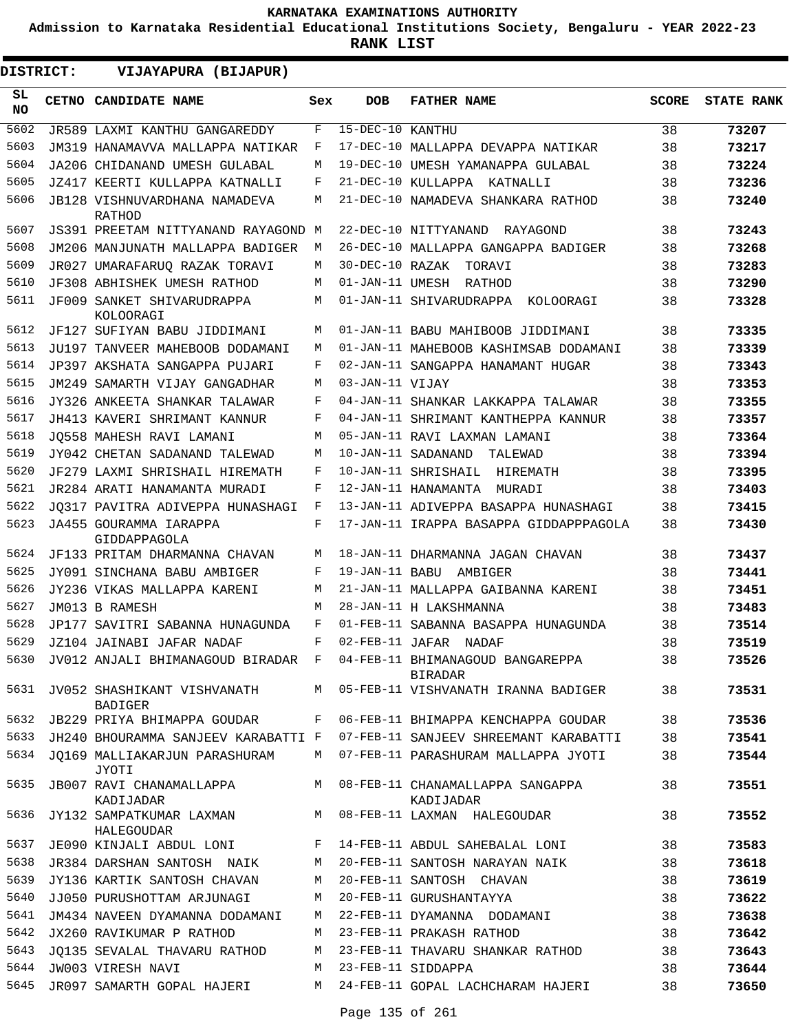**Admission to Karnataka Residential Educational Institutions Society, Bengaluru - YEAR 2022-23**

| DISTRICT:       | VIJAYAPURA (BIJAPUR)                                                |     |                  |                                                                           |              |                   |
|-----------------|---------------------------------------------------------------------|-----|------------------|---------------------------------------------------------------------------|--------------|-------------------|
| SL<br><b>NO</b> | CETNO CANDIDATE NAME                                                | Sex | <b>DOB</b>       | <b>FATHER NAME</b>                                                        | <b>SCORE</b> | <b>STATE RANK</b> |
| 5602            | JR589 LAXMI KANTHU GANGAREDDY                                       | F   | 15-DEC-10 KANTHU |                                                                           | 38           | 73207             |
| 5603            | JM319 HANAMAVVA MALLAPPA NATIKAR                                    | F   |                  | 17-DEC-10 MALLAPPA DEVAPPA NATIKAR                                        | 38           | 73217             |
| 5604            | JA206 CHIDANAND UMESH GULABAL                                       | М   |                  | 19-DEC-10 UMESH YAMANAPPA GULABAL                                         | 38           | 73224             |
| 5605            | JZ417 KEERTI KULLAPPA KATNALLI                                      | F   |                  | 21-DEC-10 KULLAPPA KATNALLI                                               | 38           | 73236             |
| 5606            | JB128 VISHNUVARDHANA NAMADEVA<br>RATHOD                             | М   |                  | 21-DEC-10 NAMADEVA SHANKARA RATHOD                                        | 38           | 73240             |
| 5607            | JS391 PREETAM NITTYANAND RAYAGOND M                                 |     |                  | 22-DEC-10 NITTYANAND<br>RAYAGOND                                          | 38           | 73243             |
| 5608            | JM206 MANJUNATH MALLAPPA BADIGER                                    | М   |                  | 26-DEC-10 MALLAPPA GANGAPPA BADIGER                                       | 38           | 73268             |
| 5609            | JR027 UMARAFARUO RAZAK TORAVI                                       | М   | 30-DEC-10 RAZAK  | TORAVI                                                                    | 38           | 73283             |
| 5610            | JF308 ABHISHEK UMESH RATHOD                                         | М   | 01-JAN-11 UMESH  | RATHOD                                                                    | 38           | 73290             |
| 5611            | JF009 SANKET SHIVARUDRAPPA<br>KOLOORAGI                             | М   |                  | 01-JAN-11 SHIVARUDRAPPA KOLOORAGI                                         | 38           | 73328             |
| 5612            | JF127 SUFIYAN BABU JIDDIMANI                                        | M   |                  | 01-JAN-11 BABU MAHIBOOB JIDDIMANI                                         | 38           | 73335             |
| 5613            | JU197 TANVEER MAHEBOOB DODAMANI                                     | М   |                  | 01-JAN-11 MAHEBOOB KASHIMSAB DODAMANI                                     | 38           | 73339             |
| 5614            | JP397 AKSHATA SANGAPPA PUJARI                                       | F   |                  | 02-JAN-11 SANGAPPA HANAMANT HUGAR                                         | 38           | 73343             |
| 5615            | JM249 SAMARTH VIJAY GANGADHAR                                       | М   | 03-JAN-11 VIJAY  |                                                                           | 38           | 73353             |
| 5616            | JY326 ANKEETA SHANKAR TALAWAR                                       | F   |                  | 04-JAN-11 SHANKAR LAKKAPPA TALAWAR                                        | 38           | 73355             |
| 5617            | JH413 KAVERI SHRIMANT KANNUR                                        | F   |                  | 04-JAN-11 SHRIMANT KANTHEPPA KANNUR                                       | 38           | 73357             |
| 5618            | JO558 MAHESH RAVI LAMANI                                            | М   |                  | 05-JAN-11 RAVI LAXMAN LAMANI                                              | 38           | 73364             |
| 5619            | JY042 CHETAN SADANAND TALEWAD                                       | М   |                  | 10-JAN-11 SADANAND<br>TALEWAD                                             | 38           | 73394             |
| 5620            | JF279 LAXMI SHRISHAIL HIREMATH                                      | F   |                  | 10-JAN-11 SHRISHAIL<br>HIREMATH                                           | 38           | 73395             |
| 5621            | JR284 ARATI HANAMANTA MURADI                                        | F   |                  | 12-JAN-11 HANAMANTA<br>MURADI                                             | 38           | 73403             |
| 5622            | JO317 PAVITRA ADIVEPPA HUNASHAGI                                    | F   |                  | 13-JAN-11 ADIVEPPA BASAPPA HUNASHAGI                                      | 38           | 73415             |
| 5623            | JA455 GOURAMMA IARAPPA<br>GIDDAPPAGOLA                              | F   |                  | 17-JAN-11 IRAPPA BASAPPA GIDDAPPPAGOLA                                    | 38           | 73430             |
| 5624            | JF133 PRITAM DHARMANNA CHAVAN                                       | М   |                  | 18-JAN-11 DHARMANNA JAGAN CHAVAN                                          | 38           | 73437             |
| 5625            | JY091 SINCHANA BABU AMBIGER                                         | F   |                  | 19-JAN-11 BABU AMBIGER                                                    | 38           | 73441             |
| 5626            | JY236 VIKAS MALLAPPA KARENI                                         | М   |                  | 21-JAN-11 MALLAPPA GAIBANNA KARENI                                        | 38           | 73451             |
| 5627            | JM013 B RAMESH                                                      | М   |                  | 28-JAN-11 H LAKSHMANNA                                                    | 38           | 73483             |
| 5628            | JP177 SAVITRI SABANNA HUNAGUNDA                                     | F   |                  | 01-FEB-11 SABANNA BASAPPA HUNAGUNDA                                       | 38           | 73514             |
| 5629            | JZ104 JAINABI JAFAR NADAF                                           | F   |                  | 02-FEB-11 JAFAR NADAF                                                     | 38           | 73519             |
| 5630            | JV012 ANJALI BHIMANAGOUD BIRADAR F 04-FEB-11 BHIMANAGOUD BANGAREPPA |     |                  | BIRADAR                                                                   | 38           | 73526             |
| 5631            | JV052 SHASHIKANT VISHVANATH<br>BADIGER                              | M   |                  | 05-FEB-11 VISHVANATH IRANNA BADIGER                                       | 38           | 73531             |
| 5632            | JB229 PRIYA BHIMAPPA GOUDAR                                         | F   |                  | 06-FEB-11 BHIMAPPA KENCHAPPA GOUDAR                                       | 38           | 73536             |
| 5633            |                                                                     |     |                  | JH240 BHOURAMMA SANJEEV KARABATTI F 07-FEB-11 SANJEEV SHREEMANT KARABATTI | 38           | 73541             |
| 5634            | JO169 MALLIAKARJUN PARASHURAM<br>JYOTI                              |     |                  | M 07-FEB-11 PARASHURAM MALLAPPA JYOTI                                     | 38           | 73544             |
| 5635            | KADIJADAR                                                           |     |                  | JB007 RAVI CHANAMALLAPPA M 08-FEB-11 CHANAMALLAPPA SANGAPPA<br>KADIJADAR  | 38           | 73551             |
| 5636            | JY132 SAMPATKUMAR LAXMAN M<br>HALEGOUDAR                            |     |                  | 08-FEB-11 LAXMAN HALEGOUDAR                                               | 38           | 73552             |
| 5637            | JE090 KINJALI ABDUL LONI F                                          |     |                  | 14-FEB-11 ABDUL SAHEBALAL LONI                                            | 38           | 73583             |
| 5638            | JR384 DARSHAN SANTOSH NAIK M                                        |     |                  | 20-FEB-11 SANTOSH NARAYAN NAIK                                            | 38           | 73618             |
| 5639            | JY136 KARTIK SANTOSH CHAVAN                                         | М   |                  | 20-FEB-11 SANTOSH CHAVAN                                                  | 38           | 73619             |
| 5640            | JJ050 PURUSHOTTAM ARJUNAGI                                          | M   |                  | 20-FEB-11 GURUSHANTAYYA                                                   | 38           | 73622             |
| 5641            |                                                                     |     |                  | JM434 NAVEEN DYAMANNA DODAMANI M 22-FEB-11 DYAMANNA DODAMANI              | 38           | 73638             |
| 5642            | JX260 RAVIKUMAR P RATHOD                                            |     |                  | M 23-FEB-11 PRAKASH RATHOD                                                | 38           | 73642             |
| 5643            | JQ135 SEVALAL THAVARU RATHOD                                        | М   |                  | 23-FEB-11 THAVARU SHANKAR RATHOD                                          | 38           | 73643             |
| 5644            | JW003 VIRESH NAVI                                                   | M   |                  | 23-FEB-11 SIDDAPPA                                                        | 38           | 73644             |
| 5645            | JR097 SAMARTH GOPAL HAJERI                                          | M   |                  | 24-FEB-11 GOPAL LACHCHARAM HAJERI                                         | 38           | 73650             |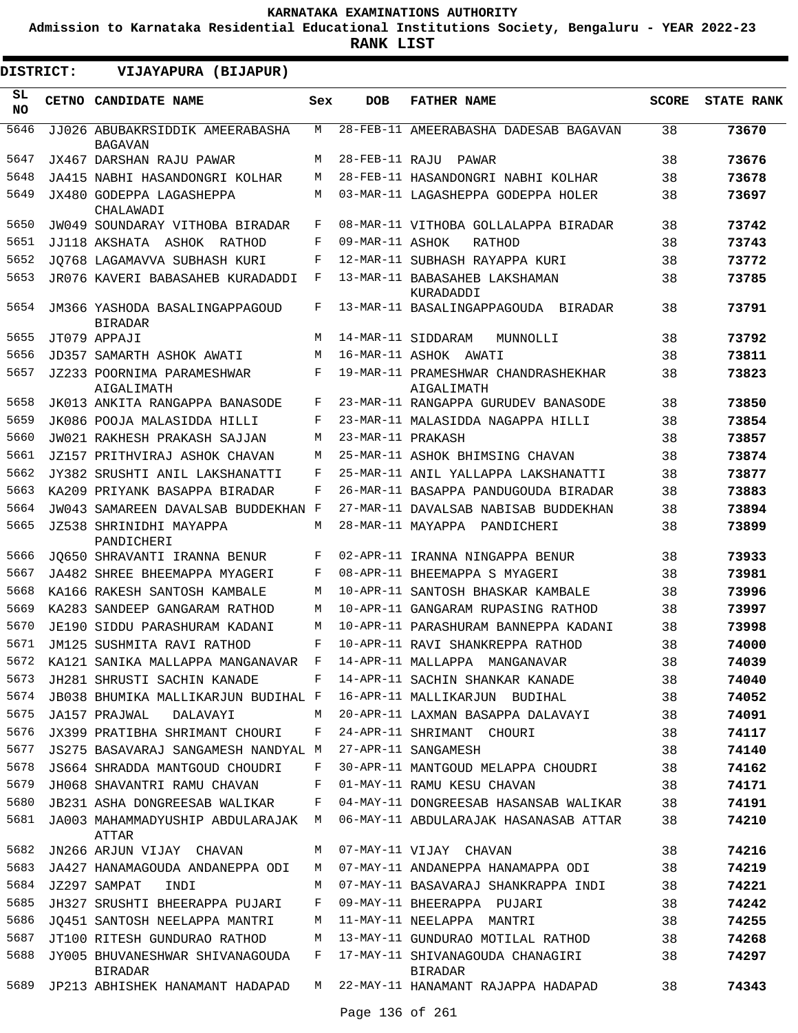**Admission to Karnataka Residential Educational Institutions Society, Bengaluru - YEAR 2022-23**

**RANK LIST**

 $\blacksquare$ 

| <b>DISTRICT:</b> | VIJAYAPURA (BIJAPUR)                                                  |     |                   |                                                   |              |                   |
|------------------|-----------------------------------------------------------------------|-----|-------------------|---------------------------------------------------|--------------|-------------------|
| SL<br>NO.        | <b>CETNO CANDIDATE NAME</b>                                           | Sex | DOB               | <b>FATHER NAME</b>                                | <b>SCORE</b> | <b>STATE RANK</b> |
| 5646             | JJ026 ABUBAKRSIDDIK AMEERABASHA<br><b>BAGAVAN</b>                     | M   |                   | 28-FEB-11 AMEERABASHA DADESAB BAGAVAN             | 38           | 73670             |
| 5647             | JX467 DARSHAN RAJU PAWAR                                              | M   | 28-FEB-11 RAJU    | PAWAR                                             | 38           | 73676             |
| 5648             | JA415 NABHI HASANDONGRI KOLHAR                                        | M   |                   | 28-FEB-11 HASANDONGRI NABHI KOLHAR                | 38           | 73678             |
| 5649             | JX480 GODEPPA LAGASHEPPA                                              | M   |                   | 03-MAR-11 LAGASHEPPA GODEPPA HOLER                | 38           | 73697             |
|                  | CHALAWADI                                                             |     |                   |                                                   |              |                   |
| 5650             | <b>JW049 SOUNDARAY VITHOBA BIRADAR</b>                                | F   |                   | 08-MAR-11 VITHOBA GOLLALAPPA BIRADAR              | 38           | 73742             |
| 5651             | JJ118 AKSHATA ASHOK RATHOD                                            | F   | 09-MAR-11 ASHOK   | RATHOD                                            | 38           | 73743             |
| 5652             | JO768 LAGAMAVVA SUBHASH KURI                                          | F   |                   | 12-MAR-11 SUBHASH RAYAPPA KURI                    | 38           | 73772             |
| 5653             | JR076 KAVERI BABASAHEB KURADADDI                                      | F   |                   | 13-MAR-11 BABASAHEB LAKSHAMAN<br>KURADADDI        | 38           | 73785             |
| 5654             | JM366 YASHODA BASALINGAPPAGOUD<br><b>BIRADAR</b>                      | F   |                   | 13-MAR-11 BASALINGAPPAGOUDA BIRADAR               | 38           | 73791             |
| 5655             | JT079 APPAJI                                                          | M   |                   | 14-MAR-11 SIDDARAM<br>MUNNOLLI                    | 38           | 73792             |
| 5656             | JD357 SAMARTH ASHOK AWATI                                             | M   |                   | 16-MAR-11 ASHOK AWATI                             | 38           | 73811             |
| 5657             | JZ233 POORNIMA PARAMESHWAR<br>AIGALIMATH                              | F   |                   | 19-MAR-11 PRAMESHWAR CHANDRASHEKHAR<br>AIGALIMATH | 38           | 73823             |
| 5658             | JK013 ANKITA RANGAPPA BANASODE                                        | F   |                   | 23-MAR-11 RANGAPPA GURUDEV BANASODE               | 38           | 73850             |
| 5659             | JK086 POOJA MALASIDDA HILLI                                           | F   |                   | 23-MAR-11 MALASIDDA NAGAPPA HILLI                 | 38           | 73854             |
| 5660             | JW021 RAKHESH PRAKASH SAJJAN                                          | M   | 23-MAR-11 PRAKASH |                                                   | 38           | 73857             |
| 5661             | JZ157 PRITHVIRAJ ASHOK CHAVAN                                         | M   |                   | 25-MAR-11 ASHOK BHIMSING CHAVAN                   | 38           | 73874             |
| 5662             | JY382 SRUSHTI ANIL LAKSHANATTI                                        | F   |                   | 25-MAR-11 ANIL YALLAPPA LAKSHANATTI               | 38           | 73877             |
| 5663             | KA209 PRIYANK BASAPPA BIRADAR                                         | F   |                   | 26-MAR-11 BASAPPA PANDUGOUDA BIRADAR              | 38           | 73883             |
| 5664             | JW043 SAMAREEN DAVALSAB BUDDEKHAN F                                   |     |                   | 27-MAR-11 DAVALSAB NABISAB BUDDEKHAN              | 38           | 73894             |
| 5665             | JZ538 SHRINIDHI MAYAPPA<br>PANDICHERI                                 | M   |                   | 28-MAR-11 MAYAPPA PANDICHERI                      | 38           | 73899             |
| 5666             | JO650 SHRAVANTI IRANNA BENUR                                          | F   |                   | 02-APR-11 IRANNA NINGAPPA BENUR                   | 38           | 73933             |
| 5667             | JA482 SHREE BHEEMAPPA MYAGERI                                         | F   |                   | 08-APR-11 BHEEMAPPA S MYAGERI                     | 38           | 73981             |
| 5668             | KA166 RAKESH SANTOSH KAMBALE                                          | M   |                   | 10-APR-11 SANTOSH BHASKAR KAMBALE                 | 38           | 73996             |
| 5669             | KA283 SANDEEP GANGARAM RATHOD                                         | М   |                   | 10-APR-11 GANGARAM RUPASING RATHOD                | 38           | 73997             |
| 5670             | JE190 SIDDU PARASHURAM KADANI                                         | М   |                   | 10-APR-11 PARASHURAM BANNEPPA KADANI              | 38           | 73998             |
| 5671             | JM125 SUSHMITA RAVI RATHOD                                            | F   |                   | 10-APR-11 RAVI SHANKREPPA RATHOD                  | 38           | 74000             |
|                  | 5672 KA121 SANIKA MALLAPPA MANGANAVAR F 14-APR-11 MALLAPPA MANGANAVAR |     |                   |                                                   | 38           | 74039             |
| 5673             | JH281 SHRUSTI SACHIN KANADE                                           |     |                   | F 14-APR-11 SACHIN SHANKAR KANADE                 | 38           | 74040             |
| 5674             | JB038 BHUMIKA MALLIKARJUN BUDIHAL F                                   |     |                   | 16-APR-11 MALLIKARJUN BUDIHAL                     | 38           | 74052             |
| 5675             | JA157 PRAJWAL DALAVAYI                                                | M   |                   | 20-APR-11 LAXMAN BASAPPA DALAVAYI                 | 38           | 74091             |
| 5676             | JX399 PRATIBHA SHRIMANT CHOURI                                        | F   |                   | 24-APR-11 SHRIMANT CHOURI                         | 38           | 74117             |
| 5677             | JS275 BASAVARAJ SANGAMESH NANDYAL M                                   |     |                   | 27-APR-11 SANGAMESH                               | 38           | 74140             |
| 5678             | JS664 SHRADDA MANTGOUD CHOUDRI                                        | F   |                   | 30-APR-11 MANTGOUD MELAPPA CHOUDRI                | 38           | 74162             |
| 5679             | JH068 SHAVANTRI RAMU CHAVAN                                           | F   |                   | 01-MAY-11 RAMU KESU CHAVAN                        | 38           | 74171             |
| 5680             | JB231 ASHA DONGREESAB WALIKAR                                         | F   |                   | 04-MAY-11 DONGREESAB HASANSAB WALIKAR             | 38           | 74191             |
| 5681             | JA003 MAHAMMADYUSHIP ABDULARAJAK M<br>ATTAR                           |     |                   | 06-MAY-11 ABDULARAJAK HASANASAB ATTAR             | 38           | 74210             |
| 5682             | JN266 ARJUN VIJAY CHAVAN                                              | M   |                   | 07-MAY-11 VIJAY CHAVAN                            | 38           | 74216             |
| 5683             | JA427 HANAMAGOUDA ANDANEPPA ODI                                       | M   |                   | 07-MAY-11 ANDANEPPA HANAMAPPA ODI                 | 38           | 74219             |
| 5684             | JZ297 SAMPAT<br>INDI                                                  | M   |                   | 07-MAY-11 BASAVARAJ SHANKRAPPA INDI               | 38           | 74221             |
| 5685             | JH327 SRUSHTI BHEERAPPA PUJARI                                        | F   |                   | 09-MAY-11 BHEERAPPA PUJARI                        | 38           | 74242             |
| 5686             | JO451 SANTOSH NEELAPPA MANTRI                                         | М   |                   | 11-MAY-11 NEELAPPA MANTRI                         | 38           | 74255             |
| 5687             | JT100 RITESH GUNDURAO RATHOD                                          | М   |                   | 13-MAY-11 GUNDURAO MOTILAL RATHOD                 | 38           | 74268             |
| 5688             | JY005 BHUVANESHWAR SHIVANAGOUDA<br>BIRADAR                            | F   |                   | 17-MAY-11 SHIVANAGOUDA CHANAGIRI<br>BIRADAR       | 38           | 74297             |
| 5689             | JP213 ABHISHEK HANAMANT HADAPAD                                       |     |                   | M   22-MAY-11 HANAMANT RAJAPPA HADAPAD            | 38           | 74343             |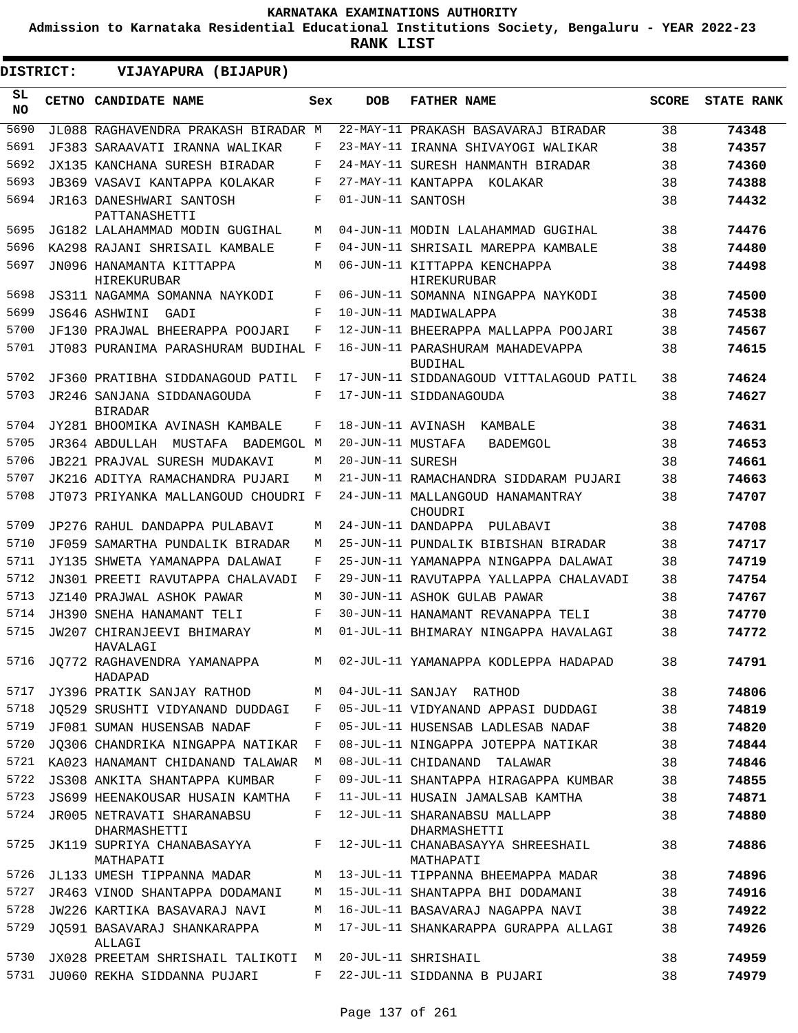**Admission to Karnataka Residential Educational Institutions Society, Bengaluru - YEAR 2022-23**

| <b>DISTRICT:</b> | VIJAYAPURA (BIJAPUR)                         |              |                   |                                                |              |                   |
|------------------|----------------------------------------------|--------------|-------------------|------------------------------------------------|--------------|-------------------|
| SL<br><b>NO</b>  | <b>CETNO CANDIDATE NAME</b>                  | Sex          | <b>DOB</b>        | <b>FATHER NAME</b>                             | <b>SCORE</b> | <b>STATE RANK</b> |
| 5690             | JL088 RAGHAVENDRA PRAKASH BIRADAR M          |              |                   | 22-MAY-11 PRAKASH BASAVARAJ BIRADAR            | 38           | 74348             |
| 5691             | JF383 SARAAVATI IRANNA WALIKAR               | F            |                   | 23-MAY-11 IRANNA SHIVAYOGI WALIKAR             | 38           | 74357             |
| 5692             | JX135 KANCHANA SURESH BIRADAR                | F            |                   | 24-MAY-11 SURESH HANMANTH BIRADAR              | 38           | 74360             |
| 5693             | JB369 VASAVI KANTAPPA KOLAKAR                | F            |                   | 27-MAY-11 KANTAPPA KOLAKAR                     | 38           | 74388             |
| 5694             | JR163 DANESHWARI SANTOSH<br>PATTANASHETTI    | F            | 01-JUN-11 SANTOSH |                                                | 38           | 74432             |
| 5695             | JG182 LALAHAMMAD MODIN GUGIHAL               | M            |                   | 04-JUN-11 MODIN LALAHAMMAD GUGIHAL             | 38           | 74476             |
| 5696             | KA298 RAJANI SHRISAIL KAMBALE                | F            |                   | 04-JUN-11 SHRISAIL MAREPPA KAMBALE             | 38           | 74480             |
| 5697             | JN096 HANAMANTA KITTAPPA<br>HIREKURUBAR      | М            |                   | 06-JUN-11 KITTAPPA KENCHAPPA<br>HIREKURUBAR    | 38           | 74498             |
| 5698             | JS311 NAGAMMA SOMANNA NAYKODI                | F            |                   | 06-JUN-11 SOMANNA NINGAPPA NAYKODI             | 38           | 74500             |
| 5699             | JS646 ASHWINI<br>GADI                        | F            |                   | 10-JUN-11 MADIWALAPPA                          | 38           | 74538             |
| 5700             | JF130 PRAJWAL BHEERAPPA POOJARI              | F            |                   | 12-JUN-11 BHEERAPPA MALLAPPA POOJARI           | 38           | 74567             |
| 5701             | JT083 PURANIMA PARASHURAM BUDIHAL F          |              |                   | 16-JUN-11 PARASHURAM MAHADEVAPPA<br>BUDIHAL    | 38           | 74615             |
| 5702             | JF360 PRATIBHA SIDDANAGOUD PATIL             | F            |                   | 17-JUN-11 SIDDANAGOUD VITTALAGOUD PATIL        | 38           | 74624             |
| 5703             | JR246 SANJANA SIDDANAGOUDA<br><b>BIRADAR</b> | F            |                   | 17-JUN-11 SIDDANAGOUDA                         | 38           | 74627             |
| 5704             | JY281 BHOOMIKA AVINASH KAMBALE               | F            | 18-JUN-11 AVINASH | KAMBALE                                        | 38           | 74631             |
| 5705             | JR364 ABDULLAH<br>MUSTAFA BADEMGOL M         |              | 20-JUN-11 MUSTAFA | BADEMGOL                                       | 38           | 74653             |
| 5706             | JB221 PRAJVAL SURESH MUDAKAVI                | М            | 20-JUN-11 SURESH  |                                                | 38           | 74661             |
| 5707             | JK216 ADITYA RAMACHANDRA PUJARI              | М            |                   | 21-JUN-11 RAMACHANDRA SIDDARAM PUJARI          | 38           | 74663             |
| 5708             | JT073 PRIYANKA MALLANGOUD CHOUDRI F          |              |                   | 24-JUN-11 MALLANGOUD HANAMANTRAY<br>CHOUDRI    | 38           | 74707             |
| 5709             | JP276 RAHUL DANDAPPA PULABAVI                | М            |                   | 24-JUN-11 DANDAPPA<br>PULABAVI                 | 38           | 74708             |
| 5710             | JF059 SAMARTHA PUNDALIK BIRADAR              | М            |                   | 25-JUN-11 PUNDALIK BIBISHAN BIRADAR            | 38           | 74717             |
| 5711             | JY135 SHWETA YAMANAPPA DALAWAI               | F            |                   | 25-JUN-11 YAMANAPPA NINGAPPA DALAWAI           | 38           | 74719             |
| 5712             | JN301 PREETI RAVUTAPPA CHALAVADI             | F            |                   | 29-JUN-11 RAVUTAPPA YALLAPPA CHALAVADI         | 38           | 74754             |
| 5713             | JZ140 PRAJWAL ASHOK PAWAR                    | М            |                   | 30-JUN-11 ASHOK GULAB PAWAR                    | 38           | 74767             |
| 5714             | JH390 SNEHA HANAMANT TELI                    | F            |                   | 30-JUN-11 HANAMANT REVANAPPA TELI              | 38           | 74770             |
| 5715             | JW207 CHIRANJEEVI BHIMARAY<br>HAVALAGI       | M            |                   | 01-JUL-11 BHIMARAY NINGAPPA HAVALAGI           | 38           | 74772             |
| 5716             | JO772 RAGHAVENDRA YAMANAPPA<br>HADAPAD       | M            |                   | 02-JUL-11 YAMANAPPA KODLEPPA HADAPAD           | 38           | 74791             |
| 5717             | JY396 PRATIK SANJAY RATHOD                   | M            |                   | 04-JUL-11 SANJAY RATHOD                        | 38           | 74806             |
| 5718             | JO529 SRUSHTI VIDYANAND DUDDAGI              | F            |                   | 05-JUL-11 VIDYANAND APPASI DUDDAGI             | 38           | 74819             |
| 5719             | JF081 SUMAN HUSENSAB NADAF                   | F            |                   | 05-JUL-11 HUSENSAB LADLESAB NADAF              | 38           | 74820             |
| 5720             | JQ306 CHANDRIKA NINGAPPA NATIKAR             | $\mathbf{F}$ |                   | 08-JUL-11 NINGAPPA JOTEPPA NATIKAR             | 38           | 74844             |
|                  | 5721 KA023 HANAMANT CHIDANAND TALAWAR        | М            |                   | 08-JUL-11 CHIDANAND TALAWAR                    | 38           | 74846             |
| 5722             | JS308 ANKITA SHANTAPPA KUMBAR                | F            |                   | 09-JUL-11 SHANTAPPA HIRAGAPPA KUMBAR           | 38           | 74855             |
| 5723             | JS699 HEENAKOUSAR HUSAIN KAMTHA              | F            |                   | 11-JUL-11 HUSAIN JAMALSAB KAMTHA               | 38           | 74871             |
| 5724             | JR005 NETRAVATI SHARANABSU<br>DHARMASHETTI   | F            |                   | 12-JUL-11 SHARANABSU MALLAPP<br>DHARMASHETTI   | 38           | 74880             |
| 5725             | JK119 SUPRIYA CHANABASAYYA<br>MATHAPATI      | F            |                   | 12-JUL-11 CHANABASAYYA SHREESHAIL<br>MATHAPATI | 38           | 74886             |
| 5726             | JL133 UMESH TIPPANNA MADAR                   | M            |                   | 13-JUL-11 TIPPANNA BHEEMAPPA MADAR             | 38           | 74896             |
| 5727             | JR463 VINOD SHANTAPPA DODAMANI               | M            |                   | 15-JUL-11 SHANTAPPA BHI DODAMANI               | 38           | 74916             |
| 5728             | JW226 KARTIKA BASAVARAJ NAVI                 | M            |                   | 16-JUL-11 BASAVARAJ NAGAPPA NAVI               | 38           | 74922             |
| 5729             | JO591 BASAVARAJ SHANKARAPPA<br>ALLAGI        | M            |                   | 17-JUL-11 SHANKARAPPA GURAPPA ALLAGI           | 38           | 74926             |
| 5730             | JX028 PREETAM SHRISHAIL TALIKOTI             | M            |                   | 20-JUL-11 SHRISHAIL                            | 38           | 74959             |
| 5731             | JU060 REKHA SIDDANNA PUJARI                  | F            |                   | 22-JUL-11 SIDDANNA B PUJARI                    | 38           | 74979             |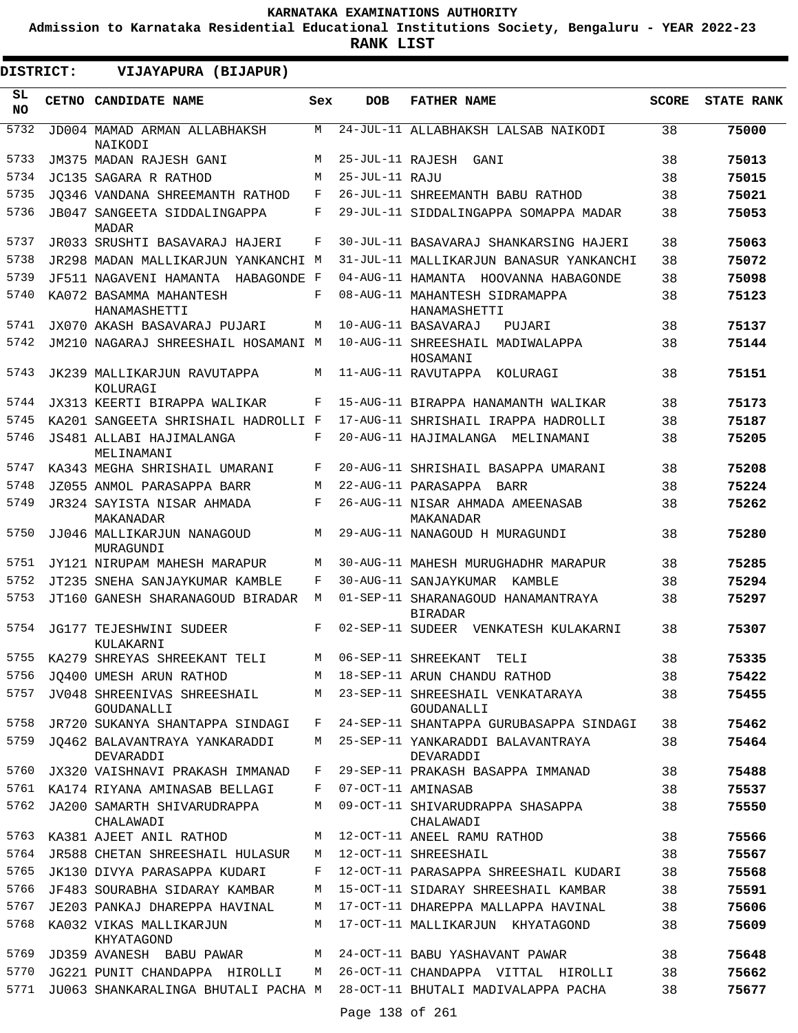**Admission to Karnataka Residential Educational Institutions Society, Bengaluru - YEAR 2022-23**

**RANK LIST**

| DISTRICT:        | VIJAYAPURA (BIJAPUR)                                         |        |                 |                                                        |              |                   |
|------------------|--------------------------------------------------------------|--------|-----------------|--------------------------------------------------------|--------------|-------------------|
| SL.<br><b>NO</b> | CETNO CANDIDATE NAME                                         | Sex    | <b>DOB</b>      | <b>FATHER NAME</b>                                     | <b>SCORE</b> | <b>STATE RANK</b> |
| 5732             | JD004 MAMAD ARMAN ALLABHAKSH<br>NAIKODI                      | М      |                 | 24-JUL-11 ALLABHAKSH LALSAB NAIKODI                    | 38           | 75000             |
| 5733             | JM375 MADAN RAJESH GANI                                      | М      |                 | 25-JUL-11 RAJESH GANI                                  | 38           | 75013             |
| 5734             | JC135 SAGARA R RATHOD                                        | М      | 25-JUL-11 RAJU  |                                                        | 38           | 75015             |
| 5735             | JO346 VANDANA SHREEMANTH RATHOD                              | F      |                 | 26-JUL-11 SHREEMANTH BABU RATHOD                       | 38           | 75021             |
| 5736             | <b>JB047 SANGEETA SIDDALINGAPPA</b><br>MADAR                 | F      |                 | 29-JUL-11 SIDDALINGAPPA SOMAPPA MADAR                  | 38           | 75053             |
| 5737             | JR033 SRUSHTI BASAVARAJ HAJERI                               | F      |                 | 30-JUL-11 BASAVARAJ SHANKARSING HAJERI                 | 38           | 75063             |
| 5738             | JR298 MADAN MALLIKARJUN YANKANCHI M                          |        |                 | 31-JUL-11 MALLIKARJUN BANASUR YANKANCHI                | 38           | 75072             |
| 5739             | JF511 NAGAVENI HAMANTA<br>HABAGONDE F                        |        |                 | 04-AUG-11 HAMANTA HOOVANNA HABAGONDE                   | 38           | 75098             |
| 5740             | KA072 BASAMMA MAHANTESH<br>HANAMASHETTI                      | F      |                 | 08-AUG-11 MAHANTESH SIDRAMAPPA<br>HANAMASHETTI         | 38           | 75123             |
| 5741             | JX070 AKASH BASAVARAJ PUJARI                                 | М      |                 | 10-AUG-11 BASAVARAJ<br>PUJARI                          | 38           | 75137             |
| 5742             | JM210 NAGARAJ SHREESHAIL HOSAMANI M                          |        |                 | 10-AUG-11 SHREESHAIL MADIWALAPPA<br>HOSAMANI           | 38           | 75144             |
| 5743             | JK239 MALLIKARJUN RAVUTAPPA<br>KOLURAGI                      | М      |                 | 11-AUG-11 RAVUTAPPA<br>KOLURAGI                        | 38           | 75151             |
| 5744             | JX313 KEERTI BIRAPPA WALIKAR                                 | F      |                 | 15-AUG-11 BIRAPPA HANAMANTH WALIKAR                    | 38           | 75173             |
| 5745             | KA201 SANGEETA SHRISHAIL HADROLLI F                          |        |                 | 17-AUG-11 SHRISHAIL IRAPPA HADROLLI                    | 38           | 75187             |
| 5746             | JS481 ALLABI HAJIMALANGA<br>MELINAMANI                       | F      |                 | 20-AUG-11 HAJIMALANGA MELINAMANI                       | 38           | 75205             |
| 5747             | KA343 MEGHA SHRISHAIL UMARANI                                | F      |                 | 20-AUG-11 SHRISHAIL BASAPPA UMARANI                    | 38           | 75208             |
| 5748             | JZ055 ANMOL PARASAPPA BARR                                   | M      |                 | 22-AUG-11 PARASAPPA BARR                               | 38           | 75224             |
| 5749             | JR324 SAYISTA NISAR AHMADA<br>MAKANADAR                      | F      |                 | 26-AUG-11 NISAR AHMADA AMEENASAB<br>MAKANADAR          | 38           | 75262             |
| 5750             | JJ046 MALLIKARJUN NANAGOUD<br>MURAGUNDI                      | М      |                 | 29-AUG-11 NANAGOUD H MURAGUNDI                         | 38           | 75280             |
| 5751             | JY121 NIRUPAM MAHESH MARAPUR                                 | М      |                 | 30-AUG-11 MAHESH MURUGHADHR MARAPUR                    | 38           | 75285             |
| 5752             | JT235 SNEHA SANJAYKUMAR KAMBLE                               | F      |                 | 30-AUG-11 SANJAYKUMAR KAMBLE                           | 38           | 75294             |
| 5753             | JT160 GANESH SHARANAGOUD BIRADAR                             | M      |                 | 01-SEP-11 SHARANAGOUD HANAMANTRAYA<br><b>BIRADAR</b>   | 38           | 75297             |
| 5754             | JG177 TEJESHWINI SUDEER<br>KULAKARNI                         | F      |                 | 02-SEP-11 SUDEER VENKATESH KULAKARNI                   | 38           | 75307             |
| 5755             | KA279 SHREYAS SHREEKANT TELI                                 | М      |                 | 06-SEP-11 SHREEKANT TELI                               | 38           | 75335             |
| 5756             | JQ400 UMESH ARUN RATHOD                                      | M      |                 | 18-SEP-11 ARUN CHANDU RATHOD                           | 38           | 75422             |
| 5757             | JV048 SHREENIVAS SHREESHAIL<br>GOUDANALLI                    | M      |                 | 23-SEP-11 SHREESHAIL VENKATARAYA<br>GOUDANALLI         | 38           | 75455             |
| 5758             | JR720 SUKANYA SHANTAPPA SINDAGI                              | F      |                 | 24-SEP-11 SHANTAPPA GURUBASAPPA SINDAGI                | 38           | 75462             |
| 5759             | JO462 BALAVANTRAYA YANKARADDI<br>DEVARADDI                   | М      |                 | 25-SEP-11 YANKARADDI BALAVANTRAYA<br>DEVARADDI         | 38           | 75464             |
| 5760             | JX320 VAISHNAVI PRAKASH IMMANAD                              | F      |                 | 29-SEP-11 PRAKASH BASAPPA IMMANAD                      | 38           | 75488             |
| 5761<br>5762     | KA174 RIYANA AMINASAB BELLAGI<br>JA200 SAMARTH SHIVARUDRAPPA | F<br>M |                 | 07-OCT-11 AMINASAB<br>09-OCT-11 SHIVARUDRAPPA SHASAPPA | 38<br>38     | 75537<br>75550    |
|                  | CHALAWADI                                                    |        |                 | CHALAWADI                                              |              |                   |
| 5763             | KA381 AJEET ANIL RATHOD                                      | M      |                 | 12-OCT-11 ANEEL RAMU RATHOD                            | 38           | 75566             |
| 5764             | JR588 CHETAN SHREESHAIL HULASUR                              | M      |                 | 12-OCT-11 SHREESHAIL                                   | 38           | 75567             |
| 5765             | JK130 DIVYA PARASAPPA KUDARI                                 | F      |                 | 12-OCT-11 PARASAPPA SHREESHAIL KUDARI                  | 38           | 75568             |
| 5766             | JF483 SOURABHA SIDARAY KAMBAR                                | М      |                 | 15-OCT-11 SIDARAY SHREESHAIL KAMBAR                    | 38           | 75591             |
| 5767             | JE203 PANKAJ DHAREPPA HAVINAL                                | М      |                 | 17-OCT-11 DHAREPPA MALLAPPA HAVINAL                    | 38           | 75606             |
| 5768             | KA032 VIKAS MALLIKARJUN<br>KHYATAGOND                        | М      |                 | 17-OCT-11 MALLIKARJUN KHYATAGOND                       | 38           | 75609             |
| 5769             | JD359 AVANESH BABU PAWAR                                     | M      |                 | 24-OCT-11 BABU YASHAVANT PAWAR                         | 38           | 75648             |
| 5770             | JG221 PUNIT CHANDAPPA HIROLLI                                | M      |                 | 26-OCT-11 CHANDAPPA VITTAL HIROLLI                     | 38           | 75662             |
| 5771             | JU063 SHANKARALINGA BHUTALI PACHA M                          |        | Page 138 of 261 | 28-OCT-11 BHUTALI MADIVALAPPA PACHA                    | 38           | 75677             |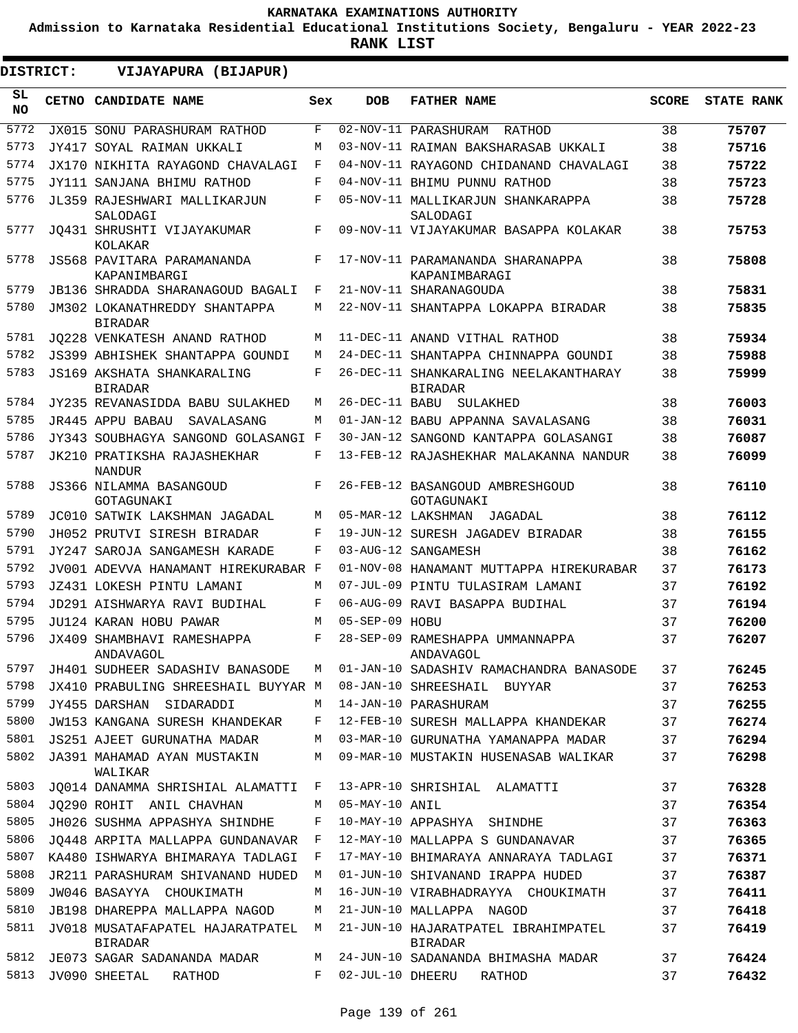**Admission to Karnataka Residential Educational Institutions Society, Bengaluru - YEAR 2022-23**

| DISTRICT:        | VIJAYAPURA (BIJAPUR)                                |     |                  |                                                         |              |                   |
|------------------|-----------------------------------------------------|-----|------------------|---------------------------------------------------------|--------------|-------------------|
| SL.<br><b>NO</b> | <b>CETNO CANDIDATE NAME</b>                         | Sex | <b>DOB</b>       | <b>FATHER NAME</b>                                      | <b>SCORE</b> | <b>STATE RANK</b> |
| 5772             | JX015 SONU PARASHURAM RATHOD                        | F   |                  | 02-NOV-11 PARASHURAM RATHOD                             | 38           | 75707             |
| 5773             | JY417 SOYAL RAIMAN UKKALI                           | M   |                  | 03-NOV-11 RAIMAN BAKSHARASAB UKKALI                     | 38           | 75716             |
| 5774             | JX170 NIKHITA RAYAGOND CHAVALAGI                    | F   |                  | 04-NOV-11 RAYAGOND CHIDANAND CHAVALAGI                  | 38           | 75722             |
| 5775             | JY111 SANJANA BHIMU RATHOD                          | F   |                  | 04-NOV-11 BHIMU PUNNU RATHOD                            | 38           | 75723             |
| 5776             | JL359 RAJESHWARI MALLIKARJUN<br>SALODAGI            | F   |                  | 05-NOV-11 MALLIKARJUN SHANKARAPPA<br>SALODAGI           | 38           | 75728             |
| 5777             | JO431 SHRUSHTI VIJAYAKUMAR<br>KOLAKAR               | F   |                  | 09-NOV-11 VIJAYAKUMAR BASAPPA KOLAKAR                   | 38           | 75753             |
| 5778             | JS568 PAVITARA PARAMANANDA<br>KAPANIMBARGI          | F   |                  | 17-NOV-11 PARAMANANDA SHARANAPPA<br>KAPANIMBARAGI       | 38           | 75808             |
| 5779             | <b>JB136 SHRADDA SHARANAGOUD BAGALI</b>             | F   |                  | 21-NOV-11 SHARANAGOUDA                                  | 38           | 75831             |
| 5780             | JM302 LOKANATHREDDY SHANTAPPA<br><b>BIRADAR</b>     | M   |                  | 22-NOV-11 SHANTAPPA LOKAPPA BIRADAR                     | 38           | 75835             |
| 5781             | JO228 VENKATESH ANAND RATHOD                        | M   |                  | 11-DEC-11 ANAND VITHAL RATHOD                           | 38           | 75934             |
| 5782             | JS399 ABHISHEK SHANTAPPA GOUNDI                     | M   |                  | 24-DEC-11 SHANTAPPA CHINNAPPA GOUNDI                    | 38           | 75988             |
| 5783             | <b>JS169 AKSHATA SHANKARALING</b><br><b>BIRADAR</b> | F   |                  | 26-DEC-11 SHANKARALING NEELAKANTHARAY<br><b>BIRADAR</b> | 38           | 75999             |
| 5784             | JY235 REVANASIDDA BABU SULAKHED                     | M   | 26-DEC-11 BABU   | SULAKHED                                                | 38           | 76003             |
| 5785             | JR445 APPU BABAU<br>SAVALASANG                      | M   |                  | 01-JAN-12 BABU APPANNA SAVALASANG                       | 38           | 76031             |
| 5786             | JY343 SOUBHAGYA SANGOND GOLASANGI F                 |     |                  | 30-JAN-12 SANGOND KANTAPPA GOLASANGI                    | 38           | 76087             |
| 5787             | JK210 PRATIKSHA RAJASHEKHAR<br><b>NANDUR</b>        | F   |                  | 13-FEB-12 RAJASHEKHAR MALAKANNA NANDUR                  | 38           | 76099             |
| 5788             | JS366 NILAMMA BASANGOUD<br>GOTAGUNAKI               | F   |                  | 26-FEB-12 BASANGOUD AMBRESHGOUD<br>GOTAGUNAKI           | 38           | 76110             |
| 5789             | JC010 SATWIK LAKSHMAN JAGADAL                       | M   |                  | 05-MAR-12 LAKSHMAN JAGADAL                              | 38           | 76112             |
| 5790             | JH052 PRUTVI SIRESH BIRADAR                         | F   |                  | 19-JUN-12 SURESH JAGADEV BIRADAR                        | 38           | 76155             |
| 5791             | JY247 SAROJA SANGAMESH KARADE                       | F   |                  | 03-AUG-12 SANGAMESH                                     | 38           | 76162             |
| 5792             | JV001 ADEVVA HANAMANT HIREKURABAR F                 |     |                  | 01-NOV-08 HANAMANT MUTTAPPA HIREKURABAR                 | 37           | 76173             |
| 5793             | JZ431 LOKESH PINTU LAMANI                           | M   |                  | 07-JUL-09 PINTU TULASIRAM LAMANI                        | 37           | 76192             |
| 5794             | JD291 AISHWARYA RAVI BUDIHAL                        | F   |                  | 06-AUG-09 RAVI BASAPPA BUDIHAL                          | 37           | 76194             |
| 5795             | JU124 KARAN HOBU PAWAR                              | M   | 05-SEP-09 HOBU   |                                                         | 37           | 76200             |
| 5796             | JX409 SHAMBHAVI RAMESHAPPA<br>ANDAVAGOL             | F   |                  | 28-SEP-09 RAMESHAPPA UMMANNAPPA<br>ANDAVAGOL            | 37           | 76207             |
| 5797             | JH401 SUDHEER SADASHIV BANASODE                     | М   |                  | 01-JAN-10 SADASHIV RAMACHANDRA BANASODE                 | 37           | 76245             |
| 5798             | JX410 PRABULING SHREESHAIL BUYYAR M                 |     |                  | 08-JAN-10 SHREESHAIL BUYYAR                             | 37           | 76253             |
| 5799             | JY455 DARSHAN SIDARADDI                             | M   |                  | 14-JAN-10 PARASHURAM                                    | 37           | 76255             |
| 5800             | JW153 KANGANA SURESH KHANDEKAR                      | F   |                  | 12-FEB-10 SURESH MALLAPPA KHANDEKAR                     | 37           | 76274             |
| 5801             | JS251 AJEET GURUNATHA MADAR                         | М   |                  | 03-MAR-10 GURUNATHA YAMANAPPA MADAR                     | 37           | 76294             |
| 5802             | JA391 MAHAMAD AYAN MUSTAKIN<br>WALIKAR              | M   |                  | 09-MAR-10 MUSTAKIN HUSENASAB WALIKAR                    | 37           | 76298             |
| 5803             | JO014 DANAMMA SHRISHIAL ALAMATTI                    | F   |                  | 13-APR-10 SHRISHIAL ALAMATTI                            | 37           | 76328             |
| 5804             | JO290 ROHIT ANIL CHAVHAN                            | М   | 05-MAY-10 ANIL   |                                                         | 37           | 76354             |
| 5805             | JH026 SUSHMA APPASHYA SHINDHE                       | F   |                  | 10-MAY-10 APPASHYA SHINDHE                              | 37           | 76363             |
| 5806             | JO448 ARPITA MALLAPPA GUNDANAVAR                    | F   |                  | 12-MAY-10 MALLAPPA S GUNDANAVAR                         | 37           | 76365             |
| 5807             | KA480 ISHWARYA BHIMARAYA TADLAGI                    | F   |                  | 17-MAY-10 BHIMARAYA ANNARAYA TADLAGI                    | 37           | 76371             |
| 5808             | JR211 PARASHURAM SHIVANAND HUDED                    | M   |                  | 01-JUN-10 SHIVANAND IRAPPA HUDED                        | 37           | 76387             |
| 5809             | JW046 BASAYYA CHOUKIMATH                            | М   |                  | 16-JUN-10 VIRABHADRAYYA CHOUKIMATH                      | 37           | 76411             |
| 5810             | JB198 DHAREPPA MALLAPPA NAGOD                       | М   |                  | 21-JUN-10 MALLAPPA NAGOD                                | 37           | 76418             |
| 5811             | JV018 MUSATAFAPATEL HAJARATPATEL<br><b>BIRADAR</b>  | М   |                  | 21-JUN-10 HAJARATPATEL IBRAHIMPATEL<br>BIRADAR          | 37           | 76419             |
| 5812             | JE073 SAGAR SADANANDA MADAR                         | M   |                  | 24-JUN-10 SADANANDA BHIMASHA MADAR                      | 37           | 76424             |
| 5813             | JV090 SHEETAL<br>RATHOD                             | F   | 02-JUL-10 DHEERU | RATHOD                                                  | 37           | 76432             |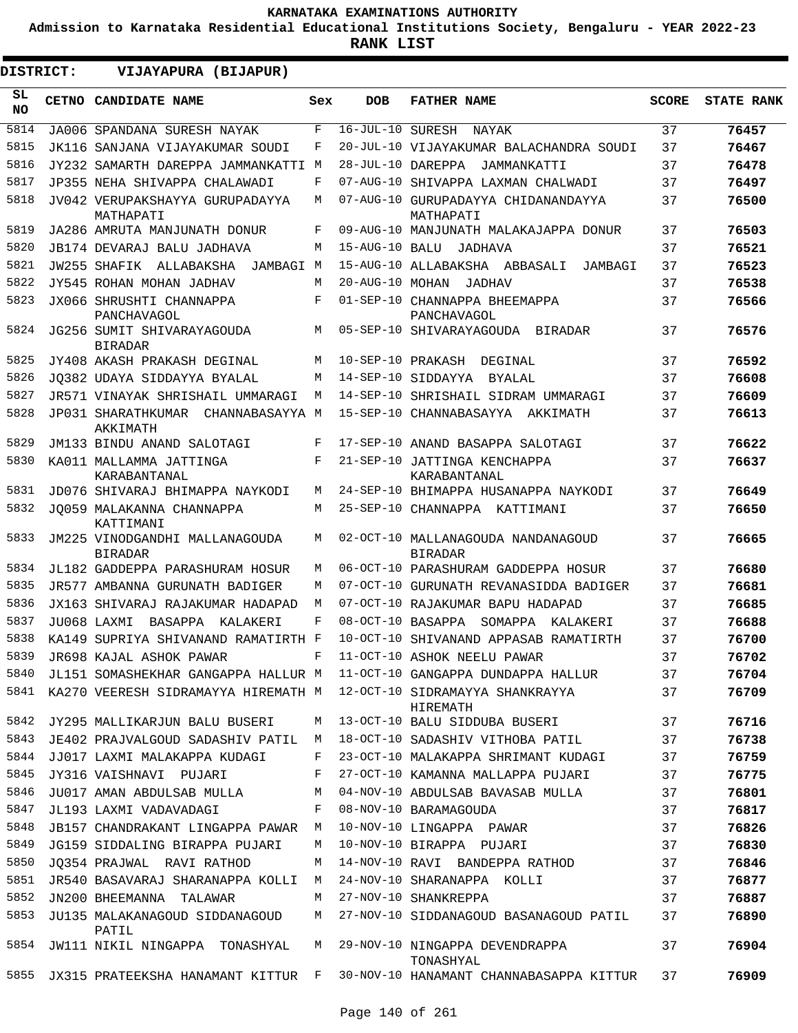**Admission to Karnataka Residential Educational Institutions Society, Bengaluru - YEAR 2022-23**

| DISTRICT:        | VIJAYAPURA (BIJAPUR)                                                |     |                   |                                                                         |              |                   |
|------------------|---------------------------------------------------------------------|-----|-------------------|-------------------------------------------------------------------------|--------------|-------------------|
| SL.<br><b>NO</b> | <b>CETNO CANDIDATE NAME</b>                                         | Sex | <b>DOB</b>        | <b>FATHER NAME</b>                                                      | <b>SCORE</b> | <b>STATE RANK</b> |
| 5814             | JA006 SPANDANA SURESH NAYAK                                         | F   | 16-JUL-10 SURESH  | NAYAK                                                                   | 37           | 76457             |
| 5815             | JK116 SANJANA VIJAYAKUMAR SOUDI                                     | F   |                   | 20-JUL-10 VIJAYAKUMAR BALACHANDRA SOUDI                                 | 37           | 76467             |
| 5816             | JY232 SAMARTH DAREPPA JAMMANKATTI M                                 |     | 28-JUL-10 DAREPPA | JAMMANKATTI                                                             | 37           | 76478             |
| 5817             | JP355 NEHA SHIVAPPA CHALAWADI                                       | F   |                   | 07-AUG-10 SHIVAPPA LAXMAN CHALWADI                                      | 37           | 76497             |
| 5818             | JV042 VERUPAKSHAYYA GURUPADAYYA<br>MATHAPATI                        | М   |                   | 07-AUG-10 GURUPADAYYA CHIDANANDAYYA<br>MATHAPATI                        | 37           | 76500             |
| 5819             | JA286 AMRUTA MANJUNATH DONUR                                        | F   |                   | 09-AUG-10 MANJUNATH MALAKAJAPPA DONUR                                   | 37           | 76503             |
| 5820             | <b>JB174 DEVARAJ BALU JADHAVA</b>                                   | М   | 15-AUG-10 BALU    | JADHAVA                                                                 | 37           | 76521             |
| 5821             | JW255 SHAFIK<br>ALLABAKSHA<br>JAMBAGI M                             |     |                   | 15-AUG-10 ALLABAKSHA<br>ABBASALI<br>JAMBAGI                             | 37           | 76523             |
| 5822             | JY545 ROHAN MOHAN JADHAV                                            | М   | 20-AUG-10 MOHAN   | JADHAV                                                                  | 37           | 76538             |
| 5823             | JX066 SHRUSHTI CHANNAPPA<br>PANCHAVAGOL                             | F   |                   | 01-SEP-10 CHANNAPPA BHEEMAPPA<br>PANCHAVAGOL                            | 37           | 76566             |
| 5824             | JG256 SUMIT SHIVARAYAGOUDA<br><b>BIRADAR</b>                        | M   |                   | 05-SEP-10 SHIVARAYAGOUDA BIRADAR                                        | 37           | 76576             |
| 5825             | JY408 AKASH PRAKASH DEGINAL                                         | M   |                   | 10-SEP-10 PRAKASH DEGINAL                                               | 37           | 76592             |
| 5826             | JO382 UDAYA SIDDAYYA BYALAL                                         | М   |                   | 14-SEP-10 SIDDAYYA<br>BYALAL                                            | 37           | 76608             |
| 5827             | JR571 VINAYAK SHRISHAIL UMMARAGI                                    | М   |                   | 14-SEP-10 SHRISHAIL SIDRAM UMMARAGI                                     | 37           | 76609             |
| 5828             | JP031 SHARATHKUMAR CHANNABASAYYA M<br>AKKIMATH                      |     |                   | 15-SEP-10 CHANNABASAYYA<br>AKKIMATH                                     | 37           | 76613             |
| 5829             | JM133 BINDU ANAND SALOTAGI                                          | F   |                   | 17-SEP-10 ANAND BASAPPA SALOTAGI                                        | 37           | 76622             |
| 5830             | KA011 MALLAMMA JATTINGA<br>KARABANTANAL                             | F   |                   | 21-SEP-10 JATTINGA KENCHAPPA<br>KARABANTANAL                            | 37           | 76637             |
| 5831             | JD076 SHIVARAJ BHIMAPPA NAYKODI                                     | М   |                   | 24-SEP-10 BHIMAPPA HUSANAPPA NAYKODI                                    | 37           | 76649             |
| 5832             | JO059 MALAKANNA CHANNAPPA<br>KATTIMANI                              | М   |                   | 25-SEP-10 CHANNAPPA KATTIMANI                                           | 37           | 76650             |
| 5833             | JM225 VINODGANDHI MALLANAGOUDA<br><b>BIRADAR</b>                    | М   |                   | 02-OCT-10 MALLANAGOUDA NANDANAGOUD<br><b>BIRADAR</b>                    | 37           | 76665             |
| 5834             | JL182 GADDEPPA PARASHURAM HOSUR                                     | М   |                   | 06-OCT-10 PARASHURAM GADDEPPA HOSUR                                     | 37           | 76680             |
| 5835             | JR577 AMBANNA GURUNATH BADIGER                                      | М   |                   | 07-OCT-10 GURUNATH REVANASIDDA BADIGER                                  | 37           | 76681             |
| 5836             | JX163 SHIVARAJ RAJAKUMAR HADAPAD                                    | M   |                   | 07-OCT-10 RAJAKUMAR BAPU HADAPAD                                        | 37           | 76685             |
| 5837             | JU068 LAXMI<br>BASAPPA<br>KALAKERI                                  | F   | 08-OCT-10 BASAPPA | SOMAPPA<br>KALAKERI                                                     | 37           | 76688             |
| 5838             | KA149 SUPRIYA SHIVANAND RAMATIRTH F                                 |     |                   | 10-OCT-10 SHIVANAND APPASAB RAMATIRTH                                   | 37           | 76700             |
| 5839             | JR698 KAJAL ASHOK PAWAR                                             | F   |                   | 11-OCT-10 ASHOK NEELU PAWAR                                             | 37           | 76702             |
| 5840             |                                                                     |     |                   | JL151 SOMASHEKHAR GANGAPPA HALLUR M  11-OCT-10 GANGAPPA DUNDAPPA HALLUR | 37           | 76704             |
| 5841             | KA270 VEERESH SIDRAMAYYA HIREMATH M 12-OCT-10 SIDRAMAYYA SHANKRAYYA |     |                   | HIREMATH                                                                | 37           | 76709             |
| 5842             | JY295 MALLIKARJUN BALU BUSERI                                       | M   |                   | 13-OCT-10 BALU SIDDUBA BUSERI                                           | 37           | 76716             |
| 5843             | JE402 PRAJVALGOUD SADASHIV PATIL                                    | M   |                   | 18-OCT-10 SADASHIV VITHOBA PATIL                                        | 37           | 76738             |
| 5844             | JJ017 LAXMI MALAKAPPA KUDAGI                                        | F   |                   | 23-OCT-10 MALAKAPPA SHRIMANT KUDAGI                                     | 37           | 76759             |
| 5845             | JY316 VAISHNAVI PUJARI                                              | F   |                   | 27-OCT-10 KAMANNA MALLAPPA PUJARI                                       | 37           | 76775             |
| 5846             | JU017 AMAN ABDULSAB MULLA                                           | M   |                   | 04-NOV-10 ABDULSAB BAVASAB MULLA                                        | 37           | 76801             |
| 5847             | JL193 LAXMI VADAVADAGI                                              | F   |                   | 08-NOV-10 BARAMAGOUDA                                                   | 37           | 76817             |
| 5848             | JB157 CHANDRAKANT LINGAPPA PAWAR M                                  |     |                   | 10-NOV-10 LINGAPPA PAWAR                                                | 37           | 76826             |
| 5849             | JG159 SIDDALING BIRAPPA PUJARI                                      | M   |                   | 10-NOV-10 BIRAPPA PUJARI                                                | 37           | 76830             |
| 5850             | JO354 PRAJWAL RAVI RATHOD                                           | M   |                   | 14-NOV-10 RAVI BANDEPPA RATHOD                                          | 37           | 76846             |
| 5851             | JR540 BASAVARAJ SHARANAPPA KOLLI                                    | M   |                   | 24-NOV-10 SHARANAPPA KOLLI                                              | 37           | 76877             |
| 5852             | JN200 BHEEMANNA TALAWAR                                             | M   |                   | 27-NOV-10 SHANKREPPA                                                    | 37           | 76887             |
| 5853             | JU135 MALAKANAGOUD SIDDANAGOUD<br>PATIL                             | M   |                   | 27-NOV-10 SIDDANAGOUD BASANAGOUD PATIL                                  | 37           | 76890             |
| 5854             | JW111 NIKIL NINGAPPA TONASHYAL                                      | M   |                   | 29-NOV-10 NINGAPPA DEVENDRAPPA<br>TONASHYAL                             | 37           | 76904             |
| 5855             | JX315 PRATEEKSHA HANAMANT KITTUR F                                  |     |                   | 30-NOV-10 HANAMANT CHANNABASAPPA KITTUR                                 | 37           | 76909             |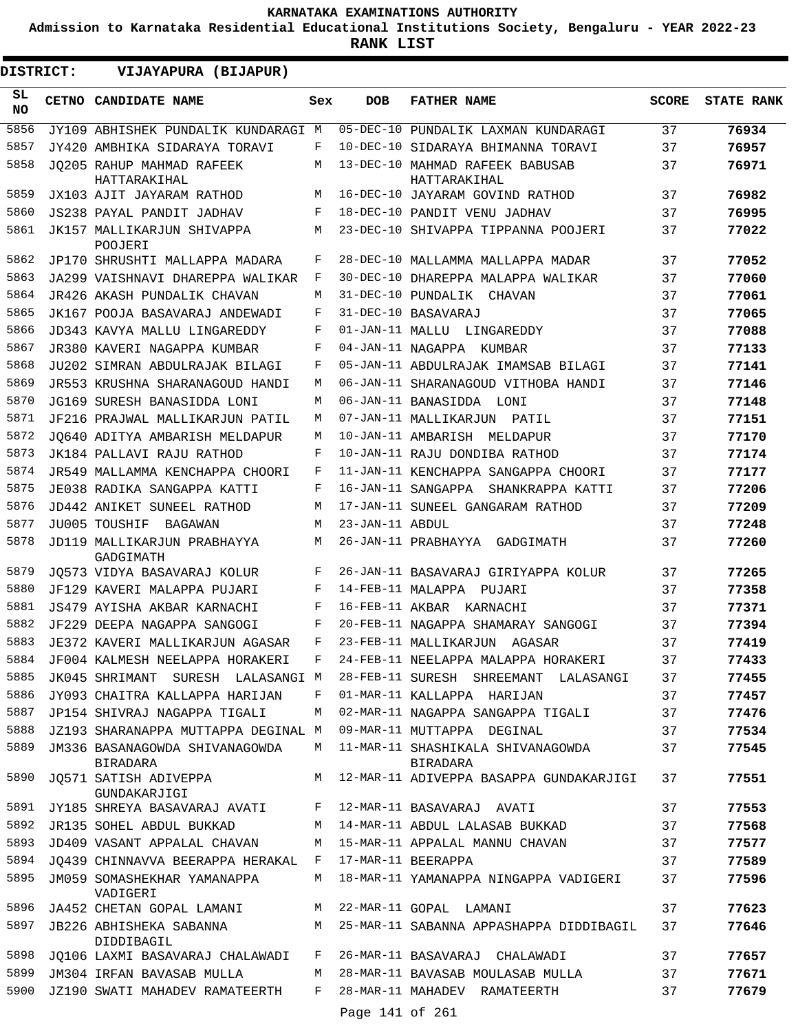**Admission to Karnataka Residential Educational Institutions Society, Bengaluru - YEAR 2022-23**

**RANK LIST**

**DISTRICT:** EE **VIJAYAPURA (BIJAPUR)**

| SL<br><b>NO</b> | CETNO CANDIDATE NAME                              | Sex | <b>DOB</b>        | <b>FATHER NAME</b>                              | <b>SCORE</b> | <b>STATE RANK</b> |
|-----------------|---------------------------------------------------|-----|-------------------|-------------------------------------------------|--------------|-------------------|
| 5856            | JY109 ABHISHEK PUNDALIK KUNDARAGI M               |     |                   | 05-DEC-10 PUNDALIK LAXMAN KUNDARAGI             | 37           | 76934             |
| 5857            | JY420 AMBHIKA SIDARAYA TORAVI                     | F   |                   | 10-DEC-10 SIDARAYA BHIMANNA TORAVI              | 37           | 76957             |
| 5858            | JQ205 RAHUP MAHMAD RAFEEK<br>HATTARAKIHAL         | M   |                   | 13-DEC-10 MAHMAD RAFEEK BABUSAB<br>HATTARAKIHAL | 37           | 76971             |
| 5859            | JX103 AJIT JAYARAM RATHOD                         | M   |                   | 16-DEC-10 JAYARAM GOVIND RATHOD                 | 37           | 76982             |
| 5860            | JS238 PAYAL PANDIT JADHAV                         | F   |                   | 18-DEC-10 PANDIT VENU JADHAV                    | 37           | 76995             |
| 5861            | JK157 MALLIKARJUN SHIVAPPA                        | M   |                   | 23-DEC-10 SHIVAPPA TIPPANNA POOJERI             | 37           | 77022             |
|                 | POOJERI                                           |     |                   |                                                 |              |                   |
| 5862            | JP170 SHRUSHTI MALLAPPA MADARA                    | F   |                   | 28-DEC-10 MALLAMMA MALLAPPA MADAR               | 37           | 77052             |
| 5863            | JA299 VAISHNAVI DHAREPPA WALIKAR                  | F   |                   | 30-DEC-10 DHAREPPA MALAPPA WALIKAR              | 37           | 77060             |
| 5864            | JR426 AKASH PUNDALIK CHAVAN                       | М   |                   | 31-DEC-10 PUNDALIK CHAVAN                       | 37           | 77061             |
| 5865            | JK167 POOJA BASAVARAJ ANDEWADI                    | F   |                   | 31-DEC-10 BASAVARAJ                             | 37           | 77065             |
| 5866            | JD343 KAVYA MALLU LINGAREDDY                      | F   |                   | 01-JAN-11 MALLU LINGAREDDY                      | 37           | 77088             |
| 5867            | JR380 KAVERI NAGAPPA KUMBAR                       | F   | 04-JAN-11 NAGAPPA | KUMBAR                                          | 37           | 77133             |
| 5868            | JU202 SIMRAN ABDULRAJAK BILAGI                    | F   |                   | 05-JAN-11 ABDULRAJAK IMAMSAB BILAGI             | 37           | 77141             |
| 5869            | JR553 KRUSHNA SHARANAGOUD HANDI                   | M   |                   | 06-JAN-11 SHARANAGOUD VITHOBA HANDI             | 37           | 77146             |
| 5870            | JG169 SURESH BANASIDDA LONI                       | М   |                   | 06-JAN-11 BANASIDDA LONI                        | 37           | 77148             |
| 5871            | JF216 PRAJWAL MALLIKARJUN PATIL                   | M   |                   | 07-JAN-11 MALLIKARJUN<br>PATIL                  | 37           | 77151             |
| 5872            | JO640 ADITYA AMBARISH MELDAPUR                    | М   |                   | 10-JAN-11 AMBARISH MELDAPUR                     | 37           | 77170             |
| 5873            | JK184 PALLAVI RAJU RATHOD                         | F   |                   | 10-JAN-11 RAJU DONDIBA RATHOD                   | 37           | 77174             |
| 5874            | JR549 MALLAMMA KENCHAPPA CHOORI                   | F   |                   | 11-JAN-11 KENCHAPPA SANGAPPA CHOORI             | 37           | 77177             |
| 5875            | JE038 RADIKA SANGAPPA KATTI                       | F   |                   | 16-JAN-11 SANGAPPA SHANKRAPPA KATTI             | 37           | 77206             |
| 5876            | JD442 ANIKET SUNEEL RATHOD                        | М   |                   | 17-JAN-11 SUNEEL GANGARAM RATHOD                | 37           | 77209             |
| 5877            | JU005 TOUSHIF<br>BAGAWAN                          | M   | 23-JAN-11 ABDUL   |                                                 | 37           | 77248             |
| 5878            | JD119 MALLIKARJUN PRABHAYYA<br>GADGIMATH          | M   |                   | 26-JAN-11 PRABHAYYA GADGIMATH                   | 37           | 77260             |
| 5879            | JO573 VIDYA BASAVARAJ KOLUR                       | F   |                   | 26-JAN-11 BASAVARAJ GIRIYAPPA KOLUR             | 37           | 77265             |
| 5880            | JF129 KAVERI MALAPPA PUJARI                       | F   |                   | 14-FEB-11 MALAPPA PUJARI                        | 37           | 77358             |
| 5881            | JS479 AYISHA AKBAR KARNACHI                       | F   |                   | 16-FEB-11 AKBAR KARNACHI                        | 37           | 77371             |
| 5882            | JF229 DEEPA NAGAPPA SANGOGI                       | F   |                   | 20-FEB-11 NAGAPPA SHAMARAY SANGOGI              | 37           | 77394             |
| 5883            | JE372 KAVERI MALLIKARJUN AGASAR                   | F   |                   | 23-FEB-11 MALLIKARJUN<br>AGASAR                 | 37           | 77419             |
| 5884            | JF004 KALMESH NEELAPPA HORAKERI                   | F   |                   | 24-FEB-11 NEELAPPA MALAPPA HORAKERI             | 37           | 77433             |
| 5885            | JK045 SHRIMANT SURESH LALASANGI M                 |     |                   | 28-FEB-11 SURESH SHREEMANT LALASANGI            | 37           | 77455             |
| 5886            | JY093 CHAITRA KALLAPPA HARIJAN                    | F   |                   | 01-MAR-11 KALLAPPA HARIJAN                      | 37           | 77457             |
| 5887            | JP154 SHIVRAJ NAGAPPA TIGALI                      | М   |                   | 02-MAR-11 NAGAPPA SANGAPPA TIGALI               | 37           | 77476             |
| 5888            | JZ193 SHARANAPPA MUTTAPPA DEGINAL M               |     |                   | 09-MAR-11 MUTTAPPA DEGINAL                      | 37           | 77534             |
| 5889            | JM336 BASANAGOWDA SHIVANAGOWDA<br><b>BIRADARA</b> | М   |                   | 11-MAR-11 SHASHIKALA SHIVANAGOWDA<br>BIRADARA   | 37           | 77545             |
| 5890            | JO571 SATISH ADIVEPPA<br>GUNDAKARJIGI             | M   |                   | 12-MAR-11 ADIVEPPA BASAPPA GUNDAKARJIGI         | 37           | 77551             |
| 5891            | JY185 SHREYA BASAVARAJ AVATI                      | F   |                   | 12-MAR-11 BASAVARAJ AVATI                       | 37           | 77553             |
| 5892            | JR135 SOHEL ABDUL BUKKAD                          | М   |                   | 14-MAR-11 ABDUL LALASAB BUKKAD                  | 37           | 77568             |
| 5893            | JD409 VASANT APPALAL CHAVAN                       | М   |                   | 15-MAR-11 APPALAL MANNU CHAVAN                  | 37           | 77577             |
| 5894            | JQ439 CHINNAVVA BEERAPPA HERAKAL                  | F   |                   | 17-MAR-11 BEERAPPA                              | 37           | 77589             |
| 5895            | JM059 SOMASHEKHAR YAMANAPPA<br>VADIGERI           | М   |                   | 18-MAR-11 YAMANAPPA NINGAPPA VADIGERI           | 37           | 77596             |
| 5896            | JA452 CHETAN GOPAL LAMANI                         | M   |                   | 22-MAR-11 GOPAL LAMANI                          | 37           | 77623             |
| 5897            | JB226 ABHISHEKA SABANNA<br>DIDDIBAGIL             | М   |                   | 25-MAR-11 SABANNA APPASHAPPA DIDDIBAGIL         | 37           | 77646             |
| 5898            | JQ106 LAXMI BASAVARAJ CHALAWADI                   | F   |                   | 26-MAR-11 BASAVARAJ CHALAWADI                   | 37           | 77657             |
| 5899            | JM304 IRFAN BAVASAB MULLA                         | М   |                   | 28-MAR-11 BAVASAB MOULASAB MULLA                | 37           | 77671             |
| 5900            | JZ190 SWATI MAHADEV RAMATEERTH                    | F   |                   | 28-MAR-11 MAHADEV RAMATEERTH                    | 37           | 77679             |
|                 |                                                   |     | Page 141 of 261   |                                                 |              |                   |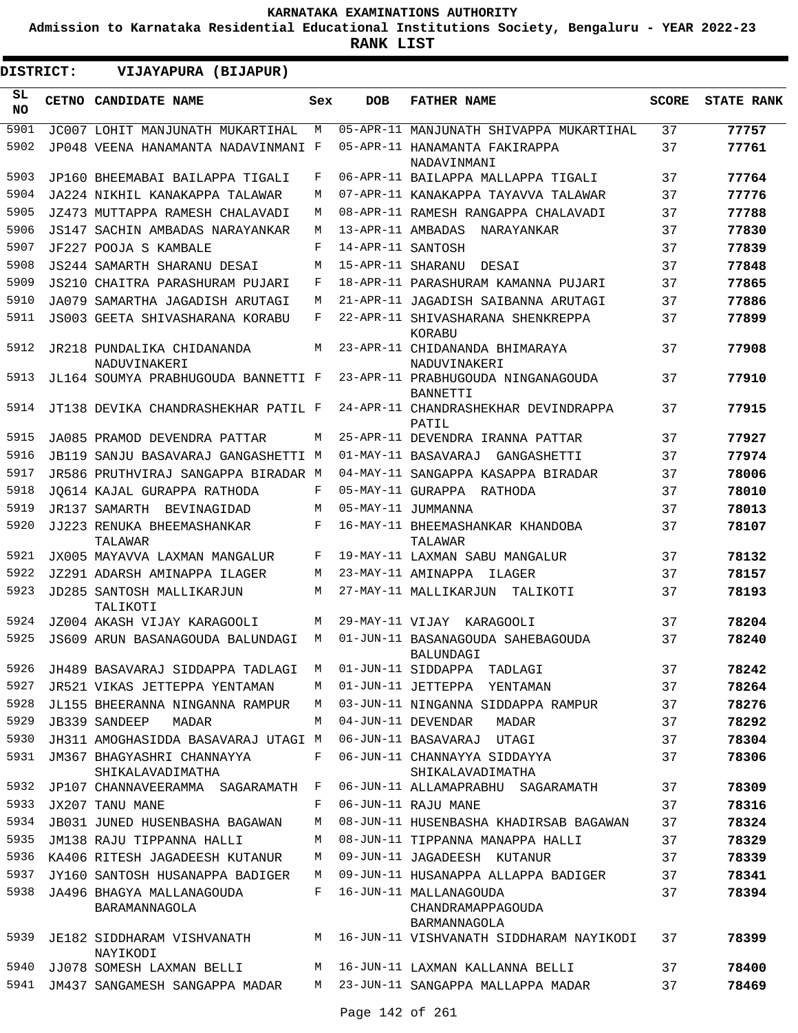**Admission to Karnataka Residential Educational Institutions Society, Bengaluru - YEAR 2022-23**

| DISTRICT:  | VIJAYAPURA (BIJAPUR)                           |     |                   |                                                         |              |                   |
|------------|------------------------------------------------|-----|-------------------|---------------------------------------------------------|--------------|-------------------|
| SL.<br>NO. | CETNO CANDIDATE NAME                           | Sex | <b>DOB</b>        | <b>FATHER NAME</b>                                      | <b>SCORE</b> | <b>STATE RANK</b> |
| 5901       | JC007 LOHIT MANJUNATH MUKARTIHAL               | М   |                   | 05-APR-11 MANJUNATH SHIVAPPA MUKARTIHAL                 | 37           | 77757             |
| 5902       | JP048 VEENA HANAMANTA NADAVINMANI F            |     |                   | 05-APR-11 HANAMANTA FAKIRAPPA<br>NADAVINMANI            | 37           | 77761             |
| 5903       | JP160 BHEEMABAI BAILAPPA TIGALI                | F   |                   | 06-APR-11 BAILAPPA MALLAPPA TIGALI                      | 37           | 77764             |
| 5904       | JA224 NIKHIL KANAKAPPA TALAWAR                 | М   |                   | 07-APR-11 KANAKAPPA TAYAVVA TALAWAR                     | 37           | 77776             |
| 5905       | JZ473 MUTTAPPA RAMESH CHALAVADI                | М   |                   | 08-APR-11 RAMESH RANGAPPA CHALAVADI                     | 37           | 77788             |
| 5906       | JS147 SACHIN AMBADAS NARAYANKAR                | М   | 13-APR-11 AMBADAS | NARAYANKAR                                              | 37           | 77830             |
| 5907       | JF227 POOJA S KAMBALE                          | F   | 14-APR-11 SANTOSH |                                                         | 37           | 77839             |
| 5908       | <b>JS244 SAMARTH SHARANU DESAI</b>             | М   | 15-APR-11 SHARANU | DESAI                                                   | 37           | 77848             |
| 5909       | JS210 CHAITRA PARASHURAM PUJARI                | F   |                   | 18-APR-11 PARASHURAM KAMANNA PUJARI                     | 37           | 77865             |
| 5910       | JA079 SAMARTHA JAGADISH ARUTAGI                | М   |                   | 21-APR-11 JAGADISH SAIBANNA ARUTAGI                     | 37           | 77886             |
| 5911       | JS003 GEETA SHIVASHARANA KORABU                | F   |                   | 22-APR-11 SHIVASHARANA SHENKREPPA<br>KORABU             | 37           | 77899             |
| 5912       | JR218 PUNDALIKA CHIDANANDA<br>NADUVINAKERI     | M   |                   | 23-APR-11 CHIDANANDA BHIMARAYA<br>NADUVINAKERI          | 37           | 77908             |
| 5913       | JL164 SOUMYA PRABHUGOUDA BANNETTI F            |     |                   | 23-APR-11 PRABHUGOUDA NINGANAGOUDA<br><b>BANNETTI</b>   | 37           | 77910             |
| 5914       | JT138 DEVIKA CHANDRASHEKHAR PATIL F            |     |                   | 24-APR-11 CHANDRASHEKHAR DEVINDRAPPA<br>PATIL           | 37           | 77915             |
| 5915       | JA085 PRAMOD DEVENDRA PATTAR                   | M   |                   | 25-APR-11 DEVENDRA IRANNA PATTAR                        | 37           | 77927             |
| 5916       | JB119 SANJU BASAVARAJ GANGASHETTI M            |     |                   | 01-MAY-11 BASAVARAJ<br>GANGASHETTI                      | 37           | 77974             |
| 5917       | JR586 PRUTHVIRAJ SANGAPPA BIRADAR M            |     |                   | 04-MAY-11 SANGAPPA KASAPPA BIRADAR                      | 37           | 78006             |
| 5918       | JO614 KAJAL GURAPPA RATHODA                    | F   |                   | 05-MAY-11 GURAPPA<br>RATHODA                            | 37           | 78010             |
| 5919       | JR137 SAMARTH BEVINAGIDAD                      | М   |                   | 05-MAY-11 JUMMANNA                                      | 37           | 78013             |
| 5920       | JJ223 RENUKA BHEEMASHANKAR<br>TALAWAR          | F   |                   | 16-MAY-11 BHEEMASHANKAR KHANDOBA<br>TALAWAR             | 37           | 78107             |
| 5921       | JX005 MAYAVVA LAXMAN MANGALUR                  | F   |                   | 19-MAY-11 LAXMAN SABU MANGALUR                          | 37           | 78132             |
| 5922       | JZ291 ADARSH AMINAPPA ILAGER                   | М   |                   | 23-MAY-11 AMINAPPA<br>ILAGER                            | 37           | 78157             |
| 5923       | JD285 SANTOSH MALLIKARJUN<br>TALIKOTI          | М   |                   | 27-MAY-11 MALLIKARJUN<br>TALIKOTI                       | 37           | 78193             |
| 5924       | JZ004 AKASH VIJAY KARAGOOLI                    | М   |                   | 29-MAY-11 VIJAY KARAGOOLI                               | 37           | 78204             |
| 5925       | JS609 ARUN BASANAGOUDA BALUNDAGI               | М   |                   | 01-JUN-11 BASANAGOUDA SAHEBAGOUDA<br><b>BALUNDAGI</b>   | 37           | 78240             |
| 5926       | JH489 BASAVARAJ SIDDAPPA TADLAGI               | М   |                   | 01-JUN-11 SIDDAPPA<br>TADLAGI                           | 37           | 78242             |
| 5927       | JR521 VIKAS JETTEPPA YENTAMAN                  | М   |                   | 01-JUN-11 JETTEPPA YENTAMAN                             | 37           | 78264             |
| 5928       | JL155 BHEERANNA NINGANNA RAMPUR                | M   |                   | 03-JUN-11 NINGANNA SIDDAPPA RAMPUR                      | 37           | 78276             |
| 5929       | JB339 SANDEEP<br>MADAR                         | М   |                   | 04-JUN-11 DEVENDAR MADAR                                | 37           | 78292             |
| 5930       | JH311 AMOGHASIDDA BASAVARAJ UTAGI M            |     |                   | 06-JUN-11 BASAVARAJ UTAGI                               | 37           | 78304             |
| 5931       | JM367 BHAGYASHRI CHANNAYYA<br>SHIKALAVADIMATHA | F   |                   | 06-JUN-11 CHANNAYYA SIDDAYYA<br>SHIKALAVADIMATHA        | 37           | 78306             |
| 5932       | JP107 CHANNAVEERAMMA SAGARAMATH                | F   |                   | 06-JUN-11 ALLAMAPRABHU SAGARAMATH                       | 37           | 78309             |
| 5933       | JX207 TANU MANE                                | F   |                   | 06-JUN-11 RAJU MANE                                     | 37           | 78316             |
| 5934       | JB031 JUNED HUSENBASHA BAGAWAN                 | М   |                   | 08-JUN-11 HUSENBASHA KHADIRSAB BAGAWAN                  | 37           | 78324             |
| 5935       | JM138 RAJU TIPPANNA HALLI                      | М   |                   | 08-JUN-11 TIPPANNA MANAPPA HALLI                        | 37           | 78329             |
| 5936       | KA406 RITESH JAGADEESH KUTANUR                 | М   |                   | 09-JUN-11 JAGADEESH KUTANUR                             | 37           | 78339             |
| 5937       | JY160 SANTOSH HUSANAPPA BADIGER                | М   |                   | 09-JUN-11 HUSANAPPA ALLAPPA BADIGER                     | 37           | 78341             |
| 5938       | JA496 BHAGYA MALLANAGOUDA<br>BARAMANNAGOLA     | F   |                   | 16-JUN-11 MALLANAGOUDA<br>CHANDRAMAPPAGOUDA             | 37           | 78394             |
| 5939       | JE182 SIDDHARAM VISHVANATH<br>NAYIKODI         | M   |                   | BARMANNAGOLA<br>16-JUN-11 VISHVANATH SIDDHARAM NAYIKODI | 37           | 78399             |
| 5940       | JJ078 SOMESH LAXMAN BELLI                      | М   |                   | 16-JUN-11 LAXMAN KALLANNA BELLI                         | 37           | 78400             |
| 5941       | JM437 SANGAMESH SANGAPPA MADAR                 | M   |                   | 23-JUN-11 SANGAPPA MALLAPPA MADAR                       | 37           | 78469             |
|            |                                                |     |                   |                                                         |              |                   |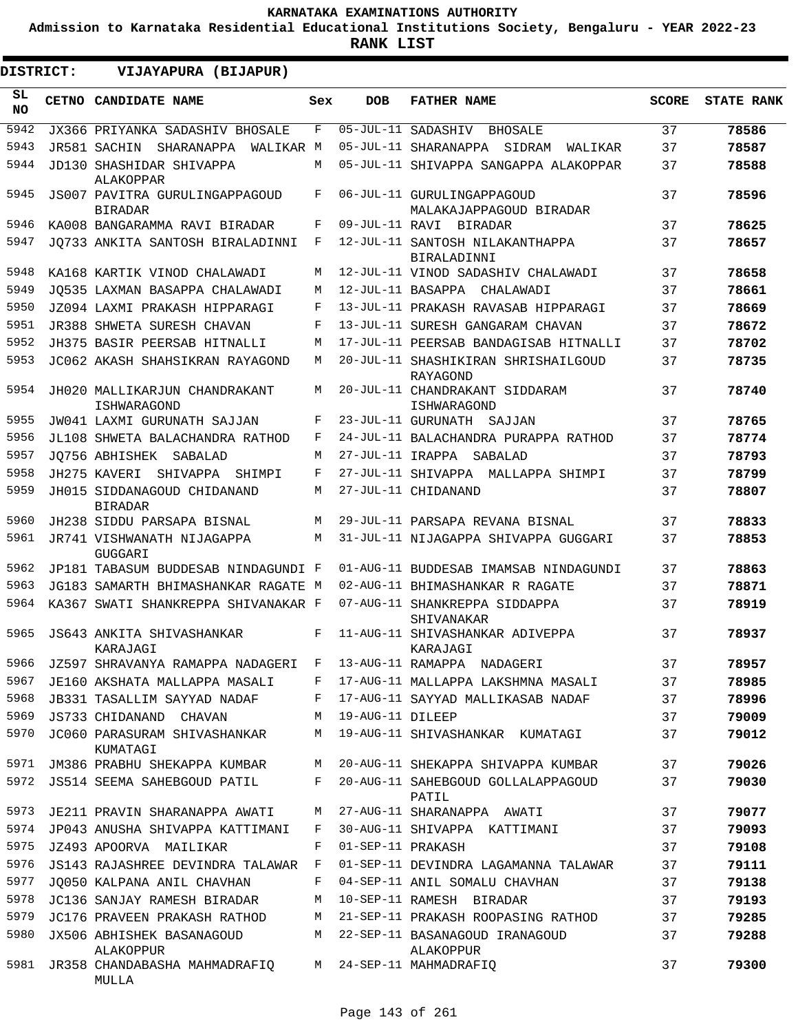**Admission to Karnataka Residential Educational Institutions Society, Bengaluru - YEAR 2022-23**

**RANK LIST**

 $\blacksquare$ 

| <b>DISTRICT:</b> |  | VIJAYAPURA (BIJAPUR)                             |     |                   |                                                       |              |                   |
|------------------|--|--------------------------------------------------|-----|-------------------|-------------------------------------------------------|--------------|-------------------|
| SL<br>NO.        |  | CETNO CANDIDATE NAME                             | Sex | <b>DOB</b>        | <b>FATHER NAME</b>                                    | <b>SCORE</b> | <b>STATE RANK</b> |
| 5942             |  | JX366 PRIYANKA SADASHIV BHOSALE                  | F   |                   | 05-JUL-11 SADASHIV<br>BHOSALE                         | 37           | 78586             |
| 5943             |  | JR581 SACHIN SHARANAPPA WALIKAR M                |     |                   | 05-JUL-11 SHARANAPPA SIDRAM WALIKAR                   | 37           | 78587             |
| 5944             |  | JD130 SHASHIDAR SHIVAPPA<br>ALAKOPPAR            | M   |                   | 05-JUL-11 SHIVAPPA SANGAPPA ALAKOPPAR                 | 37           | 78588             |
| 5945             |  | JS007 PAVITRA GURULINGAPPAGOUD<br><b>BIRADAR</b> | F   |                   | 06-JUL-11 GURULINGAPPAGOUD<br>MALAKAJAPPAGOUD BIRADAR | 37           | 78596             |
| 5946             |  | KA008 BANGARAMMA RAVI BIRADAR                    | F   |                   | 09-JUL-11 RAVI BIRADAR                                | 37           | 78625             |
| 5947             |  | JO733 ANKITA SANTOSH BIRALADINNI                 | F   |                   | 12-JUL-11 SANTOSH NILAKANTHAPPA<br>BIRALADINNI        | 37           | 78657             |
| 5948             |  | KA168 KARTIK VINOD CHALAWADI                     | M   |                   | 12-JUL-11 VINOD SADASHIV CHALAWADI                    | 37           | 78658             |
| 5949             |  | JO535 LAXMAN BASAPPA CHALAWADI                   | M   |                   | 12-JUL-11 BASAPPA CHALAWADI                           | 37           | 78661             |
| 5950             |  | JZ094 LAXMI PRAKASH HIPPARAGI                    | F   |                   | 13-JUL-11 PRAKASH RAVASAB HIPPARAGI                   | 37           | 78669             |
| 5951             |  | <b>JR388 SHWETA SURESH CHAVAN</b>                | F   |                   | 13-JUL-11 SURESH GANGARAM CHAVAN                      | 37           | 78672             |
| 5952             |  | JH375 BASIR PEERSAB HITNALLI                     | М   |                   | 17-JUL-11 PEERSAB BANDAGISAB HITNALLI                 | 37           | 78702             |
| 5953             |  | JC062 AKASH SHAHSIKRAN RAYAGOND                  | М   |                   | 20-JUL-11 SHASHIKIRAN SHRISHAILGOUD<br>RAYAGOND       | 37           | 78735             |
| 5954             |  | JH020 MALLIKARJUN CHANDRAKANT<br>ISHWARAGOND     | М   |                   | 20-JUL-11 CHANDRAKANT SIDDARAM<br>ISHWARAGOND         | 37           | 78740             |
| 5955             |  | JW041 LAXMI GURUNATH SAJJAN                      | F   |                   | 23-JUL-11 GURUNATH SAJJAN                             | 37           | 78765             |
| 5956             |  | JL108 SHWETA BALACHANDRA RATHOD                  | F   |                   | 24-JUL-11 BALACHANDRA PURAPPA RATHOD                  | 37           | 78774             |
| 5957             |  | JO756 ABHISHEK SABALAD                           | М   |                   | 27-JUL-11 IRAPPA SABALAD                              | 37           | 78793             |
| 5958             |  | JH275 KAVERI<br>SHIVAPPA<br>SHIMPI               | F   |                   | 27-JUL-11 SHIVAPPA MALLAPPA SHIMPI                    | 37           | 78799             |
| 5959             |  | JH015 SIDDANAGOUD CHIDANAND<br><b>BIRADAR</b>    | M   |                   | 27-JUL-11 CHIDANAND                                   | 37           | 78807             |
| 5960             |  | JH238 SIDDU PARSAPA BISNAL                       | M   |                   | 29-JUL-11 PARSAPA REVANA BISNAL                       | 37           | 78833             |
| 5961             |  | JR741 VISHWANATH NIJAGAPPA<br><b>GUGGARI</b>     | M   |                   | 31-JUL-11 NIJAGAPPA SHIVAPPA GUGGARI                  | 37           | 78853             |
| 5962             |  | JP181 TABASUM BUDDESAB NINDAGUNDI F              |     |                   | 01-AUG-11 BUDDESAB IMAMSAB NINDAGUNDI                 | 37           | 78863             |
| 5963             |  | JG183 SAMARTH BHIMASHANKAR RAGATE M              |     |                   | 02-AUG-11 BHIMASHANKAR R RAGATE                       | 37           | 78871             |
| 5964             |  | KA367 SWATI SHANKREPPA SHIVANAKAR F              |     |                   | 07-AUG-11 SHANKREPPA SIDDAPPA<br>SHIVANAKAR           | 37           | 78919             |
| 5965             |  | JS643 ANKITA SHIVASHANKAR<br>KARAJAGI            | F   |                   | 11-AUG-11 SHIVASHANKAR ADIVEPPA<br>KARAJAGI           | 37           | 78937             |
| 5966             |  | JZ597 SHRAVANYA RAMAPPA NADAGERI F               |     |                   | 13-AUG-11 RAMAPPA NADAGERI                            | 37           | 78957             |
| 5967             |  | JE160 AKSHATA MALLAPPA MASALI                    | F   |                   | 17-AUG-11 MALLAPPA LAKSHMNA MASALI                    | 37           | 78985             |
| 5968             |  | JB331 TASALLIM SAYYAD NADAF                      | F   |                   | 17-AUG-11 SAYYAD MALLIKASAB NADAF                     | 37           | 78996             |
| 5969             |  | JS733 CHIDANAND CHAVAN                           | М   | 19-AUG-11 DILEEP  |                                                       | 37           | 79009             |
| 5970             |  | JC060 PARASURAM SHIVASHANKAR<br>KUMATAGI         | М   |                   | 19-AUG-11 SHIVASHANKAR KUMATAGI                       | 37           | 79012             |
| 5971             |  | JM386 PRABHU SHEKAPPA KUMBAR                     | М   |                   | 20-AUG-11 SHEKAPPA SHIVAPPA KUMBAR                    | 37           | 79026             |
| 5972             |  | JS514 SEEMA SAHEBGOUD PATIL                      | F   |                   | 20-AUG-11 SAHEBGOUD GOLLALAPPAGOUD<br>PATIL           | 37           | 79030             |
| 5973             |  | JE211 PRAVIN SHARANAPPA AWATI                    | М   |                   | 27-AUG-11 SHARANAPPA AWATI                            | 37           | 79077             |
| 5974             |  | JP043 ANUSHA SHIVAPPA KATTIMANI                  | F   |                   | 30-AUG-11 SHIVAPPA KATTIMANI                          | 37           | 79093             |
| 5975             |  | JZ493 APOORVA MAILIKAR                           | F   | 01-SEP-11 PRAKASH |                                                       | 37           | 79108             |
| 5976             |  | <b>JS143 RAJASHREE DEVINDRA TALAWAR</b>          | F   |                   | 01-SEP-11 DEVINDRA LAGAMANNA TALAWAR                  | 37           | 79111             |
| 5977             |  | JO050 KALPANA ANIL CHAVHAN                       | F   |                   | 04-SEP-11 ANIL SOMALU CHAVHAN                         | 37           | 79138             |
| 5978             |  | JC136 SANJAY RAMESH BIRADAR                      | М   |                   | 10-SEP-11 RAMESH BIRADAR                              | 37           | 79193             |
| 5979             |  | JC176 PRAVEEN PRAKASH RATHOD                     | М   |                   | 21-SEP-11 PRAKASH ROOPASING RATHOD                    | 37           | 79285             |
| 5980             |  | JX506 ABHISHEK BASANAGOUD<br>ALAKOPPUR           | M   |                   | 22-SEP-11 BASANAGOUD IRANAGOUD<br>ALAKOPPUR           | 37           | 79288             |
| 5981             |  | JR358 CHANDABASHA MAHMADRAFIQ<br>MULLA           | M   |                   | 24-SEP-11 MAHMADRAFIQ                                 | 37           | 79300             |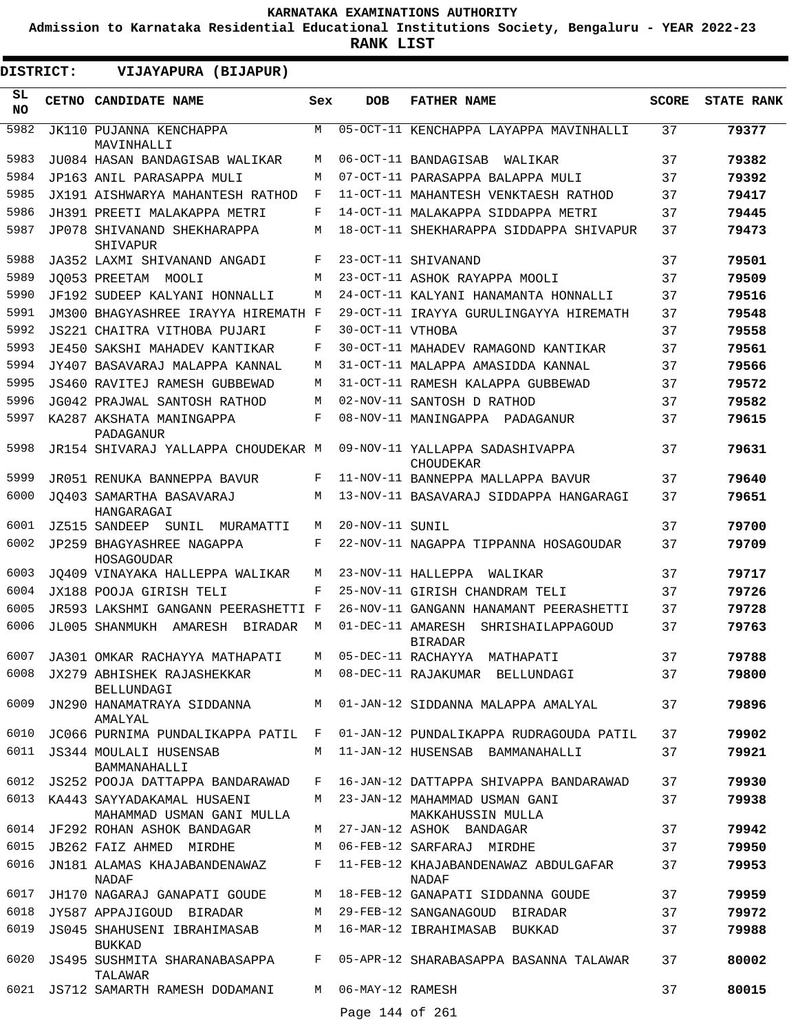**Admission to Karnataka Residential Educational Institutions Society, Bengaluru - YEAR 2022-23**

**RANK LIST**

.

| DISTRICT:       | VIJAYAPURA (BIJAPUR)                                         |              |                   |                                                                               |              |                   |
|-----------------|--------------------------------------------------------------|--------------|-------------------|-------------------------------------------------------------------------------|--------------|-------------------|
| SL<br><b>NO</b> | <b>CETNO CANDIDATE NAME</b>                                  | Sex          | <b>DOB</b>        | <b>FATHER NAME</b>                                                            | <b>SCORE</b> | <b>STATE RANK</b> |
| 5982            | JK110 PUJANNA KENCHAPPA<br>MAVINHALLI                        | M            |                   | 05-OCT-11 KENCHAPPA LAYAPPA MAVINHALLI                                        | 37           | 79377             |
| 5983            | JU084 HASAN BANDAGISAB WALIKAR                               | М            |                   | 06-OCT-11 BANDAGISAB<br>WALIKAR                                               | 37           | 79382             |
| 5984            | JP163 ANIL PARASAPPA MULI                                    | M            |                   | 07-OCT-11 PARASAPPA BALAPPA MULI                                              | 37           | 79392             |
| 5985            | JX191 AISHWARYA MAHANTESH RATHOD                             | F            |                   | 11-OCT-11 MAHANTESH VENKTAESH RATHOD                                          | 37           | 79417             |
| 5986            | JH391 PREETI MALAKAPPA METRI                                 | F            |                   | 14-OCT-11 MALAKAPPA SIDDAPPA METRI                                            | 37           | 79445             |
| 5987            | JP078 SHIVANAND SHEKHARAPPA<br>SHIVAPUR                      | М            |                   | 18-OCT-11 SHEKHARAPPA SIDDAPPA SHIVAPUR                                       | 37           | 79473             |
| 5988            | JA352 LAXMI SHIVANAND ANGADI                                 | F            |                   | 23-OCT-11 SHIVANAND                                                           | 37           | 79501             |
| 5989            | JO053 PREETAM MOOLI                                          | М            |                   | 23-OCT-11 ASHOK RAYAPPA MOOLI                                                 | 37           | 79509             |
| 5990            | JF192 SUDEEP KALYANI HONNALLI                                | М            |                   | 24-OCT-11 KALYANI HANAMANTA HONNALLI                                          | 37           | 79516             |
| 5991            | JM300 BHAGYASHREE IRAYYA HIREMATH F                          |              |                   | 29-OCT-11 IRAYYA GURULINGAYYA HIREMATH                                        | 37           | 79548             |
| 5992            | JS221 CHAITRA VITHOBA PUJARI                                 | F            | 30-OCT-11 VTHOBA  |                                                                               | 37           | 79558             |
| 5993            | JE450 SAKSHI MAHADEV KANTIKAR                                | F            |                   | 30-OCT-11 MAHADEV RAMAGOND KANTIKAR                                           | 37           | 79561             |
| 5994            | JY407 BASAVARAJ MALAPPA KANNAL                               | М            |                   | 31-OCT-11 MALAPPA AMASIDDA KANNAL                                             | 37           | 79566             |
| 5995            | JS460 RAVITEJ RAMESH GUBBEWAD                                | М            |                   | 31-OCT-11 RAMESH KALAPPA GUBBEWAD                                             | 37           | 79572             |
| 5996            | JG042 PRAJWAL SANTOSH RATHOD                                 | М            |                   | 02-NOV-11 SANTOSH D RATHOD                                                    | 37           | 79582             |
| 5997            | KA287 AKSHATA MANINGAPPA<br>PADAGANUR                        | F            |                   | 08-NOV-11 MANINGAPPA PADAGANUR                                                | 37           | 79615             |
| 5998            | JR154 SHIVARAJ YALLAPPA CHOUDEKAR M                          |              |                   | 09-NOV-11 YALLAPPA SADASHIVAPPA<br>CHOUDEKAR                                  | 37           | 79631             |
| 5999            | JR051 RENUKA BANNEPPA BAVUR                                  | F            |                   | 11-NOV-11 BANNEPPA MALLAPPA BAVUR                                             | 37           | 79640             |
| 6000            | JO403 SAMARTHA BASAVARAJ<br>HANGARAGAI                       | М            |                   | 13-NOV-11 BASAVARAJ SIDDAPPA HANGARAGI                                        | 37           | 79651             |
| 6001            | JZ515 SANDEEP SUNIL<br>MURAMATTI                             | М            | 20-NOV-11 SUNIL   |                                                                               | 37           | 79700             |
| 6002            | JP259 BHAGYASHREE NAGAPPA<br>HOSAGOUDAR                      | F            |                   | 22-NOV-11 NAGAPPA TIPPANNA HOSAGOUDAR                                         | 37           | 79709             |
| 6003            | JO409 VINAYAKA HALLEPPA WALIKAR                              | М            |                   | 23-NOV-11 HALLEPPA WALIKAR                                                    | 37           | 79717             |
| 6004            | JX188 POOJA GIRISH TELI                                      | F            |                   | 25-NOV-11 GIRISH CHANDRAM TELI                                                | 37           | 79726             |
| 6005            | JR593 LAKSHMI GANGANN PEERASHETTI F                          |              |                   | 26-NOV-11 GANGANN HANAMANT PEERASHETTI                                        | 37           | 79728             |
| 6006            | JL005 SHANMUKH AMARESH BIRADAR                               | M            | 01-DEC-11 AMARESH | SHRISHAILAPPAGOUD<br><b>BIRADAR</b>                                           | 37           | 79763             |
| 6007            | JA301 OMKAR RACHAYYA MATHAPATI                               |              |                   | M 05-DEC-11 RACHAYYA MATHAPATI                                                | 37           | 79788             |
| 6008            | JX279 ABHISHEK RAJASHEKKAR<br>BELLUNDAGI                     |              |                   | M 08-DEC-11 RAJAKUMAR BELLUNDAGI                                              | 37           | 79800             |
| 6009            | AMALYAL                                                      |              |                   | JN290 HANAMATRAYA SIDDANNA             M   01-JAN-12 SIDDANNA MALAPPA AMALYAL | 37           | 79896             |
| 6010            | JC066 PURNIMA PUNDALIKAPPA PATIL                             | $\mathbf{F}$ |                   | 01-JAN-12 PUNDALIKAPPA RUDRAGOUDA PATIL                                       | 37           | 79902             |
|                 | 6011 JS344 MOULALI HUSENSAB<br>BAMMANAHALLI                  | M            |                   | 11-JAN-12 HUSENSAB BAMMANAHALLI                                               | 37           | 79921             |
| 6012            | JS252 POOJA DATTAPPA BANDARAWAD                              | F            |                   | 16-JAN-12 DATTAPPA SHIVAPPA BANDARAWAD                                        | 37           | 79930             |
|                 | 6013 KA443 SAYYADAKAMAL HUSAENI<br>MAHAMMAD USMAN GANI MULLA | M            |                   | 23-JAN-12 MAHAMMAD USMAN GANI<br>MAKKAHUSSIN MULLA                            | 37           | 79938             |
| 6014            | JF292 ROHAN ASHOK BANDAGAR                                   | M            |                   | 27-JAN-12 ASHOK BANDAGAR                                                      | 37           | 79942             |
| 6015            | JB262 FAIZ AHMED MIRDHE                                      | M            |                   | 06-FEB-12 SARFARAJ MIRDHE                                                     | 37           | 79950             |
| 6016            | JN181 ALAMAS KHAJABANDENAWAZ<br>NADAF                        | F            |                   | 11-FEB-12 KHAJABANDENAWAZ ABDULGAFAR<br>NADAF                                 | 37           | 79953             |
| 6017            | JH170 NAGARAJ GANAPATI GOUDE                                 |              |                   | M 18-FEB-12 GANAPATI SIDDANNA GOUDE                                           | 37           | 79959             |
| 6018            | JY587 APPAJIGOUD BIRADAR                                     | M            |                   | 29-FEB-12 SANGANAGOUD BIRADAR                                                 | 37           | 79972             |
| 6019            | JS045 SHAHUSENI IBRAHIMASAB<br><b>BUKKAD</b>                 | M            |                   | 16-MAR-12 IBRAHIMASAB BUKKAD                                                  | 37           | 79988             |
| 6020            | JS495 SUSHMITA SHARANABASAPPA<br>TALAWAR                     | F            |                   | 05-APR-12 SHARABASAPPA BASANNA TALAWAR                                        | 37           | 80002             |
| 6021            | JS712 SAMARTH RAMESH DODAMANI                                | M            | 06-MAY-12 RAMESH  |                                                                               | 37           | 80015             |
|                 |                                                              |              | Page 144 of 261   |                                                                               |              |                   |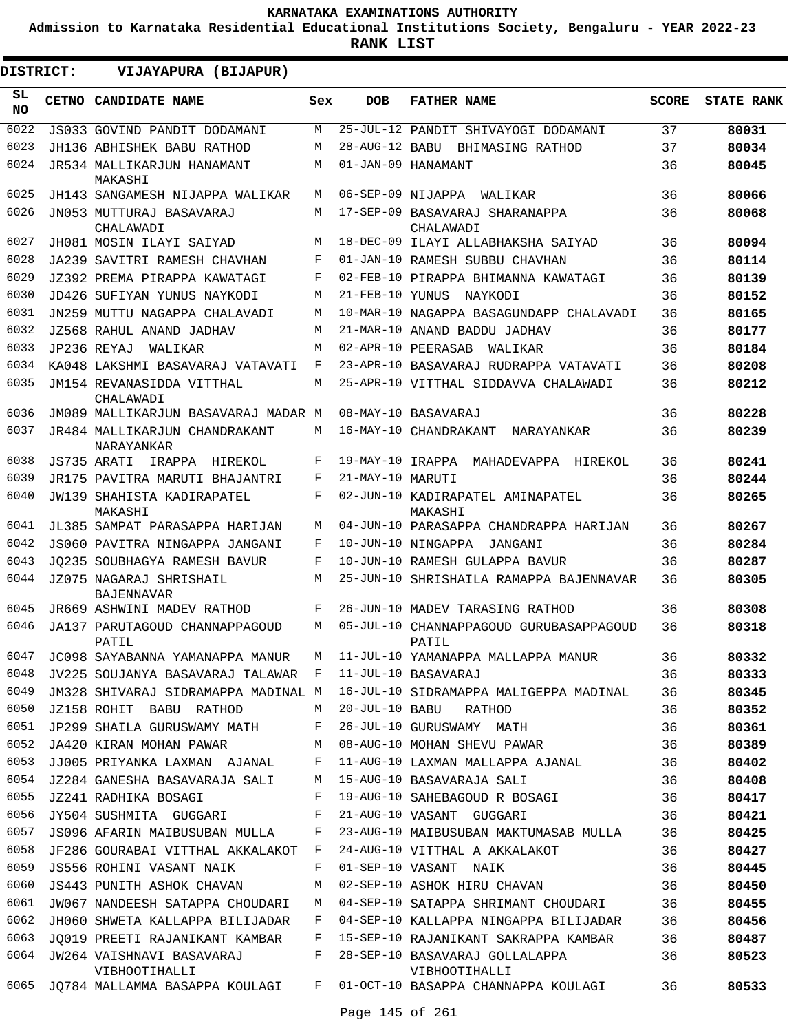**Admission to Karnataka Residential Educational Institutions Society, Bengaluru - YEAR 2022-23**

**RANK LIST**

ı

| <b>DISTRICT:</b> |  | VIJAYAPURA (BIJAPUR)                         |     |                   |                                                  |              |                   |
|------------------|--|----------------------------------------------|-----|-------------------|--------------------------------------------------|--------------|-------------------|
| SL<br><b>NO</b>  |  | CETNO CANDIDATE NAME                         | Sex | <b>DOB</b>        | <b>FATHER NAME</b>                               | <b>SCORE</b> | <b>STATE RANK</b> |
| 6022             |  | JS033 GOVIND PANDIT DODAMANI                 | М   |                   | 25-JUL-12 PANDIT SHIVAYOGI DODAMANI              | 37           | 80031             |
| 6023             |  | JH136 ABHISHEK BABU RATHOD                   | М   |                   | 28-AUG-12 BABU BHIMASING RATHOD                  | 37           | 80034             |
| 6024             |  | JR534 MALLIKARJUN HANAMANT<br>MAKASHI        | М   |                   | 01-JAN-09 HANAMANT                               | 36           | 80045             |
| 6025             |  | JH143 SANGAMESH NIJAPPA WALIKAR              | М   | 06-SEP-09 NIJAPPA | WALIKAR                                          | 36           | 80066             |
| 6026             |  | JN053 MUTTURAJ BASAVARAJ<br>CHALAWADI        | М   |                   | 17-SEP-09 BASAVARAJ SHARANAPPA<br>CHALAWADI      | 36           | 80068             |
| 6027             |  | JH081 MOSIN ILAYI SAIYAD                     | M   |                   | 18-DEC-09 ILAYI ALLABHAKSHA SAIYAD               | 36           | 80094             |
| 6028             |  | JA239 SAVITRI RAMESH CHAVHAN                 | F   |                   | 01-JAN-10 RAMESH SUBBU CHAVHAN                   | 36           | 80114             |
| 6029             |  | JZ392 PREMA PIRAPPA KAWATAGI                 | F   |                   | 02-FEB-10 PIRAPPA BHIMANNA KAWATAGI              | 36           | 80139             |
| 6030             |  | JD426 SUFIYAN YUNUS NAYKODI                  | M   | 21-FEB-10 YUNUS   | NAYKODI                                          | 36           | 80152             |
| 6031             |  | JN259 MUTTU NAGAPPA CHALAVADI                | M   |                   | 10-MAR-10 NAGAPPA BASAGUNDAPP CHALAVADI          | 36           | 80165             |
| 6032             |  | JZ568 RAHUL ANAND JADHAV                     | M   |                   | 21-MAR-10 ANAND BADDU JADHAV                     | 36           | 80177             |
| 6033             |  | JP236 REYAJ<br>WALIKAR                       | М   |                   | 02-APR-10 PEERASAB<br>WALIKAR                    | 36           | 80184             |
| 6034             |  | KA048 LAKSHMI BASAVARAJ VATAVATI             | F   |                   | 23-APR-10 BASAVARAJ RUDRAPPA VATAVATI            | 36           | 80208             |
| 6035             |  | JM154 REVANASIDDA VITTHAL<br>CHALAWADI       | M   |                   | 25-APR-10 VITTHAL SIDDAVVA CHALAWADI             | 36           | 80212             |
| 6036             |  | JM089 MALLIKARJUN BASAVARAJ MADAR M          |     |                   | 08-MAY-10 BASAVARAJ                              | 36           | 80228             |
| 6037             |  | JR484 MALLIKARJUN CHANDRAKANT<br>NARAYANKAR  | М   |                   | 16-MAY-10 CHANDRAKANT<br><b>NARAYANKAR</b>       | 36           | 80239             |
| 6038             |  | JS735 ARATI<br>IRAPPA<br>HIREKOL             | F   | 19-MAY-10 IRAPPA  | MAHADEVAPPA<br>HIREKOL                           | 36           | 80241             |
| 6039             |  | JR175 PAVITRA MARUTI BHAJANTRI               | F   | 21-MAY-10 MARUTI  |                                                  | 36           | 80244             |
| 6040             |  | <b>JW139 SHAHISTA KADIRAPATEL</b><br>MAKASHI | F   |                   | 02-JUN-10 KADIRAPATEL AMINAPATEL<br>MAKASHI      | 36           | 80265             |
| 6041             |  | JL385 SAMPAT PARASAPPA HARIJAN               | M   |                   | 04-JUN-10 PARASAPPA CHANDRAPPA HARIJAN           | 36           | 80267             |
| 6042             |  | JS060 PAVITRA NINGAPPA JANGANI               | F   |                   | 10-JUN-10 NINGAPPA<br>JANGANI                    | 36           | 80284             |
| 6043             |  | JO235 SOUBHAGYA RAMESH BAVUR                 | F   |                   | 10-JUN-10 RAMESH GULAPPA BAVUR                   | 36           | 80287             |
| 6044             |  | JZ075 NAGARAJ SHRISHAIL<br><b>BAJENNAVAR</b> | М   |                   | 25-JUN-10 SHRISHAILA RAMAPPA BAJENNAVAR          | 36           | 80305             |
| 6045             |  | JR669 ASHWINI MADEV RATHOD                   | F   |                   | 26-JUN-10 MADEV TARASING RATHOD                  | 36           | 80308             |
| 6046             |  | JA137 PARUTAGOUD CHANNAPPAGOUD<br>PATIL      | М   |                   | 05-JUL-10 CHANNAPPAGOUD GURUBASAPPAGOUD<br>PATIL | 36           | 80318             |
| 6047             |  | JC098 SAYABANNA YAMANAPPA MANUR              | M   |                   | 11-JUL-10 YAMANAPPA MALLAPPA MANUR               | 36           | 80332             |
| 6048             |  | JV225 SOUJANYA BASAVARAJ TALAWAR F           |     |                   | 11-JUL-10 BASAVARAJ                              | 36           | 80333             |
| 6049             |  | JM328 SHIVARAJ SIDRAMAPPA MADINAL M          |     |                   | 16-JUL-10 SIDRAMAPPA MALIGEPPA MADINAL           | 36           | 80345             |
| 6050             |  | JZ158 ROHIT BABU RATHOD                      | М   | 20-JUL-10 BABU    | RATHOD                                           | 36           | 80352             |
| 6051             |  | JP299 SHAILA GURUSWAMY MATH                  | F   |                   | 26-JUL-10 GURUSWAMY MATH                         | 36           | 80361             |
| 6052             |  | JA420 KIRAN MOHAN PAWAR                      | M   |                   | 08-AUG-10 MOHAN SHEVU PAWAR                      | 36           | 80389             |
| 6053             |  | JJ005 PRIYANKA LAXMAN AJANAL                 | F   |                   | 11-AUG-10 LAXMAN MALLAPPA AJANAL                 | 36           | 80402             |
| 6054             |  | JZ284 GANESHA BASAVARAJA SALI                | M   |                   | 15-AUG-10 BASAVARAJA SALI                        | 36           | 80408             |
| 6055             |  | JZ241 RADHIKA BOSAGI                         | F   |                   | 19-AUG-10 SAHEBAGOUD R BOSAGI                    | 36           | 80417             |
| 6056             |  | JY504 SUSHMITA GUGGARI                       | F   |                   | 21-AUG-10 VASANT GUGGARI                         | 36           | 80421             |
| 6057             |  | JS096 AFARIN MAIBUSUBAN MULLA                | F   |                   | 23-AUG-10 MAIBUSUBAN MAKTUMASAB MULLA            | 36           | 80425             |
| 6058             |  | JF286 GOURABAI VITTHAL AKKALAKOT             | F   |                   | 24-AUG-10 VITTHAL A AKKALAKOT                    | 36           | 80427             |
| 6059             |  | JS556 ROHINI VASANT NAIK                     | F   |                   | 01-SEP-10 VASANT NAIK                            | 36           | 80445             |
| 6060             |  | JS443 PUNITH ASHOK CHAVAN                    | М   |                   | 02-SEP-10 ASHOK HIRU CHAVAN                      | 36           | 80450             |
| 6061             |  | JW067 NANDEESH SATAPPA CHOUDARI              | M   |                   | 04-SEP-10 SATAPPA SHRIMANT CHOUDARI              | 36           | 80455             |
| 6062             |  | JH060 SHWETA KALLAPPA BILIJADAR              | F   |                   | 04-SEP-10 KALLAPPA NINGAPPA BILIJADAR            | 36           | 80456             |
| 6063             |  | JQ019 PREETI RAJANIKANT KAMBAR               | F   |                   | 15-SEP-10 RAJANIKANT SAKRAPPA KAMBAR             | 36           | 80487             |
| 6064             |  | JW264 VAISHNAVI BASAVARAJ<br>VIBHOOTIHALLI   | F   |                   | 28-SEP-10 BASAVARAJ GOLLALAPPA<br>VIBHOOTIHALLI  | 36           | 80523             |
| 6065             |  | JQ784 MALLAMMA BASAPPA KOULAGI               | F   |                   | 01-OCT-10 BASAPPA CHANNAPPA KOULAGI              | 36           | 80533             |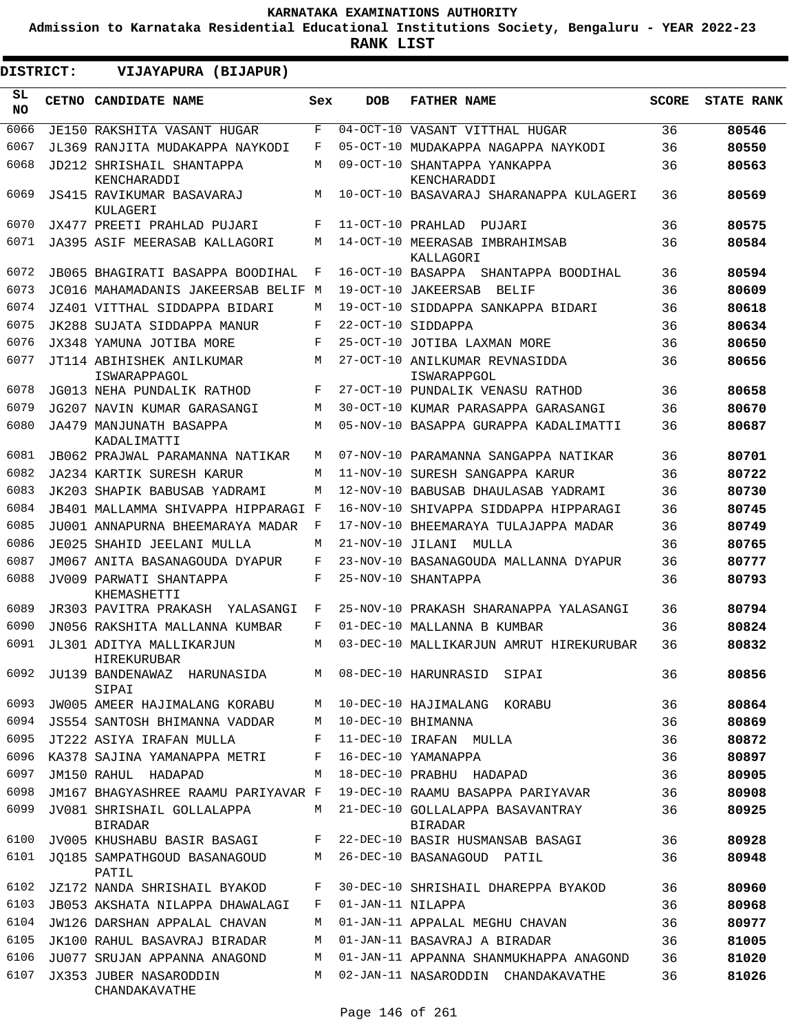**Admission to Karnataka Residential Educational Institutions Society, Bengaluru - YEAR 2022-23**

| DISTRICT:       | VIJAYAPURA (BIJAPUR)                         |     |                   |                                               |              |                   |
|-----------------|----------------------------------------------|-----|-------------------|-----------------------------------------------|--------------|-------------------|
| SL<br><b>NO</b> | <b>CETNO CANDIDATE NAME</b>                  | Sex | <b>DOB</b>        | <b>FATHER NAME</b>                            | <b>SCORE</b> | <b>STATE RANK</b> |
| 6066            | <b>JE150 RAKSHITA VASANT HUGAR</b>           | F   |                   | 04-OCT-10 VASANT VITTHAL HUGAR                | 36           | 80546             |
| 6067            | JL369 RANJITA MUDAKAPPA NAYKODI              | F   |                   | 05-OCT-10 MUDAKAPPA NAGAPPA NAYKODI           | 36           | 80550             |
| 6068            | JD212 SHRISHAIL SHANTAPPA<br>KENCHARADDI     | M   |                   | 09-OCT-10 SHANTAPPA YANKAPPA<br>KENCHARADDI   | 36           | 80563             |
| 6069            | JS415 RAVIKUMAR BASAVARAJ<br>KULAGERI        | М   |                   | 10-OCT-10 BASAVARAJ SHARANAPPA KULAGERI       | 36           | 80569             |
| 6070            | JX477 PREETI PRAHLAD PUJARI                  | F   | 11-OCT-10 PRAHLAD | PUJARI                                        | 36           | 80575             |
| 6071            | JA395 ASIF MEERASAB KALLAGORI                | M   |                   | 14-OCT-10 MEERASAB IMBRAHIMSAB<br>KALLAGORI   | 36           | 80584             |
| 6072            | JB065 BHAGIRATI BASAPPA BOODIHAL             | F   | 16-OCT-10 BASAPPA | SHANTAPPA BOODIHAL                            | 36           | 80594             |
| 6073            | JC016 MAHAMADANIS JAKEERSAB BELIF M          |     |                   | 19-OCT-10 JAKEERSAB<br>BELIF                  | 36           | 80609             |
| 6074            | JZ401 VITTHAL SIDDAPPA BIDARI                | M   |                   | 19-OCT-10 SIDDAPPA SANKAPPA BIDARI            | 36           | 80618             |
| 6075            | JK288 SUJATA SIDDAPPA MANUR                  | F   |                   | 22-OCT-10 SIDDAPPA                            | 36           | 80634             |
| 6076            | JX348 YAMUNA JOTIBA MORE                     | F   |                   | 25-OCT-10 JOTIBA LAXMAN MORE                  | 36           | 80650             |
| 6077            | JT114 ABIHISHEK ANILKUMAR<br>ISWARAPPAGOL    | M   |                   | 27-OCT-10 ANILKUMAR REVNASIDDA<br>ISWARAPPGOL | 36           | 80656             |
| 6078            | JG013 NEHA PUNDALIK RATHOD                   | F   |                   | 27-OCT-10 PUNDALIK VENASU RATHOD              | 36           | 80658             |
| 6079            | JG207 NAVIN KUMAR GARASANGI                  | M   |                   | 30-OCT-10 KUMAR PARASAPPA GARASANGI           | 36           | 80670             |
| 6080            | JA479 MANJUNATH BASAPPA<br>KADALIMATTI       | M   |                   | 05-NOV-10 BASAPPA GURAPPA KADALIMATTI         | 36           | 80687             |
| 6081            | JB062 PRAJWAL PARAMANNA NATIKAR              | M   |                   | 07-NOV-10 PARAMANNA SANGAPPA NATIKAR          | 36           | 80701             |
| 6082            | JA234 KARTIK SURESH KARUR                    | M   |                   | 11-NOV-10 SURESH SANGAPPA KARUR               | 36           | 80722             |
| 6083            | JK203 SHAPIK BABUSAB YADRAMI                 | M   |                   | 12-NOV-10 BABUSAB DHAULASAB YADRAMI           | 36           | 80730             |
| 6084            | JB401 MALLAMMA SHIVAPPA HIPPARAGI F          |     |                   | 16-NOV-10 SHIVAPPA SIDDAPPA HIPPARAGI         | 36           | 80745             |
| 6085            | JU001 ANNAPURNA BHEEMARAYA MADAR             | F   |                   | 17-NOV-10 BHEEMARAYA TULAJAPPA MADAR          | 36           | 80749             |
| 6086            | JE025 SHAHID JEELANI MULLA                   | М   | 21-NOV-10 JILANI  | MULLA                                         | 36           | 80765             |
| 6087            | JM067 ANITA BASANAGOUDA DYAPUR               | F   |                   | 23-NOV-10 BASANAGOUDA MALLANNA DYAPUR         | 36           | 80777             |
| 6088            | JV009 PARWATI SHANTAPPA<br>KHEMASHETTI       | F   |                   | 25-NOV-10 SHANTAPPA                           | 36           | 80793             |
| 6089            | JR303 PAVITRA PRAKASH YALASANGI              | F   |                   | 25-NOV-10 PRAKASH SHARANAPPA YALASANGI        | 36           | 80794             |
| 6090            | JN056 RAKSHITA MALLANNA KUMBAR               | F   |                   | 01-DEC-10 MALLANNA B KUMBAR                   | 36           | 80824             |
| 6091            | JL301 ADITYA MALLIKARJUN<br>HIREKURUBAR      | M   |                   | 03-DEC-10 MALLIKARJUN AMRUT HIREKURUBAR       | 36           | 80832             |
| 6092            | JU139 BANDENAWAZ HARUNASIDA<br>SIPAI         | M   |                   | 08-DEC-10 HARUNRASID SIPAI                    | 36           | 80856             |
| 6093            | JW005 AMEER HAJIMALANG KORABU                | М   |                   | 10-DEC-10 HAJIMALANG KORABU                   | 36           | 80864             |
| 6094            | JS554 SANTOSH BHIMANNA VADDAR                | М   |                   | 10-DEC-10 BHIMANNA                            | 36           | 80869             |
| 6095            | JT222 ASIYA IRAFAN MULLA                     | F   |                   | 11-DEC-10 IRAFAN MULLA                        | 36           | 80872             |
| 6096            | KA378 SAJINA YAMANAPPA METRI                 | F   |                   | 16-DEC-10 YAMANAPPA                           | 36           | 80897             |
| 6097            | JM150 RAHUL HADAPAD                          | М   |                   | 18-DEC-10 PRABHU HADAPAD                      | 36           | 80905             |
| 6098            | JM167 BHAGYASHREE RAAMU PARIYAVAR F          |     |                   | 19-DEC-10 RAAMU BASAPPA PARIYAVAR             | 36           | 80908             |
| 6099            | JV081 SHRISHAIL GOLLALAPPA<br><b>BIRADAR</b> | М   |                   | 21-DEC-10 GOLLALAPPA BASAVANTRAY<br>BIRADAR   | 36           | 80925             |
| 6100            | JV005 KHUSHABU BASIR BASAGI                  | F   |                   | 22-DEC-10 BASIR HUSMANSAB BASAGI              | 36           | 80928             |
| 6101            | JO185 SAMPATHGOUD BASANAGOUD<br>PATIL        | M   |                   | 26-DEC-10 BASANAGOUD PATIL                    | 36           | 80948             |
| 6102            | JZ172 NANDA SHRISHAIL BYAKOD                 | F   |                   | 30-DEC-10 SHRISHAIL DHAREPPA BYAKOD           | 36           | 80960             |
| 6103            | JB053 AKSHATA NILAPPA DHAWALAGI              | F   | 01-JAN-11 NILAPPA |                                               | 36           | 80968             |
| 6104            | <b>JW126 DARSHAN APPALAL CHAVAN</b>          | М   |                   | 01-JAN-11 APPALAL MEGHU CHAVAN                | 36           | 80977             |
| 6105            | JK100 RAHUL BASAVRAJ BIRADAR                 | М   |                   | 01-JAN-11 BASAVRAJ A BIRADAR                  | 36           | 81005             |
| 6106            | JU077 SRUJAN APPANNA ANAGOND                 | М   |                   | 01-JAN-11 APPANNA SHANMUKHAPPA ANAGOND        | 36           | 81020             |
| 6107            | JX353 JUBER NASARODDIN<br>CHANDAKAVATHE      | М   |                   | 02-JAN-11 NASARODDIN CHANDAKAVATHE            | 36           | 81026             |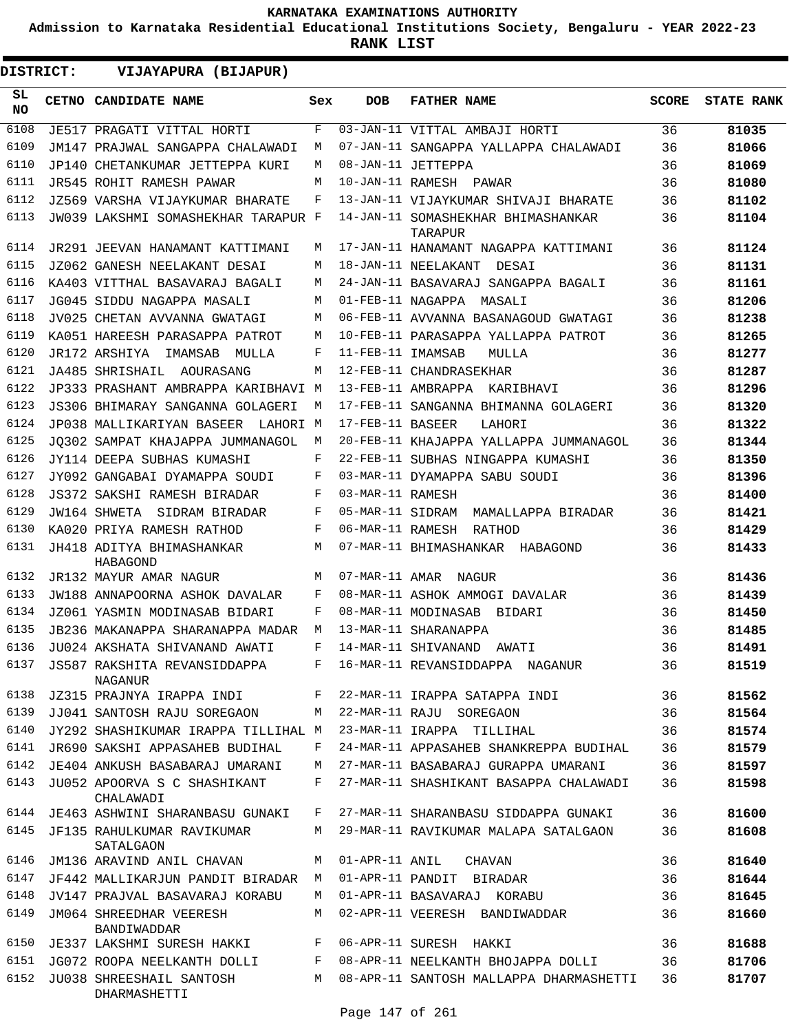**Admission to Karnataka Residential Educational Institutions Society, Bengaluru - YEAR 2022-23**

**RANK LIST**

**DISTRICT:** EE **VIJAYAPURA (BIJAPUR)**

| SL<br><b>NO</b> | CETNO CANDIDATE NAME                         | Sex | <b>DOB</b>        | <b>FATHER NAME</b>                            | SCORE | <b>STATE RANK</b> |
|-----------------|----------------------------------------------|-----|-------------------|-----------------------------------------------|-------|-------------------|
| 6108            | JE517 PRAGATI VITTAL HORTI                   | F   |                   | 03-JAN-11 VITTAL AMBAJI HORTI                 | 36    | 81035             |
| 6109            | JM147 PRAJWAL SANGAPPA CHALAWADI             | M   |                   | 07-JAN-11 SANGAPPA YALLAPPA CHALAWADI         | 36    | 81066             |
| 6110            | JP140 CHETANKUMAR JETTEPPA KURI              | М   |                   | 08-JAN-11 JETTEPPA                            | 36    | 81069             |
| 6111            | JR545 ROHIT RAMESH PAWAR                     | М   |                   | 10-JAN-11 RAMESH PAWAR                        | 36    | 81080             |
| 6112            | JZ569 VARSHA VIJAYKUMAR BHARATE              | F   |                   | 13-JAN-11 VIJAYKUMAR SHIVAJI BHARATE          | 36    | 81102             |
| 6113            | JW039 LAKSHMI SOMASHEKHAR TARAPUR F          |     |                   | 14-JAN-11 SOMASHEKHAR BHIMASHANKAR<br>TARAPUR | 36    | 81104             |
| 6114            | JR291 JEEVAN HANAMANT KATTIMANI              | М   |                   | 17-JAN-11 HANAMANT NAGAPPA KATTIMANI          | 36    | 81124             |
| 6115            | JZ062 GANESH NEELAKANT DESAI                 | М   |                   | 18-JAN-11 NEELAKANT<br>DESAI                  | 36    | 81131             |
| 6116            | KA403 VITTHAL BASAVARAJ BAGALI               | M   |                   | 24-JAN-11 BASAVARAJ SANGAPPA BAGALI           | 36    | 81161             |
| 6117            | JG045 SIDDU NAGAPPA MASALI                   | М   |                   | 01-FEB-11 NAGAPPA MASALI                      | 36    | 81206             |
| 6118            | JV025 CHETAN AVVANNA GWATAGI                 | М   |                   | 06-FEB-11 AVVANNA BASANAGOUD GWATAGI          | 36    | 81238             |
| 6119            | KA051 HAREESH PARASAPPA PATROT               | М   |                   | 10-FEB-11 PARASAPPA YALLAPPA PATROT           | 36    | 81265             |
| 6120            | JR172 ARSHIYA<br>IMAMSAB MULLA               | F   | 11-FEB-11 IMAMSAB | MULLA                                         | 36    | 81277             |
| 6121            | JA485 SHRISHAIL AOURASANG                    | М   |                   | 12-FEB-11 CHANDRASEKHAR                       | 36    | 81287             |
| 6122            | JP333 PRASHANT AMBRAPPA KARIBHAVI M          |     |                   | 13-FEB-11 AMBRAPPA KARIBHAVI                  | 36    | 81296             |
| 6123            | JS306 BHIMARAY SANGANNA GOLAGERI             | M   |                   | 17-FEB-11 SANGANNA BHIMANNA GOLAGERI          | 36    | 81320             |
| 6124            | JP038 MALLIKARIYAN BASEER LAHORI M           |     | 17-FEB-11 BASEER  | LAHORI                                        | 36    | 81322             |
| 6125            | JO302 SAMPAT KHAJAPPA JUMMANAGOL             | M   |                   | 20-FEB-11 KHAJAPPA YALLAPPA JUMMANAGOL        | 36    | 81344             |
| 6126            | JY114 DEEPA SUBHAS KUMASHI                   | F   |                   | 22-FEB-11 SUBHAS NINGAPPA KUMASHI             | 36    | 81350             |
| 6127            | JY092 GANGABAI DYAMAPPA SOUDI                | F   |                   | 03-MAR-11 DYAMAPPA SABU SOUDI                 | 36    | 81396             |
| 6128            | JS372 SAKSHI RAMESH BIRADAR                  | F   | 03-MAR-11 RAMESH  |                                               | 36    | 81400             |
| 6129            | JW164 SHWETA SIDRAM BIRADAR                  | F   |                   | 05-MAR-11 SIDRAM MAMALLAPPA BIRADAR           | 36    | 81421             |
| 6130            | KA020 PRIYA RAMESH RATHOD                    | F   |                   | 06-MAR-11 RAMESH RATHOD                       | 36    | 81429             |
| 6131            | JH418 ADITYA BHIMASHANKAR<br>HABAGOND        | M   |                   | 07-MAR-11 BHIMASHANKAR HABAGOND               | 36    | 81433             |
| 6132            | JR132 MAYUR AMAR NAGUR                       | М   |                   | 07-MAR-11 AMAR NAGUR                          | 36    | 81436             |
| 6133            | JW188 ANNAPOORNA ASHOK DAVALAR               | F   |                   | 08-MAR-11 ASHOK AMMOGI DAVALAR                | 36    | 81439             |
| 6134            | JZ061 YASMIN MODINASAB BIDARI                | F   |                   | 08-MAR-11 MODINASAB BIDARI                    | 36    | 81450             |
| 6135            | JB236 MAKANAPPA SHARANAPPA MADAR             | М   |                   | 13-MAR-11 SHARANAPPA                          | 36    | 81485             |
| 6136            | JU024 AKSHATA SHIVANAND AWATI                | F   |                   | 14-MAR-11 SHIVANAND<br>AWATI                  | 36    | 81491             |
|                 | 6137 JS587 RAKSHITA REVANSIDDAPPA<br>NAGANUR | F   |                   | 16-MAR-11 REVANSIDDAPPA NAGANUR               | 36    | 81519             |
| 6138            | JZ315 PRAJNYA IRAPPA INDI                    | F   |                   | 22-MAR-11 IRAPPA SATAPPA INDI                 | 36    | 81562             |
| 6139            | JJ041 SANTOSH RAJU SOREGAON                  | M   |                   | 22-MAR-11 RAJU SOREGAON                       | 36    | 81564             |
| 6140            | JY292 SHASHIKUMAR IRAPPA TILLIHAL M          |     |                   | 23-MAR-11 IRAPPA TILLIHAL                     | 36    | 81574             |
| 6141            | JR690 SAKSHI APPASAHEB BUDIHAL               | F   |                   | 24-MAR-11 APPASAHEB SHANKREPPA BUDIHAL        | 36    | 81579             |
| 6142            | JE404 ANKUSH BASABARAJ UMARANI               | М   |                   | 27-MAR-11 BASABARAJ GURAPPA UMARANI           | 36    | 81597             |
| 6143            | JU052 APOORVA S C SHASHIKANT<br>CHALAWADI    | F   |                   | 27-MAR-11 SHASHIKANT BASAPPA CHALAWADI        | 36    | 81598             |
| 6144            | JE463 ASHWINI SHARANBASU GUNAKI              | F   |                   | 27-MAR-11 SHARANBASU SIDDAPPA GUNAKI          | 36    | 81600             |
| 6145            | JF135 RAHULKUMAR RAVIKUMAR<br>SATALGAON      | М   |                   | 29-MAR-11 RAVIKUMAR MALAPA SATALGAON          | 36    | 81608             |
| 6146            | JM136 ARAVIND ANIL CHAVAN                    | М   | 01-APR-11 ANIL    | CHAVAN                                        | 36    | 81640             |
| 6147            | JF442 MALLIKARJUN PANDIT BIRADAR             | M   |                   | 01-APR-11 PANDIT BIRADAR                      | 36    | 81644             |
| 6148            | JV147 PRAJVAL BASAVARAJ KORABU               | М   |                   | 01-APR-11 BASAVARAJ KORABU                    | 36    | 81645             |
| 6149            | JM064 SHREEDHAR VEERESH<br>BANDIWADDAR       | М   |                   | 02-APR-11 VEERESH BANDIWADDAR                 | 36    | 81660             |
| 6150            | JE337 LAKSHMI SURESH HAKKI                   | F   |                   | 06-APR-11 SURESH HAKKI                        | 36    | 81688             |
| 6151            | JG072 ROOPA NEELKANTH DOLLI                  | F   |                   | 08-APR-11 NEELKANTH BHOJAPPA DOLLI            | 36    | 81706             |
| 6152            | JU038 SHREESHAIL SANTOSH<br>DHARMASHETTI     | М   |                   | 08-APR-11 SANTOSH MALLAPPA DHARMASHETTI       | 36    | 81707             |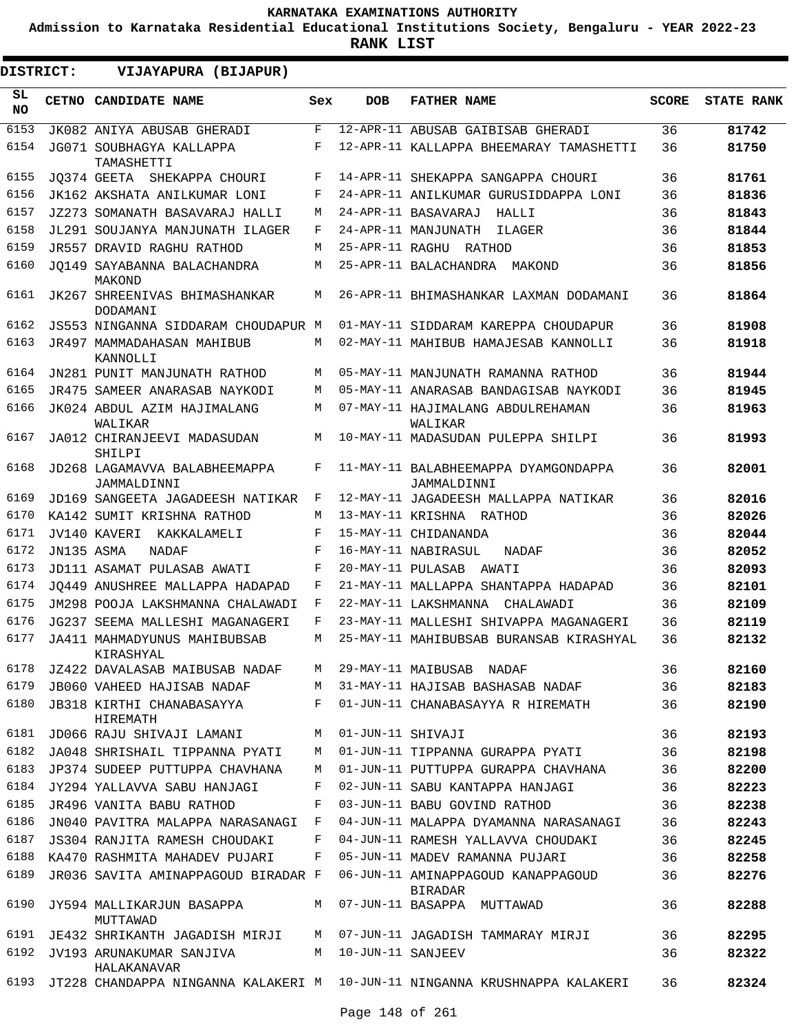**Admission to Karnataka Residential Educational Institutions Society, Bengaluru - YEAR 2022-23**

| DISTRICT:       |            | VIJAYAPURA (BIJAPUR)                         |              |                   |                                                                            |              |                   |
|-----------------|------------|----------------------------------------------|--------------|-------------------|----------------------------------------------------------------------------|--------------|-------------------|
| SL<br><b>NO</b> |            | CETNO CANDIDATE NAME                         | Sex          | <b>DOB</b>        | <b>FATHER NAME</b>                                                         | <b>SCORE</b> | <b>STATE RANK</b> |
| 6153            |            | JK082 ANIYA ABUSAB GHERADI                   | $\mathbf{F}$ |                   | 12-APR-11 ABUSAB GAIBISAB GHERADI                                          | 36           | 81742             |
| 6154            |            | JG071 SOUBHAGYA KALLAPPA<br>TAMASHETTI       | F            |                   | 12-APR-11 KALLAPPA BHEEMARAY TAMASHETTI                                    | 36           | 81750             |
| 6155            |            | JO374 GEETA SHEKAPPA CHOURI                  | F            |                   | 14-APR-11 SHEKAPPA SANGAPPA CHOURI                                         | 36           | 81761             |
| 6156            |            | JK162 AKSHATA ANILKUMAR LONI                 | F            |                   | 24-APR-11 ANILKUMAR GURUSIDDAPPA LONI                                      | 36           | 81836             |
| 6157            |            | JZ273 SOMANATH BASAVARAJ HALLI               | М            |                   | 24-APR-11 BASAVARAJ<br>HALLI                                               | 36           | 81843             |
| 6158            |            | JL291 SOUJANYA MANJUNATH ILAGER              | F            |                   | 24-APR-11 MANJUNATH<br>ILAGER                                              | 36           | 81844             |
| 6159            |            | JR557 DRAVID RAGHU RATHOD                    | M            |                   | 25-APR-11 RAGHU RATHOD                                                     | 36           | 81853             |
| 6160            |            | JO149 SAYABANNA BALACHANDRA<br>MAKOND        | М            |                   | 25-APR-11 BALACHANDRA MAKOND                                               | 36           | 81856             |
| 6161            |            | JK267 SHREENIVAS BHIMASHANKAR<br>DODAMANI    | M            |                   | 26-APR-11 BHIMASHANKAR LAXMAN DODAMANI                                     | 36           | 81864             |
| 6162            |            | JS553 NINGANNA SIDDARAM CHOUDAPUR M          |              |                   | 01-MAY-11 SIDDARAM KAREPPA CHOUDAPUR                                       | 36           | 81908             |
| 6163            |            | JR497 MAMMADAHASAN MAHIBUB<br>KANNOLLI       | M            |                   | 02-MAY-11 MAHIBUB HAMAJESAB KANNOLLI                                       | 36           | 81918             |
| 6164            |            | JN281 PUNIT MANJUNATH RATHOD                 | M            |                   | 05-MAY-11 MANJUNATH RAMANNA RATHOD                                         | 36           | 81944             |
| 6165            |            | JR475 SAMEER ANARASAB NAYKODI                | М            |                   | 05-MAY-11 ANARASAB BANDAGISAB NAYKODI                                      | 36           | 81945             |
| 6166            |            | JK024 ABDUL AZIM HAJIMALANG<br>WALIKAR       | М            |                   | 07-MAY-11 HAJIMALANG ABDULREHAMAN<br>WALIKAR                               | 36           | 81963             |
| 6167            |            | JA012 CHIRANJEEVI MADASUDAN<br>SHILPI        | M            |                   | 10-MAY-11 MADASUDAN PULEPPA SHILPI                                         | 36           | 81993             |
| 6168            |            | JD268 LAGAMAVVA BALABHEEMAPPA<br>JAMMALDINNI | F            |                   | 11-MAY-11 BALABHEEMAPPA DYAMGONDAPPA<br>JAMMALDINNI                        | 36           | 82001             |
| 6169            |            | JD169 SANGEETA JAGADEESH NATIKAR             | F            |                   | 12-MAY-11 JAGADEESH MALLAPPA NATIKAR                                       | 36           | 82016             |
| 6170            |            | KA142 SUMIT KRISHNA RATHOD                   | М            |                   | 13-MAY-11 KRISHNA RATHOD                                                   | 36           | 82026             |
| 6171            |            | JV140 KAVERI KAKKALAMELI                     | F            |                   | 15-MAY-11 CHIDANANDA                                                       | 36           | 82044             |
| 6172            | JN135 ASMA | NADAF                                        | F            |                   | 16-MAY-11 NABIRASUL<br>NADAF                                               | 36           | 82052             |
| 6173            |            | JD111 ASAMAT PULASAB AWATI                   | F            | 20-MAY-11 PULASAB | AWATI                                                                      | 36           | 82093             |
| 6174            |            | JO449 ANUSHREE MALLAPPA HADAPAD              | F            |                   | 21-MAY-11 MALLAPPA SHANTAPPA HADAPAD                                       | 36           | 82101             |
| 6175            |            | JM298 POOJA LAKSHMANNA CHALAWADI             | F            |                   | 22-MAY-11 LAKSHMANNA CHALAWADI                                             | 36           | 82109             |
| 6176            |            | JG237 SEEMA MALLESHI MAGANAGERI              | F            |                   | 23-MAY-11 MALLESHI SHIVAPPA MAGANAGERI                                     | 36           | 82119             |
| 6177            |            | JA411 MAHMADYUNUS MAHIBUBSAB<br>KIRASHYAL    | M            |                   | 25-MAY-11 MAHIBUBSAB BURANSAB KIRASHYAL                                    | 36           | 82132             |
| 6178            |            | JZ422 DAVALASAB MAIBUSAB NADAF               | М            |                   | 29-MAY-11 MAIBUSAB NADAF                                                   | 36           | 82160             |
| 6179            |            | JB060 VAHEED HAJISAB NADAF                   | М            |                   | 31-MAY-11 HAJISAB BASHASAB NADAF                                           | 36           | 82183             |
| 6180            |            | JB318 KIRTHI CHANABASAYYA<br>HIREMATH        | F            |                   | 01-JUN-11 CHANABASAYYA R HIREMATH                                          | 36           | 82190             |
| 6181            |            | JD066 RAJU SHIVAJI LAMANI                    | М            | 01-JUN-11 SHIVAJI |                                                                            | 36           | 82193             |
| 6182            |            | JA048 SHRISHAIL TIPPANNA PYATI               | M            |                   | 01-JUN-11 TIPPANNA GURAPPA PYATI                                           | 36           | 82198             |
| 6183            |            | JP374 SUDEEP PUTTUPPA CHAVHANA               | М            |                   | 01-JUN-11 PUTTUPPA GURAPPA CHAVHANA                                        | 36           | 82200             |
| 6184            |            | JY294 YALLAVVA SABU HANJAGI                  | F            |                   | 02-JUN-11 SABU KANTAPPA HANJAGI                                            | 36           | 82223             |
| 6185            |            | JR496 VANITA BABU RATHOD                     | F            |                   | 03-JUN-11 BABU GOVIND RATHOD                                               | 36           | 82238             |
| 6186            |            | JN040 PAVITRA MALAPPA NARASANAGI             | F            |                   | 04-JUN-11 MALAPPA DYAMANNA NARASANAGI                                      | 36           | 82243             |
| 6187            |            | JS304 RANJITA RAMESH CHOUDAKI                | F            |                   | 04-JUN-11 RAMESH YALLAVVA CHOUDAKI                                         | 36           | 82245             |
| 6188            |            | KA470 RASHMITA MAHADEV PUJARI                | F            |                   | 05-JUN-11 MADEV RAMANNA PUJARI                                             | 36           | 82258             |
| 6189            |            | JR036 SAVITA AMINAPPAGOUD BIRADAR F          |              |                   | 06-JUN-11 AMINAPPAGOUD KANAPPAGOUD<br><b>BIRADAR</b>                       | 36           | 82276             |
| 6190            |            | JY594 MALLIKARJUN BASAPPA<br>MUTTAWAD        | М            |                   | 07-JUN-11 BASAPPA MUTTAWAD                                                 | 36           | 82288             |
| 6191            |            | JE432 SHRIKANTH JAGADISH MIRJI               | М            |                   | 07-JUN-11 JAGADISH TAMMARAY MIRJI                                          | 36           | 82295             |
| 6192            |            | JV193 ARUNAKUMAR SANJIVA<br>HALAKANAVAR      | М            | 10-JUN-11 SANJEEV |                                                                            | 36           | 82322             |
| 6193            |            |                                              |              |                   | JT228 CHANDAPPA NINGANNA KALAKERI M 10-JUN-11 NINGANNA KRUSHNAPPA KALAKERI | 36           | 82324             |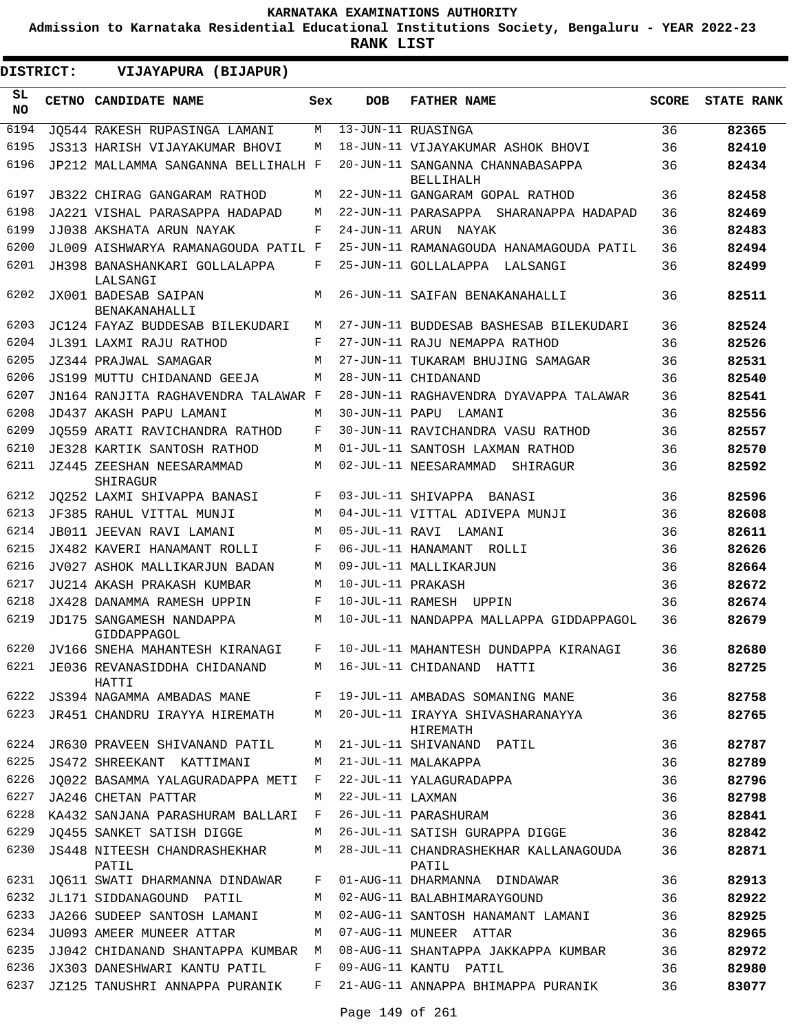**Admission to Karnataka Residential Educational Institutions Society, Bengaluru - YEAR 2022-23**

**RANK LIST**

 $\blacksquare$ 

| DISTRICT:        | VIJAYAPURA (BIJAPUR)                                                   |        |                   |                                                                              |              |                |
|------------------|------------------------------------------------------------------------|--------|-------------------|------------------------------------------------------------------------------|--------------|----------------|
| SL.<br><b>NO</b> | CETNO CANDIDATE NAME                                                   | Sex    | <b>DOB</b>        | <b>FATHER NAME</b>                                                           | <b>SCORE</b> | STATE RANK     |
| 6194             | JO544 RAKESH RUPASINGA LAMANI                                          | М      |                   | 13-JUN-11 RUASINGA                                                           | 36           | 82365          |
| 6195             | JS313 HARISH VIJAYAKUMAR BHOVI                                         | М      |                   | 18-JUN-11 VIJAYAKUMAR ASHOK BHOVI                                            | 36           | 82410          |
| 6196             | JP212 MALLAMMA SANGANNA BELLIHALH F                                    |        |                   | 20-JUN-11 SANGANNA CHANNABASAPPA<br>BELLIHALH                                | 36           | 82434          |
| 6197             | JB322 CHIRAG GANGARAM RATHOD                                           | М      |                   | 22-JUN-11 GANGARAM GOPAL RATHOD                                              | 36           | 82458          |
| 6198             | JA221 VISHAL PARASAPPA HADAPAD                                         | M      |                   | 22-JUN-11 PARASAPPA SHARANAPPA HADAPAD                                       | 36           | 82469          |
| 6199             | JJ038 AKSHATA ARUN NAYAK                                               | F      |                   | 24-JUN-11 ARUN NAYAK                                                         | 36           | 82483          |
| 6200             | JL009 AISHWARYA RAMANAGOUDA PATIL F                                    |        |                   | 25-JUN-11 RAMANAGOUDA HANAMAGOUDA PATIL                                      | 36           | 82494          |
| 6201<br>6202     | JH398 BANASHANKARI GOLLALAPPA<br>LALSANGI<br>JX001 BADESAB SAIPAN      | F<br>M |                   | 25-JUN-11 GOLLALAPPA LALSANGI<br>26-JUN-11 SAIFAN BENAKANAHALLI              | 36<br>36     | 82499<br>82511 |
| 6203             | BENAKANAHALLI                                                          | М      |                   | 27-JUN-11 BUDDESAB BASHESAB BILEKUDARI                                       | 36           | 82524          |
| 6204             | JC124 FAYAZ BUDDESAB BILEKUDARI                                        | F      |                   |                                                                              |              |                |
| 6205             | JL391 LAXMI RAJU RATHOD                                                | М      |                   | 27-JUN-11 RAJU NEMAPPA RATHOD                                                | 36<br>36     | 82526<br>82531 |
| 6206             | JZ344 PRAJWAL SAMAGAR<br>JS199 MUTTU CHIDANAND GEEJA                   | М      |                   | 27-JUN-11 TUKARAM BHUJING SAMAGAR<br>28-JUN-11 CHIDANAND                     | 36           | 82540          |
| 6207             | JN164 RANJITA RAGHAVENDRA TALAWAR F                                    |        |                   | 28-JUN-11 RAGHAVENDRA DYAVAPPA TALAWAR                                       | 36           | 82541          |
| 6208             | JD437 AKASH PAPU LAMANI                                                | М      |                   | 30-JUN-11 PAPU LAMANI                                                        | 36           | 82556          |
| 6209             | JO559 ARATI RAVICHANDRA RATHOD                                         | F      |                   | 30-JUN-11 RAVICHANDRA VASU RATHOD                                            | 36           | 82557          |
| 6210             | JE328 KARTIK SANTOSH RATHOD                                            | М      |                   | 01-JUL-11 SANTOSH LAXMAN RATHOD                                              | 36           | 82570          |
| 6211             | JZ445 ZEESHAN NEESARAMMAD<br>SHIRAGUR                                  | М      |                   | 02-JUL-11 NEESARAMMAD SHIRAGUR                                               | 36           | 82592          |
| 6212             | JQ252 LAXMI SHIVAPPA BANASI                                            | F      |                   | 03-JUL-11 SHIVAPPA BANASI                                                    | 36           | 82596          |
| 6213             | JF385 RAHUL VITTAL MUNJI                                               | М      |                   | 04-JUL-11 VITTAL ADIVEPA MUNJI                                               | 36           | 82608          |
| 6214             | JB011 JEEVAN RAVI LAMANI                                               | М      |                   | 05-JUL-11 RAVI LAMANI                                                        | 36           | 82611          |
| 6215             | JX482 KAVERI HANAMANT ROLLI                                            | F      |                   | 06-JUL-11 HANAMANT ROLLI                                                     | 36           | 82626          |
| 6216             | JV027 ASHOK MALLIKARJUN BADAN                                          | M      |                   | 09-JUL-11 MALLIKARJUN                                                        | 36           | 82664          |
| 6217             | JU214 AKASH PRAKASH KUMBAR                                             | М      | 10-JUL-11 PRAKASH |                                                                              | 36           | 82672          |
| 6218             | JX428 DANAMMA RAMESH UPPIN                                             | F      |                   | 10-JUL-11 RAMESH UPPIN                                                       | 36           | 82674          |
| 6219             | JD175 SANGAMESH NANDAPPA<br>GIDDAPPAGOL                                | M      |                   | 10-JUL-11 NANDAPPA MALLAPPA GIDDAPPAGOL                                      | 36           | 82679          |
|                  |                                                                        |        |                   | 6220 JV166 SNEHA MAHANTESH KIRANAGI F 10-JUL-11 MAHANTESH DUNDAPPA KIRANAGI  | 36           | 82680          |
|                  | 6221 JE036 REVANASIDDHA CHIDANAND M 16-JUL-11 CHIDANAND HATTI<br>HATTI |        |                   |                                                                              | 36           | 82725          |
|                  |                                                                        |        |                   | 6222 JS394 NAGAMMA AMBADAS MANE F 19-JUL-11 AMBADAS SOMANING MANE            | 36           | 82758          |
| 6223             |                                                                        |        |                   | JR451 CHANDRU IRAYYA HIREMATH M 20-JUL-11 IRAYYA SHIVASHARANAYYA<br>HIREMATH | 36           | 82765          |
|                  | 6224 JR630 PRAVEEN SHIVANAND PATIL M                                   |        |                   | 21-JUL-11 SHIVANAND PATIL                                                    | 36           | 82787          |
| 6225             | JS472 SHREEKANT KATTIMANI                                              |        |                   | M 21-JUL-11 MALAKAPPA                                                        | 36           | 82789          |
| 6226             | JO022 BASAMMA YALAGURADAPPA METI F                                     |        |                   | 22-JUL-11 YALAGURADAPPA                                                      | 36           | 82796          |
| 6227             | JA246 CHETAN PATTAR                                                    | M      |                   | 22-JUL-11 LAXMAN                                                             | 36           | 82798          |
| 6228             | KA432 SANJANA PARASHURAM BALLARI F                                     |        |                   | 26-JUL-11 PARASHURAM                                                         | 36           | 82841          |
| 6229             | JQ455 SANKET SATISH DIGGE                                              | M      |                   | 26-JUL-11 SATISH GURAPPA DIGGE                                               | 36           | 82842          |
| 6230             | JS448 NITEESH CHANDRASHEKHAR<br>PATIL                                  | M      |                   | 28-JUL-11 CHANDRASHEKHAR KALLANAGOUDA<br>PATIL                               | 36           | 82871          |
| 6231             |                                                                        |        |                   | JQ611 SWATI DHARMANNA DINDAWAR F 01-AUG-11 DHARMANNA DINDAWAR                | 36           | 82913          |
| 6232             | JL171 SIDDANAGOUND PATIL                                               |        |                   | M 02-AUG-11 BALABHIMARAYGOUND                                                | 36           | 82922          |
| 6233             | JA266 SUDEEP SANTOSH LAMANI                                            | M      |                   | 02-AUG-11 SANTOSH HANAMANT LAMANI                                            | 36           | 82925          |
| 6234             | JU093 AMEER MUNEER ATTAR                                               |        |                   | M 07-AUG-11 MUNEER ATTAR                                                     | 36           | 82965          |
| 6235             | JJ042 CHIDANAND SHANTAPPA KUMBAR M                                     |        |                   | 08-AUG-11 SHANTAPPA JAKKAPPA KUMBAR                                          | 36           | 82972          |
| 6236             | JX303 DANESHWARI KANTU PATIL                                           | F      |                   | 09-AUG-11 KANTU PATIL                                                        | 36           | 82980          |
| 6237             | JZ125 TANUSHRI ANNAPPA PURANIK F                                       |        |                   | 21-AUG-11 ANNAPPA BHIMAPPA PURANIK                                           | 36           | 83077          |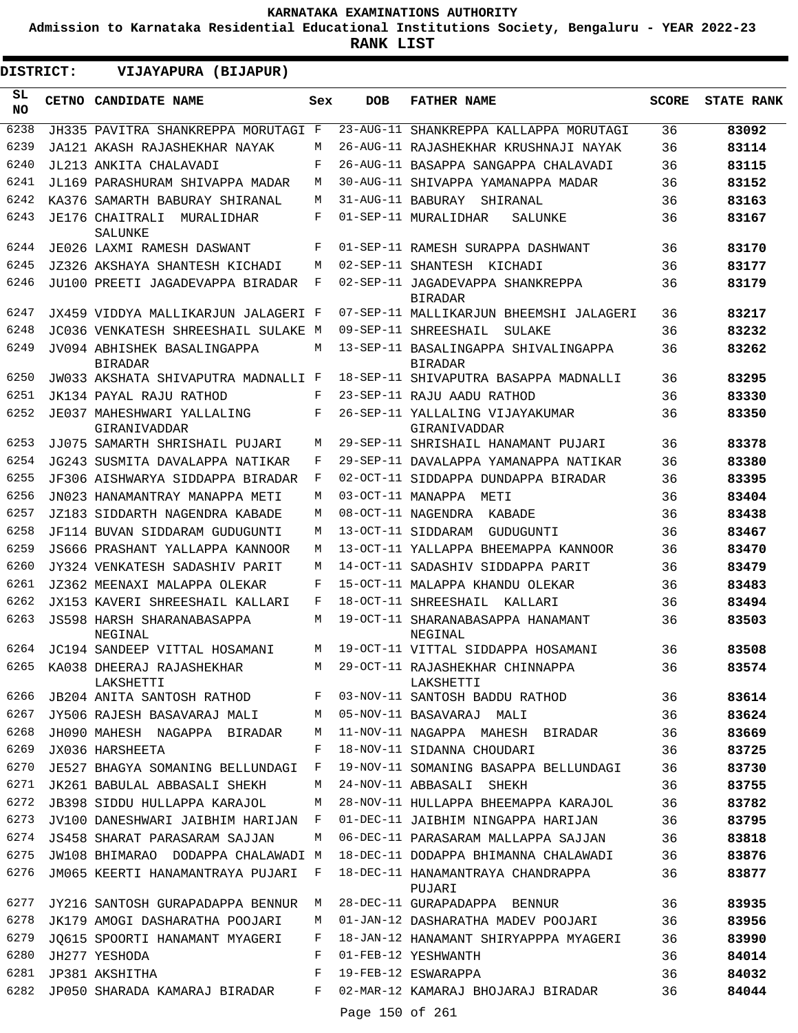**Admission to Karnataka Residential Educational Institutions Society, Bengaluru - YEAR 2022-23**

| DISTRICT:       | VIJAYAPURA (BIJAPUR)                          |     |                   |                                                                                  |              |                   |
|-----------------|-----------------------------------------------|-----|-------------------|----------------------------------------------------------------------------------|--------------|-------------------|
| SL<br><b>NO</b> | <b>CETNO CANDIDATE NAME</b>                   | Sex | <b>DOB</b>        | <b>FATHER NAME</b>                                                               | <b>SCORE</b> | <b>STATE RANK</b> |
| 6238            | JH335 PAVITRA SHANKREPPA MORUTAGI F           |     | 23-AUG-11         | SHANKREPPA KALLAPPA MORUTAGI                                                     | 36           | 83092             |
| 6239            | JA121 AKASH RAJASHEKHAR NAYAK                 | M   |                   | 26-AUG-11 RAJASHEKHAR KRUSHNAJI NAYAK                                            | 36           | 83114             |
| 6240            | JL213 ANKITA CHALAVADI                        | F   |                   | 26-AUG-11 BASAPPA SANGAPPA CHALAVADI                                             | 36           | 83115             |
| 6241            | JL169 PARASHURAM SHIVAPPA MADAR               | М   |                   | 30-AUG-11 SHIVAPPA YAMANAPPA MADAR                                               | 36           | 83152             |
| 6242            | KA376 SAMARTH BABURAY SHIRANAL                | М   | 31-AUG-11 BABURAY | SHIRANAL                                                                         | 36           | 83163             |
| 6243            | JE176 CHAITRALI<br>MURALIDHAR<br>SALUNKE      | F   |                   | 01-SEP-11 MURALIDHAR<br>SALUNKE                                                  | 36           | 83167             |
| 6244            | JE026 LAXMI RAMESH DASWANT                    | F   |                   | 01-SEP-11 RAMESH SURAPPA DASHWANT                                                | 36           | 83170             |
| 6245            | JZ326 AKSHAYA SHANTESH KICHADI                | М   |                   | 02-SEP-11 SHANTESH<br>KICHADI                                                    | 36           | 83177             |
| 6246            | JU100 PREETI JAGADEVAPPA BIRADAR              | F   |                   | 02-SEP-11 JAGADEVAPPA SHANKREPPA<br><b>BIRADAR</b>                               | 36           | 83179             |
| 6247            | JX459 VIDDYA MALLIKARJUN JALAGERI F           |     |                   | 07-SEP-11 MALLIKARJUN BHEEMSHI JALAGERI                                          | 36           | 83217             |
| 6248            | JC036 VENKATESH SHREESHAIL SULAKE M           |     |                   | 09-SEP-11 SHREESHAIL<br>SULAKE                                                   | 36           | 83232             |
| 6249            | JV094 ABHISHEK BASALINGAPPA<br><b>BIRADAR</b> | M   |                   | 13-SEP-11 BASALINGAPPA SHIVALINGAPPA<br><b>BIRADAR</b>                           | 36           | 83262             |
| 6250            | JW033 AKSHATA SHIVAPUTRA MADNALLI F           |     |                   | 18-SEP-11 SHIVAPUTRA BASAPPA MADNALLI                                            | 36           | 83295             |
| 6251            | JK134 PAYAL RAJU RATHOD                       | F   |                   | 23-SEP-11 RAJU AADU RATHOD                                                       | 36           | 83330             |
| 6252            | JE037 MAHESHWARI YALLALING<br>GIRANIVADDAR    | F   |                   | 26-SEP-11 YALLALING VIJAYAKUMAR<br>GIRANIVADDAR                                  | 36           | 83350             |
| 6253            | JJ075 SAMARTH SHRISHAIL PUJARI                | М   |                   | 29-SEP-11 SHRISHAIL HANAMANT PUJARI                                              | 36           | 83378             |
| 6254            | JG243 SUSMITA DAVALAPPA NATIKAR               | F   |                   | 29-SEP-11 DAVALAPPA YAMANAPPA NATIKAR                                            | 36           | 83380             |
| 6255            | JF306 AISHWARYA SIDDAPPA BIRADAR              | F   |                   | 02-OCT-11 SIDDAPPA DUNDAPPA BIRADAR                                              | 36           | 83395             |
| 6256            | JN023 HANAMANTRAY MANAPPA METI                | М   | 03-OCT-11 MANAPPA | METI                                                                             | 36           | 83404             |
| 6257            | JZ183 SIDDARTH NAGENDRA KABADE                | М   |                   | 08-OCT-11 NAGENDRA<br>KABADE                                                     | 36           | 83438             |
| 6258            | JF114 BUVAN SIDDARAM GUDUGUNTI                | М   |                   | 13-OCT-11 SIDDARAM<br>GUDUGUNTI                                                  | 36           | 83467             |
| 6259            | JS666 PRASHANT YALLAPPA KANNOOR               | М   |                   | 13-OCT-11 YALLAPPA BHEEMAPPA KANNOOR                                             | 36           | 83470             |
| 6260            | JY324 VENKATESH SADASHIV PARIT                | М   |                   | 14-OCT-11 SADASHIV SIDDAPPA PARIT                                                | 36           | 83479             |
| 6261            | JZ362 MEENAXI MALAPPA OLEKAR                  | F   |                   | 15-OCT-11 MALAPPA KHANDU OLEKAR                                                  | 36           | 83483             |
| 6262            | JX153 KAVERI SHREESHAIL KALLARI               | F   |                   | 18-OCT-11 SHREESHAIL<br>KALLARI                                                  | 36           | 83494             |
| 6263            | JS598 HARSH SHARANABASAPPA<br>NEGINAL         | М   |                   | 19-OCT-11 SHARANABASAPPA HANAMANT<br>NEGINAL                                     | 36           | 83503             |
| 6264            | JC194 SANDEEP VITTAL HOSAMANI                 | M   |                   | 19-OCT-11 VITTAL SIDDAPPA HOSAMANI                                               | 36           | 83508             |
|                 | LAKSHETTI                                     |     |                   | 6265 KA038 DHEERAJ RAJASHEKHAR MATA 29-OCT-11 RAJASHEKHAR CHINNAPPA<br>LAKSHETTI | 36           | 83574             |
| 6266            |                                               |     |                   | JB204 ANITA SANTOSH RATHOD F 03-NOV-11 SANTOSH BADDU RATHOD                      | 36           | 83614             |
| 6267            | JY506 RAJESH BASAVARAJ MALI                   | M   |                   | 05-NOV-11 BASAVARAJ MALI                                                         | 36           | 83624             |
| 6268            | JH090 MAHESH NAGAPPA BIRADAR                  | М   |                   | 11-NOV-11 NAGAPPA MAHESH BIRADAR                                                 | 36           | 83669             |
| 6269            | JX036 HARSHEETA                               | F   |                   | 18-NOV-11 SIDANNA CHOUDARI                                                       | 36           | 83725             |
| 6270            | JE527 BHAGYA SOMANING BELLUNDAGI F            |     |                   | 19-NOV-11 SOMANING BASAPPA BELLUNDAGI                                            | 36           | 83730             |
| 6271            | JK261 BABULAL ABBASALI SHEKH                  | M   |                   | 24-NOV-11 ABBASALI SHEKH                                                         | 36           | 83755             |
| 6272            | JB398 SIDDU HULLAPPA KARAJOL                  | М   |                   | 28-NOV-11 HULLAPPA BHEEMAPPA KARAJOL                                             | 36           | 83782             |
| 6273            | JV100 DANESHWARI JAIBHIM HARIJAN              | F   |                   | 01-DEC-11 JAIBHIM NINGAPPA HARIJAN                                               | 36           | 83795             |
| 6274            | JS458 SHARAT PARASARAM SAJJAN                 | М   |                   | 06-DEC-11 PARASARAM MALLAPPA SAJJAN                                              | 36           | 83818             |
| 6275            | JW108 BHIMARAO DODAPPA CHALAWADI M            |     |                   | 18-DEC-11 DODAPPA BHIMANNA CHALAWADI                                             | 36           | 83876             |
| 6276            | JM065 KEERTI HANAMANTRAYA PUJARI              | F   |                   | 18-DEC-11 HANAMANTRAYA CHANDRAPPA<br>PUJARI                                      | 36           | 83877             |
| 6277            | JY216 SANTOSH GURAPADAPPA BENNUR              | M   |                   | 28-DEC-11 GURAPADAPPA BENNUR                                                     | 36           | 83935             |
| 6278            | JK179 AMOGI DASHARATHA POOJARI                | М   |                   | 01-JAN-12 DASHARATHA MADEV POOJARI                                               | 36           | 83956             |
| 6279            | JO615 SPOORTI HANAMANT MYAGERI                | F   |                   | 18-JAN-12 HANAMANT SHIRYAPPPA MYAGERI                                            | 36           | 83990             |
| 6280            | JH277 YESHODA                                 | F   |                   | 01-FEB-12 YESHWANTH                                                              | 36           | 84014             |
| 6281            | JP381 AKSHITHA                                | F   |                   | 19-FEB-12 ESWARAPPA                                                              | 36           | 84032             |
| 6282            | JP050 SHARADA KAMARAJ BIRADAR                 | F   |                   | 02-MAR-12 KAMARAJ BHOJARAJ BIRADAR                                               | 36           | 84044             |
|                 |                                               |     | Page 150 of 261   |                                                                                  |              |                   |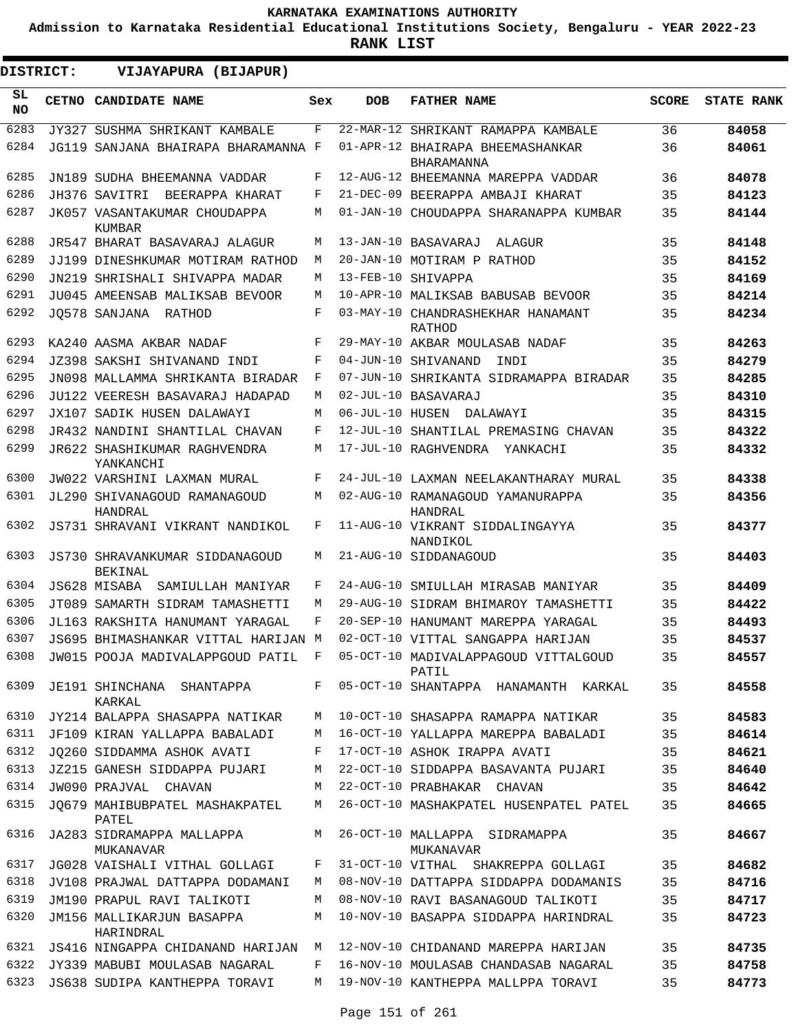**Admission to Karnataka Residential Educational Institutions Society, Bengaluru - YEAR 2022-23**

**RANK LIST**

 $\blacksquare$ 

| <b>DISTRICT:</b> | VIJAYAPURA (BIJAPUR)                             |     |                 |                                                    |              |                   |
|------------------|--------------------------------------------------|-----|-----------------|----------------------------------------------------|--------------|-------------------|
| SL<br>NO.        | CETNO CANDIDATE NAME                             | Sex | <b>DOB</b>      | <b>FATHER NAME</b>                                 | <b>SCORE</b> | <b>STATE RANK</b> |
| 6283             | JY327 SUSHMA SHRIKANT KAMBALE                    | F   |                 | 22-MAR-12 SHRIKANT RAMAPPA KAMBALE                 | 36           | 84058             |
| 6284             | JG119 SANJANA BHAIRAPA BHARAMANNA F              |     |                 | 01-APR-12 BHAIRAPA BHEEMASHANKAR<br>BHARAMANNA     | 36           | 84061             |
| 6285             | JN189 SUDHA BHEEMANNA VADDAR                     | F   |                 | 12-AUG-12 BHEEMANNA MAREPPA VADDAR                 | 36           | 84078             |
| 6286             | JH376 SAVITRI<br>BEERAPPA KHARAT                 | F   |                 | 21-DEC-09 BEERAPPA AMBAJI KHARAT                   | 35           | 84123             |
| 6287             | JK057 VASANTAKUMAR CHOUDAPPA<br>KUMBAR           | М   |                 | 01-JAN-10 CHOUDAPPA SHARANAPPA KUMBAR              | 35           | 84144             |
| 6288             | JR547 BHARAT BASAVARAJ ALAGUR                    | M   |                 | 13-JAN-10 BASAVARAJ ALAGUR                         | 35           | 84148             |
| 6289             | JJ199 DINESHKUMAR MOTIRAM RATHOD                 | M   |                 | 20-JAN-10 MOTIRAM P RATHOD                         | 35           | 84152             |
| 6290             | JN219 SHRISHALI SHIVAPPA MADAR                   | M   |                 | 13-FEB-10 SHIVAPPA                                 | 35           | 84169             |
| 6291             | JU045 AMEENSAB MALIKSAB BEVOOR                   | M   |                 | 10-APR-10 MALIKSAB BABUSAB BEVOOR                  | 35           | 84214             |
| 6292             | JO578 SANJANA RATHOD                             | F   |                 | 03-MAY-10 CHANDRASHEKHAR HANAMANT<br><b>RATHOD</b> | 35           | 84234             |
| 6293             | KA240 AASMA AKBAR NADAF                          | F   |                 | 29-MAY-10 AKBAR MOULASAB NADAF                     | 35           | 84263             |
| 6294             | JZ398 SAKSHI SHIVANAND INDI                      | F   |                 | 04-JUN-10 SHIVANAND<br>INDI                        | 35           | 84279             |
| 6295             | JN098 MALLAMMA SHRIKANTA BIRADAR                 | F   |                 | 07-JUN-10 SHRIKANTA SIDRAMAPPA BIRADAR             | 35           | 84285             |
| 6296             | JU122 VEERESH BASAVARAJ HADAPAD                  | М   |                 | 02-JUL-10 BASAVARAJ                                | 35           | 84310             |
| 6297             | JX107 SADIK HUSEN DALAWAYI                       | М   | 06-JUL-10 HUSEN | DALAWAYI                                           | 35           | 84315             |
| 6298             | JR432 NANDINI SHANTILAL CHAVAN                   | F   |                 | 12-JUL-10 SHANTILAL PREMASING CHAVAN               | 35           | 84322             |
| 6299             | <b>JR622 SHASHIKUMAR RAGHVENDRA</b><br>YANKANCHI | М   |                 | 17-JUL-10 RAGHVENDRA<br>YANKACHI                   | 35           | 84332             |
| 6300             | JW022 VARSHINI LAXMAN MURAL                      | F   |                 | 24-JUL-10 LAXMAN NEELAKANTHARAY MURAL              | 35           | 84338             |
| 6301             | JL290 SHIVANAGOUD RAMANAGOUD<br>HANDRAL          | М   |                 | 02-AUG-10 RAMANAGOUD YAMANURAPPA<br>HANDRAL        | 35           | 84356             |
| 6302             | JS731 SHRAVANI VIKRANT NANDIKOL                  | F   |                 | 11-AUG-10 VIKRANT SIDDALINGAYYA<br>NANDIKOL        | 35           | 84377             |
| 6303             | JS730 SHRAVANKUMAR SIDDANAGOUD<br><b>BEKINAL</b> | М   |                 | 21-AUG-10 SIDDANAGOUD                              | 35           | 84403             |
| 6304             | JS628 MISABA<br>SAMIULLAH MANIYAR                | F   |                 | 24-AUG-10 SMIULLAH MIRASAB MANIYAR                 | 35           | 84409             |
| 6305             | JT089 SAMARTH SIDRAM TAMASHETTI                  | M   |                 | 29-AUG-10 SIDRAM BHIMAROY TAMASHETTI               | 35           | 84422             |
| 6306             | JL163 RAKSHITA HANUMANT YARAGAL                  | F   |                 | 20-SEP-10 HANUMANT MAREPPA YARAGAL                 | 35           | 84493             |
| 6307             | JS695 BHIMASHANKAR VITTAL HARIJAN M              |     |                 | 02-OCT-10 VITTAL SANGAPPA HARIJAN                  | 35           | 84537             |
| 6308             | JW015 POOJA MADIVALAPPGOUD PATIL F               |     |                 | 05-OCT-10 MADIVALAPPAGOUD VITTALGOUD<br>PATIL      | 35           | 84557             |
| 6309             | JE191 SHINCHANA SHANTAPPA<br>KARKAL              | F   |                 | 05-OCT-10 SHANTAPPA HANAMANTH KARKAL               | 35           | 84558             |
| 6310             | JY214 BALAPPA SHASAPPA NATIKAR                   | М   |                 | 10-OCT-10 SHASAPPA RAMAPPA NATIKAR                 | 35           | 84583             |
| 6311             | JF109 KIRAN YALLAPPA BABALADI                    | М   |                 | 16-OCT-10 YALLAPPA MAREPPA BABALADI                | 35           | 84614             |
| 6312             | JO260 SIDDAMMA ASHOK AVATI                       | F   |                 | 17-OCT-10 ASHOK IRAPPA AVATI                       | 35           | 84621             |
| 6313             | JZ215 GANESH SIDDAPPA PUJARI                     | М   |                 | 22-OCT-10 SIDDAPPA BASAVANTA PUJARI                | 35           | 84640             |
| 6314             | JW090 PRAJVAL CHAVAN                             | M   |                 | 22-OCT-10 PRABHAKAR CHAVAN                         | 35           | 84642             |
| 6315             | JQ679 MAHIBUBPATEL MASHAKPATEL<br>PATEL          | М   |                 | 26-OCT-10 MASHAKPATEL HUSENPATEL PATEL             | 35           | 84665             |
| 6316             | JA283 SIDRAMAPPA MALLAPPA<br>MUKANAVAR           | М   |                 | 26-OCT-10 MALLAPPA SIDRAMAPPA<br>MUKANAVAR         | 35           | 84667             |
| 6317             | JG028 VAISHALI VITHAL GOLLAGI                    | F   |                 | 31-OCT-10 VITHAL SHAKREPPA GOLLAGI                 | 35           | 84682             |
| 6318             | JV108 PRAJWAL DATTAPPA DODAMANI                  | M   |                 | 08-NOV-10 DATTAPPA SIDDAPPA DODAMANIS              | 35           | 84716             |
| 6319             | JM190 PRAPUL RAVI TALIKOTI                       | M   |                 | 08-NOV-10 RAVI BASANAGOUD TALIKOTI                 | 35           | 84717             |
| 6320             | JM156 MALLIKARJUN BASAPPA<br>HARINDRAL           | М   |                 | 10-NOV-10 BASAPPA SIDDAPPA HARINDRAL               | 35           | 84723             |
| 6321             | JS416 NINGAPPA CHIDANAND HARIJAN                 | M   |                 | 12-NOV-10 CHIDANAND MAREPPA HARIJAN                | 35           | 84735             |
| 6322             | JY339 MABUBI MOULASAB NAGARAL                    | F   |                 | 16-NOV-10 MOULASAB CHANDASAB NAGARAL               | 35           | 84758             |
| 6323             | JS638 SUDIPA KANTHEPPA TORAVI                    | М   |                 | 19-NOV-10 KANTHEPPA MALLPPA TORAVI                 | 35           | 84773             |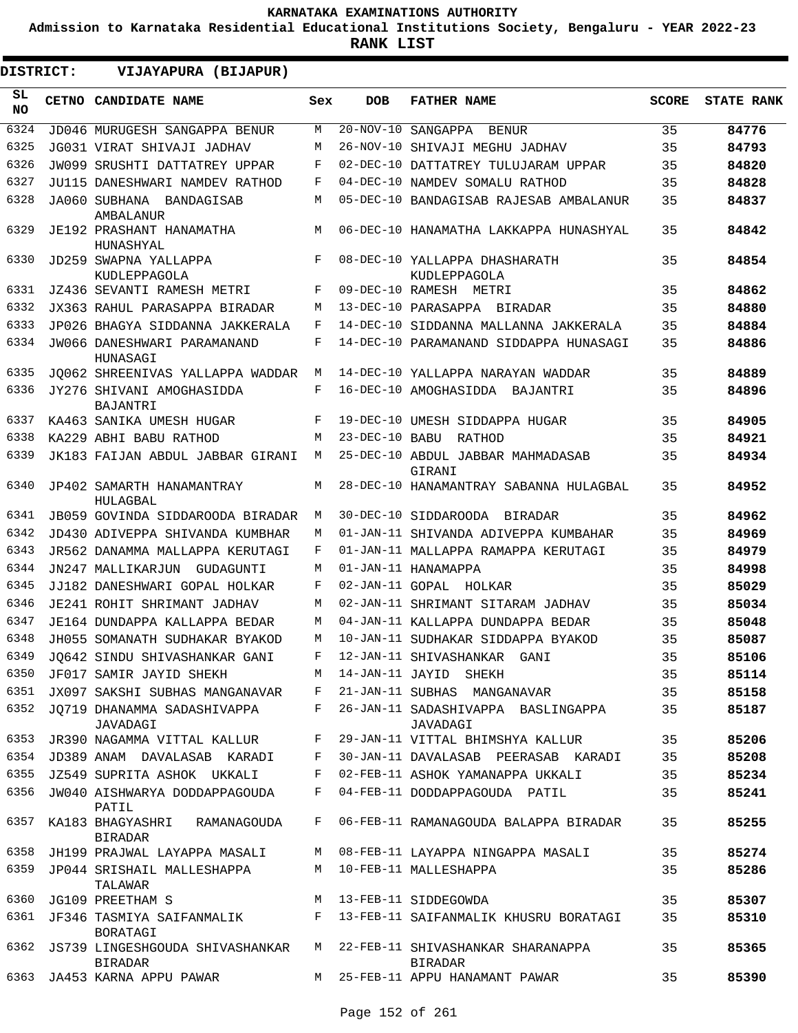**Admission to Karnataka Residential Educational Institutions Society, Bengaluru - YEAR 2022-23**

**RANK LIST**

ı

| <b>DISTRICT:</b> | VIJAYAPURA (BIJAPUR)                           |            |                |                                                |              |                   |
|------------------|------------------------------------------------|------------|----------------|------------------------------------------------|--------------|-------------------|
| SL.<br><b>NO</b> | CETNO CANDIDATE NAME                           | Sex        | <b>DOB</b>     | <b>FATHER NAME</b>                             | <b>SCORE</b> | <b>STATE RANK</b> |
| 6324             | JD046 MURUGESH SANGAPPA BENUR                  | М          | 20-NOV-10      | SANGAPPA<br>BENUR                              | 35           | 84776             |
| 6325             | JG031 VIRAT SHIVAJI JADHAV                     | M          |                | 26-NOV-10 SHIVAJI MEGHU JADHAV                 | 35           | 84793             |
| 6326             | JW099 SRUSHTI DATTATREY UPPAR                  | F          |                | 02-DEC-10 DATTATREY TULUJARAM UPPAR            | 35           | 84820             |
| 6327             | JU115 DANESHWARI NAMDEV RATHOD                 | F          |                | 04-DEC-10 NAMDEV SOMALU RATHOD                 | 35           | 84828             |
| 6328             | JA060 SUBHANA BANDAGISAB<br>AMBALANUR          | М          |                | 05-DEC-10 BANDAGISAB RAJESAB AMBALANUR         | 35           | 84837             |
| 6329             | JE192 PRASHANT HANAMATHA<br>HUNASHYAL          | М          |                | 06-DEC-10 HANAMATHA LAKKAPPA HUNASHYAL         | 35           | 84842             |
| 6330             | JD259 SWAPNA YALLAPPA<br>KUDLEPPAGOLA          | $_{\rm F}$ |                | 08-DEC-10 YALLAPPA DHASHARATH<br>KUDLEPPAGOLA  | 35           | 84854             |
| 6331             | JZ436 SEVANTI RAMESH METRI                     | F          |                | 09-DEC-10 RAMESH METRI                         | 35           | 84862             |
| 6332             | JX363 RAHUL PARASAPPA BIRADAR                  | М          |                | 13-DEC-10 PARASAPPA BIRADAR                    | 35           | 84880             |
| 6333             | JP026 BHAGYA SIDDANNA JAKKERALA                | F          |                | 14-DEC-10 SIDDANNA MALLANNA JAKKERALA          | 35           | 84884             |
| 6334             | JW066 DANESHWARI PARAMANAND<br>HUNASAGI        | F          |                | 14-DEC-10 PARAMANAND SIDDAPPA HUNASAGI         | 35           | 84886             |
| 6335             | JO062 SHREENIVAS YALLAPPA WADDAR               | М          |                | 14-DEC-10 YALLAPPA NARAYAN WADDAR              | 35           | 84889             |
| 6336             | JY276 SHIVANI AMOGHASIDDA<br>BAJANTRI          | F          |                | 16-DEC-10 AMOGHASIDDA BAJANTRI                 | 35           | 84896             |
| 6337             | KA463 SANIKA UMESH HUGAR                       | F          |                | 19-DEC-10 UMESH SIDDAPPA HUGAR                 | 35           | 84905             |
| 6338             | KA229 ABHI BABU RATHOD                         | M          | 23-DEC-10 BABU | RATHOD                                         | 35           | 84921             |
| 6339             | JK183 FAIJAN ABDUL JABBAR GIRANI               | M          |                | 25-DEC-10 ABDUL JABBAR MAHMADASAB<br>GIRANI    | 35           | 84934             |
| 6340             | JP402 SAMARTH HANAMANTRAY<br>HULAGBAL          | М          |                | 28-DEC-10 HANAMANTRAY SABANNA HULAGBAL         | 35           | 84952             |
| 6341             | JB059 GOVINDA SIDDAROODA BIRADAR               | М          |                | 30-DEC-10 SIDDAROODA BIRADAR                   | 35           | 84962             |
| 6342             | JD430 ADIVEPPA SHIVANDA KUMBHAR                | М          |                | 01-JAN-11 SHIVANDA ADIVEPPA KUMBAHAR           | 35           | 84969             |
| 6343             | JR562 DANAMMA MALLAPPA KERUTAGI                | F          |                | 01-JAN-11 MALLAPPA RAMAPPA KERUTAGI            | 35           | 84979             |
| 6344             | JN247 MALLIKARJUN GUDAGUNTI                    | М          |                | 01-JAN-11 HANAMAPPA                            | 35           | 84998             |
| 6345             | JJ182 DANESHWARI GOPAL HOLKAR                  | F          |                | 02-JAN-11 GOPAL HOLKAR                         | 35           | 85029             |
| 6346             | JE241 ROHIT SHRIMANT JADHAV                    | М          |                | 02-JAN-11 SHRIMANT SITARAM JADHAV              | 35           | 85034             |
| 6347             | JE164 DUNDAPPA KALLAPPA BEDAR                  | М          |                | 04-JAN-11 KALLAPPA DUNDAPPA BEDAR              | 35           | 85048             |
| 6348             | JH055 SOMANATH SUDHAKAR BYAKOD                 | М          |                | 10-JAN-11 SUDHAKAR SIDDAPPA BYAKOD             | 35           | 85087             |
| 6349             | JQ642 SINDU SHIVASHANKAR GANI                  | F          |                | 12-JAN-11 SHIVASHANKAR GANI                    | 35           | 85106             |
|                  | 6350 JF017 SAMIR JAYID SHEKH                   |            |                | M 14-JAN-11 JAYID SHEKH                        | 35           | 85114             |
| 6351             | JX097 SAKSHI SUBHAS MANGANAVAR                 | F          |                | 21-JAN-11 SUBHAS MANGANAVAR                    | 35           | 85158             |
| 6352             | JO719 DHANAMMA SADASHIVAPPA<br>JAVADAGI        | F          |                | 26-JAN-11 SADASHIVAPPA BASLINGAPPA<br>JAVADAGI | 35           | 85187             |
| 6353             | JR390 NAGAMMA VITTAL KALLUR                    | F          |                | 29-JAN-11 VITTAL BHIMSHYA KALLUR               | 35           | 85206             |
| 6354             | JD389 ANAM DAVALASAB KARADI                    | F          |                | 30-JAN-11 DAVALASAB PEERASAB KARADI            | 35           | 85208             |
| 6355             | JZ549 SUPRITA ASHOK UKKALI                     | F          |                | 02-FEB-11 ASHOK YAMANAPPA UKKALI               | 35           | 85234             |
| 6356             | JW040 AISHWARYA DODDAPPAGOUDA<br>PATIL         | F          |                | 04-FEB-11 DODDAPPAGOUDA PATIL                  | 35           | 85241             |
| 6357             | KA183 BHAGYASHRI RAMANAGOUDA<br><b>BIRADAR</b> | F          |                | 06-FEB-11 RAMANAGOUDA BALAPPA BIRADAR          | 35           | 85255             |
| 6358             | JH199 PRAJWAL LAYAPPA MASALI                   | M          |                | 08-FEB-11 LAYAPPA NINGAPPA MASALI              | 35           | 85274             |
| 6359             | JP044 SRISHAIL MALLESHAPPA<br>TALAWAR          | M          |                | 10-FEB-11 MALLESHAPPA                          | 35           | 85286             |
| 6360             | JG109 PREETHAM S                               |            |                | M 13-FEB-11 SIDDEGOWDA                         | 35           | 85307             |
| 6361             | JF346 TASMIYA SAIFANMALIK<br>BORATAGI          |            |                | F 13-FEB-11 SAIFANMALIK KHUSRU BORATAGI        | 35           | 85310             |
| 6362             | JS739 LINGESHGOUDA SHIVASHANKAR<br>BIRADAR     |            |                | M 22-FEB-11 SHIVASHANKAR SHARANAPPA<br>BIRADAR | 35           | 85365             |
| 6363             | JA453 KARNA APPU PAWAR                         |            |                | M 25-FEB-11 APPU HANAMANT PAWAR                | 35           | 85390             |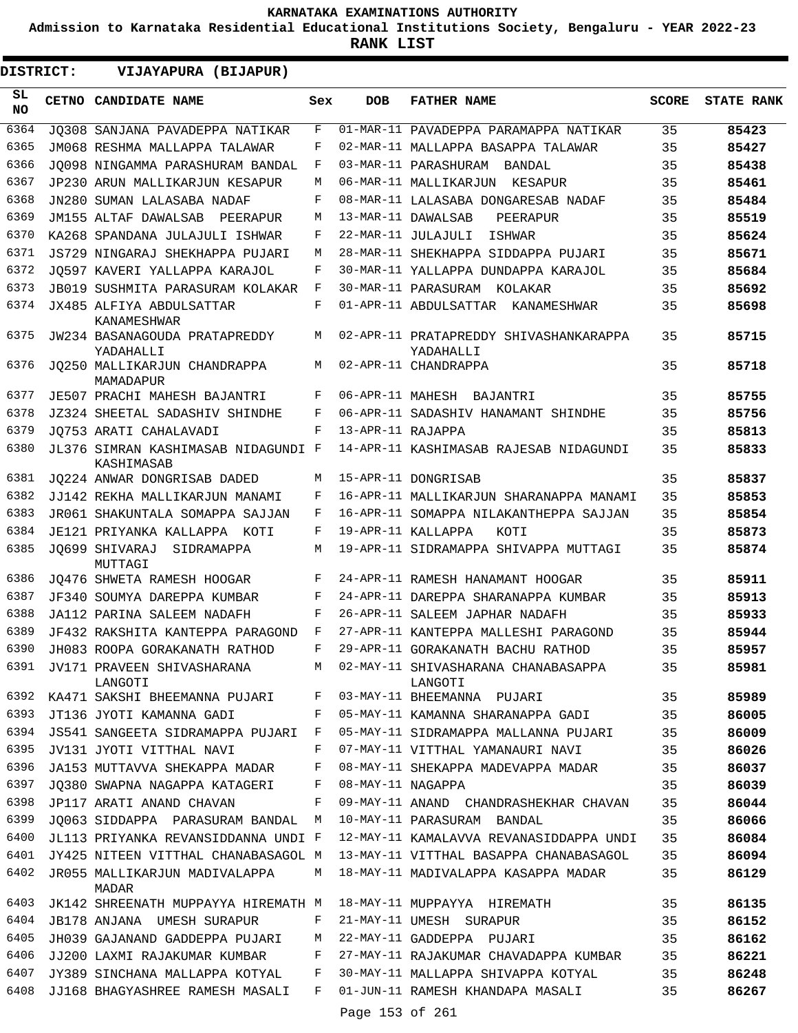**Admission to Karnataka Residential Educational Institutions Society, Bengaluru - YEAR 2022-23**

| DISTRICT:        | VIJAYAPURA (BIJAPUR)                              |     |                   |                                                                                    |              |                   |
|------------------|---------------------------------------------------|-----|-------------------|------------------------------------------------------------------------------------|--------------|-------------------|
| SL.<br><b>NO</b> | CETNO CANDIDATE NAME                              | Sex | <b>DOB</b>        | <b>FATHER NAME</b>                                                                 | <b>SCORE</b> | <b>STATE RANK</b> |
| 6364             | JO308 SANJANA PAVADEPPA NATIKAR                   | F   |                   | 01-MAR-11 PAVADEPPA PARAMAPPA NATIKAR                                              | 35           | 85423             |
| 6365             | JM068 RESHMA MALLAPPA TALAWAR                     | F   |                   | 02-MAR-11 MALLAPPA BASAPPA TALAWAR                                                 | 35           | 85427             |
| 6366             | JO098 NINGAMMA PARASHURAM BANDAL                  | F   |                   | 03-MAR-11 PARASHURAM BANDAL                                                        | 35           | 85438             |
| 6367             | JP230 ARUN MALLIKARJUN KESAPUR                    | М   |                   | 06-MAR-11 MALLIKARJUN<br>KESAPUR                                                   | 35           | 85461             |
| 6368             | JN280 SUMAN LALASABA NADAF                        | F   |                   | 08-MAR-11 LALASABA DONGARESAB NADAF                                                | 35           | 85484             |
| 6369             | JM155 ALTAF DAWALSAB<br>PEERAPUR                  | М   |                   | 13-MAR-11 DAWALSAB<br>PEERAPUR                                                     | 35           | 85519             |
| 6370             | KA268 SPANDANA JULAJULI ISHWAR                    | F   |                   | 22-MAR-11 JULAJULI<br>ISHWAR                                                       | 35           | 85624             |
| 6371             | JS729 NINGARAJ SHEKHAPPA PUJARI                   | М   |                   | 28-MAR-11 SHEKHAPPA SIDDAPPA PUJARI                                                | 35           | 85671             |
| 6372             | JO597 KAVERI YALLAPPA KARAJOL                     | F   |                   | 30-MAR-11 YALLAPPA DUNDAPPA KARAJOL                                                | 35           | 85684             |
| 6373             | <b>JB019 SUSHMITA PARASURAM KOLAKAR</b>           | F   |                   | 30-MAR-11 PARASURAM KOLAKAR                                                        | 35           | 85692             |
| 6374             | JX485 ALFIYA ABDULSATTAR<br>KANAMESHWAR           | F   |                   | 01-APR-11 ABDULSATTAR KANAMESHWAR                                                  | 35           | 85698             |
| 6375             | JW234 BASANAGOUDA PRATAPREDDY<br>YADAHALLI        | М   |                   | 02-APR-11 PRATAPREDDY SHIVASHANKARAPPA<br>YADAHALLI                                | 35           | 85715             |
| 6376             | JO250 MALLIKARJUN CHANDRAPPA<br>MAMADAPUR         | M   |                   | 02-APR-11 CHANDRAPPA                                                               | 35           | 85718             |
| 6377             | JE507 PRACHI MAHESH BAJANTRI                      | F   |                   | 06-APR-11 MAHESH BAJANTRI                                                          | 35           | 85755             |
| 6378             | JZ324 SHEETAL SADASHIV SHINDHE                    | F   |                   | 06-APR-11 SADASHIV HANAMANT SHINDHE                                                | 35           | 85756             |
| 6379             | JO753 ARATI CAHALAVADI                            | F   | 13-APR-11 RAJAPPA |                                                                                    | 35           | 85813             |
| 6380             | JL376 SIMRAN KASHIMASAB NIDAGUNDI F<br>KASHIMASAB |     |                   | 14-APR-11 KASHIMASAB RAJESAB NIDAGUNDI                                             | 35           | 85833             |
| 6381             | JO224 ANWAR DONGRISAB DADED                       | М   |                   | 15-APR-11 DONGRISAB                                                                | 35           | 85837             |
| 6382             | JJ142 REKHA MALLIKARJUN MANAMI                    | F   |                   | 16-APR-11 MALLIKARJUN SHARANAPPA MANAMI                                            | 35           | 85853             |
| 6383             | JR061 SHAKUNTALA SOMAPPA SAJJAN                   | F   |                   | 16-APR-11 SOMAPPA NILAKANTHEPPA SAJJAN                                             | 35           | 85854             |
| 6384             | JE121 PRIYANKA KALLAPPA KOTI                      | F   |                   | 19-APR-11 KALLAPPA<br>KOTI                                                         | 35           | 85873             |
| 6385             | JO699 SHIVARAJ SIDRAMAPPA<br>MUTTAGI              | М   |                   | 19-APR-11 SIDRAMAPPA SHIVAPPA MUTTAGI                                              | 35           | 85874             |
| 6386             | JO476 SHWETA RAMESH HOOGAR                        | F   |                   | 24-APR-11 RAMESH HANAMANT HOOGAR                                                   | 35           | 85911             |
| 6387             | JF340 SOUMYA DAREPPA KUMBAR                       | F   |                   | 24-APR-11 DAREPPA SHARANAPPA KUMBAR                                                | 35           | 85913             |
| 6388             | JA112 PARINA SALEEM NADAFH                        | F   |                   | 26-APR-11 SALEEM JAPHAR NADAFH                                                     | 35           | 85933             |
| 6389             | JF432 RAKSHITA KANTEPPA PARAGOND                  | F   |                   | 27-APR-11 KANTEPPA MALLESHI PARAGOND                                               | 35           | 85944             |
| 6390             | JH083 ROOPA GORAKANATH RATHOD                     | F   |                   | 29-APR-11 GORAKANATH BACHU RATHOD                                                  | 35           | 85957             |
|                  | LANGOTI                                           |     |                   | 6391 JV171 PRAVEEN SHIVASHARANA MARI 2-MAY-11 SHIVASHARANA CHANABASAPPA<br>LANGOTI | 35           | 85981             |
| 6392             | KA471 SAKSHI BHEEMANNA PUJARI F                   |     |                   | 03-MAY-11 BHEEMANNA PUJARI                                                         | 35           | 85989             |
| 6393             | JT136 JYOTI KAMANNA GADI                          | F   |                   | 05-MAY-11 KAMANNA SHARANAPPA GADI                                                  | 35           | 86005             |
| 6394             | JS541 SANGEETA SIDRAMAPPA PUJARI F                |     |                   | 05-MAY-11 SIDRAMAPPA MALLANNA PUJARI 35                                            |              | 86009             |
| 6395             | JV131 JYOTI VITTHAL NAVI                          | F   |                   | 07-MAY-11 VITTHAL YAMANAURI NAVI                                                   | 35           | 86026             |
| 6396             | JA153 MUTTAVVA SHEKAPPA MADAR                     | F   |                   | 08-MAY-11 SHEKAPPA MADEVAPPA MADAR                                                 | 35           | 86037             |
| 6397             | JO380 SWAPNA NAGAPPA KATAGERI                     | F   | 08-MAY-11 NAGAPPA |                                                                                    | 35           | 86039             |
| 6398             | JP117 ARATI ANAND CHAVAN                          | F   |                   | 09-MAY-11 ANAND CHANDRASHEKHAR CHAVAN                                              | 35           | 86044             |
| 6399             | JO063 SIDDAPPA PARASURAM BANDAL                   | M   |                   | 10-MAY-11 PARASURAM BANDAL                                                         | 35           | 86066             |
| 6400             | JL113 PRIYANKA REVANSIDDANNA UNDI F               |     |                   | 12-MAY-11 KAMALAVVA REVANASIDDAPPA UNDI                                            | 35           | 86084             |
| 6401             | JY425 NITEEN VITTHAL CHANABASAGOL M               |     |                   | 13-MAY-11 VITTHAL BASAPPA CHANABASAGOL                                             | 35           | 86094             |
| 6402             | JR055 MALLIKARJUN MADIVALAPPA<br>MADAR            | М   |                   | 18-MAY-11 MADIVALAPPA KASAPPA MADAR                                                | 35           | 86129             |
| 6403             | JK142 SHREENATH MUPPAYYA HIREMATH M               |     |                   | 18-MAY-11 MUPPAYYA HIREMATH                                                        | 35           | 86135             |
| 6404             | JB178 ANJANA UMESH SURAPUR                        | F   |                   | 21-MAY-11 UMESH SURAPUR                                                            | 35           | 86152             |
| 6405             | JH039 GAJANAND GADDEPPA PUJARI                    | М   |                   | 22-MAY-11 GADDEPPA PUJARI                                                          | 35           | 86162             |
| 6406             | JJ200 LAXMI RAJAKUMAR KUMBAR                      | F   |                   | 27-MAY-11 RAJAKUMAR CHAVADAPPA KUMBAR                                              | 35           | 86221             |
| 6407             | JY389 SINCHANA MALLAPPA KOTYAL                    | F   |                   | 30-MAY-11 MALLAPPA SHIVAPPA KOTYAL                                                 | 35           | 86248             |
| 6408             | JJ168 BHAGYASHREE RAMESH MASALI                   | F   |                   | 01-JUN-11 RAMESH KHANDAPA MASALI                                                   | 35           | 86267             |
|                  |                                                   |     | Page 153 of 261   |                                                                                    |              |                   |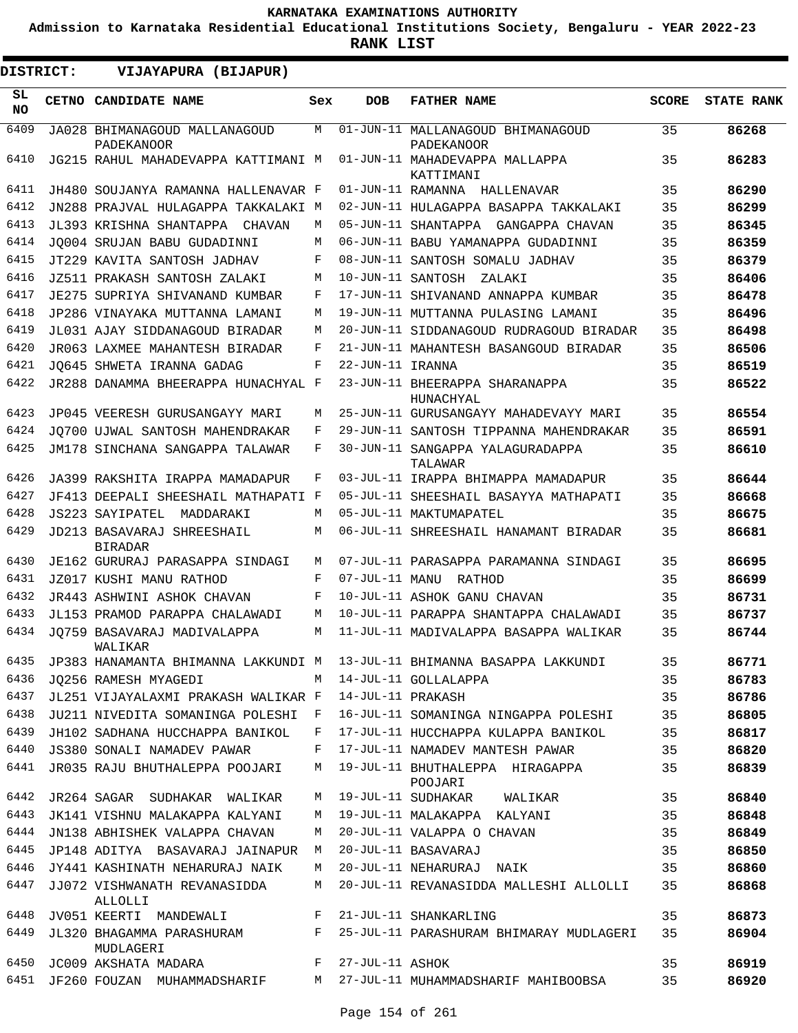**Admission to Karnataka Residential Educational Institutions Society, Bengaluru - YEAR 2022-23**

 $\blacksquare$ 

**RANK LIST**

 $\blacksquare$ 

| DISTRICT: | VIJAYAPURA (BIJAPUR)                                  |              |                   |                                                                            |              |                   |
|-----------|-------------------------------------------------------|--------------|-------------------|----------------------------------------------------------------------------|--------------|-------------------|
| SL<br>NO. | CETNO CANDIDATE NAME                                  | Sex          | <b>DOB</b>        | <b>FATHER NAME</b>                                                         | <b>SCORE</b> | <b>STATE RANK</b> |
| 6409      | JA028 BHIMANAGOUD MALLANAGOUD<br><b>PADEKANOOR</b>    | M            |                   | 01-JUN-11 MALLANAGOUD BHIMANAGOUD<br>PADEKANOOR                            | 35           | 86268             |
| 6410      | JG215 RAHUL MAHADEVAPPA KATTIMANI M                   |              |                   | 01-JUN-11 MAHADEVAPPA MALLAPPA<br>KATTIMANI                                | 35           | 86283             |
| 6411      | JH480 SOUJANYA RAMANNA HALLENAVAR F                   |              |                   | 01-JUN-11 RAMANNA HALLENAVAR                                               | 35           | 86290             |
| 6412      | JN288 PRAJVAL HULAGAPPA TAKKALAKI M                   |              |                   | 02-JUN-11 HULAGAPPA BASAPPA TAKKALAKI                                      | 35           | 86299             |
| 6413      | JL393 KRISHNA SHANTAPPA CHAVAN                        | M            |                   | 05-JUN-11 SHANTAPPA GANGAPPA CHAVAN                                        | 35           | 86345             |
| 6414      | JO004 SRUJAN BABU GUDADINNI                           | M            |                   | 06-JUN-11 BABU YAMANAPPA GUDADINNI                                         | 35           | 86359             |
| 6415      | JT229 KAVITA SANTOSH JADHAV                           | F            |                   | 08-JUN-11 SANTOSH SOMALU JADHAV                                            | 35           | 86379             |
| 6416      | JZ511 PRAKASH SANTOSH ZALAKI                          | M            | 10-JUN-11 SANTOSH | ZALAKI                                                                     | 35           | 86406             |
| 6417      | JE275 SUPRIYA SHIVANAND KUMBAR                        | F            |                   | 17-JUN-11 SHIVANAND ANNAPPA KUMBAR                                         | 35           | 86478             |
| 6418      | JP286 VINAYAKA MUTTANNA LAMANI                        | M            |                   | 19-JUN-11 MUTTANNA PULASING LAMANI                                         | 35           | 86496             |
| 6419      | JL031 AJAY SIDDANAGOUD BIRADAR                        | M            |                   | 20-JUN-11 SIDDANAGOUD RUDRAGOUD BIRADAR                                    | 35           | 86498             |
| 6420      | JR063 LAXMEE MAHANTESH BIRADAR                        | F            |                   | 21-JUN-11 MAHANTESH BASANGOUD BIRADAR                                      | 35           | 86506             |
| 6421      | JO645 SHWETA IRANNA GADAG                             | F            | 22-JUN-11 IRANNA  |                                                                            | 35           | 86519             |
| 6422      | JR288 DANAMMA BHEERAPPA HUNACHYAL F                   |              |                   | 23-JUN-11 BHEERAPPA SHARANAPPA<br>HUNACHYAL                                | 35           | 86522             |
| 6423      | JP045 VEERESH GURUSANGAYY MARI                        | М            |                   | 25-JUN-11 GURUSANGAYY MAHADEVAYY MARI                                      | 35           | 86554             |
| 6424      | JO700 UJWAL SANTOSH MAHENDRAKAR                       | F            |                   | 29-JUN-11 SANTOSH TIPPANNA MAHENDRAKAR                                     | 35           | 86591             |
| 6425      | JM178 SINCHANA SANGAPPA TALAWAR                       | F            |                   | 30-JUN-11 SANGAPPA YALAGURADAPPA<br>TALAWAR                                | 35           | 86610             |
| 6426      | JA399 RAKSHITA IRAPPA MAMADAPUR                       | F            |                   | 03-JUL-11 IRAPPA BHIMAPPA MAMADAPUR                                        | 35           | 86644             |
| 6427      | JF413 DEEPALI SHEESHAIL MATHAPATI F                   |              |                   | 05-JUL-11 SHEESHAIL BASAYYA MATHAPATI                                      | 35           | 86668             |
| 6428      | JS223 SAYIPATEL<br>MADDARAKI                          | M            |                   | 05-JUL-11 MAKTUMAPATEL                                                     | 35           | 86675             |
| 6429      | JD213 BASAVARAJ SHREESHAIL<br><b>BIRADAR</b>          | M            |                   | 06-JUL-11 SHREESHAIL HANAMANT BIRADAR                                      | 35           | 86681             |
| 6430      | JE162 GURURAJ PARASAPPA SINDAGI                       | M            |                   | 07-JUL-11 PARASAPPA PARAMANNA SINDAGI                                      | 35           | 86695             |
| 6431      | JZ017 KUSHI MANU RATHOD                               | F            | 07-JUL-11 MANU    | RATHOD                                                                     | 35           | 86699             |
| 6432      | JR443 ASHWINI ASHOK CHAVAN                            | F            |                   | 10-JUL-11 ASHOK GANU CHAVAN                                                | 35           | 86731             |
| 6433      | JL153 PRAMOD PARAPPA CHALAWADI                        | M            |                   | 10-JUL-11 PARAPPA SHANTAPPA CHALAWADI                                      | 35           | 86737             |
| 6434      | JO759 BASAVARAJ MADIVALAPPA<br>WALIKAR                | M            |                   | 11-JUL-11 MADIVALAPPA BASAPPA WALIKAR                                      | 35           | 86744             |
| 6435      |                                                       |              |                   | JP383 HANAMANTA BHIMANNA LAKKUNDI Mati 13-JUL-11 BHIMANNA BASAPPA LAKKUNDI | 35           | 86771             |
| 6436      | JO256 RAMESH MYAGEDI                                  |              |                   | M 14-JUL-11 GOLLALAPPA                                                     | 35           | 86783             |
| 6437      | JL251 VIJAYALAXMI PRAKASH WALIKAR F 14-JUL-11 PRAKASH |              |                   |                                                                            | 35           | 86786             |
| 6438      | JU211 NIVEDITA SOMANINGA POLESHI                      | $\mathbf{F}$ |                   | 16-JUL-11 SOMANINGA NINGAPPA POLESHI                                       | 35           | 86805             |
| 6439      | JH102 SADHANA HUCCHAPPA BANIKOL                       | F            |                   | 17-JUL-11 HUCCHAPPA KULAPPA BANIKOL                                        | 35           | 86817             |
| 6440      | JS380 SONALI NAMADEV PAWAR                            | F            |                   | 17-JUL-11 NAMADEV MANTESH PAWAR                                            | 35           | 86820             |
| 6441      | JR035 RAJU BHUTHALEPPA POOJARI                        |              |                   | M 19-JUL-11 BHUTHALEPPA HIRAGAPPA<br>POOJARI                               | 35           | 86839             |
| 6442      | JR264 SAGAR SUDHAKAR WALIKAR                          | M            |                   | 19-JUL-11 SUDHAKAR WALIKAR                                                 | 35           | 86840             |
| 6443      | JK141 VISHNU MALAKAPPA KALYANI                        | M            |                   | 19-JUL-11 MALAKAPPA KALYANI                                                | 35           | 86848             |
| 6444      | JN138 ABHISHEK VALAPPA CHAVAN                         | M            |                   | 20-JUL-11 VALAPPA O CHAVAN                                                 | 35           | 86849             |
| 6445      | JP148 ADITYA BASAVARAJ JAINAPUR M                     |              |                   | 20-JUL-11 BASAVARAJ                                                        | 35           | 86850             |
| 6446      | JY441 KASHINATH NEHARURAJ NAIK                        | M            |                   | 20-JUL-11 NEHARURAJ NAIK                                                   | 35           | 86860             |
| 6447      | JJ072 VISHWANATH REVANASIDDA<br>ALLOLLI               | M            |                   | 20-JUL-11 REVANASIDDA MALLESHI ALLOLLI                                     | 35           | 86868             |
| 6448      | JV051 KEERTI MANDEWALI MERRETI SHANKARLING            |              |                   |                                                                            | 35           | 86873             |
| 6449      | MUDLAGERI                                             |              |                   | JL320 BHAGAMMA PARASHURAM F 25-JUL-11 PARASHURAM BHIMARAY MUDLAGERI        | 35           | 86904             |
| 6450      | JC009 AKSHATA MADARA                                  |              | F 27-JUL-11 ASHOK |                                                                            | 35           | 86919             |
| 6451      |                                                       |              |                   | JF260 FOUZAN MUHAMMADSHARIF     M 27-JUL-11 MUHAMMADSHARIF MAHIBOOBSA      | 35           | 86920             |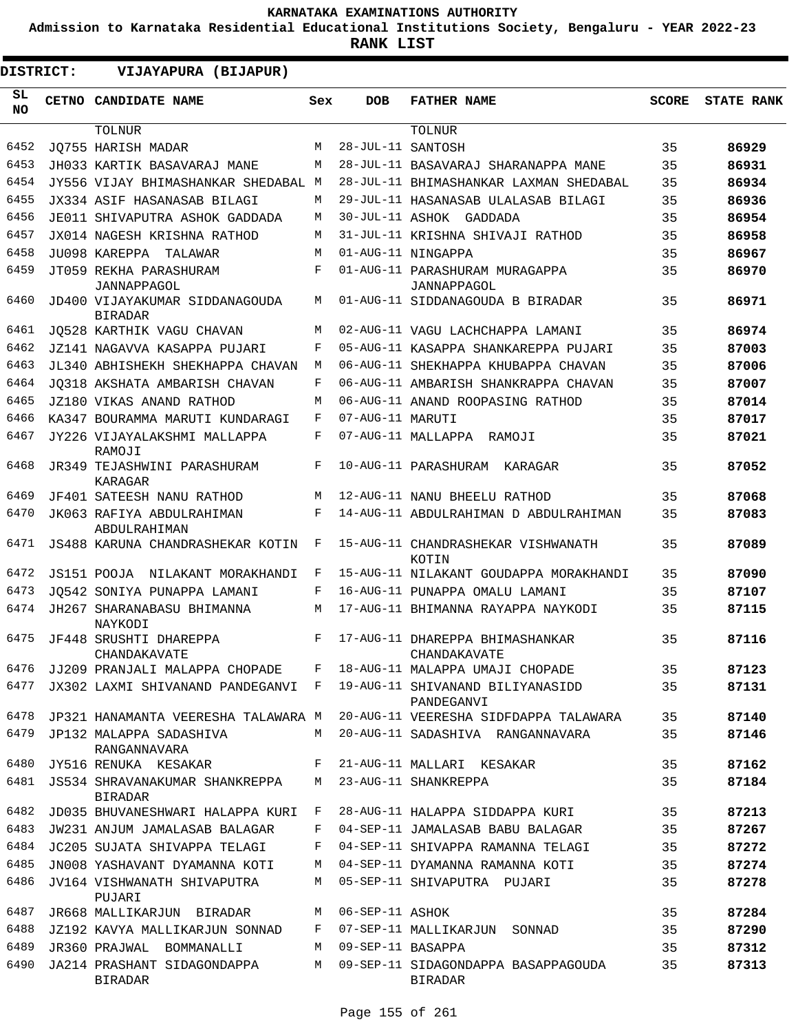**Admission to Karnataka Residential Educational Institutions Society, Bengaluru - YEAR 2022-23**

 $\blacksquare$ 

| DISTRICT:       | VIJAYAPURA (BIJAPUR)                             |     |                   |                                                       |              |                   |  |  |  |  |  |
|-----------------|--------------------------------------------------|-----|-------------------|-------------------------------------------------------|--------------|-------------------|--|--|--|--|--|
| SL<br><b>NO</b> | <b>CETNO CANDIDATE NAME</b>                      | Sex | <b>DOB</b>        | <b>FATHER NAME</b>                                    | <b>SCORE</b> | <b>STATE RANK</b> |  |  |  |  |  |
|                 | <b>TOLNUR</b>                                    |     |                   | TOLNUR                                                |              |                   |  |  |  |  |  |
| 6452            | JO755 HARISH MADAR                               | M   | 28-JUL-11 SANTOSH |                                                       | 35           | 86929             |  |  |  |  |  |
| 6453            | JH033 KARTIK BASAVARAJ MANE                      | М   |                   | 28-JUL-11 BASAVARAJ SHARANAPPA MANE                   | 35           | 86931             |  |  |  |  |  |
| 6454            | JY556 VIJAY BHIMASHANKAR SHEDABAL M              |     |                   | 28-JUL-11 BHIMASHANKAR LAXMAN SHEDABAL                | 35           | 86934             |  |  |  |  |  |
| 6455            | JX334 ASIF HASANASAB BILAGI                      | М   |                   | 29-JUL-11 HASANASAB ULALASAB BILAGI                   | 35           | 86936             |  |  |  |  |  |
| 6456            | JE011 SHIVAPUTRA ASHOK GADDADA                   | M   |                   | 30-JUL-11 ASHOK GADDADA                               | 35           | 86954             |  |  |  |  |  |
| 6457            | JX014 NAGESH KRISHNA RATHOD                      | M   |                   | 31-JUL-11 KRISHNA SHIVAJI RATHOD                      | 35           | 86958             |  |  |  |  |  |
| 6458            | JU098 KAREPPA TALAWAR                            | M   |                   | 01-AUG-11 NINGAPPA                                    | 35           | 86967             |  |  |  |  |  |
| 6459            | JT059 REKHA PARASHURAM<br>JANNAPPAGOL            | F   |                   | 01-AUG-11 PARASHURAM MURAGAPPA<br>JANNAPPAGOL         | 35           | 86970             |  |  |  |  |  |
| 6460            | JD400 VIJAYAKUMAR SIDDANAGOUDA<br><b>BIRADAR</b> | M   |                   | 01-AUG-11 SIDDANAGOUDA B BIRADAR                      | 35           | 86971             |  |  |  |  |  |
| 6461            | JQ528 KARTHIK VAGU CHAVAN                        | M   |                   | 02-AUG-11 VAGU LACHCHAPPA LAMANI                      | 35           | 86974             |  |  |  |  |  |
| 6462            | JZ141 NAGAVVA KASAPPA PUJARI                     | F   |                   | 05-AUG-11 KASAPPA SHANKAREPPA PUJARI                  | 35           | 87003             |  |  |  |  |  |
| 6463            | JL340 ABHISHEKH SHEKHAPPA CHAVAN                 | M   |                   | 06-AUG-11 SHEKHAPPA KHUBAPPA CHAVAN                   | 35           | 87006             |  |  |  |  |  |
| 6464            | JO318 AKSHATA AMBARISH CHAVAN                    | F   |                   | 06-AUG-11 AMBARISH SHANKRAPPA CHAVAN                  | 35           | 87007             |  |  |  |  |  |
| 6465            | JZ180 VIKAS ANAND RATHOD                         | M   |                   | 06-AUG-11 ANAND ROOPASING RATHOD                      | 35           | 87014             |  |  |  |  |  |
| 6466            | KA347 BOURAMMA MARUTI KUNDARAGI                  | F   | 07-AUG-11 MARUTI  |                                                       | 35           | 87017             |  |  |  |  |  |
| 6467            | JY226 VIJAYALAKSHMI MALLAPPA<br>RAMOJI           | F   |                   | 07-AUG-11 MALLAPPA RAMOJI                             | 35           | 87021             |  |  |  |  |  |
| 6468            | JR349 TEJASHWINI PARASHURAM<br>KARAGAR           | F   |                   | 10-AUG-11 PARASHURAM<br>KARAGAR                       | 35           | 87052             |  |  |  |  |  |
| 6469            | JF401 SATEESH NANU RATHOD                        | M   |                   | 12-AUG-11 NANU BHEELU RATHOD                          | 35           | 87068             |  |  |  |  |  |
| 6470            | JK063 RAFIYA ABDULRAHIMAN<br>ABDULRAHIMAN        | F   |                   | 14-AUG-11 ABDULRAHIMAN D ABDULRAHIMAN                 | 35           | 87083             |  |  |  |  |  |
| 6471            | JS488 KARUNA CHANDRASHEKAR KOTIN                 | F   |                   | 15-AUG-11 CHANDRASHEKAR VISHWANATH<br>KOTIN           | 35           | 87089             |  |  |  |  |  |
| 6472            | JS151 POOJA<br>NILAKANT MORAKHANDI               | F   |                   | 15-AUG-11 NILAKANT GOUDAPPA MORAKHANDI                | 35           | 87090             |  |  |  |  |  |
| 6473            | JO542 SONIYA PUNAPPA LAMANI                      | F   |                   | 16-AUG-11 PUNAPPA OMALU LAMANI                        | 35           | 87107             |  |  |  |  |  |
| 6474            | JH267 SHARANABASU BHIMANNA<br>NAYKODI            | M   |                   | 17-AUG-11 BHIMANNA RAYAPPA NAYKODI                    | 35           | 87115             |  |  |  |  |  |
| 6475            | JF448 SRUSHTI DHAREPPA<br>CHANDAKAVATE           | F   |                   | 17-AUG-11 DHAREPPA BHIMASHANKAR<br>CHANDAKAVATE       | 35           | 87116             |  |  |  |  |  |
| 6476            | JJ209 PRANJALI MALAPPA CHOPADE                   | F   |                   | 18-AUG-11 MALAPPA UMAJI CHOPADE                       | 35           | 87123             |  |  |  |  |  |
| 6477            | JX302 LAXMI SHIVANAND PANDEGANVI F               |     |                   | 19-AUG-11 SHIVANAND BILIYANASIDD<br>PANDEGANVI        | 35           | 87131             |  |  |  |  |  |
| 6478            | JP321 HANAMANTA VEERESHA TALAWARA M              |     |                   | 20-AUG-11 VEERESHA SIDFDAPPA TALAWARA                 | 35           | 87140             |  |  |  |  |  |
| 6479            | JP132 MALAPPA SADASHIVA<br>RANGANNAVARA          | M   |                   | 20-AUG-11 SADASHIVA RANGANNAVARA                      | 35           | 87146             |  |  |  |  |  |
| 6480            | JY516 RENUKA KESAKAR                             | F   |                   | 21-AUG-11 MALLARI KESAKAR                             | 35           | 87162             |  |  |  |  |  |
| 6481            | JS534 SHRAVANAKUMAR SHANKREPPA<br><b>BIRADAR</b> | М   |                   | 23-AUG-11 SHANKREPPA                                  | 35           | 87184             |  |  |  |  |  |
| 6482            | JD035 BHUVANESHWARI HALAPPA KURI                 | F   |                   | 28-AUG-11 HALAPPA SIDDAPPA KURI                       | 35           | 87213             |  |  |  |  |  |
| 6483            | JW231 ANJUM JAMALASAB BALAGAR                    | F   |                   | 04-SEP-11 JAMALASAB BABU BALAGAR                      | 35           | 87267             |  |  |  |  |  |
| 6484            | JC205 SUJATA SHIVAPPA TELAGI                     | F   |                   | 04-SEP-11 SHIVAPPA RAMANNA TELAGI                     | 35           | 87272             |  |  |  |  |  |
| 6485            | JN008 YASHAVANT DYAMANNA KOTI                    | M   |                   | 04-SEP-11 DYAMANNA RAMANNA KOTI                       | 35           | 87274             |  |  |  |  |  |
| 6486            | JV164 VISHWANATH SHIVAPUTRA<br>PUJARI            | M   |                   | 05-SEP-11 SHIVAPUTRA PUJARI                           | 35           | 87278             |  |  |  |  |  |
| 6487            | JR668 MALLIKARJUN BIRADAR                        | M   | 06-SEP-11 ASHOK   |                                                       | 35           | 87284             |  |  |  |  |  |
| 6488            | JZ192 KAVYA MALLIKARJUN SONNAD                   | F   |                   | 07-SEP-11 MALLIKARJUN<br>SONNAD                       | 35           | 87290             |  |  |  |  |  |
| 6489            | JR360 PRAJWAL BOMMANALLI                         | M   | 09-SEP-11 BASAPPA |                                                       | 35           | 87312             |  |  |  |  |  |
| 6490            | JA214 PRASHANT SIDAGONDAPPA<br><b>BIRADAR</b>    | M   |                   | 09-SEP-11 SIDAGONDAPPA BASAPPAGOUDA<br><b>BIRADAR</b> | 35           | 87313             |  |  |  |  |  |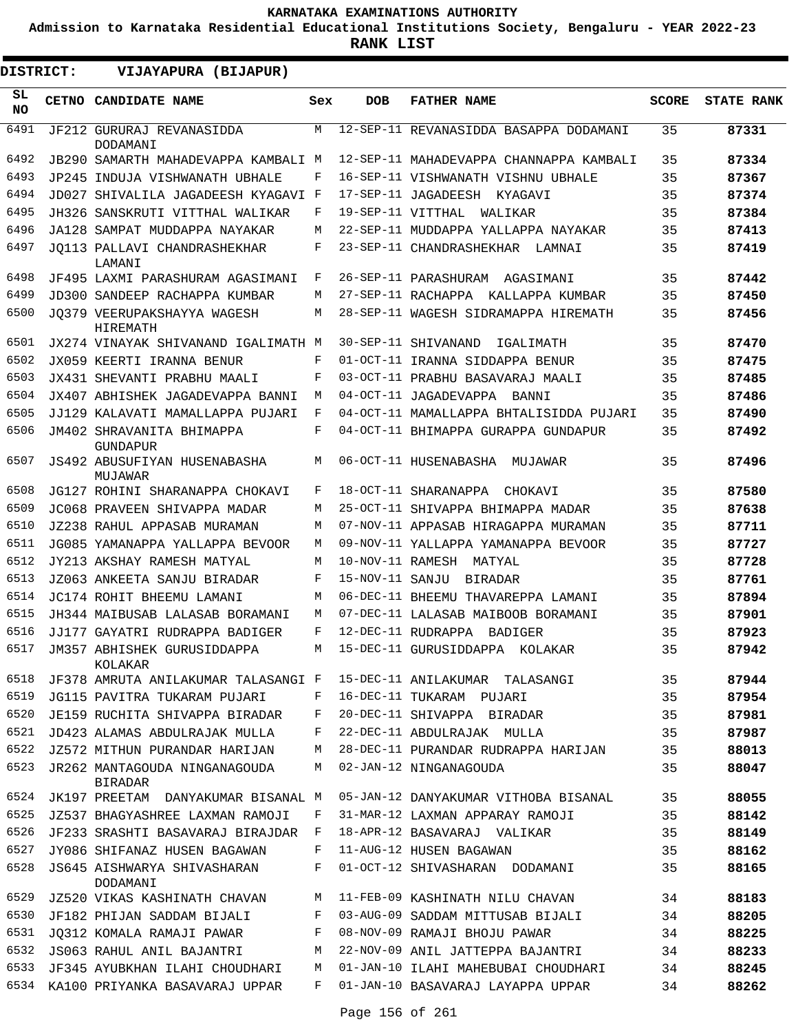**Admission to Karnataka Residential Educational Institutions Society, Bengaluru - YEAR 2022-23**

| DISTRICT: | VIJAYAPURA (BIJAPUR)                            |     |                   |                                         |              |                   |
|-----------|-------------------------------------------------|-----|-------------------|-----------------------------------------|--------------|-------------------|
| SL<br>NO. | CETNO CANDIDATE NAME                            | Sex | <b>DOB</b>        | <b>FATHER NAME</b>                      | <b>SCORE</b> | <b>STATE RANK</b> |
| 6491      | JF212 GURURAJ REVANASIDDA<br>DODAMANI           | M   |                   | 12-SEP-11 REVANASIDDA BASAPPA DODAMANI  | 35           | 87331             |
| 6492      | JB290 SAMARTH MAHADEVAPPA KAMBALI M             |     |                   | 12-SEP-11 MAHADEVAPPA CHANNAPPA KAMBALI | 35           | 87334             |
| 6493      | JP245 INDUJA VISHWANATH UBHALE                  | F   |                   | 16-SEP-11 VISHWANATH VISHNU UBHALE      | 35           | 87367             |
| 6494      | JD027 SHIVALILA JAGADEESH KYAGAVI F             |     |                   | 17-SEP-11 JAGADEESH KYAGAVI             | 35           | 87374             |
| 6495      | JH326 SANSKRUTI VITTHAL WALIKAR                 | F   | 19-SEP-11 VITTHAL | WALIKAR                                 | 35           | 87384             |
| 6496      | JA128 SAMPAT MUDDAPPA NAYAKAR                   | M   |                   | 22-SEP-11 MUDDAPPA YALLAPPA NAYAKAR     | 35           | 87413             |
| 6497      | JO113 PALLAVI CHANDRASHEKHAR<br>LAMANI          | F   |                   | 23-SEP-11 CHANDRASHEKHAR LAMNAI         | 35           | 87419             |
| 6498      | JF495 LAXMI PARASHURAM AGASIMANI                | F   |                   | 26-SEP-11 PARASHURAM AGASIMANI          | 35           | 87442             |
| 6499      | JD300 SANDEEP RACHAPPA KUMBAR                   | M   |                   | 27-SEP-11 RACHAPPA KALLAPPA KUMBAR      | 35           | 87450             |
| 6500      | JO379 VEERUPAKSHAYYA WAGESH<br><b>HIREMATH</b>  | M   |                   | 28-SEP-11 WAGESH SIDRAMAPPA HIREMATH    | 35           | 87456             |
| 6501      | JX274 VINAYAK SHIVANAND IGALIMATH M             |     |                   | 30-SEP-11 SHIVANAND<br>IGALIMATH        | 35           | 87470             |
| 6502      | JX059 KEERTI IRANNA BENUR                       | F   |                   | 01-OCT-11 IRANNA SIDDAPPA BENUR         | 35           | 87475             |
| 6503      | JX431 SHEVANTI PRABHU MAALI                     | F   |                   | 03-OCT-11 PRABHU BASAVARAJ MAALI        | 35           | 87485             |
| 6504      | JX407 ABHISHEK JAGADEVAPPA BANNI                | M   |                   | 04-OCT-11 JAGADEVAPPA<br>BANNI          | 35           | 87486             |
| 6505      | JJ129 KALAVATI MAMALLAPPA PUJARI                | F   |                   | 04-OCT-11 MAMALLAPPA BHTALISIDDA PUJARI | 35           | 87490             |
| 6506      | JM402 SHRAVANITA BHIMAPPA<br><b>GUNDAPUR</b>    | F   |                   | 04-OCT-11 BHIMAPPA GURAPPA GUNDAPUR     | 35           | 87492             |
| 6507      | JS492 ABUSUFIYAN HUSENABASHA<br>MUJAWAR         | M   |                   | 06-OCT-11 HUSENABASHA MUJAWAR           | 35           | 87496             |
| 6508      | JG127 ROHINI SHARANAPPA CHOKAVI                 | F   |                   | 18-OCT-11 SHARANAPPA<br>CHOKAVI         | 35           | 87580             |
| 6509      | JC068 PRAVEEN SHIVAPPA MADAR                    | M   |                   | 25-OCT-11 SHIVAPPA BHIMAPPA MADAR       | 35           | 87638             |
| 6510      | JZ238 RAHUL APPASAB MURAMAN                     | M   |                   | 07-NOV-11 APPASAB HIRAGAPPA MURAMAN     | 35           | 87711             |
| 6511      | JG085 YAMANAPPA YALLAPPA BEVOOR                 | M   |                   | 09-NOV-11 YALLAPPA YAMANAPPA BEVOOR     | 35           | 87727             |
| 6512      | JY213 AKSHAY RAMESH MATYAL                      | M   | 10-NOV-11 RAMESH  | MATYAL                                  | 35           | 87728             |
| 6513      | JZ063 ANKEETA SANJU BIRADAR                     | F   | 15-NOV-11 SANJU   | BIRADAR                                 | 35           | 87761             |
| 6514      | JC174 ROHIT BHEEMU LAMANI                       | M   |                   | 06-DEC-11 BHEEMU THAVAREPPA LAMANI      | 35           | 87894             |
| 6515      | JH344 MAIBUSAB LALASAB BORAMANI                 | M   |                   | 07-DEC-11 LALASAB MAIBOOB BORAMANI      | 35           | 87901             |
| 6516      | JJ177 GAYATRI RUDRAPPA BADIGER                  | F   |                   | 12-DEC-11 RUDRAPPA BADIGER              | 35           | 87923             |
| 6517      | JM357 ABHISHEK GURUSIDDAPPA<br>KOLAKAR          | M   |                   | 15-DEC-11 GURUSIDDAPPA KOLAKAR          | 35           | 87942             |
| 6518      | JF378 AMRUTA ANILAKUMAR TALASANGI F             |     |                   | 15-DEC-11 ANILAKUMAR TALASANGI          | 35           | 87944             |
| 6519      | JG115 PAVITRA TUKARAM PUJARI                    | F   |                   | 16-DEC-11 TUKARAM PUJARI                | 35           | 87954             |
| 6520      | JE159 RUCHITA SHIVAPPA BIRADAR                  | F   |                   | 20-DEC-11 SHIVAPPA BIRADAR              | 35           | 87981             |
| 6521      | JD423 ALAMAS ABDULRAJAK MULLA                   | F   |                   | 22-DEC-11 ABDULRAJAK MULLA              | 35           | 87987             |
| 6522      | JZ572 MITHUN PURANDAR HARIJAN                   | М   |                   | 28-DEC-11 PURANDAR RUDRAPPA HARIJAN     | 35           | 88013             |
| 6523      | JR262 MANTAGOUDA NINGANAGOUDA<br><b>BIRADAR</b> | M   |                   | 02-JAN-12 NINGANAGOUDA                  | 35           | 88047             |
| 6524      | JK197 PREETAM DANYAKUMAR BISANAL M              |     |                   | 05-JAN-12 DANYAKUMAR VITHOBA BISANAL    | 35           | 88055             |
| 6525      | JZ537 BHAGYASHREE LAXMAN RAMOJI                 | F   |                   | 31-MAR-12 LAXMAN APPARAY RAMOJI         | 35           | 88142             |
| 6526      | JF233 SRASHTI BASAVARAJ BIRAJDAR                | F   |                   | 18-APR-12 BASAVARAJ VALIKAR             | 35           | 88149             |
| 6527      | JY086 SHIFANAZ HUSEN BAGAWAN                    | F   |                   | 11-AUG-12 HUSEN BAGAWAN                 | 35           | 88162             |
| 6528      | JS645 AISHWARYA SHIVASHARAN<br>DODAMANI         | F   |                   | 01-OCT-12 SHIVASHARAN DODAMANI          | 35           | 88165             |
| 6529      | JZ520 VIKAS KASHINATH CHAVAN                    | M   |                   | 11-FEB-09 KASHINATH NILU CHAVAN         | 34           | 88183             |
| 6530      | JF182 PHIJAN SADDAM BIJALI                      | F   |                   | 03-AUG-09 SADDAM MITTUSAB BIJALI        | 34           | 88205             |
| 6531      | JQ312 KOMALA RAMAJI PAWAR                       | F   |                   | 08-NOV-09 RAMAJI BHOJU PAWAR            | 34           | 88225             |
| 6532      | JS063 RAHUL ANIL BAJANTRI                       | M   |                   | 22-NOV-09 ANIL JATTEPPA BAJANTRI        | 34           | 88233             |
| 6533      | JF345 AYUBKHAN ILAHI CHOUDHARI                  | М   |                   | 01-JAN-10 ILAHI MAHEBUBAI CHOUDHARI     | 34           | 88245             |
|           | 6534 KA100 PRIYANKA BASAVARAJ UPPAR             | F   |                   | 01-JAN-10 BASAVARAJ LAYAPPA UPPAR       | 34           | 88262             |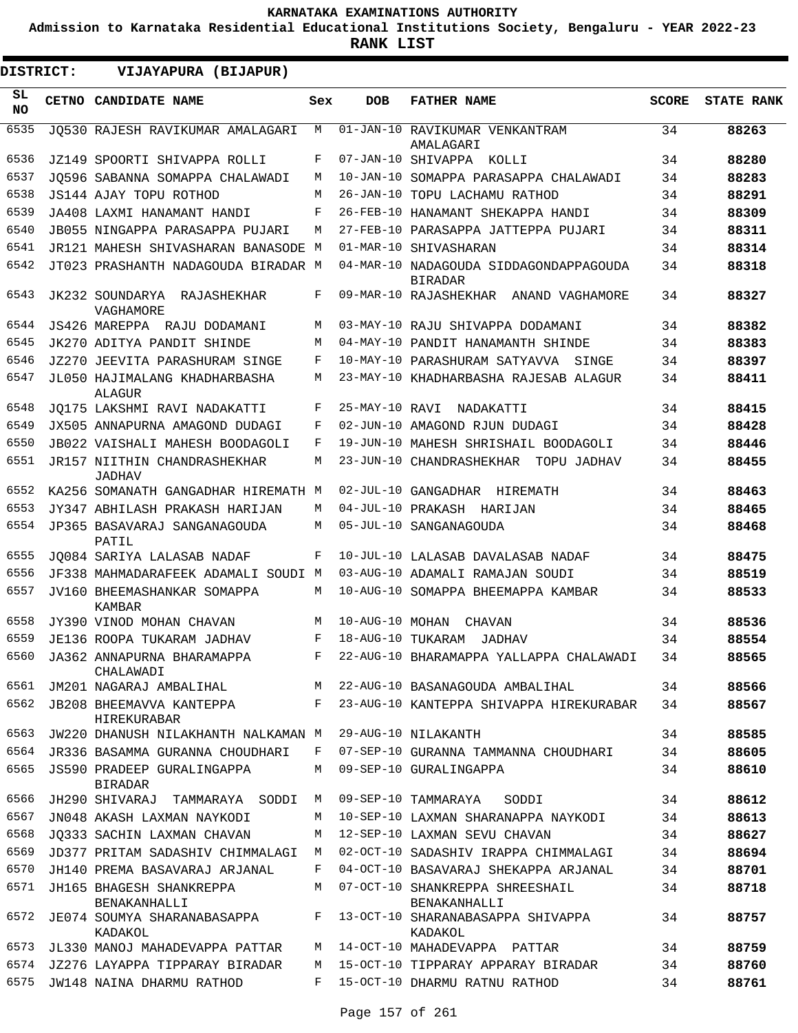**Admission to Karnataka Residential Educational Institutions Society, Bengaluru - YEAR 2022-23**

| DISTRICT: |       | VIJAYAPURA (BIJAPUR)                                              |     |                   |                                                                      |              |                   |
|-----------|-------|-------------------------------------------------------------------|-----|-------------------|----------------------------------------------------------------------|--------------|-------------------|
| SL<br>NO. | CETNO | CANDIDATE NAME                                                    | Sex | <b>DOB</b>        | <b>FATHER NAME</b>                                                   | <b>SCORE</b> | <b>STATE RANK</b> |
| 6535      |       | JO530 RAJESH RAVIKUMAR AMALAGARI                                  | М   |                   | 01-JAN-10 RAVIKUMAR VENKANTRAM<br>AMALAGARI                          | 34           | 88263             |
| 6536      |       | JZ149 SPOORTI SHIVAPPA ROLLI                                      | F   |                   | 07-JAN-10 SHIVAPPA KOLLI                                             | 34           | 88280             |
| 6537      |       | JQ596 SABANNA SOMAPPA CHALAWADI                                   | М   |                   | 10-JAN-10 SOMAPPA PARASAPPA CHALAWADI                                | 34           | 88283             |
| 6538      |       | JS144 AJAY TOPU ROTHOD                                            | М   |                   | 26-JAN-10 TOPU LACHAMU RATHOD                                        | 34           | 88291             |
| 6539      |       | JA408 LAXMI HANAMANT HANDI                                        | F   |                   | 26-FEB-10 HANAMANT SHEKAPPA HANDI                                    | 34           | 88309             |
| 6540      |       | JB055 NINGAPPA PARASAPPA PUJARI                                   | М   |                   | 27-FEB-10 PARASAPPA JATTEPPA PUJARI                                  | 34           | 88311             |
| 6541      |       | JR121 MAHESH SHIVASHARAN BANASODE M                               |     |                   | 01-MAR-10 SHIVASHARAN                                                | 34           | 88314             |
| 6542      |       | JT023 PRASHANTH NADAGOUDA BIRADAR M                               |     |                   | 04-MAR-10 NADAGOUDA SIDDAGONDAPPAGOUDA<br><b>BIRADAR</b>             | 34           | 88318             |
| 6543      |       | JK232 SOUNDARYA RAJASHEKHAR<br>VAGHAMORE                          | F   |                   | 09-MAR-10 RAJASHEKHAR ANAND VAGHAMORE                                | 34           | 88327             |
| 6544      |       | JS426 MAREPPA RAJU DODAMANI                                       | М   |                   | 03-MAY-10 RAJU SHIVAPPA DODAMANI                                     | 34           | 88382             |
| 6545      |       | JK270 ADITYA PANDIT SHINDE                                        | М   |                   | 04-MAY-10 PANDIT HANAMANTH SHINDE                                    | 34           | 88383             |
| 6546      |       | <b>JZ270 JEEVITA PARASHURAM SINGE</b>                             | F   |                   | 10-MAY-10 PARASHURAM SATYAVVA<br>SINGE                               | 34           | 88397             |
| 6547      |       | JL050 HAJIMALANG KHADHARBASHA<br>ALAGUR                           | М   |                   | 23-MAY-10 KHADHARBASHA RAJESAB ALAGUR                                | 34           | 88411             |
| 6548      |       | JO175 LAKSHMI RAVI NADAKATTI                                      | F   | 25-MAY-10 RAVI    | NADAKATTI                                                            | 34           | 88415             |
| 6549      |       | JX505 ANNAPURNA AMAGOND DUDAGI                                    | F   |                   | 02-JUN-10 AMAGOND RJUN DUDAGI                                        | 34           | 88428             |
| 6550      |       | JB022 VAISHALI MAHESH BOODAGOLI                                   | F   |                   | 19-JUN-10 MAHESH SHRISHAIL BOODAGOLI                                 | 34           | 88446             |
| 6551      |       | JR157 NIITHIN CHANDRASHEKHAR<br><b>JADHAV</b>                     | М   |                   | 23-JUN-10 CHANDRASHEKHAR<br>TOPU JADHAV                              | 34           | 88455             |
| 6552      |       | KA256 SOMANATH GANGADHAR HIREMATH M                               |     |                   | 02-JUL-10 GANGADHAR HIREMATH                                         | 34           | 88463             |
| 6553      |       | JY347 ABHILASH PRAKASH HARIJAN                                    | М   |                   | 04-JUL-10 PRAKASH HARIJAN                                            | 34           | 88465             |
| 6554      |       | JP365 BASAVARAJ SANGANAGOUDA                                      | М   |                   | 05-JUL-10 SANGANAGOUDA                                               | 34           | 88468             |
| 6555      |       | PATIL                                                             | F   |                   |                                                                      | 34           | 88475             |
| 6556      |       | JO084 SARIYA LALASAB NADAF<br>JF338 MAHMADARAFEEK ADAMALI SOUDI M |     |                   | 10-JUL-10 LALASAB DAVALASAB NADAF<br>03-AUG-10 ADAMALI RAMAJAN SOUDI | 34           | 88519             |
| 6557      |       | JV160 BHEEMASHANKAR SOMAPPA<br>KAMBAR                             | М   |                   | 10-AUG-10 SOMAPPA BHEEMAPPA KAMBAR                                   | 34           | 88533             |
| 6558      |       | JY390 VINOD MOHAN CHAVAN                                          | M   | 10-AUG-10 MOHAN   | CHAVAN                                                               | 34           | 88536             |
| 6559      |       | JE136 ROOPA TUKARAM JADHAV                                        | F   | 18-AUG-10 TUKARAM | JADHAV                                                               | 34           | 88554             |
| 6560      |       | JA362 ANNAPURNA BHARAMAPPA<br>CHALAWADI                           | F   |                   | 22-AUG-10 BHARAMAPPA YALLAPPA CHALAWADI                              | 34           | 88565             |
| 6561      |       | JM201 NAGARAJ AMBALIHAL M                                         |     |                   | 22-AUG-10 BASANAGOUDA AMBALIHAL                                      | 34           | 88566             |
| 6562      |       | JB208 BHEEMAVVA KANTEPPA<br><b>HIREKURABAR</b>                    |     |                   | F 23-AUG-10 KANTEPPA SHIVAPPA HIREKURABAR                            | 34           | 88567             |
| 6563      |       | JW220 DHANUSH NILAKHANTH NALKAMAN M                               |     |                   | 29-AUG-10 NILAKANTH                                                  | 34           | 88585             |
|           |       | 6564 JR336 BASAMMA GURANNA CHOUDHARI                              | F   |                   | 07-SEP-10 GURANNA TAMMANNA CHOUDHARI                                 | 34           | 88605             |
| 6565      |       | JS590 PRADEEP GURALINGAPPA<br><b>BIRADAR</b>                      | М   |                   | 09-SEP-10 GURALINGAPPA                                               | 34           | 88610             |
| 6566      |       | JH290 SHIVARAJ TAMMARAYA SODDI                                    | M   |                   | 09-SEP-10 TAMMARAYA<br>SODDI                                         | 34           | 88612             |
| 6567      |       | JN048 AKASH LAXMAN NAYKODI                                        | М   |                   | 10-SEP-10 LAXMAN SHARANAPPA NAYKODI                                  | 34           | 88613             |
| 6568      |       | JO333 SACHIN LAXMAN CHAVAN                                        | М   |                   | 12-SEP-10 LAXMAN SEVU CHAVAN                                         | 34           | 88627             |
| 6569      |       | JD377 PRITAM SADASHIV CHIMMALAGI M                                |     |                   | 02-OCT-10 SADASHIV IRAPPA CHIMMALAGI                                 | 34           | 88694             |
| 6570      |       | JH140 PREMA BASAVARAJ ARJANAL                                     | F   |                   | 04-OCT-10 BASAVARAJ SHEKAPPA ARJANAL                                 | 34           | 88701             |
| 6571      |       | JH165 BHAGESH SHANKREPPA<br>BENAKANHALLI                          | М   |                   | 07-OCT-10 SHANKREPPA SHREESHAIL<br>BENAKANHALLI                      | 34           | 88718             |
| 6572      |       | JE074 SOUMYA SHARANABASAPPA<br>KADAKOL                            | F   |                   | 13-OCT-10 SHARANABASAPPA SHIVAPPA<br>KADAKOL                         | 34           | 88757             |
| 6573      |       | JL330 MANOJ MAHADEVAPPA PATTAR                                    | M   |                   | 14-OCT-10 MAHADEVAPPA PATTAR                                         | 34           | 88759             |
| 6574      |       | JZ276 LAYAPPA TIPPARAY BIRADAR                                    | М   |                   | 15-OCT-10 TIPPARAY APPARAY BIRADAR                                   | 34           | 88760             |
| 6575      |       | JW148 NAINA DHARMU RATHOD                                         | F   |                   | 15-OCT-10 DHARMU RATNU RATHOD                                        | 34           | 88761             |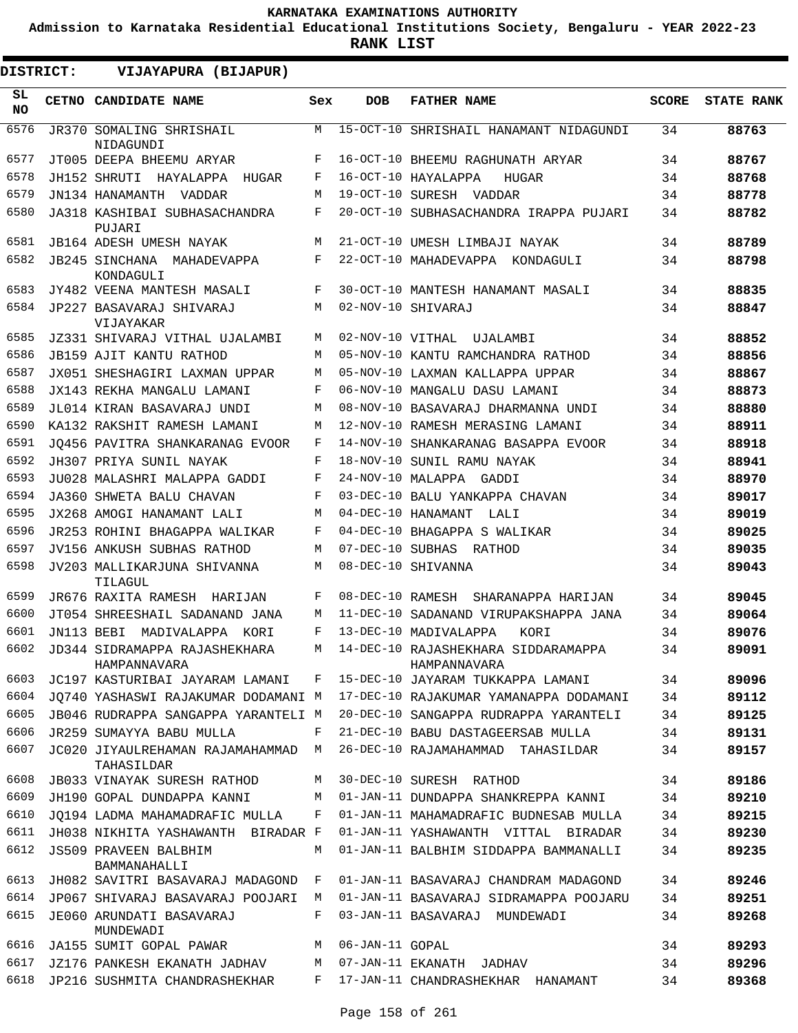**Admission to Karnataka Residential Educational Institutions Society, Bengaluru - YEAR 2022-23**

| <b>DISTRICT:</b> | VIJAYAPURA (BIJAPUR)                           |     |                    |                                                       |              |                   |
|------------------|------------------------------------------------|-----|--------------------|-------------------------------------------------------|--------------|-------------------|
| SL.<br><b>NO</b> | <b>CETNO CANDIDATE NAME</b>                    | Sex | <b>DOB</b>         | <b>FATHER NAME</b>                                    | <b>SCORE</b> | <b>STATE RANK</b> |
| 6576             | JR370 SOMALING SHRISHAIL<br>NIDAGUNDI          | M   |                    | 15-OCT-10 SHRISHAIL HANAMANT NIDAGUNDI                | 34           | 88763             |
| 6577             | JT005 DEEPA BHEEMU ARYAR                       | F   |                    | 16-OCT-10 BHEEMU RAGHUNATH ARYAR                      | 34           | 88767             |
| 6578             | JH152 SHRUTI HAYALAPPA<br>HUGAR                | F   |                    | 16-OCT-10 HAYALAPPA<br>HUGAR                          | 34           | 88768             |
| 6579             | JN134 HANAMANTH VADDAR                         | М   |                    | 19-OCT-10 SURESH VADDAR                               | 34           | 88778             |
| 6580             | JA318 KASHIBAI SUBHASACHANDRA<br>PUJARI        | F   |                    | 20-OCT-10 SUBHASACHANDRA IRAPPA PUJARI                | 34           | 88782             |
| 6581             | <b>JB164 ADESH UMESH NAYAK</b>                 | M   |                    | 21-OCT-10 UMESH LIMBAJI NAYAK                         | 34           | 88789             |
| 6582             | JB245 SINCHANA MAHADEVAPPA<br>KONDAGULI        | F   |                    | 22-OCT-10 MAHADEVAPPA KONDAGULI                       | 34           | 88798             |
| 6583             | JY482 VEENA MANTESH MASALI                     | F   |                    | 30-OCT-10 MANTESH HANAMANT MASALI                     | 34           | 88835             |
| 6584             | JP227 BASAVARAJ SHIVARAJ<br>VIJAYAKAR          | M   | 02-NOV-10 SHIVARAJ |                                                       | 34           | 88847             |
| 6585             | JZ331 SHIVARAJ VITHAL UJALAMBI                 | M   |                    | 02-NOV-10 VITHAL UJALAMBI                             | 34           | 88852             |
| 6586             | JB159 AJIT KANTU RATHOD                        | M   |                    | 05-NOV-10 KANTU RAMCHANDRA RATHOD                     | 34           | 88856             |
| 6587             | JX051 SHESHAGIRI LAXMAN UPPAR                  | М   |                    | 05-NOV-10 LAXMAN KALLAPPA UPPAR                       | 34           | 88867             |
| 6588             | JX143 REKHA MANGALU LAMANI                     | F   |                    | 06-NOV-10 MANGALU DASU LAMANI                         | 34           | 88873             |
| 6589             | JL014 KIRAN BASAVARAJ UNDI                     | M   |                    | 08-NOV-10 BASAVARAJ DHARMANNA UNDI                    | 34           | 88880             |
| 6590             | KA132 RAKSHIT RAMESH LAMANI                    | M   |                    | 12-NOV-10 RAMESH MERASING LAMANI                      | 34           | 88911             |
| 6591             | JO456 PAVITRA SHANKARANAG EVOOR                | F   |                    | 14-NOV-10 SHANKARANAG BASAPPA EVOOR                   | 34           | 88918             |
| 6592             | JH307 PRIYA SUNIL NAYAK                        | F   |                    | 18-NOV-10 SUNIL RAMU NAYAK                            | 34           | 88941             |
| 6593             | JU028 MALASHRI MALAPPA GADDI                   | F   |                    | 24-NOV-10 MALAPPA GADDI                               | 34           | 88970             |
| 6594             | JA360 SHWETA BALU CHAVAN                       | F   |                    | 03-DEC-10 BALU YANKAPPA CHAVAN                        | 34           | 89017             |
| 6595             | JX268 AMOGI HANAMANT LALI                      | М   |                    | 04-DEC-10 HANAMANT<br>LALI                            | 34           | 89019             |
| 6596             | JR253 ROHINI BHAGAPPA WALIKAR                  | F   |                    | 04-DEC-10 BHAGAPPA S WALIKAR                          | 34           | 89025             |
| 6597             | JV156 ANKUSH SUBHAS RATHOD                     | М   |                    | 07-DEC-10 SUBHAS RATHOD                               | 34           | 89035             |
| 6598             | JV203 MALLIKARJUNA SHIVANNA<br>TILAGUL         | М   |                    | 08-DEC-10 SHIVANNA                                    | 34           | 89043             |
| 6599             | JR676 RAXITA RAMESH HARIJAN                    | F   | 08-DEC-10 RAMESH   | SHARANAPPA HARIJAN                                    | 34           | 89045             |
| 6600             | JT054 SHREESHAIL SADANAND JANA                 | M   |                    | 11-DEC-10 SADANAND VIRUPAKSHAPPA JANA                 | 34           | 89064             |
| 6601             | JN113 BEBI MADIVALAPPA KORI                    | F   |                    | 13-DEC-10 MADIVALAPPA<br>KORI                         | 34           | 89076             |
| 6602             | JD344 SIDRAMAPPA RAJASHEKHARA<br>HAMPANNAVARA  |     |                    | M 14-DEC-10 RAJASHEKHARA SIDDARAMAPPA<br>HAMPANNAVARA | 34           | 89091             |
| 6603             | JC197 KASTURIBAI JAYARAM LAMANI                | F   |                    | 15-DEC-10 JAYARAM TUKKAPPA LAMANI                     | 34           | 89096             |
| 6604             | JO740 YASHASWI RAJAKUMAR DODAMANI M            |     |                    | 17-DEC-10 RAJAKUMAR YAMANAPPA DODAMANI                | 34           | 89112             |
| 6605             | JB046 RUDRAPPA SANGAPPA YARANTELI M            |     |                    | 20-DEC-10 SANGAPPA RUDRAPPA YARANTELI                 | 34           | 89125             |
| 6606             | JR259 SUMAYYA BABU MULLA                       | F   |                    | 21-DEC-10 BABU DASTAGEERSAB MULLA                     | 34           | 89131             |
| 6607             | JC020 JIYAULREHAMAN RAJAMAHAMMAD<br>TAHASILDAR | M   |                    | 26-DEC-10 RAJAMAHAMMAD  TAHASILDAR                    | 34           | 89157             |
| 6608             | JB033 VINAYAK SURESH RATHOD                    | М   |                    | 30-DEC-10 SURESH RATHOD                               | 34           | 89186             |
| 6609             | JH190 GOPAL DUNDAPPA KANNI                     | M   |                    | 01-JAN-11 DUNDAPPA SHANKREPPA KANNI                   | 34           | 89210             |
| 6610             | JO194 LADMA MAHAMADRAFIC MULLA                 | F   |                    | 01-JAN-11 MAHAMADRAFIC BUDNESAB MULLA                 | 34           | 89215             |
| 6611             | JH038 NIKHITA YASHAWANTH BIRADAR F             |     |                    | 01-JAN-11 YASHAWANTH VITTAL BIRADAR                   | 34           | 89230             |
| 6612             | <b>JS509 PRAVEEN BALBHIM</b><br>BAMMANAHALLI   | М   |                    | 01-JAN-11 BALBHIM SIDDAPPA BAMMANALLI                 | 34           | 89235             |
| 6613             | JH082 SAVITRI BASAVARAJ MADAGOND               | F   |                    | 01-JAN-11 BASAVARAJ CHANDRAM MADAGOND                 | 34           | 89246             |
| 6614             | JP067 SHIVARAJ BASAVARAJ POOJARI               | M   |                    | 01-JAN-11 BASAVARAJ SIDRAMAPPA POOJARU                | 34           | 89251             |
| 6615             | JE060 ARUNDATI BASAVARAJ<br>MUNDEWADI          | F   |                    | 03-JAN-11 BASAVARAJ MUNDEWADI                         | 34           | 89268             |
| 6616             | JA155 SUMIT GOPAL PAWAR                        | M   | 06-JAN-11 GOPAL    |                                                       | 34           | 89293             |
| 6617             | JZ176 PANKESH EKANATH JADHAV M                 |     |                    | 07-JAN-11 EKANATH JADHAV                              | 34           | 89296             |
| 6618             | JP216 SUSHMITA CHANDRASHEKHAR                  |     |                    | F 17-JAN-11 CHANDRASHEKHAR HANAMANT                   | 34           | 89368             |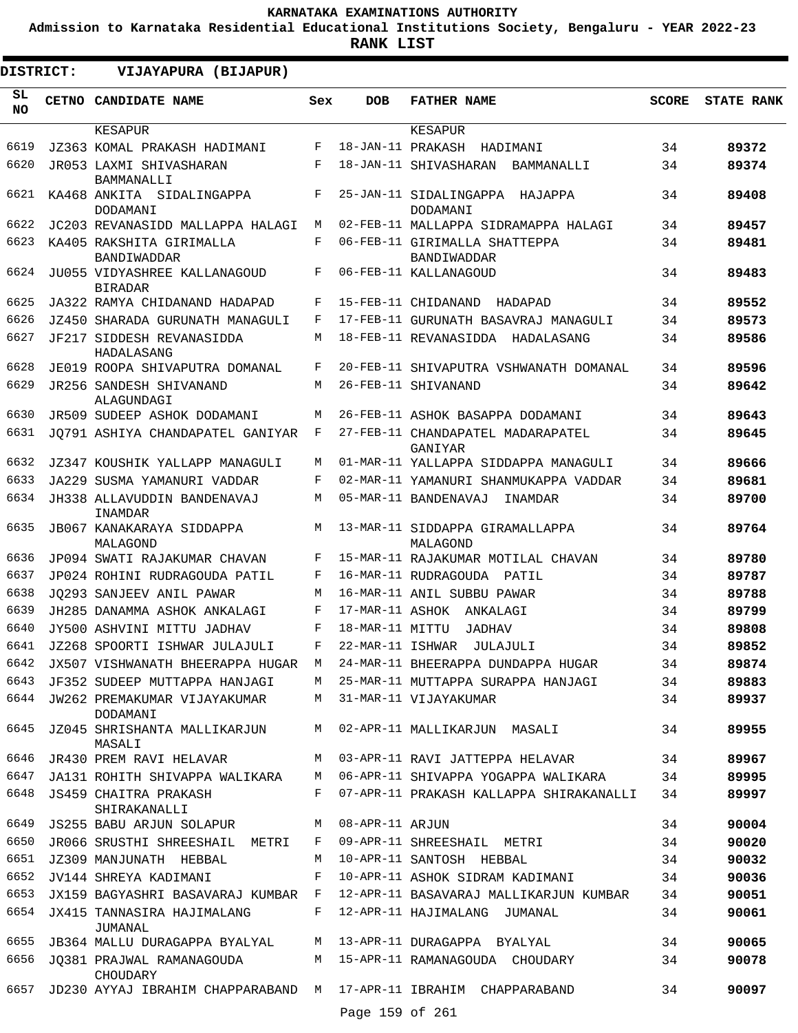**Admission to Karnataka Residential Educational Institutions Society, Bengaluru - YEAR 2022-23**

| <b>DISTRICT:</b> | VIJAYAPURA (BIJAPUR)                                              |         |                   |                                                                           |              |                   |
|------------------|-------------------------------------------------------------------|---------|-------------------|---------------------------------------------------------------------------|--------------|-------------------|
| SL.<br><b>NO</b> | <b>CETNO CANDIDATE NAME</b>                                       | Sex     | <b>DOB</b>        | <b>FATHER NAME</b>                                                        | <b>SCORE</b> | <b>STATE RANK</b> |
|                  | KESAPUR                                                           |         |                   | KESAPUR                                                                   |              |                   |
| 6619             | JZ363 KOMAL PRAKASH HADIMANI                                      | F       | 18-JAN-11 PRAKASH | HADIMANI                                                                  | 34           | 89372             |
| 6620             | JR053 LAXMI SHIVASHARAN<br>BAMMANALLI                             | F       |                   | 18-JAN-11 SHIVASHARAN BAMMANALLI                                          | 34           | 89374             |
| 6621             | KA468 ANKITA SIDALINGAPPA<br>DODAMANI                             | F       |                   | 25-JAN-11 SIDALINGAPPA HAJAPPA<br>DODAMANI                                | 34           | 89408             |
| 6622             | JC203 REVANASIDD MALLAPPA HALAGI                                  | M       |                   | 02-FEB-11 MALLAPPA SIDRAMAPPA HALAGI                                      | 34           | 89457             |
| 6623             | KA405 RAKSHITA GIRIMALLA<br>BANDIWADDAR                           | F       |                   | 06-FEB-11 GIRIMALLA SHATTEPPA<br>BANDIWADDAR                              | 34           | 89481             |
| 6624             | JU055 VIDYASHREE KALLANAGOUD<br><b>BIRADAR</b>                    | F       |                   | 06-FEB-11 KALLANAGOUD                                                     | 34           | 89483             |
| 6625             | JA322 RAMYA CHIDANAND HADAPAD                                     | F       |                   | 15-FEB-11 CHIDANAND<br>HADAPAD                                            | 34           | 89552             |
| 6626             | JZ450 SHARADA GURUNATH MANAGULI                                   | F       |                   | 17-FEB-11 GURUNATH BASAVRAJ MANAGULI                                      | 34           | 89573             |
| 6627             | JF217 SIDDESH REVANASIDDA<br>HADALASANG                           | M       |                   | 18-FEB-11 REVANASIDDA HADALASANG                                          | 34           | 89586             |
| 6628             | JE019 ROOPA SHIVAPUTRA DOMANAL                                    | F       |                   | 20-FEB-11 SHIVAPUTRA VSHWANATH DOMANAL                                    | 34           | 89596             |
| 6629             | JR256 SANDESH SHIVANAND<br>ALAGUNDAGI                             | M       |                   | 26-FEB-11 SHIVANAND                                                       | 34           | 89642             |
| 6630             | JR509 SUDEEP ASHOK DODAMANI                                       | M       |                   | 26-FEB-11 ASHOK BASAPPA DODAMANI                                          | 34           | 89643             |
| 6631             | JO791 ASHIYA CHANDAPATEL GANIYAR                                  | F       |                   | 27-FEB-11 CHANDAPATEL MADARAPATEL<br>GANIYAR                              | 34           | 89645             |
| 6632             | JZ347 KOUSHIK YALLAPP MANAGULI                                    | М       |                   | 01-MAR-11 YALLAPPA SIDDAPPA MANAGULI                                      | 34           | 89666             |
| 6633             | JA229 SUSMA YAMANURI VADDAR                                       | F       |                   | 02-MAR-11 YAMANURI SHANMUKAPPA VADDAR                                     | 34           | 89681             |
| 6634             | JH338 ALLAVUDDIN BANDENAVAJ<br>INAMDAR                            | M       |                   | 05-MAR-11 BANDENAVAJ<br>INAMDAR                                           | 34           | 89700             |
| 6635             | JB067 KANAKARAYA SIDDAPPA<br>MALAGOND                             | М       |                   | 13-MAR-11 SIDDAPPA GIRAMALLAPPA<br>MALAGOND                               | 34           | 89764             |
| 6636             | JP094 SWATI RAJAKUMAR CHAVAN                                      | F       |                   | 15-MAR-11 RAJAKUMAR MOTILAL CHAVAN                                        | 34           | 89780             |
| 6637             | JP024 ROHINI RUDRAGOUDA PATIL                                     | F       |                   | 16-MAR-11 RUDRAGOUDA PATIL                                                | 34           | 89787             |
| 6638             | JO293 SANJEEV ANIL PAWAR                                          | М       |                   | 16-MAR-11 ANIL SUBBU PAWAR                                                | 34           | 89788             |
| 6639             | JH285 DANAMMA ASHOK ANKALAGI                                      | F       |                   | 17-MAR-11 ASHOK ANKALAGI                                                  | 34           | 89799             |
| 6640             | JY500 ASHVINI MITTU JADHAV                                        | F       | 18-MAR-11 MITTU   | JADHAV                                                                    | 34           | 89808             |
| 6641             | JZ268 SPOORTI ISHWAR JULAJULI                                     | F       |                   | 22-MAR-11 ISHWAR JULAJULI                                                 | 34           | 89852             |
| 6642             | JX507 VISHWANATH BHEERAPPA HUGAR M                                |         |                   | 24-MAR-11 BHEERAPPA DUNDAPPA HUGAR                                        | 34           | 89874             |
|                  | 6643 JF352 SUDEEP MUTTAPPA HANJAGI                                |         |                   | M 25-MAR-11 MUTTAPPA SURAPPA HANJAGI                                      | 34           | 89883             |
| 6644             | JW262 PREMAKUMAR VIJAYAKUMAR<br>DODAMANI                          |         |                   | M 31-MAR-11 VIJAYAKUMAR                                                   | 34           | 89937             |
| 6645             | JZ045 SHRISHANTA MALLIKARJUN<br>MASALI                            | M       |                   | 02-APR-11 MALLIKARJUN MASALI                                              | 34           | 89955             |
| 6646             | JR430 PREM RAVI HELAVAR                                           | M       |                   | 03-APR-11 RAVI JATTEPPA HELAVAR                                           | 34           | 89967             |
| 6647             | JA131 ROHITH SHIVAPPA WALIKARA M                                  |         |                   | 06-APR-11 SHIVAPPA YOGAPPA WALIKARA                                       | 34           | 89995             |
| 6648             | JS459 CHAITRA PRAKASH<br>SHIRAKANALLI                             | F       |                   | 07-APR-11 PRAKASH KALLAPPA SHIRAKANALLI                                   | 34           | 89997             |
|                  | 6649 JS255 BABU ARJUN SOLAPUR                                     |         | M 08-APR-11 ARJUN |                                                                           | 34           | 90004             |
| 6650             | JR066 SRUSTHI SHREESHAIL METRI                                    | $F$ –   |                   | 09-APR-11 SHREESHAIL METRI                                                | 34           | 90020             |
| 6651             | JZ309 MANJUNATH HEBBAL                                            | M       |                   | 10-APR-11 SANTOSH HEBBAL                                                  | 34           | 90032             |
| 6652             | JV144 SHREYA KADIMANI                                             | F       |                   | 10-APR-11 ASHOK SIDRAM KADIMANI                                           | 34           | 90036             |
| 6653             |                                                                   |         |                   | JX159 BAGYASHRI BASAVARAJ KUMBAR F 12-APR-11 BASAVARAJ MALLIKARJUN KUMBAR | 34           | 90051             |
| 6654             | JX415 TANNASIRA HAJIMALANG<br>JUMANAL                             | $F$ and |                   | 12-APR-11 HAJIMALANG JUMANAL                                              | 34           | 90061             |
| 6655             | JB364 MALLU DURAGAPPA BYALYAL                                     |         |                   | M 13-APR-11 DURAGAPPA BYALYAL                                             | 34           | 90065             |
| 6656             | JQ381 PRAJWAL RAMANAGOUDA<br>CHOUDARY                             |         |                   | M 15-APR-11 RAMANAGOUDA CHOUDARY                                          | 34           | 90078             |
| 6657             | JD230 AYYAJ IBRAHIM CHAPPARABAND M 17-APR-11 IBRAHIM CHAPPARABAND |         |                   |                                                                           | 34           | 90097             |
|                  |                                                                   |         | Page 159 of 261   |                                                                           |              |                   |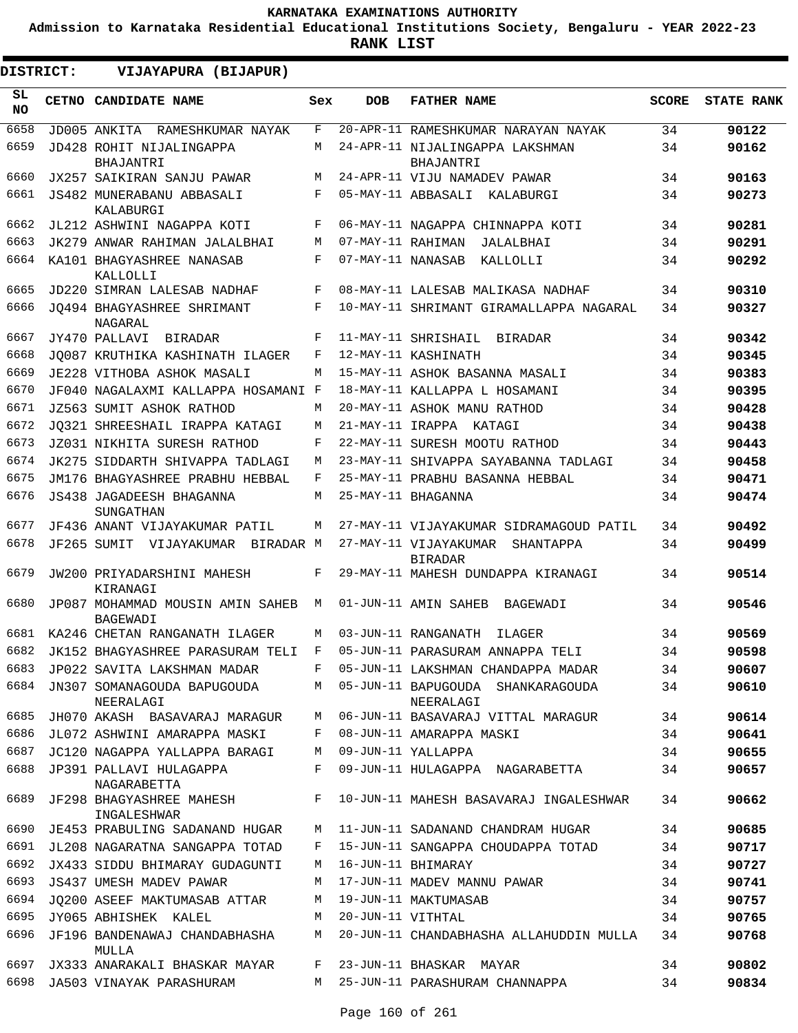**Admission to Karnataka Residential Educational Institutions Society, Bengaluru - YEAR 2022-23**

|                 | DISTRICT:<br>VIJAYAPURA (BIJAPUR) |                                                                          |              |                   |                                                      |              |                   |
|-----------------|-----------------------------------|--------------------------------------------------------------------------|--------------|-------------------|------------------------------------------------------|--------------|-------------------|
| SL<br><b>NO</b> |                                   | CETNO CANDIDATE NAME                                                     | Sex          | <b>DOB</b>        | <b>FATHER NAME</b>                                   | <b>SCORE</b> | <b>STATE RANK</b> |
| 6658            |                                   | JD005 ANKITA RAMESHKUMAR NAYAK                                           | F            |                   | 20-APR-11 RAMESHKUMAR NARAYAN NAYAK                  | 34           | 90122             |
| 6659            |                                   | JD428 ROHIT NIJALINGAPPA<br><b>BHAJANTRI</b>                             | M            |                   | 24-APR-11 NIJALINGAPPA LAKSHMAN<br>BHAJANTRI         | 34           | 90162             |
| 6660            |                                   | JX257 SAIKIRAN SANJU PAWAR                                               | М            |                   | 24-APR-11 VIJU NAMADEV PAWAR                         | 34           | 90163             |
| 6661            |                                   | JS482 MUNERABANU ABBASALI<br>KALABURGI                                   | F            |                   | 05-MAY-11 ABBASALI KALABURGI                         | 34           | 90273             |
| 6662            |                                   | JL212 ASHWINI NAGAPPA KOTI                                               | F            |                   | 06-MAY-11 NAGAPPA CHINNAPPA KOTI                     | 34           | 90281             |
| 6663            |                                   | JK279 ANWAR RAHIMAN JALALBHAI                                            | M            | 07-MAY-11 RAHIMAN | JALALBHAI                                            | 34           | 90291             |
| 6664            |                                   | KA101 BHAGYASHREE NANASAB<br>KALLOLLI                                    | F            | 07-MAY-11 NANASAB | KALLOLLI                                             | 34           | 90292             |
| 6665            |                                   | JD220 SIMRAN LALESAB NADHAF                                              | $\mathbf{F}$ |                   | 08-MAY-11 LALESAB MALIKASA NADHAF                    | 34           | 90310             |
| 6666            |                                   | JO494 BHAGYASHREE SHRIMANT<br>NAGARAL                                    | F            |                   | 10-MAY-11 SHRIMANT GIRAMALLAPPA NAGARAL              | 34           | 90327             |
| 6667            |                                   | JY470 PALLAVI<br>BIRADAR                                                 | F            |                   | 11-MAY-11 SHRISHAIL BIRADAR                          | 34           | 90342             |
| 6668            |                                   | JO087 KRUTHIKA KASHINATH ILAGER                                          | F            |                   | 12-MAY-11 KASHINATH                                  | 34           | 90345             |
| 6669            |                                   | JE228 VITHOBA ASHOK MASALI                                               | М            |                   | 15-MAY-11 ASHOK BASANNA MASALI                       | 34           | 90383             |
| 6670            |                                   | JF040 NAGALAXMI KALLAPPA HOSAMANI F                                      |              |                   | 18-MAY-11 KALLAPPA L HOSAMANI                        | 34           | 90395             |
| 6671            |                                   | JZ563 SUMIT ASHOK RATHOD                                                 | М            |                   | 20-MAY-11 ASHOK MANU RATHOD                          | 34           | 90428             |
| 6672            |                                   | JO321 SHREESHAIL IRAPPA KATAGI                                           | М            |                   | 21-MAY-11 IRAPPA KATAGI                              | 34           | 90438             |
| 6673            |                                   | JZ031 NIKHITA SURESH RATHOD                                              | F            |                   | 22-MAY-11 SURESH MOOTU RATHOD                        | 34           | 90443             |
| 6674            |                                   | JK275 SIDDARTH SHIVAPPA TADLAGI                                          | М            |                   | 23-MAY-11 SHIVAPPA SAYABANNA TADLAGI                 | 34           | 90458             |
| 6675            |                                   | JM176 BHAGYASHREE PRABHU HEBBAL                                          | F            |                   | 25-MAY-11 PRABHU BASANNA HEBBAL                      | 34           | 90471             |
| 6676            |                                   | <b>JS438 JAGADEESH BHAGANNA</b><br>SUNGATHAN                             | М            |                   | 25-MAY-11 BHAGANNA                                   | 34           | 90474             |
| 6677            |                                   | JF436 ANANT VIJAYAKUMAR PATIL                                            | M            |                   | 27-MAY-11 VIJAYAKUMAR SIDRAMAGOUD PATIL              | 34           | 90492             |
| 6678            |                                   | JF265 SUMIT VIJAYAKUMAR BIRADAR M                                        |              |                   | 27-MAY-11 VIJAYAKUMAR<br>SHANTAPPA<br><b>BIRADAR</b> | 34           | 90499             |
| 6679            |                                   | JW200 PRIYADARSHINI MAHESH<br>KIRANAGI                                   | F            |                   | 29-MAY-11 MAHESH DUNDAPPA KIRANAGI                   | 34           | 90514             |
| 6680            |                                   | JP087 MOHAMMAD MOUSIN AMIN SAHEB<br><b>BAGEWADI</b>                      | M            |                   | 01-JUN-11 AMIN SAHEB BAGEWADI                        | 34           | 90546             |
| 6681            |                                   | KA246 CHETAN RANGANATH ILAGER                                            | М            |                   | 03-JUN-11 RANGANATH<br>ILAGER                        | 34           | 90569             |
|                 |                                   | 6682 JK152 BHAGYASHREE PARASURAM TELI F 05-JUN-11 PARASURAM ANNAPPA TELI |              |                   |                                                      | 34           | 90598             |
| 6683            |                                   | JP022 SAVITA LAKSHMAN MADAR                                              | F            |                   | 05-JUN-11 LAKSHMAN CHANDAPPA MADAR                   | 34           | 90607             |
| 6684            |                                   | JN307 SOMANAGOUDA BAPUGOUDA<br>NEERALAGI                                 | M            |                   | 05-JUN-11 BAPUGOUDA SHANKARAGOUDA<br>NEERALAGI       | 34           | 90610             |
| 6685            |                                   | JH070 AKASH BASAVARAJ MARAGUR                                            | М            |                   | 06-JUN-11 BASAVARAJ VITTAL MARAGUR                   | 34           | 90614             |
| 6686            |                                   | JL072 ASHWINI AMARAPPA MASKI                                             | F            |                   | 08-JUN-11 AMARAPPA MASKI                             | 34           | 90641             |
| 6687            |                                   | JC120 NAGAPPA YALLAPPA BARAGI                                            | М            |                   | 09-JUN-11 YALLAPPA                                   | 34           | 90655             |
| 6688            |                                   | JP391 PALLAVI HULAGAPPA<br>NAGARABETTA                                   | F            |                   | 09-JUN-11 HULAGAPPA NAGARABETTA                      | 34           | 90657             |
| 6689            |                                   | JF298 BHAGYASHREE MAHESH<br>INGALESHWAR                                  | F            |                   | 10-JUN-11 MAHESH BASAVARAJ INGALESHWAR               | 34           | 90662             |
| 6690            |                                   | JE453 PRABULING SADANAND HUGAR                                           | М            |                   | 11-JUN-11 SADANAND CHANDRAM HUGAR                    | 34           | 90685             |
| 6691            |                                   | JL208 NAGARATNA SANGAPPA TOTAD                                           | F            |                   | 15-JUN-11 SANGAPPA CHOUDAPPA TOTAD                   | 34           | 90717             |
| 6692            |                                   | JX433 SIDDU BHIMARAY GUDAGUNTI                                           | М            |                   | 16-JUN-11 BHIMARAY                                   | 34           | 90727             |
| 6693            |                                   | JS437 UMESH MADEV PAWAR                                                  | М            |                   | 17-JUN-11 MADEV MANNU PAWAR                          | 34           | 90741             |
| 6694            |                                   | JO200 ASEEF MAKTUMASAB ATTAR                                             | М            |                   | 19-JUN-11 MAKTUMASAB                                 | 34           | 90757             |
| 6695            |                                   | JY065 ABHISHEK KALEL                                                     | М            | 20-JUN-11 VITHTAL |                                                      | 34           | 90765             |
| 6696            |                                   | JF196 BANDENAWAJ CHANDABHASHA<br>MULLA                                   | М            |                   | 20-JUN-11 CHANDABHASHA ALLAHUDDIN MULLA              | 34           | 90768             |
| 6697            |                                   | JX333 ANARAKALI BHASKAR MAYAR                                            | F            |                   | 23-JUN-11 BHASKAR MAYAR                              | 34           | 90802             |
| 6698            |                                   | JA503 VINAYAK PARASHURAM                                                 | M            |                   | 25-JUN-11 PARASHURAM CHANNAPPA                       | 34           | 90834             |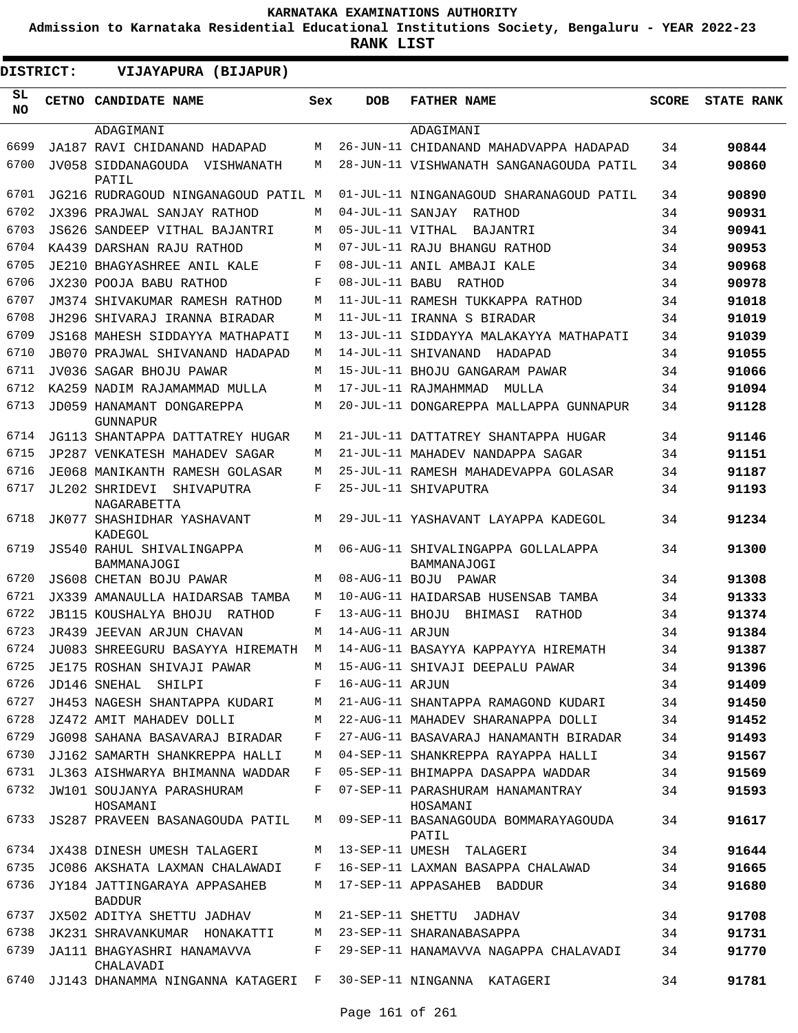**Admission to Karnataka Residential Educational Institutions Society, Bengaluru - YEAR 2022-23**

| <b>DISTRICT:</b> | VIJAYAPURA (BIJAPUR)                                                   |     |                  |                                                   |              |                   |
|------------------|------------------------------------------------------------------------|-----|------------------|---------------------------------------------------|--------------|-------------------|
| SL.<br><b>NO</b> | CETNO CANDIDATE NAME                                                   | Sex | <b>DOB</b>       | <b>FATHER NAME</b>                                | <b>SCORE</b> | <b>STATE RANK</b> |
|                  | ADAGIMANI                                                              |     |                  | ADAGIMANI                                         |              |                   |
| 6699             | JA187 RAVI CHIDANAND HADAPAD                                           | M   |                  | 26-JUN-11 CHIDANAND MAHADVAPPA HADAPAD            | 34           | 90844             |
| 6700             | JV058 SIDDANAGOUDA VISHWANATH<br>PATIL                                 | M   |                  | 28-JUN-11 VISHWANATH SANGANAGOUDA PATIL           | 34           | 90860             |
| 6701             | JG216 RUDRAGOUD NINGANAGOUD PATIL M                                    |     |                  | 01-JUL-11 NINGANAGOUD SHARANAGOUD PATIL           | 34           | 90890             |
| 6702             | JX396 PRAJWAL SANJAY RATHOD                                            | М   |                  | 04-JUL-11 SANJAY RATHOD                           | 34           | 90931             |
| 6703             | JS626 SANDEEP VITHAL BAJANTRI                                          | М   | 05-JUL-11 VITHAL | BAJANTRI                                          | 34           | 90941             |
| 6704             | KA439 DARSHAN RAJU RATHOD                                              | М   |                  | 07-JUL-11 RAJU BHANGU RATHOD                      | 34           | 90953             |
| 6705             | JE210 BHAGYASHREE ANIL KALE                                            | F   |                  | 08-JUL-11 ANIL AMBAJI KALE                        | 34           | 90968             |
| 6706             | JX230 POOJA BABU RATHOD                                                | F   |                  | 08-JUL-11 BABU RATHOD                             | 34           | 90978             |
| 6707             | JM374 SHIVAKUMAR RAMESH RATHOD                                         | М   |                  | 11-JUL-11 RAMESH TUKKAPPA RATHOD                  | 34           | 91018             |
| 6708             | JH296 SHIVARAJ IRANNA BIRADAR                                          | M   |                  | 11-JUL-11 IRANNA S BIRADAR                        | 34           | 91019             |
| 6709             | JS168 MAHESH SIDDAYYA MATHAPATI                                        | М   |                  | 13-JUL-11 SIDDAYYA MALAKAYYA MATHAPATI            | 34           | 91039             |
| 6710             | JB070 PRAJWAL SHIVANAND HADAPAD                                        | М   |                  | 14-JUL-11 SHIVANAND<br>HADAPAD                    | 34           | 91055             |
| 6711             | JV036 SAGAR BHOJU PAWAR                                                | М   |                  | 15-JUL-11 BHOJU GANGARAM PAWAR                    | 34           | 91066             |
| 6712             | KA259 NADIM RAJAMAMMAD MULLA                                           | М   |                  | 17-JUL-11 RAJMAHMMAD<br>MULLA                     | 34           | 91094             |
| 6713             | JD059 HANAMANT DONGAREPPA<br><b>GUNNAPUR</b>                           | М   |                  | 20-JUL-11 DONGAREPPA MALLAPPA GUNNAPUR            | 34           | 91128             |
| 6714             | JG113 SHANTAPPA DATTATREY HUGAR                                        | М   |                  | 21-JUL-11 DATTATREY SHANTAPPA HUGAR               | 34           | 91146             |
| 6715             | JP287 VENKATESH MAHADEV SAGAR                                          | M   |                  | 21-JUL-11 MAHADEV NANDAPPA SAGAR                  | 34           | 91151             |
| 6716             | JE068 MANIKANTH RAMESH GOLASAR                                         | M   |                  | 25-JUL-11 RAMESH MAHADEVAPPA GOLASAR              | 34           | 91187             |
| 6717             | JL202 SHRIDEVI<br>SHIVAPUTRA                                           | F   |                  | 25-JUL-11 SHIVAPUTRA                              | 34           | 91193             |
| 6718             | NAGARABETTA<br>JK077 SHASHIDHAR YASHAVANT<br>KADEGOL                   | М   |                  | 29-JUL-11 YASHAVANT LAYAPPA KADEGOL               | 34           | 91234             |
| 6719             | JS540 RAHUL SHIVALINGAPPA<br>BAMMANAJOGI                               | M   |                  | 06-AUG-11 SHIVALINGAPPA GOLLALAPPA<br>BAMMANAJOGI | 34           | 91300             |
| 6720             | JS608 CHETAN BOJU PAWAR                                                | М   |                  | 08-AUG-11 BOJU PAWAR                              | 34           | 91308             |
| 6721             | JX339 AMANAULLA HAIDARSAB TAMBA                                        | М   |                  | 10-AUG-11 HAIDARSAB HUSENSAB TAMBA                | 34           | 91333             |
| 6722             | JB115 KOUSHALYA BHOJU RATHOD                                           | F   | 13-AUG-11 BHOJU  | BHIMASI<br>RATHOD                                 | 34           | 91374             |
| 6723             | JR439 JEEVAN ARJUN CHAVAN                                              | M   | 14-AUG-11 ARJUN  |                                                   | 34           | 91384             |
| 6724             | JU083 SHREEGURU BASAYYA HIREMATH M 14-AUG-11 BASAYYA KAPPAYYA HIREMATH |     |                  |                                                   | 34           | 91387             |
| 6725             | JE175 ROSHAN SHIVAJI PAWAR                                             |     |                  | M 15-AUG-11 SHIVAJI DEEPALU PAWAR                 | 34           | 91396             |
| 6726             | JD146 SNEHAL SHILPI                                                    | F   | 16-AUG-11 ARJUN  |                                                   | 34           | 91409             |
| 6727             | JH453 NAGESH SHANTAPPA KUDARI                                          | M   |                  | 21-AUG-11 SHANTAPPA RAMAGOND KUDARI               | 34           | 91450             |
| 6728             | JZ472 AMIT MAHADEV DOLLI                                               | M   |                  | 22-AUG-11 MAHADEV SHARANAPPA DOLLI                | 34           | 91452             |
| 6729             | JG098 SAHANA BASAVARAJ BIRADAR                                         | F   |                  | 27-AUG-11 BASAVARAJ HANAMANTH BIRADAR             | 34           | 91493             |
| 6730             | JJ162 SAMARTH SHANKREPPA HALLI                                         | M   |                  | 04-SEP-11 SHANKREPPA RAYAPPA HALLI                | 34           | 91567             |
| 6731             | JL363 AISHWARYA BHIMANNA WADDAR                                        | F   |                  | 05-SEP-11 BHIMAPPA DASAPPA WADDAR                 | 34           | 91569             |
|                  | 6732 JW101 SOUJANYA PARASHURAM<br>HOSAMANI                             | F   |                  | 07-SEP-11 PARASHURAM HANAMANTRAY<br>HOSAMANI      | 34           | 91593             |
| 6733             | JS287 PRAVEEN BASANAGOUDA PATIL                                        | М   |                  | 09-SEP-11 BASANAGOUDA BOMMARAYAGOUDA<br>PATIL     | 34           | 91617             |
| 6734             | JX438 DINESH UMESH TALAGERI                                            | М   |                  | 13-SEP-11 UMESH TALAGERI                          | 34           | 91644             |
| 6735             | JC086 AKSHATA LAXMAN CHALAWADI                                         | F   |                  | 16-SEP-11 LAXMAN BASAPPA CHALAWAD                 | 34           | 91665             |
| 6736             | JY184 JATTINGARAYA APPASAHEB<br><b>BADDUR</b>                          | M   |                  | 17-SEP-11 APPASAHEB BADDUR                        | 34           | 91680             |
|                  | 6737 JX502 ADITYA SHETTU JADHAV                                        | M   |                  | 21-SEP-11 SHETTU JADHAV                           | 34           | 91708             |
| 6738             | JK231 SHRAVANKUMAR HONAKATTI                                           | M   |                  | 23-SEP-11 SHARANABASAPPA                          | 34           | 91731             |
| 6739             | JA111 BHAGYASHRI HANAMAVVA<br>CHALAVADI                                | F   |                  | 29-SEP-11 HANAMAVVA NAGAPPA CHALAVADI             | 34           | 91770             |
| 6740             | JJ143 DHANAMMA NINGANNA KATAGERI F 30-SEP-11 NINGANNA KATAGERI         |     |                  |                                                   | 34           | 91781             |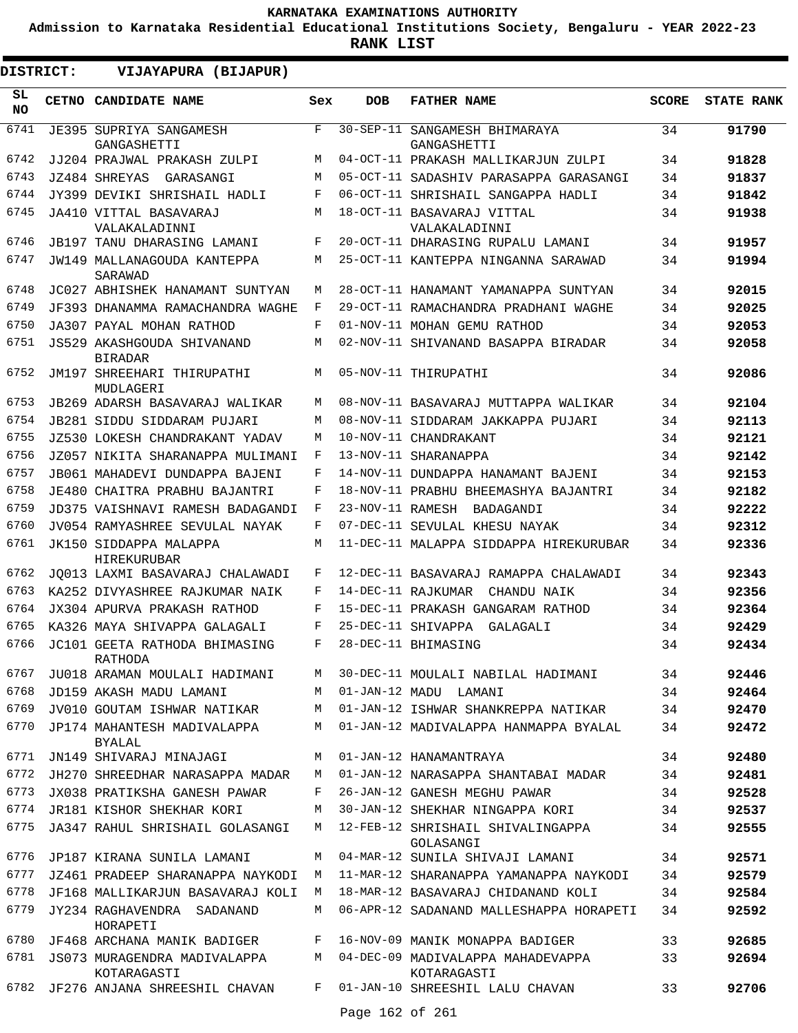**Admission to Karnataka Residential Educational Institutions Society, Bengaluru - YEAR 2022-23**

| DISTRICT:       | VIJAYAPURA (BIJAPUR)                         |     |                 |                                                  |              |                   |
|-----------------|----------------------------------------------|-----|-----------------|--------------------------------------------------|--------------|-------------------|
| SL<br><b>NO</b> | CETNO CANDIDATE NAME                         | Sex | <b>DOB</b>      | <b>FATHER NAME</b>                               | <b>SCORE</b> | <b>STATE RANK</b> |
| 6741            | JE395 SUPRIYA SANGAMESH<br>GANGASHETTI       | F   |                 | 30-SEP-11 SANGAMESH BHIMARAYA<br>GANGASHETTI     | 34           | 91790             |
| 6742            | JJ204 PRAJWAL PRAKASH ZULPI                  | M   |                 | 04-OCT-11 PRAKASH MALLIKARJUN ZULPI              | 34           | 91828             |
| 6743            | JZ484 SHREYAS<br>GARASANGI                   | M   |                 | 05-OCT-11 SADASHIV PARASAPPA GARASANGI           | 34           | 91837             |
| 6744            | JY399 DEVIKI SHRISHAIL HADLI                 | F   |                 | 06-OCT-11 SHRISHAIL SANGAPPA HADLI               | 34           | 91842             |
| 6745            | JA410 VITTAL BASAVARAJ<br>VALAKALADINNI      | M   |                 | 18-OCT-11 BASAVARAJ VITTAL<br>VALAKALADINNI      | 34           | 91938             |
| 6746            | JB197 TANU DHARASING LAMANI                  | F   |                 | 20-OCT-11 DHARASING RUPALU LAMANI                | 34           | 91957             |
| 6747            | JW149 MALLANAGOUDA KANTEPPA<br>SARAWAD       | M   |                 | 25-OCT-11 KANTEPPA NINGANNA SARAWAD              | 34           | 91994             |
| 6748            | JC027 ABHISHEK HANAMANT SUNTYAN              | М   |                 | 28-OCT-11 HANAMANT YAMANAPPA SUNTYAN             | 34           | 92015             |
| 6749            | JF393 DHANAMMA RAMACHANDRA WAGHE             | F   |                 | 29-OCT-11 RAMACHANDRA PRADHANI WAGHE             | 34           | 92025             |
| 6750            | JA307 PAYAL MOHAN RATHOD                     | F   |                 | 01-NOV-11 MOHAN GEMU RATHOD                      | 34           | 92053             |
| 6751            | JS529 AKASHGOUDA SHIVANAND<br><b>BIRADAR</b> | М   |                 | 02-NOV-11 SHIVANAND BASAPPA BIRADAR              | 34           | 92058             |
| 6752            | JM197 SHREEHARI THIRUPATHI<br>MUDLAGERI      | М   |                 | 05-NOV-11 THIRUPATHI                             | 34           | 92086             |
| 6753            | JB269 ADARSH BASAVARAJ WALIKAR               | M   |                 | 08-NOV-11 BASAVARAJ MUTTAPPA WALIKAR             | 34           | 92104             |
| 6754            | JB281 SIDDU SIDDARAM PUJARI                  | M   |                 | 08-NOV-11 SIDDARAM JAKKAPPA PUJARI               | 34           | 92113             |
| 6755            | JZ530 LOKESH CHANDRAKANT YADAV               | M   |                 | 10-NOV-11 CHANDRAKANT                            | 34           | 92121             |
| 6756            | JZ057 NIKITA SHARANAPPA MULIMANI             | F   |                 | 13-NOV-11 SHARANAPPA                             | 34           | 92142             |
| 6757            | JB061 MAHADEVI DUNDAPPA BAJENI               | F   |                 | 14-NOV-11 DUNDAPPA HANAMANT BAJENI               | 34           | 92153             |
| 6758            | JE480 CHAITRA PRABHU BAJANTRI                | F   |                 | 18-NOV-11 PRABHU BHEEMASHYA BAJANTRI             | 34           | 92182             |
| 6759            | JD375 VAISHNAVI RAMESH BADAGANDI             | F   |                 | 23-NOV-11 RAMESH BADAGANDI                       | 34           | 92222             |
| 6760            | JV054 RAMYASHREE SEVULAL NAYAK               | F   |                 | 07-DEC-11 SEVULAL KHESU NAYAK                    | 34           | 92312             |
| 6761            | JK150 SIDDAPPA MALAPPA<br>HIREKURUBAR        | M   |                 | 11-DEC-11 MALAPPA SIDDAPPA HIREKURUBAR           | 34           | 92336             |
| 6762            | JO013 LAXMI BASAVARAJ CHALAWADI              | F   |                 | 12-DEC-11 BASAVARAJ RAMAPPA CHALAWADI            | 34           | 92343             |
| 6763            | KA252 DIVYASHREE RAJKUMAR NAIK               | F   |                 | 14-DEC-11 RAJKUMAR<br>CHANDU NAIK                | 34           | 92356             |
| 6764            | JX304 APURVA PRAKASH RATHOD                  | F   |                 | 15-DEC-11 PRAKASH GANGARAM RATHOD                | 34           | 92364             |
| 6765            | KA326 MAYA SHIVAPPA GALAGALI                 | F   |                 | 25-DEC-11 SHIVAPPA GALAGALI                      | 34           | 92429             |
| 6766            | JC101 GEETA RATHODA BHIMASING<br>RATHODA     | F   |                 | 28-DEC-11 BHIMASING                              | 34           | 92434             |
| 6767            | JU018 ARAMAN MOULALI HADIMANI                | M   |                 | 30-DEC-11 MOULALI NABILAL HADIMANI               | 34           | 92446             |
| 6768            | JD159 AKASH MADU LAMANI                      | M   |                 | 01-JAN-12 MADU LAMANI                            | 34           | 92464             |
| 6769            | JV010 GOUTAM ISHWAR NATIKAR                  | M   |                 | 01-JAN-12 ISHWAR SHANKREPPA NATIKAR              | 34           | 92470             |
| 6770            | JP174 MAHANTESH MADIVALAPPA<br><b>BYALAL</b> | М   |                 | 01-JAN-12 MADIVALAPPA HANMAPPA BYALAL            | 34           | 92472             |
| 6771            | JN149 SHIVARAJ MINAJAGI                      | M   |                 | 01-JAN-12 HANAMANTRAYA                           | 34           | 92480             |
| 6772            | JH270 SHREEDHAR NARASAPPA MADAR              | M   |                 | 01-JAN-12 NARASAPPA SHANTABAI MADAR              | 34           | 92481             |
| 6773            | JX038 PRATIKSHA GANESH PAWAR                 | F   |                 | 26-JAN-12 GANESH MEGHU PAWAR                     | 34           | 92528             |
| 6774            | JR181 KISHOR SHEKHAR KORI                    | M   |                 | 30-JAN-12 SHEKHAR NINGAPPA KORI                  | 34           | 92537             |
| 6775            | JA347 RAHUL SHRISHAIL GOLASANGI              | M   |                 | 12-FEB-12 SHRISHAIL SHIVALINGAPPA<br>GOLASANGI   | 34           | 92555             |
| 6776            | JP187 KIRANA SUNILA LAMANI                   | М   |                 | 04-MAR-12 SUNILA SHIVAJI LAMANI                  | 34           | 92571             |
| 6777            | JZ461 PRADEEP SHARANAPPA NAYKODI             | М   |                 | 11-MAR-12 SHARANAPPA YAMANAPPA NAYKODI           | 34           | 92579             |
| 6778            | JF168 MALLIKARJUN BASAVARAJ KOLI             | M   |                 | 18-MAR-12 BASAVARAJ CHIDANAND KOLI               | 34           | 92584             |
| 6779            | JY234 RAGHAVENDRA SADANAND<br>HORAPETI       | M   |                 | 06-APR-12 SADANAND MALLESHAPPA HORAPETI          | 34           | 92592             |
| 6780            | JF468 ARCHANA MANIK BADIGER                  | F   |                 | 16-NOV-09 MANIK MONAPPA BADIGER                  | 33           | 92685             |
| 6781            | JS073 MURAGENDRA MADIVALAPPA<br>KOTARAGASTI  | M   |                 | 04-DEC-09 MADIVALAPPA MAHADEVAPPA<br>KOTARAGASTI | 33           | 92694             |
| 6782            | JF276 ANJANA SHREESHIL CHAVAN                | F   |                 | 01-JAN-10 SHREESHIL LALU CHAVAN                  | 33           | 92706             |
|                 |                                              |     | Page 162 of 261 |                                                  |              |                   |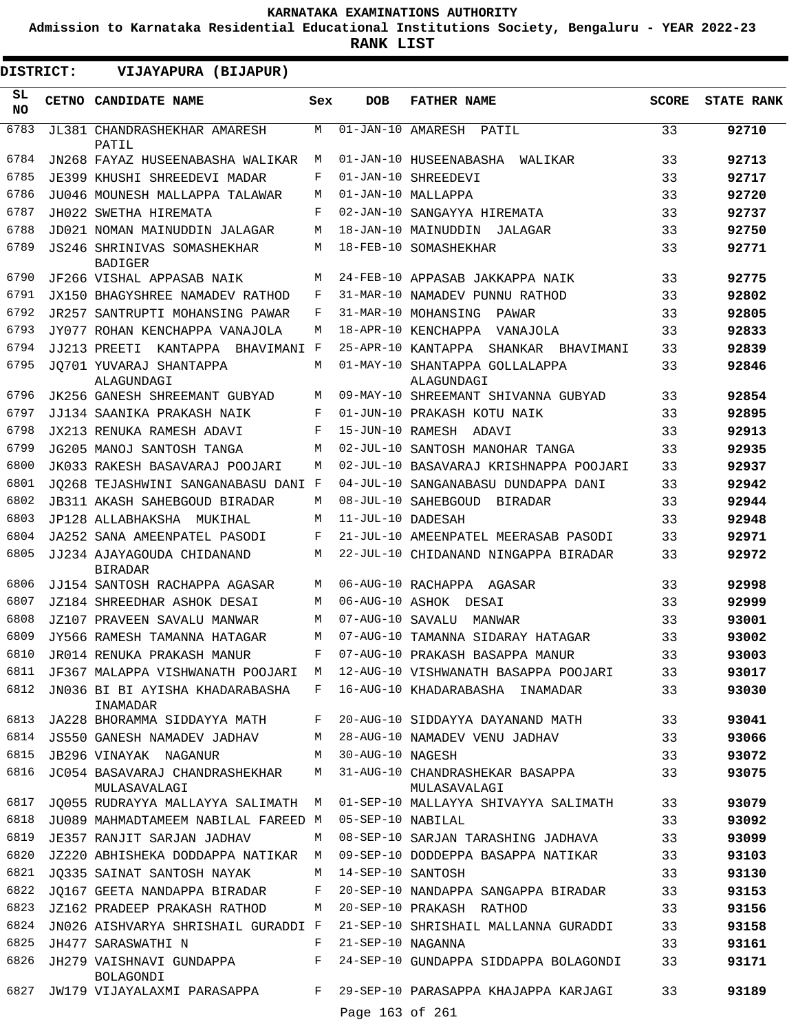**Admission to Karnataka Residential Educational Institutions Society, Bengaluru - YEAR 2022-23**

| DISTRICT:       | VIJAYAPURA (BIJAPUR)                           |     |                                 |                                                 |              |                   |
|-----------------|------------------------------------------------|-----|---------------------------------|-------------------------------------------------|--------------|-------------------|
| SL<br><b>NO</b> | CETNO CANDIDATE NAME                           | Sex | <b>DOB</b>                      | <b>FATHER NAME</b>                              | <b>SCORE</b> | <b>STATE RANK</b> |
| 6783            | JL381 CHANDRASHEKHAR AMARESH<br>PATIL          | М   | $\overline{01}$ -JAN-10 AMARESH | PATIL                                           | 33           | 92710             |
| 6784            | JN268 FAYAZ HUSEENABASHA WALIKAR               | М   |                                 | 01-JAN-10 HUSEENABASHA<br>WALIKAR               | 33           | 92713             |
| 6785            | JE399 KHUSHI SHREEDEVI MADAR                   | F   |                                 | 01-JAN-10 SHREEDEVI                             | 33           | 92717             |
| 6786            | JU046 MOUNESH MALLAPPA TALAWAR                 | M   |                                 | 01-JAN-10 MALLAPPA                              | 33           | 92720             |
| 6787            | JH022 SWETHA HIREMATA                          | F   |                                 | 02-JAN-10 SANGAYYA HIREMATA                     | 33           | 92737             |
| 6788            | JD021 NOMAN MAINUDDIN JALAGAR                  | М   |                                 | 18-JAN-10 MAINUDDIN<br>JALAGAR                  | 33           | 92750             |
| 6789            | JS246 SHRINIVAS SOMASHEKHAR<br><b>BADIGER</b>  | M   |                                 | 18-FEB-10 SOMASHEKHAR                           | 33           | 92771             |
| 6790            | JF266 VISHAL APPASAB NAIK                      | M   |                                 | 24-FEB-10 APPASAB JAKKAPPA NAIK                 | 33           | 92775             |
| 6791            | <b>JX150 BHAGYSHREE NAMADEV RATHOD</b>         | F   |                                 | 31-MAR-10 NAMADEV PUNNU RATHOD                  | 33           | 92802             |
| 6792            | JR257 SANTRUPTI MOHANSING PAWAR                | F   |                                 | 31-MAR-10 MOHANSING<br>PAWAR                    | 33           | 92805             |
| 6793            | JY077 ROHAN KENCHAPPA VANAJOLA                 | M   |                                 | 18-APR-10 KENCHAPPA VANAJOLA                    | 33           | 92833             |
| 6794            | JJ213 PREETI<br>KANTAPPA BHAVIMANI F           |     |                                 | 25-APR-10 KANTAPPA<br>SHANKAR BHAVIMANI         | 33           | 92839             |
| 6795            | JO701 YUVARAJ SHANTAPPA<br>ALAGUNDAGI          | M   |                                 | 01-MAY-10 SHANTAPPA GOLLALAPPA<br>ALAGUNDAGI    | 33           | 92846             |
| 6796            | JK256 GANESH SHREEMANT GUBYAD                  | M   |                                 | 09-MAY-10 SHREEMANT SHIVANNA GUBYAD             | 33           | 92854             |
| 6797            | JJ134 SAANIKA PRAKASH NAIK                     | F   |                                 | 01-JUN-10 PRAKASH KOTU NAIK                     | 33           | 92895             |
| 6798            | JX213 RENUKA RAMESH ADAVI                      | F   |                                 | 15-JUN-10 RAMESH ADAVI                          | 33           | 92913             |
| 6799            | JG205 MANOJ SANTOSH TANGA                      | M   |                                 | 02-JUL-10 SANTOSH MANOHAR TANGA                 | 33           | 92935             |
| 6800            | JK033 RAKESH BASAVARAJ POOJARI                 | M   |                                 | 02-JUL-10 BASAVARAJ KRISHNAPPA POOJARI          | 33           | 92937             |
| 6801            | JO268 TEJASHWINI SANGANABASU DANI F            |     |                                 | 04-JUL-10 SANGANABASU DUNDAPPA DANI             | 33           | 92942             |
| 6802            | JB311 AKASH SAHEBGOUD BIRADAR                  | М   |                                 | 08-JUL-10 SAHEBGOUD<br>BIRADAR                  | 33           | 92944             |
| 6803            | JP128 ALLABHAKSHA MUKIHAL                      | M   | 11-JUL-10 DADESAH               |                                                 | 33           | 92948             |
| 6804            | JA252 SANA AMEENPATEL PASODI                   | F   |                                 | 21-JUL-10 AMEENPATEL MEERASAB PASODI            | 33           | 92971             |
| 6805            | JJ234 AJAYAGOUDA CHIDANAND<br><b>BIRADAR</b>   | M   |                                 | 22-JUL-10 CHIDANAND NINGAPPA BIRADAR            | 33           | 92972             |
| 6806            | JJ154 SANTOSH RACHAPPA AGASAR                  | M   |                                 | 06-AUG-10 RACHAPPA AGASAR                       | 33           | 92998             |
| 6807            | JZ184 SHREEDHAR ASHOK DESAI                    | М   |                                 | 06-AUG-10 ASHOK DESAI                           | 33           | 92999             |
| 6808            | JZ107 PRAVEEN SAVALU MANWAR                    | M   |                                 | 07-AUG-10 SAVALU MANWAR                         | 33           | 93001             |
| 6809            | JY566 RAMESH TAMANNA HATAGAR                   | M   |                                 | 07-AUG-10 TAMANNA SIDARAY HATAGAR               | 33           | 93002             |
| 6810            | JR014 RENUKA PRAKASH MANUR                     |     |                                 | 07-AUG-10 PRAKASH BASAPPA MANUR                 | 33           | 93003             |
| 6811            | JF367 MALAPPA VISHWANATH POOJARI M             |     |                                 | 12-AUG-10 VISHWANATH BASAPPA POOJARI            | 33           | 93017             |
| 6812            | JN036 BI BI AYISHA KHADARABASHA<br>INAMADAR    | F   |                                 | 16-AUG-10 KHADARABASHA INAMADAR                 | 33           | 93030             |
| 6813            | JA228 BHORAMMA SIDDAYYA MATH                   | F   |                                 | 20-AUG-10 SIDDAYYA DAYANAND MATH                | 33           | 93041             |
| 6814            | JS550 GANESH NAMADEV JADHAV                    | M   |                                 | 28-AUG-10 NAMADEV VENU JADHAV                   | 33           | 93066             |
| 6815            | JB296 VINAYAK NAGANUR                          | M   | 30-AUG-10 NAGESH                |                                                 | 33           | 93072             |
| 6816            | JC054 BASAVARAJ CHANDRASHEKHAR<br>MULASAVALAGI | M   |                                 | 31-AUG-10 CHANDRASHEKAR BASAPPA<br>MULASAVALAGI | 33           | 93075             |
| 6817            | JQ055 RUDRAYYA MALLAYYA SALIMATH               | M   |                                 | 01-SEP-10 MALLAYYA SHIVAYYA SALIMATH            | 33           | 93079             |
| 6818            | JU089 MAHMADTAMEEM NABILAL FAREED M            |     | 05-SEP-10 NABILAL               |                                                 | 33           | 93092             |
| 6819            | JE357 RANJIT SARJAN JADHAV                     | М   |                                 | 08-SEP-10 SARJAN TARASHING JADHAVA              | 33           | 93099             |
| 6820            | JZ220 ABHISHEKA DODDAPPA NATIKAR M             |     |                                 | 09-SEP-10 DODDEPPA BASAPPA NATIKAR              | 33           | 93103             |
| 6821            | JQ335 SAINAT SANTOSH NAYAK                     | М   | 14-SEP-10 SANTOSH               |                                                 | 33           | 93130             |
| 6822            | JQ167 GEETA NANDAPPA BIRADAR                   | F   |                                 | 20-SEP-10 NANDAPPA SANGAPPA BIRADAR             | 33           | 93153             |
| 6823            | JZ162 PRADEEP PRAKASH RATHOD                   | М   |                                 | 20-SEP-10 PRAKASH RATHOD                        | 33           | 93156             |
| 6824            | JN026 AISHVARYA SHRISHAIL GURADDI F            |     |                                 | 21-SEP-10 SHRISHAIL MALLANNA GURADDI            | 33           | 93158             |
| 6825            | JH477 SARASWATHI N                             | F   | 21-SEP-10 NAGANNA               |                                                 | 33           | 93161             |
| 6826            | JH279 VAISHNAVI GUNDAPPA<br><b>BOLAGONDI</b>   | F   |                                 | 24-SEP-10 GUNDAPPA SIDDAPPA BOLAGONDI           | 33           | 93171             |
| 6827            | JW179 VIJAYALAXMI PARASAPPA                    | F   |                                 | 29-SEP-10 PARASAPPA KHAJAPPA KARJAGI            | 33           | 93189             |
|                 |                                                |     | Page 163 of 261                 |                                                 |              |                   |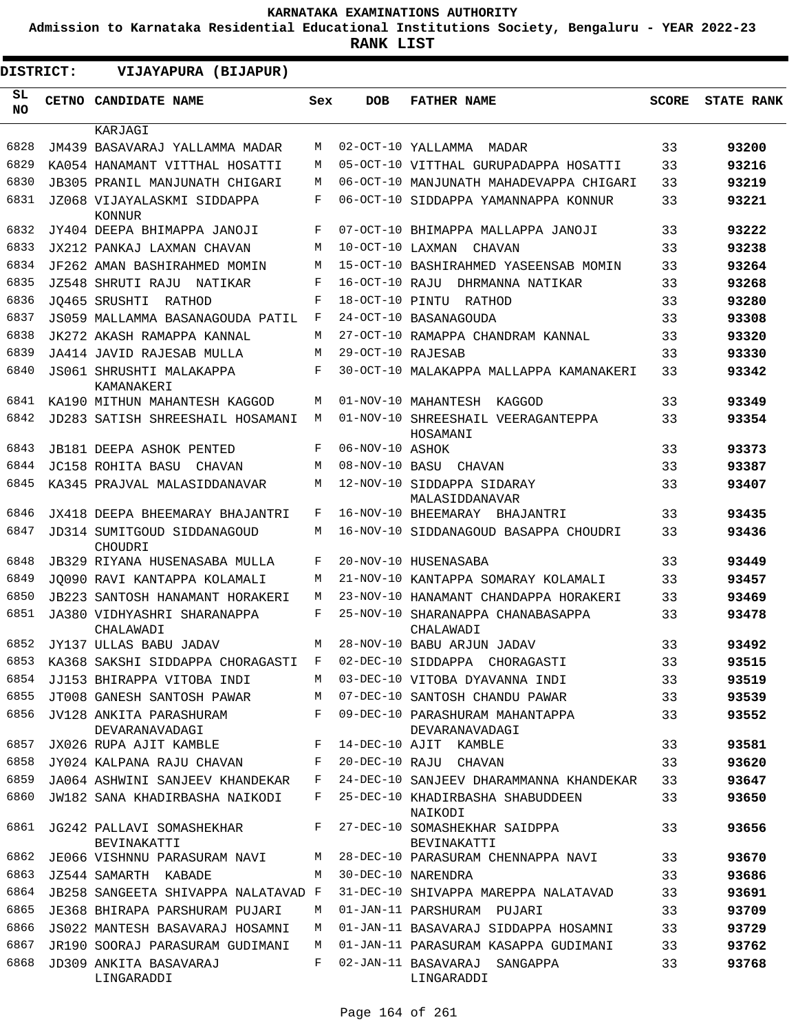**Admission to Karnataka Residential Educational Institutions Society, Bengaluru - YEAR 2022-23**

**RANK LIST**

 $\blacksquare$ 

 $\blacksquare$ 

| DISTRICT:  |  | VIJAYAPURA (BIJAPUR)                      |     |                   |                                                   |              |                   |
|------------|--|-------------------------------------------|-----|-------------------|---------------------------------------------------|--------------|-------------------|
| SL.<br>NO. |  | CETNO CANDIDATE NAME                      | Sex | <b>DOB</b>        | <b>FATHER NAME</b>                                | <b>SCORE</b> | <b>STATE RANK</b> |
|            |  | KARJAGI                                   |     |                   |                                                   |              |                   |
| 6828       |  | JM439 BASAVARAJ YALLAMMA MADAR            | М   |                   | 02-OCT-10 YALLAMMA<br>MADAR                       | 33           | 93200             |
| 6829       |  | KA054 HANAMANT VITTHAL HOSATTI            | M   |                   | 05-OCT-10 VITTHAL GURUPADAPPA HOSATTI             | 33           | 93216             |
| 6830       |  | <b>JB305 PRANIL MANJUNATH CHIGARI</b>     | М   |                   | 06-OCT-10 MANJUNATH MAHADEVAPPA CHIGARI           | 33           | 93219             |
| 6831       |  | JZ068 VIJAYALASKMI SIDDAPPA<br>KONNUR     | F   |                   | 06-OCT-10 SIDDAPPA YAMANNAPPA KONNUR              | 33           | 93221             |
| 6832       |  | JY404 DEEPA BHIMAPPA JANOJI               | F   |                   | 07-OCT-10 BHIMAPPA MALLAPPA JANOJI                | 33           | 93222             |
| 6833       |  | JX212 PANKAJ LAXMAN CHAVAN                | М   | 10-OCT-10 LAXMAN  | CHAVAN                                            | 33           | 93238             |
| 6834       |  | JF262 AMAN BASHIRAHMED MOMIN              | М   |                   | 15-OCT-10 BASHIRAHMED YASEENSAB MOMIN             | 33           | 93264             |
| 6835       |  | JZ548 SHRUTI RAJU<br>NATIKAR              | F   | 16-OCT-10 RAJU    | DHRMANNA NATIKAR                                  | 33           | 93268             |
| 6836       |  | JO465 SRUSHTI RATHOD                      | F   |                   | 18-OCT-10 PINTU RATHOD                            | 33           | 93280             |
| 6837       |  | JS059 MALLAMMA BASANAGOUDA PATIL          | F   |                   | 24-OCT-10 BASANAGOUDA                             | 33           | 93308             |
| 6838       |  | JK272 AKASH RAMAPPA KANNAL                | М   |                   | 27-OCT-10 RAMAPPA CHANDRAM KANNAL                 | 33           | 93320             |
| 6839       |  | JA414 JAVID RAJESAB MULLA                 | М   | 29-OCT-10 RAJESAB |                                                   | 33           | 93330             |
| 6840       |  | JS061 SHRUSHTI MALAKAPPA<br>KAMANAKERI    | F   |                   | 30-OCT-10 MALAKAPPA MALLAPPA KAMANAKERI           | 33           | 93342             |
| 6841       |  | KA190 MITHUN MAHANTESH KAGGOD             | М   |                   | 01-NOV-10 MAHANTESH KAGGOD                        | 33           | 93349             |
| 6842       |  | <b>JD283 SATISH SHREESHAIL HOSAMANI</b>   | М   |                   | 01-NOV-10 SHREESHAIL VEERAGANTEPPA<br>HOSAMANI    | 33           | 93354             |
| 6843       |  | JB181 DEEPA ASHOK PENTED                  | F   | 06-NOV-10 ASHOK   |                                                   | 33           | 93373             |
| 6844       |  | JC158 ROHITA BASU<br>CHAVAN               | М   |                   | 08-NOV-10 BASU CHAVAN                             | 33           | 93387             |
| 6845       |  | KA345 PRAJVAL MALASIDDANAVAR              | М   |                   | 12-NOV-10 SIDDAPPA SIDARAY<br>MALASIDDANAVAR      | 33           | 93407             |
| 6846       |  | JX418 DEEPA BHEEMARAY BHAJANTRI           | F   |                   | 16-NOV-10 BHEEMARAY BHAJANTRI                     | 33           | 93435             |
| 6847       |  | JD314 SUMITGOUD SIDDANAGOUD<br>CHOUDRI    | М   |                   | 16-NOV-10 SIDDANAGOUD BASAPPA CHOUDRI             | 33           | 93436             |
| 6848       |  | JB329 RIYANA HUSENASABA MULLA             | F   |                   | 20-NOV-10 HUSENASABA                              | 33           | 93449             |
| 6849       |  | JO090 RAVI KANTAPPA KOLAMALI              | М   |                   | 21-NOV-10 KANTAPPA SOMARAY KOLAMALI               | 33           | 93457             |
| 6850       |  | JB223 SANTOSH HANAMANT HORAKERI           | М   |                   | 23-NOV-10 HANAMANT CHANDAPPA HORAKERI             | 33           | 93469             |
| 6851       |  | JA380 VIDHYASHRI SHARANAPPA<br>CHALAWADI  | F   |                   | 25-NOV-10 SHARANAPPA CHANABASAPPA<br>CHALAWADI    | 33           | 93478             |
| 6852       |  | JY137 ULLAS BABU JADAV                    | М   |                   | 28-NOV-10 BABU ARJUN JADAV                        | 33           | 93492             |
| 6853       |  | KA368 SAKSHI SIDDAPPA CHORAGASTI          | F   |                   | 02-DEC-10 SIDDAPPA CHORAGASTI                     | 33           | 93515             |
| 6854       |  | JJ153 BHIRAPPA VITOBA INDI                | М   |                   | 03-DEC-10 VITOBA DYAVANNA INDI                    | 33           | 93519             |
| 6855       |  | JT008 GANESH SANTOSH PAWAR                | М   |                   | 07-DEC-10 SANTOSH CHANDU PAWAR                    | 33           | 93539             |
| 6856       |  | JV128 ANKITA PARASHURAM<br>DEVARANAVADAGI | F   |                   | 09-DEC-10 PARASHURAM MAHANTAPPA<br>DEVARANAVADAGI | 33           | 93552             |
| 6857       |  | JX026 RUPA AJIT KAMBLE                    | F   |                   | 14-DEC-10 AJIT KAMBLE                             | 33           | 93581             |
| 6858       |  | JY024 KALPANA RAJU CHAVAN                 | F   |                   | 20-DEC-10 RAJU CHAVAN                             | 33           | 93620             |
| 6859       |  | JA064 ASHWINI SANJEEV KHANDEKAR           | F   |                   | 24-DEC-10 SANJEEV DHARAMMANNA KHANDEKAR           | 33           | 93647             |
| 6860       |  | JW182 SANA KHADIRBASHA NAIKODI            | F   |                   | 25-DEC-10 KHADIRBASHA SHABUDDEEN<br>NAIKODI       | 33           | 93650             |
| 6861       |  | JG242 PALLAVI SOMASHEKHAR<br>BEVINAKATTI  | F   |                   | 27-DEC-10 SOMASHEKHAR SAIDPPA<br>BEVINAKATTI      | 33           | 93656             |
| 6862       |  | JE066 VISHNNU PARASURAM NAVI              | М   |                   | 28-DEC-10 PARASURAM CHENNAPPA NAVI                | 33           | 93670             |
| 6863       |  | JZ544 SAMARTH KABADE                      | М   |                   | 30-DEC-10 NARENDRA                                | 33           | 93686             |
| 6864       |  | JB258 SANGEETA SHIVAPPA NALATAVAD F       |     |                   | 31-DEC-10 SHIVAPPA MAREPPA NALATAVAD              | 33           | 93691             |
| 6865       |  | JE368 BHIRAPA PARSHURAM PUJARI            | М   |                   | 01-JAN-11 PARSHURAM PUJARI                        | 33           | 93709             |
| 6866       |  | JS022 MANTESH BASAVARAJ HOSAMNI           | М   |                   | 01-JAN-11 BASAVARAJ SIDDAPPA HOSAMNI              | 33           | 93729             |
| 6867       |  | JR190 SOORAJ PARASURAM GUDIMANI           | M   |                   | 01-JAN-11 PARASURAM KASAPPA GUDIMANI              | 33           | 93762             |
| 6868       |  | JD309 ANKITA BASAVARAJ<br>LINGARADDI      | F   |                   | 02-JAN-11 BASAVARAJ SANGAPPA<br>LINGARADDI        | 33           | 93768             |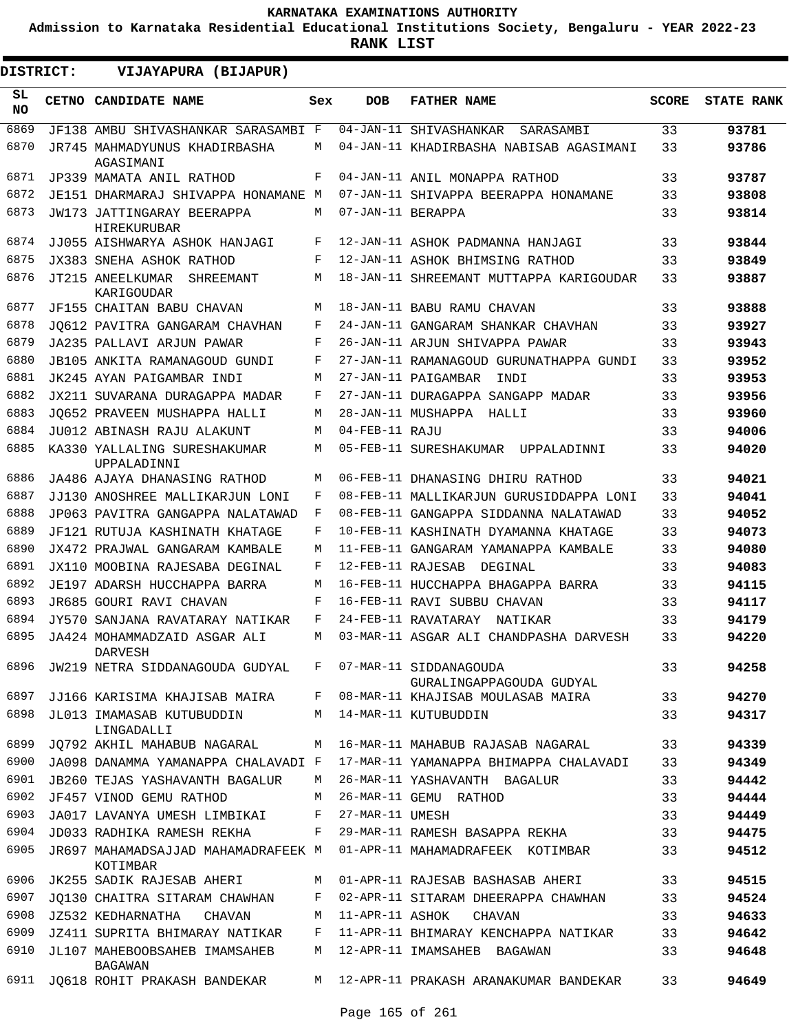**Admission to Karnataka Residential Educational Institutions Society, Bengaluru - YEAR 2022-23**

| <b>DISTRICT:</b> | VIJAYAPURA (BIJAPUR)                                     |         |                   |                                         |              |                   |
|------------------|----------------------------------------------------------|---------|-------------------|-----------------------------------------|--------------|-------------------|
| SL<br>NO.        | CETNO CANDIDATE NAME                                     | Sex     | <b>DOB</b>        | <b>FATHER NAME</b>                      | <b>SCORE</b> | <b>STATE RANK</b> |
| 6869             | JF138 AMBU SHIVASHANKAR SARASAMBI F                      |         |                   | 04-JAN-11 SHIVASHANKAR<br>SARASAMBI     | 33           | 93781             |
| 6870             | JR745 MAHMADYUNUS KHADIRBASHA<br>AGASIMANI               | М       |                   | 04-JAN-11 KHADIRBASHA NABISAB AGASIMANI | 33           | 93786             |
| 6871             | JP339 MAMATA ANIL RATHOD                                 | F       |                   | 04-JAN-11 ANIL MONAPPA RATHOD           | 33           | 93787             |
| 6872             | JE151 DHARMARAJ SHIVAPPA HONAMANE M                      |         |                   | 07-JAN-11 SHIVAPPA BEERAPPA HONAMANE    | 33           | 93808             |
| 6873             | JW173 JATTINGARAY BEERAPPA<br>HIREKURUBAR                | M       | 07-JAN-11 BERAPPA |                                         | 33           | 93814             |
| 6874             | JJ055 AISHWARYA ASHOK HANJAGI                            | F       |                   | 12-JAN-11 ASHOK PADMANNA HANJAGI        | 33           | 93844             |
| 6875             | JX383 SNEHA ASHOK RATHOD                                 | F       |                   | 12-JAN-11 ASHOK BHIMSING RATHOD         | 33           | 93849             |
| 6876             | JT215 ANEELKUMAR<br>SHREEMANT<br>KARIGOUDAR              | М       |                   | 18-JAN-11 SHREEMANT MUTTAPPA KARIGOUDAR | 33           | 93887             |
| 6877             | JF155 CHAITAN BABU CHAVAN                                | M       |                   | 18-JAN-11 BABU RAMU CHAVAN              | 33           | 93888             |
| 6878             | JO612 PAVITRA GANGARAM CHAVHAN                           | F       |                   | 24-JAN-11 GANGARAM SHANKAR CHAVHAN      | 33           | 93927             |
| 6879             | JA235 PALLAVI ARJUN PAWAR                                | F       |                   | 26-JAN-11 ARJUN SHIVAPPA PAWAR          | 33           | 93943             |
| 6880             | JB105 ANKITA RAMANAGOUD GUNDI                            | F       |                   | 27-JAN-11 RAMANAGOUD GURUNATHAPPA GUNDI | 33           | 93952             |
| 6881             | JK245 AYAN PAIGAMBAR INDI                                | М       |                   | 27-JAN-11 PAIGAMBAR<br>INDI             | 33           | 93953             |
| 6882             | JX211 SUVARANA DURAGAPPA MADAR                           | F       |                   | 27-JAN-11 DURAGAPPA SANGAPP MADAR       | 33           | 93956             |
| 6883             | JO652 PRAVEEN MUSHAPPA HALLI                             | М       |                   | 28-JAN-11 MUSHAPPA HALLI                | 33           | 93960             |
| 6884             | JU012 ABINASH RAJU ALAKUNT                               | М       | 04-FEB-11 RAJU    |                                         | 33           | 94006             |
| 6885             | KA330 YALLALING SURESHAKUMAR<br>UPPALADINNI              | М       |                   | 05-FEB-11 SURESHAKUMAR UPPALADINNI      | 33           | 94020             |
| 6886             | JA486 AJAYA DHANASING RATHOD                             | М       |                   | 06-FEB-11 DHANASING DHIRU RATHOD        | 33           | 94021             |
| 6887             | JJ130 ANOSHREE MALLIKARJUN LONI                          | F       |                   | 08-FEB-11 MALLIKARJUN GURUSIDDAPPA LONI | 33           | 94041             |
| 6888             | JP063 PAVITRA GANGAPPA NALATAWAD                         | F       |                   | 08-FEB-11 GANGAPPA SIDDANNA NALATAWAD   | 33           | 94052             |
| 6889             | JF121 RUTUJA KASHINATH KHATAGE                           | F       |                   | 10-FEB-11 KASHINATH DYAMANNA KHATAGE    | 33           | 94073             |
| 6890             | JX472 PRAJWAL GANGARAM KAMBALE                           | М       |                   | 11-FEB-11 GANGARAM YAMANAPPA KAMBALE    | 33           | 94080             |
| 6891             | JX110 MOOBINA RAJESABA DEGINAL                           | F       | 12-FEB-11 RAJESAB | DEGINAL                                 | 33           | 94083             |
| 6892             | JE197 ADARSH HUCCHAPPA BARRA                             | М       |                   | 16-FEB-11 HUCCHAPPA BHAGAPPA BARRA      | 33           | 94115             |
| 6893             | JR685 GOURI RAVI CHAVAN                                  | F       |                   | 16-FEB-11 RAVI SUBBU CHAVAN             | 33           | 94117             |
| 6894             | JY570 SANJANA RAVATARAY NATIKAR                          | F       |                   | 24-FEB-11 RAVATARAY NATIKAR             | 33           | 94179             |
| 6895             | JA424 MOHAMMADZAID ASGAR ALI<br>DARVESH                  | М       |                   | 03-MAR-11 ASGAR ALI CHANDPASHA DARVESH  | 33           | 94220             |
| 6896             | JW219 NETRA SIDDANAGOUDA GUDYAL F 07-MAR-11 SIDDANAGOUDA |         |                   | GURALINGAPPAGOUDA GUDYAL                | 33           | 94258             |
| 6897             | JJ166 KARISIMA KHAJISAB MAIRA                            | F       |                   | 08-MAR-11 KHAJISAB MOULASAB MAIRA       | 33           | 94270             |
| 6898             | JL013 IMAMASAB KUTUBUDDIN<br>LINGADALLI                  | M       |                   | 14-MAR-11 KUTUBUDDIN                    | 33           | 94317             |
| 6899             | JQ792 AKHIL MAHABUB NAGARAL                              |         |                   | M 16-MAR-11 MAHABUB RAJASAB NAGARAL     | 33           | 94339             |
| 6900             | JA098 DANAMMA YAMANAPPA CHALAVADI F                      |         |                   | 17-MAR-11 YAMANAPPA BHIMAPPA CHALAVADI  | 33           | 94349             |
| 6901             | <b>JB260 TEJAS YASHAVANTH BAGALUR</b>                    | M       |                   | 26-MAR-11 YASHAVANTH BAGALUR            | 33           | 94442             |
| 6902             | JF457 VINOD GEMU RATHOD                                  | M       |                   | 26-MAR-11 GEMU RATHOD                   | 33           | 94444             |
| 6903             | JA017 LAVANYA UMESH LIMBIKAI                             | $F$ and | 27-MAR-11 UMESH   |                                         | 33           | 94449             |
| 6904             | JD033 RADHIKA RAMESH REKHA                               | F       |                   | 29-MAR-11 RAMESH BASAPPA REKHA          | 33           | 94475             |
| 6905             | JR697 MAHAMADSAJJAD MAHAMADRAFEEK M<br>KOTIMBAR          |         |                   | 01-APR-11 MAHAMADRAFEEK KOTIMBAR        | 33           | 94512             |
| 6906             | JK255 SADIK RAJESAB AHERI                                |         |                   | M 01-APR-11 RAJESAB BASHASAB AHERI      | 33           | 94515             |
| 6907             | JQ130 CHAITRA SITARAM CHAWHAN                            | F       |                   | 02-APR-11 SITARAM DHEERAPPA CHAWHAN     | 33           | 94524             |
|                  | 6908 JZ532 KEDHARNATHA<br>CHAVAN                         | M       | 11-APR-11 ASHOK   | CHAVAN                                  | 33           | 94633             |
| 6909             | JZ411 SUPRITA BHIMARAY NATIKAR                           | F       |                   | 11-APR-11 BHIMARAY KENCHAPPA NATIKAR    | 33           | 94642             |
| 6910             | JL107 MAHEBOOBSAHEB IMAMSAHEB<br>BAGAWAN                 | М       |                   | 12-APR-11 IMAMSAHEB BAGAWAN             | 33           | 94648             |
| 6911             | JQ618 ROHIT PRAKASH BANDEKAR                             |         |                   | M 12-APR-11 PRAKASH ARANAKUMAR BANDEKAR | 33           | 94649             |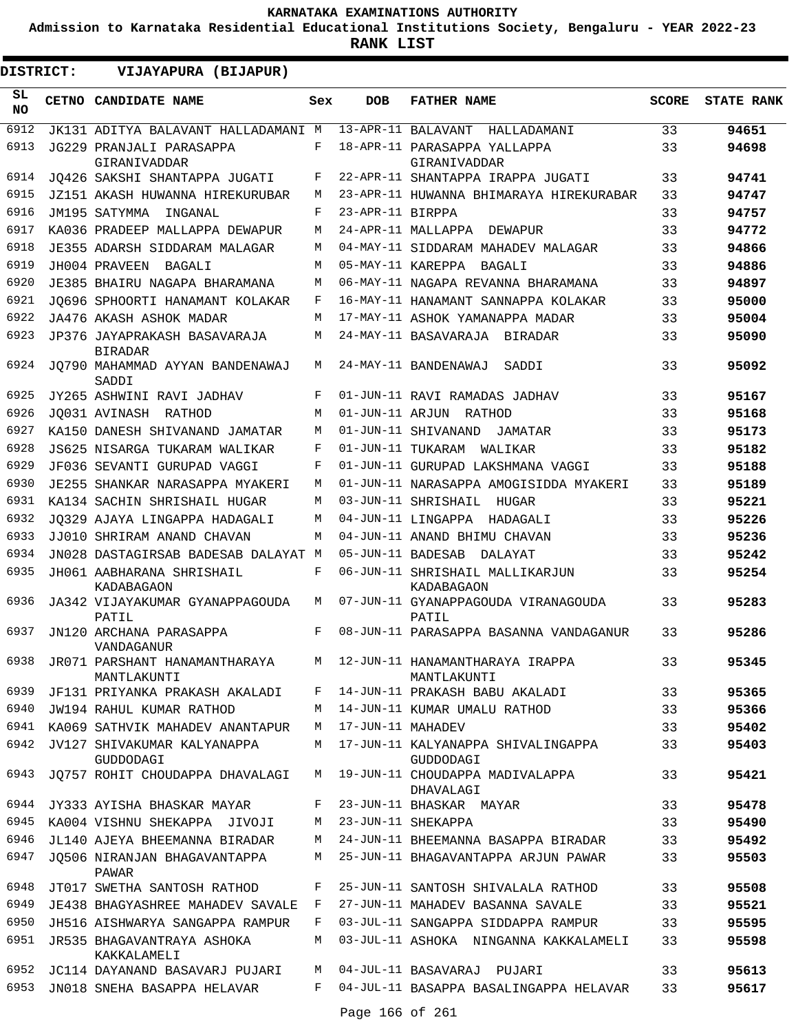**Admission to Karnataka Residential Educational Institutions Society, Bengaluru - YEAR 2022-23**

| DISTRICT:       | VIJAYAPURA (BIJAPUR)                           |     |                   |                                                 |              |                   |
|-----------------|------------------------------------------------|-----|-------------------|-------------------------------------------------|--------------|-------------------|
| SL<br><b>NO</b> | CETNO CANDIDATE NAME                           | Sex | <b>DOB</b>        | <b>FATHER NAME</b>                              | <b>SCORE</b> | <b>STATE RANK</b> |
| 6912            | JK131 ADITYA BALAVANT HALLADAMANI M            |     |                   | 13-APR-11 BALAVANT<br>HALLADAMANI               | 33           | 94651             |
| 6913            | JG229 PRANJALI PARASAPPA<br>GIRANIVADDAR       | F   |                   | 18-APR-11 PARASAPPA YALLAPPA<br>GIRANIVADDAR    | 33           | 94698             |
| 6914            | JO426 SAKSHI SHANTAPPA JUGATI                  | F   |                   | 22-APR-11 SHANTAPPA IRAPPA JUGATI               | 33           | 94741             |
| 6915            | JZ151 AKASH HUWANNA HIREKURUBAR                | М   |                   | 23-APR-11 HUWANNA BHIMARAYA HIREKURABAR         | 33           | 94747             |
| 6916            | JM195 SATYMMA<br>INGANAL                       | F   | 23-APR-11 BIRPPA  |                                                 | 33           | 94757             |
| 6917            | KA036 PRADEEP MALLAPPA DEWAPUR                 | M   |                   | 24-APR-11 MALLAPPA DEWAPUR                      | 33           | 94772             |
| 6918            | JE355 ADARSH SIDDARAM MALAGAR                  | M   |                   | 04-MAY-11 SIDDARAM MAHADEV MALAGAR              | 33           | 94866             |
| 6919            | JH004 PRAVEEN<br>BAGALI                        | M   |                   | 05-MAY-11 KAREPPA BAGALI                        | 33           | 94886             |
| 6920            | JE385 BHAIRU NAGAPA BHARAMANA                  | M   |                   | 06-MAY-11 NAGAPA REVANNA BHARAMANA              | 33           | 94897             |
| 6921            | JQ696 SPHOORTI HANAMANT KOLAKAR                | F   |                   | 16-MAY-11 HANAMANT SANNAPPA KOLAKAR             | 33           | 95000             |
| 6922            | JA476 AKASH ASHOK MADAR                        | M   |                   | 17-MAY-11 ASHOK YAMANAPPA MADAR                 | 33           | 95004             |
| 6923            | JP376 JAYAPRAKASH BASAVARAJA<br><b>BIRADAR</b> | М   |                   | 24-MAY-11 BASAVARAJA BIRADAR                    | 33           | 95090             |
| 6924            | JO790 MAHAMMAD AYYAN BANDENAWAJ<br>SADDI       | М   |                   | 24-MAY-11 BANDENAWAJ<br>SADDI                   | 33           | 95092             |
| 6925            | JY265 ASHWINI RAVI JADHAV                      | F   |                   | 01-JUN-11 RAVI RAMADAS JADHAV                   | 33           | 95167             |
| 6926            | JO031 AVINASH RATHOD                           | M   |                   | 01-JUN-11 ARJUN RATHOD                          | 33           | 95168             |
| 6927            | KA150 DANESH SHIVANAND JAMATAR                 | M   |                   | 01-JUN-11 SHIVANAND<br>JAMATAR                  | 33           | 95173             |
| 6928            | JS625 NISARGA TUKARAM WALIKAR                  | F   |                   | 01-JUN-11 TUKARAM WALIKAR                       | 33           | 95182             |
| 6929            | JF036 SEVANTI GURUPAD VAGGI                    | F   |                   | 01-JUN-11 GURUPAD LAKSHMANA VAGGI               | 33           | 95188             |
| 6930            | JE255 SHANKAR NARASAPPA MYAKERI                | M   |                   | 01-JUN-11 NARASAPPA AMOGISIDDA MYAKERI          | 33           | 95189             |
| 6931            | KA134 SACHIN SHRISHAIL HUGAR                   | M   |                   | 03-JUN-11 SHRISHAIL<br>HUGAR                    | 33           | 95221             |
| 6932            | JO329 AJAYA LINGAPPA HADAGALI                  | M   |                   | 04-JUN-11 LINGAPPA HADAGALI                     | 33           | 95226             |
| 6933            | JJ010 SHRIRAM ANAND CHAVAN                     | M   |                   | 04-JUN-11 ANAND BHIMU CHAVAN                    | 33           | 95236             |
| 6934            | JN028 DASTAGIRSAB BADESAB DALAYAT M            |     | 05-JUN-11 BADESAB | DALAYAT                                         | 33           | 95242             |
| 6935            | JH061 AABHARANA SHRISHAIL<br>KADABAGAON        | F   |                   | 06-JUN-11 SHRISHAIL MALLIKARJUN<br>KADABAGAON   | 33           | 95254             |
| 6936            | JA342 VIJAYAKUMAR GYANAPPAGOUDA<br>PATIL       | М   |                   | 07-JUN-11 GYANAPPAGOUDA VIRANAGOUDA<br>PATIL    | 33           | 95283             |
| 6937            | JN120 ARCHANA PARASAPPA<br>VANDAGANUR          | F   |                   | 08-JUN-11 PARASAPPA BASANNA VANDAGANUR          | 33           | 95286             |
| 6938            | JR071 PARSHANT HANAMANTHARAYA<br>MANTLAKUNTI   | M   |                   | 12-JUN-11 HANAMANTHARAYA IRAPPA<br>MANTLAKUNTI  | 33           | 95345             |
| 6939            | JF131 PRIYANKA PRAKASH AKALADI                 | F   |                   | 14-JUN-11 PRAKASH BABU AKALADI                  | 33           | 95365             |
| 6940            | JW194 RAHUL KUMAR RATHOD                       | М   |                   | 14-JUN-11 KUMAR UMALU RATHOD                    | 33           | 95366             |
| 6941            | KA069 SATHVIK MAHADEV ANANTAPUR                | M   | 17-JUN-11 MAHADEV |                                                 | 33           | 95402             |
| 6942            | JV127 SHIVAKUMAR KALYANAPPA<br>GUDDODAGI       | M   |                   | 17-JUN-11 KALYANAPPA SHIVALINGAPPA<br>GUDDODAGI | 33           | 95403             |
| 6943            | JQ757 ROHIT CHOUDAPPA DHAVALAGI                | M   |                   | 19-JUN-11 CHOUDAPPA MADIVALAPPA<br>DHAVALAGI    | 33           | 95421             |
| 6944            | JY333 AYISHA BHASKAR MAYAR                     | F   |                   | 23-JUN-11 BHASKAR MAYAR                         | 33           | 95478             |
| 6945            | KA004 VISHNU SHEKAPPA JIVOJI                   | M   |                   | 23-JUN-11 SHEKAPPA                              | 33           | 95490             |
| 6946            | JL140 AJEYA BHEEMANNA BIRADAR                  | М   |                   | 24-JUN-11 BHEEMANNA BASAPPA BIRADAR             | 33           | 95492             |
| 6947            | JO506 NIRANJAN BHAGAVANTAPPA<br>PAWAR          | М   |                   | 25-JUN-11 BHAGAVANTAPPA ARJUN PAWAR             | 33           | 95503             |
| 6948            | JT017 SWETHA SANTOSH RATHOD                    | F   |                   | 25-JUN-11 SANTOSH SHIVALALA RATHOD              | 33           | 95508             |
| 6949            | JE438 BHAGYASHREE MAHADEV SAVALE               | F   |                   | 27-JUN-11 MAHADEV BASANNA SAVALE                | 33           | 95521             |
| 6950            | JH516 AISHWARYA SANGAPPA RAMPUR                | F   |                   | 03-JUL-11 SANGAPPA SIDDAPPA RAMPUR              | 33           | 95595             |
| 6951            | JR535 BHAGAVANTRAYA ASHOKA<br>KAKKALAMELI      | M   |                   | 03-JUL-11 ASHOKA NINGANNA KAKKALAMELI           | 33           | 95598             |
| 6952            | JC114 DAYANAND BASAVARJ PUJARI                 | M   |                   | 04-JUL-11 BASAVARAJ PUJARI                      | 33           | 95613             |
| 6953            | JN018 SNEHA BASAPPA HELAVAR                    | F   | Page 166 of 261   | 04-JUL-11 BASAPPA BASALINGAPPA HELAVAR          | 33           | 95617             |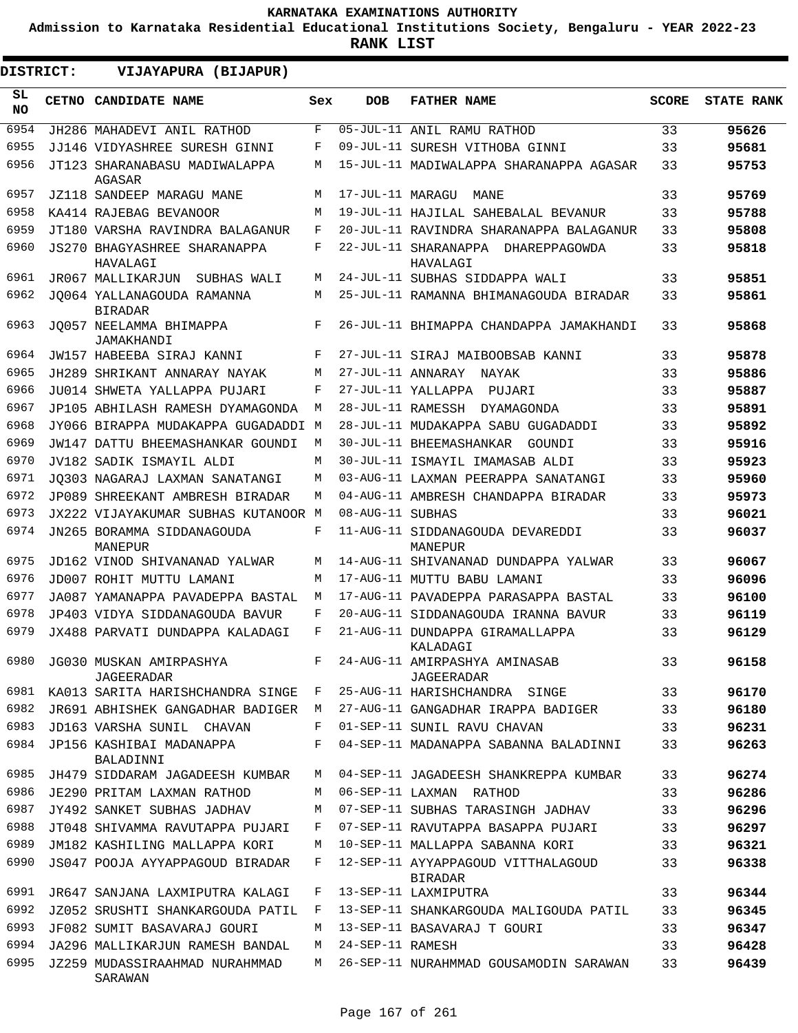**Admission to Karnataka Residential Educational Institutions Society, Bengaluru - YEAR 2022-23**

**RANK LIST**

ı

| <b>DISTRICT:</b> | VIJAYAPURA (BIJAPUR)                            |     |                  |                                                |              |                   |
|------------------|-------------------------------------------------|-----|------------------|------------------------------------------------|--------------|-------------------|
| SL<br><b>NO</b>  | CETNO CANDIDATE NAME                            | Sex | <b>DOB</b>       | <b>FATHER NAME</b>                             | <b>SCORE</b> | <b>STATE RANK</b> |
| 6954             | JH286 MAHADEVI ANIL RATHOD                      | F   |                  | 05-JUL-11 ANIL RAMU RATHOD                     | 33           | 95626             |
| 6955             | JJ146 VIDYASHREE SURESH GINNI                   | F   |                  | 09-JUL-11 SURESH VITHOBA GINNI                 | 33           | 95681             |
| 6956             | JT123 SHARANABASU MADIWALAPPA<br>AGASAR         | M   |                  | 15-JUL-11 MADIWALAPPA SHARANAPPA AGASAR        | 33           | 95753             |
| 6957             | JZ118 SANDEEP MARAGU MANE                       | М   | 17-JUL-11 MARAGU | MANE                                           | 33           | 95769             |
| 6958             | KA414 RAJEBAG BEVANOOR                          | M   |                  | 19-JUL-11 HAJILAL SAHEBALAL BEVANUR            | 33           | 95788             |
| 6959             | JT180 VARSHA RAVINDRA BALAGANUR                 | F   |                  | 20-JUL-11 RAVINDRA SHARANAPPA BALAGANUR        | 33           | 95808             |
| 6960             | <b>JS270 BHAGYASHREE SHARANAPPA</b><br>HAVALAGI | F   |                  | 22-JUL-11 SHARANAPPA DHAREPPAGOWDA<br>HAVALAGI | 33           | 95818             |
| 6961             | JR067 MALLIKARJUN<br>SUBHAS WALI                | M   |                  | 24-JUL-11 SUBHAS SIDDAPPA WALI                 | 33           | 95851             |
| 6962             | JO064 YALLANAGOUDA RAMANNA<br><b>BIRADAR</b>    | M   |                  | 25-JUL-11 RAMANNA BHIMANAGOUDA BIRADAR         | 33           | 95861             |
| 6963             | JO057 NEELAMMA BHIMAPPA<br>JAMAKHANDI           | F   |                  | 26-JUL-11 BHIMAPPA CHANDAPPA JAMAKHANDI        | 33           | 95868             |
| 6964             | JW157 HABEEBA SIRAJ KANNI                       | F   |                  | 27-JUL-11 SIRAJ MAIBOOBSAB KANNI               | 33           | 95878             |
| 6965             | JH289 SHRIKANT ANNARAY NAYAK                    | M   |                  | 27-JUL-11 ANNARAY NAYAK                        | 33           | 95886             |
| 6966             | JU014 SHWETA YALLAPPA PUJARI                    | F   |                  | 27-JUL-11 YALLAPPA<br>PUJARI                   | 33           | 95887             |
| 6967             | JP105 ABHILASH RAMESH DYAMAGONDA                | М   |                  | 28-JUL-11 RAMESSH<br>DYAMAGONDA                | 33           | 95891             |
| 6968             | JY066 BIRAPPA MUDAKAPPA GUGADADDI M             |     |                  | 28-JUL-11 MUDAKAPPA SABU GUGADADDI             | 33           | 95892             |
| 6969             | JW147 DATTU BHEEMASHANKAR GOUNDI                | M   |                  | 30-JUL-11 BHEEMASHANKAR<br>GOUNDI              | 33           | 95916             |
| 6970             | JV182 SADIK ISMAYIL ALDI                        | M   |                  | 30-JUL-11 ISMAYIL IMAMASAB ALDI                | 33           | 95923             |
| 6971             | JO303 NAGARAJ LAXMAN SANATANGI                  | M   |                  | 03-AUG-11 LAXMAN PEERAPPA SANATANGI            | 33           | 95960             |
| 6972             | JP089 SHREEKANT AMBRESH BIRADAR                 | M   |                  | 04-AUG-11 AMBRESH CHANDAPPA BIRADAR            | 33           | 95973             |
| 6973             | JX222 VIJAYAKUMAR SUBHAS KUTANOOR M             |     | 08-AUG-11 SUBHAS |                                                | 33           | 96021             |
| 6974             | JN265 BORAMMA SIDDANAGOUDA<br>MANEPUR           | F   |                  | 11-AUG-11 SIDDANAGOUDA DEVAREDDI<br>MANEPUR    | 33           | 96037             |
| 6975             | JD162 VINOD SHIVANANAD YALWAR                   | M   |                  | 14-AUG-11 SHIVANANAD DUNDAPPA YALWAR           | 33           | 96067             |
| 6976             | JD007 ROHIT MUTTU LAMANI                        | M   |                  | 17-AUG-11 MUTTU BABU LAMANI                    | 33           | 96096             |
| 6977             | JA087 YAMANAPPA PAVADEPPA BASTAL                | M   |                  | 17-AUG-11 PAVADEPPA PARASAPPA BASTAL           | 33           | 96100             |
| 6978             | JP403 VIDYA SIDDANAGOUDA BAVUR                  | F   |                  | 20-AUG-11 SIDDANAGOUDA IRANNA BAVUR            | 33           | 96119             |
| 6979             | JX488 PARVATI DUNDAPPA KALADAGI                 | F   |                  | 21-AUG-11 DUNDAPPA GIRAMALLAPPA<br>KALADAGI    | 33           | 96129             |
| 6980             | JG030 MUSKAN AMIRPASHYA<br>JAGEERADAR           | F   |                  | 24-AUG-11 AMIRPASHYA AMINASAB<br>JAGEERADAR    | 33           | 96158             |
| 6981             | KA013 SARITA HARISHCHANDRA SINGE                | F   |                  | 25-AUG-11 HARISHCHANDRA SINGE                  | 33           | 96170             |
| 6982             | JR691 ABHISHEK GANGADHAR BADIGER                | M   |                  | 27-AUG-11 GANGADHAR IRAPPA BADIGER             | 33           | 96180             |
| 6983             | JD163 VARSHA SUNIL CHAVAN                       | F   |                  | 01-SEP-11 SUNIL RAVU CHAVAN                    | 33           | 96231             |
| 6984             | JP156 KASHIBAI MADANAPPA<br>BALADINNI           | F   |                  | 04-SEP-11 MADANAPPA SABANNA BALADINNI          | 33           | 96263             |
| 6985             | JH479 SIDDARAM JAGADEESH KUMBAR                 | M   |                  | 04-SEP-11 JAGADEESH SHANKREPPA KUMBAR          | 33           | 96274             |
| 6986             | JE290 PRITAM LAXMAN RATHOD                      | M   |                  | 06-SEP-11 LAXMAN RATHOD                        | 33           | 96286             |
| 6987             | JY492 SANKET SUBHAS JADHAV                      | М   |                  | 07-SEP-11 SUBHAS TARASINGH JADHAV              | 33           | 96296             |
| 6988             | JT048 SHIVAMMA RAVUTAPPA PUJARI                 | F   |                  | 07-SEP-11 RAVUTAPPA BASAPPA PUJARI             | 33           | 96297             |
| 6989             | JM182 KASHILING MALLAPPA KORI                   | M   |                  | 10-SEP-11 MALLAPPA SABANNA KORI                | 33           | 96321             |
| 6990             | JS047 POOJA AYYAPPAGOUD BIRADAR                 | F   |                  | 12-SEP-11 AYYAPPAGOUD VITTHALAGOUD<br>BIRADAR  | 33           | 96338             |
| 6991             | JR647 SANJANA LAXMIPUTRA KALAGI                 | F   |                  | 13-SEP-11 LAXMIPUTRA                           | 33           | 96344             |
| 6992             | JZ052 SRUSHTI SHANKARGOUDA PATIL                | F   |                  | 13-SEP-11 SHANKARGOUDA MALIGOUDA PATIL         | 33           | 96345             |
| 6993             | JF082 SUMIT BASAVARAJ GOURI                     | M   |                  | 13-SEP-11 BASAVARAJ T GOURI                    | 33           | 96347             |
| 6994             | JA296 MALLIKARJUN RAMESH BANDAL                 | M   | 24-SEP-11 RAMESH |                                                | 33           | 96428             |
| 6995             | JZ259 MUDASSIRAAHMAD NURAHMMAD<br>SARAWAN       | M   |                  | 26-SEP-11 NURAHMMAD GOUSAMODIN SARAWAN         | 33           | 96439             |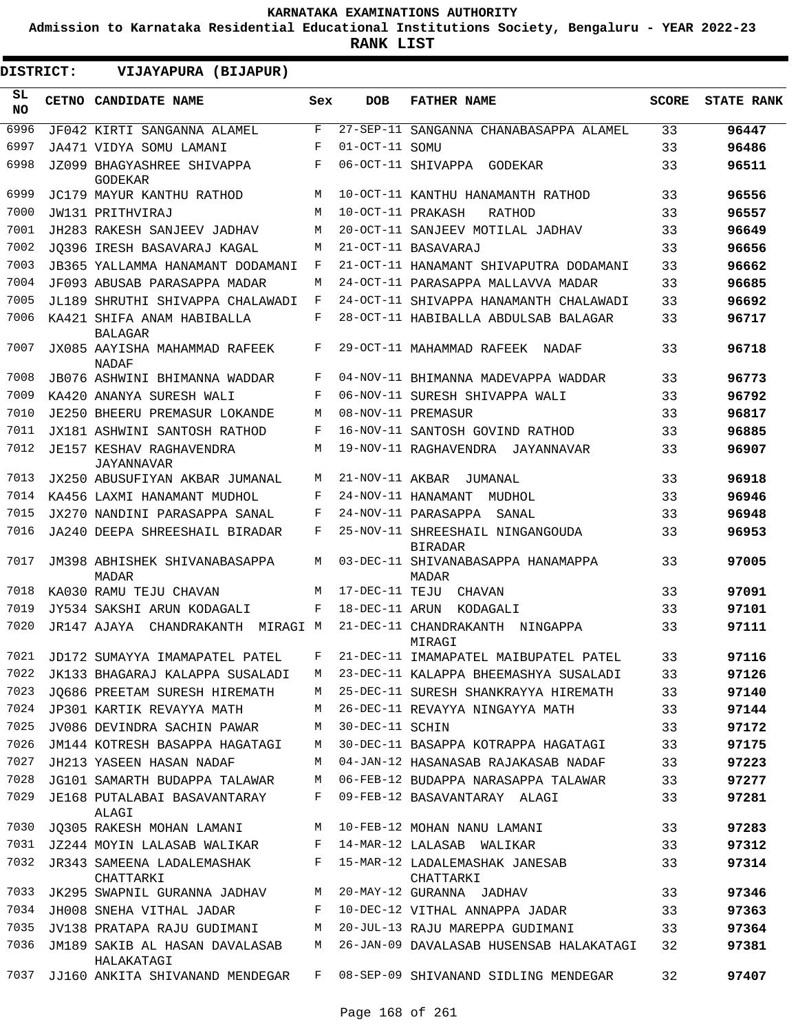**Admission to Karnataka Residential Educational Institutions Society, Bengaluru - YEAR 2022-23**

| DISTRICT:       | VIJAYAPURA (BIJAPUR)                          |     |                   |                                                    |              |                   |
|-----------------|-----------------------------------------------|-----|-------------------|----------------------------------------------------|--------------|-------------------|
| SL<br><b>NO</b> | CETNO CANDIDATE NAME                          | Sex | <b>DOB</b>        | <b>FATHER NAME</b>                                 | <b>SCORE</b> | <b>STATE RANK</b> |
| 6996            | JF042 KIRTI SANGANNA ALAMEL                   | F   |                   | 27-SEP-11 SANGANNA CHANABASAPPA ALAMEL             | 33           | 96447             |
| 6997            | JA471 VIDYA SOMU LAMANI                       | F   | 01-OCT-11 SOMU    |                                                    | 33           | 96486             |
| 6998            | JZ099 BHAGYASHREE SHIVAPPA<br><b>GODEKAR</b>  | F   |                   | 06-OCT-11 SHIVAPPA GODEKAR                         | 33           | 96511             |
| 6999            | JC179 MAYUR KANTHU RATHOD                     | M   |                   | 10-OCT-11 KANTHU HANAMANTH RATHOD                  | 33           | 96556             |
| 7000            | JW131 PRITHVIRAJ                              | M   | 10-OCT-11 PRAKASH | RATHOD                                             | 33           | 96557             |
| 7001            | JH283 RAKESH SANJEEV JADHAV                   | M   |                   | 20-OCT-11 SANJEEV MOTILAL JADHAV                   | 33           | 96649             |
| 7002            | JO396 IRESH BASAVARAJ KAGAL                   | M   |                   | 21-OCT-11 BASAVARAJ                                | 33           | 96656             |
| 7003            | JB365 YALLAMMA HANAMANT DODAMANI              | F   |                   | 21-OCT-11 HANAMANT SHIVAPUTRA DODAMANI             | 33           | 96662             |
| 7004            | JF093 ABUSAB PARASAPPA MADAR                  | M   |                   | 24-OCT-11 PARASAPPA MALLAVVA MADAR                 | 33           | 96685             |
| 7005            | JL189 SHRUTHI SHIVAPPA CHALAWADI              | F   |                   | 24-OCT-11 SHIVAPPA HANAMANTH CHALAWADI             | 33           | 96692             |
| 7006            | KA421 SHIFA ANAM HABIBALLA<br><b>BALAGAR</b>  | F   |                   | 28-OCT-11 HABIBALLA ABDULSAB BALAGAR               | 33           | 96717             |
| 7007            | JX085 AAYISHA MAHAMMAD RAFEEK<br>NADAF        | F   |                   | 29-OCT-11 MAHAMMAD RAFEEK<br>NADAF                 | 33           | 96718             |
| 7008            | JB076 ASHWINI BHIMANNA WADDAR                 | F   |                   | 04-NOV-11 BHIMANNA MADEVAPPA WADDAR                | 33           | 96773             |
| 7009            | KA420 ANANYA SURESH WALI                      | F   |                   | 06-NOV-11 SURESH SHIVAPPA WALI                     | 33           | 96792             |
| 7010            | <b>JE250 BHEERU PREMASUR LOKANDE</b>          | M   |                   | 08-NOV-11 PREMASUR                                 | 33           | 96817             |
| 7011            | JX181 ASHWINI SANTOSH RATHOD                  | F   |                   | 16-NOV-11 SANTOSH GOVIND RATHOD                    | 33           | 96885             |
| 7012            | <b>JE157 KESHAV RAGHAVENDRA</b><br>JAYANNAVAR | M   |                   | 19-NOV-11 RAGHAVENDRA JAYANNAVAR                   | 33           | 96907             |
| 7013            | JX250 ABUSUFIYAN AKBAR JUMANAL                | M   | 21-NOV-11 AKBAR   | JUMANAL                                            | 33           | 96918             |
| 7014            | KA456 LAXMI HANAMANT MUDHOL                   | F   |                   | 24-NOV-11 HANAMANT<br>MUDHOL                       | 33           | 96946             |
| 7015            | JX270 NANDINI PARASAPPA SANAL                 | F   |                   | 24-NOV-11 PARASAPPA<br>SANAL                       | 33           | 96948             |
| 7016            | JA240 DEEPA SHREESHAIL BIRADAR                | F   |                   | 25-NOV-11 SHREESHAIL NINGANGOUDA<br><b>BIRADAR</b> | 33           | 96953             |
| 7017            | JM398 ABHISHEK SHIVANABASAPPA<br>MADAR        | M   |                   | 03-DEC-11 SHIVANABASAPPA HANAMAPPA<br>MADAR        | 33           | 97005             |
| 7018            | KA030 RAMU TEJU CHAVAN                        | M   | 17-DEC-11 TEJU    | CHAVAN                                             | 33           | 97091             |
| 7019            | JY534 SAKSHI ARUN KODAGALI                    | F   | 18-DEC-11 ARUN    | KODAGALI                                           | 33           | 97101             |
| 7020            | JR147 AJAYA<br>CHANDRAKANTH<br>MIRAGI M       |     |                   | 21-DEC-11 CHANDRAKANTH<br>NINGAPPA<br>MIRAGI       | 33           | 97111             |
| 7021            | JD172 SUMAYYA IMAMAPATEL PATEL                | F   |                   | 21-DEC-11 IMAMAPATEL MAIBUPATEL PATEL              | 33           | 97116             |
| 7022            | JK133 BHAGARAJ KALAPPA SUSALADI               | M   |                   | 23-DEC-11 KALAPPA BHEEMASHYA SUSALADI              | 33           | 97126             |
| 7023            | JQ686 PREETAM SURESH HIREMATH                 | М   |                   | 25-DEC-11 SURESH SHANKRAYYA HIREMATH               | 33           | 97140             |
| 7024            | JP301 KARTIK REVAYYA MATH                     | M   |                   | 26-DEC-11 REVAYYA NINGAYYA MATH                    | 33           | 97144             |
| 7025            | JV086 DEVINDRA SACHIN PAWAR                   | М   | 30-DEC-11 SCHIN   |                                                    | 33           | 97172             |
| 7026            | JM144 KOTRESH BASAPPA HAGATAGI                | М   |                   | 30-DEC-11 BASAPPA KOTRAPPA HAGATAGI                | 33           | 97175             |
| 7027            | JH213 YASEEN HASAN NADAF                      | M   |                   | 04-JAN-12 HASANASAB RAJAKASAB NADAF                | 33           | 97223             |
| 7028            | JG101 SAMARTH BUDAPPA TALAWAR                 | М   |                   | 06-FEB-12 BUDAPPA NARASAPPA TALAWAR                | 33           | 97277             |
| 7029            | JE168 PUTALABAI BASAVANTARAY<br>ALAGI         | F   |                   | 09-FEB-12 BASAVANTARAY ALAGI                       | 33           | 97281             |
| 7030            | JQ305 RAKESH MOHAN LAMANI                     | М   |                   | 10-FEB-12 MOHAN NANU LAMANI                        | 33           | 97283             |
| 7031            | JZ244 MOYIN LALASAB WALIKAR                   | F   |                   | 14-MAR-12 LALASAB WALIKAR                          | 33           | 97312             |
| 7032            | JR343 SAMEENA LADALEMASHAK<br>CHATTARKI       | F   |                   | 15-MAR-12 LADALEMASHAK JANESAB<br>CHATTARKI        | 33           | 97314             |
| 7033            | JK295 SWAPNIL GURANNA JADHAV                  | М   |                   | 20-MAY-12 GURANNA JADHAV                           | 33           | 97346             |
| 7034            | JH008 SNEHA VITHAL JADAR                      | F   |                   | 10-DEC-12 VITHAL ANNAPPA JADAR                     | 33           | 97363             |
| 7035            | JV138 PRATAPA RAJU GUDIMANI                   | М   |                   | 20-JUL-13 RAJU MAREPPA GUDIMANI                    | 33           | 97364             |
| 7036            | JM189 SAKIB AL HASAN DAVALASAB<br>HALAKATAGI  | М   |                   | 26-JAN-09 DAVALASAB HUSENSAB HALAKATAGI            | 32           | 97381             |
| 7037            | JJ160 ANKITA SHIVANAND MENDEGAR               | F   |                   | 08-SEP-09 SHIVANAND SIDLING MENDEGAR               | 32           | 97407             |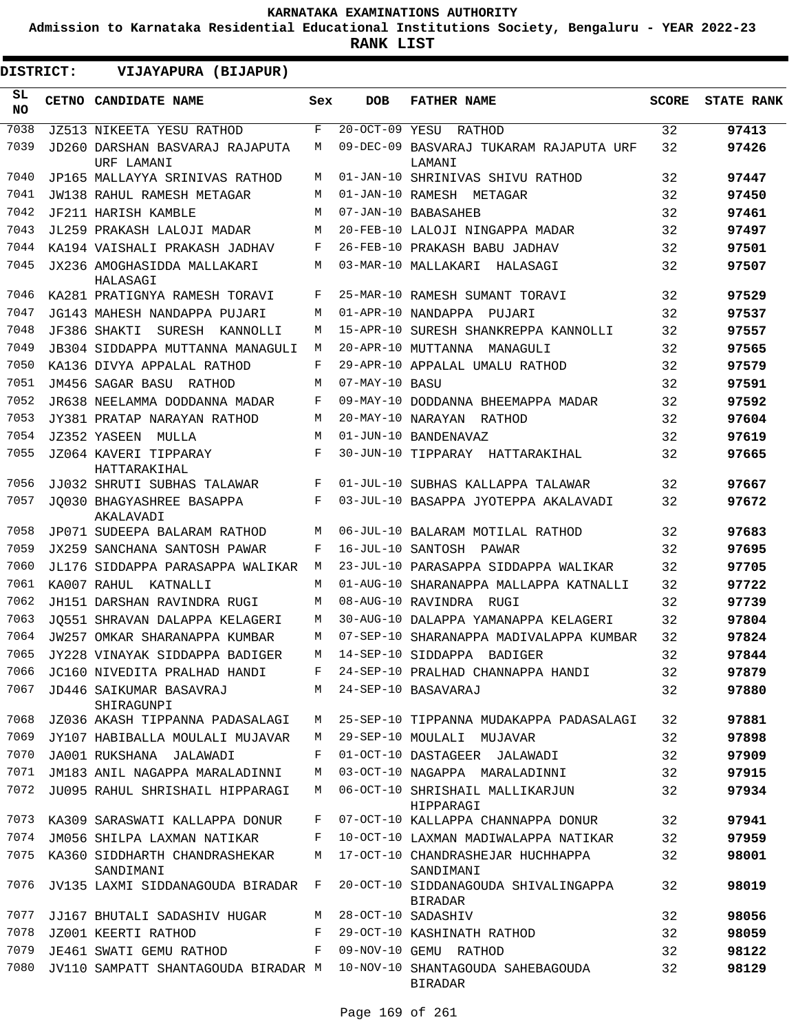**Admission to Karnataka Residential Educational Institutions Society, Bengaluru - YEAR 2022-23**

| <b>DISTRICT:</b> | VIJAYAPURA (BIJAPUR)                          |     |                   |                                                        |              |                   |
|------------------|-----------------------------------------------|-----|-------------------|--------------------------------------------------------|--------------|-------------------|
| SL<br><b>NO</b>  | CETNO CANDIDATE NAME                          | Sex | <b>DOB</b>        | <b>FATHER NAME</b>                                     | <b>SCORE</b> | <b>STATE RANK</b> |
| 7038             | <b>JZ513 NIKEETA YESU RATHOD</b>              | F   | $20-0CT-09$ YESU  | RATHOD                                                 | 32           | 97413             |
| 7039             | JD260 DARSHAN BASVARAJ RAJAPUTA<br>URF LAMANI | М   |                   | 09-DEC-09 BASVARAJ TUKARAM RAJAPUTA URF<br>LAMANI      | 32           | 97426             |
| 7040             | JP165 MALLAYYA SRINIVAS RATHOD                | М   |                   | 01-JAN-10 SHRINIVAS SHIVU RATHOD                       | 32           | 97447             |
| 7041             | JW138 RAHUL RAMESH METAGAR                    | М   |                   | 01-JAN-10 RAMESH METAGAR                               | 32           | 97450             |
| 7042             | JF211 HARISH KAMBLE                           | М   |                   | 07-JAN-10 BABASAHEB                                    | 32           | 97461             |
| 7043             | JL259 PRAKASH LALOJI MADAR                    | М   |                   | 20-FEB-10 LALOJI NINGAPPA MADAR                        | 32           | 97497             |
| 7044             | KA194 VAISHALI PRAKASH JADHAV                 | F   |                   | 26-FEB-10 PRAKASH BABU JADHAV                          | 32           | 97501             |
| 7045             | JX236 AMOGHASIDDA MALLAKARI<br>HALASAGI       | М   |                   | 03-MAR-10 MALLAKARI<br>HALASAGI                        | 32           | 97507             |
| 7046             | KA281 PRATIGNYA RAMESH TORAVI                 | F   |                   | 25-MAR-10 RAMESH SUMANT TORAVI                         | 32           | 97529             |
| 7047             | JG143 MAHESH NANDAPPA PUJARI                  | М   |                   | 01-APR-10 NANDAPPA<br>PUJARI                           | 32           | 97537             |
| 7048             | JF386 SHAKTI<br>SURESH<br>KANNOLLI            | М   |                   | 15-APR-10 SURESH SHANKREPPA KANNOLLI                   | 32           | 97557             |
| 7049             | JB304 SIDDAPPA MUTTANNA MANAGULI              | М   |                   | 20-APR-10 MUTTANNA<br>MANAGULI                         | 32           | 97565             |
| 7050             | KA136 DIVYA APPALAL RATHOD                    | F   |                   | 29-APR-10 APPALAL UMALU RATHOD                         | 32           | 97579             |
| 7051             | JM456 SAGAR BASU RATHOD                       | М   | 07-MAY-10 BASU    |                                                        | 32           | 97591             |
| 7052             | JR638 NEELAMMA DODDANNA MADAR                 | F   |                   | 09-MAY-10 DODDANNA BHEEMAPPA MADAR                     | 32           | 97592             |
| 7053             | JY381 PRATAP NARAYAN RATHOD                   | М   | 20-MAY-10 NARAYAN | RATHOD                                                 | 32           | 97604             |
| 7054             | JZ352 YASEEN<br>MULLA                         | М   |                   | 01-JUN-10 BANDENAVAZ                                   | 32           | 97619             |
| 7055             | JZ064 KAVERI TIPPARAY<br>HATTARAKIHAL         | F   |                   | 30-JUN-10 TIPPARAY HATTARAKIHAL                        | 32           | 97665             |
| 7056             | JJ032 SHRUTI SUBHAS TALAWAR                   | F   |                   | 01-JUL-10 SUBHAS KALLAPPA TALAWAR                      | 32           | 97667             |
| 7057             | JO030 BHAGYASHREE BASAPPA<br>AKALAVADI        | F   |                   | 03-JUL-10 BASAPPA JYOTEPPA AKALAVADI                   | 32           | 97672             |
| 7058             | JP071 SUDEEPA BALARAM RATHOD                  | М   |                   | 06-JUL-10 BALARAM MOTILAL RATHOD                       | 32           | 97683             |
| 7059             | JX259 SANCHANA SANTOSH PAWAR                  | F   | 16-JUL-10 SANTOSH | PAWAR                                                  | 32           | 97695             |
| 7060             | JL176 SIDDAPPA PARASAPPA WALIKAR              | М   |                   | 23-JUL-10 PARASAPPA SIDDAPPA WALIKAR                   | 32           | 97705             |
| 7061             | KA007 RAHUL KATNALLI                          | М   |                   | 01-AUG-10 SHARANAPPA MALLAPPA KATNALLI                 | 32           | 97722             |
| 7062             | JH151 DARSHAN RAVINDRA RUGI                   | М   |                   | 08-AUG-10 RAVINDRA RUGI                                | 32           | 97739             |
| 7063             | JO551 SHRAVAN DALAPPA KELAGERI                | М   |                   | 30-AUG-10 DALAPPA YAMANAPPA KELAGERI                   | 32           | 97804             |
| 7064             | JW257 OMKAR SHARANAPPA KUMBAR                 | M   |                   | 07-SEP-10 SHARANAPPA MADIVALAPPA KUMBAR                | 32           | 97824             |
| 7065             | JY228 VINAYAK SIDDAPPA BADIGER                | M   |                   | 14-SEP-10 SIDDAPPA BADIGER                             | 32           | 97844             |
| 7066             | JC160 NIVEDITA PRALHAD HANDI                  | F   |                   | 24-SEP-10 PRALHAD CHANNAPPA HANDI                      | 32           | 97879             |
| 7067             | JD446 SAIKUMAR BASAVRAJ<br>SHIRAGUNPI         | M   |                   | 24-SEP-10 BASAVARAJ                                    | 32           | 97880             |
| 7068             | JZ036 AKASH TIPPANNA PADASALAGI               | М   |                   | 25-SEP-10 TIPPANNA MUDAKAPPA PADASALAGI                | 32           | 97881             |
| 7069             | JY107 HABIBALLA MOULALI MUJAVAR               | М   |                   | 29-SEP-10 MOULALI MUJAVAR                              | 32           | 97898             |
| 7070             | JA001 RUKSHANA JALAWADI                       | F   |                   | 01-OCT-10 DASTAGEER JALAWADI                           | 32           | 97909             |
| 7071             | JM183 ANIL NAGAPPA MARALADINNI                | М   |                   | 03-OCT-10 NAGAPPA MARALADINNI                          | 32           | 97915             |
| 7072             | JU095 RAHUL SHRISHAIL HIPPARAGI               | М   |                   | 06-OCT-10 SHRISHAIL MALLIKARJUN<br>HIPPARAGI           | 32           | 97934             |
| 7073             | KA309 SARASWATI KALLAPPA DONUR                | F   |                   | 07-OCT-10 KALLAPPA CHANNAPPA DONUR                     | 32           | 97941             |
| 7074             | JM056 SHILPA LAXMAN NATIKAR                   | F   |                   | 10-OCT-10 LAXMAN MADIWALAPPA NATIKAR                   | 32           | 97959             |
| 7075             | KA360 SIDDHARTH CHANDRASHEKAR<br>SANDIMANI    | М   |                   | 17-OCT-10 CHANDRASHEJAR HUCHHAPPA<br>SANDIMANI         | 32           | 98001             |
| 7076             | JV135 LAXMI SIDDANAGOUDA BIRADAR              | F   |                   | 20-OCT-10 SIDDANAGOUDA SHIVALINGAPPA<br><b>BIRADAR</b> | 32           | 98019             |
| 7077             | JJ167 BHUTALI SADASHIV HUGAR                  | М   |                   | 28-OCT-10 SADASHIV                                     | 32           | 98056             |
| 7078             | JZ001 KEERTI RATHOD                           | F   |                   | 29-OCT-10 KASHINATH RATHOD                             | 32           | 98059             |
| 7079             | JE461 SWATI GEMU RATHOD                       | F   |                   | 09-NOV-10 GEMU RATHOD                                  | 32           | 98122             |
| 7080             | JV110 SAMPATT SHANTAGOUDA BIRADAR M           |     |                   | 10-NOV-10 SHANTAGOUDA SAHEBAGOUDA<br><b>BIRADAR</b>    | 32           | 98129             |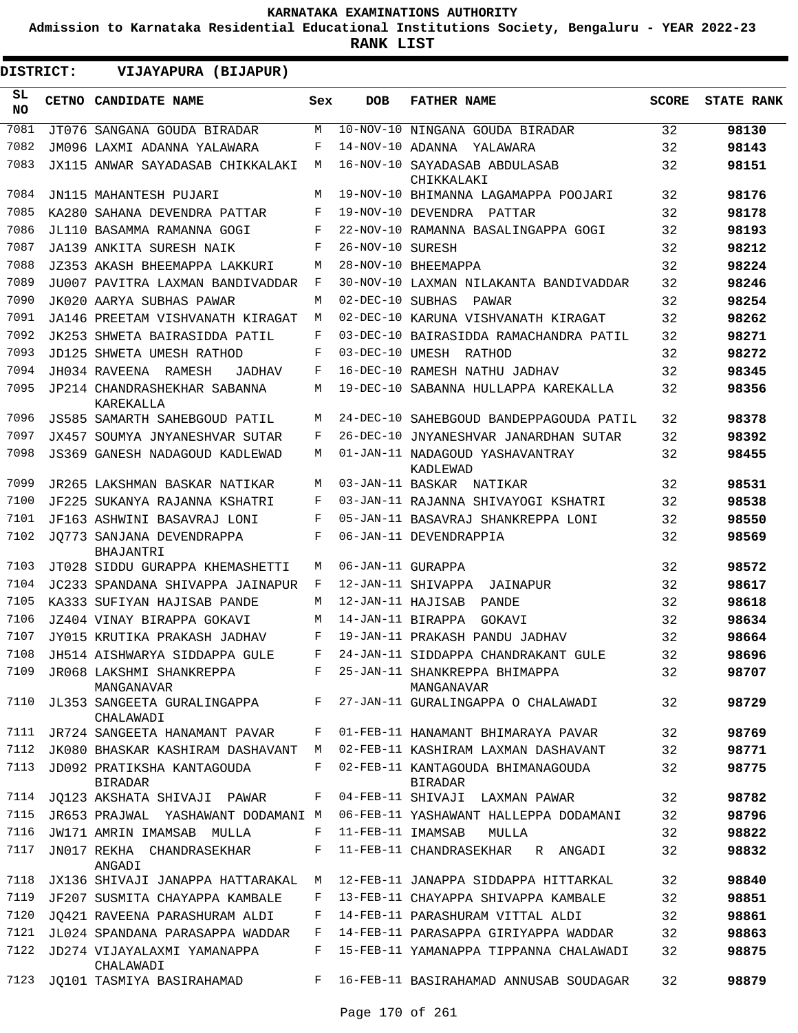**Admission to Karnataka Residential Educational Institutions Society, Bengaluru - YEAR 2022-23**

**RANK LIST**

ı

| <b>DISTRICT:</b> | VIJAYAPURA (BIJAPUR)                         |     |                   |                                              |              |                   |
|------------------|----------------------------------------------|-----|-------------------|----------------------------------------------|--------------|-------------------|
| SL.<br><b>NO</b> | CETNO CANDIDATE NAME                         | Sex | <b>DOB</b>        | <b>FATHER NAME</b>                           | <b>SCORE</b> | <b>STATE RANK</b> |
| 7081             | JT076 SANGANA GOUDA BIRADAR                  | M   |                   | 10-NOV-10 NINGANA GOUDA BIRADAR              | 32           | 98130             |
| 7082             | JM096 LAXMI ADANNA YALAWARA                  | F   | 14-NOV-10 ADANNA  | YALAWARA                                     | 32           | 98143             |
| 7083             | JX115 ANWAR SAYADASAB CHIKKALAKI             | M   |                   | 16-NOV-10 SAYADASAB ABDULASAB<br>CHIKKALAKI  | 32           | 98151             |
| 7084             | JN115 MAHANTESH PUJARI                       | М   |                   | 19-NOV-10 BHIMANNA LAGAMAPPA POOJARI         | 32           | 98176             |
| 7085             | KA280 SAHANA DEVENDRA PATTAR                 | F   |                   | 19-NOV-10 DEVENDRA PATTAR                    | 32           | 98178             |
| 7086             | JL110 BASAMMA RAMANNA GOGI                   | F   |                   | 22-NOV-10 RAMANNA BASALINGAPPA GOGI          | 32           | 98193             |
| 7087             | JA139 ANKITA SURESH NAIK                     | F   | 26-NOV-10 SURESH  |                                              | 32           | 98212             |
| 7088             | JZ353 AKASH BHEEMAPPA LAKKURI                | М   |                   | 28-NOV-10 BHEEMAPPA                          | 32           | 98224             |
| 7089             | JU007 PAVITRA LAXMAN BANDIVADDAR             | F   |                   | 30-NOV-10 LAXMAN NILAKANTA BANDIVADDAR       | 32           | 98246             |
| 7090             | JK020 AARYA SUBHAS PAWAR                     | M   | 02-DEC-10 SUBHAS  | PAWAR                                        | 32           | 98254             |
| 7091             | JA146 PREETAM VISHVANATH KIRAGAT             | M   |                   | 02-DEC-10 KARUNA VISHVANATH KIRAGAT          | 32           | 98262             |
| 7092             | JK253 SHWETA BAIRASIDDA PATIL                | F   |                   | 03-DEC-10 BAIRASIDDA RAMACHANDRA PATIL       | 32           | 98271             |
| 7093             | JD125 SHWETA UMESH RATHOD                    | F   |                   | 03-DEC-10 UMESH RATHOD                       | 32           | 98272             |
| 7094             | JH034 RAVEENA RAMESH<br><b>JADHAV</b>        | F   |                   | 16-DEC-10 RAMESH NATHU JADHAV                | 32           | 98345             |
| 7095             | JP214 CHANDRASHEKHAR SABANNA<br>KAREKALLA    | M   |                   | 19-DEC-10 SABANNA HULLAPPA KAREKALLA         | 32           | 98356             |
| 7096             | JS585 SAMARTH SAHEBGOUD PATIL                | M   |                   | 24-DEC-10 SAHEBGOUD BANDEPPAGOUDA PATIL      | 32           | 98378             |
| 7097             | <b>JX457 SOUMYA JNYANESHVAR SUTAR</b>        | F   |                   | 26-DEC-10 JNYANESHVAR JANARDHAN SUTAR        | 32           | 98392             |
| 7098             | JS369 GANESH NADAGOUD KADLEWAD               | M   |                   | 01-JAN-11 NADAGOUD YASHAVANTRAY<br>KADLEWAD  | 32           | 98455             |
| 7099             | JR265 LAKSHMAN BASKAR NATIKAR                | М   |                   | 03-JAN-11 BASKAR NATIKAR                     | 32           | 98531             |
| 7100             | JF225 SUKANYA RAJANNA KSHATRI                | F   |                   | 03-JAN-11 RAJANNA SHIVAYOGI KSHATRI          | 32           | 98538             |
| 7101             | JF163 ASHWINI BASAVRAJ LONI                  | F   |                   | 05-JAN-11 BASAVRAJ SHANKREPPA LONI           | 32           | 98550             |
| 7102             | JO773 SANJANA DEVENDRAPPA<br>BHAJANTRI       | F   |                   | 06-JAN-11 DEVENDRAPPIA                       | 32           | 98569             |
| 7103             | JT028 SIDDU GURAPPA KHEMASHETTI              | M   | 06-JAN-11 GURAPPA |                                              | 32           | 98572             |
| 7104             | JC233 SPANDANA SHIVAPPA JAINAPUR             | F   |                   | 12-JAN-11 SHIVAPPA<br>JAINAPUR               | 32           | 98617             |
| 7105             | KA333 SUFIYAN HAJISAB PANDE                  | М   | 12-JAN-11 HAJISAB | PANDE                                        | 32           | 98618             |
| 7106             | JZ404 VINAY BIRAPPA GOKAVI                   | M   | 14-JAN-11 BIRAPPA | GOKAVI                                       | 32           | 98634             |
| 7107             | JY015 KRUTIKA PRAKASH JADHAV                 | F   |                   | 19-JAN-11 PRAKASH PANDU JADHAV               | 32           | 98664             |
| 7108             | JH514 AISHWARYA SIDDAPPA GULE                |     |                   | 24-JAN-11 SIDDAPPA CHANDRAKANT GULE          | 32           | 98696             |
| 7109             | JR068 LAKSHMI SHANKREPPA<br>MANGANAVAR       | F   |                   | 25-JAN-11 SHANKREPPA BHIMAPPA<br>MANGANAVAR  | 32           | 98707             |
| 7110             | JL353 SANGEETA GURALINGAPPA<br>CHALAWADI     | F   |                   | 27-JAN-11 GURALINGAPPA O CHALAWADI           | 32           | 98729             |
| 7111             | JR724 SANGEETA HANAMANT PAVAR                | F   |                   | 01-FEB-11 HANAMANT BHIMARAYA PAVAR           | 32           | 98769             |
| 7112             | JK080 BHASKAR KASHIRAM DASHAVANT             | M   |                   | 02-FEB-11 KASHIRAM LAXMAN DASHAVANT          | 32           | 98771             |
| 7113             | JD092 PRATIKSHA KANTAGOUDA<br><b>BIRADAR</b> | F   |                   | 02-FEB-11 KANTAGOUDA BHIMANAGOUDA<br>BIRADAR | 32           | 98775             |
| 7114             | JQ123 AKSHATA SHIVAJI PAWAR                  | F   |                   | 04-FEB-11 SHIVAJI LAXMAN PAWAR               | 32           | 98782             |
| 7115             | JR653 PRAJWAL YASHAWANT DODAMANI M           |     |                   | 06-FEB-11 YASHAWANT HALLEPPA DODAMANI        | 32           | 98796             |
| 7116             | JW171 AMRIN IMAMSAB MULLA                    | F   | 11-FEB-11 IMAMSAB | MULLA                                        | 32           | 98822             |
| 7117             | JN017 REKHA CHANDRASEKHAR<br>ANGADI          | F   |                   | 11-FEB-11 CHANDRASEKHAR<br>R ANGADI          | 32           | 98832             |
| 7118             | JX136 SHIVAJI JANAPPA HATTARAKAL             | М   |                   | 12-FEB-11 JANAPPA SIDDAPPA HITTARKAL         | 32           | 98840             |
| 7119             | JF207 SUSMITA CHAYAPPA KAMBALE               | F   |                   | 13-FEB-11 CHAYAPPA SHIVAPPA KAMBALE          | 32           | 98851             |
| 7120             | JO421 RAVEENA PARASHURAM ALDI                | F   |                   | 14-FEB-11 PARASHURAM VITTAL ALDI             | 32           | 98861             |
| 7121             | JL024 SPANDANA PARASAPPA WADDAR              | F   |                   | 14-FEB-11 PARASAPPA GIRIYAPPA WADDAR         | 32           | 98863             |
| 7122             | JD274 VIJAYALAXMI YAMANAPPA<br>CHALAWADI     | F   |                   | 15-FEB-11 YAMANAPPA TIPPANNA CHALAWADI       | 32           | 98875             |
| 7123             | JO101 TASMIYA BASIRAHAMAD                    | F   |                   | 16-FEB-11 BASIRAHAMAD ANNUSAB SOUDAGAR       | 32           | 98879             |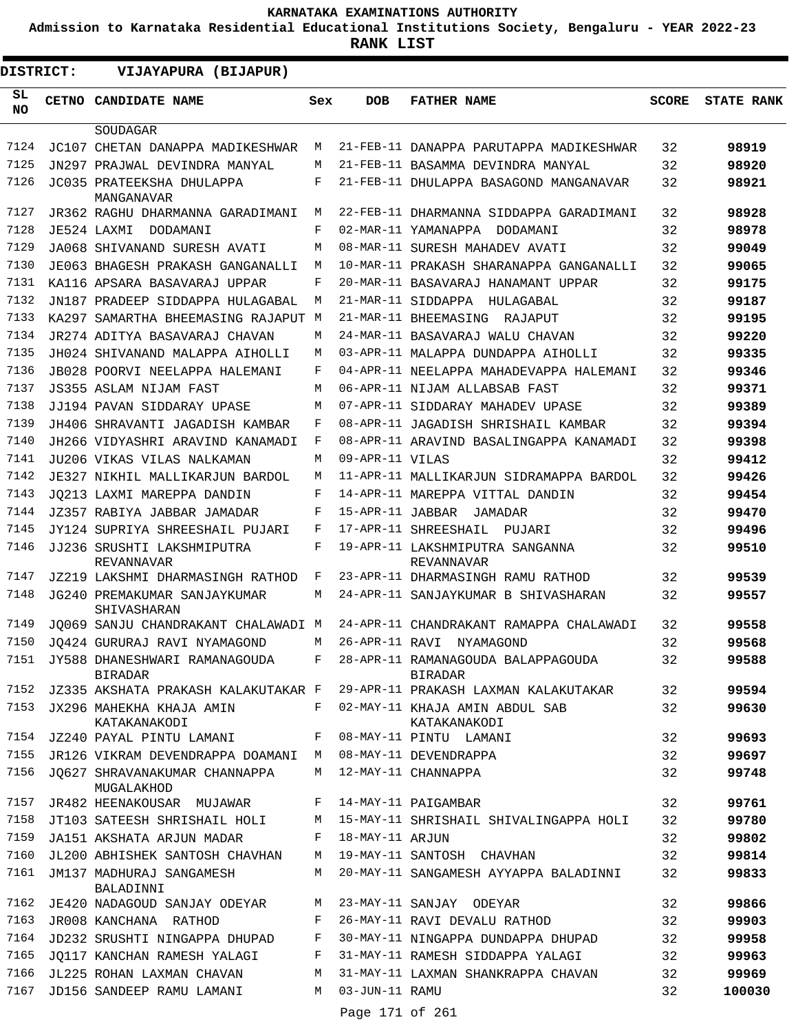**Admission to Karnataka Residential Educational Institutions Society, Bengaluru - YEAR 2022-23**

**RANK LIST**

| <b>DISTRICT:</b> | VIJAYAPURA (BIJAPUR)                                 |       |                            |                                                      |              |                   |
|------------------|------------------------------------------------------|-------|----------------------------|------------------------------------------------------|--------------|-------------------|
| SL<br>NO.        | <b>CETNO CANDIDATE NAME</b>                          | Sex   | <b>DOB</b>                 | <b>FATHER NAME</b>                                   | <b>SCORE</b> | <b>STATE RANK</b> |
|                  | SOUDAGAR                                             |       |                            |                                                      |              |                   |
| 7124             | JC107 CHETAN DANAPPA MADIKESHWAR                     | M     |                            | 21-FEB-11 DANAPPA PARUTAPPA MADIKESHWAR              | 32           | 98919             |
| 7125             | JN297 PRAJWAL DEVINDRA MANYAL                        | М     |                            | 21-FEB-11 BASAMMA DEVINDRA MANYAL                    | 32           | 98920             |
| 7126             | JC035 PRATEEKSHA DHULAPPA<br>MANGANAVAR              | F     |                            | 21-FEB-11 DHULAPPA BASAGOND MANGANAVAR               | 32           | 98921             |
| 7127             | JR362 RAGHU DHARMANNA GARADIMANI                     | M     |                            | 22-FEB-11 DHARMANNA SIDDAPPA GARADIMANI              | 32           | 98928             |
| 7128             | JE524 LAXMI DODAMANI                                 | F     |                            | 02-MAR-11 YAMANAPPA DODAMANI                         | 32           | 98978             |
| 7129             | JA068 SHIVANAND SURESH AVATI                         | М     |                            | 08-MAR-11 SURESH MAHADEV AVATI                       | 32           | 99049             |
| 7130             | JE063 BHAGESH PRAKASH GANGANALLI                     | M     |                            | 10-MAR-11 PRAKASH SHARANAPPA GANGANALLI              | 32           | 99065             |
| 7131             | KA116 APSARA BASAVARAJ UPPAR                         | F     |                            | 20-MAR-11 BASAVARAJ HANAMANT UPPAR                   | 32           | 99175             |
| 7132             | JN187 PRADEEP SIDDAPPA HULAGABAL                     | М     |                            | 21-MAR-11 SIDDAPPA HULAGABAL                         | 32           | 99187             |
| 7133             | KA297 SAMARTHA BHEEMASING RAJAPUT                    | M     |                            | 21-MAR-11 BHEEMASING<br>RAJAPUT                      | 32           | 99195             |
| 7134             | JR274 ADITYA BASAVARAJ CHAVAN                        | М     |                            | 24-MAR-11 BASAVARAJ WALU CHAVAN                      | 32           | 99220             |
| 7135             | JH024 SHIVANAND MALAPPA AIHOLLI                      | М     |                            | 03-APR-11 MALAPPA DUNDAPPA AIHOLLI                   | 32           | 99335             |
| 7136             | JB028 POORVI NEELAPPA HALEMANI                       | F     |                            | 04-APR-11 NEELAPPA MAHADEVAPPA HALEMANI              | 32           | 99346             |
| 7137             | JS355 ASLAM NIJAM FAST                               | M     |                            | 06-APR-11 NIJAM ALLABSAB FAST                        | 32           | 99371             |
| 7138             | JJ194 PAVAN SIDDARAY UPASE                           | M     |                            | 07-APR-11 SIDDARAY MAHADEV UPASE                     | 32           | 99389             |
| 7139             | JH406 SHRAVANTI JAGADISH KAMBAR                      | F     |                            | 08-APR-11 JAGADISH SHRISHAIL KAMBAR                  | 32           | 99394             |
| 7140             | JH266 VIDYASHRI ARAVIND KANAMADI                     | F     |                            | 08-APR-11 ARAVIND BASALINGAPPA KANAMADI              | 32           | 99398             |
| 7141             | JU206 VIKAS VILAS NALKAMAN                           | М     | 09-APR-11 VILAS            |                                                      | 32           | 99412             |
| 7142             | JE327 NIKHIL MALLIKARJUN BARDOL                      | M     |                            | 11-APR-11 MALLIKARJUN SIDRAMAPPA BARDOL              | 32           | 99426             |
| 7143             | JO213 LAXMI MAREPPA DANDIN                           | F     |                            | 14-APR-11 MAREPPA VITTAL DANDIN                      | 32           | 99454             |
| 7144             | JZ357 RABIYA JABBAR JAMADAR                          | F     | 15-APR-11 JABBAR           | JAMADAR                                              | 32           | 99470             |
| 7145             | JY124 SUPRIYA SHREESHAIL PUJARI                      | F     |                            | 17-APR-11 SHREESHAIL PUJARI                          | 32           | 99496             |
| 7146             | JJ236 SRUSHTI LAKSHMIPUTRA<br>REVANNAVAR             | F     |                            | 19-APR-11 LAKSHMIPUTRA SANGANNA<br>REVANNAVAR        | 32           | 99510             |
| 7147             | JZ219 LAKSHMI DHARMASINGH RATHOD                     | F     |                            | 23-APR-11 DHARMASINGH RAMU RATHOD                    | 32           | 99539             |
| 7148             | JG240 PREMAKUMAR SANJAYKUMAR<br>SHIVASHARAN          | М     |                            | 24-APR-11 SANJAYKUMAR B SHIVASHARAN                  | 32           | 99557             |
| 7149             | JO069 SANJU CHANDRAKANT CHALAWADI M                  |       |                            | 24-APR-11 CHANDRAKANT RAMAPPA CHALAWADI              | 32           | 99558             |
| 7150             | JO424 GURURAJ RAVI NYAMAGOND                         | М     | 26-APR-11 RAVI             | NYAMAGOND                                            | 32           | 99568             |
|                  | 7151 JY588 DHANESHWARI RAMANAGOUDA<br><b>BIRADAR</b> | F     |                            | 28-APR-11 RAMANAGOUDA BALAPPAGOUDA<br><b>BIRADAR</b> | 32           | 99588             |
| 7152             | JZ335 AKSHATA PRAKASH KALAKUTAKAR F                  |       |                            | 29-APR-11 PRAKASH LAXMAN KALAKUTAKAR                 | 32           | 99594             |
|                  | 7153 JX296 MAHEKHA KHAJA AMIN<br>KATAKANAKODI        | F     |                            | 02-MAY-11 KHAJA AMIN ABDUL SAB<br>KATAKANAKODI       | 32           | 99630             |
|                  | 7154 JZ240 PAYAL PINTU LAMANI                        | $F$ – |                            | 08-MAY-11 PINTU LAMANI                               | 32           | 99693             |
| 7155             | JR126 VIKRAM DEVENDRAPPA DOAMANI M                   |       |                            | 08-MAY-11 DEVENDRAPPA                                | 32           | 99697             |
| 7156             | JO627 SHRAVANAKUMAR CHANNAPPA<br>MUGALAKHOD          |       |                            | M 12-MAY-11 CHANNAPPA                                | 32           | 99748             |
| 7157             | JR482 HEENAKOUSAR MUJAWAR                            | F     |                            | 14-MAY-11 PAIGAMBAR                                  | 32           | 99761             |
| 7158             | JT103 SATEESH SHRISHAIL HOLI                         | M     |                            | 15-MAY-11 SHRISHAIL SHIVALINGAPPA HOLI               | 32           | 99780             |
| 7159             | JA151 AKSHATA ARJUN MADAR                            | F     | 18-MAY-11 ARJUN            |                                                      | 32           | 99802             |
| 7160             | JL200 ABHISHEK SANTOSH CHAVHAN                       | M     |                            | 19-MAY-11 SANTOSH CHAVHAN                            | 32           | 99814             |
| 7161             | JM137 MADHURAJ SANGAMESH<br>BALADINNI                | M     |                            | 20-MAY-11 SANGAMESH AYYAPPA BALADINNI                | 32           | 99833             |
| 7162             | JE420 NADAGOUD SANJAY ODEYAR                         | М     |                            | 23-MAY-11 SANJAY ODEYAR                              | 32           | 99866             |
| 7163             | JR008 KANCHANA RATHOD                                | F     |                            | 26-MAY-11 RAVI DEVALU RATHOD                         | 32           | 99903             |
| 7164             | JD232 SRUSHTI NINGAPPA DHUPAD                        | F     |                            | 30-MAY-11 NINGAPPA DUNDAPPA DHUPAD                   | 32           | 99958             |
| 7165             | JO117 KANCHAN RAMESH YALAGI                          | F     |                            | 31-MAY-11 RAMESH SIDDAPPA YALAGI                     | 32           | 99963             |
| 7166             | JL225 ROHAN LAXMAN CHAVAN                            | М     |                            | 31-MAY-11 LAXMAN SHANKRAPPA CHAVAN                   | 32           | 99969             |
| 7167             | JD156 SANDEEP RAMU LAMANI                            | M     | 03-JUN-11 RAMU             |                                                      | 32           | 100030            |
|                  |                                                      |       | $D_{0} \approx 171.65.061$ |                                                      |              |                   |

Page 171 of 261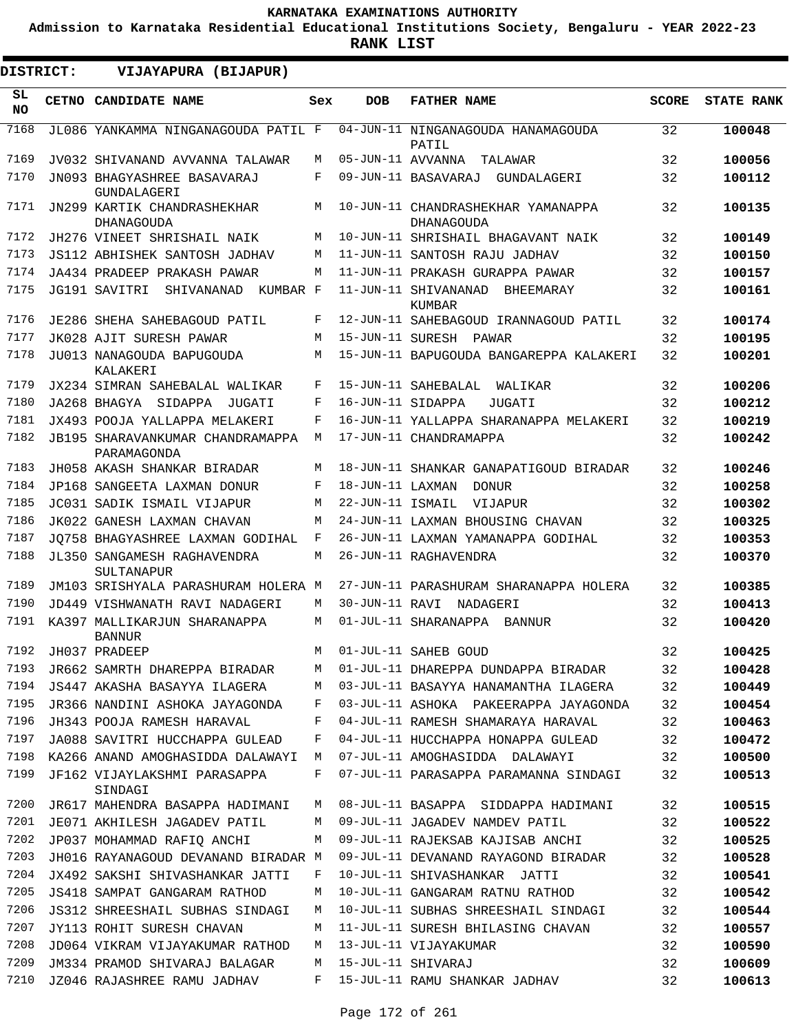**Admission to Karnataka Residential Educational Institutions Society, Bengaluru - YEAR 2022-23**

**RANK LIST**

 $\blacksquare$ 

 $\blacksquare$ 

| SL<br>CETNO CANDIDATE NAME<br><b>DOB</b><br><b>FATHER NAME</b><br><b>SCORE</b><br><b>STATE RANK</b><br>Sex<br><b>NO</b><br>7168<br>04-JUN-11 NINGANAGOUDA HANAMAGOUDA<br>JL086 YANKAMMA NINGANAGOUDA PATIL F<br>32<br>100048<br>PATIL<br>7169<br>05-JUN-11 AVVANNA<br>32<br>100056<br>JV032 SHIVANAND AVVANNA TALAWAR<br>М<br>TALAWAR<br>7170<br>32<br>F<br>09-JUN-11 BASAVARAJ<br>JN093 BHAGYASHREE BASAVARAJ<br>GUNDALAGERI<br>100112<br><b>GUNDALAGERI</b><br>7171<br>JN299 KARTIK CHANDRASHEKHAR<br>32<br>100135<br>M<br>10-JUN-11 CHANDRASHEKHAR YAMANAPPA<br><b>DHANAGOUDA</b><br>DHANAGOUDA<br>7172<br>32<br>10-JUN-11 SHRISHAIL BHAGAVANT NAIK<br>100149<br>JH276 VINEET SHRISHAIL NAIK<br>М<br>7173<br>32<br>11-JUN-11 SANTOSH RAJU JADHAV<br>JS112 ABHISHEK SANTOSH JADHAV<br>М<br>100150<br>7174<br>11-JUN-11 PRAKASH GURAPPA PAWAR<br>32<br>100157<br>JA434 PRADEEP PRAKASH PAWAR<br>М<br>7175<br>KUMBAR F<br>11-JUN-11 SHIVANANAD<br>32<br>JG191 SAVITRI<br>SHIVANANAD<br>100161<br>BHEEMARAY<br>KUMBAR<br>7176<br>12-JUN-11 SAHEBAGOUD IRANNAGOUD PATIL<br>32<br>JE286 SHEHA SAHEBAGOUD PATIL<br>F<br>100174<br>7177<br>JK028 AJIT SURESH PAWAR<br>15-JUN-11 SURESH PAWAR<br>32<br>100195<br>М<br>7178<br>15-JUN-11 BAPUGOUDA BANGAREPPA KALAKERI<br>32<br>100201<br>JU013 NANAGOUDA BAPUGOUDA<br>М<br>KALAKERI<br>7179<br>32<br>100206<br>JX234 SIMRAN SAHEBALAL WALIKAR<br>F<br>15-JUN-11 SAHEBALAL<br>WALIKAR<br>7180<br>JA268 BHAGYA<br>32<br>100212<br>SIDAPPA<br>F<br>16-JUN-11 SIDAPPA<br>JUGATI<br>JUGATI<br>7181<br>32<br>100219<br>JX493 POOJA YALLAPPA MELAKERI<br>F<br>16-JUN-11 YALLAPPA SHARANAPPA MELAKERI<br>7182<br>32<br>100242<br>JB195 SHARAVANKUMAR CHANDRAMAPPA<br>M<br>17-JUN-11 CHANDRAMAPPA<br>PARAMAGONDA<br>7183<br>JH058 AKASH SHANKAR BIRADAR<br>18-JUN-11 SHANKAR GANAPATIGOUD BIRADAR<br>32<br>М<br>100246<br>7184<br>JP168 SANGEETA LAXMAN DONUR<br>F<br>18-JUN-11 LAXMAN<br>32<br>100258<br>DONUR<br>7185<br>22-JUN-11 ISMAIL<br>32<br>100302<br>JC031 SADIK ISMAIL VIJAPUR<br>М<br>VIJAPUR<br>7186<br>32<br>24-JUN-11 LAXMAN BHOUSING CHAVAN<br>100325<br>JK022 GANESH LAXMAN CHAVAN<br>М<br>7187<br>F<br>26-JUN-11 LAXMAN YAMANAPPA GODIHAL<br>32<br>JO758 BHAGYASHREE LAXMAN GODIHAL<br>100353<br>7188<br>26-JUN-11 RAGHAVENDRA<br>М<br>32<br>JL350 SANGAMESH RAGHAVENDRA<br>100370<br>SULTANAPUR<br>7189<br>27-JUN-11 PARASHURAM SHARANAPPA HOLERA<br>32<br>JM103 SRISHYALA PARASHURAM HOLERA M<br>100385<br>7190<br>30-JUN-11 RAVI NADAGERI<br>32<br>JD449 VISHWANATH RAVI NADAGERI<br>100413<br>М<br>7191<br>32<br>01-JUL-11 SHARANAPPA<br>100420<br>KA397 MALLIKARJUN SHARANAPPA<br>М<br>BANNUR<br><b>BANNUR</b><br>7192<br>01-JUL-11 SAHEB GOUD<br>100425<br>JH037 PRADEEP<br>32<br>M<br>7193<br>32<br>100428<br>JR662 SAMRTH DHAREPPA BIRADAR<br>01-JUL-11 DHAREPPA DUNDAPPA BIRADAR<br>М<br>7194<br>JS447 AKASHA BASAYYA ILAGERA<br>03-JUL-11 BASAYYA HANAMANTHA ILAGERA<br>32<br>100449<br>М<br>7195<br>JR366 NANDINI ASHOKA JAYAGONDA<br>03-JUL-11 ASHOKA PAKEERAPPA JAYAGONDA<br>32<br>100454<br>F<br>7196<br>JH343 POOJA RAMESH HARAVAL<br>04-JUL-11 RAMESH SHAMARAYA HARAVAL<br>F<br>32<br>100463<br>7197<br>JA088 SAVITRI HUCCHAPPA GULEAD<br>04-JUL-11 HUCCHAPPA HONAPPA GULEAD<br>32<br>100472<br>F<br>7198<br>KA266 ANAND AMOGHASIDDA DALAWAYI<br>07-JUL-11 AMOGHASIDDA DALAWAYI<br>32<br>100500<br>M<br>7199<br>JF162 VIJAYLAKSHMI PARASAPPA<br>F<br>07-JUL-11 PARASAPPA PARAMANNA SINDAGI<br>32<br>100513<br>SINDAGI<br>7200<br>08-JUL-11 BASAPPA SIDDAPPA HADIMANI<br>JR617 MAHENDRA BASAPPA HADIMANI<br>32<br>100515<br>M<br>7201<br>JE071 AKHILESH JAGADEV PATIL<br>09-JUL-11 JAGADEV NAMDEV PATIL<br>32<br>100522<br>М<br>7202<br>JP037 MOHAMMAD RAFIO ANCHI<br>09-JUL-11 RAJEKSAB KAJISAB ANCHI<br>100525<br>32<br>M<br>7203<br>JH016 RAYANAGOUD DEVANAND BIRADAR M<br>09-JUL-11 DEVANAND RAYAGOND BIRADAR<br>32<br>100528<br>7204<br>10-JUL-11 SHIVASHANKAR JATTI<br>JX492 SAKSHI SHIVASHANKAR JATTI<br>F<br>32<br>100541<br>7205<br><b>JS418 SAMPAT GANGARAM RATHOD</b><br>10-JUL-11 GANGARAM RATNU RATHOD<br>32<br>100542<br>М<br>7206<br><b>JS312 SHREESHAIL SUBHAS SINDAGI</b><br>10-JUL-11 SUBHAS SHREESHAIL SINDAGI<br>32<br>100544<br>M<br>7207<br>JY113 ROHIT SURESH CHAVAN<br>11-JUL-11 SURESH BHILASING CHAVAN<br>32<br>100557<br>M<br>7208<br>13-JUL-11 VIJAYAKUMAR<br>JD064 VIKRAM VIJAYAKUMAR RATHOD<br>32<br>100590<br>M<br>7209<br>15-JUL-11 SHIVARAJ<br>JM334 PRAMOD SHIVARAJ BALAGAR<br>32<br>100609<br>М<br>7210<br>JZ046 RAJASHREE RAMU JADHAV<br>F<br>15-JUL-11 RAMU SHANKAR JADHAV<br>32<br>100613 | <b>DISTRICT:</b> | VIJAYAPURA (BIJAPUR) |  |  |  |
|---------------------------------------------------------------------------------------------------------------------------------------------------------------------------------------------------------------------------------------------------------------------------------------------------------------------------------------------------------------------------------------------------------------------------------------------------------------------------------------------------------------------------------------------------------------------------------------------------------------------------------------------------------------------------------------------------------------------------------------------------------------------------------------------------------------------------------------------------------------------------------------------------------------------------------------------------------------------------------------------------------------------------------------------------------------------------------------------------------------------------------------------------------------------------------------------------------------------------------------------------------------------------------------------------------------------------------------------------------------------------------------------------------------------------------------------------------------------------------------------------------------------------------------------------------------------------------------------------------------------------------------------------------------------------------------------------------------------------------------------------------------------------------------------------------------------------------------------------------------------------------------------------------------------------------------------------------------------------------------------------------------------------------------------------------------------------------------------------------------------------------------------------------------------------------------------------------------------------------------------------------------------------------------------------------------------------------------------------------------------------------------------------------------------------------------------------------------------------------------------------------------------------------------------------------------------------------------------------------------------------------------------------------------------------------------------------------------------------------------------------------------------------------------------------------------------------------------------------------------------------------------------------------------------------------------------------------------------------------------------------------------------------------------------------------------------------------------------------------------------------------------------------------------------------------------------------------------------------------------------------------------------------------------------------------------------------------------------------------------------------------------------------------------------------------------------------------------------------------------------------------------------------------------------------------------------------------------------------------------------------------------------------------------------------------------------------------------------------------------------------------------------------------------------------------------------------------------------------------------------------------------------------------------------------------------------------------------------------------------------------------------------------------------------------------------------------------------------------------------------------------------------------------------------------------------------------------------------------------------------------------------------------------------------------------------------------------------------------------------------------------------------------------------------------------------------------------------------------------------------------------------------------------------------------------------------------------------------------|------------------|----------------------|--|--|--|
|                                                                                                                                                                                                                                                                                                                                                                                                                                                                                                                                                                                                                                                                                                                                                                                                                                                                                                                                                                                                                                                                                                                                                                                                                                                                                                                                                                                                                                                                                                                                                                                                                                                                                                                                                                                                                                                                                                                                                                                                                                                                                                                                                                                                                                                                                                                                                                                                                                                                                                                                                                                                                                                                                                                                                                                                                                                                                                                                                                                                                                                                                                                                                                                                                                                                                                                                                                                                                                                                                                                                                                                                                                                                                                                                                                                                                                                                                                                                                                                                                                                                                                                                                                                                                                                                                                                                                                                                                                                                                                                                                                                                   |                  |                      |  |  |  |
|                                                                                                                                                                                                                                                                                                                                                                                                                                                                                                                                                                                                                                                                                                                                                                                                                                                                                                                                                                                                                                                                                                                                                                                                                                                                                                                                                                                                                                                                                                                                                                                                                                                                                                                                                                                                                                                                                                                                                                                                                                                                                                                                                                                                                                                                                                                                                                                                                                                                                                                                                                                                                                                                                                                                                                                                                                                                                                                                                                                                                                                                                                                                                                                                                                                                                                                                                                                                                                                                                                                                                                                                                                                                                                                                                                                                                                                                                                                                                                                                                                                                                                                                                                                                                                                                                                                                                                                                                                                                                                                                                                                                   |                  |                      |  |  |  |
|                                                                                                                                                                                                                                                                                                                                                                                                                                                                                                                                                                                                                                                                                                                                                                                                                                                                                                                                                                                                                                                                                                                                                                                                                                                                                                                                                                                                                                                                                                                                                                                                                                                                                                                                                                                                                                                                                                                                                                                                                                                                                                                                                                                                                                                                                                                                                                                                                                                                                                                                                                                                                                                                                                                                                                                                                                                                                                                                                                                                                                                                                                                                                                                                                                                                                                                                                                                                                                                                                                                                                                                                                                                                                                                                                                                                                                                                                                                                                                                                                                                                                                                                                                                                                                                                                                                                                                                                                                                                                                                                                                                                   |                  |                      |  |  |  |
|                                                                                                                                                                                                                                                                                                                                                                                                                                                                                                                                                                                                                                                                                                                                                                                                                                                                                                                                                                                                                                                                                                                                                                                                                                                                                                                                                                                                                                                                                                                                                                                                                                                                                                                                                                                                                                                                                                                                                                                                                                                                                                                                                                                                                                                                                                                                                                                                                                                                                                                                                                                                                                                                                                                                                                                                                                                                                                                                                                                                                                                                                                                                                                                                                                                                                                                                                                                                                                                                                                                                                                                                                                                                                                                                                                                                                                                                                                                                                                                                                                                                                                                                                                                                                                                                                                                                                                                                                                                                                                                                                                                                   |                  |                      |  |  |  |
|                                                                                                                                                                                                                                                                                                                                                                                                                                                                                                                                                                                                                                                                                                                                                                                                                                                                                                                                                                                                                                                                                                                                                                                                                                                                                                                                                                                                                                                                                                                                                                                                                                                                                                                                                                                                                                                                                                                                                                                                                                                                                                                                                                                                                                                                                                                                                                                                                                                                                                                                                                                                                                                                                                                                                                                                                                                                                                                                                                                                                                                                                                                                                                                                                                                                                                                                                                                                                                                                                                                                                                                                                                                                                                                                                                                                                                                                                                                                                                                                                                                                                                                                                                                                                                                                                                                                                                                                                                                                                                                                                                                                   |                  |                      |  |  |  |
|                                                                                                                                                                                                                                                                                                                                                                                                                                                                                                                                                                                                                                                                                                                                                                                                                                                                                                                                                                                                                                                                                                                                                                                                                                                                                                                                                                                                                                                                                                                                                                                                                                                                                                                                                                                                                                                                                                                                                                                                                                                                                                                                                                                                                                                                                                                                                                                                                                                                                                                                                                                                                                                                                                                                                                                                                                                                                                                                                                                                                                                                                                                                                                                                                                                                                                                                                                                                                                                                                                                                                                                                                                                                                                                                                                                                                                                                                                                                                                                                                                                                                                                                                                                                                                                                                                                                                                                                                                                                                                                                                                                                   |                  |                      |  |  |  |
|                                                                                                                                                                                                                                                                                                                                                                                                                                                                                                                                                                                                                                                                                                                                                                                                                                                                                                                                                                                                                                                                                                                                                                                                                                                                                                                                                                                                                                                                                                                                                                                                                                                                                                                                                                                                                                                                                                                                                                                                                                                                                                                                                                                                                                                                                                                                                                                                                                                                                                                                                                                                                                                                                                                                                                                                                                                                                                                                                                                                                                                                                                                                                                                                                                                                                                                                                                                                                                                                                                                                                                                                                                                                                                                                                                                                                                                                                                                                                                                                                                                                                                                                                                                                                                                                                                                                                                                                                                                                                                                                                                                                   |                  |                      |  |  |  |
|                                                                                                                                                                                                                                                                                                                                                                                                                                                                                                                                                                                                                                                                                                                                                                                                                                                                                                                                                                                                                                                                                                                                                                                                                                                                                                                                                                                                                                                                                                                                                                                                                                                                                                                                                                                                                                                                                                                                                                                                                                                                                                                                                                                                                                                                                                                                                                                                                                                                                                                                                                                                                                                                                                                                                                                                                                                                                                                                                                                                                                                                                                                                                                                                                                                                                                                                                                                                                                                                                                                                                                                                                                                                                                                                                                                                                                                                                                                                                                                                                                                                                                                                                                                                                                                                                                                                                                                                                                                                                                                                                                                                   |                  |                      |  |  |  |
|                                                                                                                                                                                                                                                                                                                                                                                                                                                                                                                                                                                                                                                                                                                                                                                                                                                                                                                                                                                                                                                                                                                                                                                                                                                                                                                                                                                                                                                                                                                                                                                                                                                                                                                                                                                                                                                                                                                                                                                                                                                                                                                                                                                                                                                                                                                                                                                                                                                                                                                                                                                                                                                                                                                                                                                                                                                                                                                                                                                                                                                                                                                                                                                                                                                                                                                                                                                                                                                                                                                                                                                                                                                                                                                                                                                                                                                                                                                                                                                                                                                                                                                                                                                                                                                                                                                                                                                                                                                                                                                                                                                                   |                  |                      |  |  |  |
|                                                                                                                                                                                                                                                                                                                                                                                                                                                                                                                                                                                                                                                                                                                                                                                                                                                                                                                                                                                                                                                                                                                                                                                                                                                                                                                                                                                                                                                                                                                                                                                                                                                                                                                                                                                                                                                                                                                                                                                                                                                                                                                                                                                                                                                                                                                                                                                                                                                                                                                                                                                                                                                                                                                                                                                                                                                                                                                                                                                                                                                                                                                                                                                                                                                                                                                                                                                                                                                                                                                                                                                                                                                                                                                                                                                                                                                                                                                                                                                                                                                                                                                                                                                                                                                                                                                                                                                                                                                                                                                                                                                                   |                  |                      |  |  |  |
|                                                                                                                                                                                                                                                                                                                                                                                                                                                                                                                                                                                                                                                                                                                                                                                                                                                                                                                                                                                                                                                                                                                                                                                                                                                                                                                                                                                                                                                                                                                                                                                                                                                                                                                                                                                                                                                                                                                                                                                                                                                                                                                                                                                                                                                                                                                                                                                                                                                                                                                                                                                                                                                                                                                                                                                                                                                                                                                                                                                                                                                                                                                                                                                                                                                                                                                                                                                                                                                                                                                                                                                                                                                                                                                                                                                                                                                                                                                                                                                                                                                                                                                                                                                                                                                                                                                                                                                                                                                                                                                                                                                                   |                  |                      |  |  |  |
|                                                                                                                                                                                                                                                                                                                                                                                                                                                                                                                                                                                                                                                                                                                                                                                                                                                                                                                                                                                                                                                                                                                                                                                                                                                                                                                                                                                                                                                                                                                                                                                                                                                                                                                                                                                                                                                                                                                                                                                                                                                                                                                                                                                                                                                                                                                                                                                                                                                                                                                                                                                                                                                                                                                                                                                                                                                                                                                                                                                                                                                                                                                                                                                                                                                                                                                                                                                                                                                                                                                                                                                                                                                                                                                                                                                                                                                                                                                                                                                                                                                                                                                                                                                                                                                                                                                                                                                                                                                                                                                                                                                                   |                  |                      |  |  |  |
|                                                                                                                                                                                                                                                                                                                                                                                                                                                                                                                                                                                                                                                                                                                                                                                                                                                                                                                                                                                                                                                                                                                                                                                                                                                                                                                                                                                                                                                                                                                                                                                                                                                                                                                                                                                                                                                                                                                                                                                                                                                                                                                                                                                                                                                                                                                                                                                                                                                                                                                                                                                                                                                                                                                                                                                                                                                                                                                                                                                                                                                                                                                                                                                                                                                                                                                                                                                                                                                                                                                                                                                                                                                                                                                                                                                                                                                                                                                                                                                                                                                                                                                                                                                                                                                                                                                                                                                                                                                                                                                                                                                                   |                  |                      |  |  |  |
|                                                                                                                                                                                                                                                                                                                                                                                                                                                                                                                                                                                                                                                                                                                                                                                                                                                                                                                                                                                                                                                                                                                                                                                                                                                                                                                                                                                                                                                                                                                                                                                                                                                                                                                                                                                                                                                                                                                                                                                                                                                                                                                                                                                                                                                                                                                                                                                                                                                                                                                                                                                                                                                                                                                                                                                                                                                                                                                                                                                                                                                                                                                                                                                                                                                                                                                                                                                                                                                                                                                                                                                                                                                                                                                                                                                                                                                                                                                                                                                                                                                                                                                                                                                                                                                                                                                                                                                                                                                                                                                                                                                                   |                  |                      |  |  |  |
|                                                                                                                                                                                                                                                                                                                                                                                                                                                                                                                                                                                                                                                                                                                                                                                                                                                                                                                                                                                                                                                                                                                                                                                                                                                                                                                                                                                                                                                                                                                                                                                                                                                                                                                                                                                                                                                                                                                                                                                                                                                                                                                                                                                                                                                                                                                                                                                                                                                                                                                                                                                                                                                                                                                                                                                                                                                                                                                                                                                                                                                                                                                                                                                                                                                                                                                                                                                                                                                                                                                                                                                                                                                                                                                                                                                                                                                                                                                                                                                                                                                                                                                                                                                                                                                                                                                                                                                                                                                                                                                                                                                                   |                  |                      |  |  |  |
|                                                                                                                                                                                                                                                                                                                                                                                                                                                                                                                                                                                                                                                                                                                                                                                                                                                                                                                                                                                                                                                                                                                                                                                                                                                                                                                                                                                                                                                                                                                                                                                                                                                                                                                                                                                                                                                                                                                                                                                                                                                                                                                                                                                                                                                                                                                                                                                                                                                                                                                                                                                                                                                                                                                                                                                                                                                                                                                                                                                                                                                                                                                                                                                                                                                                                                                                                                                                                                                                                                                                                                                                                                                                                                                                                                                                                                                                                                                                                                                                                                                                                                                                                                                                                                                                                                                                                                                                                                                                                                                                                                                                   |                  |                      |  |  |  |
|                                                                                                                                                                                                                                                                                                                                                                                                                                                                                                                                                                                                                                                                                                                                                                                                                                                                                                                                                                                                                                                                                                                                                                                                                                                                                                                                                                                                                                                                                                                                                                                                                                                                                                                                                                                                                                                                                                                                                                                                                                                                                                                                                                                                                                                                                                                                                                                                                                                                                                                                                                                                                                                                                                                                                                                                                                                                                                                                                                                                                                                                                                                                                                                                                                                                                                                                                                                                                                                                                                                                                                                                                                                                                                                                                                                                                                                                                                                                                                                                                                                                                                                                                                                                                                                                                                                                                                                                                                                                                                                                                                                                   |                  |                      |  |  |  |
|                                                                                                                                                                                                                                                                                                                                                                                                                                                                                                                                                                                                                                                                                                                                                                                                                                                                                                                                                                                                                                                                                                                                                                                                                                                                                                                                                                                                                                                                                                                                                                                                                                                                                                                                                                                                                                                                                                                                                                                                                                                                                                                                                                                                                                                                                                                                                                                                                                                                                                                                                                                                                                                                                                                                                                                                                                                                                                                                                                                                                                                                                                                                                                                                                                                                                                                                                                                                                                                                                                                                                                                                                                                                                                                                                                                                                                                                                                                                                                                                                                                                                                                                                                                                                                                                                                                                                                                                                                                                                                                                                                                                   |                  |                      |  |  |  |
|                                                                                                                                                                                                                                                                                                                                                                                                                                                                                                                                                                                                                                                                                                                                                                                                                                                                                                                                                                                                                                                                                                                                                                                                                                                                                                                                                                                                                                                                                                                                                                                                                                                                                                                                                                                                                                                                                                                                                                                                                                                                                                                                                                                                                                                                                                                                                                                                                                                                                                                                                                                                                                                                                                                                                                                                                                                                                                                                                                                                                                                                                                                                                                                                                                                                                                                                                                                                                                                                                                                                                                                                                                                                                                                                                                                                                                                                                                                                                                                                                                                                                                                                                                                                                                                                                                                                                                                                                                                                                                                                                                                                   |                  |                      |  |  |  |
|                                                                                                                                                                                                                                                                                                                                                                                                                                                                                                                                                                                                                                                                                                                                                                                                                                                                                                                                                                                                                                                                                                                                                                                                                                                                                                                                                                                                                                                                                                                                                                                                                                                                                                                                                                                                                                                                                                                                                                                                                                                                                                                                                                                                                                                                                                                                                                                                                                                                                                                                                                                                                                                                                                                                                                                                                                                                                                                                                                                                                                                                                                                                                                                                                                                                                                                                                                                                                                                                                                                                                                                                                                                                                                                                                                                                                                                                                                                                                                                                                                                                                                                                                                                                                                                                                                                                                                                                                                                                                                                                                                                                   |                  |                      |  |  |  |
|                                                                                                                                                                                                                                                                                                                                                                                                                                                                                                                                                                                                                                                                                                                                                                                                                                                                                                                                                                                                                                                                                                                                                                                                                                                                                                                                                                                                                                                                                                                                                                                                                                                                                                                                                                                                                                                                                                                                                                                                                                                                                                                                                                                                                                                                                                                                                                                                                                                                                                                                                                                                                                                                                                                                                                                                                                                                                                                                                                                                                                                                                                                                                                                                                                                                                                                                                                                                                                                                                                                                                                                                                                                                                                                                                                                                                                                                                                                                                                                                                                                                                                                                                                                                                                                                                                                                                                                                                                                                                                                                                                                                   |                  |                      |  |  |  |
|                                                                                                                                                                                                                                                                                                                                                                                                                                                                                                                                                                                                                                                                                                                                                                                                                                                                                                                                                                                                                                                                                                                                                                                                                                                                                                                                                                                                                                                                                                                                                                                                                                                                                                                                                                                                                                                                                                                                                                                                                                                                                                                                                                                                                                                                                                                                                                                                                                                                                                                                                                                                                                                                                                                                                                                                                                                                                                                                                                                                                                                                                                                                                                                                                                                                                                                                                                                                                                                                                                                                                                                                                                                                                                                                                                                                                                                                                                                                                                                                                                                                                                                                                                                                                                                                                                                                                                                                                                                                                                                                                                                                   |                  |                      |  |  |  |
|                                                                                                                                                                                                                                                                                                                                                                                                                                                                                                                                                                                                                                                                                                                                                                                                                                                                                                                                                                                                                                                                                                                                                                                                                                                                                                                                                                                                                                                                                                                                                                                                                                                                                                                                                                                                                                                                                                                                                                                                                                                                                                                                                                                                                                                                                                                                                                                                                                                                                                                                                                                                                                                                                                                                                                                                                                                                                                                                                                                                                                                                                                                                                                                                                                                                                                                                                                                                                                                                                                                                                                                                                                                                                                                                                                                                                                                                                                                                                                                                                                                                                                                                                                                                                                                                                                                                                                                                                                                                                                                                                                                                   |                  |                      |  |  |  |
|                                                                                                                                                                                                                                                                                                                                                                                                                                                                                                                                                                                                                                                                                                                                                                                                                                                                                                                                                                                                                                                                                                                                                                                                                                                                                                                                                                                                                                                                                                                                                                                                                                                                                                                                                                                                                                                                                                                                                                                                                                                                                                                                                                                                                                                                                                                                                                                                                                                                                                                                                                                                                                                                                                                                                                                                                                                                                                                                                                                                                                                                                                                                                                                                                                                                                                                                                                                                                                                                                                                                                                                                                                                                                                                                                                                                                                                                                                                                                                                                                                                                                                                                                                                                                                                                                                                                                                                                                                                                                                                                                                                                   |                  |                      |  |  |  |
|                                                                                                                                                                                                                                                                                                                                                                                                                                                                                                                                                                                                                                                                                                                                                                                                                                                                                                                                                                                                                                                                                                                                                                                                                                                                                                                                                                                                                                                                                                                                                                                                                                                                                                                                                                                                                                                                                                                                                                                                                                                                                                                                                                                                                                                                                                                                                                                                                                                                                                                                                                                                                                                                                                                                                                                                                                                                                                                                                                                                                                                                                                                                                                                                                                                                                                                                                                                                                                                                                                                                                                                                                                                                                                                                                                                                                                                                                                                                                                                                                                                                                                                                                                                                                                                                                                                                                                                                                                                                                                                                                                                                   |                  |                      |  |  |  |
|                                                                                                                                                                                                                                                                                                                                                                                                                                                                                                                                                                                                                                                                                                                                                                                                                                                                                                                                                                                                                                                                                                                                                                                                                                                                                                                                                                                                                                                                                                                                                                                                                                                                                                                                                                                                                                                                                                                                                                                                                                                                                                                                                                                                                                                                                                                                                                                                                                                                                                                                                                                                                                                                                                                                                                                                                                                                                                                                                                                                                                                                                                                                                                                                                                                                                                                                                                                                                                                                                                                                                                                                                                                                                                                                                                                                                                                                                                                                                                                                                                                                                                                                                                                                                                                                                                                                                                                                                                                                                                                                                                                                   |                  |                      |  |  |  |
|                                                                                                                                                                                                                                                                                                                                                                                                                                                                                                                                                                                                                                                                                                                                                                                                                                                                                                                                                                                                                                                                                                                                                                                                                                                                                                                                                                                                                                                                                                                                                                                                                                                                                                                                                                                                                                                                                                                                                                                                                                                                                                                                                                                                                                                                                                                                                                                                                                                                                                                                                                                                                                                                                                                                                                                                                                                                                                                                                                                                                                                                                                                                                                                                                                                                                                                                                                                                                                                                                                                                                                                                                                                                                                                                                                                                                                                                                                                                                                                                                                                                                                                                                                                                                                                                                                                                                                                                                                                                                                                                                                                                   |                  |                      |  |  |  |
|                                                                                                                                                                                                                                                                                                                                                                                                                                                                                                                                                                                                                                                                                                                                                                                                                                                                                                                                                                                                                                                                                                                                                                                                                                                                                                                                                                                                                                                                                                                                                                                                                                                                                                                                                                                                                                                                                                                                                                                                                                                                                                                                                                                                                                                                                                                                                                                                                                                                                                                                                                                                                                                                                                                                                                                                                                                                                                                                                                                                                                                                                                                                                                                                                                                                                                                                                                                                                                                                                                                                                                                                                                                                                                                                                                                                                                                                                                                                                                                                                                                                                                                                                                                                                                                                                                                                                                                                                                                                                                                                                                                                   |                  |                      |  |  |  |
|                                                                                                                                                                                                                                                                                                                                                                                                                                                                                                                                                                                                                                                                                                                                                                                                                                                                                                                                                                                                                                                                                                                                                                                                                                                                                                                                                                                                                                                                                                                                                                                                                                                                                                                                                                                                                                                                                                                                                                                                                                                                                                                                                                                                                                                                                                                                                                                                                                                                                                                                                                                                                                                                                                                                                                                                                                                                                                                                                                                                                                                                                                                                                                                                                                                                                                                                                                                                                                                                                                                                                                                                                                                                                                                                                                                                                                                                                                                                                                                                                                                                                                                                                                                                                                                                                                                                                                                                                                                                                                                                                                                                   |                  |                      |  |  |  |
|                                                                                                                                                                                                                                                                                                                                                                                                                                                                                                                                                                                                                                                                                                                                                                                                                                                                                                                                                                                                                                                                                                                                                                                                                                                                                                                                                                                                                                                                                                                                                                                                                                                                                                                                                                                                                                                                                                                                                                                                                                                                                                                                                                                                                                                                                                                                                                                                                                                                                                                                                                                                                                                                                                                                                                                                                                                                                                                                                                                                                                                                                                                                                                                                                                                                                                                                                                                                                                                                                                                                                                                                                                                                                                                                                                                                                                                                                                                                                                                                                                                                                                                                                                                                                                                                                                                                                                                                                                                                                                                                                                                                   |                  |                      |  |  |  |
|                                                                                                                                                                                                                                                                                                                                                                                                                                                                                                                                                                                                                                                                                                                                                                                                                                                                                                                                                                                                                                                                                                                                                                                                                                                                                                                                                                                                                                                                                                                                                                                                                                                                                                                                                                                                                                                                                                                                                                                                                                                                                                                                                                                                                                                                                                                                                                                                                                                                                                                                                                                                                                                                                                                                                                                                                                                                                                                                                                                                                                                                                                                                                                                                                                                                                                                                                                                                                                                                                                                                                                                                                                                                                                                                                                                                                                                                                                                                                                                                                                                                                                                                                                                                                                                                                                                                                                                                                                                                                                                                                                                                   |                  |                      |  |  |  |
|                                                                                                                                                                                                                                                                                                                                                                                                                                                                                                                                                                                                                                                                                                                                                                                                                                                                                                                                                                                                                                                                                                                                                                                                                                                                                                                                                                                                                                                                                                                                                                                                                                                                                                                                                                                                                                                                                                                                                                                                                                                                                                                                                                                                                                                                                                                                                                                                                                                                                                                                                                                                                                                                                                                                                                                                                                                                                                                                                                                                                                                                                                                                                                                                                                                                                                                                                                                                                                                                                                                                                                                                                                                                                                                                                                                                                                                                                                                                                                                                                                                                                                                                                                                                                                                                                                                                                                                                                                                                                                                                                                                                   |                  |                      |  |  |  |
|                                                                                                                                                                                                                                                                                                                                                                                                                                                                                                                                                                                                                                                                                                                                                                                                                                                                                                                                                                                                                                                                                                                                                                                                                                                                                                                                                                                                                                                                                                                                                                                                                                                                                                                                                                                                                                                                                                                                                                                                                                                                                                                                                                                                                                                                                                                                                                                                                                                                                                                                                                                                                                                                                                                                                                                                                                                                                                                                                                                                                                                                                                                                                                                                                                                                                                                                                                                                                                                                                                                                                                                                                                                                                                                                                                                                                                                                                                                                                                                                                                                                                                                                                                                                                                                                                                                                                                                                                                                                                                                                                                                                   |                  |                      |  |  |  |
|                                                                                                                                                                                                                                                                                                                                                                                                                                                                                                                                                                                                                                                                                                                                                                                                                                                                                                                                                                                                                                                                                                                                                                                                                                                                                                                                                                                                                                                                                                                                                                                                                                                                                                                                                                                                                                                                                                                                                                                                                                                                                                                                                                                                                                                                                                                                                                                                                                                                                                                                                                                                                                                                                                                                                                                                                                                                                                                                                                                                                                                                                                                                                                                                                                                                                                                                                                                                                                                                                                                                                                                                                                                                                                                                                                                                                                                                                                                                                                                                                                                                                                                                                                                                                                                                                                                                                                                                                                                                                                                                                                                                   |                  |                      |  |  |  |
|                                                                                                                                                                                                                                                                                                                                                                                                                                                                                                                                                                                                                                                                                                                                                                                                                                                                                                                                                                                                                                                                                                                                                                                                                                                                                                                                                                                                                                                                                                                                                                                                                                                                                                                                                                                                                                                                                                                                                                                                                                                                                                                                                                                                                                                                                                                                                                                                                                                                                                                                                                                                                                                                                                                                                                                                                                                                                                                                                                                                                                                                                                                                                                                                                                                                                                                                                                                                                                                                                                                                                                                                                                                                                                                                                                                                                                                                                                                                                                                                                                                                                                                                                                                                                                                                                                                                                                                                                                                                                                                                                                                                   |                  |                      |  |  |  |
|                                                                                                                                                                                                                                                                                                                                                                                                                                                                                                                                                                                                                                                                                                                                                                                                                                                                                                                                                                                                                                                                                                                                                                                                                                                                                                                                                                                                                                                                                                                                                                                                                                                                                                                                                                                                                                                                                                                                                                                                                                                                                                                                                                                                                                                                                                                                                                                                                                                                                                                                                                                                                                                                                                                                                                                                                                                                                                                                                                                                                                                                                                                                                                                                                                                                                                                                                                                                                                                                                                                                                                                                                                                                                                                                                                                                                                                                                                                                                                                                                                                                                                                                                                                                                                                                                                                                                                                                                                                                                                                                                                                                   |                  |                      |  |  |  |
|                                                                                                                                                                                                                                                                                                                                                                                                                                                                                                                                                                                                                                                                                                                                                                                                                                                                                                                                                                                                                                                                                                                                                                                                                                                                                                                                                                                                                                                                                                                                                                                                                                                                                                                                                                                                                                                                                                                                                                                                                                                                                                                                                                                                                                                                                                                                                                                                                                                                                                                                                                                                                                                                                                                                                                                                                                                                                                                                                                                                                                                                                                                                                                                                                                                                                                                                                                                                                                                                                                                                                                                                                                                                                                                                                                                                                                                                                                                                                                                                                                                                                                                                                                                                                                                                                                                                                                                                                                                                                                                                                                                                   |                  |                      |  |  |  |
|                                                                                                                                                                                                                                                                                                                                                                                                                                                                                                                                                                                                                                                                                                                                                                                                                                                                                                                                                                                                                                                                                                                                                                                                                                                                                                                                                                                                                                                                                                                                                                                                                                                                                                                                                                                                                                                                                                                                                                                                                                                                                                                                                                                                                                                                                                                                                                                                                                                                                                                                                                                                                                                                                                                                                                                                                                                                                                                                                                                                                                                                                                                                                                                                                                                                                                                                                                                                                                                                                                                                                                                                                                                                                                                                                                                                                                                                                                                                                                                                                                                                                                                                                                                                                                                                                                                                                                                                                                                                                                                                                                                                   |                  |                      |  |  |  |
|                                                                                                                                                                                                                                                                                                                                                                                                                                                                                                                                                                                                                                                                                                                                                                                                                                                                                                                                                                                                                                                                                                                                                                                                                                                                                                                                                                                                                                                                                                                                                                                                                                                                                                                                                                                                                                                                                                                                                                                                                                                                                                                                                                                                                                                                                                                                                                                                                                                                                                                                                                                                                                                                                                                                                                                                                                                                                                                                                                                                                                                                                                                                                                                                                                                                                                                                                                                                                                                                                                                                                                                                                                                                                                                                                                                                                                                                                                                                                                                                                                                                                                                                                                                                                                                                                                                                                                                                                                                                                                                                                                                                   |                  |                      |  |  |  |
|                                                                                                                                                                                                                                                                                                                                                                                                                                                                                                                                                                                                                                                                                                                                                                                                                                                                                                                                                                                                                                                                                                                                                                                                                                                                                                                                                                                                                                                                                                                                                                                                                                                                                                                                                                                                                                                                                                                                                                                                                                                                                                                                                                                                                                                                                                                                                                                                                                                                                                                                                                                                                                                                                                                                                                                                                                                                                                                                                                                                                                                                                                                                                                                                                                                                                                                                                                                                                                                                                                                                                                                                                                                                                                                                                                                                                                                                                                                                                                                                                                                                                                                                                                                                                                                                                                                                                                                                                                                                                                                                                                                                   |                  |                      |  |  |  |
|                                                                                                                                                                                                                                                                                                                                                                                                                                                                                                                                                                                                                                                                                                                                                                                                                                                                                                                                                                                                                                                                                                                                                                                                                                                                                                                                                                                                                                                                                                                                                                                                                                                                                                                                                                                                                                                                                                                                                                                                                                                                                                                                                                                                                                                                                                                                                                                                                                                                                                                                                                                                                                                                                                                                                                                                                                                                                                                                                                                                                                                                                                                                                                                                                                                                                                                                                                                                                                                                                                                                                                                                                                                                                                                                                                                                                                                                                                                                                                                                                                                                                                                                                                                                                                                                                                                                                                                                                                                                                                                                                                                                   |                  |                      |  |  |  |
|                                                                                                                                                                                                                                                                                                                                                                                                                                                                                                                                                                                                                                                                                                                                                                                                                                                                                                                                                                                                                                                                                                                                                                                                                                                                                                                                                                                                                                                                                                                                                                                                                                                                                                                                                                                                                                                                                                                                                                                                                                                                                                                                                                                                                                                                                                                                                                                                                                                                                                                                                                                                                                                                                                                                                                                                                                                                                                                                                                                                                                                                                                                                                                                                                                                                                                                                                                                                                                                                                                                                                                                                                                                                                                                                                                                                                                                                                                                                                                                                                                                                                                                                                                                                                                                                                                                                                                                                                                                                                                                                                                                                   |                  |                      |  |  |  |
|                                                                                                                                                                                                                                                                                                                                                                                                                                                                                                                                                                                                                                                                                                                                                                                                                                                                                                                                                                                                                                                                                                                                                                                                                                                                                                                                                                                                                                                                                                                                                                                                                                                                                                                                                                                                                                                                                                                                                                                                                                                                                                                                                                                                                                                                                                                                                                                                                                                                                                                                                                                                                                                                                                                                                                                                                                                                                                                                                                                                                                                                                                                                                                                                                                                                                                                                                                                                                                                                                                                                                                                                                                                                                                                                                                                                                                                                                                                                                                                                                                                                                                                                                                                                                                                                                                                                                                                                                                                                                                                                                                                                   |                  |                      |  |  |  |
|                                                                                                                                                                                                                                                                                                                                                                                                                                                                                                                                                                                                                                                                                                                                                                                                                                                                                                                                                                                                                                                                                                                                                                                                                                                                                                                                                                                                                                                                                                                                                                                                                                                                                                                                                                                                                                                                                                                                                                                                                                                                                                                                                                                                                                                                                                                                                                                                                                                                                                                                                                                                                                                                                                                                                                                                                                                                                                                                                                                                                                                                                                                                                                                                                                                                                                                                                                                                                                                                                                                                                                                                                                                                                                                                                                                                                                                                                                                                                                                                                                                                                                                                                                                                                                                                                                                                                                                                                                                                                                                                                                                                   |                  |                      |  |  |  |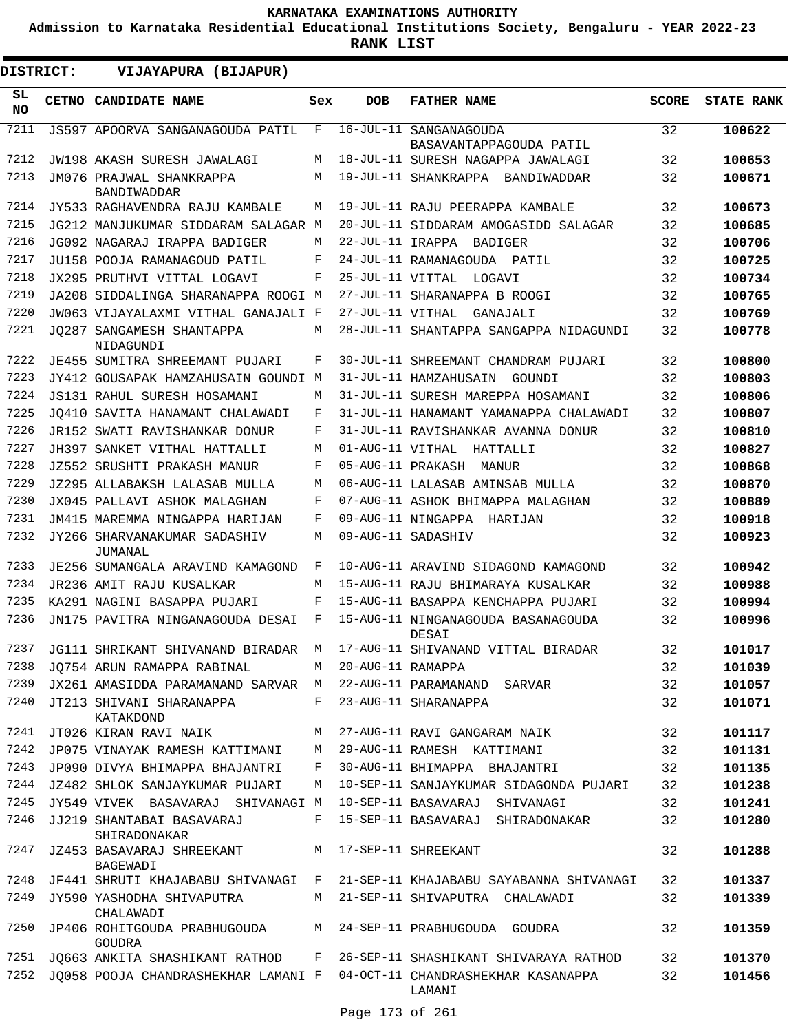**Admission to Karnataka Residential Educational Institutions Society, Bengaluru - YEAR 2022-23**

**RANK LIST**

 $\blacksquare$ 

| DISTRICT:       | VIJAYAPURA (BIJAPUR)                                                       |         |                     |                                                                            |              |                   |
|-----------------|----------------------------------------------------------------------------|---------|---------------------|----------------------------------------------------------------------------|--------------|-------------------|
| SL<br><b>NO</b> | CETNO CANDIDATE NAME                                                       | Sex     | <b>DOB</b>          | <b>FATHER NAME</b>                                                         | <b>SCORE</b> | <b>STATE RANK</b> |
| 7211            | JS597 APOORVA SANGANAGOUDA PATIL                                           | F       |                     | 16-JUL-11 SANGANAGOUDA<br>BASAVANTAPPAGOUDA PATIL                          | 32           | 100622            |
| 7212            | JW198 AKASH SURESH JAWALAGI                                                | M       |                     | 18-JUL-11 SURESH NAGAPPA JAWALAGI                                          | 32           | 100653            |
| 7213            | JM076 PRAJWAL SHANKRAPPA                                                   | M       |                     | 19-JUL-11 SHANKRAPPA BANDIWADDAR                                           | 32           | 100671            |
|                 | BANDIWADDAR                                                                |         |                     |                                                                            |              |                   |
| 7214            | JY533 RAGHAVENDRA RAJU KAMBALE                                             | M       |                     | 19-JUL-11 RAJU PEERAPPA KAMBALE                                            | 32           | 100673            |
| 7215            | JG212 MANJUKUMAR SIDDARAM SALAGAR M                                        |         |                     | 20-JUL-11 SIDDARAM AMOGASIDD SALAGAR                                       | 32           | 100685            |
| 7216            | JG092 NAGARAJ IRAPPA BADIGER                                               | M       |                     | 22-JUL-11 IRAPPA BADIGER                                                   | 32           | 100706            |
| 7217            | JU158 POOJA RAMANAGOUD PATIL                                               | F       |                     | 24-JUL-11 RAMANAGOUDA PATIL                                                | 32           | 100725            |
| 7218            | JX295 PRUTHVI VITTAL LOGAVI                                                | F       |                     | 25-JUL-11 VITTAL LOGAVI                                                    | 32           | 100734            |
| 7219            | JA208 SIDDALINGA SHARANAPPA ROOGI M                                        |         |                     | 27-JUL-11 SHARANAPPA B ROOGI                                               | 32           | 100765            |
| 7220            | JW063 VIJAYALAXMI VITHAL GANAJALI F                                        |         |                     | 27-JUL-11 VITHAL GANAJALI                                                  | 32           | 100769            |
| 7221            | JO287 SANGAMESH SHANTAPPA<br>NIDAGUNDI                                     | М       |                     | 28-JUL-11 SHANTAPPA SANGAPPA NIDAGUNDI                                     | 32           | 100778            |
| 7222            | JE455 SUMITRA SHREEMANT PUJARI                                             | F       |                     | 30-JUL-11 SHREEMANT CHANDRAM PUJARI                                        | 32           | 100800            |
| 7223            | JY412 GOUSAPAK HAMZAHUSAIN GOUNDI M                                        |         |                     | 31-JUL-11 HAMZAHUSAIN<br>GOUNDI                                            | 32           | 100803            |
| 7224            | JS131 RAHUL SURESH HOSAMANI                                                | M       |                     | 31-JUL-11 SURESH MAREPPA HOSAMANI                                          | 32           | 100806            |
| 7225            | JO410 SAVITA HANAMANT CHALAWADI                                            | F       |                     | 31-JUL-11 HANAMANT YAMANAPPA CHALAWADI                                     | 32           | 100807            |
| 7226            | JR152 SWATI RAVISHANKAR DONUR                                              | F       |                     | 31-JUL-11 RAVISHANKAR AVANNA DONUR                                         | 32           | 100810            |
| 7227            | JH397 SANKET VITHAL HATTALLI                                               | M       | 01-AUG-11 VITHAL    | HATTALLI                                                                   | 32           | 100827            |
| 7228            | JZ552 SRUSHTI PRAKASH MANUR                                                | F       | 05-AUG-11 PRAKASH   | MANUR                                                                      | 32           | 100868            |
| 7229            | JZ295 ALLABAKSH LALASAB MULLA                                              | M       |                     | 06-AUG-11 LALASAB AMINSAB MULLA                                            | 32           | 100870            |
| 7230            | JX045 PALLAVI ASHOK MALAGHAN                                               | F       |                     | 07-AUG-11 ASHOK BHIMAPPA MALAGHAN                                          | 32           | 100889            |
| 7231            | JM415 MAREMMA NINGAPPA HARIJAN                                             | F       |                     | 09-AUG-11 NINGAPPA HARIJAN                                                 | 32           | 100918            |
| 7232            | JY266 SHARVANAKUMAR SADASHIV<br>JUMANAL                                    | M       |                     | 09-AUG-11 SADASHIV                                                         | 32           | 100923            |
| 7233            | JE256 SUMANGALA ARAVIND KAMAGOND                                           | F       |                     | 10-AUG-11 ARAVIND SIDAGOND KAMAGOND                                        | 32           | 100942            |
| 7234            | JR236 AMIT RAJU KUSALKAR                                                   | M       |                     | 15-AUG-11 RAJU BHIMARAYA KUSALKAR                                          | 32           | 100988            |
| 7235            | KA291 NAGINI BASAPPA PUJARI                                                | F       |                     | 15-AUG-11 BASAPPA KENCHAPPA PUJARI                                         | 32           | 100994            |
| 7236            | JN175 PAVITRA NINGANAGOUDA DESAI                                           | F       |                     | 15-AUG-11 NINGANAGOUDA BASANAGOUDA<br>DESAI                                | 32           | 100996            |
|                 | 7237 JG111 SHRIKANT SHIVANAND BIRADAR M 17-AUG-11 SHIVANAND VITTAL BIRADAR |         |                     |                                                                            | 32           | 101017            |
| 7238            | JO754 ARUN RAMAPPA RABINAL                                                 |         | M 20-AUG-11 RAMAPPA |                                                                            | 32           | 101039            |
| 7239            | JX261 AMASIDDA PARAMANAND SARVAR M 22-AUG-11 PARAMANAND SARVAR             |         |                     |                                                                            | 32           | 101057            |
| 7240            | JT213 SHIVANI SHARANAPPA<br>KATAKDOND                                      |         |                     | F 23-AUG-11 SHARANAPPA                                                     | 32           | 101071            |
| 7241            | JT026 KIRAN RAVI NAIK                                                      | M       |                     | 27-AUG-11 RAVI GANGARAM NAIK                                               | 32           | 101117            |
| 7242            | JP075 VINAYAK RAMESH KATTIMANI                                             |         |                     | M 29-AUG-11 RAMESH KATTIMANI                                               | 32           | 101131            |
| 7243            | JP090 DIVYA BHIMAPPA BHAJANTRI                                             | $F$ and |                     | 30-AUG-11 BHIMAPPA BHAJANTRI                                               | 32           | 101135            |
| 7244            | JZ482 SHLOK SANJAYKUMAR PUJARI                                             | М       |                     | 10-SEP-11 SANJAYKUMAR SIDAGONDA PUJARI                                     | 32           | 101238            |
| 7245            | JY549 VIVEK BASAVARAJ SHIVANAGI M                                          |         |                     | 10-SEP-11 BASAVARAJ SHIVANAGI                                              | 32           | 101241            |
| 7246            | JJ219 SHANTABAI BASAVARAJ<br>SHIRADONAKAR                                  | F       |                     | 15-SEP-11 BASAVARAJ SHIRADONAKAR                                           | 32           | 101280            |
| 7247            | JZ453 BASAVARAJ SHREEKANT<br>BAGEWADI                                      | M       |                     | 17-SEP-11 SHREEKANT                                                        | 32           | 101288            |
| 7248            |                                                                            |         |                     | JF441 SHRUTI KHAJABABU SHIVANAGI F 21-SEP-11 KHAJABABU SAYABANNA SHIVANAGI | 32           | 101337            |
| 7249            | JY590 YASHODHA SHIVAPUTRA<br>CHALAWADI                                     |         |                     | M 21-SEP-11 SHIVAPUTRA CHALAWADI                                           | 32           | 101339            |
| 7250            | JP406 ROHITGOUDA PRABHUGOUDA<br><b>GOUDRA</b>                              |         |                     | M 24-SEP-11 PRABHUGOUDA GOUDRA                                             | 32           | 101359            |
| 7251            | JQ663 ANKITA SHASHIKANT RATHOD                                             | F       |                     | 26-SEP-11 SHASHIKANT SHIVARAYA RATHOD                                      | 32           | 101370            |
| 7252            | JQ058 POOJA CHANDRASHEKHAR LAMANI F 04-OCT-11 CHANDRASHEKHAR KASANAPPA     |         |                     | LAMANI                                                                     | 32           | 101456            |

Page 173 of 261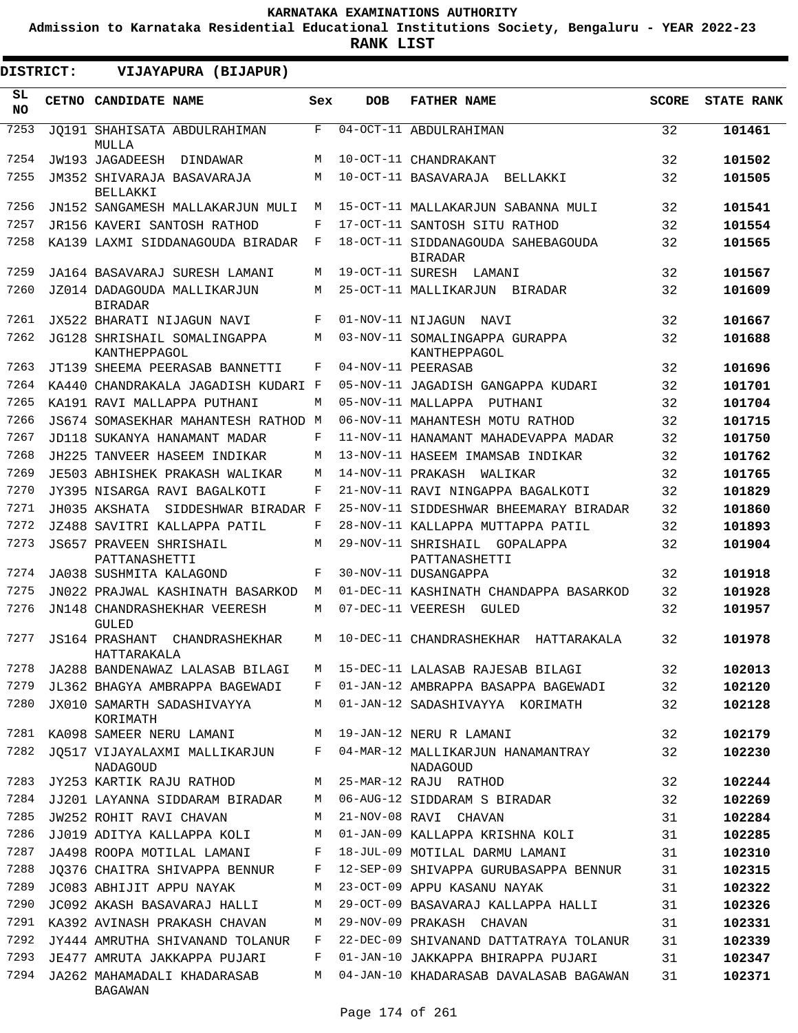**Admission to Karnataka Residential Educational Institutions Society, Bengaluru - YEAR 2022-23**

**RANK LIST**

ı

| DISTRICT:       | VIJAYAPURA (BIJAPUR)                                            |              |                   |                                                                              |              |                   |
|-----------------|-----------------------------------------------------------------|--------------|-------------------|------------------------------------------------------------------------------|--------------|-------------------|
| SL<br><b>NO</b> | <b>CETNO CANDIDATE NAME</b>                                     | Sex          | <b>DOB</b>        | <b>FATHER NAME</b>                                                           | <b>SCORE</b> | <b>STATE RANK</b> |
| 7253            | JO191 SHAHISATA ABDULRAHIMAN<br>MULLA                           | $\mathbf{F}$ |                   | 04-OCT-11 ABDULRAHIMAN                                                       | 32           | 101461            |
| 7254            | JW193 JAGADEESH<br>DINDAWAR                                     | М            |                   | 10-OCT-11 CHANDRAKANT                                                        | 32           | 101502            |
| 7255            | JM352 SHIVARAJA BASAVARAJA<br>BELLAKKI                          | М            |                   | 10-OCT-11 BASAVARAJA<br>BELLAKKI                                             | 32           | 101505            |
| 7256            | JN152 SANGAMESH MALLAKARJUN MULI                                | М            |                   | 15-OCT-11 MALLAKARJUN SABANNA MULI                                           | 32           | 101541            |
| 7257            | JR156 KAVERI SANTOSH RATHOD                                     | F            |                   | 17-OCT-11 SANTOSH SITU RATHOD                                                | 32           | 101554            |
| 7258            | KA139 LAXMI SIDDANAGOUDA BIRADAR                                | F            |                   | 18-OCT-11 SIDDANAGOUDA SAHEBAGOUDA<br><b>BIRADAR</b>                         | 32           | 101565            |
| 7259            | JA164 BASAVARAJ SURESH LAMANI                                   | М            | 19-OCT-11 SURESH  | LAMANI                                                                       | 32           | 101567            |
| 7260            | JZ014 DADAGOUDA MALLIKARJUN<br><b>BIRADAR</b>                   | М            |                   | 25-OCT-11 MALLIKARJUN BIRADAR                                                | 32           | 101609            |
| 7261            | JX522 BHARATI NIJAGUN NAVI                                      | F            | 01-NOV-11 NIJAGUN | NAVI                                                                         | 32           | 101667            |
| 7262            | JG128 SHRISHAIL SOMALINGAPPA<br>KANTHEPPAGOL                    | M            |                   | 03-NOV-11 SOMALINGAPPA GURAPPA<br>KANTHEPPAGOL                               | 32           | 101688            |
| 7263            | JT139 SHEEMA PEERASAB BANNETTI                                  | F            |                   | 04-NOV-11 PEERASAB                                                           | 32           | 101696            |
| 7264            | KA440 CHANDRAKALA JAGADISH KUDARI F                             |              |                   | 05-NOV-11 JAGADISH GANGAPPA KUDARI                                           | 32           | 101701            |
| 7265            | KA191 RAVI MALLAPPA PUTHANI                                     | М            |                   | 05-NOV-11 MALLAPPA<br>PUTHANI                                                | 32           | 101704            |
| 7266            | JS674 SOMASEKHAR MAHANTESH RATHOD M                             |              |                   | 06-NOV-11 MAHANTESH MOTU RATHOD                                              | 32           | 101715            |
| 7267            | JD118 SUKANYA HANAMANT MADAR                                    | F            |                   | 11-NOV-11 HANAMANT MAHADEVAPPA MADAR                                         | 32           | 101750            |
| 7268            | JH225 TANVEER HASEEM INDIKAR                                    | М            |                   | 13-NOV-11 HASEEM IMAMSAB INDIKAR                                             | 32           | 101762            |
| 7269            | JE503 ABHISHEK PRAKASH WALIKAR                                  | М            |                   | 14-NOV-11 PRAKASH<br>WALIKAR                                                 | 32           | 101765            |
| 7270            | JY395 NISARGA RAVI BAGALKOTI                                    | F            |                   | 21-NOV-11 RAVI NINGAPPA BAGALKOTI                                            | 32           | 101829            |
| 7271            | JH035 AKSHATA SIDDESHWAR BIRADAR F                              |              |                   | 25-NOV-11 SIDDESHWAR BHEEMARAY BIRADAR                                       | 32           | 101860            |
| 7272            | JZ488 SAVITRI KALLAPPA PATIL                                    | $_{\rm F}$   |                   | 28-NOV-11 KALLAPPA MUTTAPPA PATIL                                            | 32           | 101893            |
| 7273            | <b>JS657 PRAVEEN SHRISHAIL</b><br>PATTANASHETTI                 | М            |                   | 29-NOV-11 SHRISHAIL<br>GOPALAPPA<br>PATTANASHETTI                            | 32           | 101904            |
| 7274            | JA038 SUSHMITA KALAGOND                                         | F            |                   | 30-NOV-11 DUSANGAPPA                                                         | 32           | 101918            |
| 7275            | JN022 PRAJWAL KASHINATH BASARKOD                                | M            |                   | 01-DEC-11 KASHINATH CHANDAPPA BASARKOD                                       | 32           | 101928            |
| 7276            | JN148 CHANDRASHEKHAR VEERESH<br>GULED                           | М            | 07-DEC-11 VEERESH | GULED                                                                        | 32           | 101957            |
| 7277            | <b>JS164 PRASHANT</b><br>CHANDRASHEKHAR<br>HATTARAKALA          | М            |                   | 10-DEC-11 CHANDRASHEKHAR<br>HATTARAKALA                                      | 32           | 101978            |
| 7278            | JA288 BANDENAWAZ LALASAB BILAGI                                 | M            |                   | 15-DEC-11 LALASAB RAJESAB BILAGI                                             | 32           | 102013            |
| 7279            | JL362 BHAGYA AMBRAPPA BAGEWADI                                  | F            |                   | 01-JAN-12 AMBRAPPA BASAPPA BAGEWADI                                          | 32           | 102120            |
| 7280            | JX010 SAMARTH SADASHIVAYYA<br>KORIMATH                          | М            |                   | 01-JAN-12 SADASHIVAYYA KORIMATH                                              | 32           | 102128            |
| 7281            | KA098 SAMEER NERU LAMANI                                        | М            |                   | 19-JAN-12 NERU R LAMANI                                                      | 32           | 102179            |
| 7282            | JO517 VIJAYALAXMI MALLIKARJUN<br>NADAGOUD                       | F            |                   | 04-MAR-12 MALLIKARJUN HANAMANTRAY<br>NADAGOUD                                | 32           | 102230            |
| 7283            | JY253 KARTIK RAJU RATHOD                                        | М            |                   | 25-MAR-12 RAJU RATHOD                                                        | 32           | 102244            |
| 7284            | JJ201 LAYANNA SIDDARAM BIRADAR                                  | М            |                   | 06-AUG-12 SIDDARAM S BIRADAR                                                 | 32           | 102269            |
| 7285            | JW252 ROHIT RAVI CHAVAN                                         | М            |                   | 21-NOV-08 RAVI CHAVAN                                                        | 31           | 102284            |
| 7286            | JJ019 ADITYA KALLAPPA KOLI                                      | М            |                   | 01-JAN-09 KALLAPPA KRISHNA KOLI                                              | 31           | 102285            |
| 7287            | JA498 ROOPA MOTILAL LAMANI                                      | F            |                   | 18-JUL-09 MOTILAL DARMU LAMANI                                               | 31           | 102310            |
| 7288            | JQ376 CHAITRA SHIVAPPA BENNUR                                   | F            |                   | 12-SEP-09 SHIVAPPA GURUBASAPPA BENNUR                                        | 31           | 102315            |
| 7289            | JC083 ABHIJIT APPU NAYAK                                        | M            |                   | 23-OCT-09 APPU KASANU NAYAK                                                  | 31           | 102322            |
| 7290            | JC092 AKASH BASAVARAJ HALLI                                     | М            |                   | 29-OCT-09 BASAVARAJ KALLAPPA HALLI                                           | 31           | 102326            |
| 7291<br>7292    | KA392 AVINASH PRAKASH CHAVAN                                    | М<br>F       |                   | 29-NOV-09 PRAKASH CHAVAN                                                     | 31           | 102331            |
| 7293            | JY444 AMRUTHA SHIVANAND TOLANUR<br>JE477 AMRUTA JAKKAPPA PUJARI | F            |                   | 22-DEC-09 SHIVANAND DATTATRAYA TOLANUR<br>01-JAN-10 JAKKAPPA BHIRAPPA PUJARI | 31<br>31     | 102339<br>102347  |
| 7294            | JA262 MAHAMADALI KHADARASAB                                     | М            |                   | 04-JAN-10 KHADARASAB DAVALASAB BAGAWAN                                       | 31           | 102371            |
|                 | BAGAWAN                                                         |              |                   |                                                                              |              |                   |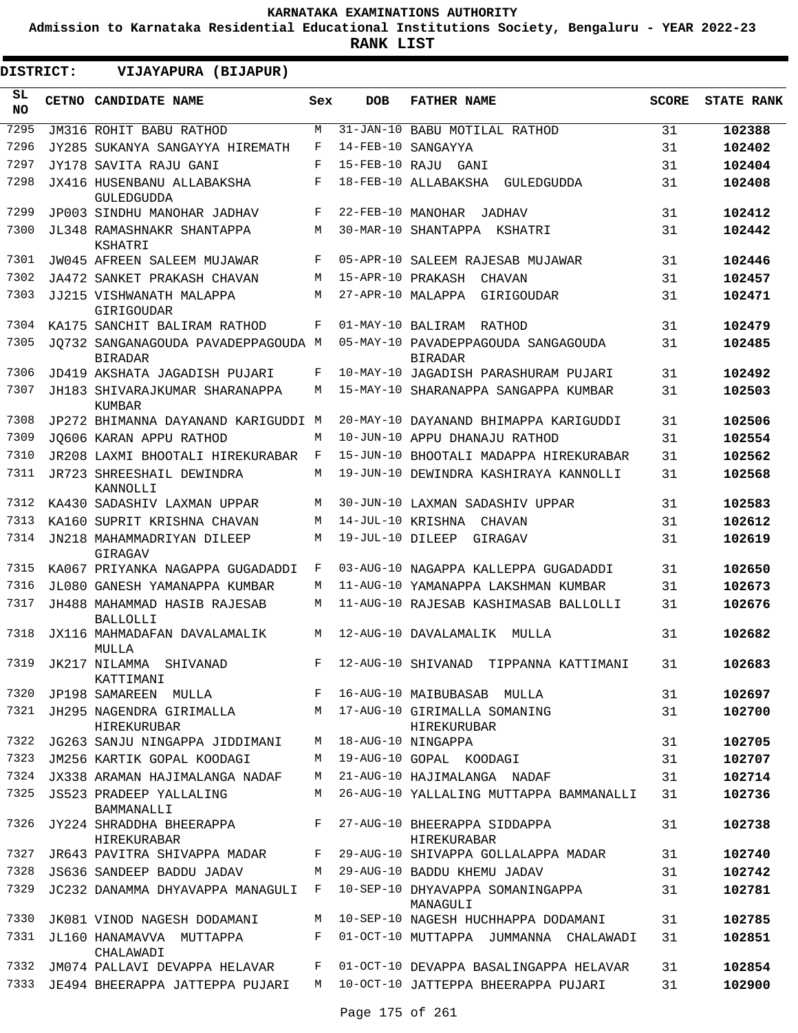**Admission to Karnataka Residential Educational Institutions Society, Bengaluru - YEAR 2022-23**

| DISTRICT:       | VIJAYAPURA (BIJAPUR)                                                   |     |                   |                                                       |              |                   |
|-----------------|------------------------------------------------------------------------|-----|-------------------|-------------------------------------------------------|--------------|-------------------|
| SL<br><b>NO</b> | CETNO CANDIDATE NAME                                                   | Sex | <b>DOB</b>        | <b>FATHER NAME</b>                                    | <b>SCORE</b> | <b>STATE RANK</b> |
| 7295            | JM316 ROHIT BABU RATHOD                                                | М   |                   | 31-JAN-10 BABU MOTILAL RATHOD                         | 31           | 102388            |
| 7296            | JY285 SUKANYA SANGAYYA HIREMATH                                        | F   |                   | 14-FEB-10 SANGAYYA                                    | 31           | 102402            |
| 7297            | JY178 SAVITA RAJU GANI                                                 | F   |                   | 15-FEB-10 RAJU GANI                                   | 31           | 102404            |
| 7298            | JX416 HUSENBANU ALLABAKSHA<br>GULEDGUDDA                               | F   |                   | 18-FEB-10 ALLABAKSHA<br>GULEDGUDDA                    | 31           | 102408            |
| 7299            | JP003 SINDHU MANOHAR JADHAV                                            | F   | 22-FEB-10 MANOHAR | <b>JADHAV</b>                                         | 31           | 102412            |
| 7300            | JL348 RAMASHNAKR SHANTAPPA<br>KSHATRI                                  | M   |                   | 30-MAR-10 SHANTAPPA KSHATRI                           | 31           | 102442            |
| 7301            | JW045 AFREEN SALEEM MUJAWAR                                            | F   |                   | 05-APR-10 SALEEM RAJESAB MUJAWAR                      | 31           | 102446            |
| 7302            | JA472 SANKET PRAKASH CHAVAN                                            | М   | 15-APR-10 PRAKASH | CHAVAN                                                | 31           | 102457            |
| 7303            | JJ215 VISHWANATH MALAPPA<br>GIRIGOUDAR                                 | М   | 27-APR-10 MALAPPA | GIRIGOUDAR                                            | 31           | 102471            |
| 7304            | KA175 SANCHIT BALIRAM RATHOD                                           | F   |                   | 01-MAY-10 BALIRAM RATHOD                              | 31           | 102479            |
| 7305            | JO732 SANGANAGOUDA PAVADEPPAGOUDA M<br><b>BIRADAR</b>                  |     |                   | 05-MAY-10 PAVADEPPAGOUDA SANGAGOUDA<br><b>BIRADAR</b> | 31           | 102485            |
| 7306            | JD419 AKSHATA JAGADISH PUJARI                                          | F   |                   | 10-MAY-10 JAGADISH PARASHURAM PUJARI                  | 31           | 102492            |
| 7307            | JH183 SHIVARAJKUMAR SHARANAPPA<br>KUMBAR                               | М   |                   | 15-MAY-10 SHARANAPPA SANGAPPA KUMBAR                  | 31           | 102503            |
| 7308            | JP272 BHIMANNA DAYANAND KARIGUDDI M                                    |     |                   | 20-MAY-10 DAYANAND BHIMAPPA KARIGUDDI                 | 31           | 102506            |
| 7309            | JO606 KARAN APPU RATHOD                                                | М   |                   | 10-JUN-10 APPU DHANAJU RATHOD                         | 31           | 102554            |
| 7310            | JR208 LAXMI BHOOTALI HIREKURABAR                                       | F   |                   | 15-JUN-10 BHOOTALI MADAPPA HIREKURABAR                | 31           | 102562            |
| 7311            | JR723 SHREESHAIL DEWINDRA<br>KANNOLLI                                  | М   |                   | 19-JUN-10 DEWINDRA KASHIRAYA KANNOLLI                 | 31           | 102568            |
| 7312            | KA430 SADASHIV LAXMAN UPPAR                                            | М   |                   | 30-JUN-10 LAXMAN SADASHIV UPPAR                       | 31           | 102583            |
| 7313            | KA160 SUPRIT KRISHNA CHAVAN                                            | М   |                   | 14-JUL-10 KRISHNA CHAVAN                              | 31           | 102612            |
| 7314            | JN218 MAHAMMADRIYAN DILEEP<br>GIRAGAV                                  | М   | 19-JUL-10 DILEEP  | GIRAGAV                                               | 31           | 102619            |
| 7315            | KA067 PRIYANKA NAGAPPA GUGADADDI                                       | F   |                   | 03-AUG-10 NAGAPPA KALLEPPA GUGADADDI                  | 31           | 102650            |
| 7316            | JL080 GANESH YAMANAPPA KUMBAR                                          | М   |                   | 11-AUG-10 YAMANAPPA LAKSHMAN KUMBAR                   | 31           | 102673            |
| 7317            | JH488 MAHAMMAD HASIB RAJESAB<br><b>BALLOLLI</b>                        | М   |                   | 11-AUG-10 RAJESAB KASHIMASAB BALLOLLI                 | 31           | 102676            |
| 7318            | JX116 MAHMADAFAN DAVALAMALIK<br>MULLA                                  | М   |                   | 12-AUG-10 DAVALAMALIK MULLA                           | 31           | 102682            |
| 7319            | JK217 NILAMMA SHIVANAD<br>KATTIMANI                                    | F   |                   | 12-AUG-10 SHIVANAD TIPPANNA KATTIMANI                 | 31           | 102683            |
| 7320            | JP198 SAMAREEN MULLA                                                   | F   |                   | 16-AUG-10 MAIBUBASAB MULLA                            | 31           | 102697            |
| 7321            | JH295 NAGENDRA GIRIMALLA M 17-AUG-10 GIRIMALLA SOMANING<br>HIREKURUBAR |     |                   | HIREKURUBAR                                           | 31           | 102700            |
| 7322            | JG263 SANJU NINGAPPA JIDDIMANI                                         |     |                   | M 18-AUG-10 NINGAPPA                                  | 31           | 102705            |
| 7323            | JM256 KARTIK GOPAL KOODAGI                                             | M   |                   | 19-AUG-10 GOPAL KOODAGI                               | 31           | 102707            |
|                 | 7324 JX338 ARAMAN HAJIMALANGA NADAF                                    | M   |                   | 21-AUG-10 HAJIMALANGA NADAF                           | 31           | 102714            |
| 7325            | JS523 PRADEEP YALLALING<br>BAMMANALLI                                  | M   |                   | 26-AUG-10 YALLALING MUTTAPPA BAMMANALLI               | 31           | 102736            |
| 7326            | JY224 SHRADDHA BHEERAPPA F 27-AUG-10 BHEERAPPA SIDDAPPA<br>HIREKURABAR |     |                   | HIREKURABAR                                           | 31           | 102738            |
| 7327            | JR643 PAVITRA SHIVAPPA MADAR F                                         |     |                   | 29-AUG-10 SHIVAPPA GOLLALAPPA MADAR                   | 31           | 102740            |
| 7328            | JS636 SANDEEP BADDU JADAV                                              | M   |                   | 29-AUG-10 BADDU KHEMU JADAV                           | 31           | 102742            |
| 7329            | JC232 DANAMMA DHYAVAPPA MANAGULI F                                     |     |                   | 10-SEP-10 DHYAVAPPA SOMANINGAPPA<br>MANAGULI          | 31           | 102781            |
| 7330            | JK081 VINOD NAGESH DODAMANI                                            |     |                   | M 10-SEP-10 NAGESH HUCHHAPPA DODAMANI                 | 31           | 102785            |
| 7331            | JL160 HANAMAVVA MUTTAPPA<br>CHALAWADI                                  |     |                   | F 01-OCT-10 MUTTAPPA JUMMANNA CHALAWADI               | 31           | 102851            |
| 7332            | JM074 PALLAVI DEVAPPA HELAVAR                                          |     |                   | F 01-OCT-10 DEVAPPA BASALINGAPPA HELAVAR              | 31           | 102854            |
| 7333            | JE494 BHEERAPPA JATTEPPA PUJARI                                        |     |                   | M 10-OCT-10 JATTEPPA BHEERAPPA PUJARI                 | 31           | 102900            |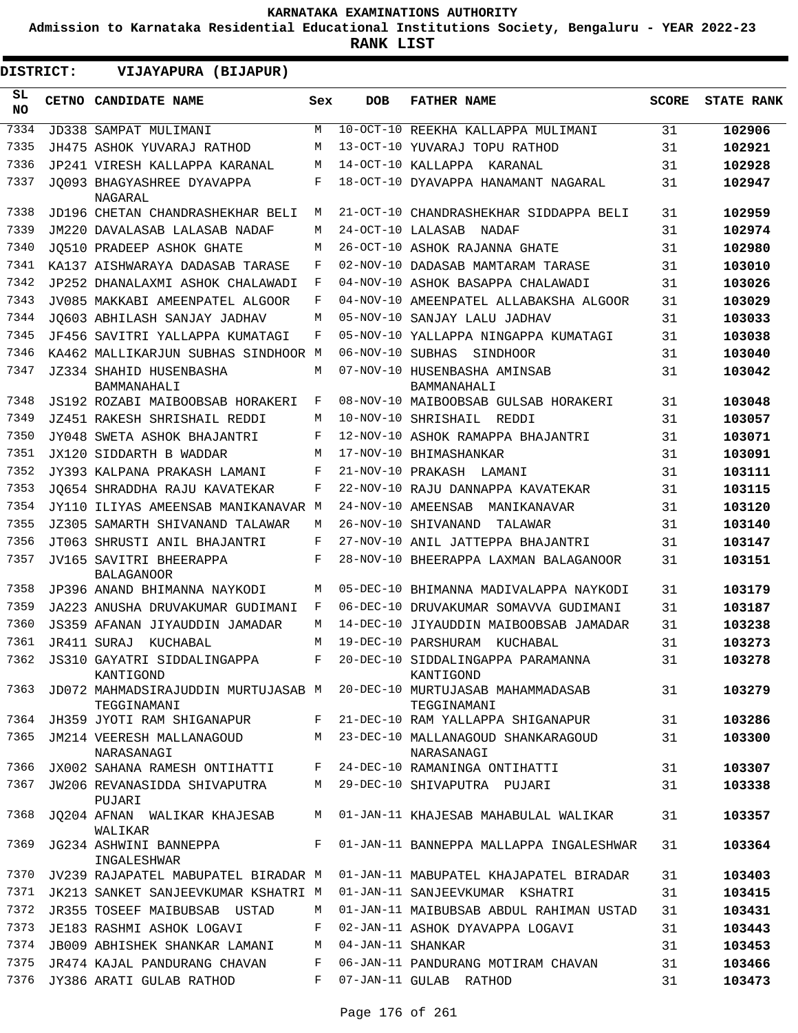**Admission to Karnataka Residential Educational Institutions Society, Bengaluru - YEAR 2022-23**

| SL<br>CETNO CANDIDATE NAME<br><b>DOB</b><br><b>FATHER NAME</b><br><b>SCORE</b><br><b>STATE RANK</b><br>Sex<br><b>NO</b><br>7334<br>10-OCT-10 REEKHA KALLAPPA MULIMANI<br>JD338 SAMPAT MULIMANI<br>M<br>31<br>102906<br>7335<br>JH475 ASHOK YUVARAJ RATHOD<br>13-OCT-10 YUVARAJ TOPU RATHOD<br>31<br>102921<br>M<br>7336<br>14-OCT-10 KALLAPPA KARANAL<br>31<br>102928<br>JP241 VIRESH KALLAPPA KARANAL<br>M<br>7337<br>F<br>18-OCT-10 DYAVAPPA HANAMANT NAGARAL<br>102947<br>JO093 BHAGYASHREE DYAVAPPA<br>31<br>NAGARAL<br>7338<br>JD196 CHETAN CHANDRASHEKHAR BELI<br>21-OCT-10 CHANDRASHEKHAR SIDDAPPA BELI<br>31<br>М<br>102959<br>7339<br>24-OCT-10 LALASAB NADAF<br>31<br>102974<br>JM220 DAVALASAB LALASAB NADAF<br>М<br>7340<br>26-OCT-10 ASHOK RAJANNA GHATE<br>JO510 PRADEEP ASHOK GHATE<br>31<br>102980<br>М<br>7341<br>F<br>02-NOV-10 DADASAB MAMTARAM TARASE<br>31<br>103010<br>KA137 AISHWARAYA DADASAB TARASE<br>7342<br>F<br>04-NOV-10 ASHOK BASAPPA CHALAWADI<br>31<br>103026<br>JP252 DHANALAXMI ASHOK CHALAWADI<br>7343<br>F<br>04-NOV-10 AMEENPATEL ALLABAKSHA ALGOOR<br>103029<br>JV085 MAKKABI AMEENPATEL ALGOOR<br>31<br>7344<br>JO603 ABHILASH SANJAY JADHAV<br>05-NOV-10 SANJAY LALU JADHAV<br>31<br>103033<br>М<br>7345<br>F<br>05-NOV-10 YALLAPPA NINGAPPA KUMATAGI<br>31<br>103038<br>JF456 SAVITRI YALLAPPA KUMATAGI<br>7346<br>06-NOV-10 SUBHAS<br>31<br>103040<br>KA462 MALLIKARJUN SUBHAS SINDHOOR M<br>SINDHOOR<br>7347<br>07-NOV-10 HUSENBASHA AMINSAB<br>31<br>103042<br>JZ334 SHAHID HUSENBASHA<br>М<br>BAMMANAHALI<br>BAMMANAHALI<br>7348<br>31<br>JS192 ROZABI MAIBOOBSAB HORAKERI<br>08-NOV-10 MAIBOOBSAB GULSAB HORAKERI<br>103048<br>F<br>7349<br>31<br>JZ451 RAKESH SHRISHAIL REDDI<br>10-NOV-10 SHRISHAIL<br>103057<br>М<br>REDDI<br>7350<br>JY048 SWETA ASHOK BHAJANTRI<br>31<br>103071<br>F<br>12-NOV-10 ASHOK RAMAPPA BHAJANTRI<br>7351<br>17-NOV-10 BHIMASHANKAR<br>31<br>103091<br>JX120 SIDDARTH B WADDAR<br>М<br>7352<br>31<br>JY393 KALPANA PRAKASH LAMANI<br>F<br>21-NOV-10 PRAKASH LAMANI<br>103111<br>7353<br>31<br>103115<br>JO654 SHRADDHA RAJU KAVATEKAR<br>22-NOV-10 RAJU DANNAPPA KAVATEKAR<br>F<br>7354<br>31<br>103120<br>JY110 ILIYAS AMEENSAB MANIKANAVAR M<br>24-NOV-10 AMEENSAB<br>MANIKANAVAR<br>7355<br>31<br>103140<br>JZ305 SAMARTH SHIVANAND TALAWAR<br>26-NOV-10 SHIVANAND<br>М<br>TALAWAR<br>7356<br>31<br>JT063 SHRUSTI ANIL BHAJANTRI<br>F<br>27-NOV-10 ANIL JATTEPPA BHAJANTRI<br>103147<br>7357<br>JV165 SAVITRI BHEERAPPA<br>F<br>28-NOV-10 BHEERAPPA LAXMAN BALAGANOOR<br>31<br>103151<br><b>BALAGANOOR</b><br>7358<br>05-DEC-10 BHIMANNA MADIVALAPPA NAYKODI<br>103179<br>JP396 ANAND BHIMANNA NAYKODI<br>М<br>31<br>7359<br>F<br>06-DEC-10 DRUVAKUMAR SOMAVVA GUDIMANI<br>103187<br>JA223 ANUSHA DRUVAKUMAR GUDIMANI<br>31<br>7360<br>14-DEC-10 JIYAUDDIN MAIBOOBSAB JAMADAR<br>103238<br>JS359 AFANAN JIYAUDDIN JAMADAR<br>М<br>31<br>7361<br>19-DEC-10 PARSHURAM KUCHABAL<br>JR411 SURAJ<br>KUCHABAL<br>M<br>31<br>103273<br>7362 JS310 GAYATRI SIDDALINGAPPA<br>20-DEC-10 SIDDALINGAPPA PARAMANNA<br>31<br>103278<br>F<br>KANTIGOND<br>KANTIGOND<br>7363<br>20-DEC-10 MURTUJASAB MAHAMMADASAB<br>JD072 MAHMADSIRAJUDDIN MURTUJASAB M<br>31<br>103279<br>TEGGINAMANI<br>TEGGINAMANI<br>7364<br>21-DEC-10 RAM YALLAPPA SHIGANAPUR<br>31<br>103286<br>JH359 JYOTI RAM SHIGANAPUR<br>F<br>7365<br>JM214 VEERESH MALLANAGOUD<br>M 23-DEC-10 MALLANAGOUD SHANKARAGOUD<br>31<br>103300<br>NARASANAGI<br>NARASANAGI<br>7366<br>JX002 SAHANA RAMESH ONTIHATTI F<br>24-DEC-10 RAMANINGA ONTIHATTI<br>31<br>103307<br>7367<br>JW206 REVANASIDDA SHIVAPUTRA<br>M<br>29-DEC-10 SHIVAPUTRA PUJARI<br>31<br>103338<br>PUJARI<br>7368<br>JQ204 AFNAN WALIKAR KHAJESAB<br>M<br>01-JAN-11 KHAJESAB MAHABULAL WALIKAR<br>31<br>103357<br>WALIKAR<br>7369<br>JG234 ASHWINI BANNEPPA<br>$F -$<br>01-JAN-11 BANNEPPA MALLAPPA INGALESHWAR<br>31<br>103364<br>INGALESHWAR<br>7370<br>JV239 RAJAPATEL MABUPATEL BIRADAR M<br>01-JAN-11 MABUPATEL KHAJAPATEL BIRADAR<br>103403<br>31<br>7371<br>JK213 SANKET SANJEEVKUMAR KSHATRI M<br>01-JAN-11 SANJEEVKUMAR KSHATRI<br>31<br>103415<br>7372<br>JR355 TOSEEF MAIBUBSAB USTAD<br>01-JAN-11 MAIBUBSAB ABDUL RAHIMAN USTAD<br>103431<br>31<br>M<br>7373<br>JE183 RASHMI ASHOK LOGAVI<br>02-JAN-11 ASHOK DYAVAPPA LOGAVI<br>31<br>103443<br>F<br>7374<br>JB009 ABHISHEK SHANKAR LAMANI<br>04-JAN-11 SHANKAR<br>103453<br>M<br>31<br>7375<br>JR474 KAJAL PANDURANG CHAVAN<br>06-JAN-11 PANDURANG MOTIRAM CHAVAN<br>31<br>F<br>103466<br>7376<br>JY386 ARATI GULAB RATHOD<br>F<br>07-JAN-11 GULAB RATHOD<br>103473<br>31 | DISTRICT: | VIJAYAPURA (BIJAPUR) |  |  |  |
|-------------------------------------------------------------------------------------------------------------------------------------------------------------------------------------------------------------------------------------------------------------------------------------------------------------------------------------------------------------------------------------------------------------------------------------------------------------------------------------------------------------------------------------------------------------------------------------------------------------------------------------------------------------------------------------------------------------------------------------------------------------------------------------------------------------------------------------------------------------------------------------------------------------------------------------------------------------------------------------------------------------------------------------------------------------------------------------------------------------------------------------------------------------------------------------------------------------------------------------------------------------------------------------------------------------------------------------------------------------------------------------------------------------------------------------------------------------------------------------------------------------------------------------------------------------------------------------------------------------------------------------------------------------------------------------------------------------------------------------------------------------------------------------------------------------------------------------------------------------------------------------------------------------------------------------------------------------------------------------------------------------------------------------------------------------------------------------------------------------------------------------------------------------------------------------------------------------------------------------------------------------------------------------------------------------------------------------------------------------------------------------------------------------------------------------------------------------------------------------------------------------------------------------------------------------------------------------------------------------------------------------------------------------------------------------------------------------------------------------------------------------------------------------------------------------------------------------------------------------------------------------------------------------------------------------------------------------------------------------------------------------------------------------------------------------------------------------------------------------------------------------------------------------------------------------------------------------------------------------------------------------------------------------------------------------------------------------------------------------------------------------------------------------------------------------------------------------------------------------------------------------------------------------------------------------------------------------------------------------------------------------------------------------------------------------------------------------------------------------------------------------------------------------------------------------------------------------------------------------------------------------------------------------------------------------------------------------------------------------------------------------------------------------------------------------------------------------------------------------------------------------------------------------------------------------------------------------------------------------------------------------------------------------------------------------------------------------------------------------------------------------------------------------------------------------------------------------------------------------------------------------------------------------------------------------------------------------------------------------------------------|-----------|----------------------|--|--|--|
|                                                                                                                                                                                                                                                                                                                                                                                                                                                                                                                                                                                                                                                                                                                                                                                                                                                                                                                                                                                                                                                                                                                                                                                                                                                                                                                                                                                                                                                                                                                                                                                                                                                                                                                                                                                                                                                                                                                                                                                                                                                                                                                                                                                                                                                                                                                                                                                                                                                                                                                                                                                                                                                                                                                                                                                                                                                                                                                                                                                                                                                                                                                                                                                                                                                                                                                                                                                                                                                                                                                                                                                                                                                                                                                                                                                                                                                                                                                                                                                                                                                                                                                                                                                                                                                                                                                                                                                                                                                                                                                                                                                                                               |           |                      |  |  |  |
|                                                                                                                                                                                                                                                                                                                                                                                                                                                                                                                                                                                                                                                                                                                                                                                                                                                                                                                                                                                                                                                                                                                                                                                                                                                                                                                                                                                                                                                                                                                                                                                                                                                                                                                                                                                                                                                                                                                                                                                                                                                                                                                                                                                                                                                                                                                                                                                                                                                                                                                                                                                                                                                                                                                                                                                                                                                                                                                                                                                                                                                                                                                                                                                                                                                                                                                                                                                                                                                                                                                                                                                                                                                                                                                                                                                                                                                                                                                                                                                                                                                                                                                                                                                                                                                                                                                                                                                                                                                                                                                                                                                                                               |           |                      |  |  |  |
|                                                                                                                                                                                                                                                                                                                                                                                                                                                                                                                                                                                                                                                                                                                                                                                                                                                                                                                                                                                                                                                                                                                                                                                                                                                                                                                                                                                                                                                                                                                                                                                                                                                                                                                                                                                                                                                                                                                                                                                                                                                                                                                                                                                                                                                                                                                                                                                                                                                                                                                                                                                                                                                                                                                                                                                                                                                                                                                                                                                                                                                                                                                                                                                                                                                                                                                                                                                                                                                                                                                                                                                                                                                                                                                                                                                                                                                                                                                                                                                                                                                                                                                                                                                                                                                                                                                                                                                                                                                                                                                                                                                                                               |           |                      |  |  |  |
|                                                                                                                                                                                                                                                                                                                                                                                                                                                                                                                                                                                                                                                                                                                                                                                                                                                                                                                                                                                                                                                                                                                                                                                                                                                                                                                                                                                                                                                                                                                                                                                                                                                                                                                                                                                                                                                                                                                                                                                                                                                                                                                                                                                                                                                                                                                                                                                                                                                                                                                                                                                                                                                                                                                                                                                                                                                                                                                                                                                                                                                                                                                                                                                                                                                                                                                                                                                                                                                                                                                                                                                                                                                                                                                                                                                                                                                                                                                                                                                                                                                                                                                                                                                                                                                                                                                                                                                                                                                                                                                                                                                                                               |           |                      |  |  |  |
|                                                                                                                                                                                                                                                                                                                                                                                                                                                                                                                                                                                                                                                                                                                                                                                                                                                                                                                                                                                                                                                                                                                                                                                                                                                                                                                                                                                                                                                                                                                                                                                                                                                                                                                                                                                                                                                                                                                                                                                                                                                                                                                                                                                                                                                                                                                                                                                                                                                                                                                                                                                                                                                                                                                                                                                                                                                                                                                                                                                                                                                                                                                                                                                                                                                                                                                                                                                                                                                                                                                                                                                                                                                                                                                                                                                                                                                                                                                                                                                                                                                                                                                                                                                                                                                                                                                                                                                                                                                                                                                                                                                                                               |           |                      |  |  |  |
|                                                                                                                                                                                                                                                                                                                                                                                                                                                                                                                                                                                                                                                                                                                                                                                                                                                                                                                                                                                                                                                                                                                                                                                                                                                                                                                                                                                                                                                                                                                                                                                                                                                                                                                                                                                                                                                                                                                                                                                                                                                                                                                                                                                                                                                                                                                                                                                                                                                                                                                                                                                                                                                                                                                                                                                                                                                                                                                                                                                                                                                                                                                                                                                                                                                                                                                                                                                                                                                                                                                                                                                                                                                                                                                                                                                                                                                                                                                                                                                                                                                                                                                                                                                                                                                                                                                                                                                                                                                                                                                                                                                                                               |           |                      |  |  |  |
|                                                                                                                                                                                                                                                                                                                                                                                                                                                                                                                                                                                                                                                                                                                                                                                                                                                                                                                                                                                                                                                                                                                                                                                                                                                                                                                                                                                                                                                                                                                                                                                                                                                                                                                                                                                                                                                                                                                                                                                                                                                                                                                                                                                                                                                                                                                                                                                                                                                                                                                                                                                                                                                                                                                                                                                                                                                                                                                                                                                                                                                                                                                                                                                                                                                                                                                                                                                                                                                                                                                                                                                                                                                                                                                                                                                                                                                                                                                                                                                                                                                                                                                                                                                                                                                                                                                                                                                                                                                                                                                                                                                                                               |           |                      |  |  |  |
|                                                                                                                                                                                                                                                                                                                                                                                                                                                                                                                                                                                                                                                                                                                                                                                                                                                                                                                                                                                                                                                                                                                                                                                                                                                                                                                                                                                                                                                                                                                                                                                                                                                                                                                                                                                                                                                                                                                                                                                                                                                                                                                                                                                                                                                                                                                                                                                                                                                                                                                                                                                                                                                                                                                                                                                                                                                                                                                                                                                                                                                                                                                                                                                                                                                                                                                                                                                                                                                                                                                                                                                                                                                                                                                                                                                                                                                                                                                                                                                                                                                                                                                                                                                                                                                                                                                                                                                                                                                                                                                                                                                                                               |           |                      |  |  |  |
|                                                                                                                                                                                                                                                                                                                                                                                                                                                                                                                                                                                                                                                                                                                                                                                                                                                                                                                                                                                                                                                                                                                                                                                                                                                                                                                                                                                                                                                                                                                                                                                                                                                                                                                                                                                                                                                                                                                                                                                                                                                                                                                                                                                                                                                                                                                                                                                                                                                                                                                                                                                                                                                                                                                                                                                                                                                                                                                                                                                                                                                                                                                                                                                                                                                                                                                                                                                                                                                                                                                                                                                                                                                                                                                                                                                                                                                                                                                                                                                                                                                                                                                                                                                                                                                                                                                                                                                                                                                                                                                                                                                                                               |           |                      |  |  |  |
|                                                                                                                                                                                                                                                                                                                                                                                                                                                                                                                                                                                                                                                                                                                                                                                                                                                                                                                                                                                                                                                                                                                                                                                                                                                                                                                                                                                                                                                                                                                                                                                                                                                                                                                                                                                                                                                                                                                                                                                                                                                                                                                                                                                                                                                                                                                                                                                                                                                                                                                                                                                                                                                                                                                                                                                                                                                                                                                                                                                                                                                                                                                                                                                                                                                                                                                                                                                                                                                                                                                                                                                                                                                                                                                                                                                                                                                                                                                                                                                                                                                                                                                                                                                                                                                                                                                                                                                                                                                                                                                                                                                                                               |           |                      |  |  |  |
|                                                                                                                                                                                                                                                                                                                                                                                                                                                                                                                                                                                                                                                                                                                                                                                                                                                                                                                                                                                                                                                                                                                                                                                                                                                                                                                                                                                                                                                                                                                                                                                                                                                                                                                                                                                                                                                                                                                                                                                                                                                                                                                                                                                                                                                                                                                                                                                                                                                                                                                                                                                                                                                                                                                                                                                                                                                                                                                                                                                                                                                                                                                                                                                                                                                                                                                                                                                                                                                                                                                                                                                                                                                                                                                                                                                                                                                                                                                                                                                                                                                                                                                                                                                                                                                                                                                                                                                                                                                                                                                                                                                                                               |           |                      |  |  |  |
|                                                                                                                                                                                                                                                                                                                                                                                                                                                                                                                                                                                                                                                                                                                                                                                                                                                                                                                                                                                                                                                                                                                                                                                                                                                                                                                                                                                                                                                                                                                                                                                                                                                                                                                                                                                                                                                                                                                                                                                                                                                                                                                                                                                                                                                                                                                                                                                                                                                                                                                                                                                                                                                                                                                                                                                                                                                                                                                                                                                                                                                                                                                                                                                                                                                                                                                                                                                                                                                                                                                                                                                                                                                                                                                                                                                                                                                                                                                                                                                                                                                                                                                                                                                                                                                                                                                                                                                                                                                                                                                                                                                                                               |           |                      |  |  |  |
|                                                                                                                                                                                                                                                                                                                                                                                                                                                                                                                                                                                                                                                                                                                                                                                                                                                                                                                                                                                                                                                                                                                                                                                                                                                                                                                                                                                                                                                                                                                                                                                                                                                                                                                                                                                                                                                                                                                                                                                                                                                                                                                                                                                                                                                                                                                                                                                                                                                                                                                                                                                                                                                                                                                                                                                                                                                                                                                                                                                                                                                                                                                                                                                                                                                                                                                                                                                                                                                                                                                                                                                                                                                                                                                                                                                                                                                                                                                                                                                                                                                                                                                                                                                                                                                                                                                                                                                                                                                                                                                                                                                                                               |           |                      |  |  |  |
|                                                                                                                                                                                                                                                                                                                                                                                                                                                                                                                                                                                                                                                                                                                                                                                                                                                                                                                                                                                                                                                                                                                                                                                                                                                                                                                                                                                                                                                                                                                                                                                                                                                                                                                                                                                                                                                                                                                                                                                                                                                                                                                                                                                                                                                                                                                                                                                                                                                                                                                                                                                                                                                                                                                                                                                                                                                                                                                                                                                                                                                                                                                                                                                                                                                                                                                                                                                                                                                                                                                                                                                                                                                                                                                                                                                                                                                                                                                                                                                                                                                                                                                                                                                                                                                                                                                                                                                                                                                                                                                                                                                                                               |           |                      |  |  |  |
|                                                                                                                                                                                                                                                                                                                                                                                                                                                                                                                                                                                                                                                                                                                                                                                                                                                                                                                                                                                                                                                                                                                                                                                                                                                                                                                                                                                                                                                                                                                                                                                                                                                                                                                                                                                                                                                                                                                                                                                                                                                                                                                                                                                                                                                                                                                                                                                                                                                                                                                                                                                                                                                                                                                                                                                                                                                                                                                                                                                                                                                                                                                                                                                                                                                                                                                                                                                                                                                                                                                                                                                                                                                                                                                                                                                                                                                                                                                                                                                                                                                                                                                                                                                                                                                                                                                                                                                                                                                                                                                                                                                                                               |           |                      |  |  |  |
|                                                                                                                                                                                                                                                                                                                                                                                                                                                                                                                                                                                                                                                                                                                                                                                                                                                                                                                                                                                                                                                                                                                                                                                                                                                                                                                                                                                                                                                                                                                                                                                                                                                                                                                                                                                                                                                                                                                                                                                                                                                                                                                                                                                                                                                                                                                                                                                                                                                                                                                                                                                                                                                                                                                                                                                                                                                                                                                                                                                                                                                                                                                                                                                                                                                                                                                                                                                                                                                                                                                                                                                                                                                                                                                                                                                                                                                                                                                                                                                                                                                                                                                                                                                                                                                                                                                                                                                                                                                                                                                                                                                                                               |           |                      |  |  |  |
|                                                                                                                                                                                                                                                                                                                                                                                                                                                                                                                                                                                                                                                                                                                                                                                                                                                                                                                                                                                                                                                                                                                                                                                                                                                                                                                                                                                                                                                                                                                                                                                                                                                                                                                                                                                                                                                                                                                                                                                                                                                                                                                                                                                                                                                                                                                                                                                                                                                                                                                                                                                                                                                                                                                                                                                                                                                                                                                                                                                                                                                                                                                                                                                                                                                                                                                                                                                                                                                                                                                                                                                                                                                                                                                                                                                                                                                                                                                                                                                                                                                                                                                                                                                                                                                                                                                                                                                                                                                                                                                                                                                                                               |           |                      |  |  |  |
|                                                                                                                                                                                                                                                                                                                                                                                                                                                                                                                                                                                                                                                                                                                                                                                                                                                                                                                                                                                                                                                                                                                                                                                                                                                                                                                                                                                                                                                                                                                                                                                                                                                                                                                                                                                                                                                                                                                                                                                                                                                                                                                                                                                                                                                                                                                                                                                                                                                                                                                                                                                                                                                                                                                                                                                                                                                                                                                                                                                                                                                                                                                                                                                                                                                                                                                                                                                                                                                                                                                                                                                                                                                                                                                                                                                                                                                                                                                                                                                                                                                                                                                                                                                                                                                                                                                                                                                                                                                                                                                                                                                                                               |           |                      |  |  |  |
|                                                                                                                                                                                                                                                                                                                                                                                                                                                                                                                                                                                                                                                                                                                                                                                                                                                                                                                                                                                                                                                                                                                                                                                                                                                                                                                                                                                                                                                                                                                                                                                                                                                                                                                                                                                                                                                                                                                                                                                                                                                                                                                                                                                                                                                                                                                                                                                                                                                                                                                                                                                                                                                                                                                                                                                                                                                                                                                                                                                                                                                                                                                                                                                                                                                                                                                                                                                                                                                                                                                                                                                                                                                                                                                                                                                                                                                                                                                                                                                                                                                                                                                                                                                                                                                                                                                                                                                                                                                                                                                                                                                                                               |           |                      |  |  |  |
|                                                                                                                                                                                                                                                                                                                                                                                                                                                                                                                                                                                                                                                                                                                                                                                                                                                                                                                                                                                                                                                                                                                                                                                                                                                                                                                                                                                                                                                                                                                                                                                                                                                                                                                                                                                                                                                                                                                                                                                                                                                                                                                                                                                                                                                                                                                                                                                                                                                                                                                                                                                                                                                                                                                                                                                                                                                                                                                                                                                                                                                                                                                                                                                                                                                                                                                                                                                                                                                                                                                                                                                                                                                                                                                                                                                                                                                                                                                                                                                                                                                                                                                                                                                                                                                                                                                                                                                                                                                                                                                                                                                                                               |           |                      |  |  |  |
|                                                                                                                                                                                                                                                                                                                                                                                                                                                                                                                                                                                                                                                                                                                                                                                                                                                                                                                                                                                                                                                                                                                                                                                                                                                                                                                                                                                                                                                                                                                                                                                                                                                                                                                                                                                                                                                                                                                                                                                                                                                                                                                                                                                                                                                                                                                                                                                                                                                                                                                                                                                                                                                                                                                                                                                                                                                                                                                                                                                                                                                                                                                                                                                                                                                                                                                                                                                                                                                                                                                                                                                                                                                                                                                                                                                                                                                                                                                                                                                                                                                                                                                                                                                                                                                                                                                                                                                                                                                                                                                                                                                                                               |           |                      |  |  |  |
|                                                                                                                                                                                                                                                                                                                                                                                                                                                                                                                                                                                                                                                                                                                                                                                                                                                                                                                                                                                                                                                                                                                                                                                                                                                                                                                                                                                                                                                                                                                                                                                                                                                                                                                                                                                                                                                                                                                                                                                                                                                                                                                                                                                                                                                                                                                                                                                                                                                                                                                                                                                                                                                                                                                                                                                                                                                                                                                                                                                                                                                                                                                                                                                                                                                                                                                                                                                                                                                                                                                                                                                                                                                                                                                                                                                                                                                                                                                                                                                                                                                                                                                                                                                                                                                                                                                                                                                                                                                                                                                                                                                                                               |           |                      |  |  |  |
|                                                                                                                                                                                                                                                                                                                                                                                                                                                                                                                                                                                                                                                                                                                                                                                                                                                                                                                                                                                                                                                                                                                                                                                                                                                                                                                                                                                                                                                                                                                                                                                                                                                                                                                                                                                                                                                                                                                                                                                                                                                                                                                                                                                                                                                                                                                                                                                                                                                                                                                                                                                                                                                                                                                                                                                                                                                                                                                                                                                                                                                                                                                                                                                                                                                                                                                                                                                                                                                                                                                                                                                                                                                                                                                                                                                                                                                                                                                                                                                                                                                                                                                                                                                                                                                                                                                                                                                                                                                                                                                                                                                                                               |           |                      |  |  |  |
|                                                                                                                                                                                                                                                                                                                                                                                                                                                                                                                                                                                                                                                                                                                                                                                                                                                                                                                                                                                                                                                                                                                                                                                                                                                                                                                                                                                                                                                                                                                                                                                                                                                                                                                                                                                                                                                                                                                                                                                                                                                                                                                                                                                                                                                                                                                                                                                                                                                                                                                                                                                                                                                                                                                                                                                                                                                                                                                                                                                                                                                                                                                                                                                                                                                                                                                                                                                                                                                                                                                                                                                                                                                                                                                                                                                                                                                                                                                                                                                                                                                                                                                                                                                                                                                                                                                                                                                                                                                                                                                                                                                                                               |           |                      |  |  |  |
|                                                                                                                                                                                                                                                                                                                                                                                                                                                                                                                                                                                                                                                                                                                                                                                                                                                                                                                                                                                                                                                                                                                                                                                                                                                                                                                                                                                                                                                                                                                                                                                                                                                                                                                                                                                                                                                                                                                                                                                                                                                                                                                                                                                                                                                                                                                                                                                                                                                                                                                                                                                                                                                                                                                                                                                                                                                                                                                                                                                                                                                                                                                                                                                                                                                                                                                                                                                                                                                                                                                                                                                                                                                                                                                                                                                                                                                                                                                                                                                                                                                                                                                                                                                                                                                                                                                                                                                                                                                                                                                                                                                                                               |           |                      |  |  |  |
|                                                                                                                                                                                                                                                                                                                                                                                                                                                                                                                                                                                                                                                                                                                                                                                                                                                                                                                                                                                                                                                                                                                                                                                                                                                                                                                                                                                                                                                                                                                                                                                                                                                                                                                                                                                                                                                                                                                                                                                                                                                                                                                                                                                                                                                                                                                                                                                                                                                                                                                                                                                                                                                                                                                                                                                                                                                                                                                                                                                                                                                                                                                                                                                                                                                                                                                                                                                                                                                                                                                                                                                                                                                                                                                                                                                                                                                                                                                                                                                                                                                                                                                                                                                                                                                                                                                                                                                                                                                                                                                                                                                                                               |           |                      |  |  |  |
|                                                                                                                                                                                                                                                                                                                                                                                                                                                                                                                                                                                                                                                                                                                                                                                                                                                                                                                                                                                                                                                                                                                                                                                                                                                                                                                                                                                                                                                                                                                                                                                                                                                                                                                                                                                                                                                                                                                                                                                                                                                                                                                                                                                                                                                                                                                                                                                                                                                                                                                                                                                                                                                                                                                                                                                                                                                                                                                                                                                                                                                                                                                                                                                                                                                                                                                                                                                                                                                                                                                                                                                                                                                                                                                                                                                                                                                                                                                                                                                                                                                                                                                                                                                                                                                                                                                                                                                                                                                                                                                                                                                                                               |           |                      |  |  |  |
|                                                                                                                                                                                                                                                                                                                                                                                                                                                                                                                                                                                                                                                                                                                                                                                                                                                                                                                                                                                                                                                                                                                                                                                                                                                                                                                                                                                                                                                                                                                                                                                                                                                                                                                                                                                                                                                                                                                                                                                                                                                                                                                                                                                                                                                                                                                                                                                                                                                                                                                                                                                                                                                                                                                                                                                                                                                                                                                                                                                                                                                                                                                                                                                                                                                                                                                                                                                                                                                                                                                                                                                                                                                                                                                                                                                                                                                                                                                                                                                                                                                                                                                                                                                                                                                                                                                                                                                                                                                                                                                                                                                                                               |           |                      |  |  |  |
|                                                                                                                                                                                                                                                                                                                                                                                                                                                                                                                                                                                                                                                                                                                                                                                                                                                                                                                                                                                                                                                                                                                                                                                                                                                                                                                                                                                                                                                                                                                                                                                                                                                                                                                                                                                                                                                                                                                                                                                                                                                                                                                                                                                                                                                                                                                                                                                                                                                                                                                                                                                                                                                                                                                                                                                                                                                                                                                                                                                                                                                                                                                                                                                                                                                                                                                                                                                                                                                                                                                                                                                                                                                                                                                                                                                                                                                                                                                                                                                                                                                                                                                                                                                                                                                                                                                                                                                                                                                                                                                                                                                                                               |           |                      |  |  |  |
|                                                                                                                                                                                                                                                                                                                                                                                                                                                                                                                                                                                                                                                                                                                                                                                                                                                                                                                                                                                                                                                                                                                                                                                                                                                                                                                                                                                                                                                                                                                                                                                                                                                                                                                                                                                                                                                                                                                                                                                                                                                                                                                                                                                                                                                                                                                                                                                                                                                                                                                                                                                                                                                                                                                                                                                                                                                                                                                                                                                                                                                                                                                                                                                                                                                                                                                                                                                                                                                                                                                                                                                                                                                                                                                                                                                                                                                                                                                                                                                                                                                                                                                                                                                                                                                                                                                                                                                                                                                                                                                                                                                                                               |           |                      |  |  |  |
|                                                                                                                                                                                                                                                                                                                                                                                                                                                                                                                                                                                                                                                                                                                                                                                                                                                                                                                                                                                                                                                                                                                                                                                                                                                                                                                                                                                                                                                                                                                                                                                                                                                                                                                                                                                                                                                                                                                                                                                                                                                                                                                                                                                                                                                                                                                                                                                                                                                                                                                                                                                                                                                                                                                                                                                                                                                                                                                                                                                                                                                                                                                                                                                                                                                                                                                                                                                                                                                                                                                                                                                                                                                                                                                                                                                                                                                                                                                                                                                                                                                                                                                                                                                                                                                                                                                                                                                                                                                                                                                                                                                                                               |           |                      |  |  |  |
|                                                                                                                                                                                                                                                                                                                                                                                                                                                                                                                                                                                                                                                                                                                                                                                                                                                                                                                                                                                                                                                                                                                                                                                                                                                                                                                                                                                                                                                                                                                                                                                                                                                                                                                                                                                                                                                                                                                                                                                                                                                                                                                                                                                                                                                                                                                                                                                                                                                                                                                                                                                                                                                                                                                                                                                                                                                                                                                                                                                                                                                                                                                                                                                                                                                                                                                                                                                                                                                                                                                                                                                                                                                                                                                                                                                                                                                                                                                                                                                                                                                                                                                                                                                                                                                                                                                                                                                                                                                                                                                                                                                                                               |           |                      |  |  |  |
|                                                                                                                                                                                                                                                                                                                                                                                                                                                                                                                                                                                                                                                                                                                                                                                                                                                                                                                                                                                                                                                                                                                                                                                                                                                                                                                                                                                                                                                                                                                                                                                                                                                                                                                                                                                                                                                                                                                                                                                                                                                                                                                                                                                                                                                                                                                                                                                                                                                                                                                                                                                                                                                                                                                                                                                                                                                                                                                                                                                                                                                                                                                                                                                                                                                                                                                                                                                                                                                                                                                                                                                                                                                                                                                                                                                                                                                                                                                                                                                                                                                                                                                                                                                                                                                                                                                                                                                                                                                                                                                                                                                                                               |           |                      |  |  |  |
|                                                                                                                                                                                                                                                                                                                                                                                                                                                                                                                                                                                                                                                                                                                                                                                                                                                                                                                                                                                                                                                                                                                                                                                                                                                                                                                                                                                                                                                                                                                                                                                                                                                                                                                                                                                                                                                                                                                                                                                                                                                                                                                                                                                                                                                                                                                                                                                                                                                                                                                                                                                                                                                                                                                                                                                                                                                                                                                                                                                                                                                                                                                                                                                                                                                                                                                                                                                                                                                                                                                                                                                                                                                                                                                                                                                                                                                                                                                                                                                                                                                                                                                                                                                                                                                                                                                                                                                                                                                                                                                                                                                                                               |           |                      |  |  |  |
|                                                                                                                                                                                                                                                                                                                                                                                                                                                                                                                                                                                                                                                                                                                                                                                                                                                                                                                                                                                                                                                                                                                                                                                                                                                                                                                                                                                                                                                                                                                                                                                                                                                                                                                                                                                                                                                                                                                                                                                                                                                                                                                                                                                                                                                                                                                                                                                                                                                                                                                                                                                                                                                                                                                                                                                                                                                                                                                                                                                                                                                                                                                                                                                                                                                                                                                                                                                                                                                                                                                                                                                                                                                                                                                                                                                                                                                                                                                                                                                                                                                                                                                                                                                                                                                                                                                                                                                                                                                                                                                                                                                                                               |           |                      |  |  |  |
|                                                                                                                                                                                                                                                                                                                                                                                                                                                                                                                                                                                                                                                                                                                                                                                                                                                                                                                                                                                                                                                                                                                                                                                                                                                                                                                                                                                                                                                                                                                                                                                                                                                                                                                                                                                                                                                                                                                                                                                                                                                                                                                                                                                                                                                                                                                                                                                                                                                                                                                                                                                                                                                                                                                                                                                                                                                                                                                                                                                                                                                                                                                                                                                                                                                                                                                                                                                                                                                                                                                                                                                                                                                                                                                                                                                                                                                                                                                                                                                                                                                                                                                                                                                                                                                                                                                                                                                                                                                                                                                                                                                                                               |           |                      |  |  |  |
|                                                                                                                                                                                                                                                                                                                                                                                                                                                                                                                                                                                                                                                                                                                                                                                                                                                                                                                                                                                                                                                                                                                                                                                                                                                                                                                                                                                                                                                                                                                                                                                                                                                                                                                                                                                                                                                                                                                                                                                                                                                                                                                                                                                                                                                                                                                                                                                                                                                                                                                                                                                                                                                                                                                                                                                                                                                                                                                                                                                                                                                                                                                                                                                                                                                                                                                                                                                                                                                                                                                                                                                                                                                                                                                                                                                                                                                                                                                                                                                                                                                                                                                                                                                                                                                                                                                                                                                                                                                                                                                                                                                                                               |           |                      |  |  |  |
|                                                                                                                                                                                                                                                                                                                                                                                                                                                                                                                                                                                                                                                                                                                                                                                                                                                                                                                                                                                                                                                                                                                                                                                                                                                                                                                                                                                                                                                                                                                                                                                                                                                                                                                                                                                                                                                                                                                                                                                                                                                                                                                                                                                                                                                                                                                                                                                                                                                                                                                                                                                                                                                                                                                                                                                                                                                                                                                                                                                                                                                                                                                                                                                                                                                                                                                                                                                                                                                                                                                                                                                                                                                                                                                                                                                                                                                                                                                                                                                                                                                                                                                                                                                                                                                                                                                                                                                                                                                                                                                                                                                                                               |           |                      |  |  |  |
|                                                                                                                                                                                                                                                                                                                                                                                                                                                                                                                                                                                                                                                                                                                                                                                                                                                                                                                                                                                                                                                                                                                                                                                                                                                                                                                                                                                                                                                                                                                                                                                                                                                                                                                                                                                                                                                                                                                                                                                                                                                                                                                                                                                                                                                                                                                                                                                                                                                                                                                                                                                                                                                                                                                                                                                                                                                                                                                                                                                                                                                                                                                                                                                                                                                                                                                                                                                                                                                                                                                                                                                                                                                                                                                                                                                                                                                                                                                                                                                                                                                                                                                                                                                                                                                                                                                                                                                                                                                                                                                                                                                                                               |           |                      |  |  |  |
|                                                                                                                                                                                                                                                                                                                                                                                                                                                                                                                                                                                                                                                                                                                                                                                                                                                                                                                                                                                                                                                                                                                                                                                                                                                                                                                                                                                                                                                                                                                                                                                                                                                                                                                                                                                                                                                                                                                                                                                                                                                                                                                                                                                                                                                                                                                                                                                                                                                                                                                                                                                                                                                                                                                                                                                                                                                                                                                                                                                                                                                                                                                                                                                                                                                                                                                                                                                                                                                                                                                                                                                                                                                                                                                                                                                                                                                                                                                                                                                                                                                                                                                                                                                                                                                                                                                                                                                                                                                                                                                                                                                                                               |           |                      |  |  |  |
|                                                                                                                                                                                                                                                                                                                                                                                                                                                                                                                                                                                                                                                                                                                                                                                                                                                                                                                                                                                                                                                                                                                                                                                                                                                                                                                                                                                                                                                                                                                                                                                                                                                                                                                                                                                                                                                                                                                                                                                                                                                                                                                                                                                                                                                                                                                                                                                                                                                                                                                                                                                                                                                                                                                                                                                                                                                                                                                                                                                                                                                                                                                                                                                                                                                                                                                                                                                                                                                                                                                                                                                                                                                                                                                                                                                                                                                                                                                                                                                                                                                                                                                                                                                                                                                                                                                                                                                                                                                                                                                                                                                                                               |           |                      |  |  |  |
|                                                                                                                                                                                                                                                                                                                                                                                                                                                                                                                                                                                                                                                                                                                                                                                                                                                                                                                                                                                                                                                                                                                                                                                                                                                                                                                                                                                                                                                                                                                                                                                                                                                                                                                                                                                                                                                                                                                                                                                                                                                                                                                                                                                                                                                                                                                                                                                                                                                                                                                                                                                                                                                                                                                                                                                                                                                                                                                                                                                                                                                                                                                                                                                                                                                                                                                                                                                                                                                                                                                                                                                                                                                                                                                                                                                                                                                                                                                                                                                                                                                                                                                                                                                                                                                                                                                                                                                                                                                                                                                                                                                                                               |           |                      |  |  |  |
|                                                                                                                                                                                                                                                                                                                                                                                                                                                                                                                                                                                                                                                                                                                                                                                                                                                                                                                                                                                                                                                                                                                                                                                                                                                                                                                                                                                                                                                                                                                                                                                                                                                                                                                                                                                                                                                                                                                                                                                                                                                                                                                                                                                                                                                                                                                                                                                                                                                                                                                                                                                                                                                                                                                                                                                                                                                                                                                                                                                                                                                                                                                                                                                                                                                                                                                                                                                                                                                                                                                                                                                                                                                                                                                                                                                                                                                                                                                                                                                                                                                                                                                                                                                                                                                                                                                                                                                                                                                                                                                                                                                                                               |           |                      |  |  |  |
|                                                                                                                                                                                                                                                                                                                                                                                                                                                                                                                                                                                                                                                                                                                                                                                                                                                                                                                                                                                                                                                                                                                                                                                                                                                                                                                                                                                                                                                                                                                                                                                                                                                                                                                                                                                                                                                                                                                                                                                                                                                                                                                                                                                                                                                                                                                                                                                                                                                                                                                                                                                                                                                                                                                                                                                                                                                                                                                                                                                                                                                                                                                                                                                                                                                                                                                                                                                                                                                                                                                                                                                                                                                                                                                                                                                                                                                                                                                                                                                                                                                                                                                                                                                                                                                                                                                                                                                                                                                                                                                                                                                                                               |           |                      |  |  |  |
|                                                                                                                                                                                                                                                                                                                                                                                                                                                                                                                                                                                                                                                                                                                                                                                                                                                                                                                                                                                                                                                                                                                                                                                                                                                                                                                                                                                                                                                                                                                                                                                                                                                                                                                                                                                                                                                                                                                                                                                                                                                                                                                                                                                                                                                                                                                                                                                                                                                                                                                                                                                                                                                                                                                                                                                                                                                                                                                                                                                                                                                                                                                                                                                                                                                                                                                                                                                                                                                                                                                                                                                                                                                                                                                                                                                                                                                                                                                                                                                                                                                                                                                                                                                                                                                                                                                                                                                                                                                                                                                                                                                                                               |           |                      |  |  |  |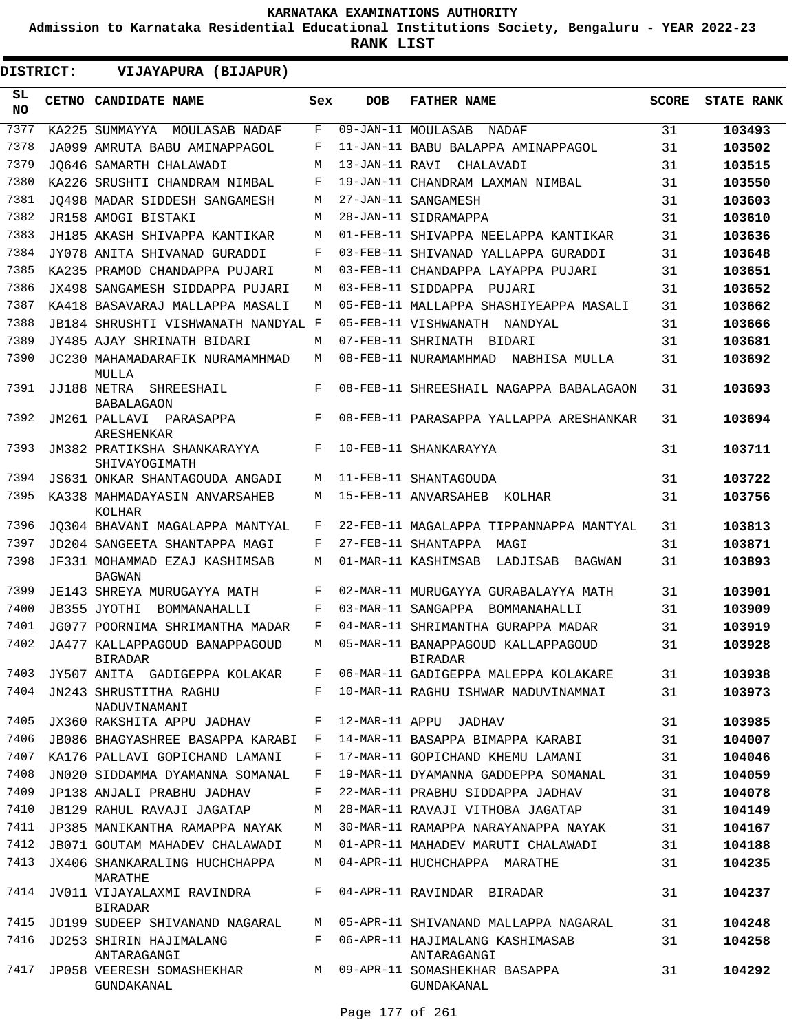**Admission to Karnataka Residential Educational Institutions Society, Bengaluru - YEAR 2022-23**

| DISTRICT:        | VIJAYAPURA (BIJAPUR)                             |     |                |                                                      |              |                   |
|------------------|--------------------------------------------------|-----|----------------|------------------------------------------------------|--------------|-------------------|
| SL.<br><b>NO</b> | CETNO CANDIDATE NAME                             | Sex | <b>DOB</b>     | <b>FATHER NAME</b>                                   | <b>SCORE</b> | <b>STATE RANK</b> |
| 7377             | KA225 SUMMAYYA MOULASAB NADAF                    | F   |                | 09-JAN-11 MOULASAB<br>NADAF                          | 31           | 103493            |
| 7378             | JA099 AMRUTA BABU AMINAPPAGOL                    | F   |                | 11-JAN-11 BABU BALAPPA AMINAPPAGOL                   | 31           | 103502            |
| 7379             | JO646 SAMARTH CHALAWADI                          | M   | 13-JAN-11 RAVI | CHALAVADI                                            | 31           | 103515            |
| 7380             | KA226 SRUSHTI CHANDRAM NIMBAL                    | F   |                | 19-JAN-11 CHANDRAM LAXMAN NIMBAL                     | 31           | 103550            |
| 7381             | JO498 MADAR SIDDESH SANGAMESH                    | M   |                | 27-JAN-11 SANGAMESH                                  | 31           | 103603            |
| 7382             | JR158 AMOGI BISTAKI                              | M   |                | 28-JAN-11 SIDRAMAPPA                                 | 31           | 103610            |
| 7383             | JH185 AKASH SHIVAPPA KANTIKAR                    | M   |                | 01-FEB-11 SHIVAPPA NEELAPPA KANTIKAR                 | 31           | 103636            |
| 7384             | JY078 ANITA SHIVANAD GURADDI                     | F   |                | 03-FEB-11 SHIVANAD YALLAPPA GURADDI                  | 31           | 103648            |
| 7385             | KA235 PRAMOD CHANDAPPA PUJARI                    | М   |                | 03-FEB-11 CHANDAPPA LAYAPPA PUJARI                   | 31           | 103651            |
| 7386             | JX498 SANGAMESH SIDDAPPA PUJARI                  | M   |                | 03-FEB-11 SIDDAPPA<br>PUJARI                         | 31           | 103652            |
| 7387             | KA418 BASAVARAJ MALLAPPA MASALI                  | М   |                | 05-FEB-11 MALLAPPA SHASHIYEAPPA MASALI               | 31           | 103662            |
| 7388             | JB184 SHRUSHTI VISHWANATH NANDYAL F              |     |                | 05-FEB-11 VISHWANATH NANDYAL                         | 31           | 103666            |
| 7389             | JY485 AJAY SHRINATH BIDARI                       | M   |                | 07-FEB-11 SHRINATH BIDARI                            | 31           | 103681            |
| 7390             | JC230 MAHAMADARAFIK NURAMAMHMAD<br>MULLA         | M   |                | 08-FEB-11 NURAMAMHMAD<br>NABHISA MULLA               | 31           | 103692            |
| 7391             | JJ188 NETRA<br>SHREESHAIL<br><b>BABALAGAON</b>   | F   |                | 08-FEB-11 SHREESHAIL NAGAPPA BABALAGAON              | 31           | 103693            |
| 7392             | JM261 PALLAVI<br>PARASAPPA<br><b>ARESHENKAR</b>  | F   |                | 08-FEB-11 PARASAPPA YALLAPPA ARESHANKAR              | 31           | 103694            |
| 7393             | JM382 PRATIKSHA SHANKARAYYA<br>SHIVAYOGIMATH     | F   |                | 10-FEB-11 SHANKARAYYA                                | 31           | 103711            |
| 7394             | JS631 ONKAR SHANTAGOUDA ANGADI                   | М   |                | 11-FEB-11 SHANTAGOUDA                                | 31           | 103722            |
| 7395             | KA338 MAHMADAYASIN ANVARSAHEB<br>KOLHAR          | M   |                | 15-FEB-11 ANVARSAHEB<br>KOLHAR                       | 31           | 103756            |
| 7396             | JQ304 BHAVANI MAGALAPPA MANTYAL                  | F   |                | 22-FEB-11 MAGALAPPA TIPPANNAPPA MANTYAL              | 31           | 103813            |
| 7397             | JD204 SANGEETA SHANTAPPA MAGI                    | F   |                | 27-FEB-11 SHANTAPPA MAGI                             | 31           | 103871            |
| 7398             | JF331 MOHAMMAD EZAJ KASHIMSAB<br><b>BAGWAN</b>   | M   |                | 01-MAR-11 KASHIMSAB<br>LADJISAB<br>BAGWAN            | 31           | 103893            |
| 7399             | JE143 SHREYA MURUGAYYA MATH                      | F   |                | 02-MAR-11 MURUGAYYA GURABALAYYA MATH                 | 31           | 103901            |
| 7400             | JB355 JYOTHI<br>BOMMANAHALLI                     | F   |                | 03-MAR-11 SANGAPPA BOMMANAHALLI                      | 31           | 103909            |
| 7401             | JG077 POORNIMA SHRIMANTHA MADAR                  | F   |                | 04-MAR-11 SHRIMANTHA GURAPPA MADAR                   | 31           | 103919            |
| 7402             | JA477 KALLAPPAGOUD BANAPPAGOUD<br><b>BIRADAR</b> | M   |                | 05-MAR-11 BANAPPAGOUD KALLAPPAGOUD<br><b>BIRADAR</b> | 31           | 103928            |
| 7403             | JY507 ANITA GADIGEPPA KOLAKAR                    | F   |                | 06-MAR-11 GADIGEPPA MALEPPA KOLAKARE                 | 31           | 103938            |
| 7404             | JN243 SHRUSTITHA RAGHU<br>NADUVINAMANI           | F   |                | 10-MAR-11 RAGHU ISHWAR NADUVINAMNAI                  | 31           | 103973            |
| 7405             | JX360 RAKSHITA APPU JADHAV                       | F   |                | 12-MAR-11 APPU JADHAV                                | 31           | 103985            |
| 7406             | JB086 BHAGYASHREE BASAPPA KARABI                 | F   |                | 14-MAR-11 BASAPPA BIMAPPA KARABI                     | 31           | 104007            |
| 7407             | KA176 PALLAVI GOPICHAND LAMANI                   | F   |                | 17-MAR-11 GOPICHAND KHEMU LAMANI                     | 31           | 104046            |
| 7408             | JN020 SIDDAMMA DYAMANNA SOMANAL                  | F   |                | 19-MAR-11 DYAMANNA GADDEPPA SOMANAL                  | 31           | 104059            |
| 7409             | JP138 ANJALI PRABHU JADHAV                       | F   |                | 22-MAR-11 PRABHU SIDDAPPA JADHAV                     | 31           | 104078            |
| 7410             | <b>JB129 RAHUL RAVAJI JAGATAP</b>                | M   |                | 28-MAR-11 RAVAJI VITHOBA JAGATAP                     | 31           | 104149            |
| 7411             | JP385 MANIKANTHA RAMAPPA NAYAK                   | M   |                | 30-MAR-11 RAMAPPA NARAYANAPPA NAYAK                  | 31           | 104167            |
| 7412             | JB071 GOUTAM MAHADEV CHALAWADI                   | M   |                | 01-APR-11 MAHADEV MARUTI CHALAWADI                   | 31           | 104188            |
| 7413             | JX406 SHANKARALING HUCHCHAPPA<br>MARATHE         | M   |                | 04-APR-11 HUCHCHAPPA MARATHE                         | 31           | 104235            |
| 7414             | JV011 VIJAYALAXMI RAVINDRA<br><b>BIRADAR</b>     | F   |                | 04-APR-11 RAVINDAR BIRADAR                           | 31           | 104237            |
| 7415             | JD199 SUDEEP SHIVANAND NAGARAL                   | М   |                | 05-APR-11 SHIVANAND MALLAPPA NAGARAL                 | 31           | 104248            |
| 7416             | JD253 SHIRIN HAJIMALANG<br>ANTARAGANGI           | F   |                | 06-APR-11 HAJIMALANG KASHIMASAB<br>ANTARAGANGI       | 31           | 104258            |
| 7417             | JP058 VEERESH SOMASHEKHAR<br>GUNDAKANAL          | M   |                | 09-APR-11 SOMASHEKHAR BASAPPA<br>GUNDAKANAL          | 31           | 104292            |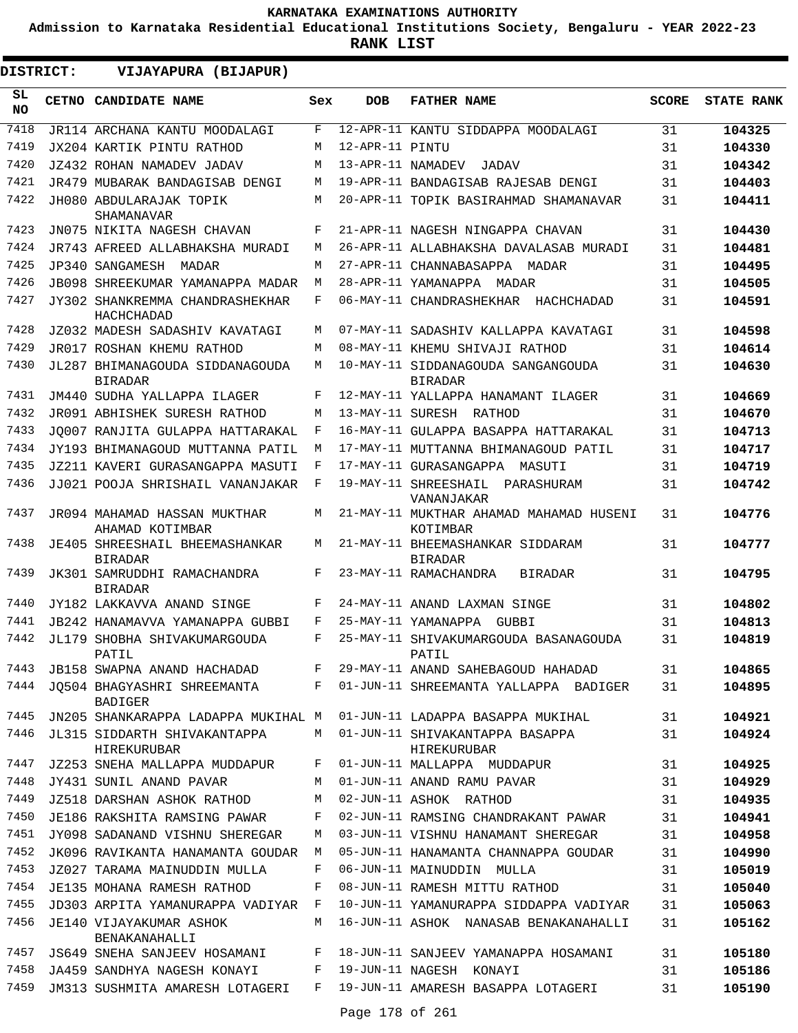**Admission to Karnataka Residential Educational Institutions Society, Bengaluru - YEAR 2022-23**

| DISTRICT:       | VIJAYAPURA (BIJAPUR)                              |     |                   |                                                      |              |                   |
|-----------------|---------------------------------------------------|-----|-------------------|------------------------------------------------------|--------------|-------------------|
| SL<br><b>NO</b> | <b>CETNO CANDIDATE NAME</b>                       | Sex | <b>DOB</b>        | <b>FATHER NAME</b>                                   | <b>SCORE</b> | <b>STATE RANK</b> |
| 7418            | JR114 ARCHANA KANTU MOODALAGI                     | F   |                   | 12-APR-11 KANTU SIDDAPPA MOODALAGI                   | 31           | 104325            |
| 7419            | JX204 KARTIK PINTU RATHOD                         | M   | 12-APR-11 PINTU   |                                                      | 31           | 104330            |
| 7420            | JZ432 ROHAN NAMADEV JADAV                         | M   | 13-APR-11 NAMADEV | JADAV                                                | 31           | 104342            |
| 7421            | JR479 MUBARAK BANDAGISAB DENGI                    | M   |                   | 19-APR-11 BANDAGISAB RAJESAB DENGI                   | 31           | 104403            |
| 7422            | JH080 ABDULARAJAK TOPIK<br><b>SHAMANAVAR</b>      | М   |                   | 20-APR-11 TOPIK BASIRAHMAD SHAMANAVAR                | 31           | 104411            |
| 7423            | JN075 NIKITA NAGESH CHAVAN                        | F   |                   | 21-APR-11 NAGESH NINGAPPA CHAVAN                     | 31           | 104430            |
| 7424            | JR743 AFREED ALLABHAKSHA MURADI                   | M   |                   | 26-APR-11 ALLABHAKSHA DAVALASAB MURADI               | 31           | 104481            |
| 7425            | JP340 SANGAMESH<br>MADAR                          | M   |                   | 27-APR-11 CHANNABASAPPA MADAR                        | 31           | 104495            |
| 7426            | JB098 SHREEKUMAR YAMANAPPA MADAR                  | М   |                   | 28-APR-11 YAMANAPPA MADAR                            | 31           | 104505            |
| 7427            | JY302 SHANKREMMA CHANDRASHEKHAR<br>HACHCHADAD     | F   |                   | 06-MAY-11 CHANDRASHEKHAR HACHCHADAD                  | 31           | 104591            |
| 7428            | JZ032 MADESH SADASHIV KAVATAGI                    | M   |                   | 07-MAY-11 SADASHIV KALLAPPA KAVATAGI                 | 31           | 104598            |
| 7429            | JR017 ROSHAN KHEMU RATHOD                         | M   |                   | 08-MAY-11 KHEMU SHIVAJI RATHOD                       | 31           | 104614            |
| 7430            | JL287 BHIMANAGOUDA SIDDANAGOUDA<br><b>BIRADAR</b> | M   |                   | 10-MAY-11 SIDDANAGOUDA SANGANGOUDA<br><b>BIRADAR</b> | 31           | 104630            |
| 7431            | JM440 SUDHA YALLAPPA ILAGER                       | F   |                   | 12-MAY-11 YALLAPPA HANAMANT ILAGER                   | 31           | 104669            |
| 7432            | JR091 ABHISHEK SURESH RATHOD                      | M   |                   | 13-MAY-11 SURESH RATHOD                              | 31           | 104670            |
| 7433            | JO007 RANJITA GULAPPA HATTARAKAL                  | F   |                   | 16-MAY-11 GULAPPA BASAPPA HATTARAKAL                 | 31           | 104713            |
| 7434            | JY193 BHIMANAGOUD MUTTANNA PATIL                  | M   |                   | 17-MAY-11 MUTTANNA BHIMANAGOUD PATIL                 | 31           | 104717            |
| 7435            | JZ211 KAVERI GURASANGAPPA MASUTI                  | F   |                   | 17-MAY-11 GURASANGAPPA<br>MASUTI                     | 31           | 104719            |
| 7436            | JJ021 POOJA SHRISHAIL VANANJAKAR                  | F   |                   | 19-MAY-11 SHREESHAIL<br>PARASHURAM<br>VANANJAKAR     | 31           | 104742            |
| 7437            | JR094 MAHAMAD HASSAN MUKTHAR<br>AHAMAD KOTIMBAR   | М   |                   | 21-MAY-11 MUKTHAR AHAMAD MAHAMAD HUSENI<br>KOTIMBAR  | 31           | 104776            |
| 7438            | JE405 SHREESHAIL BHEEMASHANKAR<br><b>BIRADAR</b>  | М   |                   | 21-MAY-11 BHEEMASHANKAR SIDDARAM<br><b>BIRADAR</b>   | 31           | 104777            |
| 7439            | JK301 SAMRUDDHI RAMACHANDRA<br><b>BIRADAR</b>     | F   |                   | 23-MAY-11 RAMACHANDRA<br><b>BIRADAR</b>              | 31           | 104795            |
| 7440            | JY182 LAKKAVVA ANAND SINGE                        | F   |                   | 24-MAY-11 ANAND LAXMAN SINGE                         | 31           | 104802            |
| 7441            | JB242 HANAMAVVA YAMANAPPA GUBBI                   | F   |                   | 25-MAY-11 YAMANAPPA<br>GUBBI                         | 31           | 104813            |
| 7442            | JL179 SHOBHA SHIVAKUMARGOUDA<br>PATIL             | F   |                   | 25-MAY-11 SHIVAKUMARGOUDA BASANAGOUDA<br>PATIL       | 31           | 104819            |
| 7443            | JB158 SWAPNA ANAND HACHADAD                       | F   |                   | 29-MAY-11 ANAND SAHEBAGOUD HAHADAD                   | 31           | 104865            |
| 7444            | JO504 BHAGYASHRI SHREEMANTA<br><b>BADIGER</b>     | F   |                   | 01-JUN-11 SHREEMANTA YALLAPPA BADIGER                | 31           | 104895            |
| 7445            | JN205 SHANKARAPPA LADAPPA MUKIHAL M               |     |                   | 01-JUN-11 LADAPPA BASAPPA MUKIHAL                    | 31           | 104921            |
| 7446            | JL315 SIDDARTH SHIVAKANTAPPA<br>HIREKURUBAR       | М   |                   | 01-JUN-11 SHIVAKANTAPPA BASAPPA<br>HIREKURUBAR       | 31           | 104924            |
| 7447            | JZ253 SNEHA MALLAPPA MUDDAPUR                     | F   |                   | 01-JUN-11 MALLAPPA MUDDAPUR                          | 31           | 104925            |
| 7448            | JY431 SUNIL ANAND PAVAR                           | М   |                   | 01-JUN-11 ANAND RAMU PAVAR                           | 31           | 104929            |
| 7449            | JZ518 DARSHAN ASHOK RATHOD                        | М   |                   | 02-JUN-11 ASHOK RATHOD                               | 31           | 104935            |
| 7450            | JE186 RAKSHITA RAMSING PAWAR                      | F   |                   | 02-JUN-11 RAMSING CHANDRAKANT PAWAR                  | 31           | 104941            |
| 7451            | JY098 SADANAND VISHNU SHEREGAR                    | М   |                   | 03-JUN-11 VISHNU HANAMANT SHEREGAR                   | 31           | 104958            |
| 7452            | JK096 RAVIKANTA HANAMANTA GOUDAR                  | М   |                   | 05-JUN-11 HANAMANTA CHANNAPPA GOUDAR                 | 31           | 104990            |
| 7453            | JZ027 TARAMA MAINUDDIN MULLA                      | F   |                   | 06-JUN-11 MAINUDDIN MULLA                            | 31           | 105019            |
| 7454            | JE135 MOHANA RAMESH RATHOD                        | F   |                   | 08-JUN-11 RAMESH MITTU RATHOD                        | 31           | 105040            |
| 7455            | JD303 ARPITA YAMANURAPPA VADIYAR                  | F   |                   | 10-JUN-11 YAMANURAPPA SIDDAPPA VADIYAR               | 31           | 105063            |
| 7456            | JE140 VIJAYAKUMAR ASHOK<br>BENAKANAHALLI          | М   |                   | 16-JUN-11 ASHOK NANASAB BENAKANAHALLI                | 31           | 105162            |
| 7457            | JS649 SNEHA SANJEEV HOSAMANI                      | F   |                   | 18-JUN-11 SANJEEV YAMANAPPA HOSAMANI                 | 31           | 105180            |
| 7458            | JA459 SANDHYA NAGESH KONAYI                       | F   |                   | 19-JUN-11 NAGESH KONAYI                              | 31           | 105186            |
| 7459            | JM313 SUSHMITA AMARESH LOTAGERI                   | F   |                   | 19-JUN-11 AMARESH BASAPPA LOTAGERI                   | 31           | 105190            |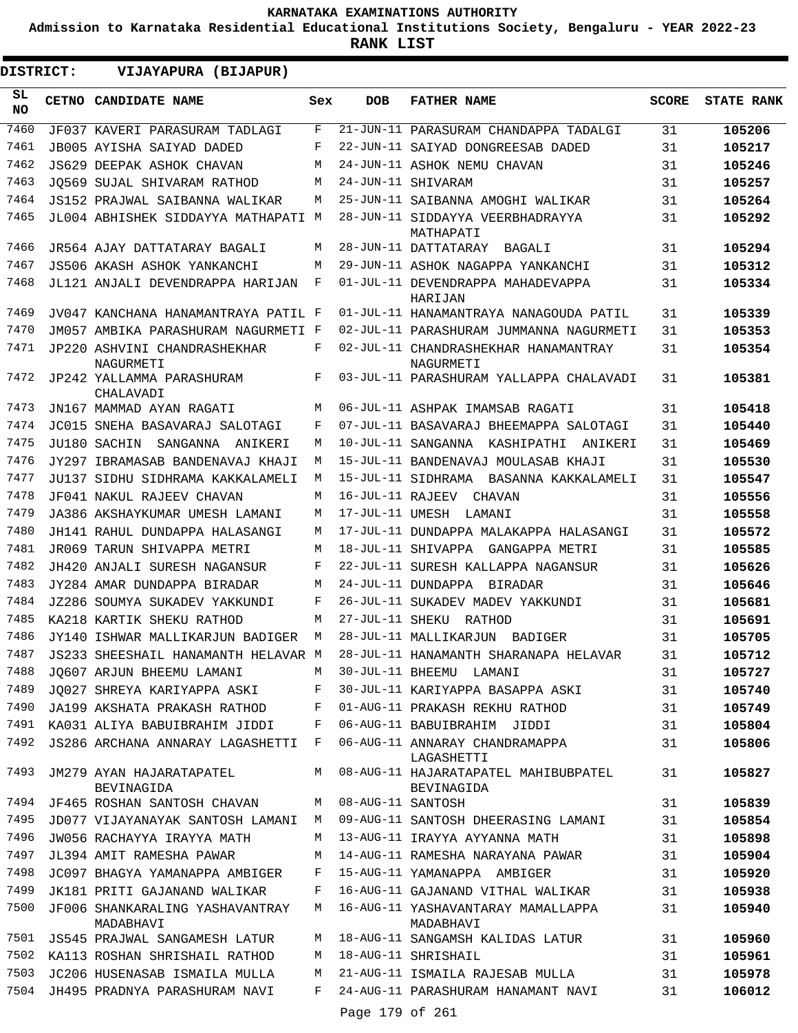**Admission to Karnataka Residential Educational Institutions Society, Bengaluru - YEAR 2022-23**

**RANK LIST**

 $\blacksquare$ 

| DISTRICT:       | VIJAYAPURA (BIJAPUR)                         |     |                   |                                                           |              |                   |
|-----------------|----------------------------------------------|-----|-------------------|-----------------------------------------------------------|--------------|-------------------|
| SL<br><b>NO</b> | <b>CETNO CANDIDATE NAME</b>                  | Sex | <b>DOB</b>        | <b>FATHER NAME</b>                                        | <b>SCORE</b> | <b>STATE RANK</b> |
| 7460            | JF037 KAVERI PARASURAM TADLAGI               | F   |                   | 21-JUN-11 PARASURAM CHANDAPPA TADALGI                     | 31           | 105206            |
| 7461            | JB005 AYISHA SAIYAD DADED                    | F   |                   | 22-JUN-11 SAIYAD DONGREESAB DADED                         | 31           | 105217            |
| 7462            | JS629 DEEPAK ASHOK CHAVAN                    | М   |                   | 24-JUN-11 ASHOK NEMU CHAVAN                               | 31           | 105246            |
| 7463            | JO569 SUJAL SHIVARAM RATHOD                  | M   |                   | 24-JUN-11 SHIVARAM                                        | 31           | 105257            |
| 7464            | JS152 PRAJWAL SAIBANNA WALIKAR               | М   |                   | 25-JUN-11 SAIBANNA AMOGHI WALIKAR                         | 31           | 105264            |
| 7465            | JL004 ABHISHEK SIDDAYYA MATHAPATI M          |     |                   | 28-JUN-11 SIDDAYYA VEERBHADRAYYA<br>MATHAPATI             | 31           | 105292            |
| 7466            | JR564 AJAY DATTATARAY BAGALI                 | М   |                   | 28-JUN-11 DATTATARAY BAGALI                               | 31           | 105294            |
| 7467            | JS506 AKASH ASHOK YANKANCHI                  | М   |                   | 29-JUN-11 ASHOK NAGAPPA YANKANCHI                         | 31           | 105312            |
| 7468            | JL121 ANJALI DEVENDRAPPA HARIJAN             | F   |                   | 01-JUL-11 DEVENDRAPPA MAHADEVAPPA<br>HARIJAN              | 31           | 105334            |
| 7469            | JV047 KANCHANA HANAMANTRAYA PATIL F          |     |                   | 01-JUL-11 HANAMANTRAYA NANAGOUDA PATIL                    | 31           | 105339            |
| 7470            | JM057 AMBIKA PARASHURAM NAGURMETI F          |     |                   | 02-JUL-11 PARASHURAM JUMMANNA NAGURMETI                   | 31           | 105353            |
| 7471            | JP220 ASHVINI CHANDRASHEKHAR<br>NAGURMETI    | F   |                   | 02-JUL-11 CHANDRASHEKHAR HANAMANTRAY<br>NAGURMETI         | 31           | 105354            |
| 7472            | JP242 YALLAMMA PARASHURAM<br>CHALAVADI       | F   |                   | 03-JUL-11 PARASHURAM YALLAPPA CHALAVADI                   | 31           | 105381            |
| 7473            | JN167 MAMMAD AYAN RAGATI                     | М   |                   | 06-JUL-11 ASHPAK IMAMSAB RAGATI                           | 31           | 105418            |
| 7474            | JC015 SNEHA BASAVARAJ SALOTAGI               | F   |                   | 07-JUL-11 BASAVARAJ BHEEMAPPA SALOTAGI                    | 31           | 105440            |
| 7475            | JU180 SACHIN<br>SANGANNA ANIKERI             | М   |                   | 10-JUL-11 SANGANNA KASHIPATHI ANIKERI                     | 31           | 105469            |
| 7476            | JY297 IBRAMASAB BANDENAVAJ KHAJI             | М   |                   | 15-JUL-11 BANDENAVAJ MOULASAB KHAJI                       | 31           | 105530            |
| 7477            | JU137 SIDHU SIDHRAMA KAKKALAMELI             | М   |                   | 15-JUL-11 SIDHRAMA BASANNA KAKKALAMELI                    | 31           | 105547            |
| 7478            | JF041 NAKUL RAJEEV CHAVAN                    | М   | 16-JUL-11 RAJEEV  | CHAVAN                                                    | 31           | 105556            |
| 7479            | JA386 AKSHAYKUMAR UMESH LAMANI               | М   |                   | 17-JUL-11 UMESH LAMANI                                    | 31           | 105558            |
| 7480            | JH141 RAHUL DUNDAPPA HALASANGI               | М   |                   | 17-JUL-11 DUNDAPPA MALAKAPPA HALASANGI                    | 31           | 105572            |
| 7481            | JR069 TARUN SHIVAPPA METRI                   | М   |                   | 18-JUL-11 SHIVAPPA GANGAPPA METRI                         | 31           | 105585            |
| 7482            | JH420 ANJALI SURESH NAGANSUR                 | F   |                   | 22-JUL-11 SURESH KALLAPPA NAGANSUR                        | 31           | 105626            |
| 7483            | JY284 AMAR DUNDAPPA BIRADAR                  | М   |                   | 24-JUL-11 DUNDAPPA BIRADAR                                | 31           | 105646            |
| 7484            | JZ286 SOUMYA SUKADEV YAKKUNDI                | F   |                   | 26-JUL-11 SUKADEV MADEV YAKKUNDI                          | 31           | 105681            |
| 7485            | KA218 KARTIK SHEKU RATHOD                    | М   | 27-JUL-11 SHEKU   | RATHOD                                                    | 31           | 105691            |
| 7486            | JY140 ISHWAR MALLIKARJUN BADIGER             | M   |                   | 28-JUL-11 MALLIKARJUN<br>BADIGER                          | 31           | 105705            |
| 7487            | JS233 SHEESHAIL HANAMANTH HELAVAR M          |     |                   | 28-JUL-11 HANAMANTH SHARANAPA HELAVAR                     | 31           | 105712            |
| 7488            | JQ607 ARJUN BHEEMU LAMANI                    | M   |                   | 30-JUL-11 BHEEMU LAMANI                                   | 31           | 105727            |
| 7489            | JO027 SHREYA KARIYAPPA ASKI                  | F   |                   | 30-JUL-11 KARIYAPPA BASAPPA ASKI                          | 31           | 105740            |
| 7490            | JA199 AKSHATA PRAKASH RATHOD                 | F   |                   | 01-AUG-11 PRAKASH REKHU RATHOD                            | 31           | 105749            |
| 7491            | KA031 ALIYA BABUIBRAHIM JIDDI                | F   |                   | 06-AUG-11 BABUIBRAHIM JIDDI                               | 31           | 105804            |
| 7492            | JS286 ARCHANA ANNARAY LAGASHETTI             | F   |                   | 06-AUG-11 ANNARAY CHANDRAMAPPA<br>LAGASHETTI              | 31           | 105806            |
| 7493            | JM279 AYAN HAJARATAPATEL<br>BEVINAGIDA       | М   |                   | 08-AUG-11 HAJARATAPATEL MAHIBUBPATEL<br><b>BEVINAGIDA</b> | 31           | 105827            |
| 7494            | JF465 ROSHAN SANTOSH CHAVAN                  | М   | 08-AUG-11 SANTOSH |                                                           | 31           | 105839            |
| 7495            | JD077 VIJAYANAYAK SANTOSH LAMANI             | М   |                   | 09-AUG-11 SANTOSH DHEERASING LAMANI                       | 31           | 105854            |
| 7496            | JW056 RACHAYYA IRAYYA MATH                   | М   |                   | 13-AUG-11 IRAYYA AYYANNA MATH                             | 31           | 105898            |
| 7497            | JL394 AMIT RAMESHA PAWAR                     | М   |                   | 14-AUG-11 RAMESHA NARAYANA PAWAR                          | 31           | 105904            |
| 7498            | JC097 BHAGYA YAMANAPPA AMBIGER               | F   |                   | 15-AUG-11 YAMANAPPA AMBIGER                               | 31           | 105920            |
| 7499            | JK181 PRITI GAJANAND WALIKAR                 | F   |                   | 16-AUG-11 GAJANAND VITHAL WALIKAR                         | 31           | 105938            |
| 7500            | JF006 SHANKARALING YASHAVANTRAY<br>MADABHAVI | М   |                   | 16-AUG-11 YASHAVANTARAY MAMALLAPPA<br>MADABHAVI           | 31           | 105940            |
| 7501            | JS545 PRAJWAL SANGAMESH LATUR                | М   |                   | 18-AUG-11 SANGAMSH KALIDAS LATUR                          | 31           | 105960            |
| 7502            | KA113 ROSHAN SHRISHAIL RATHOD                | М   |                   | 18-AUG-11 SHRISHAIL                                       | 31           | 105961            |
| 7503            | JC206 HUSENASAB ISMAILA MULLA                | М   |                   | 21-AUG-11 ISMAILA RAJESAB MULLA                           | 31           | 105978            |
| 7504            | JH495 PRADNYA PARASHURAM NAVI                | F   |                   | 24-AUG-11 PARASHURAM HANAMANT NAVI                        | 31           | 106012            |
|                 |                                              |     | Page 179 of 261   |                                                           |              |                   |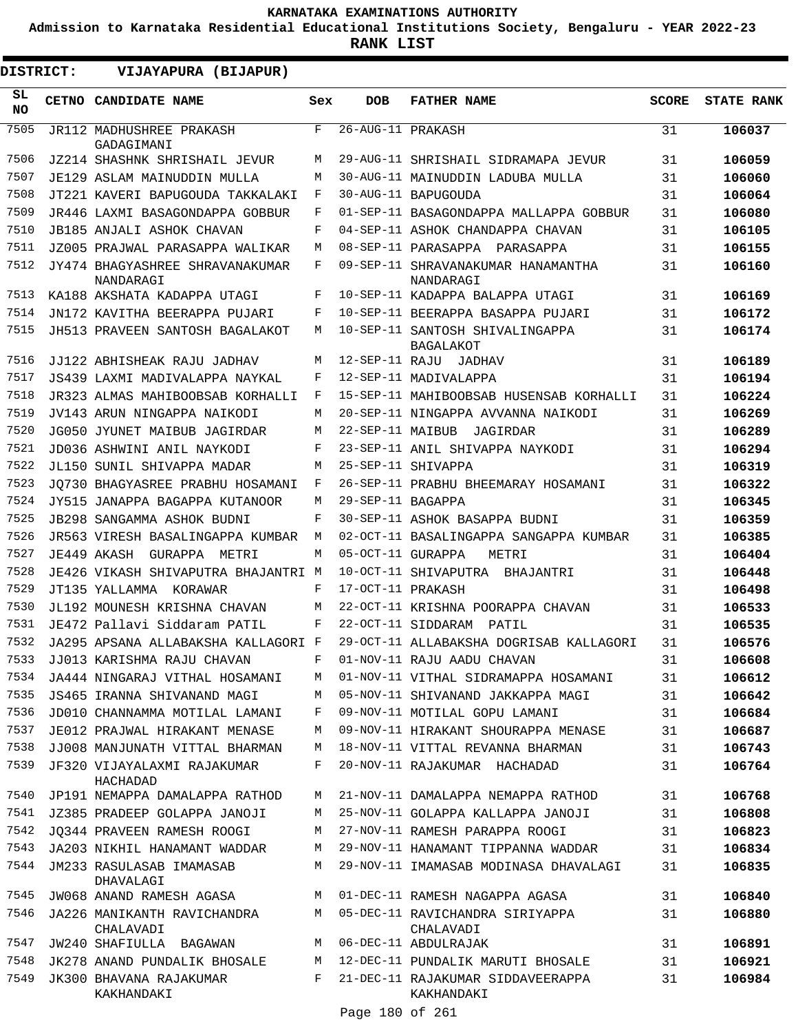**Admission to Karnataka Residential Educational Institutions Society, Bengaluru - YEAR 2022-23**

**RANK LIST**

| DISTRICT:       | VIJAYAPURA (BIJAPUR)                         |     |                   |                                                     |              |                   |
|-----------------|----------------------------------------------|-----|-------------------|-----------------------------------------------------|--------------|-------------------|
| SL<br><b>NO</b> | CETNO CANDIDATE NAME                         | Sex | <b>DOB</b>        | <b>FATHER NAME</b>                                  | <b>SCORE</b> | <b>STATE RANK</b> |
| 7505            | JR112 MADHUSHREE PRAKASH<br>GADAGIMANI       | F   | 26-AUG-11 PRAKASH |                                                     | 31           | 106037            |
| 7506            | JZ214 SHASHNK SHRISHAIL JEVUR                | M   |                   | 29-AUG-11 SHRISHAIL SIDRAMAPA JEVUR                 | 31           | 106059            |
| 7507            | JE129 ASLAM MAINUDDIN MULLA                  | М   |                   | 30-AUG-11 MAINUDDIN LADUBA MULLA                    | 31           | 106060            |
| 7508            | JT221 KAVERI BAPUGOUDA TAKKALAKI             | F   |                   | 30-AUG-11 BAPUGOUDA                                 | 31           | 106064            |
| 7509            | JR446 LAXMI BASAGONDAPPA GOBBUR              | F   |                   | 01-SEP-11 BASAGONDAPPA MALLAPPA GOBBUR              | 31           | 106080            |
| 7510            | JB185 ANJALI ASHOK CHAVAN                    | F   |                   | 04-SEP-11 ASHOK CHANDAPPA CHAVAN                    | 31           | 106105            |
| 7511            | JZ005 PRAJWAL PARASAPPA WALIKAR              | М   |                   | 08-SEP-11 PARASAPPA PARASAPPA                       | 31           | 106155            |
| 7512            | JY474 BHAGYASHREE SHRAVANAKUMAR<br>NANDARAGI | F   |                   | 09-SEP-11 SHRAVANAKUMAR HANAMANTHA<br>NANDARAGI     | 31           | 106160            |
| 7513            | KA188 AKSHATA KADAPPA UTAGI                  | F   |                   | 10-SEP-11 KADAPPA BALAPPA UTAGI                     | 31           | 106169            |
| 7514            | JN172 KAVITHA BEERAPPA PUJARI                | F   |                   | 10-SEP-11 BEERAPPA BASAPPA PUJARI                   | 31           | 106172            |
| 7515            | JH513 PRAVEEN SANTOSH BAGALAKOT              | M   |                   | 10-SEP-11 SANTOSH SHIVALINGAPPA<br><b>BAGALAKOT</b> | 31           | 106174            |
| 7516            | JJ122 ABHISHEAK RAJU JADHAV                  | М   |                   | 12-SEP-11 RAJU JADHAV                               | 31           | 106189            |
| 7517            | JS439 LAXMI MADIVALAPPA NAYKAL               | F   |                   | 12-SEP-11 MADIVALAPPA                               | 31           | 106194            |
| 7518            | JR323 ALMAS MAHIBOOBSAB KORHALLI             | F   |                   | 15-SEP-11 MAHIBOOBSAB HUSENSAB KORHALLI             | 31           | 106224            |
| 7519            | JV143 ARUN NINGAPPA NAIKODI                  | М   |                   | 20-SEP-11 NINGAPPA AVVANNA NAIKODI                  | 31           | 106269            |
| 7520            | JG050 JYUNET MAIBUB JAGIRDAR                 | М   | 22-SEP-11 MAIBUB  | JAGIRDAR                                            | 31           | 106289            |
| 7521            | JD036 ASHWINI ANIL NAYKODI                   | F   |                   | 23-SEP-11 ANIL SHIVAPPA NAYKODI                     | 31           | 106294            |
| 7522            | JL150 SUNIL SHIVAPPA MADAR                   | M   |                   | 25-SEP-11 SHIVAPPA                                  | 31           | 106319            |
| 7523            | JO730 BHAGYASREE PRABHU HOSAMANI             | F   |                   | 26-SEP-11 PRABHU BHEEMARAY HOSAMANI                 | 31           | 106322            |
| 7524            | JY515 JANAPPA BAGAPPA KUTANOOR               | M   | 29-SEP-11 BAGAPPA |                                                     | 31           | 106345            |
| 7525            | JB298 SANGAMMA ASHOK BUDNI                   | F   |                   | 30-SEP-11 ASHOK BASAPPA BUDNI                       | 31           | 106359            |
| 7526            | JR563 VIRESH BASALINGAPPA KUMBAR             | М   |                   | 02-OCT-11 BASALINGAPPA SANGAPPA KUMBAR              | 31           | 106385            |
| 7527            | JE449 AKASH GURAPPA<br>METRI                 | М   | 05-OCT-11 GURAPPA | METRI                                               | 31           | 106404            |
| 7528            | JE426 VIKASH SHIVAPUTRA BHAJANTRI M          |     |                   | 10-OCT-11 SHIVAPUTRA BHAJANTRI                      | 31           | 106448            |
| 7529            | JT135 YALLAMMA KORAWAR                       | F   | 17-OCT-11 PRAKASH |                                                     | 31           | 106498            |
| 7530            | JL192 MOUNESH KRISHNA CHAVAN                 | М   |                   | 22-OCT-11 KRISHNA POORAPPA CHAVAN                   | 31           | 106533            |
| 7531            | JE472 Pallavi Siddaram PATIL                 | F   |                   | 22-OCT-11 SIDDARAM PATIL                            | 31           | 106535            |
| 7532            | JA295 APSANA ALLABAKSHA KALLAGORI F          |     |                   | 29-OCT-11 ALLABAKSHA DOGRISAB KALLAGORI             | 31           | 106576            |
| 7533            | JJ013 KARISHMA RAJU CHAVAN                   | F   |                   | 01-NOV-11 RAJU AADU CHAVAN                          | 31           | 106608            |
| 7534            | JA444 NINGARAJ VITHAL HOSAMANI               | М   |                   | 01-NOV-11 VITHAL SIDRAMAPPA HOSAMANI                | 31           | 106612            |
| 7535            | JS465 IRANNA SHIVANAND MAGI                  | М   |                   | 05-NOV-11 SHIVANAND JAKKAPPA MAGI                   | 31           | 106642            |
| 7536            | JD010 CHANNAMMA MOTILAL LAMANI               | F   |                   | 09-NOV-11 MOTILAL GOPU LAMANI                       | 31           | 106684            |
| 7537            | JE012 PRAJWAL HIRAKANT MENASE                | М   |                   | 09-NOV-11 HIRAKANT SHOURAPPA MENASE                 | 31           | 106687            |
| 7538            | JJ008 MANJUNATH VITTAL BHARMAN               | М   |                   | 18-NOV-11 VITTAL REVANNA BHARMAN                    | 31           | 106743            |
| 7539            | JF320 VIJAYALAXMI RAJAKUMAR<br>HACHADAD      | F   |                   | 20-NOV-11 RAJAKUMAR HACHADAD                        | 31           | 106764            |
| 7540            | JP191 NEMAPPA DAMALAPPA RATHOD               | М   |                   | 21-NOV-11 DAMALAPPA NEMAPPA RATHOD                  | 31           | 106768            |
| 7541            | JZ385 PRADEEP GOLAPPA JANOJI                 | М   |                   | 25-NOV-11 GOLAPPA KALLAPPA JANOJI                   | 31           | 106808            |
| 7542            | JO344 PRAVEEN RAMESH ROOGI                   | М   |                   | 27-NOV-11 RAMESH PARAPPA ROOGI                      | 31           | 106823            |
| 7543            | JA203 NIKHIL HANAMANT WADDAR                 | М   |                   | 29-NOV-11 HANAMANT TIPPANNA WADDAR                  | 31           | 106834            |
| 7544            | JM233 RASULASAB IMAMASAB<br>DHAVALAGI        | М   |                   | 29-NOV-11 IMAMASAB MODINASA DHAVALAGI               | 31           | 106835            |
| 7545            | JW068 ANAND RAMESH AGASA                     | М   |                   | 01-DEC-11 RAMESH NAGAPPA AGASA                      | 31           | 106840            |
| 7546            | JA226 MANIKANTH RAVICHANDRA<br>CHALAVADI     | M   |                   | 05-DEC-11 RAVICHANDRA SIRIYAPPA<br>CHALAVADI        | 31           | 106880            |
| 7547            | JW240 SHAFIULLA BAGAWAN                      | M   |                   | 06-DEC-11 ABDULRAJAK                                | 31           | 106891            |
| 7548            | JK278 ANAND PUNDALIK BHOSALE                 | М   |                   | 12-DEC-11 PUNDALIK MARUTI BHOSALE                   | 31           | 106921            |
| 7549            | JK300 BHAVANA RAJAKUMAR<br>KAKHANDAKI        | F   |                   | 21-DEC-11 RAJAKUMAR SIDDAVEERAPPA<br>KAKHANDAKI     | 31           | 106984            |

Page 180 of 261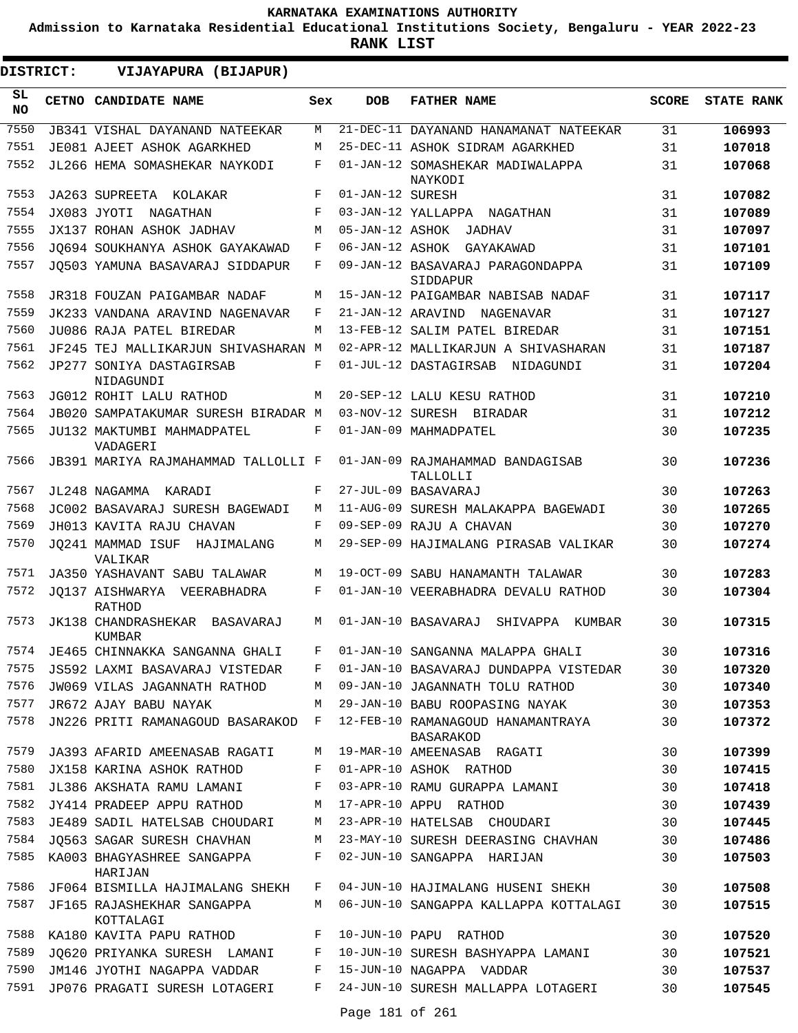**Admission to Karnataka Residential Educational Institutions Society, Bengaluru - YEAR 2022-23**

**RANK LIST**

| DISTRICT: | VIJAYAPURA (BIJAPUR)                       |              |                  |                                                       |              |                   |
|-----------|--------------------------------------------|--------------|------------------|-------------------------------------------------------|--------------|-------------------|
| SL<br>NO. | CETNO CANDIDATE NAME                       | Sex          | <b>DOB</b>       | <b>FATHER NAME</b>                                    | <b>SCORE</b> | <b>STATE RANK</b> |
| 7550      | <b>JB341 VISHAL DAYANAND NATEEKAR</b>      | М            |                  | 21-DEC-11 DAYANAND HANAMANAT NATEEKAR                 | 31           | 106993            |
| 7551      | JE081 AJEET ASHOK AGARKHED                 | M            |                  | 25-DEC-11 ASHOK SIDRAM AGARKHED                       | 31           | 107018            |
| 7552      | JL266 HEMA SOMASHEKAR NAYKODI              | F            |                  | 01-JAN-12 SOMASHEKAR MADIWALAPPA<br>NAYKODI           | 31           | 107068            |
| 7553      | JA263 SUPREETA KOLAKAR                     | F            | 01-JAN-12 SURESH |                                                       | 31           | 107082            |
| 7554      | JX083 JYOTI NAGATHAN                       | F            |                  | 03-JAN-12 YALLAPPA NAGATHAN                           | 31           | 107089            |
| 7555      | <b>JX137 ROHAN ASHOK JADHAV</b>            | M            | 05-JAN-12 ASHOK  | JADHAV                                                | 31           | 107097            |
| 7556      | JO694 SOUKHANYA ASHOK GAYAKAWAD            | F            | 06-JAN-12 ASHOK  | GAYAKAWAD                                             | 31           | 107101            |
| 7557      | JQ503 YAMUNA BASAVARAJ SIDDAPUR            | F            |                  | 09-JAN-12 BASAVARAJ PARAGONDAPPA<br>SIDDAPUR          | 31           | 107109            |
| 7558      | JR318 FOUZAN PAIGAMBAR NADAF               | М            |                  | 15-JAN-12 PAIGAMBAR NABISAB NADAF                     | 31           | 107117            |
| 7559      | JK233 VANDANA ARAVIND NAGENAVAR            | F            |                  | 21-JAN-12 ARAVIND NAGENAVAR                           | 31           | 107127            |
| 7560      | JU086 RAJA PATEL BIREDAR                   | М            |                  | 13-FEB-12 SALIM PATEL BIREDAR                         | 31           | 107151            |
| 7561      | JF245 TEJ MALLIKARJUN SHIVASHARAN M        |              |                  | 02-APR-12 MALLIKARJUN A SHIVASHARAN                   | 31           | 107187            |
| 7562      | JP277 SONIYA DASTAGIRSAB<br>NIDAGUNDI      | F            |                  | 01-JUL-12 DASTAGIRSAB NIDAGUNDI                       | 31           | 107204            |
| 7563      | JG012 ROHIT LALU RATHOD                    | M            |                  | 20-SEP-12 LALU KESU RATHOD                            | 31           | 107210            |
| 7564      | JB020 SAMPATAKUMAR SURESH BIRADAR M        |              |                  | 03-NOV-12 SURESH BIRADAR                              | 31           | 107212            |
| 7565      | JU132 MAKTUMBI MAHMADPATEL<br>VADAGERI     | F            |                  | 01-JAN-09 MAHMADPATEL                                 | 30           | 107235            |
| 7566      | JB391 MARIYA RAJMAHAMMAD TALLOLLI F        |              |                  | 01-JAN-09 RAJMAHAMMAD BANDAGISAB<br>TALLOLLI          | 30           | 107236            |
| 7567      | JL248 NAGAMMA KARADI                       | F            |                  | 27-JUL-09 BASAVARAJ                                   | 30           | 107263            |
| 7568      | JC002 BASAVARAJ SURESH BAGEWADI            | M            |                  | 11-AUG-09 SURESH MALAKAPPA BAGEWADI                   | 30           | 107265            |
| 7569      | JH013 KAVITA RAJU CHAVAN                   | F            |                  | 09-SEP-09 RAJU A CHAVAN                               | 30           | 107270            |
| 7570      | JO241 MAMMAD ISUF<br>HAJIMALANG<br>VALIKAR | М            |                  | 29-SEP-09 HAJIMALANG PIRASAB VALIKAR                  | 30           | 107274            |
| 7571      | JA350 YASHAVANT SABU TALAWAR               | M            |                  | 19-OCT-09 SABU HANAMANTH TALAWAR                      | 30           | 107283            |
| 7572      | JO137 AISHWARYA VEERABHADRA<br>RATHOD      | F            |                  | 01-JAN-10 VEERABHADRA DEVALU RATHOD                   | 30           | 107304            |
| 7573      | JK138 CHANDRASHEKAR BASAVARAJ<br>KUMBAR    | M            |                  | 01-JAN-10 BASAVARAJ<br>SHIVAPPA KUMBAR                | 30           | 107315            |
| 7574      | JE465 CHINNAKKA SANGANNA GHALI             |              |                  | F 01-JAN-10 SANGANNA MALAPPA GHALI                    | 30           | 107316            |
| 7575      | JS592 LAXMI BASAVARAJ VISTEDAR             | F            |                  | 01-JAN-10 BASAVARAJ DUNDAPPA VISTEDAR                 | 30           | 107320            |
| 7576      | JW069 VILAS JAGANNATH RATHOD               | М            |                  | 09-JAN-10 JAGANNATH TOLU RATHOD                       | 30           | 107340            |
| 7577      | JR672 AJAY BABU NAYAK                      | M            |                  | 29-JAN-10 BABU ROOPASING NAYAK                        | 30           | 107353            |
| 7578      | JN226 PRITI RAMANAGOUD BASARAKOD           | $\mathbf{F}$ |                  | 12-FEB-10 RAMANAGOUD HANAMANTRAYA<br><b>BASARAKOD</b> | 30           | 107372            |
| 7579      | JA393 AFARID AMEENASAB RAGATI              | M            |                  | 19-MAR-10 AMEENASAB RAGATI                            | 30           | 107399            |
| 7580      | JX158 KARINA ASHOK RATHOD                  | F            |                  | 01-APR-10 ASHOK RATHOD                                | 30           | 107415            |
| 7581      | JL386 AKSHATA RAMU LAMANI                  | F            |                  | 03-APR-10 RAMU GURAPPA LAMANI                         | 30           | 107418            |
| 7582      | JY414 PRADEEP APPU RATHOD                  | М            |                  | 17-APR-10 APPU RATHOD                                 | 30           | 107439            |
| 7583      | JE489 SADIL HATELSAB CHOUDARI              | М            |                  | 23-APR-10 HATELSAB CHOUDARI                           | 30           | 107445            |
| 7584      | JQ563 SAGAR SURESH CHAVHAN                 | М            |                  | 23-MAY-10 SURESH DEERASING CHAVHAN                    | 30           | 107486            |
| 7585      | KA003 BHAGYASHREE SANGAPPA<br>HARIJAN      | F            |                  | 02-JUN-10 SANGAPPA HARIJAN                            | 30           | 107503            |
| 7586      | JF064 BISMILLA HAJIMALANG SHEKH            | F            |                  | 04-JUN-10 HAJIMALANG HUSENI SHEKH                     | 30           | 107508            |
| 7587      | JF165 RAJASHEKHAR SANGAPPA<br>KOTTALAGI    | М            |                  | 06-JUN-10 SANGAPPA KALLAPPA KOTTALAGI                 | 30           | 107515            |
| 7588      | KA180 KAVITA PAPU RATHOD                   | F            |                  | 10-JUN-10 PAPU RATHOD                                 | 30           | 107520            |
| 7589      | JQ620 PRIYANKA SURESH LAMANI               | F            |                  | 10-JUN-10 SURESH BASHYAPPA LAMANI                     | 30           | 107521            |
| 7590      | JM146 JYOTHI NAGAPPA VADDAR                | F            |                  | 15-JUN-10 NAGAPPA VADDAR                              | 30           | 107537            |
| 7591      | JP076 PRAGATI SURESH LOTAGERI              | F            |                  | 24-JUN-10 SURESH MALLAPPA LOTAGERI                    | 30           | 107545            |
|           |                                            |              | Page 181 of 261  |                                                       |              |                   |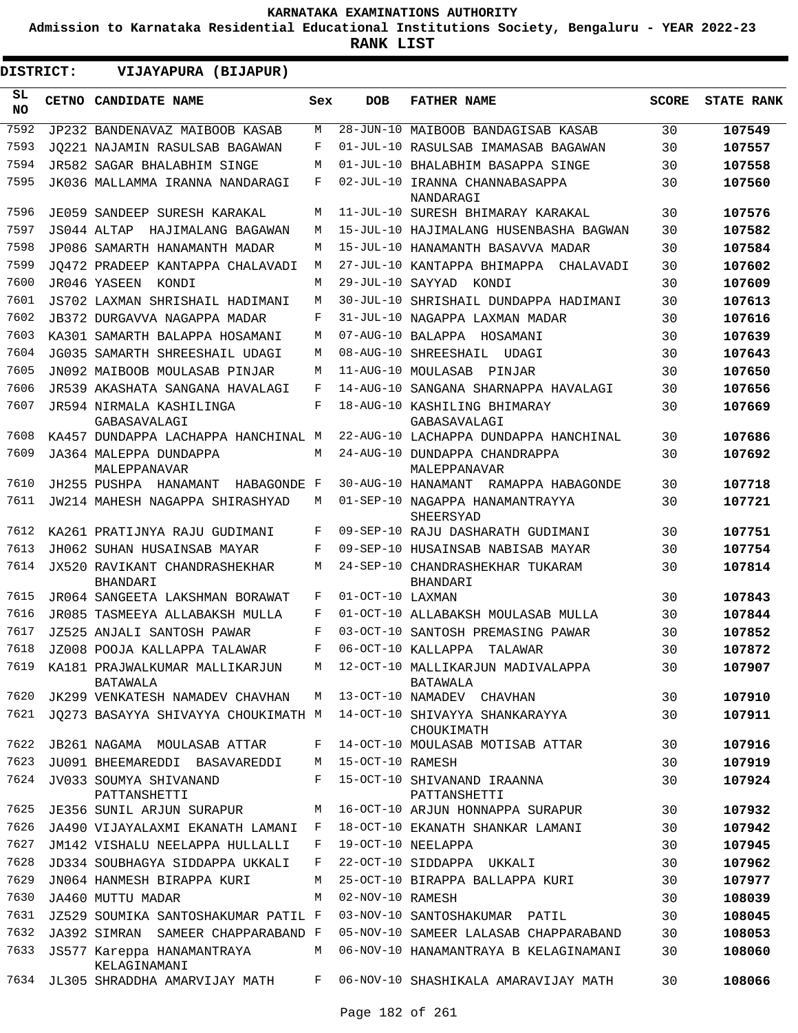**Admission to Karnataka Residential Educational Institutions Society, Bengaluru - YEAR 2022-23**

**RANK LIST**

 $\blacksquare$ 

| DISTRICT:    | VIJAYAPURA (BIJAPUR)                                                        |     |                  |                                                                               |              |                   |
|--------------|-----------------------------------------------------------------------------|-----|------------------|-------------------------------------------------------------------------------|--------------|-------------------|
| SL<br>NO.    | CETNO CANDIDATE NAME                                                        | Sex | <b>DOB</b>       | <b>FATHER NAME</b>                                                            | <b>SCORE</b> | <b>STATE RANK</b> |
| 7592         | JP232 BANDENAVAZ MAIBOOB KASAB                                              | М   |                  | 28-JUN-10 MAIBOOB BANDAGISAB KASAB                                            | 30           | 107549            |
| 7593         | JO221 NAJAMIN RASULSAB BAGAWAN                                              | F   |                  | 01-JUL-10 RASULSAB IMAMASAB BAGAWAN                                           | 30           | 107557            |
| 7594         | JR582 SAGAR BHALABHIM SINGE                                                 | M   |                  | 01-JUL-10 BHALABHIM BASAPPA SINGE                                             | 30           | 107558            |
| 7595         | JK036 MALLAMMA IRANNA NANDARAGI                                             | F   |                  | 02-JUL-10 IRANNA CHANNABASAPPA<br>NANDARAGI                                   | 30           | 107560            |
| 7596         | JE059 SANDEEP SURESH KARAKAL                                                | М   |                  | 11-JUL-10 SURESH BHIMARAY KARAKAL                                             | 30           | 107576            |
| 7597         | JS044 ALTAP<br>HAJIMALANG BAGAWAN                                           | М   |                  | 15-JUL-10 HAJIMALANG HUSENBASHA BAGWAN                                        | 30           | 107582            |
| 7598         | JP086 SAMARTH HANAMANTH MADAR                                               | М   |                  | 15-JUL-10 HANAMANTH BASAVVA MADAR                                             | 30           | 107584            |
| 7599         | JO472 PRADEEP KANTAPPA CHALAVADI                                            | М   |                  | 27-JUL-10 KANTAPPA BHIMAPPA CHALAVADI                                         | 30           | 107602            |
| 7600         | JR046 YASEEN<br>KONDI                                                       | М   | 29-JUL-10 SAYYAD | KONDI                                                                         | 30           | 107609            |
| 7601         | JS702 LAXMAN SHRISHAIL HADIMANI                                             | М   |                  | 30-JUL-10 SHRISHAIL DUNDAPPA HADIMANI                                         | 30           | 107613            |
| 7602         | JB372 DURGAVVA NAGAPPA MADAR                                                | F   |                  | 31-JUL-10 NAGAPPA LAXMAN MADAR                                                | 30           | 107616            |
| 7603         | KA301 SAMARTH BALAPPA HOSAMANI                                              | М   |                  | 07-AUG-10 BALAPPA HOSAMANI                                                    | 30           | 107639            |
| 7604         | JG035 SAMARTH SHREESHAIL UDAGI                                              | М   |                  | 08-AUG-10 SHREESHAIL<br>UDAGI                                                 | 30           | 107643            |
| 7605         | JN092 MAIBOOB MOULASAB PINJAR                                               | М   |                  | 11-AUG-10 MOULASAB<br>PINJAR                                                  | 30           | 107650            |
| 7606         | JR539 AKASHATA SANGANA HAVALAGI                                             | F   |                  | 14-AUG-10 SANGANA SHARNAPPA HAVALAGI                                          | 30           | 107656            |
| 7607         | JR594 NIRMALA KASHILINGA<br>GABASAVALAGI                                    | F   |                  | 18-AUG-10 KASHILING BHIMARAY<br>GABASAVALAGI                                  | 30           | 107669            |
| 7608         | KA457 DUNDAPPA LACHAPPA HANCHINAL M                                         |     |                  | 22-AUG-10 LACHAPPA DUNDAPPA HANCHINAL                                         | 30           | 107686            |
| 7609         | JA364 MALEPPA DUNDAPPA<br>MALEPPANAVAR                                      | М   |                  | 24-AUG-10 DUNDAPPA CHANDRAPPA<br>MALEPPANAVAR                                 | 30           | 107692            |
| 7610         | JH255 PUSHPA HANAMANT<br>HABAGONDE F                                        |     |                  | 30-AUG-10 HANAMANT RAMAPPA HABAGONDE                                          | 30           | 107718            |
| 7611         | JW214 MAHESH NAGAPPA SHIRASHYAD                                             | М   |                  | 01-SEP-10 NAGAPPA HANAMANTRAYYA<br>SHEERSYAD                                  | 30           | 107721            |
| 7612         | KA261 PRATIJNYA RAJU GUDIMANI                                               | F   |                  | 09-SEP-10 RAJU DASHARATH GUDIMANI                                             | 30           | 107751            |
| 7613         | JH062 SUHAN HUSAINSAB MAYAR                                                 | F   |                  | 09-SEP-10 HUSAINSAB NABISAB MAYAR                                             | 30           | 107754            |
| 7614         | <b>JX520 RAVIKANT CHANDRASHEKHAR</b><br><b>BHANDARI</b>                     | М   |                  | 24-SEP-10 CHANDRASHEKHAR TUKARAM<br>BHANDARI                                  | 30           | 107814            |
| 7615         | JR064 SANGEETA LAKSHMAN BORAWAT                                             | F   | 01-OCT-10 LAXMAN |                                                                               | 30           | 107843            |
| 7616         | JR085 TASMEEYA ALLABAKSH MULLA                                              | F   |                  | 01-OCT-10 ALLABAKSH MOULASAB MULLA                                            | 30           | 107844            |
| 7617         | JZ525 ANJALI SANTOSH PAWAR                                                  | F   |                  | 03-OCT-10 SANTOSH PREMASING PAWAR                                             | 30           | 107852            |
| 7618         | JZ008 POOJA KALLAPPA TALAWAR                                                | F   |                  | 06-OCT-10 KALLAPPA TALAWAR                                                    | 30           | 107872            |
| 7619         | KA181 PRAJWALKUMAR MALLIKARJUN<br>BATAWALA                                  | M   |                  | 12-OCT-10 MALLIKARJUN MADIVALAPPA<br>BATAWALA                                 | 30           | 107907            |
| 7620         | JK299 VENKATESH NAMADEV CHAVHAN                                             | M   |                  | 13-OCT-10 NAMADEV CHAVHAN                                                     | 30           | 107910            |
| 7621         | JQ273 BASAYYA SHIVAYYA CHOUKIMATH M                                         |     |                  | 14-OCT-10 SHIVAYYA SHANKARAYYA<br>CHOUKIMATH                                  | 30           | 107911            |
| 7622         | JB261 NAGAMA MOULASAB ATTAR                                                 | F   |                  | 14-OCT-10 MOULASAB MOTISAB ATTAR                                              | 30           | 107916            |
| 7623         | JU091 BHEEMAREDDI BASAVAREDDI                                               | M   | 15-OCT-10 RAMESH |                                                                               | 30           | 107919            |
| 7624         | JV033 SOUMYA SHIVANAND<br>PATTANSHETTI                                      | F   |                  | 15-OCT-10 SHIVANAND IRAANNA<br>PATTANSHETTI                                   | 30           | 107924            |
| 7625         | JE356 SUNIL ARJUN SURAPUR                                                   | М   |                  | 16-OCT-10 ARJUN HONNAPPA SURAPUR                                              | 30           | 107932            |
| 7626         | JA490 VIJAYALAXMI EKANATH LAMANI                                            | F   |                  | 18-OCT-10 EKANATH SHANKAR LAMANI                                              | 30           | 107942            |
| 7627         | JM142 VISHALU NEELAPPA HULLALLI                                             | F   |                  | 19-OCT-10 NEELAPPA                                                            | 30           | 107945            |
| 7628         | JD334 SOUBHAGYA SIDDAPPA UKKALI                                             | F   |                  | 22-OCT-10 SIDDAPPA UKKALI                                                     | 30           | 107962            |
| 7629         | JN064 HANMESH BIRAPPA KURI                                                  | М   |                  | 25-OCT-10 BIRAPPA BALLAPPA KURI                                               | 30           | 107977            |
| 7630         | JA460 MUTTU MADAR                                                           | М   | 02-NOV-10 RAMESH |                                                                               | 30           | 108039            |
| 7631<br>7632 | JZ529 SOUMIKA SANTOSHAKUMAR PATIL F                                         |     |                  | 03-NOV-10 SANTOSHAKUMAR PATIL                                                 | 30           | 108045            |
| 7633         | JA392 SIMRAN SAMEER CHAPPARABAND F                                          | М   |                  | 05-NOV-10 SAMEER LALASAB CHAPPARABAND                                         | 30<br>30     | 108053            |
| 7634         | JS577 Kareppa HANAMANTRAYA<br>KELAGINAMANI<br>JL305 SHRADDHA AMARVIJAY MATH | F   |                  | 06-NOV-10 HANAMANTRAYA B KELAGINAMANI<br>06-NOV-10 SHASHIKALA AMARAVIJAY MATH | 30           | 108060<br>108066  |
|              |                                                                             |     |                  |                                                                               |              |                   |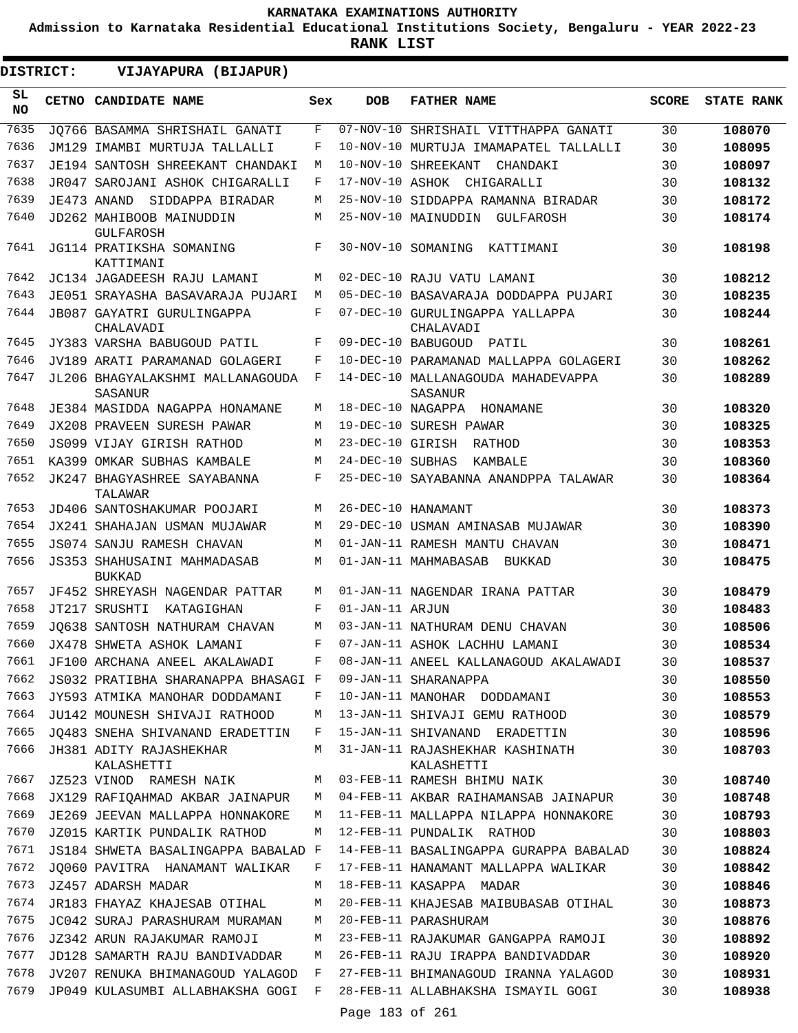**Admission to Karnataka Residential Educational Institutions Society, Bengaluru - YEAR 2022-23**

| <b>DISTRICT:</b> | VIJAYAPURA (BIJAPUR)                         |     |                  |                                               |              |                   |
|------------------|----------------------------------------------|-----|------------------|-----------------------------------------------|--------------|-------------------|
| SL<br><b>NO</b>  | <b>CETNO CANDIDATE NAME</b>                  | Sex | <b>DOB</b>       | <b>FATHER NAME</b>                            | <b>SCORE</b> | <b>STATE RANK</b> |
| 7635             | JO766 BASAMMA SHRISHAIL GANATI               | F   |                  | 07-NOV-10 SHRISHAIL VITTHAPPA GANATI          | 30           | 108070            |
| 7636             | JM129 IMAMBI MURTUJA TALLALLI                | F   |                  | 10-NOV-10 MURTUJA IMAMAPATEL TALLALLI         | 30           | 108095            |
| 7637             | JE194 SANTOSH SHREEKANT CHANDAKI             | М   |                  | 10-NOV-10 SHREEKANT<br>CHANDAKI               | 30           | 108097            |
| 7638             | JR047 SAROJANI ASHOK CHIGARALLI              | F   | 17-NOV-10 ASHOK  | CHIGARALLI                                    | 30           | 108132            |
| 7639             | JE473 ANAND<br>SIDDAPPA BIRADAR              | М   |                  | 25-NOV-10 SIDDAPPA RAMANNA BIRADAR            | 30           | 108172            |
| 7640             | JD262 MAHIBOOB MAINUDDIN<br>GULFAROSH        | М   |                  | 25-NOV-10 MAINUDDIN<br>GULFAROSH              | 30           | 108174            |
| 7641             | JG114 PRATIKSHA SOMANING<br>KATTIMANI        | F   |                  | 30-NOV-10 SOMANING KATTIMANI                  | 30           | 108198            |
| 7642             | JC134 JAGADEESH RAJU LAMANI                  | М   |                  | 02-DEC-10 RAJU VATU LAMANI                    | 30           | 108212            |
| 7643             | JE051 SRAYASHA BASAVARAJA PUJARI             | М   |                  | 05-DEC-10 BASAVARAJA DODDAPPA PUJARI          | 30           | 108235            |
| 7644             | JB087 GAYATRI GURULINGAPPA<br>CHALAVADI      | F   |                  | 07-DEC-10 GURULINGAPPA YALLAPPA<br>CHALAVADI  | 30           | 108244            |
| 7645             | JY383 VARSHA BABUGOUD PATIL                  | F   |                  | 09-DEC-10 BABUGOUD PATIL                      | 30           | 108261            |
| 7646             | JV189 ARATI PARAMANAD GOLAGERI               | F   |                  | 10-DEC-10 PARAMANAD MALLAPPA GOLAGERI         | 30           | 108262            |
| 7647             | JL206 BHAGYALAKSHMI MALLANAGOUDA<br>SASANUR  | F   |                  | 14-DEC-10 MALLANAGOUDA MAHADEVAPPA<br>SASANUR | 30           | 108289            |
| 7648             | JE384 MASIDDA NAGAPPA HONAMANE               | М   |                  | 18-DEC-10 NAGAPPA HONAMANE                    | 30           | 108320            |
| 7649             | <b>JX208 PRAVEEN SURESH PAWAR</b>            | M   |                  | 19-DEC-10 SURESH PAWAR                        | 30           | 108325            |
| 7650             | JS099 VIJAY GIRISH RATHOD                    | М   | 23-DEC-10 GIRISH | RATHOD                                        | 30           | 108353            |
| 7651             | KA399 OMKAR SUBHAS KAMBALE                   | М   | 24-DEC-10 SUBHAS | KAMBALE                                       | 30           | 108360            |
| 7652             | JK247 BHAGYASHREE SAYABANNA<br>TALAWAR       | F   |                  | 25-DEC-10 SAYABANNA ANANDPPA TALAWAR          | 30           | 108364            |
| 7653             | JD406 SANTOSHAKUMAR POOJARI                  | М   |                  | 26-DEC-10 HANAMANT                            | 30           | 108373            |
| 7654             | JX241 SHAHAJAN USMAN MUJAWAR                 | М   |                  | 29-DEC-10 USMAN AMINASAB MUJAWAR              | 30           | 108390            |
| 7655             | JS074 SANJU RAMESH CHAVAN                    | М   |                  | 01-JAN-11 RAMESH MANTU CHAVAN                 | 30           | 108471            |
| 7656             | JS353 SHAHUSAINI MAHMADASAB<br><b>BUKKAD</b> | М   |                  | 01-JAN-11 MAHMABASAB<br>BUKKAD                | 30           | 108475            |
| 7657             | JF452 SHREYASH NAGENDAR PATTAR               | М   |                  | 01-JAN-11 NAGENDAR IRANA PATTAR               | 30           | 108479            |
| 7658             | JT217 SRUSHTI<br>KATAGIGHAN                  | F   | 01-JAN-11 ARJUN  |                                               | 30           | 108483            |
| 7659             | JO638 SANTOSH NATHURAM CHAVAN                | М   |                  | 03-JAN-11 NATHURAM DENU CHAVAN                | 30           | 108506            |
| 7660             | JX478 SHWETA ASHOK LAMANI                    | F   |                  | 07-JAN-11 ASHOK LACHHU LAMANI                 | 30           | 108534            |
| 7661             | JF100 ARCHANA ANEEL AKALAWADI                | F   |                  | 08-JAN-11 ANEEL KALLANAGOUD AKALAWADI         | 30           | 108537            |
| 7662             | JS032 PRATIBHA SHARANAPPA BHASAGI F          |     |                  | 09-JAN-11 SHARANAPPA                          | 30           | 108550            |
| 7663             | JY593 ATMIKA MANOHAR DODDAMANI               | F   |                  | 10-JAN-11 MANOHAR DODDAMANI                   | 30           | 108553            |
| 7664             | JU142 MOUNESH SHIVAJI RATHOOD                | M   |                  | 13-JAN-11 SHIVAJI GEMU RATHOOD                | 30           | 108579            |
| 7665             | JO483 SNEHA SHIVANAND ERADETTIN              | F   |                  | 15-JAN-11 SHIVANAND ERADETTIN                 | 30           | 108596            |
| 7666             | JH381 ADITY RAJASHEKHAR<br>KALASHETTI        | M   |                  | 31-JAN-11 RAJASHEKHAR KASHINATH<br>KALASHETTI | 30           | 108703            |
| 7667             | JZ523 VINOD RAMESH NAIK                      | М   |                  | 03-FEB-11 RAMESH BHIMU NAIK                   | 30           | 108740            |
| 7668             | JX129 RAFIOAHMAD AKBAR JAINAPUR              | М   |                  | 04-FEB-11 AKBAR RAIHAMANSAB JAINAPUR          | 30           | 108748            |
| 7669             | JE269 JEEVAN MALLAPPA HONNAKORE              | М   |                  | 11-FEB-11 MALLAPPA NILAPPA HONNAKORE          | 30           | 108793            |
| 7670             | JZ015 KARTIK PUNDALIK RATHOD                 | М   |                  | 12-FEB-11 PUNDALIK RATHOD                     | 30           | 108803            |
| 7671             | JS184 SHWETA BASALINGAPPA BABALAD F          |     |                  | 14-FEB-11 BASALINGAPPA GURAPPA BABALAD        | 30           | 108824            |
| 7672             | JQ060 PAVITRA HANAMANT WALIKAR               | F   |                  | 17-FEB-11 HANAMANT MALLAPPA WALIKAR           | 30           | 108842            |
| 7673             | JZ457 ADARSH MADAR                           | M   |                  | 18-FEB-11 KASAPPA MADAR                       | 30           | 108846            |
| 7674             | JR183 FHAYAZ KHAJESAB OTIHAL                 | М   |                  | 20-FEB-11 KHAJESAB MAIBUBASAB OTIHAL          | 30           | 108873            |
| 7675             | JC042 SURAJ PARASHURAM MURAMAN               | М   |                  | 20-FEB-11 PARASHURAM                          | 30           | 108876            |
| 7676             | JZ342 ARUN RAJAKUMAR RAMOJI                  | М   |                  | 23-FEB-11 RAJAKUMAR GANGAPPA RAMOJI           | 30           | 108892            |
| 7677             | JD128 SAMARTH RAJU BANDIVADDAR               | М   |                  | 26-FEB-11 RAJU IRAPPA BANDIVADDAR             | 30           | 108920            |
| 7678             | JV207 RENUKA BHIMANAGOUD YALAGOD             | F   |                  | 27-FEB-11 BHIMANAGOUD IRANNA YALAGOD          | 30           | 108931            |
| 7679             | JP049 KULASUMBI ALLABHAKSHA GOGI F           |     |                  | 28-FEB-11 ALLABHAKSHA ISMAYIL GOGI            | 30           | 108938            |
|                  |                                              |     | Page 183 of 261  |                                               |              |                   |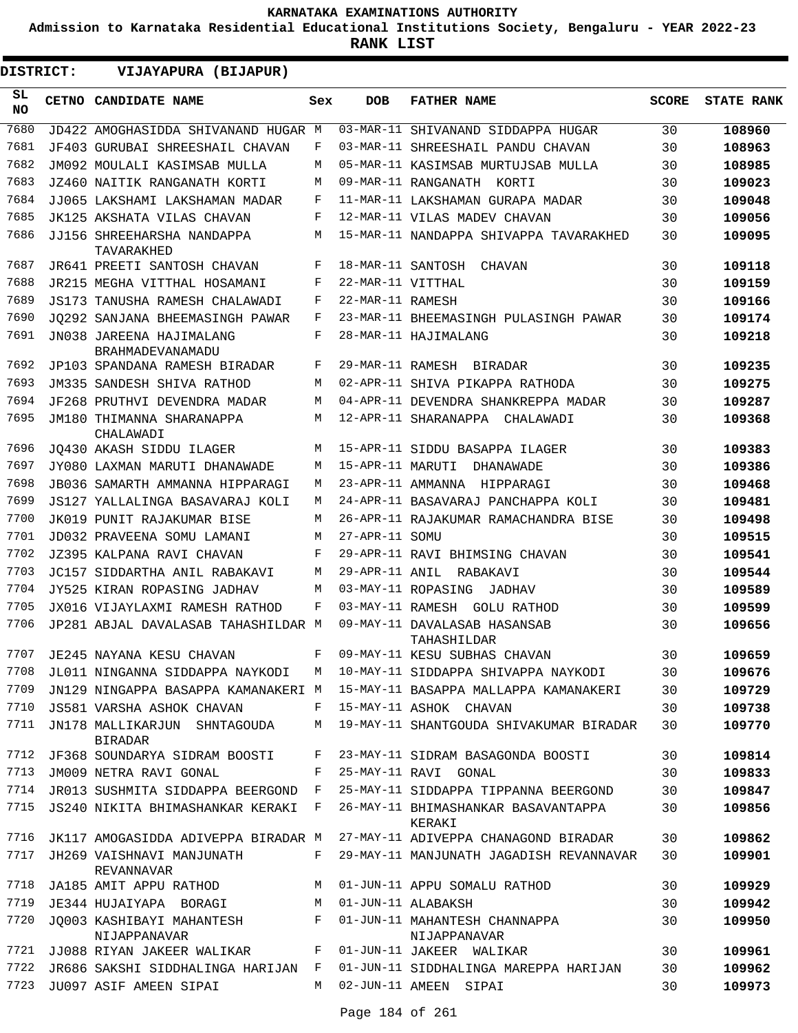**Admission to Karnataka Residential Educational Institutions Society, Bengaluru - YEAR 2022-23**

| DISTRICT:       | VIJAYAPURA (BIJAPUR)                              |              |                   |                                               |              |                   |
|-----------------|---------------------------------------------------|--------------|-------------------|-----------------------------------------------|--------------|-------------------|
| SL<br><b>NO</b> | CETNO CANDIDATE NAME                              | Sex          | <b>DOB</b>        | <b>FATHER NAME</b>                            | <b>SCORE</b> | <b>STATE RANK</b> |
| 7680            | JD422 AMOGHASIDDA SHIVANAND HUGAR M               |              |                   | 03-MAR-11 SHIVANAND SIDDAPPA HUGAR            | 30           | 108960            |
| 7681            | JF403 GURUBAI SHREESHAIL CHAVAN                   | F            |                   | 03-MAR-11 SHREESHAIL PANDU CHAVAN             | 30           | 108963            |
| 7682            | JM092 MOULALI KASIMSAB MULLA                      | М            |                   | 05-MAR-11 KASIMSAB MURTUJSAB MULLA            | 30           | 108985            |
| 7683            | JZ460 NAITIK RANGANATH KORTI                      | M            |                   | 09-MAR-11 RANGANATH KORTI                     | 30           | 109023            |
| 7684            | JJ065 LAKSHAMI LAKSHAMAN MADAR                    | F            |                   | 11-MAR-11 LAKSHAMAN GURAPA MADAR              | 30           | 109048            |
| 7685            | JK125 AKSHATA VILAS CHAVAN                        | F            |                   | 12-MAR-11 VILAS MADEV CHAVAN                  | 30           | 109056            |
| 7686            | JJ156 SHREEHARSHA NANDAPPA<br>TAVARAKHED          | М            |                   | 15-MAR-11 NANDAPPA SHIVAPPA TAVARAKHED        | 30           | 109095            |
| 7687            | JR641 PREETI SANTOSH CHAVAN                       | F            | 18-MAR-11 SANTOSH | CHAVAN                                        | 30           | 109118            |
| 7688            | JR215 MEGHA VITTHAL HOSAMANI                      | F            | 22-MAR-11 VITTHAL |                                               | 30           | 109159            |
| 7689            | JS173 TANUSHA RAMESH CHALAWADI                    | F            | 22-MAR-11 RAMESH  |                                               | 30           | 109166            |
| 7690            | JO292 SANJANA BHEEMASINGH PAWAR                   | F            |                   | 23-MAR-11 BHEEMASINGH PULASINGH PAWAR         | 30           | 109174            |
| 7691            | JN038 JAREENA HAJIMALANG<br>BRAHMADEVANAMADU      | F            |                   | 28-MAR-11 HAJIMALANG                          | 30           | 109218            |
| 7692            | JP103 SPANDANA RAMESH BIRADAR                     | F            |                   | 29-MAR-11 RAMESH BIRADAR                      | 30           | 109235            |
| 7693            | JM335 SANDESH SHIVA RATHOD                        | М            |                   | 02-APR-11 SHIVA PIKAPPA RATHODA               | 30           | 109275            |
| 7694            | JF268 PRUTHVI DEVENDRA MADAR                      | M            |                   | 04-APR-11 DEVENDRA SHANKREPPA MADAR           | 30           | 109287            |
| 7695            | JM180 THIMANNA SHARANAPPA<br>CHALAWADI            | М            |                   | 12-APR-11 SHARANAPPA CHALAWADI                | 30           | 109368            |
| 7696            | JQ430 AKASH SIDDU ILAGER                          | М            |                   | 15-APR-11 SIDDU BASAPPA ILAGER                | 30           | 109383            |
| 7697            | JY080 LAXMAN MARUTI DHANAWADE                     | М            | 15-APR-11 MARUTI  | DHANAWADE                                     | 30           | 109386            |
| 7698            | JB036 SAMARTH AMMANNA HIPPARAGI                   | М            |                   | 23-APR-11 AMMANNA HIPPARAGI                   | 30           | 109468            |
| 7699            | JS127 YALLALINGA BASAVARAJ KOLI                   | М            |                   | 24-APR-11 BASAVARAJ PANCHAPPA KOLI            | 30           | 109481            |
| 7700            | JK019 PUNIT RAJAKUMAR BISE                        | М            |                   | 26-APR-11 RAJAKUMAR RAMACHANDRA BISE          | 30           | 109498            |
| 7701            | JD032 PRAVEENA SOMU LAMANI                        | М            | 27-APR-11 SOMU    |                                               | 30           | 109515            |
| 7702            | JZ395 KALPANA RAVI CHAVAN                         | F            |                   | 29-APR-11 RAVI BHIMSING CHAVAN                | 30           | 109541            |
| 7703            | JC157 SIDDARTHA ANIL RABAKAVI                     | М            | 29-APR-11 ANIL    | RABAKAVI                                      | 30           | 109544            |
| 7704            | JY525 KIRAN ROPASING JADHAV                       | М            |                   | 03-MAY-11 ROPASING<br>JADHAV                  | 30           | 109589            |
| 7705            | JX016 VIJAYLAXMI RAMESH RATHOD                    | F            |                   | 03-MAY-11 RAMESH GOLU RATHOD                  | 30           | 109599            |
| 7706            | JP281 ABJAL DAVALASAB TAHASHILDAR M               |              |                   | 09-MAY-11 DAVALASAB HASANSAB<br>TAHASHILDAR   | 30           | 109656            |
| 7707            | JE245 NAYANA KESU CHAVAN                          | F            |                   | 09-MAY-11 KESU SUBHAS CHAVAN                  | 30           | 109659            |
| 7708            | JL011 NINGANNA SIDDAPPA NAYKODI                   | М            |                   | 10-MAY-11 SIDDAPPA SHIVAPPA NAYKODI           | 30           | 109676            |
| 7709            | JN129 NINGAPPA BASAPPA KAMANAKERI M               |              |                   | 15-MAY-11 BASAPPA MALLAPPA KAMANAKERI         | 30           | 109729            |
| 7710            | <b>JS581 VARSHA ASHOK CHAVAN</b>                  | F            |                   | 15-MAY-11 ASHOK CHAVAN                        | 30           | 109738            |
| 7711            | JN178 MALLIKARJUN<br>SHNTAGOUDA<br><b>BIRADAR</b> | М            |                   | 19-MAY-11 SHANTGOUDA SHIVAKUMAR BIRADAR       | 30           | 109770            |
| 7712            | JF368 SOUNDARYA SIDRAM BOOSTI                     | F            |                   | 23-MAY-11 SIDRAM BASAGONDA BOOSTI             | 30           | 109814            |
| 7713            | JM009 NETRA RAVI GONAL                            | F            |                   | 25-MAY-11 RAVI GONAL                          | 30           | 109833            |
| 7714            | JR013 SUSHMITA SIDDAPPA BEERGOND                  | F            |                   | 25-MAY-11 SIDDAPPA TIPPANNA BEERGOND          | 30           | 109847            |
| 7715            | JS240 NIKITA BHIMASHANKAR KERAKI                  | $\mathbf{F}$ |                   | 26-MAY-11 BHIMASHANKAR BASAVANTAPPA<br>KERAKI | 30           | 109856            |
| 7716            | JK117 AMOGASIDDA ADIVEPPA BIRADAR M               |              |                   | 27-MAY-11 ADIVEPPA CHANAGOND BIRADAR          | 30           | 109862            |
| 7717            | JH269 VAISHNAVI MANJUNATH<br>REVANNAVAR           | F            |                   | 29-MAY-11 MANJUNATH JAGADISH REVANNAVAR       | 30           | 109901            |
| 7718            | JA185 AMIT APPU RATHOD                            | М            |                   | 01-JUN-11 APPU SOMALU RATHOD                  | 30           | 109929            |
| 7719            | JE344 HUJAIYAPA BORAGI                            | M            |                   | 01-JUN-11 ALABAKSH                            | 30           | 109942            |
| 7720            | JO003 KASHIBAYI MAHANTESH<br>NIJAPPANAVAR         | F            |                   | 01-JUN-11 MAHANTESH CHANNAPPA<br>NIJAPPANAVAR | 30           | 109950            |
| 7721            | JJ088 RIYAN JAKEER WALIKAR                        | F            |                   | 01-JUN-11 JAKEER WALIKAR                      | 30           | 109961            |
| 7722            | JR686 SAKSHI SIDDHALINGA HARIJAN                  | F            |                   | 01-JUN-11 SIDDHALINGA MAREPPA HARIJAN         | 30           | 109962            |
| 7723            | JU097 ASIF AMEEN SIPAI                            | M            |                   | 02-JUN-11 AMEEN SIPAI                         | 30           | 109973            |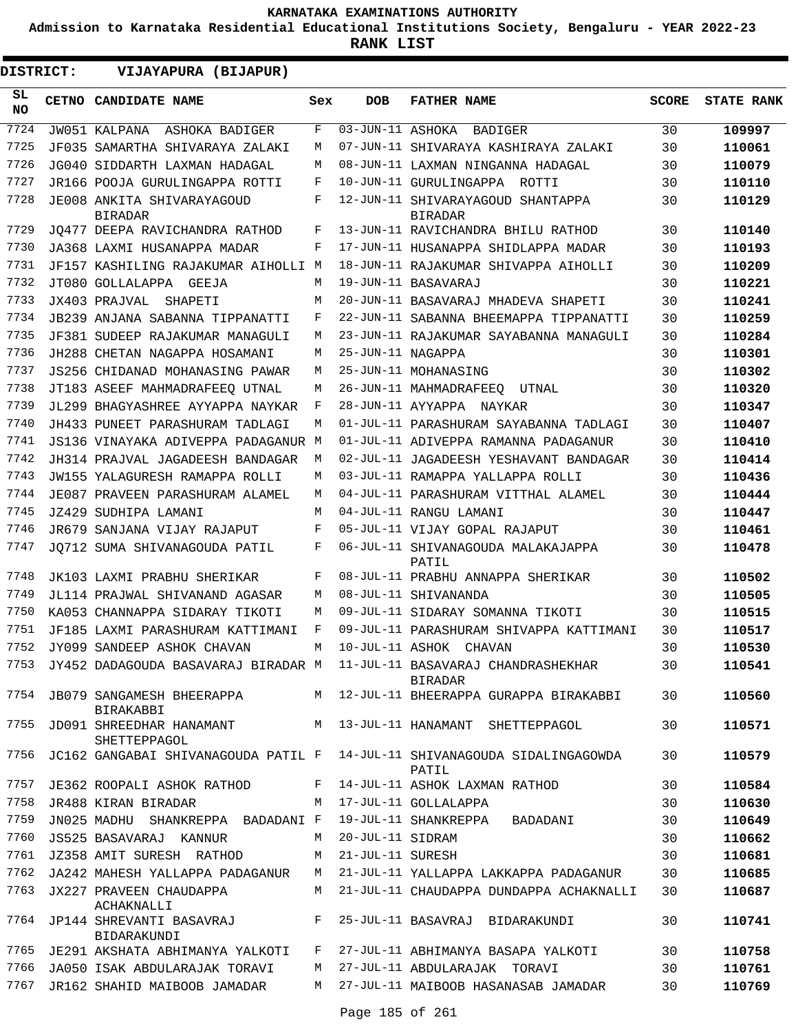**Admission to Karnataka Residential Educational Institutions Society, Bengaluru - YEAR 2022-23**

| DISTRICT:       | VIJAYAPURA (BIJAPUR)                                                              |     |                   |                                                                                         |              |                   |
|-----------------|-----------------------------------------------------------------------------------|-----|-------------------|-----------------------------------------------------------------------------------------|--------------|-------------------|
| SL<br><b>NO</b> | CETNO CANDIDATE NAME                                                              | Sex | <b>DOB</b>        | <b>FATHER NAME</b>                                                                      | <b>SCORE</b> | <b>STATE RANK</b> |
| 7724            | JW051 KALPANA ASHOKA BADIGER                                                      | F   | 03-JUN-11 ASHOKA  | BADIGER                                                                                 | 30           | 109997            |
| 7725            | JF035 SAMARTHA SHIVARAYA ZALAKI                                                   | М   |                   | 07-JUN-11 SHIVARAYA KASHIRAYA ZALAKI                                                    | 30           | 110061            |
| 7726            | JG040 SIDDARTH LAXMAN HADAGAL                                                     | М   |                   | 08-JUN-11 LAXMAN NINGANNA HADAGAL                                                       | 30           | 110079            |
| 7727            | JR166 POOJA GURULINGAPPA ROTTI                                                    | F   |                   | 10-JUN-11 GURULINGAPPA ROTTI                                                            | 30           | 110110            |
| 7728            | JE008 ANKITA SHIVARAYAGOUD<br><b>BIRADAR</b>                                      | F   |                   | 12-JUN-11 SHIVARAYAGOUD SHANTAPPA<br><b>BIRADAR</b>                                     | 30           | 110129            |
| 7729            | JQ477 DEEPA RAVICHANDRA RATHOD                                                    | F   |                   | 13-JUN-11 RAVICHANDRA BHILU RATHOD                                                      | 30           | 110140            |
| 7730            | JA368 LAXMI HUSANAPPA MADAR                                                       | F   |                   | 17-JUN-11 HUSANAPPA SHIDLAPPA MADAR                                                     | 30           | 110193            |
| 7731            | JF157 KASHILING RAJAKUMAR AIHOLLI M                                               |     |                   | 18-JUN-11 RAJAKUMAR SHIVAPPA AIHOLLI                                                    | 30           | 110209            |
| 7732            | JT080 GOLLALAPPA GEEJA                                                            | М   |                   | 19-JUN-11 BASAVARAJ                                                                     | 30           | 110221            |
| 7733            | JX403 PRAJVAL SHAPETI                                                             | М   |                   | 20-JUN-11 BASAVARAJ MHADEVA SHAPETI                                                     | 30           | 110241            |
| 7734            | <b>JB239 ANJANA SABANNA TIPPANATTI</b>                                            | F   |                   | 22-JUN-11 SABANNA BHEEMAPPA TIPPANATTI                                                  | 30           | 110259            |
| 7735            | JF381 SUDEEP RAJAKUMAR MANAGULI                                                   | М   |                   | 23-JUN-11 RAJAKUMAR SAYABANNA MANAGULI                                                  | 30           | 110284            |
| 7736            | JH288 CHETAN NAGAPPA HOSAMANI                                                     | М   | 25-JUN-11 NAGAPPA |                                                                                         | 30           | 110301            |
| 7737            | JS256 CHIDANAD MOHANASING PAWAR                                                   | М   |                   | 25-JUN-11 MOHANASING                                                                    | 30           | 110302            |
| 7738            | JT183 ASEEF MAHMADRAFEEO UTNAL                                                    | М   |                   | 26-JUN-11 MAHMADRAFEEQ UTNAL                                                            | 30           | 110320            |
| 7739            | JL299 BHAGYASHREE AYYAPPA NAYKAR                                                  | F   |                   | 28-JUN-11 AYYAPPA NAYKAR                                                                | 30           | 110347            |
| 7740            | JH433 PUNEET PARASHURAM TADLAGI                                                   | М   |                   | 01-JUL-11 PARASHURAM SAYABANNA TADLAGI                                                  | 30           | 110407            |
| 7741            | JS136 VINAYAKA ADIVEPPA PADAGANUR M                                               |     |                   | 01-JUL-11 ADIVEPPA RAMANNA PADAGANUR                                                    | 30           | 110410            |
| 7742            | JH314 PRAJVAL JAGADEESH BANDAGAR                                                  | М   |                   | 02-JUL-11 JAGADEESH YESHAVANT BANDAGAR                                                  | 30           | 110414            |
| 7743            | JW155 YALAGURESH RAMAPPA ROLLI                                                    | М   |                   | 03-JUL-11 RAMAPPA YALLAPPA ROLLI                                                        | 30           | 110436            |
| 7744            | JE087 PRAVEEN PARASHURAM ALAMEL                                                   | М   |                   | 04-JUL-11 PARASHURAM VITTHAL ALAMEL                                                     | 30           | 110444            |
| 7745            | JZ429 SUDHIPA LAMANI                                                              | М   |                   | 04-JUL-11 RANGU LAMANI                                                                  | 30           | 110447            |
| 7746            | JR679 SANJANA VIJAY RAJAPUT                                                       | F   |                   | 05-JUL-11 VIJAY GOPAL RAJAPUT                                                           | 30           | 110461            |
| 7747            | JQ712 SUMA SHIVANAGOUDA PATIL                                                     | F   |                   | 06-JUL-11 SHIVANAGOUDA MALAKAJAPPA<br>PATIL                                             | 30           | 110478            |
| 7748            | JK103 LAXMI PRABHU SHERIKAR                                                       | F   |                   | 08-JUL-11 PRABHU ANNAPPA SHERIKAR                                                       | 30           | 110502            |
| 7749            | JL114 PRAJWAL SHIVANAND AGASAR                                                    | M   |                   | 08-JUL-11 SHIVANANDA                                                                    | 30           | 110505            |
| 7750            | KA053 CHANNAPPA SIDARAY TIKOTI                                                    | М   |                   | 09-JUL-11 SIDARAY SOMANNA TIKOTI                                                        | 30           | 110515            |
| 7751            | JF185 LAXMI PARASHURAM KATTIMANI                                                  | F   |                   | 09-JUL-11 PARASHURAM SHIVAPPA KATTIMANI                                                 | 30           | 110517            |
| 7752            | JY099 SANDEEP ASHOK CHAVAN                                                        | M   |                   | 10-JUL-11 ASHOK CHAVAN                                                                  | 30           | 110530            |
|                 |                                                                                   |     |                   | 7753 JY452 DADAGOUDA BASAVARAJ BIRADAR M 11-JUL-11 BASAVARAJ CHANDRASHEKHAR<br>BIRADAR  | 30           | 110541            |
|                 | BIRAKABBI                                                                         |     |                   | 7754 JB079 SANGAMESH BHEERAPPA M 12-JUL-11 BHEERAPPA GURAPPA BIRAKABBI                  | 30           | 110560            |
|                 | SHETTEPPAGOL                                                                      |     |                   | 7755 JD091 SHREEDHAR HANAMANT M 13-JUL-11 HANAMANT SHETTEPPAGOL                         | 30           | 110571            |
|                 |                                                                                   |     |                   | 7756 JC162 GANGABAI SHIVANAGOUDA PATIL F 14-JUL-11 SHIVANAGOUDA SIDALINGAGOWDA<br>PATIL | 30           | 110579            |
| 7757            |                                                                                   |     |                   | JE362 ROOPALI ASHOK RATHOD     F 14-JUL-11 ASHOK LAXMAN RATHOD                          | 30           | 110584            |
| 7758            | JR488 KIRAN BIRADAR                                                               |     |                   | M 17-JUL-11 GOLLALAPPA                                                                  | 30           | 110630            |
| 7759            | JN025 MADHU SHANKREPPA BADADANI F                                                 |     |                   | 19-JUL-11 SHANKREPPA BADADANI                                                           | 30           | 110649            |
| 7760            | JS525 BASAVARAJ KANNUR M 20-JUL-11 SIDRAM                                         |     |                   |                                                                                         | 30           | 110662            |
|                 | 7761 JZ358 AMIT SURESH RATHOD M 21-JUL-11 SURESH                                  |     |                   |                                                                                         | 30           | 110681            |
| 7762            |                                                                                   |     |                   | JA242 MAHESH YALLAPPA PADAGANUR   M   21-JUL-11 YALLAPPA LAKKAPPA PADAGANUR             | 30           | 110685            |
| 7763            | ACHAKNALLI                                                                        |     |                   | JX227 PRAVEEN CHAUDAPPA M 21-JUL-11 CHAUDAPPA DUNDAPPA ACHAKNALLI                       | 30           | 110687            |
|                 | 7764 JP144 SHREVANTI BASAVRAJ     F 25-JUL-11 BASAVRAJ BIDARAKUNDI<br>BIDARAKUNDI |     |                   |                                                                                         | 30           | 110741            |
|                 |                                                                                   |     |                   | 7765 JE291 AKSHATA ABHIMANYA YALKOTI   F   27-JUL-11 ABHIMANYA BASAPA YALKOTI           | 30           | 110758            |
| 7766            | JA050 ISAK ABDULARAJAK TORAVI M 27-JUL-11 ABDULARAJAK TORAVI                      |     |                   |                                                                                         | 30           | 110761            |
| 7767            |                                                                                   |     |                   | JR162 SHAHID MAIBOOB JAMADAR       M   27-JUL-11 MAIBOOB HASANASAB JAMADAR              | 30           | 110769            |
|                 |                                                                                   |     |                   |                                                                                         |              |                   |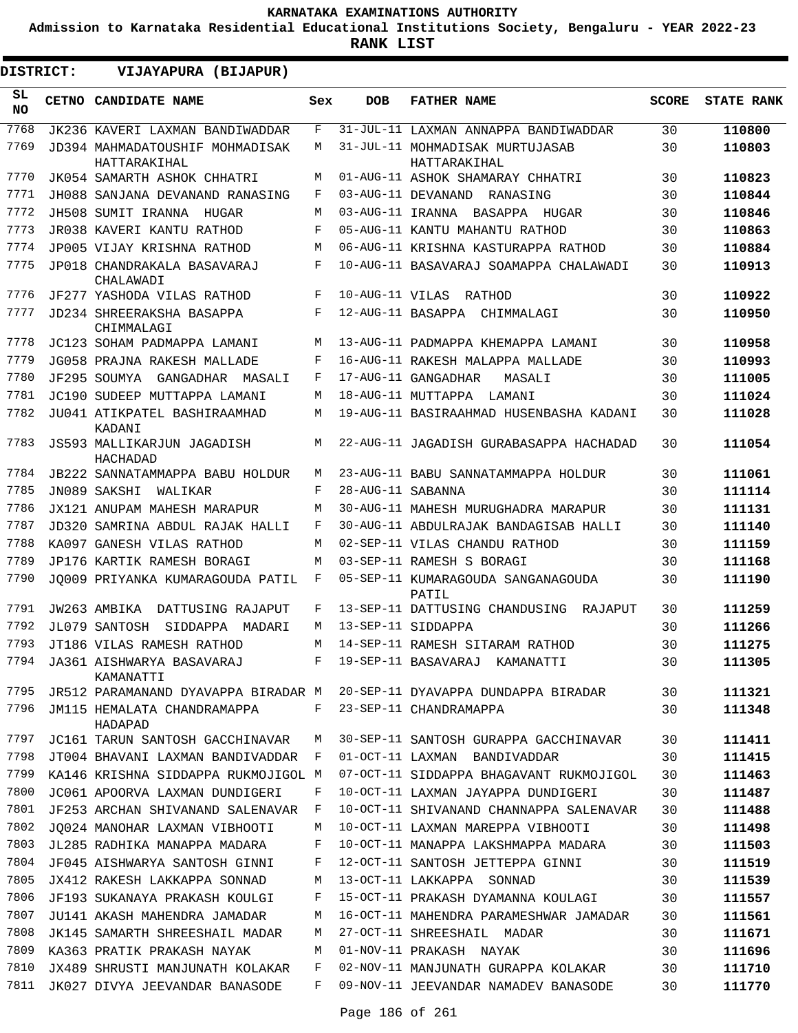**Admission to Karnataka Residential Educational Institutions Society, Bengaluru - YEAR 2022-23**

| DISTRICT:       | VIJAYAPURA (BIJAPUR)                            |     |                   |                                                                         |              |                   |
|-----------------|-------------------------------------------------|-----|-------------------|-------------------------------------------------------------------------|--------------|-------------------|
| SL<br><b>NO</b> | <b>CETNO CANDIDATE NAME</b>                     | Sex | <b>DOB</b>        | <b>FATHER NAME</b>                                                      | <b>SCORE</b> | <b>STATE RANK</b> |
| 7768            | JK236 KAVERI LAXMAN BANDIWADDAR                 | F   |                   | 31-JUL-11 LAXMAN ANNAPPA BANDIWADDAR                                    | 30           | 110800            |
| 7769            | JD394 MAHMADATOUSHIF MOHMADISAK<br>HATTARAKIHAL | М   |                   | 31-JUL-11 MOHMADISAK MURTUJASAB<br>HATTARAKIHAL                         | 30           | 110803            |
| 7770            | JK054 SAMARTH ASHOK CHHATRI                     | М   |                   | 01-AUG-11 ASHOK SHAMARAY CHHATRI                                        | 30           | 110823            |
| 7771            | JH088 SANJANA DEVANAND RANASING                 | F   |                   | 03-AUG-11 DEVANAND<br>RANASING                                          | 30           | 110844            |
| 7772            | JH508 SUMIT IRANNA<br>HUGAR                     | М   |                   | 03-AUG-11 IRANNA BASAPPA HUGAR                                          | 30           | 110846            |
| 7773            | JR038 KAVERI KANTU RATHOD                       | F   |                   | 05-AUG-11 KANTU MAHANTU RATHOD                                          | 30           | 110863            |
| 7774            | JP005 VIJAY KRISHNA RATHOD                      | М   |                   | 06-AUG-11 KRISHNA KASTURAPPA RATHOD                                     | 30           | 110884            |
| 7775            | JP018 CHANDRAKALA BASAVARAJ<br>CHALAWADI        | F   |                   | 10-AUG-11 BASAVARAJ SOAMAPPA CHALAWADI                                  | 30           | 110913            |
| 7776            | JF277 YASHODA VILAS RATHOD                      | F   | 10-AUG-11 VILAS   | RATHOD                                                                  | 30           | 110922            |
| 7777            | JD234 SHREERAKSHA BASAPPA<br>CHIMMALAGI         | F   | 12-AUG-11 BASAPPA | CHIMMALAGI                                                              | 30           | 110950            |
| 7778            | JC123 SOHAM PADMAPPA LAMANI                     | М   |                   | 13-AUG-11 PADMAPPA KHEMAPPA LAMANI                                      | 30           | 110958            |
| 7779            | JG058 PRAJNA RAKESH MALLADE                     | F   |                   | 16-AUG-11 RAKESH MALAPPA MALLADE                                        | 30           | 110993            |
| 7780            | JF295 SOUMYA<br>GANGADHAR MASALI                | F   |                   | 17-AUG-11 GANGADHAR<br>MASALI                                           | 30           | 111005            |
| 7781            | JC190 SUDEEP MUTTAPPA LAMANI                    | М   |                   | 18-AUG-11 MUTTAPPA LAMANI                                               | 30           | 111024            |
| 7782            | JU041 ATIKPATEL BASHIRAAMHAD<br>KADANI          | М   |                   | 19-AUG-11 BASIRAAHMAD HUSENBASHA KADANI                                 | 30           | 111028            |
| 7783            | JS593 MALLIKARJUN JAGADISH<br>HACHADAD          | М   |                   | 22-AUG-11 JAGADISH GURABASAPPA HACHADAD                                 | 30           | 111054            |
| 7784            | JB222 SANNATAMMAPPA BABU HOLDUR                 | М   |                   | 23-AUG-11 BABU SANNATAMMAPPA HOLDUR                                     | 30           | 111061            |
| 7785            | JN089 SAKSHI<br>WALIKAR                         | F   | 28-AUG-11 SABANNA |                                                                         | 30           | 111114            |
| 7786            | JX121 ANUPAM MAHESH MARAPUR                     | М   |                   | 30-AUG-11 MAHESH MURUGHADRA MARAPUR                                     | 30           | 111131            |
| 7787            | JD320 SAMRINA ABDUL RAJAK HALLI                 | F   |                   | 30-AUG-11 ABDULRAJAK BANDAGISAB HALLI                                   | 30           | 111140            |
| 7788            | KA097 GANESH VILAS RATHOD                       | M   |                   | 02-SEP-11 VILAS CHANDU RATHOD                                           | 30           | 111159            |
| 7789            | JP176 KARTIK RAMESH BORAGI                      | M   |                   | 03-SEP-11 RAMESH S BORAGI                                               | 30           | 111168            |
| 7790            | JO009 PRIYANKA KUMARAGOUDA PATIL                | F   |                   | 05-SEP-11 KUMARAGOUDA SANGANAGOUDA<br>PATIL                             | 30           | 111190            |
| 7791            | JW263 AMBIKA<br>DATTUSING RAJAPUT               | F   |                   | 13-SEP-11 DATTUSING CHANDUSING RAJAPUT                                  | 30           | 111259            |
| 7792            | JL079 SANTOSH<br>SIDDAPPA<br>MADARI             | М   |                   | 13-SEP-11 SIDDAPPA                                                      | 30           | 111266            |
| 7793            | JT186 VILAS RAMESH RATHOD                       | M   |                   | 14-SEP-11 RAMESH SITARAM RATHOD                                         | 30           | 111275            |
| 7794<br>7795    | JA361 AISHWARYA BASAVARAJ<br>KAMANATTI          | F   |                   | 19-SEP-11 BASAVARAJ KAMANATTI                                           | 30           | 111305            |
| 7796            |                                                 |     |                   | JR512 PARAMANAND DYAVAPPA BIRADAR M 20-SEP-11 DYAVAPPA DUNDAPPA BIRADAR | 30           | 111321            |
|                 | JM115 HEMALATA CHANDRAMAPPA<br>HADAPAD          | F   |                   | 23-SEP-11 CHANDRAMAPPA                                                  | 30           | 111348            |
| 7797            | JC161 TARUN SANTOSH GACCHINAVAR                 | М   |                   | 30-SEP-11 SANTOSH GURAPPA GACCHINAVAR                                   | 30           | 111411            |
| 7798            | JT004 BHAVANI LAXMAN BANDIVADDAR F              |     |                   | 01-OCT-11 LAXMAN BANDIVADDAR                                            | 30           | 111415            |
| 7799            | KA146 KRISHNA SIDDAPPA RUKMOJIGOL M             |     |                   | 07-OCT-11 SIDDAPPA BHAGAVANT RUKMOJIGOL                                 | 30           | 111463            |
| 7800            | JC061 APOORVA LAXMAN DUNDIGERI                  | F   |                   | 10-OCT-11 LAXMAN JAYAPPA DUNDIGERI                                      | 30           | 111487            |
| 7801            | JF253 ARCHAN SHIVANAND SALENAVAR                | F   |                   | 10-OCT-11 SHIVANAND CHANNAPPA SALENAVAR                                 | 30           | 111488            |
| 7802            | JO024 MANOHAR LAXMAN VIBHOOTI                   | М   |                   | 10-OCT-11 LAXMAN MAREPPA VIBHOOTI                                       | 30           | 111498            |
| 7803<br>7804    | JL285 RADHIKA MANAPPA MADARA                    | F   |                   | 10-OCT-11 MANAPPA LAKSHMAPPA MADARA                                     | 30           | 111503            |
|                 | JF045 AISHWARYA SANTOSH GINNI                   | F   |                   | 12-OCT-11 SANTOSH JETTEPPA GINNI                                        | 30           | 111519            |
| 7805            | JX412 RAKESH LAKKAPPA SONNAD                    | М   |                   | 13-OCT-11 LAKKAPPA SONNAD                                               | 30           | 111539            |
| 7806            | JF193 SUKANAYA PRAKASH KOULGI                   | F   |                   | 15-OCT-11 PRAKASH DYAMANNA KOULAGI                                      | 30           | 111557            |
| 7807            | JU141 AKASH MAHENDRA JAMADAR                    | М   |                   | 16-OCT-11 MAHENDRA PARAMESHWAR JAMADAR                                  | 30           | 111561            |
| 7808            | JK145 SAMARTH SHREESHAIL MADAR                  | М   |                   | 27-OCT-11 SHREESHAIL MADAR                                              | 30           | 111671            |
| 7809            | KA363 PRATIK PRAKASH NAYAK                      | М   |                   | 01-NOV-11 PRAKASH NAYAK                                                 | 30           | 111696            |
| 7810            | JX489 SHRUSTI MANJUNATH KOLAKAR                 | F   |                   | 02-NOV-11 MANJUNATH GURAPPA KOLAKAR                                     | 30           | 111710            |
| 7811            | JK027 DIVYA JEEVANDAR BANASODE                  | F   |                   | 09-NOV-11 JEEVANDAR NAMADEV BANASODE                                    | 30           | 111770            |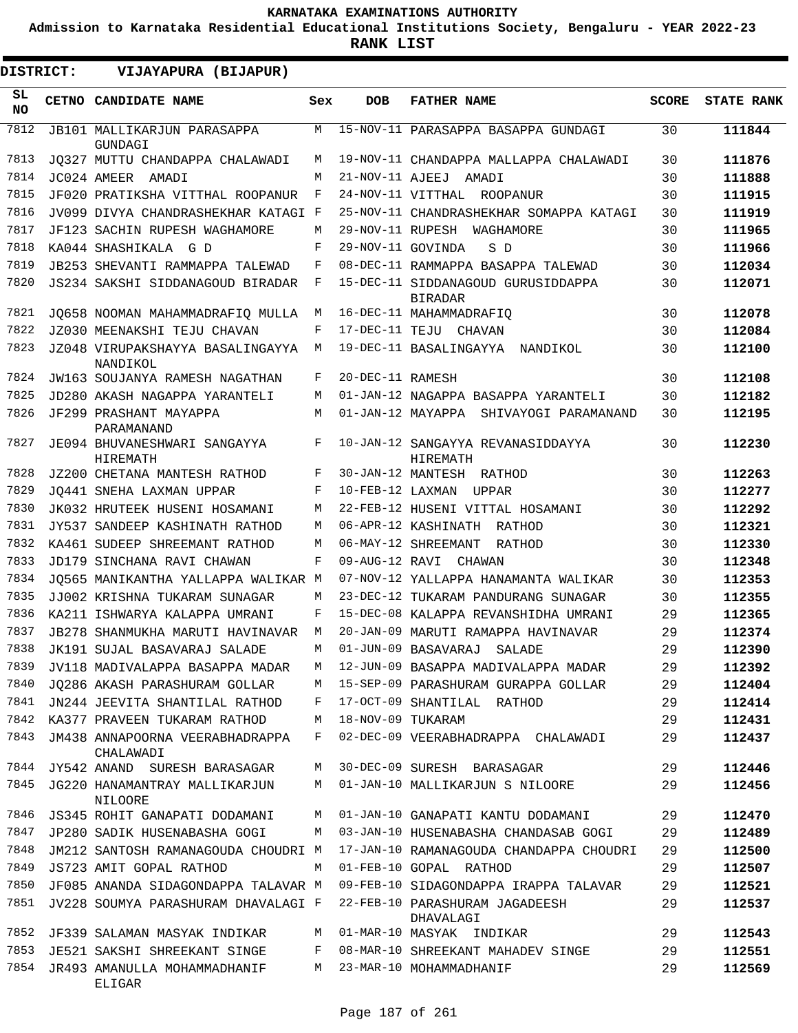**Admission to Karnataka Residential Educational Institutions Society, Bengaluru - YEAR 2022-23**

| DISTRICT:        | VIJAYAPURA (BIJAPUR)                            |     |                   |                                                      |              |                   |
|------------------|-------------------------------------------------|-----|-------------------|------------------------------------------------------|--------------|-------------------|
| SL.<br><b>NO</b> | <b>CETNO CANDIDATE NAME</b>                     | Sex | <b>DOB</b>        | <b>FATHER NAME</b>                                   | <b>SCORE</b> | <b>STATE RANK</b> |
| 7812             | JB101 MALLIKARJUN PARASAPPA<br>GUNDAGI          | М   |                   | 15-NOV-11 PARASAPPA BASAPPA GUNDAGI                  | 30           | 111844            |
| 7813             | JQ327 MUTTU CHANDAPPA CHALAWADI                 | М   |                   | 19-NOV-11 CHANDAPPA MALLAPPA CHALAWADI               | 30           | 111876            |
| 7814             | JC024 AMEER AMADI                               | М   | 21-NOV-11 AJEEJ   | AMADI                                                | 30           | 111888            |
| 7815             | JF020 PRATIKSHA VITTHAL ROOPANUR                | F   |                   | 24-NOV-11 VITTHAL ROOPANUR                           | 30           | 111915            |
| 7816             | JV099 DIVYA CHANDRASHEKHAR KATAGI F             |     |                   | 25-NOV-11 CHANDRASHEKHAR SOMAPPA KATAGI              | 30           | 111919            |
| 7817             | JF123 SACHIN RUPESH WAGHAMORE                   | М   |                   | 29-NOV-11 RUPESH WAGHAMORE                           | 30           | 111965            |
| 7818             | KA044 SHASHIKALA G D                            | F   | 29-NOV-11 GOVINDA | S D                                                  | 30           | 111966            |
| 7819             | JB253 SHEVANTI RAMMAPPA TALEWAD                 | F   |                   | 08-DEC-11 RAMMAPPA BASAPPA TALEWAD                   | 30           | 112034            |
| 7820             | JS234 SAKSHI SIDDANAGOUD BIRADAR                | F   |                   | 15-DEC-11 SIDDANAGOUD GURUSIDDAPPA<br><b>BIRADAR</b> | 30           | 112071            |
| 7821             | JQ658 NOOMAN MAHAMMADRAFIQ MULLA                | М   |                   | 16-DEC-11 MAHAMMADRAFIQ                              | 30           | 112078            |
| 7822             | JZ030 MEENAKSHI TEJU CHAVAN                     | F   |                   | 17-DEC-11 TEJU CHAVAN                                | 30           | 112084            |
| 7823             | JZ048 VIRUPAKSHAYYA BASALINGAYYA<br>NANDIKOL    | М   |                   | 19-DEC-11 BASALINGAYYA NANDIKOL                      | 30           | 112100            |
| 7824             | JW163 SOUJANYA RAMESH NAGATHAN                  | F   | 20-DEC-11 RAMESH  |                                                      | 30           | 112108            |
| 7825             | JD280 AKASH NAGAPPA YARANTELI                   | М   |                   | 01-JAN-12 NAGAPPA BASAPPA YARANTELI                  | 30           | 112182            |
| 7826             | JF299 PRASHANT MAYAPPA<br>PARAMANAND            | M   |                   | 01-JAN-12 MAYAPPA SHIVAYOGI PARAMANAND               | 30           | 112195            |
| 7827             | JE094 BHUVANESHWARI SANGAYYA<br>HIREMATH        | F   |                   | 10-JAN-12 SANGAYYA REVANASIDDAYYA<br>HIREMATH        | 30           | 112230            |
| 7828             | JZ200 CHETANA MANTESH RATHOD                    | F   |                   | 30-JAN-12 MANTESH RATHOD                             | 30           | 112263            |
| 7829             | JO441 SNEHA LAXMAN UPPAR                        | F   | 10-FEB-12 LAXMAN  | UPPAR                                                | 30           | 112277            |
| 7830             | JK032 HRUTEEK HUSENI HOSAMANI                   | М   |                   | 22-FEB-12 HUSENI VITTAL HOSAMANI                     | 30           | 112292            |
| 7831             | JY537 SANDEEP KASHINATH RATHOD                  | М   |                   | 06-APR-12 KASHINATH RATHOD                           | 30           | 112321            |
| 7832             | KA461 SUDEEP SHREEMANT RATHOD                   | М   |                   | 06-MAY-12 SHREEMANT<br>RATHOD                        | 30           | 112330            |
| 7833             | JD179 SINCHANA RAVI CHAWAN                      | F   |                   | 09-AUG-12 RAVI CHAWAN                                | 30           | 112348            |
| 7834             | JO565 MANIKANTHA YALLAPPA WALIKAR M             |     |                   | 07-NOV-12 YALLAPPA HANAMANTA WALIKAR                 | 30           | 112353            |
| 7835             | JJ002 KRISHNA TUKARAM SUNAGAR                   | M   |                   | 23-DEC-12 TUKARAM PANDURANG SUNAGAR                  | 30           | 112355            |
| 7836             | KA211 ISHWARYA KALAPPA UMRANI                   | F   |                   | 15-DEC-08 KALAPPA REVANSHIDHA UMRANI                 | 29           | 112365            |
| 7837             | JB278 SHANMUKHA MARUTI HAVINAVAR                | М   |                   | 20-JAN-09 MARUTI RAMAPPA HAVINAVAR                   | 29           | 112374            |
| 7838             | JK191 SUJAL BASAVARAJ SALADE                    | M   |                   | 01-JUN-09 BASAVARAJ SALADE                           | 29           | 112390            |
| 7839             | JV118 MADIVALAPPA BASAPPA MADAR                 | M   |                   | 12-JUN-09 BASAPPA MADIVALAPPA MADAR                  | 29           | 112392            |
| 7840             | JO286 AKASH PARASHURAM GOLLAR                   | M   |                   | 15-SEP-09 PARASHURAM GURAPPA GOLLAR                  | 29           | 112404            |
| 7841             | JN244 JEEVITA SHANTILAL RATHOD                  | F   |                   | 17-OCT-09 SHANTILAL RATHOD                           | 29           | 112414            |
| 7842             | KA377 PRAVEEN TUKARAM RATHOD                    | М   | 18-NOV-09 TUKARAM |                                                      | 29           | 112431            |
| 7843             | JM438 ANNAPOORNA VEERABHADRAPPA<br>CHALAWADI    | F   |                   | 02-DEC-09 VEERABHADRAPPA CHALAWADI                   | 29           | 112437            |
| 7844             | JY542 ANAND SURESH BARASAGAR                    | М   |                   | 30-DEC-09 SURESH BARASAGAR                           | 29           | 112446            |
| 7845             | JG220 HANAMANTRAY MALLIKARJUN<br><b>NILOORE</b> | М   |                   | 01-JAN-10 MALLIKARJUN S NILOORE                      | 29           | 112456            |
| 7846             | JS345 ROHIT GANAPATI DODAMANI                   | М   |                   | 01-JAN-10 GANAPATI KANTU DODAMANI                    | 29           | 112470            |
| 7847             | JP280 SADIK HUSENABASHA GOGI                    | М   |                   | 03-JAN-10 HUSENABASHA CHANDASAB GOGI                 | 29           | 112489            |
| 7848             | JM212 SANTOSH RAMANAGOUDA CHOUDRI M             |     |                   | 17-JAN-10 RAMANAGOUDA CHANDAPPA CHOUDRI              | 29           | 112500            |
| 7849             | JS723 AMIT GOPAL RATHOD                         | М   |                   | 01-FEB-10 GOPAL RATHOD                               | 29           | 112507            |
| 7850             | JF085 ANANDA SIDAGONDAPPA TALAVAR M             |     |                   | 09-FEB-10 SIDAGONDAPPA IRAPPA TALAVAR                | 29           | 112521            |
| 7851             | JV228 SOUMYA PARASHURAM DHAVALAGI F             |     |                   | 22-FEB-10 PARASHURAM JAGADEESH<br>DHAVALAGI          | 29           | 112537            |
| 7852             | JF339 SALAMAN MASYAK INDIKAR                    | M   |                   | 01-MAR-10 MASYAK INDIKAR                             | 29           | 112543            |
| 7853             | JE521 SAKSHI SHREEKANT SINGE                    | F   |                   | 08-MAR-10 SHREEKANT MAHADEV SINGE                    | 29           | 112551            |
| 7854             | JR493 AMANULLA MOHAMMADHANIF<br>ELIGAR          | М   |                   | 23-MAR-10 MOHAMMADHANIF                              | 29           | 112569            |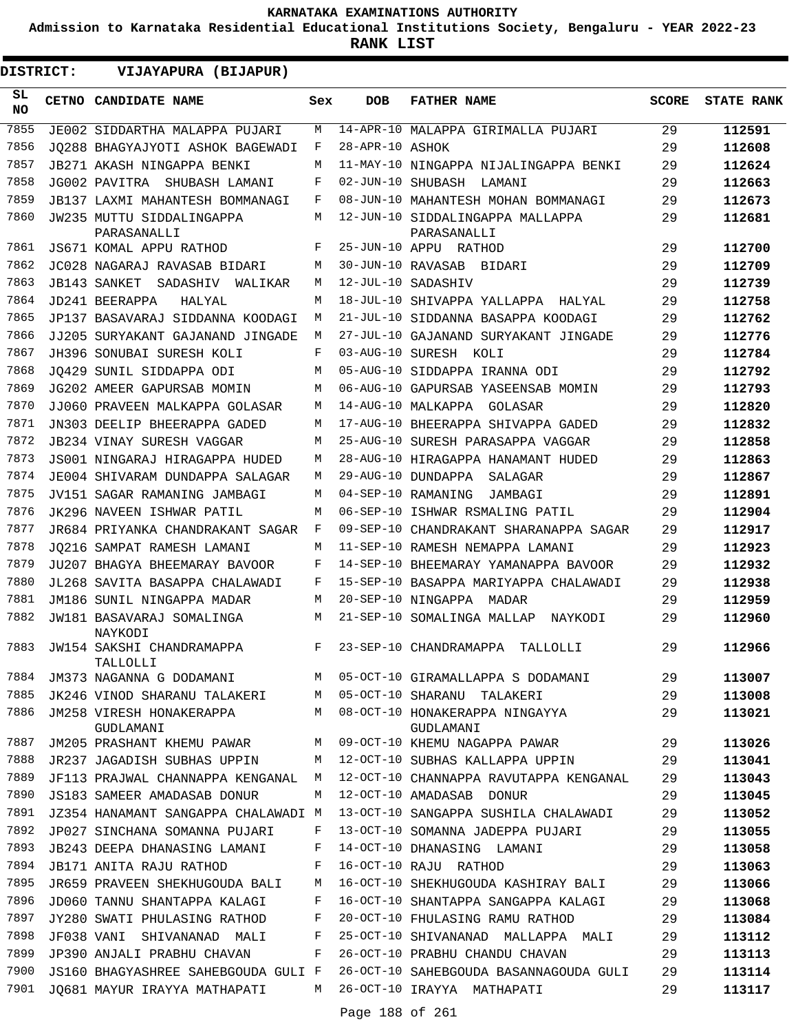**Admission to Karnataka Residential Educational Institutions Society, Bengaluru - YEAR 2022-23**

**RANK LIST**

**DISTRICT:** EE **VIJAYAPURA (BIJAPUR)**

| SL<br><b>NO</b> | <b>CETNO CANDIDATE NAME</b>                                               | Sex | <b>DOB</b>         | <b>FATHER NAME</b>                                                     | SCORE | <b>STATE RANK</b> |
|-----------------|---------------------------------------------------------------------------|-----|--------------------|------------------------------------------------------------------------|-------|-------------------|
| 7855            | JE002 SIDDARTHA MALAPPA PUJARI                                            | M   |                    | 14-APR-10 MALAPPA GIRIMALLA PUJARI                                     | 29    | 112591            |
| 7856            | JO288 BHAGYAJYOTI ASHOK BAGEWADI                                          | F   | 28-APR-10 ASHOK    |                                                                        | 29    | 112608            |
| 7857            | JB271 AKASH NINGAPPA BENKI                                                | М   |                    | 11-MAY-10 NINGAPPA NIJALINGAPPA BENKI                                  | 29    | 112624            |
| 7858            | JG002 PAVITRA SHUBASH LAMANI                                              | F   |                    | 02-JUN-10 SHUBASH LAMANI                                               | 29    | 112663            |
| 7859            | JB137 LAXMI MAHANTESH BOMMANAGI                                           | F   |                    | 08-JUN-10 MAHANTESH MOHAN BOMMANAGI                                    | 29    | 112673            |
| 7860            | JW235 MUTTU SIDDALINGAPPA<br>PARASANALLI                                  | M   |                    | 12-JUN-10 SIDDALINGAPPA MALLAPPA<br>PARASANALLI                        | 29    | 112681            |
| 7861            | JS671 KOMAL APPU RATHOD                                                   | F   |                    | 25-JUN-10 APPU RATHOD                                                  | 29    | 112700            |
| 7862            | JC028 NAGARAJ RAVASAB BIDARI                                              | M   |                    | 30-JUN-10 RAVASAB BIDARI                                               | 29    | 112709            |
| 7863            | JB143 SANKET<br>SADASHIV WALIKAR                                          | M   | 12-JUL-10 SADASHIV |                                                                        | 29    | 112739            |
| 7864            | JD241 BEERAPPA<br>HALYAL                                                  | M   |                    | 18-JUL-10 SHIVAPPA YALLAPPA HALYAL                                     | 29    | 112758            |
| 7865            | JP137 BASAVARAJ SIDDANNA KOODAGI                                          | М   |                    | 21-JUL-10 SIDDANNA BASAPPA KOODAGI                                     | 29    | 112762            |
| 7866            | JJ205 SURYAKANT GAJANAND JINGADE                                          | М   |                    | 27-JUL-10 GAJANAND SURYAKANT JINGADE                                   | 29    | 112776            |
| 7867            | JH396 SONUBAI SURESH KOLI                                                 | F   | 03-AUG-10 SURESH   | KOLI                                                                   | 29    | 112784            |
| 7868            | JO429 SUNIL SIDDAPPA ODI                                                  | M   |                    | 05-AUG-10 SIDDAPPA IRANNA ODI                                          | 29    | 112792            |
| 7869            | JG202 AMEER GAPURSAB MOMIN                                                | M   |                    | 06-AUG-10 GAPURSAB YASEENSAB MOMIN                                     | 29    | 112793            |
| 7870            | JJ060 PRAVEEN MALKAPPA GOLASAR                                            | M   |                    | 14-AUG-10 MALKAPPA GOLASAR                                             | 29    | 112820            |
| 7871            | JN303 DEELIP BHEERAPPA GADED                                              | M   |                    | 17-AUG-10 BHEERAPPA SHIVAPPA GADED                                     | 29    | 112832            |
| 7872            | <b>JB234 VINAY SURESH VAGGAR</b>                                          | M   |                    | 25-AUG-10 SURESH PARASAPPA VAGGAR                                      | 29    | 112858            |
| 7873            | JS001 NINGARAJ HIRAGAPPA HUDED                                            | M   |                    | 28-AUG-10 HIRAGAPPA HANAMANT HUDED                                     | 29    | 112863            |
| 7874            | JE004 SHIVARAM DUNDAPPA SALAGAR                                           | M   |                    | 29-AUG-10 DUNDAPPA SALAGAR                                             | 29    | 112867            |
| 7875            | JV151 SAGAR RAMANING JAMBAGI                                              | М   |                    | 04-SEP-10 RAMANING<br>JAMBAGI                                          | 29    | 112891            |
| 7876            | JK296 NAVEEN ISHWAR PATIL                                                 | М   |                    | 06-SEP-10 ISHWAR RSMALING PATIL                                        | 29    | 112904            |
| 7877            | JR684 PRIYANKA CHANDRAKANT SAGAR                                          | F   |                    | 09-SEP-10 CHANDRAKANT SHARANAPPA SAGAR                                 | 29    | 112917            |
| 7878            | JO216 SAMPAT RAMESH LAMANI                                                | M   |                    | 11-SEP-10 RAMESH NEMAPPA LAMANI                                        | 29    | 112923            |
| 7879            | JU207 BHAGYA BHEEMARAY BAVOOR                                             | F   |                    | 14-SEP-10 BHEEMARAY YAMANAPPA BAVOOR                                   | 29    | 112932            |
| 7880            | JL268 SAVITA BASAPPA CHALAWADI                                            | F   |                    | 15-SEP-10 BASAPPA MARIYAPPA CHALAWADI                                  | 29    | 112938            |
| 7881            | JM186 SUNIL NINGAPPA MADAR                                                | M   |                    | 20-SEP-10 NINGAPPA MADAR                                               | 29    | 112959            |
| 7882            | JW181 BASAVARAJ SOMALINGA<br>NAYKODI                                      | M   |                    | 21-SEP-10 SOMALINGA MALLAP<br>NAYKODI                                  | 29    | 112960            |
| 7883            | JW154 SAKSHI CHANDRAMAPPA<br>TALLOLLI                                     | F   |                    | 23-SEP-10 CHANDRAMAPPA<br>TALLOLLI                                     | 29    | 112966            |
| 7884            | JM373 NAGANNA G DODAMANI M                                                |     |                    | 05-OCT-10 GIRAMALLAPPA S DODAMANI                                      | 29    | 113007            |
| 7885            | JK246 VINOD SHARANU TALAKERI M                                            |     |                    | 05-OCT-10 SHARANU TALAKERI                                             | 29    | 113008            |
| 7886            | GUDLAMANI                                                                 |     |                    | JM258 VIRESH HONAKERAPPA M 08-OCT-10 HONAKERAPPA NINGAYYA<br>GUDLAMANI | 29    | 113021            |
| 7887            |                                                                           |     |                    | JM205 PRASHANT KHEMU PAWAR M 09-OCT-10 KHEMU NAGAPPA PAWAR             | 29    | 113026            |
| 7888            |                                                                           |     |                    | JR237 JAGADISH SUBHAS UPPIN M 12-OCT-10 SUBHAS KALLAPPA UPPIN 29       |       | 113041            |
| 7889            | JF113 PRAJWAL CHANNAPPA KENGANAL M                                        |     |                    | 12-OCT-10 CHANNAPPA RAVUTAPPA KENGANAL                                 | -29   | 113043            |
| 7890            | JS183 SAMEER AMADASAB DONUR                                               | M   |                    | 12-OCT-10 AMADASAB DONUR                                               | 29    | 113045            |
| 7891            | JZ354 HANAMANT SANGAPPA CHALAWADI M                                       |     |                    | 13-OCT-10 SANGAPPA SUSHILA CHALAWADI                                   | 29    | 113052            |
| 7892            | JP027 SINCHANA SOMANNA PUJARI F                                           |     |                    | 13-OCT-10 SOMANNA JADEPPA PUJARI                                       | 29    | 113055            |
| 7893            | JB243 DEEPA DHANASING LAMANI                                              | F   |                    | 14-OCT-10 DHANASING LAMANI                                             | 29    | 113058            |
| 7894            | JB171 ANITA RAJU RATHOD<br>$\mathbf{F}$ and $\mathbf{F}$ and $\mathbf{F}$ |     |                    | 16-OCT-10 RAJU RATHOD                                                  | 29    | 113063            |
| 7895            | JR659 PRAVEEN SHEKHUGOUDA BALI M                                          |     |                    | 16-OCT-10 SHEKHUGOUDA KASHIRAY BALI 29                                 |       | 113066            |
| 7896            | JD060 TANNU SHANTAPPA KALAGI F                                            |     |                    | 16-OCT-10 SHANTAPPA SANGAPPA KALAGI                                    | 29    | 113068            |
| 7897            | JY280 SWATI PHULASING RATHOD                                              | F   |                    | 20-OCT-10 FHULASING RAMU RATHOD                                        | 29    | 113084            |
| 7898            | JF038 VANI SHIVANANAD MALI F                                              |     |                    | 25-OCT-10 SHIVANANAD MALLAPPA MALI                                     | 29    | 113112            |
| 7899            | JP390 ANJALI PRABHU CHAVAN                                                | F   |                    | 26-OCT-10 PRABHU CHANDU CHAVAN                                         | 29    | 113113            |
| 7900            | JS160 BHAGYASHREE SAHEBGOUDA GULI F                                       |     |                    | 26-OCT-10 SAHEBGOUDA BASANNAGOUDA GULI                                 | 29    | 113114            |
| 7901            | JQ681 MAYUR IRAYYA MATHAPATI M 26-OCT-10 IRAYYA MATHAPATI                 |     |                    |                                                                        | 29    | 113117            |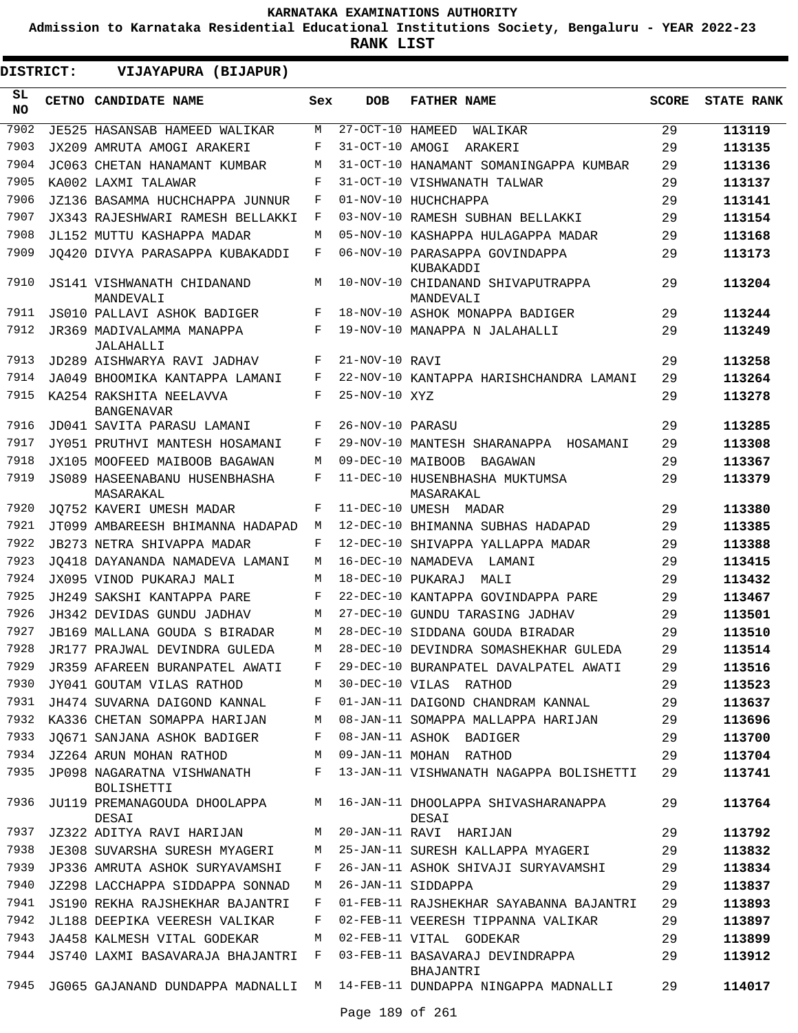**Admission to Karnataka Residential Educational Institutions Society, Bengaluru - YEAR 2022-23**

**RANK LIST**

ı

| <b>DISTRICT:</b> | VIJAYAPURA (BIJAPUR)                                  |        |                   |                                                                           |              |                   |
|------------------|-------------------------------------------------------|--------|-------------------|---------------------------------------------------------------------------|--------------|-------------------|
| SL.<br><b>NO</b> | CETNO CANDIDATE NAME                                  | Sex    | <b>DOB</b>        | <b>FATHER NAME</b>                                                        | <b>SCORE</b> | <b>STATE RANK</b> |
| 7902             | JE525 HASANSAB HAMEED WALIKAR                         | М      | 27-OCT-10 HAMEED  | WALIKAR                                                                   | 29           | 113119            |
| 7903             | JX209 AMRUTA AMOGI ARAKERI                            | F      | 31-OCT-10 AMOGI   | ARAKERI                                                                   | 29           | 113135            |
| 7904             | JC063 CHETAN HANAMANT KUMBAR                          | M      |                   | 31-OCT-10 HANAMANT SOMANINGAPPA KUMBAR                                    | 29           | 113136            |
| 7905             | KA002 LAXMI TALAWAR                                   | F      |                   | 31-OCT-10 VISHWANATH TALWAR                                               | 29           | 113137            |
| 7906             | JZ136 BASAMMA HUCHCHAPPA JUNNUR                       | F      |                   | 01-NOV-10 HUCHCHAPPA                                                      | 29           | 113141            |
| 7907             | JX343 RAJESHWARI RAMESH BELLAKKI                      | F      |                   | 03-NOV-10 RAMESH SUBHAN BELLAKKI                                          | 29           | 113154            |
| 7908             | JL152 MUTTU KASHAPPA MADAR                            | М      |                   | 05-NOV-10 KASHAPPA HULAGAPPA MADAR                                        | 29           | 113168            |
| 7909             | JO420 DIVYA PARASAPPA KUBAKADDI                       | F      |                   | 06-NOV-10 PARASAPPA GOVINDAPPA<br>KUBAKADDI                               | 29           | 113173            |
| 7910             | JS141 VISHWANATH CHIDANAND<br>MANDEVALI               | М      |                   | 10-NOV-10 CHIDANAND SHIVAPUTRAPPA<br>MANDEVALI                            | 29           | 113204            |
| 7911             | JS010 PALLAVI ASHOK BADIGER                           | F      |                   | 18-NOV-10 ASHOK MONAPPA BADIGER                                           | 29           | 113244            |
| 7912             | JR369 MADIVALAMMA MANAPPA<br>JALAHALLI                | F      |                   | 19-NOV-10 MANAPPA N JALAHALLI                                             | 29           | 113249            |
| 7913             | JD289 AISHWARYA RAVI JADHAV                           | F      | 21-NOV-10 RAVI    |                                                                           | 29           | 113258            |
| 7914             | JA049 BHOOMIKA KANTAPPA LAMANI                        | F      |                   | 22-NOV-10 KANTAPPA HARISHCHANDRA LAMANI                                   | 29           | 113264            |
| 7915             | KA254 RAKSHITA NEELAVVA<br><b>BANGENAVAR</b>          | F      | 25-NOV-10 XYZ     |                                                                           | 29           | 113278            |
| 7916             | JD041 SAVITA PARASU LAMANI                            | F      | 26-NOV-10 PARASU  |                                                                           | 29           | 113285            |
| 7917             | JY051 PRUTHVI MANTESH HOSAMANI                        | F      |                   | 29-NOV-10 MANTESH SHARANAPPA HOSAMANI                                     | 29           | 113308            |
| 7918             | JX105 MOOFEED MAIBOOB BAGAWAN                         | M      |                   | 09-DEC-10 MAIBOOB BAGAWAN                                                 | 29           | 113367            |
| 7919             | JS089 HASEENABANU HUSENBHASHA<br>MASARAKAL            | F      |                   | 11-DEC-10 HUSENBHASHA MUKTUMSA<br>MASARAKAL                               | 29           | 113379            |
| 7920             | JO752 KAVERI UMESH MADAR                              | F      |                   | 11-DEC-10 UMESH MADAR                                                     | 29           | 113380            |
| 7921             | JT099 AMBAREESH BHIMANNA HADAPAD                      | M      |                   | 12-DEC-10 BHIMANNA SUBHAS HADAPAD                                         | 29           | 113385            |
| 7922             | JB273 NETRA SHIVAPPA MADAR                            | F      |                   | 12-DEC-10 SHIVAPPA YALLAPPA MADAR                                         | 29           | 113388            |
| 7923             | JO418 DAYANANDA NAMADEVA LAMANI                       | М      |                   | 16-DEC-10 NAMADEVA<br>LAMANI                                              | 29           | 113415            |
| 7924             | JX095 VINOD PUKARAJ MALI                              | M      | 18-DEC-10 PUKARAJ | MALI                                                                      | 29           | 113432            |
| 7925             | JH249 SAKSHI KANTAPPA PARE                            | F      |                   | 22-DEC-10 KANTAPPA GOVINDAPPA PARE                                        | 29           | 113467            |
| 7926             | JH342 DEVIDAS GUNDU JADHAV                            | М      |                   | 27-DEC-10 GUNDU TARASING JADHAV                                           | 29           | 113501            |
| 7927             | <b>JB169 MALLANA GOUDA S BIRADAR</b>                  | М      |                   | 28-DEC-10 SIDDANA GOUDA BIRADAR                                           | 29           | 113510            |
| 7928             | JR177 PRAJWAL DEVINDRA GULEDA                         | М      |                   | 28-DEC-10 DEVINDRA SOMASHEKHAR GULEDA                                     | 29           | 113514            |
| 7929             | JR359 AFAREEN BURANPATEL AWATI                        | F      |                   | 29-DEC-10 BURANPATEL DAVALPATEL AWATI                                     | 29           | 113516            |
| 7930             | JY041 GOUTAM VILAS RATHOD                             |        |                   | M 30-DEC-10 VILAS RATHOD                                                  | 29           | 113523            |
| 7931             | JH474 SUVARNA DAIGOND KANNAL                          | F      |                   | 01-JAN-11 DAIGOND CHANDRAM KANNAL                                         | 29           | 113637            |
| 7932             | KA336 CHETAN SOMAPPA HARIJAN                          | M      |                   | 08-JAN-11 SOMAPPA MALLAPPA HARIJAN                                        | 29           | 113696            |
| 7933             | JQ671 SANJANA ASHOK BADIGER                           | F      |                   | 08-JAN-11 ASHOK BADIGER                                                   | 29           | 113700            |
| 7934<br>7935     | JZ264 ARUN MOHAN RATHOD<br>JP098 NAGARATNA VISHWANATH | M<br>F |                   | 09-JAN-11 MOHAN RATHOD<br>13-JAN-11 VISHWANATH NAGAPPA BOLISHETTI         | 29<br>29     | 113704<br>113741  |
| 7936             | <b>BOLISHETTI</b><br>JU119 PREMANAGOUDA DHOOLAPPA M   |        |                   | 16-JAN-11 DHOOLAPPA SHIVASHARANAPPA                                       | 29           | 113764            |
| 7937             | DESAI<br>JZ322 ADITYA RAVI HARIJAN                    | M      |                   | DESAI<br>20-JAN-11 RAVI HARIJAN                                           | 29           | 113792            |
| 7938             | JE308 SUVARSHA SURESH MYAGERI                         | M      |                   | 25-JAN-11 SURESH KALLAPPA MYAGERI                                         | 29           | 113832            |
| 7939             | JP336 AMRUTA ASHOK SURYAVAMSHI                        | F      |                   | 26-JAN-11 ASHOK SHIVAJI SURYAVAMSHI                                       | 29           | 113834            |
| 7940             | JZ298 LACCHAPPA SIDDAPPA SONNAD                       | M      |                   | 26-JAN-11 SIDDAPPA                                                        | 29           | 113837            |
| 7941             | JS190 REKHA RAJSHEKHAR BAJANTRI                       | F      |                   | 01-FEB-11 RAJSHEKHAR SAYABANNA BAJANTRI                                   | 29           | 113893            |
| 7942             | JL188 DEEPIKA VEERESH VALIKAR                         | F      |                   | 02-FEB-11 VEERESH TIPPANNA VALIKAR                                        | 29           | 113897            |
| 7943             | JA458 KALMESH VITAL GODEKAR                           | M      |                   | 02-FEB-11 VITAL GODEKAR                                                   | 29           | 113899            |
| 7944             | JS740 LAXMI BASAVARAJA BHAJANTRI F                    |        |                   | 03-FEB-11 BASAVARAJ DEVINDRAPPA<br>BHAJANTRI                              | 29           | 113912            |
| 7945             |                                                       |        |                   | JG065 GAJANAND DUNDAPPA MADNALLI  M  14-FEB-11 DUNDAPPA NINGAPPA MADNALLI | 29           | 114017            |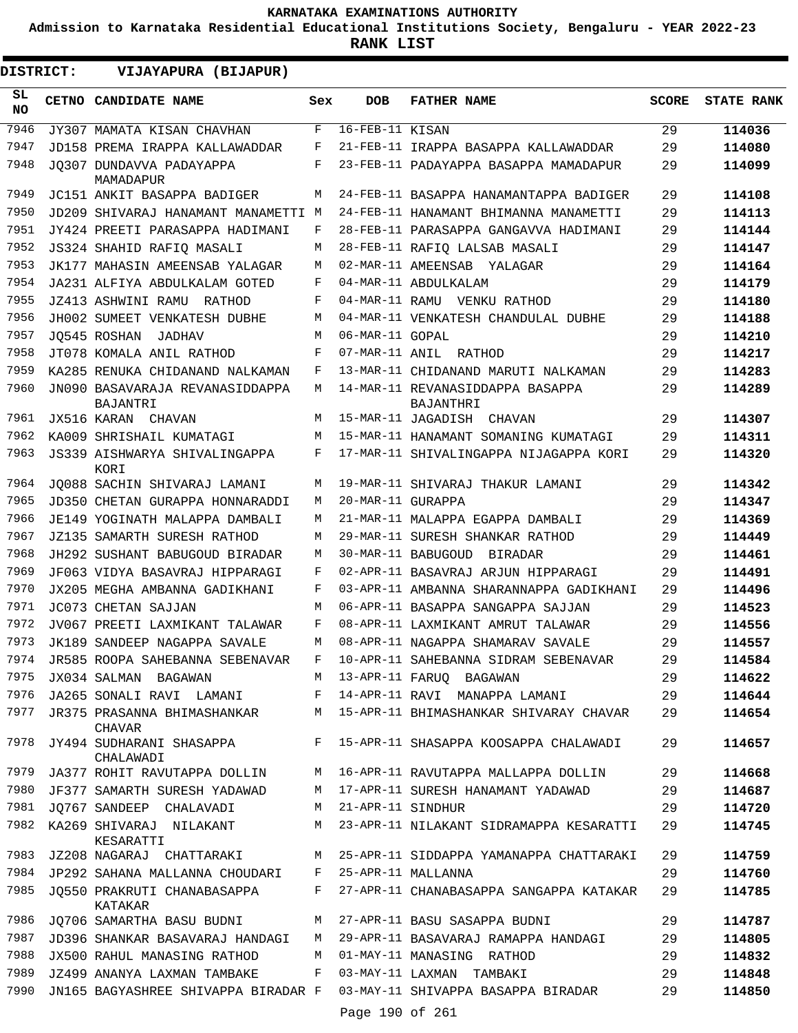**Admission to Karnataka Residential Educational Institutions Society, Bengaluru - YEAR 2022-23**

| DISTRICT:       | VIJAYAPURA (BIJAPUR)                                     |     |                   |                                                      |              |                   |
|-----------------|----------------------------------------------------------|-----|-------------------|------------------------------------------------------|--------------|-------------------|
| SL<br><b>NO</b> | CETNO CANDIDATE NAME                                     | Sex | <b>DOB</b>        | <b>FATHER NAME</b>                                   | <b>SCORE</b> | <b>STATE RANK</b> |
| 7946            | JY307 MAMATA KISAN CHAVHAN                               | F   | 16-FEB-11 KISAN   |                                                      | 29           | 114036            |
| 7947            | JD158 PREMA IRAPPA KALLAWADDAR                           | F   |                   | 21-FEB-11 IRAPPA BASAPPA KALLAWADDAR                 | 29           | 114080            |
| 7948            | JO307 DUNDAVVA PADAYAPPA<br>MAMADAPUR                    | F   |                   | 23-FEB-11 PADAYAPPA BASAPPA MAMADAPUR                | 29           | 114099            |
| 7949            | JC151 ANKIT BASAPPA BADIGER                              | М   |                   | 24-FEB-11 BASAPPA HANAMANTAPPA BADIGER               | 29           | 114108            |
| 7950            | JD209 SHIVARAJ HANAMANT MANAMETTI M                      |     |                   | 24-FEB-11 HANAMANT BHIMANNA MANAMETTI                | 29           | 114113            |
| 7951            | JY424 PREETI PARASAPPA HADIMANI                          | F   |                   | 28-FEB-11 PARASAPPA GANGAVVA HADIMANI                | 29           | 114144            |
| 7952            | JS324 SHAHID RAFIO MASALI                                | М   |                   | 28-FEB-11 RAFIQ LALSAB MASALI                        | 29           | 114147            |
| 7953            | JK177 MAHASIN AMEENSAB YALAGAR                           | М   |                   | 02-MAR-11 AMEENSAB<br>YALAGAR                        | 29           | 114164            |
| 7954            | JA231 ALFIYA ABDULKALAM GOTED                            | F   |                   | 04-MAR-11 ABDULKALAM                                 | 29           | 114179            |
| 7955            | JZ413 ASHWINI RAMU<br>RATHOD                             | F   |                   | 04-MAR-11 RAMU VENKU RATHOD                          | 29           | 114180            |
| 7956            | JH002 SUMEET VENKATESH DUBHE                             | М   |                   | 04-MAR-11 VENKATESH CHANDULAL DUBHE                  | 29           | 114188            |
| 7957            | JO545 ROSHAN<br>JADHAV                                   | М   | 06-MAR-11 GOPAL   |                                                      | 29           | 114210            |
| 7958            | JT078 KOMALA ANIL RATHOD                                 | F   |                   | 07-MAR-11 ANIL RATHOD                                | 29           | 114217            |
| 7959            | KA285 RENUKA CHIDANAND NALKAMAN                          | F   |                   | 13-MAR-11 CHIDANAND MARUTI NALKAMAN                  | 29           | 114283            |
| 7960            | JN090 BASAVARAJA REVANASIDDAPPA<br>BAJANTRI              | М   |                   | 14-MAR-11 REVANASIDDAPPA BASAPPA<br><b>BAJANTHRI</b> | 29           | 114289            |
| 7961            | JX516 KARAN CHAVAN                                       | M   |                   | 15-MAR-11 JAGADISH CHAVAN                            | 29           | 114307            |
| 7962            | KA009 SHRISHAIL KUMATAGI                                 | М   |                   | 15-MAR-11 HANAMANT SOMANING KUMATAGI                 | 29           | 114311            |
| 7963            | JS339 AISHWARYA SHIVALINGAPPA<br>KORI                    | F   |                   | 17-MAR-11 SHIVALINGAPPA NIJAGAPPA KORI               | 29           | 114320            |
| 7964            | JO088 SACHIN SHIVARAJ LAMANI                             | М   |                   | 19-MAR-11 SHIVARAJ THAKUR LAMANI                     | 29           | 114342            |
| 7965            | JD350 CHETAN GURAPPA HONNARADDI                          | М   | 20-MAR-11 GURAPPA |                                                      | 29           | 114347            |
| 7966            | JE149 YOGINATH MALAPPA DAMBALI                           | М   |                   | 21-MAR-11 MALAPPA EGAPPA DAMBALI                     | 29           | 114369            |
| 7967            | JZ135 SAMARTH SURESH RATHOD                              | М   |                   | 29-MAR-11 SURESH SHANKAR RATHOD                      | 29           | 114449            |
| 7968            | JH292 SUSHANT BABUGOUD BIRADAR                           | М   |                   | 30-MAR-11 BABUGOUD BIRADAR                           | 29           | 114461            |
| 7969            | JF063 VIDYA BASAVRAJ HIPPARAGI                           | F   |                   | 02-APR-11 BASAVRAJ ARJUN HIPPARAGI                   | 29           | 114491            |
| 7970            | JX205 MEGHA AMBANNA GADIKHANI                            | F   |                   | 03-APR-11 AMBANNA SHARANNAPPA GADIKHANI              | 29           | 114496            |
| 7971            | JC073 CHETAN SAJJAN                                      | М   |                   | 06-APR-11 BASAPPA SANGAPPA SAJJAN                    | 29           | 114523            |
| 7972            | JV067 PREETI LAXMIKANT TALAWAR                           | F   |                   | 08-APR-11 LAXMIKANT AMRUT TALAWAR                    | 29           | 114556            |
| 7973            | JK189 SANDEEP NAGAPPA SAVALE                             | М   |                   | 08-APR-11 NAGAPPA SHAMARAV SAVALE                    | 29           | 114557            |
| 7974            | JR585 ROOPA SAHEBANNA SEBENAVAR                          | F   |                   | 10-APR-11 SAHEBANNA SIDRAM SEBENAVAR                 | 29           | 114584            |
| 7975            | JX034 SALMAN BAGAWAN                                     |     |                   | M 13-APR-11 FARUO BAGAWAN                            | 29           | 114622            |
| 7976            | JA265 SONALI RAVI LAMANI                                 | F   |                   | 14-APR-11 RAVI MANAPPA LAMANI                        | 29           | 114644            |
| 7977            | JR375 PRASANNA BHIMASHANKAR<br>CHAVAR                    | M   |                   | 15-APR-11 BHIMASHANKAR SHIVARAY CHAVAR               | 29           | 114654            |
| 7978            | JY494 SUDHARANI SHASAPPA<br>CHALAWADI                    | F   |                   | 15-APR-11 SHASAPPA KOOSAPPA CHALAWADI                | 29           | 114657            |
| 7979            | JA377 ROHIT RAVUTAPPA DOLLIN                             | M   |                   | 16-APR-11 RAVUTAPPA MALLAPPA DOLLIN                  | 29           | 114668            |
| 7980            | JF377 SAMARTH SURESH YADAWAD                             | M   |                   | 17-APR-11 SURESH HANAMANT YADAWAD                    | 29           | 114687            |
|                 | 7981 JQ767 SANDEEP CHALAVADI                             | M   | 21-APR-11 SINDHUR |                                                      | 29           | 114720            |
| 7982            | KA269 SHIVARAJ NILAKANT<br>KESARATTI                     | М   |                   | 23-APR-11 NILAKANT SIDRAMAPPA KESARATTI              | 29           | 114745            |
| 7983            | JZ208 NAGARAJ CHATTARAKI                                 |     |                   | M 25-APR-11 SIDDAPPA YAMANAPPA CHATTARAKI            | 29           | 114759            |
|                 | 7984 JP292 SAHANA MALLANNA CHOUDARI F 25-APR-11 MALLANNA |     |                   |                                                      | 29           | 114760            |
| 7985            | JQ550 PRAKRUTI CHANABASAPPA<br>KATAKAR                   | F   |                   | 27-APR-11 CHANABASAPPA SANGAPPA KATAKAR              | 29           | 114785            |
| 7986            | JQ706 SAMARTHA BASU BUDNI                                | M   |                   | 27-APR-11 BASU SASAPPA BUDNI                         | 29           | 114787            |
| 7987            | JD396 SHANKAR BASAVARAJ HANDAGI                          | M   |                   | 29-APR-11 BASAVARAJ RAMAPPA HANDAGI                  | 29           | 114805            |
| 7988            | JX500 RAHUL MANASING RATHOD                              | М   |                   | 01-MAY-11 MANASING RATHOD                            | 29           | 114832            |
| 7989            | JZ499 ANANYA LAXMAN TAMBAKE                              | F   |                   | 03-MAY-11 LAXMAN TAMBAKI                             | 29           | 114848            |
| 7990            | JN165 BAGYASHREE SHIVAPPA BIRADAR F                      |     | Page 190 of 261   | 03-MAY-11 SHIVAPPA BASAPPA BIRADAR                   | 29           | 114850            |
|                 |                                                          |     |                   |                                                      |              |                   |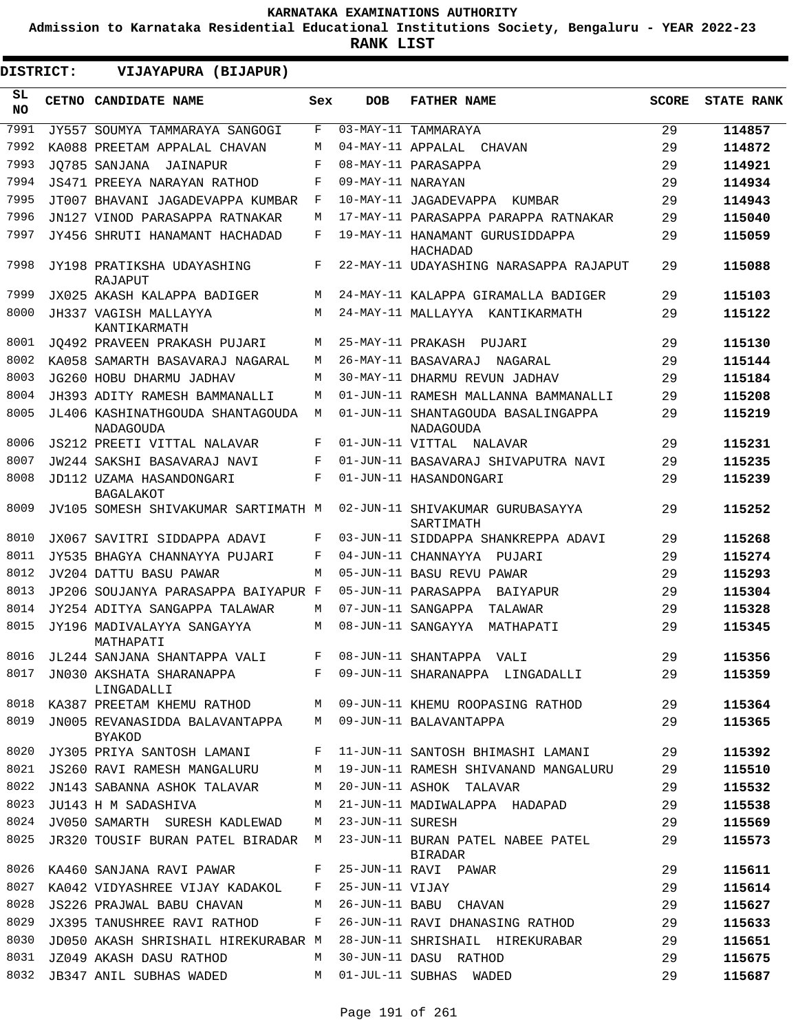**Admission to Karnataka Residential Educational Institutions Society, Bengaluru - YEAR 2022-23**

| DISTRICT:        | VIJAYAPURA (BIJAPUR)                            |     |                   |                                                        |              |                   |
|------------------|-------------------------------------------------|-----|-------------------|--------------------------------------------------------|--------------|-------------------|
| SL.<br><b>NO</b> | CETNO CANDIDATE NAME                            | Sex | <b>DOB</b>        | <b>FATHER NAME</b>                                     | <b>SCORE</b> | <b>STATE RANK</b> |
| 7991             | JY557 SOUMYA TAMMARAYA SANGOGI                  | F   |                   | 03-MAY-11 TAMMARAYA                                    | 29           | 114857            |
| 7992             | KA088 PREETAM APPALAL CHAVAN                    | M   |                   | 04-MAY-11 APPALAL CHAVAN                               | 29           | 114872            |
| 7993             | JO785 SANJANA JAINAPUR                          | F   |                   | 08-MAY-11 PARASAPPA                                    | 29           | 114921            |
| 7994             | JS471 PREEYA NARAYAN RATHOD                     | F   | 09-MAY-11 NARAYAN |                                                        | 29           | 114934            |
| 7995             | JT007 BHAVANI JAGADEVAPPA KUMBAR                | F   |                   | 10-MAY-11 JAGADEVAPPA KUMBAR                           | 29           | 114943            |
| 7996             | JN127 VINOD PARASAPPA RATNAKAR                  | М   |                   | 17-MAY-11 PARASAPPA PARAPPA RATNAKAR                   | 29           | 115040            |
| 7997             | JY456 SHRUTI HANAMANT HACHADAD                  | F   |                   | 19-MAY-11 HANAMANT GURUSIDDAPPA<br>HACHADAD            | 29           | 115059            |
| 7998             | JY198 PRATIKSHA UDAYASHING<br>RAJAPUT           | F   |                   | 22-MAY-11 UDAYASHING NARASAPPA RAJAPUT                 | 29           | 115088            |
| 7999             | JX025 AKASH KALAPPA BADIGER                     | M   |                   | 24-MAY-11 KALAPPA GIRAMALLA BADIGER                    | 29           | 115103            |
| 8000             | JH337 VAGISH MALLAYYA<br>KANTIKARMATH           | М   |                   | 24-MAY-11 MALLAYYA KANTIKARMATH                        | 29           | 115122            |
| 8001             | JO492 PRAVEEN PRAKASH PUJARI                    | М   |                   | 25-MAY-11 PRAKASH PUJARI                               | 29           | 115130            |
| 8002             | KA058 SAMARTH BASAVARAJ NAGARAL                 | M   |                   | 26-MAY-11 BASAVARAJ<br>NAGARAL                         | 29           | 115144            |
| 8003             | JG260 HOBU DHARMU JADHAV                        | M   |                   | 30-MAY-11 DHARMU REVUN JADHAV                          | 29           | 115184            |
| 8004             | JH393 ADITY RAMESH BAMMANALLI                   | M   |                   | 01-JUN-11 RAMESH MALLANNA BAMMANALLI                   | 29           | 115208            |
| 8005             | JL406 KASHINATHGOUDA SHANTAGOUDA<br>NADAGOUDA   | M   |                   | 01-JUN-11 SHANTAGOUDA BASALINGAPPA<br><b>NADAGOUDA</b> | 29           | 115219            |
| 8006             | <b>JS212 PREETI VITTAL NALAVAR</b>              | F   |                   | 01-JUN-11 VITTAL NALAVAR                               | 29           | 115231            |
| 8007             | JW244 SAKSHI BASAVARAJ NAVI                     | F   |                   | 01-JUN-11 BASAVARAJ SHIVAPUTRA NAVI                    | 29           | 115235            |
| 8008             | JD112 UZAMA HASANDONGARI<br><b>BAGALAKOT</b>    | F   |                   | 01-JUN-11 HASANDONGARI                                 | 29           | 115239            |
| 8009             | JV105 SOMESH SHIVAKUMAR SARTIMATH M             |     |                   | 02-JUN-11 SHIVAKUMAR GURUBASAYYA<br>SARTIMATH          | 29           | 115252            |
| 8010             | JX067 SAVITRI SIDDAPPA ADAVI                    | F   |                   | 03-JUN-11 SIDDAPPA SHANKREPPA ADAVI                    | 29           | 115268            |
| 8011             | JY535 BHAGYA CHANNAYYA PUJARI                   | F   |                   | 04-JUN-11 CHANNAYYA PUJARI                             | 29           | 115274            |
| 8012             | JV204 DATTU BASU PAWAR                          | M   |                   | 05-JUN-11 BASU REVU PAWAR                              | 29           | 115293            |
| 8013             | JP206 SOUJANYA PARASAPPA BAIYAPUR F             |     |                   | 05-JUN-11 PARASAPPA BAIYAPUR                           | 29           | 115304            |
| 8014             | JY254 ADITYA SANGAPPA TALAWAR                   | М   |                   | 07-JUN-11 SANGAPPA<br>TALAWAR                          | 29           | 115328            |
| 8015             | JY196 MADIVALAYYA SANGAYYA<br>MATHAPATI         | M   |                   | 08-JUN-11 SANGAYYA<br>MATHAPATI                        | 29           | 115345            |
| 8016             | JL244 SANJANA SHANTAPPA VALI                    | F   |                   | 08-JUN-11 SHANTAPPA VALI                               | 29           | 115356            |
| 8017             | JN030 AKSHATA SHARANAPPA<br>LINGADALLI          | F   |                   | 09-JUN-11 SHARANAPPA LINGADALLI                        | 29           | 115359            |
| 8018             | KA387 PREETAM KHEMU RATHOD M                    |     |                   | 09-JUN-11 KHEMU ROOPASING RATHOD                       | 29           | 115364            |
| 8019             | JN005 REVANASIDDA BALAVANTAPPA<br><b>BYAKOD</b> | M   |                   | 09-JUN-11 BALAVANTAPPA                                 | 29           | 115365            |
| 8020             | JY305 PRIYA SANTOSH LAMANI                      | F   |                   | 11-JUN-11 SANTOSH BHIMASHI LAMANI                      | 29           | 115392            |
| 8021             | JS260 RAVI RAMESH MANGALURU                     | M   |                   | 19-JUN-11 RAMESH SHIVANAND MANGALURU                   | 29           | 115510            |
| 8022             | JN143 SABANNA ASHOK TALAVAR                     | M   |                   | 20-JUN-11 ASHOK TALAVAR                                | 29           | 115532            |
| 8023             | JU143 H M SADASHIVA                             | M   |                   | 21-JUN-11 MADIWALAPPA HADAPAD                          | 29           | 115538            |
| 8024             | JV050 SAMARTH SURESH KADLEWAD                   | М   | 23-JUN-11 SURESH  |                                                        | 29           | 115569            |
| 8025             | JR320 TOUSIF BURAN PATEL BIRADAR M              |     |                   | 23-JUN-11 BURAN PATEL NABEE PATEL<br>BIRADAR           | 29           | 115573            |
| 8026             | KA460 SANJANA RAVI PAWAR                        | F   |                   | 25-JUN-11 RAVI PAWAR                                   | 29           | 115611            |
| 8027             | KA042 VIDYASHREE VIJAY KADAKOL                  | F   | 25-JUN-11 VIJAY   |                                                        | 29           | 115614            |
| 8028             | JS226 PRAJWAL BABU CHAVAN                       | М   |                   | 26-JUN-11 BABU CHAVAN                                  | 29           | 115627            |
| 8029             | JX395 TANUSHREE RAVI RATHOD                     | F   |                   | 26-JUN-11 RAVI DHANASING RATHOD                        | 29           | 115633            |
| 8030             | JD050 AKASH SHRISHAIL HIREKURABAR M             |     |                   | 28-JUN-11 SHRISHAIL HIREKURABAR                        | 29           | 115651            |
| 8031             | JZ049 AKASH DASU RATHOD                         | М   |                   | 30-JUN-11 DASU RATHOD                                  | 29           | 115675            |
| 8032             | JB347 ANIL SUBHAS WADED                         | M   |                   | 01-JUL-11 SUBHAS WADED                                 | 29           | 115687            |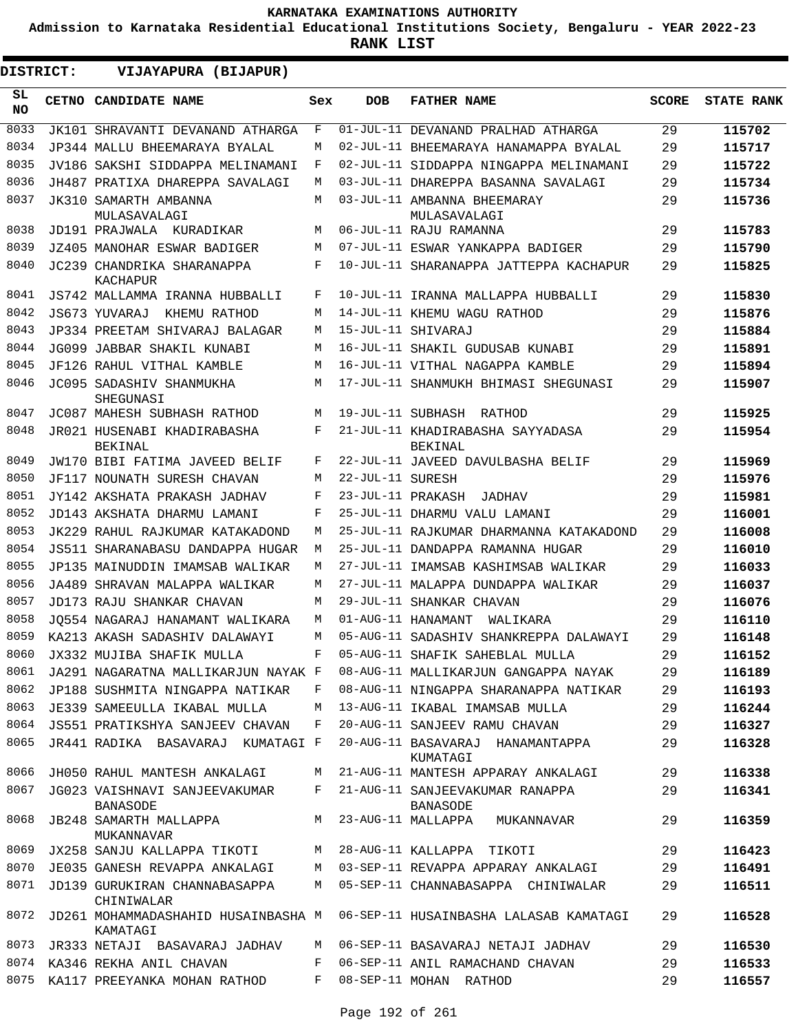**Admission to Karnataka Residential Educational Institutions Society, Bengaluru - YEAR 2022-23**

| DISTRICT:       | VIJAYAPURA (BIJAPUR)                            |     |                   |                                                    |              |                   |
|-----------------|-------------------------------------------------|-----|-------------------|----------------------------------------------------|--------------|-------------------|
| SL<br><b>NO</b> | CETNO CANDIDATE NAME                            | Sex | <b>DOB</b>        | <b>FATHER NAME</b>                                 | <b>SCORE</b> | <b>STATE RANK</b> |
| 8033            | JK101 SHRAVANTI DEVANAND ATHARGA                | F   |                   | 01-JUL-11 DEVANAND PRALHAD ATHARGA                 | 29           | 115702            |
| 8034            | JP344 MALLU BHEEMARAYA BYALAL                   | М   |                   | 02-JUL-11 BHEEMARAYA HANAMAPPA BYALAL              | 29           | 115717            |
| 8035            | JV186 SAKSHI SIDDAPPA MELINAMANI                | F   |                   | 02-JUL-11 SIDDAPPA NINGAPPA MELINAMANI             | 29           | 115722            |
| 8036            | JH487 PRATIXA DHAREPPA SAVALAGI                 | М   |                   | 03-JUL-11 DHAREPPA BASANNA SAVALAGI                | 29           | 115734            |
| 8037            | JK310 SAMARTH AMBANNA<br>MULASAVALAGI           | М   |                   | 03-JUL-11 AMBANNA BHEEMARAY<br>MULASAVALAGI        | 29           | 115736            |
| 8038            | JD191 PRAJWALA KURADIKAR                        | М   |                   | 06-JUL-11 RAJU RAMANNA                             | 29           | 115783            |
| 8039            | JZ405 MANOHAR ESWAR BADIGER                     | М   |                   | 07-JUL-11 ESWAR YANKAPPA BADIGER                   | 29           | 115790            |
| 8040            | JC239 CHANDRIKA SHARANAPPA<br>KACHAPUR          | F   |                   | 10-JUL-11 SHARANAPPA JATTEPPA KACHAPUR             | 29           | 115825            |
| 8041            | JS742 MALLAMMA IRANNA HUBBALLI                  | F   |                   | 10-JUL-11 IRANNA MALLAPPA HUBBALLI                 | 29           | 115830            |
| 8042            | KHEMU RATHOD<br>JS673 YUVARAJ                   | М   |                   | 14-JUL-11 KHEMU WAGU RATHOD                        | 29           | 115876            |
| 8043            | JP334 PREETAM SHIVARAJ BALAGAR                  | M   |                   | 15-JUL-11 SHIVARAJ                                 | 29           | 115884            |
| 8044            | JG099 JABBAR SHAKIL KUNABI                      | M   |                   | 16-JUL-11 SHAKIL GUDUSAB KUNABI                    | 29           | 115891            |
| 8045            | JF126 RAHUL VITHAL KAMBLE                       | M   |                   | 16-JUL-11 VITHAL NAGAPPA KAMBLE                    | 29           | 115894            |
| 8046            | JC095 SADASHIV SHANMUKHA<br>SHEGUNASI           | М   |                   | 17-JUL-11 SHANMUKH BHIMASI SHEGUNASI               | 29           | 115907            |
| 8047            | JC087 MAHESH SUBHASH RATHOD                     | М   |                   | 19-JUL-11 SUBHASH RATHOD                           | 29           | 115925            |
| 8048            | JR021 HUSENABI KHADIRABASHA<br>BEKINAL          | F   |                   | 21-JUL-11 KHADIRABASHA SAYYADASA<br><b>BEKINAL</b> | 29           | 115954            |
| 8049            | JW170 BIBI FATIMA JAVEED BELIF                  | F   |                   | 22-JUL-11 JAVEED DAVULBASHA BELIF                  | 29           | 115969            |
| 8050            | JF117 NOUNATH SURESH CHAVAN                     | М   | 22-JUL-11 SURESH  |                                                    | 29           | 115976            |
| 8051            | JY142 AKSHATA PRAKASH JADHAV                    | F   | 23-JUL-11 PRAKASH | <b>JADHAV</b>                                      | 29           | 115981            |
| 8052            | JD143 AKSHATA DHARMU LAMANI                     | F   |                   | 25-JUL-11 DHARMU VALU LAMANI                       | 29           | 116001            |
| 8053            | JK229 RAHUL RAJKUMAR KATAKADOND                 | М   |                   | 25-JUL-11 RAJKUMAR DHARMANNA KATAKADOND            | 29           | 116008            |
| 8054            | JS511 SHARANABASU DANDAPPA HUGAR                | М   |                   | 25-JUL-11 DANDAPPA RAMANNA HUGAR                   | 29           | 116010            |
| 8055            | JP135 MAINUDDIN IMAMSAB WALIKAR                 | М   |                   | 27-JUL-11 IMAMSAB KASHIMSAB WALIKAR                | 29           | 116033            |
| 8056            | JA489 SHRAVAN MALAPPA WALIKAR                   | М   |                   | 27-JUL-11 MALAPPA DUNDAPPA WALIKAR                 | 29           | 116037            |
| 8057            | JD173 RAJU SHANKAR CHAVAN                       | М   |                   | 29-JUL-11 SHANKAR CHAVAN                           | 29           | 116076            |
| 8058            | JO554 NAGARAJ HANAMANT WALIKARA                 | М   |                   | 01-AUG-11 HANAMANT<br>WALIKARA                     | 29           | 116110            |
| 8059            | KA213 AKASH SADASHIV DALAWAYI                   | М   |                   | 05-AUG-11 SADASHIV SHANKREPPA DALAWAYI             | 29           | 116148            |
| 8060            | JX332 MUJIBA SHAFIK MULLA                       | F   |                   | 05-AUG-11 SHAFIK SAHEBLAL MULLA                    | 29           | 116152            |
| 8061            | JA291 NAGARATNA MALLIKARJUN NAYAK F             |     |                   | 08-AUG-11 MALLIKARJUN GANGAPPA NAYAK               | 29           | 116189            |
| 8062            | JP188 SUSHMITA NINGAPPA NATIKAR                 | F   |                   | 08-AUG-11 NINGAPPA SHARANAPPA NATIKAR              | 29           | 116193            |
| 8063            | JE339 SAMEEULLA IKABAL MULLA                    | М   |                   | 13-AUG-11 IKABAL IMAMSAB MULLA                     | 29           | 116244            |
| 8064            | <b>JS551 PRATIKSHYA SANJEEV CHAVAN</b>          | F   |                   | 20-AUG-11 SANJEEV RAMU CHAVAN                      | 29           | 116327            |
| 8065            | JR441 RADIKA BASAVARAJ KUMATAGI F               |     |                   | 20-AUG-11 BASAVARAJ HANAMANTAPPA<br>KUMATAGI       | 29           | 116328            |
| 8066            | JH050 RAHUL MANTESH ANKALAGI                    | М   |                   | 21-AUG-11 MANTESH APPARAY ANKALAGI                 | 29           | 116338            |
| 8067            | JG023 VAISHNAVI SANJEEVAKUMAR<br>BANASODE       | F   |                   | 21-AUG-11 SANJEEVAKUMAR RANAPPA<br><b>BANASODE</b> | 29           | 116341            |
| 8068            | JB248 SAMARTH MALLAPPA<br>MUKANNAVAR            | М   |                   | 23-AUG-11 MALLAPPA MUKANNAVAR                      | 29           | 116359            |
| 8069            | JX258 SANJU KALLAPPA TIKOTI                     | М   |                   | 28-AUG-11 KALLAPPA TIKOTI                          | 29           | 116423            |
| 8070            | JE035 GANESH REVAPPA ANKALAGI                   | М   |                   | 03-SEP-11 REVAPPA APPARAY ANKALAGI                 | 29           | 116491            |
| 8071            | JD139 GURUKIRAN CHANNABASAPPA<br>CHINIWALAR     | M   |                   | 05-SEP-11 CHANNABASAPPA CHINIWALAR                 | 29           | 116511            |
| 8072            | JD261 MOHAMMADASHAHID HUSAINBASHA M<br>KAMATAGI |     |                   | 06-SEP-11 HUSAINBASHA LALASAB KAMATAGI             | 29           | 116528            |
| 8073            | JR333 NETAJI BASAVARAJ JADHAV                   | М   |                   | 06-SEP-11 BASAVARAJ NETAJI JADHAV                  | 29           | 116530            |
| 8074            | KA346 REKHA ANIL CHAVAN                         | F   |                   | 06-SEP-11 ANIL RAMACHAND CHAVAN                    | 29           | 116533            |
| 8075            | KA117 PREEYANKA MOHAN RATHOD                    | F   |                   | 08-SEP-11 MOHAN RATHOD                             | 29           | 116557            |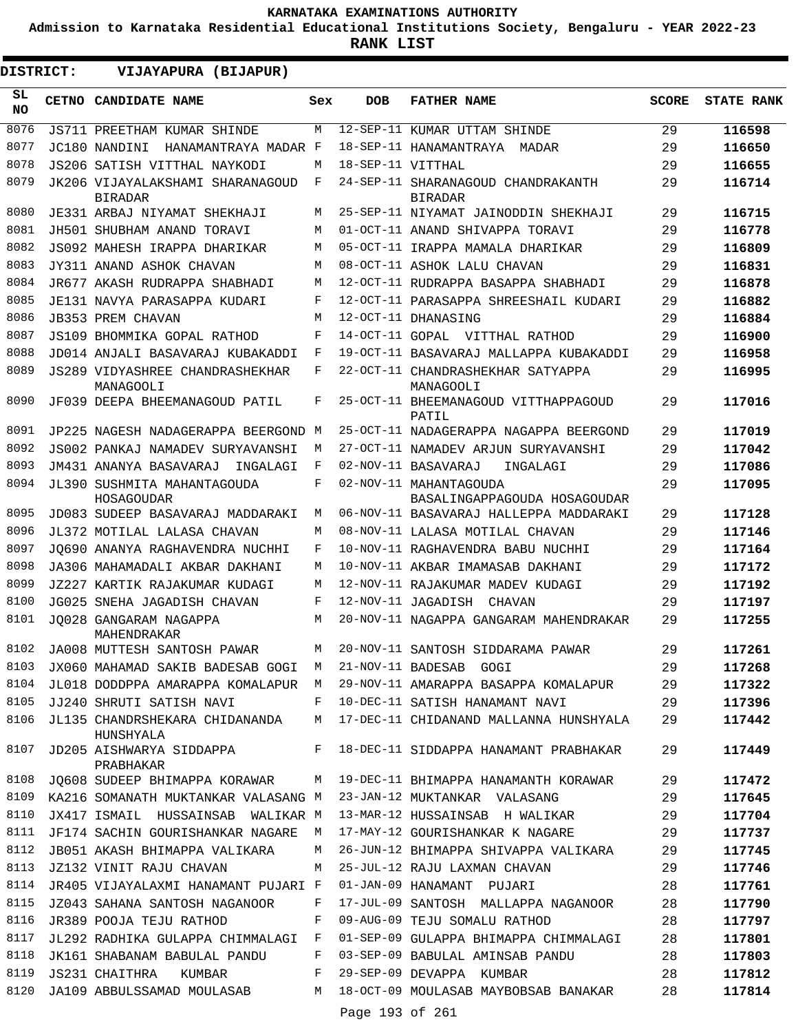**Admission to Karnataka Residential Educational Institutions Society, Bengaluru - YEAR 2022-23**

**RANK LIST**

**DISTRICT:** EE **VIJAYAPURA (BIJAPUR)**

| SL<br><b>NO</b> | CETNO CANDIDATE NAME                                           | Sex | <b>DOB</b>        | <b>FATHER NAME</b>                                     | <b>SCORE</b> | <b>STATE RANK</b> |
|-----------------|----------------------------------------------------------------|-----|-------------------|--------------------------------------------------------|--------------|-------------------|
| 8076            | JS711 PREETHAM KUMAR SHINDE                                    | М   |                   | 12-SEP-11 KUMAR UTTAM SHINDE                           | 29           | 116598            |
| 8077            | JC180 NANDINI<br>HANAMANTRAYA MADAR F                          |     |                   | 18-SEP-11 HANAMANTRAYA<br>MADAR                        | 29           | 116650            |
| 8078            | JS206 SATISH VITTHAL NAYKODI                                   | М   | 18-SEP-11 VITTHAL |                                                        | 29           | 116655            |
| 8079            | JK206 VIJAYALAKSHAMI SHARANAGOUD<br><b>BIRADAR</b>             | F   |                   | 24-SEP-11 SHARANAGOUD CHANDRAKANTH<br><b>BIRADAR</b>   | 29           | 116714            |
| 8080            | JE331 ARBAJ NIYAMAT SHEKHAJI                                   | М   |                   | 25-SEP-11 NIYAMAT JAINODDIN SHEKHAJI                   | 29           | 116715            |
| 8081            | JH501 SHUBHAM ANAND TORAVI                                     | М   |                   | 01-OCT-11 ANAND SHIVAPPA TORAVI                        | 29           | 116778            |
| 8082            | JS092 MAHESH IRAPPA DHARIKAR                                   | М   |                   | 05-OCT-11 IRAPPA MAMALA DHARIKAR                       | 29           | 116809            |
| 8083            | JY311 ANAND ASHOK CHAVAN                                       | М   |                   | 08-OCT-11 ASHOK LALU CHAVAN                            | 29           | 116831            |
| 8084            | JR677 AKASH RUDRAPPA SHABHADI                                  | М   |                   | 12-OCT-11 RUDRAPPA BASAPPA SHABHADI                    | 29           | 116878            |
| 8085            | JE131 NAVYA PARASAPPA KUDARI                                   | F   |                   | 12-OCT-11 PARASAPPA SHREESHAIL KUDARI                  | 29           | 116882            |
| 8086            | <b>JB353 PREM CHAVAN</b>                                       | М   |                   | 12-OCT-11 DHANASING                                    | 29           | 116884            |
| 8087            | JS109 BHOMMIKA GOPAL RATHOD                                    | F   |                   | 14-OCT-11 GOPAL VITTHAL RATHOD                         | 29           | 116900            |
| 8088            | JD014 ANJALI BASAVARAJ KUBAKADDI                               | F   |                   | 19-OCT-11 BASAVARAJ MALLAPPA KUBAKADDI                 | 29           | 116958            |
| 8089            | <b>JS289 VIDYASHREE CHANDRASHEKHAR</b><br>MANAGOOLI            | F   |                   | 22-OCT-11 CHANDRASHEKHAR SATYAPPA<br>MANAGOOLI         | 29           | 116995            |
| 8090            | JF039 DEEPA BHEEMANAGOUD PATIL                                 | F   |                   | 25-OCT-11 BHEEMANAGOUD VITTHAPPAGOUD<br>PATIL          | 29           | 117016            |
| 8091            | JP225 NAGESH NADAGERAPPA BEERGOND M                            |     |                   | 25-OCT-11 NADAGERAPPA NAGAPPA BEERGOND                 | 29           | 117019            |
| 8092            | JS002 PANKAJ NAMADEV SURYAVANSHI                               | M   |                   | 27-OCT-11 NAMADEV ARJUN SURYAVANSHI                    | 29           | 117042            |
| 8093            | JM431 ANANYA BASAVARAJ<br>INGALAGI                             | F   |                   | 02-NOV-11 BASAVARAJ<br>INGALAGI                        | 29           | 117086            |
| 8094            | JL390 SUSHMITA MAHANTAGOUDA<br>HOSAGOUDAR                      | F   |                   | 02-NOV-11 MAHANTAGOUDA<br>BASALINGAPPAGOUDA HOSAGOUDAR | 29           | 117095            |
| 8095            | JD083 SUDEEP BASAVARAJ MADDARAKI                               | М   |                   | 06-NOV-11 BASAVARAJ HALLEPPA MADDARAKI                 | 29           | 117128            |
| 8096            | JL372 MOTILAL LALASA CHAVAN                                    | М   |                   | 08-NOV-11 LALASA MOTILAL CHAVAN                        | 29           | 117146            |
| 8097            | JO690 ANANYA RAGHAVENDRA NUCHHI                                | F   |                   | 10-NOV-11 RAGHAVENDRA BABU NUCHHI                      | 29           | 117164            |
| 8098            | JA306 MAHAMADALI AKBAR DAKHANI                                 | М   |                   | 10-NOV-11 AKBAR IMAMASAB DAKHANI                       | 29           | 117172            |
| 8099            | JZ227 KARTIK RAJAKUMAR KUDAGI                                  | М   |                   | 12-NOV-11 RAJAKUMAR MADEV KUDAGI                       | 29           | 117192            |
| 8100            | JG025 SNEHA JAGADISH CHAVAN                                    | F   |                   | 12-NOV-11 JAGADISH CHAVAN                              | 29           | 117197            |
| 8101            | JO028 GANGARAM NAGAPPA<br>MAHENDRAKAR                          | М   |                   | 20-NOV-11 NAGAPPA GANGARAM MAHENDRAKAR                 | 29           | 117255            |
| 8102            | JA008 MUTTESH SANTOSH PAWAR                                    | М   |                   | 20-NOV-11 SANTOSH SIDDARAMA PAWAR                      | 29           | 117261            |
|                 | 8103 JX060 MAHAMAD SAKIB BADESAB GOGI M 21-NOV-11 BADESAB GOGI |     |                   |                                                        | 29           | 117268            |
| 8104            | JL018 DODDPPA AMARAPPA KOMALAPUR                               | M   |                   | 29-NOV-11 AMARAPPA BASAPPA KOMALAPUR                   | 29           | 117322            |
| 8105            | JJ240 SHRUTI SATISH NAVI                                       | F   |                   | 10-DEC-11 SATISH HANAMANT NAVI                         | 29           | 117396            |
| 8106            | JL135 CHANDRSHEKARA CHIDANANDA<br>HUNSHYALA                    | М   |                   | 17-DEC-11 CHIDANAND MALLANNA HUNSHYALA                 | 29           | 117442            |
| 8107            | JD205 AISHWARYA SIDDAPPA<br>PRABHAKAR                          | F   |                   | 18-DEC-11 SIDDAPPA HANAMANT PRABHAKAR                  | 29           | 117449            |
| 8108            | JQ608 SUDEEP BHIMAPPA KORAWAR                                  | М   |                   | 19-DEC-11 BHIMAPPA HANAMANTH KORAWAR                   | 29           | 117472            |
| 8109            | KA216 SOMANATH MUKTANKAR VALASANG M                            |     |                   | 23-JAN-12 MUKTANKAR VALASANG                           | 29           | 117645            |
| 8110            | JX417 ISMAIL HUSSAINSAB WALIKAR M                              |     |                   | 13-MAR-12 HUSSAINSAB H WALIKAR                         | 29           | 117704            |
| 8111            | JF174 SACHIN GOURISHANKAR NAGARE                               | М   |                   | 17-MAY-12 GOURISHANKAR K NAGARE                        | 29           | 117737            |
| 8112            | JB051 AKASH BHIMAPPA VALIKARA                                  | М   |                   | 26-JUN-12 BHIMAPPA SHIVAPPA VALIKARA                   | 29           | 117745            |
| 8113            | JZ132 VINIT RAJU CHAVAN                                        | М   |                   | 25-JUL-12 RAJU LAXMAN CHAVAN                           | 29           | 117746            |
| 8114            | JR405 VIJAYALAXMI HANAMANT PUJARI F                            |     |                   | 01-JAN-09 HANAMANT PUJARI                              | 28           | 117761            |
| 8115            | JZ043 SAHANA SANTOSH NAGANOOR                                  | F   |                   | 17-JUL-09 SANTOSH MALLAPPA NAGANOOR                    | 28           | 117790            |
| 8116            | JR389 POOJA TEJU RATHOD                                        | F   |                   | 09-AUG-09 TEJU SOMALU RATHOD                           | 28           | 117797            |
| 8117            | JL292 RADHIKA GULAPPA CHIMMALAGI                               | F   |                   | 01-SEP-09 GULAPPA BHIMAPPA CHIMMALAGI                  | 28           | 117801            |
| 8118            | JK161 SHABANAM BABULAL PANDU                                   | F   |                   | 03-SEP-09 BABULAL AMINSAB PANDU                        | 28           | 117803            |
| 8119            | JS231 CHAITHRA<br>KUMBAR                                       | F   |                   | 29-SEP-09 DEVAPPA KUMBAR                               | 28           | 117812            |
| 8120            | JA109 ABBULSSAMAD MOULASAB                                     | М   | Page 193 of 261   | 18-OCT-09 MOULASAB MAYBOBSAB BANAKAR                   | 28           | 117814            |
|                 |                                                                |     |                   |                                                        |              |                   |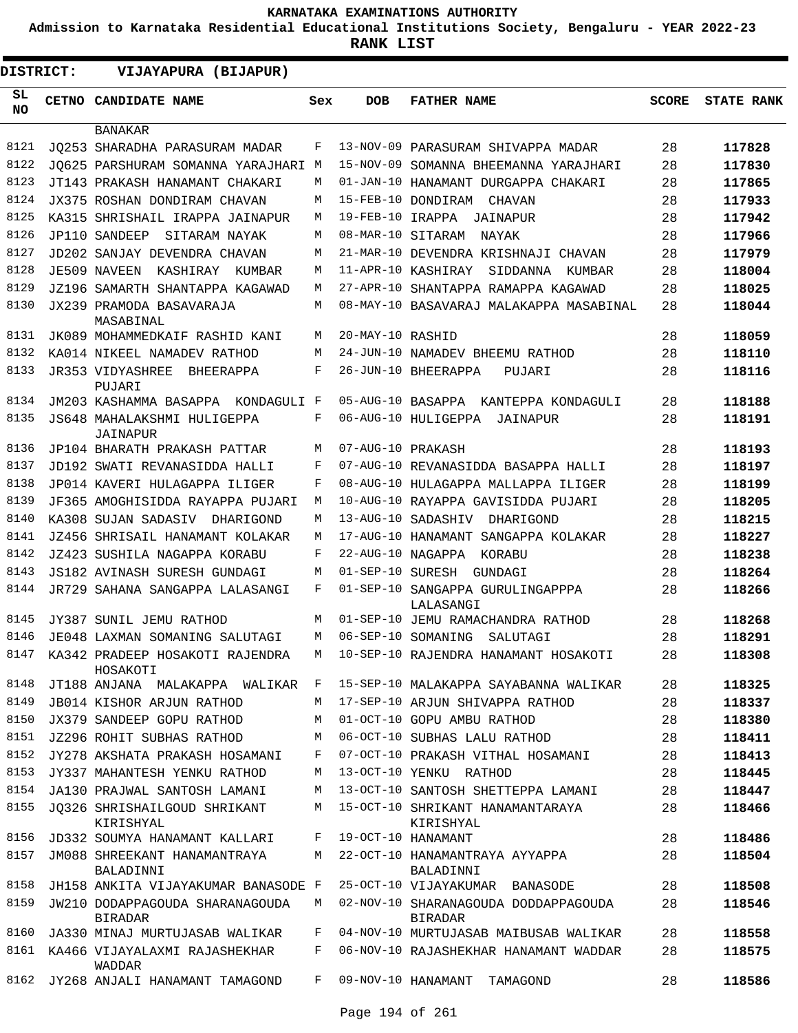**Admission to Karnataka Residential Educational Institutions Society, Bengaluru - YEAR 2022-23**

**RANK LIST**

| DISTRICT: |  | VIJAYAPURA (BIJAPUR)                              |     |                   |                                                        |              |                   |
|-----------|--|---------------------------------------------------|-----|-------------------|--------------------------------------------------------|--------------|-------------------|
| SL<br>NO. |  | CETNO CANDIDATE NAME                              | Sex | <b>DOB</b>        | <b>FATHER NAME</b>                                     | <b>SCORE</b> | <b>STATE RANK</b> |
|           |  | <b>BANAKAR</b>                                    |     |                   |                                                        |              |                   |
| 8121      |  | JO253 SHARADHA PARASURAM MADAR                    | F   | $13 - NOV - 09$   | PARASURAM SHIVAPPA MADAR                               | 28           | 117828            |
| 8122      |  | JO625 PARSHURAM SOMANNA YARAJHARI M               |     |                   | 15-NOV-09 SOMANNA BHEEMANNA YARAJHARI                  | 28           | 117830            |
| 8123      |  | JT143 PRAKASH HANAMANT CHAKARI                    | М   |                   | 01-JAN-10 HANAMANT DURGAPPA CHAKARI                    | 28           | 117865            |
| 8124      |  | JX375 ROSHAN DONDIRAM CHAVAN                      | М   |                   | 15-FEB-10 DONDIRAM<br>CHAVAN                           | 28           | 117933            |
| 8125      |  | KA315 SHRISHAIL IRAPPA JAINAPUR                   | M   | 19-FEB-10 IRAPPA  | JAINAPUR                                               | 28           | 117942            |
| 8126      |  | JP110 SANDEEP<br>SITARAM NAYAK                    | М   | 08-MAR-10 SITARAM | NAYAK                                                  | 28           | 117966            |
| 8127      |  | JD202 SANJAY DEVENDRA CHAVAN                      | М   |                   | 21-MAR-10 DEVENDRA KRISHNAJI CHAVAN                    | 28           | 117979            |
| 8128      |  | JE509 NAVEEN<br>KASHIRAY<br>KUMBAR                | M   |                   | 11-APR-10 KASHIRAY<br>SIDDANNA<br>KUMBAR               | 28           | 118004            |
| 8129      |  | JZ196 SAMARTH SHANTAPPA KAGAWAD                   | M   |                   | 27-APR-10 SHANTAPPA RAMAPPA KAGAWAD                    | 28           | 118025            |
| 8130      |  | JX239 PRAMODA BASAVARAJA<br>MASABINAL             | М   |                   | 08-MAY-10 BASAVARAJ MALAKAPPA MASABINAL                | 28           | 118044            |
| 8131      |  | JK089 MOHAMMEDKAIF RASHID KANI                    | М   | 20-MAY-10 RASHID  |                                                        | 28           | 118059            |
| 8132      |  | KA014 NIKEEL NAMADEV RATHOD                       | М   |                   | 24-JUN-10 NAMADEV BHEEMU RATHOD                        | 28           | 118110            |
| 8133      |  | JR353 VIDYASHREE<br><b>BHEERAPPA</b><br>PUJARI    | F   |                   | 26-JUN-10 BHEERAPPA<br>PUJARI                          | 28           | 118116            |
| 8134      |  | JM203 KASHAMMA BASAPPA KONDAGULI F                |     | 05-AUG-10 BASAPPA | KANTEPPA KONDAGULI                                     | 28           | 118188            |
| 8135      |  | JS648 MAHALAKSHMI HULIGEPPA<br>JAINAPUR           | F   |                   | 06-AUG-10 HULIGEPPA<br>JAINAPUR                        | 28           | 118191            |
| 8136      |  | JP104 BHARATH PRAKASH PATTAR                      | М   | 07-AUG-10 PRAKASH |                                                        | 28           | 118193            |
| 8137      |  | JD192 SWATI REVANASIDDA HALLI                     | F   |                   | 07-AUG-10 REVANASIDDA BASAPPA HALLI                    | 28           | 118197            |
| 8138      |  | JP014 KAVERI HULAGAPPA ILIGER                     | F   |                   | 08-AUG-10 HULAGAPPA MALLAPPA ILIGER                    | 28           | 118199            |
| 8139      |  | JF365 AMOGHISIDDA RAYAPPA PUJARI                  | М   |                   | 10-AUG-10 RAYAPPA GAVISIDDA PUJARI                     | 28           | 118205            |
| 8140      |  | KA308 SUJAN SADASIV DHARIGOND                     | М   |                   | 13-AUG-10 SADASHIV<br>DHARIGOND                        | 28           | 118215            |
| 8141      |  | JZ456 SHRISAIL HANAMANT KOLAKAR                   | М   |                   | 17-AUG-10 HANAMANT SANGAPPA KOLAKAR                    | 28           | 118227            |
| 8142      |  | JZ423 SUSHILA NAGAPPA KORABU                      | F   | 22-AUG-10 NAGAPPA | KORABU                                                 | 28           | 118238            |
| 8143      |  | JS182 AVINASH SURESH GUNDAGI                      | М   | 01-SEP-10 SURESH  | GUNDAGI                                                | 28           | 118264            |
| 8144      |  | JR729 SAHANA SANGAPPA LALASANGI                   | F   |                   | 01-SEP-10 SANGAPPA GURULINGAPPPA<br>LALASANGI          | 28           | 118266            |
| 8145      |  | JY387 SUNIL JEMU RATHOD                           | М   |                   | 01-SEP-10 JEMU RAMACHANDRA RATHOD                      | 28           | 118268            |
| 8146      |  | JE048 LAXMAN SOMANING SALUTAGI                    | М   |                   | 06-SEP-10 SOMANING<br>SALUTAGI                         | 28           | 118291            |
| 8147      |  | KA342 PRADEEP HOSAKOTI RAJENDRA<br>HOSAKOTI       | M   |                   | 10-SEP-10 RAJENDRA HANAMANT HOSAKOTI                   | 28           | 118308            |
| 8148      |  | JT188 ANJANA MALAKAPPA WALIKAR                    | F   |                   | 15-SEP-10 MALAKAPPA SAYABANNA WALIKAR                  | 28           | 118325            |
| 8149      |  | <b>JB014 KISHOR ARJUN RATHOD</b>                  | М   |                   | 17-SEP-10 ARJUN SHIVAPPA RATHOD                        | 28           | 118337            |
| 8150      |  | JX379 SANDEEP GOPU RATHOD                         | М   |                   | 01-OCT-10 GOPU AMBU RATHOD                             | 28           | 118380            |
| 8151      |  | <b>JZ296 ROHIT SUBHAS RATHOD</b>                  | М   |                   | 06-OCT-10 SUBHAS LALU RATHOD                           | 28           | 118411            |
| 8152      |  | JY278 AKSHATA PRAKASH HOSAMANI                    | F   |                   | 07-OCT-10 PRAKASH VITHAL HOSAMANI                      | 28           | 118413            |
| 8153      |  | JY337 MAHANTESH YENKU RATHOD                      | М   |                   | 13-OCT-10 YENKU RATHOD                                 | 28           | 118445            |
| 8154      |  | JA130 PRAJWAL SANTOSH LAMANI                      | М   |                   | 13-OCT-10 SANTOSH SHETTEPPA LAMANI                     | 28           | 118447            |
| 8155      |  | JO326 SHRISHAILGOUD SHRIKANT<br>KIRISHYAL         | М   |                   | 15-OCT-10 SHRIKANT HANAMANTARAYA<br>KIRISHYAL          | 28           | 118466            |
| 8156      |  | JD332 SOUMYA HANAMANT KALLARI                     | F   |                   | 19-OCT-10 HANAMANT                                     | 28           | 118486            |
| 8157      |  | JM088 SHREEKANT HANAMANTRAYA<br>BALADINNI         | М   |                   | 22-OCT-10 HANAMANTRAYA AYYAPPA<br>BALADINNI            | 28           | 118504            |
| 8158      |  | JH158 ANKITA VIJAYAKUMAR BANASODE F               |     |                   | 25-OCT-10 VIJAYAKUMAR BANASODE                         | 28           | 118508            |
| 8159      |  | JW210 DODAPPAGOUDA SHARANAGOUDA<br><b>BIRADAR</b> | М   |                   | 02-NOV-10 SHARANAGOUDA DODDAPPAGOUDA<br><b>BIRADAR</b> | 28           | 118546            |
| 8160      |  | JA330 MINAJ MURTUJASAB WALIKAR                    | F   |                   | 04-NOV-10 MURTUJASAB MAIBUSAB WALIKAR                  | 28           | 118558            |
| 8161      |  | KA466 VIJAYALAXMI RAJASHEKHAR<br>WADDAR           | F   |                   | 06-NOV-10 RAJASHEKHAR HANAMANT WADDAR                  | 28           | 118575            |
| 8162      |  | JY268 ANJALI HANAMANT TAMAGOND                    | F   |                   | 09-NOV-10 HANAMANT TAMAGOND                            | 28           | 118586            |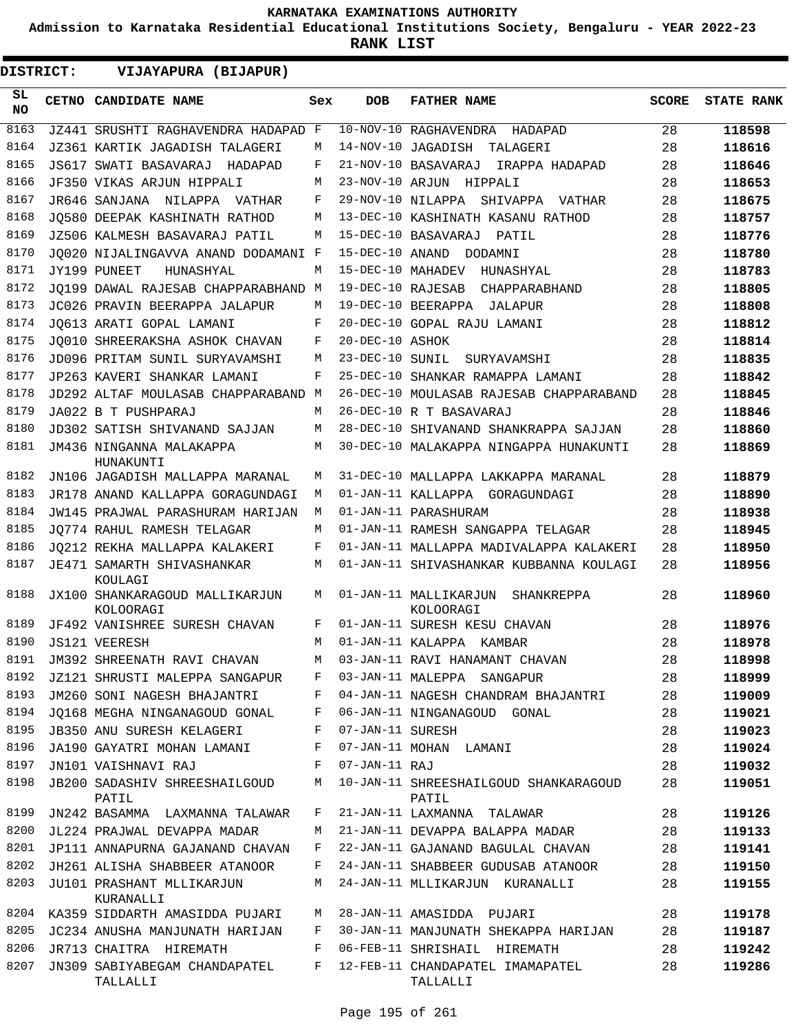**Admission to Karnataka Residential Educational Institutions Society, Bengaluru - YEAR 2022-23**

| <b>DISTRICT:</b> | VIJAYAPURA (BIJAPUR)                        |     |                   |                                                  |              |                   |
|------------------|---------------------------------------------|-----|-------------------|--------------------------------------------------|--------------|-------------------|
| SL<br>NO.        | CETNO CANDIDATE NAME                        | Sex | <b>DOB</b>        | <b>FATHER NAME</b>                               | <b>SCORE</b> | <b>STATE RANK</b> |
| 8163             | JZ441 SRUSHTI RAGHAVENDRA HADAPAD F         |     |                   | 10-NOV-10 RAGHAVENDRA<br>HADAPAD                 | 28           | 118598            |
| 8164             | JZ361 KARTIK JAGADISH TALAGERI              | M   |                   | 14-NOV-10 JAGADISH<br>TALAGERI                   | 28           | 118616            |
| 8165             | JS617 SWATI BASAVARAJ HADAPAD               | F   |                   | 21-NOV-10 BASAVARAJ<br>IRAPPA HADAPAD            | 28           | 118646            |
| 8166             | JF350 VIKAS ARJUN HIPPALI                   | М   |                   | 23-NOV-10 ARJUN HIPPALI                          | 28           | 118653            |
| 8167             | JR646 SANJANA NILAPPA VATHAR                | F   |                   | 29-NOV-10 NILAPPA SHIVAPPA VATHAR                | 28           | 118675            |
| 8168             | JO580 DEEPAK KASHINATH RATHOD               | M   |                   | 13-DEC-10 KASHINATH KASANU RATHOD                | 28           | 118757            |
| 8169             | JZ506 KALMESH BASAVARAJ PATIL               | M   |                   | 15-DEC-10 BASAVARAJ<br>PATIL                     | 28           | 118776            |
| 8170             | JQ020 NIJALINGAVVA ANAND DODAMANI F         |     | 15-DEC-10 ANAND   | DODAMNI                                          | 28           | 118780            |
| 8171             | JY199 PUNEET<br>HUNASHYAL                   | M   | 15-DEC-10 MAHADEV | HUNASHYAL                                        | 28           | 118783            |
| 8172             | JO199 DAWAL RAJESAB CHAPPARABHAND M         |     | 19-DEC-10 RAJESAB | CHAPPARABHAND                                    | 28           | 118805            |
| 8173             | JC026 PRAVIN BEERAPPA JALAPUR               | M   |                   | 19-DEC-10 BEERAPPA JALAPUR                       | 28           | 118808            |
| 8174             | JO613 ARATI GOPAL LAMANI                    | F   |                   | 20-DEC-10 GOPAL RAJU LAMANI                      | 28           | 118812            |
| 8175             | JO010 SHREERAKSHA ASHOK CHAVAN              | F   | 20-DEC-10 ASHOK   |                                                  | 28           | 118814            |
| 8176             | JD096 PRITAM SUNIL SURYAVAMSHI              | M   | 23-DEC-10 SUNIL   | SURYAVAMSHI                                      | 28           | 118835            |
| 8177             | JP263 KAVERI SHANKAR LAMANI                 | F   |                   | 25-DEC-10 SHANKAR RAMAPPA LAMANI                 | 28           | 118842            |
| 8178             | JD292 ALTAF MOULASAB CHAPPARABAND M         |     |                   | 26-DEC-10 MOULASAB RAJESAB CHAPPARABAND          | 28           | 118845            |
| 8179             | JA022 B T PUSHPARAJ                         | M   |                   | 26-DEC-10 R T BASAVARAJ                          | 28           | 118846            |
| 8180             | JD302 SATISH SHIVANAND SAJJAN               | M   |                   | 28-DEC-10 SHIVANAND SHANKRAPPA SAJJAN            | 28           | 118860            |
| 8181             | JM436 NINGANNA MALAKAPPA                    | M   |                   | 30-DEC-10 MALAKAPPA NINGAPPA HUNAKUNTI           | 28           | 118869            |
|                  | HUNAKUNTI                                   |     |                   |                                                  |              |                   |
| 8182             | JN106 JAGADISH MALLAPPA MARANAL             | M   |                   | 31-DEC-10 MALLAPPA LAKKAPPA MARANAL              | 28           | 118879            |
| 8183             | JR178 ANAND KALLAPPA GORAGUNDAGI            | М   |                   | 01-JAN-11 KALLAPPA GORAGUNDAGI                   | 28           | 118890            |
| 8184             | JW145 PRAJWAL PARASHURAM HARIJAN            | М   |                   | 01-JAN-11 PARASHURAM                             | 28           | 118938            |
| 8185             | JO774 RAHUL RAMESH TELAGAR                  | M   |                   | 01-JAN-11 RAMESH SANGAPPA TELAGAR                | 28           | 118945            |
| 8186             | JO212 REKHA MALLAPPA KALAKERI               | F   |                   | 01-JAN-11 MALLAPPA MADIVALAPPA KALAKERI          | 28           | 118950            |
| 8187             | JE471 SAMARTH SHIVASHANKAR<br>KOULAGI       | M   |                   | 01-JAN-11 SHIVASHANKAR KUBBANNA KOULAGI          | 28           | 118956            |
| 8188             | JX100 SHANKARAGOUD MALLIKARJUN<br>KOLOORAGI | M   |                   | 01-JAN-11 MALLIKARJUN<br>SHANKREPPA<br>KOLOORAGI | 28           | 118960            |
| 8189             | JF492 VANISHREE SURESH CHAVAN               | F   |                   | 01-JAN-11 SURESH KESU CHAVAN                     | 28           | 118976            |
| 8190             | <b>JS121 VEERESH</b>                        | М   |                   | 01-JAN-11 KALAPPA KAMBAR                         | 28           | 118978            |
| 8191             | JM392 SHREENATH RAVI CHAVAN                 | М   |                   | 03-JAN-11 RAVI HANAMANT CHAVAN                   | 28           | 118998            |
| 8192             | JZ121 SHRUSTI MALEPPA SANGAPUR              | F   |                   | 03-JAN-11 MALEPPA SANGAPUR                       | 28           | 118999            |
| 8193             | JM260 SONI NAGESH BHAJANTRI                 | F   |                   | 04-JAN-11 NAGESH CHANDRAM BHAJANTRI              | 28           | 119009            |
| 8194             | JO168 MEGHA NINGANAGOUD GONAL               | F   |                   | 06-JAN-11 NINGANAGOUD GONAL                      | 28           | 119021            |
| 8195             | JB350 ANU SURESH KELAGERI                   | F   | 07-JAN-11 SURESH  |                                                  | 28           | 119023            |
| 8196             | JA190 GAYATRI MOHAN LAMANI                  | F   |                   | 07-JAN-11 MOHAN LAMANI                           | 28           | 119024            |
| 8197             | JN101 VAISHNAVI RAJ                         | F   | 07-JAN-11 RAJ     |                                                  | 28           | 119032            |
| 8198             | JB200 SADASHIV SHREESHAILGOUD<br>PATIL      | М   |                   | 10-JAN-11 SHREESHAILGOUD SHANKARAGOUD<br>PATIL   | 28           | 119051            |
| 8199             | JN242 BASAMMA LAXMANNA TALAWAR              | F   |                   | 21-JAN-11 LAXMANNA TALAWAR                       | 28           | 119126            |
| 8200             | JL224 PRAJWAL DEVAPPA MADAR                 | М   |                   | 21-JAN-11 DEVAPPA BALAPPA MADAR                  | 28           | 119133            |
| 8201             | JP111 ANNAPURNA GAJANAND CHAVAN             | F   |                   | 22-JAN-11 GAJANAND BAGULAL CHAVAN                | 28           | 119141            |
| 8202             | JH261 ALISHA SHABBEER ATANOOR               | F   |                   | 24-JAN-11 SHABBEER GUDUSAB ATANOOR               | 28           | 119150            |
| 8203             | JU101 PRASHANT MLLIKARJUN<br>KURANALLI      | М   |                   | 24-JAN-11 MLLIKARJUN KURANALLI                   | 28           | 119155            |
| 8204             | KA359 SIDDARTH AMASIDDA PUJARI              | М   |                   | 28-JAN-11 AMASIDDA PUJARI                        | 28           | 119178            |
| 8205             | JC234 ANUSHA MANJUNATH HARIJAN              | F   |                   | 30-JAN-11 MANJUNATH SHEKAPPA HARIJAN             | 28           | 119187            |
| 8206             | JR713 CHAITRA HIREMATH                      | F   |                   | 06-FEB-11 SHRISHAIL HIREMATH                     | 28           | 119242            |
| 8207             | JN309 SABIYABEGAM CHANDAPATEL<br>TALLALLI   | F   |                   | 12-FEB-11 CHANDAPATEL IMAMAPATEL<br>TALLALLI     | 28           | 119286            |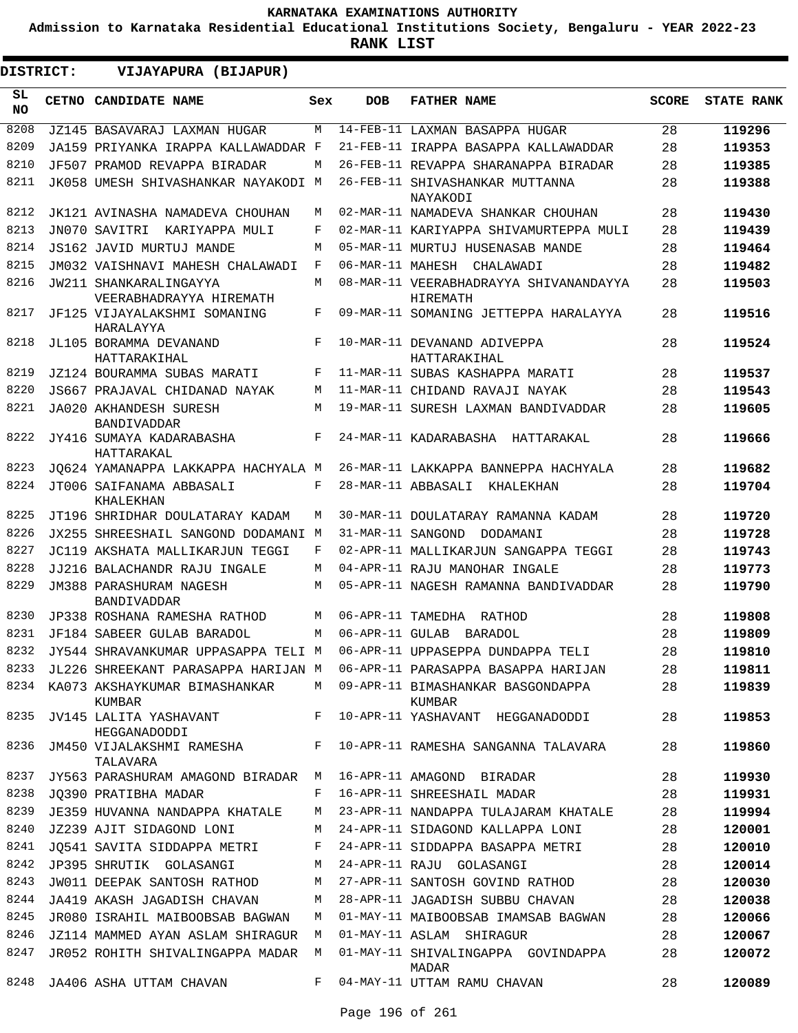**Admission to Karnataka Residential Educational Institutions Society, Bengaluru - YEAR 2022-23**

| <b>DISTRICT:</b> | VIJAYAPURA (BIJAPUR)                                                       |     |                 |                                                    |              |                   |
|------------------|----------------------------------------------------------------------------|-----|-----------------|----------------------------------------------------|--------------|-------------------|
| SL.<br><b>NO</b> | CETNO CANDIDATE NAME                                                       | Sex | <b>DOB</b>      | <b>FATHER NAME</b>                                 | <b>SCORE</b> | <b>STATE RANK</b> |
| 8208             | JZ145 BASAVARAJ LAXMAN HUGAR                                               | M   |                 | 14-FEB-11 LAXMAN BASAPPA HUGAR                     | 28           | 119296            |
| 8209             | JA159 PRIYANKA IRAPPA KALLAWADDAR F                                        |     |                 | 21-FEB-11 IRAPPA BASAPPA KALLAWADDAR               | 28           | 119353            |
| 8210             | JF507 PRAMOD REVAPPA BIRADAR                                               | M   |                 | 26-FEB-11 REVAPPA SHARANAPPA BIRADAR               | 28           | 119385            |
| 8211             | JK058 UMESH SHIVASHANKAR NAYAKODI M                                        |     |                 | 26-FEB-11 SHIVASHANKAR MUTTANNA<br>NAYAKODI        | 28           | 119388            |
| 8212             | JK121 AVINASHA NAMADEVA CHOUHAN                                            | M   |                 | 02-MAR-11 NAMADEVA SHANKAR CHOUHAN                 | 28           | 119430            |
| 8213             | JN070 SAVITRI KARIYAPPA MULI                                               | F   |                 | 02-MAR-11 KARIYAPPA SHIVAMURTEPPA MULI             | 28           | 119439            |
| 8214             | JS162 JAVID MURTUJ MANDE                                                   | M   |                 | 05-MAR-11 MURTUJ HUSENASAB MANDE                   | 28           | 119464            |
| 8215             | JM032 VAISHNAVI MAHESH CHALAWADI                                           | F   |                 | 06-MAR-11 MAHESH CHALAWADI                         | 28           | 119482            |
| 8216             | JW211 SHANKARALINGAYYA<br>VEERABHADRAYYA HIREMATH                          | M   |                 | 08-MAR-11 VEERABHADRAYYA SHIVANANDAYYA<br>HIREMATH | 28           | 119503            |
| 8217             | JF125 VIJAYALAKSHMI SOMANING<br>HARALAYYA                                  | F   |                 | 09-MAR-11 SOMANING JETTEPPA HARALAYYA              | 28           | 119516            |
| 8218             | JL105 BORAMMA DEVANAND<br>HATTARAKIHAL                                     | F   |                 | 10-MAR-11 DEVANAND ADIVEPPA<br>HATTARAKIHAL        | 28           | 119524            |
| 8219             | JZ124 BOURAMMA SUBAS MARATI                                                | F   |                 | 11-MAR-11 SUBAS KASHAPPA MARATI                    | 28           | 119537            |
| 8220             | JS667 PRAJAVAL CHIDANAD NAYAK                                              | М   |                 | 11-MAR-11 CHIDAND RAVAJI NAYAK                     | 28           | 119543            |
| 8221             | JA020 AKHANDESH SURESH<br><b>BANDIVADDAR</b>                               | M   |                 | 19-MAR-11 SURESH LAXMAN BANDIVADDAR                | 28           | 119605            |
| 8222             | JY416 SUMAYA KADARABASHA<br>HATTARAKAL                                     | F   |                 | 24-MAR-11 KADARABASHA HATTARAKAL                   | 28           | 119666            |
| 8223             | JQ624 YAMANAPPA LAKKAPPA HACHYALA M                                        |     |                 | 26-MAR-11 LAKKAPPA BANNEPPA HACHYALA               | 28           | 119682            |
| 8224             | JT006 SAIFANAMA ABBASALI<br>KHALEKHAN                                      | F   |                 | 28-MAR-11 ABBASALI KHALEKHAN                       | 28           | 119704            |
| 8225             | JT196 SHRIDHAR DOULATARAY KADAM                                            | M   |                 | 30-MAR-11 DOULATARAY RAMANNA KADAM                 | 28           | 119720            |
| 8226             | JX255 SHREESHAIL SANGOND DODAMANI M                                        |     |                 | 31-MAR-11 SANGOND DODAMANI                         | 28           | 119728            |
| 8227             | JC119 AKSHATA MALLIKARJUN TEGGI                                            | F   |                 | 02-APR-11 MALLIKARJUN SANGAPPA TEGGI               | 28           | 119743            |
| 8228             | JJ216 BALACHANDR RAJU INGALE                                               | M   |                 | 04-APR-11 RAJU MANOHAR INGALE                      | 28           | 119773            |
| 8229             | JM388 PARASHURAM NAGESH<br><b>BANDIVADDAR</b>                              | M   |                 | 05-APR-11 NAGESH RAMANNA BANDIVADDAR               | 28           | 119790            |
| 8230             | JP338 ROSHANA RAMESHA RATHOD                                               | М   |                 | 06-APR-11 TAMEDHA RATHOD                           | 28           | 119808            |
| 8231             | JF184 SABEER GULAB BARADOL                                                 | M   | 06-APR-11 GULAB | BARADOL                                            | 28           | 119809            |
|                  | 8232 JY544 SHRAVANKUMAR UPPASAPPA TELI M 06-APR-11 UPPASEPPA DUNDAPPA TELI |     |                 |                                                    | 28           | 119810            |
| 8233             | JL226 SHREEKANT PARASAPPA HARIJAN M                                        |     |                 | 06-APR-11 PARASAPPA BASAPPA HARIJAN                | 28           | 119811            |
|                  | 8234 KA073 AKSHAYKUMAR BIMASHANKAR<br>KUMBAR                               | M   |                 | 09-APR-11 BIMASHANKAR BASGONDAPPA<br>KUMBAR        | 28           | 119839            |
|                  | 8235 JV145 LALITA YASHAVANT<br>HEGGANADODDI                                | F   |                 | 10-APR-11 YASHAVANT HEGGANADODDI                   | 28           | 119853            |
| 8236             | JM450 VIJALAKSHMI RAMESHA<br>TALAVARA                                      |     |                 | F 10-APR-11 RAMESHA SANGANNA TALAVARA              | 28           | 119860            |
| 8237             | JY563 PARASHURAM AMAGOND BIRADAR M                                         |     |                 | 16-APR-11 AMAGOND BIRADAR                          | 28           | 119930            |
| 8238             | JQ390 PRATIBHA MADAR                                                       | F   |                 | 16-APR-11 SHREESHAIL MADAR                         | 28           | 119931            |
| 8239             | JE359 HUVANNA NANDAPPA KHATALE                                             | М   |                 | 23-APR-11 NANDAPPA TULAJARAM KHATALE               | 28           | 119994            |
| 8240             | JZ239 AJIT SIDAGOND LONI                                                   | М   |                 | 24-APR-11 SIDAGOND KALLAPPA LONI                   | 28           | 120001            |
| 8241             | JQ541 SAVITA SIDDAPPA METRI                                                | F   |                 | 24-APR-11 SIDDAPPA BASAPPA METRI                   | 28           | 120010            |
| 8242             | JP395 SHRUTIK GOLASANGI                                                    | М   |                 | 24-APR-11 RAJU GOLASANGI                           | 28           | 120014            |
| 8243             | JW011 DEEPAK SANTOSH RATHOD                                                | M   |                 | 27-APR-11 SANTOSH GOVIND RATHOD                    | 28           | 120030            |
| 8244             | JA419 AKASH JAGADISH CHAVAN                                                | M   |                 | 28-APR-11 JAGADISH SUBBU CHAVAN                    | 28           | 120038            |
| 8245             | JR080 ISRAHIL MAIBOOBSAB BAGWAN                                            | M   |                 | 01-MAY-11 MAIBOOBSAB IMAMSAB BAGWAN                | 28           | 120066            |
| 8246             | JZ114 MAMMED AYAN ASLAM SHIRAGUR M                                         |     |                 | 01-MAY-11 ASLAM SHIRAGUR                           | 28           | 120067            |
| 8247             | JR052 ROHITH SHIVALINGAPPA MADAR M                                         |     |                 | 01-MAY-11 SHIVALINGAPPA GOVINDAPPA<br>MADAR        | 28           | 120072            |
|                  | 8248 JA406 ASHA UTTAM CHAVAN                                               | F   |                 | 04-MAY-11 UTTAM RAMU CHAVAN                        | 28           | 120089            |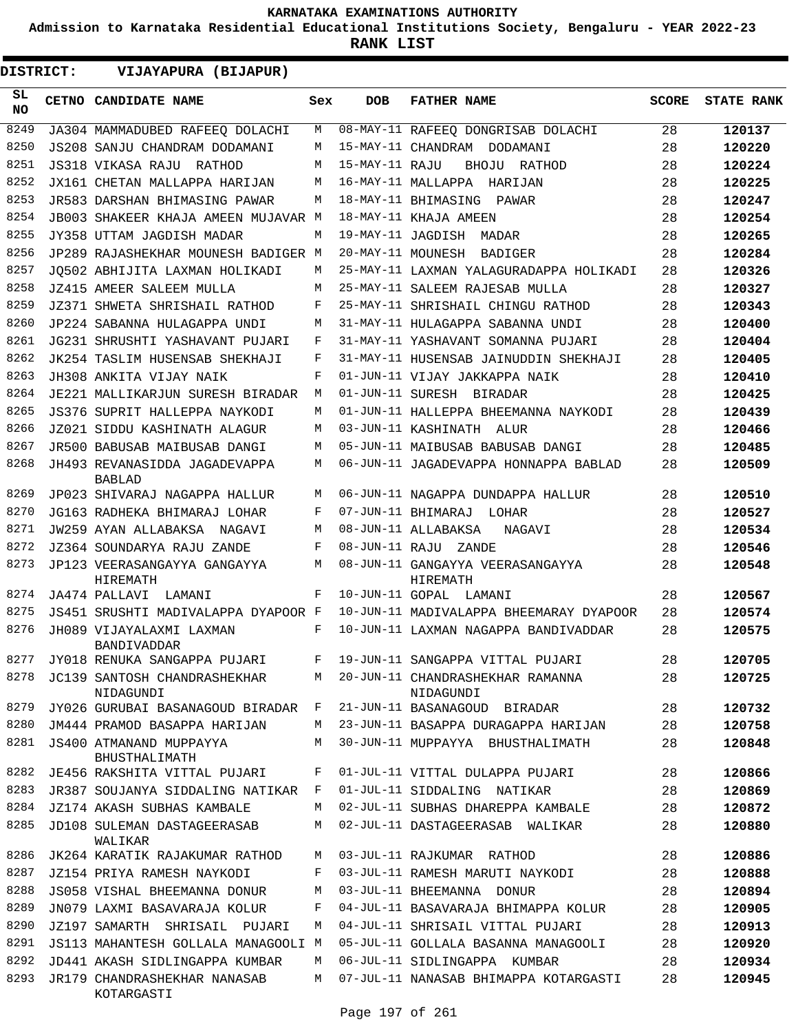**Admission to Karnataka Residential Educational Institutions Society, Bengaluru - YEAR 2022-23**

| <b>DISTRICT:</b> | VIJAYAPURA (BIJAPUR)                           |     |                   |                                               |              |                   |
|------------------|------------------------------------------------|-----|-------------------|-----------------------------------------------|--------------|-------------------|
| SL<br>NO.        | <b>CETNO CANDIDATE NAME</b>                    | Sex | <b>DOB</b>        | <b>FATHER NAME</b>                            | <b>SCORE</b> | <b>STATE RANK</b> |
| 8249             | JA304 MAMMADUBED RAFEEQ DOLACHI                | М   |                   | 08-MAY-11 RAFEEQ DONGRISAB DOLACHI            | 28           | 120137            |
| 8250             | JS208 SANJU CHANDRAM DODAMANI                  | М   |                   | 15-MAY-11 CHANDRAM DODAMANI                   | 28           | 120220            |
| 8251             | JS318 VIKASA RAJU RATHOD                       | М   | 15-MAY-11 RAJU    | BHOJU RATHOD                                  | 28           | 120224            |
| 8252             | JX161 CHETAN MALLAPPA HARIJAN                  | М   |                   | 16-MAY-11 MALLAPPA HARIJAN                    | 28           | 120225            |
| 8253             | JR583 DARSHAN BHIMASING PAWAR                  | М   |                   | 18-MAY-11 BHIMASING<br>PAWAR                  | 28           | 120247            |
| 8254             | JB003 SHAKEER KHAJA AMEEN MUJAVAR M            |     |                   | 18-MAY-11 KHAJA AMEEN                         | 28           | 120254            |
| 8255             | JY358 UTTAM JAGDISH MADAR                      | М   |                   | 19-MAY-11 JAGDISH MADAR                       | 28           | 120265            |
| 8256             | JP289 RAJASHEKHAR MOUNESH BADIGER M            |     | 20-MAY-11 MOUNESH | BADIGER                                       | 28           | 120284            |
| 8257             | JO502 ABHIJITA LAXMAN HOLIKADI                 | М   |                   | 25-MAY-11 LAXMAN YALAGURADAPPA HOLIKADI       | 28           | 120326            |
| 8258             | JZ415 AMEER SALEEM MULLA                       | М   |                   | 25-MAY-11 SALEEM RAJESAB MULLA                | 28           | 120327            |
| 8259             | JZ371 SHWETA SHRISHAIL RATHOD                  | F   |                   | 25-MAY-11 SHRISHAIL CHINGU RATHOD             | 28           | 120343            |
| 8260             | JP224 SABANNA HULAGAPPA UNDI                   | М   |                   | 31-MAY-11 HULAGAPPA SABANNA UNDI              | 28           | 120400            |
| 8261             | JG231 SHRUSHTI YASHAVANT PUJARI                | F   |                   | 31-MAY-11 YASHAVANT SOMANNA PUJARI            | 28           | 120404            |
| 8262             | JK254 TASLIM HUSENSAB SHEKHAJI                 | F   |                   | 31-MAY-11 HUSENSAB JAINUDDIN SHEKHAJI         | 28           | 120405            |
| 8263             | JH308 ANKITA VIJAY NAIK                        | F   |                   | 01-JUN-11 VIJAY JAKKAPPA NAIK                 | 28           | 120410            |
| 8264             | JE221 MALLIKARJUN SURESH BIRADAR               | М   |                   | 01-JUN-11 SURESH BIRADAR                      | 28           | 120425            |
| 8265             | JS376 SUPRIT HALLEPPA NAYKODI                  | М   |                   | 01-JUN-11 HALLEPPA BHEEMANNA NAYKODI          | 28           | 120439            |
| 8266             | JZ021 SIDDU KASHINATH ALAGUR                   | М   |                   | 03-JUN-11 KASHINATH ALUR                      | 28           | 120466            |
| 8267             | JR500 BABUSAB MAIBUSAB DANGI                   | M   |                   | 05-JUN-11 MAIBUSAB BABUSAB DANGI              | 28           | 120485            |
| 8268             | JH493 REVANASIDDA JAGADEVAPPA<br><b>BABLAD</b> | М   |                   | 06-JUN-11 JAGADEVAPPA HONNAPPA BABLAD         | 28           | 120509            |
| 8269             | JP023 SHIVARAJ NAGAPPA HALLUR                  | М   |                   | 06-JUN-11 NAGAPPA DUNDAPPA HALLUR             | 28           | 120510            |
| 8270             | JG163 RADHEKA BHIMARAJ LOHAR                   | F   |                   | 07-JUN-11 BHIMARAJ<br>LOHAR                   | 28           | 120527            |
| 8271             | JW259 AYAN ALLABAKSA<br>NAGAVI                 | М   |                   | 08-JUN-11 ALLABAKSA<br>NAGAVI                 | 28           | 120534            |
| 8272             | JZ364 SOUNDARYA RAJU ZANDE                     | F   | 08-JUN-11 RAJU    | ZANDE                                         | 28           | 120546            |
| 8273             | JP123 VEERASANGAYYA GANGAYYA<br>HIREMATH       | М   |                   | 08-JUN-11 GANGAYYA VEERASANGAYYA<br>HIREMATH  | 28           | 120548            |
| 8274             | JA474 PALLAVI LAMANI                           | F   |                   | 10-JUN-11 GOPAL LAMANI                        | 28           | 120567            |
| 8275             | JS451 SRUSHTI MADIVALAPPA DYAPOOR F            |     |                   | 10-JUN-11 MADIVALAPPA BHEEMARAY DYAPOOR       | 28           | 120574            |
| 8276             | JH089 VIJAYALAXMI LAXMAN<br>BANDIVADDAR        | F   |                   | 10-JUN-11 LAXMAN NAGAPPA BANDIVADDAR          | 28           | 120575            |
| 8277             | JY018 RENUKA SANGAPPA PUJARI                   | F   |                   | 19-JUN-11 SANGAPPA VITTAL PUJARI              | 28           | 120705            |
| 8278             | JC139 SANTOSH CHANDRASHEKHAR<br>NIDAGUNDI      | М   |                   | 20-JUN-11 CHANDRASHEKHAR RAMANNA<br>NIDAGUNDI | 28           | 120725            |
| 8279             | JY026 GURUBAI BASANAGOUD BIRADAR               | F   |                   | 21-JUN-11 BASANAGOUD BIRADAR                  | 28           | 120732            |
| 8280             | JM444 PRAMOD BASAPPA HARIJAN                   | М   |                   | 23-JUN-11 BASAPPA DURAGAPPA HARIJAN           | 28           | 120758            |
| 8281             | JS400 ATMANAND MUPPAYYA<br>BHUSTHALIMATH       | М   |                   | 30-JUN-11 MUPPAYYA BHUSTHALIMATH              | 28           | 120848            |
| 8282             | JE456 RAKSHITA VITTAL PUJARI                   | F   |                   | 01-JUL-11 VITTAL DULAPPA PUJARI               | 28           | 120866            |
| 8283             | JR387 SOUJANYA SIDDALING NATIKAR               | F   |                   | 01-JUL-11 SIDDALING NATIKAR                   | 28           | 120869            |
| 8284             | JZ174 AKASH SUBHAS KAMBALE                     | М   |                   | 02-JUL-11 SUBHAS DHAREPPA KAMBALE             | 28           | 120872            |
| 8285             | JD108 SULEMAN DASTAGEERASAB<br>WALIKAR         | М   |                   | 02-JUL-11 DASTAGEERASAB WALIKAR               | 28           | 120880            |
| 8286             | JK264 KARATIK RAJAKUMAR RATHOD                 | М   |                   | 03-JUL-11 RAJKUMAR RATHOD                     | 28           | 120886            |
| 8287             | JZ154 PRIYA RAMESH NAYKODI                     | F   |                   | 03-JUL-11 RAMESH MARUTI NAYKODI               | 28           | 120888            |
| 8288             | JS058 VISHAL BHEEMANNA DONUR                   | М   |                   | 03-JUL-11 BHEEMANNA<br>DONUR                  | 28           | 120894            |
| 8289             | JN079 LAXMI BASAVARAJA KOLUR                   | F   |                   | 04-JUL-11 BASAVARAJA BHIMAPPA KOLUR           | 28           | 120905            |
| 8290             | JZ197 SAMARTH SHRISAIL PUJARI                  | М   |                   | 04-JUL-11 SHRISAIL VITTAL PUJARI              | 28           | 120913            |
| 8291             | JS113 MAHANTESH GOLLALA MANAGOOLI M            |     |                   | 05-JUL-11 GOLLALA BASANNA MANAGOOLI           | 28           | 120920            |
| 8292             | JD441 AKASH SIDLINGAPPA KUMBAR                 | М   |                   | 06-JUL-11 SIDLINGAPPA KUMBAR                  | 28           | 120934            |
| 8293             | JR179 CHANDRASHEKHAR NANASAB<br>KOTARGASTI     | М   |                   | 07-JUL-11 NANASAB BHIMAPPA KOTARGASTI         | 28           | 120945            |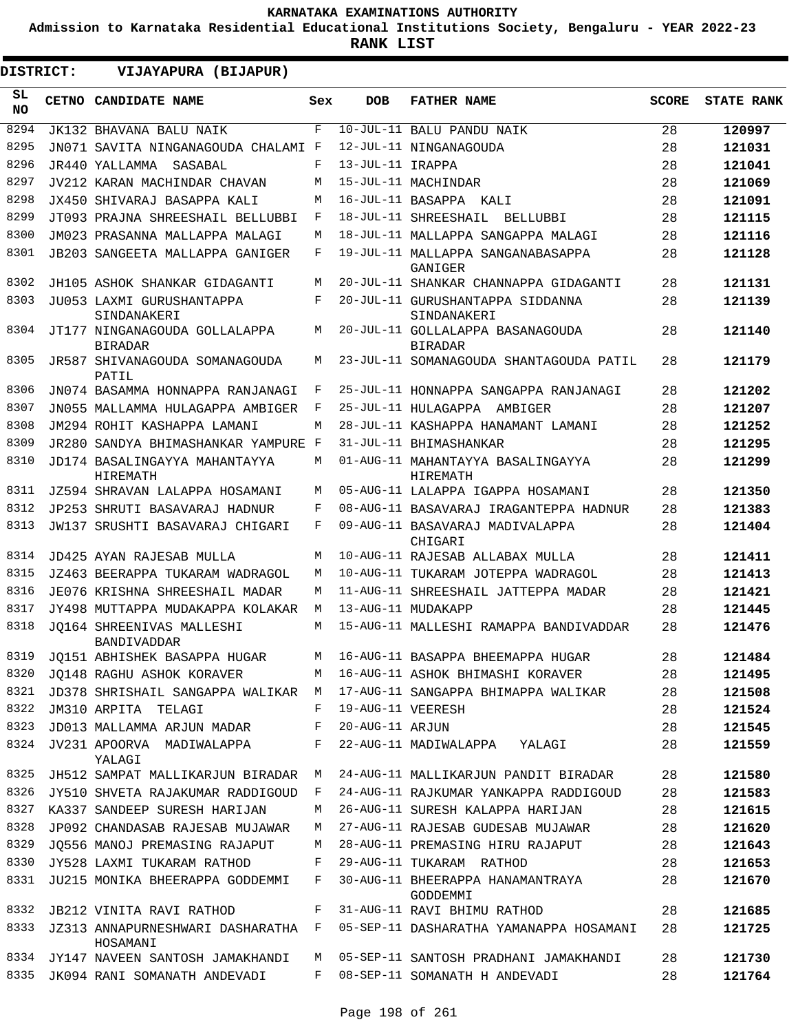**Admission to Karnataka Residential Educational Institutions Society, Bengaluru - YEAR 2022-23**

| DISTRICT:       | VIJAYAPURA (BIJAPUR)                            |              |                   |                                                    |              |                   |
|-----------------|-------------------------------------------------|--------------|-------------------|----------------------------------------------------|--------------|-------------------|
| SL<br><b>NO</b> | CETNO CANDIDATE NAME                            | Sex          | <b>DOB</b>        | <b>FATHER NAME</b>                                 | <b>SCORE</b> | <b>STATE RANK</b> |
| 8294            | JK132 BHAVANA BALU NAIK                         | F            |                   | 10-JUL-11 BALU PANDU NAIK                          | 28           | 120997            |
| 8295            | JN071 SAVITA NINGANAGOUDA CHALAMI F             |              |                   | 12-JUL-11 NINGANAGOUDA                             | 28           | 121031            |
| 8296            | JR440 YALLAMMA<br>SASABAL                       | F            | 13-JUL-11 IRAPPA  |                                                    | 28           | 121041            |
| 8297            | JV212 KARAN MACHINDAR CHAVAN                    | M            |                   | 15-JUL-11 MACHINDAR                                | 28           | 121069            |
| 8298            | JX450 SHIVARAJ BASAPPA KALI                     | М            |                   | 16-JUL-11 BASAPPA KALI                             | 28           | 121091            |
| 8299            | JT093 PRAJNA SHREESHAIL BELLUBBI                | F            |                   | 18-JUL-11 SHREESHAIL<br>BELLUBBI                   | 28           | 121115            |
| 8300            | JM023 PRASANNA MALLAPPA MALAGI                  | М            |                   | 18-JUL-11 MALLAPPA SANGAPPA MALAGI                 | 28           | 121116            |
| 8301            | <b>JB203 SANGEETA MALLAPPA GANIGER</b>          | F            |                   | 19-JUL-11 MALLAPPA SANGANABASAPPA<br>GANIGER       | 28           | 121128            |
| 8302            | JH105 ASHOK SHANKAR GIDAGANTI                   | М            |                   | 20-JUL-11 SHANKAR CHANNAPPA GIDAGANTI              | 28           | 121131            |
| 8303            | JU053 LAXMI GURUSHANTAPPA<br>SINDANAKERI        | F            |                   | 20-JUL-11 GURUSHANTAPPA SIDDANNA<br>SINDANAKERI    | 28           | 121139            |
| 8304            | JT177 NINGANAGOUDA GOLLALAPPA<br><b>BIRADAR</b> | М            |                   | 20-JUL-11 GOLLALAPPA BASANAGOUDA<br><b>BIRADAR</b> | 28           | 121140            |
| 8305            | JR587 SHIVANAGOUDA SOMANAGOUDA<br>PATIL         | М            |                   | 23-JUL-11 SOMANAGOUDA SHANTAGOUDA PATIL            | 28           | 121179            |
| 8306            | JN074 BASAMMA HONNAPPA RANJANAGI                | F            |                   | 25-JUL-11 HONNAPPA SANGAPPA RANJANAGI              | 28           | 121202            |
| 8307            | JN055 MALLAMMA HULAGAPPA AMBIGER                | F            |                   | 25-JUL-11 HULAGAPPA AMBIGER                        | 28           | 121207            |
| 8308            | JM294 ROHIT KASHAPPA LAMANI                     | М            |                   | 28-JUL-11 KASHAPPA HANAMANT LAMANI                 | 28           | 121252            |
| 8309            | JR280 SANDYA BHIMASHANKAR YAMPURE               | F            |                   | 31-JUL-11 BHIMASHANKAR                             | 28           | 121295            |
| 8310            | JD174 BASALINGAYYA MAHANTAYYA<br>HIREMATH       | М            |                   | 01-AUG-11 MAHANTAYYA BASALINGAYYA<br>HIREMATH      | 28           | 121299            |
| 8311            | JZ594 SHRAVAN LALAPPA HOSAMANI                  | M            |                   | 05-AUG-11 LALAPPA IGAPPA HOSAMANI                  | 28           | 121350            |
| 8312            | JP253 SHRUTI BASAVARAJ HADNUR                   | F            |                   | 08-AUG-11 BASAVARAJ IRAGANTEPPA HADNUR             | 28           | 121383            |
| 8313            | JW137 SRUSHTI BASAVARAJ CHIGARI                 | F            |                   | 09-AUG-11 BASAVARAJ MADIVALAPPA<br>CHIGARI         | 28           | 121404            |
| 8314            | JD425 AYAN RAJESAB MULLA                        | М            |                   | 10-AUG-11 RAJESAB ALLABAX MULLA                    | 28           | 121411            |
| 8315            | JZ463 BEERAPPA TUKARAM WADRAGOL                 | М            |                   | 10-AUG-11 TUKARAM JOTEPPA WADRAGOL                 | 28           | 121413            |
| 8316            | JE076 KRISHNA SHREESHAIL MADAR                  | М            |                   | 11-AUG-11 SHREESHAIL JATTEPPA MADAR                | 28           | 121421            |
| 8317            | JY498 MUTTAPPA MUDAKAPPA KOLAKAR                | M            |                   | 13-AUG-11 MUDAKAPP                                 | 28           | 121445            |
| 8318            | JO164 SHREENIVAS MALLESHI<br>BANDIVADDAR        | M            |                   | 15-AUG-11 MALLESHI RAMAPPA BANDIVADDAR             | 28           | 121476            |
| 8319            | JQ151 ABHISHEK BASAPPA HUGAR                    | М            |                   | 16-AUG-11 BASAPPA BHEEMAPPA HUGAR                  | 28           | 121484            |
| 8320            | JO148 RAGHU ASHOK KORAVER                       | M            |                   | 16-AUG-11 ASHOK BHIMASHI KORAVER                   | 28           | 121495            |
| 8321            | JD378 SHRISHAIL SANGAPPA WALIKAR M              |              |                   | 17-AUG-11 SANGAPPA BHIMAPPA WALIKAR                | 28           | 121508            |
| 8322            | JM310 ARPITA TELAGI                             | F            | 19-AUG-11 VEERESH |                                                    | 28           | 121524            |
| 8323            | JD013 MALLAMMA ARJUN MADAR                      | F            | 20-AUG-11 ARJUN   |                                                    | 28           | 121545            |
| 8324            | JV231 APOORVA MADIWALAPPA<br>YALAGI             | F            |                   | 22-AUG-11 MADIWALAPPA YALAGI                       | 28           | 121559            |
| 8325            | JH512 SAMPAT MALLIKARJUN BIRADAR                | M            |                   | 24-AUG-11 MALLIKARJUN PANDIT BIRADAR               | 28           | 121580            |
| 8326            | JY510 SHVETA RAJAKUMAR RADDIGOUD                | $\mathbf{F}$ |                   | 24-AUG-11 RAJKUMAR YANKAPPA RADDIGOUD              | 28           | 121583            |
| 8327            | KA337 SANDEEP SURESH HARIJAN                    | М            |                   | 26-AUG-11 SURESH KALAPPA HARIJAN                   | 28           | 121615            |
| 8328            | JP092 CHANDASAB RAJESAB MUJAWAR                 | M            |                   | 27-AUG-11 RAJESAB GUDESAB MUJAWAR                  | 28           | 121620            |
| 8329            | JO556 MANOJ PREMASING RAJAPUT                   | M            |                   | 28-AUG-11 PREMASING HIRU RAJAPUT                   | 28           | 121643            |
| 8330            | JY528 LAXMI TUKARAM RATHOD                      | F            |                   | 29-AUG-11 TUKARAM RATHOD                           | 28           | 121653            |
| 8331            | JU215 MONIKA BHEERAPPA GODDEMMI                 | F            |                   | 30-AUG-11 BHEERAPPA HANAMANTRAYA<br>GODDEMMI       | 28           | 121670            |
| 8332            | <b>JB212 VINITA RAVI RATHOD</b>                 | F            |                   | 31-AUG-11 RAVI BHIMU RATHOD                        | 28           | 121685            |
| 8333            | JZ313 ANNAPURNESHWARI DASHARATHA<br>HOSAMANI    | F            |                   | 05-SEP-11 DASHARATHA YAMANAPPA HOSAMANI            | 28           | 121725            |
| 8334            | JY147 NAVEEN SANTOSH JAMAKHANDI                 | M            |                   | 05-SEP-11 SANTOSH PRADHANI JAMAKHANDI              | 28           | 121730            |
| 8335            | JK094 RANI SOMANATH ANDEVADI                    | F            |                   | 08-SEP-11 SOMANATH H ANDEVADI                      | 28           | 121764            |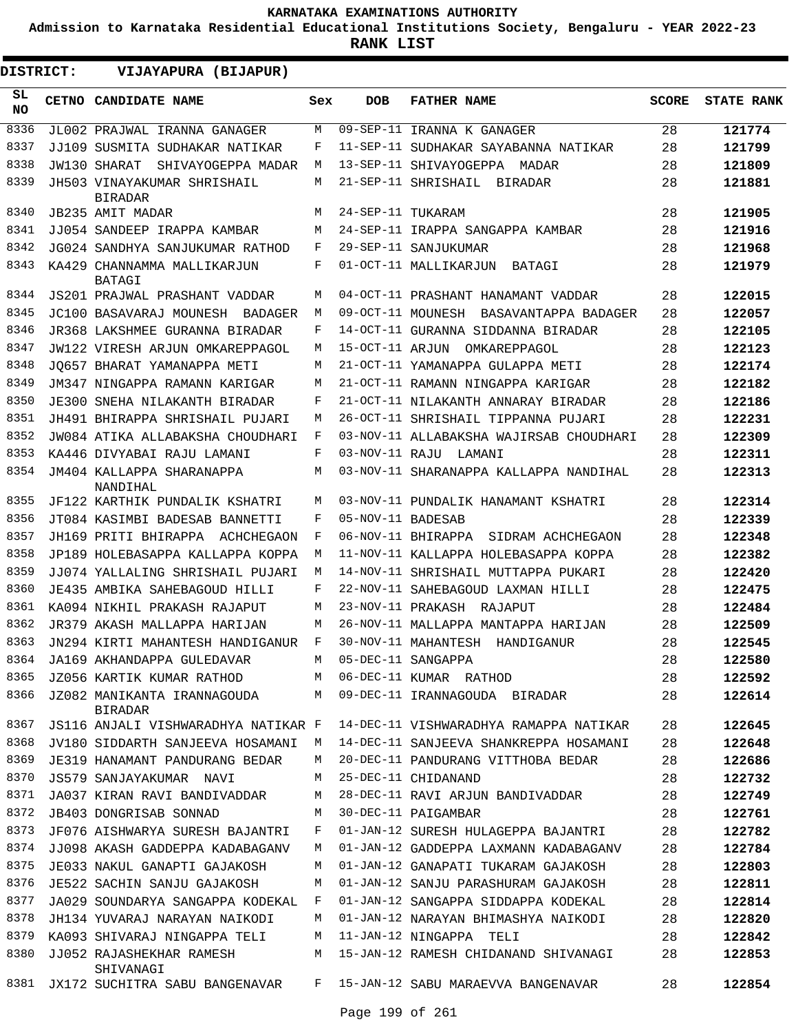**Admission to Karnataka Residential Educational Institutions Society, Bengaluru - YEAR 2022-23**

**RANK LIST**

**DISTRICT:** EE **VIJAYAPURA (BIJAPUR)**

| SL<br><b>NO</b> | CETNO CANDIDATE NAME                          | Sex | <b>DOB</b>        | <b>FATHER NAME</b>                      | <b>SCORE</b> | <b>STATE RANK</b> |
|-----------------|-----------------------------------------------|-----|-------------------|-----------------------------------------|--------------|-------------------|
| 8336            | JL002 PRAJWAL IRANNA GANAGER                  | М   | $09 - SEP - 11$   | IRANNA K GANAGER                        | 28           | 121774            |
| 8337            | JJ109 SUSMITA SUDHAKAR NATIKAR                | F   |                   | 11-SEP-11 SUDHAKAR SAYABANNA NATIKAR    | 28           | 121799            |
| 8338            | JW130 SHARAT<br>SHIVAYOGEPPA MADAR            | М   |                   | 13-SEP-11 SHIVAYOGEPPA MADAR            | 28           | 121809            |
| 8339            | JH503 VINAYAKUMAR SHRISHAIL<br><b>BIRADAR</b> | М   |                   | 21-SEP-11 SHRISHAIL<br>BIRADAR          | 28           | 121881            |
| 8340            | <b>JB235 AMIT MADAR</b>                       | М   | 24-SEP-11 TUKARAM |                                         | 28           | 121905            |
| 8341            | JJ054 SANDEEP IRAPPA KAMBAR                   | M   |                   | 24-SEP-11 IRAPPA SANGAPPA KAMBAR        | 28           | 121916            |
| 8342            | JG024 SANDHYA SANJUKUMAR RATHOD               | F   |                   | 29-SEP-11 SANJUKUMAR                    | 28           | 121968            |
| 8343            | KA429 CHANNAMMA MALLIKARJUN<br><b>BATAGI</b>  | F   |                   | 01-OCT-11 MALLIKARJUN<br>BATAGI         | 28           | 121979            |
| 8344            | JS201 PRAJWAL PRASHANT VADDAR                 | M   |                   | 04-OCT-11 PRASHANT HANAMANT VADDAR      | 28           | 122015            |
| 8345            | JC100 BASAVARAJ MOUNESH<br>BADAGER            | M   | 09-OCT-11 MOUNESH | BASAVANTAPPA BADAGER                    | 28           | 122057            |
| 8346            | JR368 LAKSHMEE GURANNA BIRADAR                | F   |                   | 14-OCT-11 GURANNA SIDDANNA BIRADAR      | 28           | 122105            |
| 8347            | JW122 VIRESH ARJUN OMKAREPPAGOL               | M   | 15-OCT-11 ARJUN   | OMKAREPPAGOL                            | 28           | 122123            |
| 8348            | JO657 BHARAT YAMANAPPA METI                   | M   |                   | 21-OCT-11 YAMANAPPA GULAPPA METI        | 28           | 122174            |
| 8349            | JM347 NINGAPPA RAMANN KARIGAR                 | М   |                   | 21-OCT-11 RAMANN NINGAPPA KARIGAR       | 28           | 122182            |
| 8350            | JE300 SNEHA NILAKANTH BIRADAR                 | F   |                   | 21-OCT-11 NILAKANTH ANNARAY BIRADAR     | 28           | 122186            |
| 8351            | JH491 BHIRAPPA SHRISHAIL PUJARI               | M   |                   | 26-OCT-11 SHRISHAIL TIPPANNA PUJARI     | 28           | 122231            |
| 8352            | JW084 ATIKA ALLABAKSHA CHOUDHARI              | F   |                   | 03-NOV-11 ALLABAKSHA WAJIRSAB CHOUDHARI | 28           | 122309            |
| 8353            | KA446 DIVYABAI RAJU LAMANI                    | F   |                   | 03-NOV-11 RAJU LAMANI                   | 28           | 122311            |
| 8354            | JM404 KALLAPPA SHARANAPPA<br>NANDIHAL         | M   |                   | 03-NOV-11 SHARANAPPA KALLAPPA NANDIHAL  | 28           | 122313            |
| 8355            | JF122 KARTHIK PUNDALIK KSHATRI                | М   |                   | 03-NOV-11 PUNDALIK HANAMANT KSHATRI     | 28           | 122314            |
| 8356            | JT084 KASIMBI BADESAB BANNETTI                | F   | 05-NOV-11 BADESAB |                                         | 28           | 122339            |
| 8357            | JH169 PRITI BHIRAPPA<br>ACHCHEGAON            | F   |                   | 06-NOV-11 BHIRAPPA<br>SIDRAM ACHCHEGAON | 28           | 122348            |
| 8358            | JP189 HOLEBASAPPA KALLAPPA KOPPA              | М   |                   | 11-NOV-11 KALLAPPA HOLEBASAPPA KOPPA    | 28           | 122382            |
| 8359            | JJ074 YALLALING SHRISHAIL PUJARI              | М   |                   | 14-NOV-11 SHRISHAIL MUTTAPPA PUKARI     | 28           | 122420            |
| 8360            | JE435 AMBIKA SAHEBAGOUD HILLI                 | F   |                   | 22-NOV-11 SAHEBAGOUD LAXMAN HILLI       | 28           | 122475            |
| 8361            | KA094 NIKHIL PRAKASH RAJAPUT                  | М   | 23-NOV-11 PRAKASH | RAJAPUT                                 | 28           | 122484            |
| 8362            | JR379 AKASH MALLAPPA HARIJAN                  | М   |                   | 26-NOV-11 MALLAPPA MANTAPPA HARIJAN     | 28           | 122509            |
| 8363            | JN294 KIRTI MAHANTESH HANDIGANUR              | F   |                   | 30-NOV-11 MAHANTESH HANDIGANUR          | 28           | 122545            |
| 8364            | JA169 AKHANDAPPA GULEDAVAR                    | M   |                   | 05-DEC-11 SANGAPPA                      | 28           | 122580            |
| 8365            | JZ056 KARTIK KUMAR RATHOD                     | М   |                   | 06-DEC-11 KUMAR RATHOD                  | 28           | 122592            |
| 8366            | JZ082 MANIKANTA IRANNAGOUDA<br><b>BIRADAR</b> | M   |                   | 09-DEC-11 IRANNAGOUDA BIRADAR           | 28           | 122614            |
| 8367            | JS116 ANJALI VISHWARADHYA NATIKAR F           |     |                   | 14-DEC-11 VISHWARADHYA RAMAPPA NATIKAR  | 28           | 122645            |
| 8368            | JV180 SIDDARTH SANJEEVA HOSAMANI              | M   |                   | 14-DEC-11 SANJEEVA SHANKREPPA HOSAMANI  | 28           | 122648            |
| 8369            | JE319 HANAMANT PANDURANG BEDAR                | М   |                   | 20-DEC-11 PANDURANG VITTHOBA BEDAR      | 28           | 122686            |
| 8370            | JS579 SANJAYAKUMAR NAVI                       | М   |                   | 25-DEC-11 CHIDANAND                     | 28           | 122732            |
| 8371            | JA037 KIRAN RAVI BANDIVADDAR                  | М   |                   | 28-DEC-11 RAVI ARJUN BANDIVADDAR        | 28           | 122749            |
| 8372            | JB403 DONGRISAB SONNAD                        | М   |                   | 30-DEC-11 PAIGAMBAR                     | 28           | 122761            |
| 8373            | JF076 AISHWARYA SURESH BAJANTRI               | F   |                   | 01-JAN-12 SURESH HULAGEPPA BAJANTRI     | 28           | 122782            |
| 8374            | JJ098 AKASH GADDEPPA KADABAGANV               | М   |                   | 01-JAN-12 GADDEPPA LAXMANN KADABAGANV   | 28           | 122784            |
| 8375            | JE033 NAKUL GANAPTI GAJAKOSH                  | М   |                   | 01-JAN-12 GANAPATI TUKARAM GAJAKOSH     | 28           | 122803            |
| 8376            | JE522 SACHIN SANJU GAJAKOSH                   | М   |                   | 01-JAN-12 SANJU PARASHURAM GAJAKOSH     | 28           | 122811            |
| 8377            | JA029 SOUNDARYA SANGAPPA KODEKAL              | F   |                   | 01-JAN-12 SANGAPPA SIDDAPPA KODEKAL     | 28           | 122814            |
| 8378            | JH134 YUVARAJ NARAYAN NAIKODI                 | М   |                   | 01-JAN-12 NARAYAN BHIMASHYA NAIKODI     | 28           | 122820            |
| 8379            | KA093 SHIVARAJ NINGAPPA TELI                  | М   |                   | 11-JAN-12 NINGAPPA TELI                 | 28           | 122842            |
| 8380            | JJ052 RAJASHEKHAR RAMESH<br>SHIVANAGI         | М   |                   | 15-JAN-12 RAMESH CHIDANAND SHIVANAGI    | 28           | 122853            |
| 8381            | JX172 SUCHITRA SABU BANGENAVAR                | F   |                   | 15-JAN-12 SABU MARAEVVA BANGENAVAR      | 28           | 122854            |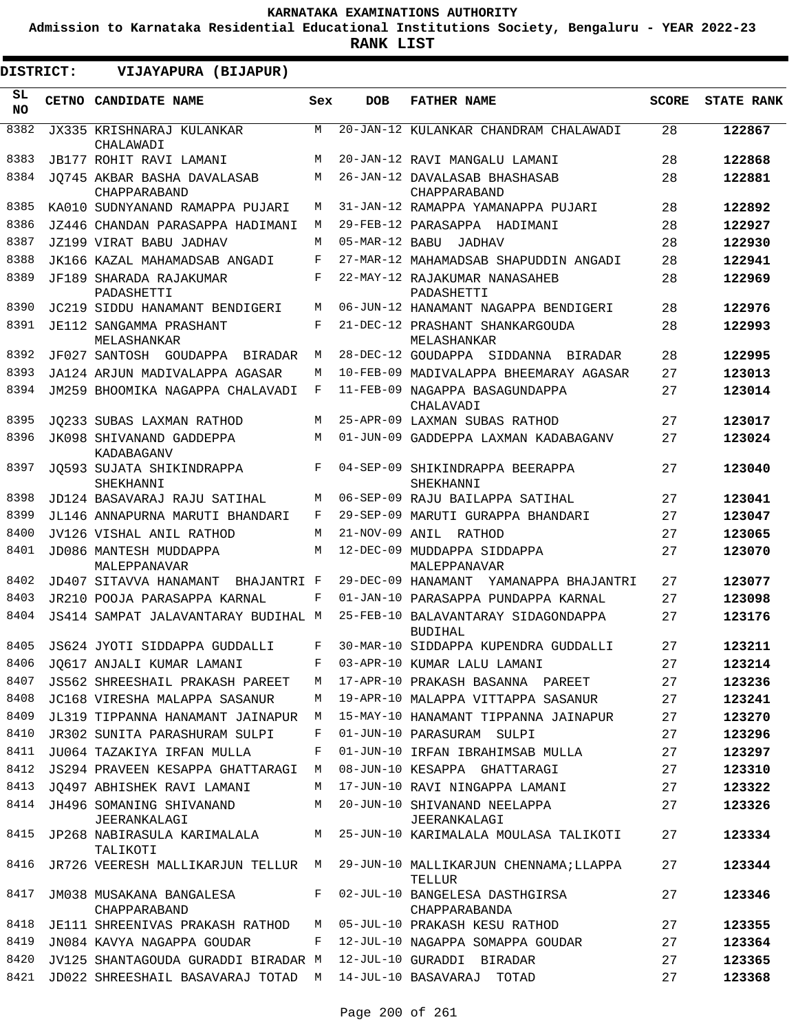**Admission to Karnataka Residential Educational Institutions Society, Bengaluru - YEAR 2022-23**

| DISTRICT:       | VIJAYAPURA (BIJAPUR)                                            |     |                |                                                                                      |              |                   |
|-----------------|-----------------------------------------------------------------|-----|----------------|--------------------------------------------------------------------------------------|--------------|-------------------|
| SL<br><b>NO</b> | CETNO CANDIDATE NAME                                            | Sex | <b>DOB</b>     | <b>FATHER NAME</b>                                                                   | <b>SCORE</b> | <b>STATE RANK</b> |
| 8382            | JX335 KRISHNARAJ KULANKAR<br>CHALAWADI                          | M   |                | 20-JAN-12 KULANKAR CHANDRAM CHALAWADI                                                | 28           | 122867            |
| 8383            | <b>JB177 ROHIT RAVI LAMANI</b>                                  | M   |                | 20-JAN-12 RAVI MANGALU LAMANI                                                        | 28           | 122868            |
| 8384            | JO745 AKBAR BASHA DAVALASAB<br>CHAPPARABAND                     | M   |                | 26-JAN-12 DAVALASAB BHASHASAB<br>CHAPPARABAND                                        | 28           | 122881            |
| 8385            | KA010 SUDNYANAND RAMAPPA PUJARI                                 | М   |                | 31-JAN-12 RAMAPPA YAMANAPPA PUJARI                                                   | 28           | 122892            |
| 8386            | JZ446 CHANDAN PARASAPPA HADIMANI                                | M   |                | 29-FEB-12 PARASAPPA HADIMANI                                                         | 28           | 122927            |
| 8387            | JZ199 VIRAT BABU JADHAV                                         | М   | 05-MAR-12 BABU | <b>JADHAV</b>                                                                        | 28           | 122930            |
| 8388            | JK166 KAZAL MAHAMADSAB ANGADI                                   | F   |                | 27-MAR-12 MAHAMADSAB SHAPUDDIN ANGADI                                                | 28           | 122941            |
| 8389            | JF189 SHARADA RAJAKUMAR<br>PADASHETTI                           | F   |                | 22-MAY-12 RAJAKUMAR NANASAHEB<br>PADASHETTI                                          | 28           | 122969            |
| 8390            | JC219 SIDDU HANAMANT BENDIGERI                                  | M   |                | 06-JUN-12 HANAMANT NAGAPPA BENDIGERI                                                 | 28           | 122976            |
| 8391            | JE112 SANGAMMA PRASHANT<br>MELASHANKAR                          | F   |                | 21-DEC-12 PRASHANT SHANKARGOUDA<br>MELASHANKAR                                       | 28           | 122993            |
| 8392            | JF027 SANTOSH GOUDAPPA BIRADAR                                  | M   |                | 28-DEC-12 GOUDAPPA SIDDANNA BIRADAR                                                  | 28           | 122995            |
| 8393            | JA124 ARJUN MADIVALAPPA AGASAR                                  | М   |                | 10-FEB-09 MADIVALAPPA BHEEMARAY AGASAR                                               | 27           | 123013            |
| 8394            | JM259 BHOOMIKA NAGAPPA CHALAVADI                                | F   |                | 11-FEB-09 NAGAPPA BASAGUNDAPPA<br>CHALAVADI                                          | 27           | 123014            |
| 8395            | JO233 SUBAS LAXMAN RATHOD                                       | M   |                | 25-APR-09 LAXMAN SUBAS RATHOD                                                        | 27           | 123017            |
| 8396            | JK098 SHIVANAND GADDEPPA<br>KADABAGANV                          | М   |                | 01-JUN-09 GADDEPPA LAXMAN KADABAGANV                                                 | 27           | 123024            |
| 8397            | JO593 SUJATA SHIKINDRAPPA<br>SHEKHANNI                          | F   |                | 04-SEP-09 SHIKINDRAPPA BEERAPPA<br>SHEKHANNI                                         | 27           | 123040            |
| 8398            | JD124 BASAVARAJ RAJU SATIHAL                                    | М   |                | 06-SEP-09 RAJU BAILAPPA SATIHAL                                                      | 27           | 123041            |
| 8399            | JL146 ANNAPURNA MARUTI BHANDARI                                 | F   |                | 29-SEP-09 MARUTI GURAPPA BHANDARI                                                    | 27           | 123047            |
| 8400            | JV126 VISHAL ANIL RATHOD                                        | М   |                | 21-NOV-09 ANIL RATHOD                                                                | 27           | 123065            |
| 8401            | JD086 MANTESH MUDDAPPA<br>MALEPPANAVAR                          | M   |                | 12-DEC-09 MUDDAPPA SIDDAPPA<br>MALEPPANAVAR                                          | 27           | 123070            |
| 8402            | JD407 SITAVVA HANAMANT<br>BHAJANTRI F                           |     |                | 29-DEC-09 HANAMANT<br>YAMANAPPA BHAJANTRI                                            | 27           | 123077            |
| 8403            | JR210 POOJA PARASAPPA KARNAL                                    | F   |                | 01-JAN-10 PARASAPPA PUNDAPPA KARNAL                                                  | 27           | 123098            |
| 8404            | JS414 SAMPAT JALAVANTARAY BUDIHAL M                             |     |                | 25-FEB-10 BALAVANTARAY SIDAGONDAPPA<br><b>BUDIHAL</b>                                | 27           | 123176            |
| 8405            | JS624 JYOTI SIDDAPPA GUDDALLI                                   | F   |                | 30-MAR-10 SIDDAPPA KUPENDRA GUDDALLI                                                 | 27           | 123211            |
| 8406            | JQ617 ANJALI KUMAR LAMANI                                       |     |                | F 03-APR-10 KUMAR LALU LAMANI                                                        | 27           | 123214            |
| 8407            |                                                                 |     |                | JS562 SHREESHAIL PRAKASH PAREET M 17-APR-10 PRAKASH BASANNA PAREET                   | 27           | 123236            |
| 8408            | JC168 VIRESHA MALAPPA SASANUR                                   |     |                | M 19-APR-10 MALAPPA VITTAPPA SASANUR                                                 | 27           | 123241            |
| 8409            | JL319 TIPPANNA HANAMANT JAINAPUR M                              |     |                | 15-MAY-10 HANAMANT TIPPANNA JAINAPUR                                                 | 27           | 123270            |
| 8410            | JR302 SUNITA PARASHURAM SULPI                                   | F   |                | 01-JUN-10 PARASURAM SULPI                                                            | 27           | 123296            |
| 8411            | JU064 TAZAKIYA IRFAN MULLA                                      | F   |                | 01-JUN-10 IRFAN IBRAHIMSAB MULLA                                                     | 27           | 123297            |
| 8412            | JS294 PRAVEEN KESAPPA GHATTARAGI M                              |     |                | 08-JUN-10 KESAPPA GHATTARAGI                                                         | 27           | 123310            |
| 8413            | JO497 ABHISHEK RAVI LAMANI                                      |     |                | M 17-JUN-10 RAVI NINGAPPA LAMANI                                                     | 27           | 123322            |
| 8414            | JH496 SOMANING SHIVANAND<br>JEERANKALAGI                        |     |                | M 20-JUN-10 SHIVANAND NEELAPPA<br>JEERANKALAGI                                       | 27           | 123326            |
| 8415            | TALIKOTI                                                        |     |                | JP268 NABIRASULA KARIMALALA M 25-JUN-10 KARIMALALA MOULASA TALIKOTI                  | 27           | 123334            |
| 8416            |                                                                 |     |                | JR726 VEERESH MALLIKARJUN TELLUR  M  29-JUN-10 MALLIKARJUN CHENNAMA;LLAPPA<br>TELLUR | 27           | 123344            |
| 8417            | JM038 MUSAKANA BANGALESA<br>CHAPPARABAND                        |     |                | F 02-JUL-10 BANGELESA DASTHGIRSA<br>CHAPPARABANDA                                    | 27           | 123346            |
| 8418            | JE111 SHREENIVAS PRAKASH RATHOD M 05-JUL-10 PRAKASH KESU RATHOD |     |                |                                                                                      | 27           | 123355            |
| 8419            | JN084 KAVYA NAGAPPA GOUDAR                                      |     |                | F 12-JUL-10 NAGAPPA SOMAPPA GOUDAR                                                   | 27           | 123364            |
| 8420            | JV125 SHANTAGOUDA GURADDI BIRADAR M                             |     |                | 12-JUL-10 GURADDI BIRADAR                                                            | 27           | 123365            |
| 8421            | JD022 SHREESHAIL BASAVARAJ TOTAD M 14-JUL-10 BASAVARAJ TOTAD    |     |                |                                                                                      | 27           | 123368            |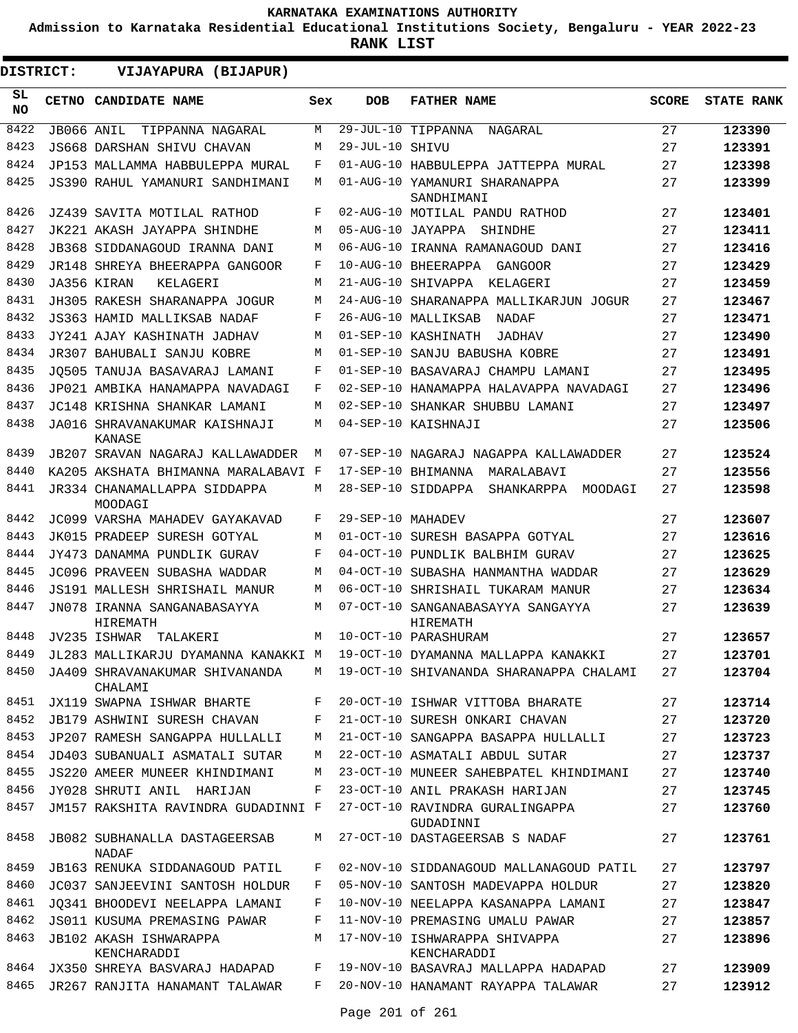**Admission to Karnataka Residential Educational Institutions Society, Bengaluru - YEAR 2022-23**

**RANK LIST**

| DISTRICT: |            | VIJAYAPURA (BIJAPUR)                                 |     |                   |                                              |              |                   |
|-----------|------------|------------------------------------------------------|-----|-------------------|----------------------------------------------|--------------|-------------------|
| SL<br>NO. |            | CETNO CANDIDATE NAME                                 | Sex | <b>DOB</b>        | <b>FATHER NAME</b>                           | <b>SCORE</b> | <b>STATE RANK</b> |
| 8422      | JB066 ANIL | TIPPANNA NAGARAL                                     | М   |                   | 29-JUL-10 TIPPANNA<br>NAGARAL                | 27           | 123390            |
| 8423      |            | JS668 DARSHAN SHIVU CHAVAN                           | М   | $29 - JUL - 10$   | SHIVU                                        | 27           | 123391            |
| 8424      |            | JP153 MALLAMMA HABBULEPPA MURAL                      | F   |                   | 01-AUG-10 HABBULEPPA JATTEPPA MURAL          | 27           | 123398            |
| 8425      |            | JS390 RAHUL YAMANURI SANDHIMANI                      | М   |                   | 01-AUG-10 YAMANURI SHARANAPPA<br>SANDHIMANI  | 27           | 123399            |
| 8426      |            | JZ439 SAVITA MOTILAL RATHOD                          | F   |                   | 02-AUG-10 MOTILAL PANDU RATHOD               | 27           | 123401            |
| 8427      |            | JK221 AKASH JAYAPPA SHINDHE                          | М   | 05-AUG-10 JAYAPPA | SHINDHE                                      | 27           | 123411            |
| 8428      |            | JB368 SIDDANAGOUD IRANNA DANI                        | M   |                   | 06-AUG-10 IRANNA RAMANAGOUD DANI             | 27           | 123416            |
| 8429      |            | JR148 SHREYA BHEERAPPA GANGOOR                       | F   |                   | 10-AUG-10 BHEERAPPA GANGOOR                  | 27           | 123429            |
| 8430      |            | JA356 KIRAN<br>KELAGERI                              | M   |                   | 21-AUG-10 SHIVAPPA KELAGERI                  | 27           | 123459            |
| 8431      |            | JH305 RAKESH SHARANAPPA JOGUR                        | M   | 24-AUG-10         | SHARANAPPA MALLIKARJUN JOGUR                 | 27           | 123467            |
| 8432      |            | JS363 HAMID MALLIKSAB NADAF                          | F   |                   | 26-AUG-10 MALLIKSAB<br>NADAF                 | 27           | 123471            |
| 8433      |            | JY241 AJAY KASHINATH JADHAV                          | М   |                   | 01-SEP-10 KASHINATH<br>JADHAV                | 27           | 123490            |
| 8434      |            | JR307 BAHUBALI SANJU KOBRE                           | M   |                   | 01-SEP-10 SANJU BABUSHA KOBRE                | 27           | 123491            |
| 8435      |            | JO505 TANUJA BASAVARAJ LAMANI                        | F   |                   | 01-SEP-10 BASAVARAJ CHAMPU LAMANI            | 27           | 123495            |
| 8436      |            | JP021 AMBIKA HANAMAPPA NAVADAGI                      | F   |                   | 02-SEP-10 HANAMAPPA HALAVAPPA NAVADAGI       | 27           | 123496            |
| 8437      |            | JC148 KRISHNA SHANKAR LAMANI                         | М   |                   | 02-SEP-10 SHANKAR SHUBBU LAMANI              | 27           | 123497            |
| 8438      |            | JA016 SHRAVANAKUMAR KAISHNAJI<br>KANASE              | М   |                   | 04-SEP-10 KAISHNAJI                          | 27           | 123506            |
| 8439      |            | JB207 SRAVAN NAGARAJ KALLAWADDER                     | M   |                   | 07-SEP-10 NAGARAJ NAGAPPA KALLAWADDER        | 27           | 123524            |
| 8440      |            | KA205 AKSHATA BHIMANNA MARALABAVI F                  |     |                   | 17-SEP-10 BHIMANNA<br>MARALABAVI             | 27           | 123556            |
| 8441      |            | JR334 CHANAMALLAPPA SIDDAPPA<br>MOODAGI              | М   |                   | 28-SEP-10 SIDDAPPA<br>SHANKARPPA<br>MOODAGI  | 27           | 123598            |
| 8442      |            | JC099 VARSHA MAHADEV GAYAKAVAD                       | F   | 29-SEP-10         | MAHADEV                                      | 27           | 123607            |
| 8443      |            | JK015 PRADEEP SURESH GOTYAL                          | M   | 01-OCT-10         | SURESH BASAPPA GOTYAL                        | 27           | 123616            |
| 8444      |            | JY473 DANAMMA PUNDLIK GURAV                          | F   | $04 - OCT - 10$   | PUNDLIK BALBHIM GURAV                        | 27           | 123625            |
| 8445      |            | JC096 PRAVEEN SUBASHA WADDAR                         | M   | 04-OCT-10         | SUBASHA HANMANTHA WADDAR                     | 27           | 123629            |
| 8446      |            | JS191 MALLESH SHRISHAIL MANUR                        | M   | $06 - OCT - 10$   | SHRISHAIL TUKARAM MANUR                      | 27           | 123634            |
| 8447      |            | JN078 IRANNA SANGANABASAYYA<br>HIREMATH              | М   | $07 - OCT - 10$   | SANGANABASAYYA SANGAYYA<br>HIREMATH          | 27           | 123639            |
| 8448      |            | JV235 ISHWAR TALAKERI                                | M   |                   | 10-OCT-10 PARASHURAM                         | 27           | 123657            |
| 8449      |            | JL283 MALLIKARJU DYAMANNA KANAKKI M                  |     |                   | 19-OCT-10 DYAMANNA MALLAPPA KANAKKI          | 27           | 123701            |
| 8450      |            | JA409 SHRAVANAKUMAR SHIVANANDA<br>CHALAMI            | M   |                   | 19-OCT-10 SHIVANANDA SHARANAPPA CHALAMI      | 27           | 123704            |
| 8451      |            | JX119 SWAPNA ISHWAR BHARTE                           | F   |                   | 20-OCT-10 ISHWAR VITTOBA BHARATE             | 27           | 123714            |
| 8452      |            | JB179 ASHWINI SURESH CHAVAN                          | F   |                   | 21-OCT-10 SURESH ONKARI CHAVAN               | 27           | 123720            |
| 8453      |            | JP207 RAMESH SANGAPPA HULLALLI                       | М   |                   | 21-OCT-10 SANGAPPA BASAPPA HULLALLI          | 27           | 123723            |
| 8454      |            | JD403 SUBANUALI ASMATALI SUTAR                       | М   |                   | 22-OCT-10 ASMATALI ABDUL SUTAR               | 27           | 123737            |
| 8455      |            | JS220 AMEER MUNEER KHINDIMANI                        | М   |                   | 23-OCT-10 MUNEER SAHEBPATEL KHINDIMANI       | 27           | 123740            |
| 8456      |            | JY028 SHRUTI ANIL HARIJAN                            | F   |                   | 23-OCT-10 ANIL PRAKASH HARIJAN               | 27           | 123745            |
| 8457      |            | JM157 RAKSHITA RAVINDRA GUDADINNI F                  |     |                   | 27-OCT-10 RAVINDRA GURALINGAPPA<br>GUDADINNI | 27           | 123760            |
| 8458      |            | <b>JB082 SUBHANALLA DASTAGEERSAB</b><br><b>NADAF</b> | М   |                   | 27-OCT-10 DASTAGEERSAB S NADAF               | 27           | 123761            |
| 8459      |            | <b>JB163 RENUKA SIDDANAGOUD PATIL</b>                | F   |                   | 02-NOV-10 SIDDANAGOUD MALLANAGOUD PATIL      | 27           | 123797            |
| 8460      |            | JC037 SANJEEVINI SANTOSH HOLDUR                      | F   |                   | 05-NOV-10 SANTOSH MADEVAPPA HOLDUR           | 27           | 123820            |
| 8461      |            | JO341 BHOODEVI NEELAPPA LAMANI                       | F   |                   | 10-NOV-10 NEELAPPA KASANAPPA LAMANI          | 27           | 123847            |
| 8462      |            | JS011 KUSUMA PREMASING PAWAR                         | F   |                   | 11-NOV-10 PREMASING UMALU PAWAR              | 27           | 123857            |
| 8463      |            | JB102 AKASH ISHWARAPPA<br>KENCHARADDI                | М   |                   | 17-NOV-10 ISHWARAPPA SHIVAPPA<br>KENCHARADDI | 27           | 123896            |
| 8464      |            | JX350 SHREYA BASVARAJ HADAPAD                        | F   |                   | 19-NOV-10 BASAVRAJ MALLAPPA HADAPAD          | 27           | 123909            |
| 8465      |            | JR267 RANJITA HANAMANT TALAWAR                       | F   |                   | 20-NOV-10 HANAMANT RAYAPPA TALAWAR           | 27           | 123912            |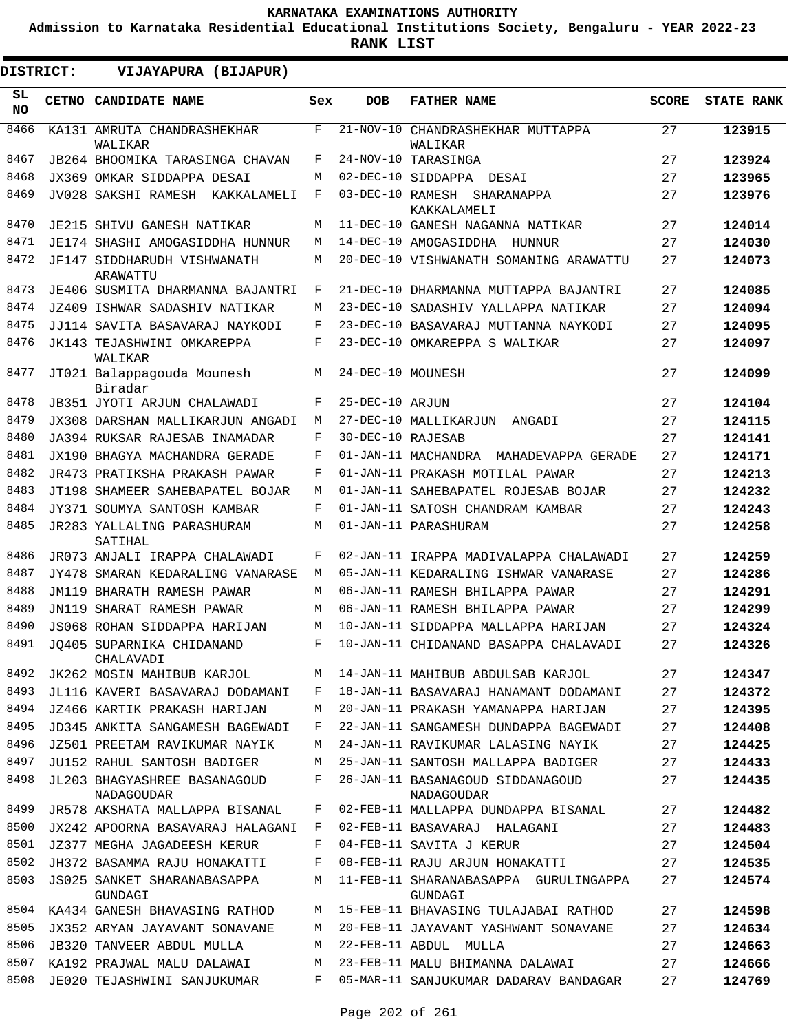**Admission to Karnataka Residential Educational Institutions Society, Bengaluru - YEAR 2022-23**

| DISTRICT:       | VIJAYAPURA (BIJAPUR)                       |     |                   |                                                  |              |                   |
|-----------------|--------------------------------------------|-----|-------------------|--------------------------------------------------|--------------|-------------------|
| SL<br><b>NO</b> | CETNO CANDIDATE NAME                       | Sex | <b>DOB</b>        | <b>FATHER NAME</b>                               | <b>SCORE</b> | <b>STATE RANK</b> |
| 8466            | KA131 AMRUTA CHANDRASHEKHAR<br>WALIKAR     | F   |                   | 21-NOV-10 CHANDRASHEKHAR MUTTAPPA<br>WALIKAR     | 27           | 123915            |
| 8467            | <b>JB264 BHOOMIKA TARASINGA CHAVAN</b>     | F   |                   | 24-NOV-10 TARASINGA                              | 27           | 123924            |
| 8468            | JX369 OMKAR SIDDAPPA DESAI                 | М   |                   | 02-DEC-10 SIDDAPPA DESAI                         | 27           | 123965            |
| 8469            | JV028 SAKSHI RAMESH KAKKALAMELI            | F   |                   | 03-DEC-10 RAMESH SHARANAPPA<br>KAKKALAMELI       | 27           | 123976            |
| 8470            | JE215 SHIVU GANESH NATIKAR                 | М   |                   | 11-DEC-10 GANESH NAGANNA NATIKAR                 | 27           | 124014            |
| 8471            | JE174 SHASHI AMOGASIDDHA HUNNUR            | М   |                   | 14-DEC-10 AMOGASIDDHA HUNNUR                     | 27           | 124030            |
| 8472            | JF147 SIDDHARUDH VISHWANATH<br>ARAWATTU    | M   |                   | 20-DEC-10 VISHWANATH SOMANING ARAWATTU           | 27           | 124073            |
| 8473            | JE406 SUSMITA DHARMANNA BAJANTRI           | F   |                   | 21-DEC-10 DHARMANNA MUTTAPPA BAJANTRI            | 27           | 124085            |
| 8474            | JZ409 ISHWAR SADASHIV NATIKAR              | М   |                   | 23-DEC-10 SADASHIV YALLAPPA NATIKAR              | 27           | 124094            |
| 8475            | JJ114 SAVITA BASAVARAJ NAYKODI             | F   |                   | 23-DEC-10 BASAVARAJ MUTTANNA NAYKODI             | 27           | 124095            |
| 8476            | JK143 TEJASHWINI OMKAREPPA<br>WALIKAR      | F   |                   | 23-DEC-10 OMKAREPPA S WALIKAR                    | 27           | 124097            |
| 8477            | JT021 Balappagouda Mounesh<br>Biradar      | М   | 24-DEC-10 MOUNESH |                                                  | 27           | 124099            |
| 8478            | JB351 JYOTI ARJUN CHALAWADI                | F   | 25-DEC-10 ARJUN   |                                                  | 27           | 124104            |
| 8479            | JX308 DARSHAN MALLIKARJUN ANGADI           | M   |                   | 27-DEC-10 MALLIKARJUN<br>ANGADI                  | 27           | 124115            |
| 8480            | JA394 RUKSAR RAJESAB INAMADAR              | F   | 30-DEC-10 RAJESAB |                                                  | 27           | 124141            |
| 8481            | JX190 BHAGYA MACHANDRA GERADE              | F   |                   | 01-JAN-11 MACHANDRA MAHADEVAPPA GERADE           | 27           | 124171            |
| 8482            | JR473 PRATIKSHA PRAKASH PAWAR              | F   |                   | 01-JAN-11 PRAKASH MOTILAL PAWAR                  | 27           | 124213            |
| 8483            | JT198 SHAMEER SAHEBAPATEL BOJAR            | М   |                   | 01-JAN-11 SAHEBAPATEL ROJESAB BOJAR              | 27           | 124232            |
| 8484            | JY371 SOUMYA SANTOSH KAMBAR                | F   |                   | 01-JAN-11 SATOSH CHANDRAM KAMBAR                 | 27           | 124243            |
| 8485            | JR283 YALLALING PARASHURAM<br>SATIHAL      | M   |                   | 01-JAN-11 PARASHURAM                             | 27           | 124258            |
| 8486            | JR073 ANJALI IRAPPA CHALAWADI              | F   |                   | 02-JAN-11 IRAPPA MADIVALAPPA CHALAWADI           | 27           | 124259            |
| 8487            | JY478 SMARAN KEDARALING VANARASE           | М   |                   | 05-JAN-11 KEDARALING ISHWAR VANARASE             | 27           | 124286            |
| 8488            | JM119 BHARATH RAMESH PAWAR                 | М   |                   | 06-JAN-11 RAMESH BHILAPPA PAWAR                  | 27           | 124291            |
| 8489            | JN119 SHARAT RAMESH PAWAR                  | М   |                   | 06-JAN-11 RAMESH BHILAPPA PAWAR                  | 27           | 124299            |
| 8490            | JS068 ROHAN SIDDAPPA HARIJAN               | М   |                   | 10-JAN-11 SIDDAPPA MALLAPPA HARIJAN              | 27           | 124324            |
| 8491            | JO405 SUPARNIKA CHIDANAND<br>CHALAVADI     | F   |                   | 10-JAN-11 CHIDANAND BASAPPA CHALAVADI            | 27           | 124326            |
| 8492            | JK262 MOSIN MAHIBUB KARJOL                 | М   |                   | 14-JAN-11 MAHIBUB ABDULSAB KARJOL                | 27           | 124347            |
| 8493            | JL116 KAVERI BASAVARAJ DODAMANI            | F   |                   | 18-JAN-11 BASAVARAJ HANAMANT DODAMANI            | 27           | 124372            |
| 8494            | JZ466 KARTIK PRAKASH HARIJAN               | М   |                   | 20-JAN-11 PRAKASH YAMANAPPA HARIJAN              | 27           | 124395            |
| 8495            | JD345 ANKITA SANGAMESH BAGEWADI            | F   |                   | 22-JAN-11 SANGAMESH DUNDAPPA BAGEWADI            | 27           | 124408            |
| 8496            | JZ501 PREETAM RAVIKUMAR NAYIK              | М   |                   | 24-JAN-11 RAVIKUMAR LALASING NAYIK               | 27           | 124425            |
| 8497            | JU152 RAHUL SANTOSH BADIGER                | М   |                   | 25-JAN-11 SANTOSH MALLAPPA BADIGER               | 27           | 124433            |
| 8498            | JL203 BHAGYASHREE BASANAGOUD<br>NADAGOUDAR | F   |                   | 26-JAN-11 BASANAGOUD SIDDANAGOUD<br>NADAGOUDAR   | 27           | 124435            |
| 8499            | JR578 AKSHATA MALLAPPA BISANAL             | F   |                   | 02-FEB-11 MALLAPPA DUNDAPPA BISANAL              | 27           | 124482            |
| 8500            | JX242 APOORNA BASAVARAJ HALAGANI           | F   |                   | 02-FEB-11 BASAVARAJ HALAGANI                     | 27           | 124483            |
| 8501            | JZ377 MEGHA JAGADEESH KERUR                | F   |                   | 04-FEB-11 SAVITA J KERUR                         | 27           | 124504            |
| 8502            | JH372 BASAMMA RAJU HONAKATTI               | F   |                   | 08-FEB-11 RAJU ARJUN HONAKATTI                   | 27           | 124535            |
| 8503            | JS025 SANKET SHARANABASAPPA<br>GUNDAGI     | M   |                   | 11-FEB-11 SHARANABASAPPA GURULINGAPPA<br>GUNDAGI | 27           | 124574            |
| 8504            | KA434 GANESH BHAVASING RATHOD              | М   |                   | 15-FEB-11 BHAVASING TULAJABAI RATHOD             | 27           | 124598            |
| 8505            | JX352 ARYAN JAYAVANT SONAVANE              | М   |                   | 20-FEB-11 JAYAVANT YASHWANT SONAVANE             | 27           | 124634            |
| 8506            | <b>JB320 TANVEER ABDUL MULLA</b>           | М   |                   | 22-FEB-11 ABDUL MULLA                            | 27           | 124663            |
| 8507            | KA192 PRAJWAL MALU DALAWAI                 | М   |                   | 23-FEB-11 MALU BHIMANNA DALAWAI                  | 27           | 124666            |
| 8508            | JE020 TEJASHWINI SANJUKUMAR                | F   |                   | 05-MAR-11 SANJUKUMAR DADARAV BANDAGAR            | 27           | 124769            |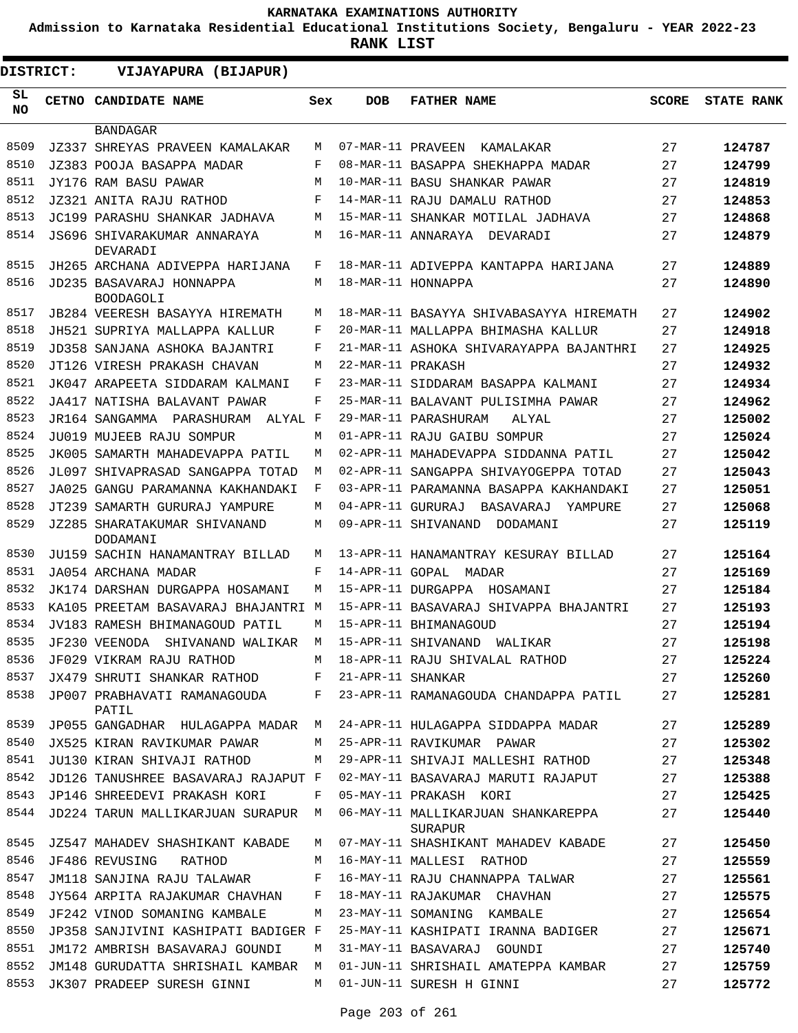**Admission to Karnataka Residential Educational Institutions Society, Bengaluru - YEAR 2022-23**

| <b>DISTRICT:</b> | VIJAYAPURA (BIJAPUR)                         |     |                   |                                               |              |                   |
|------------------|----------------------------------------------|-----|-------------------|-----------------------------------------------|--------------|-------------------|
| SL<br>NO.        | CETNO CANDIDATE NAME                         | Sex | <b>DOB</b>        | <b>FATHER NAME</b>                            | <b>SCORE</b> | <b>STATE RANK</b> |
|                  | <b>BANDAGAR</b>                              |     |                   |                                               |              |                   |
| 8509             | JZ337 SHREYAS PRAVEEN KAMALAKAR              | M   | 07-MAR-11 PRAVEEN | KAMALAKAR                                     | 27           | 124787            |
| 8510             | JZ383 POOJA BASAPPA MADAR                    | F   |                   | 08-MAR-11 BASAPPA SHEKHAPPA MADAR             | 27           | 124799            |
| 8511             | JY176 RAM BASU PAWAR                         | M   |                   | 10-MAR-11 BASU SHANKAR PAWAR                  | 27           | 124819            |
| 8512             | JZ321 ANITA RAJU RATHOD                      | F   |                   | 14-MAR-11 RAJU DAMALU RATHOD                  | 27           | 124853            |
| 8513             | JC199 PARASHU SHANKAR JADHAVA                | M   |                   | 15-MAR-11 SHANKAR MOTILAL JADHAVA             | 27           | 124868            |
| 8514             | JS696 SHIVARAKUMAR ANNARAYA<br>DEVARADI      | М   |                   | 16-MAR-11 ANNARAYA DEVARADI                   | 27           | 124879            |
| 8515             | JH265 ARCHANA ADIVEPPA HARIJANA              | F   |                   | 18-MAR-11 ADIVEPPA KANTAPPA HARIJANA          | 27           | 124889            |
| 8516             | JD235 BASAVARAJ HONNAPPA<br><b>BOODAGOLI</b> | M   |                   | 18-MAR-11 HONNAPPA                            | 27           | 124890            |
| 8517             | JB284 VEERESH BASAYYA HIREMATH               | M   |                   | 18-MAR-11 BASAYYA SHIVABASAYYA HIREMATH       | 27           | 124902            |
| 8518             | JH521 SUPRIYA MALLAPPA KALLUR                | F   |                   | 20-MAR-11 MALLAPPA BHIMASHA KALLUR            | 27           | 124918            |
| 8519             | JD358 SANJANA ASHOKA BAJANTRI                | F   |                   | 21-MAR-11 ASHOKA SHIVARAYAPPA BAJANTHRI       | 27           | 124925            |
| 8520             | JT126 VIRESH PRAKASH CHAVAN                  | М   | 22-MAR-11 PRAKASH |                                               | 27           | 124932            |
| 8521             | JK047 ARAPEETA SIDDARAM KALMANI              | F   |                   | 23-MAR-11 SIDDARAM BASAPPA KALMANI            | 27           | 124934            |
| 8522             | JA417 NATISHA BALAVANT PAWAR                 | F   |                   | 25-MAR-11 BALAVANT PULISIMHA PAWAR            | 27           | 124962            |
| 8523             | JR164 SANGAMMA<br>PARASHURAM<br>ALYAL F      |     |                   | 29-MAR-11 PARASHURAM<br>ALYAL                 | 27           | 125002            |
| 8524             | JU019 MUJEEB RAJU SOMPUR                     | М   |                   | 01-APR-11 RAJU GAIBU SOMPUR                   | 27           | 125024            |
| 8525             | JK005 SAMARTH MAHADEVAPPA PATIL              | M   |                   | 02-APR-11 MAHADEVAPPA SIDDANNA PATIL          | 27           | 125042            |
| 8526             | JL097 SHIVAPRASAD SANGAPPA TOTAD             | M   |                   | 02-APR-11 SANGAPPA SHIVAYOGEPPA TOTAD         | 27           | 125043            |
| 8527             | JA025 GANGU PARAMANNA KAKHANDAKI             | F   |                   | 03-APR-11 PARAMANNA BASAPPA KAKHANDAKI        | 27           | 125051            |
| 8528             | JT239 SAMARTH GURURAJ YAMPURE                | М   | 04-APR-11 GURURAJ | BASAVARAJ<br>YAMPURE                          | 27           | 125068            |
| 8529             | JZ285 SHARATAKUMAR SHIVANAND<br>DODAMANI     | М   |                   | 09-APR-11 SHIVANAND<br>DODAMANI               | 27           | 125119            |
| 8530             | JU159 SACHIN HANAMANTRAY BILLAD              | М   |                   | 13-APR-11 HANAMANTRAY KESURAY BILLAD          | 27           | 125164            |
| 8531             | JA054 ARCHANA MADAR                          | F   |                   | 14-APR-11 GOPAL MADAR                         | 27           | 125169            |
| 8532             | JK174 DARSHAN DURGAPPA HOSAMANI              | М   |                   | 15-APR-11 DURGAPPA<br>HOSAMANI                | 27           | 125184            |
| 8533             | KA105 PREETAM BASAVARAJ BHAJANTRI            | M   |                   | 15-APR-11 BASAVARAJ SHIVAPPA BHAJANTRI        | 27           | 125193            |
| 8534             | JV183 RAMESH BHIMANAGOUD PATIL               | М   |                   | 15-APR-11 BHIMANAGOUD                         | 27           | 125194            |
| 8535             | JF230 VEENODA<br>SHIVANAND WALIKAR           | М   |                   | 15-APR-11 SHIVANAND WALIKAR                   | 27           | 125198            |
| 8536             | JF029 VIKRAM RAJU RATHOD                     | M   |                   | 18-APR-11 RAJU SHIVALAL RATHOD                | 27           | 125224            |
| 8537             | JX479 SHRUTI SHANKAR RATHOD F                |     | 21-APR-11 SHANKAR |                                               | 27           | 125260            |
| 8538             | JP007 PRABHAVATI RAMANAGOUDA F<br>PATIL      |     |                   | 23-APR-11 RAMANAGOUDA CHANDAPPA PATIL         | 27           | 125281            |
| 8539             | JP055 GANGADHAR HULAGAPPA MADAR M            |     |                   | 24-APR-11 HULAGAPPA SIDDAPPA MADAR            | 27           | 125289            |
| 8540             | JX525 KIRAN RAVIKUMAR PAWAR                  | M   |                   | 25-APR-11 RAVIKUMAR PAWAR                     | 27           | 125302            |
| 8541             | JU130 KIRAN SHIVAJI RATHOD                   | M   |                   | 29-APR-11 SHIVAJI MALLESHI RATHOD             | 27           | 125348            |
| 8542             | JD126 TANUSHREE BASAVARAJ RAJAPUT F          |     |                   | 02-MAY-11 BASAVARAJ MARUTI RAJAPUT            | 27           | 125388            |
| 8543             | JP146 SHREEDEVI PRAKASH KORI                 | F   |                   | 05-MAY-11 PRAKASH KORI                        | 27           | 125425            |
| 8544             | JD224 TARUN MALLIKARJUAN SURAPUR M           |     |                   | 06-MAY-11 MALLIKARJUAN SHANKAREPPA<br>SURAPUR | 27           | 125440            |
| 8545             | JZ547 MAHADEV SHASHIKANT KABADE              | M   |                   | 07-MAY-11 SHASHIKANT MAHADEV KABADE           | 27           | 125450            |
| 8546             | JF486 REVUSING RATHOD                        | M   |                   | 16-MAY-11 MALLESI RATHOD                      | 27           | 125559            |
| 8547             | JM118 SANJINA RAJU TALAWAR                   | F   |                   | 16-MAY-11 RAJU CHANNAPPA TALWAR               | 27           | 125561            |
| 8548             | JY564 ARPITA RAJAKUMAR CHAVHAN               | F   |                   | 18-MAY-11 RAJAKUMAR CHAVHAN                   | 27           | 125575            |
| 8549             | JF242 VINOD SOMANING KAMBALE                 | M   |                   | 23-MAY-11 SOMANING KAMBALE                    | 27           | 125654            |
| 8550             | JP358 SANJIVINI KASHIPATI BADIGER F          |     |                   | 25-MAY-11 KASHIPATI IRANNA BADIGER            | 27           | 125671            |
| 8551             | JM172 AMBRISH BASAVARAJ GOUNDI               | М   |                   | 31-MAY-11 BASAVARAJ GOUNDI                    | 27           | 125740            |
| 8552             | JM148 GURUDATTA SHRISHAIL KAMBAR M           |     |                   | 01-JUN-11 SHRISHAIL AMATEPPA KAMBAR           | 27           | 125759            |
| 8553             | JK307 PRADEEP SURESH GINNI                   | M   |                   | 01-JUN-11 SURESH H GINNI                      | 27           | 125772            |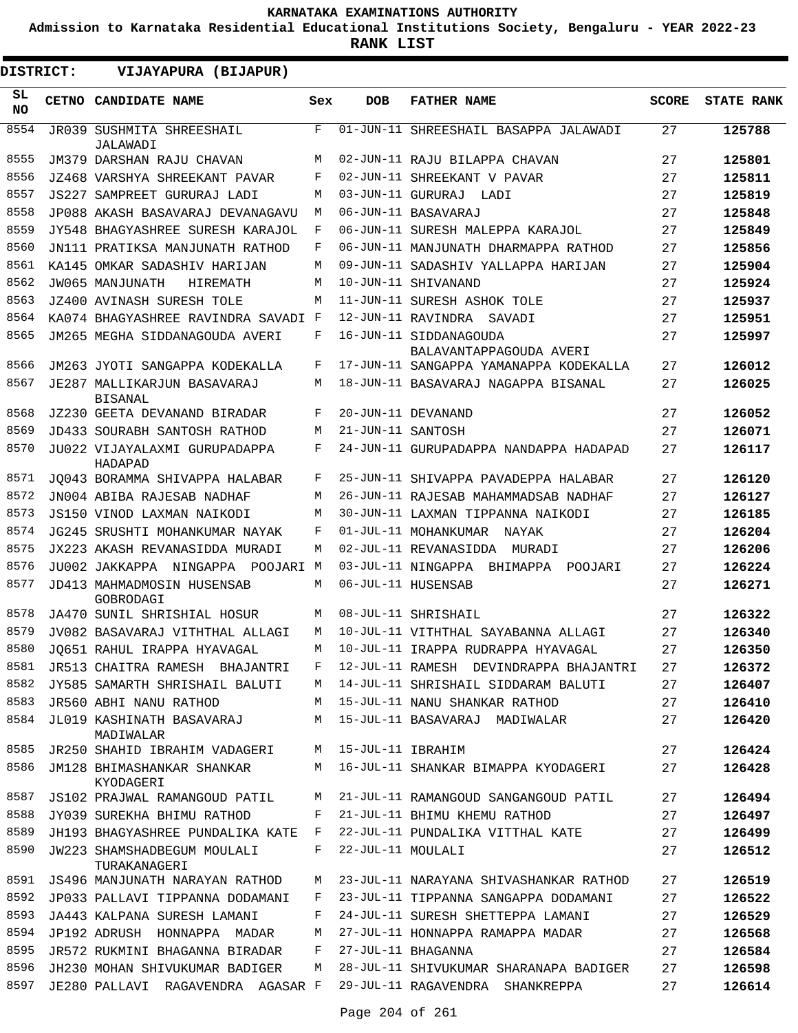**Admission to Karnataka Residential Educational Institutions Society, Bengaluru - YEAR 2022-23**

**RANK LIST**

| DISTRICT:       |  | VIJAYAPURA (BIJAPUR)                              |             |                   |                                                   |              |                   |
|-----------------|--|---------------------------------------------------|-------------|-------------------|---------------------------------------------------|--------------|-------------------|
| SL<br><b>NO</b> |  | CETNO CANDIDATE NAME                              | Sex         | <b>DOB</b>        | <b>FATHER NAME</b>                                | <b>SCORE</b> | <b>STATE RANK</b> |
| 8554            |  | JR039 SUSHMITA SHREESHAIL<br>JALAWADI             | $\mathbf F$ |                   | 01-JUN-11 SHREESHAIL BASAPPA JALAWADI             | 27           | 125788            |
| 8555            |  | JM379 DARSHAN RAJU CHAVAN                         | M           |                   | 02-JUN-11 RAJU BILAPPA CHAVAN                     | 27           | 125801            |
| 8556            |  | JZ468 VARSHYA SHREEKANT PAVAR                     | F           |                   | 02-JUN-11 SHREEKANT V PAVAR                       | 27           | 125811            |
| 8557            |  | JS227 SAMPREET GURURAJ LADI                       | M           |                   | 03-JUN-11 GURURAJ LADI                            | 27           | 125819            |
| 8558            |  | JP088 AKASH BASAVARAJ DEVANAGAVU                  | M           |                   | 06-JUN-11 BASAVARAJ                               | 27           | 125848            |
| 8559            |  | JY548 BHAGYASHREE SURESH KARAJOL                  | F           |                   | 06-JUN-11 SURESH MALEPPA KARAJOL                  | 27           | 125849            |
| 8560            |  | JN111 PRATIKSA MANJUNATH RATHOD                   | F           |                   | 06-JUN-11 MANJUNATH DHARMAPPA RATHOD              | 27           | 125856            |
| 8561            |  | KA145 OMKAR SADASHIV HARIJAN                      | М           |                   | 09-JUN-11 SADASHIV YALLAPPA HARIJAN               | 27           | 125904            |
| 8562            |  | JW065 MANJUNATH<br>HIREMATH                       | M           |                   | 10-JUN-11 SHIVANAND                               | 27           | 125924            |
| 8563            |  | JZ400 AVINASH SURESH TOLE                         | M           |                   | 11-JUN-11 SURESH ASHOK TOLE                       | 27           | 125937            |
| 8564            |  | KA074 BHAGYASHREE RAVINDRA SAVADI F               |             |                   | 12-JUN-11 RAVINDRA SAVADI                         | 27           | 125951            |
| 8565            |  | JM265 MEGHA SIDDANAGOUDA AVERI                    | F           |                   | 16-JUN-11 SIDDANAGOUDA<br>BALAVANTAPPAGOUDA AVERI | 27           | 125997            |
| 8566            |  | JM263 JYOTI SANGAPPA KODEKALLA                    | F           |                   | 17-JUN-11 SANGAPPA YAMANAPPA KODEKALLA            | 27           | 126012            |
| 8567            |  | JE287 MALLIKARJUN BASAVARAJ<br><b>BISANAL</b>     | M           |                   | 18-JUN-11 BASAVARAJ NAGAPPA BISANAL               | 27           | 126025            |
| 8568            |  | JZ230 GEETA DEVANAND BIRADAR                      | F           |                   | 20-JUN-11 DEVANAND                                | 27           | 126052            |
| 8569            |  | JD433 SOURABH SANTOSH RATHOD                      | M           | 21-JUN-11 SANTOSH |                                                   | 27           | 126071            |
| 8570            |  | JU022 VIJAYALAXMI GURUPADAPPA<br>HADAPAD          | F           |                   | 24-JUN-11 GURUPADAPPA NANDAPPA HADAPAD            | 27           | 126117            |
| 8571            |  | JO043 BORAMMA SHIVAPPA HALABAR                    | F           |                   | 25-JUN-11 SHIVAPPA PAVADEPPA HALABAR              | 27           | 126120            |
| 8572            |  | JN004 ABIBA RAJESAB NADHAF                        | M           |                   | 26-JUN-11 RAJESAB MAHAMMADSAB NADHAF              | 27           | 126127            |
| 8573            |  | JS150 VINOD LAXMAN NAIKODI                        | М           |                   | 30-JUN-11 LAXMAN TIPPANNA NAIKODI                 | 27           | 126185            |
| 8574            |  | JG245 SRUSHTI MOHANKUMAR NAYAK                    | F           |                   | 01-JUL-11 MOHANKUMAR NAYAK                        | 27           | 126204            |
| 8575            |  | JX223 AKASH REVANASIDDA MURADI                    | М           |                   | 02-JUL-11 REVANASIDDA MURADI                      | 27           | 126206            |
| 8576            |  | JU002 JAKKAPPA NINGAPPA POOJARI                   | M           |                   | 03-JUL-11 NINGAPPA BHIMAPPA POOJARI               | 27           | 126224            |
| 8577            |  | JD413 MAHMADMOSIN HUSENSAB<br>GOBRODAGI           | М           |                   | 06-JUL-11 HUSENSAB                                | 27           | 126271            |
| 8578            |  | JA470 SUNIL SHRISHIAL HOSUR                       | M           |                   | 08-JUL-11 SHRISHAIL                               | 27           | 126322            |
| 8579            |  | JV082 BASAVARAJ VITHTHAL ALLAGI                   | M           |                   | 10-JUL-11 VITHTHAL SAYABANNA ALLAGI               | 27           | 126340            |
| 8580            |  | JQ651 RAHUL IRAPPA HYAVAGAL                       |             |                   | M 10-JUL-11 IRAPPA RUDRAPPA HYAVAGAL              | 27           | 126350            |
| 8581            |  | JR513 CHAITRA RAMESH BHAJANTRI                    | F.          |                   | 12-JUL-11 RAMESH DEVINDRAPPA BHAJANTRI            | 27           | 126372            |
| 8582            |  | JY585 SAMARTH SHRISHAIL BALUTI                    | M           |                   | 14-JUL-11 SHRISHAIL SIDDARAM BALUTI               | 27           | 126407            |
| 8583            |  | JR560 ABHI NANU RATHOD                            | M           |                   | 15-JUL-11 NANU SHANKAR RATHOD                     | 27           | 126410            |
| 8584            |  | JL019 KASHINATH BASAVARAJ<br>MADIWALAR            | М           |                   | 15-JUL-11 BASAVARAJ MADIWALAR                     | 27           | 126420            |
| 8585            |  | JR250 SHAHID IBRAHIM VADAGERI M 15-JUL-11 IBRAHIM |             |                   |                                                   | 27           | 126424            |
| 8586            |  | JM128 BHIMASHANKAR SHANKAR<br>KYODAGERI           | M           |                   | 16-JUL-11 SHANKAR BIMAPPA KYODAGERI               | 27           | 126428            |
| 8587            |  | JS102 PRAJWAL RAMANGOUD PATIL M                   |             |                   | 21-JUL-11 RAMANGOUD SANGANGOUD PATIL              | 27           | 126494            |
| 8588            |  | JY039 SUREKHA BHIMU RATHOD                        | F           |                   | 21-JUL-11 BHIMU KHEMU RATHOD                      | 27           | 126497            |
| 8589            |  | JH193 BHAGYASHREE PUNDALIKA KATE                  | F           |                   | 22-JUL-11 PUNDALIKA VITTHAL KATE                  | 27           | 126499            |
| 8590            |  | JW223 SHAMSHADBEGUM MOULALI<br>TURAKANAGERI       | F           | 22-JUL-11 MOULALI |                                                   | 27           | 126512            |
| 8591            |  | JS496 MANJUNATH NARAYAN RATHOD                    | М           |                   | 23-JUL-11 NARAYANA SHIVASHANKAR RATHOD            | 27           | 126519            |
| 8592            |  | JP033 PALLAVI TIPPANNA DODAMANI                   | F           |                   | 23-JUL-11 TIPPANNA SANGAPPA DODAMANI              | 27           | 126522            |
| 8593            |  | JA443 KALPANA SURESH LAMANI                       | F           |                   | 24-JUL-11 SURESH SHETTEPPA LAMANI                 | 27           | 126529            |
| 8594            |  | JP192 ADRUSH HONNAPPA MADAR                       | М           |                   | 27-JUL-11 HONNAPPA RAMAPPA MADAR                  | 27           | 126568            |
| 8595            |  | JR572 RUKMINI BHAGANNA BIRADAR                    | F           |                   | 27-JUL-11 BHAGANNA                                | 27           | 126584            |
| 8596            |  | JH230 MOHAN SHIVUKUMAR BADIGER                    | М           |                   | 28-JUL-11 SHIVUKUMAR SHARANAPA BADIGER            | 27           | 126598            |
| 8597            |  | JE280 PALLAVI RAGAVENDRA AGASAR F                 |             |                   | 29-JUL-11 RAGAVENDRA SHANKREPPA                   | 27           | 126614            |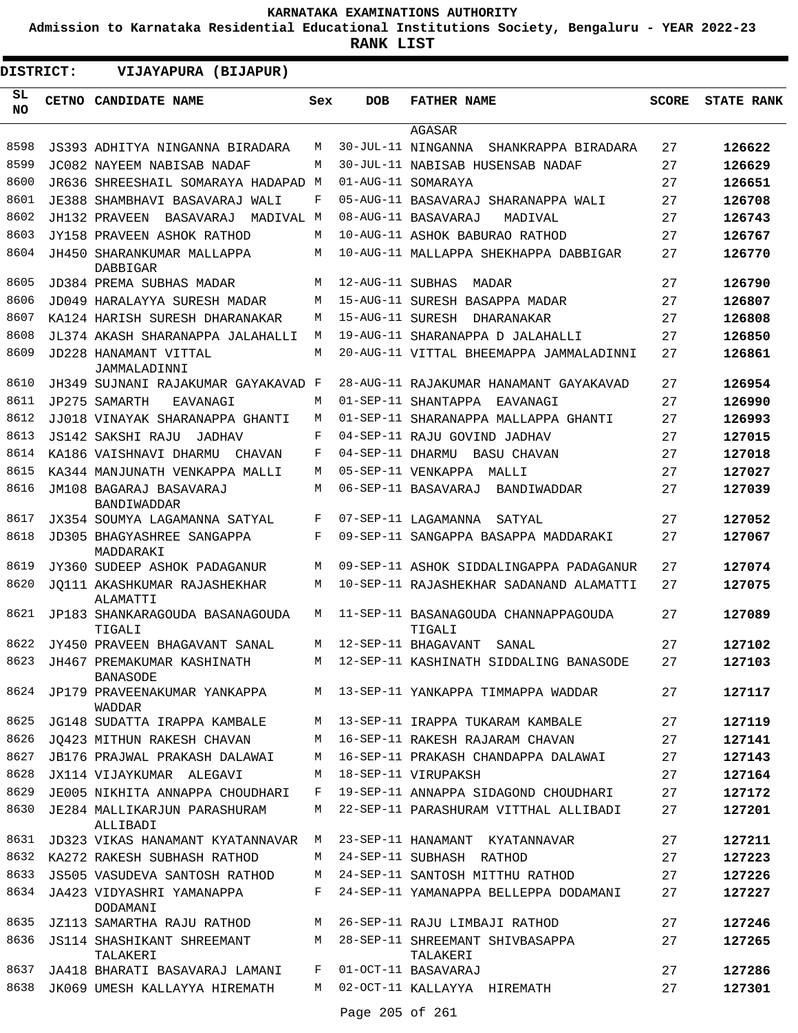**Admission to Karnataka Residential Educational Institutions Society, Bengaluru - YEAR 2022-23**

**RANK LIST**

| <b>DISTRICT:</b> |  | VIJAYAPURA (BIJAPUR)                           |     |                  |                                                |              |                   |
|------------------|--|------------------------------------------------|-----|------------------|------------------------------------------------|--------------|-------------------|
| SL.<br><b>NO</b> |  | CETNO CANDIDATE NAME                           | Sex | <b>DOB</b>       | <b>FATHER NAME</b>                             | <b>SCORE</b> | <b>STATE RANK</b> |
|                  |  |                                                |     |                  | AGASAR                                         |              |                   |
| 8598             |  | JS393 ADHITYA NINGANNA BIRADARA                | М   |                  | 30-JUL-11 NINGANNA SHANKRAPPA BIRADARA         | 27           | 126622            |
| 8599             |  | JC082 NAYEEM NABISAB NADAF                     | М   |                  | 30-JUL-11 NABISAB HUSENSAB NADAF               | 27           | 126629            |
| 8600             |  | JR636 SHREESHAIL SOMARAYA HADAPAD M            |     |                  | 01-AUG-11 SOMARAYA                             | 27           | 126651            |
| 8601             |  | JE388 SHAMBHAVI BASAVARAJ WALI                 | F   |                  | 05-AUG-11 BASAVARAJ SHARANAPPA WALI            | 27           | 126708            |
| 8602             |  | JH132 PRAVEEN<br>BASAVARAJ<br>MADIVAL M        |     |                  | 08-AUG-11 BASAVARAJ<br>MADTVAL                 | 27           | 126743            |
| 8603             |  | JY158 PRAVEEN ASHOK RATHOD                     | М   |                  | 10-AUG-11 ASHOK BABURAO RATHOD                 | 27           | 126767            |
| 8604             |  | JH450 SHARANKUMAR MALLAPPA<br>DABBIGAR         | М   |                  | 10-AUG-11 MALLAPPA SHEKHAPPA DABBIGAR          | 27           | 126770            |
| 8605             |  | JD384 PREMA SUBHAS MADAR                       | М   | 12-AUG-11 SUBHAS | MADAR                                          | 27           | 126790            |
| 8606             |  | JD049 HARALAYYA SURESH MADAR                   | М   |                  | 15-AUG-11 SURESH BASAPPA MADAR                 | 27           | 126807            |
| 8607             |  | KA124 HARISH SURESH DHARANAKAR                 | М   |                  | 15-AUG-11 SURESH DHARANAKAR                    | 27           | 126808            |
| 8608             |  | JL374 AKASH SHARANAPPA JALAHALLI               | М   |                  | 19-AUG-11 SHARANAPPA D JALAHALLI               | 27           | 126850            |
| 8609             |  | JD228 HANAMANT VITTAL<br>JAMMALADINNI          | М   |                  | 20-AUG-11 VITTAL BHEEMAPPA JAMMALADINNI        | 27           | 126861            |
| 8610             |  | JH349 SUJNANI RAJAKUMAR GAYAKAVAD F            |     |                  | 28-AUG-11 RAJAKUMAR HANAMANT GAYAKAVAD         | 27           | 126954            |
| 8611             |  | JP275 SAMARTH<br>EAVANAGI                      | М   |                  | 01-SEP-11 SHANTAPPA<br>EAVANAGI                | 27           | 126990            |
| 8612             |  | JJ018 VINAYAK SHARANAPPA GHANTI                | М   |                  | 01-SEP-11 SHARANAPPA MALLAPPA GHANTI           | 27           | 126993            |
| 8613             |  | JS142 SAKSHI RAJU<br>JADHAV                    | F   |                  | 04-SEP-11 RAJU GOVIND JADHAV                   | 27           | 127015            |
| 8614             |  | KA186 VAISHNAVI DHARMU<br>CHAVAN               | F   | 04-SEP-11 DHARMU | BASU CHAVAN                                    | 27           | 127018            |
| 8615             |  | KA344 MANJUNATH VENKAPPA MALLI                 | М   |                  | 05-SEP-11 VENKAPPA MALLI                       | 27           | 127027            |
| 8616             |  | JM108 BAGARAJ BASAVARAJ<br>BANDIWADDAR         | М   |                  | 06-SEP-11 BASAVARAJ BANDIWADDAR                | 27           | 127039            |
| 8617             |  | JX354 SOUMYA LAGAMANNA SATYAL                  | F   |                  | 07-SEP-11 LAGAMANNA<br>SATYAL                  | 27           | 127052            |
| 8618             |  | <b>JD305 BHAGYASHREE SANGAPPA</b><br>MADDARAKI | F   |                  | 09-SEP-11 SANGAPPA BASAPPA MADDARAKI           | 27           | 127067            |
| 8619             |  | JY360 SUDEEP ASHOK PADAGANUR                   | М   |                  | 09-SEP-11 ASHOK SIDDALINGAPPA PADAGANUR        | 27           | 127074            |
| 8620             |  | JO111 AKASHKUMAR RAJASHEKHAR<br>ALAMATTI       | М   |                  | 10-SEP-11 RAJASHEKHAR SADANAND ALAMATTI        | 27           | 127075            |
| 8621             |  | JP183 SHANKARAGOUDA BASANAGOUDA<br>TIGALI      | М   |                  | 11-SEP-11 BASANAGOUDA CHANNAPPAGOUDA<br>TIGALI | 27           | 127089            |
| 8622             |  | JY450 PRAVEEN BHAGAVANT SANAL                  | М   |                  | 12-SEP-11 BHAGAVANT<br>SANAL                   | 27           | 127102            |
| 8623             |  | JH467 PREMAKUMAR KASHINATH<br><b>BANASODE</b>  | М   |                  | 12-SEP-11 KASHINATH SIDDALING BANASODE         | 27           | 127103            |
| 8624             |  | JP179 PRAVEENAKUMAR YANKAPPA<br>WADDAR         | M   |                  | 13-SEP-11 YANKAPPA TIMMAPPA WADDAR             | 27           | 127117            |
| 8625             |  | JG148 SUDATTA IRAPPA KAMBALE                   | M   |                  | 13-SEP-11 IRAPPA TUKARAM KAMBALE               | 27           | 127119            |
| 8626             |  | JO423 MITHUN RAKESH CHAVAN                     | М   |                  | 16-SEP-11 RAKESH RAJARAM CHAVAN                | 27           | 127141            |
| 8627             |  | JB176 PRAJWAL PRAKASH DALAWAI                  | М   |                  | 16-SEP-11 PRAKASH CHANDAPPA DALAWAI            | 27           | 127143            |
| 8628             |  | JX114 VIJAYKUMAR ALEGAVI                       | M   |                  | 18-SEP-11 VIRUPAKSH                            | 27           | 127164            |
| 8629             |  | JE005 NIKHITA ANNAPPA CHOUDHARI                | F   |                  | 19-SEP-11 ANNAPPA SIDAGOND CHOUDHARI           | 27           | 127172            |
| 8630             |  | JE284 MALLIKARJUN PARASHURAM<br>ALLIBADI       | М   |                  | 22-SEP-11 PARASHURAM VITTHAL ALLIBADI          | 27           | 127201            |
| 8631             |  | JD323 VIKAS HANAMANT KYATANNAVAR               | М   |                  | 23-SEP-11 HANAMANT KYATANNAVAR                 | 27           | 127211            |
| 8632             |  | KA272 RAKESH SUBHASH RATHOD                    | М   |                  | 24-SEP-11 SUBHASH RATHOD                       | 27           | 127223            |
| 8633             |  | JS505 VASUDEVA SANTOSH RATHOD                  | М   |                  | 24-SEP-11 SANTOSH MITTHU RATHOD                | 27           | 127226            |
| 8634             |  | JA423 VIDYASHRI YAMANAPPA<br>DODAMANI          | F   |                  | 24-SEP-11 YAMANAPPA BELLEPPA DODAMANI          | 27           | 127227            |
| 8635             |  | JZ113 SAMARTHA RAJU RATHOD                     | М   |                  | 26-SEP-11 RAJU LIMBAJI RATHOD                  | 27           | 127246            |
| 8636             |  | JS114 SHASHIKANT SHREEMANT<br>TALAKERI         | М   |                  | 28-SEP-11 SHREEMANT SHIVBASAPPA<br>TALAKERI    | 27           | 127265            |
| 8637             |  | JA418 BHARATI BASAVARAJ LAMANI                 | F   |                  | 01-OCT-11 BASAVARAJ                            | 27           | 127286            |
| 8638             |  | JK069 UMESH KALLAYYA HIREMATH                  | M   |                  | 02-OCT-11 KALLAYYA HIREMATH                    | 27           | 127301            |

Page 205 of 261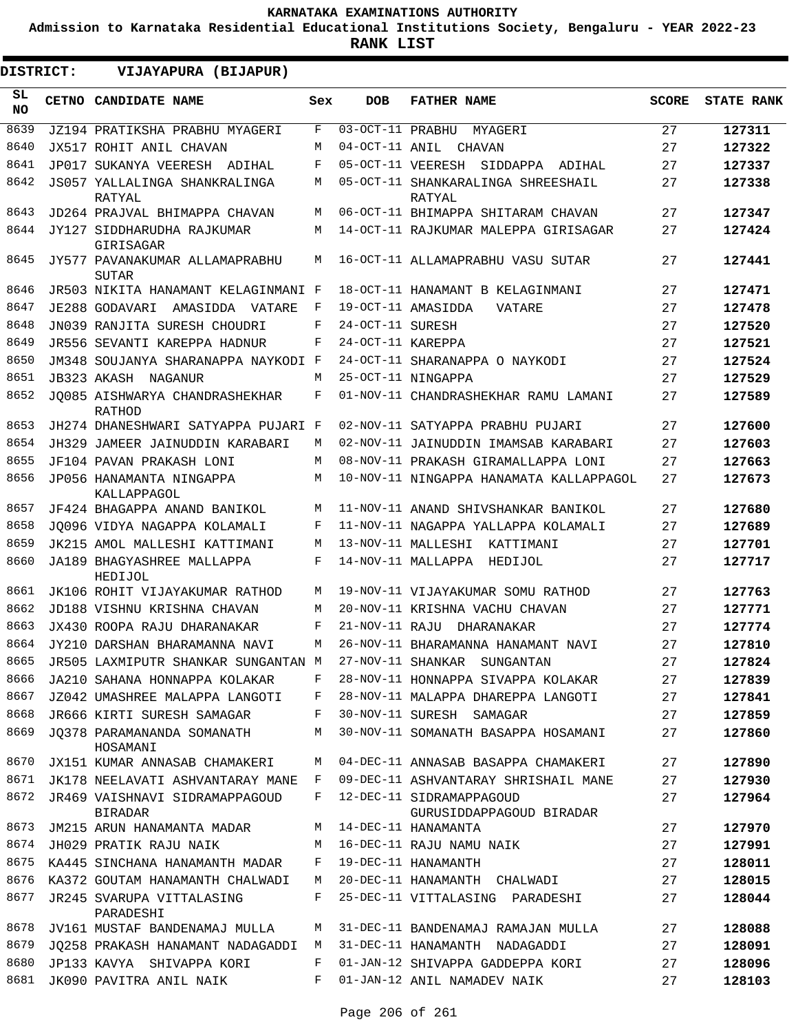**Admission to Karnataka Residential Educational Institutions Society, Bengaluru - YEAR 2022-23**

**RANK LIST**

| <b>DISTRICT:</b> |  | VIJAYAPURA (BIJAPUR)                                                    |        |                   |                                                                            |              |                   |
|------------------|--|-------------------------------------------------------------------------|--------|-------------------|----------------------------------------------------------------------------|--------------|-------------------|
| SL.<br><b>NO</b> |  | CETNO CANDIDATE NAME                                                    | Sex    | <b>DOB</b>        | <b>FATHER NAME</b>                                                         | <b>SCORE</b> | <b>STATE RANK</b> |
| 8639             |  | JZ194 PRATIKSHA PRABHU MYAGERI                                          | F      |                   | 03-OCT-11 PRABHU MYAGERI                                                   | 27           | 127311            |
| 8640             |  | JX517 ROHIT ANIL CHAVAN                                                 | M      | $04-0CT-11$ ANTI. | CHAVAN                                                                     | 27           | 127322            |
| 8641             |  | JP017 SUKANYA VEERESH ADIHAL                                            | F      |                   | 05-OCT-11 VEERESH SIDDAPPA ADIHAL                                          | 27           | 127337            |
| 8642             |  | JS057 YALLALINGA SHANKRALINGA<br>RATYAL                                 | M      |                   | 05-OCT-11 SHANKARALINGA SHREESHAIL<br>RATYAL                               | 27           | 127338            |
| 8643             |  | JD264 PRAJVAL BHIMAPPA CHAVAN                                           | M      |                   | 06-OCT-11 BHIMAPPA SHITARAM CHAVAN                                         | 27           | 127347            |
| 8644             |  | JY127 SIDDHARUDHA RAJKUMAR<br>GIRISAGAR                                 | M      |                   | 14-OCT-11 RAJKUMAR MALEPPA GIRISAGAR                                       | 27           | 127424            |
| 8645             |  | JY577 PAVANAKUMAR ALLAMAPRABHU<br><b>SUTAR</b>                          | M      |                   | 16-OCT-11 ALLAMAPRABHU VASU SUTAR                                          | 27           | 127441            |
| 8646             |  | JR503 NIKITA HANAMANT KELAGINMANI F                                     |        |                   | 18-OCT-11 HANAMANT B KELAGINMANI                                           | 27           | 127471            |
| 8647             |  | JE288 GODAVARI AMASIDDA VATARE                                          | F      |                   | 19-OCT-11 AMASIDDA<br>VATARE                                               | 27           | 127478            |
| 8648             |  | JN039 RANJITA SURESH CHOUDRI                                            | F      | 24-OCT-11 SURESH  |                                                                            | 27           | 127520            |
| 8649             |  | JR556 SEVANTI KAREPPA HADNUR                                            | F      | 24-OCT-11 KAREPPA |                                                                            | 27           | 127521            |
| 8650             |  | JM348 SOUJANYA SHARANAPPA NAYKODI F                                     |        |                   | 24-OCT-11 SHARANAPPA O NAYKODI                                             | 27           | 127524            |
| 8651<br>8652     |  | JB323 AKASH NAGANUR<br>JO085 AISHWARYA CHANDRASHEKHAR                   | M<br>F |                   | 25-OCT-11 NINGAPPA<br>01-NOV-11 CHANDRASHEKHAR RAMU LAMANI                 | 27<br>27     | 127529<br>127589  |
|                  |  | RATHOD                                                                  |        |                   |                                                                            |              |                   |
| 8653             |  | JH274 DHANESHWARI SATYAPPA PUJARI F                                     |        |                   | 02-NOV-11 SATYAPPA PRABHU PUJARI                                           | 27           | 127600            |
| 8654             |  | JH329 JAMEER JAINUDDIN KARABARI                                         | М      |                   | 02-NOV-11 JAINUDDIN IMAMSAB KARABARI                                       | 27           | 127603            |
| 8655             |  | JF104 PAVAN PRAKASH LONI                                                | M      |                   | 08-NOV-11 PRAKASH GIRAMALLAPPA LONI                                        | 27           | 127663            |
| 8656             |  | JP056 HANAMANTA NINGAPPA<br>KALLAPPAGOL                                 | М      |                   | 10-NOV-11 NINGAPPA HANAMATA KALLAPPAGOL                                    | 27           | 127673            |
| 8657             |  | JF424 BHAGAPPA ANAND BANIKOL                                            | M      |                   | 11-NOV-11 ANAND SHIVSHANKAR BANIKOL                                        | 27           | 127680            |
| 8658             |  | JO096 VIDYA NAGAPPA KOLAMALI                                            | F      |                   | 11-NOV-11 NAGAPPA YALLAPPA KOLAMALI                                        | 27           | 127689            |
| 8659             |  | JK215 AMOL MALLESHI KATTIMANI                                           | M      |                   | 13-NOV-11 MALLESHI<br>KATTIMANI                                            | 27           | 127701            |
| 8660             |  | JA189 BHAGYASHREE MALLAPPA<br>HEDIJOL                                   | F      |                   | 14-NOV-11 MALLAPPA<br>HEDIJOL                                              | 27           | 127717            |
| 8661             |  | JK106 ROHIT VIJAYAKUMAR RATHOD                                          | М      |                   | 19-NOV-11 VIJAYAKUMAR SOMU RATHOD                                          | 27           | 127763            |
| 8662             |  | JD188 VISHNU KRISHNA CHAVAN                                             | М      |                   | 20-NOV-11 KRISHNA VACHU CHAVAN                                             | 27           | 127771            |
| 8663             |  | JX430 ROOPA RAJU DHARANAKAR                                             | F      |                   | 21-NOV-11 RAJU DHARANAKAR                                                  | 27           | 127774            |
| 8664             |  | JY210 DARSHAN BHARAMANNA NAVI                                           | М      |                   | 26-NOV-11 BHARAMANNA HANAMANT NAVI                                         | 27           | 127810            |
| 8665             |  | JR505 LAXMIPUTR SHANKAR SUNGANTAN M                                     |        |                   | 27-NOV-11 SHANKAR SUNGANTAN                                                | 27           | 127824            |
| 8666             |  | JA210 SAHANA HONNAPPA KOLAKAR                                           | F      |                   | 28-NOV-11 HONNAPPA SIVAPPA KOLAKAR                                         | 27           | 127839            |
| 8667             |  | JZ042 UMASHREE MALAPPA LANGOTI                                          | F      |                   | 28-NOV-11 MALAPPA DHAREPPA LANGOTI                                         | 27           | 127841            |
| 8668<br>8669     |  | JR666 KIRTI SURESH SAMAGAR                                              | F<br>М |                   | 30-NOV-11 SURESH SAMAGAR                                                   | 27           | 127859            |
| 8670             |  | JQ378 PARAMANANDA SOMANATH<br>HOSAMANI<br>JX151 KUMAR ANNASAB CHAMAKERI |        |                   | 30-NOV-11 SOMANATH BASAPPA HOSAMANI<br>04-DEC-11 ANNASAB BASAPPA CHAMAKERI | 27           | 127860            |
| 8671             |  |                                                                         | М<br>F |                   | 09-DEC-11 ASHVANTARAY SHRISHAIL MANE                                       | 27           | 127890            |
| 8672             |  | JK178 NEELAVATI ASHVANTARAY MANE<br>JR469 VAISHNAVI SIDRAMAPPAGOUD      | F      |                   | 12-DEC-11 SIDRAMAPPAGOUD                                                   | 27<br>27     | 127930<br>127964  |
| 8673             |  | <b>BIRADAR</b><br>JM215 ARUN HANAMANTA MADAR                            | M      |                   | GURUSIDDAPPAGOUD BIRADAR<br>14-DEC-11 HANAMANTA                            | 27           | 127970            |
| 8674             |  | JH029 PRATIK RAJU NAIK                                                  | М      |                   | 16-DEC-11 RAJU NAMU NAIK                                                   | 27           | 127991            |
| 8675             |  | KA445 SINCHANA HANAMANTH MADAR                                          | F      |                   | 19-DEC-11 HANAMANTH                                                        | 27           | 128011            |
| 8676             |  | KA372 GOUTAM HANAMANTH CHALWADI                                         | М      |                   | 20-DEC-11 HANAMANTH CHALWADI                                               | 27           | 128015            |
| 8677             |  | JR245 SVARUPA VITTALASING                                               | F      |                   | 25-DEC-11 VITTALASING PARADESHI                                            | 27           | 128044            |
| 8678             |  | PARADESHI                                                               |        |                   |                                                                            | 27           |                   |
| 8679             |  | JV161 MUSTAF BANDENAMAJ MULLA                                           | М<br>М |                   | 31-DEC-11 BANDENAMAJ RAMAJAN MULLA                                         |              | 128088            |
| 8680             |  | JO258 PRAKASH HANAMANT NADAGADDI<br>JP133 KAVYA SHIVAPPA KORI           | F      |                   | 31-DEC-11 HANAMANTH NADAGADDI<br>01-JAN-12 SHIVAPPA GADDEPPA KORI          | 27<br>27     | 128091<br>128096  |
| 8681             |  | JK090 PAVITRA ANIL NAIK                                                 | F      |                   | 01-JAN-12 ANIL NAMADEV NAIK                                                | 27           | 128103            |
|                  |  |                                                                         |        |                   |                                                                            |              |                   |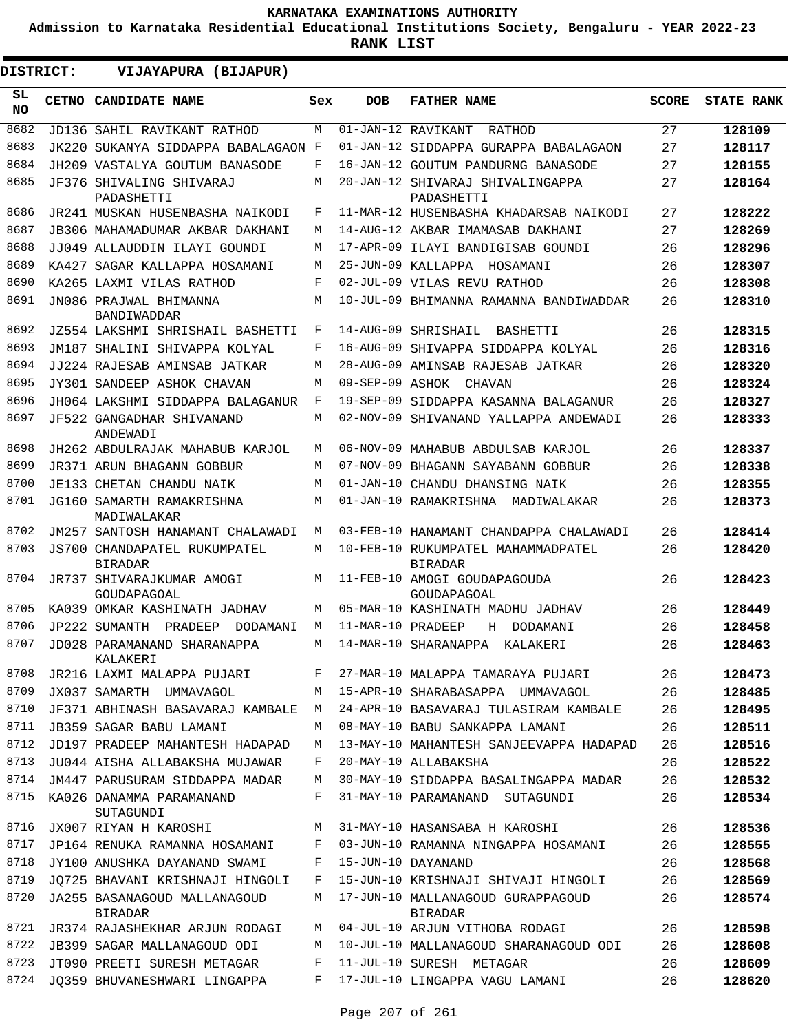**Admission to Karnataka Residential Educational Institutions Society, Bengaluru - YEAR 2022-23**

| DISTRICT:       | VIJAYAPURA (BIJAPUR)                           |     |                   |                                                      |              |                   |
|-----------------|------------------------------------------------|-----|-------------------|------------------------------------------------------|--------------|-------------------|
| SL<br><b>NO</b> | CETNO CANDIDATE NAME                           | Sex | <b>DOB</b>        | <b>FATHER NAME</b>                                   | <b>SCORE</b> | <b>STATE RANK</b> |
| 8682            | JD136 SAHIL RAVIKANT RATHOD                    | M   |                   | $\overline{01 - JAN - 12}$ RAVIKANT<br>RATHOD        | 27           | 128109            |
| 8683            | JK220 SUKANYA SIDDAPPA BABALAGAON F            |     |                   | 01-JAN-12 SIDDAPPA GURAPPA BABALAGAON                | 27           | 128117            |
| 8684            | JH209 VASTALYA GOUTUM BANASODE                 | F   |                   | 16-JAN-12 GOUTUM PANDURNG BANASODE                   | 27           | 128155            |
| 8685            | JF376 SHIVALING SHIVARAJ<br>PADASHETTI         | М   |                   | 20-JAN-12 SHIVARAJ SHIVALINGAPPA<br>PADASHETTI       | 27           | 128164            |
| 8686            | JR241 MUSKAN HUSENBASHA NAIKODI                | F   |                   | 11-MAR-12 HUSENBASHA KHADARSAB NAIKODI               | 27           | 128222            |
| 8687            | JB306 MAHAMADUMAR AKBAR DAKHANI                | М   |                   | 14-AUG-12 AKBAR IMAMASAB DAKHANI                     | 27           | 128269            |
| 8688            | JJ049 ALLAUDDIN ILAYI GOUNDI                   | М   |                   | 17-APR-09 ILAYI BANDIGISAB GOUNDI                    | 26           | 128296            |
| 8689            | KA427 SAGAR KALLAPPA HOSAMANI                  | М   |                   | 25-JUN-09 KALLAPPA HOSAMANI                          | 26           | 128307            |
| 8690            | KA265 LAXMI VILAS RATHOD                       | F   |                   | 02-JUL-09 VILAS REVU RATHOD                          | 26           | 128308            |
| 8691            | JN086 PRAJWAL BHIMANNA<br>BANDIWADDAR          | М   |                   | 10-JUL-09 BHIMANNA RAMANNA BANDIWADDAR               | 26           | 128310            |
| 8692            | JZ554 LAKSHMI SHRISHAIL BASHETTI               | F   |                   | 14-AUG-09 SHRISHAIL<br>BASHETTI                      | 26           | 128315            |
| 8693            | JM187 SHALINI SHIVAPPA KOLYAL                  | F   |                   | 16-AUG-09 SHIVAPPA SIDDAPPA KOLYAL                   | 26           | 128316            |
| 8694            | JJ224 RAJESAB AMINSAB JATKAR                   | М   |                   | 28-AUG-09 AMINSAB RAJESAB JATKAR                     | 26           | 128320            |
| 8695            | JY301 SANDEEP ASHOK CHAVAN                     | М   | 09-SEP-09 ASHOK   | CHAVAN                                               | 26           | 128324            |
| 8696            | JH064 LAKSHMI SIDDAPPA BALAGANUR               | F   |                   | 19-SEP-09 SIDDAPPA KASANNA BALAGANUR                 | 26           | 128327            |
| 8697            | JF522 GANGADHAR SHIVANAND<br>ANDEWADI          | М   |                   | 02-NOV-09 SHIVANAND YALLAPPA ANDEWADI                | 26           | 128333            |
| 8698            | JH262 ABDULRAJAK MAHABUB KARJOL                | M   |                   | 06-NOV-09 MAHABUB ABDULSAB KARJOL                    | 26           | 128337            |
| 8699            | <b>JR371 ARUN BHAGANN GOBBUR</b>               | М   |                   | 07-NOV-09 BHAGANN SAYABANN GOBBUR                    | 26           | 128338            |
| 8700            | JE133 CHETAN CHANDU NAIK                       | М   |                   | 01-JAN-10 CHANDU DHANSING NAIK                       | 26           | 128355            |
| 8701            | JG160 SAMARTH RAMAKRISHNA<br>MADIWALAKAR       | М   |                   | 01-JAN-10 RAMAKRISHNA MADIWALAKAR                    | 26           | 128373            |
| 8702            | JM257 SANTOSH HANAMANT CHALAWADI               | М   |                   | 03-FEB-10 HANAMANT CHANDAPPA CHALAWADI               | 26           | 128414            |
| 8703            | JS700 CHANDAPATEL RUKUMPATEL<br><b>BIRADAR</b> | М   |                   | 10-FEB-10 RUKUMPATEL MAHAMMADPATEL<br><b>BIRADAR</b> | 26           | 128420            |
| 8704            | JR737 SHIVARAJKUMAR AMOGI<br>GOUDAPAGOAL       | М   |                   | 11-FEB-10 AMOGI GOUDAPAGOUDA<br>GOUDAPAGOAL          | 26           | 128423            |
| 8705            | KA039 OMKAR KASHINATH JADHAV                   | M   |                   | 05-MAR-10 KASHINATH MADHU JADHAV                     | 26           | 128449            |
| 8706            | JP222 SUMANTH<br>PRADEEP<br>DODAMANI           | M   | 11-MAR-10 PRADEEP | Н<br>DODAMANI                                        | 26           | 128458            |
| 8707            | JD028 PARAMANAND SHARANAPPA<br>KALAKERI        | M   |                   | 14-MAR-10 SHARANAPPA<br>KALAKERI                     | 26           | 128463            |
| 8708            | JR216 LAXMI MALAPPA PUJARI                     | F   |                   | 27-MAR-10 MALAPPA TAMARAYA PUJARI                    | 26           | 128473            |
| 8709            | JX037 SAMARTH UMMAVAGOL                        | М   |                   | 15-APR-10 SHARABASAPPA UMMAVAGOL                     | 26           | 128485            |
| 8710            | JF371 ABHINASH BASAVARAJ KAMBALE               | М   |                   | 24-APR-10 BASAVARAJ TULASIRAM KAMBALE                | 26           | 128495            |
| 8711            | JB359 SAGAR BABU LAMANI                        | M   |                   | 08-MAY-10 BABU SANKAPPA LAMANI                       | 26           | 128511            |
| 8712            | JD197 PRADEEP MAHANTESH HADAPAD                | М   |                   | 13-MAY-10 MAHANTESH SANJEEVAPPA HADAPAD              | 26           | 128516            |
| 8713            | JU044 AISHA ALLABAKSHA MUJAWAR                 | F   |                   | 20-MAY-10 ALLABAKSHA                                 | 26           | 128522            |
| 8714            | JM447 PARUSURAM SIDDAPPA MADAR                 | М   |                   | 30-MAY-10 SIDDAPPA BASALINGAPPA MADAR                | 26           | 128532            |
| 8715            | KA026 DANAMMA PARAMANAND<br>SUTAGUNDI          | F   |                   | 31-MAY-10 PARAMANAND SUTAGUNDI                       | 26           | 128534            |
| 8716            | JX007 RIYAN H KAROSHI                          | М   |                   | 31-MAY-10 HASANSABA H KAROSHI                        | 26           | 128536            |
| 8717            | JP164 RENUKA RAMANNA HOSAMANI                  | F   |                   | 03-JUN-10 RAMANNA NINGAPPA HOSAMANI                  | 26           | 128555            |
| 8718            | JY100 ANUSHKA DAYANAND SWAMI                   | F   |                   | 15-JUN-10 DAYANAND                                   | 26           | 128568            |
| 8719            | JO725 BHAVANI KRISHNAJI HINGOLI                | F   |                   | 15-JUN-10 KRISHNAJI SHIVAJI HINGOLI                  | 26           | 128569            |
| 8720            | JA255 BASANAGOUD MALLANAGOUD<br>BIRADAR        | М   |                   | 17-JUN-10 MALLANAGOUD GURAPPAGOUD<br><b>BIRADAR</b>  | 26           | 128574            |
| 8721            | JR374 RAJASHEKHAR ARJUN RODAGI                 | M   |                   | 04-JUL-10 ARJUN VITHOBA RODAGI                       | 26           | 128598            |
| 8722            | JB399 SAGAR MALLANAGOUD ODI                    | М   |                   | 10-JUL-10 MALLANAGOUD SHARANAGOUD ODI                | 26           | 128608            |
| 8723            | JT090 PREETI SURESH METAGAR                    | F   |                   | 11-JUL-10 SURESH METAGAR                             | 26           | 128609            |
| 8724            | JQ359 BHUVANESHWARI LINGAPPA                   | F   |                   | 17-JUL-10 LINGAPPA VAGU LAMANI                       | 26           | 128620            |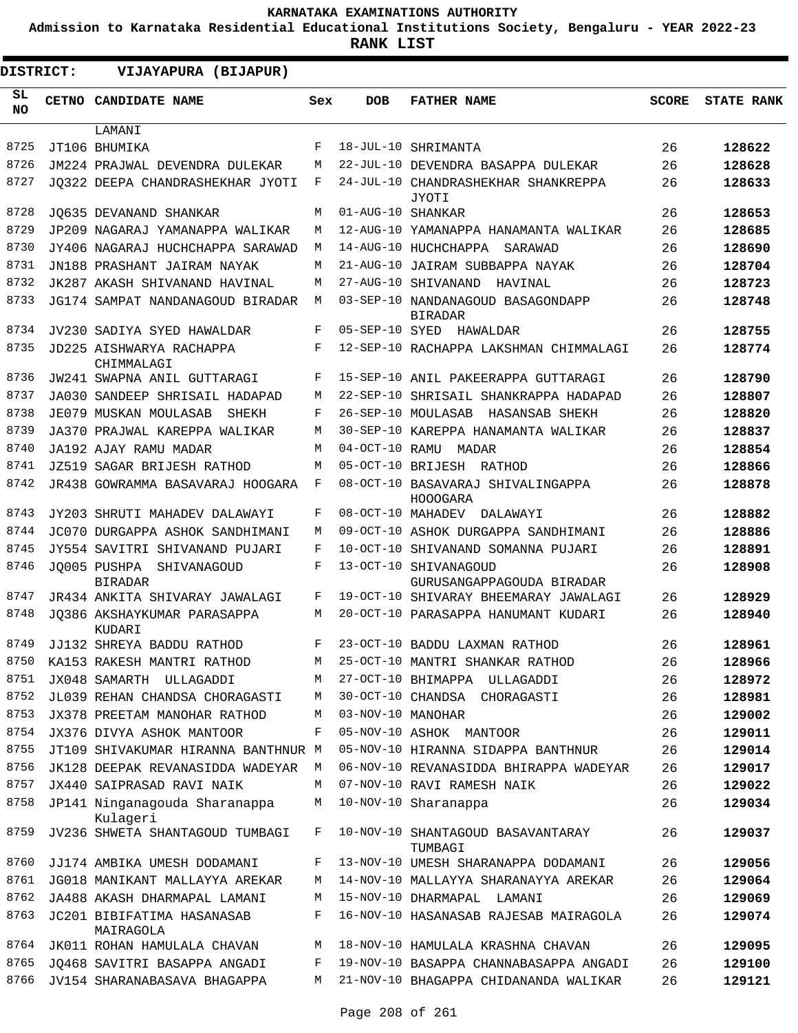**Admission to Karnataka Residential Educational Institutions Society, Bengaluru - YEAR 2022-23**

| <b>DISTRICT:</b> | VIJAYAPURA (BIJAPUR)                       |     |                   |                                                     |              |                   |
|------------------|--------------------------------------------|-----|-------------------|-----------------------------------------------------|--------------|-------------------|
| SL.<br>NO.       | CETNO CANDIDATE NAME                       | Sex | <b>DOB</b>        | <b>FATHER NAME</b>                                  | <b>SCORE</b> | <b>STATE RANK</b> |
|                  | LAMANI                                     |     |                   |                                                     |              |                   |
| 8725             | JT106 BHUMIKA                              | F   |                   | 18-JUL-10 SHRIMANTA                                 | 26           | 128622            |
| 8726             | JM224 PRAJWAL DEVENDRA DULEKAR             | М   |                   | 22-JUL-10 DEVENDRA BASAPPA DULEKAR                  | 26           | 128628            |
| 8727             | JO322 DEEPA CHANDRASHEKHAR JYOTI           | F   |                   | 24-JUL-10 CHANDRASHEKHAR SHANKREPPA<br>JYOTI        | 26           | 128633            |
| 8728             | JO635 DEVANAND SHANKAR                     | М   | 01-AUG-10 SHANKAR |                                                     | 26           | 128653            |
| 8729             | JP209 NAGARAJ YAMANAPPA WALIKAR            | М   |                   | 12-AUG-10 YAMANAPPA HANAMANTA WALIKAR               | 26           | 128685            |
| 8730             | JY406 NAGARAJ HUCHCHAPPA SARAWAD           | М   |                   | 14-AUG-10 HUCHCHAPPA<br>SARAWAD                     | 26           | 128690            |
| 8731             | JN188 PRASHANT JAIRAM NAYAK                | М   |                   | 21-AUG-10 JAIRAM SUBBAPPA NAYAK                     | 26           | 128704            |
| 8732             | JK287 AKASH SHIVANAND HAVINAL              | М   |                   | 27-AUG-10 SHIVANAND<br>HAVINAL                      | 26           | 128723            |
| 8733             | JG174 SAMPAT NANDANAGOUD BIRADAR           | М   |                   | 03-SEP-10 NANDANAGOUD BASAGONDAPP<br><b>BIRADAR</b> | 26           | 128748            |
| 8734             | JV230 SADIYA SYED HAWALDAR                 | F   |                   | 05-SEP-10 SYED HAWALDAR                             | 26           | 128755            |
| 8735             | JD225 AISHWARYA RACHAPPA<br>CHIMMALAGI     | F   |                   | 12-SEP-10 RACHAPPA LAKSHMAN CHIMMALAGI              | 26           | 128774            |
| 8736             | JW241 SWAPNA ANIL GUTTARAGI                | F   |                   | 15-SEP-10 ANIL PAKEERAPPA GUTTARAGI                 | 26           | 128790            |
| 8737             | JA030 SANDEEP SHRISAIL HADAPAD             | М   |                   | 22-SEP-10 SHRISAIL SHANKRAPPA HADAPAD               | 26           | 128807            |
| 8738             | JE079 MUSKAN MOULASAB<br>SHEKH             | F   |                   | 26-SEP-10 MOULASAB HASANSAB SHEKH                   | 26           | 128820            |
| 8739             | JA370 PRAJWAL KAREPPA WALIKAR              | М   |                   | 30-SEP-10 KAREPPA HANAMANTA WALIKAR                 | 26           | 128837            |
| 8740             | JA192 AJAY RAMU MADAR                      | М   | $04-OCT-10$ RAMU  | MADAR                                               | 26           | 128854            |
| 8741             | <b>JZ519 SAGAR BRIJESH RATHOD</b>          | М   |                   | 05-OCT-10 BRIJESH RATHOD                            | 26           | 128866            |
| 8742             | JR438 GOWRAMMA BASAVARAJ HOOGARA           | F   |                   | 08-OCT-10 BASAVARAJ SHIVALINGAPPA<br>HOOOGARA       | 26           | 128878            |
| 8743             | JY203 SHRUTI MAHADEV DALAWAYI              | F   |                   | 08-OCT-10 MAHADEV<br>DALAWAYI                       | 26           | 128882            |
| 8744             | JC070 DURGAPPA ASHOK SANDHIMANI            | M   |                   | 09-OCT-10 ASHOK DURGAPPA SANDHIMANI                 | 26           | 128886            |
| 8745             | JY554 SAVITRI SHIVANAND PUJARI             | F   |                   | 10-OCT-10 SHIVANAND SOMANNA PUJARI                  | 26           | 128891            |
| 8746             | JO005 PUSHPA SHIVANAGOUD<br><b>BIRADAR</b> | F   |                   | 13-OCT-10 SHIVANAGOUD<br>GURUSANGAPPAGOUDA BIRADAR  | 26           | 128908            |
| 8747             | JR434 ANKITA SHIVARAY JAWALAGI             | F   |                   | 19-OCT-10 SHIVARAY BHEEMARAY JAWALAGI               | 26           | 128929            |
| 8748             | JO386 AKSHAYKUMAR PARASAPPA<br>KUDARI      | М   |                   | 20-OCT-10 PARASAPPA HANUMANT KUDARI                 | 26           | 128940            |
| 8749             | JJ132 SHREYA BADDU RATHOD                  | F   |                   | 23-OCT-10 BADDU LAXMAN RATHOD                       | 26           | 128961            |
| 8750             | KA153 RAKESH MANTRI RATHOD                 | М   |                   | 25-OCT-10 MANTRI SHANKAR RATHOD                     | 26           | 128966            |
| 8751             | JX048 SAMARTH ULLAGADDI                    | М   |                   | 27-OCT-10 BHIMAPPA ULLAGADDI                        | 26           | 128972            |
| 8752             | JL039 REHAN CHANDSA CHORAGASTI             | М   |                   | 30-OCT-10 CHANDSA CHORAGASTI                        | 26           | 128981            |
| 8753             | JX378 PREETAM MANOHAR RATHOD               | M   | 03-NOV-10 MANOHAR |                                                     | 26           | 129002            |
| 8754             | JX376 DIVYA ASHOK MANTOOR                  | F   |                   | 05-NOV-10 ASHOK MANTOOR                             | 26           | 129011            |
| 8755             | JT109 SHIVAKUMAR HIRANNA BANTHNUR M        |     |                   | 05-NOV-10 HIRANNA SIDAPPA BANTHNUR                  | 26           | 129014            |
| 8756             | JK128 DEEPAK REVANASIDDA WADEYAR           | M   |                   | 06-NOV-10 REVANASIDDA BHIRAPPA WADEYAR              | 26           | 129017            |
| 8757             | JX440 SAIPRASAD RAVI NAIK                  | М   |                   | 07-NOV-10 RAVI RAMESH NAIK                          | 26           | 129022            |
| 8758             | JP141 Ninganagouda Sharanappa<br>Kulageri  | М   |                   | 10-NOV-10 Sharanappa                                | 26           | 129034            |
| 8759             | JV236 SHWETA SHANTAGOUD TUMBAGI            | F   |                   | 10-NOV-10 SHANTAGOUD BASAVANTARAY<br>TUMBAGI        | 26           | 129037            |
| 8760             | JJ174 AMBIKA UMESH DODAMANI                | F   |                   | 13-NOV-10 UMESH SHARANAPPA DODAMANI                 | 26           | 129056            |
| 8761             | JG018 MANIKANT MALLAYYA AREKAR             | М   |                   | 14-NOV-10 MALLAYYA SHARANAYYA AREKAR                | 26           | 129064            |
| 8762             | JA488 AKASH DHARMAPAL LAMANI               | М   |                   | 15-NOV-10 DHARMAPAL LAMANI                          | 26           | 129069            |
| 8763             | JC201 BIBIFATIMA HASANASAB<br>MAIRAGOLA    | F   |                   | 16-NOV-10 HASANASAB RAJESAB MAIRAGOLA               | 26           | 129074            |
| 8764             | JK011 ROHAN HAMULALA CHAVAN                | М   |                   | 18-NOV-10 HAMULALA KRASHNA CHAVAN                   | 26           | 129095            |
| 8765             | JQ468 SAVITRI BASAPPA ANGADI               | F   |                   | 19-NOV-10 BASAPPA CHANNABASAPPA ANGADI              | 26           | 129100            |
| 8766             | JV154 SHARANABASAVA BHAGAPPA               | М   |                   | 21-NOV-10 BHAGAPPA CHIDANANDA WALIKAR               | 26           | 129121            |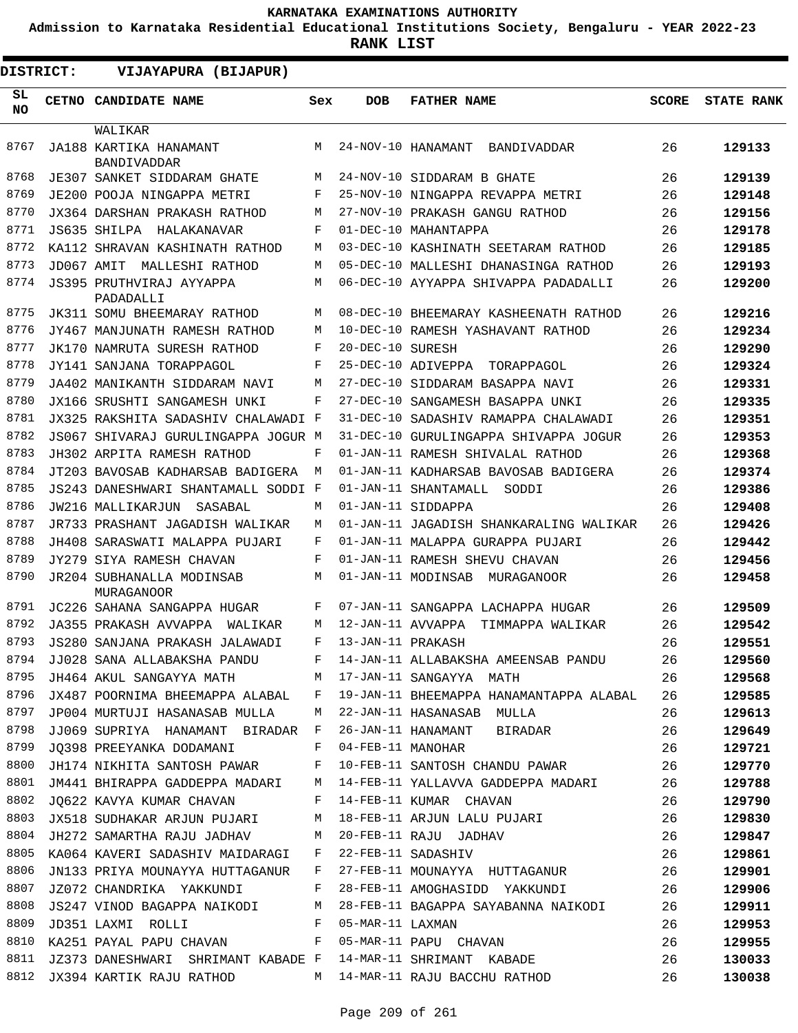**Admission to Karnataka Residential Educational Institutions Society, Bengaluru - YEAR 2022-23**

**RANK LIST**

| <b>DISTRICT:</b> |            | VIJAYAPURA (BIJAPUR)                                         |                       |                   |                                                                                                                                        |              |                   |
|------------------|------------|--------------------------------------------------------------|-----------------------|-------------------|----------------------------------------------------------------------------------------------------------------------------------------|--------------|-------------------|
| SL<br>NO.        |            | CETNO CANDIDATE NAME                                         | Sex                   | <b>DOB</b>        | <b>FATHER NAME</b>                                                                                                                     | <b>SCORE</b> | <b>STATE RANK</b> |
|                  |            | WALIKAR                                                      |                       |                   |                                                                                                                                        |              |                   |
| 8767             |            | JA188 KARTIKA HANAMANT<br>BANDIVADDAR                        | M                     |                   | 24-NOV-10 HANAMANT<br>BANDIVADDAR                                                                                                      | 26           | 129133            |
| 8768             |            | JE307 SANKET SIDDARAM GHATE                                  | М                     |                   | 24-NOV-10 SIDDARAM B GHATE                                                                                                             | 26           | 129139            |
| 8769             |            | JE200 POOJA NINGAPPA METRI                                   | F                     |                   | 25-NOV-10 NINGAPPA REVAPPA METRI                                                                                                       | 26           | 129148            |
| 8770             |            | JX364 DARSHAN PRAKASH RATHOD                                 | M                     |                   | 27-NOV-10 PRAKASH GANGU RATHOD                                                                                                         | 26           | 129156            |
| 8771             |            | JS635 SHILPA<br>HALAKANAVAR                                  | F                     |                   | 01-DEC-10 MAHANTAPPA                                                                                                                   | 26           | 129178            |
| 8772             |            | KA112 SHRAVAN KASHINATH RATHOD                               | M                     |                   | 03-DEC-10 KASHINATH SEETARAM RATHOD                                                                                                    | 26           | 129185            |
| 8773             | JD067 AMIT | MALLESHI RATHOD                                              | М                     |                   | 05-DEC-10 MALLESHI DHANASINGA RATHOD                                                                                                   | 26           | 129193            |
| 8774             |            | JS395 PRUTHVIRAJ AYYAPPA<br>PADADALLI                        | М                     |                   | 06-DEC-10 AYYAPPA SHIVAPPA PADADALLI                                                                                                   | 26           | 129200            |
| 8775             |            | JK311 SOMU BHEEMARAY RATHOD                                  | M                     |                   | 08-DEC-10 BHEEMARAY KASHEENATH RATHOD                                                                                                  | 26           | 129216            |
| 8776             |            | JY467 MANJUNATH RAMESH RATHOD                                | М                     |                   | 10-DEC-10 RAMESH YASHAVANT RATHOD                                                                                                      | 26           | 129234            |
| 8777             |            | JK170 NAMRUTA SURESH RATHOD                                  | F                     | 20-DEC-10 SURESH  |                                                                                                                                        | 26           | 129290            |
| 8778             |            | JY141 SANJANA TORAPPAGOL                                     | F                     |                   | 25-DEC-10 ADIVEPPA TORAPPAGOL                                                                                                          | 26           | 129324            |
| 8779             |            | JA402 MANIKANTH SIDDARAM NAVI                                | М                     |                   | 27-DEC-10 SIDDARAM BASAPPA NAVI                                                                                                        | 26           | 129331            |
| 8780             |            | JX166 SRUSHTI SANGAMESH UNKI                                 | F                     |                   | 27-DEC-10 SANGAMESH BASAPPA UNKI                                                                                                       | 26           | 129335            |
| 8781             |            | JX325 RAKSHITA SADASHIV CHALAWADI F                          |                       |                   | 31-DEC-10 SADASHIV RAMAPPA CHALAWADI                                                                                                   | 26           | 129351            |
| 8782             |            | JS067 SHIVARAJ GURULINGAPPA JOGUR M                          |                       |                   | 31-DEC-10 GURULINGAPPA SHIVAPPA JOGUR                                                                                                  | 26           | 129353            |
| 8783             |            | JH302 ARPITA RAMESH RATHOD                                   | F                     |                   | 01-JAN-11 RAMESH SHIVALAL RATHOD                                                                                                       | 26           | 129368            |
| 8784             |            | JT203 BAVOSAB KADHARSAB BADIGERA                             | M                     |                   | 01-JAN-11 KADHARSAB BAVOSAB BADIGERA                                                                                                   | 26           | 129374            |
| 8785             |            | JS243 DANESHWARI SHANTAMALL SODDI F                          |                       |                   | 01-JAN-11 SHANTAMALL<br>SODDI                                                                                                          | 26           | 129386            |
| 8786             |            | JW216 MALLIKARJUN<br>SASABAL                                 | М                     |                   | 01-JAN-11 SIDDAPPA                                                                                                                     | 26           | 129408            |
| 8787             |            | JR733 PRASHANT JAGADISH WALIKAR                              | М                     |                   | 01-JAN-11 JAGADISH SHANKARALING WALIKAR                                                                                                | 26           | 129426            |
| 8788             |            | JH408 SARASWATI MALAPPA PUJARI                               | F                     |                   | 01-JAN-11 MALAPPA GURAPPA PUJARI                                                                                                       | 26           | 129442            |
| 8789             |            | JY279 SIYA RAMESH CHAVAN                                     | F                     |                   | 01-JAN-11 RAMESH SHEVU CHAVAN                                                                                                          | 26           | 129456            |
| 8790             |            | <b>JR204 SUBHANALLA MODINSAB</b><br><b>MURAGANOOR</b>        | М                     |                   | 01-JAN-11 MODINSAB<br>MURAGANOOR                                                                                                       | 26           | 129458            |
| 8791             |            | JC226 SAHANA SANGAPPA HUGAR                                  | F                     |                   | 07-JAN-11 SANGAPPA LACHAPPA HUGAR                                                                                                      | 26           | 129509            |
| 8792             |            | JA355 PRAKASH AVVAPPA<br>WAT TKAR                            | М                     | 12-JAN-11 AVVAPPA | TIMMAPPA WALIKAR                                                                                                                       | 26           | 129542            |
| 8793             |            | JS280 SANJANA PRAKASH JALAWADI                               | F                     | 13-JAN-11 PRAKASH |                                                                                                                                        | 26           | 129551            |
| 8794             |            | JJ028 SANA ALLABAKSHA PANDU F                                |                       |                   | 14-JAN-11 ALLABAKSHA AMEENSAB PANDU                                                                                                    | 26           | 129560            |
| 8795             |            | JH464 AKUL SANGAYYA MATH MATH MATH MATH SANGAYYA MATH        |                       |                   | $\sim$ 26                                                                                                                              |              | 129568            |
| 8796             |            |                                                              |                       |                   | JX487 POORNIMA BHEEMAPPA ALABAL F 19-JAN-11 BHEEMAPPA HANAMANTAPPA ALABAL 26                                                           |              | 129585            |
| 8797             |            | JP004 MURTUJI HASANASAB MULLA M 22-JAN-11 HASANASAB MULLA    |                       |                   |                                                                                                                                        | 26           | 129613            |
| 8798             |            | JJ069 SUPRIYA HANAMANT BIRADAR F                             |                       |                   | 26-JAN-11 HANAMANT BIRADAR                                                                                                             | 26           | 129649            |
| 8799             |            | JQ398 PREEYANKA DODAMANI F                                   |                       |                   | 04-FEB-11 MANOHAR                                                                                                                      | 26           | 129721            |
| 8800             |            | JH174 NIKHITA SANTOSH PAWAR F                                |                       |                   | 10-FEB-11 SANTOSH CHANDU PAWAR                                                                                                         | 26           | 129770            |
|                  |            |                                                              |                       |                   | 8801 JM441 BHIRAPPA GADDEPPA MADARI M 14-FEB-11 YALLAVVA GADDEPPA MADARI 26                                                            |              | 129788            |
| 8802             |            | JQ622 KAVYA KUMAR CHAVAN F 14-FEB-11 KUMAR CHAVAN            |                       |                   |                                                                                                                                        | 26           | 129790            |
| 8803             |            |                                                              |                       |                   | JX518 SUDHAKAR ARJUN PUJARI M 18-FEB-11 ARJUN LALU PUJARI                                                                              | 26           | 129830            |
|                  |            |                                                              |                       |                   | 8804 JH272 SAMARTHA RAJU JADHAV         M   20-FEB-11 RAJU  JADHAV<br>8805  KA064 KAVERI SADASHIV MAIDARAGI     F   22-FEB-11 SADASHIV | 26           | 129847            |
|                  |            |                                                              |                       |                   |                                                                                                                                        | 26           | 129861            |
| 8806             |            | JN133 PRIYA MOUNAYYA HUTTAGANUR F                            |                       |                   | 27-FEB-11 MOUNAYYA HUTTAGANUR 26                                                                                                       |              | 129901            |
| 8807             |            | JZ072 CHANDRIKA YAKKUNDI F                                   |                       |                   | 28-FEB-11 AMOGHASIDD YAKKUNDI 26                                                                                                       |              | 129906            |
| 8808             |            | JS247 VINOD BAGAPPA NAIKODI M                                |                       |                   | 28-FEB-11 BAGAPPA SAYABANNA NAIKODI 26                                                                                                 |              | 129911            |
| 8809             |            | JD351 LAXMI ROLLI                                            | $\mathbb{F}^{\times}$ | 05-MAR-11 LAXMAN  |                                                                                                                                        | 26           | 129953            |
| 8810             |            | KA251 PAYAL PAPU CHAVAN F                                    |                       |                   | 05-MAR-11 PAPU CHAVAN                                                                                                                  | 26           | 129955            |
| 8811             |            | JZ373 DANESHWARI SHRIMANT KABADE F                           |                       |                   | 14-MAR-11 SHRIMANT KABADE                                                                                                              | 26           | 130033            |
|                  |            | 8812 JX394 KARTIK RAJU RATHOD M 14-MAR-11 RAJU BACCHU RATHOD |                       |                   |                                                                                                                                        | 26           | 130038            |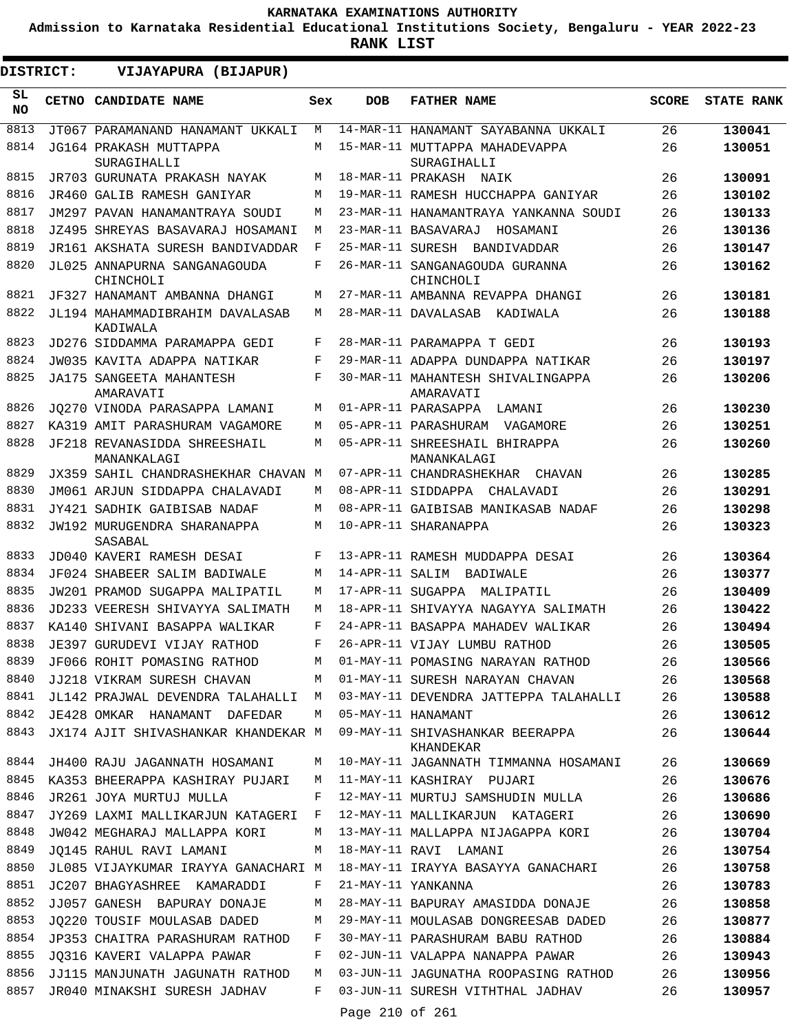**Admission to Karnataka Residential Educational Institutions Society, Bengaluru - YEAR 2022-23**

| DISTRICT:       | VIJAYAPURA (BIJAPUR)                                       |              |                 |                                                              |              |                   |
|-----------------|------------------------------------------------------------|--------------|-----------------|--------------------------------------------------------------|--------------|-------------------|
| SL<br><b>NO</b> | CETNO CANDIDATE NAME                                       | Sex          | <b>DOB</b>      | <b>FATHER NAME</b>                                           | <b>SCORE</b> | <b>STATE RANK</b> |
| 8813            | JT067 PARAMANAND HANAMANT UKKALI                           | М            |                 | 14-MAR-11 HANAMANT SAYABANNA UKKALI                          | 26           | 130041            |
| 8814            | JG164 PRAKASH MUTTAPPA                                     | М            |                 | 15-MAR-11 MUTTAPPA MAHADEVAPPA                               | 26           | 130051            |
| 8815            | SURAGIHALLI                                                | М            |                 | SURAGIHALLI                                                  |              |                   |
| 8816            | JR703 GURUNATA PRAKASH NAYAK<br>JR460 GALIB RAMESH GANIYAR | М            |                 | 18-MAR-11 PRAKASH NAIK<br>19-MAR-11 RAMESH HUCCHAPPA GANIYAR | 26<br>26     | 130091<br>130102  |
| 8817            | JM297 PAVAN HANAMANTRAYA SOUDI                             | М            |                 | 23-MAR-11 HANAMANTRAYA YANKANNA SOUDI                        | 26           | 130133            |
| 8818            | JZ495 SHREYAS BASAVARAJ HOSAMANI                           | М            |                 | 23-MAR-11 BASAVARAJ<br>HOSAMANI                              | 26           | 130136            |
| 8819            | JR161 AKSHATA SURESH BANDIVADDAR                           | F            |                 | 25-MAR-11 SURESH BANDIVADDAR                                 | 26           | 130147            |
| 8820            | JL025 ANNAPURNA SANGANAGOUDA                               | F            |                 | 26-MAR-11 SANGANAGOUDA GURANNA                               | 26           | 130162            |
|                 | CHINCHOLI                                                  |              |                 | CHINCHOLI                                                    |              |                   |
| 8821            | JF327 HANAMANT AMBANNA DHANGI                              | M            |                 | 27-MAR-11 AMBANNA REVAPPA DHANGI                             | 26           | 130181            |
| 8822            | JL194 MAHAMMADIBRAHIM DAVALASAB<br>KADIWALA                | М            |                 | 28-MAR-11 DAVALASAB KADIWALA                                 | 26           | 130188            |
| 8823            | JD276 SIDDAMMA PARAMAPPA GEDI                              | F            |                 | 28-MAR-11 PARAMAPPA T GEDI                                   | 26           | 130193            |
| 8824            | JW035 KAVITA ADAPPA NATIKAR                                | F            |                 | 29-MAR-11 ADAPPA DUNDAPPA NATIKAR                            | 26           | 130197            |
| 8825            | JA175 SANGEETA MAHANTESH                                   | F            |                 | 30-MAR-11 MAHANTESH SHIVALINGAPPA                            | 26           | 130206            |
| 8826            | AMARAVATI<br>JO270 VINODA PARASAPPA LAMANI                 | М            |                 | AMARAVATI<br>01-APR-11 PARASAPPA LAMANI                      | 26           | 130230            |
| 8827            | KA319 AMIT PARASHURAM VAGAMORE                             | М            |                 | 05-APR-11 PARASHURAM VAGAMORE                                | 26           | 130251            |
| 8828            | JF218 REVANASIDDA SHREESHAIL                               | М            |                 | 05-APR-11 SHREESHAIL BHIRAPPA                                | 26           | 130260            |
|                 | MANANKALAGI                                                |              |                 | MANANKALAGI                                                  |              |                   |
| 8829            | JX359 SAHIL CHANDRASHEKHAR CHAVAN                          | M            |                 | 07-APR-11 CHANDRASHEKHAR CHAVAN                              | 26           | 130285            |
| 8830            | JM061 ARJUN SIDDAPPA CHALAVADI                             | М            |                 | 08-APR-11 SIDDAPPA CHALAVADI                                 | 26           | 130291            |
| 8831            | JY421 SADHIK GAIBISAB NADAF                                | М            |                 | 08-APR-11 GAIBISAB MANIKASAB NADAF                           | 26           | 130298            |
| 8832            | JW192 MURUGENDRA SHARANAPPA<br>SASABAL                     | M            |                 | 10-APR-11 SHARANAPPA                                         | 26           | 130323            |
| 8833            | JD040 KAVERI RAMESH DESAI                                  | F            |                 | 13-APR-11 RAMESH MUDDAPPA DESAI                              | 26           | 130364            |
| 8834            | JF024 SHABEER SALIM BADIWALE                               | М            | 14-APR-11 SALIM | BADIWALE                                                     | 26           | 130377            |
| 8835            | JW201 PRAMOD SUGAPPA MALIPATIL                             | М            |                 | 17-APR-11 SUGAPPA<br>MALIPATIL                               | 26           | 130409            |
| 8836            | JD233 VEERESH SHIVAYYA SALIMATH                            | М            |                 | 18-APR-11 SHIVAYYA NAGAYYA SALIMATH                          | 26           | 130422            |
| 8837            | KA140 SHIVANI BASAPPA WALIKAR                              | F            |                 | 24-APR-11 BASAPPA MAHADEV WALIKAR                            | 26           | 130494            |
| 8838            | JE397 GURUDEVI VIJAY RATHOD                                | F            |                 | 26-APR-11 VIJAY LUMBU RATHOD                                 | 26           | 130505            |
| 8839            | JF066 ROHIT POMASING RATHOD                                | М            |                 | 01-MAY-11 POMASING NARAYAN RATHOD                            | 26           | 130566            |
| 8840            | JJ218 VIKRAM SURESH CHAVAN                                 | M            |                 | 01-MAY-11 SURESH NARAYAN CHAVAN                              | 26           | 130568            |
| 8841            | JL142 PRAJWAL DEVENDRA TALAHALLI                           | M            |                 | 03-MAY-11 DEVENDRA JATTEPPA TALAHALLI                        | 26           | 130588            |
| 8842            | JE428 OMKAR HANAMANT DAFEDAR                               | М            |                 | 05-MAY-11 HANAMANT                                           | 26           | 130612            |
| 8843            | JX174 AJIT SHIVASHANKAR KHANDEKAR M                        |              |                 | 09-MAY-11 SHIVASHANKAR BEERAPPA<br>KHANDEKAR                 | 26           | 130644            |
| 8844            | JH400 RAJU JAGANNATH HOSAMANI                              | М            |                 | 10-MAY-11 JAGANNATH TIMMANNA HOSAMANI                        | 26           | 130669            |
| 8845            | KA353 BHEERAPPA KASHIRAY PUJARI                            | M            |                 | 11-MAY-11 KASHIRAY PUJARI                                    | 26           | 130676            |
| 8846            | JR261 JOYA MURTUJ MULLA                                    | F            |                 | 12-MAY-11 MURTUJ SAMSHUDIN MULLA                             | 26           | 130686            |
| 8847            | JY269 LAXMI MALLIKARJUN KATAGERI                           | $\mathbf{F}$ |                 | 12-MAY-11 MALLIKARJUN KATAGERI                               | 26           | 130690            |
| 8848<br>8849    | JW042 MEGHARAJ MALLAPPA KORI                               | М            |                 | 13-MAY-11 MALLAPPA NIJAGAPPA KORI                            | 26           | 130704            |
| 8850            | JQ145 RAHUL RAVI LAMANI                                    | М            |                 | 18-MAY-11 RAVI LAMANI                                        | 26           | 130754            |
| 8851            | JL085 VIJAYKUMAR IRAYYA GANACHARI M                        | F            |                 | 18-MAY-11 IRAYYA BASAYYA GANACHARI<br>21-MAY-11 YANKANNA     | 26           | 130758            |
| 8852            | JC207 BHAGYASHREE KAMARADDI<br>JJ057 GANESH BAPURAY DONAJE | М            |                 | 28-MAY-11 BAPURAY AMASIDDA DONAJE                            | 26<br>26     | 130783<br>130858  |
| 8853            | JQ220 TOUSIF MOULASAB DADED                                | М            |                 | 29-MAY-11 MOULASAB DONGREESAB DADED                          | 26           | 130877            |
| 8854            | JP353 CHAITRA PARASHURAM RATHOD                            | F            |                 | 30-MAY-11 PARASHURAM BABU RATHOD                             | 26           | 130884            |
| 8855            | JQ316 KAVERI VALAPPA PAWAR                                 | F            |                 | 02-JUN-11 VALAPPA NANAPPA PAWAR                              | 26           | 130943            |
| 8856            | JJ115 MANJUNATH JAGUNATH RATHOD                            | M            |                 | 03-JUN-11 JAGUNATHA ROOPASING RATHOD                         | 26           | 130956            |
| 8857            | JR040 MINAKSHI SURESH JADHAV                               | F            |                 | 03-JUN-11 SURESH VITHTHAL JADHAV                             | 26           | 130957            |
|                 |                                                            |              | Page 210 of 261 |                                                              |              |                   |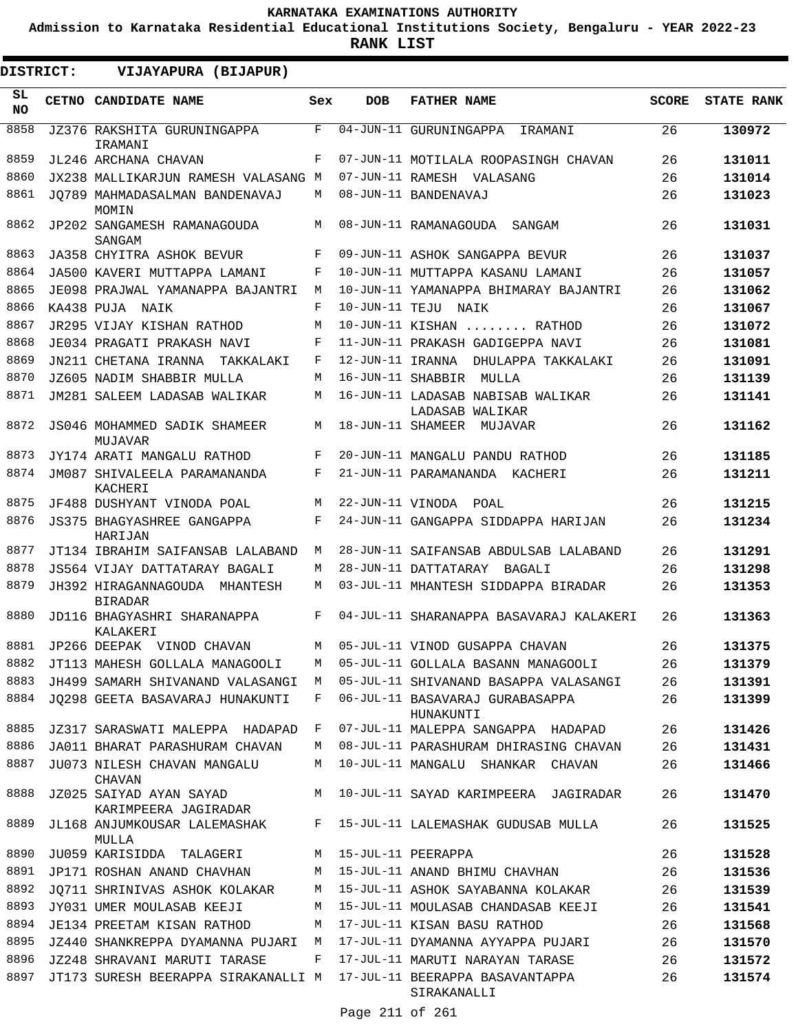**Admission to Karnataka Residential Educational Institutions Society, Bengaluru - YEAR 2022-23**

**RANK LIST**

 $\blacksquare$ 

| DISTRICT:        | VIJAYAPURA (BIJAPUR)                                                |     |            |                                                      |              |                   |
|------------------|---------------------------------------------------------------------|-----|------------|------------------------------------------------------|--------------|-------------------|
| SL.<br><b>NO</b> | CETNO CANDIDATE NAME                                                | Sex | <b>DOB</b> | <b>FATHER NAME</b>                                   | <b>SCORE</b> | <b>STATE RANK</b> |
| 8858             | JZ376 RAKSHITA GURUNINGAPPA<br>IRAMANI                              | F   |            | 04-JUN-11 GURUNINGAPPA IRAMANI                       | 26           | 130972            |
| 8859             | JL246 ARCHANA CHAVAN                                                | F   |            | 07-JUN-11 MOTILALA ROOPASINGH CHAVAN                 | 26           | 131011            |
| 8860             | JX238 MALLIKARJUN RAMESH VALASANG M                                 |     |            | 07-JUN-11 RAMESH VALASANG                            | 26           | 131014            |
| 8861             | JO789 MAHMADASALMAN BANDENAVAJ<br>MOMIN                             | M   |            | 08-JUN-11 BANDENAVAJ                                 | 26           | 131023            |
| 8862             | JP202 SANGAMESH RAMANAGOUDA<br>SANGAM                               | M   |            | 08-JUN-11 RAMANAGOUDA SANGAM                         | 26           | 131031            |
| 8863             | JA358 CHYITRA ASHOK BEVUR                                           | F   |            | 09-JUN-11 ASHOK SANGAPPA BEVUR                       | 26           | 131037            |
| 8864             | JA500 KAVERI MUTTAPPA LAMANI                                        | F   |            | 10-JUN-11 MUTTAPPA KASANU LAMANI                     | 26           | 131057            |
| 8865             | JE098 PRAJWAL YAMANAPPA BAJANTRI                                    | М   |            | 10-JUN-11 YAMANAPPA BHIMARAY BAJANTRI                | 26           | 131062            |
| 8866             | KA438 PUJA NAIK                                                     | F   |            | 10-JUN-11 TEJU NAIK                                  | 26           | 131067            |
| 8867             | JR295 VIJAY KISHAN RATHOD                                           | М   |            | 10-JUN-11 KISHAN  RATHOD                             | 26           | 131072            |
| 8868             | JE034 PRAGATI PRAKASH NAVI                                          | F   |            | 11-JUN-11 PRAKASH GADIGEPPA NAVI                     | 26           | 131081            |
| 8869             | JN211 CHETANA IRANNA TAKKALAKI                                      | F   |            | 12-JUN-11 IRANNA DHULAPPA TAKKALAKI                  | 26           | 131091            |
| 8870             | JZ605 NADIM SHABBIR MULLA                                           | М   |            | 16-JUN-11 SHABBIR MULLA                              | 26           | 131139            |
| 8871             | JM281 SALEEM LADASAB WALIKAR                                        | М   |            | 16-JUN-11 LADASAB NABISAB WALIKAR<br>LADASAB WALIKAR | 26           | 131141            |
| 8872             | JS046 MOHAMMED SADIK SHAMEER<br>MUJAVAR                             | М   |            | 18-JUN-11 SHAMEER MUJAVAR                            | 26           | 131162            |
| 8873             | JY174 ARATI MANGALU RATHOD                                          | F   |            | 20-JUN-11 MANGALU PANDU RATHOD                       | 26           | 131185            |
| 8874             | JM087 SHIVALEELA PARAMANANDA<br>KACHERI                             | F   |            | 21-JUN-11 PARAMANANDA KACHERI                        | 26           | 131211            |
| 8875             | JF488 DUSHYANT VINODA POAL                                          | М   |            | 22-JUN-11 VINODA POAL                                | 26           | 131215            |
| 8876             | <b>JS375 BHAGYASHREE GANGAPPA</b><br>HARIJAN                        | F   |            | 24-JUN-11 GANGAPPA SIDDAPPA HARIJAN                  | 26           | 131234            |
| 8877             | JT134 IBRAHIM SAIFANSAB LALABAND                                    | М   |            | 28-JUN-11 SAIFANSAB ABDULSAB LALABAND                | 26           | 131291            |
| 8878             | JS564 VIJAY DATTATARAY BAGALI                                       | М   |            | 28-JUN-11 DATTATARAY BAGALI                          | 26           | 131298            |
| 8879             | JH392 HIRAGANNAGOUDA MHANTESH<br><b>BIRADAR</b>                     | М   |            | 03-JUL-11 MHANTESH SIDDAPPA BIRADAR                  | 26           | 131353            |
| 8880             | JD116 BHAGYASHRI SHARANAPPA<br>KALAKERI                             | F   |            | 04-JUL-11 SHARANAPPA BASAVARAJ KALAKERI              | 26           | 131363            |
| 8881             | JP266 DEEPAK VINOD CHAVAN                                           | М   |            | 05-JUL-11 VINOD GUSAPPA CHAVAN                       | 26           | 131375            |
| 8882             | JT113 MAHESH GOLLALA MANAGOOLI                                      | М   |            | 05-JUL-11 GOLLALA BASANN MANAGOOLI                   | 26           | 131379            |
| 8883             | JH499 SAMARH SHIVANAND VALASANGI                                    | M   |            | 05-JUL-11 SHIVANAND BASAPPA VALASANGI                | 26           | 131391            |
| 8884             | JO298 GEETA BASAVARAJ HUNAKUNTI                                     | F   |            | 06-JUL-11 BASAVARAJ GURABASAPPA<br>HUNAKUNTI         | 26           | 131399            |
| 8885             | JZ317 SARASWATI MALEPPA HADAPAD F                                   |     |            | 07-JUL-11 MALEPPA SANGAPPA HADAPAD                   | 26           | 131426            |
| 8886             | JA011 BHARAT PARASHURAM CHAVAN                                      | M   |            | 08-JUL-11 PARASHURAM DHIRASING CHAVAN                | 26           | 131431            |
| 8887             | JU073 NILESH CHAVAN MANGALU<br>CHAVAN                               | М   |            | 10-JUL-11 MANGALU SHANKAR CHAVAN                     | 26           | 131466            |
| 8888             | JZ025 SAIYAD AYAN SAYAD<br>KARIMPEERA JAGIRADAR                     |     |            | M 10-JUL-11 SAYAD KARIMPEERA JAGIRADAR               | 26           | 131470            |
| 8889             | JL168 ANJUMKOUSAR LALEMASHAK<br>MULLA                               | F   |            | 15-JUL-11 LALEMASHAK GUDUSAB MULLA                   | 26           | 131525            |
| 8890             | JU059 KARISIDDA TALAGERI                                            | M   |            | 15-JUL-11 PEERAPPA                                   | 26           | 131528            |
| 8891             | JP171 ROSHAN ANAND CHAVHAN                                          | M   |            | 15-JUL-11 ANAND BHIMU CHAVHAN                        | 26           | 131536            |
| 8892             | JO711 SHRINIVAS ASHOK KOLAKAR                                       | M   |            | 15-JUL-11 ASHOK SAYABANNA KOLAKAR                    | 26           | 131539            |
| 8893             | JY031 UMER MOULASAB KEEJI                                           | М   |            | 15-JUL-11 MOULASAB CHANDASAB KEEJI                   | 26           | 131541            |
| 8894             | JE134 PREETAM KISAN RATHOD                                          | М   |            | 17-JUL-11 KISAN BASU RATHOD                          | 26           | 131568            |
| 8895             | JZ440 SHANKREPPA DYAMANNA PUJARI                                    | M   |            | 17-JUL-11 DYAMANNA AYYAPPA PUJARI                    | 26           | 131570            |
| 8896             | JZ248 SHRAVANI MARUTI TARASE                                        | F   |            | 17-JUL-11 MARUTI NARAYAN TARASE                      | 26           | 131572            |
| 8897             | JT173 SURESH BEERAPPA SIRAKANALLI M 17-JUL-11 BEERAPPA BASAVANTAPPA |     |            | SIRAKANALLI                                          | 26           | 131574            |

Page 211 of 261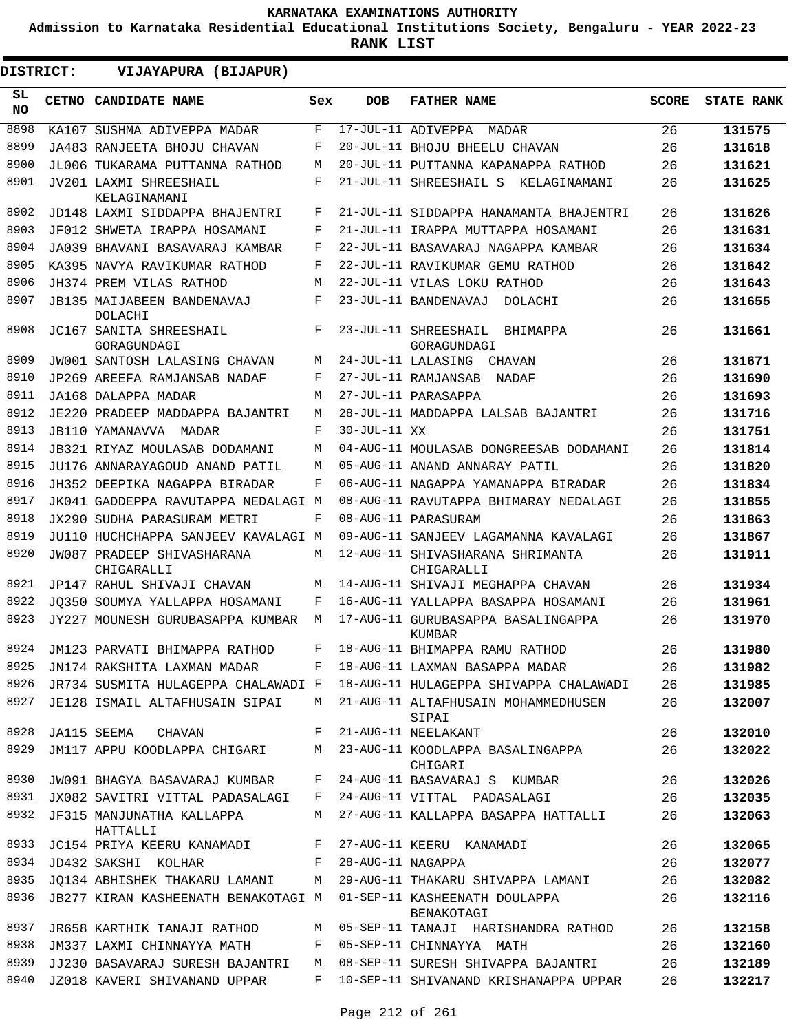**Admission to Karnataka Residential Educational Institutions Society, Bengaluru - YEAR 2022-23**

| DISTRICT:        | VIJAYAPURA (BIJAPUR)                         |     |                   |                                                 |              |                   |
|------------------|----------------------------------------------|-----|-------------------|-------------------------------------------------|--------------|-------------------|
| SL.<br><b>NO</b> | CETNO CANDIDATE NAME                         | Sex | <b>DOB</b>        | <b>FATHER NAME</b>                              | <b>SCORE</b> | <b>STATE RANK</b> |
| 8898             | KA107 SUSHMA ADIVEPPA MADAR                  | F   |                   | 17-JUL-11 ADIVEPPA<br>MADAR                     | 26           | 131575            |
| 8899             | JA483 RANJEETA BHOJU CHAVAN                  | F   |                   | 20-JUL-11 BHOJU BHEELU CHAVAN                   | 26           | 131618            |
| 8900             | JL006 TUKARAMA PUTTANNA RATHOD               | M   |                   | 20-JUL-11 PUTTANNA KAPANAPPA RATHOD             | 26           | 131621            |
| 8901             | JV201 LAXMI SHREESHAIL<br>KELAGINAMANI       | F   |                   | 21-JUL-11 SHREESHAIL S KELAGINAMANI             | 26           | 131625            |
| 8902             | JD148 LAXMI SIDDAPPA BHAJENTRI               | F   |                   | 21-JUL-11 SIDDAPPA HANAMANTA BHAJENTRI          | 26           | 131626            |
| 8903             | JF012 SHWETA IRAPPA HOSAMANI                 | F   |                   | 21-JUL-11 IRAPPA MUTTAPPA HOSAMANI              | 26           | 131631            |
| 8904             | JA039 BHAVANI BASAVARAJ KAMBAR               | F   |                   | 22-JUL-11 BASAVARAJ NAGAPPA KAMBAR              | 26           | 131634            |
| 8905             | KA395 NAVYA RAVIKUMAR RATHOD                 | F   |                   | 22-JUL-11 RAVIKUMAR GEMU RATHOD                 | 26           | 131642            |
| 8906             | JH374 PREM VILAS RATHOD                      | М   |                   | 22-JUL-11 VILAS LOKU RATHOD                     | 26           | 131643            |
| 8907             | <b>JB135 MAIJABEEN BANDENAVAJ</b><br>DOLACHI | F   |                   | 23-JUL-11 BANDENAVAJ<br>DOLACHI                 | 26           | 131655            |
| 8908             | JC167 SANITA SHREESHAIL<br>GORAGUNDAGI       | F   |                   | 23-JUL-11 SHREESHAIL<br>BHIMAPPA<br>GORAGUNDAGI | 26           | 131661            |
| 8909             | JW001 SANTOSH LALASING CHAVAN                | M   |                   | 24-JUL-11 LALASING CHAVAN                       | 26           | 131671            |
| 8910             | JP269 AREEFA RAMJANSAB NADAF                 | F   |                   | 27-JUL-11 RAMJANSAB NADAF                       | 26           | 131690            |
| 8911             | JA168 DALAPPA MADAR                          | М   |                   | 27-JUL-11 PARASAPPA                             | 26           | 131693            |
| 8912             | JE220 PRADEEP MADDAPPA BAJANTRI              | М   |                   | 28-JUL-11 MADDAPPA LALSAB BAJANTRI              | 26           | 131716            |
| 8913             | JB110 YAMANAVVA MADAR                        | F   | 30-JUL-11 XX      |                                                 | 26           | 131751            |
| 8914             | JB321 RIYAZ MOULASAB DODAMANI                | М   |                   | 04-AUG-11 MOULASAB DONGREESAB DODAMANI          | 26           | 131814            |
| 8915             | JU176 ANNARAYAGOUD ANAND PATIL               | М   |                   | 05-AUG-11 ANAND ANNARAY PATIL                   | 26           | 131820            |
| 8916             | JH352 DEEPIKA NAGAPPA BIRADAR                | F   |                   | 06-AUG-11 NAGAPPA YAMANAPPA BIRADAR             | 26           | 131834            |
| 8917             | JK041 GADDEPPA RAVUTAPPA NEDALAGI M          |     |                   | 08-AUG-11 RAVUTAPPA BHIMARAY NEDALAGI           | 26           | 131855            |
| 8918             | JX290 SUDHA PARASURAM METRI                  | F   |                   | 08-AUG-11 PARASURAM                             | 26           | 131863            |
| 8919             | JU110 HUCHCHAPPA SANJEEV KAVALAGI M          |     |                   | 09-AUG-11 SANJEEV LAGAMANNA KAVALAGI            | 26           | 131867            |
| 8920             | JW087 PRADEEP SHIVASHARANA<br>CHIGARALLI     | М   |                   | 12-AUG-11 SHIVASHARANA SHRIMANTA<br>CHIGARALLI  | 26           | 131911            |
| 8921             | JP147 RAHUL SHIVAJI CHAVAN                   | М   |                   | 14-AUG-11 SHIVAJI MEGHAPPA CHAVAN               | 26           | 131934            |
| 8922             | JO350 SOUMYA YALLAPPA HOSAMANI               | F   |                   | 16-AUG-11 YALLAPPA BASAPPA HOSAMANI             | 26           | 131961            |
| 8923             | JY227 MOUNESH GURUBASAPPA KUMBAR             | М   |                   | 17-AUG-11 GURUBASAPPA BASALINGAPPA<br>KUMBAR    | 26           | 131970            |
|                  | 8924 JM123 PARVATI BHIMAPPA RATHOD           |     |                   | F 18-AUG-11 BHIMAPPA RAMU RATHOD                | 26           | 131980            |
| 8925             | JN174 RAKSHITA LAXMAN MADAR                  | F   |                   | 18-AUG-11 LAXMAN BASAPPA MADAR                  | 26           | 131982            |
| 8926             | JR734 SUSMITA HULAGEPPA CHALAWADI F          |     |                   | 18-AUG-11 HULAGEPPA SHIVAPPA CHALAWADI          | 26           | 131985            |
| 8927             | JE128 ISMAIL ALTAFHUSAIN SIPAI               | M   |                   | 21-AUG-11 ALTAFHUSAIN MOHAMMEDHUSEN<br>SIPAI    | 26           | 132007            |
| 8928             | JA115 SEEMA<br>CHAVAN                        | F   |                   | 21-AUG-11 NEELAKANT                             | 26           | 132010            |
| 8929             | JM117 APPU KOODLAPPA CHIGARI                 | M   |                   | 23-AUG-11 KOODLAPPA BASALINGAPPA<br>CHIGARI     | 26           | 132022            |
| 8930             | JW091 BHAGYA BASAVARAJ KUMBAR                | F   |                   | 24-AUG-11 BASAVARAJ S KUMBAR                    | 26           | 132026            |
| 8931             | JX082 SAVITRI VITTAL PADASALAGI              | F   |                   | 24-AUG-11 VITTAL PADASALAGI                     | 26           | 132035            |
| 8932             | JF315 MANJUNATHA KALLAPPA<br>HATTALLI        | М   |                   | 27-AUG-11 KALLAPPA BASAPPA HATTALLI             | 26           | 132063            |
| 8933             | JC154 PRIYA KEERU KANAMADI                   | F   |                   | 27-AUG-11 KEERU KANAMADI                        | 26           | 132065            |
| 8934             | JD432 SAKSHI KOLHAR                          | F   | 28-AUG-11 NAGAPPA |                                                 | 26           | 132077            |
| 8935             | JO134 ABHISHEK THAKARU LAMANI                | M   |                   | 29-AUG-11 THAKARU SHIVAPPA LAMANI               | 26           | 132082            |
| 8936             | JB277 KIRAN KASHEENATH BENAKOTAGI M          |     |                   | 01-SEP-11 KASHEENATH DOULAPPA<br>BENAKOTAGI     | 26           | 132116            |
| 8937             | JR658 KARTHIK TANAJI RATHOD                  | М   |                   | 05-SEP-11 TANAJI HARISHANDRA RATHOD             | 26           | 132158            |
| 8938             | JM337 LAXMI CHINNAYYA MATH                   | F   |                   | 05-SEP-11 CHINNAYYA MATH                        | 26           | 132160            |
| 8939             | JJ230 BASAVARAJ SURESH BAJANTRI              | М   |                   | 08-SEP-11 SURESH SHIVAPPA BAJANTRI              | 26           | 132189            |
| 8940             | JZ018 KAVERI SHIVANAND UPPAR                 | F   |                   | 10-SEP-11 SHIVANAND KRISHANAPPA UPPAR           | 26           | 132217            |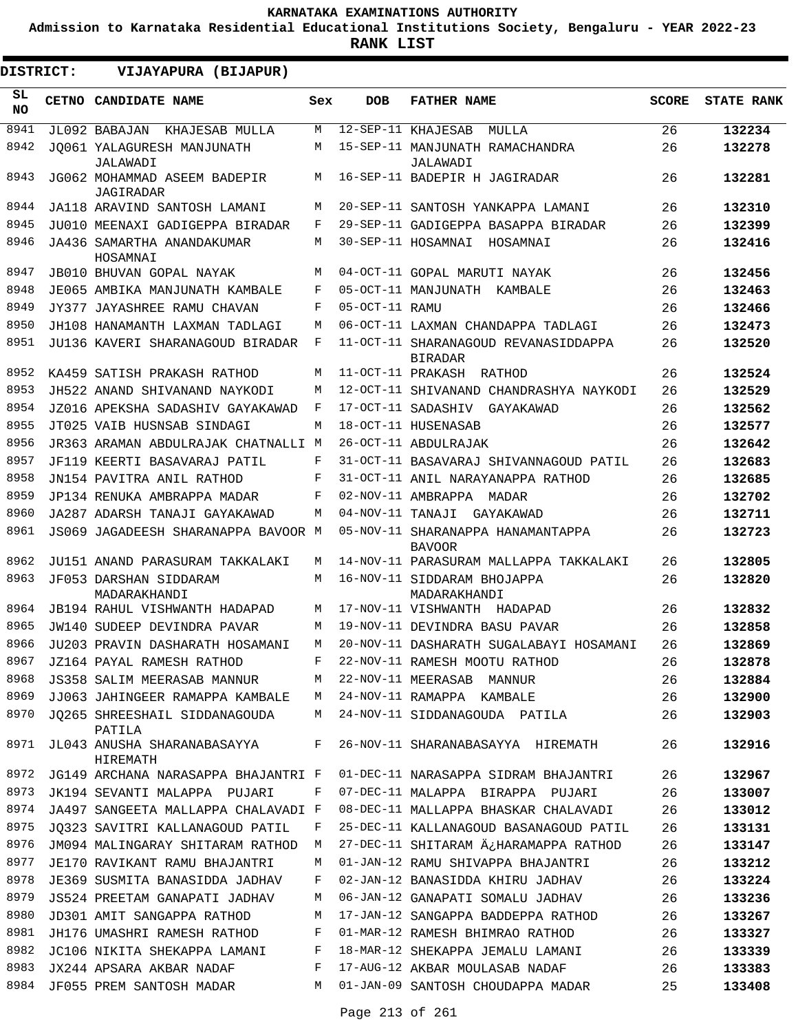**Admission to Karnataka Residential Educational Institutions Society, Bengaluru - YEAR 2022-23**

| DISTRICT:        | VIJAYAPURA (BIJAPUR)                      |     |                |                                                        |              |                   |
|------------------|-------------------------------------------|-----|----------------|--------------------------------------------------------|--------------|-------------------|
| SL.<br><b>NO</b> | CETNO CANDIDATE NAME                      | Sex | <b>DOB</b>     | <b>FATHER NAME</b>                                     | <b>SCORE</b> | <b>STATE RANK</b> |
| 8941             | JL092 BABAJAN KHAJESAB MULLA              | M   |                | 12-SEP-11 KHAJESAB<br>MULLA                            | 26           | 132234            |
| 8942             | JO061 YALAGURESH MANJUNATH<br>JALAWADI    | M   |                | 15-SEP-11 MANJUNATH RAMACHANDRA<br>JALAWADI            | 26           | 132278            |
| 8943             | JG062 MOHAMMAD ASEEM BADEPIR<br>JAGIRADAR | M   |                | 16-SEP-11 BADEPIR H JAGIRADAR                          | 26           | 132281            |
| 8944             | JA118 ARAVIND SANTOSH LAMANI              | M   |                | 20-SEP-11 SANTOSH YANKAPPA LAMANI                      | 26           | 132310            |
| 8945             | JU010 MEENAXI GADIGEPPA BIRADAR           | F   |                | 29-SEP-11 GADIGEPPA BASAPPA BIRADAR                    | 26           | 132399            |
| 8946             | JA436 SAMARTHA ANANDAKUMAR<br>HOSAMNAI    | M   |                | 30-SEP-11 HOSAMNAI HOSAMNAI                            | 26           | 132416            |
| 8947             | <b>JB010 BHUVAN GOPAL NAYAK</b>           | M   |                | 04-OCT-11 GOPAL MARUTI NAYAK                           | 26           | 132456            |
| 8948             | JE065 AMBIKA MANJUNATH KAMBALE            | F   |                | 05-OCT-11 MANJUNATH KAMBALE                            | 26           | 132463            |
| 8949             | JY377 JAYASHREE RAMU CHAVAN               | F   | 05-OCT-11 RAMU |                                                        | 26           | 132466            |
| 8950             | JH108 HANAMANTH LAXMAN TADLAGI            | M   |                | 06-OCT-11 LAXMAN CHANDAPPA TADLAGI                     | 26           | 132473            |
| 8951             | JU136 KAVERI SHARANAGOUD BIRADAR          | F   |                | 11-OCT-11 SHARANAGOUD REVANASIDDAPPA<br><b>BIRADAR</b> | 26           | 132520            |
| 8952             | KA459 SATISH PRAKASH RATHOD               | M   |                | 11-OCT-11 PRAKASH RATHOD                               | 26           | 132524            |
| 8953             | JH522 ANAND SHIVANAND NAYKODI             | M   |                | 12-OCT-11 SHIVANAND CHANDRASHYA NAYKODI                | 26           | 132529            |
| 8954             | JZ016 APEKSHA SADASHIV GAYAKAWAD          | F   |                | 17-OCT-11 SADASHIV GAYAKAWAD                           | 26           | 132562            |
| 8955             | JT025 VAIB HUSNSAB SINDAGI                | M   |                | 18-OCT-11 HUSENASAB                                    | 26           | 132577            |
| 8956             | JR363 ARAMAN ABDULRAJAK CHATNALLI M       |     |                | 26-OCT-11 ABDULRAJAK                                   | 26           | 132642            |
| 8957             | JF119 KEERTI BASAVARAJ PATIL              | F   |                | 31-OCT-11 BASAVARAJ SHIVANNAGOUD PATIL                 | 26           | 132683            |
| 8958             | JN154 PAVITRA ANIL RATHOD                 | F   |                | 31-OCT-11 ANIL NARAYANAPPA RATHOD                      | 26           | 132685            |
| 8959             | JP134 RENUKA AMBRAPPA MADAR               | F   |                | 02-NOV-11 AMBRAPPA MADAR                               | 26           | 132702            |
| 8960             | JA287 ADARSH TANAJI GAYAKAWAD             | M   |                | 04-NOV-11 TANAJI GAYAKAWAD                             | 26           | 132711            |
| 8961             | JS069 JAGADEESH SHARANAPPA BAVOOR M       |     |                | 05-NOV-11 SHARANAPPA HANAMANTAPPA<br><b>BAVOOR</b>     | 26           | 132723            |
| 8962             | JU151 ANAND PARASURAM TAKKALAKI           | M   |                | 14-NOV-11 PARASURAM MALLAPPA TAKKALAKI                 | 26           | 132805            |
| 8963             | JF053 DARSHAN SIDDARAM<br>MADARAKHANDI    | M   |                | 16-NOV-11 SIDDARAM BHOJAPPA<br>MADARAKHANDI            | 26           | 132820            |
| 8964             | JB194 RAHUL VISHWANTH HADAPAD             | M   |                | 17-NOV-11 VISHWANTH HADAPAD                            | 26           | 132832            |
| 8965             | <b>JW140 SUDEEP DEVINDRA PAVAR</b>        | M   |                | 19-NOV-11 DEVINDRA BASU PAVAR                          | 26           | 132858            |
| 8966             | JU203 PRAVIN DASHARATH HOSAMANI           | M   |                | 20-NOV-11 DASHARATH SUGALABAYI HOSAMANI                | 26           | 132869            |
| 8967             | JZ164 PAYAL RAMESH RATHOD                 | F   |                | 22-NOV-11 RAMESH MOOTU RATHOD                          | 26           | 132878            |
| 8968             | JS358 SALIM MEERASAB MANNUR               | M   |                | 22-NOV-11 MEERASAB MANNUR                              | 26           | 132884            |
| 8969             | JJ063 JAHINGEER RAMAPPA KAMBALE           | M   |                | 24-NOV-11 RAMAPPA KAMBALE                              | 26           | 132900            |
| 8970             | JQ265 SHREESHAIL SIDDANAGOUDA<br>PATILA   | M   |                | 24-NOV-11 SIDDANAGOUDA PATILA                          | 26           | 132903            |
| 8971             | JL043 ANUSHA SHARANABASAYYA<br>HIREMATH   | F   |                | 26-NOV-11 SHARANABASAYYA HIREMATH                      | 26           | 132916            |
| 8972             | JG149 ARCHANA NARASAPPA BHAJANTRI F       |     |                | 01-DEC-11 NARASAPPA SIDRAM BHAJANTRI                   | 26           | 132967            |
| 8973             | JK194 SEVANTI MALAPPA PUJARI              | F   |                | 07-DEC-11 MALAPPA BIRAPPA PUJARI                       | 26           | 133007            |
| 8974             | JA497 SANGEETA MALLAPPA CHALAVADI F       |     |                | 08-DEC-11 MALLAPPA BHASKAR CHALAVADI                   | 26           | 133012            |
| 8975             | JQ323 SAVITRI KALLANAGOUD PATIL           | F   |                | 25-DEC-11 KALLANAGOUD BASANAGOUD PATIL                 | 26           | 133131            |
| 8976             | JM094 MALINGARAY SHITARAM RATHOD          | М   |                | 27-DEC-11 SHITARAM ĿHARAMAPPA RATHOD                   | 26           | 133147            |
| 8977             | JE170 RAVIKANT RAMU BHAJANTRI             | М   |                | 01-JAN-12 RAMU SHIVAPPA BHAJANTRI                      | 26           | 133212            |
| 8978             | JE369 SUSMITA BANASIDDA JADHAV            | F   |                | 02-JAN-12 BANASIDDA KHIRU JADHAV                       | 26           | 133224            |
| 8979             | JS524 PREETAM GANAPATI JADHAV             | М   |                | 06-JAN-12 GANAPATI SOMALU JADHAV                       | 26           | 133236            |
| 8980             | JD301 AMIT SANGAPPA RATHOD                | M   |                | 17-JAN-12 SANGAPPA BADDEPPA RATHOD                     | 26           | 133267            |
| 8981             | JH176 UMASHRI RAMESH RATHOD               | F   |                | 01-MAR-12 RAMESH BHIMRAO RATHOD                        | 26           | 133327            |
| 8982             | JC106 NIKITA SHEKAPPA LAMANI              | F   |                | 18-MAR-12 SHEKAPPA JEMALU LAMANI                       | 26           | 133339            |
| 8983             | JX244 APSARA AKBAR NADAF                  | F   |                | 17-AUG-12 AKBAR MOULASAB NADAF                         | 26           | 133383            |
| 8984             | JF055 PREM SANTOSH MADAR                  | М   |                | 01-JAN-09 SANTOSH CHOUDAPPA MADAR                      | 25           | 133408            |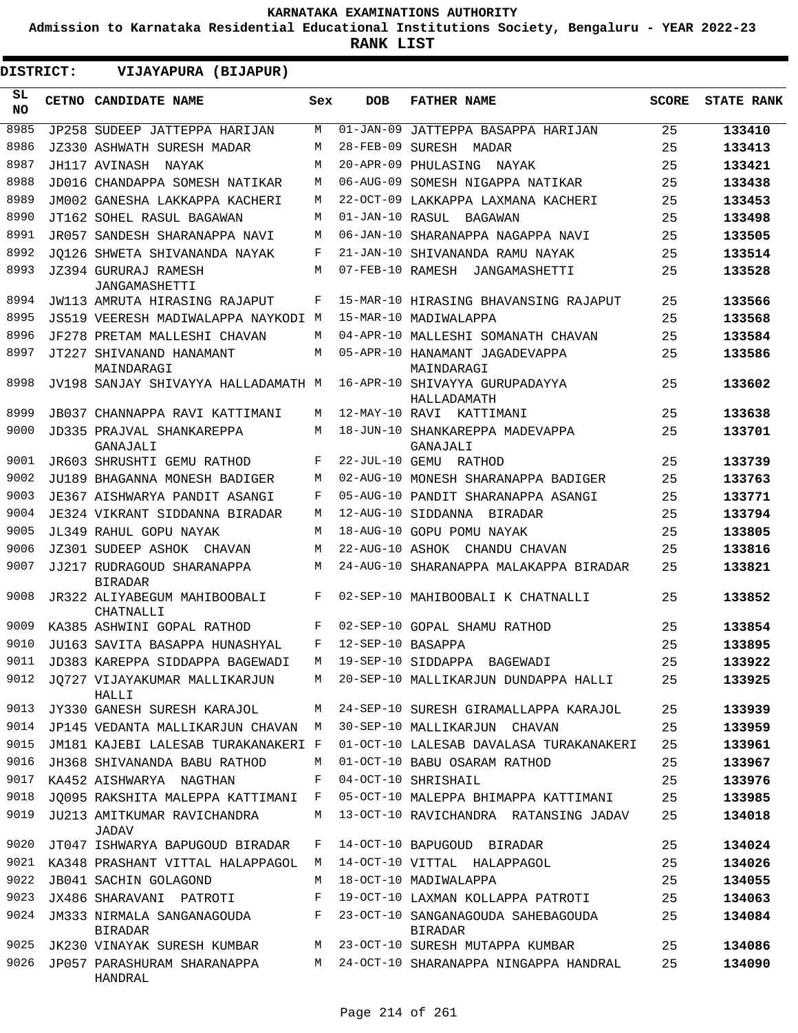**Admission to Karnataka Residential Educational Institutions Society, Bengaluru - YEAR 2022-23**

**RANK LIST**

| DISTRICT:        | VIJAYAPURA (BIJAPUR)                         |     |                   |                                                      |              |                   |
|------------------|----------------------------------------------|-----|-------------------|------------------------------------------------------|--------------|-------------------|
| SL.<br><b>NO</b> | CETNO CANDIDATE NAME                         | Sex | <b>DOB</b>        | <b>FATHER NAME</b>                                   | <b>SCORE</b> | <b>STATE RANK</b> |
| 8985             | JP258 SUDEEP JATTEPPA HARIJAN                | М   |                   | 01-JAN-09 JATTEPPA BASAPPA HARIJAN                   | 25           | 133410            |
| 8986             | JZ330 ASHWATH SURESH MADAR                   | М   |                   | 28-FEB-09 SURESH MADAR                               | 25           | 133413            |
| 8987             | JH117 AVINASH NAYAK                          | М   |                   | 20-APR-09 PHULASING NAYAK                            | 25           | 133421            |
| 8988             | JD016 CHANDAPPA SOMESH NATIKAR               | М   |                   | 06-AUG-09 SOMESH NIGAPPA NATIKAR                     | 25           | 133438            |
| 8989             | JM002 GANESHA LAKKAPPA KACHERI               | М   |                   | 22-OCT-09 LAKKAPPA LAXMANA KACHERI                   | 25           | 133453            |
| 8990             | JT162 SOHEL RASUL BAGAWAN                    | М   | 01-JAN-10 RASUL   | BAGAWAN                                              | 25           | 133498            |
| 8991             | JR057 SANDESH SHARANAPPA NAVI                | М   |                   | 06-JAN-10 SHARANAPPA NAGAPPA NAVI                    | 25           | 133505            |
| 8992             | JO126 SHWETA SHIVANANDA NAYAK                | F   |                   | 21-JAN-10 SHIVANANDA RAMU NAYAK                      | 25           | 133514            |
| 8993             | JZ394 GURURAJ RAMESH<br>JANGAMASHETTI        | М   |                   | 07-FEB-10 RAMESH JANGAMASHETTI                       | 25           | 133528            |
| 8994             | JW113 AMRUTA HIRASING RAJAPUT                | F   |                   | 15-MAR-10 HIRASING BHAVANSING RAJAPUT                | 25           | 133566            |
| 8995             | JS519 VEERESH MADIWALAPPA NAYKODI M          |     |                   | 15-MAR-10 MADIWALAPPA                                | 25           | 133568            |
| 8996             | JF278 PRETAM MALLESHI CHAVAN                 | М   |                   | 04-APR-10 MALLESHI SOMANATH CHAVAN                   | 25           | 133584            |
| 8997             | JT227 SHIVANAND HANAMANT<br>MAINDARAGI       | М   |                   | 05-APR-10 HANAMANT JAGADEVAPPA<br>MAINDARAGI         | 25           | 133586            |
| 8998             | JV198 SANJAY SHIVAYYA HALLADAMATH M          |     |                   | 16-APR-10 SHIVAYYA GURUPADAYYA<br>HALLADAMATH        | 25           | 133602            |
| 8999             | JB037 CHANNAPPA RAVI KATTIMANI               | М   |                   | 12-MAY-10 RAVI KATTIMANI                             | 25           | 133638            |
| 9000             | JD335 PRAJVAL SHANKAREPPA<br>GANAJALI        | М   |                   | 18-JUN-10 SHANKAREPPA MADEVAPPA<br>GANAJALI          | 25           | 133701            |
| 9001             | JR603 SHRUSHTI GEMU RATHOD                   | F   |                   | 22-JUL-10 GEMU RATHOD                                | 25           | 133739            |
| 9002             | JU189 BHAGANNA MONESH BADIGER                | М   |                   | 02-AUG-10 MONESH SHARANAPPA BADIGER                  | 25           | 133763            |
| 9003             | JE367 AISHWARYA PANDIT ASANGI                | F   |                   | 05-AUG-10 PANDIT SHARANAPPA ASANGI                   | 25           | 133771            |
| 9004             | JE324 VIKRANT SIDDANNA BIRADAR               | М   |                   | 12-AUG-10 SIDDANNA BIRADAR                           | 25           | 133794            |
| 9005             | JL349 RAHUL GOPU NAYAK                       | М   |                   | 18-AUG-10 GOPU POMU NAYAK                            | 25           | 133805            |
| 9006             | JZ301 SUDEEP ASHOK CHAVAN                    | М   |                   | 22-AUG-10 ASHOK CHANDU CHAVAN                        | 25           | 133816            |
| 9007             | JJ217 RUDRAGOUD SHARANAPPA<br><b>BIRADAR</b> | M   |                   | 24-AUG-10 SHARANAPPA MALAKAPPA BIRADAR               | 25           | 133821            |
| 9008             | JR322 ALIYABEGUM MAHIBOOBALI<br>CHATNALLI    | F   |                   | 02-SEP-10 MAHIBOOBALI K CHATNALLI                    | 25           | 133852            |
| 9009             | KA385 ASHWINI GOPAL RATHOD                   | F   |                   | 02-SEP-10 GOPAL SHAMU RATHOD                         | 25           | 133854            |
| 9010             | JU163 SAVITA BASAPPA HUNASHYAL               | F   | 12-SEP-10 BASAPPA |                                                      | 25           | 133895            |
| 9011             | JD383 KAREPPA SIDDAPPA BAGEWADI              | М   |                   | 19-SEP-10 SIDDAPPA BAGEWADI                          | 25           | 133922            |
| 9012             | JO727 VIJAYAKUMAR MALLIKARJUN<br>HALLI       | М   |                   | 20-SEP-10 MALLIKARJUN DUNDAPPA HALLI                 | 25           | 133925            |
| 9013             | JY330 GANESH SURESH KARAJOL                  | М   |                   | 24-SEP-10 SURESH GIRAMALLAPPA KARAJOL                | 25           | 133939            |
| 9014             | JP145 VEDANTA MALLIKARJUN CHAVAN             | М   |                   | 30-SEP-10 MALLIKARJUN CHAVAN                         | 25           | 133959            |
| 9015             | JM181 KAJEBI LALESAB TURAKANAKERI F          |     |                   | 01-OCT-10 LALESAB DAVALASA TURAKANAKERI              | 25           | 133961            |
| 9016             | JH368 SHIVANANDA BABU RATHOD                 | М   |                   | 01-OCT-10 BABU OSARAM RATHOD                         | 25           | 133967            |
| 9017             | KA452 AISHWARYA NAGTHAN                      | F   |                   | 04-OCT-10 SHRISHAIL                                  | 25           | 133976            |
| 9018             | JO095 RAKSHITA MALEPPA KATTIMANI             | F   |                   | 05-OCT-10 MALEPPA BHIMAPPA KATTIMANI                 | 25           | 133985            |
| 9019             | JU213 AMITKUMAR RAVICHANDRA<br>JADAV         | M   |                   | 13-OCT-10 RAVICHANDRA RATANSING JADAV                | 25           | 134018            |
| 9020             | JT047 ISHWARYA BAPUGOUD BIRADAR              | F   |                   | 14-OCT-10 BAPUGOUD BIRADAR                           | 25           | 134024            |
| 9021             | KA348 PRASHANT VITTAL HALAPPAGOL             | М   |                   | 14-OCT-10 VITTAL HALAPPAGOL                          | 25           | 134026            |
| 9022             | JB041 SACHIN GOLAGOND                        | М   |                   | 18-OCT-10 MADIWALAPPA                                | 25           | 134055            |
| 9023             | JX486 SHARAVANI PATROTI                      | F   |                   | 19-OCT-10 LAXMAN KOLLAPPA PATROTI                    | 25           | 134063            |
| 9024             | JM333 NIRMALA SANGANAGOUDA<br><b>BIRADAR</b> | F   |                   | 23-OCT-10 SANGANAGOUDA SAHEBAGOUDA<br><b>BIRADAR</b> | 25           | 134084            |
| 9025             | JK230 VINAYAK SURESH KUMBAR                  | М   |                   | 23-OCT-10 SURESH MUTAPPA KUMBAR                      | 25           | 134086            |
| 9026             | JP057 PARASHURAM SHARANAPPA<br>HANDRAL       | М   |                   | 24-OCT-10 SHARANAPPA NINGAPPA HANDRAL                | 25           | 134090            |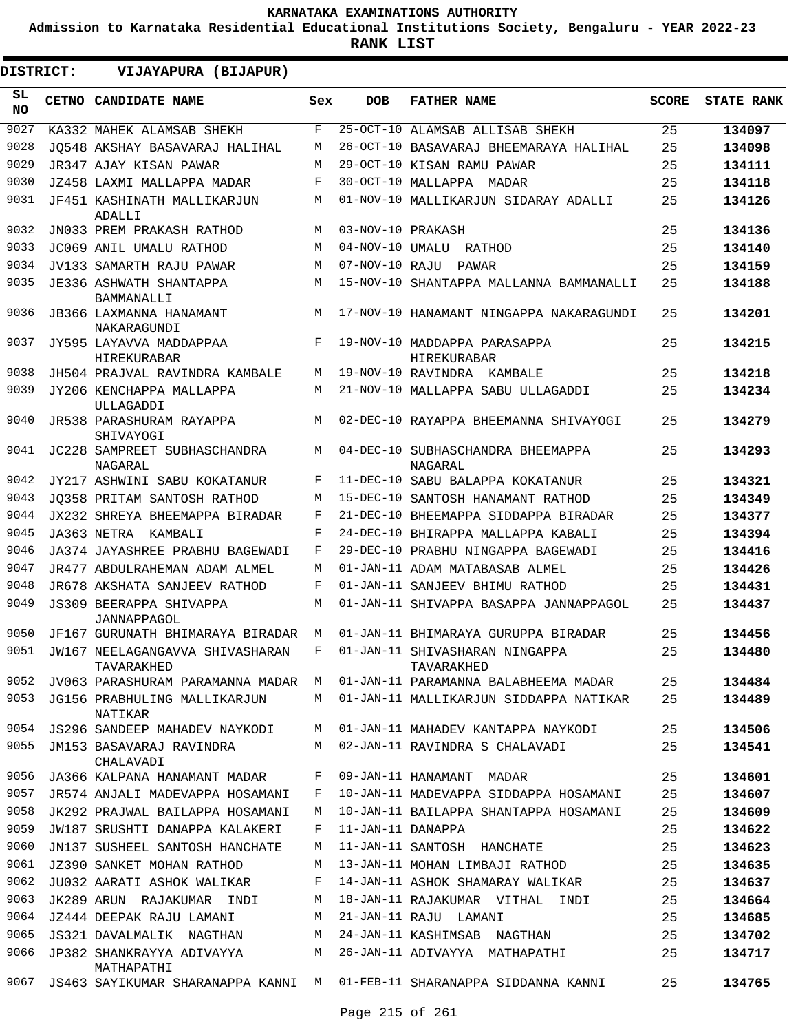**Admission to Karnataka Residential Educational Institutions Society, Bengaluru - YEAR 2022-23**

| DISTRICT:        | VIJAYAPURA (BIJAPUR)                                                           |     |                   |                                              |              |                   |
|------------------|--------------------------------------------------------------------------------|-----|-------------------|----------------------------------------------|--------------|-------------------|
| SL.<br><b>NO</b> | CETNO CANDIDATE NAME                                                           | Sex | <b>DOB</b>        | <b>FATHER NAME</b>                           | <b>SCORE</b> | <b>STATE RANK</b> |
| 9027             | KA332 MAHEK ALAMSAB SHEKH                                                      | F   |                   | 25-OCT-10 ALAMSAB ALLISAB SHEKH              | 25           | 134097            |
| 9028             | JO548 AKSHAY BASAVARAJ HALIHAL                                                 | М   |                   | 26-OCT-10 BASAVARAJ BHEEMARAYA HALIHAL       | 25           | 134098            |
| 9029             | JR347 AJAY KISAN PAWAR                                                         | М   |                   | 29-OCT-10 KISAN RAMU PAWAR                   | 25           | 134111            |
| 9030             | JZ458 LAXMI MALLAPPA MADAR                                                     | F   |                   | 30-OCT-10 MALLAPPA MADAR                     | 25           | 134118            |
| 9031             | JF451 KASHINATH MALLIKARJUN<br>ADALLI                                          | М   |                   | 01-NOV-10 MALLIKARJUN SIDARAY ADALLI         | 25           | 134126            |
| 9032             | JN033 PREM PRAKASH RATHOD                                                      | M   | 03-NOV-10 PRAKASH |                                              | 25           | 134136            |
| 9033             | JC069 ANIL UMALU RATHOD                                                        | М   | 04-NOV-10 UMALU   | RATHOD                                       | 25           | 134140            |
| 9034             | JV133 SAMARTH RAJU PAWAR                                                       | М   | 07-NOV-10 RAJU    | PAWAR                                        | 25           | 134159            |
| 9035             | JE336 ASHWATH SHANTAPPA<br>BAMMANALLI                                          | М   |                   | 15-NOV-10 SHANTAPPA MALLANNA BAMMANALLI      | 25           | 134188            |
| 9036             | JB366 LAXMANNA HANAMANT<br>NAKARAGUNDI                                         | M   |                   | 17-NOV-10 HANAMANT NINGAPPA NAKARAGUNDI      | 25           | 134201            |
| 9037             | JY595 LAYAVVA MADDAPPAA<br>HIREKURABAR                                         | F   |                   | 19-NOV-10 MADDAPPA PARASAPPA<br>HIREKURABAR  | 25           | 134215            |
| 9038             | JH504 PRAJVAL RAVINDRA KAMBALE                                                 | М   |                   | 19-NOV-10 RAVINDRA KAMBALE                   | 25           | 134218            |
| 9039             | JY206 KENCHAPPA MALLAPPA<br>ULLAGADDI                                          | M   |                   | 21-NOV-10 MALLAPPA SABU ULLAGADDI            | 25           | 134234            |
| 9040             | JR538 PARASHURAM RAYAPPA<br>SHIVAYOGI                                          | М   |                   | 02-DEC-10 RAYAPPA BHEEMANNA SHIVAYOGI        | 25           | 134279            |
| 9041             | JC228 SAMPREET SUBHASCHANDRA<br>NAGARAL                                        | М   |                   | 04-DEC-10 SUBHASCHANDRA BHEEMAPPA<br>NAGARAL | 25           | 134293            |
| 9042             | JY217 ASHWINI SABU KOKATANUR                                                   | F   |                   | 11-DEC-10 SABU BALAPPA KOKATANUR             | 25           | 134321            |
| 9043             | JO358 PRITAM SANTOSH RATHOD                                                    | М   |                   | 15-DEC-10 SANTOSH HANAMANT RATHOD            | 25           | 134349            |
| 9044             | JX232 SHREYA BHEEMAPPA BIRADAR                                                 | F   |                   | 21-DEC-10 BHEEMAPPA SIDDAPPA BIRADAR         | 25           | 134377            |
| 9045             | JA363 NETRA KAMBALI                                                            | F   |                   | 24-DEC-10 BHIRAPPA MALLAPPA KABALI           | 25           | 134394            |
| 9046             | JA374 JAYASHREE PRABHU BAGEWADI                                                | F   |                   | 29-DEC-10 PRABHU NINGAPPA BAGEWADI           | 25           | 134416            |
| 9047             | JR477 ABDULRAHEMAN ADAM ALMEL                                                  | М   |                   | 01-JAN-11 ADAM MATABASAB ALMEL               | 25           | 134426            |
| 9048             | JR678 AKSHATA SANJEEV RATHOD                                                   | F   |                   | 01-JAN-11 SANJEEV BHIMU RATHOD               | 25           | 134431            |
| 9049             | <b>JS309 BEERAPPA SHIVAPPA</b><br>JANNAPPAGOL                                  | M   |                   | 01-JAN-11 SHIVAPPA BASAPPA JANNAPPAGOL       | 25           | 134437            |
| 9050             | JF167 GURUNATH BHIMARAYA BIRADAR                                               | M   |                   | 01-JAN-11 BHIMARAYA GURUPPA BIRADAR          | 25           | 134456            |
| 9051             | JW167 NEELAGANGAVVA SHIVASHARAN F 01-JAN-11 SHIVASHARAN NINGAPPA<br>TAVARAKHED |     |                   | TAVARAKHED                                   | 25           | 134480            |
| 9052             | JV063 PARASHURAM PARAMANNA MADAR M                                             |     |                   | 01-JAN-11 PARAMANNA BALABHEEMA MADAR         | 25           | 134484            |
| 9053             | JG156 PRABHULING MALLIKARJUN<br>NATIKAR                                        | М   |                   | 01-JAN-11 MALLIKARJUN SIDDAPPA NATIKAR       | 25           | 134489            |
| 9054             | JS296 SANDEEP MAHADEV NAYKODI                                                  | М   |                   | 01-JAN-11 MAHADEV KANTAPPA NAYKODI           | 25           | 134506            |
| 9055             | JM153 BASAVARAJ RAVINDRA<br>CHALAVADI                                          | М   |                   | 02-JAN-11 RAVINDRA S CHALAVADI               | 25           | 134541            |
| 9056             | JA366 KALPANA HANAMANT MADAR                                                   | F   |                   | 09-JAN-11 HANAMANT MADAR                     | 25           | 134601            |
| 9057             | JR574 ANJALI MADEVAPPA HOSAMANI                                                | F   |                   | 10-JAN-11 MADEVAPPA SIDDAPPA HOSAMANI        | 25           | 134607            |
| 9058             | JK292 PRAJWAL BAILAPPA HOSAMANI                                                | M   |                   | 10-JAN-11 BAILAPPA SHANTAPPA HOSAMANI        | 25           | 134609            |
| 9059             | JW187 SRUSHTI DANAPPA KALAKERI                                                 | F   | 11-JAN-11 DANAPPA |                                              | 25           | 134622            |
| 9060             | JN137 SUSHEEL SANTOSH HANCHATE                                                 | М   |                   | 11-JAN-11 SANTOSH HANCHATE                   | 25           | 134623            |
| 9061             | JZ390 SANKET MOHAN RATHOD                                                      | М   |                   | 13-JAN-11 MOHAN LIMBAJI RATHOD               | 25           | 134635            |
| 9062             | JU032 AARATI ASHOK WALIKAR                                                     | F   |                   | 14-JAN-11 ASHOK SHAMARAY WALIKAR             | 25           | 134637            |
| 9063             | JK289 ARUN RAJAKUMAR<br>INDI                                                   | М   |                   | 18-JAN-11 RAJAKUMAR VITHAL<br>INDI           | 25           | 134664            |
| 9064             | JZ444 DEEPAK RAJU LAMANI                                                       | М   |                   | 21-JAN-11 RAJU LAMANI                        | 25           | 134685            |
| 9065             | JS321 DAVALMALIK NAGTHAN                                                       | М   |                   | 24-JAN-11 KASHIMSAB NAGTHAN                  | 25           | 134702            |
| 9066             | JP382 SHANKRAYYA ADIVAYYA<br>MATHAPATHI                                        | М   |                   | 26-JAN-11 ADIVAYYA MATHAPATHI                | 25           | 134717            |
| 9067             | JS463 SAYIKUMAR SHARANAPPA KANNI                                               | M   |                   | 01-FEB-11 SHARANAPPA SIDDANNA KANNI          | 25           | 134765            |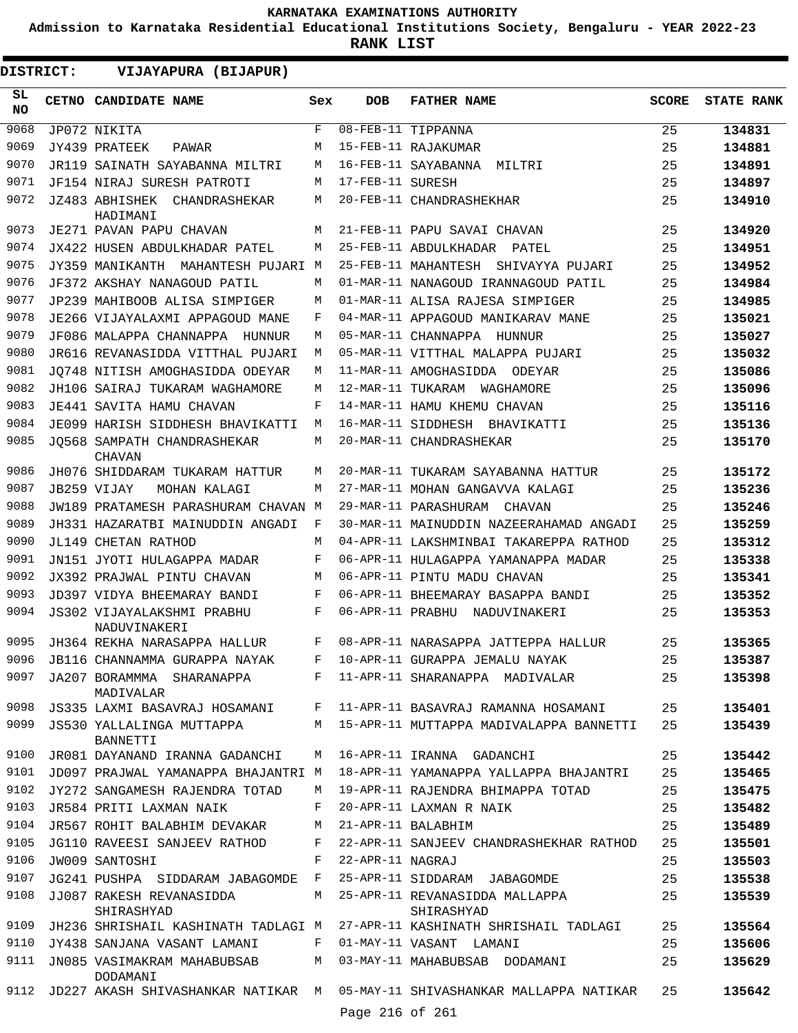**Admission to Karnataka Residential Educational Institutions Society, Bengaluru - YEAR 2022-23**

| <b>DISTRICT:</b> | VIJAYAPURA (BIJAPUR)                         |              |                   |                                                                           |              |                   |
|------------------|----------------------------------------------|--------------|-------------------|---------------------------------------------------------------------------|--------------|-------------------|
| SL.<br><b>NO</b> | CETNO CANDIDATE NAME                         | Sex          | <b>DOB</b>        | <b>FATHER NAME</b>                                                        | <b>SCORE</b> | <b>STATE RANK</b> |
| 9068             | JP072 NIKITA                                 | F            |                   | 08-FEB-11 TIPPANNA                                                        | 25           | 134831            |
| 9069             | JY439 PRATEEK<br>PAWAR                       | М            |                   | 15-FEB-11 RAJAKUMAR                                                       | 25           | 134881            |
| 9070             | JR119 SAINATH SAYABANNA MILTRI               | М            |                   | 16-FEB-11 SAYABANNA MILTRI                                                | 25           | 134891            |
| 9071             | JF154 NIRAJ SURESH PATROTI                   | М            | 17-FEB-11 SURESH  |                                                                           | 25           | 134897            |
| 9072             | JZ483 ABHISHEK<br>CHANDRASHEKAR<br>HADIMANI  | М            |                   | 20-FEB-11 CHANDRASHEKHAR                                                  | 25           | 134910            |
| 9073             | JE271 PAVAN PAPU CHAVAN                      | М            |                   | 21-FEB-11 PAPU SAVAI CHAVAN                                               | 25           | 134920            |
| 9074             | JX422 HUSEN ABDULKHADAR PATEL                | М            |                   | 25-FEB-11 ABDULKHADAR PATEL                                               | 25           | 134951            |
| 9075             | JY359 MANIKANTH<br>MAHANTESH PUJARI M        |              |                   | 25-FEB-11 MAHANTESH SHIVAYYA PUJARI                                       | 25           | 134952            |
| 9076             | JF372 AKSHAY NANAGOUD PATIL                  | М            |                   | 01-MAR-11 NANAGOUD IRANNAGOUD PATIL                                       | 25           | 134984            |
| 9077             | JP239 MAHIBOOB ALISA SIMPIGER                | М            |                   | 01-MAR-11 ALISA RAJESA SIMPIGER                                           | 25           | 134985            |
| 9078             | JE266 VIJAYALAXMI APPAGOUD MANE              | F            |                   | 04-MAR-11 APPAGOUD MANIKARAV MANE                                         | 25           | 135021            |
| 9079             | JF086 MALAPPA CHANNAPPA HUNNUR               | М            |                   | 05-MAR-11 CHANNAPPA HUNNUR                                                | 25           | 135027            |
| 9080             | JR616 REVANASIDDA VITTHAL PUJARI             | М            |                   | 05-MAR-11 VITTHAL MALAPPA PUJARI                                          | 25           | 135032            |
| 9081             | JO748 NITISH AMOGHASIDDA ODEYAR              | M            |                   | 11-MAR-11 AMOGHASIDDA<br>ODEYAR                                           | 25           | 135086            |
| 9082             | JH106 SAIRAJ TUKARAM WAGHAMORE               | М            | 12-MAR-11 TUKARAM | WAGHAMORE                                                                 | 25           | 135096            |
| 9083             | <b>JE441 SAVITA HAMU CHAVAN</b>              | F            |                   | 14-MAR-11 HAMU KHEMU CHAVAN                                               | 25           | 135116            |
| 9084             | JE099 HARISH SIDDHESH BHAVIKATTI             | М            |                   | 16-MAR-11 SIDDHESH BHAVIKATTI                                             | 25           | 135136            |
| 9085             | JO568 SAMPATH CHANDRASHEKAR<br><b>CHAVAN</b> | М            |                   | 20-MAR-11 CHANDRASHEKAR                                                   | 25           | 135170            |
| 9086             | JH076 SHIDDARAM TUKARAM HATTUR               | М            |                   | 20-MAR-11 TUKARAM SAYABANNA HATTUR                                        | 25           | 135172            |
| 9087             | JB259 VIJAY<br>MOHAN KALAGI                  | М            |                   | 27-MAR-11 MOHAN GANGAVVA KALAGI                                           | 25           | 135236            |
| 9088             | JW189 PRATAMESH PARASHURAM CHAVAN M          |              |                   | 29-MAR-11 PARASHURAM<br>CHAVAN                                            | 25           | 135246            |
| 9089             | JH331 HAZARATBI MAINUDDIN ANGADI             | F            |                   | 30-MAR-11 MAINUDDIN NAZEERAHAMAD ANGADI                                   | 25           | 135259            |
| 9090             | <b>JL149 CHETAN RATHOD</b>                   | М            |                   | 04-APR-11 LAKSHMINBAI TAKAREPPA RATHOD                                    | 25           | 135312            |
| 9091             | JN151 JYOTI HULAGAPPA MADAR                  | F            |                   | 06-APR-11 HULAGAPPA YAMANAPPA MADAR                                       | 25           | 135338            |
| 9092             | JX392 PRAJWAL PINTU CHAVAN                   | M            |                   | 06-APR-11 PINTU MADU CHAVAN                                               | 25           | 135341            |
| 9093             | JD397 VIDYA BHEEMARAY BANDI                  | F            |                   | 06-APR-11 BHEEMARAY BASAPPA BANDI                                         | 25           | 135352            |
| 9094             | JS302 VIJAYALAKSHMI PRABHU<br>NADUVINAKERI   | F            |                   | 06-APR-11 PRABHU NADUVINAKERI                                             | 25           | 135353            |
| 9095             | JH364 REKHA NARASAPPA HALLUR                 | F            |                   | 08-APR-11 NARASAPPA JATTEPPA HALLUR                                       | 25           | 135365            |
| 9096             | JB116 CHANNAMMA GURAPPA NAYAK                | F            |                   | 10-APR-11 GURAPPA JEMALU NAYAK                                            | 25           | 135387            |
| 9097             | JA207 BORAMMMA SHARANAPPA<br>MADIVALAR       |              |                   | F 11-APR-11 SHARANAPPA MADIVALAR                                          | 25           | 135398            |
| 9098             |                                              |              |                   | JS335 LAXMI BASAVRAJ HOSAMANI F 11-APR-11 BASAVRAJ RAMANNA HOSAMANI       | 25           | 135401            |
| 9099             | JS530 YALLALINGA MUTTAPPA<br>BANNETTI        |              |                   | M 15-APR-11 MUTTAPPA MADIVALAPPA BANNETTI                                 | 25           | 135439            |
| 9100             | JR081 DAYANAND IRANNA GADANCHI               | M            |                   | 16-APR-11 IRANNA GADANCHI                                                 | 25           | 135442            |
| 9101             | JD097 PRAJWAL YAMANAPPA BHAJANTRI M          |              |                   | 18-APR-11 YAMANAPPA YALLAPPA BHAJANTRI                                    | 25           | 135465            |
| 9102             | JY272 SANGAMESH RAJENDRA TOTAD               | M            |                   | 19-APR-11 RAJENDRA BHIMAPPA TOTAD                                         | 25           | 135475            |
| 9103             | JR584 PRITI LAXMAN NAIK                      | F            |                   | 20-APR-11 LAXMAN R NAIK                                                   | 25           | 135482            |
| 9104             | JR567 ROHIT BALABHIM DEVAKAR                 | M            |                   | 21-APR-11 BALABHIM                                                        | 25           | 135489            |
| 9105             | JG110 RAVEESI SANJEEV RATHOD                 | $\mathbf{F}$ |                   | 22-APR-11 SANJEEV CHANDRASHEKHAR RATHOD                                   | 25           | 135501            |
| 9106             | JW009 SANTOSHI                               | F            | 22-APR-11 NAGRAJ  |                                                                           | 25           | 135503            |
| 9107             | JG241 PUSHPA SIDDARAM JABAGOMDE F            |              |                   | 25-APR-11 SIDDARAM JABAGOMDE                                              | 25           | 135538            |
| 9108             | JJ087 RAKESH REVANASIDDA<br>SHIRASHYAD       | M            |                   | 25-APR-11 REVANASIDDA MALLAPPA<br>SHIRASHYAD                              | 25           | 135539            |
| 9109             |                                              |              |                   | JH236 SHRISHAIL KASHINATH TADLAGI M 27-APR-11 KASHINATH SHRISHAIL TADLAGI | 25           | 135564            |
| 9110             | JY438 SANJANA VASANT LAMANI                  | F            |                   | 01-MAY-11 VASANT LAMANI                                                   | 25           | 135606            |
| 9111             | JN085 VASIMAKRAM MAHABUBSAB<br>DODAMANI      | M            |                   | 03-MAY-11 MAHABUBSAB DODAMANI                                             | 25           | 135629            |
|                  | 9112 JD227 AKASH SHIVASHANKAR NATIKAR M      |              |                   | 05-MAY-11 SHIVASHANKAR MALLAPPA NATIKAR                                   | 25           | 135642            |
|                  |                                              |              | Page 216 of 261   |                                                                           |              |                   |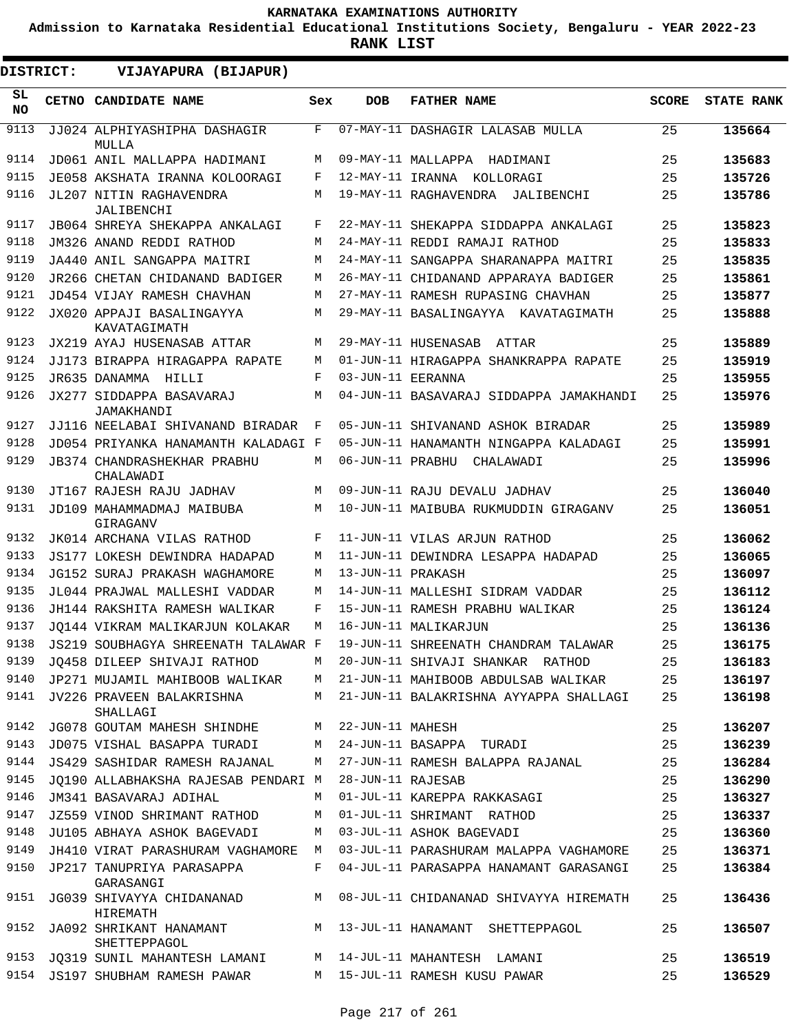**Admission to Karnataka Residential Educational Institutions Society, Bengaluru - YEAR 2022-23**

| DISTRICT: | VIJAYAPURA (BIJAPUR)                                            |     |                   |                                                                           |              |                   |
|-----------|-----------------------------------------------------------------|-----|-------------------|---------------------------------------------------------------------------|--------------|-------------------|
| SL<br>NO. | CETNO CANDIDATE NAME                                            | Sex | <b>DOB</b>        | <b>FATHER NAME</b>                                                        | <b>SCORE</b> | <b>STATE RANK</b> |
| 9113      | JJ024 ALPHIYASHIPHA DASHAGIR<br>MULLA                           | F   |                   | 07-MAY-11 DASHAGIR LALASAB MULLA                                          | 25           | 135664            |
| 9114      | JD061 ANIL MALLAPPA HADIMANI                                    | M   |                   | 09-MAY-11 MALLAPPA HADIMANI                                               | 25           | 135683            |
| 9115      | JE058 AKSHATA IRANNA KOLOORAGI                                  | F   |                   | 12-MAY-11 IRANNA KOLLORAGI                                                | 25           | 135726            |
| 9116      | JL207 NITIN RAGHAVENDRA<br>JALIBENCHI                           | M   |                   | 19-MAY-11 RAGHAVENDRA JALIBENCHI                                          | 25           | 135786            |
| 9117      | JB064 SHREYA SHEKAPPA ANKALAGI                                  | F   |                   | 22-MAY-11 SHEKAPPA SIDDAPPA ANKALAGI                                      | 25           | 135823            |
| 9118      | JM326 ANAND REDDI RATHOD                                        | M   |                   | 24-MAY-11 REDDI RAMAJI RATHOD                                             | 25           | 135833            |
| 9119      | JA440 ANIL SANGAPPA MAITRI                                      | M   |                   | 24-MAY-11 SANGAPPA SHARANAPPA MAITRI                                      | 25           | 135835            |
| 9120      | JR266 CHETAN CHIDANAND BADIGER                                  | M   |                   | 26-MAY-11 CHIDANAND APPARAYA BADIGER                                      | 25           | 135861            |
| 9121      | JD454 VIJAY RAMESH CHAVHAN                                      | M   |                   | 27-MAY-11 RAMESH RUPASING CHAVHAN                                         | 25           | 135877            |
| 9122      | JX020 APPAJI BASALINGAYYA<br>KAVATAGIMATH                       | M   |                   | 29-MAY-11 BASALINGAYYA KAVATAGIMATH                                       | 25           | 135888            |
| 9123      | JX219 AYAJ HUSENASAB ATTAR                                      | M   |                   | 29-MAY-11 HUSENASAB ATTAR                                                 | 25           | 135889            |
| 9124      | JJ173 BIRAPPA HIRAGAPPA RAPATE                                  | M   |                   | 01-JUN-11 HIRAGAPPA SHANKRAPPA RAPATE                                     | 25           | 135919            |
| 9125      | JR635 DANAMMA<br>HILLI                                          | F   | 03-JUN-11 EERANNA |                                                                           | 25           | 135955            |
| 9126      | JX277 SIDDAPPA BASAVARAJ<br>JAMAKHANDI                          | M   |                   | 04-JUN-11 BASAVARAJ SIDDAPPA JAMAKHANDI                                   | 25           | 135976            |
| 9127      | JJ116 NEELABAI SHIVANAND BIRADAR                                | F   |                   | 05-JUN-11 SHIVANAND ASHOK BIRADAR                                         | 25           | 135989            |
| 9128      | JD054 PRIYANKA HANAMANTH KALADAGI F                             |     |                   | 05-JUN-11 HANAMANTH NINGAPPA KALADAGI                                     | 25           | 135991            |
| 9129      | <b>JB374 CHANDRASHEKHAR PRABHU</b><br>CHALAWADI                 | M   |                   | 06-JUN-11 PRABHU CHALAWADI                                                | 25           | 135996            |
| 9130      | JT167 RAJESH RAJU JADHAV                                        | M   |                   | 09-JUN-11 RAJU DEVALU JADHAV                                              | 25           | 136040            |
| 9131      | JD109 MAHAMMADMAJ MAIBUBA<br>GIRAGANV                           | М   |                   | 10-JUN-11 MAIBUBA RUKMUDDIN GIRAGANV                                      | 25           | 136051            |
| 9132      | JK014 ARCHANA VILAS RATHOD                                      | F   |                   | 11-JUN-11 VILAS ARJUN RATHOD                                              | 25           | 136062            |
| 9133      | JS177 LOKESH DEWINDRA HADAPAD                                   | M   |                   | 11-JUN-11 DEWINDRA LESAPPA HADAPAD                                        | 25           | 136065            |
| 9134      | JG152 SURAJ PRAKASH WAGHAMORE                                   | M   | 13-JUN-11 PRAKASH |                                                                           | 25           | 136097            |
| 9135      | JL044 PRAJWAL MALLESHI VADDAR                                   | M   |                   | 14-JUN-11 MALLESHI SIDRAM VADDAR                                          | 25           | 136112            |
| 9136      | JH144 RAKSHITA RAMESH WALIKAR                                   | F   |                   | 15-JUN-11 RAMESH PRABHU WALIKAR                                           | 25           | 136124            |
| 9137      | JO144 VIKRAM MALIKARJUN KOLAKAR                                 | M   |                   | 16-JUN-11 MALIKARJUN                                                      | 25           | 136136            |
| 9138      | JS219 SOUBHAGYA SHREENATH TALAWAR F                             |     |                   | 19-JUN-11 SHREENATH CHANDRAM TALAWAR                                      | 25           | 136175            |
| 9139      | JQ458 DILEEP SHIVAJI RATHOD                                     | M   |                   | 20-JUN-11 SHIVAJI SHANKAR RATHOD                                          | 25           | 136183            |
| 9140      |                                                                 |     |                   | JP271 MUJAMIL MAHIBOOB WALIKAR M 21-JUN-11 MAHIBOOB ABDULSAB WALIKAR      | 25           | 136197            |
|           | 9141 JV226 PRAVEEN BALAKRISHNA<br>SHALLAGI                      |     |                   | M 21-JUN-11 BALAKRISHNA AYYAPPA SHALLAGI                                  | 25           | 136198            |
| 9142      | JG078 GOUTAM MAHESH SHINDHE M 22-JUN-11 MAHESH                  |     |                   |                                                                           | 25           | 136207            |
| 9143      | JD075 VISHAL BASAPPA TURADI       M   24-JUN-11 BASAPPA  TURADI |     |                   |                                                                           | 25           | 136239            |
| 9144      | JS429 SASHIDAR RAMESH RAJANAL                                   | M   |                   | 27-JUN-11 RAMESH BALAPPA RAJANAL                                          | 25           | 136284            |
| 9145      | JO190 ALLABHAKSHA RAJESAB PENDARI M                             |     | 28-JUN-11 RAJESAB |                                                                           | 25           | 136290            |
| 9146      | JM341 BASAVARAJ ADIHAL                                          | M   |                   | 01-JUL-11 KAREPPA RAKKASAGI                                               | 25           | 136327            |
| 9147      | JZ559 VINOD SHRIMANT RATHOD                                     | M   |                   | 01-JUL-11 SHRIMANT RATHOD                                                 | 25           | 136337            |
| 9148      | JU105 ABHAYA ASHOK BAGEVADI                                     | M   |                   | 03-JUL-11 ASHOK BAGEVADI                                                  | 25           | 136360            |
| 9149      |                                                                 |     |                   | JH410 VIRAT PARASHURAM VAGHAMORE M 03-JUL-11 PARASHURAM MALAPPA VAGHAMORE | 25           | 136371            |
| 9150      | JP217 TANUPRIYA PARASAPPA<br>GARASANGI                          | F   |                   | 04-JUL-11 PARASAPPA HANAMANT GARASANGI                                    | 25           | 136384            |
| 9151      | JG039 SHIVAYYA CHIDANANAD<br>HIREMATH                           |     |                   | M 08-JUL-11 CHIDANANAD SHIVAYYA HIREMATH                                  | 25           | 136436            |
| 9152      | JA092 SHRIKANT HANAMANT<br>SHETTEPPAGOL                         |     |                   | M 13-JUL-11 HANAMANT SHETTEPPAGOL                                         | 25           | 136507            |
| 9153      | JQ319 SUNIL MAHANTESH LAMANI M 14-JUL-11 MAHANTESH LAMANI       |     |                   |                                                                           | 25           | 136519            |
|           | 9154 JS197 SHUBHAM RAMESH PAWAR                                 |     |                   | M 15-JUL-11 RAMESH KUSU PAWAR                                             | 25           | 136529            |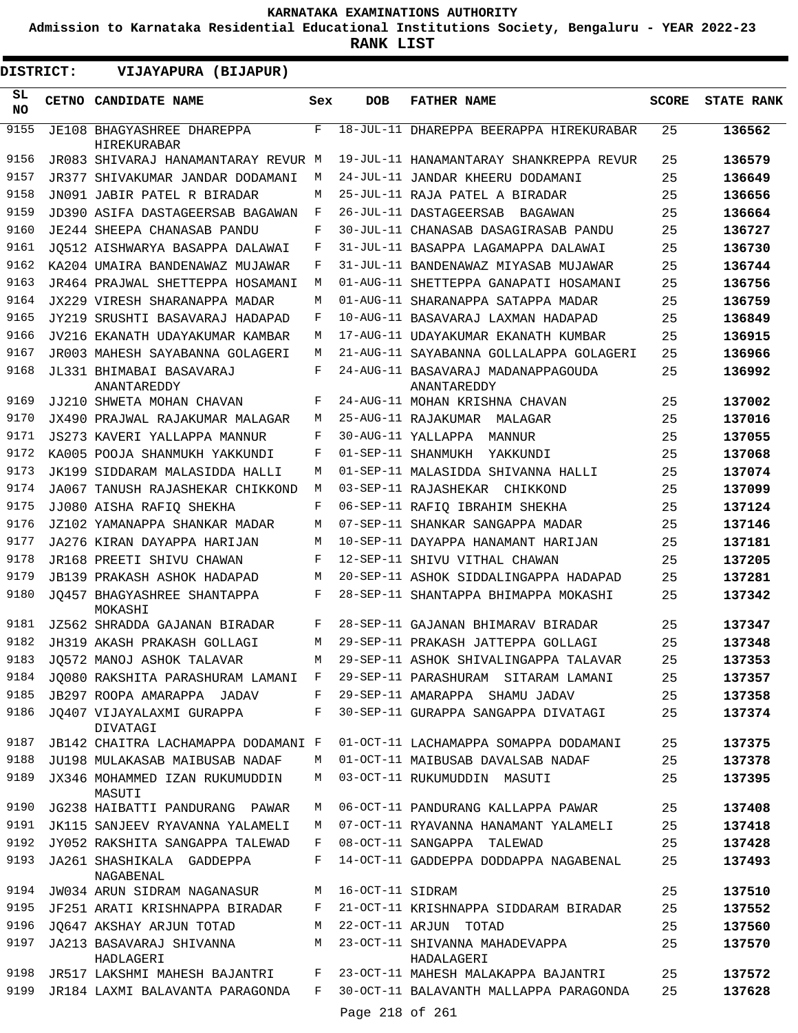**Admission to Karnataka Residential Educational Institutions Society, Bengaluru - YEAR 2022-23**

**RANK LIST**

| DISTRICT:    | VIJAYAPURA (BIJAPUR)                                          |        |                  |                                                                              |              |                   |
|--------------|---------------------------------------------------------------|--------|------------------|------------------------------------------------------------------------------|--------------|-------------------|
| SL.<br>NO.   | CETNO CANDIDATE NAME                                          | Sex    | <b>DOB</b>       | <b>FATHER NAME</b>                                                           | <b>SCORE</b> | <b>STATE RANK</b> |
| 9155         | JE108 BHAGYASHREE DHAREPPA<br>HIREKURABAR                     | F      |                  | 18-JUL-11 DHAREPPA BEERAPPA HIREKURABAR                                      | 25           | 136562            |
| 9156         | JR083 SHIVARAJ HANAMANTARAY REVUR M                           |        |                  | 19-JUL-11 HANAMANTARAY SHANKREPPA REVUR                                      | 25           | 136579            |
| 9157         | JR377 SHIVAKUMAR JANDAR DODAMANI                              | М      |                  | 24-JUL-11 JANDAR KHEERU DODAMANI                                             | 25           | 136649            |
| 9158         | JN091 JABIR PATEL R BIRADAR                                   | М      |                  | 25-JUL-11 RAJA PATEL A BIRADAR                                               | 25           | 136656            |
| 9159         | JD390 ASIFA DASTAGEERSAB BAGAWAN                              | F      |                  | 26-JUL-11 DASTAGEERSAB<br>BAGAWAN                                            | 25           | 136664            |
| 9160         | <b>JE244 SHEEPA CHANASAB PANDU</b>                            | F      |                  | 30-JUL-11 CHANASAB DASAGIRASAB PANDU                                         | 25           | 136727            |
| 9161         | JO512 AISHWARYA BASAPPA DALAWAI                               | F      |                  | 31-JUL-11 BASAPPA LAGAMAPPA DALAWAI                                          | 25           | 136730            |
| 9162         | KA204 UMAIRA BANDENAWAZ MUJAWAR                               | F      |                  | 31-JUL-11 BANDENAWAZ MIYASAB MUJAWAR                                         | 25           | 136744            |
| 9163         | JR464 PRAJWAL SHETTEPPA HOSAMANI                              | M      |                  | 01-AUG-11 SHETTEPPA GANAPATI HOSAMANI                                        | 25           | 136756            |
| 9164         | JX229 VIRESH SHARANAPPA MADAR                                 | M      |                  | 01-AUG-11 SHARANAPPA SATAPPA MADAR                                           | 25           | 136759            |
| 9165         | JY219 SRUSHTI BASAVARAJ HADAPAD                               | F      |                  | 10-AUG-11 BASAVARAJ LAXMAN HADAPAD                                           | 25           | 136849            |
| 9166         | JV216 EKANATH UDAYAKUMAR KAMBAR                               | М      |                  | 17-AUG-11 UDAYAKUMAR EKANATH KUMBAR                                          | 25           | 136915            |
| 9167         | JR003 MAHESH SAYABANNA GOLAGERI                               | М      |                  | 21-AUG-11 SAYABANNA GOLLALAPPA GOLAGERI                                      | 25           | 136966            |
| 9168         | JL331 BHIMABAI BASAVARAJ<br>ANANTAREDDY                       | F      |                  | 24-AUG-11 BASAVARAJ MADANAPPAGOUDA<br>ANANTAREDDY                            | 25           | 136992            |
| 9169         | JJ210 SHWETA MOHAN CHAVAN                                     | F      |                  | 24-AUG-11 MOHAN KRISHNA CHAVAN                                               | 25           | 137002            |
| 9170         | JX490 PRAJWAL RAJAKUMAR MALAGAR                               | М      |                  | 25-AUG-11 RAJAKUMAR MALAGAR                                                  | 25           | 137016            |
| 9171         | JS273 KAVERI YALLAPPA MANNUR                                  | F      |                  | 30-AUG-11 YALLAPPA<br>MANNUR                                                 | 25           | 137055            |
| 9172         | KA005 POOJA SHANMUKH YAKKUNDI                                 | F      |                  | 01-SEP-11 SHANMUKH<br>YAKKUNDI                                               | 25           | 137068            |
| 9173         | JK199 SIDDARAM MALASIDDA HALLI                                | M      |                  | 01-SEP-11 MALASIDDA SHIVANNA HALLI                                           | 25           | 137074            |
| 9174         | JA067 TANUSH RAJASHEKAR CHIKKOND                              | М      |                  | 03-SEP-11 RAJASHEKAR CHIKKOND                                                | 25           | 137099            |
| 9175         | JJ080 AISHA RAFIQ SHEKHA                                      | F      |                  | 06-SEP-11 RAFIQ IBRAHIM SHEKHA                                               | 25           | 137124            |
| 9176         | JZ102 YAMANAPPA SHANKAR MADAR                                 | М      |                  | 07-SEP-11 SHANKAR SANGAPPA MADAR                                             | 25           | 137146            |
| 9177         | JA276 KIRAN DAYAPPA HARIJAN                                   | M      |                  | 10-SEP-11 DAYAPPA HANAMANT HARIJAN                                           | 25           | 137181            |
| 9178         | JR168 PREETI SHIVU CHAWAN                                     | F      |                  | 12-SEP-11 SHIVU VITHAL CHAWAN                                                | 25           | 137205            |
| 9179         | JB139 PRAKASH ASHOK HADAPAD                                   | М      |                  | 20-SEP-11 ASHOK SIDDALINGAPPA HADAPAD                                        | 25           | 137281            |
| 9180<br>9181 | JQ457 BHAGYASHREE SHANTAPPA<br>MOKASHI                        | F      |                  | 28-SEP-11 SHANTAPPA BHIMAPPA MOKASHI                                         | 25           | 137342            |
| 9182         | JZ562 SHRADDA GAJANAN BIRADAR                                 | F<br>М |                  | 28-SEP-11 GAJANAN BHIMARAV BIRADAR                                           | 25           | 137347            |
| 9183         | JH319 AKASH PRAKASH GOLLAGI                                   | М      |                  | 29-SEP-11 PRAKASH JATTEPPA GOLLAGI                                           | 25           | 137348            |
| 9184         | JQ572 MANOJ ASHOK TALAVAR<br>JO080 RAKSHITA PARASHURAM LAMANI | F      |                  | 29-SEP-11 ASHOK SHIVALINGAPPA TALAVAR<br>29-SEP-11 PARASHURAM SITARAM LAMANI | 25           | 137353            |
| 9185         | JB297 ROOPA AMARAPPA JADAV                                    | F      |                  | 29-SEP-11 AMARAPPA SHAMU JADAV                                               | 25<br>25     | 137357            |
| 9186         | JQ407 VIJAYALAXMI GURAPPA                                     | F      |                  | 30-SEP-11 GURAPPA SANGAPPA DIVATAGI                                          | 25           | 137358<br>137374  |
| 9187         | DIVATAGI<br>JB142 CHAITRA LACHAMAPPA DODAMANI F               |        |                  | 01-OCT-11 LACHAMAPPA SOMAPPA DODAMANI                                        | 25           | 137375            |
| 9188         | JU198 MULAKASAB MAIBUSAB NADAF                                | М      |                  | 01-OCT-11 MAIBUSAB DAVALSAB NADAF                                            | 25           | 137378            |
| 9189         | JX346 MOHAMMED IZAN RUKUMUDDIN<br>MASUTI                      | М      |                  | 03-OCT-11 RUKUMUDDIN MASUTI                                                  | 25           | 137395            |
| 9190         | JG238 HAIBATTI PANDURANG PAWAR                                | М      |                  | 06-OCT-11 PANDURANG KALLAPPA PAWAR                                           | 25           | 137408            |
| 9191         | JK115 SANJEEV RYAVANNA YALAMELI                               | М      |                  | 07-OCT-11 RYAVANNA HANAMANT YALAMELI                                         | 25           | 137418            |
| 9192         | JY052 RAKSHITA SANGAPPA TALEWAD                               | F      |                  | 08-OCT-11 SANGAPPA TALEWAD                                                   | 25           | 137428            |
| 9193         | JA261 SHASHIKALA GADDEPPA<br>NAGABENAL                        | F      |                  | 14-OCT-11 GADDEPPA DODDAPPA NAGABENAL                                        | 25           | 137493            |
| 9194         | JW034 ARUN SIDRAM NAGANASUR                                   | М      | 16-OCT-11 SIDRAM |                                                                              | 25           | 137510            |
| 9195         | JF251 ARATI KRISHNAPPA BIRADAR                                | F      |                  | 21-OCT-11 KRISHNAPPA SIDDARAM BIRADAR                                        | 25           | 137552            |
| 9196         | JO647 AKSHAY ARJUN TOTAD                                      | М      |                  | 22-OCT-11 ARJUN TOTAD                                                        | 25           | 137560            |
| 9197         | JA213 BASAVARAJ SHIVANNA<br>HADLAGERI                         | М      |                  | 23-OCT-11 SHIVANNA MAHADEVAPPA<br>HADALAGERI                                 | 25           | 137570            |
| 9198         | JR517 LAKSHMI MAHESH BAJANTRI                                 | F      |                  | 23-OCT-11 MAHESH MALAKAPPA BAJANTRI                                          | 25           | 137572            |
| 9199         | JR184 LAXMI BALAVANTA PARAGONDA                               | F      |                  | 30-OCT-11 BALAVANTH MALLAPPA PARAGONDA                                       | 25           | 137628            |
|              |                                                               |        | Page 218 of 261  |                                                                              |              |                   |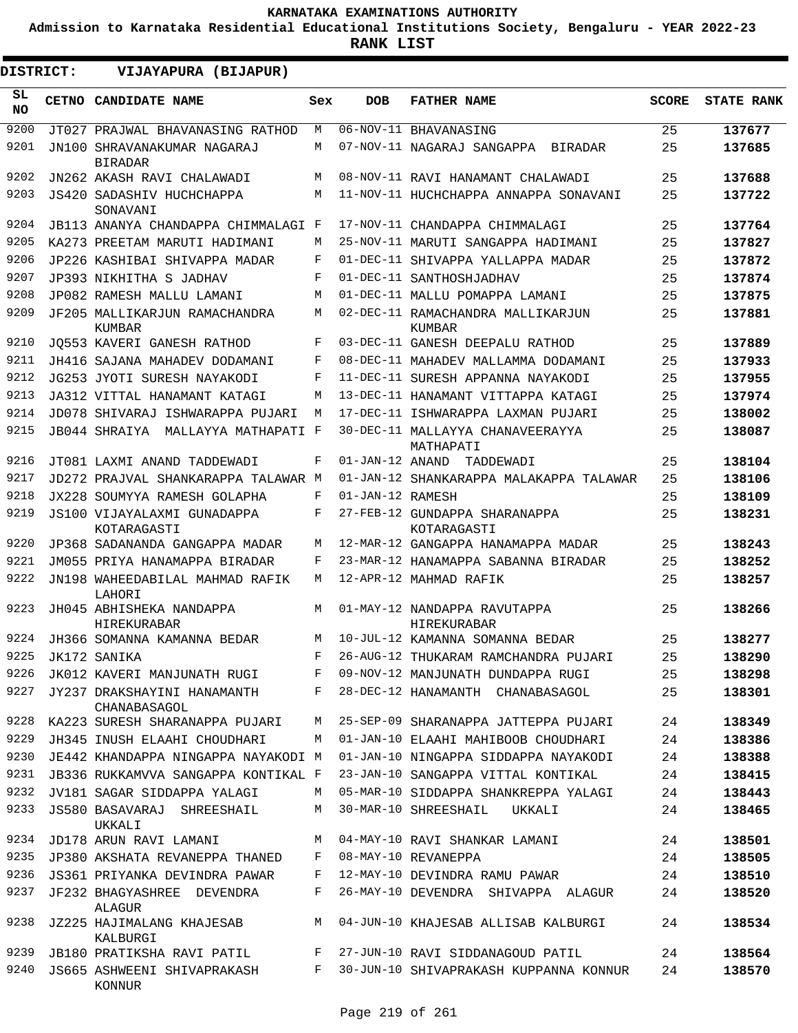**Admission to Karnataka Residential Educational Institutions Society, Bengaluru - YEAR 2022-23**

**RANK LIST**

ı

| DISTRICT:       | VIJAYAPURA (BIJAPUR)                           |     |                  |                                               |              |                   |
|-----------------|------------------------------------------------|-----|------------------|-----------------------------------------------|--------------|-------------------|
| SL<br><b>NO</b> | <b>CETNO CANDIDATE NAME</b>                    | Sex | <b>DOB</b>       | <b>FATHER NAME</b>                            | <b>SCORE</b> | <b>STATE RANK</b> |
| 9200            | JT027 PRAJWAL BHAVANASING RATHOD               | М   |                  | 06-NOV-11 BHAVANASING                         | 25           | 137677            |
| 9201            | JN100 SHRAVANAKUMAR NAGARAJ<br><b>BIRADAR</b>  | М   |                  | 07-NOV-11 NAGARAJ SANGAPPA<br><b>BIRADAR</b>  | 25           | 137685            |
| 9202            | JN262 AKASH RAVI CHALAWADI                     | М   |                  | 08-NOV-11 RAVI HANAMANT CHALAWADI             | 25           | 137688            |
| 9203            | <b>JS420 SADASHIV HUCHCHAPPA</b><br>SONAVANI   | М   |                  | 11-NOV-11 HUCHCHAPPA ANNAPPA SONAVANI         | 25           | 137722            |
| 9204            | JB113 ANANYA CHANDAPPA CHIMMALAGI F            |     |                  | 17-NOV-11 CHANDAPPA CHIMMALAGI                | 25           | 137764            |
| 9205            | KA273 PREETAM MARUTI HADIMANI                  | M   |                  | 25-NOV-11 MARUTI SANGAPPA HADIMANI            | 25           | 137827            |
| 9206            | JP226 KASHIBAI SHIVAPPA MADAR                  | F   |                  | 01-DEC-11 SHIVAPPA YALLAPPA MADAR             | 25           | 137872            |
| 9207            | JP393 NIKHITHA S JADHAV                        | F   |                  | 01-DEC-11 SANTHOSHJADHAV                      | 25           | 137874            |
| 9208            | JP082 RAMESH MALLU LAMANI                      | M   |                  | 01-DEC-11 MALLU POMAPPA LAMANI                | 25           | 137875            |
| 9209            | JF205 MALLIKARJUN RAMACHANDRA<br><b>KUMBAR</b> | М   |                  | 02-DEC-11 RAMACHANDRA MALLIKARJUN<br>KUMBAR   | 25           | 137881            |
| 9210            | JO553 KAVERI GANESH RATHOD                     | F   |                  | 03-DEC-11 GANESH DEEPALU RATHOD               | 25           | 137889            |
| 9211            | JH416 SAJANA MAHADEV DODAMANI                  | F   |                  | 08-DEC-11 MAHADEV MALLAMMA DODAMANI           | 25           | 137933            |
| 9212            | JG253 JYOTI SURESH NAYAKODI                    | F   |                  | 11-DEC-11 SURESH APPANNA NAYAKODI             | 25           | 137955            |
| 9213            | JA312 VITTAL HANAMANT KATAGI                   | М   |                  | 13-DEC-11 HANAMANT VITTAPPA KATAGI            | 25           | 137974            |
| 9214            | JD078 SHIVARAJ ISHWARAPPA PUJARI               | М   |                  | 17-DEC-11 ISHWARAPPA LAXMAN PUJARI            | 25           | 138002            |
| 9215            | JB044 SHRAIYA<br>MALLAYYA MATHAPATI F          |     |                  | 30-DEC-11 MALLAYYA CHANAVEERAYYA<br>MATHAPATI | 25           | 138087            |
| 9216            | JT081 LAXMI ANAND TADDEWADI                    | F   | 01-JAN-12 ANAND  | TADDEWADI                                     | 25           | 138104            |
| 9217            | JD272 PRAJVAL SHANKARAPPA TALAWAR M            |     |                  | 01-JAN-12 SHANKARAPPA MALAKAPPA TALAWAR       | 25           | 138106            |
| 9218            | JX228 SOUMYYA RAMESH GOLAPHA                   | F   | 01-JAN-12 RAMESH |                                               | 25           | 138109            |
| 9219            | JS100 VIJAYALAXMI GUNADAPPA<br>KOTARAGASTI     | F   |                  | 27-FEB-12 GUNDAPPA SHARANAPPA<br>KOTARAGASTI  | 25           | 138231            |
| 9220            | JP368 SADANANDA GANGAPPA MADAR                 | М   |                  | 12-MAR-12 GANGAPPA HANAMAPPA MADAR            | 25           | 138243            |
| 9221            | JM055 PRIYA HANAMAPPA BIRADAR                  | F   |                  | 23-MAR-12 HANAMAPPA SABANNA BIRADAR           | 25           | 138252            |
| 9222            | JN198 WAHEEDABILAL MAHMAD RAFIK<br>LAHORI      | М   |                  | 12-APR-12 MAHMAD RAFIK                        | 25           | 138257            |
| 9223            | JH045 ABHISHEKA NANDAPPA<br><b>HIREKURABAR</b> | М   |                  | 01-MAY-12 NANDAPPA RAVUTAPPA<br>HIREKURABAR   | 25           | 138266            |
| 9224            | JH366 SOMANNA KAMANNA BEDAR                    | М   |                  | 10-JUL-12 KAMANNA SOMANNA BEDAR               | 25           | 138277            |
| 9225            | JK172 SANIKA                                   | F   |                  | 26-AUG-12 THUKARAM RAMCHANDRA PUJARI          | 25           | 138290            |
| 9226            | JK012 KAVERI MANJUNATH RUGI                    | F   |                  | 09-NOV-12 MANJUNATH DUNDAPPA RUGI             | 25           | 138298            |
| 9227            | JY237 DRAKSHAYINI HANAMANTH<br>CHANABASAGOL    | F   |                  | 28-DEC-12 HANAMANTH CHANABASAGOL              | 25           | 138301            |
| 9228            | KA223 SURESH SHARANAPPA PUJARI                 | М   |                  | 25-SEP-09 SHARANAPPA JATTEPPA PUJARI          | 24           | 138349            |
| 9229            | JH345 INUSH ELAAHI CHOUDHARI                   | М   |                  | 01-JAN-10 ELAAHI MAHIBOOB CHOUDHARI           | 24           | 138386            |
| 9230            | JE442 KHANDAPPA NINGAPPA NAYAKODI M            |     |                  | 01-JAN-10 NINGAPPA SIDDAPPA NAYAKODI          | 24           | 138388            |
| 9231            | JB336 RUKKAMVVA SANGAPPA KONTIKAL F            |     |                  | 23-JAN-10 SANGAPPA VITTAL KONTIKAL            | 24           | 138415            |
| 9232            | JV181 SAGAR SIDDAPPA YALAGI                    | М   |                  | 05-MAR-10 SIDDAPPA SHANKREPPA YALAGI          | 24           | 138443            |
| 9233            | JS580 BASAVARAJ SHREESHAIL<br>UKKALI           | М   |                  | 30-MAR-10 SHREESHAIL<br>UKKALI                | 24           | 138465            |
| 9234            | JD178 ARUN RAVI LAMANI                         | М   |                  | 04-MAY-10 RAVI SHANKAR LAMANI                 | 24           | 138501            |
| 9235            | JP380 AKSHATA REVANEPPA THANED                 | F   |                  | 08-MAY-10 REVANEPPA                           | 24           | 138505            |
| 9236            | JS361 PRIYANKA DEVINDRA PAWAR                  | F   |                  | 12-MAY-10 DEVINDRA RAMU PAWAR                 | 24           | 138510            |
| 9237            | JF232 BHAGYASHREE DEVENDRA<br>ALAGUR           | F   |                  | 26-MAY-10 DEVENDRA SHIVAPPA ALAGUR            | 24           | 138520            |
| 9238            | JZ225 HAJIMALANG KHAJESAB<br>KALBURGI          | М   |                  | 04-JUN-10 KHAJESAB ALLISAB KALBURGI           | 24           | 138534            |
| 9239            | JB180 PRATIKSHA RAVI PATIL                     | F   |                  | 27-JUN-10 RAVI SIDDANAGOUD PATIL              | 24           | 138564            |
| 9240            | JS665 ASHWEENI SHIVAPRAKASH<br>KONNUR          | F   |                  | 30-JUN-10 SHIVAPRAKASH KUPPANNA KONNUR        | 24           | 138570            |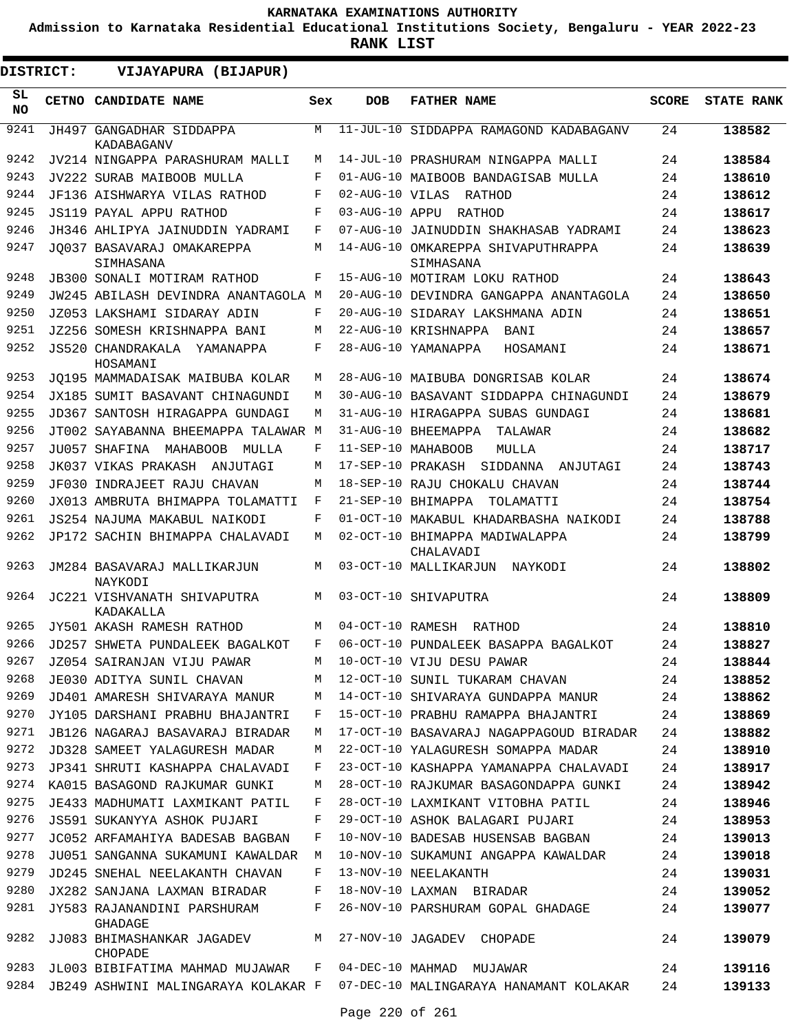**Admission to Karnataka Residential Educational Institutions Society, Bengaluru - YEAR 2022-23**

| DISTRICT:       | VIJAYAPURA (BIJAPUR)                       |     |                 |                                                 |              |                   |
|-----------------|--------------------------------------------|-----|-----------------|-------------------------------------------------|--------------|-------------------|
| SL<br><b>NO</b> | CETNO CANDIDATE NAME                       | Sex | <b>DOB</b>      | <b>FATHER NAME</b>                              | <b>SCORE</b> | <b>STATE RANK</b> |
| 9241            | JH497 GANGADHAR SIDDAPPA<br>KADABAGANV     | M   |                 | 11-JUL-10 SIDDAPPA RAMAGOND KADABAGANV          | 24           | 138582            |
| 9242            | JV214 NINGAPPA PARASHURAM MALLI            | M   |                 | 14-JUL-10 PRASHURAM NINGAPPA MALLI              | 24           | 138584            |
| 9243            | JV222 SURAB MAIBOOB MULLA                  | F   |                 | 01-AUG-10 MAIBOOB BANDAGISAB MULLA              | 24           | 138610            |
| 9244            | JF136 AISHWARYA VILAS RATHOD               | F   | 02-AUG-10 VILAS | RATHOD                                          | 24           | 138612            |
| 9245            | JS119 PAYAL APPU RATHOD                    | F   | 03-AUG-10 APPU  | RATHOD                                          | 24           | 138617            |
| 9246            | JH346 AHLIPYA JAINUDDIN YADRAMI            | F   |                 | 07-AUG-10 JAINUDDIN SHAKHASAB YADRAMI           | 24           | 138623            |
| 9247            | JO037 BASAVARAJ OMAKAREPPA<br>SIMHASANA    | M   |                 | 14-AUG-10 OMKAREPPA SHIVAPUTHRAPPA<br>SIMHASANA | 24           | 138639            |
| 9248            | <b>JB300 SONALI MOTIRAM RATHOD</b>         | F   |                 | 15-AUG-10 MOTIRAM LOKU RATHOD                   | 24           | 138643            |
| 9249            | JW245 ABILASH DEVINDRA ANANTAGOLA M        |     |                 | 20-AUG-10 DEVINDRA GANGAPPA ANANTAGOLA          | 24           | 138650            |
| 9250            | JZ053 LAKSHAMI SIDARAY ADIN                | F   |                 | 20-AUG-10 SIDARAY LAKSHMANA ADIN                | 24           | 138651            |
| 9251            | JZ256 SOMESH KRISHNAPPA BANI               | M   |                 | 22-AUG-10 KRISHNAPPA BANI                       | 24           | 138657            |
| 9252            | JS520 CHANDRAKALA<br>YAMANAPPA<br>HOSAMANI | F   |                 | 28-AUG-10 YAMANAPPA<br>HOSAMANI                 | 24           | 138671            |
| 9253            | JO195 MAMMADAISAK MAIBUBA KOLAR            | M   |                 | 28-AUG-10 MAIBUBA DONGRISAB KOLAR               | 24           | 138674            |
| 9254            | JX185 SUMIT BASAVANT CHINAGUNDI            | M   |                 | 30-AUG-10 BASAVANT SIDDAPPA CHINAGUNDI          | 24           | 138679            |
| 9255            | JD367 SANTOSH HIRAGAPPA GUNDAGI            | M   |                 | 31-AUG-10 HIRAGAPPA SUBAS GUNDAGI               | 24           | 138681            |
| 9256            | JT002 SAYABANNA BHEEMAPPA TALAWAR M        |     |                 | 31-AUG-10 BHEEMAPPA<br>TALAWAR                  | 24           | 138682            |
| 9257            | JU057 SHAFINA<br>MAHABOOB<br>MULLA         | F   |                 | 11-SEP-10 MAHABOOB<br>MULLA                     | 24           | 138717            |
| 9258            | JK037 VIKAS PRAKASH<br>ANJUTAGI            | M   |                 | 17-SEP-10 PRAKASH SIDDANNA<br>ANJUTAGI          | 24           | 138743            |
| 9259            | JF030 INDRAJEET RAJU CHAVAN                | M   |                 | 18-SEP-10 RAJU CHOKALU CHAVAN                   | 24           | 138744            |
| 9260            | JX013 AMBRUTA BHIMAPPA TOLAMATTI           | F   |                 | 21-SEP-10 BHIMAPPA<br>TOLAMATTI                 | 24           | 138754            |
| 9261            | JS254 NAJUMA MAKABUL NAIKODI               | F   |                 | 01-OCT-10 MAKABUL KHADARBASHA NAIKODI           | 24           | 138788            |
| 9262            | JP172 SACHIN BHIMAPPA CHALAVADI            | M   |                 | 02-OCT-10 BHIMAPPA MADIWALAPPA<br>CHALAVADI     | 24           | 138799            |
| 9263            | JM284 BASAVARAJ MALLIKARJUN<br>NAYKODI     | M   |                 | 03-OCT-10 MALLIKARJUN<br>NAYKODI                | 24           | 138802            |
| 9264            | JC221 VISHVANATH SHIVAPUTRA<br>KADAKALLA   | M   |                 | 03-OCT-10 SHIVAPUTRA                            | 24           | 138809            |
| 9265            | JY501 AKASH RAMESH RATHOD                  | M   |                 | 04-OCT-10 RAMESH RATHOD                         | 24           | 138810            |
| 9266            | JD257 SHWETA PUNDALEEK BAGALKOT            | F   |                 | 06-OCT-10 PUNDALEEK BASAPPA BAGALKOT            | 24           | 138827            |
| 9267            | JZ054 SAIRANJAN VIJU PAWAR                 | M   |                 | 10-OCT-10 VIJU DESU PAWAR                       | 24           | 138844            |
| 9268            | JE030 ADITYA SUNIL CHAVAN                  | M   |                 | 12-OCT-10 SUNIL TUKARAM CHAVAN                  | 24           | 138852            |
| 9269            | JD401 AMARESH SHIVARAYA MANUR              | М   |                 | 14-OCT-10 SHIVARAYA GUNDAPPA MANUR              | 24           | 138862            |
| 9270            | JY105 DARSHANI PRABHU BHAJANTRI            | F   |                 | 15-OCT-10 PRABHU RAMAPPA BHAJANTRI              | 24           | 138869            |
| 9271            | JB126 NAGARAJ BASAVARAJ BIRADAR            | М   |                 | 17-OCT-10 BASAVARAJ NAGAPPAGOUD BIRADAR         | 24           | 138882            |
| 9272            | JD328 SAMEET YALAGURESH MADAR              | М   |                 | 22-OCT-10 YALAGURESH SOMAPPA MADAR              | 24           | 138910            |
| 9273            | JP341 SHRUTI KASHAPPA CHALAVADI            | F   |                 | 23-OCT-10 KASHAPPA YAMANAPPA CHALAVADI          | 24           | 138917            |
| 9274            | KA015 BASAGOND RAJKUMAR GUNKI              | М   |                 | 28-OCT-10 RAJKUMAR BASAGONDAPPA GUNKI           | 24           | 138942            |
| 9275            | JE433 MADHUMATI LAXMIKANT PATIL            | F   |                 | 28-OCT-10 LAXMIKANT VITOBHA PATIL               | 24           | 138946            |
| 9276            | JS591 SUKANYYA ASHOK PUJARI                | F   |                 | 29-OCT-10 ASHOK BALAGARI PUJARI                 | 24           | 138953            |
| 9277            | JC052 ARFAMAHIYA BADESAB BAGBAN            | F   |                 | 10-NOV-10 BADESAB HUSENSAB BAGBAN               | 24           | 139013            |
| 9278            | JU051 SANGANNA SUKAMUNI KAWALDAR           | M   |                 | 10-NOV-10 SUKAMUNI ANGAPPA KAWALDAR             | 24           | 139018            |
| 9279            | JD245 SNEHAL NEELAKANTH CHAVAN             | F   |                 | 13-NOV-10 NEELAKANTH                            | 24           | 139031            |
| 9280            | JX282 SANJANA LAXMAN BIRADAR               | F   |                 | 18-NOV-10 LAXMAN BIRADAR                        | 24           | 139052            |
| 9281            | JY583 RAJANANDINI PARSHURAM<br>GHADAGE     | F   |                 | 26-NOV-10 PARSHURAM GOPAL GHADAGE               | 24           | 139077            |
| 9282            | JJ083 BHIMASHANKAR JAGADEV<br>CHOPADE      | M   |                 | 27-NOV-10 JAGADEV CHOPADE                       | 24           | 139079            |
| 9283            | JL003 BIBIFATIMA MAHMAD MUJAWAR            | F   |                 | 04-DEC-10 MAHMAD MUJAWAR                        | 24           | 139116            |
| 9284            | JB249 ASHWINI MALINGARAYA KOLAKAR F        |     |                 | 07-DEC-10 MALINGARAYA HANAMANT KOLAKAR          | 24           | 139133            |
|                 |                                            |     | Page 220 of 261 |                                                 |              |                   |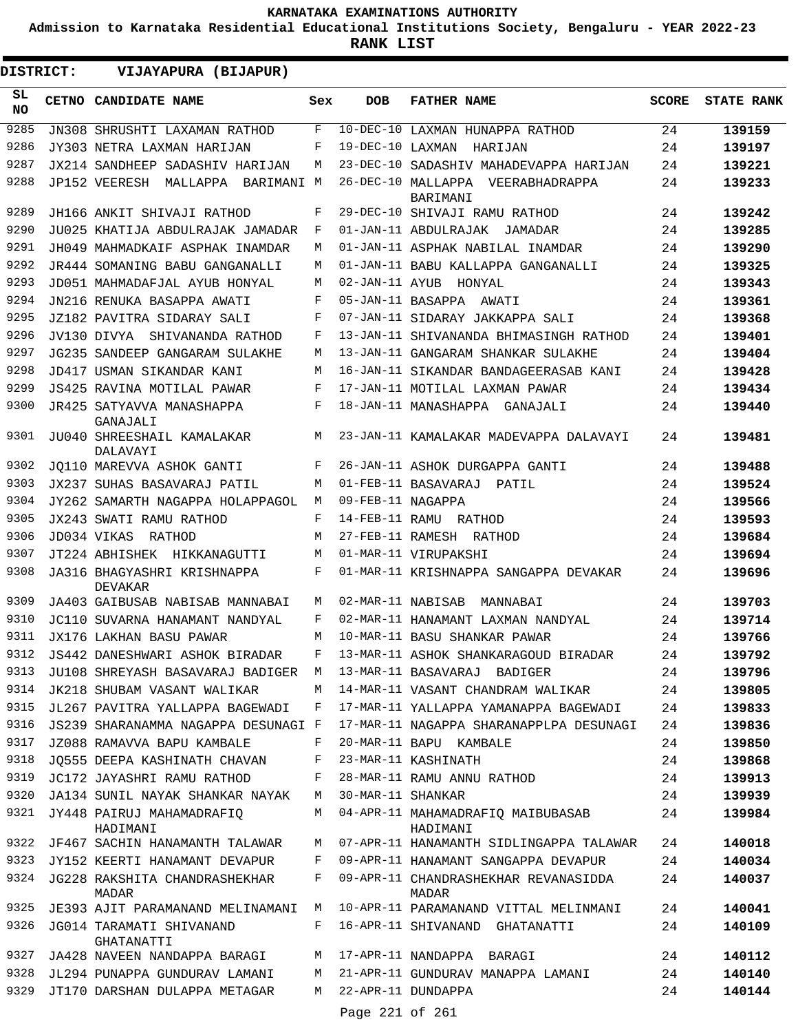**Admission to Karnataka Residential Educational Institutions Society, Bengaluru - YEAR 2022-23**

**RANK LIST**

| <b>DISTRICT:</b> | VIJAYAPURA (BIJAPUR)                          |     |                   |                                               |              |                   |
|------------------|-----------------------------------------------|-----|-------------------|-----------------------------------------------|--------------|-------------------|
| SL<br><b>NO</b>  | CETNO CANDIDATE NAME                          | Sex | <b>DOB</b>        | <b>FATHER NAME</b>                            | <b>SCORE</b> | <b>STATE RANK</b> |
| 9285             | JN308 SHRUSHTI LAXAMAN RATHOD                 | F   |                   | 10-DEC-10 LAXMAN HUNAPPA RATHOD               | 24           | 139159            |
| 9286             | JY303 NETRA LAXMAN HARIJAN                    | F   | 19-DEC-10 LAXMAN  | HARIJAN                                       | 24           | 139197            |
| 9287             | JX214 SANDHEEP SADASHIV HARIJAN               | М   |                   | 23-DEC-10 SADASHIV MAHADEVAPPA HARIJAN        | 24           | 139221            |
| 9288             | JP152 VEERESH MALLAPPA BARIMANI M             |     |                   | 26-DEC-10 MALLAPPA VEERABHADRAPPA<br>BARIMANI | 24           | 139233            |
| 9289             | JH166 ANKIT SHIVAJI RATHOD                    | F   |                   | 29-DEC-10 SHIVAJI RAMU RATHOD                 | 24           | 139242            |
| 9290             | JU025 KHATIJA ABDULRAJAK JAMADAR              | F   |                   | 01-JAN-11 ABDULRAJAK JAMADAR                  | 24           | 139285            |
| 9291             | JH049 MAHMADKAIF ASPHAK INAMDAR               | М   |                   | 01-JAN-11 ASPHAK NABILAL INAMDAR              | 24           | 139290            |
| 9292             | JR444 SOMANING BABU GANGANALLI                | М   |                   | 01-JAN-11 BABU KALLAPPA GANGANALLI            | 24           | 139325            |
| 9293             | JD051 MAHMADAFJAL AYUB HONYAL                 | М   | 02-JAN-11 AYUB    | HONYAL                                        | 24           | 139343            |
| 9294             | JN216 RENUKA BASAPPA AWATI                    | F   |                   | 05-JAN-11 BASAPPA AWATI                       | 24           | 139361            |
| 9295             | JZ182 PAVITRA SIDARAY SALI                    | F   |                   | 07-JAN-11 SIDARAY JAKKAPPA SALI               | 24           | 139368            |
| 9296             | JV130 DIVYA SHIVANANDA RATHOD                 | F   |                   | 13-JAN-11 SHIVANANDA BHIMASINGH RATHOD        | 24           | 139401            |
| 9297             | JG235 SANDEEP GANGARAM SULAKHE                | M   |                   | 13-JAN-11 GANGARAM SHANKAR SULAKHE            | 24           | 139404            |
| 9298             | JD417 USMAN SIKANDAR KANI                     | M   |                   | 16-JAN-11 SIKANDAR BANDAGEERASAB KANI         | 24           | 139428            |
| 9299             | JS425 RAVINA MOTILAL PAWAR                    | F   |                   | 17-JAN-11 MOTILAL LAXMAN PAWAR                | 24           | 139434            |
| 9300             | JR425 SATYAVVA MANASHAPPA<br>GANAJALI         | F   |                   | 18-JAN-11 MANASHAPPA GANAJALI                 | 24           | 139440            |
| 9301             | JU040 SHREESHAIL KAMALAKAR<br>DALAVAYI        | M   |                   | 23-JAN-11 KAMALAKAR MADEVAPPA DALAVAYI        | 24           | 139481            |
| 9302             | JO110 MAREVVA ASHOK GANTI                     | F   |                   | 26-JAN-11 ASHOK DURGAPPA GANTI                | 24           | 139488            |
| 9303             | JX237 SUHAS BASAVARAJ PATIL                   | М   |                   | 01-FEB-11 BASAVARAJ<br>PATIL                  | 24           | 139524            |
| 9304             | JY262 SAMARTH NAGAPPA HOLAPPAGOL              | М   | 09-FEB-11 NAGAPPA |                                               | 24           | 139566            |
| 9305             | JX243 SWATI RAMU RATHOD                       | F   |                   | 14-FEB-11 RAMU RATHOD                         | 24           | 139593            |
| 9306             | JD034 VIKAS<br>RATHOD                         | M   |                   | 27-FEB-11 RAMESH RATHOD                       | 24           | 139684            |
| 9307             | JT224 ABHISHEK HIKKANAGUTTI                   | М   |                   | 01-MAR-11 VIRUPAKSHI                          | 24           | 139694            |
| 9308             | JA316 BHAGYASHRI KRISHNAPPA<br>DEVAKAR        | F   |                   | 01-MAR-11 KRISHNAPPA SANGAPPA DEVAKAR         | 24           | 139696            |
| 9309             | JA403 GAIBUSAB NABISAB MANNABAI               | М   | 02-MAR-11 NABISAB | MANNABAI                                      | 24           | 139703            |
| 9310             | JC110 SUVARNA HANAMANT NANDYAL                | F   |                   | 02-MAR-11 HANAMANT LAXMAN NANDYAL             | 24           | 139714            |
| 9311             | JX176 LAKHAN BASU PAWAR                       | М   |                   | 10-MAR-11 BASU SHANKAR PAWAR                  | 24           | 139766            |
| 9312             | JS442 DANESHWARI ASHOK BIRADAR                | F   |                   | 13-MAR-11 ASHOK SHANKARAGOUD BIRADAR          | 24           | 139792            |
| 9313             | JU108 SHREYASH BASAVARAJ BADIGER              | M   |                   | 13-MAR-11 BASAVARAJ BADIGER                   | 24           | 139796            |
| 9314             | JK218 SHUBAM VASANT WALIKAR                   | М   |                   | 14-MAR-11 VASANT CHANDRAM WALIKAR             | 24           | 139805            |
| 9315             | JL267 PAVITRA YALLAPPA BAGEWADI               | F   |                   | 17-MAR-11 YALLAPPA YAMANAPPA BAGEWADI         | 24           | 139833            |
| 9316             | JS239 SHARANAMMA NAGAPPA DESUNAGI F           |     |                   | 17-MAR-11 NAGAPPA SHARANAPPLPA DESUNAGI       | 24           | 139836            |
| 9317             | JZ088 RAMAVVA BAPU KAMBALE                    | F   |                   | 20-MAR-11 BAPU KAMBALE                        | 24           | 139850            |
| 9318             | JO555 DEEPA KASHINATH CHAVAN                  | F   |                   | 23-MAR-11 KASHINATH                           | 24           | 139868            |
| 9319             | JC172 JAYASHRI RAMU RATHOD                    | F   |                   | 28-MAR-11 RAMU ANNU RATHOD                    | 24           | 139913            |
| 9320             | JA134 SUNIL NAYAK SHANKAR NAYAK               | М   | 30-MAR-11 SHANKAR |                                               | 24           | 139939            |
| 9321             | JY448 PAIRUJ MAHAMADRAFIQ<br>HADIMANI         | M   |                   | 04-APR-11 MAHAMADRAFIQ MAIBUBASAB<br>HADIMANI | 24           | 139984            |
| 9322             | JF467 SACHIN HANAMANTH TALAWAR                | M   |                   | 07-APR-11 HANAMANTH SIDLINGAPPA TALAWAR       | 24           | 140018            |
| 9323             | JY152 KEERTI HANAMANT DEVAPUR                 | F   |                   | 09-APR-11 HANAMANT SANGAPPA DEVAPUR           | 24           | 140034            |
| 9324             | JG228 RAKSHITA CHANDRASHEKHAR<br><b>MADAR</b> | F   |                   | 09-APR-11 CHANDRASHEKHAR REVANASIDDA<br>MADAR | 24           | 140037            |
| 9325             | JE393 AJIT PARAMANAND MELINAMANI              | M   |                   | 10-APR-11 PARAMANAND VITTAL MELINMANI         | 24           | 140041            |
| 9326             | JG014 TARAMATI SHIVANAND<br>GHATANATTI        | F   |                   | 16-APR-11 SHIVANAND GHATANATTI                | 24           | 140109            |
| 9327             | JA428 NAVEEN NANDAPPA BARAGI                  | М   |                   | 17-APR-11 NANDAPPA BARAGI                     | 24           | 140112            |
| 9328             | JL294 PUNAPPA GUNDURAV LAMANI                 | М   |                   | 21-APR-11 GUNDURAV MANAPPA LAMANI             | 24           | 140140            |
| 9329             | JT170 DARSHAN DULAPPA METAGAR                 | М   |                   | 22-APR-11 DUNDAPPA                            | 24           | 140144            |
|                  |                                               |     | Page 221 of 261   |                                               |              |                   |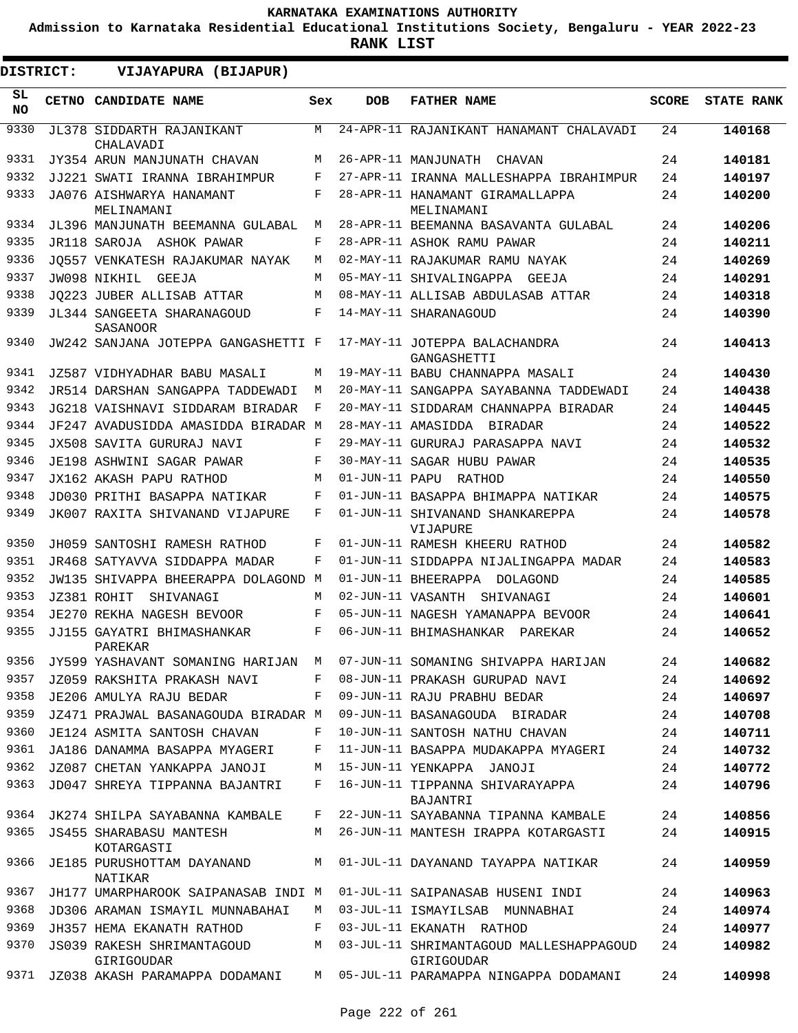**Admission to Karnataka Residential Educational Institutions Society, Bengaluru - YEAR 2022-23**

**RANK LIST**

ı

| DISTRICT:        | VIJAYAPURA (BIJAPUR)                                |     |                |                                                       |              |                   |
|------------------|-----------------------------------------------------|-----|----------------|-------------------------------------------------------|--------------|-------------------|
| SL.<br><b>NO</b> | CETNO CANDIDATE NAME                                | Sex | <b>DOB</b>     | <b>FATHER NAME</b>                                    | <b>SCORE</b> | <b>STATE RANK</b> |
| 9330             | JL378 SIDDARTH RAJANIKANT<br>CHALAVADI              | M   |                | 24-APR-11 RAJANIKANT HANAMANT CHALAVADI               | 24           | 140168            |
| 9331             | JY354 ARUN MANJUNATH CHAVAN                         | М   |                | 26-APR-11 MANJUNATH CHAVAN                            | 24           | 140181            |
| 9332             | JJ221 SWATI IRANNA IBRAHIMPUR                       | F   |                | 27-APR-11 IRANNA MALLESHAPPA IBRAHIMPUR               | 24           | 140197            |
| 9333             | JA076 AISHWARYA HANAMANT<br>MELINAMANI              | F   |                | 28-APR-11 HANAMANT GIRAMALLAPPA<br>MELINAMANI         | 24           | 140200            |
| 9334             | JL396 MANJUNATH BEEMANNA GULABAL                    | М   |                | 28-APR-11 BEEMANNA BASAVANTA GULABAL                  | 24           | 140206            |
| 9335             | JR118 SAROJA ASHOK PAWAR                            | F   |                | 28-APR-11 ASHOK RAMU PAWAR                            | 24           | 140211            |
| 9336             | JO557 VENKATESH RAJAKUMAR NAYAK                     | М   |                | 02-MAY-11 RAJAKUMAR RAMU NAYAK                        | 24           | 140269            |
| 9337             | JW098 NIKHIL<br>GEEJA                               | M   |                | 05-MAY-11 SHIVALINGAPPA GEEJA                         | 24           | 140291            |
| 9338             | JO223 JUBER ALLISAB ATTAR                           | М   |                | 08-MAY-11 ALLISAB ABDULASAB ATTAR                     | 24           | 140318            |
| 9339             | JL344 SANGEETA SHARANAGOUD<br>SASANOOR              | F   |                | 14-MAY-11 SHARANAGOUD                                 | 24           | 140390            |
| 9340             | JW242 SANJANA JOTEPPA GANGASHETTI F                 |     |                | 17-MAY-11 JOTEPPA BALACHANDRA<br>GANGASHETTI          | 24           | 140413            |
| 9341             | JZ587 VIDHYADHAR BABU MASALI                        | М   |                | 19-MAY-11 BABU CHANNAPPA MASALI                       | 24           | 140430            |
| 9342             | JR514 DARSHAN SANGAPPA TADDEWADI                    | М   |                | 20-MAY-11 SANGAPPA SAYABANNA TADDEWADI                | 24           | 140438            |
| 9343             | JG218 VAISHNAVI SIDDARAM BIRADAR                    | F   |                | 20-MAY-11 SIDDARAM CHANNAPPA BIRADAR                  | 24           | 140445            |
| 9344             | JF247 AVADUSIDDA AMASIDDA BIRADAR M                 |     |                | 28-MAY-11 AMASIDDA BIRADAR                            | 24           | 140522            |
| 9345             | JX508 SAVITA GURURAJ NAVI                           | F   |                | 29-MAY-11 GURURAJ PARASAPPA NAVI                      | 24           | 140532            |
| 9346             | JE198 ASHWINI SAGAR PAWAR                           | F   |                | 30-MAY-11 SAGAR HUBU PAWAR                            | 24           | 140535            |
| 9347             | JX162 AKASH PAPU RATHOD                             | M   | 01-JUN-11 PAPU | RATHOD                                                | 24           | 140550            |
| 9348             | JD030 PRITHI BASAPPA NATIKAR                        | F   |                | 01-JUN-11 BASAPPA BHIMAPPA NATIKAR                    | 24           | 140575            |
| 9349             | JK007 RAXITA SHIVANAND VIJAPURE                     | F   |                | 01-JUN-11 SHIVANAND SHANKAREPPA<br>VIJAPURE           | 24           | 140578            |
| 9350             | JH059 SANTOSHI RAMESH RATHOD                        | F   |                | 01-JUN-11 RAMESH KHEERU RATHOD                        | 24           | 140582            |
| 9351             | JR468 SATYAVVA SIDDAPPA MADAR                       | F   |                | 01-JUN-11 SIDDAPPA NIJALINGAPPA MADAR                 | 24           | 140583            |
| 9352             | JW135 SHIVAPPA BHEERAPPA DOLAGOND M                 |     |                | 01-JUN-11 BHEERAPPA DOLAGOND                          | 24           | 140585            |
| 9353             | JZ381 ROHIT<br>SHIVANAGI                            | M   |                | 02-JUN-11 VASANTH<br>SHIVANAGI                        | 24           | 140601            |
| 9354             | JE270 REKHA NAGESH BEVOOR                           | F   |                | 05-JUN-11 NAGESH YAMANAPPA BEVOOR                     | 24           | 140641            |
| 9355             | JJ155 GAYATRI BHIMASHANKAR<br>PAREKAR               | F   |                | 06-JUN-11 BHIMASHANKAR PAREKAR                        | 24           | 140652            |
| 9356             | JY599 YASHAVANT SOMANING HARIJAN                    | М   |                | 07-JUN-11 SOMANING SHIVAPPA HARIJAN                   | 24           | 140682            |
| 9357             | JZ059 RAKSHITA PRAKASH NAVI                         | F   |                | 08-JUN-11 PRAKASH GURUPAD NAVI                        | 24           | 140692            |
| 9358             | JE206 AMULYA RAJU BEDAR                             | F   |                | 09-JUN-11 RAJU PRABHU BEDAR                           | 24           | 140697            |
| 9359             | JZ471 PRAJWAL BASANAGOUDA BIRADAR M                 |     |                | 09-JUN-11 BASANAGOUDA BIRADAR                         | 24           | 140708            |
| 9360             | JE124 ASMITA SANTOSH CHAVAN                         | F   |                | 10-JUN-11 SANTOSH NATHU CHAVAN                        | 24           | 140711            |
| 9361             | JA186 DANAMMA BASAPPA MYAGERI                       | F   |                | 11-JUN-11 BASAPPA MUDAKAPPA MYAGERI                   | 24           | 140732            |
| 9362             | JZ087 CHETAN YANKAPPA JANOJI                        | M   |                | 15-JUN-11 YENKAPPA JANOJI                             | 24           | 140772            |
| 9363             | JD047 SHREYA TIPPANNA BAJANTRI                      | F   |                | 16-JUN-11 TIPPANNA SHIVARAYAPPA<br>BAJANTRI           | 24           | 140796            |
| 9364             | JK274 SHILPA SAYABANNA KAMBALE                      | F   |                | 22-JUN-11 SAYABANNA TIPANNA KAMBALE                   | 24           | 140856            |
| 9365             | JS455 SHARABASU MANTESH                             | М   |                | 26-JUN-11 MANTESH IRAPPA KOTARGASTI                   | 24           | 140915            |
| 9366             | KOTARGASTI<br>JE185 PURUSHOTTAM DAYANAND<br>NATIKAR | M   |                | 01-JUL-11 DAYANAND TAYAPPA NATIKAR                    | 24           | 140959            |
| 9367             | JH177 UMARPHAROOK SAIPANASAB INDI M                 |     |                | 01-JUL-11 SAIPANASAB HUSENI INDI                      | 24           | 140963            |
| 9368             | JD306 ARAMAN ISMAYIL MUNNABAHAI                     | M   |                | 03-JUL-11 ISMAYILSAB MUNNABHAI                        | 24           | 140974            |
| 9369             | JH357 HEMA EKANATH RATHOD                           | F   |                | 03-JUL-11 EKANATH RATHOD                              | 24           | 140977            |
| 9370             | JS039 RAKESH SHRIMANTAGOUD<br>GIRIGOUDAR            | M   |                | 03-JUL-11 SHRIMANTAGOUD MALLESHAPPAGOUD<br>GIRIGOUDAR | 24           | 140982            |
| 9371             | JZ038 AKASH PARAMAPPA DODAMANI                      |     |                | M 05-JUL-11 PARAMAPPA NINGAPPA DODAMANI               | 24           | 140998            |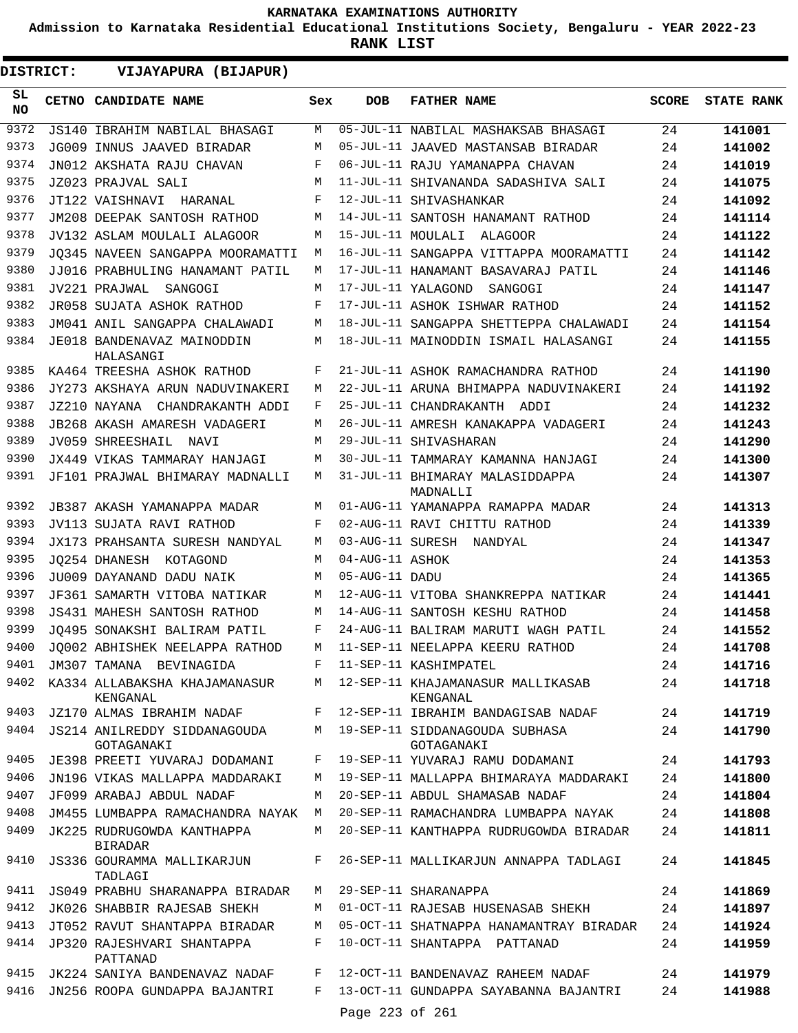**Admission to Karnataka Residential Educational Institutions Society, Bengaluru - YEAR 2022-23**

**RANK LIST**

 $\blacksquare$ 

**DISTRICT:** EE **VIJAYAPURA (BIJAPUR)**

| SL<br>NO.    | CETNO CANDIDATE NAME                                                       | Sex    | DOB             | <b>FATHER NAME</b>                                                              | SCORE    | <b>STATE RANK</b> |
|--------------|----------------------------------------------------------------------------|--------|-----------------|---------------------------------------------------------------------------------|----------|-------------------|
| 9372         | JS140 IBRAHIM NABILAL BHASAGI                                              | М      |                 | 05-JUL-11 NABILAL MASHAKSAB BHASAGI                                             | 24       | 141001            |
| 9373         | JG009 INNUS JAAVED BIRADAR                                                 | М      |                 | 05-JUL-11 JAAVED MASTANSAB BIRADAR                                              | 24       | 141002            |
| 9374         | JN012 AKSHATA RAJU CHAVAN                                                  | F      |                 | 06-JUL-11 RAJU YAMANAPPA CHAVAN                                                 | 24       | 141019            |
| 9375         | JZ023 PRAJVAL SALI                                                         | M      |                 | 11-JUL-11 SHIVANANDA SADASHIVA SALI                                             | 24       | 141075            |
| 9376         | JT122 VAISHNAVI HARANAL                                                    | F      |                 | 12-JUL-11 SHIVASHANKAR                                                          | 24       | 141092            |
| 9377         | JM208 DEEPAK SANTOSH RATHOD                                                | М      |                 | 14-JUL-11 SANTOSH HANAMANT RATHOD                                               | 24       | 141114            |
| 9378         | JV132 ASLAM MOULALI ALAGOOR                                                | М      |                 | 15-JUL-11 MOULALI ALAGOOR                                                       | 24       | 141122            |
| 9379         | JO345 NAVEEN SANGAPPA MOORAMATTI                                           | М      |                 | 16-JUL-11 SANGAPPA VITTAPPA MOORAMATTI                                          | 24       | 141142            |
| 9380         | JJ016 PRABHULING HANAMANT PATIL                                            | М      |                 | 17-JUL-11 HANAMANT BASAVARAJ PATIL                                              | 24       | 141146            |
| 9381         | JV221 PRAJWAL SANGOGI                                                      | М      |                 | 17-JUL-11 YALAGOND<br>SANGOGI                                                   | 24       | 141147            |
| 9382         | JR058 SUJATA ASHOK RATHOD                                                  | F      |                 | 17-JUL-11 ASHOK ISHWAR RATHOD                                                   | 24       | 141152            |
| 9383         | JM041 ANIL SANGAPPA CHALAWADI                                              | М      |                 | 18-JUL-11 SANGAPPA SHETTEPPA CHALAWADI                                          | 24       | 141154            |
| 9384         | JE018 BANDENAVAZ MAINODDIN<br>HALASANGI                                    | М      |                 | 18-JUL-11 MAINODDIN ISMAIL HALASANGI                                            | 24       | 141155            |
| 9385         | KA464 TREESHA ASHOK RATHOD                                                 | F      |                 | 21-JUL-11 ASHOK RAMACHANDRA RATHOD                                              | 24       | 141190            |
| 9386         | JY273 AKSHAYA ARUN NADUVINAKERI                                            | М      |                 | 22-JUL-11 ARUNA BHIMAPPA NADUVINAKERI                                           | 24       | 141192            |
| 9387         | JZ210 NAYANA CHANDRAKANTH ADDI                                             | F      |                 | 25-JUL-11 CHANDRAKANTH ADDI                                                     | 24       | 141232            |
| 9388         | JB268 AKASH AMARESH VADAGERI                                               | М      |                 | 26-JUL-11 AMRESH KANAKAPPA VADAGERI                                             | 24       | 141243            |
| 9389         | JV059 SHREESHAIL NAVI                                                      | М      |                 | 29-JUL-11 SHIVASHARAN                                                           | 24       | 141290            |
| 9390         | JX449 VIKAS TAMMARAY HANJAGI                                               | М      |                 | 30-JUL-11 TAMMARAY KAMANNA HANJAGI                                              | 24       | 141300            |
| 9391         | JF101 PRAJWAL BHIMARAY MADNALLI                                            | M      |                 | 31-JUL-11 BHIMARAY MALASIDDAPPA<br>MADNALLI                                     | 24       | 141307            |
| 9392         | JB387 AKASH YAMANAPPA MADAR                                                | М      |                 | 01-AUG-11 YAMANAPPA RAMAPPA MADAR                                               | 24       | 141313            |
| 9393         | JV113 SUJATA RAVI RATHOD                                                   | F      |                 | 02-AUG-11 RAVI CHITTU RATHOD                                                    | 24       | 141339            |
| 9394         | JX173 PRAHSANTA SURESH NANDYAL                                             | М      |                 | 03-AUG-11 SURESH NANDYAL                                                        | 24       | 141347            |
| 9395         | JO254 DHANESH KOTAGOND                                                     | М      | 04-AUG-11 ASHOK |                                                                                 | 24       | 141353            |
| 9396         | JU009 DAYANAND DADU NAIK                                                   | М      | 05-AUG-11 DADU  |                                                                                 | 24       | 141365            |
| 9397         | JF361 SAMARTH VITOBA NATIKAR                                               | М      |                 | 12-AUG-11 VITOBA SHANKREPPA NATIKAR                                             | 24       | 141441            |
| 9398         | <b>JS431 MAHESH SANTOSH RATHOD</b>                                         | М      |                 | 14-AUG-11 SANTOSH KESHU RATHOD                                                  | 24       | 141458            |
| 9399         | JO495 SONAKSHI BALIRAM PATIL                                               | F      |                 | 24-AUG-11 BALIRAM MARUTI WAGH PATIL                                             | 24       | 141552            |
| 9400         | JO002 ABHISHEK NEELAPPA RATHOD                                             | M      |                 | 11-SEP-11 NEELAPPA KEERU RATHOD                                                 | 24       | 141708            |
| 9401         | JM307 TAMANA BEVINAGIDA                                                    |        |                 | F 11-SEP-11 KASHIMPATEL                                                         | 24       | 141716            |
|              | 9402 KA334 ALLABAKSHA KHAJAMANASUR<br>KENGANAL                             |        |                 | M 12-SEP-11 KHAJAMANASUR MALLIKASAB<br>KENGANAL                                 | 24       | 141718            |
| 9403         | JZ170 ALMAS IBRAHIM NADAF                                                  | F      |                 | 12-SEP-11 IBRAHIM BANDAGISAB NADAF                                              | 24       | 141719            |
| 9404         | JS214 ANILREDDY SIDDANAGOUDA<br>GOTAGANAKI                                 |        |                 | M 19-SEP-11 SIDDANAGOUDA SUBHASA<br>GOTAGANAKI                                  | 24       | 141790            |
| 9405<br>9406 | JE398 PREETI YUVARAJ DODAMANI                                              | F      |                 | 19-SEP-11 YUVARAJ RAMU DODAMANI<br>19-SEP-11 MALLAPPA BHIMARAYA MADDARAKI       | 24       | 141793            |
|              | JN196 VIKAS MALLAPPA MADDARAKI                                             | М      |                 |                                                                                 | 24       | 141800            |
| 9407         | JF099 ARABAJ ABDUL NADAF                                                   | М      |                 | 20-SEP-11 ABDUL SHAMASAB NADAF                                                  | 24       | 141804            |
| 9408         | JM455 LUMBAPPA RAMACHANDRA NAYAK M                                         |        |                 | 20-SEP-11 RAMACHANDRA LUMBAPPA NAYAK                                            | 24       | 141808            |
| 9409<br>9410 | JK225 RUDRUGOWDA KANTHAPPA<br><b>BIRADAR</b><br>JS336 GOURAMMA MALLIKARJUN | M<br>F |                 | 20-SEP-11 KANTHAPPA RUDRUGOWDA BIRADAR<br>26-SEP-11 MALLIKARJUN ANNAPPA TADLAGI | 24<br>24 | 141811<br>141845  |
|              | TADLAGI                                                                    |        |                 |                                                                                 |          |                   |
| 9411         | JS049 PRABHU SHARANAPPA BIRADAR                                            | M      |                 | 29-SEP-11 SHARANAPPA                                                            | 24       | 141869            |
| 9412         | JK026 SHABBIR RAJESAB SHEKH                                                | М      |                 | 01-OCT-11 RAJESAB HUSENASAB SHEKH                                               | 24       | 141897            |
| 9413         | JT052 RAVUT SHANTAPPA BIRADAR                                              | М      |                 | 05-OCT-11 SHATNAPPA HANAMANTRAY BIRADAR                                         | 24       | 141924            |
| 9414         | JP320 RAJESHVARI SHANTAPPA<br>PATTANAD                                     | F      |                 | 10-OCT-11 SHANTAPPA PATTANAD                                                    | 24       | 141959            |
| 9415         | JK224 SANIYA BANDENAVAZ NADAF                                              | F      |                 | 12-OCT-11 BANDENAVAZ RAHEEM NADAF                                               | 24       | 141979            |
| 9416         | JN256 ROOPA GUNDAPPA BAJANTRI                                              | F      | Page 223 of 261 | 13-OCT-11 GUNDAPPA SAYABANNA BAJANTRI                                           | 24       | 141988            |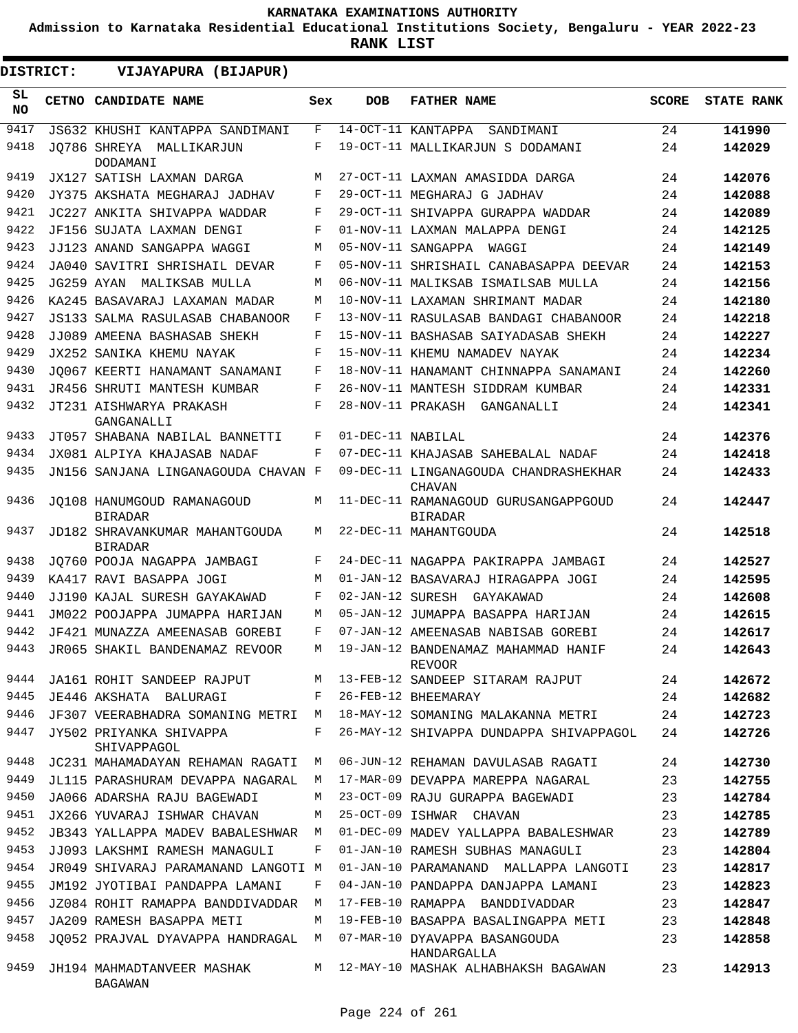**Admission to Karnataka Residential Educational Institutions Society, Bengaluru - YEAR 2022-23**

**RANK LIST**

| DISTRICT: | VIJAYAPURA (BIJAPUR)                             |     |                   |                                                        |       |                   |
|-----------|--------------------------------------------------|-----|-------------------|--------------------------------------------------------|-------|-------------------|
| SL<br>NO. | CETNO CANDIDATE NAME                             | Sex | <b>DOB</b>        | <b>FATHER NAME</b>                                     | SCORE | <b>STATE RANK</b> |
| 9417      | JS632 KHUSHI KANTAPPA SANDIMANI                  | F   |                   | 14-OCT-11 KANTAPPA<br>SANDIMANI                        | 24    | 141990            |
| 9418      | JO786 SHREYA MALLIKARJUN<br>DODAMANI             | F   |                   | 19-OCT-11 MALLIKARJUN S DODAMANI                       | 24    | 142029            |
| 9419      | JX127 SATISH LAXMAN DARGA                        | M   |                   | 27-OCT-11 LAXMAN AMASIDDA DARGA                        | 24    | 142076            |
| 9420      | JY375 AKSHATA MEGHARAJ JADHAV                    | F   |                   | 29-OCT-11 MEGHARAJ G JADHAV                            | 24    | 142088            |
| 9421      | JC227 ANKITA SHIVAPPA WADDAR                     | F   |                   | 29-OCT-11 SHIVAPPA GURAPPA WADDAR                      | 24    | 142089            |
| 9422      | JF156 SUJATA LAXMAN DENGI                        | F   |                   | 01-NOV-11 LAXMAN MALAPPA DENGI                         | 24    | 142125            |
| 9423      | JJ123 ANAND SANGAPPA WAGGI                       | М   |                   | 05-NOV-11 SANGAPPA WAGGI                               | 24    | 142149            |
| 9424      | JA040 SAVITRI SHRISHAIL DEVAR                    | F   |                   | 05-NOV-11 SHRISHAIL CANABASAPPA DEEVAR                 | 24    | 142153            |
| 9425      | JG259 AYAN MALIKSAB MULLA                        | M   |                   | 06-NOV-11 MALIKSAB ISMAILSAB MULLA                     | 24    | 142156            |
| 9426      | KA245 BASAVARAJ LAXAMAN MADAR                    | M   |                   | 10-NOV-11 LAXAMAN SHRIMANT MADAR                       | 24    | 142180            |
| 9427      | JS133 SALMA RASULASAB CHABANOOR                  | F   |                   | 13-NOV-11 RASULASAB BANDAGI CHABANOOR                  | 24    | 142218            |
| 9428      | JJ089 AMEENA BASHASAB SHEKH                      | F   |                   | 15-NOV-11 BASHASAB SAIYADASAB SHEKH                    | 24    | 142227            |
| 9429      | JX252 SANIKA KHEMU NAYAK                         | F   |                   | 15-NOV-11 KHEMU NAMADEV NAYAK                          | 24    | 142234            |
| 9430      | JO067 KEERTI HANAMANT SANAMANI                   | F   |                   | 18-NOV-11 HANAMANT CHINNAPPA SANAMANI                  | 24    | 142260            |
| 9431      | JR456 SHRUTI MANTESH KUMBAR                      | F   |                   | 26-NOV-11 MANTESH SIDDRAM KUMBAR                       | 24    | 142331            |
| 9432      | JT231 AISHWARYA PRAKASH<br>GANGANALLI            | F   |                   | 28-NOV-11 PRAKASH GANGANALLI                           | 24    | 142341            |
| 9433      | JT057 SHABANA NABILAL BANNETTI                   | F   | 01-DEC-11 NABILAL |                                                        | 24    | 142376            |
| 9434      | JX081 ALPIYA KHAJASAB NADAF                      | F   |                   | 07-DEC-11 KHAJASAB SAHEBALAL NADAF                     | 24    | 142418            |
| 9435      | JN156 SANJANA LINGANAGOUDA CHAVAN F              |     |                   | 09-DEC-11 LINGANAGOUDA CHANDRASHEKHAR<br><b>CHAVAN</b> | 24    | 142433            |
| 9436      | JO108 HANUMGOUD RAMANAGOUD<br><b>BIRADAR</b>     | M   |                   | 11-DEC-11 RAMANAGOUD GURUSANGAPPGOUD<br><b>BIRADAR</b> | 24    | 142447            |
| 9437      | JD182 SHRAVANKUMAR MAHANTGOUDA<br><b>BIRADAR</b> | M   |                   | 22-DEC-11 MAHANTGOUDA                                  | 24    | 142518            |
| 9438      | JO760 POOJA NAGAPPA JAMBAGI                      | F   |                   | 24-DEC-11 NAGAPPA PAKIRAPPA JAMBAGI                    | 24    | 142527            |
| 9439      | KA417 RAVI BASAPPA JOGI                          | M   |                   | 01-JAN-12 BASAVARAJ HIRAGAPPA JOGI                     | 24    | 142595            |
| 9440      | JJ190 KAJAL SURESH GAYAKAWAD                     | F   |                   | 02-JAN-12 SURESH GAYAKAWAD                             | 24    | 142608            |
| 9441      | JM022 POOJAPPA JUMAPPA HARIJAN                   | М   |                   | 05-JAN-12 JUMAPPA BASAPPA HARIJAN                      | 24    | 142615            |
| 9442      | JF421 MUNAZZA AMEENASAB GOREBI                   | F   |                   | 07-JAN-12 AMEENASAB NABISAB GOREBI                     | 24    | 142617            |
| 9443      | JR065 SHAKIL BANDENAMAZ REVOOR                   | M   |                   | 19-JAN-12 BANDENAMAZ MAHAMMAD HANIF<br><b>REVOOR</b>   | 24    | 142643            |
| 9444      | JA161 ROHIT SANDEEP RAJPUT                       | M   |                   | 13-FEB-12 SANDEEP SITARAM RAJPUT                       | 24    | 142672            |
| 9445      | JE446 AKSHATA BALURAGI                           | F   |                   | 26-FEB-12 BHEEMARAY                                    | 24    | 142682            |
| 9446      | JF307 VEERABHADRA SOMANING METRI                 | M   |                   | 18-MAY-12 SOMANING MALAKANNA METRI                     | 24    | 142723            |
| 9447      | JY502 PRIYANKA SHIVAPPA<br>SHIVAPPAGOL           | F   |                   | 26-MAY-12 SHIVAPPA DUNDAPPA SHIVAPPAGOL                | 24    | 142726            |
| 9448      | JC231 MAHAMADAYAN REHAMAN RAGATI                 | М   |                   | 06-JUN-12 REHAMAN DAVULASAB RAGATI                     | 24    | 142730            |
| 9449      | JL115 PARASHURAM DEVAPPA NAGARAL                 | М   |                   | 17-MAR-09 DEVAPPA MAREPPA NAGARAL                      | 23    | 142755            |
| 9450      | JA066 ADARSHA RAJU BAGEWADI                      | М   |                   | 23-OCT-09 RAJU GURAPPA BAGEWADI                        | 23    | 142784            |
| 9451      | JX266 YUVARAJ ISHWAR CHAVAN                      | М   |                   | 25-OCT-09 ISHWAR CHAVAN                                | 23    | 142785            |
| 9452      | JB343 YALLAPPA MADEV BABALESHWAR                 | М   |                   | 01-DEC-09 MADEV YALLAPPA BABALESHWAR                   | 23    | 142789            |
| 9453      | JJ093 LAKSHMI RAMESH MANAGULI                    | F   |                   | 01-JAN-10 RAMESH SUBHAS MANAGULI                       | 23    | 142804            |
| 9454      | JR049 SHIVARAJ PARAMANAND LANGOTI M              |     |                   | 01-JAN-10 PARAMANAND MALLAPPA LANGOTI                  | 23    | 142817            |
| 9455      | JM192 JYOTIBAI PANDAPPA LAMANI                   | F   |                   | 04-JAN-10 PANDAPPA DANJAPPA LAMANI                     | 23    | 142823            |
| 9456      | JZ084 ROHIT RAMAPPA BANDDIVADDAR                 | М   |                   | 17-FEB-10 RAMAPPA BANDDIVADDAR                         | 23    | 142847            |
| 9457      | JA209 RAMESH BASAPPA METI                        | М   |                   | 19-FEB-10 BASAPPA BASALINGAPPA METI                    | 23    | 142848            |
| 9458      | JO052 PRAJVAL DYAVAPPA HANDRAGAL                 | M   |                   | 07-MAR-10 DYAVAPPA BASANGOUDA<br>HANDARGALLA           | 23    | 142858            |
| 9459      | JH194 MAHMADTANVEER MASHAK<br>BAGAWAN            | M   |                   | 12-MAY-10 MASHAK ALHABHAKSH BAGAWAN                    | 23    | 142913            |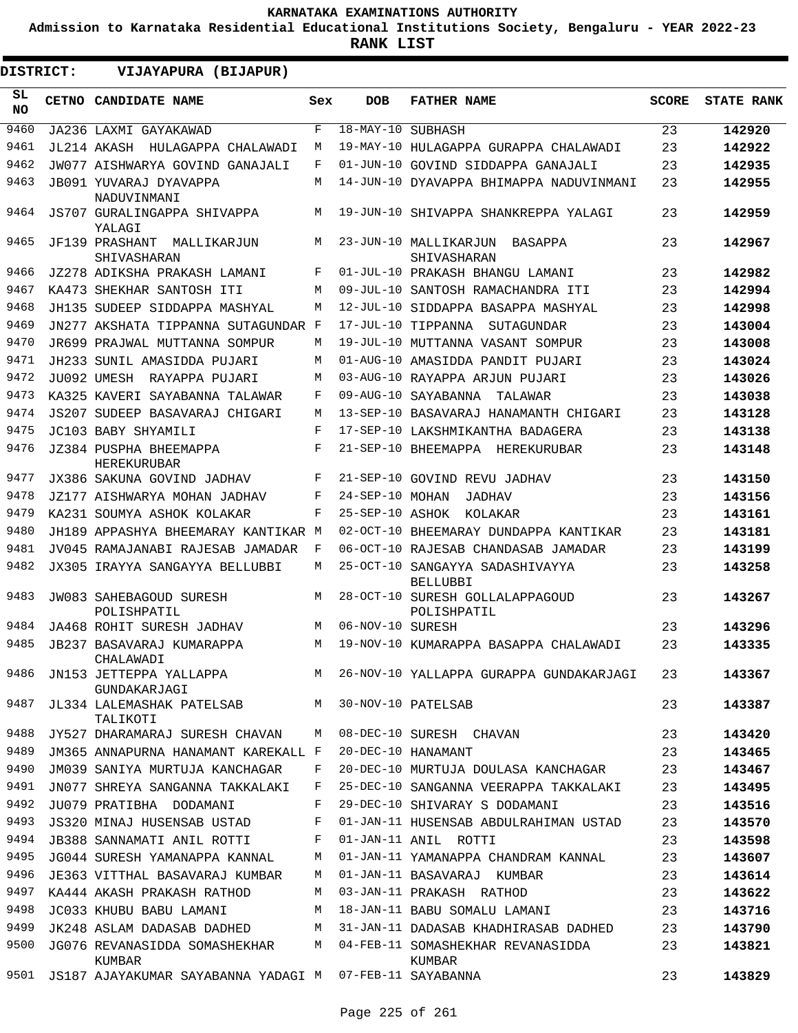**Admission to Karnataka Residential Educational Institutions Society, Bengaluru - YEAR 2022-23**

| <b>DISTRICT:</b> |  | VIJAYAPURA (BIJAPUR)                          |     |                   |                                                    |              |                   |
|------------------|--|-----------------------------------------------|-----|-------------------|----------------------------------------------------|--------------|-------------------|
| SL.<br><b>NO</b> |  | CETNO CANDIDATE NAME                          | Sex | <b>DOB</b>        | <b>FATHER NAME</b>                                 | <b>SCORE</b> | <b>STATE RANK</b> |
| 9460             |  | JA236 LAXMI GAYAKAWAD                         | F   | 18-MAY-10 SUBHASH |                                                    | 23           | 142920            |
| 9461             |  | JL214 AKASH HULAGAPPA CHALAWADI               | M   |                   | 19-MAY-10 HULAGAPPA GURAPPA CHALAWADI              | 23           | 142922            |
| 9462             |  | JW077 AISHWARYA GOVIND GANAJALI               | F   |                   | 01-JUN-10 GOVIND SIDDAPPA GANAJALI                 | 23           | 142935            |
| 9463             |  | JB091 YUVARAJ DYAVAPPA<br>NADUVINMANI         | M   |                   | 14-JUN-10 DYAVAPPA BHIMAPPA NADUVINMANI            | 23           | 142955            |
| 9464             |  | JS707 GURALINGAPPA SHIVAPPA<br>YALAGI         | M   |                   | 19-JUN-10 SHIVAPPA SHANKREPPA YALAGI               | 23           | 142959            |
| 9465             |  | JF139 PRASHANT<br>MALLIKARJUN<br>SHIVASHARAN  | M   |                   | 23-JUN-10 MALLIKARJUN<br>BASAPPA<br>SHIVASHARAN    | 23           | 142967            |
| 9466             |  | JZ278 ADIKSHA PRAKASH LAMANI                  | F   |                   | 01-JUL-10 PRAKASH BHANGU LAMANI                    | 23           | 142982            |
| 9467             |  | KA473 SHEKHAR SANTOSH ITI                     | M   |                   | 09-JUL-10 SANTOSH RAMACHANDRA ITI                  | 23           | 142994            |
| 9468             |  | JH135 SUDEEP SIDDAPPA MASHYAL                 | M   |                   | 12-JUL-10 SIDDAPPA BASAPPA MASHYAL                 | 23           | 142998            |
| 9469             |  | JN277 AKSHATA TIPPANNA SUTAGUNDAR F           |     |                   | 17-JUL-10 TIPPANNA<br>SUTAGUNDAR                   | 23           | 143004            |
| 9470             |  | JR699 PRAJWAL MUTTANNA SOMPUR                 | M   |                   | 19-JUL-10 MUTTANNA VASANT SOMPUR                   | 23           | 143008            |
| 9471             |  | JH233 SUNIL AMASIDDA PUJARI                   | M   |                   | 01-AUG-10 AMASIDDA PANDIT PUJARI                   | 23           | 143024            |
| 9472             |  | JU092 UMESH RAYAPPA PUJARI                    | M   |                   | 03-AUG-10 RAYAPPA ARJUN PUJARI                     | 23           | 143026            |
| 9473             |  | KA325 KAVERI SAYABANNA TALAWAR                | F   |                   | 09-AUG-10 SAYABANNA<br>TALAWAR                     | 23           | 143038            |
| 9474             |  | JS207 SUDEEP BASAVARAJ CHIGARI                | M   |                   | 13-SEP-10 BASAVARAJ HANAMANTH CHIGARI              | 23           | 143128            |
| 9475             |  | JC103 BABY SHYAMILI                           | F   |                   | 17-SEP-10 LAKSHMIKANTHA BADAGERA                   | 23           | 143138            |
| 9476             |  | JZ384 PUSPHA BHEEMAPPA<br>HEREKURUBAR         | F   |                   | 21-SEP-10 BHEEMAPPA HEREKURUBAR                    | 23           | 143148            |
| 9477             |  | JX386 SAKUNA GOVIND JADHAV                    | F   |                   | 21-SEP-10 GOVIND REVU JADHAV                       | 23           | 143150            |
| 9478             |  | JZ177 AISHWARYA MOHAN JADHAV                  | F   | 24-SEP-10 MOHAN   | JADHAV                                             | 23           | 143156            |
| 9479             |  | KA231 SOUMYA ASHOK KOLAKAR                    | F   | 25-SEP-10 ASHOK   | KOLAKAR                                            | 23           | 143161            |
| 9480             |  | JH189 APPASHYA BHEEMARAY KANTIKAR M           |     |                   | 02-OCT-10 BHEEMARAY DUNDAPPA KANTIKAR              | 23           | 143181            |
| 9481             |  | JV045 RAMAJANABI RAJESAB JAMADAR              | F   |                   | 06-OCT-10 RAJESAB CHANDASAB JAMADAR                | 23           | 143199            |
| 9482             |  | JX305 IRAYYA SANGAYYA BELLUBBI                | M   |                   | 25-OCT-10 SANGAYYA SADASHIVAYYA<br><b>BELLUBBI</b> | 23           | 143258            |
| 9483             |  | JW083 SAHEBAGOUD SURESH<br>POLISHPATIL        | M   |                   | 28-OCT-10 SURESH GOLLALAPPAGOUD<br>POLISHPATIL     | 23           | 143267            |
| 9484             |  | JA468 ROHIT SURESH JADHAV                     | M   | 06-NOV-10 SURESH  |                                                    | 23           | 143296            |
| 9485             |  | <b>JB237 BASAVARAJ KUMARAPPA</b><br>CHALAWADI | M   |                   | 19-NOV-10 KUMARAPPA BASAPPA CHALAWADI              | 23           | 143335            |
| 9486             |  | JN153 JETTEPPA YALLAPPA M<br>GUNDAKARJAGI     |     |                   | 26-NOV-10 YALLAPPA GURAPPA GUNDAKARJAGI            | 23           | 143367            |
| 9487             |  | JL334 LALEMASHAK PATELSAB M<br>TALIKOTI       |     |                   | 30-NOV-10 PATELSAB                                 | 23           | 143387            |
| 9488             |  | JY527 DHARAMARAJ SURESH CHAVAN                | M   |                   | 08-DEC-10 SURESH CHAVAN                            | 23           | 143420            |
| 9489             |  | JM365 ANNAPURNA HANAMANT KAREKALL F           |     |                   | 20-DEC-10 HANAMANT                                 | 23           | 143465            |
| 9490             |  | JM039 SANIYA MURTUJA KANCHAGAR                | F   |                   | 20-DEC-10 MURTUJA DOULASA KANCHAGAR                | 23           | 143467            |
| 9491             |  | JN077 SHREYA SANGANNA TAKKALAKI               | F   |                   | 25-DEC-10 SANGANNA VEERAPPA TAKKALAKI              | 23           | 143495            |
| 9492             |  | JU079 PRATIBHA DODAMANI                       | F   |                   | 29-DEC-10 SHIVARAY S DODAMANI                      | 23           | 143516            |
| 9493             |  | JS320 MINAJ HUSENSAB USTAD                    | F   |                   | 01-JAN-11 HUSENSAB ABDULRAHIMAN USTAD              | 23           | 143570            |
| 9494             |  | JB388 SANNAMATI ANIL ROTTI                    | F   |                   | 01-JAN-11 ANIL ROTTI                               | 23           | 143598            |
| 9495             |  | JG044 SURESH YAMANAPPA KANNAL                 | M   |                   | 01-JAN-11 YAMANAPPA CHANDRAM KANNAL                | 23           | 143607            |
| 9496             |  | JE363 VITTHAL BASAVARAJ KUMBAR                | M   |                   | 01-JAN-11 BASAVARAJ KUMBAR                         | 23           | 143614            |
| 9497             |  | KA444 AKASH PRAKASH RATHOD                    | М   |                   | 03-JAN-11 PRAKASH RATHOD                           | 23           | 143622            |
| 9498             |  | JC033 KHUBU BABU LAMANI                       | M   |                   | 18-JAN-11 BABU SOMALU LAMANI                       | 23           | 143716            |
| 9499             |  | JK248 ASLAM DADASAB DADHED                    | M   |                   | 31-JAN-11 DADASAB KHADHIRASAB DADHED               | 23           | 143790            |
| 9500             |  | JG076 REVANASIDDA SOMASHEKHAR<br>KUMBAR       | M   |                   | 04-FEB-11 SOMASHEKHAR REVANASIDDA<br>KUMBAR        | 23           | 143821            |
| 9501             |  | JS187 AJAYAKUMAR SAYABANNA YADAGI M           |     |                   | 07-FEB-11 SAYABANNA                                | 23           | 143829            |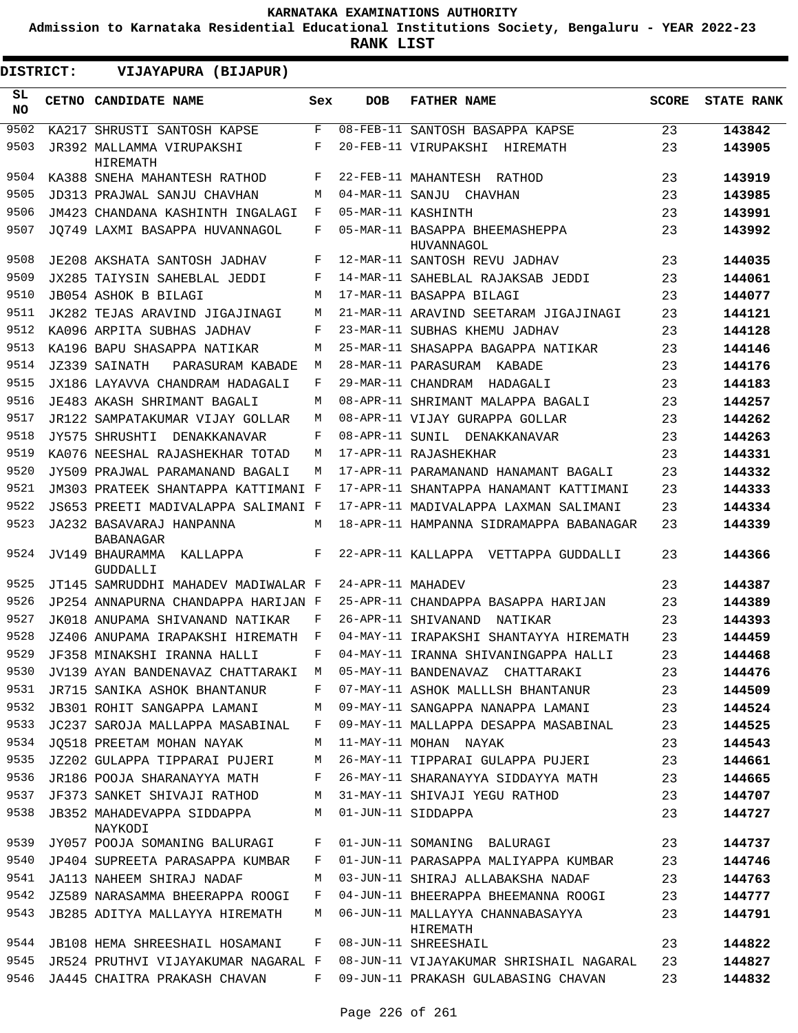**Admission to Karnataka Residential Educational Institutions Society, Bengaluru - YEAR 2022-23**

**RANK LIST**

| <b>DISTRICT:</b> |  | VIJAYAPURA (BIJAPUR)                           |     |                   |                                              |              |                   |
|------------------|--|------------------------------------------------|-----|-------------------|----------------------------------------------|--------------|-------------------|
| SL<br>NO.        |  | CETNO CANDIDATE NAME                           | Sex | <b>DOB</b>        | <b>FATHER NAME</b>                           | <b>SCORE</b> | <b>STATE RANK</b> |
| 9502             |  | KA217 SHRUSTI SANTOSH KAPSE                    | F   |                   | 08-FEB-11 SANTOSH BASAPPA KAPSE              | 23           | 143842            |
| 9503             |  | JR392 MALLAMMA VIRUPAKSHI<br>HIREMATH          | F   |                   | 20-FEB-11 VIRUPAKSHI HIREMATH                | 23           | 143905            |
| 9504             |  | KA388 SNEHA MAHANTESH RATHOD                   | F   |                   | 22-FEB-11 MAHANTESH RATHOD                   | 23           | 143919            |
| 9505             |  | JD313 PRAJWAL SANJU CHAVHAN                    | M   |                   | 04-MAR-11 SANJU CHAVHAN                      | 23           | 143985            |
| 9506             |  | JM423 CHANDANA KASHINTH INGALAGI               | F   |                   | 05-MAR-11 KASHINTH                           | 23           | 143991            |
| 9507             |  | JO749 LAXMI BASAPPA HUVANNAGOL                 | F   |                   | 05-MAR-11 BASAPPA BHEEMASHEPPA<br>HUVANNAGOL | 23           | 143992            |
| 9508             |  | JE208 AKSHATA SANTOSH JADHAV                   | F   |                   | 12-MAR-11 SANTOSH REVU JADHAV                | 23           | 144035            |
| 9509             |  | JX285 TAIYSIN SAHEBLAL JEDDI                   | F   |                   | 14-MAR-11 SAHEBLAL RAJAKSAB JEDDI            | 23           | 144061            |
| 9510             |  | JB054 ASHOK B BILAGI                           | M   |                   | 17-MAR-11 BASAPPA BILAGI                     | 23           | 144077            |
| 9511             |  | JK282 TEJAS ARAVIND JIGAJINAGI                 | M   |                   | 21-MAR-11 ARAVIND SEETARAM JIGAJINAGI        | 23           | 144121            |
| 9512             |  | KA096 ARPITA SUBHAS JADHAV                     | F   |                   | 23-MAR-11 SUBHAS KHEMU JADHAV                | 23           | 144128            |
| 9513             |  | KA196 BAPU SHASAPPA NATIKAR                    | M   |                   | 25-MAR-11 SHASAPPA BAGAPPA NATIKAR           | 23           | 144146            |
| 9514             |  | JZ339 SAINATH<br>PARASURAM KABADE              | M   |                   | 28-MAR-11 PARASURAM KABADE                   | 23           | 144176            |
| 9515             |  | JX186 LAYAVVA CHANDRAM HADAGALI                | F   |                   | 29-MAR-11 CHANDRAM HADAGALI                  | 23           | 144183            |
| 9516             |  | JE483 AKASH SHRIMANT BAGALI                    | M   |                   | 08-APR-11 SHRIMANT MALAPPA BAGALI            | 23           | 144257            |
| 9517             |  | JR122 SAMPATAKUMAR VIJAY GOLLAR                | M   |                   | 08-APR-11 VIJAY GURAPPA GOLLAR               | 23           | 144262            |
| 9518             |  | JY575 SHRUSHTI DENAKKANAVAR                    | F   |                   | 08-APR-11 SUNIL DENAKKANAVAR                 | 23           | 144263            |
| 9519             |  | KA076 NEESHAL RAJASHEKHAR TOTAD                | M   |                   | 17-APR-11 RAJASHEKHAR                        | 23           | 144331            |
| 9520             |  | JY509 PRAJWAL PARAMANAND BAGALI                | M   |                   | 17-APR-11 PARAMANAND HANAMANT BAGALI         | 23           | 144332            |
| 9521             |  | JM303 PRATEEK SHANTAPPA KATTIMANI F            |     |                   | 17-APR-11 SHANTAPPA HANAMANT KATTIMANI       | 23           | 144333            |
| 9522             |  | JS653 PREETI MADIVALAPPA SALIMANI F            |     |                   | 17-APR-11 MADIVALAPPA LAXMAN SALIMANI        | 23           | 144334            |
| 9523             |  | JA232 BASAVARAJ HANPANNA<br><b>BABANAGAR</b>   | M   |                   | 18-APR-11 HAMPANNA SIDRAMAPPA BABANAGAR      | 23           | 144339            |
| 9524             |  | JV149 BHAURAMMA<br>KALLAPPA<br><b>GUDDALLI</b> | F   |                   | 22-APR-11 KALLAPPA<br>VETTAPPA GUDDALLI      | 23           | 144366            |
| 9525             |  | JT145 SAMRUDDHI MAHADEV MADIWALAR F            |     | 24-APR-11 MAHADEV |                                              | 23           | 144387            |
| 9526             |  | JP254 ANNAPURNA CHANDAPPA HARIJAN F            |     |                   | 25-APR-11 CHANDAPPA BASAPPA HARIJAN          | 23           | 144389            |
| 9527             |  | JK018 ANUPAMA SHIVANAND NATIKAR                | F   |                   | 26-APR-11 SHIVANAND<br>NATIKAR               | 23           | 144393            |
| 9528             |  | JZ406 ANUPAMA IRAPAKSHI HIREMATH               | F   |                   | 04-MAY-11 IRAPAKSHI SHANTAYYA HIREMATH       | 23           | 144459            |
| 9529             |  | JF358 MINAKSHI IRANNA HALLI                    | F   |                   | 04-MAY-11 IRANNA SHIVANINGAPPA HALLI         | 23           | 144468            |
| 9530             |  | JV139 AYAN BANDENAVAZ CHATTARAKI M             |     |                   | 05-MAY-11 BANDENAVAZ CHATTARAKI              | 23           | 144476            |
| 9531             |  | JR715 SANIKA ASHOK BHANTANUR                   | F   |                   | 07-MAY-11 ASHOK MALLLSH BHANTANUR            | 23           | 144509            |
| 9532             |  | JB301 ROHIT SANGAPPA LAMANI                    | M   |                   | 09-MAY-11 SANGAPPA NANAPPA LAMANI            | 23           | 144524            |
| 9533             |  | JC237 SAROJA MALLAPPA MASABINAL                | F   |                   | 09-MAY-11 MALLAPPA DESAPPA MASABINAL         | 23           | 144525            |
| 9534             |  | JO518 PREETAM MOHAN NAYAK                      | М   |                   | 11-MAY-11 MOHAN NAYAK                        | 23           | 144543            |
| 9535             |  | JZ202 GULAPPA TIPPARAI PUJERI                  | M   |                   | 26-MAY-11 TIPPARAI GULAPPA PUJERI            | 23           | 144661            |
| 9536             |  | JR186 POOJA SHARANAYYA MATH                    | F   |                   | 26-MAY-11 SHARANAYYA SIDDAYYA MATH           | 23           | 144665            |
| 9537             |  | JF373 SANKET SHIVAJI RATHOD                    | М   |                   | 31-MAY-11 SHIVAJI YEGU RATHOD                | 23           | 144707            |
| 9538             |  | JB352 MAHADEVAPPA SIDDAPPA<br>NAYKODI          | М   |                   | 01-JUN-11 SIDDAPPA                           | 23           | 144727            |
| 9539             |  | JY057 POOJA SOMANING BALURAGI                  | F   |                   | 01-JUN-11 SOMANING BALURAGI                  | 23           | 144737            |
| 9540             |  | JP404 SUPREETA PARASAPPA KUMBAR                | F   |                   | 01-JUN-11 PARASAPPA MALIYAPPA KUMBAR         | 23           | 144746            |
| 9541             |  | JA113 NAHEEM SHIRAJ NADAF                      | М   |                   | 03-JUN-11 SHIRAJ ALLABAKSHA NADAF            | 23           | 144763            |
| 9542             |  | JZ589 NARASAMMA BHEERAPPA ROOGI                | F   |                   | 04-JUN-11 BHEERAPPA BHEEMANNA ROOGI          | 23           | 144777            |
| 9543             |  | JB285 ADITYA MALLAYYA HIREMATH                 | M   |                   | 06-JUN-11 MALLAYYA CHANNABASAYYA<br>HIREMATH | 23           | 144791            |
| 9544             |  | JB108 HEMA SHREESHAIL HOSAMANI                 | F   |                   | 08-JUN-11 SHREESHAIL                         | 23           | 144822            |
| 9545             |  | JR524 PRUTHVI VIJAYAKUMAR NAGARAL F            |     |                   | 08-JUN-11 VIJAYAKUMAR SHRISHAIL NAGARAL      | 23           | 144827            |
| 9546             |  | JA445 CHAITRA PRAKASH CHAVAN                   | F   |                   | 09-JUN-11 PRAKASH GULABASING CHAVAN          | 23           | 144832            |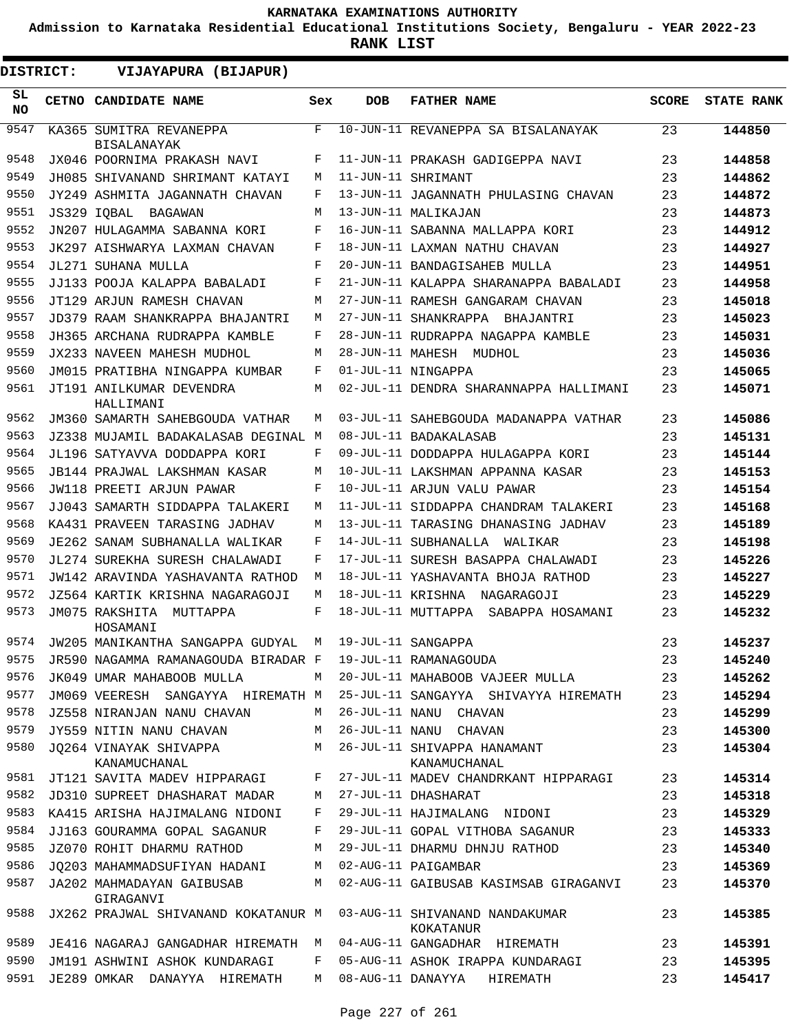**Admission to Karnataka Residential Educational Institutions Society, Bengaluru - YEAR 2022-23**

**RANK LIST**

 $\blacksquare$ 

| <b>DISTRICT:</b> | VIJAYAPURA (BIJAPUR)                                               |     |            |                                             |       |                   |
|------------------|--------------------------------------------------------------------|-----|------------|---------------------------------------------|-------|-------------------|
| SL<br>NO.        | CETNO CANDIDATE NAME                                               | Sex | <b>DOB</b> | <b>FATHER NAME</b>                          | SCORE | <b>STATE RANK</b> |
| 9547             | KA365 SUMITRA REVANEPPA<br><b>BISALANAYAK</b>                      | F   |            | 10-JUN-11 REVANEPPA SA BISALANAYAK          | 23    | 144850            |
| 9548             | JX046 POORNIMA PRAKASH NAVI                                        | F   |            | 11-JUN-11 PRAKASH GADIGEPPA NAVI            | 23    | 144858            |
| 9549             | JH085 SHIVANAND SHRIMANT KATAYI                                    | M   |            | 11-JUN-11 SHRIMANT                          | 23    | 144862            |
| 9550             | JY249 ASHMITA JAGANNATH CHAVAN                                     | F   |            | 13-JUN-11 JAGANNATH PHULASING CHAVAN        | 23    | 144872            |
| 9551             | JS329 IOBAL<br>BAGAWAN                                             | М   |            | 13-JUN-11 MALIKAJAN                         | 23    | 144873            |
| 9552             | JN207 HULAGAMMA SABANNA KORI                                       | F   |            | 16-JUN-11 SABANNA MALLAPPA KORI             | 23    | 144912            |
| 9553             | JK297 AISHWARYA LAXMAN CHAVAN                                      | F   |            | 18-JUN-11 LAXMAN NATHU CHAVAN               | 23    | 144927            |
| 9554             | JL271 SUHANA MULLA                                                 | F   |            | 20-JUN-11 BANDAGISAHEB MULLA                | 23    | 144951            |
| 9555             | JJ133 POOJA KALAPPA BABALADI                                       | F   |            | 21-JUN-11 KALAPPA SHARANAPPA BABALADI       | 23    | 144958            |
| 9556             | JT129 ARJUN RAMESH CHAVAN                                          | М   |            | 27-JUN-11 RAMESH GANGARAM CHAVAN            | 23    | 145018            |
| 9557             | JD379 RAAM SHANKRAPPA BHAJANTRI                                    | M   |            | 27-JUN-11 SHANKRAPPA BHAJANTRI              | 23    | 145023            |
| 9558             | JH365 ARCHANA RUDRAPPA KAMBLE                                      | F   |            | 28-JUN-11 RUDRAPPA NAGAPPA KAMBLE           | 23    | 145031            |
| 9559             | JX233 NAVEEN MAHESH MUDHOL                                         | M   |            | 28-JUN-11 MAHESH MUDHOL                     | 23    | 145036            |
| 9560             | JM015 PRATIBHA NINGAPPA KUMBAR                                     | F   |            | 01-JUL-11 NINGAPPA                          | 23    | 145065            |
| 9561             | JT191 ANILKUMAR DEVENDRA<br>HALLIMANI                              | М   |            | 02-JUL-11 DENDRA SHARANNAPPA HALLIMANI      | 23    | 145071            |
| 9562             | JM360 SAMARTH SAHEBGOUDA VATHAR                                    | М   |            | 03-JUL-11 SAHEBGOUDA MADANAPPA VATHAR       | 23    | 145086            |
| 9563             | JZ338 MUJAMIL BADAKALASAB DEGINAL M                                |     |            | 08-JUL-11 BADAKALASAB                       | 23    | 145131            |
| 9564             | JL196 SATYAVVA DODDAPPA KORI                                       | F   |            | 09-JUL-11 DODDAPPA HULAGAPPA KORI           | 23    | 145144            |
| 9565             | JB144 PRAJWAL LAKSHMAN KASAR                                       | М   |            | 10-JUL-11 LAKSHMAN APPANNA KASAR            | 23    | 145153            |
| 9566             | JW118 PREETI ARJUN PAWAR                                           | F   |            | 10-JUL-11 ARJUN VALU PAWAR                  | 23    | 145154            |
| 9567             | JJ043 SAMARTH SIDDAPPA TALAKERI                                    | М   |            | 11-JUL-11 SIDDAPPA CHANDRAM TALAKERI        | 23    | 145168            |
| 9568             | KA431 PRAVEEN TARASING JADHAV                                      | M   |            | 13-JUL-11 TARASING DHANASING JADHAV         | 23    | 145189            |
| 9569             | JE262 SANAM SUBHANALLA WALIKAR                                     | F   |            | 14-JUL-11 SUBHANALLA<br>WALIKAR             | 23    | 145198            |
| 9570             | JL274 SUREKHA SURESH CHALAWADI                                     | F   |            | 17-JUL-11 SURESH BASAPPA CHALAWADI          | 23    | 145226            |
| 9571             | JW142 ARAVINDA YASHAVANTA RATHOD                                   | М   |            | 18-JUL-11 YASHAVANTA BHOJA RATHOD           | 23    | 145227            |
| 9572             | JZ564 KARTIK KRISHNA NAGARAGOJI                                    | М   |            | 18-JUL-11 KRISHNA NAGARAGOJI                | 23    | 145229            |
| 9573             | JM075 RAKSHITA<br>MUTTAPPA<br>HOSAMANI                             | F   |            | 18-JUL-11 MUTTAPPA SABAPPA HOSAMANI         | 23    | 145232            |
| 9574             | JW205 MANIKANTHA SANGAPPA GUDYAL                                   | M   |            | 19-JUL-11 SANGAPPA                          | 23    | 145237            |
| 9575             | JR590 NAGAMMA RAMANAGOUDA BIRADAR F                                |     |            | 19-JUL-11 RAMANAGOUDA                       | 23    | 145240            |
| 9576             | JK049 UMAR MAHABOOB MULLA                                          | M   |            | 20-JUL-11 MAHABOOB VAJEER MULLA             | 23    | 145262            |
| 9577             | JM069 VEERESH SANGAYYA HIREMATH M                                  |     |            | 25-JUL-11 SANGAYYA SHIVAYYA HIREMATH        | 23    | 145294            |
| 9578             | JZ558 NIRANJAN NANU CHAVAN                                         | M   |            | 26-JUL-11 NANU CHAVAN                       | 23    | 145299            |
| 9579             | JY559 NITIN NANU CHAVAN                                            | M   |            | 26-JUL-11 NANU CHAVAN                       | 23    | 145300            |
| 9580             | JQ264 VINAYAK SHIVAPPA<br>KANAMUCHANAL                             | M   |            | 26-JUL-11 SHIVAPPA HANAMANT<br>KANAMUCHANAL | 23    | 145304            |
| 9581             | JT121 SAVITA MADEV HIPPARAGI                                       | F   |            | 27-JUL-11 MADEV CHANDRKANT HIPPARAGI        | 23    | 145314            |
| 9582             | JD310 SUPREET DHASHARAT MADAR                                      | М   |            | 27-JUL-11 DHASHARAT                         | 23    | 145318            |
| 9583             | KA415 ARISHA HAJIMALANG NIDONI                                     | F   |            | 29-JUL-11 HAJIMALANG NIDONI                 | 23    | 145329            |
| 9584             | JJ163 GOURAMMA GOPAL SAGANUR                                       | F   |            | 29-JUL-11 GOPAL VITHOBA SAGANUR             | 23    | 145333            |
| 9585             | JZ070 ROHIT DHARMU RATHOD                                          | М   |            | 29-JUL-11 DHARMU DHNJU RATHOD               | 23    | 145340            |
| 9586             | JQ203 MAHAMMADSUFIYAN HADANI                                       | M   |            | 02-AUG-11 PAIGAMBAR                         | 23    | 145369            |
| 9587             | JA202 MAHMADAYAN GAIBUSAB<br>GIRAGANVI                             | M   |            | 02-AUG-11 GAIBUSAB KASIMSAB GIRAGANVI       | 23    | 145370            |
| 9588             | JX262 PRAJWAL SHIVANAND KOKATANUR M 03-AUG-11 SHIVANAND NANDAKUMAR |     |            | KOKATANUR                                   | 23    | 145385            |
| 9589             | JE416 NAGARAJ GANGADHAR HIREMATH M                                 |     |            | 04-AUG-11 GANGADHAR HIREMATH                | 23    | 145391            |
| 9590             | JM191 ASHWINI ASHOK KUNDARAGI                                      | F   |            | 05-AUG-11 ASHOK IRAPPA KUNDARAGI            | 23    | 145395            |
| 9591             | JE289 OMKAR DANAYYA HIREMATH                                       |     |            | M 08-AUG-11 DANAYYA HIREMATH                | 23    | 145417            |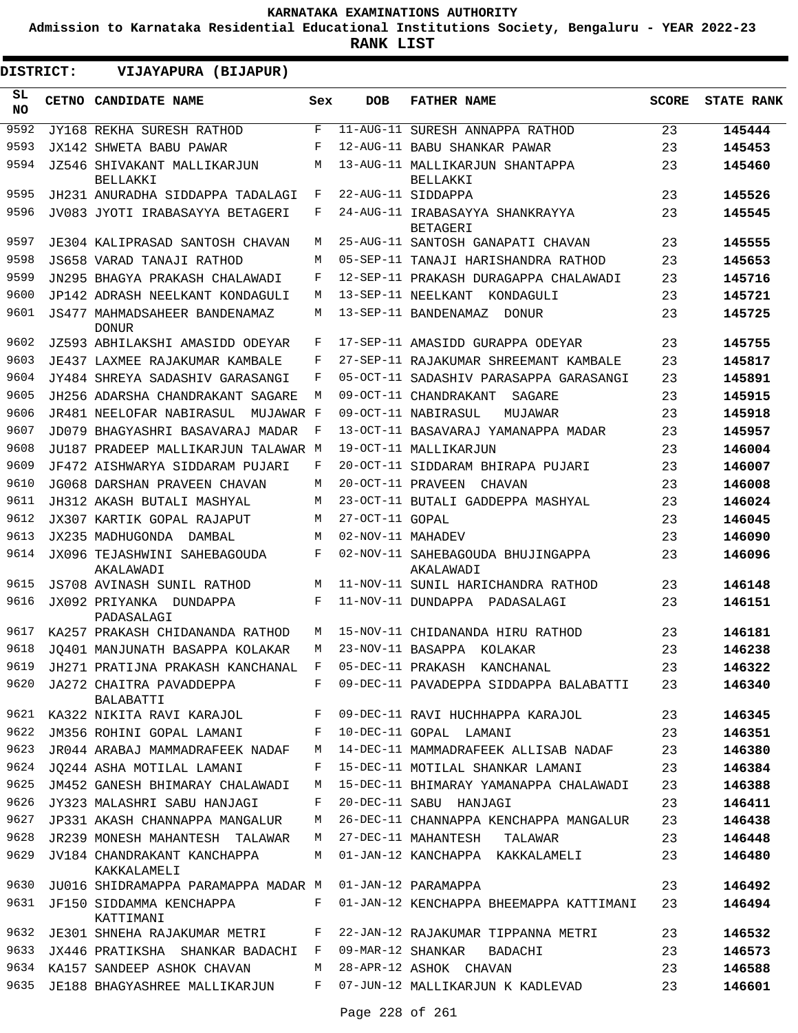**Admission to Karnataka Residential Educational Institutions Society, Bengaluru - YEAR 2022-23**

| DISTRICT:        | VIJAYAPURA (BIJAPUR)                                           |     |                   |                                                                        |              |                   |
|------------------|----------------------------------------------------------------|-----|-------------------|------------------------------------------------------------------------|--------------|-------------------|
| SL.<br><b>NO</b> | CETNO CANDIDATE NAME                                           | Sex | <b>DOB</b>        | <b>FATHER NAME</b>                                                     | <b>SCORE</b> | <b>STATE RANK</b> |
| 9592             | JY168 REKHA SURESH RATHOD                                      | F   |                   | 11-AUG-11 SURESH ANNAPPA RATHOD                                        | 23           | 145444            |
| 9593             | JX142 SHWETA BABU PAWAR                                        | F   |                   | 12-AUG-11 BABU SHANKAR PAWAR                                           | 23           | 145453            |
| 9594             | JZ546 SHIVAKANT MALLIKARJUN<br>BELLAKKI                        | M   |                   | 13-AUG-11 MALLIKARJUN SHANTAPPA<br>BELLAKKI                            | 23           | 145460            |
| 9595             | JH231 ANURADHA SIDDAPPA TADALAGI                               | F   |                   | 22-AUG-11 SIDDAPPA                                                     | 23           | 145526            |
| 9596             | JV083 JYOTI IRABASAYYA BETAGERI                                | F   |                   | 24-AUG-11 IRABASAYYA SHANKRAYYA<br><b>BETAGERI</b>                     | 23           | 145545            |
| 9597             | JE304 KALIPRASAD SANTOSH CHAVAN                                | M   |                   | 25-AUG-11 SANTOSH GANAPATI CHAVAN                                      | 23           | 145555            |
| 9598             | JS658 VARAD TANAJI RATHOD                                      | M   |                   | 05-SEP-11 TANAJI HARISHANDRA RATHOD                                    | 23           | 145653            |
| 9599             | JN295 BHAGYA PRAKASH CHALAWADI                                 | F   |                   | 12-SEP-11 PRAKASH DURAGAPPA CHALAWADI                                  | 23           | 145716            |
| 9600             | JP142 ADRASH NEELKANT KONDAGULI                                | M   |                   | 13-SEP-11 NEELKANT<br>KONDAGULI                                        | 23           | 145721            |
| 9601             | JS477 MAHMADSAHEER BANDENAMAZ<br><b>DONUR</b>                  | M   |                   | 13-SEP-11 BANDENAMAZ<br>DONUR                                          | 23           | 145725            |
| 9602             | JZ593 ABHILAKSHI AMASIDD ODEYAR                                | F   |                   | 17-SEP-11 AMASIDD GURAPPA ODEYAR                                       | 23           | 145755            |
| 9603             | JE437 LAXMEE RAJAKUMAR KAMBALE                                 | F   |                   | 27-SEP-11 RAJAKUMAR SHREEMANT KAMBALE                                  | 23           | 145817            |
| 9604             | JY484 SHREYA SADASHIV GARASANGI                                | F   |                   | 05-OCT-11 SADASHIV PARASAPPA GARASANGI                                 | 23           | 145891            |
| 9605             | JH256 ADARSHA CHANDRAKANT SAGARE                               | M   |                   | 09-OCT-11 CHANDRAKANT<br>SAGARE                                        | 23           | 145915            |
| 9606             | MUJAWAR F<br>JR481 NEELOFAR NABIRASUL                          |     |                   | 09-OCT-11 NABIRASUL<br>MUJAWAR                                         | 23           | 145918            |
| 9607             | JD079 BHAGYASHRI BASAVARAJ MADAR                               | F   |                   | 13-OCT-11 BASAVARAJ YAMANAPPA MADAR                                    | 23           | 145957            |
| 9608             | JU187 PRADEEP MALLIKARJUN TALAWAR M                            |     |                   | 19-OCT-11 MALLIKARJUN                                                  | 23           | 146004            |
| 9609             | JF472 AISHWARYA SIDDARAM PUJARI                                | F   |                   | 20-OCT-11 SIDDARAM BHIRAPA PUJARI                                      | 23           | 146007            |
| 9610             | <b>JG068 DARSHAN PRAVEEN CHAVAN</b>                            | M   | 20-OCT-11 PRAVEEN | CHAVAN                                                                 | 23           | 146008            |
| 9611             | JH312 AKASH BUTALI MASHYAL                                     | M   |                   | 23-OCT-11 BUTALI GADDEPPA MASHYAL                                      | 23           | 146024            |
| 9612             | JX307 KARTIK GOPAL RAJAPUT                                     | M   | 27-OCT-11 GOPAL   |                                                                        | 23           | 146045            |
| 9613             | JX235 MADHUGONDA<br>DAMBAL                                     | M   | 02-NOV-11 MAHADEV |                                                                        | 23           | 146090            |
| 9614             | JX096 TEJASHWINI SAHEBAGOUDA<br>AKALAWADI                      | F   |                   | 02-NOV-11 SAHEBAGOUDA BHUJINGAPPA<br>AKALAWADI                         | 23           | 146096            |
| 9615             | <b>JS708 AVINASH SUNIL RATHOD</b>                              | M   |                   | 11-NOV-11 SUNIL HARICHANDRA RATHOD                                     | 23           | 146148            |
| 9616             | JX092 PRIYANKA DUNDAPPA<br>PADASALAGI                          | F   |                   | 11-NOV-11 DUNDAPPA PADASALAGI                                          | 23           | 146151            |
| 9617             | KA257 PRAKASH CHIDANANDA RATHOD                                | M   |                   | 15-NOV-11 CHIDANANDA HIRU RATHOD                                       | 23           | 146181            |
| 9618             | JQ401 MANJUNATH BASAPPA KOLAKAR                                | M   |                   | 23-NOV-11 BASAPPA KOLAKAR                                              | 23           | 146238            |
| 9619             | JH271 PRATIJNA PRAKASH KANCHANAL F 05-DEC-11 PRAKASH KANCHANAL |     |                   |                                                                        | 23           | 146322            |
| 9620             | JA272 CHAITRA PAVADDEPPA<br>BALABATTI                          |     |                   | F 09-DEC-11 PAVADEPPA SIDDAPPA BALABATTI                               | 23           | 146340            |
|                  |                                                                |     |                   | 9621 KA322 NIKITA RAVI KARAJOL F 09-DEC-11 RAVI HUCHHAPPA KARAJOL      | 23           | 146345            |
| 9622             | JM356 ROHINI GOPAL LAMANI                                      |     |                   | F 10-DEC-11 GOPAL LAMANI                                               | 23           | 146351            |
| 9623             | JR044 ARABAJ MAMMADRAFEEK NADAF                                | M   |                   | 14-DEC-11 MAMMADRAFEEK ALLISAB NADAF                                   | 23           | 146380            |
| 9624             | JO244 ASHA MOTILAL LAMANI                                      | F   |                   | 15-DEC-11 MOTILAL SHANKAR LAMANI                                       | 23           | 146384            |
| 9625             | JM452 GANESH BHIMARAY CHALAWADI                                | M   |                   | 15-DEC-11 BHIMARAY YAMANAPPA CHALAWADI                                 | 23           | 146388            |
| 9626             | JY323 MALASHRI SABU HANJAGI                                    | F   |                   | 20-DEC-11 SABU HANJAGI                                                 | 23           | 146411            |
| 9627             | JP331 AKASH CHANNAPPA MANGALUR                                 | M   |                   | 26-DEC-11 CHANNAPPA KENCHAPPA MANGALUR                                 | 23           | 146438            |
| 9628             | JR239 MONESH MAHANTESH TALAWAR                                 |     |                   | M 27-DEC-11 MAHANTESH TALAWAR                                          | 23           | 146448            |
| 9629             | JV184 CHANDRAKANT KANCHAPPA<br>KAKKALAMELI                     | M   |                   | 01-JAN-12 KANCHAPPA KAKKALAMELI                                        | 23           | 146480            |
| 9630             | JU016 SHIDRAMAPPA PARAMAPPA MADAR M 01-JAN-12 PARAMAPPA        |     |                   |                                                                        | 23           | 146492            |
| 9631             | JF150 SIDDAMMA KENCHAPPA<br>KATTIMANI                          |     |                   | F 01-JAN-12 KENCHAPPA BHEEMAPPA KATTIMANI                              | 23           | 146494            |
|                  |                                                                |     |                   | 9632 JE301 SHNEHA RAJAKUMAR METRI F 22-JAN-12 RAJAKUMAR TIPPANNA METRI | 23           | 146532            |
| 9633             |                                                                |     |                   | JX446 PRATIKSHA SHANKAR BADACHI F 09-MAR-12 SHANKAR BADACHI            | 23           | 146573            |
| 9634             | KA157 SANDEEP ASHOK CHAVAN                                     |     |                   | M 28-APR-12 ASHOK CHAVAN                                               | 23           | 146588            |
|                  | 9635 JE188 BHAGYASHREE MALLIKARJUN                             | F   |                   | 07-JUN-12 MALLIKARJUN K KADLEVAD                                       | 23           | 146601            |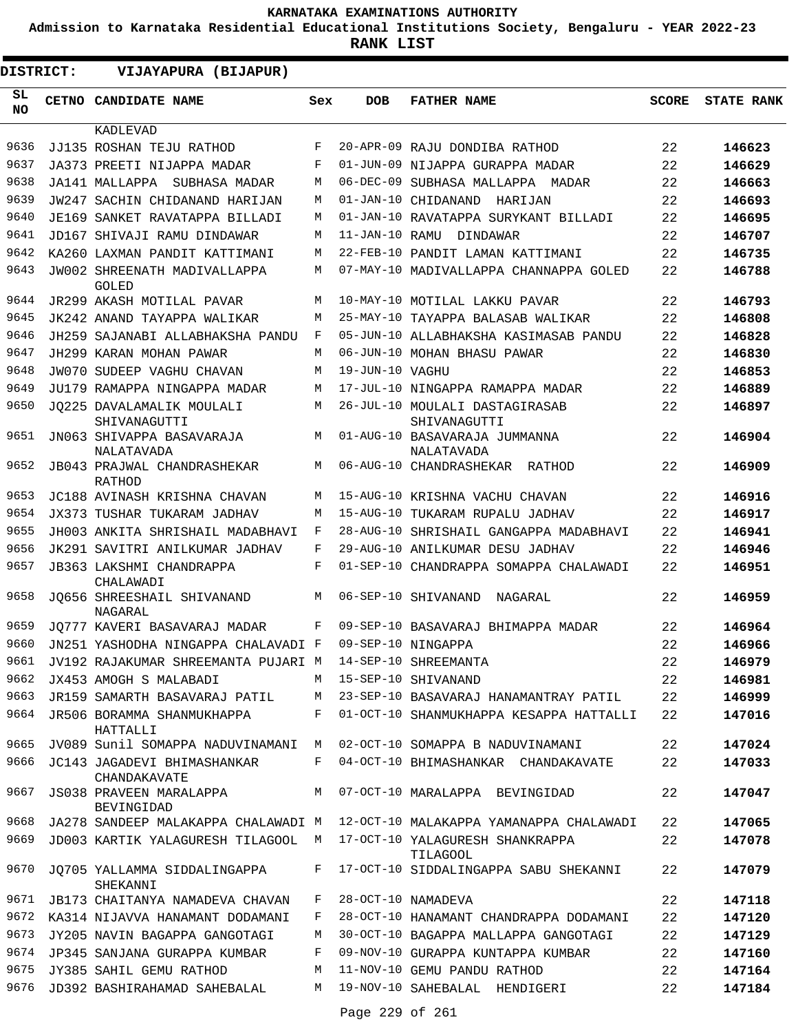**Admission to Karnataka Residential Educational Institutions Society, Bengaluru - YEAR 2022-23**

**RANK LIST**

| <b>DISTRICT:</b> |  | VIJAYAPURA (BIJAPUR)                                                   |        |                 |                                                                                  |              |                   |
|------------------|--|------------------------------------------------------------------------|--------|-----------------|----------------------------------------------------------------------------------|--------------|-------------------|
| SL<br>NO.        |  | CETNO CANDIDATE NAME                                                   | Sex    | <b>DOB</b>      | <b>FATHER NAME</b>                                                               | <b>SCORE</b> | <b>STATE RANK</b> |
|                  |  | KADLEVAD                                                               |        |                 |                                                                                  |              |                   |
| 9636             |  | JJ135 ROSHAN TEJU RATHOD                                               | F      |                 | 20-APR-09 RAJU DONDIBA RATHOD                                                    | 22           | 146623            |
| 9637             |  | JA373 PREETI NIJAPPA MADAR                                             | F      |                 | 01-JUN-09 NIJAPPA GURAPPA MADAR                                                  | 22           | 146629            |
| 9638             |  | JA141 MALLAPPA SUBHASA MADAR                                           | М      |                 | 06-DEC-09 SUBHASA MALLAPPA MADAR                                                 | 22           | 146663            |
| 9639             |  | <b>JW247 SACHIN CHIDANAND HARIJAN</b>                                  | М      |                 | 01-JAN-10 CHIDANAND<br>HARIJAN                                                   | 22           | 146693            |
| 9640             |  | JE169 SANKET RAVATAPPA BILLADI                                         | М      |                 | 01-JAN-10 RAVATAPPA SURYKANT BILLADI                                             | 22           | 146695            |
| 9641             |  | JD167 SHIVAJI RAMU DINDAWAR                                            | М      | 11-JAN-10 RAMU  | DINDAWAR                                                                         | 22           | 146707            |
| 9642             |  | KA260 LAXMAN PANDIT KATTIMANI                                          | М      |                 | 22-FEB-10 PANDIT LAMAN KATTIMANI                                                 | 22           | 146735            |
| 9643             |  | JW002 SHREENATH MADIVALLAPPA<br>GOLED                                  | М      |                 | 07-MAY-10 MADIVALLAPPA CHANNAPPA GOLED                                           | 22           | 146788            |
| 9644             |  | JR299 AKASH MOTILAL PAVAR                                              | M      |                 | 10-MAY-10 MOTILAL LAKKU PAVAR                                                    | 22           | 146793            |
| 9645             |  | JK242 ANAND TAYAPPA WALIKAR                                            | M      |                 | 25-MAY-10 TAYAPPA BALASAB WALIKAR                                                | 22           | 146808            |
| 9646             |  | JH259 SAJANABI ALLABHAKSHA PANDU                                       | F      |                 | 05-JUN-10 ALLABHAKSHA KASIMASAB PANDU                                            | 22           | 146828            |
| 9647             |  | JH299 KARAN MOHAN PAWAR                                                | М      |                 | 06-JUN-10 MOHAN BHASU PAWAR                                                      | 22           | 146830            |
| 9648             |  | JW070 SUDEEP VAGHU CHAVAN                                              | М      | 19-JUN-10 VAGHU |                                                                                  | 22           | 146853            |
| 9649             |  | JU179 RAMAPPA NINGAPPA MADAR                                           | M      |                 | 17-JUL-10 NINGAPPA RAMAPPA MADAR                                                 | 22           | 146889            |
| 9650             |  | JQ225 DAVALAMALIK MOULALI<br>SHIVANAGUTTI                              | M      |                 | 26-JUL-10 MOULALI DASTAGIRASAB<br>SHIVANAGUTTI                                   | 22           | 146897            |
| 9651             |  | JN063 SHIVAPPA BASAVARAJA<br><b>NALATAVADA</b>                         | М      |                 | 01-AUG-10 BASAVARAJA JUMMANNA<br>NALATAVADA                                      | 22           | 146904            |
| 9652             |  | <b>JB043 PRAJWAL CHANDRASHEKAR</b><br><b>RATHOD</b>                    | M      |                 | 06-AUG-10 CHANDRASHEKAR RATHOD                                                   | 22           | 146909            |
| 9653             |  | JC188 AVINASH KRISHNA CHAVAN                                           | М      |                 | 15-AUG-10 KRISHNA VACHU CHAVAN                                                   | 22           | 146916            |
| 9654             |  | JX373 TUSHAR TUKARAM JADHAV                                            | М      |                 | 15-AUG-10 TUKARAM RUPALU JADHAV                                                  | 22           | 146917            |
| 9655             |  | JH003 ANKITA SHRISHAIL MADABHAVI                                       | F      |                 | 28-AUG-10 SHRISHAIL GANGAPPA MADABHAVI                                           | 22           | 146941            |
| 9656             |  | JK291 SAVITRI ANILKUMAR JADHAV                                         | F      |                 | 29-AUG-10 ANILKUMAR DESU JADHAV                                                  | 22           | 146946            |
| 9657             |  | JB363 LAKSHMI CHANDRAPPA<br>CHALAWADI                                  | F      |                 | 01-SEP-10 CHANDRAPPA SOMAPPA CHALAWADI                                           | 22           | 146951            |
| 9658             |  | JO656 SHREESHAIL SHIVANAND<br>NAGARAL                                  | M      |                 | 06-SEP-10 SHIVANAND<br>NAGARAL                                                   | 22           | 146959            |
| 9659             |  | JO777 KAVERI BASAVARAJ MADAR                                           | F      |                 | 09-SEP-10 BASAVARAJ BHIMAPPA MADAR                                               | 22           | 146964            |
| 9660             |  | JN251 YASHODHA NINGAPPA CHALAVADI F                                    |        |                 | 09-SEP-10 NINGAPPA                                                               | 22           | 146966            |
| 9661             |  | JV192 RAJAKUMAR SHREEMANTA PUJARI M 14-SEP-10 SHREEMANTA               |        |                 |                                                                                  | 22           | 146979            |
| 9662             |  | JX453 AMOGH S MALABADI                                                 |        |                 | M 15-SEP-10 SHIVANAND                                                            | 22           | 146981            |
| 9663<br>9664     |  | JR159 SAMARTH BASAVARAJ PATIL<br>JR506 BORAMMA SHANMUKHAPPA            | M<br>F |                 | 23-SEP-10 BASAVARAJ HANAMANTRAY PATIL<br>01-OCT-10 SHANMUKHAPPA KESAPPA HATTALLI | 22<br>22     | 146999<br>147016  |
| 9665             |  | HATTALLI                                                               |        |                 |                                                                                  |              |                   |
|                  |  | JV089 Sunil SOMAPPA NADUVINAMANI                                       | M      |                 | 02-OCT-10 SOMAPPA B NADUVINAMANI                                                 | 22           | 147024            |
| 9666<br>9667     |  | JC143 JAGADEVI BHIMASHANKAR<br>CHANDAKAVATE<br>JS038 PRAVEEN MARALAPPA | F<br>M |                 | 04-OCT-10 BHIMASHANKAR CHANDAKAVATE<br>07-OCT-10 MARALAPPA BEVINGIDAD            | 22<br>22     | 147033<br>147047  |
| 9668             |  | BEVINGIDAD<br>JA278 SANDEEP MALAKAPPA CHALAWADI M                      |        |                 | 12-OCT-10 MALAKAPPA YAMANAPPA CHALAWADI                                          | 22           | 147065            |
| 9669             |  | JD003 KARTIK YALAGURESH TILAGOOL                                       | М      |                 | 17-OCT-10 YALAGURESH SHANKRAPPA                                                  | 22           | 147078            |
|                  |  |                                                                        |        |                 | TILAGOOL                                                                         |              |                   |
| 9670             |  | JQ705 YALLAMMA SIDDALINGAPPA<br>SHEKANNI                               | F      |                 | 17-OCT-10 SIDDALINGAPPA SABU SHEKANNI                                            | 22           | 147079            |
| 9671             |  | JB173 CHAITANYA NAMADEVA CHAVAN                                        | F      |                 | 28-OCT-10 NAMADEVA                                                               | 22           | 147118            |
| 9672             |  | KA314 NIJAVVA HANAMANT DODAMANI                                        | F      |                 | 28-OCT-10 HANAMANT CHANDRAPPA DODAMANI                                           | 22           | 147120            |
| 9673             |  | JY205 NAVIN BAGAPPA GANGOTAGI                                          | M      |                 | 30-OCT-10 BAGAPPA MALLAPPA GANGOTAGI                                             | 22           | 147129            |
| 9674<br>9675     |  | JP345 SANJANA GURAPPA KUMBAR                                           | F      |                 | 09-NOV-10 GURAPPA KUNTAPPA KUMBAR                                                | 22           | 147160            |
| 9676             |  | JY385 SAHIL GEMU RATHOD                                                | М      |                 | 11-NOV-10 GEMU PANDU RATHOD                                                      | 22           | 147164            |
|                  |  | JD392 BASHIRAHAMAD SAHEBALAL                                           | М      | Page 229 of 261 | 19-NOV-10 SAHEBALAL HENDIGERI                                                    | 22           | 147184            |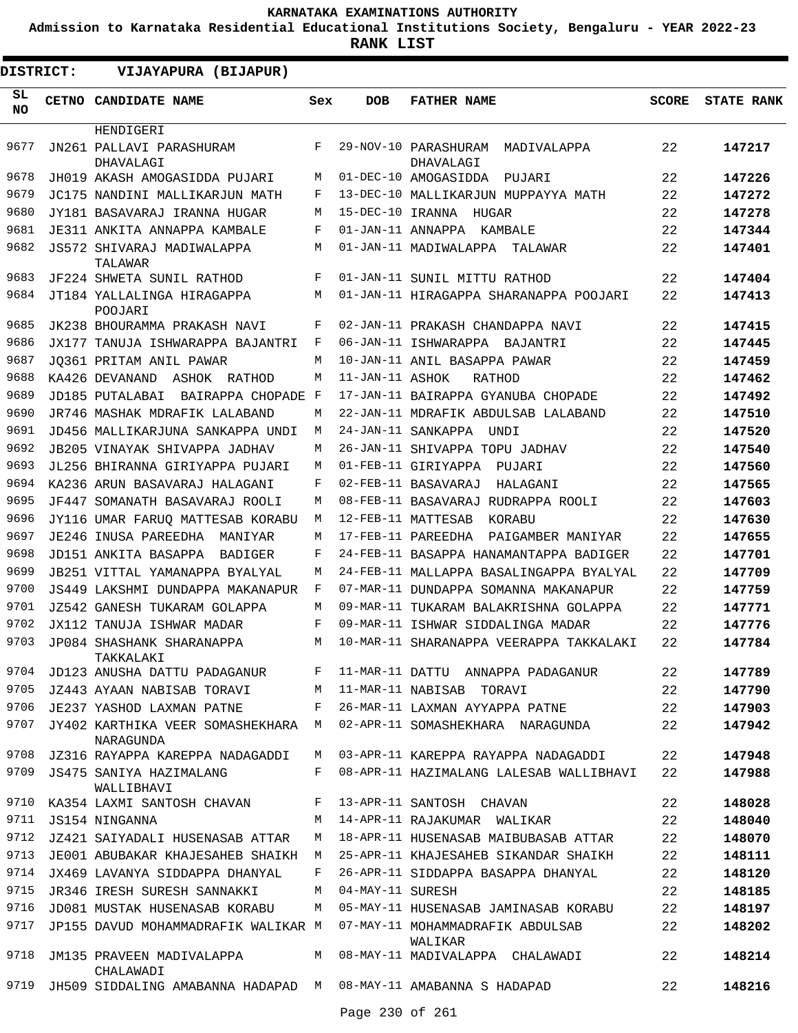**Admission to Karnataka Residential Educational Institutions Society, Bengaluru - YEAR 2022-23**

**RANK LIST**

| DISTRICT: | VIJAYAPURA (BIJAPUR)                                            |     |                   |                                                  |              |                   |
|-----------|-----------------------------------------------------------------|-----|-------------------|--------------------------------------------------|--------------|-------------------|
| SL<br>NO. | <b>CETNO CANDIDATE NAME</b>                                     | Sex | <b>DOB</b>        | <b>FATHER NAME</b>                               | <b>SCORE</b> | <b>STATE RANK</b> |
|           | HENDIGERI                                                       |     |                   |                                                  |              |                   |
| 9677      | JN261 PALLAVI PARASHURAM<br>DHAVALAGI                           | F   |                   | 29-NOV-10 PARASHURAM<br>MADIVALAPPA<br>DHAVALAGI | 22           | 147217            |
| 9678      | JH019 AKASH AMOGASIDDA PUJARI                                   | М   |                   | 01-DEC-10 AMOGASIDDA<br>PUJARI                   | 22           | 147226            |
| 9679      | JC175 NANDINI MALLIKARJUN MATH                                  | F   |                   | 13-DEC-10 MALLIKARJUN MUPPAYYA MATH              | 22           | 147272            |
| 9680      | JY181 BASAVARAJ IRANNA HUGAR                                    | М   |                   | 15-DEC-10 IRANNA HUGAR                           | 22           | 147278            |
| 9681      | JE311 ANKITA ANNAPPA KAMBALE                                    | F   | 01-JAN-11 ANNAPPA | KAMBALE                                          | 22           | 147344            |
| 9682      | JS572 SHIVARAJ MADIWALAPPA<br>TALAWAR                           | М   |                   | 01-JAN-11 MADIWALAPPA<br>TALAWAR                 | 22           | 147401            |
| 9683      | JF224 SHWETA SUNIL RATHOD                                       | F   |                   | 01-JAN-11 SUNIL MITTU RATHOD                     | 22           | 147404            |
| 9684      | JT184 YALLALINGA HIRAGAPPA<br>POOJARI                           | M   |                   | 01-JAN-11 HIRAGAPPA SHARANAPPA POOJARI           | 22           | 147413            |
| 9685      | JK238 BHOURAMMA PRAKASH NAVI                                    | F   |                   | 02-JAN-11 PRAKASH CHANDAPPA NAVI                 | 22           | 147415            |
| 9686      | JX177 TANUJA ISHWARAPPA BAJANTRI                                | F   |                   | 06-JAN-11 ISHWARAPPA BAJANTRI                    | 22           | 147445            |
| 9687      | JO361 PRITAM ANIL PAWAR                                         | M   |                   | 10-JAN-11 ANIL BASAPPA PAWAR                     | 22           | 147459            |
| 9688      | KA426 DEVANAND<br>ASHOK<br>RATHOD                               | М   | 11-JAN-11 ASHOK   | RATHOD                                           | 22           | 147462            |
| 9689      | JD185 PUTALABAI<br>BAIRAPPA CHOPADE                             | F   |                   | 17-JAN-11 BAIRAPPA GYANUBA CHOPADE               | 22           | 147492            |
| 9690      | JR746 MASHAK MDRAFIK LALABAND                                   | М   |                   | 22-JAN-11 MDRAFIK ABDULSAB LALABAND              | 22           | 147510            |
| 9691      | JD456 MALLIKARJUNA SANKAPPA UNDI                                | М   |                   | 24-JAN-11 SANKAPPA<br>UNDI                       | 22           | 147520            |
| 9692      | JB205 VINAYAK SHIVAPPA JADHAV                                   | М   |                   | 26-JAN-11 SHIVAPPA TOPU JADHAV                   | 22           | 147540            |
| 9693      | JL256 BHIRANNA GIRIYAPPA PUJARI                                 | M   |                   | 01-FEB-11 GIRIYAPPA<br>PUJARI                    | 22           | 147560            |
| 9694      | KA236 ARUN BASAVARAJ HALAGANI                                   | F   |                   | 02-FEB-11 BASAVARAJ<br>HALAGANI                  | 22           | 147565            |
| 9695      | JF447 SOMANATH BASAVARAJ ROOLI                                  | M   |                   | 08-FEB-11 BASAVARAJ RUDRAPPA ROOLI               | 22           | 147603            |
| 9696      | JY116 UMAR FARUQ MATTESAB KORABU                                | М   |                   | 12-FEB-11 MATTESAB<br>KORABU                     | 22           | 147630            |
| 9697      | JE246 INUSA PAREEDHA<br>MANIYAR                                 | М   |                   | 17-FEB-11 PAREEDHA<br>PAIGAMBER MANIYAR          | 22           | 147655            |
| 9698      | JD151 ANKITA BASAPPA<br>BADIGER                                 | F   |                   | 24-FEB-11 BASAPPA HANAMANTAPPA BADIGER           | 22           | 147701            |
| 9699      | JB251 VITTAL YAMANAPPA BYALYAL                                  | M   |                   | 24-FEB-11 MALLAPPA BASALINGAPPA BYALYAL          | 22           | 147709            |
| 9700      | JS449 LAKSHMI DUNDAPPA MAKANAPUR                                | F   |                   | 07-MAR-11 DUNDAPPA SOMANNA MAKANAPUR             | 22           | 147759            |
| 9701      | JZ542 GANESH TUKARAM GOLAPPA                                    | М   |                   | 09-MAR-11 TUKARAM BALAKRISHNA GOLAPPA            | 22           | 147771            |
| 9702      | JX112 TANUJA ISHWAR MADAR                                       | F   |                   | 09-MAR-11 ISHWAR SIDDALINGA MADAR                | 22           | 147776            |
| 9703      | JP084 SHASHANK SHARANAPPA<br>TAKKALAKI                          | М   |                   | 10-MAR-11 SHARANAPPA VEERAPPA TAKKALAKI          | 22           | 147784            |
| 9704      | JD123 ANUSHA DATTU PADAGANUR                                    | F   |                   | 11-MAR-11 DATTU ANNAPPA PADAGANUR                | 22           | 147789            |
| 9705      | JZ443 AYAAN NABISAB TORAVI                                      | M   |                   | 11-MAR-11 NABISAB TORAVI                         | 22           | 147790            |
| 9706      | JE237 YASHOD LAXMAN PATNE                                       | F   |                   | 26-MAR-11 LAXMAN AYYAPPA PATNE                   | 22           | 147903            |
| 9707      | JY402 KARTHIKA VEER SOMASHEKHARA<br>NARAGUNDA                   | M   |                   | 02-APR-11 SOMASHEKHARA NARAGUNDA                 | 22           | 147942            |
| 9708      | JZ316 RAYAPPA KAREPPA NADAGADDI                                 | M   |                   | 03-APR-11 KAREPPA RAYAPPA NADAGADDI              | 22           | 147948            |
| 9709      | JS475 SANIYA HAZIMALANG<br>WALLIBHAVI                           | F   |                   | 08-APR-11 HAZIMALANG LALESAB WALLIBHAVI          | 22           | 147988            |
| 9710      | KA354 LAXMI SANTOSH CHAVAN                                      | F   |                   | 13-APR-11 SANTOSH CHAVAN                         | 22           | 148028            |
| 9711      | JS154 NINGANNA                                                  | M   |                   | 14-APR-11 RAJAKUMAR WALIKAR                      | 22           | 148040            |
| 9712      | JZ421 SAIYADALI HUSENASAB ATTAR                                 | M   |                   | 18-APR-11 HUSENASAB MAIBUBASAB ATTAR             | 22           | 148070            |
| 9713      | JE001 ABUBAKAR KHAJESAHEB SHAIKH                                | М   |                   | 25-APR-11 KHAJESAHEB SIKANDAR SHAIKH             | 22           | 148111            |
| 9714      | JX469 LAVANYA SIDDAPPA DHANYAL                                  | F   |                   | 26-APR-11 SIDDAPPA BASAPPA DHANYAL               | 22           | 148120            |
| 9715      | JR346 IRESH SURESH SANNAKKI                                     | М   | 04-MAY-11 SURESH  |                                                  | 22           | 148185            |
| 9716      | JD081 MUSTAK HUSENASAB KORABU                                   | М   |                   | 05-MAY-11 HUSENASAB JAMINASAB KORABU             | 22           | 148197            |
| 9717      | JP155 DAVUD MOHAMMADRAFIK WALIKAR M                             |     |                   | 07-MAY-11 MOHAMMADRAFIK ABDULSAB<br>WALIKAR      | 22           | 148202            |
| 9718      | JM135 PRAVEEN MADIVALAPPA<br>CHALAWADI                          | M   |                   | 08-MAY-11 MADIVALAPPA CHALAWADI                  | 22           | 148214            |
| 9719      | JH509 SIDDALING AMABANNA HADAPAD M 08-MAY-11 AMABANNA S HADAPAD |     |                   |                                                  | 22           | 148216            |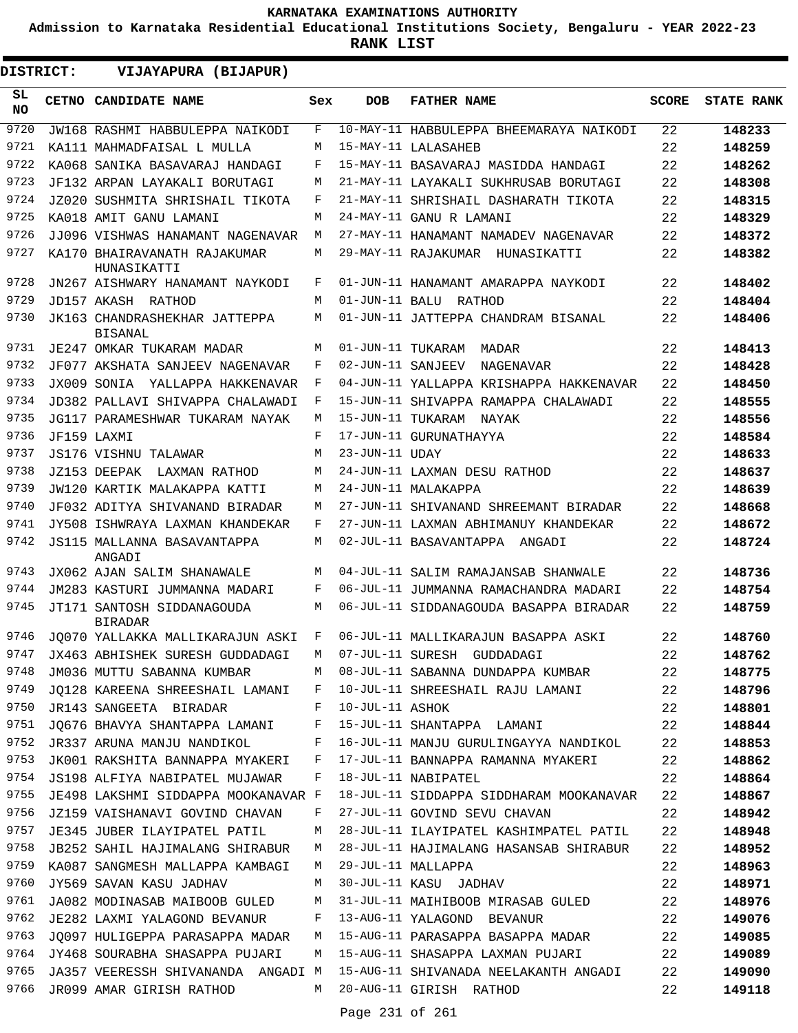**Admission to Karnataka Residential Educational Institutions Society, Bengaluru - YEAR 2022-23**

| DISTRICT:       |  | VIJAYAPURA (BIJAPUR)                                            |         |                   |                                                                       |              |                   |
|-----------------|--|-----------------------------------------------------------------|---------|-------------------|-----------------------------------------------------------------------|--------------|-------------------|
| SL<br><b>NO</b> |  | CETNO CANDIDATE NAME                                            | Sex     | <b>DOB</b>        | <b>FATHER NAME</b>                                                    | <b>SCORE</b> | <b>STATE RANK</b> |
| 9720            |  | JW168 RASHMI HABBULEPPA NAIKODI                                 | F       |                   | 10-MAY-11 HABBULEPPA BHEEMARAYA NAIKODI                               | 22           | 148233            |
| 9721            |  | KA111 MAHMADFAISAL L MULLA                                      | М       |                   | 15-MAY-11 LALASAHEB                                                   | 22           | 148259            |
| 9722            |  | KA068 SANIKA BASAVARAJ HANDAGI                                  | F       |                   | 15-MAY-11 BASAVARAJ MASIDDA HANDAGI                                   | 22           | 148262            |
| 9723            |  | JF132 ARPAN LAYAKALI BORUTAGI                                   | М       |                   | 21-MAY-11 LAYAKALI SUKHRUSAB BORUTAGI                                 | 22           | 148308            |
| 9724            |  | JZ020 SUSHMITA SHRISHAIL TIKOTA                                 | F       |                   | 21-MAY-11 SHRISHAIL DASHARATH TIKOTA                                  | 22           | 148315            |
| 9725            |  | KA018 AMTT GANU LAMANT                                          | М       |                   | 24-MAY-11 GANU R LAMANI                                               | 22           | 148329            |
| 9726            |  | JJ096 VISHWAS HANAMANT NAGENAVAR                                | М       |                   | 27-MAY-11 HANAMANT NAMADEV NAGENAVAR                                  | 22           | 148372            |
| 9727            |  | KA170 BHAIRAVANATH RAJAKUMAR<br>HUNASIKATTI                     | М       |                   | 29-MAY-11 RAJAKUMAR HUNASIKATTI                                       | 22           | 148382            |
| 9728            |  | JN267 AISHWARY HANAMANT NAYKODI                                 | F       |                   | 01-JUN-11 HANAMANT AMARAPPA NAYKODI                                   | 22           | 148402            |
| 9729            |  | JD157 AKASH RATHOD                                              | М       | 01-JUN-11 BALU    | RATHOD                                                                | 22           | 148404            |
| 9730            |  | JK163 CHANDRASHEKHAR JATTEPPA<br><b>BISANAL</b>                 | М       |                   | 01-JUN-11 JATTEPPA CHANDRAM BISANAL                                   | 22           | 148406            |
| 9731            |  | JE247 OMKAR TUKARAM MADAR                                       | М       | 01-JUN-11 TUKARAM | MADAR                                                                 | 22           | 148413            |
| 9732            |  | JF077 AKSHATA SANJEEV NAGENAVAR                                 | F       | 02-JUN-11 SANJEEV | NAGENAVAR                                                             | 22           | 148428            |
| 9733            |  | JX009 SONIA YALLAPPA HAKKENAVAR                                 | F       |                   | 04-JUN-11 YALLAPPA KRISHAPPA HAKKENAVAR                               | 22           | 148450            |
| 9734            |  | JD382 PALLAVI SHIVAPPA CHALAWADI                                | F       |                   | 15-JUN-11 SHIVAPPA RAMAPPA CHALAWADI                                  | 22           | 148555            |
| 9735            |  | JG117 PARAMESHWAR TUKARAM NAYAK                                 | М       | 15-JUN-11 TUKARAM | NAYAK                                                                 | 22           | 148556            |
| 9736            |  | JF159 LAXMI                                                     | F       |                   | 17-JUN-11 GURUNATHAYYA                                                | 22           | 148584            |
| 9737            |  | JS176 VISHNU TALAWAR                                            | M       | 23-JUN-11 UDAY    |                                                                       | 22           | 148633            |
| 9738            |  | JZ153 DEEPAK LAXMAN RATHOD                                      | М       |                   | 24-JUN-11 LAXMAN DESU RATHOD                                          | 22           | 148637            |
| 9739            |  | JW120 KARTIK MALAKAPPA KATTI                                    | М       |                   | 24-JUN-11 MALAKAPPA                                                   | 22           | 148639            |
| 9740<br>9741    |  | JF032 ADITYA SHIVANAND BIRADAR                                  | М       |                   | 27-JUN-11 SHIVANAND SHREEMANT BIRADAR                                 | 22<br>22     | 148668            |
| 9742            |  | JY508 ISHWRAYA LAXMAN KHANDEKAR<br>JS115 MALLANNA BASAVANTAPPA  | F<br>М  |                   | 27-JUN-11 LAXMAN ABHIMANUY KHANDEKAR<br>02-JUL-11 BASAVANTAPPA ANGADI | 22           | 148672<br>148724  |
| 9743            |  | ANGADI<br>JX062 AJAN SALIM SHANAWALE                            | М       |                   | 04-JUL-11 SALIM RAMAJANSAB SHANWALE                                   | 22           | 148736            |
| 9744            |  | JM283 KASTURI JUMMANNA MADARI                                   | F       |                   | 06-JUL-11 JUMMANNA RAMACHANDRA MADARI                                 | 22           | 148754            |
| 9745            |  | JT171 SANTOSH SIDDANAGOUDA                                      | М       |                   | 06-JUL-11 SIDDANAGOUDA BASAPPA BIRADAR                                | 22           | 148759            |
|                 |  | <b>BIRADAR</b>                                                  |         |                   |                                                                       |              |                   |
| 9746            |  | JO070 YALLAKKA MALLIKARAJUN ASKI                                | F       |                   | 06-JUL-11 MALLIKARAJUN BASAPPA ASKI                                   | 22           | 148760            |
| 9747            |  | JX463 ABHISHEK SURESH GUDDADAGI                                 | M       |                   | 07-JUL-11 SURESH GUDDADAGI                                            | 22           | 148762            |
| 9748            |  | JM036 MUTTU SABANNA KUMBAR                                      |         |                   | M 08-JUL-11 SABANNA DUNDAPPA KUMBAR                                   | 22           | 148775            |
| 9749            |  | JQ128 KAREENA SHREESHAIL LAMANI F                               |         |                   | 10-JUL-11 SHREESHAIL RAJU LAMANI                                      | 22           | 148796            |
| 9750            |  | JR143 SANGEETA BIRADAR                                          | $F$ and | 10-JUL-11 ASHOK   | 15-JUL-11 SHANTAPPA LAMANI                                            | 22           | 148801            |
| 9751<br>9752    |  | JQ676 BHAVYA SHANTAPPA LAMANI F<br>JR337 ARUNA MANJU NANDIKOL F |         |                   | 16-JUL-11 MANJU GURULINGAYYA NANDIKOL 22                              | 22           | 148844            |
| 9753            |  | JK001 RAKSHITA BANNAPPA MYAKERI F                               |         |                   | 17-JUL-11 BANNAPPA RAMANNA MYAKERI                                    | 22           | 148853<br>148862  |
| 9754            |  | JS198 ALFIYA NABIPATEL MUJAWAR                                  | F       |                   | 18-JUL-11 NABIPATEL                                                   | 22           | 148864            |
| 9755            |  | JE498 LAKSHMI SIDDAPPA MOOKANAVAR F                             |         |                   | 18-JUL-11 SIDDAPPA SIDDHARAM MOOKANAVAR                               | 22           | 148867            |
| 9756            |  | JZ159 VAISHANAVI GOVIND CHAVAN                                  | F       |                   | 27-JUL-11 GOVIND SEVU CHAVAN                                          | 22           | 148942            |
| 9757            |  | JE345 JUBER ILAYIPATEL PATIL                                    | М       |                   | 28-JUL-11 ILAYIPATEL KASHIMPATEL PATIL                                | 22           | 148948            |
| 9758            |  | JB252 SAHIL HAJIMALANG SHIRABUR                                 | M       |                   | 28-JUL-11 HAJIMALANG HASANSAB SHIRABUR                                | 22           | 148952            |
| 9759            |  | KA087 SANGMESH MALLAPPA KAMBAGI                                 | M       |                   | 29-JUL-11 MALLAPPA                                                    | 22           | 148963            |
| 9760            |  | JY569 SAVAN KASU JADHAV                                         | M       |                   | 30-JUL-11 KASU JADHAV                                                 | 22           | 148971            |
| 9761            |  | JA082 MODINASAB MAIBOOB GULED                                   | M       |                   | 31-JUL-11 MAIHIBOOB MIRASAB GULED                                     | 22           | 148976            |
| 9762            |  | JE282 LAXMI YALAGOND BEVANUR                                    | F       |                   | 13-AUG-11 YALAGOND BEVANUR                                            | 22           | 149076            |
| 9763            |  | JQ097 HULIGEPPA PARASAPPA MADAR                                 | M       |                   | 15-AUG-11 PARASAPPA BASAPPA MADAR                                     | 22           | 149085            |
| 9764            |  | JY468 SOURABHA SHASAPPA PUJARI                                  | M       |                   | 15-AUG-11 SHASAPPA LAXMAN PUJARI                                      | 22           | 149089            |
| 9765            |  | JA357 VEERESSH SHIVANANDA ANGADI M                              |         |                   | 15-AUG-11 SHIVANADA NEELAKANTH ANGADI                                 | 22           | 149090            |
| 9766            |  | JR099 AMAR GIRISH RATHOD                                        |         |                   | M 20-AUG-11 GIRISH RATHOD                                             | 22           | 149118            |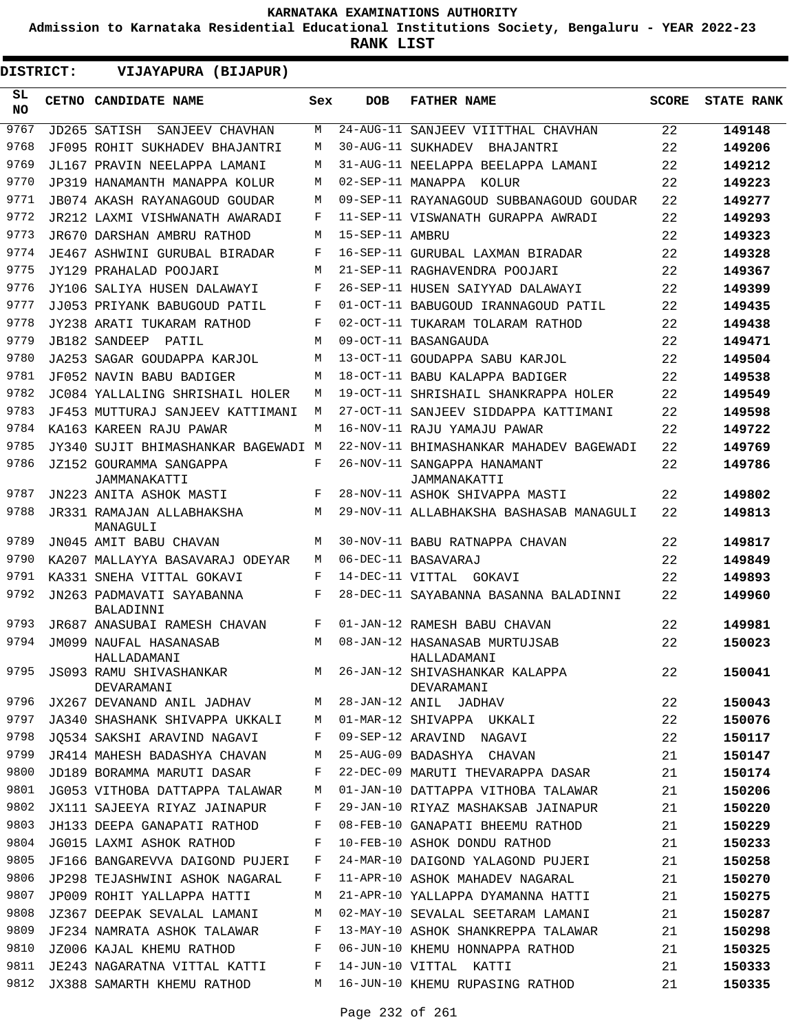**Admission to Karnataka Residential Educational Institutions Society, Bengaluru - YEAR 2022-23**

| <b>DISTRICT:</b> | VIJAYAPURA (BIJAPUR)                    |     |                 |                                              |              |                   |
|------------------|-----------------------------------------|-----|-----------------|----------------------------------------------|--------------|-------------------|
| SL<br><b>NO</b>  | CETNO CANDIDATE NAME                    | Sex | <b>DOB</b>      | <b>FATHER NAME</b>                           | <b>SCORE</b> | <b>STATE RANK</b> |
| 9767             | JD265 SATISH<br>SANJEEV CHAVHAN         | M   |                 | 24-AUG-11 SANJEEV VIITTHAL CHAVHAN           | 22           | 149148            |
| 9768             | JF095 ROHIT SUKHADEV BHAJANTRI          | M   |                 | 30-AUG-11 SUKHADEV BHAJANTRI                 | 22           | 149206            |
| 9769             | JL167 PRAVIN NEELAPPA LAMANI            | M   |                 | 31-AUG-11 NEELAPPA BEELAPPA LAMANI           | 22           | 149212            |
| 9770             | JP319 HANAMANTH MANAPPA KOLUR           | M   |                 | 02-SEP-11 MANAPPA KOLUR                      | 22           | 149223            |
| 9771             | JB074 AKASH RAYANAGOUD GOUDAR           | M   |                 | 09-SEP-11 RAYANAGOUD SUBBANAGOUD GOUDAR      | 22           | 149277            |
| 9772             | JR212 LAXMI VISHWANATH AWARADI          | F   |                 | 11-SEP-11 VISWANATH GURAPPA AWRADI           | 22           | 149293            |
| 9773             | JR670 DARSHAN AMBRU RATHOD              | M   | 15-SEP-11 AMBRU |                                              | 22           | 149323            |
| 9774             | JE467 ASHWINI GURUBAL BIRADAR           | F   |                 | 16-SEP-11 GURUBAL LAXMAN BIRADAR             | 22           | 149328            |
| 9775             | JY129 PRAHALAD POOJARI                  | M   |                 | 21-SEP-11 RAGHAVENDRA POOJARI                | 22           | 149367            |
| 9776             | JY106 SALIYA HUSEN DALAWAYI             | F   |                 | 26-SEP-11 HUSEN SAIYYAD DALAWAYI             | 22           | 149399            |
| 9777             | JJ053 PRIYANK BABUGOUD PATIL            | F   |                 | 01-OCT-11 BABUGOUD IRANNAGOUD PATIL          | 22           | 149435            |
| 9778             | JY238 ARATI TUKARAM RATHOD              | F   |                 | 02-OCT-11 TUKARAM TOLARAM RATHOD             | 22           | 149438            |
| 9779             | JB182 SANDEEP<br>PATIL                  | M   |                 | 09-OCT-11 BASANGAUDA                         | 22           | 149471            |
| 9780             | JA253 SAGAR GOUDAPPA KARJOL             | М   |                 | 13-OCT-11 GOUDAPPA SABU KARJOL               | 22           | 149504            |
| 9781             | JF052 NAVIN BABU BADIGER                | M   |                 | 18-OCT-11 BABU KALAPPA BADIGER               | 22           | 149538            |
| 9782             | JC084 YALLALING SHRISHAIL HOLER         | M   |                 | 19-OCT-11 SHRISHAIL SHANKRAPPA HOLER         | 22           | 149549            |
| 9783             | JF453 MUTTURAJ SANJEEV KATTIMANI        | M   |                 | 27-OCT-11 SANJEEV SIDDAPPA KATTIMANI         | 22           | 149598            |
| 9784             | KA163 KAREEN RAJU PAWAR                 | М   |                 | 16-NOV-11 RAJU YAMAJU PAWAR                  | 22           | 149722            |
| 9785             | JY340 SUJIT BHIMASHANKAR BAGEWADI M     |     |                 | 22-NOV-11 BHIMASHANKAR MAHADEV BAGEWADI      | 22           | 149769            |
| 9786             | JZ152 GOURAMMA SANGAPPA<br>JAMMANAKATTI | F   |                 | 26-NOV-11 SANGAPPA HANAMANT<br>JAMMANAKATTI  | 22           | 149786            |
| 9787             | JN223 ANITA ASHOK MASTI                 | F   |                 | 28-NOV-11 ASHOK SHIVAPPA MASTI               | 22           | 149802            |
| 9788             | JR331 RAMAJAN ALLABHAKSHA<br>MANAGULI   | M   |                 | 29-NOV-11 ALLABHAKSHA BASHASAB MANAGULI      | 22           | 149813            |
| 9789             | JN045 AMIT BABU CHAVAN                  | M   |                 | 30-NOV-11 BABU RATNAPPA CHAVAN               | 22           | 149817            |
| 9790             | KA207 MALLAYYA BASAVARAJ ODEYAR         | M   |                 | 06-DEC-11 BASAVARAJ                          | 22           | 149849            |
| 9791             | KA331 SNEHA VITTAL GOKAVI               | F   |                 | 14-DEC-11 VITTAL GOKAVI                      | 22           | 149893            |
| 9792             | JN263 PADMAVATI SAYABANNA<br>BALADINNI  | F   |                 | 28-DEC-11 SAYABANNA BASANNA BALADINNI        | 22           | 149960            |
| 9793             | JR687 ANASUBAI RAMESH CHAVAN            | F   |                 | 01-JAN-12 RAMESH BABU CHAVAN                 | 22           | 149981            |
| 9794             | JM099 NAUFAL HASANASAB<br>HALLADAMANI   | M   |                 | 08-JAN-12 HASANASAB MURTUJSAB<br>HALLADAMANI | 22           | 150023            |
| 9795             | JS093 RAMU SHIVASHANKAR<br>DEVARAMANI   | M   |                 | 26-JAN-12 SHIVASHANKAR KALAPPA<br>DEVARAMANI | 22           | 150041            |
| 9796             | JX267 DEVANAND ANIL JADHAV              | М   |                 | 28-JAN-12 ANIL JADHAV                        | 22           | 150043            |
| 9797             | JA340 SHASHANK SHIVAPPA UKKALI          | М   |                 | 01-MAR-12 SHIVAPPA UKKALI                    | 22           | 150076            |
| 9798             | JO534 SAKSHI ARAVIND NAGAVI             | F   |                 | 09-SEP-12 ARAVIND NAGAVI                     | 22           | 150117            |
| 9799             | JR414 MAHESH BADASHYA CHAVAN            | M   |                 | 25-AUG-09 BADASHYA CHAVAN                    | 21           | 150147            |
| 9800             | JD189 BORAMMA MARUTI DASAR              | F   |                 | 22-DEC-09 MARUTI THEVARAPPA DASAR            | 21           | 150174            |
| 9801             | JG053 VITHOBA DATTAPPA TALAWAR          | M   |                 | 01-JAN-10 DATTAPPA VITHOBA TALAWAR           | 21           | 150206            |
| 9802             | JX111 SAJEEYA RIYAZ JAINAPUR            | F   |                 | 29-JAN-10 RIYAZ MASHAKSAB JAINAPUR           | 21           | 150220            |
| 9803             | JH133 DEEPA GANAPATI RATHOD             | F   |                 | 08-FEB-10 GANAPATI BHEEMU RATHOD             | 21           | 150229            |
| 9804             | JG015 LAXMI ASHOK RATHOD                | F   |                 | 10-FEB-10 ASHOK DONDU RATHOD                 | 21           | 150233            |
| 9805             | JF166 BANGAREVVA DAIGOND PUJERI         | F   |                 | 24-MAR-10 DAIGOND YALAGOND PUJERI            | 21           | 150258            |
| 9806             | JP298 TEJASHWINI ASHOK NAGARAL          | F   |                 | 11-APR-10 ASHOK MAHADEV NAGARAL              | 21           | 150270            |
| 9807             | JP009 ROHIT YALLAPPA HATTI              | М   |                 | 21-APR-10 YALLAPPA DYAMANNA HATTI            | 21           | 150275            |
| 9808             | JZ367 DEEPAK SEVALAL LAMANI             | М   |                 | 02-MAY-10 SEVALAL SEETARAM LAMANI            | 21           | 150287            |
| 9809             | JF234 NAMRATA ASHOK TALAWAR             | F   |                 | 13-MAY-10 ASHOK SHANKREPPA TALAWAR           | 21           | 150298            |
| 9810             | JZ006 KAJAL KHEMU RATHOD                | F   |                 | 06-JUN-10 KHEMU HONNAPPA RATHOD              | 21           | 150325            |
| 9811             | JE243 NAGARATNA VITTAL KATTI            | F   |                 | 14-JUN-10 VITTAL KATTI                       | 21           | 150333            |
| 9812             | JX388 SAMARTH KHEMU RATHOD              | M   |                 | 16-JUN-10 KHEMU RUPASING RATHOD              | 21           | 150335            |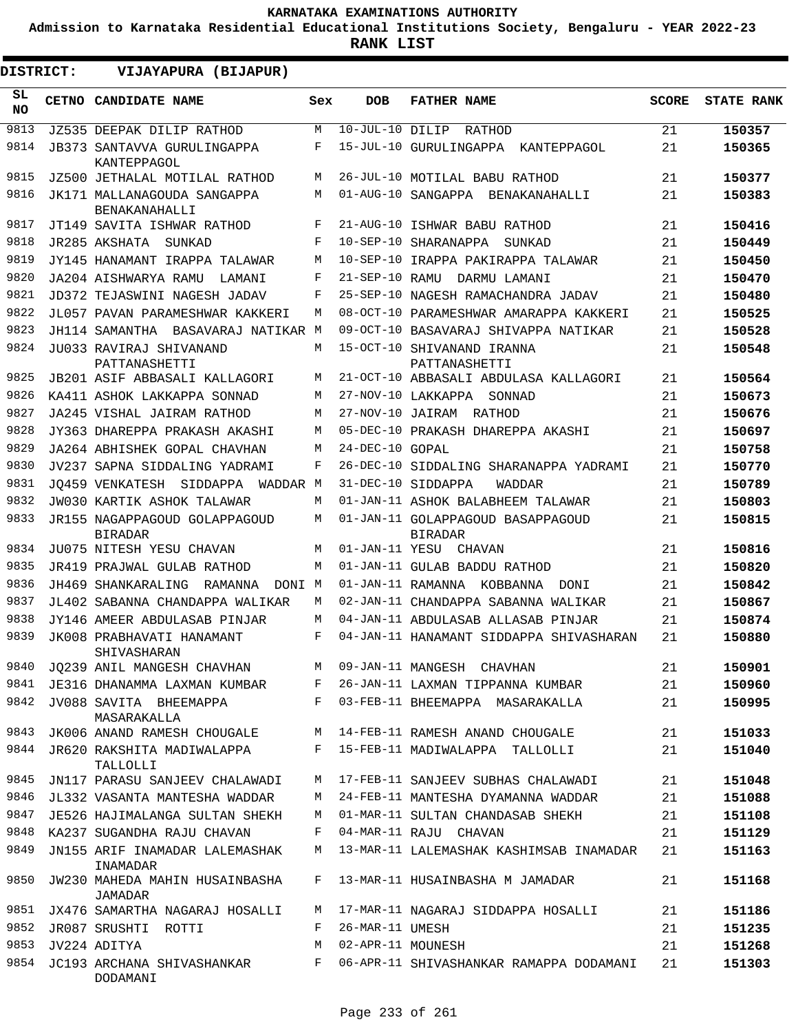**Admission to Karnataka Residential Educational Institutions Society, Bengaluru - YEAR 2022-23**

| DISTRICT:       | VIJAYAPURA (BIJAPUR)                                   |       |                    |                                                                 |              |                   |
|-----------------|--------------------------------------------------------|-------|--------------------|-----------------------------------------------------------------|--------------|-------------------|
| SL<br><b>NO</b> | <b>CETNO CANDIDATE NAME</b>                            | Sex   | <b>DOB</b>         | <b>FATHER NAME</b>                                              | <b>SCORE</b> | <b>STATE RANK</b> |
| 9813            | JZ535 DEEPAK DILIP RATHOD                              | М     | $10$ -JUL-10 DILIP | RATHOD                                                          | 21           | 150357            |
| 9814            | <b>JB373 SANTAVVA GURULINGAPPA</b><br>KANTEPPAGOL      | F     |                    | 15-JUL-10 GURULINGAPPA<br>KANTEPPAGOL                           | 21           | 150365            |
| 9815            | JZ500 JETHALAL MOTILAL RATHOD                          | М     |                    | 26-JUL-10 MOTILAL BABU RATHOD                                   | 21           | 150377            |
| 9816            | JK171 MALLANAGOUDA SANGAPPA<br>BENAKANAHALLI           | М     |                    | 01-AUG-10 SANGAPPA BENAKANAHALLI                                | 21           | 150383            |
| 9817            | JT149 SAVITA ISHWAR RATHOD                             | F     |                    | 21-AUG-10 ISHWAR BABU RATHOD                                    | 21           | 150416            |
| 9818            | JR285 AKSHATA<br>SUNKAD                                | F     |                    | 10-SEP-10 SHARANAPPA<br>SUNKAD                                  | 21           | 150449            |
| 9819            | JY145 HANAMANT IRAPPA TALAWAR                          | M     |                    | 10-SEP-10 IRAPPA PAKIRAPPA TALAWAR                              | 21           | 150450            |
| 9820            | JA204 AISHWARYA RAMU<br>LAMANI                         | F     | 21-SEP-10 RAMU     | DARMU LAMANI                                                    | 21           | 150470            |
| 9821            | JD372 TEJASWINI NAGESH JADAV                           | F     |                    | 25-SEP-10 NAGESH RAMACHANDRA JADAV                              | 21           | 150480            |
| 9822            | JL057 PAVAN PARAMESHWAR KAKKERI                        | М     |                    | 08-OCT-10 PARAMESHWAR AMARAPPA KAKKERI                          | 21           | 150525            |
| 9823            | JH114 SAMANTHA BASAVARAJ NATIKAR M                     |       |                    | 09-OCT-10 BASAVARAJ SHIVAPPA NATIKAR                            | 21           | 150528            |
| 9824            | JU033 RAVIRAJ SHIVANAND<br>PATTANASHETTI               | М     |                    | 15-OCT-10 SHIVANAND IRANNA<br>PATTANASHETTI                     | 21           | 150548            |
| 9825            | JB201 ASIF ABBASALI KALLAGORI                          | М     |                    | 21-OCT-10 ABBASALI ABDULASA KALLAGORI                           | 21           | 150564            |
| 9826            | KA411 ASHOK LAKKAPPA SONNAD                            | М     |                    | 27-NOV-10 LAKKAPPA<br>SONNAD                                    | 21           | 150673            |
| 9827            | JA245 VISHAL JAIRAM RATHOD                             | М     |                    | 27-NOV-10 JAIRAM RATHOD                                         | 21           | 150676            |
| 9828            | JY363 DHAREPPA PRAKASH AKASHI                          | М     |                    | 05-DEC-10 PRAKASH DHAREPPA AKASHI                               | 21           | 150697            |
| 9829            | JA264 ABHISHEK GOPAL CHAVHAN                           | M     | 24-DEC-10 GOPAL    |                                                                 | 21           | 150758            |
| 9830            | JV237 SAPNA SIDDALING YADRAMI                          | F     |                    | 26-DEC-10 SIDDALING SHARANAPPA YADRAMI                          | 21           | 150770            |
| 9831            | JO459 VENKATESH SIDDAPPA<br>WADDAR M                   |       |                    | 31-DEC-10 SIDDAPPA<br>WADDAR                                    | 21           | 150789            |
| 9832            | JW030 KARTIK ASHOK TALAWAR                             | М     |                    | 01-JAN-11 ASHOK BALABHEEM TALAWAR                               | 21           | 150803            |
| 9833            | JR155 NAGAPPAGOUD GOLAPPAGOUD<br><b>BIRADAR</b>        | М     |                    | 01-JAN-11 GOLAPPAGOUD BASAPPAGOUD<br><b>BIRADAR</b>             | 21           | 150815            |
| 9834            | JU075 NITESH YESU CHAVAN                               | М     |                    | 01-JAN-11 YESU CHAVAN                                           | 21           | 150816            |
| 9835            | JR419 PRAJWAL GULAB RATHOD                             | M     |                    | 01-JAN-11 GULAB BADDU RATHOD                                    | 21           | 150820            |
| 9836            | JH469 SHANKARALING<br>RAMANNA<br>DONI M                |       |                    | 01-JAN-11 RAMANNA KOBBANNA<br>DONI                              | 21           | 150842            |
| 9837            | JL402 SABANNA CHANDAPPA WALIKAR                        | М     |                    | 02-JAN-11 CHANDAPPA SABANNA WALIKAR                             | 21           | 150867            |
| 9838            | JY146 AMEER ABDULASAB PINJAR                           | М     |                    | 04-JAN-11 ABDULASAB ALLASAB PINJAR                              | 21           | 150874            |
| 9839            | JK008 PRABHAVATI HANAMANT<br>SHIVASHARAN               | F     |                    | 04-JAN-11 HANAMANT SIDDAPPA SHIVASHARAN                         | 21           | 150880            |
| 9840            | JO239 ANIL MANGESH CHAVHAN M 09-JAN-11 MANGESH CHAVHAN |       |                    |                                                                 | 21           | 150901            |
| 9841            |                                                        |       |                    | JE316 DHANAMMA LAXMAN KUMBAR F 26-JAN-11 LAXMAN TIPPANNA KUMBAR | 21           | 150960            |
| 9842            | JV088 SAVITA BHEEMAPPA<br>MASARAKALLA                  | $F -$ |                    | 03-FEB-11 BHEEMAPPA MASARAKALLA                                 | 21           | 150995            |
| 9843            | JK006 ANAND RAMESH CHOUGALE                            | М     |                    | 14-FEB-11 RAMESH ANAND CHOUGALE                                 | 21           | 151033            |
| 9844            | JR620 RAKSHITA MADIWALAPPA<br>TALLOLLI                 | $F -$ |                    | 15-FEB-11 MADIWALAPPA TALLOLLI                                  | 21           | 151040            |
| 9845            | JN117 PARASU SANJEEV CHALAWADI                         | М     |                    | 17-FEB-11 SANJEEV SUBHAS CHALAWADI                              | 21           | 151048            |
| 9846            | JL332 VASANTA MANTESHA WADDAR                          | M     |                    | 24-FEB-11 MANTESHA DYAMANNA WADDAR                              | 21           | 151088            |
| 9847            | JE526 HAJIMALANGA SULTAN SHEKH                         | М     |                    | 01-MAR-11 SULTAN CHANDASAB SHEKH                                | 21           | 151108            |
| 9848            | KA237 SUGANDHA RAJU CHAVAN                             | F     |                    | 04-MAR-11 RAJU CHAVAN                                           | 21           | 151129            |
| 9849            | JN155 ARIF INAMADAR LALEMASHAK<br>INAMADAR             | М     |                    | 13-MAR-11 LALEMASHAK KASHIMSAB INAMADAR                         | 21           | 151163            |
| 9850            | JW230 MAHEDA MAHIN HUSAINBASHA<br>JAMADAR              | F     |                    | 13-MAR-11 HUSAINBASHA M JAMADAR                                 | 21           | 151168            |
| 9851            | JX476 SAMARTHA NAGARAJ HOSALLI                         | М     |                    | 17-MAR-11 NAGARAJ SIDDAPPA HOSALLI                              | 21           | 151186            |
| 9852            | JR087 SRUSHTI ROTTI                                    | F     | 26-MAR-11 UMESH    |                                                                 | 21           | 151235            |
| 9853            | JV224 ADITYA                                           | М     | 02-APR-11 MOUNESH  |                                                                 | 21           | 151268            |
| 9854            | JC193 ARCHANA SHIVASHANKAR<br>DODAMANI                 | F     |                    | 06-APR-11 SHIVASHANKAR RAMAPPA DODAMANI                         | 21           | 151303            |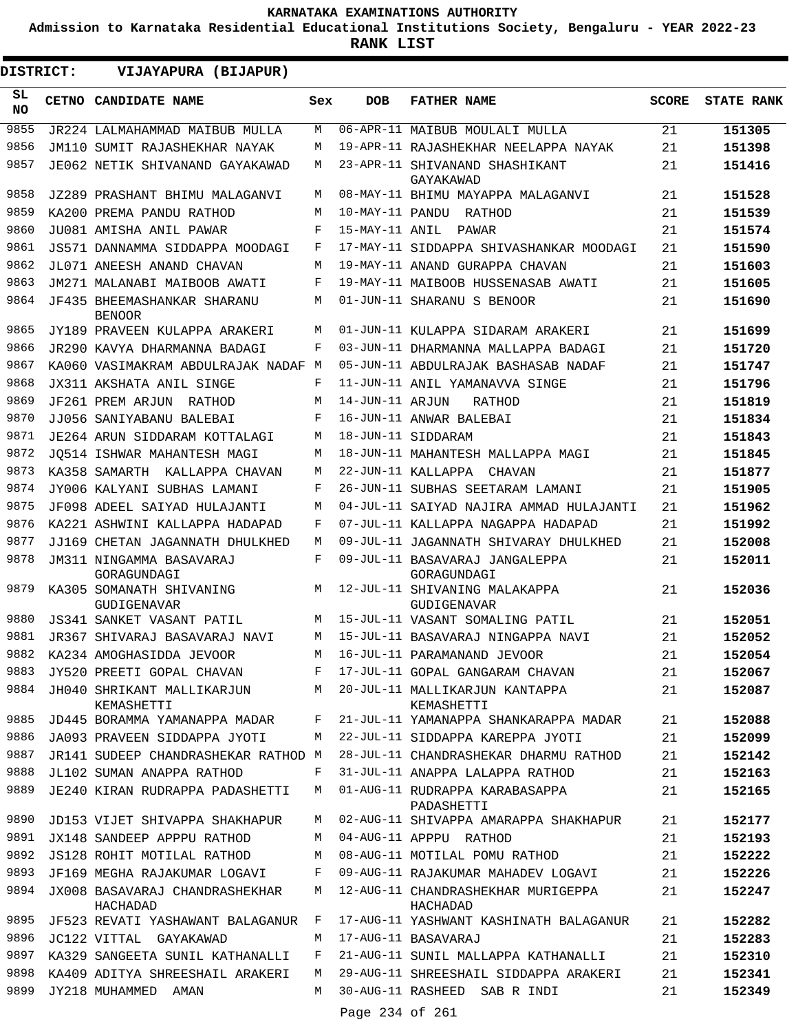**Admission to Karnataka Residential Educational Institutions Society, Bengaluru - YEAR 2022-23**

**RANK LIST**

| <b>DISTRICT:</b> |  | VIJAYAPURA (BIJAPUR)                                           |        |                 |                                                                          |              |                   |
|------------------|--|----------------------------------------------------------------|--------|-----------------|--------------------------------------------------------------------------|--------------|-------------------|
| SL<br><b>NO</b>  |  | CETNO CANDIDATE NAME                                           | Sex    | <b>DOB</b>      | <b>FATHER NAME</b>                                                       | <b>SCORE</b> | <b>STATE RANK</b> |
| 9855             |  | JR224 LALMAHAMMAD MAIBUB MULLA                                 | M      |                 | 06-APR-11 MAIBUB MOULALI MULLA                                           | 21           | 151305            |
| 9856             |  | JM110 SUMIT RAJASHEKHAR NAYAK                                  | M      |                 | 19-APR-11 RAJASHEKHAR NEELAPPA NAYAK                                     | 21           | 151398            |
| 9857             |  | JE062 NETIK SHIVANAND GAYAKAWAD                                | М      |                 | 23-APR-11 SHIVANAND SHASHIKANT<br>GAYAKAWAD                              | 21           | 151416            |
| 9858             |  | JZ289 PRASHANT BHIMU MALAGANVI                                 | М      |                 | 08-MAY-11 BHIMU MAYAPPA MALAGANVI                                        | 21           | 151528            |
| 9859             |  | KA200 PREMA PANDU RATHOD                                       | M      |                 | 10-MAY-11 PANDU RATHOD                                                   | 21           | 151539            |
| 9860             |  | JU081 AMISHA ANIL PAWAR                                        | F      | 15-MAY-11 ANIL  | PAWAR                                                                    | 21           | 151574            |
| 9861             |  | JS571 DANNAMMA SIDDAPPA MOODAGI                                | F      |                 | 17-MAY-11 SIDDAPPA SHIVASHANKAR MOODAGI                                  | 21           | 151590            |
| 9862             |  | JL071 ANEESH ANAND CHAVAN                                      | M      |                 | 19-MAY-11 ANAND GURAPPA CHAVAN                                           | 21           | 151603            |
| 9863             |  | JM271 MALANABI MAIBOOB AWATI                                   | F      |                 | 19-MAY-11 MAIBOOB HUSSENASAB AWATI                                       | 21           | 151605            |
| 9864             |  | JF435 BHEEMASHANKAR SHARANU<br><b>BENOOR</b>                   | M      |                 | 01-JUN-11 SHARANU S BENOOR                                               | 21           | 151690            |
| 9865             |  | JY189 PRAVEEN KULAPPA ARAKERI                                  | M      |                 | 01-JUN-11 KULAPPA SIDARAM ARAKERI                                        | 21           | 151699            |
| 9866             |  | JR290 KAVYA DHARMANNA BADAGI                                   | F      |                 | 03-JUN-11 DHARMANNA MALLAPPA BADAGI                                      | 21           | 151720            |
| 9867             |  | KA060 VASIMAKRAM ABDULRAJAK NADAF M                            |        |                 | 05-JUN-11 ABDULRAJAK BASHASAB NADAF                                      | 21           | 151747            |
| 9868             |  | JX311 AKSHATA ANIL SINGE                                       | F      |                 | 11-JUN-11 ANIL YAMANAVVA SINGE                                           | 21           | 151796            |
| 9869             |  | JF261 PREM ARJUN<br>RATHOD                                     | M      | 14-JUN-11 ARJUN | RATHOD                                                                   | 21           | 151819            |
| 9870             |  | JJ056 SANIYABANU BALEBAI                                       | F      |                 | 16-JUN-11 ANWAR BALEBAI                                                  | 21           | 151834            |
| 9871             |  | JE264 ARUN SIDDARAM KOTTALAGI                                  | M      |                 | 18-JUN-11 SIDDARAM                                                       | 21           | 151843            |
| 9872             |  | JO514 ISHWAR MAHANTESH MAGI                                    | M      |                 | 18-JUN-11 MAHANTESH MALLAPPA MAGI                                        | 21           | 151845            |
| 9873             |  | KA358 SAMARTH KALLAPPA CHAVAN                                  | M      |                 | 22-JUN-11 KALLAPPA CHAVAN                                                | 21           | 151877            |
| 9874             |  | JY006 KALYANI SUBHAS LAMANI                                    | F      |                 | 26-JUN-11 SUBHAS SEETARAM LAMANI                                         | 21           | 151905            |
| 9875             |  | JF098 ADEEL SAIYAD HULAJANTI                                   | M      |                 | 04-JUL-11 SAIYAD NAJIRA AMMAD HULAJANTI                                  | 21           | 151962            |
| 9876             |  | KA221 ASHWINI KALLAPPA HADAPAD                                 | F      |                 | 07-JUL-11 KALLAPPA NAGAPPA HADAPAD                                       | 21           | 151992            |
| 9877             |  | JJ169 CHETAN JAGANNATH DHULKHED                                | M      |                 | 09-JUL-11 JAGANNATH SHIVARAY DHULKHED                                    | 21           | 152008            |
| 9878             |  | JM311 NINGAMMA BASAVARAJ<br>GORAGUNDAGI                        | F      |                 | 09-JUL-11 BASAVARAJ JANGALEPPA<br>GORAGUNDAGI                            | 21           | 152011            |
| 9879             |  | KA305 SOMANATH SHIVANING<br><b>GUDIGENAVAR</b>                 | М      |                 | 12-JUL-11 SHIVANING MALAKAPPA<br><b>GUDIGENAVAR</b>                      | 21           | 152036            |
| 9880             |  | JS341 SANKET VASANT PATIL                                      | M      |                 | 15-JUL-11 VASANT SOMALING PATIL                                          | 21           | 152051            |
| 9881             |  | JR367 SHIVARAJ BASAVARAJ NAVI                                  | M      |                 | 15-JUL-11 BASAVARAJ NINGAPPA NAVI                                        | 21           | 152052            |
| 9882             |  | KA234 AMOGHASIDDA JEVOOR                                       | M      |                 | 16-JUL-11 PARAMANAND JEVOOR                                              | 21           | 152054            |
| 9883             |  | JY520 PREETI GOPAL CHAVAN                                      | F      |                 | 17-JUL-11 GOPAL GANGARAM CHAVAN                                          | 21           | 152067            |
| 9884             |  | JH040 SHRIKANT MALLIKARJUN<br>KEMASHETTI                       | М      |                 | 20-JUL-11 MALLIKARJUN KANTAPPA<br>KEMASHETTI                             | 21           | 152087            |
| 9885             |  | JD445 BORAMMA YAMANAPPA MADAR                                  | F      |                 | 21-JUL-11 YAMANAPPA SHANKARAPPA MADAR                                    | 21           | 152088            |
| 9886             |  | JA093 PRAVEEN SIDDAPPA JYOTI                                   | М      |                 | 22-JUL-11 SIDDAPPA KAREPPA JYOTI                                         | 21           | 152099            |
| 9887             |  | JR141 SUDEEP CHANDRASHEKAR RATHOD M                            |        |                 | 28-JUL-11 CHANDRASHEKAR DHARMU RATHOD                                    | 21           | 152142            |
| 9888             |  | JL102 SUMAN ANAPPA RATHOD                                      | F      |                 | 31-JUL-11 ANAPPA LALAPPA RATHOD                                          | 21           | 152163            |
| 9889<br>9890     |  | JE240 KIRAN RUDRAPPA PADASHETTI                                | M      |                 | 01-AUG-11 RUDRAPPA KARABASAPPA<br>PADASHETTI                             | 21           | 152165            |
| 9891             |  | JD153 VIJET SHIVAPPA SHAKHAPUR                                 | M      |                 | 02-AUG-11 SHIVAPPA AMARAPPA SHAKHAPUR                                    | 21           | 152177            |
| 9892             |  | JX148 SANDEEP APPPU RATHOD<br>JS128 ROHIT MOTILAL RATHOD       | М<br>М |                 | 04-AUG-11 APPPU RATHOD<br>08-AUG-11 MOTILAL POMU RATHOD                  | 21<br>21     | 152193<br>152222  |
|                  |  |                                                                |        |                 |                                                                          |              |                   |
| 9893<br>9894     |  | JF169 MEGHA RAJAKUMAR LOGAVI<br>JX008 BASAVARAJ CHANDRASHEKHAR | F<br>М |                 | 09-AUG-11 RAJAKUMAR MAHADEV LOGAVI<br>12-AUG-11 CHANDRASHEKHAR MURIGEPPA | 21<br>21     | 152226<br>152247  |
|                  |  | HACHADAD                                                       |        |                 | HACHADAD                                                                 |              |                   |
| 9895<br>9896     |  | JF523 REVATI YASHAWANT BALAGANUR                               | F      |                 | 17-AUG-11 YASHWANT KASHINATH BALAGANUR                                   | 21           | 152282            |
| 9897             |  | JC122 VITTAL GAYAKAWAD                                         | М      |                 | 17-AUG-11 BASAVARAJ                                                      | 21           | 152283            |
| 9898             |  | KA329 SANGEETA SUNIL KATHANALLI                                | F<br>М |                 | 21-AUG-11 SUNIL MALLAPPA KATHANALLI                                      | 21           | 152310            |
| 9899             |  | KA409 ADITYA SHREESHAIL ARAKERI<br>JY218 MUHAMMED AMAN         | М      |                 | 29-AUG-11 SHREESHAIL SIDDAPPA ARAKERI<br>30-AUG-11 RASHEED SAB R INDI    | 21<br>21     | 152341<br>152349  |
|                  |  |                                                                |        | Page 234 of 261 |                                                                          |              |                   |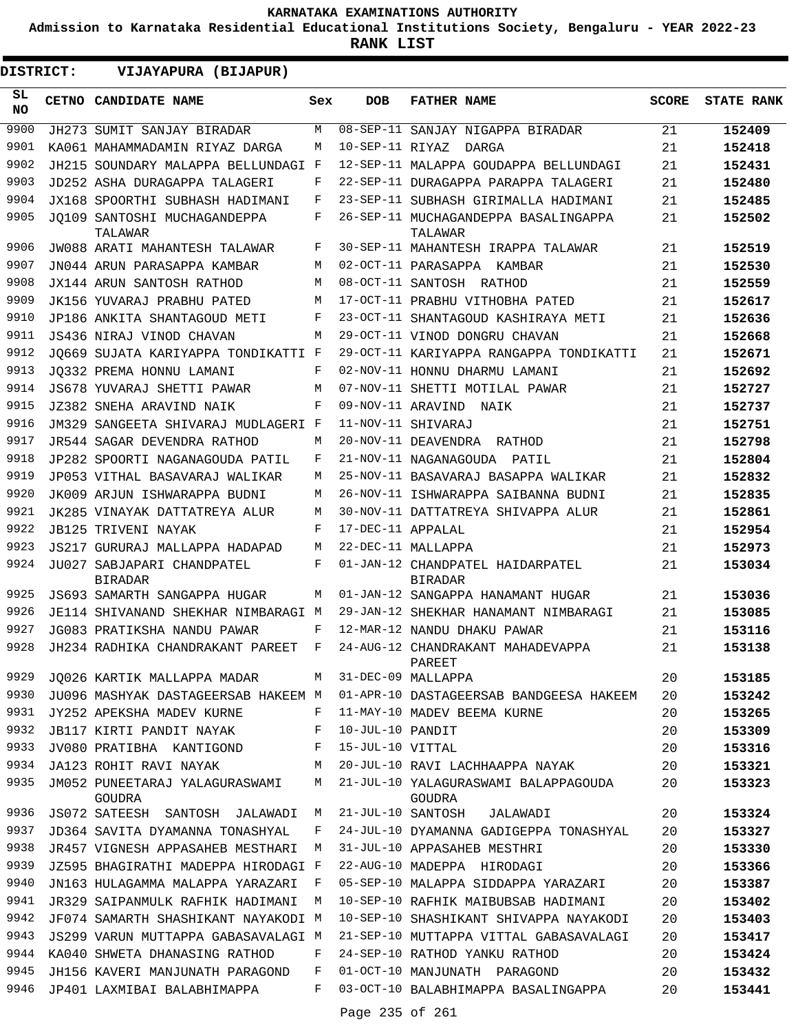**Admission to Karnataka Residential Educational Institutions Society, Bengaluru - YEAR 2022-23**

**RANK LIST**

| DISTRICT:       | VIJAYAPURA (BIJAPUR)                                       |              |                   |                                                                             |              |                   |
|-----------------|------------------------------------------------------------|--------------|-------------------|-----------------------------------------------------------------------------|--------------|-------------------|
| SL<br><b>NO</b> | <b>CETNO CANDIDATE NAME</b>                                | Sex          | <b>DOB</b>        | <b>FATHER NAME</b>                                                          | <b>SCORE</b> | <b>STATE RANK</b> |
| 9900            | JH273 SUMIT SANJAY BIRADAR                                 | M            |                   | 08-SEP-11 SANJAY NIGAPPA BIRADAR                                            | 21           | 152409            |
| 9901            | KA061 MAHAMMADAMIN RIYAZ DARGA                             | М            | 10-SEP-11 RIYAZ   | DARGA                                                                       | 21           | 152418            |
| 9902            | JH215 SOUNDARY MALAPPA BELLUNDAGI F                        |              |                   | 12-SEP-11 MALAPPA GOUDAPPA BELLUNDAGI                                       | 21           | 152431            |
| 9903            | JD252 ASHA DURAGAPPA TALAGERI                              | F            |                   | 22-SEP-11 DURAGAPPA PARAPPA TALAGERI                                        | 21           | 152480            |
| 9904            | JX168 SPOORTHI SUBHASH HADIMANI                            | F            |                   | 23-SEP-11 SUBHASH GIRIMALLA HADIMANI                                        | 21           | 152485            |
| 9905            | JO109 SANTOSHI MUCHAGANDEPPA<br>TALAWAR                    | F            |                   | 26-SEP-11 MUCHAGANDEPPA BASALINGAPPA<br>TALAWAR                             | 21           | 152502            |
| 9906            | JW088 ARATI MAHANTESH TALAWAR                              | F            |                   | 30-SEP-11 MAHANTESH IRAPPA TALAWAR                                          | 21           | 152519            |
| 9907            | JN044 ARUN PARASAPPA KAMBAR                                | М            |                   | 02-OCT-11 PARASAPPA KAMBAR                                                  | 21           | 152530            |
| 9908            | JX144 ARUN SANTOSH RATHOD                                  | М            |                   | 08-OCT-11 SANTOSH RATHOD                                                    | 21           | 152559            |
| 9909            | JK156 YUVARAJ PRABHU PATED                                 | М            |                   | 17-OCT-11 PRABHU VITHOBHA PATED                                             | 21           | 152617            |
| 9910            | JP186 ANKITA SHANTAGOUD METI                               | F            |                   | 23-OCT-11 SHANTAGOUD KASHIRAYA METI                                         | 21           | 152636            |
| 9911            | JS436 NIRAJ VINOD CHAVAN                                   | М            |                   | 29-OCT-11 VINOD DONGRU CHAVAN                                               | 21           | 152668            |
| 9912            | JO669 SUJATA KARIYAPPA TONDIKATTI F                        |              |                   | 29-OCT-11 KARIYAPPA RANGAPPA TONDIKATTI                                     | 21           | 152671            |
| 9913            | JO332 PREMA HONNU LAMANI                                   | F            |                   | 02-NOV-11 HONNU DHARMU LAMANI                                               | 21           | 152692            |
| 9914            | JS678 YUVARAJ SHETTI PAWAR                                 | М            |                   | 07-NOV-11 SHETTI MOTILAL PAWAR                                              | 21           | 152727            |
| 9915            | JZ382 SNEHA ARAVIND NAIK                                   | F            |                   | 09-NOV-11 ARAVIND NAIK                                                      | 21           | 152737            |
| 9916            | JM329 SANGEETA SHIVARAJ MUDLAGERI F                        |              |                   | 11-NOV-11 SHIVARAJ                                                          | 21           | 152751            |
| 9917            | JR544 SAGAR DEVENDRA RATHOD                                | М            |                   | 20-NOV-11 DEAVENDRA RATHOD                                                  | 21           | 152798            |
| 9918            | JP282 SPOORTI NAGANAGOUDA PATIL                            | F            |                   | 21-NOV-11 NAGANAGOUDA PATIL                                                 | 21           | 152804            |
| 9919            | JP053 VITHAL BASAVARAJ WALIKAR                             | М            |                   | 25-NOV-11 BASAVARAJ BASAPPA WALIKAR                                         | 21           | 152832            |
| 9920            | JK009 ARJUN ISHWARAPPA BUDNI                               | М            |                   | 26-NOV-11 ISHWARAPPA SAIBANNA BUDNI                                         | 21           | 152835            |
| 9921            | JK285 VINAYAK DATTATREYA ALUR                              | М            |                   | 30-NOV-11 DATTATREYA SHIVAPPA ALUR                                          | 21           | 152861            |
| 9922            | JB125 TRIVENI NAYAK                                        | F            | 17-DEC-11 APPALAL |                                                                             | 21           | 152954            |
| 9923            | JS217 GURURAJ MALLAPPA HADAPAD                             | М            |                   | 22-DEC-11 MALLAPPA                                                          | 21           | 152973            |
| 9924            | JU027 SABJAPARI CHANDPATEL<br><b>BIRADAR</b>               | F            |                   | 01-JAN-12 CHANDPATEL HAIDARPATEL<br><b>BIRADAR</b>                          | 21           | 153034            |
| 9925            | JS693 SAMARTH SANGAPPA HUGAR                               | М            |                   | 01-JAN-12 SANGAPPA HANAMANT HUGAR                                           | 21           | 153036            |
| 9926            | JE114 SHIVANAND SHEKHAR NIMBARAGI M                        |              |                   | 29-JAN-12 SHEKHAR HANAMANT NIMBARAGI                                        | 21           | 153085            |
| 9927            | JG083 PRATIKSHA NANDU PAWAR                                | F            |                   | 12-MAR-12 NANDU DHAKU PAWAR                                                 | 21           | 153116            |
| 9928            | JH234 RADHIKA CHANDRAKANT PAREET                           | F            |                   | 24-AUG-12 CHANDRAKANT MAHADEVAPPA<br>PAREET                                 | 21           | 153138            |
| 9929            | JQ026 KARTIK MALLAPPA MADAR M 31-DEC-09 MALLAPPA           |              |                   |                                                                             | 20           | 153185            |
| 9930            |                                                            |              |                   | JU096 MASHYAK DASTAGEERSAB HAKEEM M 01-APR-10 DASTAGEERSAB BANDGEESA HAKEEM | 20           | 153242            |
| 9931            | $\mathbf{F}$ and $\mathbf{F}$<br>JY252 APEKSHA MADEV KURNE |              |                   | 11-MAY-10 MADEV BEEMA KURNE                                                 | 20           | 153265            |
| 9932            | JB117 KIRTI PANDIT NAYAK F 10-JUL-10 PANDIT                |              |                   |                                                                             | 20           | 153309            |
| 9933            | JV080 PRATIBHA KANTIGOND F                                 |              | 15-JUL-10 VITTAL  |                                                                             | 20           | 153316            |
| 9934            | <b>M</b><br>JA123 ROHIT RAVI NAYAK                         |              |                   | 20-JUL-10 RAVI LACHHAAPPA NAYAK                                             | 20           | 153321            |
| 9935            | JM052 PUNEETARAJ YALAGURASWAMI M<br>GOUDRA                 |              |                   | 21-JUL-10 YALAGURASWAMI BALAPPAGOUDA<br>GOUDRA                              | 20           | 153323            |
| 9936            | JS072 SATEESH SANTOSH JALAWADI M                           |              |                   | 21-JUL-10 SANTOSH JALAWADI                                                  | 20           | 153324            |
| 9937            | JD364 SAVITA DYAMANNA TONASHYAL                            | F            |                   | 24-JUL-10 DYAMANNA GADIGEPPA TONASHYAL                                      | 20           | 153327            |
| 9938            | JR457 VIGNESH APPASAHEB MESTHARI                           | M            |                   | 31-JUL-10 APPASAHEB MESTHRI                                                 | 20           | 153330            |
| 9939            | JZ595 BHAGIRATHI MADEPPA HIRODAGI F                        |              |                   | 22-AUG-10 MADEPPA HIRODAGI                                                  | 20           | 153366            |
| 9940            | JN163 HULAGAMMA MALAPPA YARAZARI                           | $\mathbf{F}$ |                   | 05-SEP-10 MALAPPA SIDDAPPA YARAZARI                                         | 20           | 153387            |
| 9941            | JR329 SAIPANMULK RAFHIK HADIMANI                           | M            |                   | 10-SEP-10 RAFHIK MAIBUBSAB HADIMANI                                         | 20           | 153402            |
| 9942            | JF074 SAMARTH SHASHIKANT NAYAKODI M                        |              |                   | 10-SEP-10 SHASHIKANT SHIVAPPA NAYAKODI                                      | 20           | 153403            |
| 9943            | JS299 VARUN MUTTAPPA GABASAVALAGI M                        |              |                   | 21-SEP-10 MUTTAPPA VITTAL GABASAVALAGI                                      | 20           | 153417            |
| 9944            | KA040 SHWETA DHANASING RATHOD                              | F            |                   | 24-SEP-10 RATHOD YANKU RATHOD                                               | 20           | 153424            |
| 9945            | JH156 KAVERI MANJUNATH PARAGOND                            | F            |                   | 01-OCT-10 MANJUNATH PARAGOND                                                | 20           | 153432            |
| 9946            | JP401 LAXMIBAI BALABHIMAPPA                                | F            |                   | 03-OCT-10 BALABHIMAPPA BASALINGAPPA                                         | 20           | 153441            |
|                 |                                                            |              | Page 235 of 261   |                                                                             |              |                   |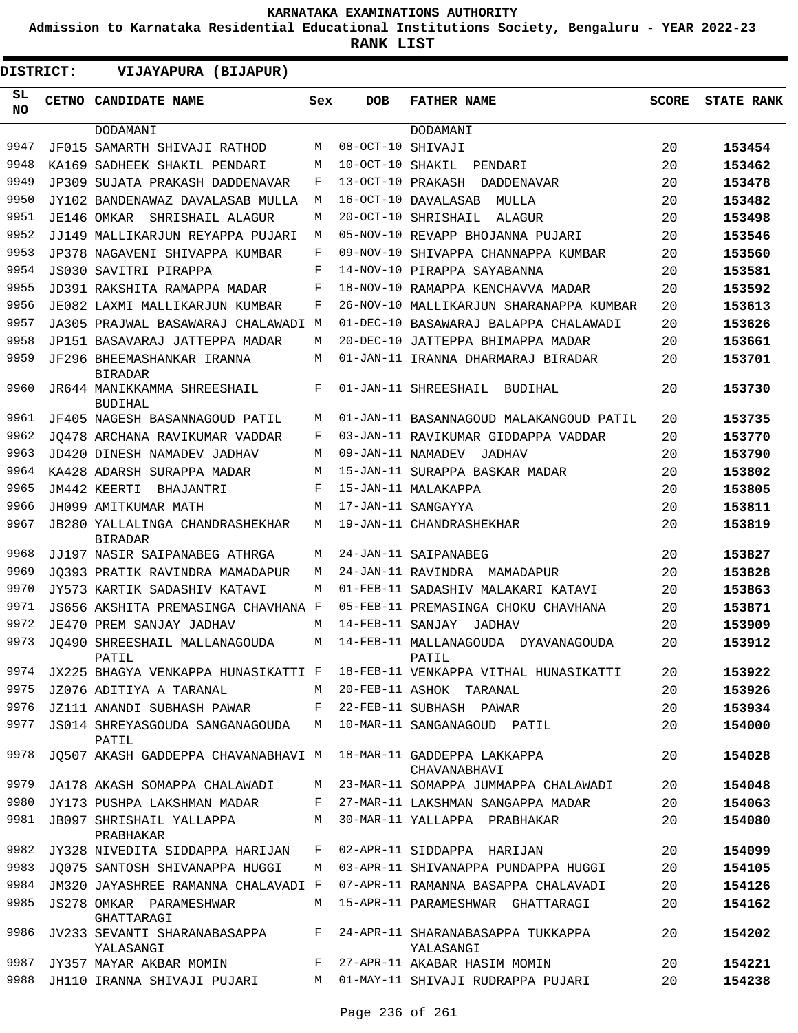**Admission to Karnataka Residential Educational Institutions Society, Bengaluru - YEAR 2022-23**

| DISTRICT: | VIJAYAPURA (BIJAPUR)                          |     |                   |                                                |              |                   |
|-----------|-----------------------------------------------|-----|-------------------|------------------------------------------------|--------------|-------------------|
| SL<br>NO. | CETNO CANDIDATE NAME                          | Sex | <b>DOB</b>        | <b>FATHER NAME</b>                             | <b>SCORE</b> | <b>STATE RANK</b> |
|           | DODAMANI                                      |     |                   | DODAMANI                                       |              |                   |
| 9947      | JF015 SAMARTH SHIVAJI RATHOD                  | М   | 08-OCT-10 SHIVAJI |                                                | 20           | 153454            |
| 9948      | KA169 SADHEEK SHAKIL PENDARI                  | М   | 10-OCT-10 SHAKIL  | PENDARI                                        | 20           | 153462            |
| 9949      | JP309 SUJATA PRAKASH DADDENAVAR               | F   | 13-OCT-10 PRAKASH | DADDENAVAR                                     | 20           | 153478            |
| 9950      | JY102 BANDENAWAZ DAVALASAB MULLA              | М   |                   | 16-OCT-10 DAVALASAB<br>MULLA                   | 20           | 153482            |
| 9951      | JE146 OMKAR<br>SHRISHAIL ALAGUR               | М   |                   | 20-OCT-10 SHRISHAIL<br>ALAGUR                  | 20           | 153498            |
| 9952      | JJ149 MALLIKARJUN REYAPPA PUJARI              | М   |                   | 05-NOV-10 REVAPP BHOJANNA PUJARI               | 20           | 153546            |
| 9953      | JP378 NAGAVENI SHIVAPPA KUMBAR                | F   |                   | 09-NOV-10 SHIVAPPA CHANNAPPA KUMBAR            | 20           | 153560            |
| 9954      | JS030 SAVITRI PIRAPPA                         | F   |                   | 14-NOV-10 PIRAPPA SAYABANNA                    | 20           | 153581            |
| 9955      | JD391 RAKSHITA RAMAPPA MADAR                  | F   |                   | 18-NOV-10 RAMAPPA KENCHAVVA MADAR              | 20           | 153592            |
| 9956      | JE082 LAXMI MALLIKARJUN KUMBAR                | F   |                   | 26-NOV-10 MALLIKARJUN SHARANAPPA KUMBAR        | 20           | 153613            |
| 9957      | JA305 PRAJWAL BASAWARAJ CHALAWADI M           |     |                   | 01-DEC-10 BASAWARAJ BALAPPA CHALAWADI          | 20           | 153626            |
| 9958      | JP151 BASAVARAJ JATTEPPA MADAR                | М   |                   | 20-DEC-10 JATTEPPA BHIMAPPA MADAR              | 20           | 153661            |
| 9959      | JF296 BHEEMASHANKAR IRANNA<br><b>BIRADAR</b>  | М   |                   | 01-JAN-11 IRANNA DHARMARAJ BIRADAR             | 20           | 153701            |
| 9960      | JR644 MANIKKAMMA SHREESHAIL<br><b>BUDIHAL</b> | F   |                   | 01-JAN-11 SHREESHAIL<br>BUDIHAL                | 20           | 153730            |
| 9961      | JF405 NAGESH BASANNAGOUD PATIL                | М   |                   | 01-JAN-11 BASANNAGOUD MALAKANGOUD PATIL        | 20           | 153735            |
| 9962      | JO478 ARCHANA RAVIKUMAR VADDAR                | F   |                   | 03-JAN-11 RAVIKUMAR GIDDAPPA VADDAR            | 20           | 153770            |
| 9963      | JD420 DINESH NAMADEV JADHAV                   | M   | 09-JAN-11 NAMADEV | JADHAV                                         | 20           | 153790            |
| 9964      | KA428 ADARSH SURAPPA MADAR                    | M   |                   | 15-JAN-11 SURAPPA BASKAR MADAR                 | 20           | 153802            |
| 9965      | JM442 KEERTI<br>BHAJANTRI                     | F   |                   | 15-JAN-11 MALAKAPPA                            | 20           | 153805            |
| 9966      | JH099 AMITKUMAR MATH                          | М   |                   | 17-JAN-11 SANGAYYA                             | 20           | 153811            |
| 9967      | JB280 YALLALINGA CHANDRASHEKHAR               | М   |                   | 19-JAN-11 CHANDRASHEKHAR                       | 20           | 153819            |
|           | <b>BIRADAR</b>                                |     |                   |                                                |              |                   |
| 9968      | JJ197 NASIR SAIPANABEG ATHRGA                 | М   |                   | 24-JAN-11 SAIPANABEG                           | 20           | 153827            |
| 9969      | JO393 PRATIK RAVINDRA MAMADAPUR               | М   |                   | 24-JAN-11 RAVINDRA MAMADAPUR                   | 20           | 153828            |
| 9970      | JY573 KARTIK SADASHIV KATAVI                  | М   |                   | 01-FEB-11 SADASHIV MALAKARI KATAVI             | 20           | 153863            |
| 9971      | JS656 AKSHITA PREMASINGA CHAVHANA             | F   |                   | 05-FEB-11 PREMASINGA CHOKU CHAVHANA            | 20           | 153871            |
| 9972      | JE470 PREM SANJAY JADHAV                      | M   | 14-FEB-11 SANJAY  | <b>JADHAV</b>                                  | 20           | 153909            |
| 9973      | JO490 SHREESHAIL MALLANAGOUDA<br>PATIL        | М   |                   | 14-FEB-11 MALLANAGOUDA DYAVANAGOUDA<br>PATIL   | 20           | 153912            |
| 9974      | JX225 BHAGYA VENKAPPA HUNASIKATTI F           |     |                   | 18-FEB-11 VENKAPPA VITHAL HUNASIKATTI          | 20           | 153922            |
| 9975      | JZ076 ADITIYA A TARANAL                       | M   |                   | 20-FEB-11 ASHOK TARANAL                        | 20           | 153926            |
| 9976      | JZ111 ANANDI SUBHASH PAWAR                    | F   |                   | 22-FEB-11 SUBHASH PAWAR                        | 20           | 153934            |
| 9977      | JS014 SHREYASGOUDA SANGANAGOUDA<br>PATIL      | М   |                   | 10-MAR-11 SANGANAGOUD PATIL                    | 20           | 154000            |
| 9978      | JO507 AKASH GADDEPPA CHAVANABHAVI M           |     |                   | 18-MAR-11 GADDEPPA LAKKAPPA<br>CHAVANABHAVI    | 20           | 154028            |
| 9979      | JA178 AKASH SOMAPPA CHALAWADI                 | M   |                   | 23-MAR-11 SOMAPPA JUMMAPPA CHALAWADI           | 20           | 154048            |
| 9980      | JY173 PUSHPA LAKSHMAN MADAR                   | F   |                   | 27-MAR-11 LAKSHMAN SANGAPPA MADAR              | 20           | 154063            |
| 9981      | JB097 SHRISHAIL YALLAPPA<br>PRABHAKAR         | M   |                   | 30-MAR-11 YALLAPPA PRABHAKAR                   | 20           | 154080            |
| 9982      | JY328 NIVEDITA SIDDAPPA HARIJAN               | F   |                   | 02-APR-11 SIDDAPPA HARIJAN                     | 20           | 154099            |
| 9983      | JQ075 SANTOSH SHIVANAPPA HUGGI                | М   |                   | 03-APR-11 SHIVANAPPA PUNDAPPA HUGGI            | 20           | 154105            |
| 9984      | JM320 JAYASHREE RAMANNA CHALAVADI F           |     |                   | 07-APR-11 RAMANNA BASAPPA CHALAVADI            | 20           | 154126            |
| 9985      | JS278 OMKAR PARAMESHWAR<br>GHATTARAGI         | М   |                   | 15-APR-11 PARAMESHWAR GHATTARAGI               | 20           | 154162            |
| 9986      | JV233 SEVANTI SHARANABASAPPA<br>YALASANGI     | F   |                   | 24-APR-11 SHARANABASAPPA TUKKAPPA<br>YALASANGI | 20           | 154202            |
| 9987      | JY357 MAYAR AKBAR MOMIN                       | F   |                   | 27-APR-11 AKABAR HASIM MOMIN                   | 20           | 154221            |
| 9988      | JH110 IRANNA SHIVAJI PUJARI                   | М   |                   | 01-MAY-11 SHIVAJI RUDRAPPA PUJARI              | 20           | 154238            |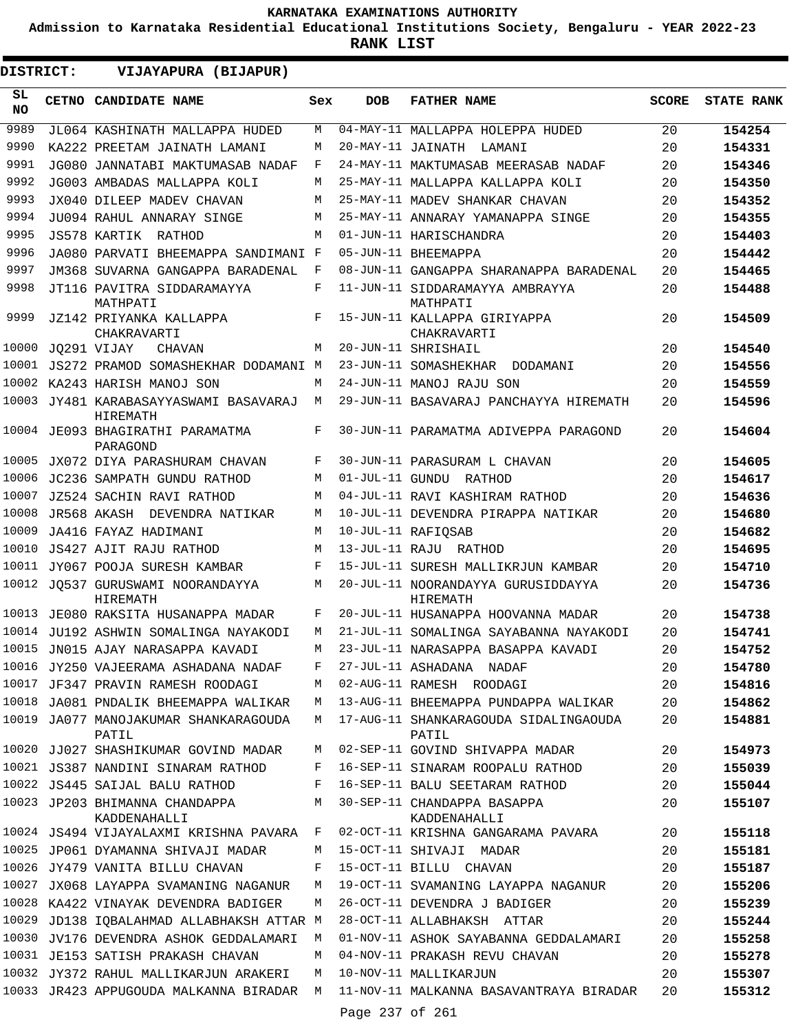**Admission to Karnataka Residential Educational Institutions Society, Bengaluru - YEAR 2022-23**

**RANK LIST**

**DISTRICT:** EE **VIJAYAPURA (BIJAPUR)**

| SL<br><b>NO</b> | CETNO CANDIDATE NAME                               | Sex   | <b>DOB</b>        | <b>FATHER NAME</b>                             | <b>SCORE</b> | <b>STATE RANK</b> |
|-----------------|----------------------------------------------------|-------|-------------------|------------------------------------------------|--------------|-------------------|
| 9989            | JL064 KASHINATH MALLAPPA HUDED                     | M     |                   | 04-MAY-11 MALLAPPA HOLEPPA HUDED               | 20           | 154254            |
| 9990            | KA222 PREETAM JAINATH LAMANI                       | M     | 20-MAY-11 JAINATH | LAMANI                                         | 20           | 154331            |
| 9991            | JG080 JANNATABI MAKTUMASAB NADAF                   | F     |                   | 24-MAY-11 MAKTUMASAB MEERASAB NADAF            | 20           | 154346            |
| 9992            | JG003 AMBADAS MALLAPPA KOLI                        | M     |                   | 25-MAY-11 MALLAPPA KALLAPPA KOLI               | 20           | 154350            |
| 9993            | JX040 DILEEP MADEV CHAVAN                          | M     |                   | 25-MAY-11 MADEV SHANKAR CHAVAN                 | 20           | 154352            |
| 9994            | JU094 RAHUL ANNARAY SINGE                          | M     |                   | 25-MAY-11 ANNARAY YAMANAPPA SINGE              | 20           | 154355            |
| 9995            | JS578 KARTIK RATHOD                                | M     |                   | 01-JUN-11 HARISCHANDRA                         | 20           | 154403            |
| 9996            | JA080 PARVATI BHEEMAPPA SANDIMANI F                |       |                   | 05-JUN-11 BHEEMAPPA                            | 20           | 154442            |
| 9997            | JM368 SUVARNA GANGAPPA BARADENAL                   | F     |                   | 08-JUN-11 GANGAPPA SHARANAPPA BARADENAL        | 20           | 154465            |
| 9998            | JT116 PAVITRA SIDDARAMAYYA<br>MATHPATI             | F     |                   | 11-JUN-11 SIDDARAMAYYA AMBRAYYA<br>MATHPATI    | 20           | 154488            |
| 9999            | JZ142 PRIYANKA KALLAPPA<br>CHAKRAVARTI             | F     |                   | 15-JUN-11 KALLAPPA GIRIYAPPA<br>CHAKRAVARTI    | 20           | 154509            |
| 10000           | JO291 VIJAY<br>CHAVAN                              | M     |                   | 20-JUN-11 SHRISHAIL                            | 20           | 154540            |
| 10001           | JS272 PRAMOD SOMASHEKHAR DODAMANI M                |       |                   | 23-JUN-11 SOMASHEKHAR DODAMANI                 | 20           | 154556            |
| 10002           | KA243 HARISH MANOJ SON                             | M     |                   | 24-JUN-11 MANOJ RAJU SON                       | 20           | 154559            |
|                 | 10003 JY481 KARABASAYYASWAMI BASAVARAJ<br>HIREMATH | M     |                   | 29-JUN-11 BASAVARAJ PANCHAYYA HIREMATH         | 20           | 154596            |
|                 | 10004 JE093 BHAGIRATHI PARAMATMA<br>PARAGOND       | F     |                   | 30-JUN-11 PARAMATMA ADIVEPPA PARAGOND          | 20           | 154604            |
| 10005           | JX072 DIYA PARASHURAM CHAVAN                       | F     |                   | 30-JUN-11 PARASURAM L CHAVAN                   | 20           | 154605            |
| 10006           | JC236 SAMPATH GUNDU RATHOD                         | M     |                   | 01-JUL-11 GUNDU RATHOD                         | 20           | 154617            |
| 10007           | JZ524 SACHIN RAVI RATHOD                           | M     |                   | 04-JUL-11 RAVI KASHIRAM RATHOD                 | 20           | 154636            |
| 10008           | JR568 AKASH<br>DEVENDRA NATIKAR                    | M     |                   | 10-JUL-11 DEVENDRA PIRAPPA NATIKAR             | 20           | 154680            |
| 10009           | JA416 FAYAZ HADIMANI                               | M     |                   | 10-JUL-11 RAFIQSAB                             | 20           | 154682            |
| 10010           | JS427 AJIT RAJU RATHOD                             | M     |                   | 13-JUL-11 RAJU RATHOD                          | 20           | 154695            |
|                 | 10011 JY067 POOJA SURESH KAMBAR                    | F     |                   | 15-JUL-11 SURESH MALLIKRJUN KAMBAR             | 20           | 154710            |
| 10012           | JO537 GURUSWAMI NOORANDAYYA<br>HIREMATH            | M     |                   | 20-JUL-11 NOORANDAYYA GURUSIDDAYYA<br>HIREMATH | 20           | 154736            |
| 10013           | JE080 RAKSITA HUSANAPPA MADAR                      | F     |                   | 20-JUL-11 HUSANAPPA HOOVANNA MADAR             | 20           | 154738            |
|                 | 10014 JU192 ASHWIN SOMALINGA NAYAKODI              | M     |                   | 21-JUL-11 SOMALINGA SAYABANNA NAYAKODI         | 20           | 154741            |
|                 | 10015 JN015 AJAY NARASAPPA KAVADI                  | M     |                   | 23-JUL-11 NARASAPPA BASAPPA KAVADI             | 20           | 154752            |
|                 | 10016 JY250 VAJEERAMA ASHADANA NADAF               | $F -$ |                   | 27-JUL-11 ASHADANA NADAF                       | 20           | 154780            |
|                 | 10017 JF347 PRAVIN RAMESH ROODAGI                  | М     |                   | 02-AUG-11 RAMESH ROODAGI                       | 20           | 154816            |
|                 | 10018 JA081 PNDALIK BHEEMAPPA WALIKAR              | M     |                   | 13-AUG-11 BHEEMAPPA PUNDAPPA WALIKAR           | 20           | 154862            |
|                 | 10019 JA077 MANOJAKUMAR SHANKARAGOUDA<br>PATIL     | M     |                   | 17-AUG-11 SHANKARAGOUDA SIDALINGAOUDA<br>PATIL | 20           | 154881            |
|                 | 10020 JJ027 SHASHIKUMAR GOVIND MADAR               | М     |                   | 02-SEP-11 GOVIND SHIVAPPA MADAR                | 20           | 154973            |
|                 | 10021 JS387 NANDINI SINARAM RATHOD                 | F     |                   | 16-SEP-11 SINARAM ROOPALU RATHOD               | 20           | 155039            |
|                 | 10022 JS445 SAIJAL BALU RATHOD                     | F     |                   | 16-SEP-11 BALU SEETARAM RATHOD                 | 20           | 155044            |
|                 | 10023 JP203 BHIMANNA CHANDAPPA<br>KADDENAHALLI     | М     |                   | 30-SEP-11 CHANDAPPA BASAPPA<br>KADDENAHALLI    | 20           | 155107            |
|                 | 10024 JS494 VIJAYALAXMI KRISHNA PAVARA             | F     |                   | 02-OCT-11 KRISHNA GANGARAMA PAVARA             | 20           | 155118            |
|                 | 10025 JP061 DYAMANNA SHIVAJI MADAR                 | М     |                   | 15-OCT-11 SHIVAJI MADAR                        | 20           | 155181            |
|                 | 10026 JY479 VANITA BILLU CHAVAN                    | F     |                   | 15-OCT-11 BILLU CHAVAN                         | 20           | 155187            |
|                 | 10027 JX068 LAYAPPA SVAMANING NAGANUR              | M     |                   | 19-OCT-11 SVAMANING LAYAPPA NAGANUR            | 20           | 155206            |
|                 | 10028 KA422 VINAYAK DEVENDRA BADIGER               | М     |                   | 26-OCT-11 DEVENDRA J BADIGER                   | 20           | 155239            |
|                 | 10029 JD138 IQBALAHMAD ALLABHAKSH ATTAR M          |       |                   | 28-OCT-11 ALLABHAKSH ATTAR                     | 20           | 155244            |
|                 | 10030 JV176 DEVENDRA ASHOK GEDDALAMARI             | М     |                   | 01-NOV-11 ASHOK SAYABANNA GEDDALAMARI          | 20           | 155258            |
|                 | 10031 JE153 SATISH PRAKASH CHAVAN                  | М     |                   | 04-NOV-11 PRAKASH REVU CHAVAN                  | 20           | 155278            |
|                 | 10032 JY372 RAHUL MALLIKARJUN ARAKERI              | M     |                   | 10-NOV-11 MALLIKARJUN                          | 20           | 155307            |
|                 | 10033 JR423 APPUGOUDA MALKANNA BIRADAR M           |       |                   | 11-NOV-11 MALKANNA BASAVANTRAYA BIRADAR        | 20           | 155312            |
|                 |                                                    |       | Page 237 of 261   |                                                |              |                   |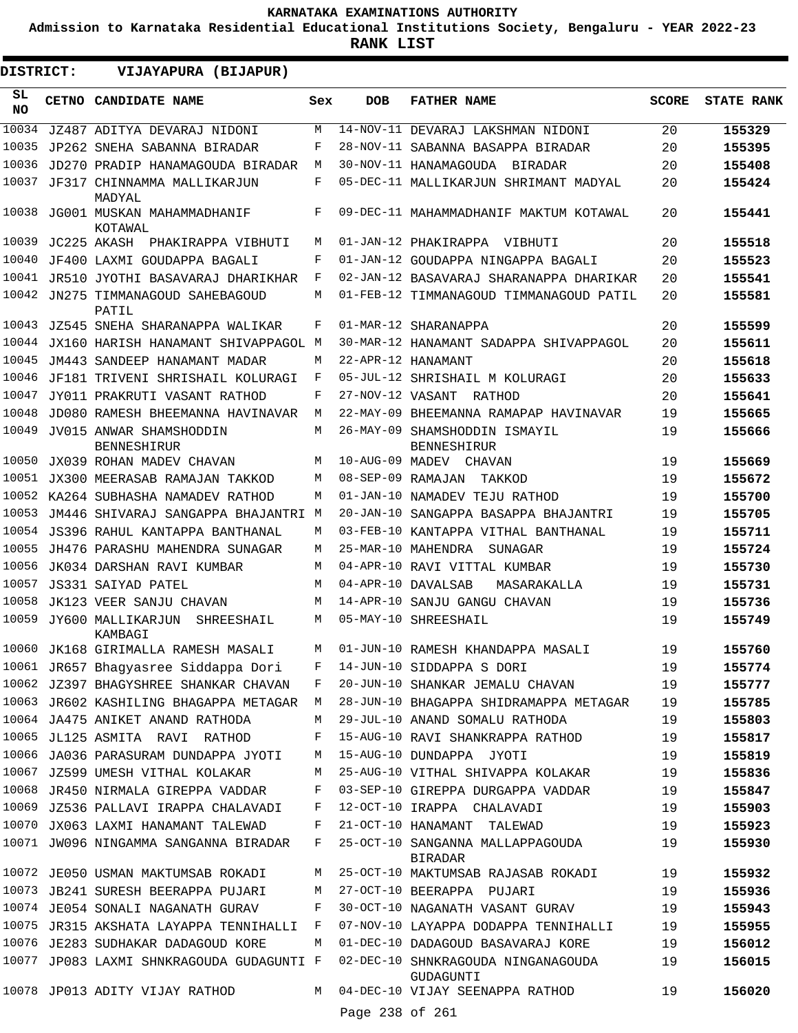**Admission to Karnataka Residential Educational Institutions Society, Bengaluru - YEAR 2022-23**

| SL<br><b>DOB</b><br><b>FATHER NAME</b><br><b>SCORE</b><br>CETNO CANDIDATE NAME<br>Sex<br><b>NO</b><br>10034<br>14-NOV-11 DEVARAJ LAKSHMAN NIDONI<br>JZ487 ADITYA DEVARAJ NIDONI<br>M<br>20<br>155329<br>10035<br>F<br>28-NOV-11 SABANNA BASAPPA BIRADAR<br>20<br>155395<br>JP262 SNEHA SABANNA BIRADAR<br>10036<br>30-NOV-11 HANAMAGOUDA BIRADAR<br>20<br>JD270 PRADIP HANAMAGOUDA BIRADAR<br>M<br>155408<br>10037<br>F<br>05-DEC-11 MALLIKARJUN SHRIMANT MADYAL<br>20<br>JF317 CHINNAMMA MALLIKARJUN<br>155424<br>MADYAL<br>10038<br>F<br>09-DEC-11 MAHAMMADHANIF MAKTUM KOTAWAL<br>JG001 MUSKAN MAHAMMADHANIF<br>20<br>155441<br>KOTAWAL<br>10039<br>JC225 AKASH<br>20<br>PHAKIRAPPA VIBHUTI<br>01-JAN-12 PHAKIRAPPA VIBHUTI<br>155518<br>M<br>10040<br>20<br>JF400 LAXMI GOUDAPPA BAGALI<br>F<br>01-JAN-12 GOUDAPPA NINGAPPA BAGALI<br>155523<br>10041 JR510 JYOTHI BASAVARAJ DHARIKHAR<br>F<br>02-JAN-12 BASAVARAJ SHARANAPPA DHARIKAR<br>20<br>155541<br>10042<br>JN275 TIMMANAGOUD SAHEBAGOUD<br>01-FEB-12 TIMMANAGOUD TIMMANAGOUD PATIL<br>20<br>155581<br>М<br>PATIL<br>10043<br>F<br>01-MAR-12 SHARANAPPA<br>20<br>155599<br>JZ545 SNEHA SHARANAPPA WALIKAR<br>10044<br>30-MAR-12 HANAMANT SADAPPA SHIVAPPAGOL<br>20<br>JX160 HARISH HANAMANT SHIVAPPAGOL M<br>155611<br>10045<br>22-APR-12 HANAMANT<br>20<br>JM443 SANDEEP HANAMANT MADAR<br>M<br>155618<br>10046<br>F<br>05-JUL-12 SHRISHAIL M KOLURAGI<br>20<br>JF181 TRIVENI SHRISHAIL KOLURAGI<br>155633<br>10047<br>F<br>27-NOV-12 VASANT RATHOD<br>20<br>155641<br>JY011 PRAKRUTI VASANT RATHOD<br>10048<br>22-MAY-09 BHEEMANNA RAMAPAP HAVINAVAR<br>19<br>JD080 RAMESH BHEEMANNA HAVINAVAR<br>M<br>155665<br>10049<br>M<br>26-MAY-09 SHAMSHODDIN ISMAYIL<br>19<br>JV015 ANWAR SHAMSHODDIN<br>155666<br><b>BENNESHIRUR</b><br><b>BENNESHIRUR</b><br>10050<br>10-AUG-09 MADEV CHAVAN<br>19<br>JX039 ROHAN MADEV CHAVAN<br>M<br>155669<br>10051<br>08-SEP-09 RAMAJAN<br>19<br>JX300 MEERASAB RAMAJAN TAKKOD<br>M<br>155672<br>TAKKOD<br>10052<br>01-JAN-10 NAMADEV TEJU RATHOD<br>19<br>KA264 SUBHASHA NAMADEV RATHOD<br>М<br>155700<br>10053<br>20-JAN-10 SANGAPPA BASAPPA BHAJANTRI<br>JM446 SHIVARAJ SANGAPPA BHAJANTRI<br>M<br>19<br>155705<br>10054<br>03-FEB-10 KANTAPPA VITHAL BANTHANAL<br>19<br>155711<br>JS396 RAHUL KANTAPPA BANTHANAL<br>M<br>10055<br>25-MAR-10 MAHENDRA<br>19<br>JH476 PARASHU MAHENDRA SUNAGAR<br>M<br>155724<br>SUNAGAR<br>10056<br>04-APR-10 RAVI VITTAL KUMBAR<br>19<br>155730<br>JK034 DARSHAN RAVI KUMBAR<br>М<br>10057<br>04-APR-10 DAVALSAB<br>19<br>155731<br>JS331 SAIYAD PATEL<br>M<br>MASARAKALLA<br>10058<br>14-APR-10 SANJU GANGU CHAVAN<br>19<br>JK123 VEER SANJU CHAVAN<br>M<br>155736<br>10059<br>05-MAY-10 SHREESHAIL<br>19<br>JY600 MALLIKARJUN<br>M<br>155749<br>SHREESHAIL<br>KAMBAGI<br>155760<br>10060 JK168 GIRIMALLA RAMESH MASALI<br>M 01-JUN-10 RAMESH KHANDAPPA MASALI<br>19<br>10061 JR657 Bhagyasree Siddappa Dori<br>14-JUN-10 SIDDAPPA S DORI<br>19<br>155774<br>F<br>10062 JZ397 BHAGYSHREE SHANKAR CHAVAN<br>19<br>155777<br>F<br>20-JUN-10 SHANKAR JEMALU CHAVAN<br>10063 JR602 KASHILING BHAGAPPA METAGAR<br>28-JUN-10 BHAGAPPA SHIDRAMAPPA METAGAR<br>19<br>155785<br>М<br>10064 JA475 ANIKET ANAND RATHODA<br>29-JUL-10 ANAND SOMALU RATHODA<br>19<br>155803<br>M<br>10065 JL125 ASMITA RAVI RATHOD<br>19<br>F<br>15-AUG-10 RAVI SHANKRAPPA RATHOD<br>155817<br>10066 JA036 PARASURAM DUNDAPPA JYOTI<br>15-AUG-10 DUNDAPPA JYOTI<br>19<br>155819<br>М<br>10067 JZ599 UMESH VITHAL KOLAKAR<br>25-AUG-10 VITHAL SHIVAPPA KOLAKAR<br>19<br>155836<br>М<br>10068 JR450 NIRMALA GIREPPA VADDAR<br>19<br>F<br>03-SEP-10 GIREPPA DURGAPPA VADDAR<br>155847<br>10069 JZ536 PALLAVI IRAPPA CHALAVADI<br>19<br>F<br>12-OCT-10 IRAPPA CHALAVADI<br>155903<br>10070 JX063 LAXMI HANAMANT TALEWAD<br>21-OCT-10 HANAMANT<br>19<br>155923<br>F<br>TALEWAD<br>10071 JW096 NINGAMMA SANGANNA BIRADAR<br>25-OCT-10 SANGANNA MALLAPPAGOUDA<br>19<br>F<br>155930<br><b>BIRADAR</b><br>10072 JE050 USMAN MAKTUMSAB ROKADI<br>25-OCT-10 MAKTUMSAB RAJASAB ROKADI<br>19<br>155932<br>М<br>10073<br>19<br>JB241 SURESH BEERAPPA PUJARI<br>27-OCT-10 BEERAPPA PUJARI<br>155936<br>М<br>10074 JE054 SONALI NAGANATH GURAV<br>30-OCT-10 NAGANATH VASANT GURAV<br>F<br>19<br>155943<br>10075<br>F<br>07-NOV-10 LAYAPPA DODAPPA TENNIHALLI<br>19<br>JR315 AKSHATA LAYAPPA TENNIHALLI<br>155955<br>10076 JE283 SUDHAKAR DADAGOUD KORE<br>01-DEC-10 DADAGOUD BASAVARAJ KORE<br>М<br>19<br>156012<br>10077 JP083 LAXMI SHNKRAGOUDA GUDAGUNTI F<br>02-DEC-10 SHNKRAGOUDA NINGANAGOUDA<br>19<br>156015<br>GUDAGUNTI<br>10078 JP013 ADITY VIJAY RATHOD<br>04-DEC-10 VIJAY SEENAPPA RATHOD<br>М<br>19<br>156020<br>Page 238 of 261 | <b>DISTRICT:</b> | VIJAYAPURA (BIJAPUR) |  |  |                   |
|----------------------------------------------------------------------------------------------------------------------------------------------------------------------------------------------------------------------------------------------------------------------------------------------------------------------------------------------------------------------------------------------------------------------------------------------------------------------------------------------------------------------------------------------------------------------------------------------------------------------------------------------------------------------------------------------------------------------------------------------------------------------------------------------------------------------------------------------------------------------------------------------------------------------------------------------------------------------------------------------------------------------------------------------------------------------------------------------------------------------------------------------------------------------------------------------------------------------------------------------------------------------------------------------------------------------------------------------------------------------------------------------------------------------------------------------------------------------------------------------------------------------------------------------------------------------------------------------------------------------------------------------------------------------------------------------------------------------------------------------------------------------------------------------------------------------------------------------------------------------------------------------------------------------------------------------------------------------------------------------------------------------------------------------------------------------------------------------------------------------------------------------------------------------------------------------------------------------------------------------------------------------------------------------------------------------------------------------------------------------------------------------------------------------------------------------------------------------------------------------------------------------------------------------------------------------------------------------------------------------------------------------------------------------------------------------------------------------------------------------------------------------------------------------------------------------------------------------------------------------------------------------------------------------------------------------------------------------------------------------------------------------------------------------------------------------------------------------------------------------------------------------------------------------------------------------------------------------------------------------------------------------------------------------------------------------------------------------------------------------------------------------------------------------------------------------------------------------------------------------------------------------------------------------------------------------------------------------------------------------------------------------------------------------------------------------------------------------------------------------------------------------------------------------------------------------------------------------------------------------------------------------------------------------------------------------------------------------------------------------------------------------------------------------------------------------------------------------------------------------------------------------------------------------------------------------------------------------------------------------------------------------------------------------------------------------------------------------------------------------------------------------------------------------------------------------------------------------------------------------------------------------------------------------------------------------------------------------------------------------------------------------------------------------------------------------------------------------------------|------------------|----------------------|--|--|-------------------|
|                                                                                                                                                                                                                                                                                                                                                                                                                                                                                                                                                                                                                                                                                                                                                                                                                                                                                                                                                                                                                                                                                                                                                                                                                                                                                                                                                                                                                                                                                                                                                                                                                                                                                                                                                                                                                                                                                                                                                                                                                                                                                                                                                                                                                                                                                                                                                                                                                                                                                                                                                                                                                                                                                                                                                                                                                                                                                                                                                                                                                                                                                                                                                                                                                                                                                                                                                                                                                                                                                                                                                                                                                                                                                                                                                                                                                                                                                                                                                                                                                                                                                                                                                                                                                                                                                                                                                                                                                                                                                                                                                                                                                                                                                                                                  |                  |                      |  |  | <b>STATE RANK</b> |
|                                                                                                                                                                                                                                                                                                                                                                                                                                                                                                                                                                                                                                                                                                                                                                                                                                                                                                                                                                                                                                                                                                                                                                                                                                                                                                                                                                                                                                                                                                                                                                                                                                                                                                                                                                                                                                                                                                                                                                                                                                                                                                                                                                                                                                                                                                                                                                                                                                                                                                                                                                                                                                                                                                                                                                                                                                                                                                                                                                                                                                                                                                                                                                                                                                                                                                                                                                                                                                                                                                                                                                                                                                                                                                                                                                                                                                                                                                                                                                                                                                                                                                                                                                                                                                                                                                                                                                                                                                                                                                                                                                                                                                                                                                                                  |                  |                      |  |  |                   |
|                                                                                                                                                                                                                                                                                                                                                                                                                                                                                                                                                                                                                                                                                                                                                                                                                                                                                                                                                                                                                                                                                                                                                                                                                                                                                                                                                                                                                                                                                                                                                                                                                                                                                                                                                                                                                                                                                                                                                                                                                                                                                                                                                                                                                                                                                                                                                                                                                                                                                                                                                                                                                                                                                                                                                                                                                                                                                                                                                                                                                                                                                                                                                                                                                                                                                                                                                                                                                                                                                                                                                                                                                                                                                                                                                                                                                                                                                                                                                                                                                                                                                                                                                                                                                                                                                                                                                                                                                                                                                                                                                                                                                                                                                                                                  |                  |                      |  |  |                   |
|                                                                                                                                                                                                                                                                                                                                                                                                                                                                                                                                                                                                                                                                                                                                                                                                                                                                                                                                                                                                                                                                                                                                                                                                                                                                                                                                                                                                                                                                                                                                                                                                                                                                                                                                                                                                                                                                                                                                                                                                                                                                                                                                                                                                                                                                                                                                                                                                                                                                                                                                                                                                                                                                                                                                                                                                                                                                                                                                                                                                                                                                                                                                                                                                                                                                                                                                                                                                                                                                                                                                                                                                                                                                                                                                                                                                                                                                                                                                                                                                                                                                                                                                                                                                                                                                                                                                                                                                                                                                                                                                                                                                                                                                                                                                  |                  |                      |  |  |                   |
|                                                                                                                                                                                                                                                                                                                                                                                                                                                                                                                                                                                                                                                                                                                                                                                                                                                                                                                                                                                                                                                                                                                                                                                                                                                                                                                                                                                                                                                                                                                                                                                                                                                                                                                                                                                                                                                                                                                                                                                                                                                                                                                                                                                                                                                                                                                                                                                                                                                                                                                                                                                                                                                                                                                                                                                                                                                                                                                                                                                                                                                                                                                                                                                                                                                                                                                                                                                                                                                                                                                                                                                                                                                                                                                                                                                                                                                                                                                                                                                                                                                                                                                                                                                                                                                                                                                                                                                                                                                                                                                                                                                                                                                                                                                                  |                  |                      |  |  |                   |
|                                                                                                                                                                                                                                                                                                                                                                                                                                                                                                                                                                                                                                                                                                                                                                                                                                                                                                                                                                                                                                                                                                                                                                                                                                                                                                                                                                                                                                                                                                                                                                                                                                                                                                                                                                                                                                                                                                                                                                                                                                                                                                                                                                                                                                                                                                                                                                                                                                                                                                                                                                                                                                                                                                                                                                                                                                                                                                                                                                                                                                                                                                                                                                                                                                                                                                                                                                                                                                                                                                                                                                                                                                                                                                                                                                                                                                                                                                                                                                                                                                                                                                                                                                                                                                                                                                                                                                                                                                                                                                                                                                                                                                                                                                                                  |                  |                      |  |  |                   |
|                                                                                                                                                                                                                                                                                                                                                                                                                                                                                                                                                                                                                                                                                                                                                                                                                                                                                                                                                                                                                                                                                                                                                                                                                                                                                                                                                                                                                                                                                                                                                                                                                                                                                                                                                                                                                                                                                                                                                                                                                                                                                                                                                                                                                                                                                                                                                                                                                                                                                                                                                                                                                                                                                                                                                                                                                                                                                                                                                                                                                                                                                                                                                                                                                                                                                                                                                                                                                                                                                                                                                                                                                                                                                                                                                                                                                                                                                                                                                                                                                                                                                                                                                                                                                                                                                                                                                                                                                                                                                                                                                                                                                                                                                                                                  |                  |                      |  |  |                   |
|                                                                                                                                                                                                                                                                                                                                                                                                                                                                                                                                                                                                                                                                                                                                                                                                                                                                                                                                                                                                                                                                                                                                                                                                                                                                                                                                                                                                                                                                                                                                                                                                                                                                                                                                                                                                                                                                                                                                                                                                                                                                                                                                                                                                                                                                                                                                                                                                                                                                                                                                                                                                                                                                                                                                                                                                                                                                                                                                                                                                                                                                                                                                                                                                                                                                                                                                                                                                                                                                                                                                                                                                                                                                                                                                                                                                                                                                                                                                                                                                                                                                                                                                                                                                                                                                                                                                                                                                                                                                                                                                                                                                                                                                                                                                  |                  |                      |  |  |                   |
|                                                                                                                                                                                                                                                                                                                                                                                                                                                                                                                                                                                                                                                                                                                                                                                                                                                                                                                                                                                                                                                                                                                                                                                                                                                                                                                                                                                                                                                                                                                                                                                                                                                                                                                                                                                                                                                                                                                                                                                                                                                                                                                                                                                                                                                                                                                                                                                                                                                                                                                                                                                                                                                                                                                                                                                                                                                                                                                                                                                                                                                                                                                                                                                                                                                                                                                                                                                                                                                                                                                                                                                                                                                                                                                                                                                                                                                                                                                                                                                                                                                                                                                                                                                                                                                                                                                                                                                                                                                                                                                                                                                                                                                                                                                                  |                  |                      |  |  |                   |
|                                                                                                                                                                                                                                                                                                                                                                                                                                                                                                                                                                                                                                                                                                                                                                                                                                                                                                                                                                                                                                                                                                                                                                                                                                                                                                                                                                                                                                                                                                                                                                                                                                                                                                                                                                                                                                                                                                                                                                                                                                                                                                                                                                                                                                                                                                                                                                                                                                                                                                                                                                                                                                                                                                                                                                                                                                                                                                                                                                                                                                                                                                                                                                                                                                                                                                                                                                                                                                                                                                                                                                                                                                                                                                                                                                                                                                                                                                                                                                                                                                                                                                                                                                                                                                                                                                                                                                                                                                                                                                                                                                                                                                                                                                                                  |                  |                      |  |  |                   |
|                                                                                                                                                                                                                                                                                                                                                                                                                                                                                                                                                                                                                                                                                                                                                                                                                                                                                                                                                                                                                                                                                                                                                                                                                                                                                                                                                                                                                                                                                                                                                                                                                                                                                                                                                                                                                                                                                                                                                                                                                                                                                                                                                                                                                                                                                                                                                                                                                                                                                                                                                                                                                                                                                                                                                                                                                                                                                                                                                                                                                                                                                                                                                                                                                                                                                                                                                                                                                                                                                                                                                                                                                                                                                                                                                                                                                                                                                                                                                                                                                                                                                                                                                                                                                                                                                                                                                                                                                                                                                                                                                                                                                                                                                                                                  |                  |                      |  |  |                   |
|                                                                                                                                                                                                                                                                                                                                                                                                                                                                                                                                                                                                                                                                                                                                                                                                                                                                                                                                                                                                                                                                                                                                                                                                                                                                                                                                                                                                                                                                                                                                                                                                                                                                                                                                                                                                                                                                                                                                                                                                                                                                                                                                                                                                                                                                                                                                                                                                                                                                                                                                                                                                                                                                                                                                                                                                                                                                                                                                                                                                                                                                                                                                                                                                                                                                                                                                                                                                                                                                                                                                                                                                                                                                                                                                                                                                                                                                                                                                                                                                                                                                                                                                                                                                                                                                                                                                                                                                                                                                                                                                                                                                                                                                                                                                  |                  |                      |  |  |                   |
|                                                                                                                                                                                                                                                                                                                                                                                                                                                                                                                                                                                                                                                                                                                                                                                                                                                                                                                                                                                                                                                                                                                                                                                                                                                                                                                                                                                                                                                                                                                                                                                                                                                                                                                                                                                                                                                                                                                                                                                                                                                                                                                                                                                                                                                                                                                                                                                                                                                                                                                                                                                                                                                                                                                                                                                                                                                                                                                                                                                                                                                                                                                                                                                                                                                                                                                                                                                                                                                                                                                                                                                                                                                                                                                                                                                                                                                                                                                                                                                                                                                                                                                                                                                                                                                                                                                                                                                                                                                                                                                                                                                                                                                                                                                                  |                  |                      |  |  |                   |
|                                                                                                                                                                                                                                                                                                                                                                                                                                                                                                                                                                                                                                                                                                                                                                                                                                                                                                                                                                                                                                                                                                                                                                                                                                                                                                                                                                                                                                                                                                                                                                                                                                                                                                                                                                                                                                                                                                                                                                                                                                                                                                                                                                                                                                                                                                                                                                                                                                                                                                                                                                                                                                                                                                                                                                                                                                                                                                                                                                                                                                                                                                                                                                                                                                                                                                                                                                                                                                                                                                                                                                                                                                                                                                                                                                                                                                                                                                                                                                                                                                                                                                                                                                                                                                                                                                                                                                                                                                                                                                                                                                                                                                                                                                                                  |                  |                      |  |  |                   |
|                                                                                                                                                                                                                                                                                                                                                                                                                                                                                                                                                                                                                                                                                                                                                                                                                                                                                                                                                                                                                                                                                                                                                                                                                                                                                                                                                                                                                                                                                                                                                                                                                                                                                                                                                                                                                                                                                                                                                                                                                                                                                                                                                                                                                                                                                                                                                                                                                                                                                                                                                                                                                                                                                                                                                                                                                                                                                                                                                                                                                                                                                                                                                                                                                                                                                                                                                                                                                                                                                                                                                                                                                                                                                                                                                                                                                                                                                                                                                                                                                                                                                                                                                                                                                                                                                                                                                                                                                                                                                                                                                                                                                                                                                                                                  |                  |                      |  |  |                   |
|                                                                                                                                                                                                                                                                                                                                                                                                                                                                                                                                                                                                                                                                                                                                                                                                                                                                                                                                                                                                                                                                                                                                                                                                                                                                                                                                                                                                                                                                                                                                                                                                                                                                                                                                                                                                                                                                                                                                                                                                                                                                                                                                                                                                                                                                                                                                                                                                                                                                                                                                                                                                                                                                                                                                                                                                                                                                                                                                                                                                                                                                                                                                                                                                                                                                                                                                                                                                                                                                                                                                                                                                                                                                                                                                                                                                                                                                                                                                                                                                                                                                                                                                                                                                                                                                                                                                                                                                                                                                                                                                                                                                                                                                                                                                  |                  |                      |  |  |                   |
|                                                                                                                                                                                                                                                                                                                                                                                                                                                                                                                                                                                                                                                                                                                                                                                                                                                                                                                                                                                                                                                                                                                                                                                                                                                                                                                                                                                                                                                                                                                                                                                                                                                                                                                                                                                                                                                                                                                                                                                                                                                                                                                                                                                                                                                                                                                                                                                                                                                                                                                                                                                                                                                                                                                                                                                                                                                                                                                                                                                                                                                                                                                                                                                                                                                                                                                                                                                                                                                                                                                                                                                                                                                                                                                                                                                                                                                                                                                                                                                                                                                                                                                                                                                                                                                                                                                                                                                                                                                                                                                                                                                                                                                                                                                                  |                  |                      |  |  |                   |
|                                                                                                                                                                                                                                                                                                                                                                                                                                                                                                                                                                                                                                                                                                                                                                                                                                                                                                                                                                                                                                                                                                                                                                                                                                                                                                                                                                                                                                                                                                                                                                                                                                                                                                                                                                                                                                                                                                                                                                                                                                                                                                                                                                                                                                                                                                                                                                                                                                                                                                                                                                                                                                                                                                                                                                                                                                                                                                                                                                                                                                                                                                                                                                                                                                                                                                                                                                                                                                                                                                                                                                                                                                                                                                                                                                                                                                                                                                                                                                                                                                                                                                                                                                                                                                                                                                                                                                                                                                                                                                                                                                                                                                                                                                                                  |                  |                      |  |  |                   |
|                                                                                                                                                                                                                                                                                                                                                                                                                                                                                                                                                                                                                                                                                                                                                                                                                                                                                                                                                                                                                                                                                                                                                                                                                                                                                                                                                                                                                                                                                                                                                                                                                                                                                                                                                                                                                                                                                                                                                                                                                                                                                                                                                                                                                                                                                                                                                                                                                                                                                                                                                                                                                                                                                                                                                                                                                                                                                                                                                                                                                                                                                                                                                                                                                                                                                                                                                                                                                                                                                                                                                                                                                                                                                                                                                                                                                                                                                                                                                                                                                                                                                                                                                                                                                                                                                                                                                                                                                                                                                                                                                                                                                                                                                                                                  |                  |                      |  |  |                   |
|                                                                                                                                                                                                                                                                                                                                                                                                                                                                                                                                                                                                                                                                                                                                                                                                                                                                                                                                                                                                                                                                                                                                                                                                                                                                                                                                                                                                                                                                                                                                                                                                                                                                                                                                                                                                                                                                                                                                                                                                                                                                                                                                                                                                                                                                                                                                                                                                                                                                                                                                                                                                                                                                                                                                                                                                                                                                                                                                                                                                                                                                                                                                                                                                                                                                                                                                                                                                                                                                                                                                                                                                                                                                                                                                                                                                                                                                                                                                                                                                                                                                                                                                                                                                                                                                                                                                                                                                                                                                                                                                                                                                                                                                                                                                  |                  |                      |  |  |                   |
|                                                                                                                                                                                                                                                                                                                                                                                                                                                                                                                                                                                                                                                                                                                                                                                                                                                                                                                                                                                                                                                                                                                                                                                                                                                                                                                                                                                                                                                                                                                                                                                                                                                                                                                                                                                                                                                                                                                                                                                                                                                                                                                                                                                                                                                                                                                                                                                                                                                                                                                                                                                                                                                                                                                                                                                                                                                                                                                                                                                                                                                                                                                                                                                                                                                                                                                                                                                                                                                                                                                                                                                                                                                                                                                                                                                                                                                                                                                                                                                                                                                                                                                                                                                                                                                                                                                                                                                                                                                                                                                                                                                                                                                                                                                                  |                  |                      |  |  |                   |
|                                                                                                                                                                                                                                                                                                                                                                                                                                                                                                                                                                                                                                                                                                                                                                                                                                                                                                                                                                                                                                                                                                                                                                                                                                                                                                                                                                                                                                                                                                                                                                                                                                                                                                                                                                                                                                                                                                                                                                                                                                                                                                                                                                                                                                                                                                                                                                                                                                                                                                                                                                                                                                                                                                                                                                                                                                                                                                                                                                                                                                                                                                                                                                                                                                                                                                                                                                                                                                                                                                                                                                                                                                                                                                                                                                                                                                                                                                                                                                                                                                                                                                                                                                                                                                                                                                                                                                                                                                                                                                                                                                                                                                                                                                                                  |                  |                      |  |  |                   |
|                                                                                                                                                                                                                                                                                                                                                                                                                                                                                                                                                                                                                                                                                                                                                                                                                                                                                                                                                                                                                                                                                                                                                                                                                                                                                                                                                                                                                                                                                                                                                                                                                                                                                                                                                                                                                                                                                                                                                                                                                                                                                                                                                                                                                                                                                                                                                                                                                                                                                                                                                                                                                                                                                                                                                                                                                                                                                                                                                                                                                                                                                                                                                                                                                                                                                                                                                                                                                                                                                                                                                                                                                                                                                                                                                                                                                                                                                                                                                                                                                                                                                                                                                                                                                                                                                                                                                                                                                                                                                                                                                                                                                                                                                                                                  |                  |                      |  |  |                   |
|                                                                                                                                                                                                                                                                                                                                                                                                                                                                                                                                                                                                                                                                                                                                                                                                                                                                                                                                                                                                                                                                                                                                                                                                                                                                                                                                                                                                                                                                                                                                                                                                                                                                                                                                                                                                                                                                                                                                                                                                                                                                                                                                                                                                                                                                                                                                                                                                                                                                                                                                                                                                                                                                                                                                                                                                                                                                                                                                                                                                                                                                                                                                                                                                                                                                                                                                                                                                                                                                                                                                                                                                                                                                                                                                                                                                                                                                                                                                                                                                                                                                                                                                                                                                                                                                                                                                                                                                                                                                                                                                                                                                                                                                                                                                  |                  |                      |  |  |                   |
|                                                                                                                                                                                                                                                                                                                                                                                                                                                                                                                                                                                                                                                                                                                                                                                                                                                                                                                                                                                                                                                                                                                                                                                                                                                                                                                                                                                                                                                                                                                                                                                                                                                                                                                                                                                                                                                                                                                                                                                                                                                                                                                                                                                                                                                                                                                                                                                                                                                                                                                                                                                                                                                                                                                                                                                                                                                                                                                                                                                                                                                                                                                                                                                                                                                                                                                                                                                                                                                                                                                                                                                                                                                                                                                                                                                                                                                                                                                                                                                                                                                                                                                                                                                                                                                                                                                                                                                                                                                                                                                                                                                                                                                                                                                                  |                  |                      |  |  |                   |
|                                                                                                                                                                                                                                                                                                                                                                                                                                                                                                                                                                                                                                                                                                                                                                                                                                                                                                                                                                                                                                                                                                                                                                                                                                                                                                                                                                                                                                                                                                                                                                                                                                                                                                                                                                                                                                                                                                                                                                                                                                                                                                                                                                                                                                                                                                                                                                                                                                                                                                                                                                                                                                                                                                                                                                                                                                                                                                                                                                                                                                                                                                                                                                                                                                                                                                                                                                                                                                                                                                                                                                                                                                                                                                                                                                                                                                                                                                                                                                                                                                                                                                                                                                                                                                                                                                                                                                                                                                                                                                                                                                                                                                                                                                                                  |                  |                      |  |  |                   |
|                                                                                                                                                                                                                                                                                                                                                                                                                                                                                                                                                                                                                                                                                                                                                                                                                                                                                                                                                                                                                                                                                                                                                                                                                                                                                                                                                                                                                                                                                                                                                                                                                                                                                                                                                                                                                                                                                                                                                                                                                                                                                                                                                                                                                                                                                                                                                                                                                                                                                                                                                                                                                                                                                                                                                                                                                                                                                                                                                                                                                                                                                                                                                                                                                                                                                                                                                                                                                                                                                                                                                                                                                                                                                                                                                                                                                                                                                                                                                                                                                                                                                                                                                                                                                                                                                                                                                                                                                                                                                                                                                                                                                                                                                                                                  |                  |                      |  |  |                   |
|                                                                                                                                                                                                                                                                                                                                                                                                                                                                                                                                                                                                                                                                                                                                                                                                                                                                                                                                                                                                                                                                                                                                                                                                                                                                                                                                                                                                                                                                                                                                                                                                                                                                                                                                                                                                                                                                                                                                                                                                                                                                                                                                                                                                                                                                                                                                                                                                                                                                                                                                                                                                                                                                                                                                                                                                                                                                                                                                                                                                                                                                                                                                                                                                                                                                                                                                                                                                                                                                                                                                                                                                                                                                                                                                                                                                                                                                                                                                                                                                                                                                                                                                                                                                                                                                                                                                                                                                                                                                                                                                                                                                                                                                                                                                  |                  |                      |  |  |                   |
|                                                                                                                                                                                                                                                                                                                                                                                                                                                                                                                                                                                                                                                                                                                                                                                                                                                                                                                                                                                                                                                                                                                                                                                                                                                                                                                                                                                                                                                                                                                                                                                                                                                                                                                                                                                                                                                                                                                                                                                                                                                                                                                                                                                                                                                                                                                                                                                                                                                                                                                                                                                                                                                                                                                                                                                                                                                                                                                                                                                                                                                                                                                                                                                                                                                                                                                                                                                                                                                                                                                                                                                                                                                                                                                                                                                                                                                                                                                                                                                                                                                                                                                                                                                                                                                                                                                                                                                                                                                                                                                                                                                                                                                                                                                                  |                  |                      |  |  |                   |
|                                                                                                                                                                                                                                                                                                                                                                                                                                                                                                                                                                                                                                                                                                                                                                                                                                                                                                                                                                                                                                                                                                                                                                                                                                                                                                                                                                                                                                                                                                                                                                                                                                                                                                                                                                                                                                                                                                                                                                                                                                                                                                                                                                                                                                                                                                                                                                                                                                                                                                                                                                                                                                                                                                                                                                                                                                                                                                                                                                                                                                                                                                                                                                                                                                                                                                                                                                                                                                                                                                                                                                                                                                                                                                                                                                                                                                                                                                                                                                                                                                                                                                                                                                                                                                                                                                                                                                                                                                                                                                                                                                                                                                                                                                                                  |                  |                      |  |  |                   |
|                                                                                                                                                                                                                                                                                                                                                                                                                                                                                                                                                                                                                                                                                                                                                                                                                                                                                                                                                                                                                                                                                                                                                                                                                                                                                                                                                                                                                                                                                                                                                                                                                                                                                                                                                                                                                                                                                                                                                                                                                                                                                                                                                                                                                                                                                                                                                                                                                                                                                                                                                                                                                                                                                                                                                                                                                                                                                                                                                                                                                                                                                                                                                                                                                                                                                                                                                                                                                                                                                                                                                                                                                                                                                                                                                                                                                                                                                                                                                                                                                                                                                                                                                                                                                                                                                                                                                                                                                                                                                                                                                                                                                                                                                                                                  |                  |                      |  |  |                   |
|                                                                                                                                                                                                                                                                                                                                                                                                                                                                                                                                                                                                                                                                                                                                                                                                                                                                                                                                                                                                                                                                                                                                                                                                                                                                                                                                                                                                                                                                                                                                                                                                                                                                                                                                                                                                                                                                                                                                                                                                                                                                                                                                                                                                                                                                                                                                                                                                                                                                                                                                                                                                                                                                                                                                                                                                                                                                                                                                                                                                                                                                                                                                                                                                                                                                                                                                                                                                                                                                                                                                                                                                                                                                                                                                                                                                                                                                                                                                                                                                                                                                                                                                                                                                                                                                                                                                                                                                                                                                                                                                                                                                                                                                                                                                  |                  |                      |  |  |                   |
|                                                                                                                                                                                                                                                                                                                                                                                                                                                                                                                                                                                                                                                                                                                                                                                                                                                                                                                                                                                                                                                                                                                                                                                                                                                                                                                                                                                                                                                                                                                                                                                                                                                                                                                                                                                                                                                                                                                                                                                                                                                                                                                                                                                                                                                                                                                                                                                                                                                                                                                                                                                                                                                                                                                                                                                                                                                                                                                                                                                                                                                                                                                                                                                                                                                                                                                                                                                                                                                                                                                                                                                                                                                                                                                                                                                                                                                                                                                                                                                                                                                                                                                                                                                                                                                                                                                                                                                                                                                                                                                                                                                                                                                                                                                                  |                  |                      |  |  |                   |
|                                                                                                                                                                                                                                                                                                                                                                                                                                                                                                                                                                                                                                                                                                                                                                                                                                                                                                                                                                                                                                                                                                                                                                                                                                                                                                                                                                                                                                                                                                                                                                                                                                                                                                                                                                                                                                                                                                                                                                                                                                                                                                                                                                                                                                                                                                                                                                                                                                                                                                                                                                                                                                                                                                                                                                                                                                                                                                                                                                                                                                                                                                                                                                                                                                                                                                                                                                                                                                                                                                                                                                                                                                                                                                                                                                                                                                                                                                                                                                                                                                                                                                                                                                                                                                                                                                                                                                                                                                                                                                                                                                                                                                                                                                                                  |                  |                      |  |  |                   |
|                                                                                                                                                                                                                                                                                                                                                                                                                                                                                                                                                                                                                                                                                                                                                                                                                                                                                                                                                                                                                                                                                                                                                                                                                                                                                                                                                                                                                                                                                                                                                                                                                                                                                                                                                                                                                                                                                                                                                                                                                                                                                                                                                                                                                                                                                                                                                                                                                                                                                                                                                                                                                                                                                                                                                                                                                                                                                                                                                                                                                                                                                                                                                                                                                                                                                                                                                                                                                                                                                                                                                                                                                                                                                                                                                                                                                                                                                                                                                                                                                                                                                                                                                                                                                                                                                                                                                                                                                                                                                                                                                                                                                                                                                                                                  |                  |                      |  |  |                   |
|                                                                                                                                                                                                                                                                                                                                                                                                                                                                                                                                                                                                                                                                                                                                                                                                                                                                                                                                                                                                                                                                                                                                                                                                                                                                                                                                                                                                                                                                                                                                                                                                                                                                                                                                                                                                                                                                                                                                                                                                                                                                                                                                                                                                                                                                                                                                                                                                                                                                                                                                                                                                                                                                                                                                                                                                                                                                                                                                                                                                                                                                                                                                                                                                                                                                                                                                                                                                                                                                                                                                                                                                                                                                                                                                                                                                                                                                                                                                                                                                                                                                                                                                                                                                                                                                                                                                                                                                                                                                                                                                                                                                                                                                                                                                  |                  |                      |  |  |                   |
|                                                                                                                                                                                                                                                                                                                                                                                                                                                                                                                                                                                                                                                                                                                                                                                                                                                                                                                                                                                                                                                                                                                                                                                                                                                                                                                                                                                                                                                                                                                                                                                                                                                                                                                                                                                                                                                                                                                                                                                                                                                                                                                                                                                                                                                                                                                                                                                                                                                                                                                                                                                                                                                                                                                                                                                                                                                                                                                                                                                                                                                                                                                                                                                                                                                                                                                                                                                                                                                                                                                                                                                                                                                                                                                                                                                                                                                                                                                                                                                                                                                                                                                                                                                                                                                                                                                                                                                                                                                                                                                                                                                                                                                                                                                                  |                  |                      |  |  |                   |
|                                                                                                                                                                                                                                                                                                                                                                                                                                                                                                                                                                                                                                                                                                                                                                                                                                                                                                                                                                                                                                                                                                                                                                                                                                                                                                                                                                                                                                                                                                                                                                                                                                                                                                                                                                                                                                                                                                                                                                                                                                                                                                                                                                                                                                                                                                                                                                                                                                                                                                                                                                                                                                                                                                                                                                                                                                                                                                                                                                                                                                                                                                                                                                                                                                                                                                                                                                                                                                                                                                                                                                                                                                                                                                                                                                                                                                                                                                                                                                                                                                                                                                                                                                                                                                                                                                                                                                                                                                                                                                                                                                                                                                                                                                                                  |                  |                      |  |  |                   |
|                                                                                                                                                                                                                                                                                                                                                                                                                                                                                                                                                                                                                                                                                                                                                                                                                                                                                                                                                                                                                                                                                                                                                                                                                                                                                                                                                                                                                                                                                                                                                                                                                                                                                                                                                                                                                                                                                                                                                                                                                                                                                                                                                                                                                                                                                                                                                                                                                                                                                                                                                                                                                                                                                                                                                                                                                                                                                                                                                                                                                                                                                                                                                                                                                                                                                                                                                                                                                                                                                                                                                                                                                                                                                                                                                                                                                                                                                                                                                                                                                                                                                                                                                                                                                                                                                                                                                                                                                                                                                                                                                                                                                                                                                                                                  |                  |                      |  |  |                   |
|                                                                                                                                                                                                                                                                                                                                                                                                                                                                                                                                                                                                                                                                                                                                                                                                                                                                                                                                                                                                                                                                                                                                                                                                                                                                                                                                                                                                                                                                                                                                                                                                                                                                                                                                                                                                                                                                                                                                                                                                                                                                                                                                                                                                                                                                                                                                                                                                                                                                                                                                                                                                                                                                                                                                                                                                                                                                                                                                                                                                                                                                                                                                                                                                                                                                                                                                                                                                                                                                                                                                                                                                                                                                                                                                                                                                                                                                                                                                                                                                                                                                                                                                                                                                                                                                                                                                                                                                                                                                                                                                                                                                                                                                                                                                  |                  |                      |  |  |                   |
|                                                                                                                                                                                                                                                                                                                                                                                                                                                                                                                                                                                                                                                                                                                                                                                                                                                                                                                                                                                                                                                                                                                                                                                                                                                                                                                                                                                                                                                                                                                                                                                                                                                                                                                                                                                                                                                                                                                                                                                                                                                                                                                                                                                                                                                                                                                                                                                                                                                                                                                                                                                                                                                                                                                                                                                                                                                                                                                                                                                                                                                                                                                                                                                                                                                                                                                                                                                                                                                                                                                                                                                                                                                                                                                                                                                                                                                                                                                                                                                                                                                                                                                                                                                                                                                                                                                                                                                                                                                                                                                                                                                                                                                                                                                                  |                  |                      |  |  |                   |
|                                                                                                                                                                                                                                                                                                                                                                                                                                                                                                                                                                                                                                                                                                                                                                                                                                                                                                                                                                                                                                                                                                                                                                                                                                                                                                                                                                                                                                                                                                                                                                                                                                                                                                                                                                                                                                                                                                                                                                                                                                                                                                                                                                                                                                                                                                                                                                                                                                                                                                                                                                                                                                                                                                                                                                                                                                                                                                                                                                                                                                                                                                                                                                                                                                                                                                                                                                                                                                                                                                                                                                                                                                                                                                                                                                                                                                                                                                                                                                                                                                                                                                                                                                                                                                                                                                                                                                                                                                                                                                                                                                                                                                                                                                                                  |                  |                      |  |  |                   |
|                                                                                                                                                                                                                                                                                                                                                                                                                                                                                                                                                                                                                                                                                                                                                                                                                                                                                                                                                                                                                                                                                                                                                                                                                                                                                                                                                                                                                                                                                                                                                                                                                                                                                                                                                                                                                                                                                                                                                                                                                                                                                                                                                                                                                                                                                                                                                                                                                                                                                                                                                                                                                                                                                                                                                                                                                                                                                                                                                                                                                                                                                                                                                                                                                                                                                                                                                                                                                                                                                                                                                                                                                                                                                                                                                                                                                                                                                                                                                                                                                                                                                                                                                                                                                                                                                                                                                                                                                                                                                                                                                                                                                                                                                                                                  |                  |                      |  |  |                   |
|                                                                                                                                                                                                                                                                                                                                                                                                                                                                                                                                                                                                                                                                                                                                                                                                                                                                                                                                                                                                                                                                                                                                                                                                                                                                                                                                                                                                                                                                                                                                                                                                                                                                                                                                                                                                                                                                                                                                                                                                                                                                                                                                                                                                                                                                                                                                                                                                                                                                                                                                                                                                                                                                                                                                                                                                                                                                                                                                                                                                                                                                                                                                                                                                                                                                                                                                                                                                                                                                                                                                                                                                                                                                                                                                                                                                                                                                                                                                                                                                                                                                                                                                                                                                                                                                                                                                                                                                                                                                                                                                                                                                                                                                                                                                  |                  |                      |  |  |                   |
|                                                                                                                                                                                                                                                                                                                                                                                                                                                                                                                                                                                                                                                                                                                                                                                                                                                                                                                                                                                                                                                                                                                                                                                                                                                                                                                                                                                                                                                                                                                                                                                                                                                                                                                                                                                                                                                                                                                                                                                                                                                                                                                                                                                                                                                                                                                                                                                                                                                                                                                                                                                                                                                                                                                                                                                                                                                                                                                                                                                                                                                                                                                                                                                                                                                                                                                                                                                                                                                                                                                                                                                                                                                                                                                                                                                                                                                                                                                                                                                                                                                                                                                                                                                                                                                                                                                                                                                                                                                                                                                                                                                                                                                                                                                                  |                  |                      |  |  |                   |
|                                                                                                                                                                                                                                                                                                                                                                                                                                                                                                                                                                                                                                                                                                                                                                                                                                                                                                                                                                                                                                                                                                                                                                                                                                                                                                                                                                                                                                                                                                                                                                                                                                                                                                                                                                                                                                                                                                                                                                                                                                                                                                                                                                                                                                                                                                                                                                                                                                                                                                                                                                                                                                                                                                                                                                                                                                                                                                                                                                                                                                                                                                                                                                                                                                                                                                                                                                                                                                                                                                                                                                                                                                                                                                                                                                                                                                                                                                                                                                                                                                                                                                                                                                                                                                                                                                                                                                                                                                                                                                                                                                                                                                                                                                                                  |                  |                      |  |  |                   |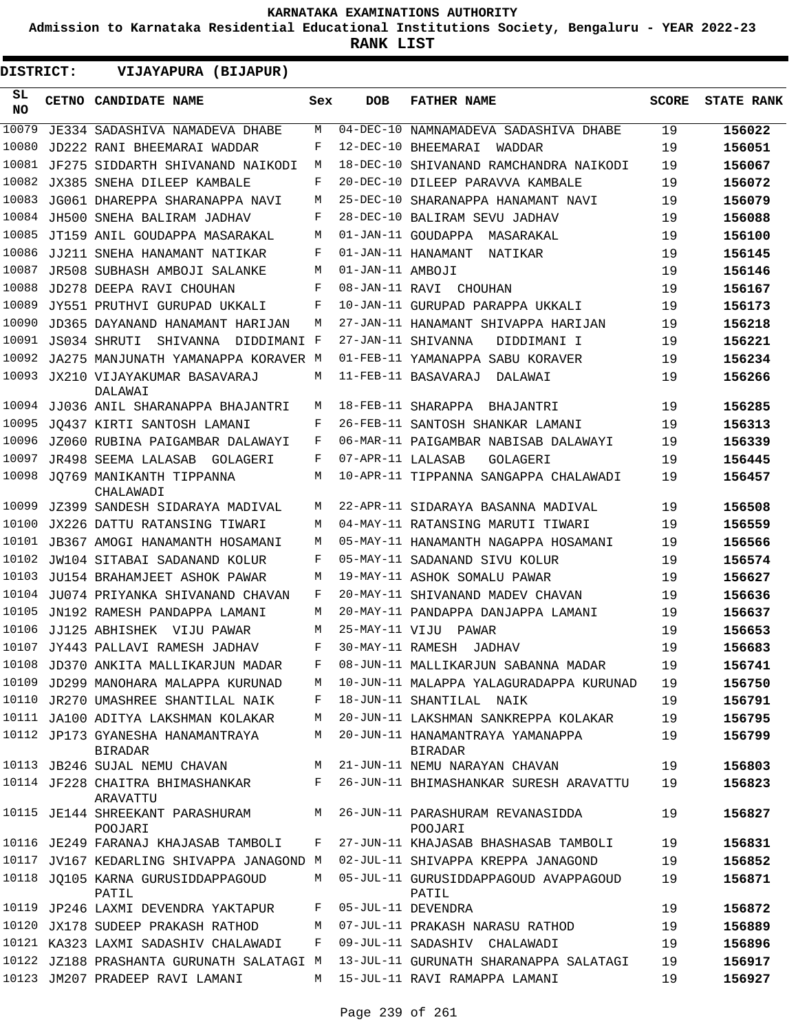**Admission to Karnataka Residential Educational Institutions Society, Bengaluru - YEAR 2022-23**

| DISTRICT:        | VIJAYAPURA (BIJAPUR)                         |     |                   |                                                    |              |                   |
|------------------|----------------------------------------------|-----|-------------------|----------------------------------------------------|--------------|-------------------|
| SL.<br><b>NO</b> | <b>CETNO CANDIDATE NAME</b>                  | Sex | <b>DOB</b>        | <b>FATHER NAME</b>                                 | <b>SCORE</b> | <b>STATE RANK</b> |
| 10079            | JE334 SADASHIVA NAMADEVA DHABE               | М   |                   | 04-DEC-10 NAMNAMADEVA SADASHIVA DHABE              | 19           | 156022            |
| 10080            | JD222 RANI BHEEMARAI WADDAR                  | F   |                   | 12-DEC-10 BHEEMARAI<br>WADDAR                      | 19           | 156051            |
| 10081            | JF275 SIDDARTH SHIVANAND NAIKODI             | М   |                   | 18-DEC-10 SHIVANAND RAMCHANDRA NAIKODI             | 19           | 156067            |
| 10082            | JX385 SNEHA DILEEP KAMBALE                   | F   |                   | 20-DEC-10 DILEEP PARAVVA KAMBALE                   | 19           | 156072            |
| 10083            | JG061 DHAREPPA SHARANAPPA NAVI               | М   |                   | 25-DEC-10 SHARANAPPA HANAMANT NAVI                 | 19           | 156079            |
| 10084            | JH500 SNEHA BALIRAM JADHAV                   | F   |                   | 28-DEC-10 BALIRAM SEVU JADHAV                      | 19           | 156088            |
| 10085            | JT159 ANIL GOUDAPPA MASARAKAL                | М   |                   | 01-JAN-11 GOUDAPPA MASARAKAL                       | 19           | 156100            |
| 10086            | JJ211 SNEHA HANAMANT NATIKAR                 | F   |                   | 01-JAN-11 HANAMANT<br>NATIKAR                      | 19           | 156145            |
| 10087            | JR508 SUBHASH AMBOJI SALANKE                 | М   | 01-JAN-11 AMBOJI  |                                                    | 19           | 156146            |
| 10088            | <b>JD278 DEEPA RAVI CHOUHAN</b>              | F   |                   | 08-JAN-11 RAVI CHOUHAN                             | 19           | 156167            |
| 10089            | JY551 PRUTHVI GURUPAD UKKALI                 | F   |                   | 10-JAN-11 GURUPAD PARAPPA UKKALI                   | 19           | 156173            |
| 10090            | JD365 DAYANAND HANAMANT HARIJAN              | М   |                   | 27-JAN-11 HANAMANT SHIVAPPA HARIJAN                | 19           | 156218            |
| 10091            | JS034 SHRUTI<br>SHIVANNA<br>DIDDIMANI F      |     |                   | 27-JAN-11 SHIVANNA<br>DIDDIMANI I                  | 19           | 156221            |
| 10092            | JA275 MANJUNATH YAMANAPPA KORAVER M          |     |                   | 01-FEB-11 YAMANAPPA SABU KORAVER                   | 19           | 156234            |
| 10093            | JX210 VIJAYAKUMAR BASAVARAJ<br>DALAWAI       | М   |                   | 11-FEB-11 BASAVARAJ<br>DALAWAI                     | 19           | 156266            |
|                  | 10094 JJ036 ANIL SHARANAPPA BHAJANTRI        | М   |                   | 18-FEB-11 SHARAPPA BHAJANTRI                       | 19           | 156285            |
| 10095            | JQ437 KIRTI SANTOSH LAMANI                   | F   |                   | 26-FEB-11 SANTOSH SHANKAR LAMANI                   | 19           | 156313            |
| 10096            | JZ060 RUBINA PAIGAMBAR DALAWAYI              | F   |                   | 06-MAR-11 PAIGAMBAR NABISAB DALAWAYI               | 19           | 156339            |
| 10097            | JR498 SEEMA LALASAB GOLAGERI                 | F   | 07-APR-11 LALASAB | GOLAGERI                                           | 19           | 156445            |
| 10098            | JO769 MANIKANTH TIPPANNA<br>CHALAWADI        | М   |                   | 10-APR-11 TIPPANNA SANGAPPA CHALAWADI              | 19           | 156457            |
| 10099            | JZ399 SANDESH SIDARAYA MADIVAL               | М   |                   | 22-APR-11 SIDARAYA BASANNA MADIVAL                 | 19           | 156508            |
| 10100            | JX226 DATTU RATANSING TIWARI                 | М   |                   | 04-MAY-11 RATANSING MARUTI TIWARI                  | 19           | 156559            |
| 10101            | JB367 AMOGI HANAMANTH HOSAMANI               | М   |                   | 05-MAY-11 HANAMANTH NAGAPPA HOSAMANI               | 19           | 156566            |
| 10102            | JW104 SITABAI SADANAND KOLUR                 | F   |                   | 05-MAY-11 SADANAND SIVU KOLUR                      | 19           | 156574            |
| 10103            | JU154 BRAHAMJEET ASHOK PAWAR                 | М   |                   | 19-MAY-11 ASHOK SOMALU PAWAR                       | 19           | 156627            |
| 10104            | JU074 PRIYANKA SHIVANAND CHAVAN              | F   |                   | 20-MAY-11 SHIVANAND MADEV CHAVAN                   | 19           | 156636            |
| 10105            | JN192 RAMESH PANDAPPA LAMANI                 | М   |                   | 20-MAY-11 PANDAPPA DANJAPPA LAMANI                 | 19           | 156637            |
| 10106            | JJ125 ABHISHEK VIJU PAWAR                    | М   | 25-MAY-11 VIJU    | PAWAR                                              | 19           | 156653            |
|                  | 10107 JY443 PALLAVI RAMESH JADHAV            | F   |                   | 30-MAY-11 RAMESH JADHAV                            | 19           | 156683            |
|                  | 10108 JD370 ANKITA MALLIKARJUN MADAR         | F   |                   | 08-JUN-11 MALLIKARJUN SABANNA MADAR                | 19           | 156741            |
|                  | 10109 JD299 MANOHARA MALAPPA KURUNAD         | М   |                   | 10-JUN-11 MALAPPA YALAGURADAPPA KURUNAD            | 19           | 156750            |
|                  | 10110 JR270 UMASHREE SHANTILAL NAIK          | F   |                   | 18-JUN-11 SHANTILAL NAIK                           | 19           | 156791            |
|                  | 10111 JA100 ADITYA LAKSHMAN KOLAKAR          | М   |                   | 20-JUN-11 LAKSHMAN SANKREPPA KOLAKAR               | 19           | 156795            |
|                  | 10112 JP173 GYANESHA HANAMANTRAYA<br>BIRADAR | М   |                   | 20-JUN-11 HANAMANTRAYA YAMANAPPA<br><b>BIRADAR</b> | 19           | 156799            |
|                  | 10113 JB246 SUJAL NEMU CHAVAN                | М   |                   | 21-JUN-11 NEMU NARAYAN CHAVAN                      | 19           | 156803            |
|                  | 10114 JF228 CHAITRA BHIMASHANKAR<br>ARAVATTU | F   |                   | 26-JUN-11 BHIMASHANKAR SURESH ARAVATTU             | 19           | 156823            |
|                  | 10115 JE144 SHREEKANT PARASHURAM<br>POOJARI  | M   |                   | 26-JUN-11 PARASHURAM REVANASIDDA<br>POOJARI        | 19           | 156827            |
|                  | 10116 JE249 FARANAJ KHAJASAB TAMBOLI         | F   |                   | 27-JUN-11 KHAJASAB BHASHASAB TAMBOLI               | 19           | 156831            |
|                  | 10117 JV167 KEDARLING SHIVAPPA JANAGOND M    |     |                   | 02-JUL-11 SHIVAPPA KREPPA JANAGOND                 | 19           | 156852            |
|                  | 10118 JO105 KARNA GURUSIDDAPPAGOUD<br>PATIL  | М   |                   | 05-JUL-11 GURUSIDDAPPAGOUD AVAPPAGOUD<br>PATIL     | 19           | 156871            |
|                  | 10119 JP246 LAXMI DEVENDRA YAKTAPUR          | F   |                   | 05-JUL-11 DEVENDRA                                 | 19           | 156872            |
|                  | 10120 JX178 SUDEEP PRAKASH RATHOD            | M   |                   | 07-JUL-11 PRAKASH NARASU RATHOD                    | 19           | 156889            |
|                  | 10121 KA323 LAXMI SADASHIV CHALAWADI         | F   |                   | 09-JUL-11 SADASHIV CHALAWADI                       | 19           | 156896            |
|                  | 10122 JZ188 PRASHANTA GURUNATH SALATAGI M    |     |                   | 13-JUL-11 GURUNATH SHARANAPPA SALATAGI             | 19           | 156917            |
|                  | 10123 JM207 PRADEEP RAVI LAMANI              | М   |                   | 15-JUL-11 RAVI RAMAPPA LAMANI                      | 19           | 156927            |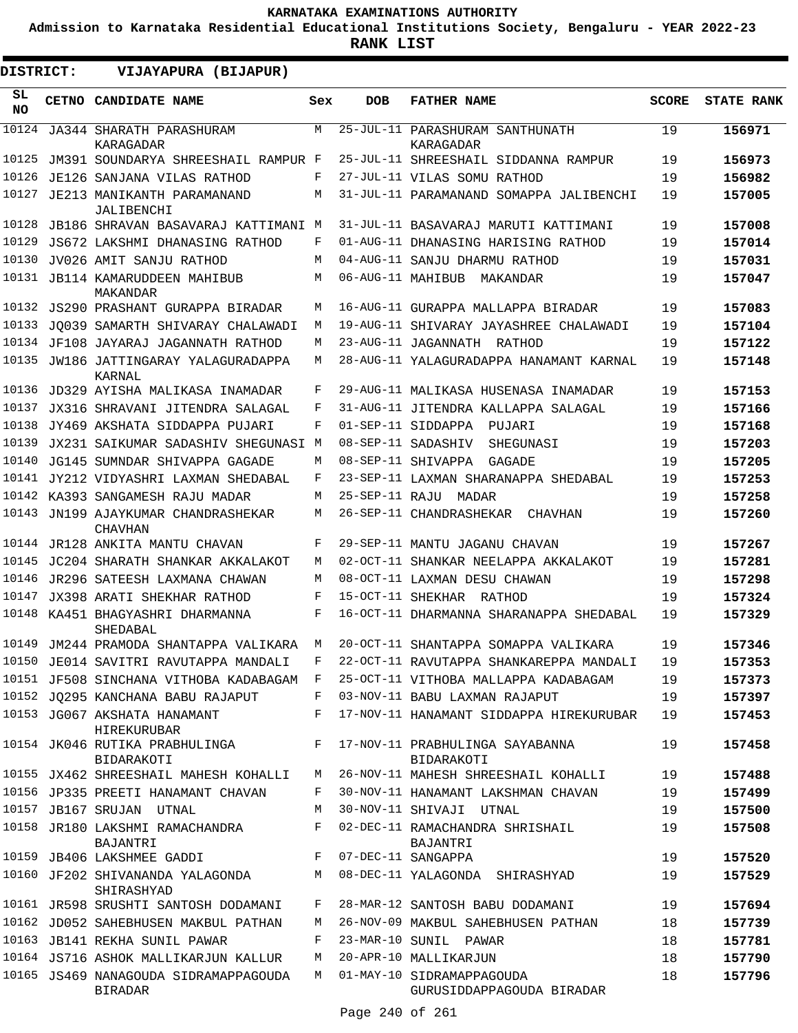**Admission to Karnataka Residential Educational Institutions Society, Bengaluru - YEAR 2022-23**

| DISTRICT:       |  | VIJAYAPURA (BIJAPUR)                                    |     |                   |                                                        |              |                   |
|-----------------|--|---------------------------------------------------------|-----|-------------------|--------------------------------------------------------|--------------|-------------------|
| SL<br><b>NO</b> |  | CETNO CANDIDATE NAME                                    | Sex | <b>DOB</b>        | <b>FATHER NAME</b>                                     | <b>SCORE</b> | <b>STATE RANK</b> |
| 10124           |  | JA344 SHARATH PARASHURAM<br>KARAGADAR                   | M   |                   | 25-JUL-11 PARASHURAM SANTHUNATH<br>KARAGADAR           | 19           | 156971            |
| 10125           |  | JM391 SOUNDARYA SHREESHAIL RAMPUR F                     |     |                   | 25-JUL-11 SHREESHAIL SIDDANNA RAMPUR                   | 19           | 156973            |
| 10126           |  | JE126 SANJANA VILAS RATHOD                              | F   |                   | 27-JUL-11 VILAS SOMU RATHOD                            | 19           | 156982            |
| 10127           |  | JE213 MANIKANTH PARAMANAND<br>JALIBENCHI                | М   |                   | 31-JUL-11 PARAMANAND SOMAPPA JALIBENCHI                | 19           | 157005            |
| 10128           |  | JB186 SHRAVAN BASAVARAJ KATTIMANI M                     |     |                   | 31-JUL-11 BASAVARAJ MARUTI KATTIMANI                   | 19           | 157008            |
| 10129           |  | JS672 LAKSHMI DHANASING RATHOD                          | F   |                   | 01-AUG-11 DHANASING HARISING RATHOD                    | 19           | 157014            |
| 10130           |  | JV026 AMIT SANJU RATHOD                                 | M   |                   | 04-AUG-11 SANJU DHARMU RATHOD                          | 19           | 157031            |
|                 |  | 10131 JB114 KAMARUDDEEN MAHIBUB<br>MAKANDAR             | М   | 06-AUG-11 MAHIBUB | MAKANDAR                                               | 19           | 157047            |
|                 |  | 10132 JS290 PRASHANT GURAPPA BIRADAR                    | М   |                   | 16-AUG-11 GURAPPA MALLAPPA BIRADAR                     | 19           | 157083            |
| 10133           |  | JO039 SAMARTH SHIVARAY CHALAWADI                        | М   |                   | 19-AUG-11 SHIVARAY JAYASHREE CHALAWADI                 | 19           | 157104            |
| 10134           |  | JF108 JAYARAJ JAGANNATH RATHOD                          | М   |                   | 23-AUG-11 JAGANNATH RATHOD                             | 19           | 157122            |
| 10135           |  | JW186 JATTINGARAY YALAGURADAPPA<br>KARNAL               | М   |                   | 28-AUG-11 YALAGURADAPPA HANAMANT KARNAL                | 19           | 157148            |
| 10136           |  | JD329 AYISHA MALIKASA INAMADAR                          | F   |                   | 29-AUG-11 MALIKASA HUSENASA INAMADAR                   | 19           | 157153            |
| 10137           |  | JX316 SHRAVANI JITENDRA SALAGAL                         | F   |                   | 31-AUG-11 JITENDRA KALLAPPA SALAGAL                    | 19           | 157166            |
| 10138           |  | JY469 AKSHATA SIDDAPPA PUJARI                           | F   |                   | 01-SEP-11 SIDDAPPA<br>PUJARI                           | 19           | 157168            |
| 10139           |  | JX231 SAIKUMAR SADASHIV SHEGUNASI M                     |     |                   | 08-SEP-11 SADASHIV<br>SHEGUNASI                        | 19           | 157203            |
| 10140           |  | JG145 SUMNDAR SHIVAPPA GAGADE                           | М   |                   | 08-SEP-11 SHIVAPPA<br>GAGADE                           | 19           | 157205            |
|                 |  | 10141 JY212 VIDYASHRI LAXMAN SHEDABAL                   | F   |                   | 23-SEP-11 LAXMAN SHARANAPPA SHEDABAL                   | 19           | 157253            |
|                 |  | 10142 KA393 SANGAMESH RAJU MADAR                        | М   | 25-SEP-11 RAJU    | MADAR                                                  | 19           | 157258            |
| 10143           |  | JN199 AJAYKUMAR CHANDRASHEKAR<br>CHAVHAN                | М   |                   | 26-SEP-11 CHANDRASHEKAR<br>CHAVHAN                     | 19           | 157260            |
| 10144           |  | JR128 ANKITA MANTU CHAVAN                               | F   |                   | 29-SEP-11 MANTU JAGANU CHAVAN                          | 19           | 157267            |
| 10145           |  | JC204 SHARATH SHANKAR AKKALAKOT                         | М   |                   | 02-OCT-11 SHANKAR NEELAPPA AKKALAKOT                   | 19           | 157281            |
| 10146           |  | JR296 SATEESH LAXMANA CHAWAN                            | M   |                   | 08-OCT-11 LAXMAN DESU CHAWAN                           | 19           | 157298            |
| 10147           |  | JX398 ARATI SHEKHAR RATHOD                              | F   |                   | 15-OCT-11 SHEKHAR RATHOD                               | 19           | 157324            |
|                 |  | 10148 KA451 BHAGYASHRI DHARMANNA<br>SHEDABAL            | F   |                   | 16-OCT-11 DHARMANNA SHARANAPPA SHEDABAL                | 19           | 157329            |
|                 |  | 10149 JM244 PRAMODA SHANTAPPA VALIKARA                  | M   |                   | 20-OCT-11 SHANTAPPA SOMAPPA VALIKARA                   | 19           | 157346            |
|                 |  | 10150 JE014 SAVITRI RAVUTAPPA MANDALI                   | F   |                   | 22-OCT-11 RAVUTAPPA SHANKAREPPA MANDALI                | 19           | 157353            |
|                 |  | 10151 JF508 SINCHANA VITHOBA KADABAGAM                  | F   |                   | 25-OCT-11 VITHOBA MALLAPPA KADABAGAM                   | 19           | 157373            |
|                 |  | 10152 JQ295 KANCHANA BABU RAJAPUT                       | F   |                   | 03-NOV-11 BABU LAXMAN RAJAPUT                          | 19           | 157397            |
|                 |  | 10153 JG067 AKSHATA HANAMANT<br>HIREKURUBAR             | F   |                   | 17-NOV-11 HANAMANT SIDDAPPA HIREKURUBAR                | 19           | 157453            |
|                 |  | 10154 JK046 RUTIKA PRABHULINGA<br><b>BIDARAKOTI</b>     | F   |                   | 17-NOV-11 PRABHULINGA SAYABANNA<br>BIDARAKOTI          | 19           | 157458            |
|                 |  | 10155 JX462 SHREESHAIL MAHESH KOHALLI                   | M   |                   | 26-NOV-11 MAHESH SHREESHAIL KOHALLI                    | 19           | 157488            |
|                 |  | 10156 JP335 PREETI HANAMANT CHAVAN                      | F   |                   | 30-NOV-11 HANAMANT LAKSHMAN CHAVAN                     | 19           | 157499            |
|                 |  | 10157 JB167 SRUJAN UTNAL                                | М   |                   | 30-NOV-11 SHIVAJI UTNAL                                | 19           | 157500            |
|                 |  | 10158 JR180 LAKSHMI RAMACHANDRA<br>BAJANTRI             | F   |                   | 02-DEC-11 RAMACHANDRA SHRISHAIL<br>BAJANTRI            | 19           | 157508            |
|                 |  | 10159 JB406 LAKSHMEE GADDI                              | F   |                   | 07-DEC-11 SANGAPPA                                     | 19           | 157520            |
|                 |  | 10160 JF202 SHIVANANDA YALAGONDA<br>SHIRASHYAD          | М   |                   | 08-DEC-11 YALAGONDA SHIRASHYAD                         | 19           | 157529            |
|                 |  | 10161 JR598 SRUSHTI SANTOSH DODAMANI                    | F   |                   | 28-MAR-12 SANTOSH BABU DODAMANI                        | 19           | 157694            |
|                 |  | 10162 JD052 SAHEBHUSEN MAKBUL PATHAN                    | М   |                   | 26-NOV-09 MAKBUL SAHEBHUSEN PATHAN                     | 18           | 157739            |
|                 |  | 10163 JB141 REKHA SUNIL PAWAR                           | F   |                   | 23-MAR-10 SUNIL PAWAR                                  | 18           | 157781            |
|                 |  | 10164 JS716 ASHOK MALLIKARJUN KALLUR                    | М   |                   | 20-APR-10 MALLIKARJUN                                  | 18           | 157790            |
|                 |  | 10165 JS469 NANAGOUDA SIDRAMAPPAGOUDA<br><b>BIRADAR</b> | M   |                   | 01-MAY-10 SIDRAMAPPAGOUDA<br>GURUSIDDAPPAGOUDA BIRADAR | 18           | 157796            |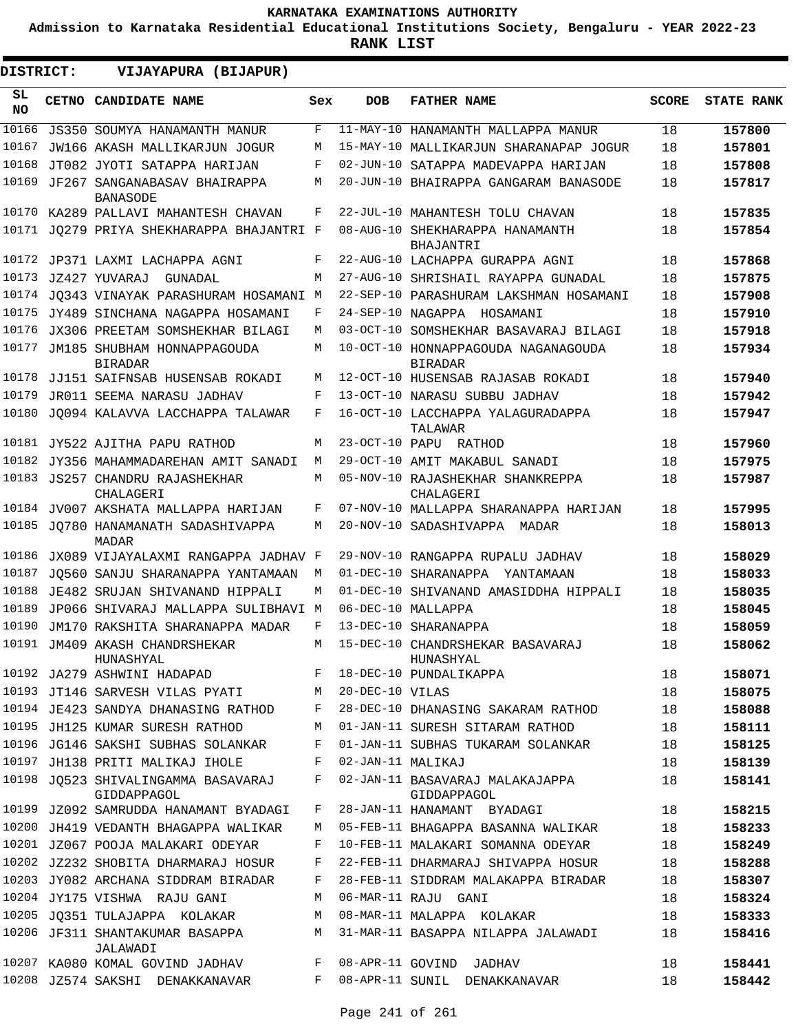**Admission to Karnataka Residential Educational Institutions Society, Bengaluru - YEAR 2022-23**

| DISTRICT:       | VIJAYAPURA (BIJAPUR)                            |     |                   |                                                       |              |                   |
|-----------------|-------------------------------------------------|-----|-------------------|-------------------------------------------------------|--------------|-------------------|
| SL<br><b>NO</b> | CETNO CANDIDATE NAME                            | Sex | <b>DOB</b>        | <b>FATHER NAME</b>                                    | <b>SCORE</b> | <b>STATE RANK</b> |
| 10166           | JS350 SOUMYA HANAMANTH MANUR                    | F   |                   | 11-MAY-10 HANAMANTH MALLAPPA MANUR                    | 18           | 157800            |
| 10167           | JW166 AKASH MALLIKARJUN JOGUR                   | М   |                   | 15-MAY-10 MALLIKARJUN SHARANAPAP JOGUR                | 18           | 157801            |
| 10168           | JT082 JYOTI SATAPPA HARIJAN                     | F   |                   | 02-JUN-10 SATAPPA MADEVAPPA HARIJAN                   | 18           | 157808            |
| 10169           | JF267 SANGANABASAV BHAIRAPPA<br><b>BANASODE</b> | М   |                   | 20-JUN-10 BHAIRAPPA GANGARAM BANASODE                 | 18           | 157817            |
| 10170           | KA289 PALLAVI MAHANTESH CHAVAN                  | F   |                   | 22-JUL-10 MAHANTESH TOLU CHAVAN                       | 18           | 157835            |
|                 | 10171 JO279 PRIYA SHEKHARAPPA BHAJANTRI F       |     |                   | 08-AUG-10 SHEKHARAPPA HANAMANTH<br>BHAJANTRI          | 18           | 157854            |
|                 | 10172 JP371 LAXMI LACHAPPA AGNI                 | F   |                   | 22-AUG-10 LACHAPPA GURAPPA AGNI                       | 18           | 157868            |
| 10173           | JZ427 YUVARAJ<br>GUNADAL                        | M   |                   | 27-AUG-10 SHRISHAIL RAYAPPA GUNADAL                   | 18           | 157875            |
| 10174           | JO343 VINAYAK PARASHURAM HOSAMANI M             |     |                   | 22-SEP-10 PARASHURAM LAKSHMAN HOSAMANI                | 18           | 157908            |
| 10175           | JY489 SINCHANA NAGAPPA HOSAMANI                 | F   |                   | 24-SEP-10 NAGAPPA HOSAMANI                            | 18           | 157910            |
| 10176           | JX306 PREETAM SOMSHEKHAR BILAGI                 | М   |                   | 03-OCT-10 SOMSHEKHAR BASAVARAJ BILAGI                 | 18           | 157918            |
| 10177           | JM185 SHUBHAM HONNAPPAGOUDA<br><b>BIRADAR</b>   | М   |                   | 10-OCT-10 HONNAPPAGOUDA NAGANAGOUDA<br><b>BIRADAR</b> | 18           | 157934            |
| 10178           | JJ151 SAIFNSAB HUSENSAB ROKADI                  | М   |                   | 12-OCT-10 HUSENSAB RAJASAB ROKADI                     | 18           | 157940            |
| 10179           | JR011 SEEMA NARASU JADHAV                       | F   |                   | 13-OCT-10 NARASU SUBBU JADHAV                         | 18           | 157942            |
| 10180           | JO094 KALAVVA LACCHAPPA TALAWAR                 | F   |                   | 16-OCT-10 LACCHAPPA YALAGURADAPPA<br>TALAWAR          | 18           | 157947            |
| 10181           | JY522 AJITHA PAPU RATHOD                        | М   |                   | 23-OCT-10 PAPU RATHOD                                 | 18           | 157960            |
| 10182           | JY356 MAHAMMADAREHAN AMIT SANADI                | М   |                   | 29-OCT-10 AMIT MAKABUL SANADI                         | 18           | 157975            |
| 10183           | JS257 CHANDRU RAJASHEKHAR<br>CHALAGERI          | М   |                   | 05-NOV-10 RAJASHEKHAR SHANKREPPA<br>CHALAGERI         | 18           | 157987            |
| 10184           | JV007 AKSHATA MALLAPPA HARIJAN                  | F   |                   | 07-NOV-10 MALLAPPA SHARANAPPA HARIJAN                 | 18           | 157995            |
|                 | 10185 JQ780 HANAMANATH SADASHIVAPPA<br>MADAR    | M   |                   | 20-NOV-10 SADASHIVAPPA MADAR                          | 18           | 158013            |
| 10186           | JX089 VIJAYALAXMI RANGAPPA JADHAV F             |     |                   | 29-NOV-10 RANGAPPA RUPALU JADHAV                      | 18           | 158029            |
| 10187           | JO560 SANJU SHARANAPPA YANTAMAAN                | М   |                   | 01-DEC-10 SHARANAPPA YANTAMAAN                        | 18           | 158033            |
| 10188           | JE482 SRUJAN SHIVANAND HIPPALI                  | М   |                   | 01-DEC-10 SHIVANAND AMASIDDHA HIPPALI                 | 18           | 158035            |
| 10189           | JP066 SHIVARAJ MALLAPPA SULIBHAVI M             |     |                   | 06-DEC-10 MALLAPPA                                    | 18           | 158045            |
| 10190           | JM170 RAKSHITA SHARANAPPA MADAR                 | F   |                   | 13-DEC-10 SHARANAPPA                                  | 18           | 158059            |
|                 | 10191 JM409 AKASH CHANDRSHEKAR<br>HUNASHYAL     | M   |                   | 15-DEC-10 CHANDRSHEKAR BASAVARAJ<br>HUNASHYAL         | 18           | 158062            |
|                 | 10192 JA279 ASHWINI HADAPAD                     | F   |                   | 18-DEC-10 PUNDALIKAPPA                                | 18           | 158071            |
|                 | 10193 JT146 SARVESH VILAS PYATI                 | М   | 20-DEC-10 VILAS   |                                                       | 18           | 158075            |
|                 | 10194 JE423 SANDYA DHANASING RATHOD             | F   |                   | 28-DEC-10 DHANASING SAKARAM RATHOD                    | 18           | 158088            |
|                 | 10195 JH125 KUMAR SURESH RATHOD                 | М   |                   | 01-JAN-11 SURESH SITARAM RATHOD                       | 18           | 158111            |
|                 | 10196 JG146 SAKSHI SUBHAS SOLANKAR              | F   |                   | 01-JAN-11 SUBHAS TUKARAM SOLANKAR                     | 18           | 158125            |
|                 | 10197 JH138 PRITI MALIKAJ IHOLE                 | F   | 02-JAN-11 MALIKAJ |                                                       | 18           | 158139            |
| 10198           | JQ523 SHIVALINGAMMA BASAVARAJ<br>GIDDAPPAGOL    | F   |                   | 02-JAN-11 BASAVARAJ MALAKAJAPPA<br>GIDDAPPAGOL        | 18           | 158141            |
|                 | 10199 JZ092 SAMRUDDA HANAMANT BYADAGI           | F   |                   | 28-JAN-11 HANAMANT BYADAGI                            | 18           | 158215            |
|                 | 10200 JH419 VEDANTH BHAGAPPA WALIKAR            | М   |                   | 05-FEB-11 BHAGAPPA BASANNA WALIKAR                    | 18           | 158233            |
|                 | 10201 JZ067 POOJA MALAKARI ODEYAR               | F   |                   | 10-FEB-11 MALAKARI SOMANNA ODEYAR                     | 18           | 158249            |
|                 | 10202 JZ232 SHOBITA DHARMARAJ HOSUR             | F   |                   | 22-FEB-11 DHARMARAJ SHIVAPPA HOSUR                    | 18           | 158288            |
|                 | 10203 JY082 ARCHANA SIDDRAM BIRADAR             | F   |                   | 28-FEB-11 SIDDRAM MALAKAPPA BIRADAR                   | 18           | 158307            |
|                 | 10204 JY175 VISHWA RAJU GANI                    | М   |                   | 06-MAR-11 RAJU GANI                                   | 18           | 158324            |
|                 | 10205 JQ351 TULAJAPPA KOLAKAR                   | М   |                   | 08-MAR-11 MALAPPA KOLAKAR                             | 18           | 158333            |
|                 | 10206 JF311 SHANTAKUMAR BASAPPA<br>JALAWADI     | М   |                   | 31-MAR-11 BASAPPA NILAPPA JALAWADI                    | 18           | 158416            |
|                 | 10207 KA080 KOMAL GOVIND JADHAV                 | F   |                   | 08-APR-11 GOVIND JADHAV                               | 18           | 158441            |
|                 | 10208 JZ574 SAKSHI DENAKKANAVAR                 | F   |                   | 08-APR-11 SUNIL DENAKKANAVAR                          | 18           | 158442            |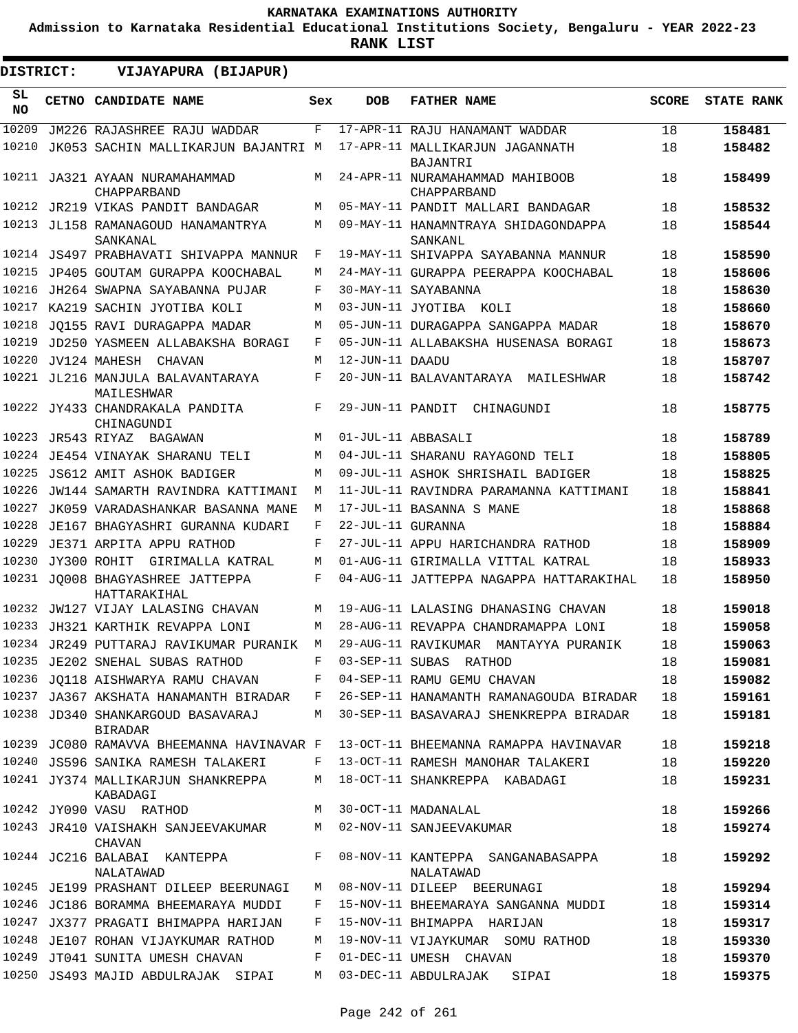**Admission to Karnataka Residential Educational Institutions Society, Bengaluru - YEAR 2022-23**

**RANK LIST**

**DISTRICT:** EE **VIJAYAPURA (BIJAPUR)**

| SL<br>NO. | CETNO CANDIDATE NAME                                           | Sex   | <b>DOB</b>        | <b>FATHER NAME</b>                                                                 | <b>SCORE</b> | <b>STATE RANK</b> |
|-----------|----------------------------------------------------------------|-------|-------------------|------------------------------------------------------------------------------------|--------------|-------------------|
| 10209     | JM226 RAJASHREE RAJU WADDAR                                    | F     |                   | 17-APR-11 RAJU HANAMANT WADDAR                                                     | 18           | 158481            |
| 10210     | JK053 SACHIN MALLIKARJUN BAJANTRI M                            |       |                   | 17-APR-11 MALLIKARJUN JAGANNATH<br>BAJANTRI                                        | 18           | 158482            |
| 10211     | JA321 AYAAN NURAMAHAMMAD<br>CHAPPARBAND                        | М     |                   | 24-APR-11 NURAMAHAMMAD MAHIBOOB<br>CHAPPARBAND                                     | 18           | 158499            |
| 10212     | JR219 VIKAS PANDIT BANDAGAR                                    | М     |                   | 05-MAY-11 PANDIT MALLARI BANDAGAR                                                  | 18           | 158532            |
| 10213     | JL158 RAMANAGOUD HANAMANTRYA<br>SANKANAL                       | М     |                   | 09-MAY-11 HANAMNTRAYA SHIDAGONDAPPA<br>SANKANL                                     | 18           | 158544            |
|           | 10214 JS497 PRABHAVATI SHIVAPPA MANNUR                         | F     |                   | 19-MAY-11 SHIVAPPA SAYABANNA MANNUR                                                | 18           | 158590            |
| 10215     | JP405 GOUTAM GURAPPA KOOCHABAL                                 | М     |                   | 24-MAY-11 GURAPPA PEERAPPA KOOCHABAL                                               | 18           | 158606            |
| 10216     | JH264 SWAPNA SAYABANNA PUJAR                                   | F     |                   | 30-MAY-11 SAYABANNA                                                                | 18           | 158630            |
| 10217     | KA219 SACHIN JYOTIBA KOLI                                      | М     |                   | 03-JUN-11 JYOTIBA KOLI                                                             | 18           | 158660            |
| 10218     | JO155 RAVI DURAGAPPA MADAR                                     | М     |                   | 05-JUN-11 DURAGAPPA SANGAPPA MADAR                                                 | 18           | 158670            |
| 10219     | JD250 YASMEEN ALLABAKSHA BORAGI                                | F     |                   | 05-JUN-11 ALLABAKSHA HUSENASA BORAGI                                               | 18           | 158673            |
| 10220     | JV124 MAHESH<br>CHAVAN                                         | М     | 12-JUN-11 DAADU   |                                                                                    | 18           | 158707            |
|           | 10221 JL216 MANJULA BALAVANTARAYA<br>MAILESHWAR                | F     |                   | 20-JUN-11 BALAVANTARAYA MAILESHWAR                                                 | 18           | 158742            |
|           | 10222 JY433 CHANDRAKALA PANDITA<br>CHINAGUNDI                  | F     |                   | 29-JUN-11 PANDIT CHINAGUNDI                                                        | 18           | 158775            |
|           | 10223 JR543 RIYAZ BAGAWAN                                      | М     |                   | 01-JUL-11 ABBASALI                                                                 | 18           | 158789            |
|           | 10224 JE454 VINAYAK SHARANU TELI                               | М     |                   | 04-JUL-11 SHARANU RAYAGOND TELI                                                    | 18           | 158805            |
| 10225     | JS612 AMIT ASHOK BADIGER                                       | М     |                   | 09-JUL-11 ASHOK SHRISHAIL BADIGER                                                  | 18           | 158825            |
| 10226     | JW144 SAMARTH RAVINDRA KATTIMANI                               | М     |                   | 11-JUL-11 RAVINDRA PARAMANNA KATTIMANI                                             | 18           | 158841            |
| 10227     | JK059 VARADASHANKAR BASANNA MANE                               | М     |                   | 17-JUL-11 BASANNA S MANE                                                           | 18           | 158868            |
| 10228     | JE167 BHAGYASHRI GURANNA KUDARI                                | F     | 22-JUL-11 GURANNA |                                                                                    | 18           | 158884            |
| 10229     | JE371 ARPITA APPU RATHOD                                       | F     |                   | 27-JUL-11 APPU HARICHANDRA RATHOD                                                  | 18           | 158909            |
| 10230     | JY300 ROHIT GIRIMALLA KATRAL                                   | М     |                   | 01-AUG-11 GIRIMALLA VITTAL KATRAL                                                  | 18           | 158933            |
|           | 10231 JO008 BHAGYASHREE JATTEPPA<br>HATTARAKIHAL               | F     |                   | 04-AUG-11 JATTEPPA NAGAPPA HATTARAKIHAL                                            | 18           | 158950            |
|           | 10232 JW127 VIJAY LALASING CHAVAN                              | М     |                   | 19-AUG-11 LALASING DHANASING CHAVAN                                                | 18           | 159018            |
| 10233     | JH321 KARTHIK REVAPPA LONI                                     | М     |                   | 28-AUG-11 REVAPPA CHANDRAMAPPA LONI                                                | 18           | 159058            |
|           | 10234 JR249 PUTTARAJ RAVIKUMAR PURANIK                         | М     |                   | 29-AUG-11 RAVIKUMAR MANTAYYA PURANIK                                               | 18           | 159063            |
|           | 10235 JE202 SNEHAL SUBAS RATHOD                                | F     |                   | 03-SEP-11 SUBAS RATHOD                                                             | 18           | 159081            |
|           | 10236 JQ118 AISHWARYA RAMU CHAVAN F 04-SEP-11 RAMU GEMU CHAVAN |       |                   |                                                                                    | 18           | 159082            |
|           |                                                                |       |                   | 10237 JA367 AKSHATA HANAMANTH BIRADAR F 26-SEP-11 HANAMANTH RAMANAGOUDA BIRADAR 18 |              | 159161            |
|           | 10238 JD340 SHANKARGOUD BASAVARAJ<br><b>BIRADAR</b>            |       |                   | M 30-SEP-11 BASAVARAJ SHENKREPPA BIRADAR                                           | 18           | 159181            |
|           |                                                                |       |                   | 10239 JC080 RAMAVVA BHEEMANNA HAVINAVAR F 13-OCT-11 BHEEMANNA RAMAPPA HAVINAVAR    | 18           | 159218            |
|           | 10240 JS596 SANIKA RAMESH TALAKERI                             |       |                   | F 13-OCT-11 RAMESH MANOHAR TALAKERI                                                | 18           | 159220            |
|           | 10241 JY374 MALLIKARJUN SHANKREPPA<br>KABADAGI                 | M     |                   | 18-OCT-11 SHANKREPPA KABADAGI                                                      | 18           | 159231            |
|           | 10242 JY090 VASU RATHOD                                        |       |                   | M 30-OCT-11 MADANALAL                                                              | 18           | 159266            |
|           | 10243 JR410 VAISHAKH SANJEEVAKUMAR<br>CHAVAN                   |       |                   | M 02-NOV-11 SANJEEVAKUMAR                                                          | 18           | 159274            |
|           | 10244 JC216 BALABAI KANTEPPA<br>NALATAWAD                      | $F$ – |                   | 08-NOV-11 KANTEPPA SANGANABASAPPA<br>NALATAWAD                                     | 18           | 159292            |
|           | 10245 JE199 PRASHANT DILEEP BEERUNAGI                          | M     |                   | 08-NOV-11 DILEEP BEERUNAGI                                                         | 18           | 159294            |
|           | 10246 JC186 BORAMMA BHEEMARAYA MUDDI                           | F     |                   | 15-NOV-11 BHEEMARAYA SANGANNA MUDDI                                                | 18           | 159314            |
|           | 10247 JX377 PRAGATI BHIMAPPA HARIJAN                           | F     |                   | 15-NOV-11 BHIMAPPA HARIJAN                                                         | 18           | 159317            |
|           | 10248 JE107 ROHAN VIJAYKUMAR RATHOD                            | M     |                   | 19-NOV-11 VIJAYKUMAR SOMU RATHOD                                                   | 18           | 159330            |
|           | 10249 JT041 SUNITA UMESH CHAVAN                                | F     |                   | 01-DEC-11 UMESH CHAVAN                                                             | 18           | 159370            |
|           | 10250 JS493 MAJID ABDULRAJAK SIPAI                             |       |                   | M 03-DEC-11 ABDULRAJAK<br>SIPAI                                                    | 18           | 159375            |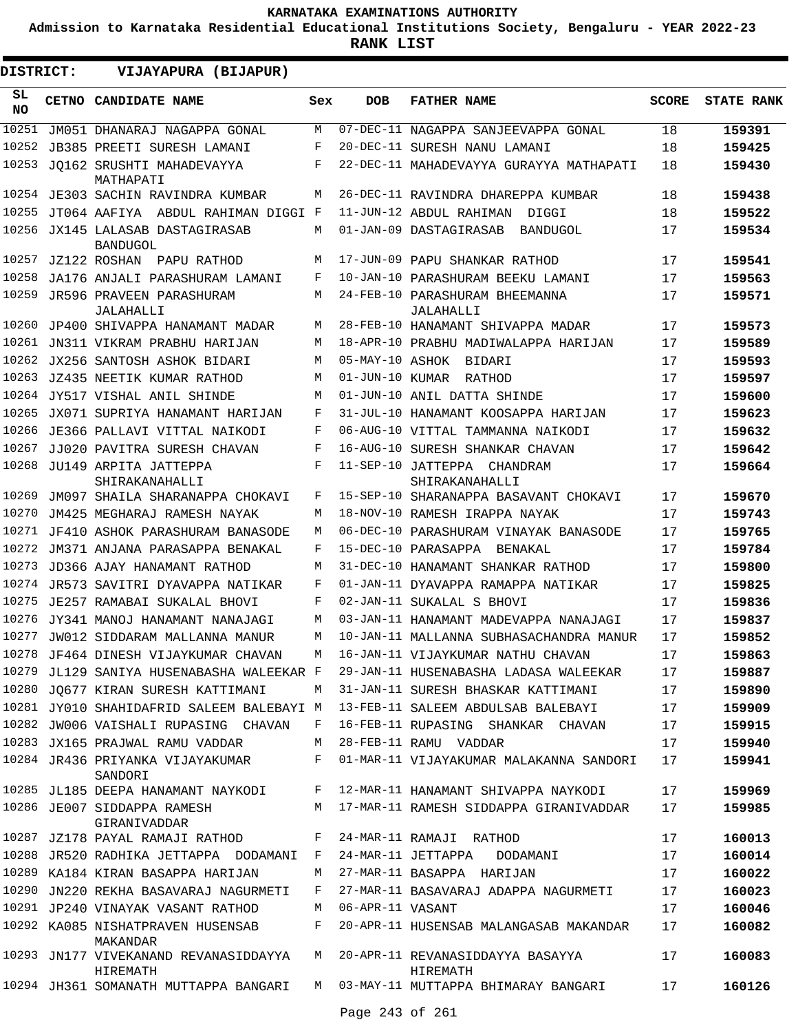**Admission to Karnataka Residential Educational Institutions Society, Bengaluru - YEAR 2022-23**

| <b>DISTRICT:</b> | VIJAYAPURA (BIJAPUR)                                |     |                  |                                               |              |                   |
|------------------|-----------------------------------------------------|-----|------------------|-----------------------------------------------|--------------|-------------------|
| SL.<br>NO.       | CETNO CANDIDATE NAME                                | Sex | <b>DOB</b>       | <b>FATHER NAME</b>                            | <b>SCORE</b> | <b>STATE RANK</b> |
| 10251            | JM051 DHANARAJ NAGAPPA GONAL                        | М   |                  | 07-DEC-11 NAGAPPA SANJEEVAPPA GONAL           | 18           | 159391            |
| 10252            | <b>JB385 PREETI SURESH LAMANI</b>                   | F   |                  | 20-DEC-11 SURESH NANU LAMANI                  | 18           | 159425            |
|                  | 10253 JQ162 SRUSHTI MAHADEVAYYA<br>MATHAPATI        | F   |                  | 22-DEC-11 MAHADEVAYYA GURAYYA MATHAPATI       | 18           | 159430            |
| 10254            | JE303 SACHIN RAVINDRA KUMBAR                        | M   |                  | 26-DEC-11 RAVINDRA DHAREPPA KUMBAR            | 18           | 159438            |
| 10255            | JT064 AAFIYA ABDUL RAHIMAN DIGGI F                  |     |                  | 11-JUN-12 ABDUL RAHIMAN DIGGI                 | 18           | 159522            |
|                  | 10256 JX145 LALASAB DASTAGIRASAB<br><b>BANDUGOL</b> | M   |                  | 01-JAN-09 DASTAGIRASAB<br>BANDUGOL            | 17           | 159534            |
| 10257            | JZ122 ROSHAN PAPU RATHOD                            | M   |                  | 17-JUN-09 PAPU SHANKAR RATHOD                 | 17           | 159541            |
| 10258            | JA176 ANJALI PARASHURAM LAMANI                      | F   |                  | 10-JAN-10 PARASHURAM BEEKU LAMANI             | 17           | 159563            |
| 10259            | JR596 PRAVEEN PARASHURAM<br>JALAHALLI               | M   |                  | 24-FEB-10 PARASHURAM BHEEMANNA<br>JALAHALLI   | 17           | 159571            |
|                  | 10260 JP400 SHIVAPPA HANAMANT MADAR                 | M   |                  | 28-FEB-10 HANAMANT SHIVAPPA MADAR             | 17           | 159573            |
| 10261            | JN311 VIKRAM PRABHU HARIJAN                         | M   |                  | 18-APR-10 PRABHU MADIWALAPPA HARIJAN          | 17           | 159589            |
|                  | 10262 JX256 SANTOSH ASHOK BIDARI                    | M   | 05-MAY-10 ASHOK  | BIDARI                                        | 17           | 159593            |
| 10263            | JZ435 NEETIK KUMAR RATHOD                           | М   | 01-JUN-10 KUMAR  | RATHOD                                        | 17           | 159597            |
|                  | 10264 JY517 VISHAL ANIL SHINDE                      | M   |                  | 01-JUN-10 ANIL DATTA SHINDE                   | 17           | 159600            |
| 10265            | JX071 SUPRIYA HANAMANT HARIJAN                      | F   |                  | 31-JUL-10 HANAMANT KOOSAPPA HARIJAN           | 17           | 159623            |
| 10266            | JE366 PALLAVI VITTAL NAIKODI                        | F   |                  | 06-AUG-10 VITTAL TAMMANNA NAIKODI             | 17           | 159632            |
| 10267            | JJ020 PAVITRA SURESH CHAVAN                         | F   |                  | 16-AUG-10 SURESH SHANKAR CHAVAN               | 17           | 159642            |
| 10268            | JU149 ARPITA JATTEPPA<br>SHIRAKANAHALLI             | F   |                  | 11-SEP-10 JATTEPPA CHANDRAM<br>SHIRAKANAHALLI | 17           | 159664            |
| 10269            | JM097 SHAILA SHARANAPPA CHOKAVI                     | F   |                  | 15-SEP-10 SHARANAPPA BASAVANT CHOKAVI         | 17           | 159670            |
| 10270            | JM425 MEGHARAJ RAMESH NAYAK                         | M   |                  | 18-NOV-10 RAMESH IRAPPA NAYAK                 | 17           | 159743            |
| 10271            | JF410 ASHOK PARASHURAM BANASODE                     | M   |                  | 06-DEC-10 PARASHURAM VINAYAK BANASODE         | 17           | 159765            |
| 10272            | JM371 ANJANA PARASAPPA BENAKAL                      | F   |                  | 15-DEC-10 PARASAPPA BENAKAL                   | 17           | 159784            |
| 10273            | JD366 AJAY HANAMANT RATHOD                          | M   |                  | 31-DEC-10 HANAMANT SHANKAR RATHOD             | 17           | 159800            |
| 10274            | JR573 SAVITRI DYAVAPPA NATIKAR                      | F   |                  | 01-JAN-11 DYAVAPPA RAMAPPA NATIKAR            | 17           | 159825            |
| 10275            | JE257 RAMABAI SUKALAL BHOVI                         | F   |                  | 02-JAN-11 SUKALAL S BHOVI                     | 17           | 159836            |
| 10276            | JY341 MANOJ HANAMANT NANAJAGI                       | M   |                  | 03-JAN-11 HANAMANT MADEVAPPA NANAJAGI         | 17           | 159837            |
| 10277            | JW012 SIDDARAM MALLANNA MANUR                       | М   |                  | 10-JAN-11 MALLANNA SUBHASACHANDRA MANUR       | 17           | 159852            |
| 10278            | JF464 DINESH VIJAYKUMAR CHAVAN                      | M   |                  | 16-JAN-11 VIJAYKUMAR NATHU CHAVAN             | 17           | 159863            |
|                  | 10279 JL129 SANIYA HUSENABASHA WALEEKAR F           |     |                  | 29-JAN-11 HUSENABASHA LADASA WALEEKAR         | 17           | 159887            |
|                  | 10280 JO677 KIRAN SURESH KATTIMANI                  | М   |                  | 31-JAN-11 SURESH BHASKAR KATTIMANI            | 17           | 159890            |
|                  | 10281 JY010 SHAHIDAFRID SALEEM BALEBAYI M           |     |                  | 13-FEB-11 SALEEM ABDULSAB BALEBAYI            | 17           | 159909            |
|                  | 10282 JW006 VAISHALI RUPASING CHAVAN                | F   |                  | 16-FEB-11 RUPASING SHANKAR CHAVAN             | 17           | 159915            |
|                  | 10283 JX165 PRAJWAL RAMU VADDAR                     | М   |                  | 28-FEB-11 RAMU VADDAR                         | 17           | 159940            |
|                  | 10284 JR436 PRIYANKA VIJAYAKUMAR<br>SANDORI         | F   |                  | 01-MAR-11 VIJAYAKUMAR MALAKANNA SANDORI       | 17           | 159941            |
|                  | 10285 JL185 DEEPA HANAMANT NAYKODI                  | F   |                  | 12-MAR-11 HANAMANT SHIVAPPA NAYKODI           | 17           | 159969            |
|                  | 10286 JE007 SIDDAPPA RAMESH<br>GIRANIVADDAR         | М   |                  | 17-MAR-11 RAMESH SIDDAPPA GIRANIVADDAR        | 17           | 159985            |
|                  | 10287 JZ178 PAYAL RAMAJI RATHOD                     | F   |                  | 24-MAR-11 RAMAJI RATHOD                       | 17           | 160013            |
|                  | 10288 JR520 RADHIKA JETTAPPA DODAMANI               | F   |                  | 24-MAR-11 JETTAPPA<br>DODAMANI                | 17           | 160014            |
|                  | 10289 KA184 KIRAN BASAPPA HARIJAN                   | M   |                  | 27-MAR-11 BASAPPA HARIJAN                     | 17           | 160022            |
| 10290            | JN220 REKHA BASAVARAJ NAGURMETI                     | F   |                  | 27-MAR-11 BASAVARAJ ADAPPA NAGURMETI          | 17           | 160023            |
|                  | 10291 JP240 VINAYAK VASANT RATHOD                   | M   | 06-APR-11 VASANT |                                               | 17           | 160046            |
|                  | 10292 KA085 NISHATPRAVEN HUSENSAB<br>MAKANDAR       | F   |                  | 20-APR-11 HUSENSAB MALANGASAB MAKANDAR        | 17           | 160082            |
|                  | 10293 JN177 VIVEKANAND REVANASIDDAYYA<br>HIREMATH   | M   |                  | 20-APR-11 REVANASIDDAYYA BASAYYA<br>HIREMATH  | 17           | 160083            |
|                  | 10294 JH361 SOMANATH MUTTAPPA BANGARI               | M   |                  | 03-MAY-11 MUTTAPPA BHIMARAY BANGARI           | 17           | 160126            |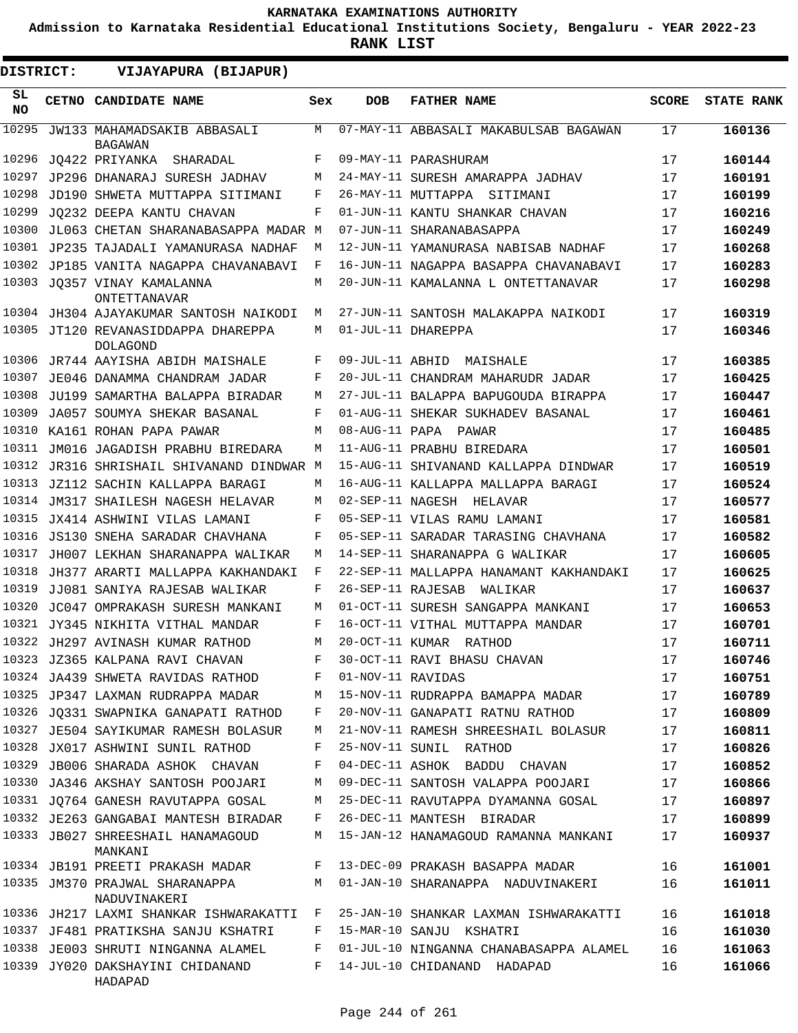**Admission to Karnataka Residential Educational Institutions Society, Bengaluru - YEAR 2022-23**

| DISTRICT:       |  | VIJAYAPURA (BIJAPUR)                                   |     |                   |                                        |              |                   |
|-----------------|--|--------------------------------------------------------|-----|-------------------|----------------------------------------|--------------|-------------------|
| SL<br><b>NO</b> |  | <b>CETNO CANDIDATE NAME</b>                            | Sex | <b>DOB</b>        | <b>FATHER NAME</b>                     | <b>SCORE</b> | <b>STATE RANK</b> |
| 10295           |  | JW133 MAHAMADSAKIB ABBASALI<br><b>BAGAWAN</b>          | М   |                   | 07-MAY-11 ABBASALI MAKABULSAB BAGAWAN  | 17           | 160136            |
| 10296           |  | JO422 PRIYANKA<br>SHARADAL                             | F   |                   | 09-MAY-11 PARASHURAM                   | 17           | 160144            |
| 10297           |  | JP296 DHANARAJ SURESH JADHAV                           | M   |                   | 24-MAY-11 SURESH AMARAPPA JADHAV       | 17           | 160191            |
| 10298           |  | JD190 SHWETA MUTTAPPA SITIMANI                         | F   |                   | 26-MAY-11 MUTTAPPA SITIMANI            | 17           | 160199            |
| 10299           |  | JO232 DEEPA KANTU CHAVAN                               | F   |                   | 01-JUN-11 KANTU SHANKAR CHAVAN         | 17           | 160216            |
| 10300           |  | JL063 CHETAN SHARANABASAPPA MADAR M                    |     |                   | 07-JUN-11 SHARANABASAPPA               | 17           | 160249            |
| 10301           |  | JP235 TAJADALI YAMANURASA NADHAF                       | M   |                   | 12-JUN-11 YAMANURASA NABISAB NADHAF    | 17           | 160268            |
| 10302           |  | JP185 VANITA NAGAPPA CHAVANABAVI                       | F   |                   | 16-JUN-11 NAGAPPA BASAPPA CHAVANABAVI  | 17           | 160283            |
|                 |  | 10303 JQ357 VINAY KAMALANNA<br>ONTETTANAVAR            | M   |                   | 20-JUN-11 KAMALANNA L ONTETTANAVAR     | 17           | 160298            |
|                 |  | 10304 JH304 AJAYAKUMAR SANTOSH NAIKODI                 | М   |                   | 27-JUN-11 SANTOSH MALAKAPPA NAIKODI    | 17           | 160319            |
|                 |  | 10305 JT120 REVANASIDDAPPA DHAREPPA<br><b>DOLAGOND</b> | М   |                   | 01-JUL-11 DHAREPPA                     | 17           | 160346            |
| 10306           |  | JR744 AAYISHA ABIDH MAISHALE                           | F   | 09-JUL-11 ABHID   | MAISHALE                               | 17           | 160385            |
| 10307           |  | JE046 DANAMMA CHANDRAM JADAR                           | F   |                   | 20-JUL-11 CHANDRAM MAHARUDR JADAR      | 17           | 160425            |
| 10308           |  | JU199 SAMARTHA BALAPPA BIRADAR                         | M   |                   | 27-JUL-11 BALAPPA BAPUGOUDA BIRAPPA    | 17           | 160447            |
| 10309           |  | JA057 SOUMYA SHEKAR BASANAL                            | F   |                   | 01-AUG-11 SHEKAR SUKHADEV BASANAL      | 17           | 160461            |
| 10310           |  | KA161 ROHAN PAPA PAWAR                                 | M   |                   | 08-AUG-11 PAPA PAWAR                   | 17           | 160485            |
| 10311           |  | JM016 JAGADISH PRABHU BIREDARA                         | M   |                   | 11-AUG-11 PRABHU BIREDARA              | 17           | 160501            |
| 10312           |  | JR316 SHRISHAIL SHIVANAND DINDWAR M                    |     |                   | 15-AUG-11 SHIVANAND KALLAPPA DINDWAR   | 17           | 160519            |
| 10313           |  | JZ112 SACHIN KALLAPPA BARAGI                           | М   |                   | 16-AUG-11 KALLAPPA MALLAPPA BARAGI     | 17           | 160524            |
| 10314           |  | JM317 SHAILESH NAGESH HELAVAR                          | M   |                   | 02-SEP-11 NAGESH HELAVAR               | 17           | 160577            |
| 10315           |  | JX414 ASHWINI VILAS LAMANI                             | F   |                   | 05-SEP-11 VILAS RAMU LAMANI            | 17           | 160581            |
| 10316           |  | JS130 SNEHA SARADAR CHAVHANA                           | F   |                   | 05-SEP-11 SARADAR TARASING CHAVHANA    | 17           | 160582            |
| 10317           |  | JH007 LEKHAN SHARANAPPA WALIKAR                        | M   |                   | 14-SEP-11 SHARANAPPA G WALIKAR         | 17           | 160605            |
| 10318           |  | JH377 ARARTI MALLAPPA KAKHANDAKI                       | F   |                   | 22-SEP-11 MALLAPPA HANAMANT KAKHANDAKI | 17           | 160625            |
| 10319           |  | JJ081 SANIYA RAJESAB WALIKAR                           | F   | 26-SEP-11 RAJESAB | WALIKAR                                | 17           | 160637            |
| 10320           |  | JC047 OMPRAKASH SURESH MANKANI                         | M   |                   | 01-OCT-11 SURESH SANGAPPA MANKANI      | 17           | 160653            |
| 10321           |  | JY345 NIKHITA VITHAL MANDAR                            | F   |                   | 16-OCT-11 VITHAL MUTTAPPA MANDAR       | 17           | 160701            |
|                 |  | 10322 JH297 AVINASH KUMAR RATHOD                       | М   | 20-OCT-11 KUMAR   | RATHOD                                 | 17           | 160711            |
|                 |  | 10323 JZ365 KALPANA RAVI CHAVAN                        | F   |                   | 30-OCT-11 RAVI BHASU CHAVAN            | 17           | 160746            |
|                 |  | 10324 JA439 SHWETA RAVIDAS RATHOD                      | F   | 01-NOV-11 RAVIDAS |                                        | 17           | 160751            |
|                 |  | 10325 JP347 LAXMAN RUDRAPPA MADAR                      | M   |                   | 15-NOV-11 RUDRAPPA BAMAPPA MADAR       | 17           | 160789            |
|                 |  | 10326 JO331 SWAPNIKA GANAPATI RATHOD                   | F   |                   | 20-NOV-11 GANAPATI RATNU RATHOD        | 17           | 160809            |
|                 |  | 10327 JE504 SAYIKUMAR RAMESH BOLASUR                   | М   |                   | 21-NOV-11 RAMESH SHREESHAIL BOLASUR    | 17           | 160811            |
| 10328           |  | JX017 ASHWINI SUNIL RATHOD                             | F   |                   | 25-NOV-11 SUNIL RATHOD                 | 17           | 160826            |
| 10329           |  | JB006 SHARADA ASHOK CHAVAN                             | F   |                   | 04-DEC-11 ASHOK BADDU CHAVAN           | 17           | 160852            |
|                 |  | 10330 JA346 AKSHAY SANTOSH POOJARI                     | М   |                   | 09-DEC-11 SANTOSH VALAPPA POOJARI      | 17           | 160866            |
|                 |  | 10331 JQ764 GANESH RAVUTAPPA GOSAL                     | М   |                   | 25-DEC-11 RAVUTAPPA DYAMANNA GOSAL     | 17           | 160897            |
|                 |  | 10332 JE263 GANGABAI MANTESH BIRADAR                   | F   |                   | 26-DEC-11 MANTESH BIRADAR              | 17           | 160899            |
|                 |  | 10333 JB027 SHREESHAIL HANAMAGOUD<br>MANKANI           | M   |                   | 15-JAN-12 HANAMAGOUD RAMANNA MANKANI   | 17           | 160937            |
|                 |  | 10334 JB191 PREETI PRAKASH MADAR                       | F   |                   | 13-DEC-09 PRAKASH BASAPPA MADAR        | 16           | 161001            |
|                 |  | 10335 JM370 PRAJWAL SHARANAPPA<br>NADUVINAKERI         | M   |                   | 01-JAN-10 SHARANAPPA NADUVINAKERI      | 16           | 161011            |
|                 |  | 10336 JH217 LAXMI SHANKAR ISHWARAKATTI F               |     |                   | 25-JAN-10 SHANKAR LAXMAN ISHWARAKATTI  | 16           | 161018            |
|                 |  | 10337 JF481 PRATIKSHA SANJU KSHATRI                    | F   |                   | 15-MAR-10 SANJU KSHATRI                | 16           | 161030            |
|                 |  | 10338 JE003 SHRUTI NINGANNA ALAMEL                     | F   |                   | 01-JUL-10 NINGANNA CHANABASAPPA ALAMEL | 16           | 161063            |
|                 |  | 10339 JY020 DAKSHAYINI CHIDANAND<br>HADAPAD            | F   |                   | 14-JUL-10 CHIDANAND HADAPAD            | 16           | 161066            |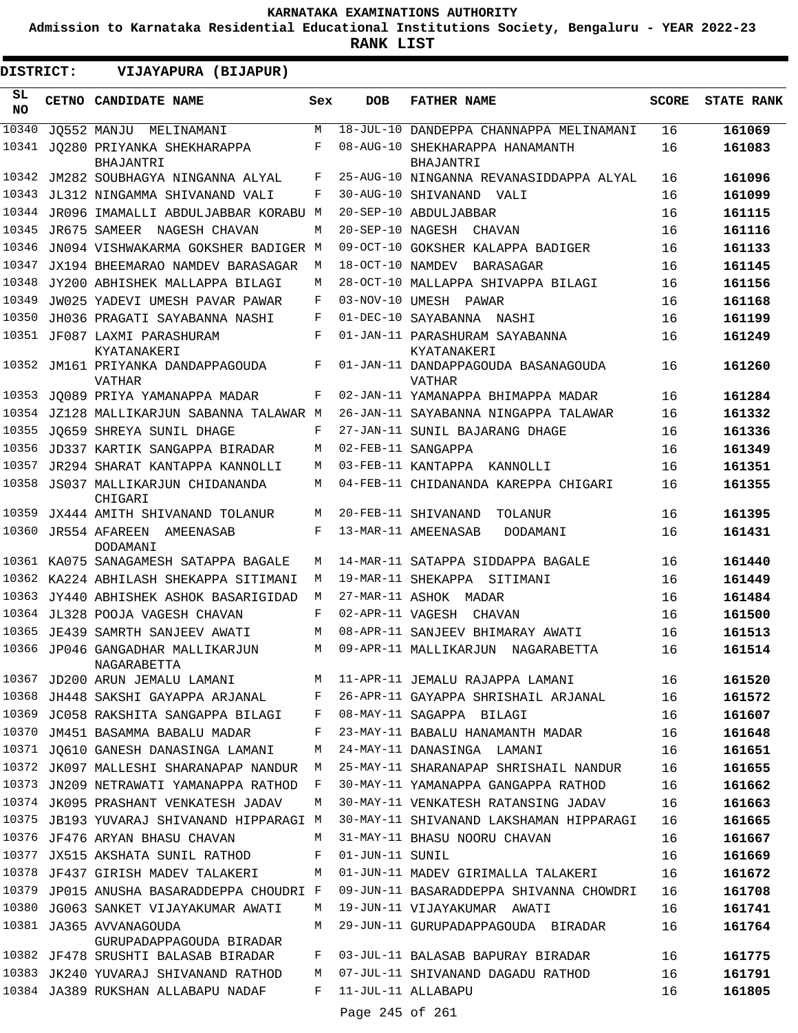**Admission to Karnataka Residential Educational Institutions Society, Bengaluru - YEAR 2022-23**

| <b>DISTRICT:</b> |  | VIJAYAPURA (BIJAPUR)                                |     |                 |                                                     |              |                   |
|------------------|--|-----------------------------------------------------|-----|-----------------|-----------------------------------------------------|--------------|-------------------|
| SL.<br><b>NO</b> |  | CETNO CANDIDATE NAME                                | Sex | <b>DOB</b>      | <b>FATHER NAME</b>                                  | <b>SCORE</b> | <b>STATE RANK</b> |
| 10340            |  | JQ552 MANJU MELINAMANI                              | M   |                 | 18-JUL-10 DANDEPPA CHANNAPPA MELINAMANI             | 16           | 161069            |
| 10341            |  | JO280 PRIYANKA SHEKHARAPPA<br>BHAJANTRI             | F   |                 | 08-AUG-10 SHEKHARAPPA HANAMANTH<br><b>BHAJANTRI</b> | 16           | 161083            |
| 10342            |  | JM282 SOUBHAGYA NINGANNA ALYAL                      | F   |                 | 25-AUG-10 NINGANNA REVANASIDDAPPA ALYAL             | 16           | 161096            |
| 10343            |  | JL312 NINGAMMA SHIVANAND VALI                       | F   |                 | 30-AUG-10 SHIVANAND VALI                            | 16           | 161099            |
| 10344            |  | JR096 IMAMALLI ABDULJABBAR KORABU M                 |     |                 | 20-SEP-10 ABDULJABBAR                               | 16           | 161115            |
| 10345            |  | JR675 SAMEER NAGESH CHAVAN                          | М   |                 | 20-SEP-10 NAGESH CHAVAN                             | 16           | 161116            |
| 10346            |  | JN094 VISHWAKARMA GOKSHER BADIGER M                 |     |                 | 09-OCT-10 GOKSHER KALAPPA BADIGER                   | 16           | 161133            |
| 10347            |  | JX194 BHEEMARAO NAMDEV BARASAGAR                    | М   |                 | 18-OCT-10 NAMDEV BARASAGAR                          | 16           | 161145            |
| 10348            |  | JY200 ABHISHEK MALLAPPA BILAGI                      | М   |                 | 28-OCT-10 MALLAPPA SHIVAPPA BILAGI                  | 16           | 161156            |
| 10349            |  | JW025 YADEVI UMESH PAVAR PAWAR                      | F   |                 | 03-NOV-10 UMESH PAWAR                               | 16           | 161168            |
| 10350            |  | JH036 PRAGATI SAYABANNA NASHI                       | F   |                 | 01-DEC-10 SAYABANNA NASHI                           | 16           | 161199            |
| 10351            |  | JF087 LAXMI PARASHURAM<br>KYATANAKERI               | F   |                 | 01-JAN-11 PARASHURAM SAYABANNA<br>KYATANAKERI       | 16           | 161249            |
| 10352            |  | JM161 PRIYANKA DANDAPPAGOUDA<br><b>VATHAR</b>       | F   |                 | 01-JAN-11 DANDAPPAGOUDA BASANAGOUDA<br>VATHAR       | 16           | 161260            |
| 10353            |  | JO089 PRIYA YAMANAPPA MADAR                         | F   |                 | 02-JAN-11 YAMANAPPA BHIMAPPA MADAR                  | 16           | 161284            |
| 10354            |  | JZ128 MALLIKARJUN SABANNA TALAWAR M                 |     |                 | 26-JAN-11 SAYABANNA NINGAPPA TALAWAR                | 16           | 161332            |
| 10355            |  | JO659 SHREYA SUNIL DHAGE                            | F   |                 | 27-JAN-11 SUNIL BAJARANG DHAGE                      | 16           | 161336            |
| 10356            |  | JD337 KARTIK SANGAPPA BIRADAR                       | М   |                 | 02-FEB-11 SANGAPPA                                  | 16           | 161349            |
| 10357            |  | JR294 SHARAT KANTAPPA KANNOLLI                      | М   |                 | 03-FEB-11 KANTAPPA KANNOLLI                         | 16           | 161351            |
| 10358            |  | JS037 MALLIKARJUN CHIDANANDA<br>CHIGARI             | М   |                 | 04-FEB-11 CHIDANANDA KAREPPA CHIGARI                | 16           | 161355            |
| 10359            |  | JX444 AMITH SHIVANAND TOLANUR                       | М   |                 | 20-FEB-11 SHIVANAND<br>TOLANUR                      | 16           | 161395            |
| 10360            |  | JR554 AFAREEN<br>AMEENASAB<br>DODAMANI              | F   |                 | 13-MAR-11 AMEENASAB<br>DODAMANI                     | 16           | 161431            |
|                  |  | 10361 KA075 SANAGAMESH SATAPPA BAGALE               | M   |                 | 14-MAR-11 SATAPPA SIDDAPPA BAGALE                   | 16           | 161440            |
|                  |  | 10362 KA224 ABHILASH SHEKAPPA SITIMANI              | M   |                 | 19-MAR-11 SHEKAPPA SITIMANI                         | 16           | 161449            |
| 10363            |  | JY440 ABHISHEK ASHOK BASARIGIDAD                    | M   |                 | 27-MAR-11 ASHOK MADAR                               | 16           | 161484            |
| 10364            |  | JL328 POOJA VAGESH CHAVAN                           | F   |                 | 02-APR-11 VAGESH CHAVAN                             | 16           | 161500            |
|                  |  | 10365 JE439 SAMRTH SANJEEV AWATI                    | М   |                 | 08-APR-11 SANJEEV BHIMARAY AWATI                    | 16           | 161513            |
|                  |  | 10366 JP046 GANGADHAR MALLIKARJUN<br>NAGARABETTA    | M   |                 | 09-APR-11 MALLIKARJUN NAGARABETTA                   | 16           | 161514            |
|                  |  | 10367 JD200 ARUN JEMALU LAMANI                      |     |                 | M 11-APR-11 JEMALU RAJAPPA LAMANI                   | 16           | 161520            |
|                  |  | 10368 JH448 SAKSHI GAYAPPA ARJANAL                  | F   |                 | 26-APR-11 GAYAPPA SHRISHAIL ARJANAL                 | 16           | 161572            |
|                  |  | 10369 JC058 RAKSHITA SANGAPPA BILAGI                | F   |                 | 08-MAY-11 SAGAPPA BILAGI                            | 16           | 161607            |
|                  |  | 10370 JM451 BASAMMA BABALU MADAR                    | F   |                 | 23-MAY-11 BABALU HANAMANTH MADAR                    | 16           | 161648            |
| 10371            |  | JQ610 GANESH DANASINGA LAMANI                       | М   |                 | 24-MAY-11 DANASINGA LAMANI                          | 16           | 161651            |
|                  |  | 10372 JK097 MALLESHI SHARANAPAP NANDUR              | M   |                 | 25-MAY-11 SHARANAPAP SHRISHAIL NANDUR               | 16           | 161655            |
|                  |  | 10373 JN209 NETRAWATI YAMANAPPA RATHOD              | F   |                 | 30-MAY-11 YAMANAPPA GANGAPPA RATHOD                 | 16           | 161662            |
|                  |  | 10374 JK095 PRASHANT VENKATESH JADAV                | М   |                 | 30-MAY-11 VENKATESH RATANSING JADAV                 | 16           | 161663            |
|                  |  | 10375 JB193 YUVARAJ SHIVANAND HIPPARAGI M           |     |                 | 30-MAY-11 SHIVANAND LAKSHAMAN HIPPARAGI             | 16           | 161665            |
|                  |  | 10376 JF476 ARYAN BHASU CHAVAN                      | М   |                 | 31-MAY-11 BHASU NOORU CHAVAN                        | 16           | 161667            |
|                  |  | 10377 JX515 AKSHATA SUNIL RATHOD                    | F   | 01-JUN-11 SUNIL |                                                     | 16           | 161669            |
|                  |  | 10378 JF437 GIRISH MADEV TALAKERI                   | М   |                 | 01-JUN-11 MADEV GIRIMALLA TALAKERI                  | 16           | 161672            |
|                  |  | 10379 JP015 ANUSHA BASARADDEPPA CHOUDRI F           |     |                 | 09-JUN-11 BASARADDEPPA SHIVANNA CHOWDRI             | 16           | 161708            |
| 10380            |  | JG063 SANKET VIJAYAKUMAR AWATI                      | М   |                 | 19-JUN-11 VIJAYAKUMAR AWATI                         | 16           | 161741            |
|                  |  | 10381 JA365 AVVANAGOUDA<br>GURUPADAPPAGOUDA BIRADAR | М   |                 | 29-JUN-11 GURUPADAPPAGOUDA BIRADAR                  | 16           | 161764            |
|                  |  | 10382 JF478 SRUSHTI BALASAB BIRADAR                 | F   |                 | 03-JUL-11 BALASAB BAPURAY BIRADAR                   | 16           | 161775            |
|                  |  | 10383 JK240 YUVARAJ SHIVANAND RATHOD                | М   |                 | 07-JUL-11 SHIVANAND DAGADU RATHOD                   | 16           | 161791            |
|                  |  | 10384 JA389 RUKSHAN ALLABAPU NADAF                  | F   |                 | 11-JUL-11 ALLABAPU                                  | 16           | 161805            |
|                  |  |                                                     |     | Page 245 of 261 |                                                     |              |                   |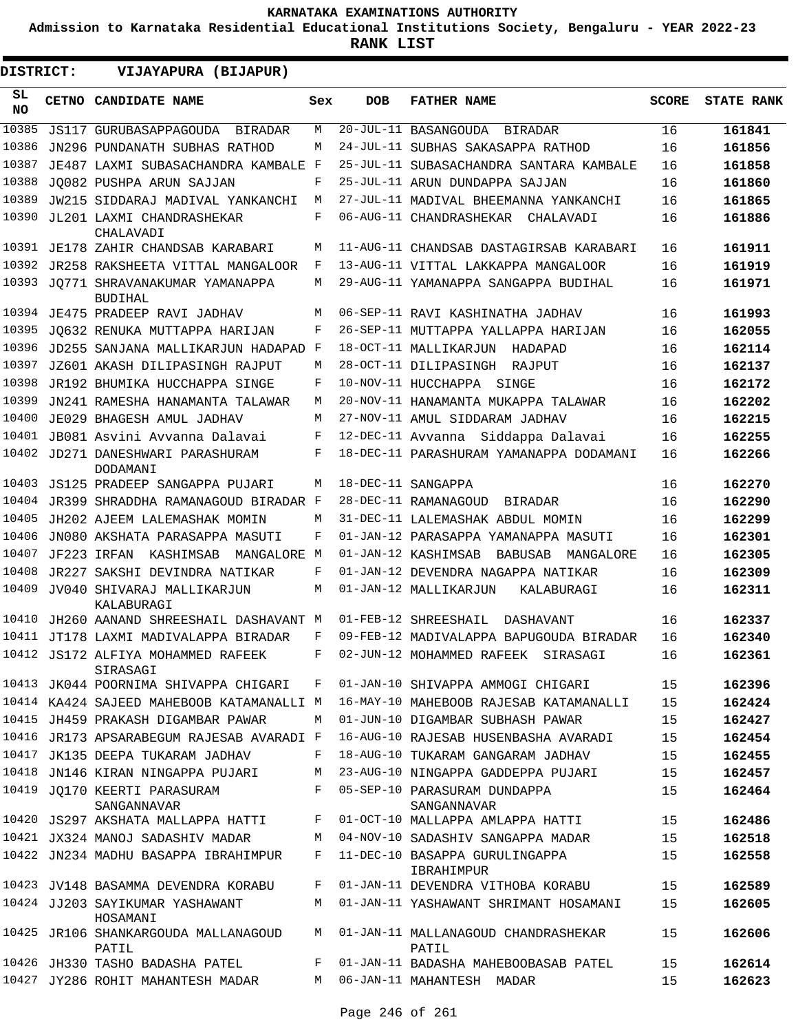**Admission to Karnataka Residential Educational Institutions Society, Bengaluru - YEAR 2022-23**

**RANK LIST**

**DISTRICT:** EE **VIJAYAPURA (BIJAPUR)**

| SL<br><b>NO</b> | CETNO CANDIDATE NAME                            | Sex | <b>DOB</b>        | <b>FATHER NAME</b>                           | <b>SCORE</b> | <b>STATE RANK</b> |
|-----------------|-------------------------------------------------|-----|-------------------|----------------------------------------------|--------------|-------------------|
| 10385           | <b>JS117 GURUBASAPPAGOUDA</b><br>BIRADAR        | М   |                   | 20-JUL-11 BASANGOUDA<br>BIRADAR              | 16           | 161841            |
| 10386           | JN296 PUNDANATH SUBHAS RATHOD                   | М   |                   | 24-JUL-11 SUBHAS SAKASAPPA RATHOD            | 16           | 161856            |
| 10387           | JE487 LAXMI SUBASACHANDRA KAMBALE               | F   |                   | 25-JUL-11 SUBASACHANDRA SANTARA KAMBALE      | 16           | 161858            |
| 10388           | JQ082 PUSHPA ARUN SAJJAN                        | F   |                   | 25-JUL-11 ARUN DUNDAPPA SAJJAN               | 16           | 161860            |
| 10389           | JW215 SIDDARAJ MADIVAL YANKANCHI                | М   |                   | 27-JUL-11 MADIVAL BHEEMANNA YANKANCHI        | 16           | 161865            |
| 10390           | JL201 LAXMI CHANDRASHEKAR<br>CHALAVADI          | F   |                   | 06-AUG-11 CHANDRASHEKAR<br>CHALAVADI         | 16           | 161886            |
| 10391           | JE178 ZAHIR CHANDSAB KARABARI                   | М   |                   | 11-AUG-11 CHANDSAB DASTAGIRSAB KARABARI      | 16           | 161911            |
| 10392           | JR258 RAKSHEETA VITTAL MANGALOOR                | F   |                   | 13-AUG-11 VITTAL LAKKAPPA MANGALOOR          | 16           | 161919            |
| 10393           | JO771 SHRAVANAKUMAR YAMANAPPA<br><b>BUDIHAL</b> | М   |                   | 29-AUG-11 YAMANAPPA SANGAPPA BUDIHAL         | 16           | 161971            |
|                 | 10394 JE475 PRADEEP RAVI JADHAV                 | М   |                   | 06-SEP-11 RAVI KASHINATHA JADHAV             | 16           | 161993            |
| 10395           | JO632 RENUKA MUTTAPPA HARIJAN                   | F   |                   | 26-SEP-11 MUTTAPPA YALLAPPA HARIJAN          | 16           | 162055            |
| 10396           | JD255 SANJANA MALLIKARJUN HADAPAD               | F   |                   | 18-OCT-11 MALLIKARJUN<br>HADAPAD             | 16           | 162114            |
| 10397           | JZ601 AKASH DILIPASINGH RAJPUT                  | М   |                   | 28-OCT-11 DILIPASINGH<br>RAJPUT              | 16           | 162137            |
| 10398           | JR192 BHUMIKA HUCCHAPPA SINGE                   | F   |                   | 10-NOV-11 HUCCHAPPA<br>SINGE                 | 16           | 162172            |
| 10399           | JN241 RAMESHA HANAMANTA TALAWAR                 | М   |                   | 20-NOV-11 HANAMANTA MUKAPPA TALAWAR          | 16           | 162202            |
| 10400           | JE029 BHAGESH AMUL JADHAV                       | М   |                   | 27-NOV-11 AMUL SIDDARAM JADHAV               | 16           | 162215            |
| 10401           | JB081 Asvini Avvanna Dalavai                    | F   | 12-DEC-11 Avvanna | Siddappa Dalavai                             | 16           | 162255            |
| 10402           | JD271 DANESHWARI PARASHURAM<br>DODAMANI         | F   |                   | 18-DEC-11 PARASHURAM YAMANAPPA DODAMANI      | 16           | 162266            |
| 10403           | <b>JS125 PRADEEP SANGAPPA PUJARI</b>            | М   |                   | 18-DEC-11 SANGAPPA                           | 16           | 162270            |
| 10404           | JR399 SHRADDHA RAMANAGOUD BIRADAR F             |     |                   | 28-DEC-11 RAMANAGOUD<br>BIRADAR              | 16           | 162290            |
| 10405           | JH202 AJEEM LALEMASHAK MOMIN                    | М   |                   | 31-DEC-11 LALEMASHAK ABDUL MOMIN             | 16           | 162299            |
| 10406           | JN080 AKSHATA PARASAPPA MASUTI                  | F   |                   | 01-JAN-12 PARASAPPA YAMANAPPA MASUTI         | 16           | 162301            |
| 10407           | JF223 IRFAN<br>KASHIMSAB<br>MANGALORE           | M   |                   | 01-JAN-12 KASHIMSAB<br>BABUSAB<br>MANGALORE  | 16           | 162305            |
| 10408           | JR227 SAKSHI DEVINDRA NATIKAR                   | F   |                   | 01-JAN-12 DEVENDRA NAGAPPA NATIKAR           | 16           | 162309            |
| 10409           | JV040 SHIVARAJ MALLIKARJUN<br>KALABURAGI        | М   |                   | 01-JAN-12 MALLIKARJUN<br>KALABURAGI          | 16           | 162311            |
| 10410           | JH260 AANAND SHREESHAIL DASHAVANT M             |     |                   | 01-FEB-12 SHREESHAIL<br>DASHAVANT            | 16           | 162337            |
| 10411           | JT178 LAXMI MADIVALAPPA BIRADAR                 | F   |                   | 09-FEB-12 MADIVALAPPA BAPUGOUDA BIRADAR      | 16           | 162340            |
| 10412           | JS172 ALFIYA MOHAMMED RAFEEK<br>SIRASAGI        | F   |                   | 02-JUN-12 MOHAMMED RAFEEK<br>SIRASAGI        | 16           | 162361            |
|                 | 10413 JK044 POORNIMA SHIVAPPA CHIGARI           | F   |                   | 01-JAN-10 SHIVAPPA AMMOGI CHIGARI            | 15           | 162396            |
|                 | 10414 KA424 SAJEED MAHEBOOB KATAMANALLI M       |     |                   | 16-MAY-10 MAHEBOOB RAJESAB KATAMANALLI       | 15           | 162424            |
|                 | 10415 JH459 PRAKASH DIGAMBAR PAWAR              | М   |                   | 01-JUN-10 DIGAMBAR SUBHASH PAWAR             | 15           | 162427            |
|                 | 10416 JR173 APSARABEGUM RAJESAB AVARADI F       |     |                   | 16-AUG-10 RAJESAB HUSENBASHA AVARADI         | 15           | 162454            |
|                 | 10417 JK135 DEEPA TUKARAM JADHAV                | F   |                   | 18-AUG-10 TUKARAM GANGARAM JADHAV            | 15           | 162455            |
|                 | 10418 JN146 KIRAN NINGAPPA PUJARI               | М   |                   | 23-AUG-10 NINGAPPA GADDEPPA PUJARI           | 15           | 162457            |
|                 | 10419 JQ170 KEERTI PARASURAM<br>SANGANNAVAR     | F   |                   | 05-SEP-10 PARASURAM DUNDAPPA<br>SANGANNAVAR  | 15           | 162464            |
|                 | 10420 JS297 AKSHATA MALLAPPA HATTI              | F   |                   | 01-OCT-10 MALLAPPA AMLAPPA HATTI             | 15           | 162486            |
|                 | 10421 JX324 MANOJ SADASHIV MADAR                | М   |                   | 04-NOV-10 SADASHIV SANGAPPA MADAR            | 15           | 162518            |
|                 | 10422 JN234 MADHU BASAPPA IBRAHIMPUR            | F   |                   | 11-DEC-10 BASAPPA GURULINGAPPA<br>IBRAHIMPUR | 15           | 162558            |
|                 | 10423 JV148 BASAMMA DEVENDRA KORABU             | F   |                   | 01-JAN-11 DEVENDRA VITHOBA KORABU            | 15           | 162589            |
|                 | 10424 JJ203 SAYIKUMAR YASHAWANT<br>HOSAMANI     | М   |                   | 01-JAN-11 YASHAWANT SHRIMANT HOSAMANI        | 15           | 162605            |
|                 | 10425 JR106 SHANKARGOUDA MALLANAGOUD<br>PATIL   | М   |                   | 01-JAN-11 MALLANAGOUD CHANDRASHEKAR<br>PATIL | 15           | 162606            |
|                 | 10426 JH330 TASHO BADASHA PATEL                 | F   |                   | 01-JAN-11 BADASHA MAHEBOOBASAB PATEL         | 15           | 162614            |
|                 | 10427 JY286 ROHIT MAHANTESH MADAR               | М   |                   | 06-JAN-11 MAHANTESH MADAR                    | 15           | 162623            |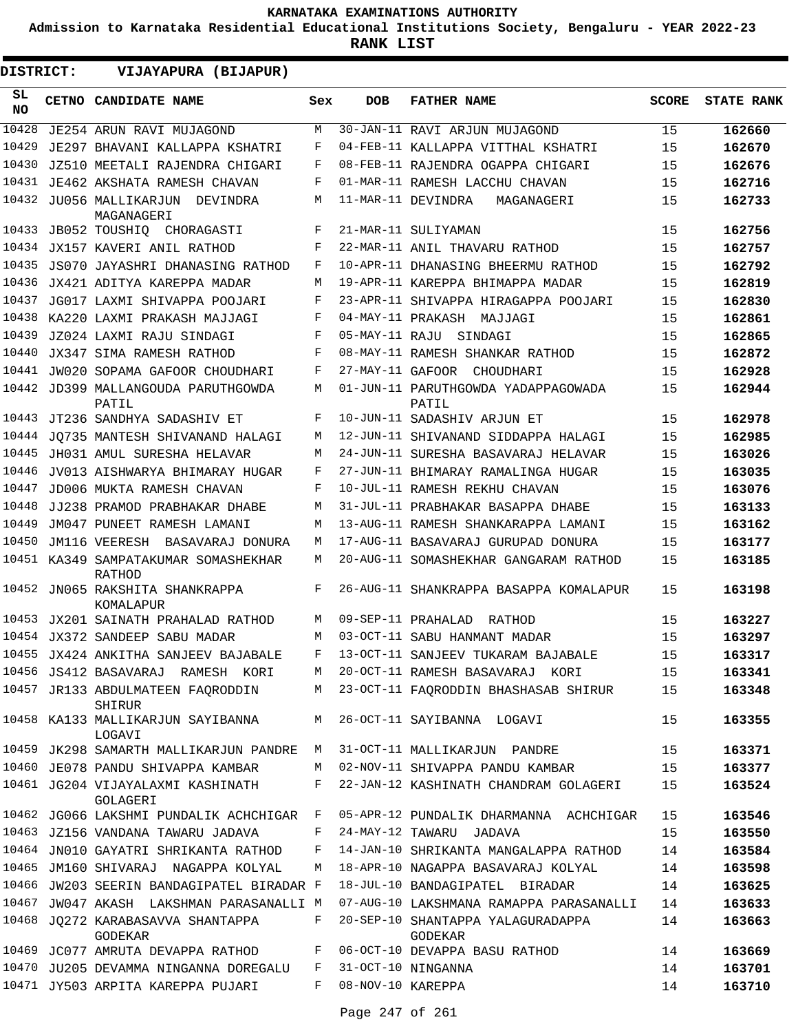**Admission to Karnataka Residential Educational Institutions Society, Bengaluru - YEAR 2022-23**

| DISTRICT: | VIJAYAPURA (BIJAPUR)                              |     |                   |                                              |              |                   |
|-----------|---------------------------------------------------|-----|-------------------|----------------------------------------------|--------------|-------------------|
| SL<br>NO. | CETNO CANDIDATE NAME                              | Sex | <b>DOB</b>        | <b>FATHER NAME</b>                           | <b>SCORE</b> | <b>STATE RANK</b> |
| 10428     | JE254 ARUN RAVI MUJAGOND                          | M   |                   | 30-JAN-11 RAVI ARJUN MUJAGOND                | 15           | 162660            |
| 10429     | JE297 BHAVANI KALLAPPA KSHATRI                    | F   |                   | 04-FEB-11 KALLAPPA VITTHAL KSHATRI           | 15           | 162670            |
| 10430     | JZ510 MEETALI RAJENDRA CHIGARI                    | F   |                   | 08-FEB-11 RAJENDRA OGAPPA CHIGARI            | 15           | 162676            |
| 10431     | JE462 AKSHATA RAMESH CHAVAN                       | F   |                   | 01-MAR-11 RAMESH LACCHU CHAVAN               | 15           | 162716            |
|           | 10432 JU056 MALLIKARJUN<br>DEVINDRA<br>MAGANAGERI | M   |                   | 11-MAR-11 DEVINDRA<br>MAGANAGERI             | 15           | 162733            |
| 10433     | JB052 TOUSHIQ CHORAGASTI                          | F   |                   | 21-MAR-11 SULIYAMAN                          | 15           | 162756            |
| 10434     | JX157 KAVERI ANIL RATHOD                          | F   |                   | 22-MAR-11 ANIL THAVARU RATHOD                | 15           | 162757            |
| 10435     | JS070 JAYASHRI DHANASING RATHOD                   | F   |                   | 10-APR-11 DHANASING BHEERMU RATHOD           | 15           | 162792            |
| 10436     | JX421 ADITYA KAREPPA MADAR                        | M   |                   | 19-APR-11 KAREPPA BHIMAPPA MADAR             | 15           | 162819            |
| 10437     | JG017 LAXMI SHIVAPPA POOJARI                      | F   |                   | 23-APR-11 SHIVAPPA HIRAGAPPA POOJARI         | 15           | 162830            |
| 10438     | KA220 LAXMI PRAKASH MAJJAGI                       | F   | 04-MAY-11 PRAKASH | MAJJAGI                                      | 15           | 162861            |
| 10439     | JZ024 LAXMI RAJU SINDAGI                          | F   | 05-MAY-11 RAJU    | SINDAGI                                      | 15           | 162865            |
| 10440     | JX347 SIMA RAMESH RATHOD                          | F   |                   | 08-MAY-11 RAMESH SHANKAR RATHOD              | 15           | 162872            |
| 10441     | JW020 SOPAMA GAFOOR CHOUDHARI                     | F   |                   | 27-MAY-11 GAFOOR CHOUDHARI                   | 15           | 162928            |
| 10442     | JD399 MALLANGOUDA PARUTHGOWDA<br>PATIL            | М   |                   | 01-JUN-11 PARUTHGOWDA YADAPPAGOWADA<br>PATIL | 15           | 162944            |
| 10443     | JT236 SANDHYA SADASHIV ET                         | F   |                   | 10-JUN-11 SADASHIV ARJUN ET                  | 15           | 162978            |
| 10444     | JO735 MANTESH SHIVANAND HALAGI                    | M   |                   | 12-JUN-11 SHIVANAND SIDDAPPA HALAGI          | 15           | 162985            |
| 10445     | JH031 AMUL SURESHA HELAVAR                        | M   |                   | 24-JUN-11 SURESHA BASAVARAJ HELAVAR          | 15           | 163026            |
| 10446     | JV013 AISHWARYA BHIMARAY HUGAR                    | F   |                   | 27-JUN-11 BHIMARAY RAMALINGA HUGAR           | 15           | 163035            |
| 10447     | JD006 MUKTA RAMESH CHAVAN                         | F   |                   | 10-JUL-11 RAMESH REKHU CHAVAN                | 15           | 163076            |
| 10448     | JJ238 PRAMOD PRABHAKAR DHABE                      | M   |                   | 31-JUL-11 PRABHAKAR BASAPPA DHABE            | 15           | 163133            |
| 10449     | JM047 PUNEET RAMESH LAMANI                        | M   |                   | 13-AUG-11 RAMESH SHANKARAPPA LAMANI          | 15           | 163162            |
| 10450     | JM116 VEERESH BASAVARAJ DONURA                    | M   |                   | 17-AUG-11 BASAVARAJ GURUPAD DONURA           | 15           | 163177            |
|           | 10451 KA349 SAMPATAKUMAR SOMASHEKHAR<br>RATHOD    | M   |                   | 20-AUG-11 SOMASHEKHAR GANGARAM RATHOD        | 15           | 163185            |
|           | 10452 JN065 RAKSHITA SHANKRAPPA<br>KOMALAPUR      | F   |                   | 26-AUG-11 SHANKRAPPA BASAPPA KOMALAPUR       | 15           | 163198            |
|           | 10453 JX201 SAINATH PRAHALAD RATHOD               | M   |                   | 09-SEP-11 PRAHALAD RATHOD                    | 15           | 163227            |
|           | 10454 JX372 SANDEEP SABU MADAR                    | M   |                   | 03-OCT-11 SABU HANMANT MADAR                 | 15           | 163297            |
|           | 10455 JX424 ANKITHA SANJEEV BAJABALE              | F   |                   | 13-OCT-11 SANJEEV TUKARAM BAJABALE           | 15           | 163317            |
|           | 10456 JS412 BASAVARAJ RAMESH KORI                 | М   |                   | 20-OCT-11 RAMESH BASAVARAJ KORI              | 15           | 163341            |
|           | 10457 JR133 ABDULMATEEN FAQRODDIN<br>SHIRUR       | М   |                   | 23-OCT-11 FAQRODDIN BHASHASAB SHIRUR         | 15           | 163348            |
|           | 10458 KA133 MALLIKARJUN SAYIBANNA<br>LOGAVI       | M   |                   | 26-OCT-11 SAYIBANNA LOGAVI                   | 15           | 163355            |
|           | 10459 JK298 SAMARTH MALLIKARJUN PANDRE            | M   |                   | 31-OCT-11 MALLIKARJUN PANDRE                 | 15           | 163371            |
|           | 10460 JE078 PANDU SHIVAPPA KAMBAR                 | М   |                   | 02-NOV-11 SHIVAPPA PANDU KAMBAR              | 15           | 163377            |
|           | 10461 JG204 VIJAYALAXMI KASHINATH<br>GOLAGERI     | F   |                   | 22-JAN-12 KASHINATH CHANDRAM GOLAGERI        | 15           | 163524            |
|           | 10462 JG066 LAKSHMI PUNDALIK ACHCHIGAR            | F   |                   | 05-APR-12 PUNDALIK DHARMANNA ACHCHIGAR       | 15           | 163546            |
|           | 10463 JZ156 VANDANA TAWARU JADAVA                 | F   |                   | 24-MAY-12 TAWARU JADAVA                      | 15           | 163550            |
|           | 10464 JN010 GAYATRI SHRIKANTA RATHOD              | F   |                   | 14-JAN-10 SHRIKANTA MANGALAPPA RATHOD        | 14           | 163584            |
|           | 10465 JM160 SHIVARAJ NAGAPPA KOLYAL               | М   |                   | 18-APR-10 NAGAPPA BASAVARAJ KOLYAL           | 14           | 163598            |
|           | 10466 JW203 SEERIN BANDAGIPATEL BIRADAR F         |     |                   | 18-JUL-10 BANDAGIPATEL BIRADAR               | 14           | 163625            |
| 10467     | JW047 AKASH LAKSHMAN PARASANALLI M                |     |                   | 07-AUG-10 LAKSHMANA RAMAPPA PARASANALLI      | 14           | 163633            |
| 10468     | JQ272 KARABASAVVA SHANTAPPA<br><b>GODEKAR</b>     | F   |                   | 20-SEP-10 SHANTAPPA YALAGURADAPPA<br>GODEKAR | 14           | 163663            |
|           | 10469 JC077 AMRUTA DEVAPPA RATHOD                 | F   |                   | 06-OCT-10 DEVAPPA BASU RATHOD                | 14           | 163669            |
| 10470     | JU205 DEVAMMA NINGANNA DOREGALU                   | F   |                   | 31-OCT-10 NINGANNA                           | 14           | 163701            |
|           | 10471 JY503 ARPITA KAREPPA PUJARI                 | F   | 08-NOV-10 KAREPPA |                                              | 14           | 163710            |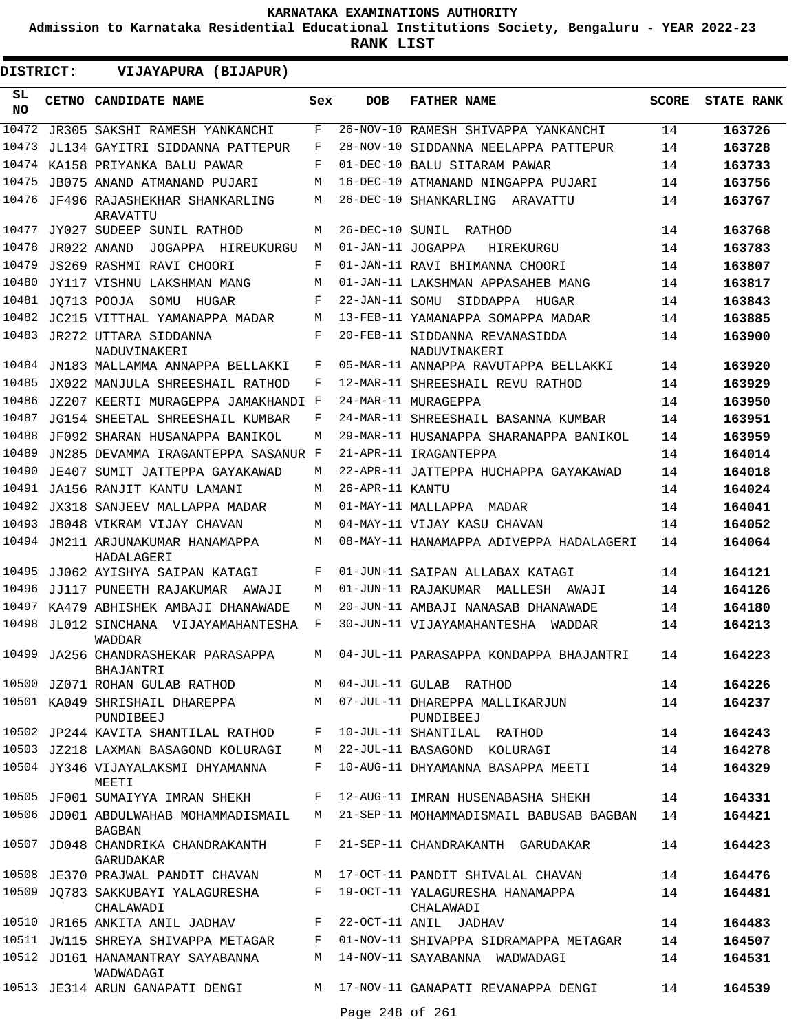**Admission to Karnataka Residential Educational Institutions Society, Bengaluru - YEAR 2022-23**

| DISTRICT:       | VIJAYAPURA (BIJAPUR)                                   |       |                   |                                                |       |                   |
|-----------------|--------------------------------------------------------|-------|-------------------|------------------------------------------------|-------|-------------------|
| SL<br><b>NO</b> | CETNO CANDIDATE NAME                                   | Sex   | <b>DOB</b>        | <b>FATHER NAME</b>                             | SCORE | <b>STATE RANK</b> |
| 10472           | JR305 SAKSHI RAMESH YANKANCHI                          | F     |                   | 26-NOV-10 RAMESH SHIVAPPA YANKANCHI            | 14    | 163726            |
| 10473           | JL134 GAYITRI SIDDANNA PATTEPUR                        | F     |                   | 28-NOV-10 SIDDANNA NEELAPPA PATTEPUR           | 14    | 163728            |
| 10474           | KA158 PRIYANKA BALU PAWAR                              | F     |                   | 01-DEC-10 BALU SITARAM PAWAR                   | 14    | 163733            |
| 10475           | JB075 ANAND ATMANAND PUJARI                            | М     |                   | 16-DEC-10 ATMANAND NINGAPPA PUJARI             | 14    | 163756            |
| 10476           | JF496 RAJASHEKHAR SHANKARLING<br>ARAVATTU              | М     |                   | 26-DEC-10 SHANKARLING<br>ARAVATTU              | 14    | 163767            |
| 10477           | JY027 SUDEEP SUNIL RATHOD                              | М     |                   | 26-DEC-10 SUNIL RATHOD                         | 14    | 163768            |
| 10478           | JR022 ANAND<br>JOGAPPA HIREUKURGU                      | М     | 01-JAN-11 JOGAPPA | HIREKURGU                                      | 14    | 163783            |
| 10479           | JS269 RASHMI RAVI CHOORI                               | F     |                   | 01-JAN-11 RAVI BHIMANNA CHOORI                 | 14    | 163807            |
| 10480           | JY117 VISHNU LAKSHMAN MANG                             | М     |                   | 01-JAN-11 LAKSHMAN APPASAHEB MANG              | 14    | 163817            |
| 10481           | JO713 POOJA<br>SOMU<br>HUGAR                           | F     | 22-JAN-11 SOMU    | SIDDAPPA HUGAR                                 | 14    | 163843            |
| 10482           | JC215 VITTHAL YAMANAPPA MADAR                          | М     |                   | 13-FEB-11 YAMANAPPA SOMAPPA MADAR              | 14    | 163885            |
| 10483           | JR272 UTTARA SIDDANNA<br>NADUVINAKERI                  | F     |                   | 20-FEB-11 SIDDANNA REVANASIDDA<br>NADUVINAKERI | 14    | 163900            |
| 10484           | JN183 MALLAMMA ANNAPPA BELLAKKI                        | F     |                   | 05-MAR-11 ANNAPPA RAVUTAPPA BELLAKKI           | 14    | 163920            |
| 10485           | JX022 MANJULA SHREESHAIL RATHOD                        | F     |                   | 12-MAR-11 SHREESHAIL REVU RATHOD               | 14    | 163929            |
| 10486           | JZ207 KEERTI MURAGEPPA JAMAKHANDI F                    |       |                   | 24-MAR-11 MURAGEPPA                            | 14    | 163950            |
| 10487           | JG154 SHEETAL SHREESHAIL KUMBAR                        | F     |                   | 24-MAR-11 SHREESHAIL BASANNA KUMBAR            | 14    | 163951            |
| 10488           | JF092 SHARAN HUSANAPPA BANIKOL                         | M     |                   | 29-MAR-11 HUSANAPPA SHARANAPPA BANIKOL         | 14    | 163959            |
| 10489           | JN285 DEVAMMA IRAGANTEPPA SASANUR F                    |       |                   | 21-APR-11 IRAGANTEPPA                          | 14    | 164014            |
| 10490           | JE407 SUMIT JATTEPPA GAYAKAWAD                         | M     |                   | 22-APR-11 JATTEPPA HUCHAPPA GAYAKAWAD          | 14    | 164018            |
| 10491           | JA156 RANJIT KANTU LAMANI                              | M     | 26-APR-11 KANTU   |                                                | 14    | 164024            |
| 10492           | JX318 SANJEEV MALLAPPA MADAR                           | M     |                   | 01-MAY-11 MALLAPPA MADAR                       | 14    | 164041            |
| 10493           | <b>JB048 VIKRAM VIJAY CHAVAN</b>                       | М     |                   | 04-MAY-11 VIJAY KASU CHAVAN                    | 14    | 164052            |
|                 | 10494 JM211 ARJUNAKUMAR HANAMAPPA<br>HADALAGERI        | M     |                   | 08-MAY-11 HANAMAPPA ADIVEPPA HADALAGERI        | 14    | 164064            |
| 10495           | JJ062 AYISHYA SAIPAN KATAGI                            | F     |                   | 01-JUN-11 SAIPAN ALLABAX KATAGI                | 14    | 164121            |
| 10496           | JJ117 PUNEETH RAJAKUMAR AWAJI                          | М     |                   | 01-JUN-11 RAJAKUMAR MALLESH<br>AWAJI           | 14    | 164126            |
| 10497           | KA479 ABHISHEK AMBAJI DHANAWADE                        | М     |                   | 20-JUN-11 AMBAJI NANASAB DHANAWADE             | 14    | 164180            |
| 10498           | JL012 SINCHANA<br>VIJAYAMAHANTESHA<br>WADDAR           | F     |                   | 30-JUN-11 VIJAYAMAHANTESHA<br>WADDAR           | 14    | 164213            |
|                 | 10499 JA256 CHANDRASHEKAR PARASAPPA<br>BHAJANTRI       |       |                   | M 04-JUL-11 PARASAPPA KONDAPPA BHAJANTRI       | 14    | 164223            |
|                 | 10500 JZ071 ROHAN GULAB RATHOD                         |       |                   | M 04-JUL-11 GULAB RATHOD                       | 14    | 164226            |
|                 | 10501 KA049 SHRISHAIL DHAREPPA<br>PUNDIBEEJ            |       |                   | M 07-JUL-11 DHAREPPA MALLIKARJUN<br>PUNDIBEEJ  | 14    | 164237            |
|                 | 10502 JP244 KAVITA SHANTILAL RATHOD                    | F     |                   | 10-JUL-11 SHANTILAL RATHOD                     | 14    | 164243            |
|                 | 10503 JZ218 LAXMAN BASAGOND KOLURAGI                   |       |                   | M 22-JUL-11 BASAGOND KOLURAGI                  | 14    | 164278            |
|                 | 10504 JY346 VIJAYALAKSMI DHYAMANNA<br>MEETI            | F     |                   | 10-AUG-11 DHYAMANNA BASAPPA MEETI              | 14    | 164329            |
|                 | 10505 JF001 SUMAIYYA IMRAN SHEKH                       |       |                   | F 12-AUG-11 IMRAN HUSENABASHA SHEKH            | 14    | 164331            |
|                 | 10506 JD001 ABDULWAHAB MOHAMMADISMAIL<br><b>BAGBAN</b> |       |                   | M 21-SEP-11 MOHAMMADISMAIL BABUSAB BAGBAN      | 14    | 164421            |
|                 | 10507 JD048 CHANDRIKA CHANDRAKANTH<br>GARUDAKAR        | $F -$ |                   | 21-SEP-11 CHANDRAKANTH GARUDAKAR               | 14    | 164423            |
|                 | 10508 JE370 PRAJWAL PANDIT CHAVAN                      |       |                   | M 17-OCT-11 PANDIT SHIVALAL CHAVAN             | 14    | 164476            |
|                 | 10509 JQ783 SAKKUBAYI YALAGURESHA<br>CHALAWADI         |       |                   | F 19-OCT-11 YALAGURESHA HANAMAPPA<br>CHALAWADI | 14    | 164481            |
|                 | 10510 JR165 ANKITA ANIL JADHAV                         | F     |                   | 22-OCT-11 ANIL JADHAV                          | 14    | 164483            |
|                 | 10511 JW115 SHREYA SHIVAPPA METAGAR                    | F     |                   | 01-NOV-11 SHIVAPPA SIDRAMAPPA METAGAR          | 14    | 164507            |
|                 | 10512 JD161 HANAMANTRAY SAYABANNA<br>WADWADAGI         | М     |                   | 14-NOV-11 SAYABANNA WADWADAGI                  | 14    | 164531            |
|                 | 10513 JE314 ARUN GANAPATI DENGI                        |       |                   | M 17-NOV-11 GANAPATI REVANAPPA DENGI           | 14    | 164539            |
|                 |                                                        |       | Page 248 of 261   |                                                |       |                   |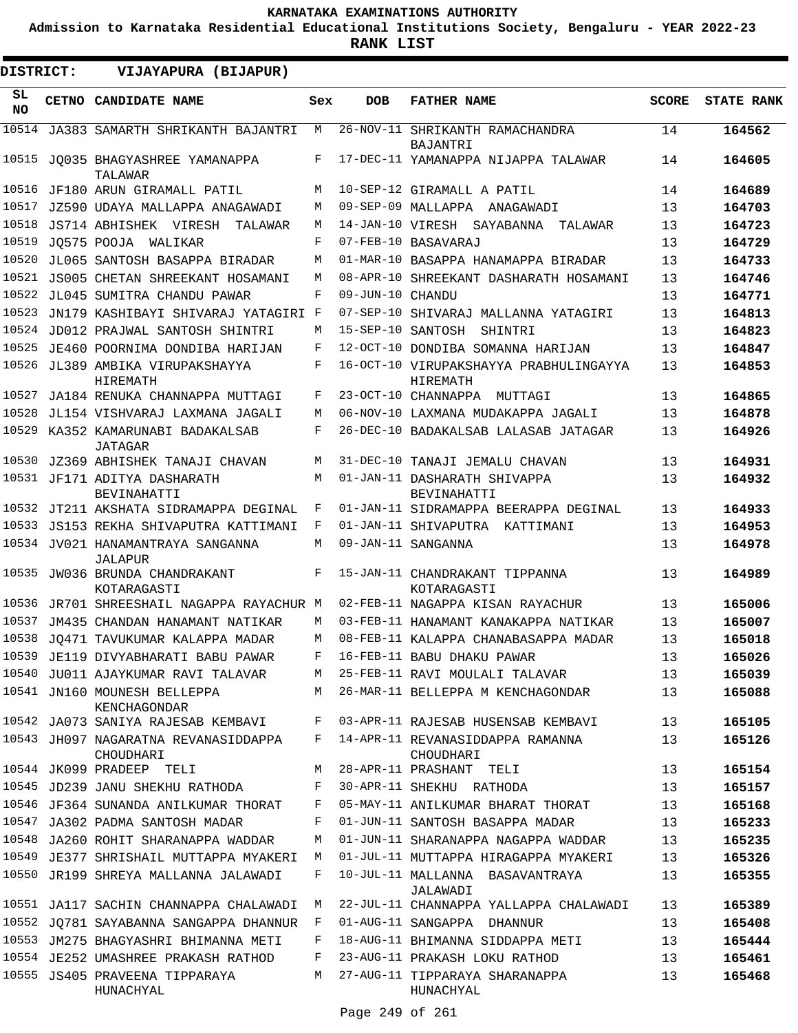**Admission to Karnataka Residential Educational Institutions Society, Bengaluru - YEAR 2022-23**

| DISTRICT: | VIJAYAPURA (BIJAPUR)                                                    |        |                   |                                                                             |              |                   |
|-----------|-------------------------------------------------------------------------|--------|-------------------|-----------------------------------------------------------------------------|--------------|-------------------|
| SL<br>NO. | CETNO CANDIDATE NAME                                                    | Sex    | <b>DOB</b>        | <b>FATHER NAME</b>                                                          | <b>SCORE</b> | <b>STATE RANK</b> |
| 10514     | JA383 SAMARTH SHRIKANTH BAJANTRI                                        | M      |                   | 26-NOV-11 SHRIKANTH RAMACHANDRA<br>BAJANTRI                                 | 14           | 164562            |
|           | 10515 JO035 BHAGYASHREE YAMANAPPA<br>TALAWAR                            | F      |                   | 17-DEC-11 YAMANAPPA NIJAPPA TALAWAR                                         | 14           | 164605            |
|           | 10516 JF180 ARUN GIRAMALL PATIL                                         | М      |                   | 10-SEP-12 GIRAMALL A PATIL                                                  | 14           | 164689            |
|           | 10517 JZ590 UDAYA MALLAPPA ANAGAWADI                                    | M      |                   | 09-SEP-09 MALLAPPA<br>ANAGAWADI                                             | 13           | 164703            |
| 10518     | JS714 ABHISHEK VIRESH<br>TALAWAR                                        | M      |                   | 14-JAN-10 VIRESH SAYABANNA<br>TALAWAR                                       | 13           | 164723            |
| 10519     | JO575 POOJA WALIKAR                                                     | F      |                   | 07-FEB-10 BASAVARAJ                                                         | 13           | 164729            |
| 10520     | JL065 SANTOSH BASAPPA BIRADAR                                           | M      |                   | 01-MAR-10 BASAPPA HANAMAPPA BIRADAR                                         | 13           | 164733            |
|           | 10521 JS005 CHETAN SHREEKANT HOSAMANI                                   | M      |                   | 08-APR-10 SHREEKANT DASHARATH HOSAMANI                                      | 13           | 164746            |
| 10522     | JL045 SUMITRA CHANDU PAWAR                                              | F      | 09-JUN-10 CHANDU  |                                                                             | 13           | 164771            |
| 10523     | JN179 KASHIBAYI SHIVARAJ YATAGIRI F                                     |        |                   | 07-SEP-10 SHIVARAJ MALLANNA YATAGIRI                                        | 13           | 164813            |
|           | 10524 JD012 PRAJWAL SANTOSH SHINTRI                                     | M      | 15-SEP-10 SANTOSH | SHINTRI                                                                     | 13           | 164823            |
| 10525     | JE460 POORNIMA DONDIBA HARIJAN                                          | F      |                   | 12-OCT-10 DONDIBA SOMANNA HARIJAN                                           | 13           | 164847            |
|           | 10526 JL389 AMBIKA VIRUPAKSHAYYA<br>HIREMATH                            | F      |                   | 16-OCT-10 VIRUPAKSHAYYA PRABHULINGAYYA<br>HIREMATH                          | 13           | 164853            |
| 10527     | JA184 RENUKA CHANNAPPA MUTTAGI                                          | F      |                   | 23-OCT-10 CHANNAPPA MUTTAGI                                                 | 13           | 164865            |
| 10528     | JL154 VISHVARAJ LAXMANA JAGALI                                          | M      |                   | 06-NOV-10 LAXMANA MUDAKAPPA JAGALI                                          | 13           | 164878            |
|           | 10529 KA352 KAMARUNABI BADAKALSAB<br>JATAGAR                            | F      |                   | 26-DEC-10 BADAKALSAB LALASAB JATAGAR                                        | 13           | 164926            |
| 10530     | JZ369 ABHISHEK TANAJI CHAVAN                                            | M      |                   | 31-DEC-10 TANAJI JEMALU CHAVAN                                              | 13           | 164931            |
|           | 10531 JF171 ADITYA DASHARATH<br><b>BEVINAHATTI</b>                      | M      |                   | 01-JAN-11 DASHARATH SHIVAPPA<br><b>BEVINAHATTI</b>                          | 13           | 164932            |
|           | 10532 JT211 AKSHATA SIDRAMAPPA DEGINAL                                  | F      |                   | 01-JAN-11 SIDRAMAPPA BEERAPPA DEGINAL                                       | 13           | 164933            |
|           | 10533 JS153 REKHA SHIVAPUTRA KATTIMANI                                  | F      |                   | 01-JAN-11 SHIVAPUTRA KATTIMANI                                              | 13           | 164953            |
|           | 10534 JV021 HANAMANTRAYA SANGANNA<br>JALAPUR                            | M      |                   | 09-JAN-11 SANGANNA                                                          | 13           | 164978            |
|           | 10535 JW036 BRUNDA CHANDRAKANT<br>KOTARAGASTI                           | F      |                   | 15-JAN-11 CHANDRAKANT TIPPANNA<br>KOTARAGASTI                               | 13           | 164989            |
|           | 10536 JR701 SHREESHAIL NAGAPPA RAYACHUR M                               |        |                   | 02-FEB-11 NAGAPPA KISAN RAYACHUR                                            | 13           | 165006            |
| 10537     | JM435 CHANDAN HANAMANT NATIKAR                                          | M      |                   | 03-FEB-11 HANAMANT KANAKAPPA NATIKAR                                        | 13           | 165007            |
|           | 10538 JQ471 TAVUKUMAR KALAPPA MADAR                                     | M      |                   | 08-FEB-11 KALAPPA CHANABASAPPA MADAR                                        | 13           | 165018            |
|           | 10539 JE119 DIVYABHARATI BABU PAWAR                                     | F      |                   | 16-FEB-11 BABU DHAKU PAWAR                                                  | 13           | 165026            |
|           | 10540 JU011 AJAYKUMAR RAVI TALAVAR                                      | M      |                   | 25-FEB-11 RAVI MOULALI TALAVAR                                              | 13           | 165039            |
|           | 10541 JN160 MOUNESH BELLEPPA<br>KENCHAGONDAR                            | М      |                   | 26-MAR-11 BELLEPPA M KENCHAGONDAR                                           | 13           | 165088            |
|           | 10542 JA073 SANIYA RAJESAB KEMBAVI                                      | F      |                   | 03-APR-11 RAJESAB HUSENSAB KEMBAVI                                          | 13           | 165105            |
|           | 10543 JH097 NAGARATNA REVANASIDDAPPA<br>CHOUDHARI                       | F      |                   | 14-APR-11 REVANASIDDAPPA RAMANNA<br>CHOUDHARI                               | 13           | 165126            |
|           | 10544 JK099 PRADEEP TELI                                                | M      |                   | 28-APR-11 PRASHANT TELI                                                     | 13           | 165154            |
|           | 10545 JD239 JANU SHEKHU RATHODA<br>10546 JF364 SUNANDA ANILKUMAR THORAT | F      |                   | 30-APR-11 SHEKHU RATHODA                                                    | 13           | 165157            |
|           | 10547 JA302 PADMA SANTOSH MADAR                                         | F<br>F |                   | 05-MAY-11 ANILKUMAR BHARAT THORAT<br>01-JUN-11 SANTOSH BASAPPA MADAR        | 13<br>13     | 165168            |
|           | 10548 JA260 ROHIT SHARANAPPA WADDAR                                     |        |                   |                                                                             |              | 165233            |
|           | 10549 JE377 SHRISHAIL MUTTAPPA MYAKERI                                  | M      |                   | 01-JUN-11 SHARANAPPA NAGAPPA WADDAR<br>01-JUL-11 MUTTAPPA HIRAGAPPA MYAKERI | 13           | 165235            |
|           |                                                                         | М      |                   |                                                                             | 13           | 165326            |
|           | 10550 JR199 SHREYA MALLANNA JALAWADI                                    | F      |                   | 10-JUL-11 MALLANNA BASAVANTRAYA<br>JALAWADI                                 | 13           | 165355            |
|           | 10551 JA117 SACHIN CHANNAPPA CHALAWADI                                  | М      |                   | 22-JUL-11 CHANNAPPA YALLAPPA CHALAWADI                                      | 13           | 165389            |
|           | 10552 JO781 SAYABANNA SANGAPPA DHANNUR                                  | F      |                   | 01-AUG-11 SANGAPPA DHANNUR                                                  | 13           | 165408            |
|           | 10553 JM275 BHAGYASHRI BHIMANNA METI                                    | F<br>F |                   | 18-AUG-11 BHIMANNA SIDDAPPA METI                                            | 13           | 165444            |
|           | 10554 JE252 UMASHREE PRAKASH RATHOD                                     |        |                   | 23-AUG-11 PRAKASH LOKU RATHOD                                               | 13           | 165461            |
|           | 10555 JS405 PRAVEENA TIPPARAYA<br>HUNACHYAL                             | М      |                   | 27-AUG-11 TIPPARAYA SHARANAPPA<br>HUNACHYAL                                 | 13           | 165468            |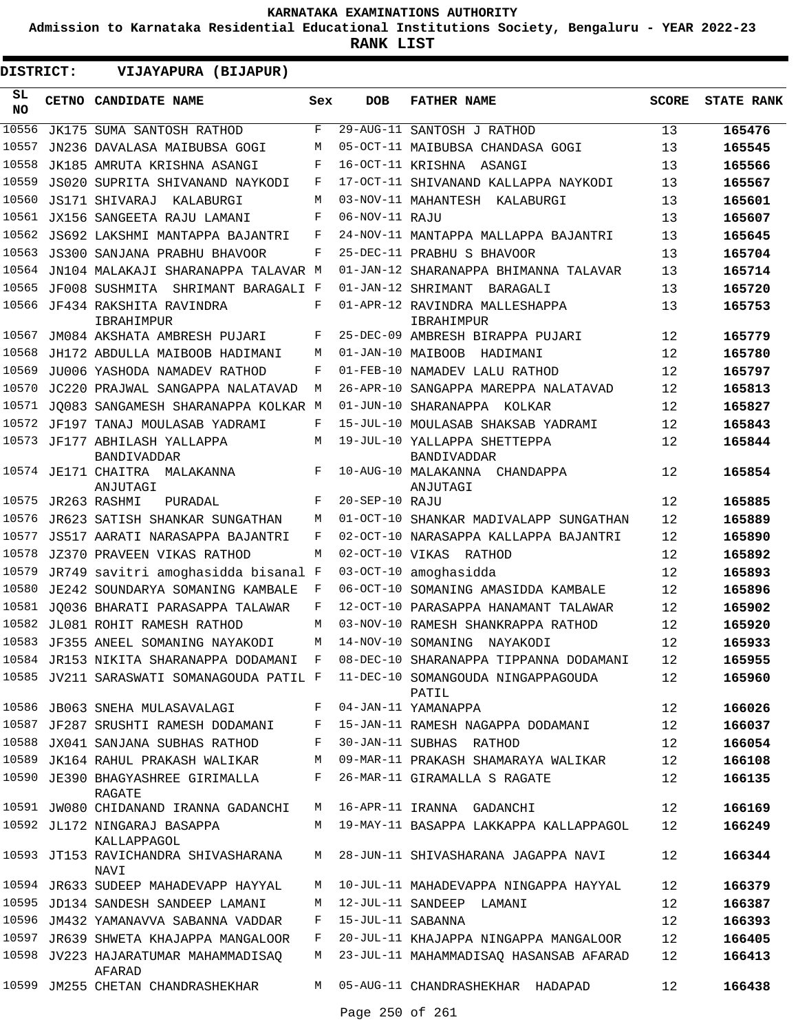**Admission to Karnataka Residential Educational Institutions Society, Bengaluru - YEAR 2022-23**

| DISTRICT:  | VIJAYAPURA (BIJAPUR)                                                         |     |                   |                                              |              |                   |
|------------|------------------------------------------------------------------------------|-----|-------------------|----------------------------------------------|--------------|-------------------|
| SL.<br>NO. | CETNO CANDIDATE NAME                                                         | Sex | <b>DOB</b>        | <b>FATHER NAME</b>                           | <b>SCORE</b> | <b>STATE RANK</b> |
| 10556      | JK175 SUMA SANTOSH RATHOD                                                    | F   |                   | 29-AUG-11 SANTOSH J RATHOD                   | 13           | 165476            |
| 10557      | JN236 DAVALASA MAIBUBSA GOGI                                                 | M   |                   | 05-OCT-11 MAIBUBSA CHANDASA GOGI             | 13           | 165545            |
| 10558      | JK185 AMRUTA KRISHNA ASANGI                                                  | F   |                   | 16-OCT-11 KRISHNA ASANGI                     | 13           | 165566            |
| 10559      | JS020 SUPRITA SHIVANAND NAYKODI                                              | F   |                   | 17-OCT-11 SHIVANAND KALLAPPA NAYKODI         | 13           | 165567            |
| 10560      | JS171 SHIVARAJ<br>KALABURGI                                                  | M   |                   | 03-NOV-11 MAHANTESH KALABURGI                | 13           | 165601            |
| 10561      | JX156 SANGEETA RAJU LAMANI                                                   | F   | 06-NOV-11 RAJU    |                                              | 13           | 165607            |
| 10562      | JS692 LAKSHMI MANTAPPA BAJANTRI                                              | F   |                   | 24-NOV-11 MANTAPPA MALLAPPA BAJANTRI         | 13           | 165645            |
| 10563      | JS300 SANJANA PRABHU BHAVOOR                                                 | F   |                   | 25-DEC-11 PRABHU S BHAVOOR                   | 13           | 165704            |
| 10564      | JN104 MALAKAJI SHARANAPPA TALAVAR M                                          |     |                   | 01-JAN-12 SHARANAPPA BHIMANNA TALAVAR        | 13           | 165714            |
| 10565      | JF008 SUSHMITA SHRIMANT BARAGALI F                                           |     |                   | 01-JAN-12 SHRIMANT<br>BARAGALI               | 13           | 165720            |
|            | 10566 JF434 RAKSHITA RAVINDRA<br>IBRAHIMPUR                                  | F   |                   | 01-APR-12 RAVINDRA MALLESHAPPA<br>IBRAHIMPUR | 13           | 165753            |
| 10567      | JM084 AKSHATA AMBRESH PUJARI                                                 | F   |                   | 25-DEC-09 AMBRESH BIRAPPA PUJARI             | 12           | 165779            |
| 10568      | JH172 ABDULLA MAIBOOB HADIMANI                                               | M   |                   | 01-JAN-10 MAIBOOB HADIMANI                   | 12           | 165780            |
| 10569      | JU006 YASHODA NAMADEV RATHOD                                                 | F   |                   | 01-FEB-10 NAMADEV LALU RATHOD                | 12           | 165797            |
| 10570      | JC220 PRAJWAL SANGAPPA NALATAVAD                                             | М   |                   | 26-APR-10 SANGAPPA MAREPPA NALATAVAD         | 12           | 165813            |
| 10571      | JO083 SANGAMESH SHARANAPPA KOLKAR M                                          |     |                   | 01-JUN-10 SHARANAPPA KOLKAR                  | 12           | 165827            |
|            | 10572 JF197 TANAJ MOULASAB YADRAMI                                           | F   |                   | 15-JUL-10 MOULASAB SHAKSAB YADRAMI           | 12           | 165843            |
|            | 10573 JF177 ABHILASH YALLAPPA<br>BANDIVADDAR                                 | M   |                   | 19-JUL-10 YALLAPPA SHETTEPPA<br>BANDIVADDAR  | 12           | 165844            |
|            | 10574 JE171 CHAITRA MALAKANNA<br>ANJUTAGI                                    | F   |                   | 10-AUG-10 MALAKANNA CHANDAPPA<br>ANJUTAGI    | 12           | 165854            |
| 10575      | JR263 RASHMI<br>PURADAL                                                      | F   | 20-SEP-10 RAJU    |                                              | 12           | 165885            |
| 10576      | JR623 SATISH SHANKAR SUNGATHAN                                               | M   |                   | 01-OCT-10 SHANKAR MADIVALAPP SUNGATHAN       | 12           | 165889            |
| 10577      | JS517 AARATI NARASAPPA BAJANTRI                                              | F   |                   | 02-OCT-10 NARASAPPA KALLAPPA BAJANTRI        | 12           | 165890            |
| 10578      | <b>JZ370 PRAVEEN VIKAS RATHOD</b>                                            | M   |                   | 02-OCT-10 VIKAS RATHOD                       | 12           | 165892            |
| 10579      | JR749 savitri amoghasidda bisanal F                                          |     |                   | 03-OCT-10 amoghasidda                        | 12           | 165893            |
| 10580      | JE242 SOUNDARYA SOMANING KAMBALE                                             | F   |                   | 06-OCT-10 SOMANING AMASIDDA KAMBALE          | 12           | 165896            |
| 10581      | JO036 BHARATI PARASAPPA TALAWAR                                              | F   |                   | 12-OCT-10 PARASAPPA HANAMANT TALAWAR         | 12           | 165902            |
|            | 10582 JL081 ROHIT RAMESH RATHOD                                              | M   |                   | 03-NOV-10 RAMESH SHANKRAPPA RATHOD           | 12           | 165920            |
|            | 10583 JF355 ANEEL SOMANING NAYAKODI                                          | M   |                   | 14-NOV-10 SOMANING NAYAKODI                  | 12           | 165933            |
|            | 10584 JR153 NIKITA SHARANAPPA DODAMANI F                                     |     |                   | 08-DEC-10 SHARANAPPA TIPPANNA DODAMANI       | 12           | 165955            |
|            | 10585 JV211 SARASWATI SOMANAGOUDA PATIL F 11-DEC-10 SOMANGOUDA NINGAPPAGOUDA |     |                   | PATIL                                        | 12           | 165960            |
|            | 10586 JB063 SNEHA MULASAVALAGI                                               |     |                   | F 04-JAN-11 YAMANAPPA                        | 12           | 166026            |
|            | 10587 JF287 SRUSHTI RAMESH DODAMANI                                          | F   |                   | 15-JAN-11 RAMESH NAGAPPA DODAMANI            | 12           | 166037            |
|            | 10588 JX041 SANJANA SUBHAS RATHOD                                            | F   |                   | 30-JAN-11 SUBHAS RATHOD                      | 12           | 166054            |
|            | 10589 JK164 RAHUL PRAKASH WALIKAR                                            | M   |                   | 09-MAR-11 PRAKASH SHAMARAYA WALIKAR          | 12           | 166108            |
|            | 10590 JE390 BHAGYASHREE GIRIMALLA<br>RAGATE                                  | F   |                   | 26-MAR-11 GIRAMALLA S RAGATE                 | 12           | 166135            |
|            | 10591 JW080 CHIDANAND IRANNA GADANCHI                                        |     |                   | M 16-APR-11 IRANNA GADANCHI                  | 12           | 166169            |
|            | 10592 JL172 NINGARAJ BASAPPA<br>KALLAPPAGOL                                  |     |                   | M 19-MAY-11 BASAPPA LAKKAPPA KALLAPPAGOL     | 12           | 166249            |
|            | 10593 JT153 RAVICHANDRA SHIVASHARANA<br>NAVI                                 | M   |                   | 28-JUN-11 SHIVASHARANA JAGAPPA NAVI          | 12           | 166344            |
|            | 10594 JR633 SUDEEP MAHADEVAPP HAYYAL                                         | M   |                   | 10-JUL-11 MAHADEVAPPA NINGAPPA HAYYAL        | 12           | 166379            |
|            | 10595 JD134 SANDESH SANDEEP LAMANI                                           | M   |                   | 12-JUL-11 SANDEEP LAMANI                     | 12           | 166387            |
|            | 10596 JM432 YAMANAVVA SABANNA VADDAR                                         | F   | 15-JUL-11 SABANNA |                                              | 12           | 166393            |
|            | 10597 JR639 SHWETA KHAJAPPA MANGALOOR                                        | F   |                   | 20-JUL-11 KHAJAPPA NINGAPPA MANGALOOR        | 12           | 166405            |
|            | 10598 JV223 HAJARATUMAR MAHAMMADISAQ<br>AFARAD                               | M   |                   | 23-JUL-11 MAHAMMADISAQ HASANSAB AFARAD       | 12           | 166413            |
|            | 10599 JM255 CHETAN CHANDRASHEKHAR                                            |     |                   | M 05-AUG-11 CHANDRASHEKHAR HADAPAD           | 12           | 166438            |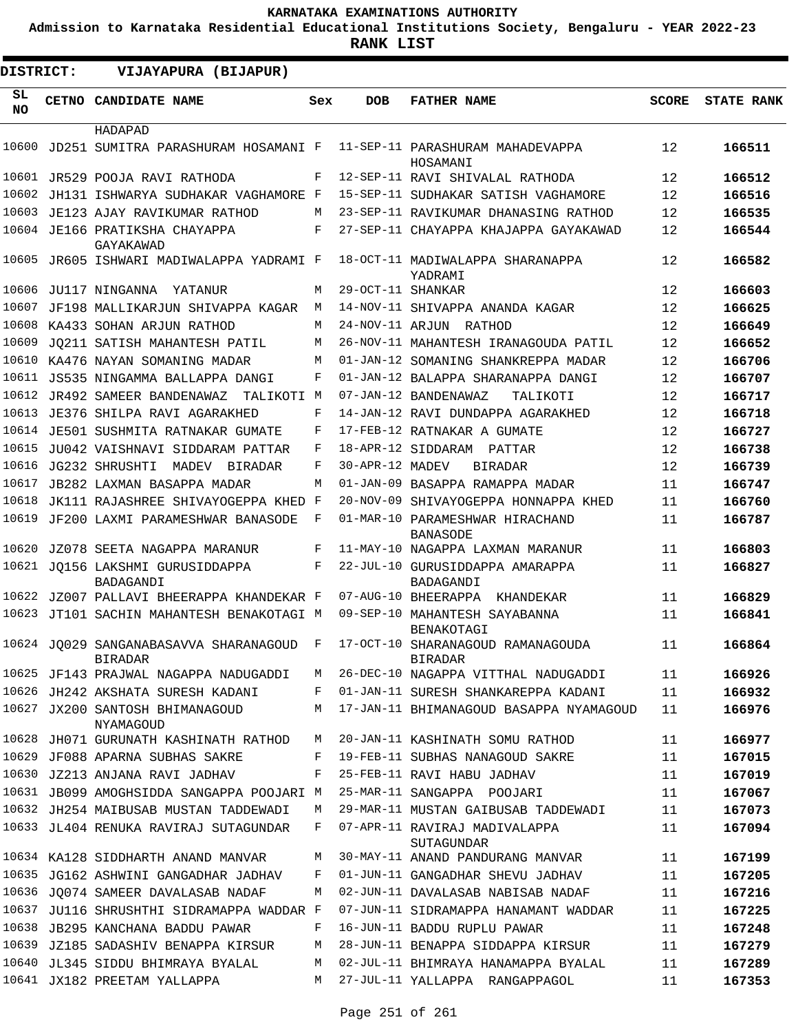**Admission to Karnataka Residential Educational Institutions Society, Bengaluru - YEAR 2022-23**

**RANK LIST**

| <b>DISTRICT:</b> |  | VIJAYAPURA (BIJAPUR)                                     |     |                   |                                                     |              |                   |
|------------------|--|----------------------------------------------------------|-----|-------------------|-----------------------------------------------------|--------------|-------------------|
| SL<br>NO.        |  | CETNO CANDIDATE NAME                                     | Sex | <b>DOB</b>        | <b>FATHER NAME</b>                                  | <b>SCORE</b> | <b>STATE RANK</b> |
|                  |  | HADAPAD                                                  |     |                   |                                                     |              |                   |
| 10600            |  | JD251 SUMITRA PARASHURAM HOSAMANI F                      |     |                   | 11-SEP-11 PARASHURAM MAHADEVAPPA<br>HOSAMANI        | 12           | 166511            |
| 10601            |  | JR529 POOJA RAVI RATHODA                                 | F   |                   | 12-SEP-11 RAVI SHIVALAL RATHODA                     | 12           | 166512            |
| 10602            |  | JH131 ISHWARYA SUDHAKAR VAGHAMORE F                      |     |                   | 15-SEP-11 SUDHAKAR SATISH VAGHAMORE                 | 12           | 166516            |
| 10603            |  | JE123 AJAY RAVIKUMAR RATHOD                              | М   |                   | 23-SEP-11 RAVIKUMAR DHANASING RATHOD                | 12           | 166535            |
|                  |  | 10604 JE166 PRATIKSHA CHAYAPPA<br>GAYAKAWAD              | F   |                   | 27-SEP-11 CHAYAPPA KHAJAPPA GAYAKAWAD               | 12           | 166544            |
|                  |  | 10605 JR605 ISHWARI MADIWALAPPA YADRAMI F                |     |                   | 18-OCT-11 MADIWALAPPA SHARANAPPA<br>YADRAMI         | 12           | 166582            |
| 10606            |  | JU117 NINGANNA<br>YATANUR                                | М   | 29-OCT-11 SHANKAR |                                                     | 12           | 166603            |
| 10607            |  | JF198 MALLIKARJUN SHIVAPPA KAGAR                         | M   |                   | 14-NOV-11 SHIVAPPA ANANDA KAGAR                     | 12           | 166625            |
| 10608            |  | KA433 SOHAN ARJUN RATHOD                                 | М   |                   | 24-NOV-11 ARJUN RATHOD                              | 12           | 166649            |
| 10609            |  | JO211 SATISH MAHANTESH PATIL                             | M   |                   | 26-NOV-11 MAHANTESH IRANAGOUDA PATIL                | 12           | 166652            |
| 10610            |  | KA476 NAYAN SOMANING MADAR                               | M   |                   | 01-JAN-12 SOMANING SHANKREPPA MADAR                 | 12           | 166706            |
| 10611            |  | JS535 NINGAMMA BALLAPPA DANGI                            | F   |                   | 01-JAN-12 BALAPPA SHARANAPPA DANGI                  | 12           | 166707            |
| 10612            |  | JR492 SAMEER BANDENAWAZ<br>TALIKOTI M                    |     |                   | 07-JAN-12 BANDENAWAZ<br>TALIKOTI                    | 12           | 166717            |
| 10613            |  | JE376 SHILPA RAVI AGARAKHED                              | F   |                   | 14-JAN-12 RAVI DUNDAPPA AGARAKHED                   | 12           | 166718            |
|                  |  | 10614 JE501 SUSHMITA RATNAKAR GUMATE                     | F   |                   | 17-FEB-12 RATNAKAR A GUMATE                         | 12           | 166727            |
| 10615            |  | JU042 VAISHNAVI SIDDARAM PATTAR                          | F   |                   | 18-APR-12 SIDDARAM PATTAR                           | 12           | 166738            |
| 10616            |  | JG232 SHRUSHTI<br>MADEV BIRADAR                          | F   | 30-APR-12 MADEV   | <b>BIRADAR</b>                                      | 12           | 166739            |
| 10617            |  | JB282 LAXMAN BASAPPA MADAR                               | M   |                   | 01-JAN-09 BASAPPA RAMAPPA MADAR                     | 11           | 166747            |
| 10618            |  | JK111 RAJASHREE SHIVAYOGEPPA KHED                        | F   |                   | 20-NOV-09 SHIVAYOGEPPA HONNAPPA KHED                | 11           | 166760            |
| 10619            |  | JF200 LAXMI PARAMESHWAR BANASODE                         | F   |                   | 01-MAR-10 PARAMESHWAR HIRACHAND<br><b>BANASODE</b>  | 11           | 166787            |
| 10620            |  | JZ078 SEETA NAGAPPA MARANUR                              | F   |                   | 11-MAY-10 NAGAPPA LAXMAN MARANUR                    | 11           | 166803            |
| 10621            |  | JO156 LAKSHMI GURUSIDDAPPA<br>BADAGANDI                  | F   |                   | 22-JUL-10 GURUSIDDAPPA AMARAPPA<br>BADAGANDI        | 11           | 166827            |
| 10622            |  | JZ007 PALLAVI BHEERAPPA KHANDEKAR F                      |     |                   | 07-AUG-10 BHEERAPPA<br>KHANDEKAR                    | 11           | 166829            |
|                  |  | 10623 JT101 SACHIN MAHANTESH BENAKOTAGI M                |     |                   | 09-SEP-10 MAHANTESH SAYABANNA<br><b>BENAKOTAGI</b>  | 11           | 166841            |
|                  |  | 10624 JQ029 SANGANABASAVVA SHARANAGOUD<br><b>BIRADAR</b> | F   |                   | 17-OCT-10 SHARANAGOUD RAMANAGOUDA<br><b>BIRADAR</b> | 11           | 166864            |
|                  |  | 10625 JF143 PRAJWAL NAGAPPA NADUGADDI                    | М   |                   | 26-DEC-10 NAGAPPA VITTHAL NADUGADDI                 | 11           | 166926            |
|                  |  | 10626 JH242 AKSHATA SURESH KADANI                        | F   |                   | 01-JAN-11 SURESH SHANKAREPPA KADANI                 | 11           | 166932            |
|                  |  | 10627 JX200 SANTOSH BHIMANAGOUD<br>NYAMAGOUD             | М   |                   | 17-JAN-11 BHIMANAGOUD BASAPPA NYAMAGOUD             | 11           | 166976            |
|                  |  | 10628 JH071 GURUNATH KASHINATH RATHOD                    | М   |                   | 20-JAN-11 KASHINATH SOMU RATHOD                     | 11           | 166977            |
| 10629            |  | JF088 APARNA SUBHAS SAKRE                                | F   |                   | 19-FEB-11 SUBHAS NANAGOUD SAKRE                     | 11           | 167015            |
|                  |  | 10630 JZ213 ANJANA RAVI JADHAV                           | F   |                   | 25-FEB-11 RAVI HABU JADHAV                          | 11           | 167019            |
|                  |  | 10631 JB099 AMOGHSIDDA SANGAPPA POOJARI M                |     |                   | 25-MAR-11 SANGAPPA POOJARI                          | 11           | 167067            |
|                  |  | 10632 JH254 MAIBUSAB MUSTAN TADDEWADI                    | М   |                   | 29-MAR-11 MUSTAN GAIBUSAB TADDEWADI                 | 11           | 167073            |
|                  |  | 10633 JL404 RENUKA RAVIRAJ SUTAGUNDAR                    | F   |                   | 07-APR-11 RAVIRAJ MADIVALAPPA<br>SUTAGUNDAR         | 11           | 167094            |
|                  |  | 10634 KA128 SIDDHARTH ANAND MANVAR                       | М   |                   | 30-MAY-11 ANAND PANDURANG MANVAR                    | 11           | 167199            |
|                  |  | 10635 JG162 ASHWINI GANGADHAR JADHAV                     | F   |                   | 01-JUN-11 GANGADHAR SHEVU JADHAV                    | 11           | 167205            |
|                  |  | 10636 JO074 SAMEER DAVALASAB NADAF                       | М   |                   | 02-JUN-11 DAVALASAB NABISAB NADAF                   | 11           | 167216            |
|                  |  | 10637 JU116 SHRUSHTHI SIDRAMAPPA WADDAR F                |     |                   | 07-JUN-11 SIDRAMAPPA HANAMANT WADDAR                | 11           | 167225            |
|                  |  | 10638 JB295 KANCHANA BADDU PAWAR                         | F   |                   | 16-JUN-11 BADDU RUPLU PAWAR                         | 11           | 167248            |
|                  |  | 10639 JZ185 SADASHIV BENAPPA KIRSUR                      | М   |                   | 28-JUN-11 BENAPPA SIDDAPPA KIRSUR                   | 11           | 167279            |
|                  |  | 10640 JL345 SIDDU BHIMRAYA BYALAL                        | М   |                   | 02-JUL-11 BHIMRAYA HANAMAPPA BYALAL                 | 11           | 167289            |
|                  |  | 10641 JX182 PREETAM YALLAPPA                             | М   |                   | 27-JUL-11 YALLAPPA RANGAPPAGOL                      | 11           | 167353            |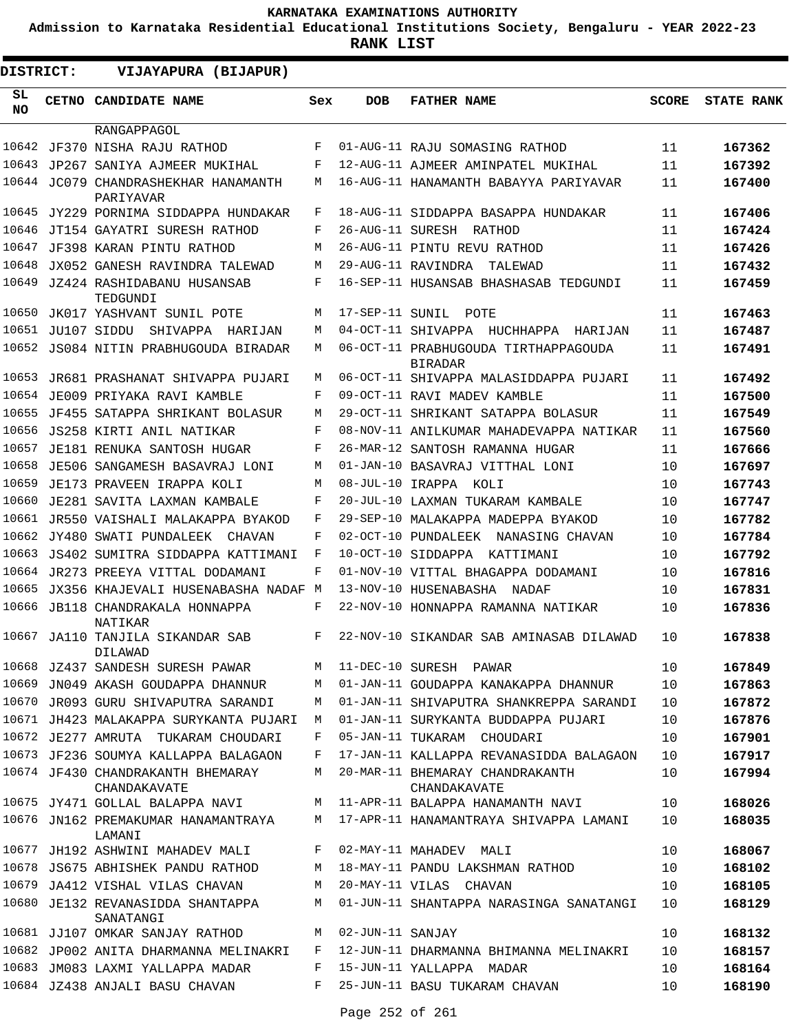**Admission to Karnataka Residential Educational Institutions Society, Bengaluru - YEAR 2022-23**

| <b>DISTRICT:</b> |  | VIJAYAPURA (BIJAPUR)                              |     |                    |                                                        |              |                   |
|------------------|--|---------------------------------------------------|-----|--------------------|--------------------------------------------------------|--------------|-------------------|
| SL<br><b>NO</b>  |  | <b>CETNO CANDIDATE NAME</b>                       | Sex | <b>DOB</b>         | <b>FATHER NAME</b>                                     | <b>SCORE</b> | <b>STATE RANK</b> |
|                  |  | RANGAPPAGOL                                       |     |                    |                                                        |              |                   |
| 10642            |  | JF370 NISHA RAJU RATHOD                           | F   |                    | 01-AUG-11 RAJU SOMASING RATHOD                         | 11           | 167362            |
| 10643            |  | JP267 SANIYA AJMEER MUKIHAL                       | F   |                    | 12-AUG-11 AJMEER AMINPATEL MUKIHAL                     | 11           | 167392            |
|                  |  | 10644 JC079 CHANDRASHEKHAR HANAMANTH<br>PARIYAVAR | М   |                    | 16-AUG-11 HANAMANTH BABAYYA PARIYAVAR                  | 11           | 167400            |
| 10645            |  | JY229 PORNIMA SIDDAPPA HUNDAKAR                   | F   |                    | 18-AUG-11 SIDDAPPA BASAPPA HUNDAKAR                    | 11           | 167406            |
| 10646            |  | JT154 GAYATRI SURESH RATHOD                       | F   |                    | 26-AUG-11 SURESH RATHOD                                | 11           | 167424            |
| 10647            |  | JF398 KARAN PINTU RATHOD                          | M   |                    | 26-AUG-11 PINTU REVU RATHOD                            | 11           | 167426            |
| 10648            |  | JX052 GANESH RAVINDRA TALEWAD                     | M   |                    | 29-AUG-11 RAVINDRA<br>TALEWAD                          | 11           | 167432            |
| 10649            |  | JZ424 RASHIDABANU HUSANSAB<br>TEDGUNDI            | F   |                    | 16-SEP-11 HUSANSAB BHASHASAB TEDGUNDI                  | 11           | 167459            |
| 10650            |  | JK017 YASHVANT SUNIL POTE                         | M   | 17-SEP-11 SUNIL    | POTE                                                   | 11           | 167463            |
|                  |  | 10651 JU107 SIDDU SHIVAPPA HARIJAN                | M   |                    | 04-OCT-11 SHIVAPPA HUCHHAPPA HARIJAN                   | 11           | 167487            |
|                  |  | 10652 JS084 NITIN PRABHUGOUDA BIRADAR             | M   |                    | 06-OCT-11 PRABHUGOUDA TIRTHAPPAGOUDA<br><b>BIRADAR</b> | 11           | 167491            |
| 10653            |  | JR681 PRASHANAT SHIVAPPA PUJARI                   | M   |                    | 06-OCT-11 SHIVAPPA MALASIDDAPPA PUJARI                 | 11           | 167492            |
| 10654            |  | JE009 PRIYAKA RAVI KAMBLE                         | F   |                    | 09-OCT-11 RAVI MADEV KAMBLE                            | 11           | 167500            |
| 10655            |  | JF455 SATAPPA SHRIKANT BOLASUR                    | M   |                    | 29-OCT-11 SHRIKANT SATAPPA BOLASUR                     | 11           | 167549            |
| 10656            |  | JS258 KIRTI ANIL NATIKAR                          | F   |                    | 08-NOV-11 ANILKUMAR MAHADEVAPPA NATIKAR                | 11           | 167560            |
| 10657            |  | JE181 RENUKA SANTOSH HUGAR                        | F   |                    | 26-MAR-12 SANTOSH RAMANNA HUGAR                        | 11           | 167666            |
| 10658            |  | JE506 SANGAMESH BASAVRAJ LONI                     | М   |                    | 01-JAN-10 BASAVRAJ VITTHAL LONI                        | 10           | 167697            |
| 10659            |  | JE173 PRAVEEN IRAPPA KOLI                         | M   | 08-JUL-10 IRAPPA   | KOLI                                                   | 10           | 167743            |
| 10660            |  | JE281 SAVITA LAXMAN KAMBALE                       | F   |                    | 20-JUL-10 LAXMAN TUKARAM KAMBALE                       | 10           | 167747            |
| 10661            |  | JR550 VAISHALI MALAKAPPA BYAKOD                   | F   |                    | 29-SEP-10 MALAKAPPA MADEPPA BYAKOD                     | 10           | 167782            |
| 10662            |  | JY480 SWATI PUNDALEEK<br><b>CHAVAN</b>            | F   |                    | 02-OCT-10 PUNDALEEK<br>NANASING CHAVAN                 | 10           | 167784            |
| 10663            |  | JS402 SUMITRA SIDDAPPA KATTIMANI                  | F   |                    | 10-OCT-10 SIDDAPPA KATTIMANI                           | 10           | 167792            |
| 10664            |  | JR273 PREEYA VITTAL DODAMANI                      | F   |                    | 01-NOV-10 VITTAL BHAGAPPA DODAMANI                     | 10           | 167816            |
| 10665            |  | JX356 KHAJEVALI HUSENABASHA NADAF M               |     |                    | 13-NOV-10 HUSENABASHA<br>NADAF                         | 10           | 167831            |
| 10666            |  | JB118 CHANDRAKALA HONNAPPA<br>NATIKAR             | F   |                    | 22-NOV-10 HONNAPPA RAMANNA NATIKAR                     | 10           | 167836            |
|                  |  | 10667 JA110 TANJILA SIKANDAR SAB<br>DILAWAD       | F   |                    | 22-NOV-10 SIKANDAR SAB AMINASAB DILAWAD                | 10           | 167838            |
|                  |  | 10668 JZ437 SANDESH SURESH PAWAR                  | M   |                    | 11-DEC-10 SURESH PAWAR                                 | 10           | 167849            |
|                  |  | 10669 JN049 AKASH GOUDAPPA DHANNUR                | M   |                    | 01-JAN-11 GOUDAPPA KANAKAPPA DHANNUR                   | 10           | 167863            |
|                  |  | 10670 JR093 GURU SHIVAPUTRA SARANDI               | М   |                    | 01-JAN-11 SHIVAPUTRA SHANKREPPA SARANDI                | 10           | 167872            |
|                  |  | 10671 JH423 MALAKAPPA SURYKANTA PUJARI            | М   |                    | 01-JAN-11 SURYKANTA BUDDAPPA PUJARI                    | 10           | 167876            |
|                  |  | 10672 JE277 AMRUTA TUKARAM CHOUDARI               | F   |                    | 05-JAN-11 TUKARAM CHOUDARI                             | 10           | 167901            |
|                  |  | 10673 JF236 SOUMYA KALLAPPA BALAGAON              | F   |                    | 17-JAN-11 KALLAPPA REVANASIDDA BALAGAON                | 10           | 167917            |
|                  |  | 10674 JF430 CHANDRAKANTH BHEMARAY<br>CHANDAKAVATE | М   |                    | 20-MAR-11 BHEMARAY CHANDRAKANTH<br>CHANDAKAVATE        | 10           | 167994            |
|                  |  | 10675 JY471 GOLLAL BALAPPA NAVI                   | M   |                    | 11-APR-11 BALAPPA HANAMANTH NAVI                       | 10           | 168026            |
|                  |  | 10676 JN162 PREMAKUMAR HANAMANTRAYA<br>LAMANI     | M   |                    | 17-APR-11 HANAMANTRAYA SHIVAPPA LAMANI                 | 10           | 168035            |
|                  |  | 10677 JH192 ASHWINI MAHADEV MALI                  | F   |                    | 02-MAY-11 MAHADEV MALI                                 | 10           | 168067            |
|                  |  | 10678 JS675 ABHISHEK PANDU RATHOD                 | M   |                    | 18-MAY-11 PANDU LAKSHMAN RATHOD                        | 10           | 168102            |
|                  |  | 10679 JA412 VISHAL VILAS CHAVAN                   | M   |                    | 20-MAY-11 VILAS CHAVAN                                 | 10           | 168105            |
|                  |  | 10680 JE132 REVANASIDDA SHANTAPPA<br>SANATANGI    | M   |                    | 01-JUN-11 SHANTAPPA NARASINGA SANATANGI                | 10           | 168129            |
|                  |  | 10681 JJ107 OMKAR SANJAY RATHOD                   |     | M 02-JUN-11 SANJAY |                                                        | 10           | 168132            |
|                  |  | 10682 JP002 ANITA DHARMANNA MELINAKRI             | F   |                    | 12-JUN-11 DHARMANNA BHIMANNA MELINAKRI                 | 10           | 168157            |
|                  |  | 10683 JM083 LAXMI YALLAPPA MADAR                  | F   |                    | 15-JUN-11 YALLAPPA MADAR                               | 10           | 168164            |
|                  |  | 10684 JZ438 ANJALI BASU CHAVAN                    | F   |                    | 25-JUN-11 BASU TUKARAM CHAVAN                          | 10           | 168190            |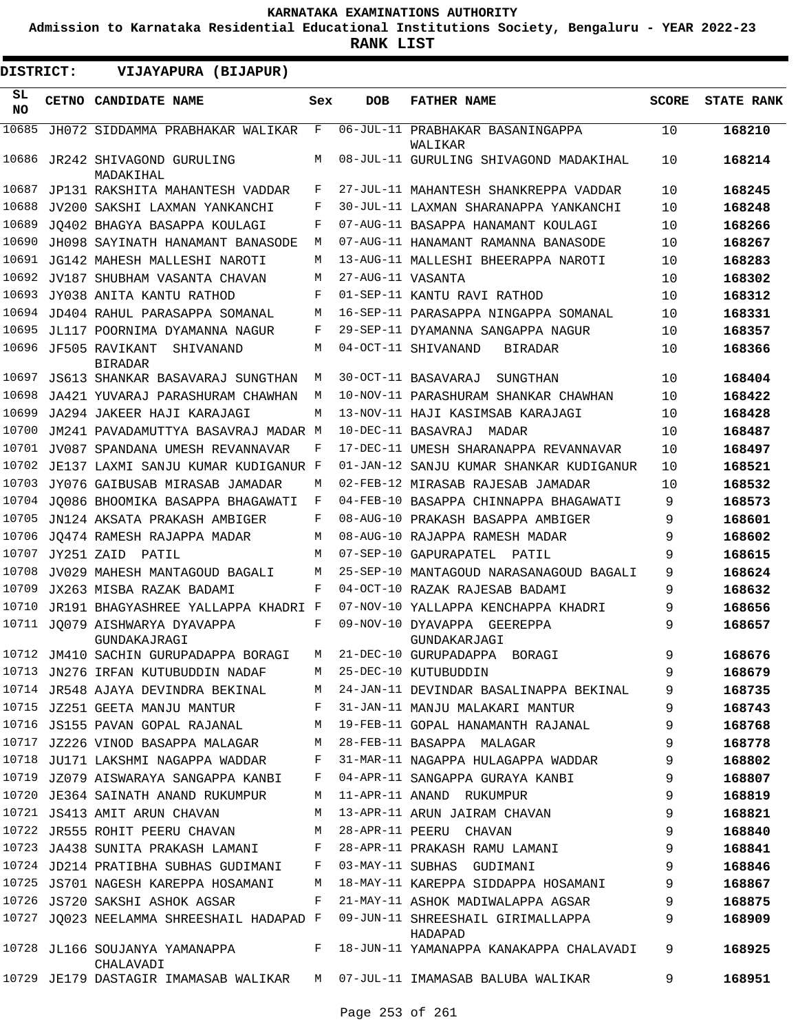**Admission to Karnataka Residential Educational Institutions Society, Bengaluru - YEAR 2022-23**

**RANK LIST**

 $\blacksquare$ 

| <b>DISTRICT:</b> |              | VIJAYAPURA (BIJAPUR)                                                      |     |                   |                                                                                    |              |                   |
|------------------|--------------|---------------------------------------------------------------------------|-----|-------------------|------------------------------------------------------------------------------------|--------------|-------------------|
| SL<br>NO.        | <b>CETNO</b> | CANDIDATE NAME                                                            | Sex | <b>DOB</b>        | <b>FATHER NAME</b>                                                                 | <b>SCORE</b> | <b>STATE RANK</b> |
| 10685            |              | JH072 SIDDAMMA PRABHAKAR WALIKAR                                          | F   |                   | 06-JUL-11 PRABHAKAR BASANINGAPPA<br>WALIKAR                                        | 10           | 168210            |
| 10686            |              | JR242 SHIVAGOND GURULING<br>MADAKIHAL                                     | М   |                   | 08-JUL-11 GURULING SHIVAGOND MADAKIHAL                                             | 10           | 168214            |
| 10687            |              | JP131 RAKSHITA MAHANTESH VADDAR                                           | F   |                   | 27-JUL-11 MAHANTESH SHANKREPPA VADDAR                                              | 10           | 168245            |
| 10688            |              | JV200 SAKSHI LAXMAN YANKANCHI                                             | F   |                   | 30-JUL-11 LAXMAN SHARANAPPA YANKANCHI                                              | 10           | 168248            |
| 10689            |              | JO402 BHAGYA BASAPPA KOULAGI                                              | F   |                   | 07-AUG-11 BASAPPA HANAMANT KOULAGI                                                 | 10           | 168266            |
| 10690            |              | JH098 SAYINATH HANAMANT BANASODE                                          | M   |                   | 07-AUG-11 HANAMANT RAMANNA BANASODE                                                | 10           | 168267            |
| 10691            |              | JG142 MAHESH MALLESHI NAROTI                                              | М   |                   | 13-AUG-11 MALLESHI BHEERAPPA NAROTI                                                | 10           | 168283            |
| 10692            |              | JV187 SHUBHAM VASANTA CHAVAN                                              | М   | 27-AUG-11 VASANTA |                                                                                    | 10           | 168302            |
| 10693            |              | JY038 ANITA KANTU RATHOD                                                  | F   |                   | 01-SEP-11 KANTU RAVI RATHOD                                                        | 10           | 168312            |
| 10694            |              | JD404 RAHUL PARASAPPA SOMANAL                                             | М   |                   | 16-SEP-11 PARASAPPA NINGAPPA SOMANAL                                               | 10           | 168331            |
| 10695            |              | JL117 POORNIMA DYAMANNA NAGUR                                             | F   |                   | 29-SEP-11 DYAMANNA SANGAPPA NAGUR                                                  | 10           | 168357            |
| 10696            |              | JF505 RAVIKANT<br>SHIVANAND<br><b>BIRADAR</b>                             | М   |                   | 04-OCT-11 SHIVANAND<br>BIRADAR                                                     | 10           | 168366            |
| 10697            |              | JS613 SHANKAR BASAVARAJ SUNGTHAN                                          | М   |                   | 30-OCT-11 BASAVARAJ<br>SUNGTHAN                                                    | 10           | 168404            |
| 10698            |              | JA421 YUVARAJ PARASHURAM CHAWHAN                                          | М   |                   | 10-NOV-11 PARASHURAM SHANKAR CHAWHAN                                               | 10           | 168422            |
| 10699            |              | JA294 JAKEER HAJI KARAJAGI                                                | М   |                   | 13-NOV-11 HAJI KASIMSAB KARAJAGI                                                   | 10           | 168428            |
| 10700            |              | JM241 PAVADAMUTTYA BASAVRAJ MADAR M                                       |     |                   | 10-DEC-11 BASAVRAJ<br>MADAR                                                        | 10           | 168487            |
| 10701            |              | JV087 SPANDANA UMESH REVANNAVAR                                           | F   |                   | 17-DEC-11 UMESH SHARANAPPA REVANNAVAR                                              | 10           | 168497            |
| 10702            |              | JE137 LAXMI SANJU KUMAR KUDIGANUR F                                       |     |                   | 01-JAN-12 SANJU KUMAR SHANKAR KUDIGANUR                                            | 10           | 168521            |
| 10703            |              | JY076 GAIBUSAB MIRASAB JAMADAR                                            | М   |                   | 02-FEB-12 MIRASAB RAJESAB JAMADAR                                                  | 10           | 168532            |
| 10704            |              | JO086 BHOOMIKA BASAPPA BHAGAWATI                                          | F   |                   | 04-FEB-10 BASAPPA CHINNAPPA BHAGAWATI                                              | 9            | 168573            |
| 10705            |              | JN124 AKSATA PRAKASH AMBIGER                                              | F   |                   | 08-AUG-10 PRAKASH BASAPPA AMBIGER                                                  | 9            | 168601            |
| 10706            |              | JO474 RAMESH RAJAPPA MADAR                                                | М   |                   | 08-AUG-10 RAJAPPA RAMESH MADAR                                                     | 9            | 168602            |
| 10707            | JY251 ZAID   | PATIL                                                                     | М   |                   | 07-SEP-10 GAPURAPATEL<br>PATIL                                                     | 9            | 168615            |
| 10708            |              | JV029 MAHESH MANTAGOUD BAGALI                                             | М   |                   | 25-SEP-10 MANTAGOUD NARASANAGOUD BAGALI                                            | 9            | 168624            |
| 10709            |              | JX263 MISBA RAZAK BADAMI                                                  | F   |                   | 04-OCT-10 RAZAK RAJESAB BADAMI                                                     | 9            | 168632            |
| 10710            |              | JR191 BHAGYASHREE YALLAPPA KHADRI F                                       |     |                   | 07-NOV-10 YALLAPPA KENCHAPPA KHADRI                                                | 9            | 168656            |
| 10711            |              | JO079 AISHWARYA DYAVAPPA<br>GUNDAKAJRAGI                                  | F   |                   | 09-NOV-10 DYAVAPPA<br>GEEREPPA<br>GUNDAKARJAGI                                     | 9            | 168657            |
|                  |              | 10712 JM410 SACHIN GURUPADAPPA BORAGI                                     | M   |                   | 21-DEC-10 GURUPADAPPA BORAGI                                                       | 9            | 168676            |
|                  |              | 10713 JN276 IRFAN KUTUBUDDIN NADAF                                        |     |                   | M 25-DEC-10 KUTUBUDDIN                                                             | 9            | 168679            |
|                  |              | 10714 JR548 AJAYA DEVINDRA BEKINAL                                        | M   |                   | 24-JAN-11 DEVINDAR BASALINAPPA BEKINAL                                             | 9            | 168735            |
|                  |              | 10715 JZ251 GEETA MANJU MANTUR                                            | F   |                   | 31-JAN-11 MANJU MALAKARI MANTUR                                                    | 9            | 168743            |
|                  |              | 10716 JS155 PAVAN GOPAL RAJANAL                                           | M   |                   | 19-FEB-11 GOPAL HANAMANTH RAJANAL                                                  | 9            | 168768            |
|                  |              | 10717 JZ226 VINOD BASAPPA MALAGAR                                         | M   |                   | 28-FEB-11 BASAPPA MALAGAR                                                          | 9            | 168778            |
|                  |              | 10718 JU171 LAKSHMI NAGAPPA WADDAR                                        |     |                   | F 31-MAR-11 NAGAPPA HULAGAPPA WADDAR                                               | 9            | 168802            |
|                  |              | 10719 JZ079 AISWARAYA SANGAPPA KANBI                                      | F   |                   | 04-APR-11 SANGAPPA GURAYA KANBI                                                    | 9            | 168807            |
|                  |              | 10720 JE364 SAINATH ANAND RUKUMPUR                                        | M   |                   | 11-APR-11 ANAND RUKUMPUR                                                           | 9            | 168819            |
|                  |              | 10721 JS413 AMIT ARUN CHAVAN                                              | М   |                   | 13-APR-11 ARUN JAIRAM CHAVAN                                                       | 9            | 168821            |
|                  |              | 10722 JR555 ROHIT PEERU CHAVAN                                            | M   |                   | 28-APR-11 PEERU CHAVAN                                                             | 9            | 168840            |
|                  |              | 10723 JA438 SUNITA PRAKASH LAMANI                                         | F   |                   | 28-APR-11 PRAKASH RAMU LAMANI                                                      | 9            | 168841            |
|                  |              | 10724 JD214 PRATIBHA SUBHAS GUDIMANI F                                    |     |                   | 03-MAY-11 SUBHAS GUDIMANI                                                          | 9            | 168846            |
|                  |              | 10725 JS701 NAGESH KAREPPA HOSAMANI                                       | M   |                   | 18-MAY-11 KAREPPA SIDDAPPA HOSAMANI                                                | 9            | 168867            |
|                  |              | 10726 JS720 SAKSHI ASHOK AGSAR                                            | F   |                   | 21-MAY-11 ASHOK MADIWALAPPA AGSAR                                                  | 9            | 168875            |
|                  |              | 10727 JQ023 NEELAMMA SHREESHAIL HADAPAD F                                 |     |                   | 09-JUN-11 SHREESHAIL GIRIMALLAPPA<br>HADAPAD                                       | 9            | 168909            |
|                  |              | CHALAVADI                                                                 |     |                   | 10728 JL166 SOUJANYA YAMANAPPA         F   18-JUN-11 YAMANAPPA KANAKAPPA CHALAVADI | 9            | 168925            |
|                  |              | 10729 JE179 DASTAGIR IMAMASAB WALIKAR M 07-JUL-11 IMAMASAB BALUBA WALIKAR |     |                   |                                                                                    | 9            | 168951            |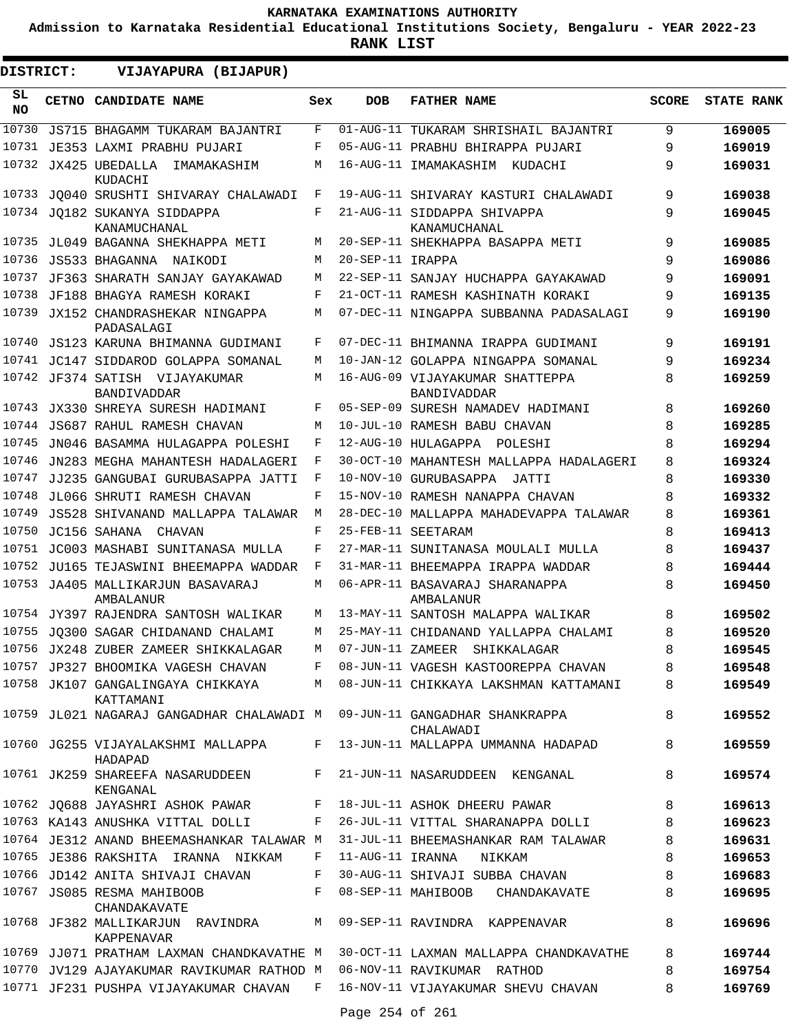**Admission to Karnataka Residential Educational Institutions Society, Bengaluru - YEAR 2022-23**

**RANK LIST**

| DISTRICT:       | VIJAYAPURA (BIJAPUR)                                                               |     |                  |                                                                                  |              |                   |
|-----------------|------------------------------------------------------------------------------------|-----|------------------|----------------------------------------------------------------------------------|--------------|-------------------|
| SL<br><b>NO</b> | <b>CETNO CANDIDATE NAME</b>                                                        | Sex | <b>DOB</b>       | <b>FATHER NAME</b>                                                               | <b>SCORE</b> | <b>STATE RANK</b> |
| 10730           | JS715 BHAGAMM TUKARAM BAJANTRI                                                     | F   |                  | 01-AUG-11 TUKARAM SHRISHAIL BAJANTRI                                             | 9            | 169005            |
| 10731           | JE353 LAXMI PRABHU PUJARI                                                          | F   |                  | 05-AUG-11 PRABHU BHIRAPPA PUJARI                                                 | 9            | 169019            |
| 10732           | JX425 UBEDALLA<br>IMAMAKASHIM<br>KUDACHI                                           | M   |                  | 16-AUG-11 IMAMAKASHIM KUDACHI                                                    | 9            | 169031            |
| 10733           | JO040 SRUSHTI SHIVARAY CHALAWADI                                                   | F   |                  | 19-AUG-11 SHIVARAY KASTURI CHALAWADI                                             | 9            | 169038            |
|                 | 10734 JO182 SUKANYA SIDDAPPA<br>KANAMUCHANAL                                       | F   |                  | 21-AUG-11 SIDDAPPA SHIVAPPA<br>KANAMUCHANAL                                      | 9            | 169045            |
| 10735           | JL049 BAGANNA SHEKHAPPA METI                                                       | М   |                  | 20-SEP-11 SHEKHAPPA BASAPPA METI                                                 | 9            | 169085            |
| 10736           | JS533 BHAGANNA NAIKODI                                                             | M   | 20-SEP-11 IRAPPA |                                                                                  | 9            | 169086            |
| 10737           | JF363 SHARATH SANJAY GAYAKAWAD                                                     | М   |                  | 22-SEP-11 SANJAY HUCHAPPA GAYAKAWAD                                              | 9            | 169091            |
| 10738           | JF188 BHAGYA RAMESH KORAKI                                                         | F   |                  | 21-OCT-11 RAMESH KASHINATH KORAKI                                                | 9            | 169135            |
| 10739           | JX152 CHANDRASHEKAR NINGAPPA<br>PADASALAGI                                         | M   |                  | 07-DEC-11 NINGAPPA SUBBANNA PADASALAGI                                           | 9            | 169190            |
| 10740           | JS123 KARUNA BHIMANNA GUDIMANI                                                     | F   |                  | 07-DEC-11 BHIMANNA IRAPPA GUDIMANI                                               | 9            | 169191            |
|                 | 10741 JC147 SIDDAROD GOLAPPA SOMANAL                                               | М   |                  | 10-JAN-12 GOLAPPA NINGAPPA SOMANAL                                               | 9            | 169234            |
| 10742           | JF374 SATISH VIJAYAKUMAR<br><b>BANDIVADDAR</b>                                     | М   |                  | 16-AUG-09 VIJAYAKUMAR SHATTEPPA<br><b>BANDIVADDAR</b>                            | 8            | 169259            |
| 10743           | JX330 SHREYA SURESH HADIMANI                                                       | F   |                  | 05-SEP-09 SURESH NAMADEV HADIMANI                                                | 8            | 169260            |
| 10744           | <b>JS687 RAHUL RAMESH CHAVAN</b>                                                   | M   |                  | 10-JUL-10 RAMESH BABU CHAVAN                                                     | 8            | 169285            |
| 10745           | JN046 BASAMMA HULAGAPPA POLESHI                                                    | F   |                  | 12-AUG-10 HULAGAPPA POLESHI                                                      | 8            | 169294            |
| 10746           | JN283 MEGHA MAHANTESH HADALAGERI                                                   | F   |                  | 30-OCT-10 MAHANTESH MALLAPPA HADALAGERI                                          | 8            | 169324            |
| 10747           | JJ235 GANGUBAI GURUBASAPPA JATTI                                                   | F   |                  | 10-NOV-10 GURUBASAPPA JATTI                                                      | 8            | 169330            |
| 10748           | JL066 SHRUTI RAMESH CHAVAN                                                         | F   |                  | 15-NOV-10 RAMESH NANAPPA CHAVAN                                                  | 8            | 169332            |
| 10749           | JS528 SHIVANAND MALLAPPA TALAWAR                                                   | M   |                  | 28-DEC-10 MALLAPPA MAHADEVAPPA TALAWAR                                           | 8            | 169361            |
| 10750           | JC156 SAHANA CHAVAN                                                                | F   |                  | 25-FEB-11 SEETARAM                                                               | 8            | 169413            |
| 10751           | JC003 MASHABI SUNITANASA MULLA                                                     | F   |                  | 27-MAR-11 SUNITANASA MOULALI MULLA                                               | 8            | 169437            |
| 10752           | JU165 TEJASWINI BHEEMAPPA WADDAR                                                   | F   |                  | 31-MAR-11 BHEEMAPPA IRAPPA WADDAR                                                | 8            | 169444            |
| 10753           | JA405 MALLIKARJUN BASAVARAJ<br>AMBALANUR                                           | М   |                  | 06-APR-11 BASAVARAJ SHARANAPPA<br>AMBALANUR                                      | 8            | 169450            |
|                 | 10754 JY397 RAJENDRA SANTOSH WALIKAR                                               | M   |                  | 13-MAY-11 SANTOSH MALAPPA WALIKAR                                                | 8            | 169502            |
|                 | 10755 JO300 SAGAR CHIDANAND CHALAMI                                                | M   |                  | 25-MAY-11 CHIDANAND YALLAPPA CHALAMI                                             | 8            | 169520            |
|                 | 10756 JX248 ZUBER ZAMEER SHIKKALAGAR                                               | M   |                  | 07-JUN-11 ZAMEER SHIKKALAGAR                                                     | 8            | 169545            |
|                 | 10757 JP327 BHOOMIKA VAGESH CHAVAN                                                 | F   |                  | 08-JUN-11 VAGESH KASTOOREPPA CHAVAN                                              | 8            | 169548            |
|                 | KATTAMANI                                                                          |     |                  | 10758 JK107 GANGALINGAYA CHIKKAYA M 08-JUN-11 CHIKKAYA LAKSHMAN KATTAMANI        | 8            | 169549            |
|                 | 10759 JL021 NAGARAJ GANGADHAR CHALAWADI M 09-JUN-11 GANGADHAR SHANKRAPPA           |     |                  | CHALAWADI                                                                        | 8            | 169552            |
|                 | HADAPAD                                                                            |     |                  | 10760 JG255 VIJAYALAKSHMI MALLAPPA F 13-JUN-11 MALLAPPA UMMANNA HADAPAD          | 8            | 169559            |
|                 | 10761 JK259 SHAREEFA NASARUDDEEN F<br>KENGANAL                                     |     |                  | 21-JUN-11 NASARUDDEEN KENGANAL                                                   | 8            | 169574            |
|                 | 10762 JQ688 JAYASHRI ASHOK PAWAR F 18-JUL-11 ASHOK DHEERU PAWAR                    |     |                  |                                                                                  | 8            | 169613            |
|                 |                                                                                    |     |                  | 10763 KA143 ANUSHKA VITTAL DOLLI     F   26-JUL-11 VITTAL SHARANAPPA DOLLI       | 8            | 169623            |
|                 | 10764 JE312 ANAND BHEEMASHANKAR TALAWAR M                                          |     |                  | 31-JUL-11 BHEEMASHANKAR RAM TALAWAR                                              | 8            | 169631            |
|                 | 10765 JE386 RAKSHITA IRANNA NIKKAM                                                 | F   | 11-AUG-11 IRANNA | NIKKAM                                                                           | 8            | 169653            |
|                 | 10766 JD142 ANITA SHIVAJI CHAVAN<br>$\mathbf{F}$ and $\mathbf{F}$ and $\mathbf{F}$ |     |                  | 30-AUG-11 SHIVAJI SUBBA CHAVAN                                                   | 8            | 169683            |
|                 | 10767 JS085 RESMA MAHIBOOB<br>CHANDAKAVATE                                         | F   |                  | 08-SEP-11 MAHIBOOB CHANDAKAVATE                                                  | 8            | 169695            |
|                 | 10768 JF382 MALLIKARJUN RAVINDRA M 09-SEP-11 RAVINDRA KAPPENAVAR<br>KAPPENAVAR     |     |                  |                                                                                  | 8            | 169696            |
|                 |                                                                                    |     |                  | 10769 JJ071 PRATHAM LAXMAN CHANDKAVATHE M 30-OCT-11 LAXMAN MALLAPPA CHANDKAVATHE | 8            | 169744            |
|                 | 10770 JV129 AJAYAKUMAR RAVIKUMAR RATHOD M 06-NOV-11 RAVIKUMAR RATHOD               |     |                  |                                                                                  | 8            | 169754            |
|                 | 10771 JF231 PUSHPA VIJAYAKUMAR CHAVAN F 16-NOV-11 VIJAYAKUMAR SHEVU CHAVAN         |     |                  |                                                                                  | 8            | 169769            |

Page 254 of 261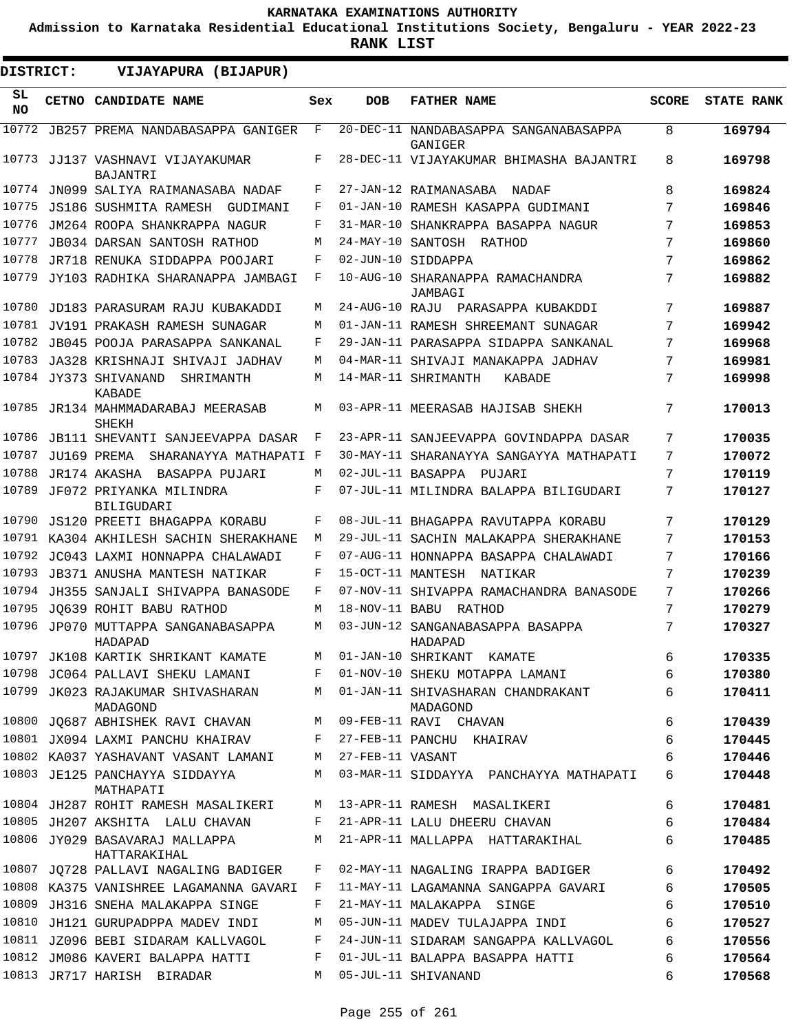**Admission to Karnataka Residential Educational Institutions Society, Bengaluru - YEAR 2022-23**

| <b>DISTRICT:</b> | VIJAYAPURA (BIJAPUR)                                |     |                    |                                                  |              |                   |
|------------------|-----------------------------------------------------|-----|--------------------|--------------------------------------------------|--------------|-------------------|
| SL<br><b>NO</b>  | CETNO CANDIDATE NAME                                | Sex | <b>DOB</b>         | <b>FATHER NAME</b>                               | <b>SCORE</b> | <b>STATE RANK</b> |
| 10772            | JB257 PREMA NANDABASAPPA GANIGER                    | F   |                    | 20-DEC-11 NANDABASAPPA SANGANABASAPPA<br>GANIGER | 8            | 169794            |
|                  | 10773 JJ137 VASHNAVI VIJAYAKUMAR<br>BAJANTRI        | F   |                    | 28-DEC-11 VIJAYAKUMAR BHIMASHA BAJANTRI          | 8            | 169798            |
|                  | 10774 JN099 SALIYA RAIMANASABA NADAF                | F   |                    | 27-JAN-12 RAIMANASABA<br>NADAF                   | 8            | 169824            |
| 10775            | JS186 SUSHMITA RAMESH GUDIMANI                      | F   |                    | 01-JAN-10 RAMESH KASAPPA GUDIMANI                | 7            | 169846            |
| 10776            | JM264 ROOPA SHANKRAPPA NAGUR                        | F   |                    | 31-MAR-10 SHANKRAPPA BASAPPA NAGUR               | 7            | 169853            |
| 10777            | <b>JB034 DARSAN SANTOSH RATHOD</b>                  | М   |                    | 24-MAY-10 SANTOSH RATHOD                         | 7            | 169860            |
| 10778            | JR718 RENUKA SIDDAPPA POOJARI                       | F   |                    | 02-JUN-10 SIDDAPPA                               | 7            | 169862            |
| 10779            | JY103 RADHIKA SHARANAPPA JAMBAGI                    | F   |                    | 10-AUG-10 SHARANAPPA RAMACHANDRA<br>JAMBAGI      | 7            | 169882            |
| 10780            | JD183 PARASURAM RAJU KUBAKADDI                      | М   |                    | 24-AUG-10 RAJU PARASAPPA KUBAKDDI                | 7            | 169887            |
| 10781            | JV191 PRAKASH RAMESH SUNAGAR                        | М   |                    | 01-JAN-11 RAMESH SHREEMANT SUNAGAR               | 7            | 169942            |
| 10782            | JB045 POOJA PARASAPPA SANKANAL                      | F   |                    | 29-JAN-11 PARASAPPA SIDAPPA SANKANAL             | 7            | 169968            |
| 10783            | JA328 KRISHNAJI SHIVAJI JADHAV                      | М   |                    | 04-MAR-11 SHIVAJI MANAKAPPA JADHAV               | 7            | 169981            |
|                  | 10784 JY373 SHIVANAND<br>SHRIMANTH<br><b>KABADE</b> | М   |                    | 14-MAR-11 SHRIMANTH<br>KABADE                    | 7            | 169998            |
| 10785            | JR134 MAHMMADARABAJ MEERASAB<br>SHEKH               | М   |                    | 03-APR-11 MEERASAB HAJISAB SHEKH                 | 7            | 170013            |
| 10786            | JB111 SHEVANTI SANJEEVAPPA DASAR                    | F   |                    | 23-APR-11 SANJEEVAPPA GOVINDAPPA DASAR           | 7            | 170035            |
| 10787            | JU169 PREMA<br>SHARANAYYA MATHAPATI F               |     |                    | 30-MAY-11 SHARANAYYA SANGAYYA MATHAPATI          | 7            | 170072            |
| 10788            | JR174 AKASHA BASAPPA PUJARI                         | М   |                    | 02-JUL-11 BASAPPA PUJARI                         | 7            | 170119            |
| 10789            | JF072 PRIYANKA MILINDRA<br><b>BILIGUDARI</b>        | F   |                    | 07-JUL-11 MILINDRA BALAPPA BILIGUDARI            | 7            | 170127            |
| 10790            | <b>JS120 PREETI BHAGAPPA KORABU</b>                 | F   |                    | 08-JUL-11 BHAGAPPA RAVUTAPPA KORABU              | 7            | 170129            |
|                  | 10791 KA304 AKHILESH SACHIN SHERAKHANE              | M   |                    | 29-JUL-11 SACHIN MALAKAPPA SHERAKHANE            | 7            | 170153            |
| 10792            | JC043 LAXMI HONNAPPA CHALAWADI                      | F   |                    | 07-AUG-11 HONNAPPA BASAPPA CHALAWADI             | 7            | 170166            |
| 10793            | JB371 ANUSHA MANTESH NATIKAR                        | F   | 15-OCT-11 MANTESH  | NATIKAR                                          | 7            | 170239            |
| 10794            | JH355 SANJALI SHIVAPPA BANASODE                     | F   |                    | 07-NOV-11 SHIVAPPA RAMACHANDRA BANASODE          | 7            | 170266            |
| 10795            | JO639 ROHIT BABU RATHOD                             | М   |                    | 18-NOV-11 BABU RATHOD                            | 7            | 170279            |
| 10796            | JP070 MUTTAPPA SANGANABASAPPA<br>HADAPAD            | М   |                    | 03-JUN-12 SANGANABASAPPA BASAPPA<br>HADAPAD      | 7            | 170327            |
|                  | 10797 JK108 KARTIK SHRIKANT KAMATE                  | M   |                    | 01-JAN-10 SHRIKANT KAMATE                        | 6            | 170335            |
|                  | 10798 JC064 PALLAVI SHEKU LAMANI                    | F   |                    | 01-NOV-10 SHEKU MOTAPPA LAMANI                   | 6            | 170380            |
|                  | 10799 JK023 RAJAKUMAR SHIVASHARAN<br>MADAGOND       |     |                    | M 01-JAN-11 SHIVASHARAN CHANDRAKANT<br>MADAGOND  | 6            | 170411            |
|                  | 10800 JQ687 ABHISHEK RAVI CHAVAN                    |     |                    | M 09-FEB-11 RAVI CHAVAN                          | 6            | 170439            |
|                  | 10801 JX094 LAXMI PANCHU KHAIRAV                    |     |                    | F 27-FEB-11 PANCHU KHAIRAV                       | 6            | 170445            |
|                  | 10802 KA037 YASHAVANT VASANT LAMANI                 |     | M 27-FEB-11 VASANT |                                                  | 6            | 170446            |
|                  | 10803 JE125 PANCHAYYA SIDDAYYA<br>MATHAPATI         |     |                    | M 03-MAR-11 SIDDAYYA PANCHAYYA MATHAPATI         | 6            | 170448            |
|                  | 10804 JH287 ROHIT RAMESH MASALIKERI                 |     |                    | M 13-APR-11 RAMESH MASALIKERI                    | 6            | 170481            |
|                  | 10805 JH207 AKSHITA LALU CHAVAN                     |     |                    | F 21-APR-11 LALU DHEERU CHAVAN                   | 6            | 170484            |
|                  | 10806 JY029 BASAVARAJ MALLAPPA<br>HATTARAKIHAL      |     |                    | M 21-APR-11 MALLAPPA HATTARAKIHAL                | 6            | 170485            |
|                  | 10807 JQ728 PALLAVI NAGALING BADIGER                | F   |                    | 02-MAY-11 NAGALING IRAPPA BADIGER                | 6            | 170492            |
|                  | 10808 KA375 VANISHREE LAGAMANNA GAVARI F            |     |                    | 11-MAY-11 LAGAMANNA SANGAPPA GAVARI              | 6            | 170505            |
|                  | 10809 JH316 SNEHA MALAKAPPA SINGE                   | F   |                    | 21-MAY-11 MALAKAPPA SINGE                        | 6            | 170510            |
|                  | 10810 JH121 GURUPADPPA MADEV INDI                   | М   |                    | 05-JUN-11 MADEV TULAJAPPA INDI                   | 6            | 170527            |
|                  | 10811 JZ096 BEBI SIDARAM KALLVAGOL                  | F   |                    | 24-JUN-11 SIDARAM SANGAPPA KALLVAGOL             | 6            | 170556            |
|                  | 10812 JM086 KAVERI BALAPPA HATTI                    | F   |                    | 01-JUL-11 BALAPPA BASAPPA HATTI                  | 6            | 170564            |
|                  | 10813 JR717 HARISH BIRADAR                          | М   |                    | 05-JUL-11 SHIVANAND                              | 6            | 170568            |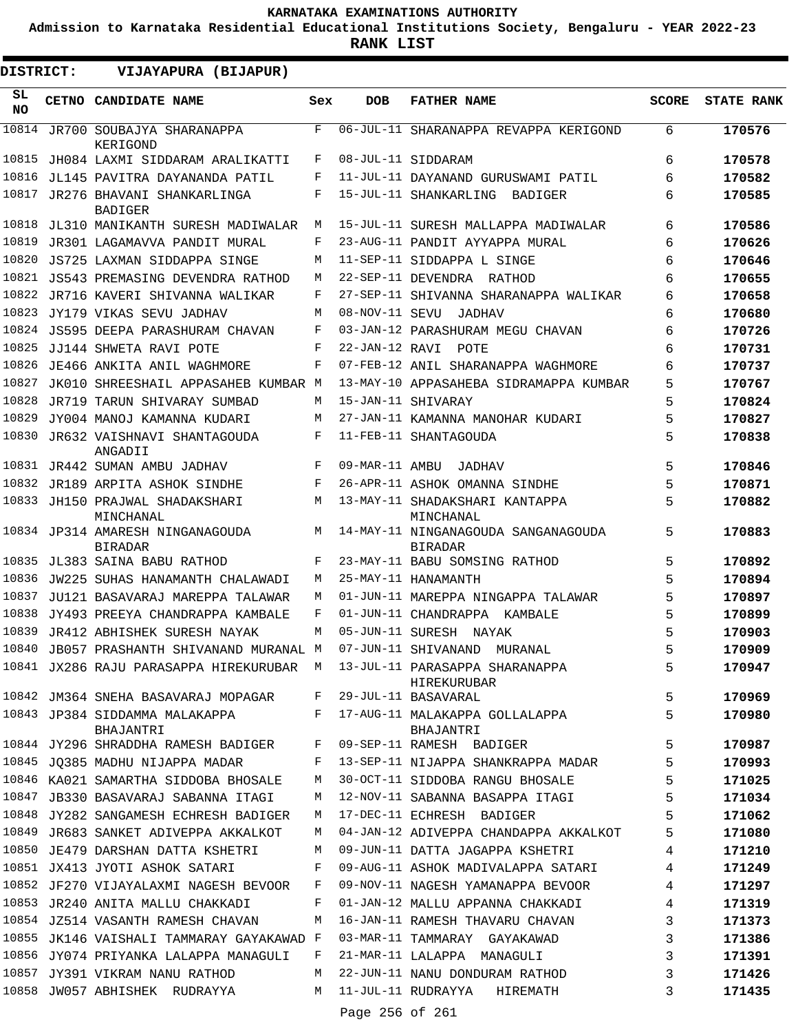**Admission to Karnataka Residential Educational Institutions Society, Bengaluru - YEAR 2022-23**

**RANK LIST**

 $\blacksquare$ 

 $\blacksquare$ 

| DISTRICT: | VIJAYAPURA (BIJAPUR)                                                  |     |                 |                                                                                        |              |                   |
|-----------|-----------------------------------------------------------------------|-----|-----------------|----------------------------------------------------------------------------------------|--------------|-------------------|
| SL<br>NO. | CETNO CANDIDATE NAME                                                  | Sex | <b>DOB</b>      | <b>FATHER NAME</b>                                                                     | <b>SCORE</b> | <b>STATE RANK</b> |
| 10814     | JR700 SOUBAJYA SHARANAPPA<br>KERIGOND                                 | F   |                 | 06-JUL-11 SHARANAPPA REVAPPA KERIGOND                                                  | 6            | 170576            |
| 10815     | JH084 LAXMI SIDDARAM ARALIKATTI                                       | F   |                 | 08-JUL-11 SIDDARAM                                                                     | 6            | 170578            |
| 10816     | JL145 PAVITRA DAYANANDA PATIL                                         | F   |                 | 11-JUL-11 DAYANAND GURUSWAMI PATIL                                                     | 6            | 170582            |
| 10817     | JR276 BHAVANI SHANKARLINGA<br><b>BADIGER</b>                          | F   |                 | 15-JUL-11 SHANKARLING BADIGER                                                          | 6            | 170585            |
| 10818     | JL310 MANIKANTH SURESH MADIWALAR                                      | М   |                 | 15-JUL-11 SURESH MALLAPPA MADIWALAR                                                    | 6            | 170586            |
| 10819     | JR301 LAGAMAVVA PANDIT MURAL                                          | F   |                 | 23-AUG-11 PANDIT AYYAPPA MURAL                                                         | 6            | 170626            |
| 10820     | JS725 LAXMAN SIDDAPPA SINGE                                           | M   |                 | 11-SEP-11 SIDDAPPA L SINGE                                                             | 6            | 170646            |
| 10821     | JS543 PREMASING DEVENDRA RATHOD                                       | М   |                 | 22-SEP-11 DEVENDRA RATHOD                                                              | 6            | 170655            |
| 10822     | JR716 KAVERI SHIVANNA WALIKAR                                         | F   |                 | 27-SEP-11 SHIVANNA SHARANAPPA WALIKAR                                                  | 6            | 170658            |
|           | 10823 JY179 VIKAS SEVU JADHAV                                         | M   | 08-NOV-11 SEVU  | JADHAV                                                                                 | 6            | 170680            |
| 10824     | JS595 DEEPA PARASHURAM CHAVAN                                         | F   |                 | 03-JAN-12 PARASHURAM MEGU CHAVAN                                                       | 6            | 170726            |
| 10825     | JJ144 SHWETA RAVI POTE                                                | F   | 22-JAN-12 RAVI  | POTE                                                                                   | 6            | 170731            |
| 10826     | JE466 ANKITA ANIL WAGHMORE                                            | F   |                 | 07-FEB-12 ANIL SHARANAPPA WAGHMORE                                                     | 6            | 170737            |
| 10827     | JK010 SHREESHAIL APPASAHEB KUMBAR M                                   |     |                 | 13-MAY-10 APPASAHEBA SIDRAMAPPA KUMBAR                                                 | 5            | 170767            |
| 10828     | JR719 TARUN SHIVARAY SUMBAD                                           | М   |                 | 15-JAN-11 SHIVARAY                                                                     | 5            | 170824            |
| 10829     | JY004 MANOJ KAMANNA KUDARI                                            | M   |                 | 27-JAN-11 KAMANNA MANOHAR KUDARI                                                       | 5            | 170827            |
| 10830     | JR632 VAISHNAVI SHANTAGOUDA<br>ANGADII                                | F   |                 | 11-FEB-11 SHANTAGOUDA                                                                  | 5            | 170838            |
|           | 10831 JR442 SUMAN AMBU JADHAV                                         | F   | 09-MAR-11 AMBU  | JADHAV                                                                                 | 5            | 170846            |
|           | 10832 JR189 ARPITA ASHOK SINDHE                                       | F   |                 | 26-APR-11 ASHOK OMANNA SINDHE                                                          | 5            | 170871            |
|           | 10833 JH150 PRAJWAL SHADAKSHARI<br>MINCHANAL                          | M   |                 | 13-MAY-11 SHADAKSHARI KANTAPPA<br>MINCHANAL                                            | 5            | 170882            |
|           | 10834 JP314 AMARESH NINGANAGOUDA<br><b>BIRADAR</b>                    | M   |                 | 14-MAY-11 NINGANAGOUDA SANGANAGOUDA<br><b>BIRADAR</b>                                  | 5            | 170883            |
|           | 10835 JL383 SAINA BABU RATHOD                                         | F   |                 | 23-MAY-11 BABU SOMSING RATHOD                                                          | 5            | 170892            |
| 10836     | JW225 SUHAS HANAMANTH CHALAWADI                                       | М   |                 | 25-MAY-11 HANAMANTH                                                                    | 5            | 170894            |
| 10837     | JU121 BASAVARAJ MAREPPA TALAWAR                                       | М   |                 | 01-JUN-11 MAREPPA NINGAPPA TALAWAR                                                     | 5            | 170897            |
| 10838     | JY493 PREEYA CHANDRAPPA KAMBALE                                       | F   |                 | 01-JUN-11 CHANDRAPPA KAMBALE                                                           | 5            | 170899            |
|           | 10839 JR412 ABHISHEK SURESH NAYAK                                     | М   |                 | 05-JUN-11 SURESH NAYAK                                                                 | 5            | 170903            |
|           | 10840 JB057 PRASHANTH SHIVANAND MURANAL M 07-JUN-11 SHIVANAND MURANAL |     |                 |                                                                                        | 5            | 170909            |
|           |                                                                       |     |                 | 10841 JX286 RAJU PARASAPPA HIREKURUBAR M 13-JUL-11 PARASAPPA SHARANAPPA<br>HIREKURUBAR | 5            | 170947            |
|           | 10842 JM364 SNEHA BASAVARAJ MOPAGAR                                   | F   |                 | 29-JUL-11 BASAVARAL                                                                    | 5            | 170969            |
|           | 10843 JP384 SIDDAMMA MALAKAPPA<br>BHAJANTRI                           | F   |                 | 17-AUG-11 MALAKAPPA GOLLALAPPA<br>BHAJANTRI                                            | 5            | 170980            |
|           | 10844 JY296 SHRADDHA RAMESH BADIGER                                   | F   |                 | 09-SEP-11 RAMESH BADIGER                                                               | 5            | 170987            |
|           | 10845 JQ385 MADHU NIJAPPA MADAR                                       | F   |                 | 13-SEP-11 NIJAPPA SHANKRAPPA MADAR                                                     | 5            | 170993            |
|           | 10846 KA021 SAMARTHA SIDDOBA BHOSALE                                  | M   |                 | 30-OCT-11 SIDDOBA RANGU BHOSALE                                                        | 5            | 171025            |
|           | 10847 JB330 BASAVARAJ SABANNA ITAGI                                   | М   |                 | 12-NOV-11 SABANNA BASAPPA ITAGI                                                        | 5            | 171034            |
|           | 10848 JY282 SANGAMESH ECHRESH BADIGER                                 | М   |                 | 17-DEC-11 ECHRESH BADIGER                                                              | 5            | 171062            |
|           | 10849 JR683 SANKET ADIVEPPA AKKALKOT                                  | M   |                 | 04-JAN-12 ADIVEPPA CHANDAPPA AKKALKOT                                                  | 5            | 171080            |
|           | 10850 JE479 DARSHAN DATTA KSHETRI                                     | М   |                 | 09-JUN-11 DATTA JAGAPPA KSHETRI                                                        | 4            | 171210            |
|           | 10851 JX413 JYOTI ASHOK SATARI                                        | F   |                 | 09-AUG-11 ASHOK MADIVALAPPA SATARI                                                     | 4            | 171249            |
|           | 10852 JF270 VIJAYALAXMI NAGESH BEVOOR                                 | F   |                 | 09-NOV-11 NAGESH YAMANAPPA BEVOOR                                                      | 4            | 171297            |
|           | 10853 JR240 ANITA MALLU CHAKKADI                                      | F   |                 | 01-JAN-12 MALLU APPANNA CHAKKADI                                                       | 4            | 171319            |
|           | 10854 JZ514 VASANTH RAMESH CHAVAN                                     | М   |                 | 16-JAN-11 RAMESH THAVARU CHAVAN                                                        | 3            | 171373            |
|           | 10855 JK146 VAISHALI TAMMARAY GAYAKAWAD F                             |     |                 | 03-MAR-11 TAMMARAY GAYAKAWAD                                                           | 3            | 171386            |
|           | 10856 JY074 PRIYANKA LALAPPA MANAGULI                                 | F   |                 | 21-MAR-11 LALAPPA MANAGULI                                                             | 3            | 171391            |
|           | 10857 JY391 VIKRAM NANU RATHOD                                        | М   |                 | 22-JUN-11 NANU DONDURAM RATHOD                                                         | 3            | 171426            |
|           | 10858 JW057 ABHISHEK RUDRAYYA                                         | M   |                 | 11-JUL-11 RUDRAYYA HIREMATH                                                            | 3            | 171435            |
|           |                                                                       |     | Page 256 of 261 |                                                                                        |              |                   |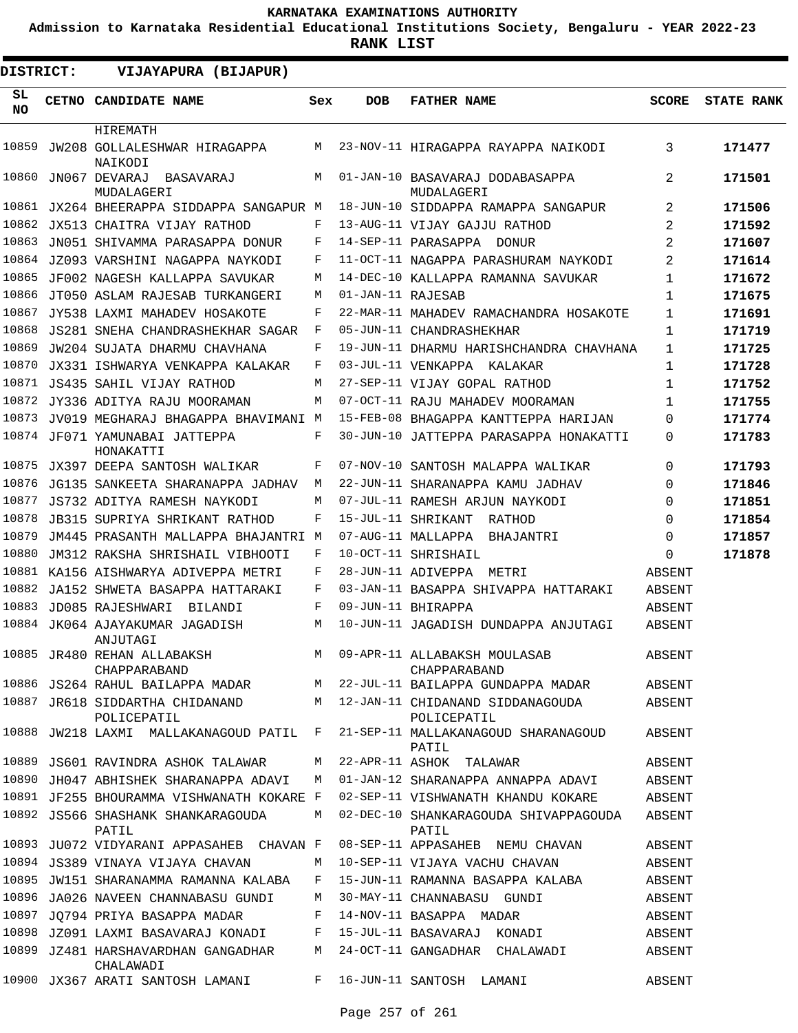**Admission to Karnataka Residential Educational Institutions Society, Bengaluru - YEAR 2022-23**

| <b>DISTRICT:</b> | VIJAYAPURA (BIJAPUR)                              |     |                   |                                                   |              |                   |
|------------------|---------------------------------------------------|-----|-------------------|---------------------------------------------------|--------------|-------------------|
| SL.<br>NO.       | CETNO CANDIDATE NAME                              | Sex | DOB               | <b>FATHER NAME</b>                                | <b>SCORE</b> | <b>STATE RANK</b> |
|                  | HIREMATH                                          |     |                   |                                                   |              |                   |
| 10859            | JW208 GOLLALESHWAR HIRAGAPPA                      | M   |                   | 23-NOV-11 HIRAGAPPA RAYAPPA NAIKODI               | 3            | 171477            |
| 10860            | NAIKODI<br>JN067 DEVARAJ<br>BASAVARAJ             | M   |                   | 01-JAN-10 BASAVARAJ DODABASAPPA                   | 2            | 171501            |
| 10861            | MUDALAGERI<br>JX264 BHEERAPPA SIDDAPPA SANGAPUR M |     |                   | MUDALAGERI<br>18-JUN-10 SIDDAPPA RAMAPPA SANGAPUR | 2            | 171506            |
| 10862            | JX513 CHAITRA VIJAY RATHOD                        | F   |                   | 13-AUG-11 VIJAY GAJJU RATHOD                      | 2            | 171592            |
| 10863            | JN051 SHIVAMMA PARASAPPA DONUR                    | F   |                   | 14-SEP-11 PARASAPPA DONUR                         | 2            | 171607            |
| 10864            | JZ093 VARSHINI NAGAPPA NAYKODI                    | F   |                   | 11-OCT-11 NAGAPPA PARASHURAM NAYKODI              | 2            | 171614            |
| 10865            | JF002 NAGESH KALLAPPA SAVUKAR                     | M   |                   | 14-DEC-10 KALLAPPA RAMANNA SAVUKAR                | 1            | 171672            |
| 10866            | JT050 ASLAM RAJESAB TURKANGERI                    | M   | 01-JAN-11 RAJESAB |                                                   | 1            | 171675            |
| 10867            | JY538 LAXMI MAHADEV HOSAKOTE                      | F   |                   | 22-MAR-11 MAHADEV RAMACHANDRA HOSAKOTE            | 1            | 171691            |
| 10868            | JS281 SNEHA CHANDRASHEKHAR SAGAR                  | F   |                   | 05-JUN-11 CHANDRASHEKHAR                          | 1            | 171719            |
| 10869            | JW204 SUJATA DHARMU CHAVHANA                      | F   |                   | 19-JUN-11 DHARMU HARISHCHANDRA CHAVHANA           | 1            | 171725            |
| 10870            | JX331 ISHWARYA VENKAPPA KALAKAR                   | F   |                   | 03-JUL-11 VENKAPPA KALAKAR                        | 1            | 171728            |
| 10871            | JS435 SAHIL VIJAY RATHOD                          | M   |                   | 27-SEP-11 VIJAY GOPAL RATHOD                      | 1            | 171752            |
| 10872            | JY336 ADITYA RAJU MOORAMAN                        | M   |                   | 07-OCT-11 RAJU MAHADEV MOORAMAN                   | $\mathbf{1}$ | 171755            |
| 10873            | JV019 MEGHARAJ BHAGAPPA BHAVIMANI M               |     |                   | 15-FEB-08 BHAGAPPA KANTTEPPA HARIJAN              | $\Omega$     | 171774            |
|                  | 10874 JF071 YAMUNABAI JATTEPPA<br>HONAKATTI       | F   |                   | 30-JUN-10 JATTEPPA PARASAPPA HONAKATTI            | $\Omega$     | 171783            |
|                  | 10875 JX397 DEEPA SANTOSH WALIKAR                 | F   |                   | 07-NOV-10 SANTOSH MALAPPA WALIKAR                 | $\Omega$     | 171793            |
| 10876            | JG135 SANKEETA SHARANAPPA JADHAV                  | М   |                   | 22-JUN-11 SHARANAPPA KAMU JADHAV                  | $\Omega$     | 171846            |
| 10877            | JS732 ADITYA RAMESH NAYKODI                       | M   |                   | 07-JUL-11 RAMESH ARJUN NAYKODI                    | $\Omega$     | 171851            |
| 10878            | JB315 SUPRIYA SHRIKANT RATHOD                     | F   |                   | 15-JUL-11 SHRIKANT<br>RATHOD                      | $\Omega$     | 171854            |
| 10879            | JM445 PRASANTH MALLAPPA BHAJANTRI M               |     |                   | 07-AUG-11 MALLAPPA<br>BHAJANTRI                   | $\Omega$     | 171857            |
| 10880            | JM312 RAKSHA SHRISHAIL VIBHOOTI                   | F   |                   | 10-OCT-11 SHRISHAIL                               | $\Omega$     | 171878            |
| 10881            | KA156 AISHWARYA ADIVEPPA METRI                    | F   |                   | 28-JUN-11 ADIVEPPA METRI                          | ABSENT       |                   |
| 10882            | JA152 SHWETA BASAPPA HATTARAKI                    | F   |                   | 03-JAN-11 BASAPPA SHIVAPPA HATTARAKI              | ABSENT       |                   |
| 10883            | JD085 RAJESHWARI<br><b>BILANDI</b>                | F   |                   | 09-JUN-11 BHIRAPPA                                | ABSENT       |                   |
| 10884            | JK064 AJAYAKUMAR JAGADISH<br>ANJUTAGI             | M   |                   | 10-JUN-11 JAGADISH DUNDAPPA ANJUTAGI              | ABSENT       |                   |
|                  | 10885 JR480 REHAN ALLABAKSH<br>CHAPPARABAND       | M   |                   | 09-APR-11 ALLABAKSH MOULASAB<br>CHAPPARABAND      | ABSENT       |                   |
|                  | 10886 JS264 RAHUL BAILAPPA MADAR M                |     |                   | 22-JUL-11 BAILAPPA GUNDAPPA MADAR                 | ABSENT       |                   |
|                  | 10887 JR618 SIDDARTHA CHIDANAND<br>POLICEPATIL    | M   |                   | 12-JAN-11 CHIDANAND SIDDANAGOUDA<br>POLICEPATIL   | ABSENT       |                   |
|                  | 10888 JW218 LAXMI MALLAKANAGOUD PATIL F           |     |                   | 21-SEP-11 MALLAKANAGOUD SHARANAGOUD<br>PATIL      | ABSENT       |                   |
|                  | 10889 JS601 RAVINDRA ASHOK TALAWAR                | М   |                   | 22-APR-11 ASHOK TALAWAR                           | ABSENT       |                   |
|                  | 10890 JH047 ABHISHEK SHARANAPPA ADAVI             | M   |                   | 01-JAN-12 SHARANAPPA ANNAPPA ADAVI                | ABSENT       |                   |
|                  | 10891 JF255 BHOURAMMA VISHWANATH KOKARE F         |     |                   | 02-SEP-11 VISHWANATH KHANDU KOKARE                | ABSENT       |                   |
|                  | 10892 JS566 SHASHANK SHANKARAGOUDA<br>PATIL       | М   |                   | 02-DEC-10 SHANKARAGOUDA SHIVAPPAGOUDA<br>PATIL    | ABSENT       |                   |
|                  | 10893 JU072 VIDYARANI APPASAHEB CHAVAN F          |     |                   | 08-SEP-11 APPASAHEB NEMU CHAVAN                   | ABSENT       |                   |
|                  | 10894 JS389 VINAYA VIJAYA CHAVAN                  | M   |                   | 10-SEP-11 VIJAYA VACHU CHAVAN                     | ABSENT       |                   |
|                  | 10895 JW151 SHARANAMMA RAMANNA KALABA             | F   |                   | 15-JUN-11 RAMANNA BASAPPA KALABA                  | ABSENT       |                   |
|                  | 10896 JA026 NAVEEN CHANNABASU GUNDI               | M   |                   | 30-MAY-11 CHANNABASU GUNDI                        | ABSENT       |                   |
|                  | 10897 JQ794 PRIYA BASAPPA MADAR                   | F   |                   | 14-NOV-11 BASAPPA MADAR                           | ABSENT       |                   |
|                  | 10898 JZ091 LAXMI BASAVARAJ KONADI                | F   |                   | 15-JUL-11 BASAVARAJ KONADI                        | ABSENT       |                   |
|                  | 10899 JZ481 HARSHAVARDHAN GANGADHAR<br>CHALAWADI  | M   |                   | 24-OCT-11 GANGADHAR CHALAWADI                     | ABSENT       |                   |
|                  | 10900 JX367 ARATI SANTOSH LAMANI                  |     |                   | F 16-JUN-11 SANTOSH LAMANI                        | ABSENT       |                   |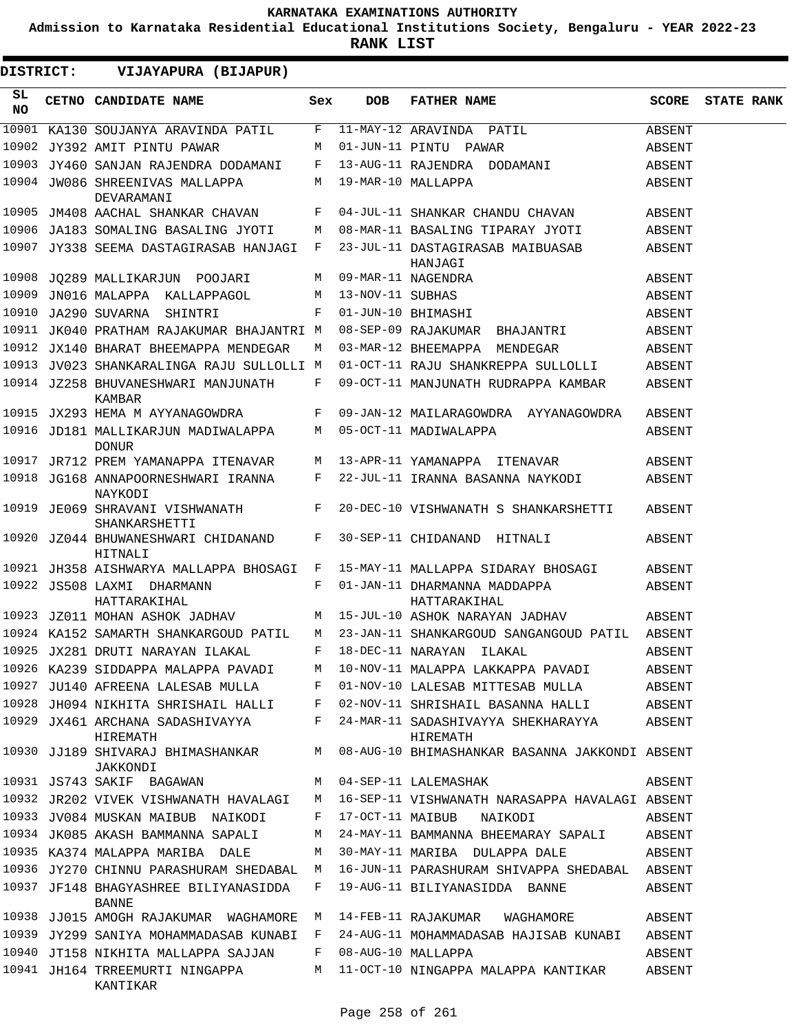**Admission to Karnataka Residential Educational Institutions Society, Bengaluru - YEAR 2022-23**

**RANK LIST**

ı

| <b>DISTRICT:</b> | VIJAYAPURA (BIJAPUR)                                |              |                  |                                                       |        |                   |
|------------------|-----------------------------------------------------|--------------|------------------|-------------------------------------------------------|--------|-------------------|
| SL<br>NO         | CETNO CANDIDATE NAME                                | Sex          | <b>DOB</b>       | <b>FATHER NAME</b>                                    | SCORE  | <b>STATE RANK</b> |
|                  | 10901 KA130 SOUJANYA ARAVINDA PATIL                 | F            |                  | 11-MAY-12 ARAVINDA PATIL                              | ABSENT |                   |
|                  | 10902 JY392 AMIT PINTU PAWAR                        | M            |                  | 01-JUN-11 PINTU PAWAR                                 | ABSENT |                   |
|                  | 10903 JY460 SANJAN RAJENDRA DODAMANI                | $\mathbf{F}$ |                  | 13-AUG-11 RAJENDRA DODAMANI                           | ABSENT |                   |
|                  | 10904 JW086 SHREENIVAS MALLAPPA<br>DEVARAMANI       | М            |                  | 19-MAR-10 MALLAPPA                                    | ABSENT |                   |
|                  | 10905 JM408 AACHAL SHANKAR CHAVAN                   | F            |                  | 04-JUL-11 SHANKAR CHANDU CHAVAN                       | ABSENT |                   |
|                  | 10906 JA183 SOMALING BASALING JYOTI                 | М            |                  | 08-MAR-11 BASALING TIPARAY JYOTI                      | ABSENT |                   |
|                  | 10907 JY338 SEEMA DASTAGIRASAB HANJAGI              | F            |                  | 23-JUL-11 DASTAGIRASAB MAIBUASAB<br>HANJAGI           | ABSENT |                   |
|                  | 10908 JO289 MALLIKARJUN POOJARI                     | М            |                  | 09-MAR-11 NAGENDRA                                    | ABSENT |                   |
|                  | 10909 JN016 MALAPPA KALLAPPAGOL                     | М            | 13-NOV-11 SUBHAS |                                                       | ABSENT |                   |
| 10910            | JA290 SUVARNA SHINTRI                               | F            |                  | 01-JUN-10 BHIMASHI                                    | ABSENT |                   |
|                  | 10911 JK040 PRATHAM RAJAKUMAR BHAJANTRI M           |              |                  | 08-SEP-09 RAJAKUMAR BHAJANTRI                         | ABSENT |                   |
|                  | 10912 JX140 BHARAT BHEEMAPPA MENDEGAR               | М            |                  | 03-MAR-12 BHEEMAPPA MENDEGAR                          | ABSENT |                   |
|                  | 10913 JV023 SHANKARALINGA RAJU SULLOLLI M           |              |                  | 01-OCT-11 RAJU SHANKREPPA SULLOLLI                    | ABSENT |                   |
|                  | 10914 JZ258 BHUVANESHWARI MANJUNATH<br>KAMBAR       | F            |                  | 09-OCT-11 MANJUNATH RUDRAPPA KAMBAR                   | ABSENT |                   |
|                  | 10915 JX293 HEMA M AYYANAGOWDRA<br>$\mathbf{F}$     |              |                  | 09-JAN-12 MAILARAGOWDRA AYYANAGOWDRA                  | ABSENT |                   |
|                  | 10916 JD181 MALLIKARJUN MADIWALAPPA<br><b>DONUR</b> | M            |                  | 05-OCT-11 MADIWALAPPA                                 | ABSENT |                   |
|                  | 10917 JR712 PREM YAMANAPPA ITENAVAR                 | M            |                  | 13-APR-11 YAMANAPPA ITENAVAR                          | ABSENT |                   |
|                  | 10918 JG168 ANNAPOORNESHWARI IRANNA<br>NAYKODI      | F            |                  | 22-JUL-11 IRANNA BASANNA NAYKODI                      | ABSENT |                   |
|                  | 10919 JE069 SHRAVANI VISHWANATH<br>SHANKARSHETTI    | F            |                  | 20-DEC-10 VISHWANATH S SHANKARSHETTI                  | ABSENT |                   |
|                  | 10920 JZ044 BHUWANESHWARI CHIDANAND<br>HITNALI      | F            |                  | 30-SEP-11 CHIDANAND HITNALI                           | ABSENT |                   |
|                  | 10921 JH358 AISHWARYA MALLAPPA BHOSAGI F            |              |                  | 15-MAY-11 MALLAPPA SIDARAY BHOSAGI                    | ABSENT |                   |
|                  | 10922 JS508 LAXMI DHARMANN<br>HATTARAKIHAL          | F            |                  | 01-JAN-11 DHARMANNA MADDAPPA<br>HATTARAKIHAL          | ABSENT |                   |
|                  | 10923 JZ011 MOHAN ASHOK JADHAV                      |              |                  | M 15-JUL-10 ASHOK NARAYAN JADHAV                      | ABSENT |                   |
|                  | 10924 KA152 SAMARTH SHANKARGOUD PATIL               | M            |                  | 23-JAN-11 SHANKARGOUD SANGANGOUD PATIL ABSENT         |        |                   |
|                  | 10925 JX281 DRUTI NARAYAN ILAKAL                    |              |                  | F 18-DEC-11 NARAYAN ILAKAL                            | ABSENT |                   |
|                  | 10926 KA239 SIDDAPPA MALAPPA PAVADI M               |              |                  | 10-NOV-11 MALAPPA LAKKAPPA PAVADI                     | ABSENT |                   |
|                  | 10927 JU140 AFREENA LALESAB MULLA F                 |              |                  | 01-NOV-10 LALESAB MITTESAB MULLA                      | ABSENT |                   |
|                  | 10928 JH094 NIKHITA SHRISHAIL HALLI F               |              |                  | 02-NOV-11 SHRISHAIL BASANNA HALLI                     | ABSENT |                   |
|                  | 10929 JX461 ARCHANA SADASHIVAYYA<br>HIREMATH        | F            |                  | 24-MAR-11 SADASHIVAYYA SHEKHARAYYA ABSENT<br>HIREMATH |        |                   |
|                  | 10930 JJ189 SHIVARAJ BHIMASHANKAR<br>JAKKONDI       | M            |                  | 08-AUG-10 BHIMASHANKAR BASANNA JAKKONDI ABSENT        |        |                   |
|                  | 10931 JS743 SAKIF BAGAWAN                           | M            |                  | 04-SEP-11 LALEMASHAK                                  | ABSENT |                   |
|                  | 10932 JR202 VIVEK VISHWANATH HAVALAGI               | M            |                  | 16-SEP-11 VISHWANATH NARASAPPA HAVALAGI ABSENT        |        |                   |
|                  | 10933 JV084 MUSKAN MAIBUB NAIKODI                   | F            |                  | 17-OCT-11 MAIBUB<br>NAIKODI                           | ABSENT |                   |
|                  | 10934 JK085 AKASH BAMMANNA SAPALI                   | М            |                  | 24-MAY-11 BAMMANNA BHEEMARAY SAPALI                   | ABSENT |                   |
|                  | 10935 KA374 MALAPPA MARIBA DALE                     | M            |                  | 30-MAY-11 MARIBA DULAPPA DALE                         | ABSENT |                   |
|                  | 10936 JY270 CHINNU PARASHURAM SHEDABAL M            |              |                  | 16-JUN-11 PARASHURAM SHIVAPPA SHEDABAL ABSENT         |        |                   |
|                  | 10937 JF148 BHAGYASHREE BILIYANASIDDA<br>BANNE      | F            |                  | 19-AUG-11 BILIYANASIDDA BANNE                         | ABSENT |                   |
|                  | 10938 JJ015 AMOGH RAJAKUMAR WAGHAMORE M             |              |                  | 14-FEB-11 RAJAKUMAR WAGHAMORE                         | ABSENT |                   |
|                  | 10939 JY299 SANIYA MOHAMMADASAB KUNABI F            |              |                  | 24-AUG-11 MOHAMMADASAB HAJISAB KUNABI                 | ABSENT |                   |
|                  | 10940 JT158 NIKHITA MALLAPPA SAJJAN                 | F            |                  | 08-AUG-10 MALLAPPA                                    | ABSENT |                   |
|                  | 10941 JH164 TRREEMURTI NINGAPPA<br>KANTIKAR         | M            |                  | 11-OCT-10 NINGAPPA MALAPPA KANTIKAR                   | ABSENT |                   |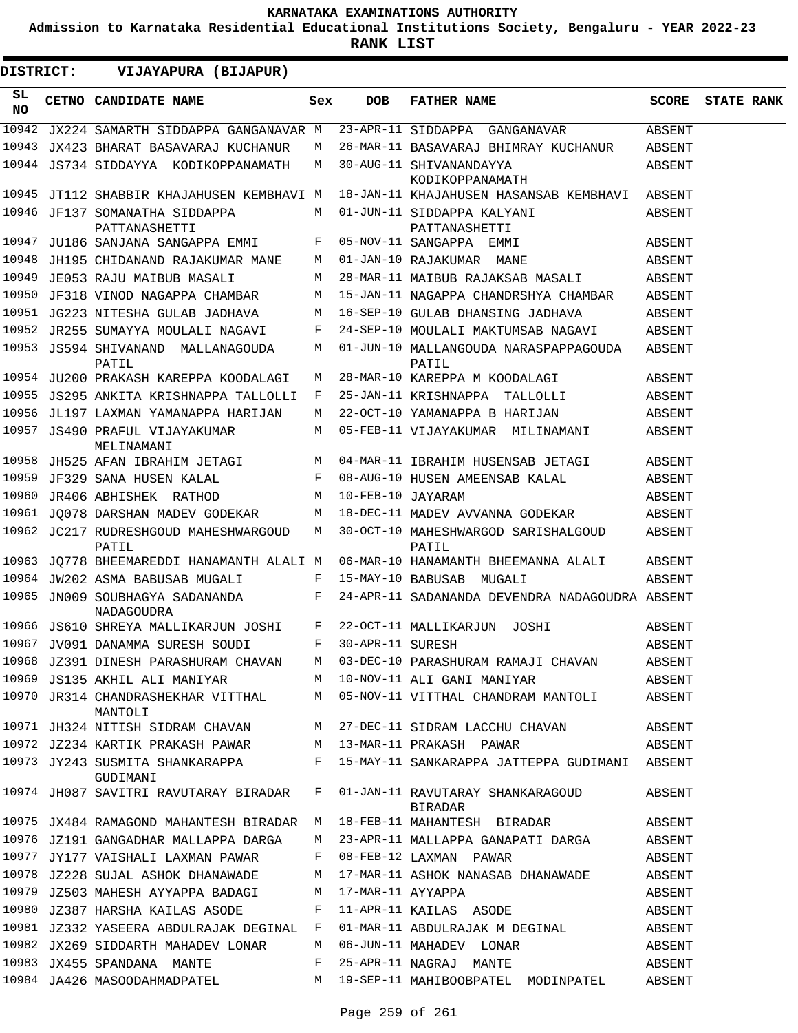**Admission to Karnataka Residential Educational Institutions Society, Bengaluru - YEAR 2022-23**

 $\blacksquare$ 

| <b>DISTRICT:</b> | VIJAYAPURA (BIJAPUR)                                              |     |                   |                                                                         |        |                   |
|------------------|-------------------------------------------------------------------|-----|-------------------|-------------------------------------------------------------------------|--------|-------------------|
| SL<br>NO.        | CETNO CANDIDATE NAME                                              | Sex | <b>DOB</b>        | <b>FATHER NAME</b>                                                      | SCORE  | <b>STATE RANK</b> |
| 10942            | JX224 SAMARTH SIDDAPPA GANGANAVAR M                               |     |                   | 23-APR-11 SIDDAPPA GANGANAVAR                                           | ABSENT |                   |
| 10943            | JX423 BHARAT BASAVARAJ KUCHANUR                                   | M   |                   | 26-MAR-11 BASAVARAJ BHIMRAY KUCHANUR                                    | ABSENT |                   |
|                  | 10944 JS734 SIDDAYYA KODIKOPPANAMATH                              | M   |                   | 30-AUG-11 SHIVANANDAYYA<br>KODIKOPPANAMATH                              | ABSENT |                   |
|                  | 10945 JT112 SHABBIR KHAJAHUSEN KEMBHAVI M                         |     |                   | 18-JAN-11 KHAJAHUSEN HASANSAB KEMBHAVI ABSENT                           |        |                   |
|                  | 10946 JF137 SOMANATHA SIDDAPPA<br>PATTANASHETTI                   | M   |                   | 01-JUN-11 SIDDAPPA KALYANI<br>PATTANASHETTI                             | ABSENT |                   |
|                  | 10947 JU186 SANJANA SANGAPPA EMMI                                 | F   |                   | 05-NOV-11 SANGAPPA EMMI                                                 | ABSENT |                   |
|                  | 10948 JH195 CHIDANAND RAJAKUMAR MANE                              | M   |                   | 01-JAN-10 RAJAKUMAR MANE                                                | ABSENT |                   |
| 10949            | JE053 RAJU MAIBUB MASALI                                          | М   |                   | 28-MAR-11 MAIBUB RAJAKSAB MASALI                                        | ABSENT |                   |
| 10950            | JF318 VINOD NAGAPPA CHAMBAR                                       | M   |                   | 15-JAN-11 NAGAPPA CHANDRSHYA CHAMBAR                                    | ABSENT |                   |
|                  | 10951 JG223 NITESHA GULAB JADHAVA                                 | М   |                   | 16-SEP-10 GULAB DHANSING JADHAVA                                        | ABSENT |                   |
|                  | 10952 JR255 SUMAYYA MOULALI NAGAVI                                | F   |                   | 24-SEP-10 MOULALI MAKTUMSAB NAGAVI                                      | ABSENT |                   |
|                  | 10953 JS594 SHIVANAND MALLANAGOUDA<br>PATIL                       | M   |                   | 01-JUN-10 MALLANGOUDA NARASPAPPAGOUDA<br>PATIL                          | ABSENT |                   |
|                  | 10954 JU200 PRAKASH KAREPPA KOODALAGI                             | M   |                   | 28-MAR-10 KAREPPA M KOODALAGI                                           | ABSENT |                   |
|                  | 10955 JS295 ANKITA KRISHNAPPA TALLOLLI                            | F   |                   | 25-JAN-11 KRISHNAPPA<br>TALLOLLI                                        | ABSENT |                   |
|                  | 10956 JL197 LAXMAN YAMANAPPA HARIJAN                              | М   |                   | 22-OCT-10 YAMANAPPA B HARIJAN                                           | ABSENT |                   |
|                  | 10957 JS490 PRAFUL VIJAYAKUMAR<br>MELINAMANI                      | M   |                   | 05-FEB-11 VIJAYAKUMAR MILINAMANI                                        | ABSENT |                   |
|                  | 10958 JH525 AFAN IBRAHIM JETAGI                                   | M   |                   | 04-MAR-11 IBRAHIM HUSENSAB JETAGI                                       | ABSENT |                   |
|                  | 10959 JF329 SANA HUSEN KALAL                                      | F   |                   | 08-AUG-10 HUSEN AMEENSAB KALAL                                          | ABSENT |                   |
| 10960            | JR406 ABHISHEK RATHOD                                             | M   | 10-FEB-10 JAYARAM |                                                                         | ABSENT |                   |
|                  | 10961 JQ078 DARSHAN MADEV GODEKAR                                 | M   |                   | 18-DEC-11 MADEV AVVANNA GODEKAR                                         | ABSENT |                   |
|                  | 10962 JC217 RUDRESHGOUD MAHESHWARGOUD<br>PATIL                    | М   |                   | 30-OCT-10 MAHESHWARGOD SARISHALGOUD<br>PATIL                            | ABSENT |                   |
|                  | 10963 JQ778 BHEEMAREDDI HANAMANTH ALALI M                         |     |                   | 06-MAR-10 HANAMANTH BHEEMANNA ALALI                                     | ABSENT |                   |
|                  | 10964 JW202 ASMA BABUSAB MUGALI                                   | F   |                   | 15-MAY-10 BABUSAB MUGALI                                                | ABSENT |                   |
|                  | 10965 JN009 SOUBHAGYA SADANANDA<br>NADAGOUDRA                     | F   |                   | 24-APR-11 SADANANDA DEVENDRA NADAGOUDRA ABSENT                          |        |                   |
|                  | 10966 JS610 SHREYA MALLIKARJUN JOSHI                              | F   |                   | 22-OCT-11 MALLIKARJUN JOSHI                                             | ABSENT |                   |
|                  | 10967 JV091 DANAMMA SURESH SOUDI                                  | F   | 30-APR-11 SURESH  |                                                                         | ABSENT |                   |
|                  | 10968 JZ391 DINESH PARASHURAM CHAVAN                              |     |                   | M 03-DEC-10 PARASHURAM RAMAJI CHAVAN                                    | ABSENT |                   |
|                  | 10969 JS135 AKHIL ALI MANIYAR                                     |     |                   | M 10-NOV-11 ALI GANI MANIYAR                                            | ABSENT |                   |
|                  | MANTOLI                                                           |     |                   | 10970 JR314 CHANDRASHEKHAR VITTHAL M 05-NOV-11 VITTHAL CHANDRAM MANTOLI | ABSENT |                   |
|                  | 10971 JH324 NITISH SIDRAM CHAVAN M                                |     |                   | 27-DEC-11 SIDRAM LACCHU CHAVAN                                          | ABSENT |                   |
|                  | 10972 JZ234 KARTIK PRAKASH PAWAR     M   13-MAR-11 PRAKASH  PAWAR |     |                   |                                                                         | ABSENT |                   |
|                  | 10973 JY243 SUSMITA SHANKARAPPA<br>GUDIMANI                       |     |                   | F 15-MAY-11 SANKARAPPA JATTEPPA GUDIMANI ABSENT                         |        |                   |
|                  | 10974 JH087 SAVITRI RAVUTARAY BIRADAR F                           |     |                   | 01-JAN-11 RAVUTARAY SHANKARAGOUD<br><b>BIRADAR</b>                      | ABSENT |                   |
|                  | 10975 JX484 RAMAGOND MAHANTESH BIRADAR M                          |     |                   | 18-FEB-11 MAHANTESH BIRADAR                                             | ABSENT |                   |
|                  | 10976 JZ191 GANGADHAR MALLAPPA DARGA                              | M   |                   | 23-APR-11 MALLAPPA GANAPATI DARGA                                       | ABSENT |                   |
|                  | 10977 JY177 VAISHALI LAXMAN PAWAR                                 | F   |                   | 08-FEB-12 LAXMAN PAWAR                                                  | ABSENT |                   |
|                  | 10978 JZ228 SUJAL ASHOK DHANAWADE                                 | M   |                   | 17-MAR-11 ASHOK NANASAB DHANAWADE                                       | ABSENT |                   |
|                  | 10979 JZ503 MAHESH AYYAPPA BADAGI                                 | M   | 17-MAR-11 AYYAPPA |                                                                         | ABSENT |                   |
|                  | 10980 JZ387 HARSHA KAILAS ASODE                                   | F   |                   | 11-APR-11 KAILAS ASODE                                                  | ABSENT |                   |
|                  | 10981 JZ332 YASEERA ABDULRAJAK DEGINAL F                          |     |                   | 01-MAR-11 ABDULRAJAK M DEGINAL                                          | ABSENT |                   |
|                  | 10982 JX269 SIDDARTH MAHADEV LONAR                                | M   |                   | 06-JUN-11 MAHADEV LONAR                                                 | ABSENT |                   |
|                  | 10983 JX455 SPANDANA MANTE                                        | F   |                   | 25-APR-11 NAGRAJ MANTE                                                  | ABSENT |                   |
|                  | 10984 JA426 MASOODAHMADPATEL                                      |     |                   | M 19-SEP-11 MAHIBOOBPATEL MODINPATEL                                    | ABSENT |                   |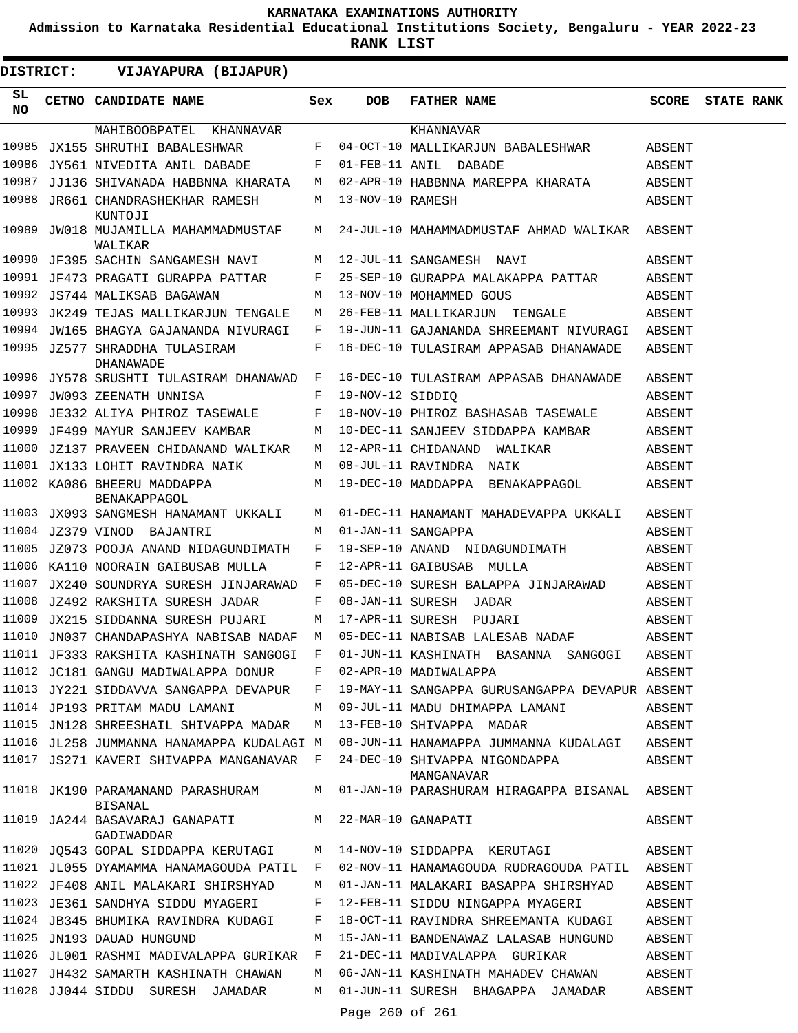**Admission to Karnataka Residential Educational Institutions Society, Bengaluru - YEAR 2022-23**

3

**RANK LIST**

**DISTRICT:** EE **VIJAYAPURA (BIJAPUR)**

| SL<br>NO. | CETNO CANDIDATE NAME                              | Sex          | DOB              | FATHER NAME                                    | <b>SCORE</b> | <b>STATE RANK</b> |  |
|-----------|---------------------------------------------------|--------------|------------------|------------------------------------------------|--------------|-------------------|--|
|           | MAHIBOOBPATEL KHANNAVAR                           |              |                  | KHANNAVAR                                      |              |                   |  |
| 10985     | JX155 SHRUTHI BABALESHWAR                         | F            |                  | 04-OCT-10 MALLIKARJUN BABALESHWAR              | ABSENT       |                   |  |
| 10986     | JY561 NIVEDITA ANIL DABADE                        | F            |                  | 01-FEB-11 ANIL DABADE                          | ABSENT       |                   |  |
| 10987     | JJ136 SHIVANADA HABBNNA KHARATA                   | M            |                  | 02-APR-10 HABBNNA MAREPPA KHARATA              | ABSENT       |                   |  |
|           | 10988 JR661 CHANDRASHEKHAR RAMESH<br>KUNTOJI      | M            | 13-NOV-10 RAMESH |                                                | ABSENT       |                   |  |
|           | 10989 JW018 MUJAMILLA MAHAMMADMUSTAF M<br>WALIKAR |              |                  | 24-JUL-10 MAHAMMADMUSTAF AHMAD WALIKAR ABSENT  |              |                   |  |
|           | 10990 JF395 SACHIN SANGAMESH NAVI                 | M            |                  | 12-JUL-11 SANGAMESH NAVI                       | ABSENT       |                   |  |
|           | 10991 JF473 PRAGATI GURAPPA PATTAR                | F            |                  | 25-SEP-10 GURAPPA MALAKAPPA PATTAR             | ABSENT       |                   |  |
|           | 10992 JS744 MALIKSAB BAGAWAN                      | M            |                  | 13-NOV-10 MOHAMMED GOUS                        | ABSENT       |                   |  |
| 10993     | JK249 TEJAS MALLIKARJUN TENGALE                   | M            |                  | 26-FEB-11 MALLIKARJUN TENGALE                  | ABSENT       |                   |  |
|           | 10994 JW165 BHAGYA GAJANANDA NIVURAGI             | F            |                  | 19-JUN-11 GAJANANDA SHREEMANT NIVURAGI ABSENT  |              |                   |  |
|           | 10995 JZ577 SHRADDHA TULASIRAM<br>DHANAWADE       | F            |                  | 16-DEC-10 TULASIRAM APPASAB DHANAWADE          | ABSENT       |                   |  |
|           | 10996 JY578 SRUSHTI TULASIRAM DHANAWAD F          |              |                  | 16-DEC-10 TULASIRAM APPASAB DHANAWADE          | ABSENT       |                   |  |
| 10997     | JW093 ZEENATH UNNISA                              | F            | 19-NOV-12 SIDDIQ |                                                | ABSENT       |                   |  |
| 10998     | JE332 ALIYA PHIROZ TASEWALE                       | F            |                  | 18-NOV-10 PHIROZ BASHASAB TASEWALE             | ABSENT       |                   |  |
|           | 10999 JF499 MAYUR SANJEEV KAMBAR                  | M            |                  | 10-DEC-11 SANJEEV SIDDAPPA KAMBAR              | ABSENT       |                   |  |
| 11000     | JZ137 PRAVEEN CHIDANAND WALIKAR                   | M            |                  | 12-APR-11 CHIDANAND WALIKAR                    | ABSENT       |                   |  |
|           | 11001 JX133 LOHIT RAVINDRA NAIK                   | M            |                  | 08-JUL-11 RAVINDRA NAIK                        | ABSENT       |                   |  |
|           | 11002 KA086 BHEERU MADDAPPA<br>BENAKAPPAGOL       | M            |                  | 19-DEC-10 MADDAPPA BENAKAPPAGOL                | ABSENT       |                   |  |
|           | 11003 JX093 SANGMESH HANAMANT UKKALI              | M            |                  | 01-DEC-11 HANAMANT MAHADEVAPPA UKKALI          | ABSENT       |                   |  |
|           | 11004 JZ379 VINOD BAJANTRI                        | M            |                  | 01-JAN-11 SANGAPPA                             | ABSENT       |                   |  |
|           | 11005 JZ073 POOJA ANAND NIDAGUNDIMATH             | F            |                  | 19-SEP-10 ANAND NIDAGUNDIMATH                  | ABSENT       |                   |  |
|           | 11006 KA110 NOORAIN GAIBUSAB MULLA                | F            |                  | 12-APR-11 GAIBUSAB MULLA                       | ABSENT       |                   |  |
|           | 11007 JX240 SOUNDRYA SURESH JINJARAWAD            | $\mathbf{F}$ |                  | 05-DEC-10 SURESH BALAPPA JINJARAWAD            | ABSENT       |                   |  |
| 11008     | JZ492 RAKSHITA SURESH JADAR                       | F            |                  | 08-JAN-11 SURESH JADAR                         | ABSENT       |                   |  |
| 11009     | JX215 SIDDANNA SURESH PUJARI                      | M            |                  | 17-APR-11 SURESH PUJARI                        | ABSENT       |                   |  |
| 11010     | JN037 CHANDAPASHYA NABISAB NADAF                  | M            |                  | 05-DEC-11 NABISAB LALESAB NADAF                | ABSENT       |                   |  |
|           | 11011 JF333 RAKSHITA KASHINATH SANGOGI            | F            |                  | 01-JUN-11 KASHINATH BASANNA SANGOGI            | ABSENT       |                   |  |
|           | 11012 JC181 GANGU MADIWALAPPA DONUR               | F            |                  | 02-APR-10 MADIWALAPPA                          | ABSENT       |                   |  |
|           | 11013 JY221 SIDDAVVA SANGAPPA DEVAPUR             | F            |                  | 19-MAY-11 SANGAPPA GURUSANGAPPA DEVAPUR ABSENT |              |                   |  |
|           | 11014 JP193 PRITAM MADU LAMANI                    | М            |                  | 09-JUL-11 MADU DHIMAPPA LAMANI                 | ABSENT       |                   |  |
|           | 11015 JN128 SHREESHAIL SHIVAPPA MADAR             | M            |                  | 13-FEB-10 SHIVAPPA MADAR                       | ABSENT       |                   |  |
|           | 11016 JL258 JUMMANNA HANAMAPPA KUDALAGI M         |              |                  | 08-JUN-11 HANAMAPPA JUMMANNA KUDALAGI ABSENT   |              |                   |  |
|           | 11017 JS271 KAVERI SHIVAPPA MANGANAVAR F          |              |                  | 24-DEC-10 SHIVAPPA NIGONDAPPA<br>MANGANAVAR    | ABSENT       |                   |  |
|           | 11018 JK190 PARAMANAND PARASHURAM<br>BISANAL      | M            |                  | 01-JAN-10 PARASHURAM HIRAGAPPA BISANAL ABSENT  |              |                   |  |
|           | 11019 JA244 BASAVARAJ GANAPATI<br>GADIWADDAR      | M            |                  | 22-MAR-10 GANAPATI                             | ABSENT       |                   |  |
|           | 11020 JQ543 GOPAL SIDDAPPA KERUTAGI               | M            |                  | 14-NOV-10 SIDDAPPA KERUTAGI                    | ABSENT       |                   |  |
|           | 11021 JL055 DYAMAMMA HANAMAGOUDA PATIL            | $\mathbb{F}$ |                  | 02-NOV-11 HANAMAGOUDA RUDRAGOUDA PATIL ABSENT  |              |                   |  |
|           | 11022 JF408 ANIL MALAKARI SHIRSHYAD               | M            |                  | 01-JAN-11 MALAKARI BASAPPA SHIRSHYAD           | ABSENT       |                   |  |
|           | 11023 JE361 SANDHYA SIDDU MYAGERI                 | F            |                  | 12-FEB-11 SIDDU NINGAPPA MYAGERI               | ABSENT       |                   |  |
|           | 11024 JB345 BHUMIKA RAVINDRA KUDAGI               | F            |                  | 18-OCT-11 RAVINDRA SHREEMANTA KUDAGI           | ABSENT       |                   |  |
|           | 11025 JN193 DAUAD HUNGUND                         | М            |                  | 15-JAN-11 BANDENAWAZ LALASAB HUNGUND           | ABSENT       |                   |  |
|           | 11026 JL001 RASHMI MADIVALAPPA GURIKAR F          |              |                  | 21-DEC-11 MADIVALAPPA GURIKAR                  | ABSENT       |                   |  |
|           | 11027 JH432 SAMARTH KASHINATH CHAWAN              | М            |                  | 06-JAN-11 KASHINATH MAHADEV CHAWAN             | ABSENT       |                   |  |
|           | 11028 JJ044 SIDDU SURESH JAMADAR                  | М            |                  | 01-JUN-11 SURESH BHAGAPPA JAMADAR              | ABSENT       |                   |  |

Page 260 of 261